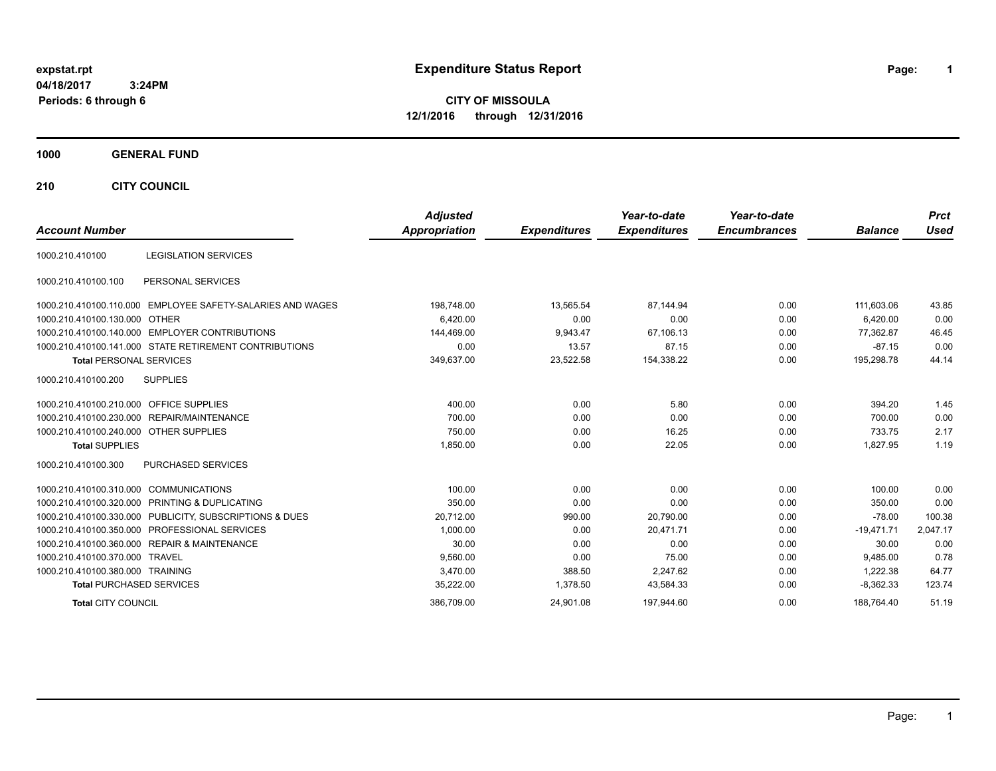# **expstat.rpt Expenditure Status Report Page:**

**1**

**CITY OF MISSOULA 12/1/2016 through 12/31/2016**

### **1000 GENERAL FUND**

**210 CITY COUNCIL**

| <b>Account Number</b>                  |                                                            | <b>Adjusted</b><br><b>Appropriation</b> | <b>Expenditures</b> | Year-to-date<br><b>Expenditures</b> | Year-to-date<br><b>Encumbrances</b> | <b>Balance</b> | <b>Prct</b><br><b>Used</b> |
|----------------------------------------|------------------------------------------------------------|-----------------------------------------|---------------------|-------------------------------------|-------------------------------------|----------------|----------------------------|
|                                        |                                                            |                                         |                     |                                     |                                     |                |                            |
| 1000.210.410100                        | <b>LEGISLATION SERVICES</b>                                |                                         |                     |                                     |                                     |                |                            |
| 1000.210.410100.100                    | PERSONAL SERVICES                                          |                                         |                     |                                     |                                     |                |                            |
|                                        | 1000.210.410100.110.000 EMPLOYEE SAFETY-SALARIES AND WAGES | 198,748.00                              | 13,565.54           | 87,144.94                           | 0.00                                | 111,603.06     | 43.85                      |
| 1000.210.410100.130.000 OTHER          |                                                            | 6,420.00                                | 0.00                | 0.00                                | 0.00                                | 6,420.00       | 0.00                       |
|                                        | 1000.210.410100.140.000 EMPLOYER CONTRIBUTIONS             | 144,469.00                              | 9,943.47            | 67,106.13                           | 0.00                                | 77,362.87      | 46.45                      |
|                                        | 1000.210.410100.141.000 STATE RETIREMENT CONTRIBUTIONS     | 0.00                                    | 13.57               | 87.15                               | 0.00                                | $-87.15$       | 0.00                       |
| <b>Total PERSONAL SERVICES</b>         |                                                            | 349,637.00                              | 23,522.58           | 154,338.22                          | 0.00                                | 195,298.78     | 44.14                      |
| 1000.210.410100.200                    | <b>SUPPLIES</b>                                            |                                         |                     |                                     |                                     |                |                            |
| 1000.210.410100.210.000                | <b>OFFICE SUPPLIES</b>                                     | 400.00                                  | 0.00                | 5.80                                | 0.00                                | 394.20         | 1.45                       |
|                                        | 1000.210.410100.230.000 REPAIR/MAINTENANCE                 | 700.00                                  | 0.00                | 0.00                                | 0.00                                | 700.00         | 0.00                       |
| 1000.210.410100.240.000 OTHER SUPPLIES |                                                            | 750.00                                  | 0.00                | 16.25                               | 0.00                                | 733.75         | 2.17                       |
| <b>Total SUPPLIES</b>                  |                                                            | 1,850.00                                | 0.00                | 22.05                               | 0.00                                | 1.827.95       | 1.19                       |
| 1000.210.410100.300                    | PURCHASED SERVICES                                         |                                         |                     |                                     |                                     |                |                            |
| 1000.210.410100.310.000                | <b>COMMUNICATIONS</b>                                      | 100.00                                  | 0.00                | 0.00                                | 0.00                                | 100.00         | 0.00                       |
|                                        | 1000.210.410100.320.000 PRINTING & DUPLICATING             | 350.00                                  | 0.00                | 0.00                                | 0.00                                | 350.00         | 0.00                       |
|                                        | 1000.210.410100.330.000 PUBLICITY, SUBSCRIPTIONS & DUES    | 20,712.00                               | 990.00              | 20,790.00                           | 0.00                                | $-78.00$       | 100.38                     |
|                                        | 1000.210.410100.350.000 PROFESSIONAL SERVICES              | 1,000.00                                | 0.00                | 20,471.71                           | 0.00                                | $-19,471.71$   | 2,047.17                   |
|                                        | 1000.210.410100.360.000 REPAIR & MAINTENANCE               | 30.00                                   | 0.00                | 0.00                                | 0.00                                | 30.00          | 0.00                       |
| 1000.210.410100.370.000 TRAVEL         |                                                            | 9,560.00                                | 0.00                | 75.00                               | 0.00                                | 9,485.00       | 0.78                       |
| 1000.210.410100.380.000 TRAINING       |                                                            | 3,470.00                                | 388.50              | 2,247.62                            | 0.00                                | 1.222.38       | 64.77                      |
| <b>Total PURCHASED SERVICES</b>        |                                                            | 35,222.00                               | 1,378.50            | 43,584.33                           | 0.00                                | $-8,362.33$    | 123.74                     |
| <b>Total CITY COUNCIL</b>              |                                                            | 386.709.00                              | 24.901.08           | 197.944.60                          | 0.00                                | 188.764.40     | 51.19                      |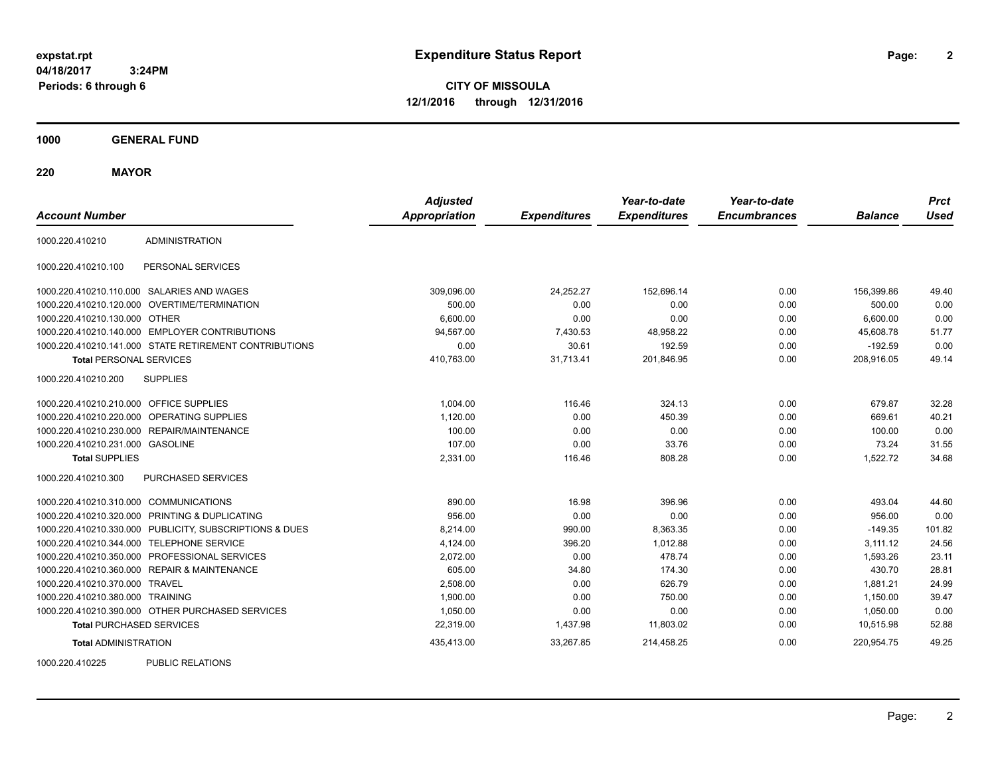**2**

**CITY OF MISSOULA 12/1/2016 through 12/31/2016**

**1000 GENERAL FUND**

**220 MAYOR**

| <b>Account Number</b>                   |                                                         | <b>Adjusted</b><br><b>Appropriation</b> | <b>Expenditures</b> | Year-to-date<br><b>Expenditures</b> | Year-to-date<br><b>Encumbrances</b> | <b>Balance</b> | <b>Prct</b><br><b>Used</b> |
|-----------------------------------------|---------------------------------------------------------|-----------------------------------------|---------------------|-------------------------------------|-------------------------------------|----------------|----------------------------|
| 1000.220.410210                         | <b>ADMINISTRATION</b>                                   |                                         |                     |                                     |                                     |                |                            |
| 1000.220.410210.100                     | PERSONAL SERVICES                                       |                                         |                     |                                     |                                     |                |                            |
|                                         | 1000.220.410210.110.000 SALARIES AND WAGES              | 309,096.00                              | 24,252.27           | 152,696.14                          | 0.00                                | 156,399.86     | 49.40                      |
| 1000.220.410210.120.000                 | <b>OVERTIME/TERMINATION</b>                             | 500.00                                  | 0.00                | 0.00                                | 0.00                                | 500.00         | 0.00                       |
| 1000.220.410210.130.000 OTHER           |                                                         | 6,600.00                                | 0.00                | 0.00                                | 0.00                                | 6,600.00       | 0.00                       |
|                                         | 1000.220.410210.140.000 EMPLOYER CONTRIBUTIONS          | 94.567.00                               | 7,430.53            | 48,958.22                           | 0.00                                | 45.608.78      | 51.77                      |
|                                         | 1000.220.410210.141.000 STATE RETIREMENT CONTRIBUTIONS  | 0.00                                    | 30.61               | 192.59                              | 0.00                                | $-192.59$      | 0.00                       |
| <b>Total PERSONAL SERVICES</b>          |                                                         | 410,763.00                              | 31,713.41           | 201,846.95                          | 0.00                                | 208,916.05     | 49.14                      |
| 1000.220.410210.200                     | <b>SUPPLIES</b>                                         |                                         |                     |                                     |                                     |                |                            |
| 1000.220.410210.210.000 OFFICE SUPPLIES |                                                         | 1.004.00                                | 116.46              | 324.13                              | 0.00                                | 679.87         | 32.28                      |
| 1000.220.410210.220.000                 | <b>OPERATING SUPPLIES</b>                               | 1,120.00                                | 0.00                | 450.39                              | 0.00                                | 669.61         | 40.21                      |
| 1000.220.410210.230.000                 | REPAIR/MAINTENANCE                                      | 100.00                                  | 0.00                | 0.00                                | 0.00                                | 100.00         | 0.00                       |
| 1000.220.410210.231.000                 | <b>GASOLINE</b>                                         | 107.00                                  | 0.00                | 33.76                               | 0.00                                | 73.24          | 31.55                      |
| <b>Total SUPPLIES</b>                   |                                                         | 2,331.00                                | 116.46              | 808.28                              | 0.00                                | 1,522.72       | 34.68                      |
| 1000.220.410210.300                     | <b>PURCHASED SERVICES</b>                               |                                         |                     |                                     |                                     |                |                            |
| 1000.220.410210.310.000 COMMUNICATIONS  |                                                         | 890.00                                  | 16.98               | 396.96                              | 0.00                                | 493.04         | 44.60                      |
| 1000.220.410210.320.000                 | PRINTING & DUPLICATING                                  | 956.00                                  | 0.00                | 0.00                                | 0.00                                | 956.00         | 0.00                       |
|                                         | 1000.220.410210.330.000 PUBLICITY, SUBSCRIPTIONS & DUES | 8,214.00                                | 990.00              | 8,363.35                            | 0.00                                | $-149.35$      | 101.82                     |
|                                         | 1000.220.410210.344.000 TELEPHONE SERVICE               | 4,124.00                                | 396.20              | 1,012.88                            | 0.00                                | 3,111.12       | 24.56                      |
| 1000.220.410210.350.000                 | PROFESSIONAL SERVICES                                   | 2,072.00                                | 0.00                | 478.74                              | 0.00                                | 1,593.26       | 23.11                      |
|                                         | 1000.220.410210.360.000 REPAIR & MAINTENANCE            | 605.00                                  | 34.80               | 174.30                              | 0.00                                | 430.70         | 28.81                      |
| 1000.220.410210.370.000 TRAVEL          |                                                         | 2,508.00                                | 0.00                | 626.79                              | 0.00                                | 1,881.21       | 24.99                      |
| 1000.220.410210.380.000 TRAINING        |                                                         | 1,900.00                                | 0.00                | 750.00                              | 0.00                                | 1,150.00       | 39.47                      |
|                                         | 1000.220.410210.390.000 OTHER PURCHASED SERVICES        | 1,050.00                                | 0.00                | 0.00                                | 0.00                                | 1,050.00       | 0.00                       |
| <b>Total PURCHASED SERVICES</b>         |                                                         | 22,319.00                               | 1,437.98            | 11,803.02                           | 0.00                                | 10,515.98      | 52.88                      |
| <b>Total ADMINISTRATION</b>             |                                                         | 435,413.00                              | 33,267.85           | 214,458.25                          | 0.00                                | 220,954.75     | 49.25                      |
| 1000000110005                           | <b>DUDLIO DEL ATIONO</b>                                |                                         |                     |                                     |                                     |                |                            |

1000.220.410225 PUBLIC RELATIONS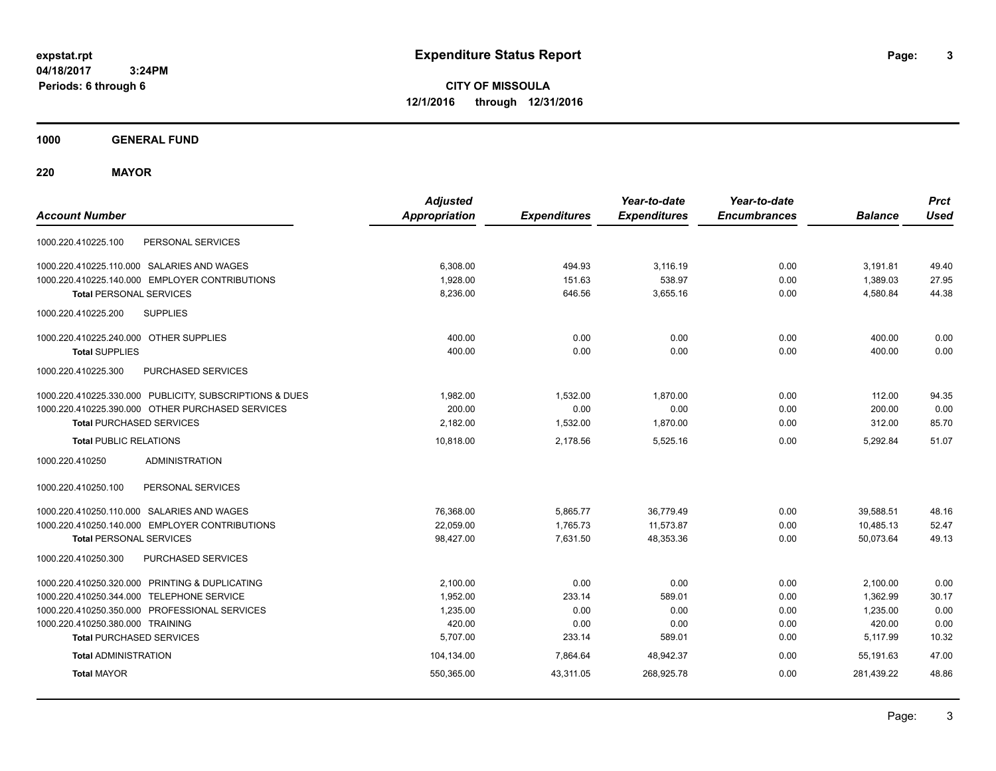**3**

**CITY OF MISSOULA 12/1/2016 through 12/31/2016**

**1000 GENERAL FUND**

**220 MAYOR**

| <b>Account Number</b>                                   | <b>Adjusted</b><br><b>Appropriation</b> | <b>Expenditures</b> | Year-to-date<br><b>Expenditures</b> | Year-to-date<br><b>Encumbrances</b> | <b>Balance</b> | <b>Prct</b><br><b>Used</b> |
|---------------------------------------------------------|-----------------------------------------|---------------------|-------------------------------------|-------------------------------------|----------------|----------------------------|
| PERSONAL SERVICES<br>1000.220.410225.100                |                                         |                     |                                     |                                     |                |                            |
| 1000.220.410225.110.000 SALARIES AND WAGES              | 6,308.00                                | 494.93              | 3.116.19                            | 0.00                                | 3,191.81       | 49.40                      |
| 1000.220.410225.140.000 EMPLOYER CONTRIBUTIONS          | 1,928.00                                | 151.63              | 538.97                              | 0.00                                | 1,389.03       | 27.95                      |
| <b>Total PERSONAL SERVICES</b>                          | 8,236.00                                | 646.56              | 3,655.16                            | 0.00                                | 4,580.84       | 44.38                      |
| 1000.220.410225.200<br><b>SUPPLIES</b>                  |                                         |                     |                                     |                                     |                |                            |
| 1000.220.410225.240.000 OTHER SUPPLIES                  | 400.00                                  | 0.00                | 0.00                                | 0.00                                | 400.00         | 0.00                       |
| <b>Total SUPPLIES</b>                                   | 400.00                                  | 0.00                | 0.00                                | 0.00                                | 400.00         | 0.00                       |
| PURCHASED SERVICES<br>1000.220.410225.300               |                                         |                     |                                     |                                     |                |                            |
| 1000.220.410225.330.000 PUBLICITY, SUBSCRIPTIONS & DUES | 1,982.00                                | 1,532.00            | 1,870.00                            | 0.00                                | 112.00         | 94.35                      |
| 1000.220.410225.390.000 OTHER PURCHASED SERVICES        | 200.00                                  | 0.00                | 0.00                                | 0.00                                | 200.00         | 0.00                       |
| <b>Total PURCHASED SERVICES</b>                         | 2,182.00                                | 1,532.00            | 1,870.00                            | 0.00                                | 312.00         | 85.70                      |
| <b>Total PUBLIC RELATIONS</b>                           | 10,818.00                               | 2,178.56            | 5,525.16                            | 0.00                                | 5.292.84       | 51.07                      |
| 1000.220.410250<br><b>ADMINISTRATION</b>                |                                         |                     |                                     |                                     |                |                            |
| 1000.220.410250.100<br>PERSONAL SERVICES                |                                         |                     |                                     |                                     |                |                            |
| 1000.220.410250.110.000 SALARIES AND WAGES              | 76,368.00                               | 5,865.77            | 36,779.49                           | 0.00                                | 39,588.51      | 48.16                      |
| 1000.220.410250.140.000 EMPLOYER CONTRIBUTIONS          | 22,059.00                               | 1,765.73            | 11,573.87                           | 0.00                                | 10,485.13      | 52.47                      |
| <b>Total PERSONAL SERVICES</b>                          | 98,427.00                               | 7,631.50            | 48,353.36                           | 0.00                                | 50,073.64      | 49.13                      |
| PURCHASED SERVICES<br>1000.220.410250.300               |                                         |                     |                                     |                                     |                |                            |
| 1000.220.410250.320.000 PRINTING & DUPLICATING          | 2,100.00                                | 0.00                | 0.00                                | 0.00                                | 2,100.00       | 0.00                       |
| 1000.220.410250.344.000 TELEPHONE SERVICE               | 1,952.00                                | 233.14              | 589.01                              | 0.00                                | 1,362.99       | 30.17                      |
| 1000.220.410250.350.000 PROFESSIONAL SERVICES           | 1,235.00                                | 0.00                | 0.00                                | 0.00                                | 1,235.00       | 0.00                       |
| 1000.220.410250.380.000 TRAINING                        | 420.00                                  | 0.00                | 0.00                                | 0.00                                | 420.00         | 0.00                       |
| <b>Total PURCHASED SERVICES</b>                         | 5,707.00                                | 233.14              | 589.01                              | 0.00                                | 5,117.99       | 10.32                      |
| <b>Total ADMINISTRATION</b>                             | 104,134.00                              | 7,864.64            | 48,942.37                           | 0.00                                | 55,191.63      | 47.00                      |
| <b>Total MAYOR</b>                                      | 550,365.00                              | 43,311.05           | 268,925.78                          | 0.00                                | 281,439.22     | 48.86                      |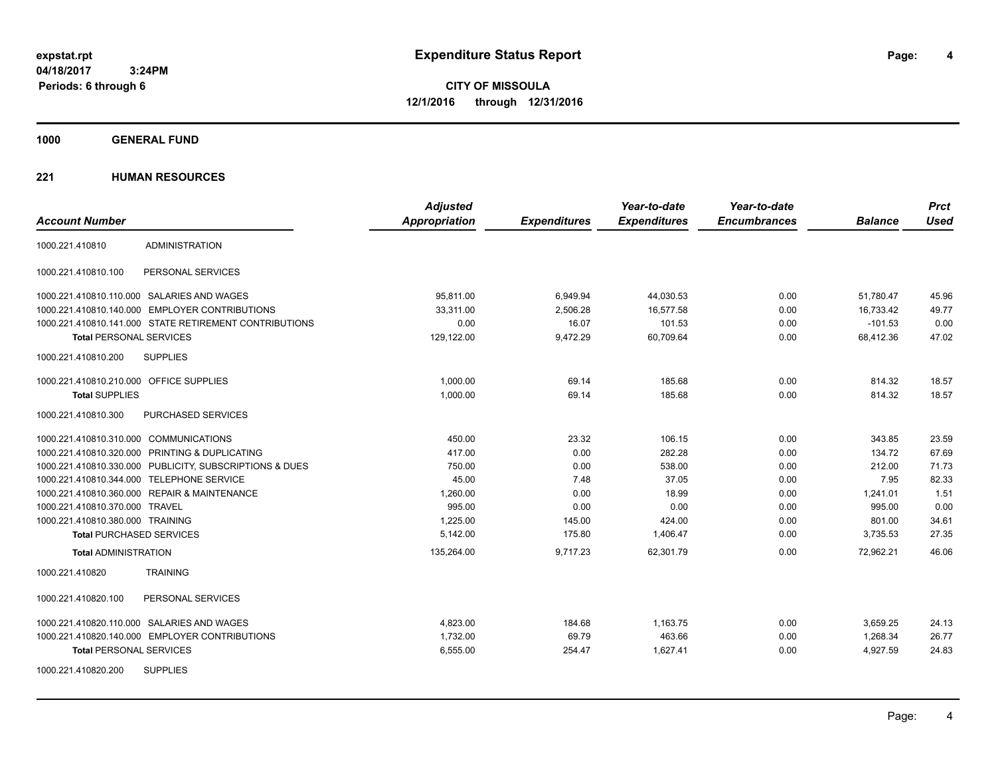**CITY OF MISSOULA 12/1/2016 through 12/31/2016**

**1000 GENERAL FUND**

| <b>Account Number</b>                   |                                                         | <b>Adjusted</b><br><b>Appropriation</b> | <b>Expenditures</b> | Year-to-date<br><b>Expenditures</b> | Year-to-date<br><b>Encumbrances</b> | <b>Balance</b> | <b>Prct</b><br><b>Used</b> |
|-----------------------------------------|---------------------------------------------------------|-----------------------------------------|---------------------|-------------------------------------|-------------------------------------|----------------|----------------------------|
| 1000.221.410810                         | <b>ADMINISTRATION</b>                                   |                                         |                     |                                     |                                     |                |                            |
| 1000.221.410810.100                     | PERSONAL SERVICES                                       |                                         |                     |                                     |                                     |                |                            |
|                                         | 1000.221.410810.110.000 SALARIES AND WAGES              | 95,811.00                               | 6,949.94            | 44,030.53                           | 0.00                                | 51,780.47      | 45.96                      |
|                                         | 1000.221.410810.140.000 EMPLOYER CONTRIBUTIONS          | 33,311.00                               | 2,506.28            | 16,577.58                           | 0.00                                | 16,733.42      | 49.77                      |
|                                         | 1000.221.410810.141.000 STATE RETIREMENT CONTRIBUTIONS  | 0.00                                    | 16.07               | 101.53                              | 0.00                                | $-101.53$      | 0.00                       |
| <b>Total PERSONAL SERVICES</b>          |                                                         | 129,122.00                              | 9,472.29            | 60,709.64                           | 0.00                                | 68.412.36      | 47.02                      |
| 1000.221.410810.200                     | <b>SUPPLIES</b>                                         |                                         |                     |                                     |                                     |                |                            |
| 1000.221.410810.210.000 OFFICE SUPPLIES |                                                         | 1,000.00                                | 69.14               | 185.68                              | 0.00                                | 814.32         | 18.57                      |
| <b>Total SUPPLIES</b>                   |                                                         | 1,000.00                                | 69.14               | 185.68                              | 0.00                                | 814.32         | 18.57                      |
| 1000.221.410810.300                     | PURCHASED SERVICES                                      |                                         |                     |                                     |                                     |                |                            |
| 1000.221.410810.310.000 COMMUNICATIONS  |                                                         | 450.00                                  | 23.32               | 106.15                              | 0.00                                | 343.85         | 23.59                      |
|                                         | 1000.221.410810.320.000 PRINTING & DUPLICATING          | 417.00                                  | 0.00                | 282.28                              | 0.00                                | 134.72         | 67.69                      |
|                                         | 1000.221.410810.330.000 PUBLICITY, SUBSCRIPTIONS & DUES | 750.00                                  | 0.00                | 538.00                              | 0.00                                | 212.00         | 71.73                      |
|                                         | 1000.221.410810.344.000 TELEPHONE SERVICE               | 45.00                                   | 7.48                | 37.05                               | 0.00                                | 7.95           | 82.33                      |
|                                         | 1000.221.410810.360.000 REPAIR & MAINTENANCE            | 1,260.00                                | 0.00                | 18.99                               | 0.00                                | 1,241.01       | 1.51                       |
| 1000.221.410810.370.000 TRAVEL          |                                                         | 995.00                                  | 0.00                | 0.00                                | 0.00                                | 995.00         | 0.00                       |
| 1000.221.410810.380.000 TRAINING        |                                                         | 1,225.00                                | 145.00              | 424.00                              | 0.00                                | 801.00         | 34.61                      |
| <b>Total PURCHASED SERVICES</b>         |                                                         | 5,142.00                                | 175.80              | 1,406.47                            | 0.00                                | 3,735.53       | 27.35                      |
| <b>Total ADMINISTRATION</b>             |                                                         | 135,264.00                              | 9,717.23            | 62,301.79                           | 0.00                                | 72,962.21      | 46.06                      |
| 1000.221.410820                         | <b>TRAINING</b>                                         |                                         |                     |                                     |                                     |                |                            |
| 1000.221.410820.100                     | PERSONAL SERVICES                                       |                                         |                     |                                     |                                     |                |                            |
|                                         | 1000.221.410820.110.000 SALARIES AND WAGES              | 4,823.00                                | 184.68              | 1,163.75                            | 0.00                                | 3,659.25       | 24.13                      |
|                                         | 1000.221.410820.140.000 EMPLOYER CONTRIBUTIONS          | 1,732.00                                | 69.79               | 463.66                              | 0.00                                | 1,268.34       | 26.77                      |
| <b>Total PERSONAL SERVICES</b>          |                                                         | 6,555.00                                | 254.47              | 1,627.41                            | 0.00                                | 4,927.59       | 24.83                      |
| 1000.221.410820.200                     | <b>SUPPLIES</b>                                         |                                         |                     |                                     |                                     |                |                            |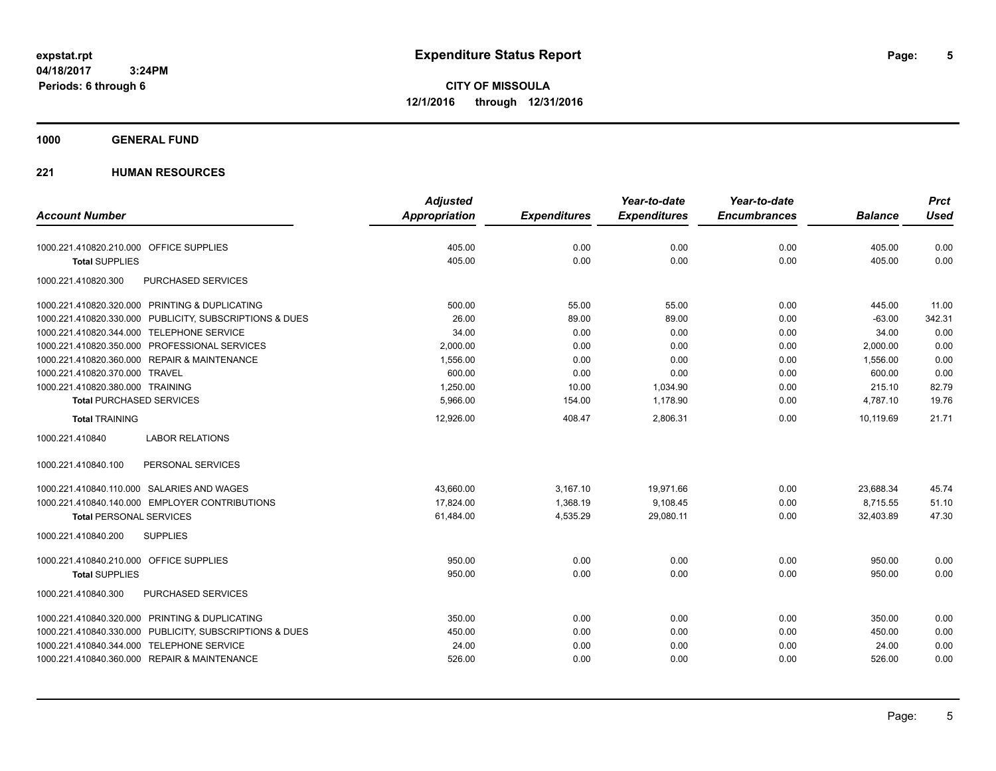**CITY OF MISSOULA 12/1/2016 through 12/31/2016**

### **1000 GENERAL FUND**

|                                                         | <b>Adjusted</b>      |                     | Year-to-date        | Year-to-date        |                | <b>Prct</b> |
|---------------------------------------------------------|----------------------|---------------------|---------------------|---------------------|----------------|-------------|
| <b>Account Number</b>                                   | <b>Appropriation</b> | <b>Expenditures</b> | <b>Expenditures</b> | <b>Encumbrances</b> | <b>Balance</b> | <b>Used</b> |
| 1000.221.410820.210.000 OFFICE SUPPLIES                 | 405.00               | 0.00                | 0.00                | 0.00                | 405.00         | 0.00        |
| <b>Total SUPPLIES</b>                                   | 405.00               | 0.00                | 0.00                | 0.00                | 405.00         | 0.00        |
| 1000.221.410820.300<br>PURCHASED SERVICES               |                      |                     |                     |                     |                |             |
| 1000.221.410820.320.000 PRINTING & DUPLICATING          | 500.00               | 55.00               | 55.00               | 0.00                | 445.00         | 11.00       |
| 1000.221.410820.330.000 PUBLICITY, SUBSCRIPTIONS & DUES | 26.00                | 89.00               | 89.00               | 0.00                | $-63.00$       | 342.31      |
| 1000.221.410820.344.000 TELEPHONE SERVICE               | 34.00                | 0.00                | 0.00                | 0.00                | 34.00          | 0.00        |
| 1000.221.410820.350.000 PROFESSIONAL SERVICES           | 2.000.00             | 0.00                | 0.00                | 0.00                | 2,000.00       | 0.00        |
| 1000.221.410820.360.000 REPAIR & MAINTENANCE            | 1,556.00             | 0.00                | 0.00                | 0.00                | 1,556.00       | 0.00        |
| 1000.221.410820.370.000 TRAVEL                          | 600.00               | 0.00                | 0.00                | 0.00                | 600.00         | 0.00        |
| 1000.221.410820.380.000 TRAINING                        | 1,250.00             | 10.00               | 1,034.90            | 0.00                | 215.10         | 82.79       |
| <b>Total PURCHASED SERVICES</b>                         | 5,966.00             | 154.00              | 1,178.90            | 0.00                | 4,787.10       | 19.76       |
| <b>Total TRAINING</b>                                   | 12,926.00            | 408.47              | 2,806.31            | 0.00                | 10.119.69      | 21.71       |
| <b>LABOR RELATIONS</b><br>1000.221.410840               |                      |                     |                     |                     |                |             |
| 1000.221.410840.100<br>PERSONAL SERVICES                |                      |                     |                     |                     |                |             |
| 1000.221.410840.110.000 SALARIES AND WAGES              | 43,660.00            | 3,167.10            | 19,971.66           | 0.00                | 23,688.34      | 45.74       |
| 1000.221.410840.140.000 EMPLOYER CONTRIBUTIONS          | 17,824.00            | 1,368.19            | 9,108.45            | 0.00                | 8,715.55       | 51.10       |
| <b>Total PERSONAL SERVICES</b>                          | 61,484.00            | 4,535.29            | 29,080.11           | 0.00                | 32,403.89      | 47.30       |
| 1000.221.410840.200<br><b>SUPPLIES</b>                  |                      |                     |                     |                     |                |             |
| 1000.221.410840.210.000 OFFICE SUPPLIES                 | 950.00               | 0.00                | 0.00                | 0.00                | 950.00         | 0.00        |
| <b>Total SUPPLIES</b>                                   | 950.00               | 0.00                | 0.00                | 0.00                | 950.00         | 0.00        |
| PURCHASED SERVICES<br>1000.221.410840.300               |                      |                     |                     |                     |                |             |
| 1000.221.410840.320.000 PRINTING & DUPLICATING          | 350.00               | 0.00                | 0.00                | 0.00                | 350.00         | 0.00        |
| 1000.221.410840.330.000 PUBLICITY, SUBSCRIPTIONS & DUES | 450.00               | 0.00                | 0.00                | 0.00                | 450.00         | 0.00        |
| 1000.221.410840.344.000 TELEPHONE SERVICE               | 24.00                | 0.00                | 0.00                | 0.00                | 24.00          | 0.00        |
| 1000.221.410840.360.000 REPAIR & MAINTENANCE            | 526.00               | 0.00                | 0.00                | 0.00                | 526.00         | 0.00        |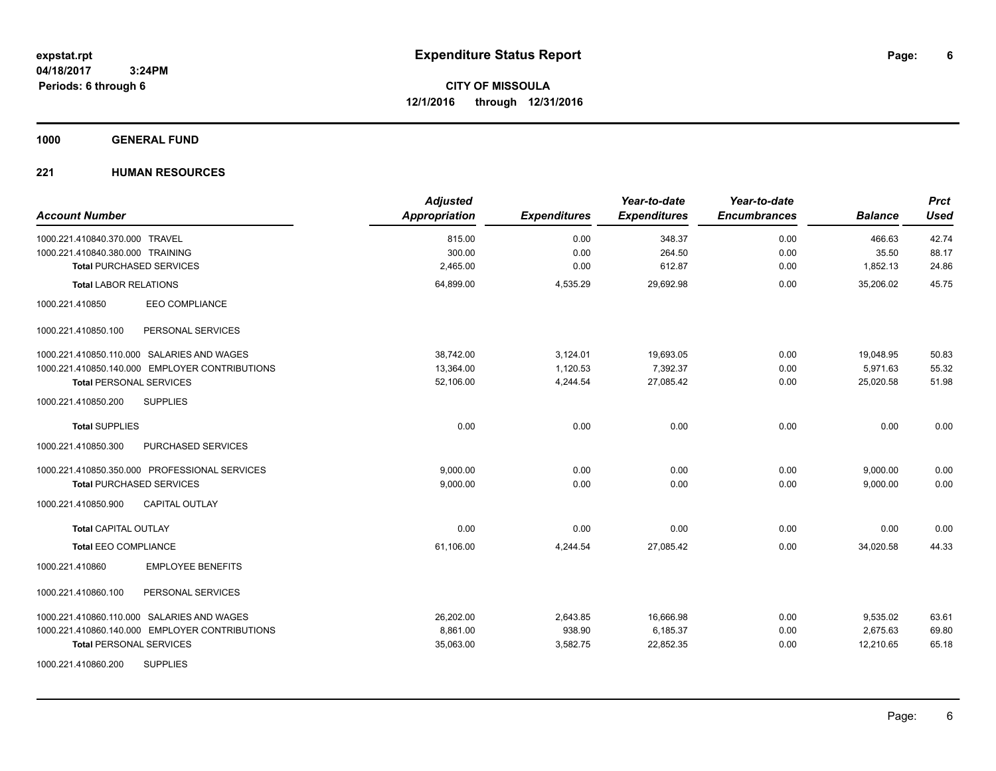**6**

**CITY OF MISSOULA 12/1/2016 through 12/31/2016**

**1000 GENERAL FUND**

| <b>Account Number</b>                          | <b>Adjusted</b><br>Appropriation | <b>Expenditures</b> | Year-to-date<br><b>Expenditures</b> | Year-to-date<br><b>Encumbrances</b> | <b>Balance</b> | <b>Prct</b><br><b>Used</b> |
|------------------------------------------------|----------------------------------|---------------------|-------------------------------------|-------------------------------------|----------------|----------------------------|
| 1000.221.410840.370.000 TRAVEL                 | 815.00                           | 0.00                | 348.37                              | 0.00                                | 466.63         | 42.74                      |
| 1000.221.410840.380.000 TRAINING               | 300.00                           | 0.00                | 264.50                              | 0.00                                | 35.50          | 88.17                      |
| <b>Total PURCHASED SERVICES</b>                | 2,465.00                         | 0.00                | 612.87                              | 0.00                                | 1,852.13       | 24.86                      |
| <b>Total LABOR RELATIONS</b>                   | 64,899.00                        | 4,535.29            | 29,692.98                           | 0.00                                | 35,206.02      | 45.75                      |
| <b>EEO COMPLIANCE</b><br>1000.221.410850       |                                  |                     |                                     |                                     |                |                            |
| PERSONAL SERVICES<br>1000.221.410850.100       |                                  |                     |                                     |                                     |                |                            |
| 1000.221.410850.110.000 SALARIES AND WAGES     | 38.742.00                        | 3,124.01            | 19,693.05                           | 0.00                                | 19,048.95      | 50.83                      |
| 1000.221.410850.140.000 EMPLOYER CONTRIBUTIONS | 13,364.00                        | 1,120.53            | 7,392.37                            | 0.00                                | 5,971.63       | 55.32                      |
| <b>Total PERSONAL SERVICES</b>                 | 52,106.00                        | 4,244.54            | 27,085.42                           | 0.00                                | 25.020.58      | 51.98                      |
| 1000.221.410850.200<br><b>SUPPLIES</b>         |                                  |                     |                                     |                                     |                |                            |
| <b>Total SUPPLIES</b>                          | 0.00                             | 0.00                | 0.00                                | 0.00                                | 0.00           | 0.00                       |
| 1000.221.410850.300<br>PURCHASED SERVICES      |                                  |                     |                                     |                                     |                |                            |
| 1000.221.410850.350.000 PROFESSIONAL SERVICES  | 9,000.00                         | 0.00                | 0.00                                | 0.00                                | 9,000.00       | 0.00                       |
| <b>Total PURCHASED SERVICES</b>                | 9,000.00                         | 0.00                | 0.00                                | 0.00                                | 9,000.00       | 0.00                       |
| 1000.221.410850.900<br><b>CAPITAL OUTLAY</b>   |                                  |                     |                                     |                                     |                |                            |
| <b>Total CAPITAL OUTLAY</b>                    | 0.00                             | 0.00                | 0.00                                | 0.00                                | 0.00           | 0.00                       |
| <b>Total EEO COMPLIANCE</b>                    | 61,106.00                        | 4,244.54            | 27,085.42                           | 0.00                                | 34,020.58      | 44.33                      |
| <b>EMPLOYEE BENEFITS</b><br>1000.221.410860    |                                  |                     |                                     |                                     |                |                            |
| 1000.221.410860.100<br>PERSONAL SERVICES       |                                  |                     |                                     |                                     |                |                            |
| 1000.221.410860.110.000 SALARIES AND WAGES     | 26,202.00                        | 2,643.85            | 16,666.98                           | 0.00                                | 9,535.02       | 63.61                      |
| 1000.221.410860.140.000 EMPLOYER CONTRIBUTIONS | 8,861.00                         | 938.90              | 6,185.37                            | 0.00                                | 2,675.63       | 69.80                      |
| <b>Total PERSONAL SERVICES</b>                 | 35,063.00                        | 3,582.75            | 22,852.35                           | 0.00                                | 12,210.65      | 65.18                      |
| <b>SUPPLIES</b><br>1000.221.410860.200         |                                  |                     |                                     |                                     |                |                            |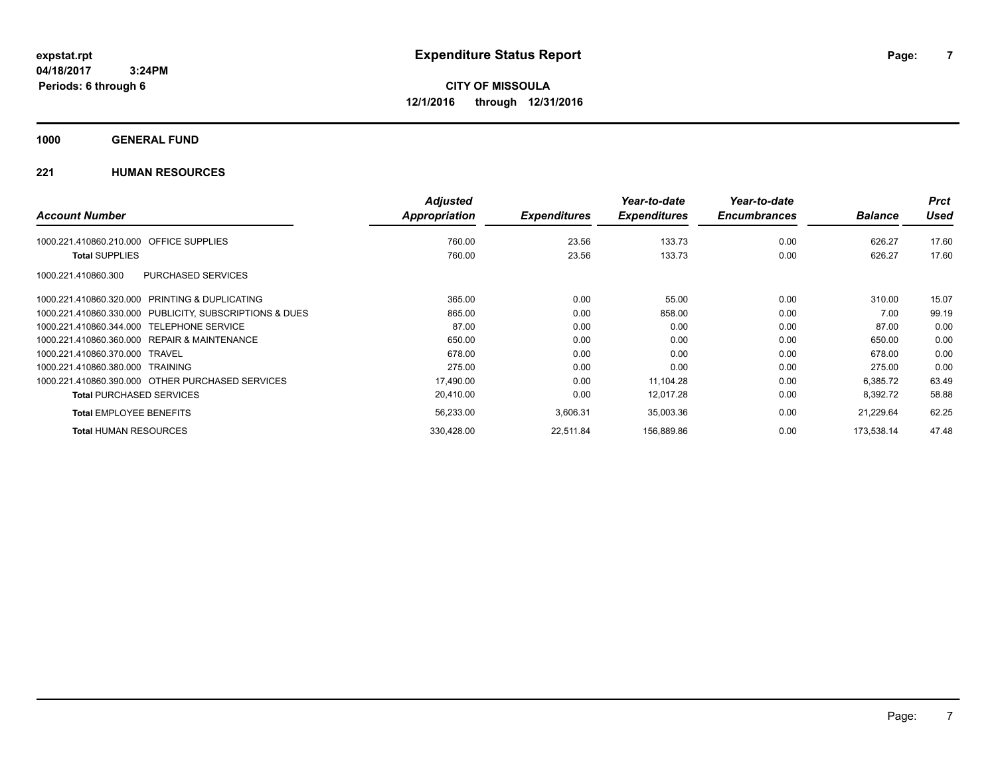**1000 GENERAL FUND**

|                                                         | <b>Adjusted</b> |                     | Year-to-date        | Year-to-date        |                | <b>Prct</b> |
|---------------------------------------------------------|-----------------|---------------------|---------------------|---------------------|----------------|-------------|
| <b>Account Number</b>                                   | Appropriation   | <b>Expenditures</b> | <b>Expenditures</b> | <b>Encumbrances</b> | <b>Balance</b> | <b>Used</b> |
| <b>OFFICE SUPPLIES</b><br>1000.221.410860.210.000       | 760.00          | 23.56               | 133.73              | 0.00                | 626.27         | 17.60       |
| <b>Total SUPPLIES</b>                                   | 760.00          | 23.56               | 133.73              | 0.00                | 626.27         | 17.60       |
| <b>PURCHASED SERVICES</b><br>1000.221.410860.300        |                 |                     |                     |                     |                |             |
| 1000.221.410860.320.000 PRINTING & DUPLICATING          | 365.00          | 0.00                | 55.00               | 0.00                | 310.00         | 15.07       |
| 1000.221.410860.330.000 PUBLICITY, SUBSCRIPTIONS & DUES | 865.00          | 0.00                | 858.00              | 0.00                | 7.00           | 99.19       |
| 1000.221.410860.344.000 TELEPHONE SERVICE               | 87.00           | 0.00                | 0.00                | 0.00                | 87.00          | 0.00        |
| 1000.221.410860.360.000 REPAIR & MAINTENANCE            | 650.00          | 0.00                | 0.00                | 0.00                | 650.00         | 0.00        |
| 1000.221.410860.370.000 TRAVEL                          | 678.00          | 0.00                | 0.00                | 0.00                | 678.00         | 0.00        |
| 1000.221.410860.380.000 TRAINING                        | 275.00          | 0.00                | 0.00                | 0.00                | 275.00         | 0.00        |
| 1000.221.410860.390.000 OTHER PURCHASED SERVICES        | 17,490.00       | 0.00                | 11,104.28           | 0.00                | 6,385.72       | 63.49       |
| <b>Total PURCHASED SERVICES</b>                         | 20,410.00       | 0.00                | 12,017.28           | 0.00                | 8,392.72       | 58.88       |
| <b>Total EMPLOYEE BENEFITS</b>                          | 56,233.00       | 3,606.31            | 35,003.36           | 0.00                | 21,229.64      | 62.25       |
| <b>Total HUMAN RESOURCES</b>                            | 330.428.00      | 22.511.84           | 156.889.86          | 0.00                | 173.538.14     | 47.48       |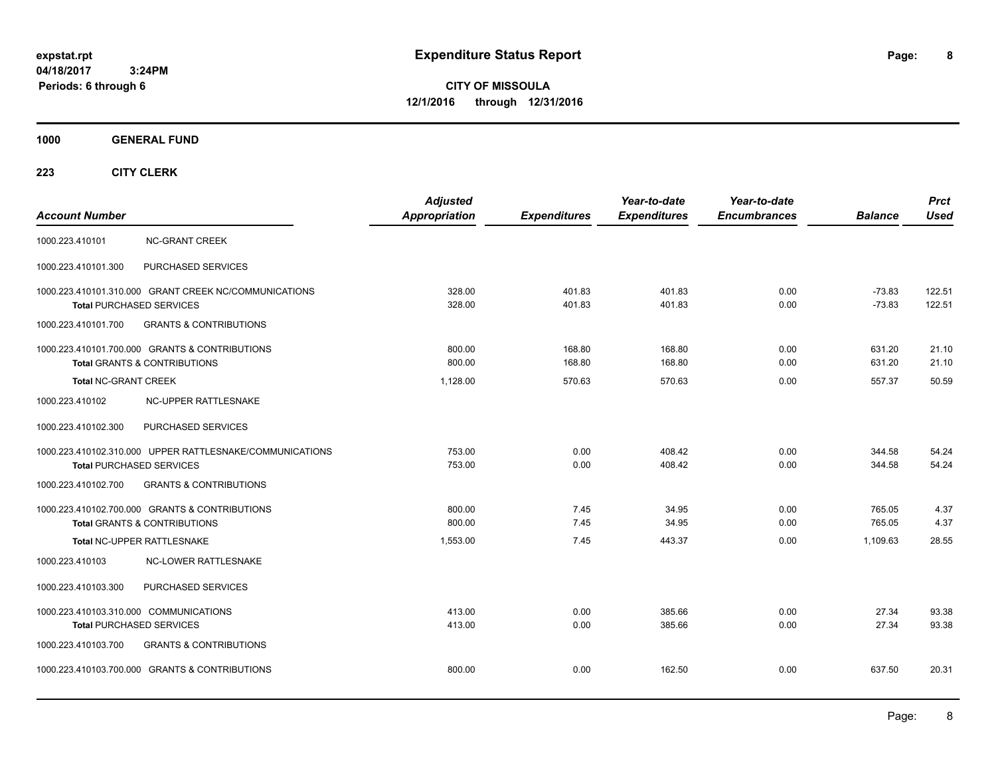**CITY OF MISSOULA 12/1/2016 through 12/31/2016**

**1000 GENERAL FUND**

| <b>Account Number</b>                  |                                                                                             | <b>Adjusted</b><br>Appropriation | <b>Expenditures</b> | Year-to-date<br><b>Expenditures</b> | Year-to-date<br><b>Encumbrances</b> | <b>Balance</b>       | <b>Prct</b><br><b>Used</b> |
|----------------------------------------|---------------------------------------------------------------------------------------------|----------------------------------|---------------------|-------------------------------------|-------------------------------------|----------------------|----------------------------|
| 1000.223.410101                        | <b>NC-GRANT CREEK</b>                                                                       |                                  |                     |                                     |                                     |                      |                            |
| 1000.223.410101.300                    | PURCHASED SERVICES                                                                          |                                  |                     |                                     |                                     |                      |                            |
|                                        | 1000.223.410101.310.000 GRANT CREEK NC/COMMUNICATIONS<br>Total PURCHASED SERVICES           | 328.00<br>328.00                 | 401.83<br>401.83    | 401.83<br>401.83                    | 0.00<br>0.00                        | $-73.83$<br>$-73.83$ | 122.51<br>122.51           |
| 1000.223.410101.700                    | <b>GRANTS &amp; CONTRIBUTIONS</b>                                                           |                                  |                     |                                     |                                     |                      |                            |
|                                        | 1000.223.410101.700.000 GRANTS & CONTRIBUTIONS<br><b>Total GRANTS &amp; CONTRIBUTIONS</b>   | 800.00<br>800.00                 | 168.80<br>168.80    | 168.80<br>168.80                    | 0.00<br>0.00                        | 631.20<br>631.20     | 21.10<br>21.10             |
| <b>Total NC-GRANT CREEK</b>            |                                                                                             | 1.128.00                         | 570.63              | 570.63                              | 0.00                                | 557.37               | 50.59                      |
| 1000.223.410102                        | NC-UPPER RATTLESNAKE                                                                        |                                  |                     |                                     |                                     |                      |                            |
| 1000.223.410102.300                    | PURCHASED SERVICES                                                                          |                                  |                     |                                     |                                     |                      |                            |
|                                        | 1000.223.410102.310.000 UPPER RATTLESNAKE/COMMUNICATIONS<br><b>Total PURCHASED SERVICES</b> | 753.00<br>753.00                 | 0.00<br>0.00        | 408.42<br>408.42                    | 0.00<br>0.00                        | 344.58<br>344.58     | 54.24<br>54.24             |
| 1000.223.410102.700                    | <b>GRANTS &amp; CONTRIBUTIONS</b>                                                           |                                  |                     |                                     |                                     |                      |                            |
|                                        | 1000.223.410102.700.000 GRANTS & CONTRIBUTIONS<br><b>Total GRANTS &amp; CONTRIBUTIONS</b>   | 800.00<br>800.00                 | 7.45<br>7.45        | 34.95<br>34.95                      | 0.00<br>0.00                        | 765.05<br>765.05     | 4.37<br>4.37               |
|                                        | Total NC-UPPER RATTLESNAKE                                                                  | 1,553.00                         | 7.45                | 443.37                              | 0.00                                | 1,109.63             | 28.55                      |
| 1000.223.410103                        | <b>NC-LOWER RATTLESNAKE</b>                                                                 |                                  |                     |                                     |                                     |                      |                            |
| 1000.223.410103.300                    | PURCHASED SERVICES                                                                          |                                  |                     |                                     |                                     |                      |                            |
| 1000.223.410103.310.000 COMMUNICATIONS | Total PURCHASED SERVICES                                                                    | 413.00<br>413.00                 | 0.00<br>0.00        | 385.66<br>385.66                    | 0.00<br>0.00                        | 27.34<br>27.34       | 93.38<br>93.38             |
| 1000.223.410103.700                    | <b>GRANTS &amp; CONTRIBUTIONS</b>                                                           |                                  |                     |                                     |                                     |                      |                            |
|                                        | 1000.223.410103.700.000 GRANTS & CONTRIBUTIONS                                              | 800.00                           | 0.00                | 162.50                              | 0.00                                | 637.50               | 20.31                      |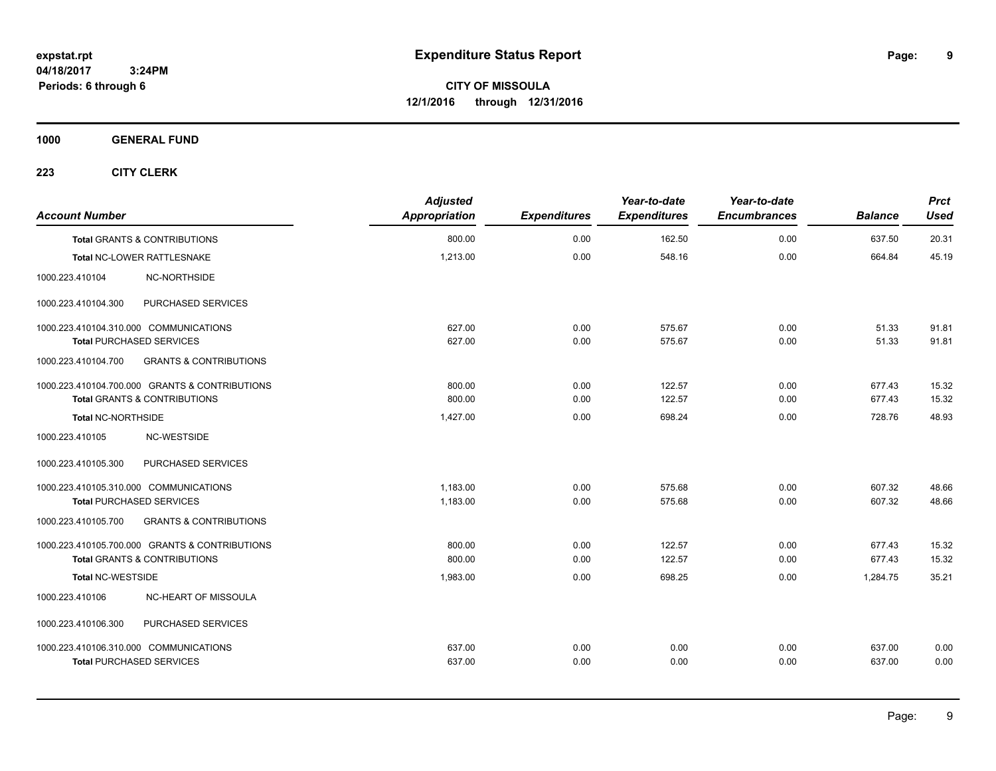**CITY OF MISSOULA 12/1/2016 through 12/31/2016**

**1000 GENERAL FUND**

| <b>Account Number</b>                   |                                                | <b>Adjusted</b><br>Appropriation | <b>Expenditures</b> | Year-to-date<br><b>Expenditures</b> | Year-to-date<br><b>Encumbrances</b> | <b>Balance</b> | <b>Prct</b><br><b>Used</b> |
|-----------------------------------------|------------------------------------------------|----------------------------------|---------------------|-------------------------------------|-------------------------------------|----------------|----------------------------|
| <b>Total GRANTS &amp; CONTRIBUTIONS</b> |                                                | 800.00                           | 0.00                | 162.50                              | 0.00                                | 637.50         | 20.31                      |
| Total NC-LOWER RATTLESNAKE              |                                                | 1,213.00                         | 0.00                | 548.16                              | 0.00                                | 664.84         | 45.19                      |
| 1000.223.410104                         | NC-NORTHSIDE                                   |                                  |                     |                                     |                                     |                |                            |
| 1000.223.410104.300                     | PURCHASED SERVICES                             |                                  |                     |                                     |                                     |                |                            |
| 1000.223.410104.310.000 COMMUNICATIONS  |                                                | 627.00                           | 0.00                | 575.67                              | 0.00                                | 51.33          | 91.81                      |
| <b>Total PURCHASED SERVICES</b>         |                                                | 627.00                           | 0.00                | 575.67                              | 0.00                                | 51.33          | 91.81                      |
| 1000.223.410104.700                     | <b>GRANTS &amp; CONTRIBUTIONS</b>              |                                  |                     |                                     |                                     |                |                            |
|                                         | 1000.223.410104.700.000 GRANTS & CONTRIBUTIONS | 800.00                           | 0.00                | 122.57                              | 0.00                                | 677.43         | 15.32                      |
| <b>Total GRANTS &amp; CONTRIBUTIONS</b> |                                                | 800.00                           | 0.00                | 122.57                              | 0.00                                | 677.43         | 15.32                      |
| <b>Total NC-NORTHSIDE</b>               |                                                | 1,427.00                         | 0.00                | 698.24                              | 0.00                                | 728.76         | 48.93                      |
| 1000.223.410105                         | NC-WESTSIDE                                    |                                  |                     |                                     |                                     |                |                            |
| 1000.223.410105.300                     | PURCHASED SERVICES                             |                                  |                     |                                     |                                     |                |                            |
| 1000.223.410105.310.000 COMMUNICATIONS  |                                                | 1,183.00                         | 0.00                | 575.68                              | 0.00                                | 607.32         | 48.66                      |
| <b>Total PURCHASED SERVICES</b>         |                                                | 1,183.00                         | 0.00                | 575.68                              | 0.00                                | 607.32         | 48.66                      |
| 1000.223.410105.700                     | <b>GRANTS &amp; CONTRIBUTIONS</b>              |                                  |                     |                                     |                                     |                |                            |
|                                         | 1000.223.410105.700.000 GRANTS & CONTRIBUTIONS | 800.00                           | 0.00                | 122.57                              | 0.00                                | 677.43         | 15.32                      |
| <b>Total GRANTS &amp; CONTRIBUTIONS</b> |                                                | 800.00                           | 0.00                | 122.57                              | 0.00                                | 677.43         | 15.32                      |
| <b>Total NC-WESTSIDE</b>                |                                                | 1,983.00                         | 0.00                | 698.25                              | 0.00                                | 1,284.75       | 35.21                      |
| 1000.223.410106                         | NC-HEART OF MISSOULA                           |                                  |                     |                                     |                                     |                |                            |
| 1000.223.410106.300                     | PURCHASED SERVICES                             |                                  |                     |                                     |                                     |                |                            |
| 1000.223.410106.310.000 COMMUNICATIONS  |                                                | 637.00                           | 0.00                | 0.00                                | 0.00                                | 637.00         | 0.00                       |
| <b>Total PURCHASED SERVICES</b>         |                                                | 637.00                           | 0.00                | 0.00                                | 0.00                                | 637.00         | 0.00                       |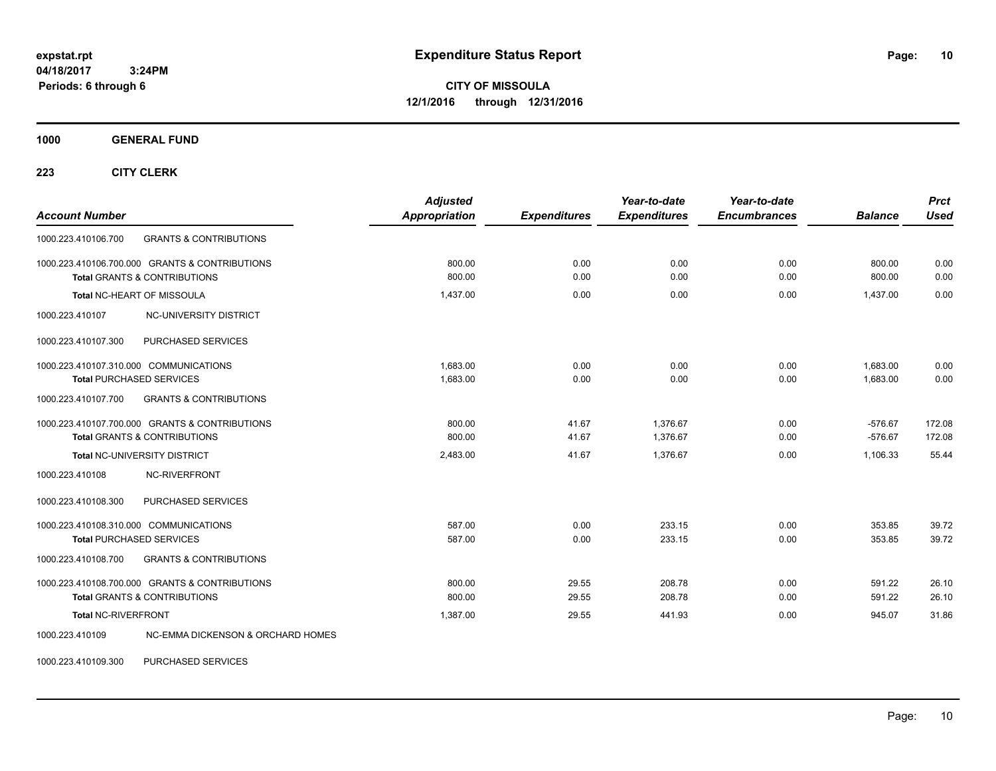**CITY OF MISSOULA 12/1/2016 through 12/31/2016**

**1000 GENERAL FUND**

**223 CITY CLERK**

| <b>Account Number</b>                                                                     | <b>Adjusted</b><br><b>Appropriation</b> | <b>Expenditures</b> | Year-to-date<br><b>Expenditures</b> | Year-to-date<br><b>Encumbrances</b> | <b>Balance</b>         | <b>Prct</b><br><b>Used</b> |
|-------------------------------------------------------------------------------------------|-----------------------------------------|---------------------|-------------------------------------|-------------------------------------|------------------------|----------------------------|
| <b>GRANTS &amp; CONTRIBUTIONS</b><br>1000.223.410106.700                                  |                                         |                     |                                     |                                     |                        |                            |
| 1000.223.410106.700.000 GRANTS & CONTRIBUTIONS<br><b>Total GRANTS &amp; CONTRIBUTIONS</b> | 800.00<br>800.00                        | 0.00<br>0.00        | 0.00<br>0.00                        | 0.00<br>0.00                        | 800.00<br>800.00       | 0.00<br>0.00               |
| Total NC-HEART OF MISSOULA                                                                | 1.437.00                                | 0.00                | 0.00                                | 0.00                                | 1,437.00               | 0.00                       |
| 1000.223.410107<br><b>NC-UNIVERSITY DISTRICT</b>                                          |                                         |                     |                                     |                                     |                        |                            |
| PURCHASED SERVICES<br>1000.223.410107.300                                                 |                                         |                     |                                     |                                     |                        |                            |
| 1000.223.410107.310.000 COMMUNICATIONS<br><b>Total PURCHASED SERVICES</b>                 | 1,683.00<br>1,683.00                    | 0.00<br>0.00        | 0.00<br>0.00                        | 0.00<br>0.00                        | 1,683.00<br>1,683.00   | 0.00<br>0.00               |
| <b>GRANTS &amp; CONTRIBUTIONS</b><br>1000.223.410107.700                                  |                                         |                     |                                     |                                     |                        |                            |
| 1000.223.410107.700.000 GRANTS & CONTRIBUTIONS<br><b>Total GRANTS &amp; CONTRIBUTIONS</b> | 800.00<br>800.00                        | 41.67<br>41.67      | 1.376.67<br>1,376.67                | 0.00<br>0.00                        | $-576.67$<br>$-576.67$ | 172.08<br>172.08           |
| Total NC-UNIVERSITY DISTRICT                                                              | 2,483.00                                | 41.67               | 1.376.67                            | 0.00                                | 1,106.33               | 55.44                      |
| 1000.223.410108<br>NC-RIVERFRONT                                                          |                                         |                     |                                     |                                     |                        |                            |
| 1000.223.410108.300<br>PURCHASED SERVICES                                                 |                                         |                     |                                     |                                     |                        |                            |
| 1000.223.410108.310.000 COMMUNICATIONS<br><b>Total PURCHASED SERVICES</b>                 | 587.00<br>587.00                        | 0.00<br>0.00        | 233.15<br>233.15                    | 0.00<br>0.00                        | 353.85<br>353.85       | 39.72<br>39.72             |
| <b>GRANTS &amp; CONTRIBUTIONS</b><br>1000.223.410108.700                                  |                                         |                     |                                     |                                     |                        |                            |
| 1000.223.410108.700.000 GRANTS & CONTRIBUTIONS<br><b>Total GRANTS &amp; CONTRIBUTIONS</b> | 800.00<br>800.00                        | 29.55<br>29.55      | 208.78<br>208.78                    | 0.00<br>0.00                        | 591.22<br>591.22       | 26.10<br>26.10             |
| <b>Total NC-RIVERFRONT</b>                                                                | 1.387.00                                | 29.55               | 441.93                              | 0.00                                | 945.07                 | 31.86                      |
| NC-EMMA DICKENSON & ORCHARD HOMES<br>1000.223.410109                                      |                                         |                     |                                     |                                     |                        |                            |

1000.223.410109.300 PURCHASED SERVICES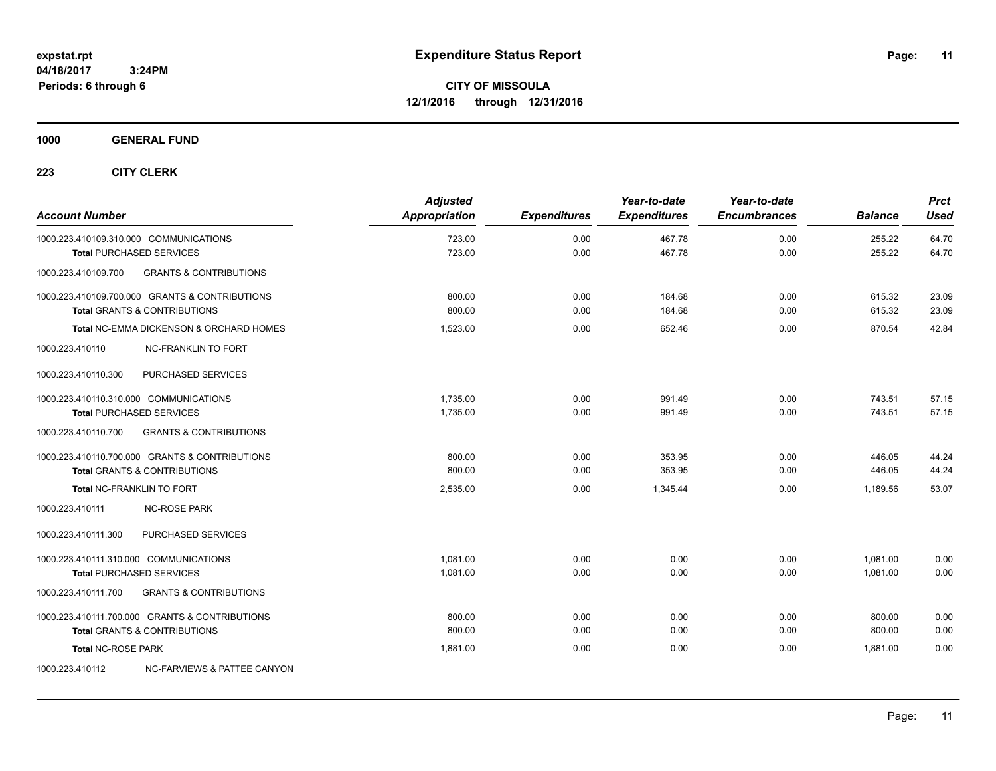**Periods: 6 through 6**

**CITY OF MISSOULA 12/1/2016 through 12/31/2016**

**1000 GENERAL FUND**

| <b>Account Number</b>                  |                                                                                           | <b>Adjusted</b><br>Appropriation | <b>Expenditures</b> | Year-to-date<br><b>Expenditures</b> | Year-to-date<br><b>Encumbrances</b> | <b>Balance</b>   | <b>Prct</b><br><b>Used</b> |
|----------------------------------------|-------------------------------------------------------------------------------------------|----------------------------------|---------------------|-------------------------------------|-------------------------------------|------------------|----------------------------|
| 1000.223.410109.310.000 COMMUNICATIONS |                                                                                           | 723.00<br>723.00                 | 0.00<br>0.00        | 467.78<br>467.78                    | 0.00<br>0.00                        | 255.22<br>255.22 | 64.70<br>64.70             |
| 1000.223.410109.700                    | <b>Total PURCHASED SERVICES</b><br><b>GRANTS &amp; CONTRIBUTIONS</b>                      |                                  |                     |                                     |                                     |                  |                            |
|                                        |                                                                                           |                                  |                     |                                     |                                     |                  |                            |
|                                        | 1000.223.410109.700.000 GRANTS & CONTRIBUTIONS<br><b>Total GRANTS &amp; CONTRIBUTIONS</b> | 800.00<br>800.00                 | 0.00<br>0.00        | 184.68<br>184.68                    | 0.00<br>0.00                        | 615.32<br>615.32 | 23.09<br>23.09             |
|                                        | Total NC-EMMA DICKENSON & ORCHARD HOMES                                                   | 1,523.00                         | 0.00                | 652.46                              | 0.00                                | 870.54           | 42.84                      |
| 1000.223.410110                        | <b>NC-FRANKLIN TO FORT</b>                                                                |                                  |                     |                                     |                                     |                  |                            |
| 1000.223.410110.300                    | PURCHASED SERVICES                                                                        |                                  |                     |                                     |                                     |                  |                            |
| 1000.223.410110.310.000 COMMUNICATIONS |                                                                                           | 1.735.00                         | 0.00                | 991.49                              | 0.00                                | 743.51           | 57.15                      |
|                                        | <b>Total PURCHASED SERVICES</b>                                                           | 1,735.00                         | 0.00                | 991.49                              | 0.00                                | 743.51           | 57.15                      |
| 1000.223.410110.700                    | <b>GRANTS &amp; CONTRIBUTIONS</b>                                                         |                                  |                     |                                     |                                     |                  |                            |
|                                        | 1000.223.410110.700.000 GRANTS & CONTRIBUTIONS                                            | 800.00                           | 0.00                | 353.95                              | 0.00                                | 446.05           | 44.24                      |
|                                        | <b>Total GRANTS &amp; CONTRIBUTIONS</b>                                                   | 800.00                           | 0.00                | 353.95                              | 0.00                                | 446.05           | 44.24                      |
| <b>Total NC-FRANKLIN TO FORT</b>       |                                                                                           | 2,535.00                         | 0.00                | 1,345.44                            | 0.00                                | 1,189.56         | 53.07                      |
| 1000.223.410111                        | <b>NC-ROSE PARK</b>                                                                       |                                  |                     |                                     |                                     |                  |                            |
| 1000.223.410111.300                    | PURCHASED SERVICES                                                                        |                                  |                     |                                     |                                     |                  |                            |
| 1000.223.410111.310.000 COMMUNICATIONS |                                                                                           | 1.081.00                         | 0.00                | 0.00                                | 0.00                                | 1,081.00         | 0.00                       |
|                                        | <b>Total PURCHASED SERVICES</b>                                                           | 1,081.00                         | 0.00                | 0.00                                | 0.00                                | 1,081.00         | 0.00                       |
| 1000.223.410111.700                    | <b>GRANTS &amp; CONTRIBUTIONS</b>                                                         |                                  |                     |                                     |                                     |                  |                            |
|                                        | 1000.223.410111.700.000 GRANTS & CONTRIBUTIONS                                            | 800.00                           | 0.00                | 0.00                                | 0.00                                | 800.00           | 0.00                       |
|                                        | <b>Total GRANTS &amp; CONTRIBUTIONS</b>                                                   | 800.00                           | 0.00                | 0.00                                | 0.00                                | 800.00           | 0.00                       |
| <b>Total NC-ROSE PARK</b>              |                                                                                           | 1.881.00                         | 0.00                | 0.00                                | 0.00                                | 1.881.00         | 0.00                       |
| 1000.223.410112                        | NC-FARVIEWS & PATTEE CANYON                                                               |                                  |                     |                                     |                                     |                  |                            |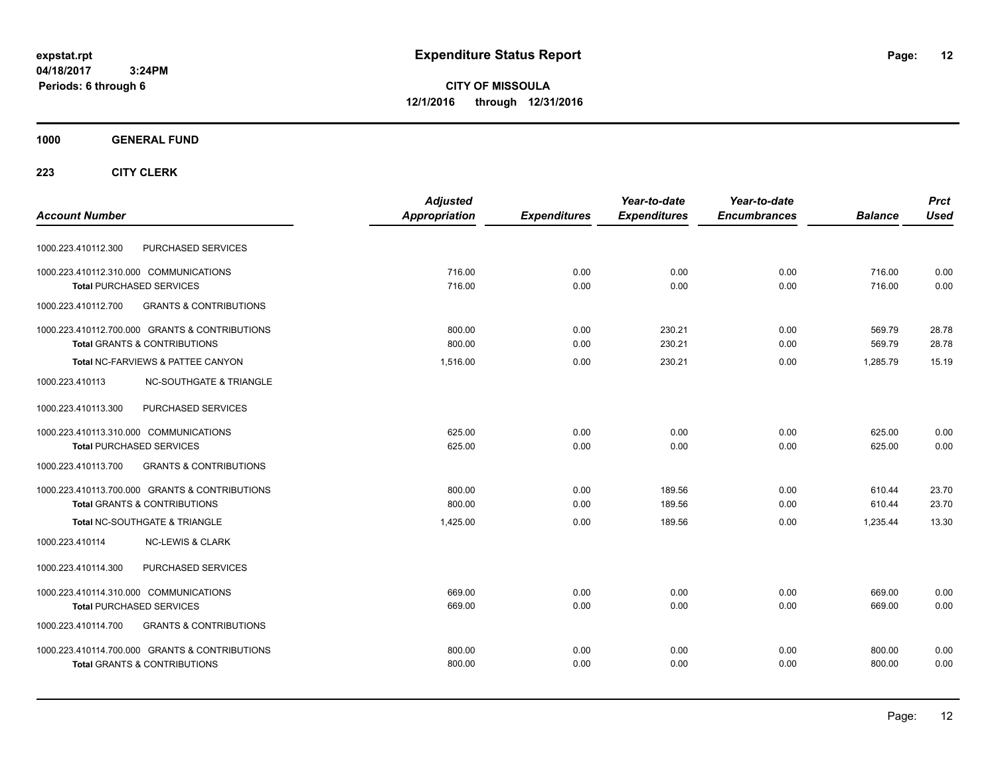**CITY OF MISSOULA 12/1/2016 through 12/31/2016**

### **1000 GENERAL FUND**

|                                                          | <b>Adjusted</b> |                     | Year-to-date        | Year-to-date        |                | <b>Prct</b> |
|----------------------------------------------------------|-----------------|---------------------|---------------------|---------------------|----------------|-------------|
| <b>Account Number</b>                                    | Appropriation   | <b>Expenditures</b> | <b>Expenditures</b> | <b>Encumbrances</b> | <b>Balance</b> | <b>Used</b> |
| PURCHASED SERVICES<br>1000.223.410112.300                |                 |                     |                     |                     |                |             |
| 1000.223.410112.310.000 COMMUNICATIONS                   | 716.00          | 0.00                | 0.00                | 0.00                | 716.00         | 0.00        |
| <b>Total PURCHASED SERVICES</b>                          | 716.00          | 0.00                | 0.00                | 0.00                | 716.00         | 0.00        |
| 1000.223.410112.700<br><b>GRANTS &amp; CONTRIBUTIONS</b> |                 |                     |                     |                     |                |             |
| 1000.223.410112.700.000 GRANTS & CONTRIBUTIONS           | 800.00          | 0.00                | 230.21              | 0.00                | 569.79         | 28.78       |
| <b>Total GRANTS &amp; CONTRIBUTIONS</b>                  | 800.00          | 0.00                | 230.21              | 0.00                | 569.79         | 28.78       |
| Total NC-FARVIEWS & PATTEE CANYON                        | 1,516.00        | 0.00                | 230.21              | 0.00                | 1.285.79       | 15.19       |
| <b>NC-SOUTHGATE &amp; TRIANGLE</b><br>1000.223.410113    |                 |                     |                     |                     |                |             |
| 1000.223.410113.300<br>PURCHASED SERVICES                |                 |                     |                     |                     |                |             |
| 1000.223.410113.310.000 COMMUNICATIONS                   | 625.00          | 0.00                | 0.00                | 0.00                | 625.00         | 0.00        |
| <b>Total PURCHASED SERVICES</b>                          | 625.00          | 0.00                | 0.00                | 0.00                | 625.00         | 0.00        |
| 1000.223.410113.700<br><b>GRANTS &amp; CONTRIBUTIONS</b> |                 |                     |                     |                     |                |             |
| 1000.223.410113.700.000 GRANTS & CONTRIBUTIONS           | 800.00          | 0.00                | 189.56              | 0.00                | 610.44         | 23.70       |
| <b>Total GRANTS &amp; CONTRIBUTIONS</b>                  | 800.00          | 0.00                | 189.56              | 0.00                | 610.44         | 23.70       |
| Total NC-SOUTHGATE & TRIANGLE                            | 1,425.00        | 0.00                | 189.56              | 0.00                | 1.235.44       | 13.30       |
| 1000.223.410114<br><b>NC-LEWIS &amp; CLARK</b>           |                 |                     |                     |                     |                |             |
| PURCHASED SERVICES<br>1000.223.410114.300                |                 |                     |                     |                     |                |             |
| 1000.223.410114.310.000 COMMUNICATIONS                   | 669.00          | 0.00                | 0.00                | 0.00                | 669.00         | 0.00        |
| <b>Total PURCHASED SERVICES</b>                          | 669.00          | 0.00                | 0.00                | 0.00                | 669.00         | 0.00        |
| <b>GRANTS &amp; CONTRIBUTIONS</b><br>1000.223.410114.700 |                 |                     |                     |                     |                |             |
| 1000.223.410114.700.000 GRANTS & CONTRIBUTIONS           | 800.00          | 0.00                | 0.00                | 0.00                | 800.00         | 0.00        |
| <b>Total GRANTS &amp; CONTRIBUTIONS</b>                  | 800.00          | 0.00                | 0.00                | 0.00                | 800.00         | 0.00        |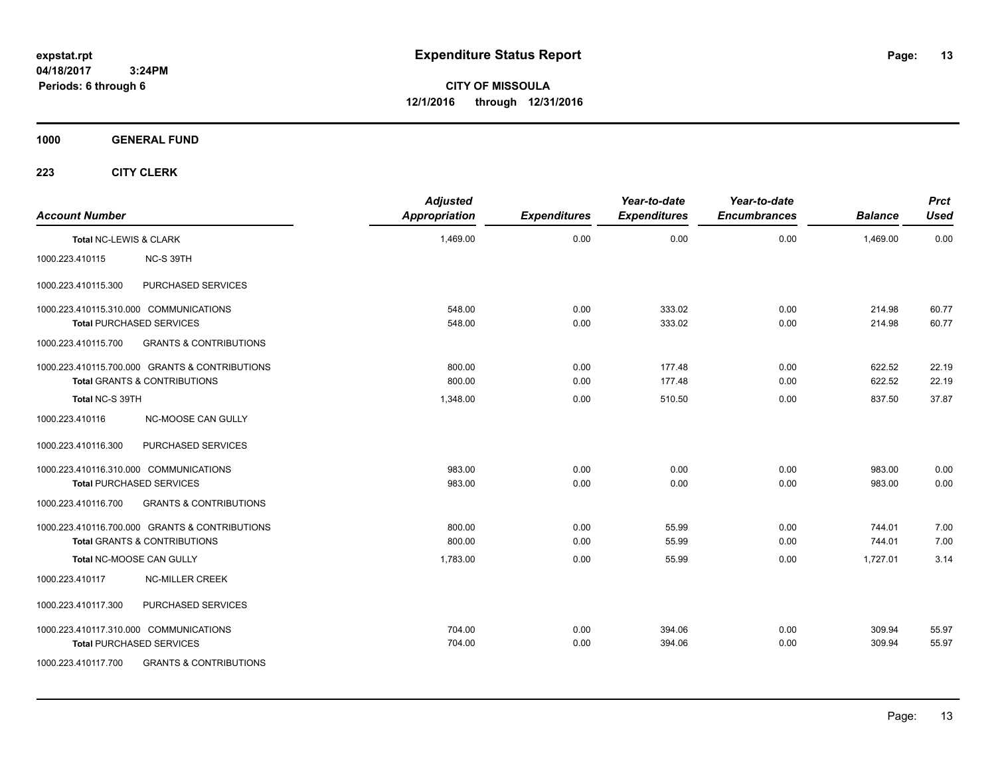**CITY OF MISSOULA 12/1/2016 through 12/31/2016**

**1000 GENERAL FUND**

| <b>Account Number</b>  |                                                                                           | <b>Adjusted</b><br><b>Appropriation</b> | <b>Expenditures</b> | Year-to-date<br><b>Expenditures</b> | Year-to-date<br><b>Encumbrances</b> | <b>Balance</b>   | <b>Prct</b><br><b>Used</b> |
|------------------------|-------------------------------------------------------------------------------------------|-----------------------------------------|---------------------|-------------------------------------|-------------------------------------|------------------|----------------------------|
| Total NC-LEWIS & CLARK |                                                                                           | 1,469.00                                | 0.00                | 0.00                                | 0.00                                | 1,469.00         | 0.00                       |
| 1000.223.410115        | NC-S 39TH                                                                                 |                                         |                     |                                     |                                     |                  |                            |
| 1000.223.410115.300    | PURCHASED SERVICES                                                                        |                                         |                     |                                     |                                     |                  |                            |
|                        | 1000.223.410115.310.000 COMMUNICATIONS<br><b>Total PURCHASED SERVICES</b>                 | 548.00<br>548.00                        | 0.00<br>0.00        | 333.02<br>333.02                    | 0.00<br>0.00                        | 214.98<br>214.98 | 60.77<br>60.77             |
| 1000.223.410115.700    | <b>GRANTS &amp; CONTRIBUTIONS</b>                                                         |                                         |                     |                                     |                                     |                  |                            |
|                        | 1000.223.410115.700.000 GRANTS & CONTRIBUTIONS<br><b>Total GRANTS &amp; CONTRIBUTIONS</b> | 800.00<br>800.00                        | 0.00<br>0.00        | 177.48<br>177.48                    | 0.00<br>0.00                        | 622.52<br>622.52 | 22.19<br>22.19             |
| Total NC-S 39TH        |                                                                                           | 1,348.00                                | 0.00                | 510.50                              | 0.00                                | 837.50           | 37.87                      |
| 1000.223.410116        | <b>NC-MOOSE CAN GULLY</b>                                                                 |                                         |                     |                                     |                                     |                  |                            |
| 1000.223.410116.300    | PURCHASED SERVICES                                                                        |                                         |                     |                                     |                                     |                  |                            |
|                        | 1000.223.410116.310.000 COMMUNICATIONS<br><b>Total PURCHASED SERVICES</b>                 | 983.00<br>983.00                        | 0.00<br>0.00        | 0.00<br>0.00                        | 0.00<br>0.00                        | 983.00<br>983.00 | 0.00<br>0.00               |
| 1000.223.410116.700    | <b>GRANTS &amp; CONTRIBUTIONS</b>                                                         |                                         |                     |                                     |                                     |                  |                            |
|                        | 1000.223.410116.700.000 GRANTS & CONTRIBUTIONS<br><b>Total GRANTS &amp; CONTRIBUTIONS</b> | 800.00<br>800.00                        | 0.00<br>0.00        | 55.99<br>55.99                      | 0.00<br>0.00                        | 744.01<br>744.01 | 7.00<br>7.00               |
|                        | Total NC-MOOSE CAN GULLY                                                                  | 1,783.00                                | 0.00                | 55.99                               | 0.00                                | 1,727.01         | 3.14                       |
| 1000.223.410117        | <b>NC-MILLER CREEK</b>                                                                    |                                         |                     |                                     |                                     |                  |                            |
| 1000.223.410117.300    | PURCHASED SERVICES                                                                        |                                         |                     |                                     |                                     |                  |                            |
|                        | 1000.223.410117.310.000 COMMUNICATIONS<br><b>Total PURCHASED SERVICES</b>                 | 704.00<br>704.00                        | 0.00<br>0.00        | 394.06<br>394.06                    | 0.00<br>0.00                        | 309.94<br>309.94 | 55.97<br>55.97             |
| 1000.223.410117.700    | <b>GRANTS &amp; CONTRIBUTIONS</b>                                                         |                                         |                     |                                     |                                     |                  |                            |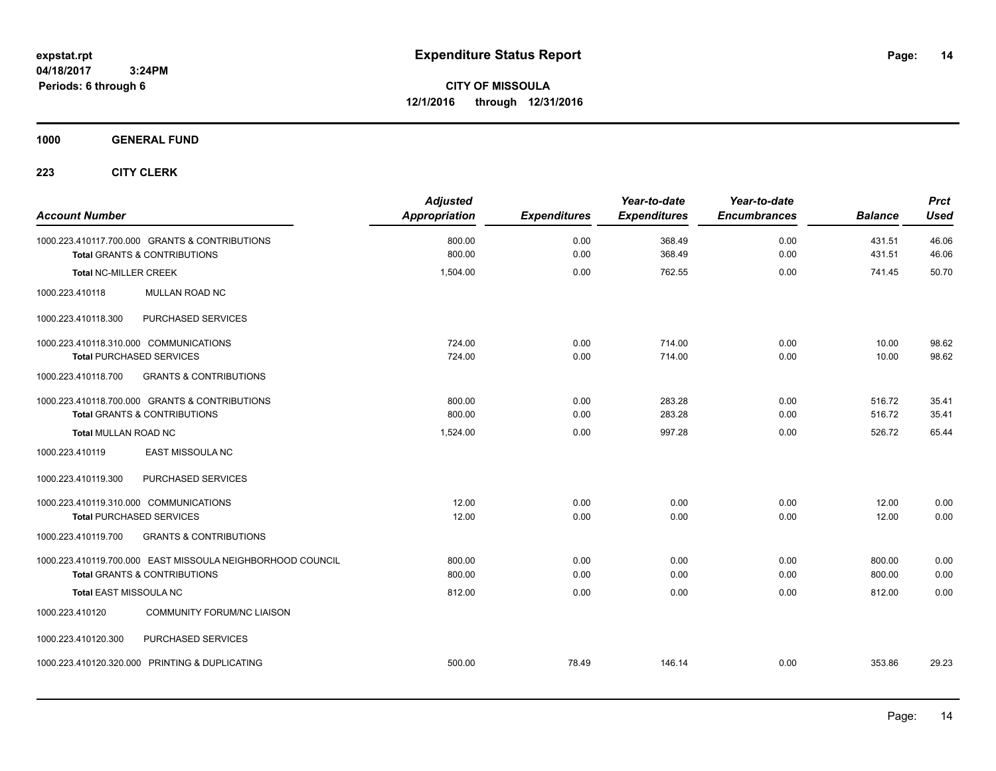**CITY OF MISSOULA 12/1/2016 through 12/31/2016**

**1000 GENERAL FUND**

| <b>Account Number</b>                                                                     | <b>Adjusted</b><br><b>Appropriation</b> | <b>Expenditures</b> | Year-to-date<br><b>Expenditures</b> | Year-to-date<br><b>Encumbrances</b> | <b>Balance</b>   | <b>Prct</b><br><b>Used</b> |
|-------------------------------------------------------------------------------------------|-----------------------------------------|---------------------|-------------------------------------|-------------------------------------|------------------|----------------------------|
| 1000.223.410117.700.000 GRANTS & CONTRIBUTIONS<br><b>Total GRANTS &amp; CONTRIBUTIONS</b> | 800.00<br>800.00                        | 0.00<br>0.00        | 368.49<br>368.49                    | 0.00<br>0.00                        | 431.51<br>431.51 | 46.06<br>46.06             |
|                                                                                           |                                         |                     | 762.55                              | 0.00                                |                  | 50.70                      |
| <b>Total NC-MILLER CREEK</b>                                                              | 1,504.00                                | 0.00                |                                     |                                     | 741.45           |                            |
| MULLAN ROAD NC<br>1000.223.410118                                                         |                                         |                     |                                     |                                     |                  |                            |
| PURCHASED SERVICES<br>1000.223.410118.300                                                 |                                         |                     |                                     |                                     |                  |                            |
| 1000.223.410118.310.000 COMMUNICATIONS                                                    | 724.00                                  | 0.00                | 714.00                              | 0.00                                | 10.00            | 98.62                      |
| <b>Total PURCHASED SERVICES</b>                                                           | 724.00                                  | 0.00                | 714.00                              | 0.00                                | 10.00            | 98.62                      |
| 1000.223.410118.700<br><b>GRANTS &amp; CONTRIBUTIONS</b>                                  |                                         |                     |                                     |                                     |                  |                            |
| 1000.223.410118.700.000 GRANTS & CONTRIBUTIONS                                            | 800.00                                  | 0.00                | 283.28                              | 0.00                                | 516.72           | 35.41                      |
| Total GRANTS & CONTRIBUTIONS                                                              | 800.00                                  | 0.00                | 283.28                              | 0.00                                | 516.72           | 35.41                      |
| <b>Total MULLAN ROAD NC</b>                                                               | 1,524.00                                | 0.00                | 997.28                              | 0.00                                | 526.72           | 65.44                      |
| 1000.223.410119<br>EAST MISSOULA NC                                                       |                                         |                     |                                     |                                     |                  |                            |
| 1000.223.410119.300<br>PURCHASED SERVICES                                                 |                                         |                     |                                     |                                     |                  |                            |
| 1000.223.410119.310.000 COMMUNICATIONS                                                    | 12.00                                   | 0.00                | 0.00                                | 0.00                                | 12.00            | 0.00                       |
| <b>Total PURCHASED SERVICES</b>                                                           | 12.00                                   | 0.00                | 0.00                                | 0.00                                | 12.00            | 0.00                       |
| <b>GRANTS &amp; CONTRIBUTIONS</b><br>1000.223.410119.700                                  |                                         |                     |                                     |                                     |                  |                            |
| 1000.223.410119.700.000 EAST MISSOULA NEIGHBORHOOD COUNCIL                                | 800.00                                  | 0.00                | 0.00                                | 0.00                                | 800.00           | 0.00                       |
| <b>Total GRANTS &amp; CONTRIBUTIONS</b>                                                   | 800.00                                  | 0.00                | 0.00                                | 0.00                                | 800.00           | 0.00                       |
| <b>Total EAST MISSOULA NC</b>                                                             | 812.00                                  | 0.00                | 0.00                                | 0.00                                | 812.00           | 0.00                       |
| 1000.223.410120<br><b>COMMUNITY FORUM/NC LIAISON</b>                                      |                                         |                     |                                     |                                     |                  |                            |
| PURCHASED SERVICES<br>1000.223.410120.300                                                 |                                         |                     |                                     |                                     |                  |                            |
| 1000.223.410120.320.000 PRINTING & DUPLICATING                                            | 500.00                                  | 78.49               | 146.14                              | 0.00                                | 353.86           | 29.23                      |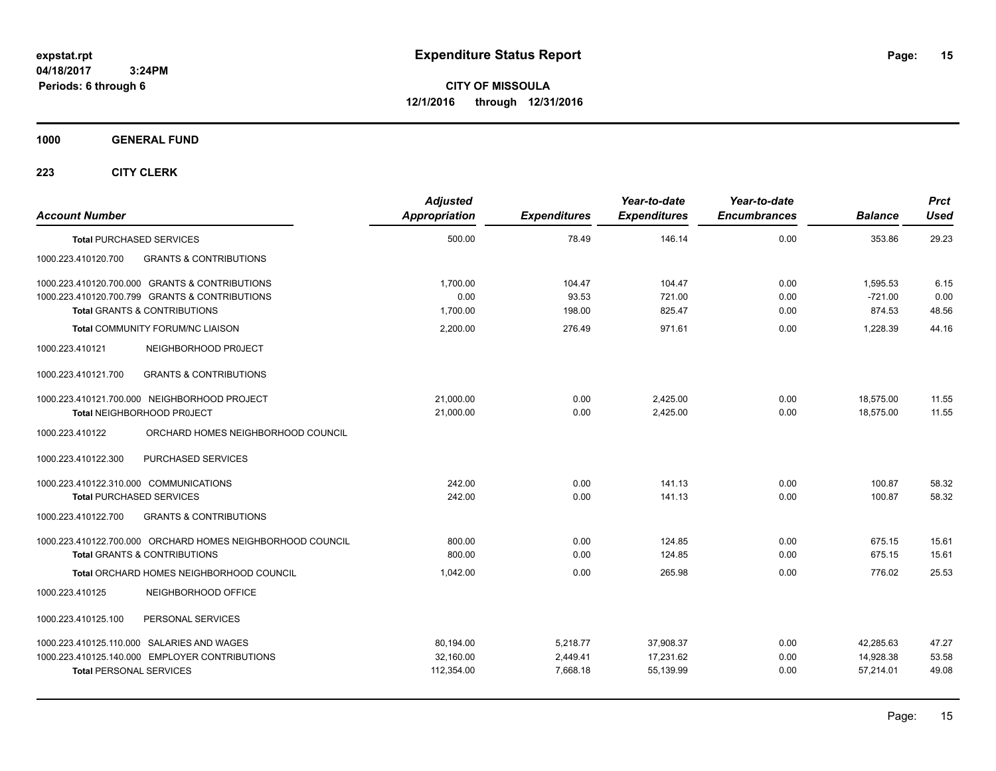**CITY OF MISSOULA 12/1/2016 through 12/31/2016**

**1000 GENERAL FUND**

| <b>Account Number</b>                                      | <b>Adjusted</b><br>Appropriation | <b>Expenditures</b> | Year-to-date<br><b>Expenditures</b> | Year-to-date<br><b>Encumbrances</b> | <b>Balance</b> | <b>Prct</b><br>Used |
|------------------------------------------------------------|----------------------------------|---------------------|-------------------------------------|-------------------------------------|----------------|---------------------|
| <b>Total PURCHASED SERVICES</b>                            | 500.00                           | 78.49               | 146.14                              | 0.00                                | 353.86         | 29.23               |
| 1000.223.410120.700<br><b>GRANTS &amp; CONTRIBUTIONS</b>   |                                  |                     |                                     |                                     |                |                     |
| 1000.223.410120.700.000 GRANTS & CONTRIBUTIONS             | 1,700.00                         | 104.47              | 104.47                              | 0.00                                | 1,595.53       | 6.15                |
| 1000.223.410120.700.799 GRANTS & CONTRIBUTIONS             | 0.00                             | 93.53               | 721.00                              | 0.00                                | $-721.00$      | 0.00                |
| <b>Total GRANTS &amp; CONTRIBUTIONS</b>                    | 1,700.00                         | 198.00              | 825.47                              | 0.00                                | 874.53         | 48.56               |
| <b>Total COMMUNITY FORUM/NC LIAISON</b>                    | 2,200.00                         | 276.49              | 971.61                              | 0.00                                | 1,228.39       | 44.16               |
| 1000.223.410121<br>NEIGHBORHOOD PROJECT                    |                                  |                     |                                     |                                     |                |                     |
| <b>GRANTS &amp; CONTRIBUTIONS</b><br>1000.223.410121.700   |                                  |                     |                                     |                                     |                |                     |
| 1000.223.410121.700.000 NEIGHBORHOOD PROJECT               | 21,000.00                        | 0.00                | 2,425.00                            | 0.00                                | 18,575.00      | 11.55               |
| Total NEIGHBORHOOD PROJECT                                 | 21,000.00                        | 0.00                | 2,425.00                            | 0.00                                | 18,575.00      | 11.55               |
| ORCHARD HOMES NEIGHBORHOOD COUNCIL<br>1000.223.410122      |                                  |                     |                                     |                                     |                |                     |
| 1000.223.410122.300<br>PURCHASED SERVICES                  |                                  |                     |                                     |                                     |                |                     |
| 1000.223.410122.310.000 COMMUNICATIONS                     | 242.00                           | 0.00                | 141.13                              | 0.00                                | 100.87         | 58.32               |
| <b>Total PURCHASED SERVICES</b>                            | 242.00                           | 0.00                | 141.13                              | 0.00                                | 100.87         | 58.32               |
| <b>GRANTS &amp; CONTRIBUTIONS</b><br>1000.223.410122.700   |                                  |                     |                                     |                                     |                |                     |
| 1000.223.410122.700.000 ORCHARD HOMES NEIGHBORHOOD COUNCIL | 800.00                           | 0.00                | 124.85                              | 0.00                                | 675.15         | 15.61               |
| <b>Total GRANTS &amp; CONTRIBUTIONS</b>                    | 800.00                           | 0.00                | 124.85                              | 0.00                                | 675.15         | 15.61               |
| <b>Total ORCHARD HOMES NEIGHBORHOOD COUNCIL</b>            | 1.042.00                         | 0.00                | 265.98                              | 0.00                                | 776.02         | 25.53               |
| 1000.223.410125<br>NEIGHBORHOOD OFFICE                     |                                  |                     |                                     |                                     |                |                     |
| PERSONAL SERVICES<br>1000.223.410125.100                   |                                  |                     |                                     |                                     |                |                     |
| 1000.223.410125.110.000 SALARIES AND WAGES                 | 80,194.00                        | 5,218.77            | 37,908.37                           | 0.00                                | 42.285.63      | 47.27               |
| 1000.223.410125.140.000 EMPLOYER CONTRIBUTIONS             | 32,160.00                        | 2,449.41            | 17,231.62                           | 0.00                                | 14,928.38      | 53.58               |
| <b>Total PERSONAL SERVICES</b>                             | 112,354.00                       | 7,668.18            | 55,139.99                           | 0.00                                | 57,214.01      | 49.08               |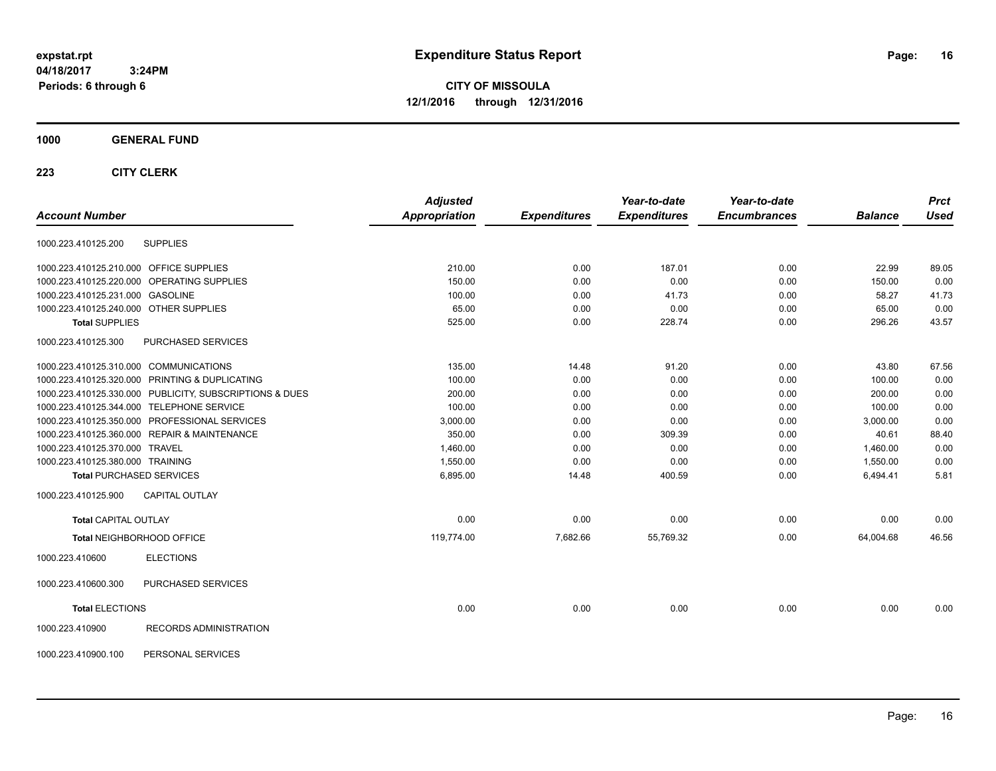**CITY OF MISSOULA 12/1/2016 through 12/31/2016**

### **1000 GENERAL FUND**

|                                                         | <b>Adjusted</b> |                     | Year-to-date        | Year-to-date        |                | <b>Prct</b> |
|---------------------------------------------------------|-----------------|---------------------|---------------------|---------------------|----------------|-------------|
| <b>Account Number</b>                                   | Appropriation   | <b>Expenditures</b> | <b>Expenditures</b> | <b>Encumbrances</b> | <b>Balance</b> | <b>Used</b> |
| <b>SUPPLIES</b><br>1000.223.410125.200                  |                 |                     |                     |                     |                |             |
| 1000.223.410125.210.000 OFFICE SUPPLIES                 | 210.00          | 0.00                | 187.01              | 0.00                | 22.99          | 89.05       |
| 1000.223.410125.220.000 OPERATING SUPPLIES              | 150.00          | 0.00                | 0.00                | 0.00                | 150.00         | 0.00        |
| 1000.223.410125.231.000 GASOLINE                        | 100.00          | 0.00                | 41.73               | 0.00                | 58.27          | 41.73       |
| 1000.223.410125.240.000 OTHER SUPPLIES                  | 65.00           | 0.00                | 0.00                | 0.00                | 65.00          | 0.00        |
| <b>Total SUPPLIES</b>                                   | 525.00          | 0.00                | 228.74              | 0.00                | 296.26         | 43.57       |
| PURCHASED SERVICES<br>1000.223.410125.300               |                 |                     |                     |                     |                |             |
| 1000.223.410125.310.000 COMMUNICATIONS                  | 135.00          | 14.48               | 91.20               | 0.00                | 43.80          | 67.56       |
| 1000.223.410125.320.000 PRINTING & DUPLICATING          | 100.00          | 0.00                | 0.00                | 0.00                | 100.00         | 0.00        |
| 1000.223.410125.330.000 PUBLICITY, SUBSCRIPTIONS & DUES | 200.00          | 0.00                | 0.00                | 0.00                | 200.00         | 0.00        |
| 1000.223.410125.344.000 TELEPHONE SERVICE               | 100.00          | 0.00                | 0.00                | 0.00                | 100.00         | 0.00        |
| 1000.223.410125.350.000 PROFESSIONAL SERVICES           | 3,000.00        | 0.00                | 0.00                | 0.00                | 3,000.00       | 0.00        |
| 1000.223.410125.360.000 REPAIR & MAINTENANCE            | 350.00          | 0.00                | 309.39              | 0.00                | 40.61          | 88.40       |
| 1000.223.410125.370.000 TRAVEL                          | 1,460.00        | 0.00                | 0.00                | 0.00                | 1,460.00       | 0.00        |
| 1000.223.410125.380.000 TRAINING                        | 1,550.00        | 0.00                | 0.00                | 0.00                | 1,550.00       | 0.00        |
| <b>Total PURCHASED SERVICES</b>                         | 6,895.00        | 14.48               | 400.59              | 0.00                | 6,494.41       | 5.81        |
| <b>CAPITAL OUTLAY</b><br>1000.223.410125.900            |                 |                     |                     |                     |                |             |
| <b>Total CAPITAL OUTLAY</b>                             | 0.00            | 0.00                | 0.00                | 0.00                | 0.00           | 0.00        |
| Total NEIGHBORHOOD OFFICE                               | 119,774.00      | 7,682.66            | 55,769.32           | 0.00                | 64,004.68      | 46.56       |
| 1000.223.410600<br><b>ELECTIONS</b>                     |                 |                     |                     |                     |                |             |
| PURCHASED SERVICES<br>1000.223.410600.300               |                 |                     |                     |                     |                |             |
| <b>Total ELECTIONS</b>                                  | 0.00            | 0.00                | 0.00                | 0.00                | 0.00           | 0.00        |
| RECORDS ADMINISTRATION<br>1000.223.410900               |                 |                     |                     |                     |                |             |
| 1000.223.410900.100<br>PERSONAL SERVICES                |                 |                     |                     |                     |                |             |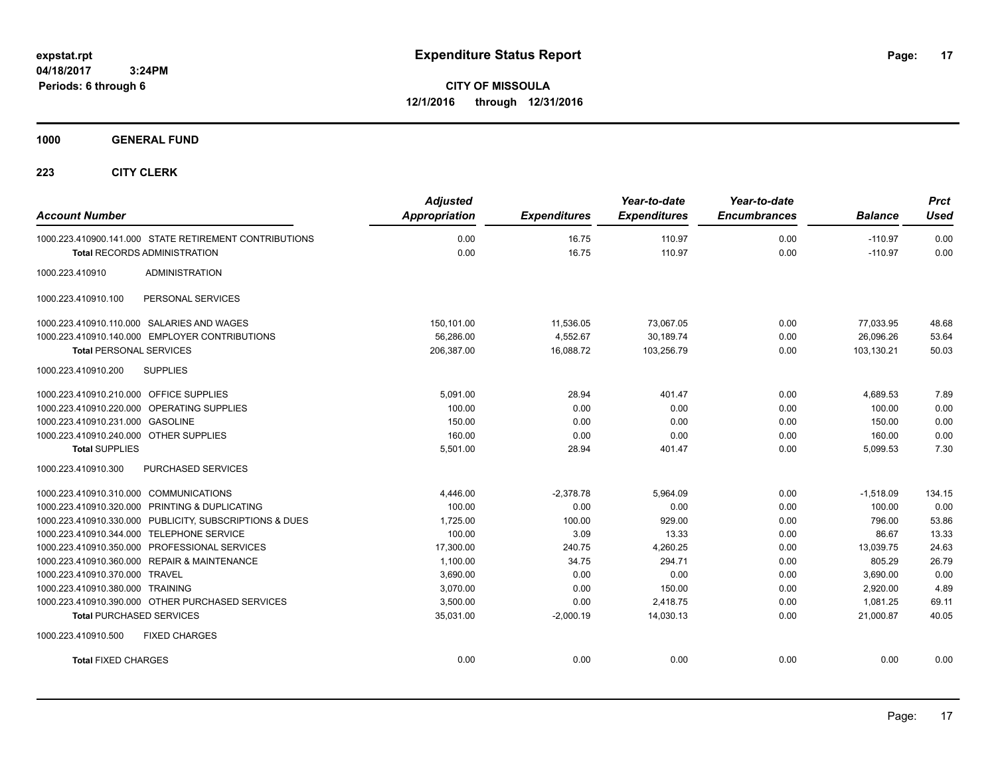**CITY OF MISSOULA 12/1/2016 through 12/31/2016**

**1000 GENERAL FUND**

| <b>Account Number</b>                                   | <b>Adjusted</b><br><b>Appropriation</b> | <b>Expenditures</b> | Year-to-date<br><b>Expenditures</b> | Year-to-date<br><b>Encumbrances</b> | <b>Balance</b> | <b>Prct</b><br><b>Used</b> |
|---------------------------------------------------------|-----------------------------------------|---------------------|-------------------------------------|-------------------------------------|----------------|----------------------------|
| 1000.223.410900.141.000 STATE RETIREMENT CONTRIBUTIONS  | 0.00                                    | 16.75               | 110.97                              | 0.00                                | $-110.97$      | 0.00                       |
| <b>Total RECORDS ADMINISTRATION</b>                     | 0.00                                    | 16.75               | 110.97                              | 0.00                                | $-110.97$      | 0.00                       |
| 1000.223.410910<br><b>ADMINISTRATION</b>                |                                         |                     |                                     |                                     |                |                            |
| 1000.223.410910.100<br>PERSONAL SERVICES                |                                         |                     |                                     |                                     |                |                            |
| 1000.223.410910.110.000 SALARIES AND WAGES              | 150,101.00                              | 11,536.05           | 73,067.05                           | 0.00                                | 77,033.95      | 48.68                      |
| 1000.223.410910.140.000 EMPLOYER CONTRIBUTIONS          | 56,286.00                               | 4,552.67            | 30,189.74                           | 0.00                                | 26,096.26      | 53.64                      |
| <b>Total PERSONAL SERVICES</b>                          | 206,387.00                              | 16,088.72           | 103,256.79                          | 0.00                                | 103,130.21     | 50.03                      |
| <b>SUPPLIES</b><br>1000.223.410910.200                  |                                         |                     |                                     |                                     |                |                            |
| 1000.223.410910.210.000 OFFICE SUPPLIES                 | 5.091.00                                | 28.94               | 401.47                              | 0.00                                | 4.689.53       | 7.89                       |
| 1000.223.410910.220.000 OPERATING SUPPLIES              | 100.00                                  | 0.00                | 0.00                                | 0.00                                | 100.00         | 0.00                       |
| 1000.223.410910.231.000 GASOLINE                        | 150.00                                  | 0.00                | 0.00                                | 0.00                                | 150.00         | 0.00                       |
| 1000.223.410910.240.000 OTHER SUPPLIES                  | 160.00                                  | 0.00                | 0.00                                | 0.00                                | 160.00         | 0.00                       |
| <b>Total SUPPLIES</b>                                   | 5,501.00                                | 28.94               | 401.47                              | 0.00                                | 5,099.53       | 7.30                       |
| 1000.223.410910.300<br>PURCHASED SERVICES               |                                         |                     |                                     |                                     |                |                            |
| 1000.223.410910.310.000 COMMUNICATIONS                  | 4,446.00                                | $-2,378.78$         | 5,964.09                            | 0.00                                | $-1,518.09$    | 134.15                     |
| 1000.223.410910.320.000 PRINTING & DUPLICATING          | 100.00                                  | 0.00                | 0.00                                | 0.00                                | 100.00         | 0.00                       |
| 1000.223.410910.330.000 PUBLICITY, SUBSCRIPTIONS & DUES | 1,725.00                                | 100.00              | 929.00                              | 0.00                                | 796.00         | 53.86                      |
| 1000.223.410910.344.000 TELEPHONE SERVICE               | 100.00                                  | 3.09                | 13.33                               | 0.00                                | 86.67          | 13.33                      |
| 1000.223.410910.350.000 PROFESSIONAL SERVICES           | 17,300.00                               | 240.75              | 4,260.25                            | 0.00                                | 13,039.75      | 24.63                      |
| 1000.223.410910.360.000 REPAIR & MAINTENANCE            | 1,100.00                                | 34.75               | 294.71                              | 0.00                                | 805.29         | 26.79                      |
| 1000.223.410910.370.000 TRAVEL                          | 3,690.00                                | 0.00                | 0.00                                | 0.00                                | 3,690.00       | 0.00                       |
| 1000.223.410910.380.000 TRAINING                        | 3,070.00                                | 0.00                | 150.00                              | 0.00                                | 2,920.00       | 4.89                       |
| 1000.223.410910.390.000 OTHER PURCHASED SERVICES        | 3,500.00                                | 0.00                | 2,418.75                            | 0.00                                | 1,081.25       | 69.11                      |
| <b>Total PURCHASED SERVICES</b>                         | 35,031.00                               | $-2,000.19$         | 14,030.13                           | 0.00                                | 21,000.87      | 40.05                      |
| 1000.223.410910.500<br><b>FIXED CHARGES</b>             |                                         |                     |                                     |                                     |                |                            |
| <b>Total FIXED CHARGES</b>                              | 0.00                                    | 0.00                | 0.00                                | 0.00                                | 0.00           | 0.00                       |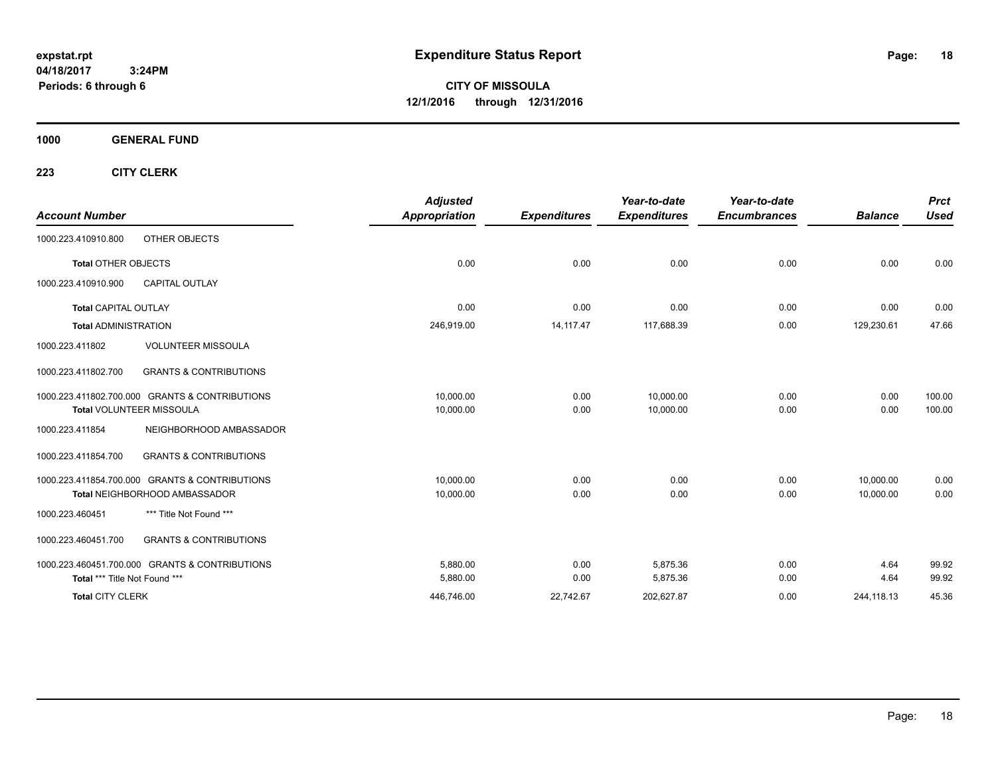**CITY OF MISSOULA 12/1/2016 through 12/31/2016**

**1000 GENERAL FUND**

| <b>Account Number</b>         |                                                | <b>Adjusted</b><br>Appropriation | <b>Expenditures</b> | Year-to-date<br><b>Expenditures</b> | Year-to-date<br><b>Encumbrances</b> | <b>Balance</b> | <b>Prct</b><br><b>Used</b> |
|-------------------------------|------------------------------------------------|----------------------------------|---------------------|-------------------------------------|-------------------------------------|----------------|----------------------------|
| 1000.223.410910.800           | OTHER OBJECTS                                  |                                  |                     |                                     |                                     |                |                            |
| <b>Total OTHER OBJECTS</b>    |                                                | 0.00                             | 0.00                | 0.00                                | 0.00                                | 0.00           | 0.00                       |
| 1000.223.410910.900           | <b>CAPITAL OUTLAY</b>                          |                                  |                     |                                     |                                     |                |                            |
| <b>Total CAPITAL OUTLAY</b>   |                                                | 0.00                             | 0.00                | 0.00                                | 0.00                                | 0.00           | 0.00                       |
| <b>Total ADMINISTRATION</b>   |                                                | 246,919.00                       | 14, 117. 47         | 117,688.39                          | 0.00                                | 129,230.61     | 47.66                      |
| 1000.223.411802               | <b>VOLUNTEER MISSOULA</b>                      |                                  |                     |                                     |                                     |                |                            |
| 1000.223.411802.700           | <b>GRANTS &amp; CONTRIBUTIONS</b>              |                                  |                     |                                     |                                     |                |                            |
|                               | 1000.223.411802.700.000 GRANTS & CONTRIBUTIONS | 10.000.00                        | 0.00                | 10,000.00                           | 0.00                                | 0.00           | 100.00                     |
|                               | <b>Total VOLUNTEER MISSOULA</b>                | 10,000.00                        | 0.00                | 10,000.00                           | 0.00                                | 0.00           | 100.00                     |
| 1000.223.411854               | NEIGHBORHOOD AMBASSADOR                        |                                  |                     |                                     |                                     |                |                            |
| 1000.223.411854.700           | <b>GRANTS &amp; CONTRIBUTIONS</b>              |                                  |                     |                                     |                                     |                |                            |
|                               | 1000.223.411854.700.000 GRANTS & CONTRIBUTIONS | 10,000.00                        | 0.00                | 0.00                                | 0.00                                | 10,000.00      | 0.00                       |
|                               | Total NEIGHBORHOOD AMBASSADOR                  | 10,000.00                        | 0.00                | 0.00                                | 0.00                                | 10.000.00      | 0.00                       |
| 1000.223.460451               | *** Title Not Found ***                        |                                  |                     |                                     |                                     |                |                            |
| 1000.223.460451.700           | <b>GRANTS &amp; CONTRIBUTIONS</b>              |                                  |                     |                                     |                                     |                |                            |
|                               | 1000.223.460451.700.000 GRANTS & CONTRIBUTIONS | 5,880.00                         | 0.00                | 5,875.36                            | 0.00                                | 4.64           | 99.92                      |
| Total *** Title Not Found *** |                                                | 5,880.00                         | 0.00                | 5,875.36                            | 0.00                                | 4.64           | 99.92                      |
| <b>Total CITY CLERK</b>       |                                                | 446,746.00                       | 22,742.67           | 202,627.87                          | 0.00                                | 244,118.13     | 45.36                      |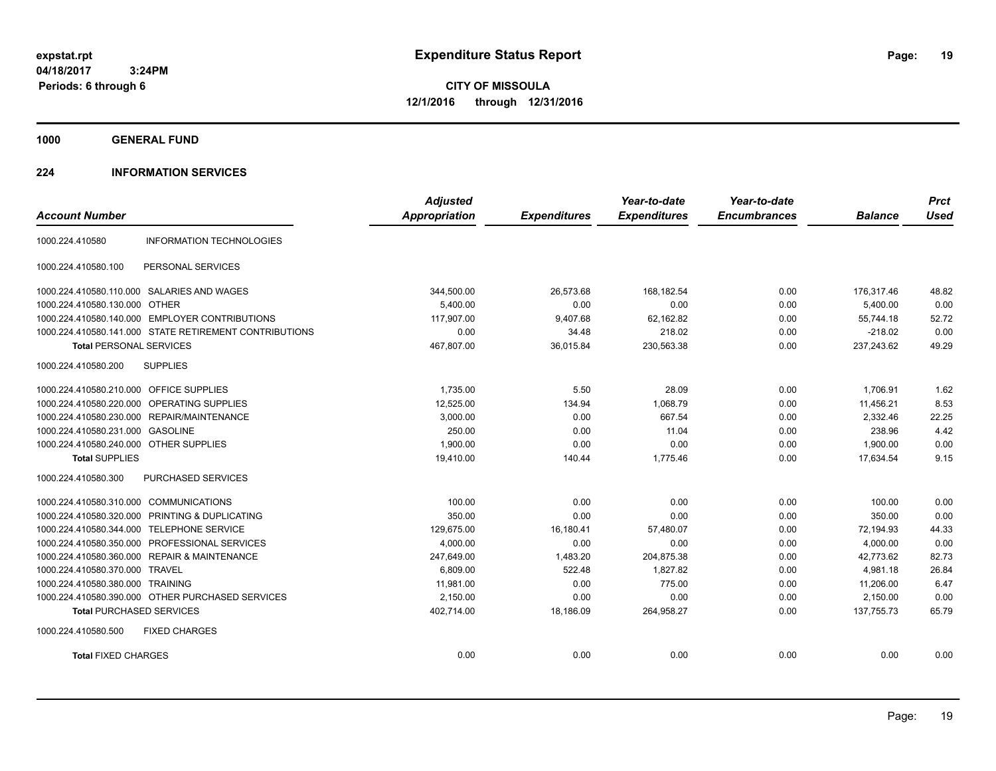**CITY OF MISSOULA 12/1/2016 through 12/31/2016**

**1000 GENERAL FUND**

### **224 INFORMATION SERVICES**

|                                         |                                                        | <b>Adjusted</b>      |                     | Year-to-date        | Year-to-date        |                | <b>Prct</b> |
|-----------------------------------------|--------------------------------------------------------|----------------------|---------------------|---------------------|---------------------|----------------|-------------|
| <b>Account Number</b>                   |                                                        | <b>Appropriation</b> | <b>Expenditures</b> | <b>Expenditures</b> | <b>Encumbrances</b> | <b>Balance</b> | <b>Used</b> |
| 1000.224.410580                         | <b>INFORMATION TECHNOLOGIES</b>                        |                      |                     |                     |                     |                |             |
| 1000.224.410580.100                     | PERSONAL SERVICES                                      |                      |                     |                     |                     |                |             |
|                                         | 1000.224.410580.110.000 SALARIES AND WAGES             | 344,500.00           | 26,573.68           | 168,182.54          | 0.00                | 176,317.46     | 48.82       |
| 1000.224.410580.130.000 OTHER           |                                                        | 5,400.00             | 0.00                | 0.00                | 0.00                | 5,400.00       | 0.00        |
|                                         | 1000.224.410580.140.000 EMPLOYER CONTRIBUTIONS         | 117.907.00           | 9,407.68            | 62,162.82           | 0.00                | 55.744.18      | 52.72       |
|                                         | 1000.224.410580.141.000 STATE RETIREMENT CONTRIBUTIONS | 0.00                 | 34.48               | 218.02              | 0.00                | $-218.02$      | 0.00        |
| <b>Total PERSONAL SERVICES</b>          |                                                        | 467,807.00           | 36,015.84           | 230,563.38          | 0.00                | 237,243.62     | 49.29       |
| 1000.224.410580.200                     | <b>SUPPLIES</b>                                        |                      |                     |                     |                     |                |             |
| 1000.224.410580.210.000 OFFICE SUPPLIES |                                                        | 1,735.00             | 5.50                | 28.09               | 0.00                | 1,706.91       | 1.62        |
| 1000.224.410580.220.000                 | <b>OPERATING SUPPLIES</b>                              | 12,525.00            | 134.94              | 1,068.79            | 0.00                | 11,456.21      | 8.53        |
| 1000.224.410580.230.000                 | <b>REPAIR/MAINTENANCE</b>                              | 3,000.00             | 0.00                | 667.54              | 0.00                | 2,332.46       | 22.25       |
| 1000.224.410580.231.000 GASOLINE        |                                                        | 250.00               | 0.00                | 11.04               | 0.00                | 238.96         | 4.42        |
| 1000.224.410580.240.000 OTHER SUPPLIES  |                                                        | 1,900.00             | 0.00                | 0.00                | 0.00                | 1,900.00       | 0.00        |
| <b>Total SUPPLIES</b>                   |                                                        | 19,410.00            | 140.44              | 1,775.46            | 0.00                | 17,634.54      | 9.15        |
| 1000.224.410580.300                     | PURCHASED SERVICES                                     |                      |                     |                     |                     |                |             |
| 1000.224.410580.310.000                 | <b>COMMUNICATIONS</b>                                  | 100.00               | 0.00                | 0.00                | 0.00                | 100.00         | 0.00        |
| 1000.224.410580.320.000                 | PRINTING & DUPLICATING                                 | 350.00               | 0.00                | 0.00                | 0.00                | 350.00         | 0.00        |
| 1000.224.410580.344.000                 | <b>TELEPHONE SERVICE</b>                               | 129,675.00           | 16,180.41           | 57,480.07           | 0.00                | 72,194.93      | 44.33       |
| 1000.224.410580.350.000                 | PROFESSIONAL SERVICES                                  | 4,000.00             | 0.00                | 0.00                | 0.00                | 4,000.00       | 0.00        |
| 1000.224.410580.360.000                 | <b>REPAIR &amp; MAINTENANCE</b>                        | 247,649.00           | 1,483.20            | 204,875.38          | 0.00                | 42,773.62      | 82.73       |
| 1000.224.410580.370.000 TRAVEL          |                                                        | 6,809.00             | 522.48              | 1,827.82            | 0.00                | 4.981.18       | 26.84       |
| 1000.224.410580.380.000 TRAINING        |                                                        | 11,981.00            | 0.00                | 775.00              | 0.00                | 11,206.00      | 6.47        |
|                                         | 1000.224.410580.390.000 OTHER PURCHASED SERVICES       | 2,150.00             | 0.00                | 0.00                | 0.00                | 2,150.00       | 0.00        |
| <b>Total PURCHASED SERVICES</b>         |                                                        | 402,714.00           | 18,186.09           | 264,958.27          | 0.00                | 137,755.73     | 65.79       |
| 1000.224.410580.500                     | <b>FIXED CHARGES</b>                                   |                      |                     |                     |                     |                |             |
| <b>Total FIXED CHARGES</b>              |                                                        | 0.00                 | 0.00                | 0.00                | 0.00                | 0.00           | 0.00        |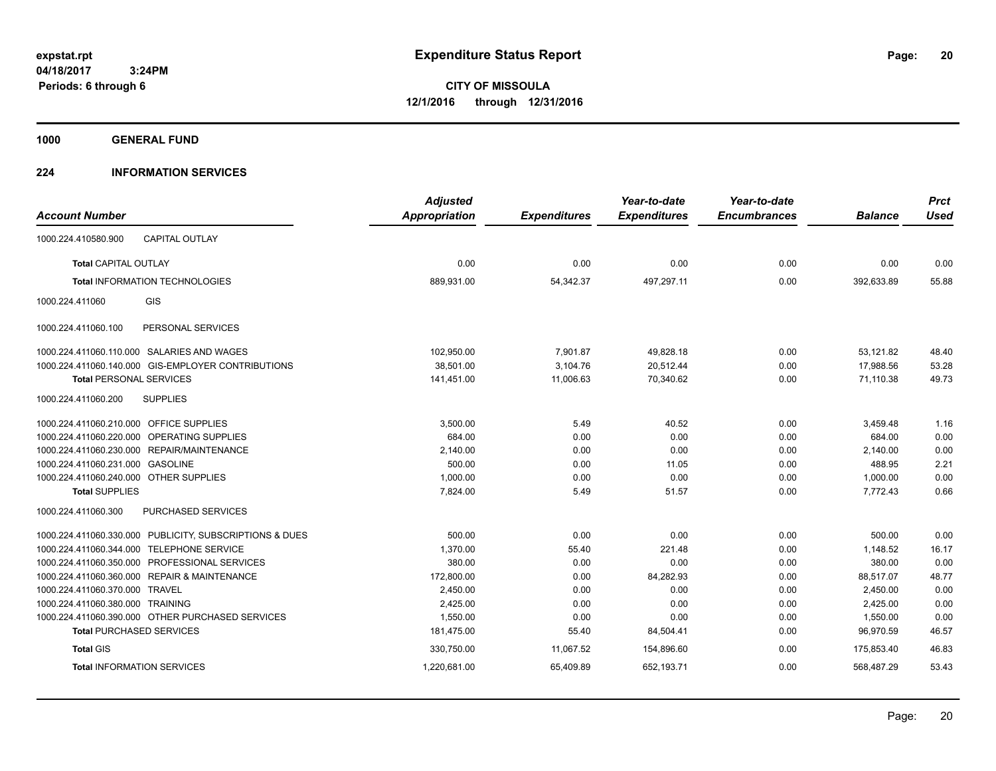**CITY OF MISSOULA 12/1/2016 through 12/31/2016**

**1000 GENERAL FUND**

### **224 INFORMATION SERVICES**

| <b>Account Number</b>                   |                                                         | <b>Adjusted</b><br><b>Appropriation</b> | <b>Expenditures</b> | Year-to-date<br><b>Expenditures</b> | Year-to-date<br><b>Encumbrances</b> | <b>Balance</b> | <b>Prct</b><br><b>Used</b> |
|-----------------------------------------|---------------------------------------------------------|-----------------------------------------|---------------------|-------------------------------------|-------------------------------------|----------------|----------------------------|
| 1000.224.410580.900                     | <b>CAPITAL OUTLAY</b>                                   |                                         |                     |                                     |                                     |                |                            |
| <b>Total CAPITAL OUTLAY</b>             |                                                         | 0.00                                    | 0.00                | 0.00                                | 0.00                                | 0.00           | 0.00                       |
|                                         | <b>Total INFORMATION TECHNOLOGIES</b>                   | 889,931.00                              | 54,342.37           | 497,297.11                          | 0.00                                | 392,633.89     | 55.88                      |
| 1000.224.411060                         | GIS                                                     |                                         |                     |                                     |                                     |                |                            |
| 1000.224.411060.100                     | PERSONAL SERVICES                                       |                                         |                     |                                     |                                     |                |                            |
|                                         | 1000.224.411060.110.000 SALARIES AND WAGES              | 102,950.00                              | 7,901.87            | 49,828.18                           | 0.00                                | 53,121.82      | 48.40                      |
|                                         | 1000.224.411060.140.000 GIS-EMPLOYER CONTRIBUTIONS      | 38,501.00                               | 3,104.76            | 20,512.44                           | 0.00                                | 17,988.56      | 53.28                      |
| <b>Total PERSONAL SERVICES</b>          |                                                         | 141,451.00                              | 11,006.63           | 70,340.62                           | 0.00                                | 71,110.38      | 49.73                      |
| 1000.224.411060.200                     | <b>SUPPLIES</b>                                         |                                         |                     |                                     |                                     |                |                            |
| 1000.224.411060.210.000 OFFICE SUPPLIES |                                                         | 3,500.00                                | 5.49                | 40.52                               | 0.00                                | 3,459.48       | 1.16                       |
|                                         | 1000.224.411060.220.000 OPERATING SUPPLIES              | 684.00                                  | 0.00                | 0.00                                | 0.00                                | 684.00         | 0.00                       |
| 1000.224.411060.230.000                 | REPAIR/MAINTENANCE                                      | 2,140.00                                | 0.00                | 0.00                                | 0.00                                | 2,140.00       | 0.00                       |
| 1000.224.411060.231.000                 | <b>GASOLINE</b>                                         | 500.00                                  | 0.00                | 11.05                               | 0.00                                | 488.95         | 2.21                       |
| 1000.224.411060.240.000 OTHER SUPPLIES  |                                                         | 1,000.00                                | 0.00                | 0.00                                | 0.00                                | 1,000.00       | 0.00                       |
| <b>Total SUPPLIES</b>                   |                                                         | 7,824.00                                | 5.49                | 51.57                               | 0.00                                | 7,772.43       | 0.66                       |
| 1000.224.411060.300                     | PURCHASED SERVICES                                      |                                         |                     |                                     |                                     |                |                            |
|                                         | 1000.224.411060.330.000 PUBLICITY, SUBSCRIPTIONS & DUES | 500.00                                  | 0.00                | 0.00                                | 0.00                                | 500.00         | 0.00                       |
| 1000.224.411060.344.000                 | <b>TELEPHONE SERVICE</b>                                | 1,370.00                                | 55.40               | 221.48                              | 0.00                                | 1,148.52       | 16.17                      |
|                                         | 1000.224.411060.350.000 PROFESSIONAL SERVICES           | 380.00                                  | 0.00                | 0.00                                | 0.00                                | 380.00         | 0.00                       |
|                                         | 1000.224.411060.360.000 REPAIR & MAINTENANCE            | 172,800.00                              | 0.00                | 84,282.93                           | 0.00                                | 88,517.07      | 48.77                      |
| 1000.224.411060.370.000 TRAVEL          |                                                         | 2,450.00                                | 0.00                | 0.00                                | 0.00                                | 2,450.00       | 0.00                       |
| 1000.224.411060.380.000 TRAINING        |                                                         | 2,425.00                                | 0.00                | 0.00                                | 0.00                                | 2,425.00       | 0.00                       |
|                                         | 1000.224.411060.390.000 OTHER PURCHASED SERVICES        | 1,550.00                                | 0.00                | 0.00                                | 0.00                                | 1,550.00       | 0.00                       |
|                                         | <b>Total PURCHASED SERVICES</b>                         | 181,475.00                              | 55.40               | 84,504.41                           | 0.00                                | 96,970.59      | 46.57                      |
| <b>Total GIS</b>                        |                                                         | 330,750.00                              | 11,067.52           | 154,896.60                          | 0.00                                | 175.853.40     | 46.83                      |
|                                         | <b>Total INFORMATION SERVICES</b>                       | 1,220,681.00                            | 65,409.89           | 652,193.71                          | 0.00                                | 568,487.29     | 53.43                      |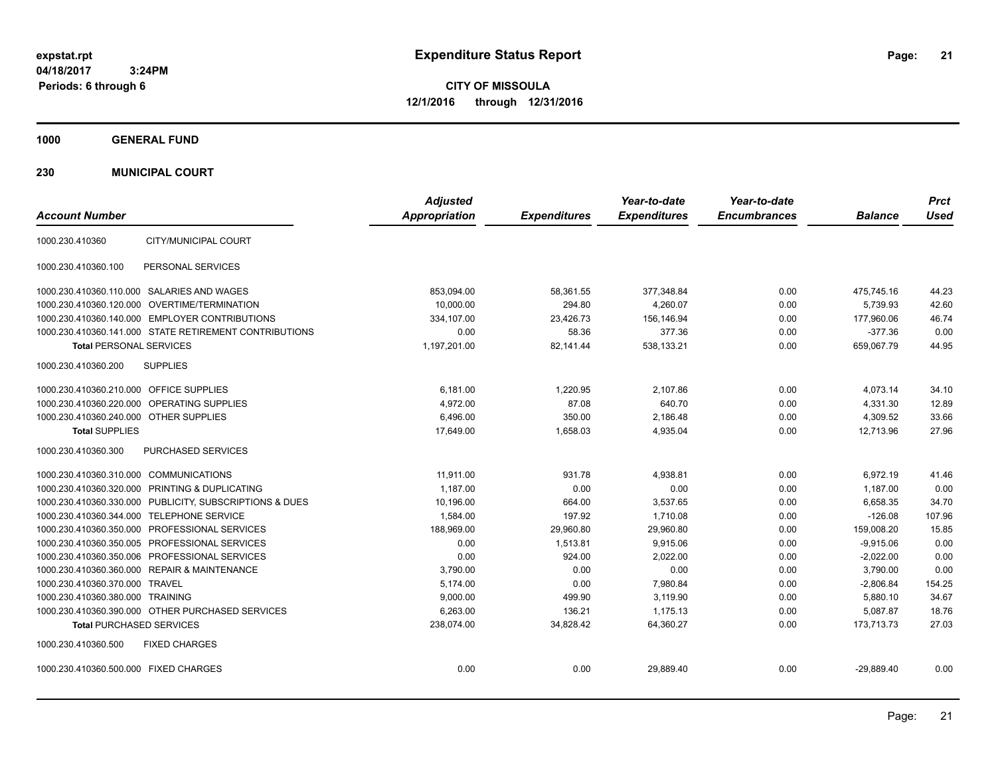**21**

**CITY OF MISSOULA 12/1/2016 through 12/31/2016**

**1000 GENERAL FUND**

**230 MUNICIPAL COURT**

| <b>Account Number</b>                                   | <b>Adjusted</b><br><b>Appropriation</b> | <b>Expenditures</b> | Year-to-date<br><b>Expenditures</b> | Year-to-date<br><b>Encumbrances</b> | <b>Balance</b> | <b>Prct</b><br><b>Used</b> |
|---------------------------------------------------------|-----------------------------------------|---------------------|-------------------------------------|-------------------------------------|----------------|----------------------------|
| CITY/MUNICIPAL COURT<br>1000.230.410360                 |                                         |                     |                                     |                                     |                |                            |
| PERSONAL SERVICES<br>1000.230.410360.100                |                                         |                     |                                     |                                     |                |                            |
| 1000.230.410360.110.000 SALARIES AND WAGES              | 853,094.00                              | 58,361.55           | 377,348.84                          | 0.00                                | 475,745.16     | 44.23                      |
| 1000.230.410360.120.000 OVERTIME/TERMINATION            | 10,000.00                               | 294.80              | 4,260.07                            | 0.00                                | 5,739.93       | 42.60                      |
| 1000.230.410360.140.000 EMPLOYER CONTRIBUTIONS          | 334,107.00                              | 23,426.73           | 156,146.94                          | 0.00                                | 177,960.06     | 46.74                      |
| 1000.230.410360.141.000 STATE RETIREMENT CONTRIBUTIONS  | 0.00                                    | 58.36               | 377.36                              | 0.00                                | $-377.36$      | 0.00                       |
| <b>Total PERSONAL SERVICES</b>                          | 1,197,201.00                            | 82,141.44           | 538,133.21                          | 0.00                                | 659,067.79     | 44.95                      |
| 1000.230.410360.200<br><b>SUPPLIES</b>                  |                                         |                     |                                     |                                     |                |                            |
| 1000.230.410360.210.000 OFFICE SUPPLIES                 | 6,181.00                                | 1,220.95            | 2,107.86                            | 0.00                                | 4,073.14       | 34.10                      |
| 1000.230.410360.220.000<br><b>OPERATING SUPPLIES</b>    | 4,972.00                                | 87.08               | 640.70                              | 0.00                                | 4,331.30       | 12.89                      |
| 1000.230.410360.240.000 OTHER SUPPLIES                  | 6,496.00                                | 350.00              | 2,186.48                            | 0.00                                | 4,309.52       | 33.66                      |
| <b>Total SUPPLIES</b>                                   | 17,649.00                               | 1,658.03            | 4,935.04                            | 0.00                                | 12.713.96      | 27.96                      |
| PURCHASED SERVICES<br>1000.230.410360.300               |                                         |                     |                                     |                                     |                |                            |
| 1000.230.410360.310.000 COMMUNICATIONS                  | 11,911.00                               | 931.78              | 4,938.81                            | 0.00                                | 6,972.19       | 41.46                      |
| 1000.230.410360.320.000 PRINTING & DUPLICATING          | 1.187.00                                | 0.00                | 0.00                                | 0.00                                | 1.187.00       | 0.00                       |
| 1000.230.410360.330.000 PUBLICITY, SUBSCRIPTIONS & DUES | 10,196.00                               | 664.00              | 3,537.65                            | 0.00                                | 6,658.35       | 34.70                      |
| 1000.230.410360.344.000 TELEPHONE SERVICE               | 1.584.00                                | 197.92              | 1.710.08                            | 0.00                                | $-126.08$      | 107.96                     |
| 1000.230.410360.350.000 PROFESSIONAL SERVICES           | 188,969.00                              | 29,960.80           | 29,960.80                           | 0.00                                | 159,008.20     | 15.85                      |
| 1000.230.410360.350.005 PROFESSIONAL SERVICES           | 0.00                                    | 1.513.81            | 9.915.06                            | 0.00                                | $-9,915.06$    | 0.00                       |
| 1000.230.410360.350.006 PROFESSIONAL SERVICES           | 0.00                                    | 924.00              | 2,022.00                            | 0.00                                | $-2,022.00$    | 0.00                       |
| 1000.230.410360.360.000 REPAIR & MAINTENANCE            | 3.790.00                                | 0.00                | 0.00                                | 0.00                                | 3,790.00       | 0.00                       |
| 1000.230.410360.370.000 TRAVEL                          | 5,174.00                                | 0.00                | 7,980.84                            | 0.00                                | $-2,806.84$    | 154.25                     |
| 1000.230.410360.380.000 TRAINING                        | 9,000.00                                | 499.90              | 3,119.90                            | 0.00                                | 5.880.10       | 34.67                      |
| 1000.230.410360.390.000 OTHER PURCHASED SERVICES        | 6,263.00                                | 136.21              | 1,175.13                            | 0.00                                | 5,087.87       | 18.76                      |
| <b>Total PURCHASED SERVICES</b>                         | 238,074.00                              | 34,828.42           | 64.360.27                           | 0.00                                | 173,713.73     | 27.03                      |
| 1000.230.410360.500<br><b>FIXED CHARGES</b>             |                                         |                     |                                     |                                     |                |                            |
| 1000.230.410360.500.000 FIXED CHARGES                   | 0.00                                    | 0.00                | 29,889.40                           | 0.00                                | $-29,889.40$   | 0.00                       |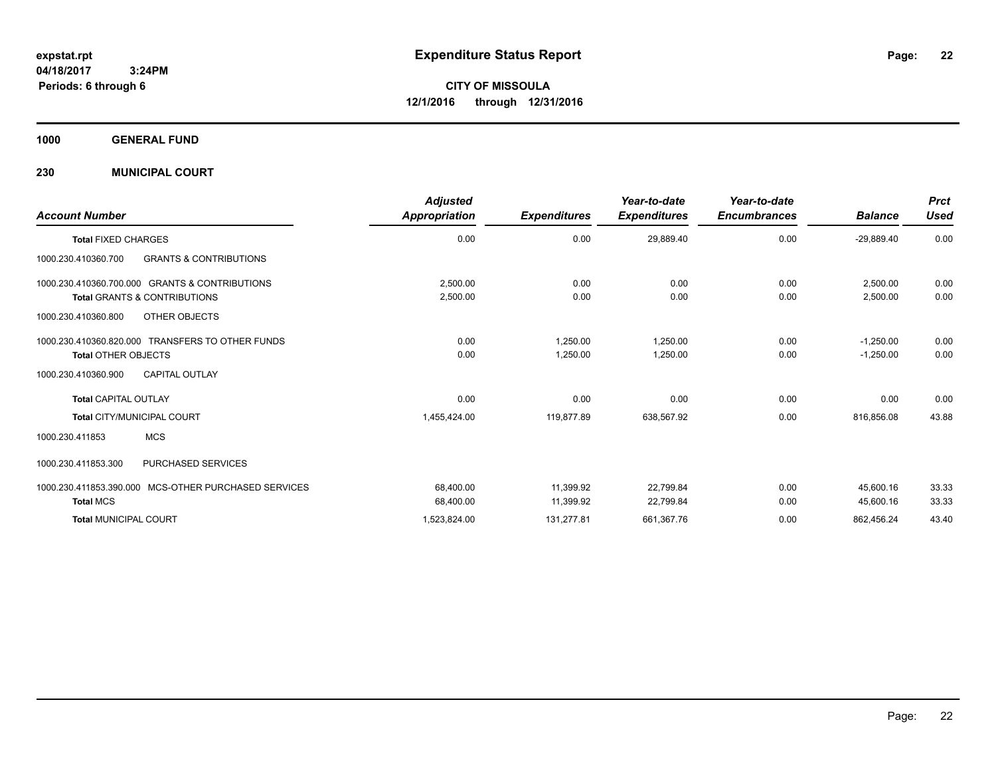**CITY OF MISSOULA 12/1/2016 through 12/31/2016**

**1000 GENERAL FUND**

**230 MUNICIPAL COURT**

| <b>Account Number</b>                                    | <b>Adjusted</b><br>Appropriation | <b>Expenditures</b> | Year-to-date<br><b>Expenditures</b> | Year-to-date<br><b>Encumbrances</b> | <b>Balance</b> | <b>Prct</b><br><b>Used</b> |
|----------------------------------------------------------|----------------------------------|---------------------|-------------------------------------|-------------------------------------|----------------|----------------------------|
| <b>Total FIXED CHARGES</b>                               | 0.00                             | 0.00                | 29,889.40                           | 0.00                                | $-29,889.40$   | 0.00                       |
| <b>GRANTS &amp; CONTRIBUTIONS</b><br>1000.230.410360.700 |                                  |                     |                                     |                                     |                |                            |
| 1000.230.410360.700.000 GRANTS & CONTRIBUTIONS           | 2,500.00                         | 0.00                | 0.00                                | 0.00                                | 2,500.00       | 0.00                       |
| <b>Total GRANTS &amp; CONTRIBUTIONS</b>                  | 2,500.00                         | 0.00                | 0.00                                | 0.00                                | 2,500.00       | 0.00                       |
| OTHER OBJECTS<br>1000.230.410360.800                     |                                  |                     |                                     |                                     |                |                            |
| 1000.230.410360.820.000 TRANSFERS TO OTHER FUNDS         | 0.00                             | 1,250.00            | 1,250.00                            | 0.00                                | $-1,250.00$    | 0.00                       |
| <b>Total OTHER OBJECTS</b>                               | 0.00                             | 1,250.00            | 1,250.00                            | 0.00                                | $-1,250.00$    | 0.00                       |
| <b>CAPITAL OUTLAY</b><br>1000.230.410360.900             |                                  |                     |                                     |                                     |                |                            |
| <b>Total CAPITAL OUTLAY</b>                              | 0.00                             | 0.00                | 0.00                                | 0.00                                | 0.00           | 0.00                       |
| Total CITY/MUNICIPAL COURT                               | 1,455,424.00                     | 119,877.89          | 638,567.92                          | 0.00                                | 816,856.08     | 43.88                      |
| <b>MCS</b><br>1000.230.411853                            |                                  |                     |                                     |                                     |                |                            |
| <b>PURCHASED SERVICES</b><br>1000.230.411853.300         |                                  |                     |                                     |                                     |                |                            |
| 1000.230.411853.390.000 MCS-OTHER PURCHASED SERVICES     | 68,400.00                        | 11,399.92           | 22,799.84                           | 0.00                                | 45,600.16      | 33.33                      |
| <b>Total MCS</b>                                         | 68,400.00                        | 11,399.92           | 22,799.84                           | 0.00                                | 45,600.16      | 33.33                      |
| <b>Total MUNICIPAL COURT</b>                             | 1,523,824.00                     | 131,277.81          | 661,367.76                          | 0.00                                | 862,456.24     | 43.40                      |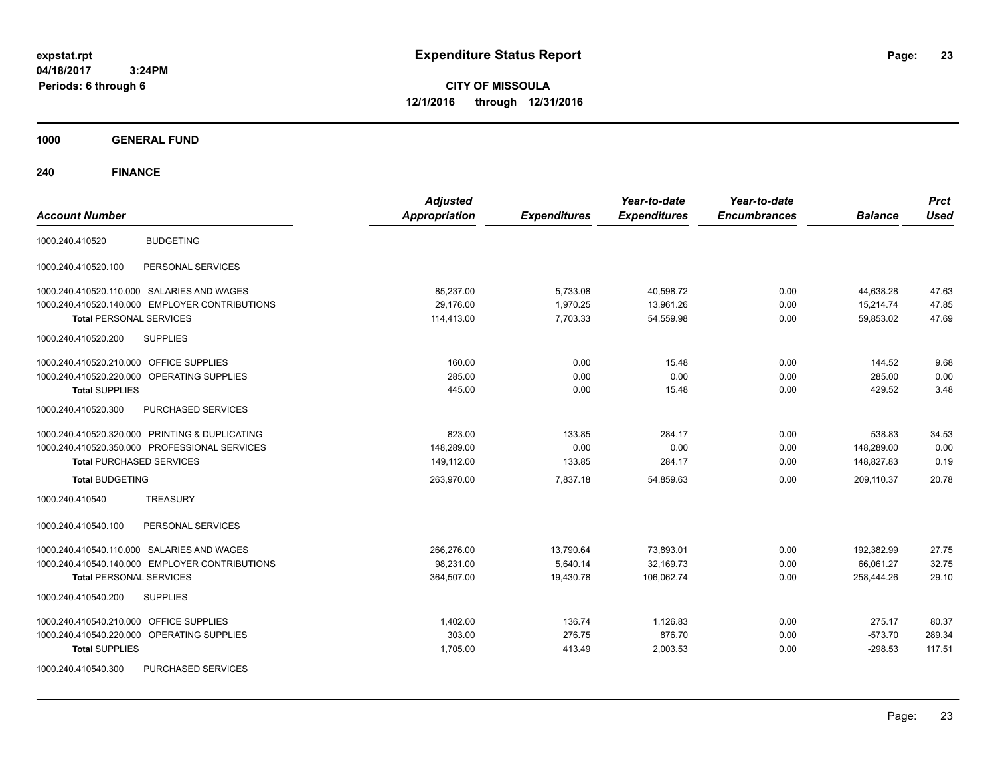**CITY OF MISSOULA 12/1/2016 through 12/31/2016**

**1000 GENERAL FUND**

| <b>Account Number</b>                                | <b>Adjusted</b><br><b>Appropriation</b> | <b>Expenditures</b> | Year-to-date<br><b>Expenditures</b> | Year-to-date<br><b>Encumbrances</b> | <b>Balance</b> | <b>Prct</b><br><b>Used</b> |
|------------------------------------------------------|-----------------------------------------|---------------------|-------------------------------------|-------------------------------------|----------------|----------------------------|
| <b>BUDGETING</b><br>1000.240.410520                  |                                         |                     |                                     |                                     |                |                            |
| 1000.240.410520.100<br>PERSONAL SERVICES             |                                         |                     |                                     |                                     |                |                            |
| 1000.240.410520.110.000 SALARIES AND WAGES           | 85,237.00                               | 5,733.08            | 40,598.72                           | 0.00                                | 44,638.28      | 47.63                      |
| 1000.240.410520.140.000 EMPLOYER CONTRIBUTIONS       | 29,176.00                               | 1,970.25            | 13,961.26                           | 0.00                                | 15,214.74      | 47.85                      |
| <b>Total PERSONAL SERVICES</b>                       | 114,413.00                              | 7,703.33            | 54,559.98                           | 0.00                                | 59.853.02      | 47.69                      |
| 1000.240.410520.200<br><b>SUPPLIES</b>               |                                         |                     |                                     |                                     |                |                            |
| 1000.240.410520.210.000 OFFICE SUPPLIES              | 160.00                                  | 0.00                | 15.48                               | 0.00                                | 144.52         | 9.68                       |
| 1000.240.410520.220.000<br><b>OPERATING SUPPLIES</b> | 285.00                                  | 0.00                | 0.00                                | 0.00                                | 285.00         | 0.00                       |
| <b>Total SUPPLIES</b>                                | 445.00                                  | 0.00                | 15.48                               | 0.00                                | 429.52         | 3.48                       |
| 1000.240.410520.300<br>PURCHASED SERVICES            |                                         |                     |                                     |                                     |                |                            |
| 1000.240.410520.320.000 PRINTING & DUPLICATING       | 823.00                                  | 133.85              | 284.17                              | 0.00                                | 538.83         | 34.53                      |
| 1000.240.410520.350.000 PROFESSIONAL SERVICES        | 148,289.00                              | 0.00                | 0.00                                | 0.00                                | 148,289.00     | 0.00                       |
| <b>Total PURCHASED SERVICES</b>                      | 149,112.00                              | 133.85              | 284.17                              | 0.00                                | 148,827.83     | 0.19                       |
| <b>Total BUDGETING</b>                               | 263,970.00                              | 7,837.18            | 54,859.63                           | 0.00                                | 209,110.37     | 20.78                      |
| <b>TREASURY</b><br>1000.240.410540                   |                                         |                     |                                     |                                     |                |                            |
| PERSONAL SERVICES<br>1000.240.410540.100             |                                         |                     |                                     |                                     |                |                            |
| 1000.240.410540.110.000 SALARIES AND WAGES           | 266,276.00                              | 13,790.64           | 73,893.01                           | 0.00                                | 192,382.99     | 27.75                      |
| 1000.240.410540.140.000 EMPLOYER CONTRIBUTIONS       | 98,231.00                               | 5,640.14            | 32,169.73                           | 0.00                                | 66,061.27      | 32.75                      |
| <b>Total PERSONAL SERVICES</b>                       | 364,507.00                              | 19,430.78           | 106,062.74                          | 0.00                                | 258,444.26     | 29.10                      |
| <b>SUPPLIES</b><br>1000.240.410540.200               |                                         |                     |                                     |                                     |                |                            |
| <b>OFFICE SUPPLIES</b><br>1000.240.410540.210.000    | 1,402.00                                | 136.74              | 1,126.83                            | 0.00                                | 275.17         | 80.37                      |
| 1000.240.410540.220.000<br>OPERATING SUPPLIES        | 303.00                                  | 276.75              | 876.70                              | 0.00                                | $-573.70$      | 289.34                     |
| <b>Total SUPPLIES</b>                                | 1,705.00                                | 413.49              | 2,003.53                            | 0.00                                | $-298.53$      | 117.51                     |
| PURCHASED SERVICES<br>1000.240.410540.300            |                                         |                     |                                     |                                     |                |                            |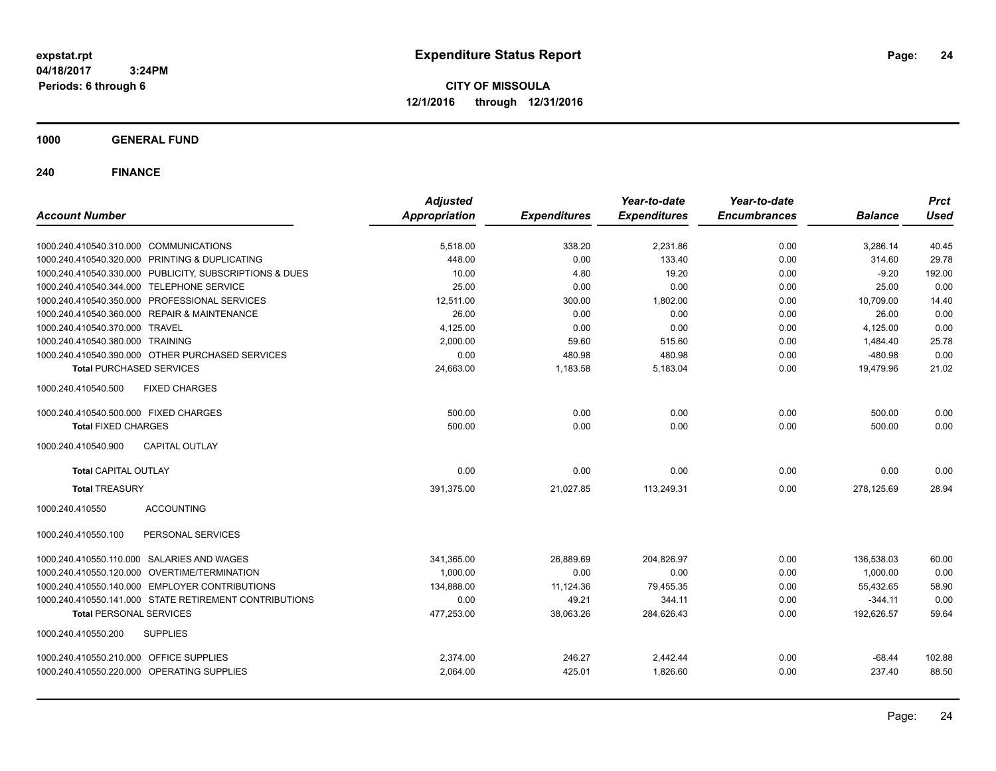**CITY OF MISSOULA 12/1/2016 through 12/31/2016**

**1000 GENERAL FUND**

| <b>Account Number</b>                                   | <b>Adjusted</b><br><b>Appropriation</b> | <b>Expenditures</b> | Year-to-date<br><b>Expenditures</b> | Year-to-date<br><b>Encumbrances</b> | <b>Balance</b> | <b>Prct</b><br><b>Used</b> |
|---------------------------------------------------------|-----------------------------------------|---------------------|-------------------------------------|-------------------------------------|----------------|----------------------------|
|                                                         |                                         |                     |                                     |                                     |                |                            |
| 1000.240.410540.310.000 COMMUNICATIONS                  | 5,518.00                                | 338.20              | 2,231.86                            | 0.00                                | 3,286.14       | 40.45                      |
| 1000.240.410540.320.000 PRINTING & DUPLICATING          | 448.00                                  | 0.00                | 133.40                              | 0.00                                | 314.60         | 29.78                      |
| 1000.240.410540.330.000 PUBLICITY, SUBSCRIPTIONS & DUES | 10.00                                   | 4.80                | 19.20                               | 0.00                                | $-9.20$        | 192.00                     |
| 1000.240.410540.344.000 TELEPHONE SERVICE               | 25.00                                   | 0.00                | 0.00                                | 0.00                                | 25.00          | 0.00                       |
| 1000.240.410540.350.000 PROFESSIONAL SERVICES           | 12,511.00                               | 300.00              | 1,802.00                            | 0.00                                | 10,709.00      | 14.40                      |
| 1000.240.410540.360.000 REPAIR & MAINTENANCE            | 26.00                                   | 0.00                | 0.00                                | 0.00                                | 26.00          | 0.00                       |
| 1000.240.410540.370.000 TRAVEL                          | 4,125.00                                | 0.00                | 0.00                                | 0.00                                | 4,125.00       | 0.00                       |
| 1000.240.410540.380.000 TRAINING                        | 2.000.00                                | 59.60               | 515.60                              | 0.00                                | 1.484.40       | 25.78                      |
| 1000.240.410540.390.000 OTHER PURCHASED SERVICES        | 0.00                                    | 480.98              | 480.98                              | 0.00                                | $-480.98$      | 0.00                       |
| <b>Total PURCHASED SERVICES</b>                         | 24,663.00                               | 1,183.58            | 5,183.04                            | 0.00                                | 19,479.96      | 21.02                      |
| <b>FIXED CHARGES</b><br>1000.240.410540.500             |                                         |                     |                                     |                                     |                |                            |
| 1000.240.410540.500.000 FIXED CHARGES                   | 500.00                                  | 0.00                | 0.00                                | 0.00                                | 500.00         | 0.00                       |
| <b>Total FIXED CHARGES</b>                              | 500.00                                  | 0.00                | 0.00                                | 0.00                                | 500.00         | 0.00                       |
| <b>CAPITAL OUTLAY</b><br>1000.240.410540.900            |                                         |                     |                                     |                                     |                |                            |
| <b>Total CAPITAL OUTLAY</b>                             | 0.00                                    | 0.00                | 0.00                                | 0.00                                | 0.00           | 0.00                       |
| <b>Total TREASURY</b>                                   | 391,375.00                              | 21.027.85           | 113,249.31                          | 0.00                                | 278.125.69     | 28.94                      |
| 1000.240.410550<br><b>ACCOUNTING</b>                    |                                         |                     |                                     |                                     |                |                            |
| PERSONAL SERVICES<br>1000.240.410550.100                |                                         |                     |                                     |                                     |                |                            |
| 1000.240.410550.110.000 SALARIES AND WAGES              | 341,365.00                              | 26,889.69           | 204.826.97                          | 0.00                                | 136,538.03     | 60.00                      |
| 1000.240.410550.120.000 OVERTIME/TERMINATION            | 1.000.00                                | 0.00                | 0.00                                | 0.00                                | 1,000.00       | 0.00                       |
| 1000.240.410550.140.000 EMPLOYER CONTRIBUTIONS          | 134,888.00                              | 11,124.36           | 79,455.35                           | 0.00                                | 55,432.65      | 58.90                      |
| 1000.240.410550.141.000 STATE RETIREMENT CONTRIBUTIONS  | 0.00                                    | 49.21               | 344.11                              | 0.00                                | $-344.11$      | 0.00                       |
| <b>Total PERSONAL SERVICES</b>                          | 477,253.00                              | 38,063.26           | 284,626.43                          | 0.00                                | 192,626.57     | 59.64                      |
| 1000.240.410550.200<br><b>SUPPLIES</b>                  |                                         |                     |                                     |                                     |                |                            |
| 1000.240.410550.210.000 OFFICE SUPPLIES                 | 2,374.00                                | 246.27              | 2,442.44                            | 0.00                                | $-68.44$       | 102.88                     |
| 1000.240.410550.220.000 OPERATING SUPPLIES              | 2,064.00                                | 425.01              | 1,826.60                            | 0.00                                | 237.40         | 88.50                      |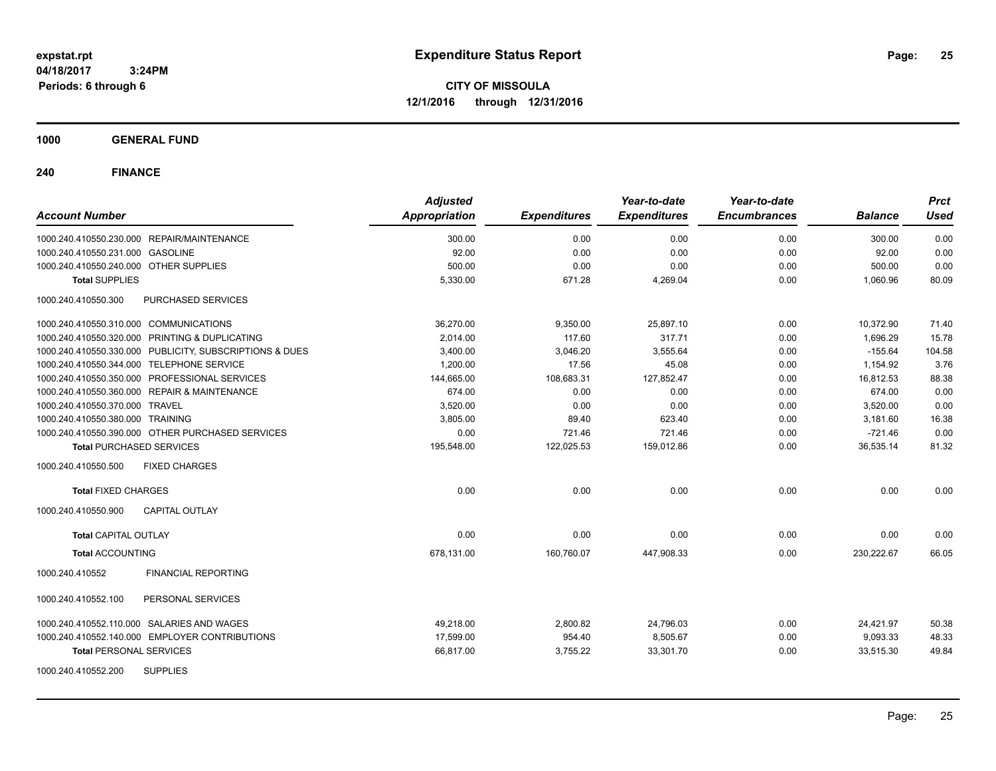**CITY OF MISSOULA 12/1/2016 through 12/31/2016**

**1000 GENERAL FUND**

| <b>Account Number</b>                                   | <b>Adjusted</b><br><b>Appropriation</b> | <b>Expenditures</b> | Year-to-date<br><b>Expenditures</b> | Year-to-date<br><b>Encumbrances</b> | <b>Balance</b> | <b>Prct</b><br><b>Used</b> |
|---------------------------------------------------------|-----------------------------------------|---------------------|-------------------------------------|-------------------------------------|----------------|----------------------------|
| 1000.240.410550.230.000 REPAIR/MAINTENANCE              | 300.00                                  | 0.00                | 0.00                                | 0.00                                | 300.00         | 0.00                       |
| 1000.240.410550.231.000 GASOLINE                        | 92.00                                   | 0.00                | 0.00                                | 0.00                                | 92.00          | 0.00                       |
| 1000.240.410550.240.000 OTHER SUPPLIES                  | 500.00                                  | 0.00                | 0.00                                | 0.00                                | 500.00         | 0.00                       |
| <b>Total SUPPLIES</b>                                   | 5,330.00                                | 671.28              | 4,269.04                            | 0.00                                | 1,060.96       | 80.09                      |
| 1000.240.410550.300<br>PURCHASED SERVICES               |                                         |                     |                                     |                                     |                |                            |
| 1000.240.410550.310.000 COMMUNICATIONS                  | 36,270.00                               | 9,350.00            | 25,897.10                           | 0.00                                | 10,372.90      | 71.40                      |
| 1000.240.410550.320.000 PRINTING & DUPLICATING          | 2,014.00                                | 117.60              | 317.71                              | 0.00                                | 1,696.29       | 15.78                      |
| 1000.240.410550.330.000 PUBLICITY, SUBSCRIPTIONS & DUES | 3.400.00                                | 3,046.20            | 3.555.64                            | 0.00                                | $-155.64$      | 104.58                     |
| 1000.240.410550.344.000 TELEPHONE SERVICE               | 1,200.00                                | 17.56               | 45.08                               | 0.00                                | 1,154.92       | 3.76                       |
| 1000.240.410550.350.000 PROFESSIONAL SERVICES           | 144,665.00                              | 108,683.31          | 127,852.47                          | 0.00                                | 16,812.53      | 88.38                      |
| 1000.240.410550.360.000 REPAIR & MAINTENANCE            | 674.00                                  | 0.00                | 0.00                                | 0.00                                | 674.00         | 0.00                       |
| 1000.240.410550.370.000 TRAVEL                          | 3,520.00                                | 0.00                | 0.00                                | 0.00                                | 3,520.00       | 0.00                       |
| 1000.240.410550.380.000 TRAINING                        | 3,805.00                                | 89.40               | 623.40                              | 0.00                                | 3,181.60       | 16.38                      |
| 1000.240.410550.390.000 OTHER PURCHASED SERVICES        | 0.00                                    | 721.46              | 721.46                              | 0.00                                | $-721.46$      | 0.00                       |
| <b>Total PURCHASED SERVICES</b>                         | 195,548.00                              | 122,025.53          | 159,012.86                          | 0.00                                | 36,535.14      | 81.32                      |
| 1000.240.410550.500<br><b>FIXED CHARGES</b>             |                                         |                     |                                     |                                     |                |                            |
| <b>Total FIXED CHARGES</b>                              | 0.00                                    | 0.00                | 0.00                                | 0.00                                | 0.00           | 0.00                       |
| 1000.240.410550.900<br><b>CAPITAL OUTLAY</b>            |                                         |                     |                                     |                                     |                |                            |
| <b>Total CAPITAL OUTLAY</b>                             | 0.00                                    | 0.00                | 0.00                                | 0.00                                | 0.00           | 0.00                       |
| <b>Total ACCOUNTING</b>                                 | 678,131.00                              | 160,760.07          | 447,908.33                          | 0.00                                | 230,222.67     | 66.05                      |
| 1000.240.410552<br><b>FINANCIAL REPORTING</b>           |                                         |                     |                                     |                                     |                |                            |
| PERSONAL SERVICES<br>1000.240.410552.100                |                                         |                     |                                     |                                     |                |                            |
| 1000.240.410552.110.000 SALARIES AND WAGES              | 49.218.00                               | 2,800.82            | 24,796.03                           | 0.00                                | 24,421.97      | 50.38                      |
| 1000.240.410552.140.000 EMPLOYER CONTRIBUTIONS          | 17.599.00                               | 954.40              | 8,505.67                            | 0.00                                | 9,093.33       | 48.33                      |
| <b>Total PERSONAL SERVICES</b>                          | 66,817.00                               | 3,755.22            | 33,301.70                           | 0.00                                | 33,515.30      | 49.84                      |
| <b>SUPPLIES</b><br>1000.240.410552.200                  |                                         |                     |                                     |                                     |                |                            |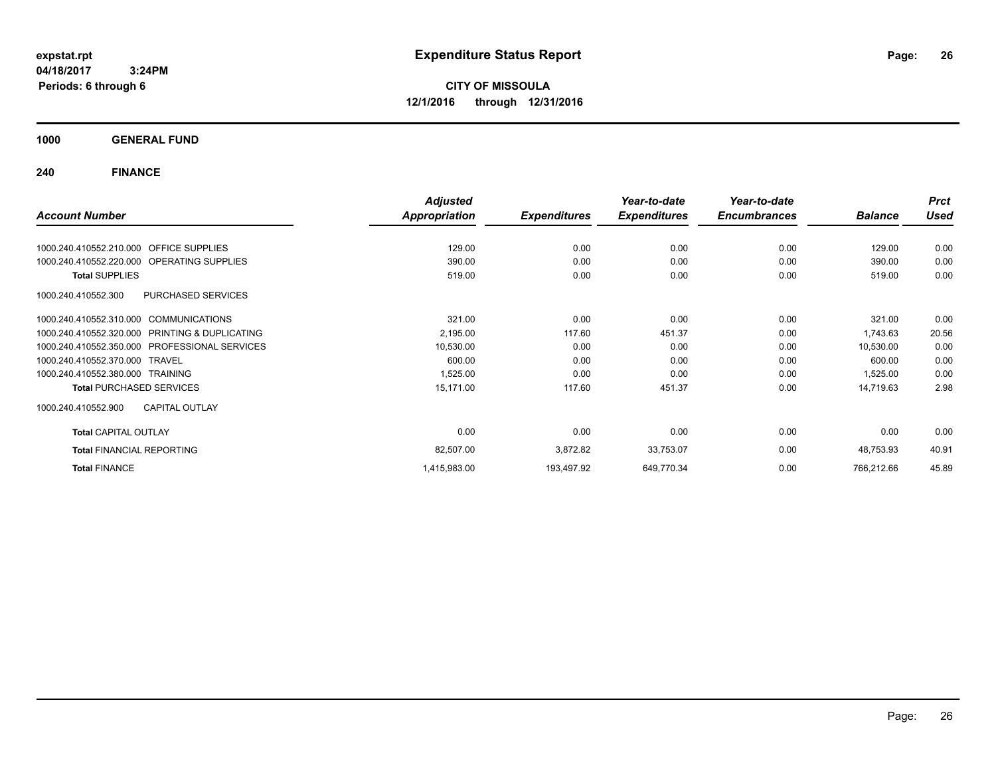**CITY OF MISSOULA 12/1/2016 through 12/31/2016**

**1000 GENERAL FUND**

|                                                      | <b>Adjusted</b>      |                     | Year-to-date        | Year-to-date        |                | <b>Prct</b> |
|------------------------------------------------------|----------------------|---------------------|---------------------|---------------------|----------------|-------------|
| <b>Account Number</b>                                | <b>Appropriation</b> | <b>Expenditures</b> | <b>Expenditures</b> | <b>Encumbrances</b> | <b>Balance</b> | <b>Used</b> |
| 1000.240.410552.210.000<br><b>OFFICE SUPPLIES</b>    | 129.00               | 0.00                | 0.00                | 0.00                | 129.00         | 0.00        |
|                                                      |                      |                     |                     |                     |                |             |
| 1000.240.410552.220.000<br><b>OPERATING SUPPLIES</b> | 390.00               | 0.00                | 0.00                | 0.00                | 390.00         | 0.00        |
| <b>Total SUPPLIES</b>                                | 519.00               | 0.00                | 0.00                | 0.00                | 519.00         | 0.00        |
| PURCHASED SERVICES<br>1000.240.410552.300            |                      |                     |                     |                     |                |             |
| 1000.240.410552.310.000 COMMUNICATIONS               | 321.00               | 0.00                | 0.00                | 0.00                | 321.00         | 0.00        |
| 1000.240.410552.320.000 PRINTING & DUPLICATING       | 2,195.00             | 117.60              | 451.37              | 0.00                | 1,743.63       | 20.56       |
| 1000.240.410552.350.000 PROFESSIONAL SERVICES        | 10,530.00            | 0.00                | 0.00                | 0.00                | 10,530.00      | 0.00        |
| 1000.240.410552.370.000 TRAVEL                       | 600.00               | 0.00                | 0.00                | 0.00                | 600.00         | 0.00        |
| 1000.240.410552.380.000 TRAINING                     | 1,525.00             | 0.00                | 0.00                | 0.00                | 1,525.00       | 0.00        |
| <b>Total PURCHASED SERVICES</b>                      | 15,171.00            | 117.60              | 451.37              | 0.00                | 14,719.63      | 2.98        |
| <b>CAPITAL OUTLAY</b><br>1000.240.410552.900         |                      |                     |                     |                     |                |             |
| <b>Total CAPITAL OUTLAY</b>                          | 0.00                 | 0.00                | 0.00                | 0.00                | 0.00           | 0.00        |
| <b>Total FINANCIAL REPORTING</b>                     | 82,507.00            | 3,872.82            | 33,753.07           | 0.00                | 48,753.93      | 40.91       |
| <b>Total FINANCE</b>                                 | 1,415,983.00         | 193,497.92          | 649,770.34          | 0.00                | 766,212.66     | 45.89       |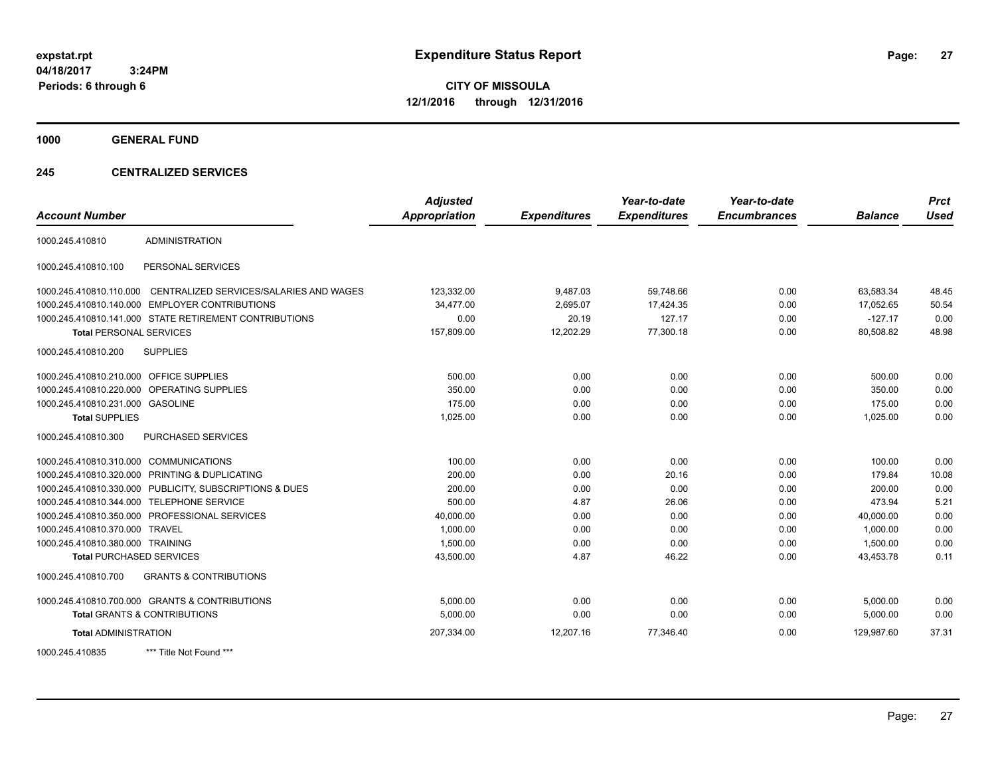**CITY OF MISSOULA 12/1/2016 through 12/31/2016**

**1000 GENERAL FUND**

### **245 CENTRALIZED SERVICES**

| <b>Account Number</b>                   |                                                        | <b>Adjusted</b><br><b>Appropriation</b> | <b>Expenditures</b> | Year-to-date<br><b>Expenditures</b> | Year-to-date<br><b>Encumbrances</b> | <b>Balance</b> | <b>Prct</b><br><b>Used</b> |
|-----------------------------------------|--------------------------------------------------------|-----------------------------------------|---------------------|-------------------------------------|-------------------------------------|----------------|----------------------------|
| 1000.245.410810                         | <b>ADMINISTRATION</b>                                  |                                         |                     |                                     |                                     |                |                            |
|                                         |                                                        |                                         |                     |                                     |                                     |                |                            |
| 1000.245.410810.100                     | PERSONAL SERVICES                                      |                                         |                     |                                     |                                     |                |                            |
| 1000.245.410810.110.000                 | CENTRALIZED SERVICES/SALARIES AND WAGES                | 123,332.00                              | 9,487.03            | 59.748.66                           | 0.00                                | 63.583.34      | 48.45                      |
| 1000.245.410810.140.000                 | <b>EMPLOYER CONTRIBUTIONS</b>                          | 34,477.00                               | 2,695.07            | 17,424.35                           | 0.00                                | 17,052.65      | 50.54                      |
|                                         | 1000.245.410810.141.000 STATE RETIREMENT CONTRIBUTIONS | 0.00                                    | 20.19               | 127.17                              | 0.00                                | $-127.17$      | 0.00                       |
| <b>Total PERSONAL SERVICES</b>          |                                                        | 157,809.00                              | 12,202.29           | 77,300.18                           | 0.00                                | 80,508.82      | 48.98                      |
| 1000.245.410810.200                     | <b>SUPPLIES</b>                                        |                                         |                     |                                     |                                     |                |                            |
| 1000.245.410810.210.000 OFFICE SUPPLIES |                                                        | 500.00                                  | 0.00                | 0.00                                | 0.00                                | 500.00         | 0.00                       |
| 1000.245.410810.220.000                 | OPERATING SUPPLIES                                     | 350.00                                  | 0.00                | 0.00                                | 0.00                                | 350.00         | 0.00                       |
| 1000.245.410810.231.000 GASOLINE        |                                                        | 175.00                                  | 0.00                | 0.00                                | 0.00                                | 175.00         | 0.00                       |
| <b>Total SUPPLIES</b>                   |                                                        | 1,025.00                                | 0.00                | 0.00                                | 0.00                                | 1,025.00       | 0.00                       |
| 1000.245.410810.300                     | <b>PURCHASED SERVICES</b>                              |                                         |                     |                                     |                                     |                |                            |
| 1000.245.410810.310.000 COMMUNICATIONS  |                                                        | 100.00                                  | 0.00                | 0.00                                | 0.00                                | 100.00         | 0.00                       |
|                                         | 1000.245.410810.320.000 PRINTING & DUPLICATING         | 200.00                                  | 0.00                | 20.16                               | 0.00                                | 179.84         | 10.08                      |
| 1000.245.410810.330.000                 | PUBLICITY, SUBSCRIPTIONS & DUES                        | 200.00                                  | 0.00                | 0.00                                | 0.00                                | 200.00         | 0.00                       |
| 1000.245.410810.344.000                 | <b>TELEPHONE SERVICE</b>                               | 500.00                                  | 4.87                | 26.06                               | 0.00                                | 473.94         | 5.21                       |
|                                         | 1000.245.410810.350.000 PROFESSIONAL SERVICES          | 40,000.00                               | 0.00                | 0.00                                | 0.00                                | 40,000.00      | 0.00                       |
| 1000.245.410810.370.000                 | <b>TRAVEL</b>                                          | 1,000.00                                | 0.00                | 0.00                                | 0.00                                | 1,000.00       | 0.00                       |
| 1000.245.410810.380.000 TRAINING        |                                                        | 1,500.00                                | 0.00                | 0.00                                | 0.00                                | 1,500.00       | 0.00                       |
| <b>Total PURCHASED SERVICES</b>         |                                                        | 43,500.00                               | 4.87                | 46.22                               | 0.00                                | 43,453.78      | 0.11                       |
| 1000.245.410810.700                     | <b>GRANTS &amp; CONTRIBUTIONS</b>                      |                                         |                     |                                     |                                     |                |                            |
|                                         | 1000.245.410810.700.000 GRANTS & CONTRIBUTIONS         | 5.000.00                                | 0.00                | 0.00                                | 0.00                                | 5,000.00       | 0.00                       |
|                                         | <b>Total GRANTS &amp; CONTRIBUTIONS</b>                | 5,000.00                                | 0.00                | 0.00                                | 0.00                                | 5,000.00       | 0.00                       |
| <b>Total ADMINISTRATION</b>             |                                                        | 207,334.00                              | 12,207.16           | 77,346.40                           | 0.00                                | 129,987.60     | 37.31                      |
| 1000.245.410835                         | *** Title Not Found ***                                |                                         |                     |                                     |                                     |                |                            |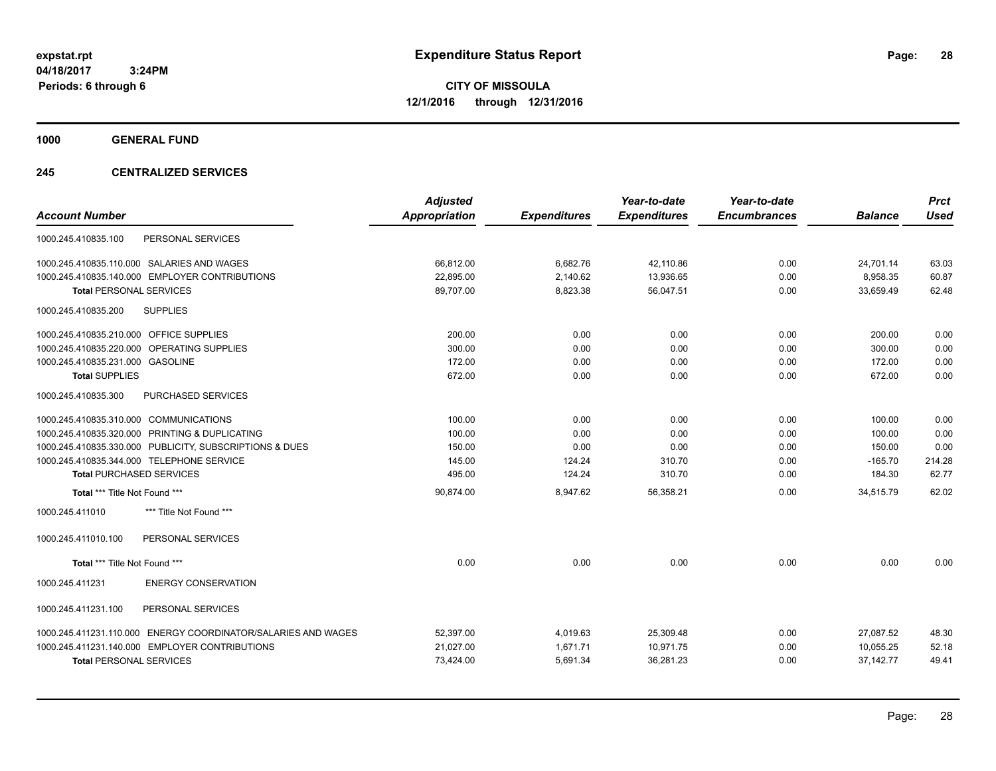**CITY OF MISSOULA 12/1/2016 through 12/31/2016**

**1000 GENERAL FUND**

### **245 CENTRALIZED SERVICES**

|                                                               | <b>Adjusted</b>      |                     | Year-to-date        | Year-to-date        |                | <b>Prct</b> |
|---------------------------------------------------------------|----------------------|---------------------|---------------------|---------------------|----------------|-------------|
| <b>Account Number</b>                                         | <b>Appropriation</b> | <b>Expenditures</b> | <b>Expenditures</b> | <b>Encumbrances</b> | <b>Balance</b> | <b>Used</b> |
| PERSONAL SERVICES<br>1000.245.410835.100                      |                      |                     |                     |                     |                |             |
| 1000.245.410835.110.000 SALARIES AND WAGES                    | 66,812.00            | 6,682.76            | 42,110.86           | 0.00                | 24,701.14      | 63.03       |
| 1000.245.410835.140.000 EMPLOYER CONTRIBUTIONS                | 22,895.00            | 2,140.62            | 13,936.65           | 0.00                | 8,958.35       | 60.87       |
| <b>Total PERSONAL SERVICES</b>                                | 89,707.00            | 8,823.38            | 56,047.51           | 0.00                | 33,659.49      | 62.48       |
| 1000.245.410835.200<br><b>SUPPLIES</b>                        |                      |                     |                     |                     |                |             |
| 1000.245.410835.210.000 OFFICE SUPPLIES                       | 200.00               | 0.00                | 0.00                | 0.00                | 200.00         | 0.00        |
| OPERATING SUPPLIES<br>1000.245.410835.220.000                 | 300.00               | 0.00                | 0.00                | 0.00                | 300.00         | 0.00        |
| 1000.245.410835.231.000 GASOLINE                              | 172.00               | 0.00                | 0.00                | 0.00                | 172.00         | 0.00        |
| <b>Total SUPPLIES</b>                                         | 672.00               | 0.00                | 0.00                | 0.00                | 672.00         | 0.00        |
| 1000.245.410835.300<br><b>PURCHASED SERVICES</b>              |                      |                     |                     |                     |                |             |
| 1000.245.410835.310.000 COMMUNICATIONS                        | 100.00               | 0.00                | 0.00                | 0.00                | 100.00         | 0.00        |
| 1000.245.410835.320.000 PRINTING & DUPLICATING                | 100.00               | 0.00                | 0.00                | 0.00                | 100.00         | 0.00        |
| 1000.245.410835.330.000 PUBLICITY, SUBSCRIPTIONS & DUES       | 150.00               | 0.00                | 0.00                | 0.00                | 150.00         | 0.00        |
| 1000.245.410835.344.000 TELEPHONE SERVICE                     | 145.00               | 124.24              | 310.70              | 0.00                | $-165.70$      | 214.28      |
| <b>Total PURCHASED SERVICES</b>                               | 495.00               | 124.24              | 310.70              | 0.00                | 184.30         | 62.77       |
| Total *** Title Not Found ***                                 | 90.874.00            | 8,947.62            | 56.358.21           | 0.00                | 34.515.79      | 62.02       |
| *** Title Not Found ***<br>1000.245.411010                    |                      |                     |                     |                     |                |             |
| 1000.245.411010.100<br>PERSONAL SERVICES                      |                      |                     |                     |                     |                |             |
| Total *** Title Not Found ***                                 | 0.00                 | 0.00                | 0.00                | 0.00                | 0.00           | 0.00        |
| 1000.245.411231<br><b>ENERGY CONSERVATION</b>                 |                      |                     |                     |                     |                |             |
| PERSONAL SERVICES<br>1000.245.411231.100                      |                      |                     |                     |                     |                |             |
| 1000.245.411231.110.000 ENERGY COORDINATOR/SALARIES AND WAGES | 52,397.00            | 4,019.63            | 25,309.48           | 0.00                | 27,087.52      | 48.30       |
| 1000.245.411231.140.000 EMPLOYER CONTRIBUTIONS                | 21,027.00            | 1,671.71            | 10,971.75           | 0.00                | 10,055.25      | 52.18       |
| <b>Total PERSONAL SERVICES</b>                                | 73,424.00            | 5,691.34            | 36,281.23           | 0.00                | 37, 142. 77    | 49.41       |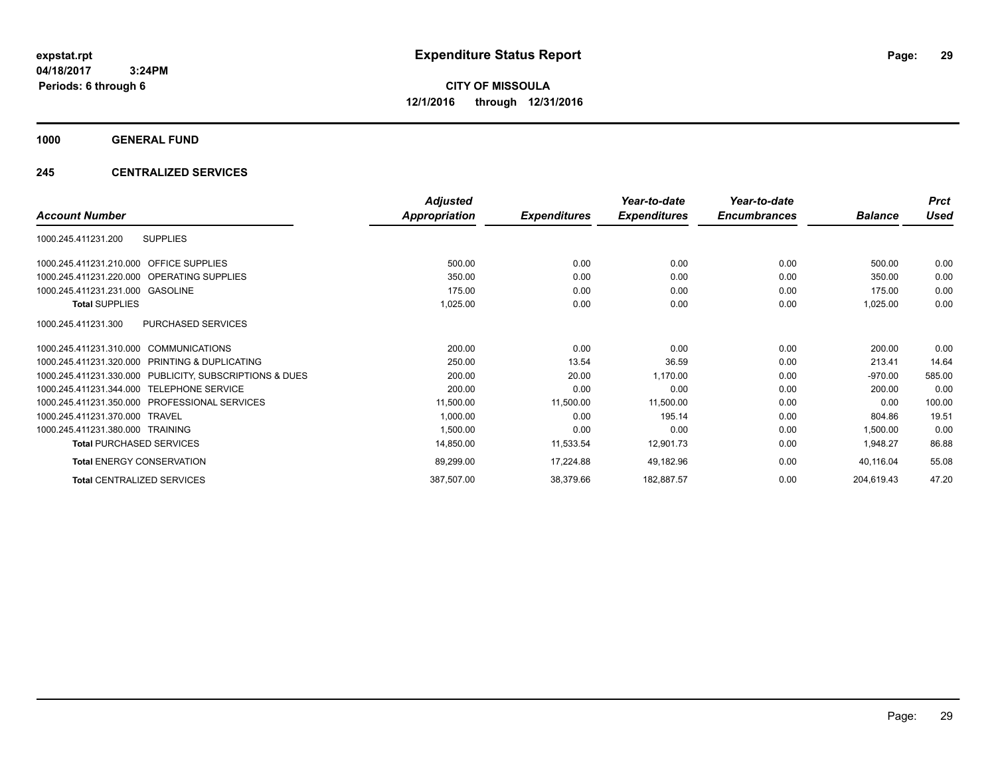**CITY OF MISSOULA 12/1/2016 through 12/31/2016**

**1000 GENERAL FUND**

### **245 CENTRALIZED SERVICES**

|                                                         | <b>Adjusted</b>      |                     | Year-to-date        | Year-to-date        |                | <b>Prct</b> |
|---------------------------------------------------------|----------------------|---------------------|---------------------|---------------------|----------------|-------------|
| <b>Account Number</b>                                   | <b>Appropriation</b> | <b>Expenditures</b> | <b>Expenditures</b> | <b>Encumbrances</b> | <b>Balance</b> | Used        |
| <b>SUPPLIES</b><br>1000.245.411231.200                  |                      |                     |                     |                     |                |             |
| 1000.245.411231.210.000 OFFICE SUPPLIES                 | 500.00               | 0.00                | 0.00                | 0.00                | 500.00         | 0.00        |
| 1000.245.411231.220.000 OPERATING SUPPLIES              | 350.00               | 0.00                | 0.00                | 0.00                | 350.00         | 0.00        |
| 1000.245.411231.231.000<br>GASOLINE                     | 175.00               | 0.00                | 0.00                | 0.00                | 175.00         | 0.00        |
| <b>Total SUPPLIES</b>                                   | 1,025.00             | 0.00                | 0.00                | 0.00                | 1,025.00       | 0.00        |
| <b>PURCHASED SERVICES</b><br>1000.245.411231.300        |                      |                     |                     |                     |                |             |
| 1000.245.411231.310.000 COMMUNICATIONS                  | 200.00               | 0.00                | 0.00                | 0.00                | 200.00         | 0.00        |
| PRINTING & DUPLICATING<br>1000.245.411231.320.000       | 250.00               | 13.54               | 36.59               | 0.00                | 213.41         | 14.64       |
| 1000.245.411231.330.000 PUBLICITY, SUBSCRIPTIONS & DUES | 200.00               | 20.00               | 1,170.00            | 0.00                | $-970.00$      | 585.00      |
| 1000.245.411231.344.000<br><b>TELEPHONE SERVICE</b>     | 200.00               | 0.00                | 0.00                | 0.00                | 200.00         | 0.00        |
| 1000.245.411231.350.000 PROFESSIONAL SERVICES           | 11,500.00            | 11,500.00           | 11,500.00           | 0.00                | 0.00           | 100.00      |
| 1000.245.411231.370.000<br>TRAVFI                       | 1,000.00             | 0.00                | 195.14              | 0.00                | 804.86         | 19.51       |
| 1000.245.411231.380.000 TRAINING                        | 1,500.00             | 0.00                | 0.00                | 0.00                | 1,500.00       | 0.00        |
| <b>Total PURCHASED SERVICES</b>                         | 14,850.00            | 11,533.54           | 12,901.73           | 0.00                | 1,948.27       | 86.88       |
| <b>Total ENERGY CONSERVATION</b>                        | 89,299.00            | 17,224.88           | 49,182.96           | 0.00                | 40,116.04      | 55.08       |
| <b>Total CENTRALIZED SERVICES</b>                       | 387,507.00           | 38,379.66           | 182,887.57          | 0.00                | 204,619.43     | 47.20       |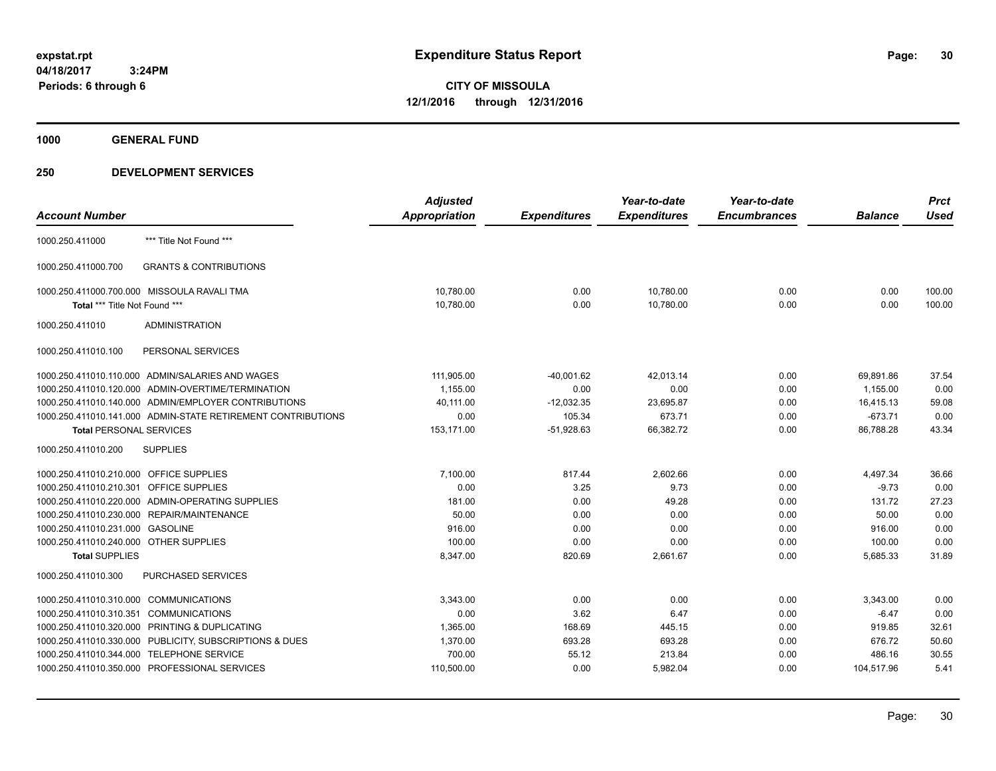**1000 GENERAL FUND**

|                                         |                                                              | <b>Adjusted</b>      |                     | Year-to-date        | Year-to-date        |                | <b>Prct</b> |
|-----------------------------------------|--------------------------------------------------------------|----------------------|---------------------|---------------------|---------------------|----------------|-------------|
| <b>Account Number</b>                   |                                                              | <b>Appropriation</b> | <b>Expenditures</b> | <b>Expenditures</b> | <b>Encumbrances</b> | <b>Balance</b> | <b>Used</b> |
| 1000.250.411000                         | *** Title Not Found ***                                      |                      |                     |                     |                     |                |             |
| 1000.250.411000.700                     | <b>GRANTS &amp; CONTRIBUTIONS</b>                            |                      |                     |                     |                     |                |             |
|                                         | 1000.250.411000.700.000 MISSOULA RAVALI TMA                  | 10,780.00            | 0.00                | 10,780.00           | 0.00                | 0.00           | 100.00      |
| Total *** Title Not Found ***           |                                                              | 10,780.00            | 0.00                | 10,780.00           | 0.00                | 0.00           | 100.00      |
| 1000.250.411010                         | <b>ADMINISTRATION</b>                                        |                      |                     |                     |                     |                |             |
| 1000.250.411010.100                     | PERSONAL SERVICES                                            |                      |                     |                     |                     |                |             |
|                                         | 1000.250.411010.110.000 ADMIN/SALARIES AND WAGES             | 111,905.00           | $-40,001.62$        | 42,013.14           | 0.00                | 69,891.86      | 37.54       |
|                                         | 1000.250.411010.120.000 ADMIN-OVERTIME/TERMINATION           | 1.155.00             | 0.00                | 0.00                | 0.00                | 1.155.00       | 0.00        |
|                                         | 1000.250.411010.140.000 ADMIN/EMPLOYER CONTRIBUTIONS         | 40,111.00            | $-12,032.35$        | 23,695.87           | 0.00                | 16,415.13      | 59.08       |
|                                         | 1000.250.411010.141.000 ADMIN-STATE RETIREMENT CONTRIBUTIONS | 0.00                 | 105.34              | 673.71              | 0.00                | $-673.71$      | 0.00        |
| <b>Total PERSONAL SERVICES</b>          |                                                              | 153,171.00           | $-51,928.63$        | 66,382.72           | 0.00                | 86,788.28      | 43.34       |
| 1000.250.411010.200                     | <b>SUPPLIES</b>                                              |                      |                     |                     |                     |                |             |
| 1000.250.411010.210.000 OFFICE SUPPLIES |                                                              | 7,100.00             | 817.44              | 2,602.66            | 0.00                | 4,497.34       | 36.66       |
| 1000.250.411010.210.301 OFFICE SUPPLIES |                                                              | 0.00                 | 3.25                | 9.73                | 0.00                | $-9.73$        | 0.00        |
|                                         | 1000.250.411010.220.000 ADMIN-OPERATING SUPPLIES             | 181.00               | 0.00                | 49.28               | 0.00                | 131.72         | 27.23       |
|                                         | 1000.250.411010.230.000 REPAIR/MAINTENANCE                   | 50.00                | 0.00                | 0.00                | 0.00                | 50.00          | 0.00        |
| 1000.250.411010.231.000 GASOLINE        |                                                              | 916.00               | 0.00                | 0.00                | 0.00                | 916.00         | 0.00        |
| 1000.250.411010.240.000 OTHER SUPPLIES  |                                                              | 100.00               | 0.00                | 0.00                | 0.00                | 100.00         | 0.00        |
| <b>Total SUPPLIES</b>                   |                                                              | 8,347.00             | 820.69              | 2,661.67            | 0.00                | 5,685.33       | 31.89       |
| 1000.250.411010.300                     | <b>PURCHASED SERVICES</b>                                    |                      |                     |                     |                     |                |             |
| 1000.250.411010.310.000 COMMUNICATIONS  |                                                              | 3.343.00             | 0.00                | 0.00                | 0.00                | 3,343.00       | 0.00        |
| 1000.250.411010.310.351 COMMUNICATIONS  |                                                              | 0.00                 | 3.62                | 6.47                | 0.00                | $-6.47$        | 0.00        |
|                                         | 1000.250.411010.320.000 PRINTING & DUPLICATING               | 1,365.00             | 168.69              | 445.15              | 0.00                | 919.85         | 32.61       |
|                                         | 1000.250.411010.330.000 PUBLICITY, SUBSCRIPTIONS & DUES      | 1,370.00             | 693.28              | 693.28              | 0.00                | 676.72         | 50.60       |
| 1000.250.411010.344.000                 | <b>TELEPHONE SERVICE</b>                                     | 700.00               | 55.12               | 213.84              | 0.00                | 486.16         | 30.55       |
|                                         | 1000.250.411010.350.000 PROFESSIONAL SERVICES                | 110,500.00           | 0.00                | 5,982.04            | 0.00                | 104,517.96     | 5.41        |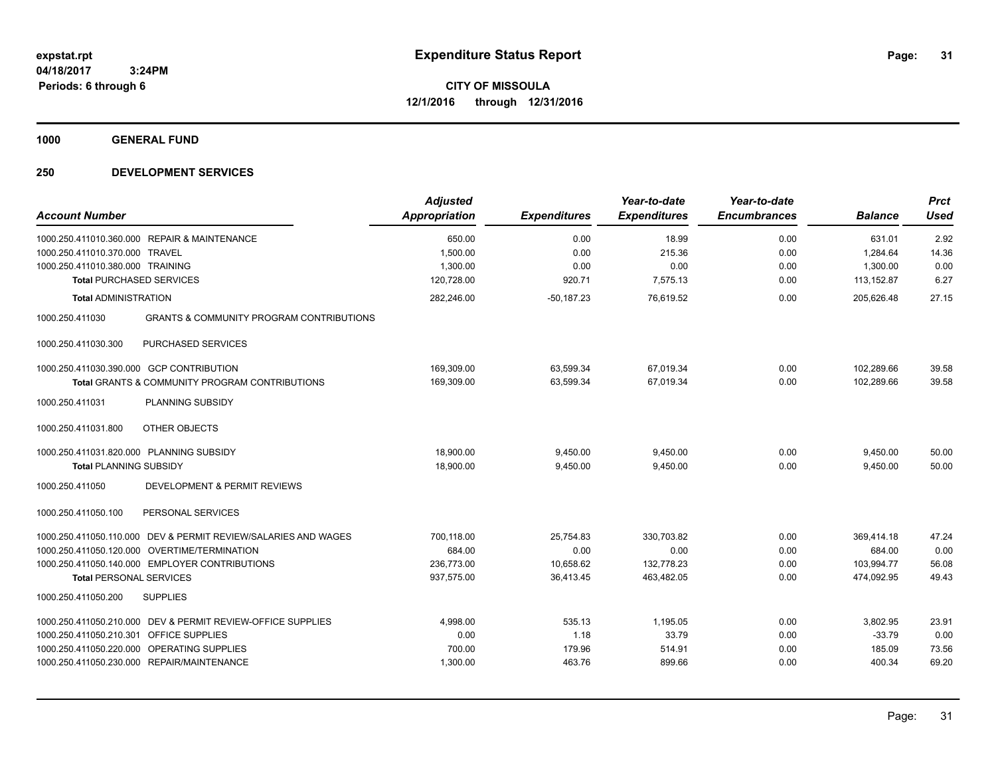**1000 GENERAL FUND**

| <b>Account Number</b>                                                                                                                                                                                 | <b>Adjusted</b><br><b>Appropriation</b>          | <b>Expenditures</b>                         | Year-to-date<br><b>Expenditures</b>            | Year-to-date<br><b>Encumbrances</b> | <b>Balance</b>                                   | <b>Prct</b><br><b>Used</b>      |
|-------------------------------------------------------------------------------------------------------------------------------------------------------------------------------------------------------|--------------------------------------------------|---------------------------------------------|------------------------------------------------|-------------------------------------|--------------------------------------------------|---------------------------------|
| 1000.250.411010.360.000 REPAIR & MAINTENANCE<br>1000.250.411010.370.000<br><b>TRAVEL</b><br>1000.250.411010.380.000 TRAINING                                                                          | 650.00<br>1,500.00<br>1,300.00                   | 0.00<br>0.00<br>0.00                        | 18.99<br>215.36<br>0.00                        | 0.00<br>0.00<br>0.00                | 631.01<br>1,284.64<br>1,300.00                   | 2.92<br>14.36<br>0.00           |
| <b>Total PURCHASED SERVICES</b>                                                                                                                                                                       | 120,728.00                                       | 920.71                                      | 7,575.13                                       | 0.00                                | 113,152.87                                       | 6.27                            |
| <b>Total ADMINISTRATION</b>                                                                                                                                                                           | 282,246.00                                       | $-50, 187.23$                               | 76,619.52                                      | 0.00                                | 205,626.48                                       | 27.15                           |
| <b>GRANTS &amp; COMMUNITY PROGRAM CONTRIBUTIONS</b><br>1000.250.411030                                                                                                                                |                                                  |                                             |                                                |                                     |                                                  |                                 |
| 1000.250.411030.300<br>PURCHASED SERVICES                                                                                                                                                             |                                                  |                                             |                                                |                                     |                                                  |                                 |
| 1000.250.411030.390.000 GCP CONTRIBUTION<br>Total GRANTS & COMMUNITY PROGRAM CONTRIBUTIONS                                                                                                            | 169,309.00<br>169,309.00                         | 63,599.34<br>63,599.34                      | 67,019.34<br>67,019.34                         | 0.00<br>0.00                        | 102,289.66<br>102,289.66                         | 39.58<br>39.58                  |
| PLANNING SUBSIDY<br>1000.250.411031                                                                                                                                                                   |                                                  |                                             |                                                |                                     |                                                  |                                 |
| <b>OTHER OBJECTS</b><br>1000.250.411031.800                                                                                                                                                           |                                                  |                                             |                                                |                                     |                                                  |                                 |
| 1000.250.411031.820.000 PLANNING SUBSIDY<br><b>Total PLANNING SUBSIDY</b>                                                                                                                             | 18,900.00<br>18,900.00                           | 9,450.00<br>9,450.00                        | 9,450.00<br>9.450.00                           | 0.00<br>0.00                        | 9,450.00<br>9,450.00                             | 50.00<br>50.00                  |
| 1000.250.411050<br><b>DEVELOPMENT &amp; PERMIT REVIEWS</b>                                                                                                                                            |                                                  |                                             |                                                |                                     |                                                  |                                 |
| 1000.250.411050.100<br>PERSONAL SERVICES                                                                                                                                                              |                                                  |                                             |                                                |                                     |                                                  |                                 |
| 1000.250.411050.110.000 DEV & PERMIT REVIEW/SALARIES AND WAGES<br>1000.250.411050.120.000 OVERTIME/TERMINATION<br>1000.250.411050.140.000 EMPLOYER CONTRIBUTIONS<br><b>Total PERSONAL SERVICES</b>    | 700,118.00<br>684.00<br>236.773.00<br>937,575.00 | 25,754.83<br>0.00<br>10.658.62<br>36,413.45 | 330,703.82<br>0.00<br>132.778.23<br>463,482.05 | 0.00<br>0.00<br>0.00<br>0.00        | 369,414.18<br>684.00<br>103.994.77<br>474,092.95 | 47.24<br>0.00<br>56.08<br>49.43 |
| 1000.250.411050.200<br><b>SUPPLIES</b>                                                                                                                                                                |                                                  |                                             |                                                |                                     |                                                  |                                 |
| DEV & PERMIT REVIEW-OFFICE SUPPLIES<br>1000.250.411050.210.000<br>1000.250.411050.210.301 OFFICE SUPPLIES<br>1000.250.411050.220.000 OPERATING SUPPLIES<br>1000.250.411050.230.000 REPAIR/MAINTENANCE | 4,998.00<br>0.00<br>700.00<br>1,300.00           | 535.13<br>1.18<br>179.96<br>463.76          | 1,195.05<br>33.79<br>514.91<br>899.66          | 0.00<br>0.00<br>0.00<br>0.00        | 3,802.95<br>$-33.79$<br>185.09<br>400.34         | 23.91<br>0.00<br>73.56<br>69.20 |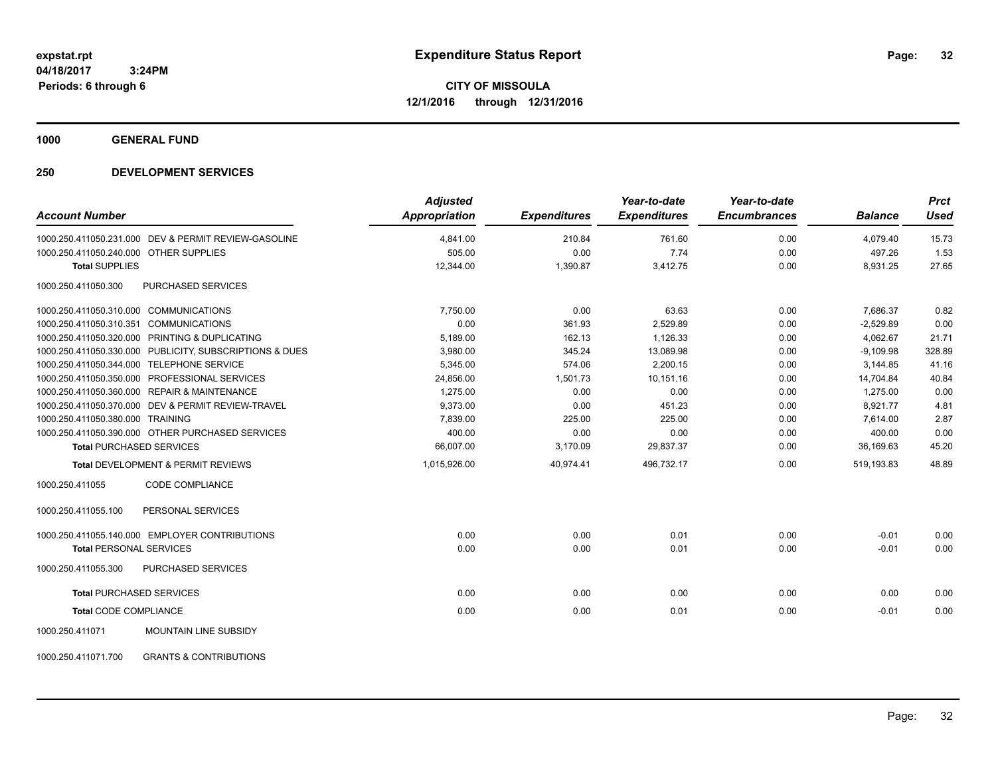**1000 GENERAL FUND**

| <b>Account Number</b>                                    | <b>Adjusted</b><br><b>Appropriation</b> | <b>Expenditures</b> | Year-to-date<br><b>Expenditures</b> | Year-to-date<br><b>Encumbrances</b> | <b>Balance</b> | <b>Prct</b><br><b>Used</b> |
|----------------------------------------------------------|-----------------------------------------|---------------------|-------------------------------------|-------------------------------------|----------------|----------------------------|
| 1000.250.411050.231.000 DEV & PERMIT REVIEW-GASOLINE     | 4,841.00                                | 210.84              | 761.60                              | 0.00                                | 4,079.40       | 15.73                      |
| 1000.250.411050.240.000 OTHER SUPPLIES                   | 505.00                                  | 0.00                | 7.74                                | 0.00                                | 497.26         | 1.53                       |
| <b>Total SUPPLIES</b>                                    | 12,344.00                               | 1,390.87            | 3,412.75                            | 0.00                                | 8,931.25       | 27.65                      |
| <b>PURCHASED SERVICES</b><br>1000.250.411050.300         |                                         |                     |                                     |                                     |                |                            |
| 1000.250.411050.310.000 COMMUNICATIONS                   | 7.750.00                                | 0.00                | 63.63                               | 0.00                                | 7,686.37       | 0.82                       |
| 1000.250.411050.310.351 COMMUNICATIONS                   | 0.00                                    | 361.93              | 2,529.89                            | 0.00                                | $-2,529.89$    | 0.00                       |
| 1000.250.411050.320.000 PRINTING & DUPLICATING           | 5,189.00                                | 162.13              | 1,126.33                            | 0.00                                | 4,062.67       | 21.71                      |
| 1000.250.411050.330.000 PUBLICITY, SUBSCRIPTIONS & DUES  | 3,980.00                                | 345.24              | 13,089.98                           | 0.00                                | $-9,109.98$    | 328.89                     |
| 1000.250.411050.344.000 TELEPHONE SERVICE                | 5,345.00                                | 574.06              | 2,200.15                            | 0.00                                | 3,144.85       | 41.16                      |
| 1000.250.411050.350.000 PROFESSIONAL SERVICES            | 24,856.00                               | 1,501.73            | 10,151.16                           | 0.00                                | 14,704.84      | 40.84                      |
| 1000.250.411050.360.000 REPAIR & MAINTENANCE             | 1,275.00                                | 0.00                | 0.00                                | 0.00                                | 1,275.00       | 0.00                       |
| 1000.250.411050.370.000 DEV & PERMIT REVIEW-TRAVEL       | 9,373.00                                | 0.00                | 451.23                              | 0.00                                | 8,921.77       | 4.81                       |
| 1000.250.411050.380.000 TRAINING                         | 7,839.00                                | 225.00              | 225.00                              | 0.00                                | 7,614.00       | 2.87                       |
| 1000.250.411050.390.000 OTHER PURCHASED SERVICES         | 400.00                                  | 0.00                | 0.00                                | 0.00                                | 400.00         | 0.00                       |
| <b>Total PURCHASED SERVICES</b>                          | 66,007.00                               | 3,170.09            | 29,837.37                           | 0.00                                | 36,169.63      | 45.20                      |
| <b>Total DEVELOPMENT &amp; PERMIT REVIEWS</b>            | 1,015,926.00                            | 40,974.41           | 496,732.17                          | 0.00                                | 519,193.83     | 48.89                      |
| 1000.250.411055<br>CODE COMPLIANCE                       |                                         |                     |                                     |                                     |                |                            |
| 1000.250.411055.100<br>PERSONAL SERVICES                 |                                         |                     |                                     |                                     |                |                            |
| 1000.250.411055.140.000 EMPLOYER CONTRIBUTIONS           | 0.00                                    | 0.00                | 0.01                                | 0.00                                | $-0.01$        | 0.00                       |
| <b>Total PERSONAL SERVICES</b>                           | 0.00                                    | 0.00                | 0.01                                | 0.00                                | $-0.01$        | 0.00                       |
| 1000.250.411055.300<br>PURCHASED SERVICES                |                                         |                     |                                     |                                     |                |                            |
| <b>Total PURCHASED SERVICES</b>                          | 0.00                                    | 0.00                | 0.00                                | 0.00                                | 0.00           | 0.00                       |
| <b>Total CODE COMPLIANCE</b>                             | 0.00                                    | 0.00                | 0.01                                | 0.00                                | $-0.01$        | 0.00                       |
| 1000.250.411071<br>MOUNTAIN LINE SUBSIDY                 |                                         |                     |                                     |                                     |                |                            |
| 1000.250.411071.700<br><b>GRANTS &amp; CONTRIBUTIONS</b> |                                         |                     |                                     |                                     |                |                            |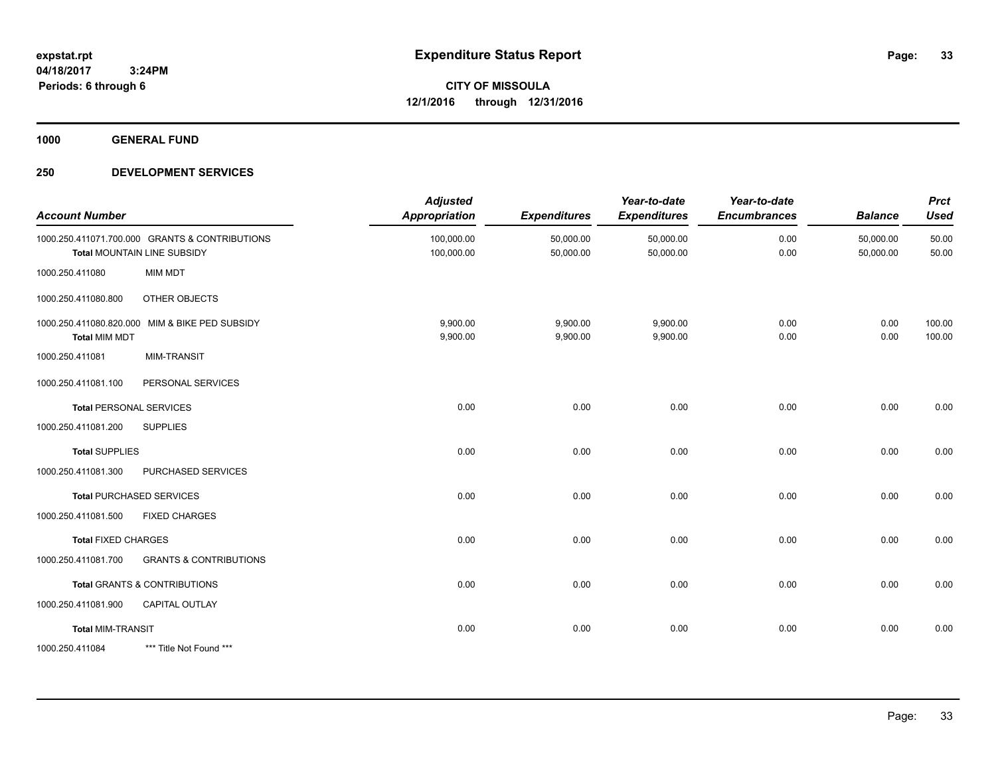**1000 GENERAL FUND**

| <b>Account Number</b>      |                                                                               | <b>Adjusted</b><br><b>Appropriation</b> | <b>Expenditures</b>    | Year-to-date<br><b>Expenditures</b> | Year-to-date<br><b>Encumbrances</b> | <b>Balance</b>         | <b>Prct</b><br><b>Used</b> |
|----------------------------|-------------------------------------------------------------------------------|-----------------------------------------|------------------------|-------------------------------------|-------------------------------------|------------------------|----------------------------|
|                            | 1000.250.411071.700.000 GRANTS & CONTRIBUTIONS<br>Total MOUNTAIN LINE SUBSIDY | 100,000.00<br>100,000.00                | 50,000.00<br>50,000.00 | 50,000.00<br>50,000.00              | 0.00<br>0.00                        | 50,000.00<br>50,000.00 | 50.00<br>50.00             |
| 1000.250.411080            | <b>MIM MDT</b>                                                                |                                         |                        |                                     |                                     |                        |                            |
| 1000.250.411080.800        | OTHER OBJECTS                                                                 |                                         |                        |                                     |                                     |                        |                            |
| <b>Total MIM MDT</b>       | 1000.250.411080.820.000 MIM & BIKE PED SUBSIDY                                | 9,900.00<br>9,900.00                    | 9,900.00<br>9,900.00   | 9,900.00<br>9,900.00                | 0.00<br>0.00                        | 0.00<br>0.00           | 100.00<br>100.00           |
| 1000.250.411081            | <b>MIM-TRANSIT</b>                                                            |                                         |                        |                                     |                                     |                        |                            |
| 1000.250.411081.100        | PERSONAL SERVICES                                                             |                                         |                        |                                     |                                     |                        |                            |
|                            | <b>Total PERSONAL SERVICES</b>                                                | 0.00                                    | 0.00                   | 0.00                                | 0.00                                | 0.00                   | 0.00                       |
| 1000.250.411081.200        | <b>SUPPLIES</b>                                                               |                                         |                        |                                     |                                     |                        |                            |
| <b>Total SUPPLIES</b>      |                                                                               | 0.00                                    | 0.00                   | 0.00                                | 0.00                                | 0.00                   | 0.00                       |
| 1000.250.411081.300        | PURCHASED SERVICES                                                            |                                         |                        |                                     |                                     |                        |                            |
|                            | <b>Total PURCHASED SERVICES</b>                                               | 0.00                                    | 0.00                   | 0.00                                | 0.00                                | 0.00                   | 0.00                       |
| 1000.250.411081.500        | <b>FIXED CHARGES</b>                                                          |                                         |                        |                                     |                                     |                        |                            |
| <b>Total FIXED CHARGES</b> |                                                                               | 0.00                                    | 0.00                   | 0.00                                | 0.00                                | 0.00                   | 0.00                       |
| 1000.250.411081.700        | <b>GRANTS &amp; CONTRIBUTIONS</b>                                             |                                         |                        |                                     |                                     |                        |                            |
|                            | Total GRANTS & CONTRIBUTIONS                                                  | 0.00                                    | 0.00                   | 0.00                                | 0.00                                | 0.00                   | 0.00                       |
| 1000.250.411081.900        | CAPITAL OUTLAY                                                                |                                         |                        |                                     |                                     |                        |                            |
| <b>Total MIM-TRANSIT</b>   |                                                                               | 0.00                                    | 0.00                   | 0.00                                | 0.00                                | 0.00                   | 0.00                       |
| 1000.250.411084            | *** Title Not Found ***                                                       |                                         |                        |                                     |                                     |                        |                            |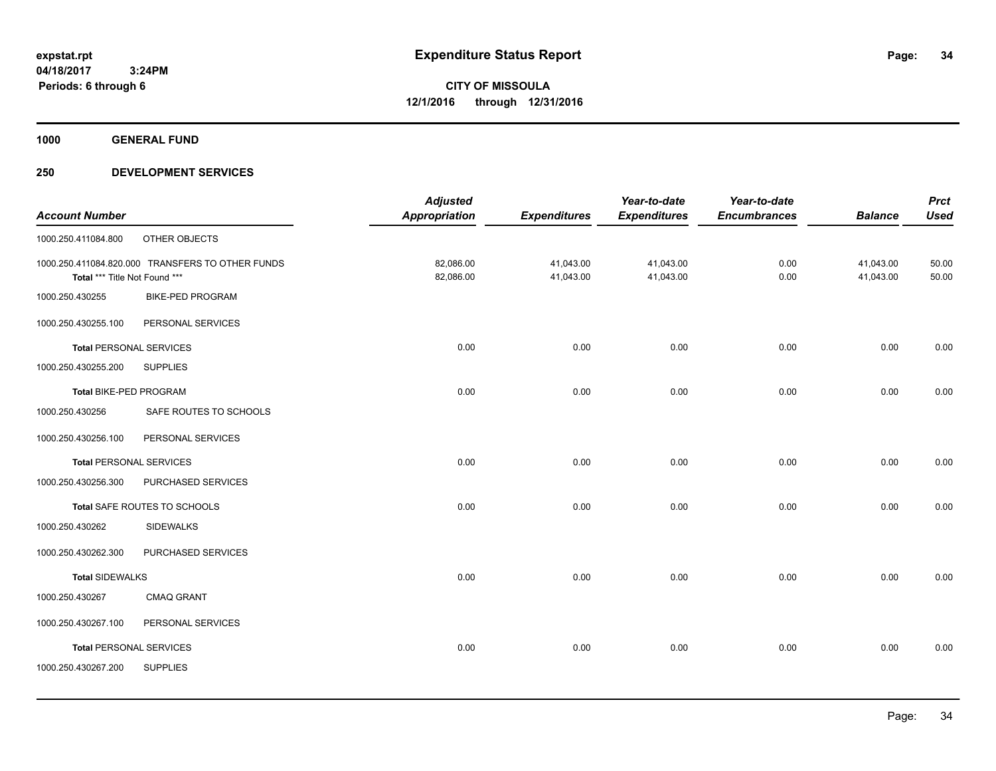**1000 GENERAL FUND**

|                                |                                                  | <b>Adjusted</b>      |                     | Year-to-date        | Year-to-date        |                | <b>Prct</b> |
|--------------------------------|--------------------------------------------------|----------------------|---------------------|---------------------|---------------------|----------------|-------------|
| <b>Account Number</b>          |                                                  | <b>Appropriation</b> | <b>Expenditures</b> | <b>Expenditures</b> | <b>Encumbrances</b> | <b>Balance</b> | <b>Used</b> |
| 1000.250.411084.800            | OTHER OBJECTS                                    |                      |                     |                     |                     |                |             |
|                                | 1000.250.411084.820.000 TRANSFERS TO OTHER FUNDS | 82,086.00            | 41,043.00           | 41,043.00           | 0.00                | 41,043.00      | 50.00       |
| Total *** Title Not Found ***  |                                                  | 82,086.00            | 41,043.00           | 41,043.00           | 0.00                | 41,043.00      | 50.00       |
| 1000.250.430255                | <b>BIKE-PED PROGRAM</b>                          |                      |                     |                     |                     |                |             |
| 1000.250.430255.100            | PERSONAL SERVICES                                |                      |                     |                     |                     |                |             |
| <b>Total PERSONAL SERVICES</b> |                                                  | 0.00                 | 0.00                | 0.00                | 0.00                | 0.00           | 0.00        |
| 1000.250.430255.200            | <b>SUPPLIES</b>                                  |                      |                     |                     |                     |                |             |
| Total BIKE-PED PROGRAM         |                                                  | 0.00                 | 0.00                | 0.00                | 0.00                | 0.00           | 0.00        |
| 1000.250.430256                | SAFE ROUTES TO SCHOOLS                           |                      |                     |                     |                     |                |             |
| 1000.250.430256.100            | PERSONAL SERVICES                                |                      |                     |                     |                     |                |             |
| <b>Total PERSONAL SERVICES</b> |                                                  | 0.00                 | 0.00                | 0.00                | 0.00                | 0.00           | 0.00        |
| 1000.250.430256.300            | PURCHASED SERVICES                               |                      |                     |                     |                     |                |             |
|                                | Total SAFE ROUTES TO SCHOOLS                     | 0.00                 | 0.00                | 0.00                | 0.00                | 0.00           | 0.00        |
| 1000.250.430262                | <b>SIDEWALKS</b>                                 |                      |                     |                     |                     |                |             |
| 1000.250.430262.300            | PURCHASED SERVICES                               |                      |                     |                     |                     |                |             |
| <b>Total SIDEWALKS</b>         |                                                  | 0.00                 | 0.00                | 0.00                | 0.00                | 0.00           | 0.00        |
| 1000.250.430267                | <b>CMAQ GRANT</b>                                |                      |                     |                     |                     |                |             |
| 1000.250.430267.100            | PERSONAL SERVICES                                |                      |                     |                     |                     |                |             |
| <b>Total PERSONAL SERVICES</b> |                                                  | 0.00                 | 0.00                | 0.00                | 0.00                | 0.00           | 0.00        |
| 1000.250.430267.200            | <b>SUPPLIES</b>                                  |                      |                     |                     |                     |                |             |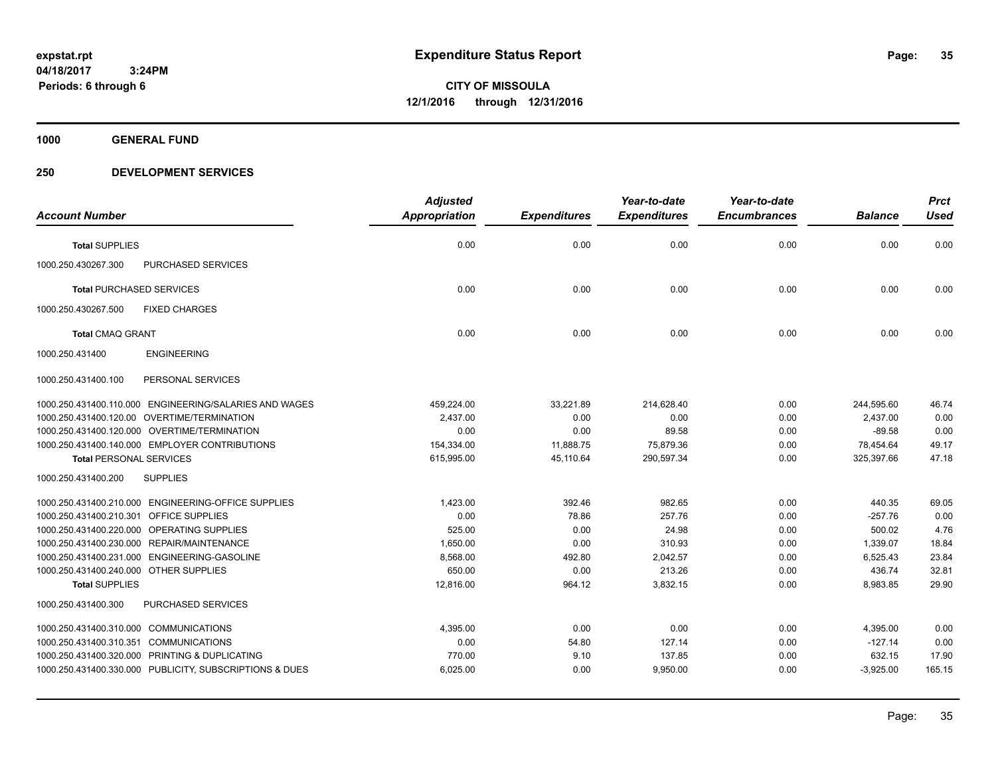**1000 GENERAL FUND**

| <b>Account Number</b>                  |                                                         | <b>Adjusted</b><br>Appropriation | <b>Expenditures</b> | Year-to-date<br><b>Expenditures</b> | Year-to-date<br><b>Encumbrances</b> | <b>Balance</b> | <b>Prct</b><br><b>Used</b> |
|----------------------------------------|---------------------------------------------------------|----------------------------------|---------------------|-------------------------------------|-------------------------------------|----------------|----------------------------|
| <b>Total SUPPLIES</b>                  |                                                         | 0.00                             | 0.00                | 0.00                                | 0.00                                | 0.00           | 0.00                       |
| 1000.250.430267.300                    | <b>PURCHASED SERVICES</b>                               |                                  |                     |                                     |                                     |                |                            |
| <b>Total PURCHASED SERVICES</b>        |                                                         | 0.00                             | 0.00                | 0.00                                | 0.00                                | 0.00           | 0.00                       |
| 1000.250.430267.500                    | <b>FIXED CHARGES</b>                                    |                                  |                     |                                     |                                     |                |                            |
| <b>Total CMAQ GRANT</b>                |                                                         | 0.00                             | 0.00                | 0.00                                | 0.00                                | 0.00           | 0.00                       |
| 1000.250.431400                        | <b>ENGINEERING</b>                                      |                                  |                     |                                     |                                     |                |                            |
| 1000.250.431400.100                    | PERSONAL SERVICES                                       |                                  |                     |                                     |                                     |                |                            |
|                                        | 1000.250.431400.110.000 ENGINEERING/SALARIES AND WAGES  | 459,224.00                       | 33,221.89           | 214,628.40                          | 0.00                                | 244,595.60     | 46.74                      |
|                                        | 1000.250.431400.120.00 OVERTIME/TERMINATION             | 2,437.00                         | 0.00                | 0.00                                | 0.00                                | 2,437.00       | 0.00                       |
|                                        | 1000.250.431400.120.000 OVERTIME/TERMINATION            | 0.00                             | 0.00                | 89.58                               | 0.00                                | $-89.58$       | 0.00                       |
|                                        | 1000.250.431400.140.000 EMPLOYER CONTRIBUTIONS          | 154,334.00                       | 11,888.75           | 75,879.36                           | 0.00                                | 78,454.64      | 49.17                      |
| <b>Total PERSONAL SERVICES</b>         |                                                         | 615,995.00                       | 45.110.64           | 290.597.34                          | 0.00                                | 325.397.66     | 47.18                      |
| 1000.250.431400.200                    | <b>SUPPLIES</b>                                         |                                  |                     |                                     |                                     |                |                            |
|                                        | 1000.250.431400.210.000 ENGINEERING-OFFICE SUPPLIES     | 1,423.00                         | 392.46              | 982.65                              | 0.00                                | 440.35         | 69.05                      |
| 1000.250.431400.210.301                | <b>OFFICE SUPPLIES</b>                                  | 0.00                             | 78.86               | 257.76                              | 0.00                                | $-257.76$      | 0.00                       |
|                                        | 1000.250.431400.220.000 OPERATING SUPPLIES              | 525.00                           | 0.00                | 24.98                               | 0.00                                | 500.02         | 4.76                       |
|                                        | 1000.250.431400.230.000 REPAIR/MAINTENANCE              | 1,650.00                         | 0.00                | 310.93                              | 0.00                                | 1,339.07       | 18.84                      |
|                                        | 1000.250.431400.231.000 ENGINEERING-GASOLINE            | 8,568.00                         | 492.80              | 2,042.57                            | 0.00                                | 6,525.43       | 23.84                      |
| 1000.250.431400.240.000 OTHER SUPPLIES |                                                         | 650.00                           | 0.00                | 213.26                              | 0.00                                | 436.74         | 32.81                      |
| <b>Total SUPPLIES</b>                  |                                                         | 12,816.00                        | 964.12              | 3,832.15                            | 0.00                                | 8,983.85       | 29.90                      |
| 1000.250.431400.300                    | PURCHASED SERVICES                                      |                                  |                     |                                     |                                     |                |                            |
| 1000.250.431400.310.000 COMMUNICATIONS |                                                         | 4,395.00                         | 0.00                | 0.00                                | 0.00                                | 4,395.00       | 0.00                       |
| 1000.250.431400.310.351                | <b>COMMUNICATIONS</b>                                   | 0.00                             | 54.80               | 127.14                              | 0.00                                | $-127.14$      | 0.00                       |
|                                        | 1000.250.431400.320.000 PRINTING & DUPLICATING          | 770.00                           | 9.10                | 137.85                              | 0.00                                | 632.15         | 17.90                      |
|                                        | 1000.250.431400.330.000 PUBLICITY, SUBSCRIPTIONS & DUES | 6,025.00                         | 0.00                | 9,950.00                            | 0.00                                | $-3,925.00$    | 165.15                     |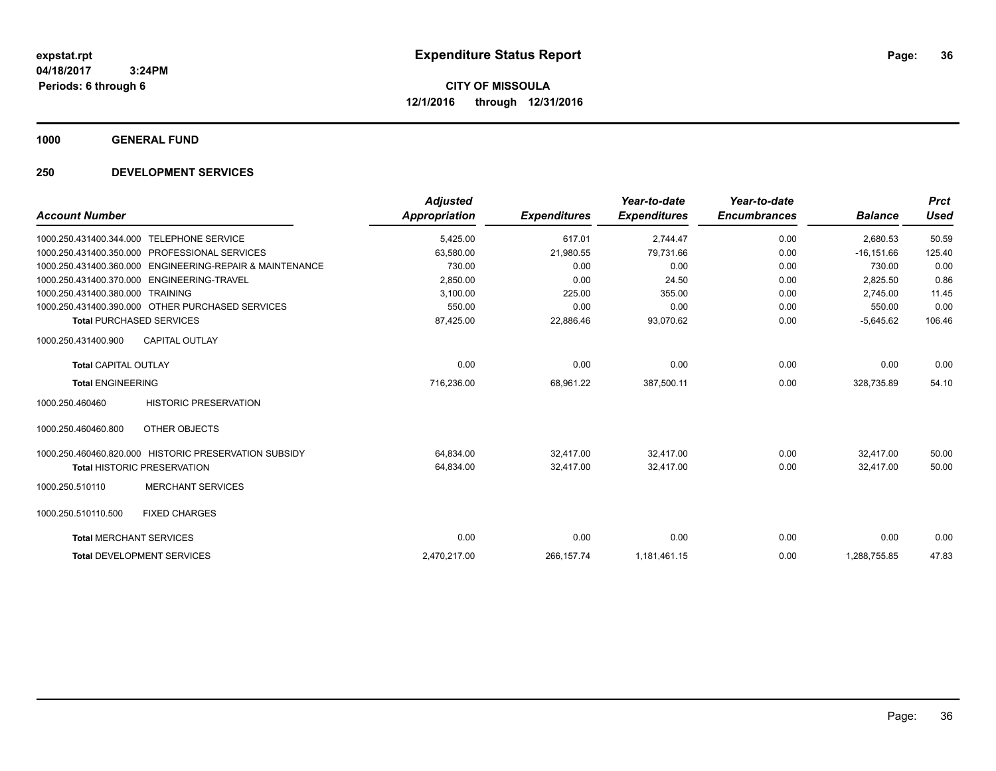**1000 GENERAL FUND**

|                                 |                                                       | <b>Adjusted</b>      |                     | Year-to-date        | Year-to-date        |                | <b>Prct</b> |
|---------------------------------|-------------------------------------------------------|----------------------|---------------------|---------------------|---------------------|----------------|-------------|
| <b>Account Number</b>           |                                                       | <b>Appropriation</b> | <b>Expenditures</b> | <b>Expenditures</b> | <b>Encumbrances</b> | <b>Balance</b> | <b>Used</b> |
| 1000.250.431400.344.000         | <b>TELEPHONE SERVICE</b>                              | 5,425.00             | 617.01              | 2,744.47            | 0.00                | 2,680.53       | 50.59       |
| 1000.250.431400.350.000         | PROFESSIONAL SERVICES                                 | 63,580.00            | 21,980.55           | 79,731.66           | 0.00                | $-16, 151.66$  | 125.40      |
| 1000.250.431400.360.000         | <b>ENGINEERING-REPAIR &amp; MAINTENANCE</b>           | 730.00               | 0.00                | 0.00                | 0.00                | 730.00         | 0.00        |
| 1000.250.431400.370.000         | ENGINEERING-TRAVEL                                    | 2,850.00             | 0.00                | 24.50               | 0.00                | 2.825.50       | 0.86        |
| 1000.250.431400.380.000         | <b>TRAINING</b>                                       | 3,100.00             | 225.00              | 355.00              | 0.00                | 2,745.00       | 11.45       |
|                                 | 1000.250.431400.390.000 OTHER PURCHASED SERVICES      | 550.00               | 0.00                | 0.00                | 0.00                | 550.00         | 0.00        |
| <b>Total PURCHASED SERVICES</b> |                                                       | 87,425.00            | 22,886.46           | 93,070.62           | 0.00                | $-5,645.62$    | 106.46      |
| 1000.250.431400.900             | <b>CAPITAL OUTLAY</b>                                 |                      |                     |                     |                     |                |             |
| <b>Total CAPITAL OUTLAY</b>     |                                                       | 0.00                 | 0.00                | 0.00                | 0.00                | 0.00           | 0.00        |
| <b>Total ENGINEERING</b>        |                                                       | 716,236.00           | 68,961.22           | 387,500.11          | 0.00                | 328,735.89     | 54.10       |
| 1000.250.460460                 | <b>HISTORIC PRESERVATION</b>                          |                      |                     |                     |                     |                |             |
| 1000.250.460460.800             | OTHER OBJECTS                                         |                      |                     |                     |                     |                |             |
|                                 | 1000.250.460460.820.000 HISTORIC PRESERVATION SUBSIDY | 64,834.00            | 32.417.00           | 32.417.00           | 0.00                | 32.417.00      | 50.00       |
|                                 | <b>Total HISTORIC PRESERVATION</b>                    | 64,834.00            | 32,417.00           | 32,417.00           | 0.00                | 32,417.00      | 50.00       |
| 1000.250.510110                 | <b>MERCHANT SERVICES</b>                              |                      |                     |                     |                     |                |             |
| 1000.250.510110.500             | <b>FIXED CHARGES</b>                                  |                      |                     |                     |                     |                |             |
| <b>Total MERCHANT SERVICES</b>  |                                                       | 0.00                 | 0.00                | 0.00                | 0.00                | 0.00           | 0.00        |
|                                 | <b>Total DEVELOPMENT SERVICES</b>                     | 2,470,217.00         | 266, 157. 74        | 1,181,461.15        | 0.00                | 1,288,755.85   | 47.83       |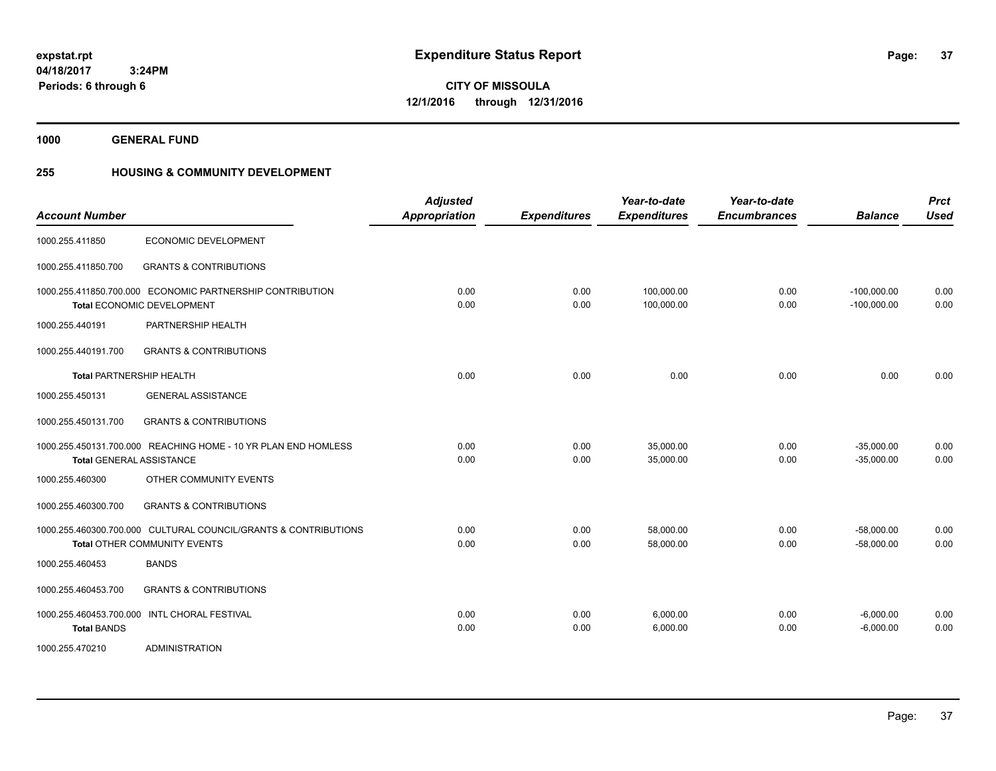**Periods: 6 through 6**

**37**

**CITY OF MISSOULA 12/1/2016 through 12/31/2016**

**1000 GENERAL FUND**

 **3:24PM**

## **255 HOUSING & COMMUNITY DEVELOPMENT**

| <b>Account Number</b>           |                                                                                                   | <b>Adjusted</b><br><b>Appropriation</b> | <b>Expenditures</b> | Year-to-date<br><b>Expenditures</b> | Year-to-date<br><b>Encumbrances</b> | <b>Balance</b>                 | <b>Prct</b><br><b>Used</b> |
|---------------------------------|---------------------------------------------------------------------------------------------------|-----------------------------------------|---------------------|-------------------------------------|-------------------------------------|--------------------------------|----------------------------|
| 1000.255.411850                 | ECONOMIC DEVELOPMENT                                                                              |                                         |                     |                                     |                                     |                                |                            |
| 1000.255.411850.700             | <b>GRANTS &amp; CONTRIBUTIONS</b>                                                                 |                                         |                     |                                     |                                     |                                |                            |
|                                 | 1000.255.411850.700.000 ECONOMIC PARTNERSHIP CONTRIBUTION<br><b>Total ECONOMIC DEVELOPMENT</b>    | 0.00<br>0.00                            | 0.00<br>0.00        | 100.000.00<br>100,000.00            | 0.00<br>0.00                        | $-100,000.00$<br>$-100,000.00$ | 0.00<br>0.00               |
| 1000.255.440191                 | PARTNERSHIP HEALTH                                                                                |                                         |                     |                                     |                                     |                                |                            |
| 1000.255.440191.700             | <b>GRANTS &amp; CONTRIBUTIONS</b>                                                                 |                                         |                     |                                     |                                     |                                |                            |
| <b>Total PARTNERSHIP HEALTH</b> |                                                                                                   | 0.00                                    | 0.00                | 0.00                                | 0.00                                | 0.00                           | 0.00                       |
| 1000.255.450131                 | <b>GENERAL ASSISTANCE</b>                                                                         |                                         |                     |                                     |                                     |                                |                            |
| 1000.255.450131.700             | <b>GRANTS &amp; CONTRIBUTIONS</b>                                                                 |                                         |                     |                                     |                                     |                                |                            |
|                                 | 1000.255.450131.700.000 REACHING HOME - 10 YR PLAN END HOMLESS<br><b>Total GENERAL ASSISTANCE</b> | 0.00<br>0.00                            | 0.00<br>0.00        | 35,000.00<br>35,000.00              | 0.00<br>0.00                        | $-35,000.00$<br>$-35,000.00$   | 0.00<br>0.00               |
| 1000.255.460300                 | OTHER COMMUNITY EVENTS                                                                            |                                         |                     |                                     |                                     |                                |                            |
| 1000.255.460300.700             | <b>GRANTS &amp; CONTRIBUTIONS</b>                                                                 |                                         |                     |                                     |                                     |                                |                            |
|                                 | 1000.255.460300.700.000 CULTURAL COUNCIL/GRANTS & CONTRIBUTIONS<br>Total OTHER COMMUNITY EVENTS   | 0.00<br>0.00                            | 0.00<br>0.00        | 58,000.00<br>58,000.00              | 0.00<br>0.00                        | $-58,000.00$<br>$-58,000.00$   | 0.00<br>0.00               |
| 1000.255.460453                 | <b>BANDS</b>                                                                                      |                                         |                     |                                     |                                     |                                |                            |
| 1000.255.460453.700             | <b>GRANTS &amp; CONTRIBUTIONS</b>                                                                 |                                         |                     |                                     |                                     |                                |                            |
| <b>Total BANDS</b>              | 1000.255.460453.700.000 INTL CHORAL FESTIVAL                                                      | 0.00<br>0.00                            | 0.00<br>0.00        | 6,000.00<br>6,000.00                | 0.00<br>0.00                        | $-6,000.00$<br>$-6,000.00$     | 0.00<br>0.00               |
| 1000.255.470210                 | <b>ADMINISTRATION</b>                                                                             |                                         |                     |                                     |                                     |                                |                            |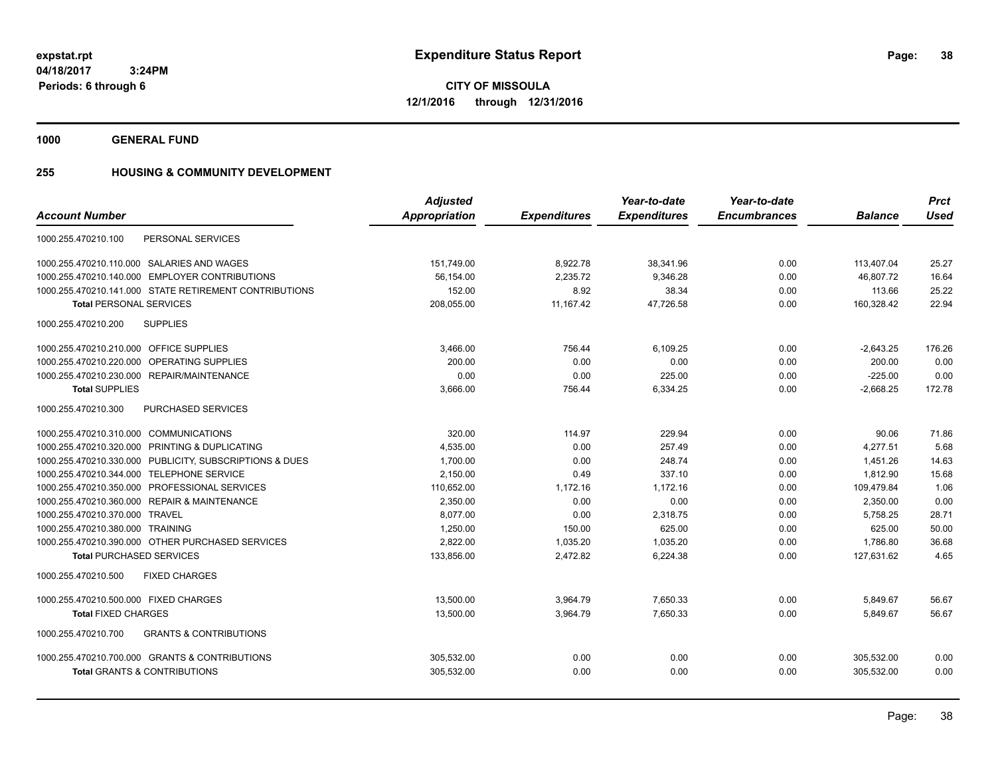**CITY OF MISSOULA 12/1/2016 through 12/31/2016**

**1000 GENERAL FUND**

### **255 HOUSING & COMMUNITY DEVELOPMENT**

|                                                          | <b>Adjusted</b>      |                     | Year-to-date        | Year-to-date        |                | <b>Prct</b> |
|----------------------------------------------------------|----------------------|---------------------|---------------------|---------------------|----------------|-------------|
| <b>Account Number</b>                                    | <b>Appropriation</b> | <b>Expenditures</b> | <b>Expenditures</b> | <b>Encumbrances</b> | <b>Balance</b> | <b>Used</b> |
| PERSONAL SERVICES<br>1000.255.470210.100                 |                      |                     |                     |                     |                |             |
| 1000.255.470210.110.000 SALARIES AND WAGES               | 151,749.00           | 8,922.78            | 38,341.96           | 0.00                | 113,407.04     | 25.27       |
| 1000.255.470210.140.000 EMPLOYER CONTRIBUTIONS           | 56,154.00            | 2,235.72            | 9.346.28            | 0.00                | 46.807.72      | 16.64       |
| 1000.255.470210.141.000 STATE RETIREMENT CONTRIBUTIONS   | 152.00               | 8.92                | 38.34               | 0.00                | 113.66         | 25.22       |
| <b>Total PERSONAL SERVICES</b>                           | 208,055.00           | 11,167.42           | 47,726.58           | 0.00                | 160,328.42     | 22.94       |
| 1000.255.470210.200<br><b>SUPPLIES</b>                   |                      |                     |                     |                     |                |             |
| 1000.255.470210.210.000 OFFICE SUPPLIES                  | 3,466.00             | 756.44              | 6,109.25            | 0.00                | $-2,643.25$    | 176.26      |
| 1000.255.470210.220.000 OPERATING SUPPLIES               | 200.00               | 0.00                | 0.00                | 0.00                | 200.00         | 0.00        |
| 1000.255.470210.230.000 REPAIR/MAINTENANCE               | 0.00                 | 0.00                | 225.00              | 0.00                | $-225.00$      | 0.00        |
| <b>Total SUPPLIES</b>                                    | 3,666.00             | 756.44              | 6,334.25            | 0.00                | $-2,668.25$    | 172.78      |
| 1000.255.470210.300<br><b>PURCHASED SERVICES</b>         |                      |                     |                     |                     |                |             |
| 1000.255.470210.310.000 COMMUNICATIONS                   | 320.00               | 114.97              | 229.94              | 0.00                | 90.06          | 71.86       |
| 1000.255.470210.320.000 PRINTING & DUPLICATING           | 4,535.00             | 0.00                | 257.49              | 0.00                | 4,277.51       | 5.68        |
| 1000.255.470210.330.000 PUBLICITY, SUBSCRIPTIONS & DUES  | 1,700.00             | 0.00                | 248.74              | 0.00                | 1,451.26       | 14.63       |
| 1000.255.470210.344.000 TELEPHONE SERVICE                | 2,150.00             | 0.49                | 337.10              | 0.00                | 1,812.90       | 15.68       |
| 1000.255.470210.350.000 PROFESSIONAL SERVICES            | 110,652.00           | 1,172.16            | 1,172.16            | 0.00                | 109,479.84     | 1.06        |
| 1000.255.470210.360.000 REPAIR & MAINTENANCE             | 2.350.00             | 0.00                | 0.00                | 0.00                | 2.350.00       | 0.00        |
| 1000.255.470210.370.000 TRAVEL                           | 8,077.00             | 0.00                | 2,318.75            | 0.00                | 5,758.25       | 28.71       |
| 1000.255.470210.380.000 TRAINING                         | 1,250.00             | 150.00              | 625.00              | 0.00                | 625.00         | 50.00       |
| 1000.255.470210.390.000 OTHER PURCHASED SERVICES         | 2,822.00             | 1,035.20            | 1,035.20            | 0.00                | 1.786.80       | 36.68       |
| <b>Total PURCHASED SERVICES</b>                          | 133,856.00           | 2,472.82            | 6,224.38            | 0.00                | 127,631.62     | 4.65        |
| 1000.255.470210.500<br><b>FIXED CHARGES</b>              |                      |                     |                     |                     |                |             |
| 1000.255.470210.500.000 FIXED CHARGES                    | 13,500.00            | 3,964.79            | 7,650.33            | 0.00                | 5,849.67       | 56.67       |
| <b>Total FIXED CHARGES</b>                               | 13,500.00            | 3,964.79            | 7,650.33            | 0.00                | 5,849.67       | 56.67       |
| <b>GRANTS &amp; CONTRIBUTIONS</b><br>1000.255.470210.700 |                      |                     |                     |                     |                |             |
| 1000.255.470210.700.000 GRANTS & CONTRIBUTIONS           | 305,532.00           | 0.00                | 0.00                | 0.00                | 305,532.00     | 0.00        |
| <b>Total GRANTS &amp; CONTRIBUTIONS</b>                  | 305,532.00           | 0.00                | 0.00                | 0.00                | 305,532.00     | 0.00        |
|                                                          |                      |                     |                     |                     |                |             |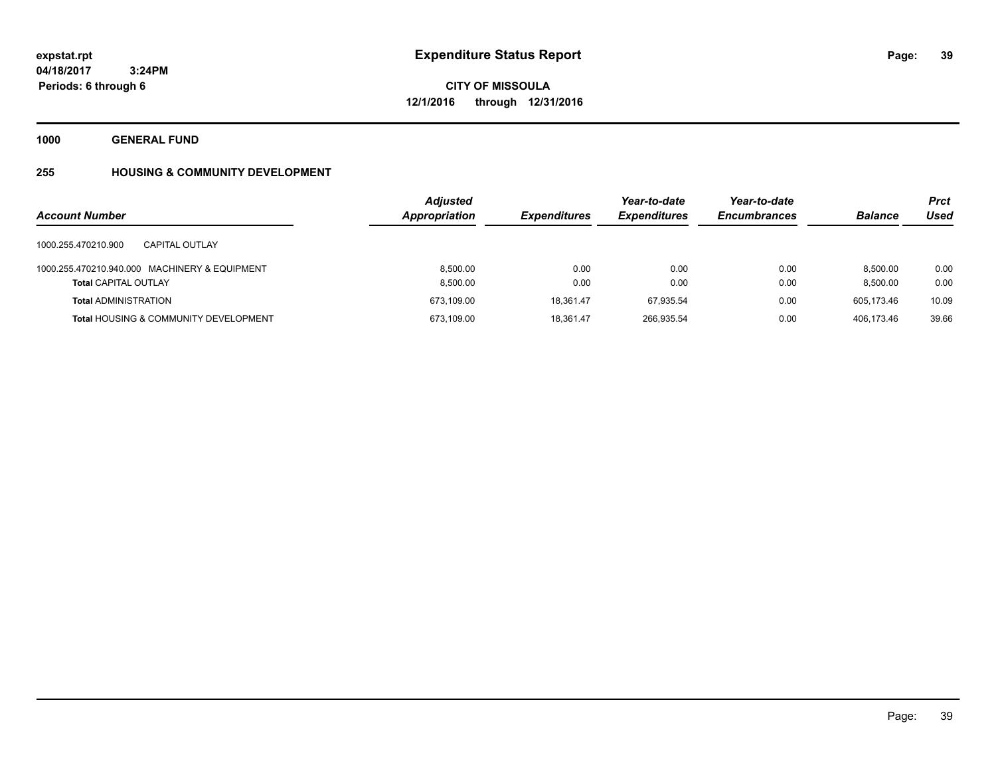**39**

**04/18/2017 3:24PM Periods: 6 through 6**

**CITY OF MISSOULA 12/1/2016 through 12/31/2016**

**1000 GENERAL FUND**

# **255 HOUSING & COMMUNITY DEVELOPMENT**

|                                                  | <b>Adjusted</b> |                     | Year-to-date        | Year-to-date        |                | Prct  |
|--------------------------------------------------|-----------------|---------------------|---------------------|---------------------|----------------|-------|
| <b>Account Number</b>                            | Appropriation   | <b>Expenditures</b> | <b>Expenditures</b> | <b>Encumbrances</b> | <b>Balance</b> | Used  |
| 1000.255.470210.900<br><b>CAPITAL OUTLAY</b>     |                 |                     |                     |                     |                |       |
| 1000.255.470210.940.000 MACHINERY & EQUIPMENT    | 8.500.00        | 0.00                | 0.00                | 0.00                | 8.500.00       | 0.00  |
| <b>Total CAPITAL OUTLAY</b>                      | 8,500.00        | 0.00                | 0.00                | 0.00                | 8.500.00       | 0.00  |
| <b>Total ADMINISTRATION</b>                      | 673.109.00      | 18.361.47           | 67.935.54           | 0.00                | 605.173.46     | 10.09 |
| <b>Total HOUSING &amp; COMMUNITY DEVELOPMENT</b> | 673.109.00      | 18.361.47           | 266.935.54          | 0.00                | 406.173.46     | 39.66 |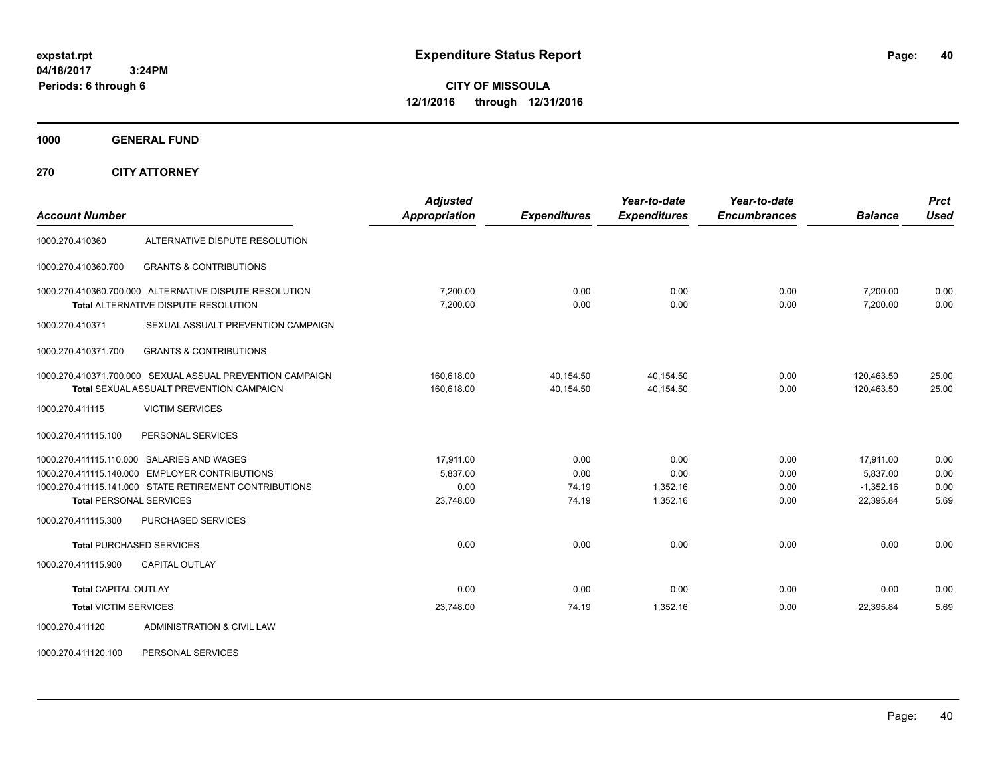**CITY OF MISSOULA 12/1/2016 through 12/31/2016**

**1000 GENERAL FUND**

**270 CITY ATTORNEY**

| <b>Account Number</b>          |                                                                                                       | <b>Adjusted</b><br><b>Appropriation</b> | <b>Expenditures</b>    | Year-to-date<br><b>Expenditures</b> | Year-to-date<br><b>Encumbrances</b> | <b>Balance</b>           | <b>Prct</b><br><b>Used</b> |
|--------------------------------|-------------------------------------------------------------------------------------------------------|-----------------------------------------|------------------------|-------------------------------------|-------------------------------------|--------------------------|----------------------------|
| 1000.270.410360                | ALTERNATIVE DISPUTE RESOLUTION                                                                        |                                         |                        |                                     |                                     |                          |                            |
| 1000.270.410360.700            | <b>GRANTS &amp; CONTRIBUTIONS</b>                                                                     |                                         |                        |                                     |                                     |                          |                            |
|                                | 1000.270.410360.700.000 ALTERNATIVE DISPUTE RESOLUTION<br><b>Total ALTERNATIVE DISPUTE RESOLUTION</b> | 7,200.00<br>7,200.00                    | 0.00<br>0.00           | 0.00<br>0.00                        | 0.00<br>0.00                        | 7,200.00<br>7,200.00     | 0.00<br>0.00               |
| 1000.270.410371                | SEXUAL ASSUALT PREVENTION CAMPAIGN                                                                    |                                         |                        |                                     |                                     |                          |                            |
| 1000.270.410371.700            | <b>GRANTS &amp; CONTRIBUTIONS</b>                                                                     |                                         |                        |                                     |                                     |                          |                            |
|                                | 1000.270.410371.700.000 SEXUAL ASSUAL PREVENTION CAMPAIGN<br>Total SEXUAL ASSUALT PREVENTION CAMPAIGN | 160.618.00<br>160,618.00                | 40.154.50<br>40,154.50 | 40.154.50<br>40.154.50              | 0.00<br>0.00                        | 120,463.50<br>120.463.50 | 25.00<br>25.00             |
| 1000.270.411115                | <b>VICTIM SERVICES</b>                                                                                |                                         |                        |                                     |                                     |                          |                            |
| 1000.270.411115.100            | PERSONAL SERVICES                                                                                     |                                         |                        |                                     |                                     |                          |                            |
|                                | 1000.270.411115.110.000 SALARIES AND WAGES                                                            | 17,911.00                               | 0.00                   | 0.00                                | 0.00                                | 17,911.00                | 0.00                       |
|                                | 1000.270.411115.140.000 EMPLOYER CONTRIBUTIONS                                                        | 5,837.00                                | 0.00                   | 0.00                                | 0.00                                | 5,837.00                 | 0.00                       |
|                                | 1000.270.411115.141.000 STATE RETIREMENT CONTRIBUTIONS                                                | 0.00                                    | 74.19                  | 1,352.16                            | 0.00                                | $-1,352.16$              | 0.00                       |
| <b>Total PERSONAL SERVICES</b> |                                                                                                       | 23,748.00                               | 74.19                  | 1.352.16                            | 0.00                                | 22,395.84                | 5.69                       |
| 1000.270.411115.300            | PURCHASED SERVICES                                                                                    |                                         |                        |                                     |                                     |                          |                            |
|                                | <b>Total PURCHASED SERVICES</b>                                                                       | 0.00                                    | 0.00                   | 0.00                                | 0.00                                | 0.00                     | 0.00                       |
| 1000.270.411115.900            | <b>CAPITAL OUTLAY</b>                                                                                 |                                         |                        |                                     |                                     |                          |                            |
| <b>Total CAPITAL OUTLAY</b>    |                                                                                                       | 0.00                                    | 0.00                   | 0.00                                | 0.00                                | 0.00                     | 0.00                       |
| <b>Total VICTIM SERVICES</b>   |                                                                                                       | 23,748.00                               | 74.19                  | 1,352.16                            | 0.00                                | 22,395.84                | 5.69                       |
| 1000.270.411120                | ADMINISTRATION & CIVIL LAW                                                                            |                                         |                        |                                     |                                     |                          |                            |

1000.270.411120.100 PERSONAL SERVICES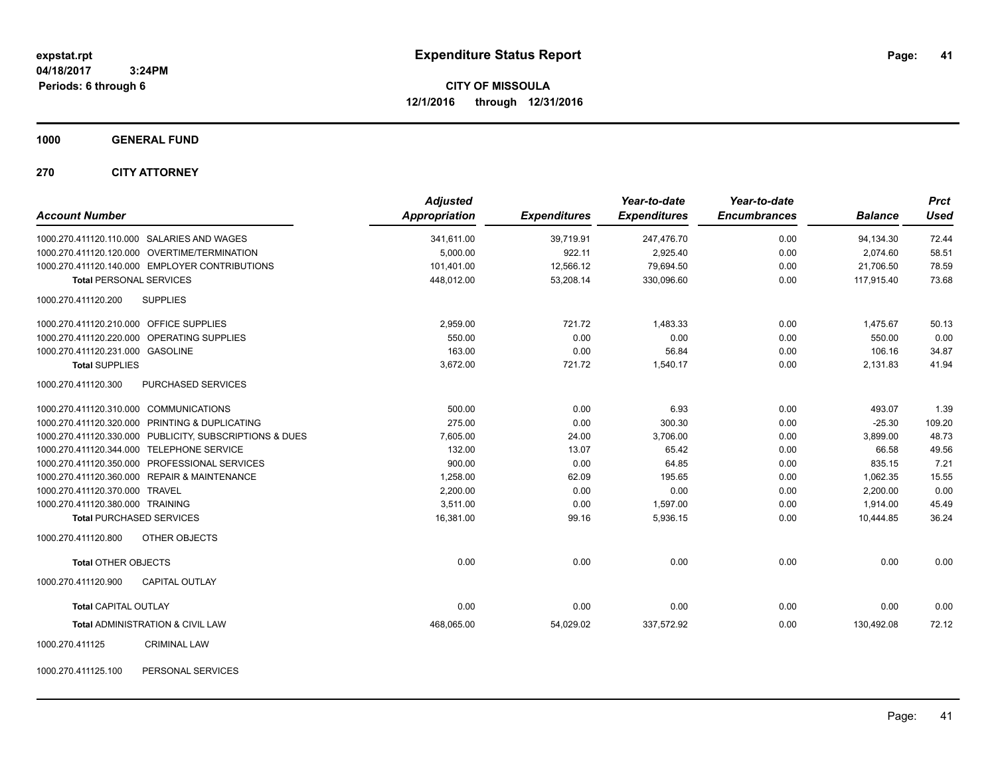**CITY OF MISSOULA 12/1/2016 through 12/31/2016**

**1000 GENERAL FUND**

**270 CITY ATTORNEY**

| <b>Account Number</b>                                   | <b>Adjusted</b><br>Appropriation | <b>Expenditures</b> | Year-to-date<br><b>Expenditures</b> | Year-to-date<br><b>Encumbrances</b> | <b>Balance</b> | <b>Prct</b><br><b>Used</b> |
|---------------------------------------------------------|----------------------------------|---------------------|-------------------------------------|-------------------------------------|----------------|----------------------------|
| 1000.270.411120.110.000 SALARIES AND WAGES              | 341,611.00                       | 39,719.91           | 247,476.70                          | 0.00                                | 94,134.30      | 72.44                      |
| 1000.270.411120.120.000 OVERTIME/TERMINATION            | 5.000.00                         | 922.11              | 2,925.40                            | 0.00                                | 2.074.60       | 58.51                      |
| 1000.270.411120.140.000 EMPLOYER CONTRIBUTIONS          | 101,401.00                       | 12,566.12           | 79,694.50                           | 0.00                                | 21,706.50      | 78.59                      |
| <b>Total PERSONAL SERVICES</b>                          | 448,012.00                       | 53,208.14           | 330,096.60                          | 0.00                                | 117.915.40     | 73.68                      |
| 1000.270.411120.200<br><b>SUPPLIES</b>                  |                                  |                     |                                     |                                     |                |                            |
| 1000.270.411120.210.000 OFFICE SUPPLIES                 | 2,959.00                         | 721.72              | 1,483.33                            | 0.00                                | 1,475.67       | 50.13                      |
| 1000.270.411120.220.000 OPERATING SUPPLIES              | 550.00                           | 0.00                | 0.00                                | 0.00                                | 550.00         | 0.00                       |
| 1000.270.411120.231.000 GASOLINE                        | 163.00                           | 0.00                | 56.84                               | 0.00                                | 106.16         | 34.87                      |
| <b>Total SUPPLIES</b>                                   | 3,672.00                         | 721.72              | 1,540.17                            | 0.00                                | 2,131.83       | 41.94                      |
| 1000.270.411120.300<br>PURCHASED SERVICES               |                                  |                     |                                     |                                     |                |                            |
| 1000.270.411120.310.000 COMMUNICATIONS                  | 500.00                           | 0.00                | 6.93                                | 0.00                                | 493.07         | 1.39                       |
| 1000.270.411120.320.000 PRINTING & DUPLICATING          | 275.00                           | 0.00                | 300.30                              | 0.00                                | $-25.30$       | 109.20                     |
| 1000.270.411120.330.000 PUBLICITY, SUBSCRIPTIONS & DUES | 7,605.00                         | 24.00               | 3,706.00                            | 0.00                                | 3,899.00       | 48.73                      |
| 1000.270.411120.344.000 TELEPHONE SERVICE               | 132.00                           | 13.07               | 65.42                               | 0.00                                | 66.58          | 49.56                      |
| 1000.270.411120.350.000 PROFESSIONAL SERVICES           | 900.00                           | 0.00                | 64.85                               | 0.00                                | 835.15         | 7.21                       |
| 1000.270.411120.360.000 REPAIR & MAINTENANCE            | 1,258.00                         | 62.09               | 195.65                              | 0.00                                | 1,062.35       | 15.55                      |
| 1000.270.411120.370.000 TRAVEL                          | 2,200.00                         | 0.00                | 0.00                                | 0.00                                | 2,200.00       | 0.00                       |
| 1000.270.411120.380.000 TRAINING                        | 3.511.00                         | 0.00                | 1,597.00                            | 0.00                                | 1,914.00       | 45.49                      |
| <b>Total PURCHASED SERVICES</b>                         | 16,381.00                        | 99.16               | 5,936.15                            | 0.00                                | 10.444.85      | 36.24                      |
| 1000.270.411120.800<br><b>OTHER OBJECTS</b>             |                                  |                     |                                     |                                     |                |                            |
| <b>Total OTHER OBJECTS</b>                              | 0.00                             | 0.00                | 0.00                                | 0.00                                | 0.00           | 0.00                       |
| 1000.270.411120.900<br><b>CAPITAL OUTLAY</b>            |                                  |                     |                                     |                                     |                |                            |
| <b>Total CAPITAL OUTLAY</b>                             | 0.00                             | 0.00                | 0.00                                | 0.00                                | 0.00           | 0.00                       |
| Total ADMINISTRATION & CIVIL LAW                        | 468,065.00                       | 54,029.02           | 337,572.92                          | 0.00                                | 130,492.08     | 72.12                      |
| <b>CRIMINAL LAW</b><br>1000.270.411125                  |                                  |                     |                                     |                                     |                |                            |

1000.270.411125.100 PERSONAL SERVICES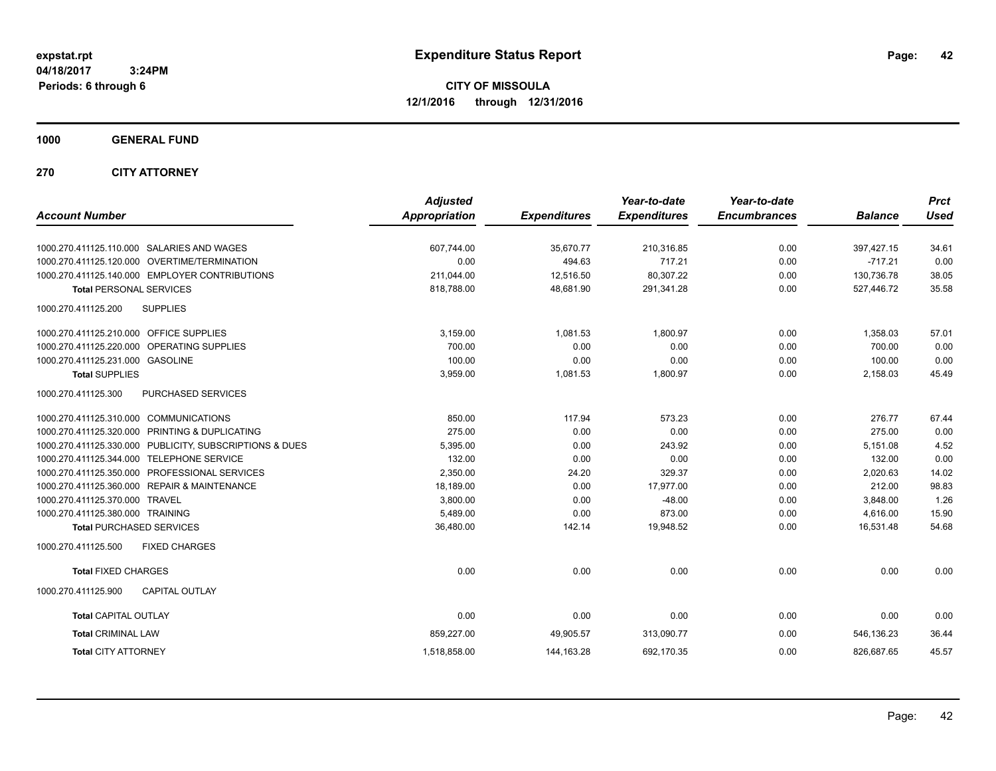**CITY OF MISSOULA 12/1/2016 through 12/31/2016**

### **1000 GENERAL FUND**

### **270 CITY ATTORNEY**

|                                                         | <b>Adjusted</b> |                     | Year-to-date        | Year-to-date        |                | <b>Prct</b> |
|---------------------------------------------------------|-----------------|---------------------|---------------------|---------------------|----------------|-------------|
| <b>Account Number</b>                                   | Appropriation   | <b>Expenditures</b> | <b>Expenditures</b> | <b>Encumbrances</b> | <b>Balance</b> | <b>Used</b> |
| 1000.270.411125.110.000 SALARIES AND WAGES              | 607.744.00      | 35.670.77           | 210,316.85          | 0.00                | 397,427.15     | 34.61       |
| 1000.270.411125.120.000 OVERTIME/TERMINATION            | 0.00            | 494.63              | 717.21              | 0.00                | $-717.21$      | 0.00        |
| 1000.270.411125.140.000 EMPLOYER CONTRIBUTIONS          | 211,044.00      | 12,516.50           | 80,307.22           | 0.00                | 130,736.78     | 38.05       |
| <b>Total PERSONAL SERVICES</b>                          | 818,788.00      | 48,681.90           | 291,341.28          | 0.00                | 527,446.72     | 35.58       |
| <b>SUPPLIES</b><br>1000.270.411125.200                  |                 |                     |                     |                     |                |             |
| 1000.270.411125.210.000 OFFICE SUPPLIES                 | 3,159.00        | 1,081.53            | 1,800.97            | 0.00                | 1,358.03       | 57.01       |
| 1000.270.411125.220.000 OPERATING SUPPLIES              | 700.00          | 0.00                | 0.00                | 0.00                | 700.00         | 0.00        |
| 1000.270.411125.231.000 GASOLINE                        | 100.00          | 0.00                | 0.00                | 0.00                | 100.00         | 0.00        |
| <b>Total SUPPLIES</b>                                   | 3,959.00        | 1,081.53            | 1,800.97            | 0.00                | 2,158.03       | 45.49       |
| 1000.270.411125.300<br>PURCHASED SERVICES               |                 |                     |                     |                     |                |             |
| 1000.270.411125.310.000 COMMUNICATIONS                  | 850.00          | 117.94              | 573.23              | 0.00                | 276.77         | 67.44       |
| 1000.270.411125.320.000 PRINTING & DUPLICATING          | 275.00          | 0.00                | 0.00                | 0.00                | 275.00         | 0.00        |
| 1000.270.411125.330.000 PUBLICITY, SUBSCRIPTIONS & DUES | 5,395.00        | 0.00                | 243.92              | 0.00                | 5,151.08       | 4.52        |
| 1000.270.411125.344.000 TELEPHONE SERVICE               | 132.00          | 0.00                | 0.00                | 0.00                | 132.00         | 0.00        |
| 1000.270.411125.350.000 PROFESSIONAL SERVICES           | 2,350.00        | 24.20               | 329.37              | 0.00                | 2,020.63       | 14.02       |
| 1000.270.411125.360.000 REPAIR & MAINTENANCE            | 18,189.00       | 0.00                | 17,977.00           | 0.00                | 212.00         | 98.83       |
| 1000.270.411125.370.000 TRAVEL                          | 3,800.00        | 0.00                | $-48.00$            | 0.00                | 3,848.00       | 1.26        |
| 1000.270.411125.380.000 TRAINING                        | 5,489.00        | 0.00                | 873.00              | 0.00                | 4,616.00       | 15.90       |
| <b>Total PURCHASED SERVICES</b>                         | 36,480.00       | 142.14              | 19,948.52           | 0.00                | 16,531.48      | 54.68       |
| 1000.270.411125.500<br><b>FIXED CHARGES</b>             |                 |                     |                     |                     |                |             |
| <b>Total FIXED CHARGES</b>                              | 0.00            | 0.00                | 0.00                | 0.00                | 0.00           | 0.00        |
| 1000.270.411125.900<br><b>CAPITAL OUTLAY</b>            |                 |                     |                     |                     |                |             |
| <b>Total CAPITAL OUTLAY</b>                             | 0.00            | 0.00                | 0.00                | 0.00                | 0.00           | 0.00        |
| <b>Total CRIMINAL LAW</b>                               | 859.227.00      | 49,905.57           | 313,090.77          | 0.00                | 546.136.23     | 36.44       |
| <b>Total CITY ATTORNEY</b>                              | 1,518,858.00    | 144, 163. 28        | 692,170.35          | 0.00                | 826,687.65     | 45.57       |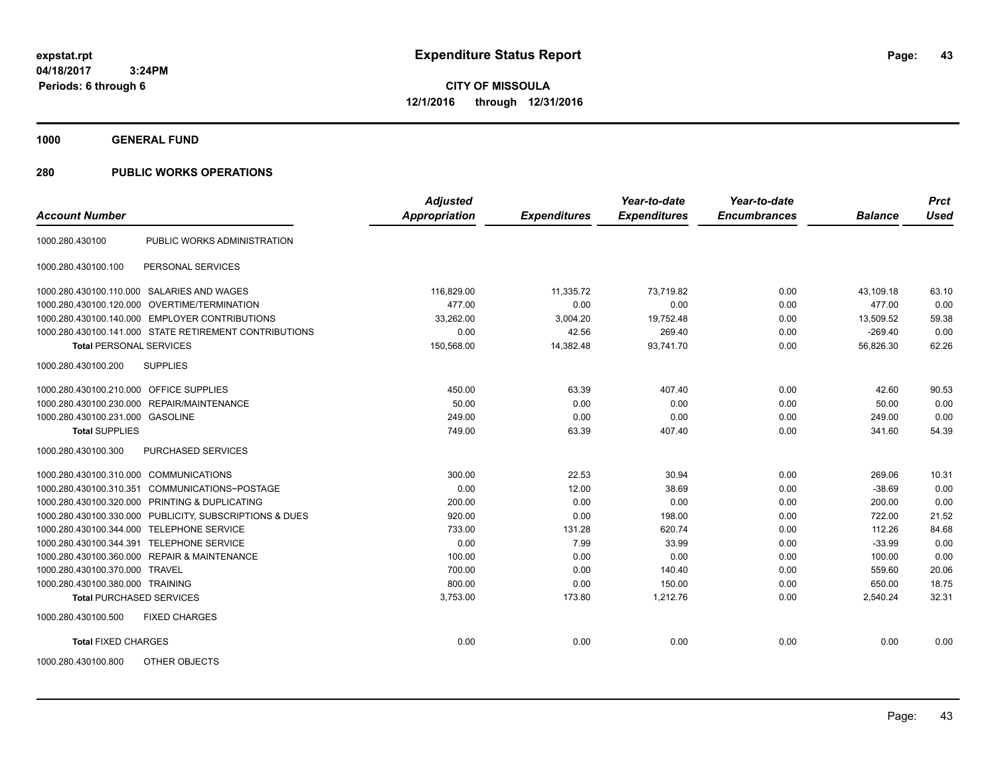**CITY OF MISSOULA 12/1/2016 through 12/31/2016**

**1000 GENERAL FUND**

| <b>Account Number</b>                                   | <b>Adjusted</b><br><b>Appropriation</b> | <b>Expenditures</b> | Year-to-date<br><b>Expenditures</b> | Year-to-date<br><b>Encumbrances</b> | <b>Balance</b> | <b>Prct</b><br><b>Used</b> |
|---------------------------------------------------------|-----------------------------------------|---------------------|-------------------------------------|-------------------------------------|----------------|----------------------------|
|                                                         |                                         |                     |                                     |                                     |                |                            |
| PUBLIC WORKS ADMINISTRATION<br>1000.280.430100          |                                         |                     |                                     |                                     |                |                            |
| PERSONAL SERVICES<br>1000.280.430100.100                |                                         |                     |                                     |                                     |                |                            |
| 1000.280.430100.110.000 SALARIES AND WAGES              | 116,829.00                              | 11,335.72           | 73,719.82                           | 0.00                                | 43,109.18      | 63.10                      |
| 1000.280.430100.120.000 OVERTIME/TERMINATION            | 477.00                                  | 0.00                | 0.00                                | 0.00                                | 477.00         | 0.00                       |
| 1000.280.430100.140.000 EMPLOYER CONTRIBUTIONS          | 33,262.00                               | 3,004.20            | 19,752.48                           | 0.00                                | 13.509.52      | 59.38                      |
| 1000.280.430100.141.000 STATE RETIREMENT CONTRIBUTIONS  | 0.00                                    | 42.56               | 269.40                              | 0.00                                | $-269.40$      | 0.00                       |
| <b>Total PERSONAL SERVICES</b>                          | 150,568.00                              | 14,382.48           | 93,741.70                           | 0.00                                | 56,826.30      | 62.26                      |
| <b>SUPPLIES</b><br>1000.280.430100.200                  |                                         |                     |                                     |                                     |                |                            |
| 1000.280.430100.210.000 OFFICE SUPPLIES                 | 450.00                                  | 63.39               | 407.40                              | 0.00                                | 42.60          | 90.53                      |
| 1000.280.430100.230.000 REPAIR/MAINTENANCE              | 50.00                                   | 0.00                | 0.00                                | 0.00                                | 50.00          | 0.00                       |
| 1000.280.430100.231.000 GASOLINE                        | 249.00                                  | 0.00                | 0.00                                | 0.00                                | 249.00         | 0.00                       |
| <b>Total SUPPLIES</b>                                   | 749.00                                  | 63.39               | 407.40                              | 0.00                                | 341.60         | 54.39                      |
| 1000.280.430100.300<br>PURCHASED SERVICES               |                                         |                     |                                     |                                     |                |                            |
| 1000.280.430100.310.000 COMMUNICATIONS                  | 300.00                                  | 22.53               | 30.94                               | 0.00                                | 269.06         | 10.31                      |
| 1000.280.430100.310.351 COMMUNICATIONS~POSTAGE          | 0.00                                    | 12.00               | 38.69                               | 0.00                                | $-38.69$       | 0.00                       |
| 1000.280.430100.320.000 PRINTING & DUPLICATING          | 200.00                                  | 0.00                | 0.00                                | 0.00                                | 200.00         | 0.00                       |
| 1000.280.430100.330.000 PUBLICITY, SUBSCRIPTIONS & DUES | 920.00                                  | 0.00                | 198.00                              | 0.00                                | 722.00         | 21.52                      |
| 1000.280.430100.344.000 TELEPHONE SERVICE               | 733.00                                  | 131.28              | 620.74                              | 0.00                                | 112.26         | 84.68                      |
| 1000.280.430100.344.391 TELEPHONE SERVICE               | 0.00                                    | 7.99                | 33.99                               | 0.00                                | $-33.99$       | 0.00                       |
| 1000.280.430100.360.000 REPAIR & MAINTENANCE            | 100.00                                  | 0.00                | 0.00                                | 0.00                                | 100.00         | 0.00                       |
| 1000.280.430100.370.000 TRAVEL                          | 700.00                                  | 0.00                | 140.40                              | 0.00                                | 559.60         | 20.06                      |
| 1000.280.430100.380.000 TRAINING                        | 800.00                                  | 0.00                | 150.00                              | 0.00                                | 650.00         | 18.75                      |
| <b>Total PURCHASED SERVICES</b>                         | 3,753.00                                | 173.80              | 1,212.76                            | 0.00                                | 2,540.24       | 32.31                      |
| 1000.280.430100.500<br><b>FIXED CHARGES</b>             |                                         |                     |                                     |                                     |                |                            |
| <b>Total FIXED CHARGES</b>                              | 0.00                                    | 0.00                | 0.00                                | 0.00                                | 0.00           | 0.00                       |
| OTHER OBJECTS<br>1000.280.430100.800                    |                                         |                     |                                     |                                     |                |                            |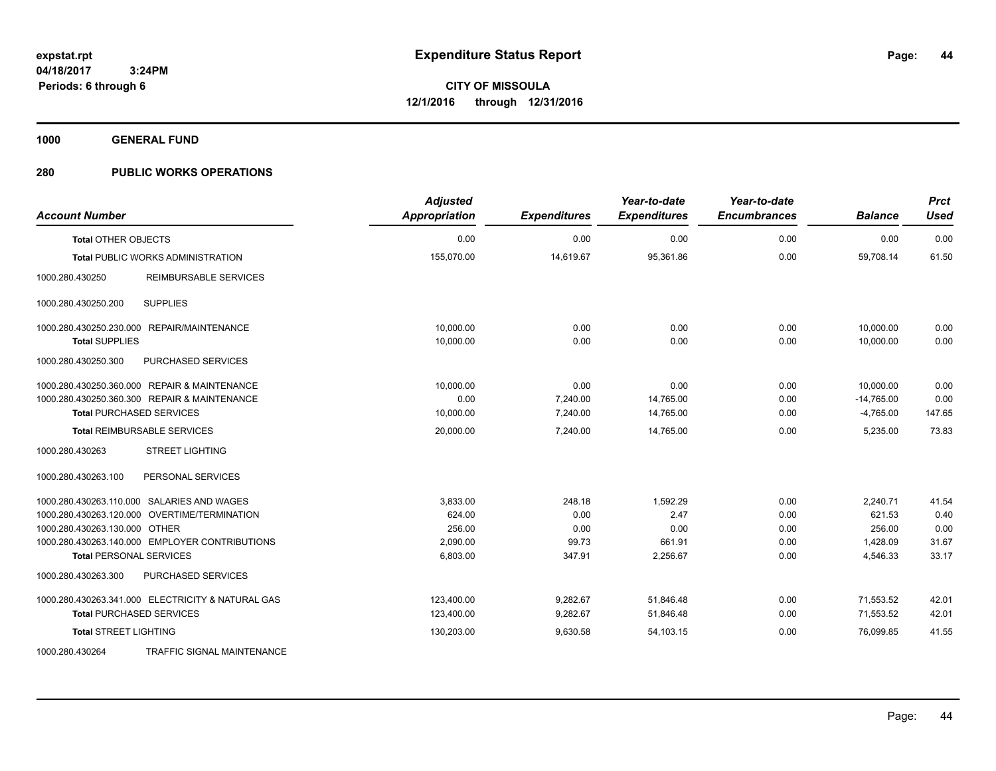**1000 GENERAL FUND**

| <b>Account Number</b>                             | <b>Adjusted</b><br>Appropriation | <b>Expenditures</b> | Year-to-date<br><b>Expenditures</b> | Year-to-date<br><b>Encumbrances</b> | <b>Balance</b> | <b>Prct</b><br><b>Used</b> |
|---------------------------------------------------|----------------------------------|---------------------|-------------------------------------|-------------------------------------|----------------|----------------------------|
| <b>Total OTHER OBJECTS</b>                        | 0.00                             | 0.00                | 0.00                                | 0.00                                | 0.00           | 0.00                       |
| Total PUBLIC WORKS ADMINISTRATION                 | 155,070.00                       | 14,619.67           | 95,361.86                           | 0.00                                | 59,708.14      | 61.50                      |
| 1000.280.430250<br>REIMBURSABLE SERVICES          |                                  |                     |                                     |                                     |                |                            |
| <b>SUPPLIES</b><br>1000.280.430250.200            |                                  |                     |                                     |                                     |                |                            |
| 1000.280.430250.230.000 REPAIR/MAINTENANCE        | 10.000.00                        | 0.00                | 0.00                                | 0.00                                | 10,000.00      | 0.00                       |
| <b>Total SUPPLIES</b>                             | 10,000.00                        | 0.00                | 0.00                                | 0.00                                | 10,000.00      | 0.00                       |
| PURCHASED SERVICES<br>1000.280.430250.300         |                                  |                     |                                     |                                     |                |                            |
| 1000.280.430250.360.000 REPAIR & MAINTENANCE      | 10,000.00                        | 0.00                | 0.00                                | 0.00                                | 10,000.00      | 0.00                       |
| 1000.280.430250.360.300 REPAIR & MAINTENANCE      | 0.00                             | 7,240.00            | 14,765.00                           | 0.00                                | $-14,765.00$   | 0.00                       |
| <b>Total PURCHASED SERVICES</b>                   | 10,000.00                        | 7,240.00            | 14,765.00                           | 0.00                                | $-4,765.00$    | 147.65                     |
| <b>Total REIMBURSABLE SERVICES</b>                | 20,000.00                        | 7,240.00            | 14,765.00                           | 0.00                                | 5,235.00       | 73.83                      |
| 1000.280.430263<br><b>STREET LIGHTING</b>         |                                  |                     |                                     |                                     |                |                            |
| 1000.280.430263.100<br>PERSONAL SERVICES          |                                  |                     |                                     |                                     |                |                            |
| 1000.280.430263.110.000 SALARIES AND WAGES        | 3.833.00                         | 248.18              | 1.592.29                            | 0.00                                | 2,240.71       | 41.54                      |
| 1000.280.430263.120.000 OVERTIME/TERMINATION      | 624.00                           | 0.00                | 2.47                                | 0.00                                | 621.53         | 0.40                       |
| 1000.280.430263.130.000 OTHER                     | 256.00                           | 0.00                | 0.00                                | 0.00                                | 256.00         | 0.00                       |
| 1000.280.430263.140.000 EMPLOYER CONTRIBUTIONS    | 2,090.00                         | 99.73               | 661.91                              | 0.00                                | 1,428.09       | 31.67                      |
| <b>Total PERSONAL SERVICES</b>                    | 6,803.00                         | 347.91              | 2,256.67                            | 0.00                                | 4,546.33       | 33.17                      |
| 1000.280.430263.300<br>PURCHASED SERVICES         |                                  |                     |                                     |                                     |                |                            |
| 1000.280.430263.341.000 ELECTRICITY & NATURAL GAS | 123,400.00                       | 9,282.67            | 51,846.48                           | 0.00                                | 71,553.52      | 42.01                      |
| <b>Total PURCHASED SERVICES</b>                   | 123,400.00                       | 9,282.67            | 51,846.48                           | 0.00                                | 71,553.52      | 42.01                      |
| <b>Total STREET LIGHTING</b>                      | 130,203.00                       | 9,630.58            | 54,103.15                           | 0.00                                | 76,099.85      | 41.55                      |
| 1000.280.430264<br>TRAFFIC SIGNAL MAINTENANCE     |                                  |                     |                                     |                                     |                |                            |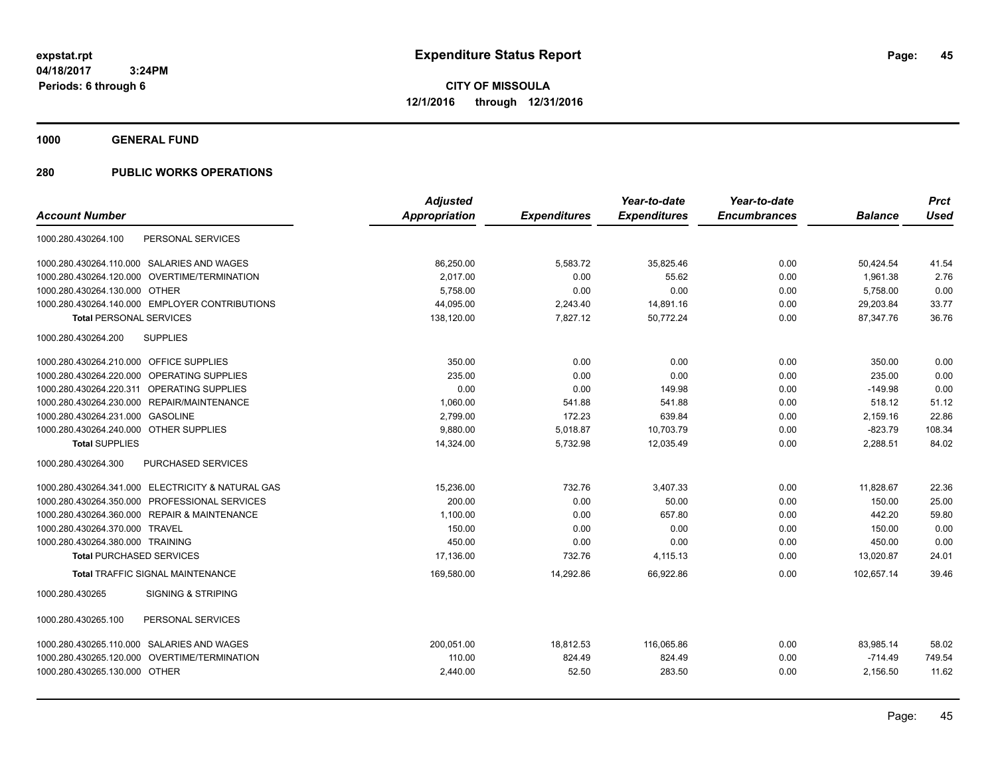**1000 GENERAL FUND**

|                                                   | <b>Adjusted</b> |                     | Year-to-date        | Year-to-date        |                | <b>Prct</b> |
|---------------------------------------------------|-----------------|---------------------|---------------------|---------------------|----------------|-------------|
| <b>Account Number</b>                             | Appropriation   | <b>Expenditures</b> | <b>Expenditures</b> | <b>Encumbrances</b> | <b>Balance</b> | <b>Used</b> |
| 1000.280.430264.100<br>PERSONAL SERVICES          |                 |                     |                     |                     |                |             |
| 1000.280.430264.110.000 SALARIES AND WAGES        | 86,250.00       | 5,583.72            | 35,825.46           | 0.00                | 50,424.54      | 41.54       |
| 1000.280.430264.120.000 OVERTIME/TERMINATION      | 2.017.00        | 0.00                | 55.62               | 0.00                | 1,961.38       | 2.76        |
| 1000.280.430264.130.000 OTHER                     | 5.758.00        | 0.00                | 0.00                | 0.00                | 5.758.00       | 0.00        |
| 1000.280.430264.140.000 EMPLOYER CONTRIBUTIONS    | 44,095.00       | 2,243.40            | 14,891.16           | 0.00                | 29,203.84      | 33.77       |
| <b>Total PERSONAL SERVICES</b>                    | 138,120.00      | 7,827.12            | 50,772.24           | 0.00                | 87,347.76      | 36.76       |
| 1000.280.430264.200<br><b>SUPPLIES</b>            |                 |                     |                     |                     |                |             |
| 1000.280.430264.210.000 OFFICE SUPPLIES           | 350.00          | 0.00                | 0.00                | 0.00                | 350.00         | 0.00        |
| 1000.280.430264.220.000 OPERATING SUPPLIES        | 235.00          | 0.00                | 0.00                | 0.00                | 235.00         | 0.00        |
| 1000.280.430264.220.311 OPERATING SUPPLIES        | 0.00            | 0.00                | 149.98              | 0.00                | $-149.98$      | 0.00        |
| 1000.280.430264.230.000<br>REPAIR/MAINTENANCE     | 1,060.00        | 541.88              | 541.88              | 0.00                | 518.12         | 51.12       |
| 1000.280.430264.231.000<br><b>GASOLINE</b>        | 2,799.00        | 172.23              | 639.84              | 0.00                | 2,159.16       | 22.86       |
| 1000.280.430264.240.000 OTHER SUPPLIES            | 9,880.00        | 5,018.87            | 10,703.79           | 0.00                | $-823.79$      | 108.34      |
| <b>Total SUPPLIES</b>                             | 14,324.00       | 5,732.98            | 12,035.49           | 0.00                | 2,288.51       | 84.02       |
| PURCHASED SERVICES<br>1000.280.430264.300         |                 |                     |                     |                     |                |             |
| 1000.280.430264.341.000 ELECTRICITY & NATURAL GAS | 15,236.00       | 732.76              | 3,407.33            | 0.00                | 11,828.67      | 22.36       |
| 1000.280.430264.350.000 PROFESSIONAL SERVICES     | 200.00          | 0.00                | 50.00               | 0.00                | 150.00         | 25.00       |
| 1000.280.430264.360.000 REPAIR & MAINTENANCE      | 1,100.00        | 0.00                | 657.80              | 0.00                | 442.20         | 59.80       |
| 1000.280.430264.370.000 TRAVEL                    | 150.00          | 0.00                | 0.00                | 0.00                | 150.00         | 0.00        |
| 1000.280.430264.380.000 TRAINING                  | 450.00          | 0.00                | 0.00                | 0.00                | 450.00         | 0.00        |
| <b>Total PURCHASED SERVICES</b>                   | 17,136.00       | 732.76              | 4,115.13            | 0.00                | 13,020.87      | 24.01       |
| <b>Total TRAFFIC SIGNAL MAINTENANCE</b>           | 169,580.00      | 14.292.86           | 66,922.86           | 0.00                | 102.657.14     | 39.46       |
| 1000.280.430265<br><b>SIGNING &amp; STRIPING</b>  |                 |                     |                     |                     |                |             |
| 1000.280.430265.100<br>PERSONAL SERVICES          |                 |                     |                     |                     |                |             |
| 1000.280.430265.110.000 SALARIES AND WAGES        | 200,051.00      | 18,812.53           | 116,065.86          | 0.00                | 83,985.14      | 58.02       |
| 1000.280.430265.120.000<br>OVERTIME/TERMINATION   | 110.00          | 824.49              | 824.49              | 0.00                | $-714.49$      | 749.54      |
| 1000.280.430265.130.000 OTHER                     | 2,440.00        | 52.50               | 283.50              | 0.00                | 2,156.50       | 11.62       |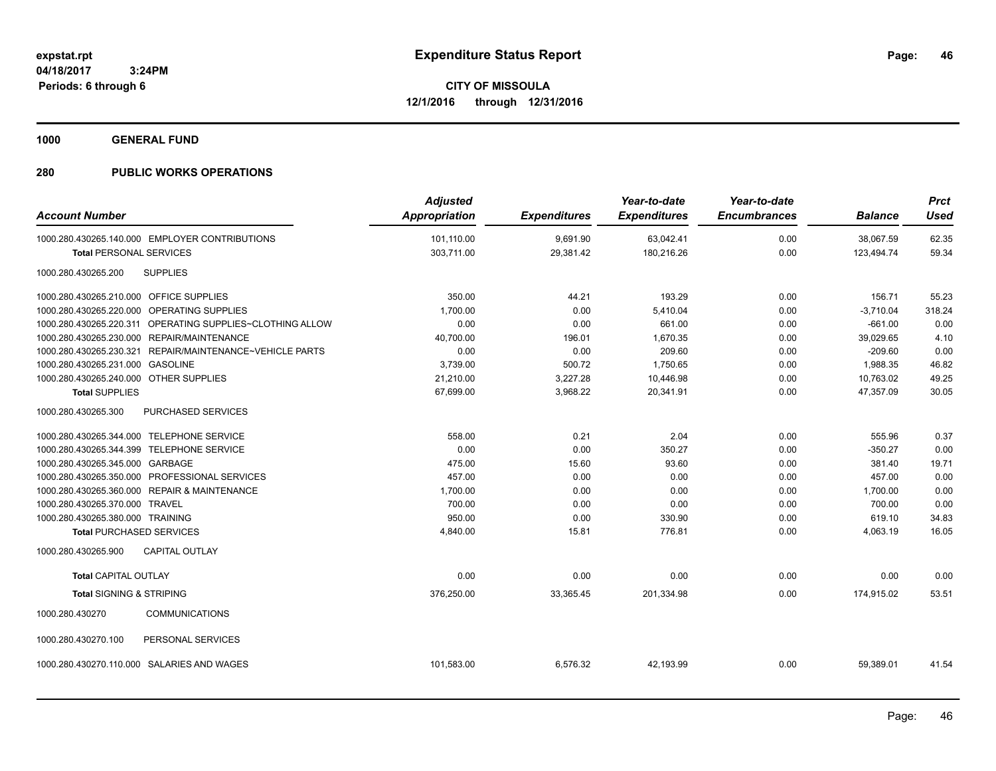**1000 GENERAL FUND**

| <b>Account Number</b>                                       | <b>Adjusted</b><br><b>Appropriation</b> | <b>Expenditures</b> | Year-to-date<br><b>Expenditures</b> | Year-to-date<br><b>Encumbrances</b> | <b>Balance</b> | <b>Prct</b><br><b>Used</b> |
|-------------------------------------------------------------|-----------------------------------------|---------------------|-------------------------------------|-------------------------------------|----------------|----------------------------|
| 1000.280.430265.140.000 EMPLOYER CONTRIBUTIONS              | 101.110.00                              | 9,691.90            | 63,042.41                           | 0.00                                | 38,067.59      | 62.35                      |
| <b>Total PERSONAL SERVICES</b>                              | 303,711.00                              | 29,381.42           | 180,216.26                          | 0.00                                | 123,494.74     | 59.34                      |
| <b>SUPPLIES</b><br>1000.280.430265.200                      |                                         |                     |                                     |                                     |                |                            |
| 1000.280.430265.210.000 OFFICE SUPPLIES                     | 350.00                                  | 44.21               | 193.29                              | 0.00                                | 156.71         | 55.23                      |
| 1000.280.430265.220.000 OPERATING SUPPLIES                  | 1,700.00                                | 0.00                | 5,410.04                            | 0.00                                | $-3,710.04$    | 318.24                     |
| 1000.280.430265.220.311 OPERATING SUPPLIES~CLOTHING ALLOW   | 0.00                                    | 0.00                | 661.00                              | 0.00                                | $-661.00$      | 0.00                       |
| 1000.280.430265.230.000 REPAIR/MAINTENANCE                  | 40,700.00                               | 196.01              | 1,670.35                            | 0.00                                | 39,029.65      | 4.10                       |
| REPAIR/MAINTENANCE~VEHICLE PARTS<br>1000.280.430265.230.321 | 0.00                                    | 0.00                | 209.60                              | 0.00                                | $-209.60$      | 0.00                       |
| 1000.280.430265.231.000 GASOLINE                            | 3,739.00                                | 500.72              | 1,750.65                            | 0.00                                | 1,988.35       | 46.82                      |
| 1000.280.430265.240.000 OTHER SUPPLIES                      | 21,210.00                               | 3,227.28            | 10,446.98                           | 0.00                                | 10,763.02      | 49.25                      |
| <b>Total SUPPLIES</b>                                       | 67,699.00                               | 3,968.22            | 20,341.91                           | 0.00                                | 47,357.09      | 30.05                      |
| 1000.280.430265.300<br><b>PURCHASED SERVICES</b>            |                                         |                     |                                     |                                     |                |                            |
| 1000.280.430265.344.000 TELEPHONE SERVICE                   | 558.00                                  | 0.21                | 2.04                                | 0.00                                | 555.96         | 0.37                       |
| 1000.280.430265.344.399 TELEPHONE SERVICE                   | 0.00                                    | 0.00                | 350.27                              | 0.00                                | $-350.27$      | 0.00                       |
| 1000.280.430265.345.000 GARBAGE                             | 475.00                                  | 15.60               | 93.60                               | 0.00                                | 381.40         | 19.71                      |
| 1000.280.430265.350.000 PROFESSIONAL SERVICES               | 457.00                                  | 0.00                | 0.00                                | 0.00                                | 457.00         | 0.00                       |
| 1000.280.430265.360.000 REPAIR & MAINTENANCE                | 1,700.00                                | 0.00                | 0.00                                | 0.00                                | 1,700.00       | 0.00                       |
| 1000.280.430265.370.000 TRAVEL                              | 700.00                                  | 0.00                | 0.00                                | 0.00                                | 700.00         | 0.00                       |
| 1000.280.430265.380.000 TRAINING                            | 950.00                                  | 0.00                | 330.90                              | 0.00                                | 619.10         | 34.83                      |
| <b>Total PURCHASED SERVICES</b>                             | 4,840.00                                | 15.81               | 776.81                              | 0.00                                | 4,063.19       | 16.05                      |
| CAPITAL OUTLAY<br>1000.280.430265.900                       |                                         |                     |                                     |                                     |                |                            |
| <b>Total CAPITAL OUTLAY</b>                                 | 0.00                                    | 0.00                | 0.00                                | 0.00                                | 0.00           | 0.00                       |
| <b>Total SIGNING &amp; STRIPING</b>                         | 376,250.00                              | 33,365.45           | 201,334.98                          | 0.00                                | 174,915.02     | 53.51                      |
| <b>COMMUNICATIONS</b><br>1000.280.430270                    |                                         |                     |                                     |                                     |                |                            |
| PERSONAL SERVICES<br>1000.280.430270.100                    |                                         |                     |                                     |                                     |                |                            |
| 1000.280.430270.110.000 SALARIES AND WAGES                  | 101,583.00                              | 6,576.32            | 42,193.99                           | 0.00                                | 59,389.01      | 41.54                      |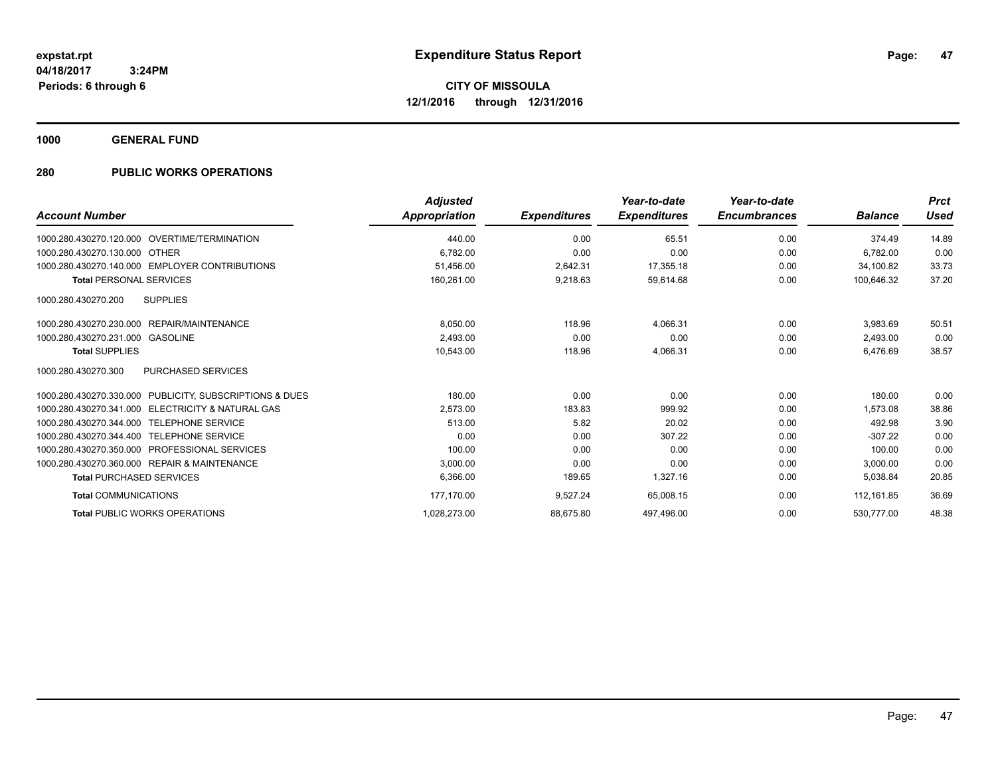**1000 GENERAL FUND**

| <b>Account Number</b>                                   | <b>Adjusted</b><br>Appropriation | <b>Expenditures</b> | Year-to-date<br><b>Expenditures</b> | Year-to-date<br><b>Encumbrances</b> | <b>Balance</b> | <b>Prct</b><br><b>Used</b> |
|---------------------------------------------------------|----------------------------------|---------------------|-------------------------------------|-------------------------------------|----------------|----------------------------|
| 1000.280.430270.120.000 OVERTIME/TERMINATION            | 440.00                           | 0.00                | 65.51                               | 0.00                                | 374.49         | 14.89                      |
| 1000.280.430270.130.000 OTHER                           | 6.782.00                         | 0.00                | 0.00                                | 0.00                                | 6.782.00       | 0.00                       |
| 1000.280.430270.140.000 EMPLOYER CONTRIBUTIONS          | 51.456.00                        | 2.642.31            | 17.355.18                           | 0.00                                | 34.100.82      | 33.73                      |
| <b>Total PERSONAL SERVICES</b>                          | 160,261.00                       | 9,218.63            | 59,614.68                           | 0.00                                | 100,646.32     | 37.20                      |
| 1000.280.430270.200<br><b>SUPPLIES</b>                  |                                  |                     |                                     |                                     |                |                            |
| 1000.280.430270.230.000 REPAIR/MAINTENANCE              | 8,050.00                         | 118.96              | 4,066.31                            | 0.00                                | 3,983.69       | 50.51                      |
| 1000.280.430270.231.000 GASOLINE                        | 2,493.00                         | 0.00                | 0.00                                | 0.00                                | 2,493.00       | 0.00                       |
| <b>Total SUPPLIES</b>                                   | 10,543.00                        | 118.96              | 4,066.31                            | 0.00                                | 6,476.69       | 38.57                      |
| 1000.280.430270.300<br><b>PURCHASED SERVICES</b>        |                                  |                     |                                     |                                     |                |                            |
| 1000.280.430270.330.000 PUBLICITY, SUBSCRIPTIONS & DUES | 180.00                           | 0.00                | 0.00                                | 0.00                                | 180.00         | 0.00                       |
| 1000.280.430270.341.000 ELECTRICITY & NATURAL GAS       | 2,573.00                         | 183.83              | 999.92                              | 0.00                                | 1.573.08       | 38.86                      |
| 1000.280.430270.344.000 TELEPHONE SERVICE               | 513.00                           | 5.82                | 20.02                               | 0.00                                | 492.98         | 3.90                       |
| 1000.280.430270.344.400 TELEPHONE SERVICE               | 0.00                             | 0.00                | 307.22                              | 0.00                                | $-307.22$      | 0.00                       |
| 1000.280.430270.350.000 PROFESSIONAL SERVICES           | 100.00                           | 0.00                | 0.00                                | 0.00                                | 100.00         | 0.00                       |
| 1000.280.430270.360.000 REPAIR & MAINTENANCE            | 3,000.00                         | 0.00                | 0.00                                | 0.00                                | 3,000.00       | 0.00                       |
| <b>Total PURCHASED SERVICES</b>                         | 6.366.00                         | 189.65              | 1,327.16                            | 0.00                                | 5,038.84       | 20.85                      |
| <b>Total COMMUNICATIONS</b>                             | 177,170.00                       | 9,527.24            | 65,008.15                           | 0.00                                | 112, 161.85    | 36.69                      |
| <b>Total PUBLIC WORKS OPERATIONS</b>                    | 1,028,273.00                     | 88,675.80           | 497.496.00                          | 0.00                                | 530.777.00     | 48.38                      |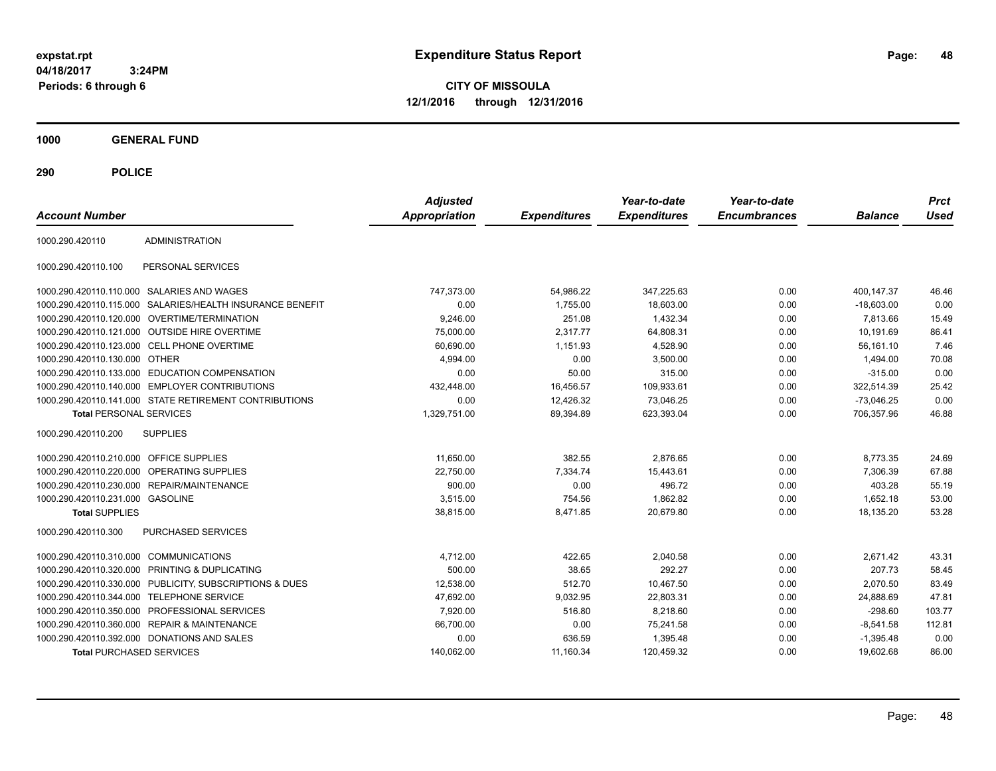**CITY OF MISSOULA 12/1/2016 through 12/31/2016**

**1000 GENERAL FUND**

| <b>Account Number</b>                   |                                                        | <b>Adjusted</b><br><b>Appropriation</b> | <b>Expenditures</b> | Year-to-date<br><b>Expenditures</b> | Year-to-date<br><b>Encumbrances</b> | <b>Balance</b> | <b>Prct</b><br><b>Used</b> |
|-----------------------------------------|--------------------------------------------------------|-----------------------------------------|---------------------|-------------------------------------|-------------------------------------|----------------|----------------------------|
| 1000.290.420110                         | <b>ADMINISTRATION</b>                                  |                                         |                     |                                     |                                     |                |                            |
| 1000.290.420110.100                     | PERSONAL SERVICES                                      |                                         |                     |                                     |                                     |                |                            |
|                                         | 1000.290.420110.110.000 SALARIES AND WAGES             | 747,373.00                              | 54,986.22           | 347,225.63                          | 0.00                                | 400,147.37     | 46.46                      |
| 1000.290.420110.115.000                 | SALARIES/HEALTH INSURANCE BENEFIT                      | 0.00                                    | 1,755.00            | 18,603.00                           | 0.00                                | $-18,603.00$   | 0.00                       |
|                                         | 1000.290.420110.120.000 OVERTIME/TERMINATION           | 9,246.00                                | 251.08              | 1,432.34                            | 0.00                                | 7,813.66       | 15.49                      |
|                                         | 1000.290.420110.121.000 OUTSIDE HIRE OVERTIME          | 75,000.00                               | 2.317.77            | 64,808.31                           | 0.00                                | 10,191.69      | 86.41                      |
|                                         | 1000.290.420110.123.000 CELL PHONE OVERTIME            | 60,690.00                               | 1,151.93            | 4,528.90                            | 0.00                                | 56,161.10      | 7.46                       |
| 1000.290.420110.130.000 OTHER           |                                                        | 4,994.00                                | 0.00                | 3,500.00                            | 0.00                                | 1,494.00       | 70.08                      |
| 1000.290.420110.133.000                 | <b>EDUCATION COMPENSATION</b>                          | 0.00                                    | 50.00               | 315.00                              | 0.00                                | $-315.00$      | 0.00                       |
|                                         | 1000.290.420110.140.000 EMPLOYER CONTRIBUTIONS         | 432,448.00                              | 16,456.57           | 109,933.61                          | 0.00                                | 322,514.39     | 25.42                      |
|                                         | 1000.290.420110.141.000 STATE RETIREMENT CONTRIBUTIONS | 0.00                                    | 12.426.32           | 73.046.25                           | 0.00                                | $-73.046.25$   | 0.00                       |
| <b>Total PERSONAL SERVICES</b>          |                                                        | 1,329,751.00                            | 89,394.89           | 623,393.04                          | 0.00                                | 706.357.96     | 46.88                      |
| 1000.290.420110.200                     | <b>SUPPLIES</b>                                        |                                         |                     |                                     |                                     |                |                            |
| 1000.290.420110.210.000 OFFICE SUPPLIES |                                                        | 11,650.00                               | 382.55              | 2.876.65                            | 0.00                                | 8,773.35       | 24.69                      |
| 1000.290.420110.220.000                 | <b>OPERATING SUPPLIES</b>                              | 22,750.00                               | 7,334.74            | 15,443.61                           | 0.00                                | 7,306.39       | 67.88                      |
|                                         | 1000.290.420110.230.000 REPAIR/MAINTENANCE             | 900.00                                  | 0.00                | 496.72                              | 0.00                                | 403.28         | 55.19                      |
| 1000.290.420110.231.000 GASOLINE        |                                                        | 3,515.00                                | 754.56              | 1,862.82                            | 0.00                                | 1,652.18       | 53.00                      |
| <b>Total SUPPLIES</b>                   |                                                        | 38,815.00                               | 8,471.85            | 20,679.80                           | 0.00                                | 18,135.20      | 53.28                      |
| 1000.290.420110.300                     | <b>PURCHASED SERVICES</b>                              |                                         |                     |                                     |                                     |                |                            |
| 1000.290.420110.310.000                 | <b>COMMUNICATIONS</b>                                  | 4,712.00                                | 422.65              | 2,040.58                            | 0.00                                | 2,671.42       | 43.31                      |
| 1000.290.420110.320.000                 | PRINTING & DUPLICATING                                 | 500.00                                  | 38.65               | 292.27                              | 0.00                                | 207.73         | 58.45                      |
| 1000.290.420110.330.000                 | PUBLICITY, SUBSCRIPTIONS & DUES                        | 12,538.00                               | 512.70              | 10,467.50                           | 0.00                                | 2,070.50       | 83.49                      |
|                                         | 1000.290.420110.344.000 TELEPHONE SERVICE              | 47,692.00                               | 9,032.95            | 22,803.31                           | 0.00                                | 24,888.69      | 47.81                      |
|                                         | 1000.290.420110.350.000 PROFESSIONAL SERVICES          | 7,920.00                                | 516.80              | 8,218.60                            | 0.00                                | $-298.60$      | 103.77                     |
|                                         | 1000.290.420110.360.000 REPAIR & MAINTENANCE           | 66,700.00                               | 0.00                | 75,241.58                           | 0.00                                | $-8,541.58$    | 112.81                     |
|                                         | 1000.290.420110.392.000 DONATIONS AND SALES            | 0.00                                    | 636.59              | 1.395.48                            | 0.00                                | $-1,395.48$    | 0.00                       |
| <b>Total PURCHASED SERVICES</b>         |                                                        | 140,062.00                              | 11,160.34           | 120.459.32                          | 0.00                                | 19.602.68      | 86.00                      |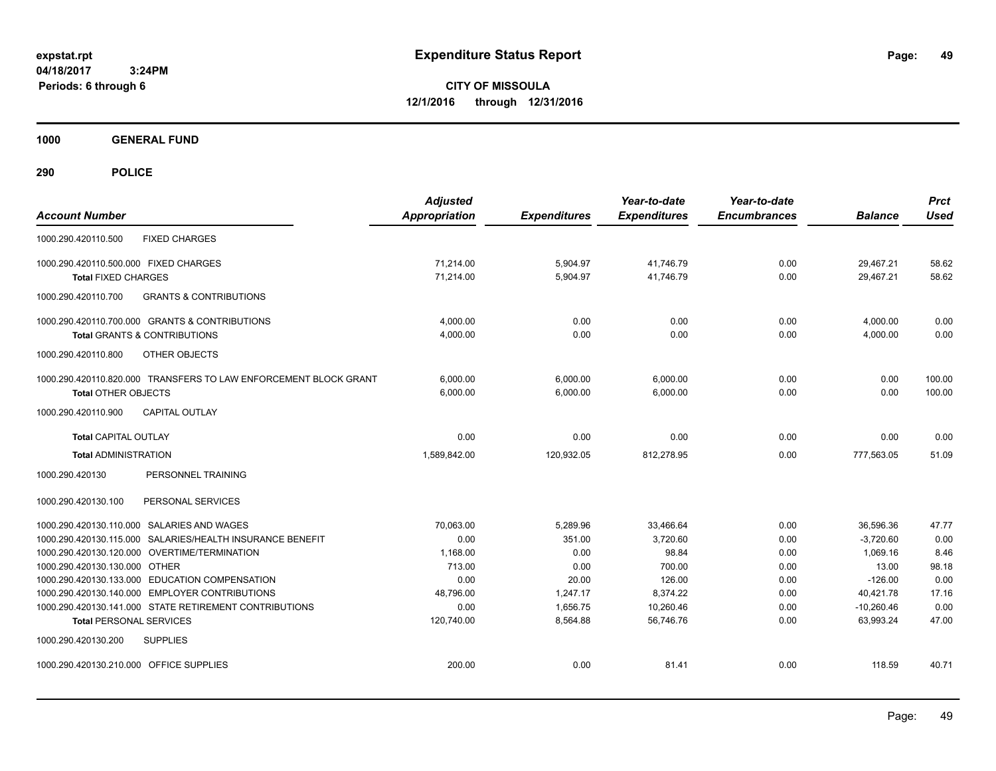**CITY OF MISSOULA 12/1/2016 through 12/31/2016**

**1000 GENERAL FUND**

| <b>Account Number</b>                                                                                    | <b>Adjusted</b><br><b>Appropriation</b> | <b>Expenditures</b>  | Year-to-date<br><b>Expenditures</b> | Year-to-date<br><b>Encumbrances</b> | <b>Balance</b>            | <b>Prct</b><br><b>Used</b> |
|----------------------------------------------------------------------------------------------------------|-----------------------------------------|----------------------|-------------------------------------|-------------------------------------|---------------------------|----------------------------|
| 1000.290.420110.500<br><b>FIXED CHARGES</b>                                                              |                                         |                      |                                     |                                     |                           |                            |
| 1000.290.420110.500.000 FIXED CHARGES                                                                    | 71.214.00                               | 5,904.97             | 41.746.79                           | 0.00                                | 29.467.21                 | 58.62                      |
| <b>Total FIXED CHARGES</b>                                                                               | 71,214.00                               | 5,904.97             | 41,746.79                           | 0.00                                | 29,467.21                 | 58.62                      |
| <b>GRANTS &amp; CONTRIBUTIONS</b><br>1000.290.420110.700                                                 |                                         |                      |                                     |                                     |                           |                            |
| 1000.290.420110.700.000 GRANTS & CONTRIBUTIONS                                                           | 4,000.00                                | 0.00                 | 0.00                                | 0.00                                | 4,000.00                  | 0.00                       |
| <b>Total GRANTS &amp; CONTRIBUTIONS</b>                                                                  | 4,000.00                                | 0.00                 | 0.00                                | 0.00                                | 4,000.00                  | 0.00                       |
| 1000.290.420110.800<br>OTHER OBJECTS                                                                     |                                         |                      |                                     |                                     |                           |                            |
| 1000.290.420110.820.000 TRANSFERS TO LAW ENFORCEMENT BLOCK GRANT                                         | 6.000.00                                | 6,000.00             | 6,000.00                            | 0.00                                | 0.00                      | 100.00                     |
| <b>Total OTHER OBJECTS</b>                                                                               | 6.000.00                                | 6.000.00             | 6.000.00                            | 0.00                                | 0.00                      | 100.00                     |
| CAPITAL OUTLAY<br>1000.290.420110.900                                                                    |                                         |                      |                                     |                                     |                           |                            |
| <b>Total CAPITAL OUTLAY</b>                                                                              | 0.00                                    | 0.00                 | 0.00                                | 0.00                                | 0.00                      | 0.00                       |
| <b>Total ADMINISTRATION</b>                                                                              | 1.589.842.00                            | 120,932.05           | 812,278.95                          | 0.00                                | 777.563.05                | 51.09                      |
| PERSONNEL TRAINING<br>1000.290.420130                                                                    |                                         |                      |                                     |                                     |                           |                            |
| 1000.290.420130.100<br>PERSONAL SERVICES                                                                 |                                         |                      |                                     |                                     |                           |                            |
| 1000.290.420130.110.000 SALARIES AND WAGES                                                               | 70,063.00                               | 5,289.96             | 33,466.64                           | 0.00                                | 36,596.36                 | 47.77                      |
| 1000.290.420130.115.000 SALARIES/HEALTH INSURANCE BENEFIT                                                | 0.00                                    | 351.00               | 3,720.60                            | 0.00                                | $-3,720.60$               | 0.00                       |
| 1000.290.420130.120.000 OVERTIME/TERMINATION                                                             | 1.168.00                                | 0.00                 | 98.84                               | 0.00                                | 1.069.16                  | 8.46                       |
| 1000.290.420130.130.000 OTHER                                                                            | 713.00                                  | 0.00                 | 700.00                              | 0.00                                | 13.00                     | 98.18                      |
| 1000.290.420130.133.000 EDUCATION COMPENSATION                                                           | 0.00                                    | 20.00                | 126.00                              | 0.00                                | $-126.00$                 | 0.00                       |
| 1000.290.420130.140.000 EMPLOYER CONTRIBUTIONS<br>1000.290.420130.141.000 STATE RETIREMENT CONTRIBUTIONS | 48,796.00<br>0.00                       | 1,247.17<br>1.656.75 | 8,374.22<br>10.260.46               | 0.00<br>0.00                        | 40,421.78<br>$-10,260.46$ | 17.16<br>0.00              |
| <b>Total PERSONAL SERVICES</b>                                                                           | 120.740.00                              | 8,564.88             | 56.746.76                           | 0.00                                | 63.993.24                 | 47.00                      |
| 1000.290.420130.200<br><b>SUPPLIES</b>                                                                   |                                         |                      |                                     |                                     |                           |                            |
| 1000.290.420130.210.000 OFFICE SUPPLIES                                                                  | 200.00                                  | 0.00                 | 81.41                               | 0.00                                | 118.59                    | 40.71                      |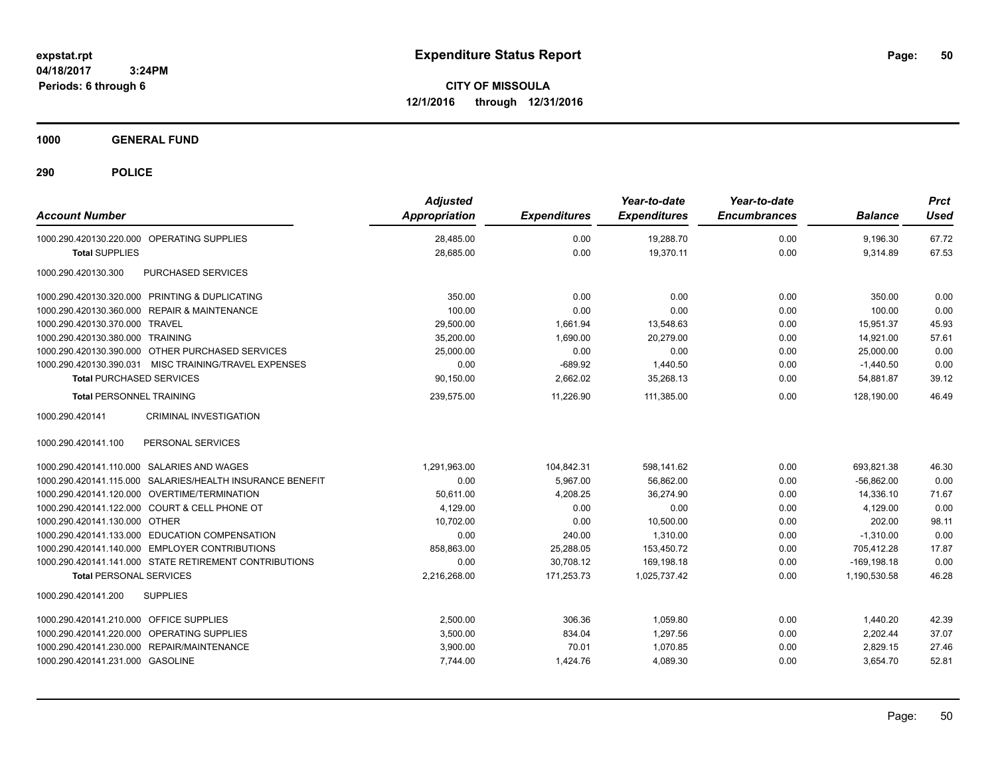**CITY OF MISSOULA 12/1/2016 through 12/31/2016**

**1000 GENERAL FUND**

| <b>Account Number</b>                                     | <b>Adjusted</b><br>Appropriation | <b>Expenditures</b> | Year-to-date<br><b>Expenditures</b> | Year-to-date<br><b>Encumbrances</b> | <b>Balance</b> | <b>Prct</b><br><b>Used</b> |
|-----------------------------------------------------------|----------------------------------|---------------------|-------------------------------------|-------------------------------------|----------------|----------------------------|
| 1000.290.420130.220.000 OPERATING SUPPLIES                | 28,485.00                        | 0.00                | 19,288.70                           | 0.00                                | 9,196.30       | 67.72                      |
| <b>Total SUPPLIES</b>                                     | 28,685.00                        | 0.00                | 19,370.11                           | 0.00                                | 9,314.89       | 67.53                      |
| PURCHASED SERVICES<br>1000.290.420130.300                 |                                  |                     |                                     |                                     |                |                            |
| 1000.290.420130.320.000 PRINTING & DUPLICATING            | 350.00                           | 0.00                | 0.00                                | 0.00                                | 350.00         | 0.00                       |
| 1000.290.420130.360.000 REPAIR & MAINTENANCE              | 100.00                           | 0.00                | 0.00                                | 0.00                                | 100.00         | 0.00                       |
| 1000.290.420130.370.000 TRAVEL                            | 29,500.00                        | 1,661.94            | 13,548.63                           | 0.00                                | 15.951.37      | 45.93                      |
| 1000.290.420130.380.000 TRAINING                          | 35,200.00                        | 1,690.00            | 20,279.00                           | 0.00                                | 14,921.00      | 57.61                      |
| 1000.290.420130.390.000 OTHER PURCHASED SERVICES          | 25,000.00                        | 0.00                | 0.00                                | 0.00                                | 25,000.00      | 0.00                       |
| 1000.290.420130.390.031 MISC TRAINING/TRAVEL EXPENSES     | 0.00                             | $-689.92$           | 1,440.50                            | 0.00                                | $-1,440.50$    | 0.00                       |
| <b>Total PURCHASED SERVICES</b>                           | 90,150.00                        | 2,662.02            | 35,268.13                           | 0.00                                | 54,881.87      | 39.12                      |
| <b>Total PERSONNEL TRAINING</b>                           | 239,575.00                       | 11.226.90           | 111,385.00                          | 0.00                                | 128.190.00     | 46.49                      |
| <b>CRIMINAL INVESTIGATION</b><br>1000.290.420141          |                                  |                     |                                     |                                     |                |                            |
| 1000.290.420141.100<br>PERSONAL SERVICES                  |                                  |                     |                                     |                                     |                |                            |
| 1000.290.420141.110.000 SALARIES AND WAGES                | 1.291.963.00                     | 104.842.31          | 598.141.62                          | 0.00                                | 693.821.38     | 46.30                      |
| 1000.290.420141.115.000 SALARIES/HEALTH INSURANCE BENEFIT | 0.00                             | 5,967.00            | 56,862.00                           | 0.00                                | $-56,862.00$   | 0.00                       |
| 1000.290.420141.120.000 OVERTIME/TERMINATION              | 50.611.00                        | 4,208.25            | 36,274.90                           | 0.00                                | 14,336.10      | 71.67                      |
| 1000.290.420141.122.000 COURT & CELL PHONE OT             | 4,129.00                         | 0.00                | 0.00                                | 0.00                                | 4,129.00       | 0.00                       |
| 1000.290.420141.130.000 OTHER                             | 10.702.00                        | 0.00                | 10.500.00                           | 0.00                                | 202.00         | 98.11                      |
| 1000.290.420141.133.000 EDUCATION COMPENSATION            | 0.00                             | 240.00              | 1.310.00                            | 0.00                                | $-1.310.00$    | 0.00                       |
| 1000.290.420141.140.000 EMPLOYER CONTRIBUTIONS            | 858,863.00                       | 25,288.05           | 153,450.72                          | 0.00                                | 705,412.28     | 17.87                      |
| 1000.290.420141.141.000 STATE RETIREMENT CONTRIBUTIONS    | 0.00                             | 30,708.12           | 169,198.18                          | 0.00                                | $-169, 198.18$ | 0.00                       |
| <b>Total PERSONAL SERVICES</b>                            | 2,216,268.00                     | 171,253.73          | 1,025,737.42                        | 0.00                                | 1,190,530.58   | 46.28                      |
| <b>SUPPLIES</b><br>1000.290.420141.200                    |                                  |                     |                                     |                                     |                |                            |
| 1000.290.420141.210.000 OFFICE SUPPLIES                   | 2,500.00                         | 306.36              | 1,059.80                            | 0.00                                | 1,440.20       | 42.39                      |
| 1000.290.420141.220.000 OPERATING SUPPLIES                | 3,500.00                         | 834.04              | 1,297.56                            | 0.00                                | 2,202.44       | 37.07                      |
| 1000.290.420141.230.000 REPAIR/MAINTENANCE                | 3,900.00                         | 70.01               | 1,070.85                            | 0.00                                | 2,829.15       | 27.46                      |
| 1000.290.420141.231.000 GASOLINE                          | 7,744.00                         | 1,424.76            | 4,089.30                            | 0.00                                | 3,654.70       | 52.81                      |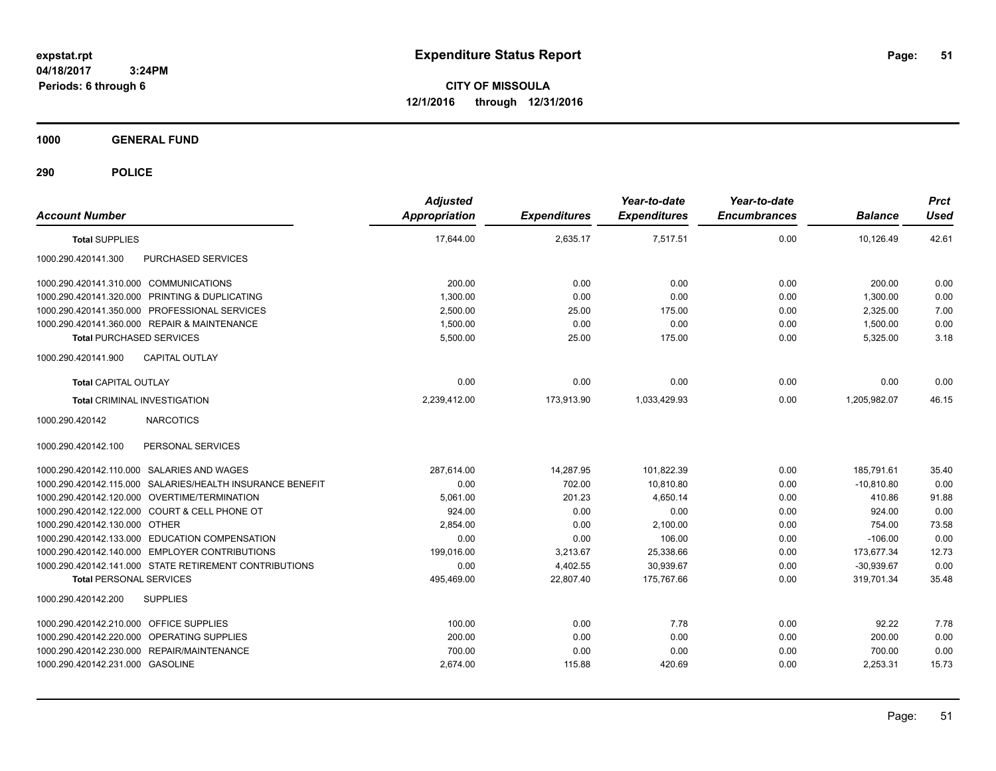**CITY OF MISSOULA 12/1/2016 through 12/31/2016**

**1000 GENERAL FUND**

| <b>Account Number</b>                                     | <b>Adjusted</b><br><b>Appropriation</b> | <b>Expenditures</b> | Year-to-date<br><b>Expenditures</b> | Year-to-date<br><b>Encumbrances</b> | <b>Balance</b> | <b>Prct</b><br><b>Used</b> |
|-----------------------------------------------------------|-----------------------------------------|---------------------|-------------------------------------|-------------------------------------|----------------|----------------------------|
| <b>Total SUPPLIES</b>                                     | 17,644.00                               | 2,635.17            | 7,517.51                            | 0.00                                | 10,126.49      | 42.61                      |
| 1000.290.420141.300<br>PURCHASED SERVICES                 |                                         |                     |                                     |                                     |                |                            |
| 1000.290.420141.310.000 COMMUNICATIONS                    | 200.00                                  | 0.00                | 0.00                                | 0.00                                | 200.00         | 0.00                       |
| 1000.290.420141.320.000 PRINTING & DUPLICATING            | 1,300.00                                | 0.00                | 0.00                                | 0.00                                | 1,300.00       | 0.00                       |
| 1000.290.420141.350.000 PROFESSIONAL SERVICES             | 2,500.00                                | 25.00               | 175.00                              | 0.00                                | 2,325.00       | 7.00                       |
| 1000.290.420141.360.000 REPAIR & MAINTENANCE              | 1,500.00                                | 0.00                | 0.00                                | 0.00                                | 1,500.00       | 0.00                       |
| <b>Total PURCHASED SERVICES</b>                           | 5,500.00                                | 25.00               | 175.00                              | 0.00                                | 5,325.00       | 3.18                       |
| <b>CAPITAL OUTLAY</b><br>1000.290.420141.900              |                                         |                     |                                     |                                     |                |                            |
| <b>Total CAPITAL OUTLAY</b>                               | 0.00                                    | 0.00                | 0.00                                | 0.00                                | 0.00           | 0.00                       |
| <b>Total CRIMINAL INVESTIGATION</b>                       | 2,239,412.00                            | 173,913.90          | 1,033,429.93                        | 0.00                                | 1,205,982.07   | 46.15                      |
| <b>NARCOTICS</b><br>1000.290.420142                       |                                         |                     |                                     |                                     |                |                            |
| 1000.290.420142.100<br>PERSONAL SERVICES                  |                                         |                     |                                     |                                     |                |                            |
| 1000.290.420142.110.000 SALARIES AND WAGES                | 287,614.00                              | 14,287.95           | 101,822.39                          | 0.00                                | 185,791.61     | 35.40                      |
| 1000.290.420142.115.000 SALARIES/HEALTH INSURANCE BENEFIT | 0.00                                    | 702.00              | 10,810.80                           | 0.00                                | $-10,810.80$   | 0.00                       |
| 1000.290.420142.120.000 OVERTIME/TERMINATION              | 5,061.00                                | 201.23              | 4,650.14                            | 0.00                                | 410.86         | 91.88                      |
| 1000.290.420142.122.000 COURT & CELL PHONE OT             | 924.00                                  | 0.00                | 0.00                                | 0.00                                | 924.00         | 0.00                       |
| 1000.290.420142.130.000 OTHER                             | 2,854.00                                | 0.00                | 2,100.00                            | 0.00                                | 754.00         | 73.58                      |
| 1000.290.420142.133.000 EDUCATION COMPENSATION            | 0.00                                    | 0.00                | 106.00                              | 0.00                                | $-106.00$      | 0.00                       |
| 1000.290.420142.140.000 EMPLOYER CONTRIBUTIONS            | 199,016.00                              | 3,213.67            | 25,338.66                           | 0.00                                | 173,677.34     | 12.73                      |
| 1000.290.420142.141.000 STATE RETIREMENT CONTRIBUTIONS    | 0.00                                    | 4,402.55            | 30,939.67                           | 0.00                                | $-30,939.67$   | 0.00                       |
| <b>Total PERSONAL SERVICES</b>                            | 495,469.00                              | 22,807.40           | 175,767.66                          | 0.00                                | 319,701.34     | 35.48                      |
| <b>SUPPLIES</b><br>1000.290.420142.200                    |                                         |                     |                                     |                                     |                |                            |
| 1000.290.420142.210.000 OFFICE SUPPLIES                   | 100.00                                  | 0.00                | 7.78                                | 0.00                                | 92.22          | 7.78                       |
| 1000.290.420142.220.000 OPERATING SUPPLIES                | 200.00                                  | 0.00                | 0.00                                | 0.00                                | 200.00         | 0.00                       |
| 1000.290.420142.230.000 REPAIR/MAINTENANCE                | 700.00                                  | 0.00                | 0.00                                | 0.00                                | 700.00         | 0.00                       |
| 1000.290.420142.231.000 GASOLINE                          | 2,674.00                                | 115.88              | 420.69                              | 0.00                                | 2,253.31       | 15.73                      |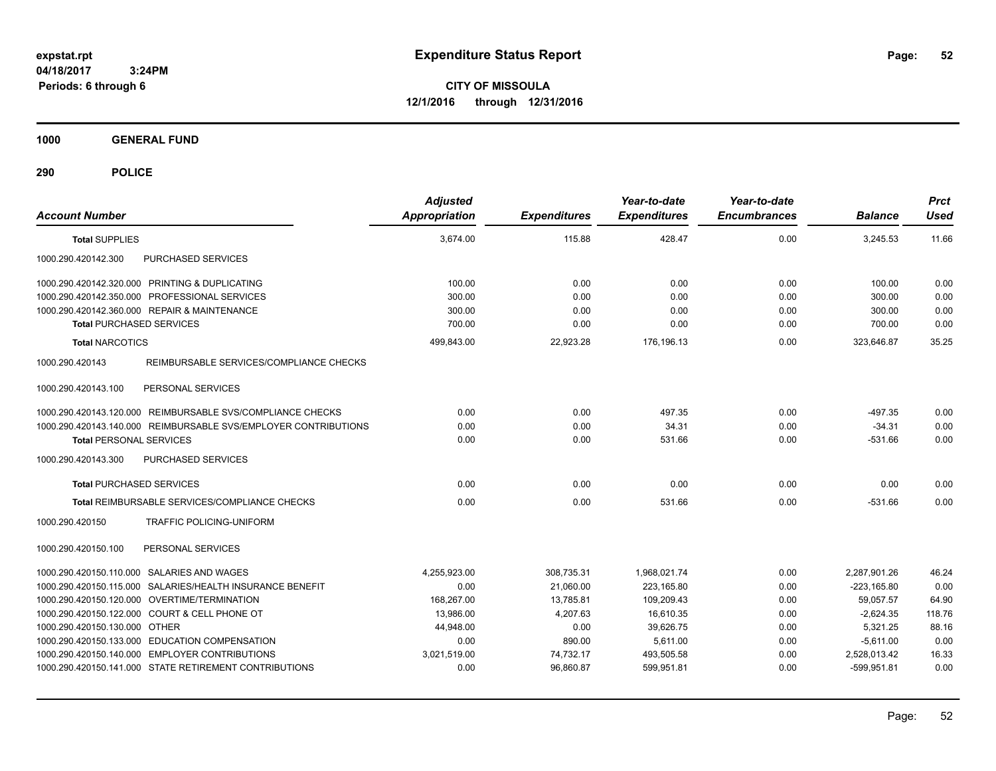**CITY OF MISSOULA 12/1/2016 through 12/31/2016**

**1000 GENERAL FUND**

| <b>Account Number</b>                                           | <b>Adjusted</b><br>Appropriation | <b>Expenditures</b> | Year-to-date<br><b>Expenditures</b> | Year-to-date<br><b>Encumbrances</b> | <b>Balance</b> | <b>Prct</b><br><b>Used</b> |
|-----------------------------------------------------------------|----------------------------------|---------------------|-------------------------------------|-------------------------------------|----------------|----------------------------|
| <b>Total SUPPLIES</b>                                           | 3,674.00                         | 115.88              | 428.47                              | 0.00                                | 3,245.53       | 11.66                      |
| 1000.290.420142.300<br>PURCHASED SERVICES                       |                                  |                     |                                     |                                     |                |                            |
| 1000.290.420142.320.000 PRINTING & DUPLICATING                  | 100.00                           | 0.00                | 0.00                                | 0.00                                | 100.00         | 0.00                       |
| 1000.290.420142.350.000 PROFESSIONAL SERVICES                   | 300.00                           | 0.00                | 0.00                                | 0.00                                | 300.00         | 0.00                       |
| 1000.290.420142.360.000 REPAIR & MAINTENANCE                    | 300.00                           | 0.00                | 0.00                                | 0.00                                | 300.00         | 0.00                       |
| <b>Total PURCHASED SERVICES</b>                                 | 700.00                           | 0.00                | 0.00                                | 0.00                                | 700.00         | 0.00                       |
| <b>Total NARCOTICS</b>                                          | 499,843.00                       | 22,923.28           | 176,196.13                          | 0.00                                | 323,646.87     | 35.25                      |
| 1000.290.420143<br>REIMBURSABLE SERVICES/COMPLIANCE CHECKS      |                                  |                     |                                     |                                     |                |                            |
| 1000.290.420143.100<br>PERSONAL SERVICES                        |                                  |                     |                                     |                                     |                |                            |
| 1000.290.420143.120.000 REIMBURSABLE SVS/COMPLIANCE CHECKS      | 0.00                             | 0.00                | 497.35                              | 0.00                                | $-497.35$      | 0.00                       |
| 1000.290.420143.140.000 REIMBURSABLE SVS/EMPLOYER CONTRIBUTIONS | 0.00                             | 0.00                | 34.31                               | 0.00                                | $-34.31$       | 0.00                       |
| <b>Total PERSONAL SERVICES</b>                                  | 0.00                             | 0.00                | 531.66                              | 0.00                                | $-531.66$      | 0.00                       |
| PURCHASED SERVICES<br>1000.290.420143.300                       |                                  |                     |                                     |                                     |                |                            |
| <b>Total PURCHASED SERVICES</b>                                 | 0.00                             | 0.00                | 0.00                                | 0.00                                | 0.00           | 0.00                       |
| Total REIMBURSABLE SERVICES/COMPLIANCE CHECKS                   | 0.00                             | 0.00                | 531.66                              | 0.00                                | $-531.66$      | 0.00                       |
| 1000.290.420150<br>TRAFFIC POLICING-UNIFORM                     |                                  |                     |                                     |                                     |                |                            |
| 1000.290.420150.100<br>PERSONAL SERVICES                        |                                  |                     |                                     |                                     |                |                            |
| 1000.290.420150.110.000 SALARIES AND WAGES                      | 4,255,923.00                     | 308,735.31          | 1,968,021.74                        | 0.00                                | 2,287,901.26   | 46.24                      |
| 1000.290.420150.115.000 SALARIES/HEALTH INSURANCE BENEFIT       | 0.00                             | 21,060.00           | 223,165.80                          | 0.00                                | $-223,165.80$  | 0.00                       |
| 1000.290.420150.120.000 OVERTIME/TERMINATION                    | 168.267.00                       | 13,785.81           | 109,209.43                          | 0.00                                | 59,057.57      | 64.90                      |
| 1000.290.420150.122.000 COURT & CELL PHONE OT                   | 13,986.00                        | 4,207.63            | 16,610.35                           | 0.00                                | $-2,624.35$    | 118.76                     |
| 1000.290.420150.130.000 OTHER                                   | 44.948.00                        | 0.00                | 39.626.75                           | 0.00                                | 5,321.25       | 88.16                      |
| 1000.290.420150.133.000 EDUCATION COMPENSATION                  | 0.00                             | 890.00              | 5.611.00                            | 0.00                                | $-5,611.00$    | 0.00                       |
| 1000.290.420150.140.000 EMPLOYER CONTRIBUTIONS                  | 3,021,519.00                     | 74,732.17           | 493,505.58                          | 0.00                                | 2,528,013.42   | 16.33                      |
| 1000.290.420150.141.000 STATE RETIREMENT CONTRIBUTIONS          | 0.00                             | 96,860.87           | 599,951.81                          | 0.00                                | $-599,951.81$  | 0.00                       |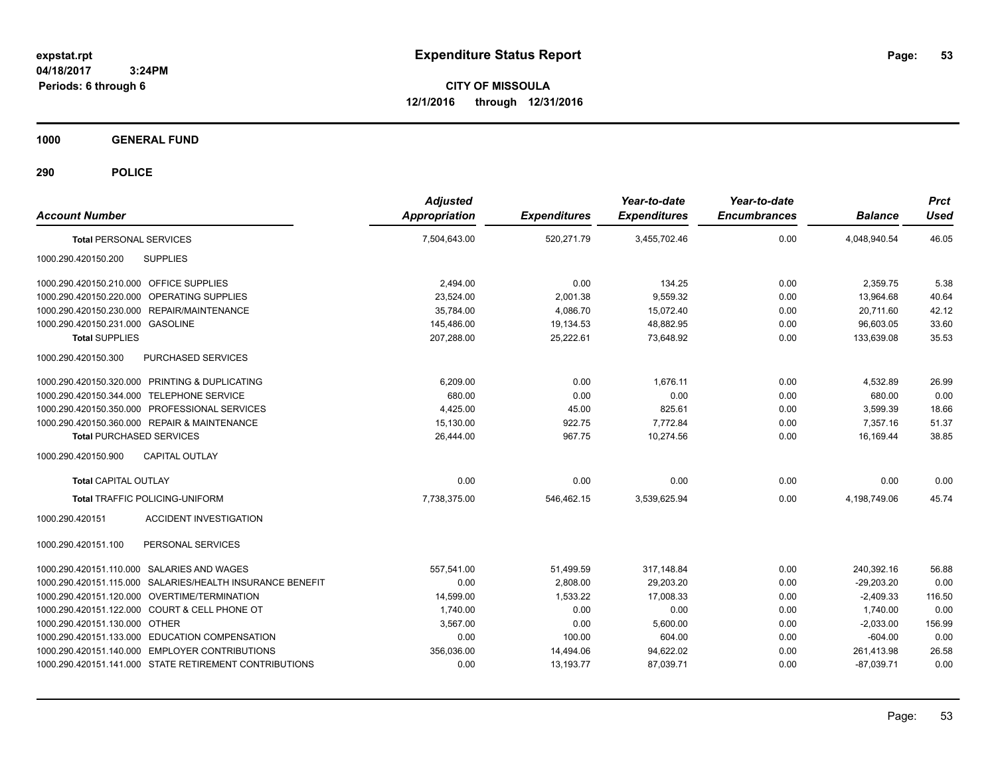**CITY OF MISSOULA 12/1/2016 through 12/31/2016**

**1000 GENERAL FUND**

| <b>Account Number</b>                                     | <b>Adjusted</b><br><b>Appropriation</b> | <b>Expenditures</b> | Year-to-date<br><b>Expenditures</b> | Year-to-date<br><b>Encumbrances</b> | <b>Balance</b> | <b>Prct</b><br><b>Used</b> |
|-----------------------------------------------------------|-----------------------------------------|---------------------|-------------------------------------|-------------------------------------|----------------|----------------------------|
| <b>Total PERSONAL SERVICES</b>                            | 7,504,643.00                            | 520,271.79          | 3,455,702.46                        | 0.00                                | 4,048,940.54   | 46.05                      |
| 1000.290.420150.200<br><b>SUPPLIES</b>                    |                                         |                     |                                     |                                     |                |                            |
| 1000.290.420150.210.000 OFFICE SUPPLIES                   | 2,494.00                                | 0.00                | 134.25                              | 0.00                                | 2,359.75       | 5.38                       |
| 1000.290.420150.220.000 OPERATING SUPPLIES                | 23,524.00                               | 2,001.38            | 9,559.32                            | 0.00                                | 13,964.68      | 40.64                      |
| REPAIR/MAINTENANCE<br>1000.290.420150.230.000             | 35.784.00                               | 4,086.70            | 15,072.40                           | 0.00                                | 20.711.60      | 42.12                      |
| 1000.290.420150.231.000 GASOLINE                          | 145,486.00                              | 19,134.53           | 48.882.95                           | 0.00                                | 96.603.05      | 33.60                      |
| <b>Total SUPPLIES</b>                                     | 207,288.00                              | 25,222.61           | 73,648.92                           | 0.00                                | 133,639.08     | 35.53                      |
| 1000.290.420150.300<br>PURCHASED SERVICES                 |                                         |                     |                                     |                                     |                |                            |
| 1000.290.420150.320.000 PRINTING & DUPLICATING            | 6,209.00                                | 0.00                | 1.676.11                            | 0.00                                | 4,532.89       | 26.99                      |
| 1000.290.420150.344.000 TELEPHONE SERVICE                 | 680.00                                  | 0.00                | 0.00                                | 0.00                                | 680.00         | 0.00                       |
| 1000.290.420150.350.000 PROFESSIONAL SERVICES             | 4,425.00                                | 45.00               | 825.61                              | 0.00                                | 3,599.39       | 18.66                      |
| 1000.290.420150.360.000 REPAIR & MAINTENANCE              | 15,130.00                               | 922.75              | 7,772.84                            | 0.00                                | 7,357.16       | 51.37                      |
| <b>Total PURCHASED SERVICES</b>                           | 26,444.00                               | 967.75              | 10,274.56                           | 0.00                                | 16,169.44      | 38.85                      |
| 1000.290.420150.900<br><b>CAPITAL OUTLAY</b>              |                                         |                     |                                     |                                     |                |                            |
| <b>Total CAPITAL OUTLAY</b>                               | 0.00                                    | 0.00                | 0.00                                | 0.00                                | 0.00           | 0.00                       |
| <b>Total TRAFFIC POLICING-UNIFORM</b>                     | 7.738.375.00                            | 546,462.15          | 3,539,625.94                        | 0.00                                | 4.198.749.06   | 45.74                      |
| 1000.290.420151<br><b>ACCIDENT INVESTIGATION</b>          |                                         |                     |                                     |                                     |                |                            |
| 1000.290.420151.100<br>PERSONAL SERVICES                  |                                         |                     |                                     |                                     |                |                            |
| 1000.290.420151.110.000 SALARIES AND WAGES                | 557,541.00                              | 51,499.59           | 317.148.84                          | 0.00                                | 240,392.16     | 56.88                      |
| 1000.290.420151.115.000 SALARIES/HEALTH INSURANCE BENEFIT | 0.00                                    | 2,808.00            | 29.203.20                           | 0.00                                | $-29.203.20$   | 0.00                       |
| 1000.290.420151.120.000 OVERTIME/TERMINATION              | 14,599.00                               | 1,533.22            | 17,008.33                           | 0.00                                | $-2,409.33$    | 116.50                     |
| 1000.290.420151.122.000 COURT & CELL PHONE OT             | 1,740.00                                | 0.00                | 0.00                                | 0.00                                | 1,740.00       | 0.00                       |
| 1000.290.420151.130.000 OTHER                             | 3,567.00                                | 0.00                | 5,600.00                            | 0.00                                | $-2,033.00$    | 156.99                     |
| 1000.290.420151.133.000 EDUCATION COMPENSATION            | 0.00                                    | 100.00              | 604.00                              | 0.00                                | $-604.00$      | 0.00                       |
| 1000.290.420151.140.000 EMPLOYER CONTRIBUTIONS            | 356,036.00                              | 14,494.06           | 94,622.02                           | 0.00                                | 261,413.98     | 26.58                      |
| 1000.290.420151.141.000 STATE RETIREMENT CONTRIBUTIONS    | 0.00                                    | 13,193.77           | 87,039.71                           | 0.00                                | $-87,039.71$   | 0.00                       |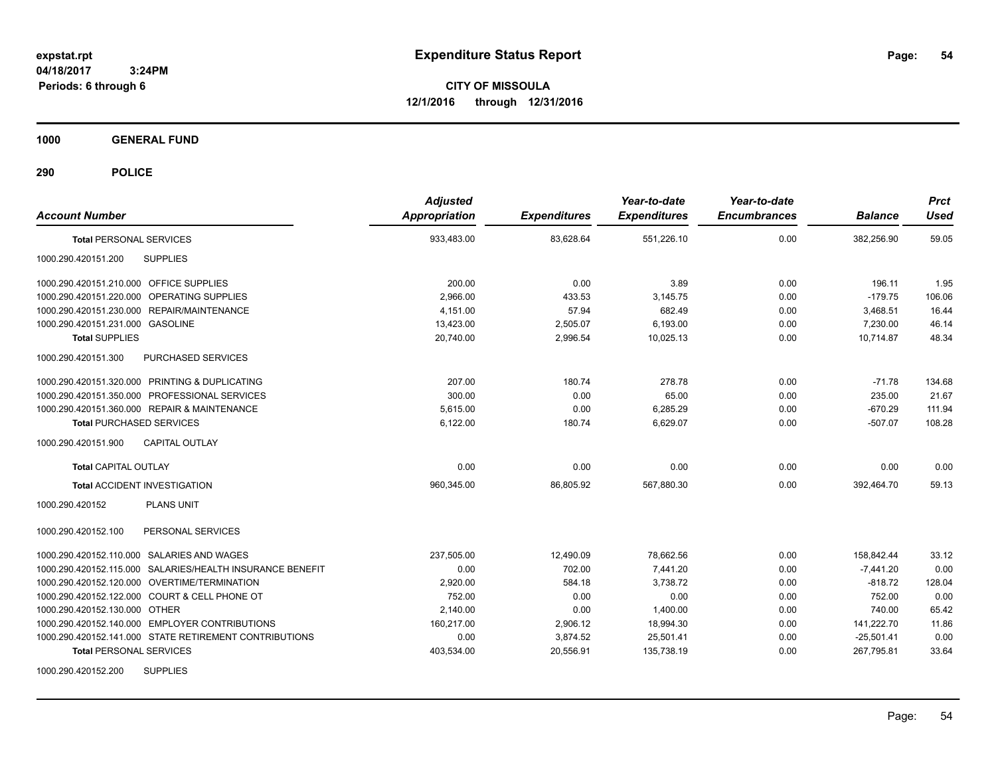**CITY OF MISSOULA 12/1/2016 through 12/31/2016**

**1000 GENERAL FUND**

| <b>Account Number</b>                                     | <b>Adjusted</b><br><b>Appropriation</b> | <b>Expenditures</b> | Year-to-date<br><b>Expenditures</b> | Year-to-date<br><b>Encumbrances</b> | <b>Balance</b> | <b>Prct</b><br><b>Used</b> |
|-----------------------------------------------------------|-----------------------------------------|---------------------|-------------------------------------|-------------------------------------|----------------|----------------------------|
| <b>Total PERSONAL SERVICES</b>                            | 933,483.00                              | 83,628.64           | 551,226.10                          | 0.00                                | 382,256.90     | 59.05                      |
| 1000.290.420151.200<br><b>SUPPLIES</b>                    |                                         |                     |                                     |                                     |                |                            |
| 1000.290.420151.210.000 OFFICE SUPPLIES                   | 200.00                                  | 0.00                | 3.89                                | 0.00                                | 196.11         | 1.95                       |
| 1000.290.420151.220.000 OPERATING SUPPLIES                | 2,966.00                                | 433.53              | 3,145.75                            | 0.00                                | $-179.75$      | 106.06                     |
| 1000.290.420151.230.000 REPAIR/MAINTENANCE                | 4.151.00                                | 57.94               | 682.49                              | 0.00                                | 3,468.51       | 16.44                      |
| 1000.290.420151.231.000 GASOLINE                          | 13,423.00                               | 2,505.07            | 6,193.00                            | 0.00                                | 7.230.00       | 46.14                      |
| <b>Total SUPPLIES</b>                                     | 20.740.00                               | 2,996.54            | 10.025.13                           | 0.00                                | 10.714.87      | 48.34                      |
| 1000.290.420151.300<br>PURCHASED SERVICES                 |                                         |                     |                                     |                                     |                |                            |
| 1000.290.420151.320.000 PRINTING & DUPLICATING            | 207.00                                  | 180.74              | 278.78                              | 0.00                                | $-71.78$       | 134.68                     |
| 1000.290.420151.350.000 PROFESSIONAL SERVICES             | 300.00                                  | 0.00                | 65.00                               | 0.00                                | 235.00         | 21.67                      |
| 1000.290.420151.360.000 REPAIR & MAINTENANCE              | 5.615.00                                | 0.00                | 6,285.29                            | 0.00                                | $-670.29$      | 111.94                     |
| <b>Total PURCHASED SERVICES</b>                           | 6,122.00                                | 180.74              | 6,629.07                            | 0.00                                | $-507.07$      | 108.28                     |
| 1000.290.420151.900<br><b>CAPITAL OUTLAY</b>              |                                         |                     |                                     |                                     |                |                            |
| <b>Total CAPITAL OUTLAY</b>                               | 0.00                                    | 0.00                | 0.00                                | 0.00                                | 0.00           | 0.00                       |
| <b>Total ACCIDENT INVESTIGATION</b>                       | 960,345.00                              | 86,805.92           | 567,880.30                          | 0.00                                | 392,464.70     | 59.13                      |
| <b>PLANS UNIT</b><br>1000.290.420152                      |                                         |                     |                                     |                                     |                |                            |
| PERSONAL SERVICES<br>1000.290.420152.100                  |                                         |                     |                                     |                                     |                |                            |
| 1000.290.420152.110.000 SALARIES AND WAGES                | 237,505.00                              | 12,490.09           | 78,662.56                           | 0.00                                | 158,842.44     | 33.12                      |
| 1000.290.420152.115.000 SALARIES/HEALTH INSURANCE BENEFIT | 0.00                                    | 702.00              | 7,441.20                            | 0.00                                | $-7,441.20$    | 0.00                       |
| 1000.290.420152.120.000 OVERTIME/TERMINATION              | 2,920.00                                | 584.18              | 3,738.72                            | 0.00                                | $-818.72$      | 128.04                     |
| 1000.290.420152.122.000 COURT & CELL PHONE OT             | 752.00                                  | 0.00                | 0.00                                | 0.00                                | 752.00         | 0.00                       |
| 1000.290.420152.130.000 OTHER                             | 2,140.00                                | 0.00                | 1,400.00                            | 0.00                                | 740.00         | 65.42                      |
| 1000.290.420152.140.000 EMPLOYER CONTRIBUTIONS            | 160,217.00                              | 2,906.12            | 18,994.30                           | 0.00                                | 141,222.70     | 11.86                      |
| 1000.290.420152.141.000 STATE RETIREMENT CONTRIBUTIONS    | 0.00                                    | 3,874.52            | 25,501.41                           | 0.00                                | $-25,501.41$   | 0.00                       |
| <b>Total PERSONAL SERVICES</b>                            | 403,534.00                              | 20,556.91           | 135,738.19                          | 0.00                                | 267,795.81     | 33.64                      |
| <b>SUPPLIES</b><br>1000.290.420152.200                    |                                         |                     |                                     |                                     |                |                            |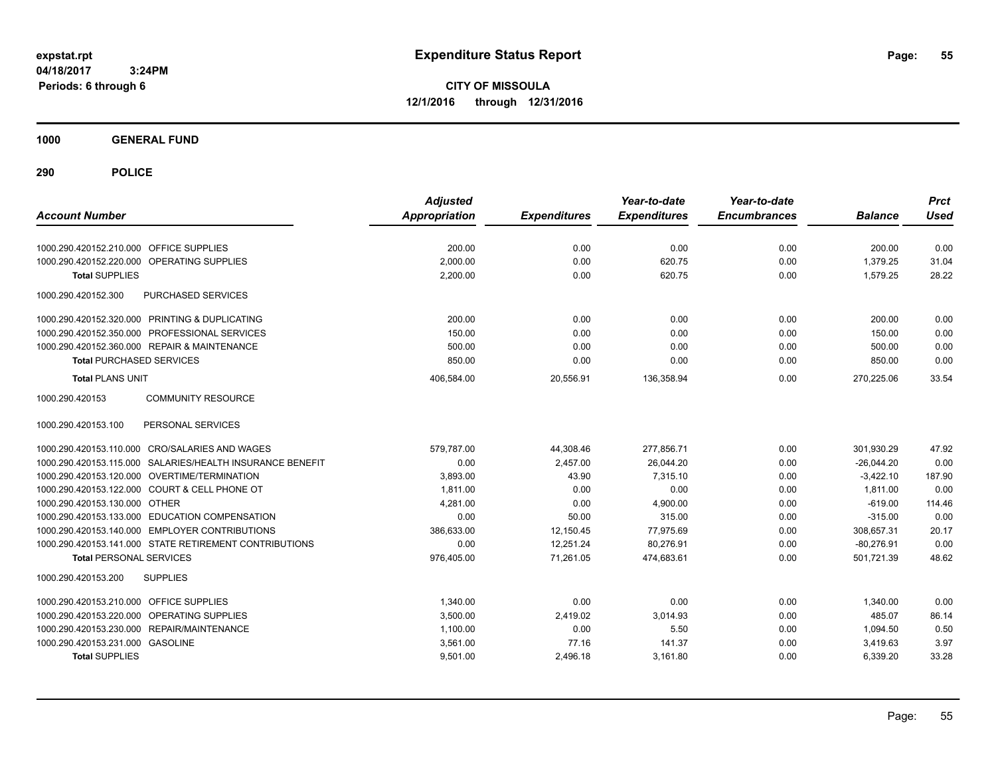**CITY OF MISSOULA 12/1/2016 through 12/31/2016**

**1000 GENERAL FUND**

| <b>Account Number</b>                                     | <b>Adjusted</b><br><b>Appropriation</b> | <b>Expenditures</b> | Year-to-date<br><b>Expenditures</b> | Year-to-date<br><b>Encumbrances</b> | <b>Balance</b> | <b>Prct</b><br><b>Used</b> |
|-----------------------------------------------------------|-----------------------------------------|---------------------|-------------------------------------|-------------------------------------|----------------|----------------------------|
| 1000.290.420152.210.000 OFFICE SUPPLIES                   | 200.00                                  | 0.00                | 0.00                                | 0.00                                | 200.00         | 0.00                       |
| OPERATING SUPPLIES<br>1000.290.420152.220.000             | 2,000.00                                | 0.00                | 620.75                              | 0.00                                | 1,379.25       | 31.04                      |
| <b>Total SUPPLIES</b>                                     | 2,200.00                                | 0.00                | 620.75                              | 0.00                                | 1,579.25       | 28.22                      |
|                                                           |                                         |                     |                                     |                                     |                |                            |
| 1000.290.420152.300<br><b>PURCHASED SERVICES</b>          |                                         |                     |                                     |                                     |                |                            |
| 1000.290.420152.320.000 PRINTING & DUPLICATING            | 200.00                                  | 0.00                | 0.00                                | 0.00                                | 200.00         | 0.00                       |
| 1000.290.420152.350.000 PROFESSIONAL SERVICES             | 150.00                                  | 0.00                | 0.00                                | 0.00                                | 150.00         | 0.00                       |
| 1000.290.420152.360.000 REPAIR & MAINTENANCE              | 500.00                                  | 0.00                | 0.00                                | 0.00                                | 500.00         | 0.00                       |
| <b>Total PURCHASED SERVICES</b>                           | 850.00                                  | 0.00                | 0.00                                | 0.00                                | 850.00         | 0.00                       |
| <b>Total PLANS UNIT</b>                                   | 406,584.00                              | 20,556.91           | 136,358.94                          | 0.00                                | 270,225.06     | 33.54                      |
| 1000.290.420153<br><b>COMMUNITY RESOURCE</b>              |                                         |                     |                                     |                                     |                |                            |
| 1000.290.420153.100<br>PERSONAL SERVICES                  |                                         |                     |                                     |                                     |                |                            |
| 1000.290.420153.110.000 CRO/SALARIES AND WAGES            | 579.787.00                              | 44,308.46           | 277,856.71                          | 0.00                                | 301.930.29     | 47.92                      |
| 1000.290.420153.115.000 SALARIES/HEALTH INSURANCE BENEFIT | 0.00                                    | 2,457.00            | 26,044.20                           | 0.00                                | $-26,044.20$   | 0.00                       |
| 1000.290.420153.120.000 OVERTIME/TERMINATION              | 3.893.00                                | 43.90               | 7.315.10                            | 0.00                                | $-3,422.10$    | 187.90                     |
| 1000.290.420153.122.000 COURT & CELL PHONE OT             | 1,811.00                                | 0.00                | 0.00                                | 0.00                                | 1,811.00       | 0.00                       |
| 1000.290.420153.130.000 OTHER                             | 4,281.00                                | 0.00                | 4,900.00                            | 0.00                                | $-619.00$      | 114.46                     |
| 1000.290.420153.133.000 EDUCATION COMPENSATION            | 0.00                                    | 50.00               | 315.00                              | 0.00                                | $-315.00$      | 0.00                       |
| 1000.290.420153.140.000 EMPLOYER CONTRIBUTIONS            | 386.633.00                              | 12,150.45           | 77,975.69                           | 0.00                                | 308,657.31     | 20.17                      |
| 1000.290.420153.141.000 STATE RETIREMENT CONTRIBUTIONS    | 0.00                                    | 12,251.24           | 80,276.91                           | 0.00                                | $-80,276.91$   | 0.00                       |
| <b>Total PERSONAL SERVICES</b>                            | 976,405.00                              | 71,261.05           | 474,683.61                          | 0.00                                | 501,721.39     | 48.62                      |
| 1000.290.420153.200<br><b>SUPPLIES</b>                    |                                         |                     |                                     |                                     |                |                            |
| 1000.290.420153.210.000<br><b>OFFICE SUPPLIES</b>         | 1,340.00                                | 0.00                | 0.00                                | 0.00                                | 1,340.00       | 0.00                       |
| OPERATING SUPPLIES<br>1000.290.420153.220.000             | 3,500.00                                | 2,419.02            | 3,014.93                            | 0.00                                | 485.07         | 86.14                      |
| 1000.290.420153.230.000 REPAIR/MAINTENANCE                | 1,100.00                                | 0.00                | 5.50                                | 0.00                                | 1,094.50       | 0.50                       |
| 1000.290.420153.231.000 GASOLINE                          | 3,561.00                                | 77.16               | 141.37                              | 0.00                                | 3,419.63       | 3.97                       |
| <b>Total SUPPLIES</b>                                     | 9,501.00                                | 2,496.18            | 3,161.80                            | 0.00                                | 6,339.20       | 33.28                      |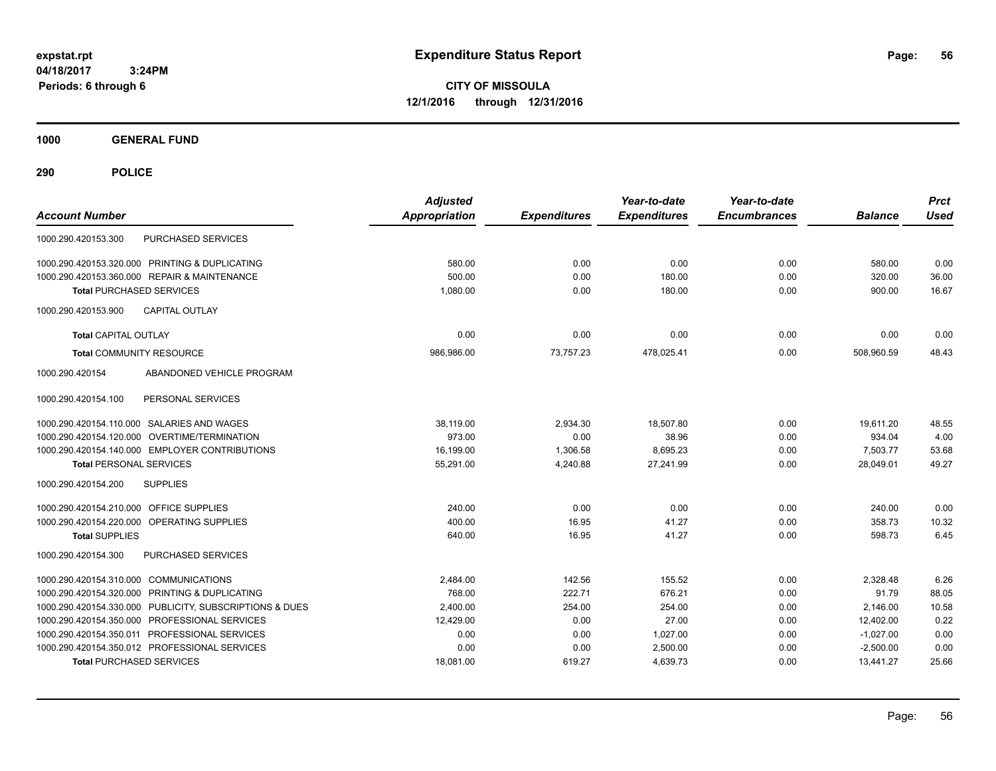**CITY OF MISSOULA 12/1/2016 through 12/31/2016**

**1000 GENERAL FUND**

| <b>Account Number</b>                                   | <b>Adjusted</b><br><b>Appropriation</b> | <b>Expenditures</b> | Year-to-date<br><b>Expenditures</b> | Year-to-date<br><b>Encumbrances</b> | <b>Balance</b> | <b>Prct</b><br><b>Used</b> |
|---------------------------------------------------------|-----------------------------------------|---------------------|-------------------------------------|-------------------------------------|----------------|----------------------------|
| <b>PURCHASED SERVICES</b><br>1000.290.420153.300        |                                         |                     |                                     |                                     |                |                            |
| 1000.290.420153.320.000 PRINTING & DUPLICATING          | 580.00                                  | 0.00                | 0.00                                | 0.00                                | 580.00         | 0.00                       |
| 1000.290.420153.360.000 REPAIR & MAINTENANCE            | 500.00                                  | 0.00                | 180.00                              | 0.00                                | 320.00         | 36.00                      |
| <b>Total PURCHASED SERVICES</b>                         | 1,080.00                                | 0.00                | 180.00                              | 0.00                                | 900.00         | 16.67                      |
| 1000.290.420153.900<br><b>CAPITAL OUTLAY</b>            |                                         |                     |                                     |                                     |                |                            |
| <b>Total CAPITAL OUTLAY</b>                             | 0.00                                    | 0.00                | 0.00                                | 0.00                                | 0.00           | 0.00                       |
| <b>Total COMMUNITY RESOURCE</b>                         | 986,986.00                              | 73,757.23           | 478,025.41                          | 0.00                                | 508,960.59     | 48.43                      |
| 1000.290.420154<br>ABANDONED VEHICLE PROGRAM            |                                         |                     |                                     |                                     |                |                            |
| 1000.290.420154.100<br>PERSONAL SERVICES                |                                         |                     |                                     |                                     |                |                            |
| 1000.290.420154.110.000 SALARIES AND WAGES              | 38,119.00                               | 2,934.30            | 18,507.80                           | 0.00                                | 19,611.20      | 48.55                      |
| OVERTIME/TERMINATION<br>1000.290.420154.120.000         | 973.00                                  | 0.00                | 38.96                               | 0.00                                | 934.04         | 4.00                       |
| 1000.290.420154.140.000 EMPLOYER CONTRIBUTIONS          | 16,199.00                               | 1,306.58            | 8,695.23                            | 0.00                                | 7,503.77       | 53.68                      |
| <b>Total PERSONAL SERVICES</b>                          | 55,291.00                               | 4,240.88            | 27,241.99                           | 0.00                                | 28,049.01      | 49.27                      |
| 1000.290.420154.200<br><b>SUPPLIES</b>                  |                                         |                     |                                     |                                     |                |                            |
| 1000.290.420154.210.000 OFFICE SUPPLIES                 | 240.00                                  | 0.00                | 0.00                                | 0.00                                | 240.00         | 0.00                       |
| 1000.290.420154.220.000 OPERATING SUPPLIES              | 400.00                                  | 16.95               | 41.27                               | 0.00                                | 358.73         | 10.32                      |
| <b>Total SUPPLIES</b>                                   | 640.00                                  | 16.95               | 41.27                               | 0.00                                | 598.73         | 6.45                       |
| 1000.290.420154.300<br>PURCHASED SERVICES               |                                         |                     |                                     |                                     |                |                            |
| 1000.290.420154.310.000 COMMUNICATIONS                  | 2,484.00                                | 142.56              | 155.52                              | 0.00                                | 2,328.48       | 6.26                       |
| 1000.290.420154.320.000 PRINTING & DUPLICATING          | 768.00                                  | 222.71              | 676.21                              | 0.00                                | 91.79          | 88.05                      |
| 1000.290.420154.330.000 PUBLICITY, SUBSCRIPTIONS & DUES | 2,400.00                                | 254.00              | 254.00                              | 0.00                                | 2,146.00       | 10.58                      |
| 1000.290.420154.350.000 PROFESSIONAL SERVICES           | 12,429.00                               | 0.00                | 27.00                               | 0.00                                | 12,402.00      | 0.22                       |
| 1000.290.420154.350.011 PROFESSIONAL SERVICES           | 0.00                                    | 0.00                | 1,027.00                            | 0.00                                | $-1,027.00$    | 0.00                       |
| 1000.290.420154.350.012 PROFESSIONAL SERVICES           | 0.00                                    | 0.00                | 2,500.00                            | 0.00                                | $-2,500.00$    | 0.00                       |
| <b>Total PURCHASED SERVICES</b>                         | 18,081.00                               | 619.27              | 4,639.73                            | 0.00                                | 13,441.27      | 25.66                      |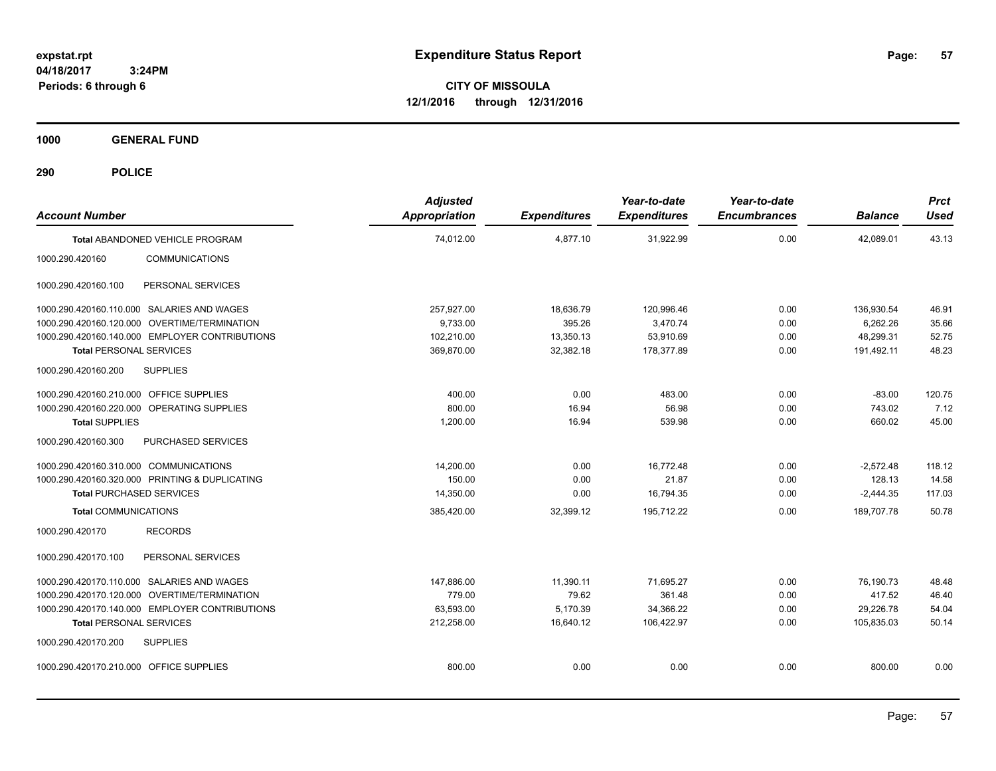**CITY OF MISSOULA 12/1/2016 through 12/31/2016**

**1000 GENERAL FUND**

| <b>Account Number</b>                   |                                                | <b>Adjusted</b><br><b>Appropriation</b> | <b>Expenditures</b> | Year-to-date<br><b>Expenditures</b> | Year-to-date<br><b>Encumbrances</b> | <b>Balance</b> | <b>Prct</b><br><b>Used</b> |
|-----------------------------------------|------------------------------------------------|-----------------------------------------|---------------------|-------------------------------------|-------------------------------------|----------------|----------------------------|
|                                         | Total ABANDONED VEHICLE PROGRAM                | 74,012.00                               | 4,877.10            | 31,922.99                           | 0.00                                | 42,089.01      | 43.13                      |
| 1000.290.420160                         | <b>COMMUNICATIONS</b>                          |                                         |                     |                                     |                                     |                |                            |
| 1000.290.420160.100                     | PERSONAL SERVICES                              |                                         |                     |                                     |                                     |                |                            |
|                                         | 1000.290.420160.110.000 SALARIES AND WAGES     | 257,927.00                              | 18,636.79           | 120,996.46                          | 0.00                                | 136,930.54     | 46.91                      |
|                                         | 1000.290.420160.120.000 OVERTIME/TERMINATION   | 9,733.00                                | 395.26              | 3,470.74                            | 0.00                                | 6.262.26       | 35.66                      |
|                                         | 1000.290.420160.140.000 EMPLOYER CONTRIBUTIONS | 102,210.00                              | 13,350.13           | 53,910.69                           | 0.00                                | 48,299.31      | 52.75                      |
| <b>Total PERSONAL SERVICES</b>          |                                                | 369,870.00                              | 32,382.18           | 178,377.89                          | 0.00                                | 191,492.11     | 48.23                      |
| 1000.290.420160.200                     | <b>SUPPLIES</b>                                |                                         |                     |                                     |                                     |                |                            |
| 1000.290.420160.210.000 OFFICE SUPPLIES |                                                | 400.00                                  | 0.00                | 483.00                              | 0.00                                | $-83.00$       | 120.75                     |
|                                         | 1000.290.420160.220.000 OPERATING SUPPLIES     | 800.00                                  | 16.94               | 56.98                               | 0.00                                | 743.02         | 7.12                       |
| <b>Total SUPPLIES</b>                   |                                                | 1,200.00                                | 16.94               | 539.98                              | 0.00                                | 660.02         | 45.00                      |
| 1000.290.420160.300                     | PURCHASED SERVICES                             |                                         |                     |                                     |                                     |                |                            |
| 1000.290.420160.310.000 COMMUNICATIONS  |                                                | 14,200.00                               | 0.00                | 16,772.48                           | 0.00                                | $-2,572.48$    | 118.12                     |
|                                         | 1000.290.420160.320.000 PRINTING & DUPLICATING | 150.00                                  | 0.00                | 21.87                               | 0.00                                | 128.13         | 14.58                      |
| <b>Total PURCHASED SERVICES</b>         |                                                | 14,350.00                               | 0.00                | 16,794.35                           | 0.00                                | $-2,444.35$    | 117.03                     |
| <b>Total COMMUNICATIONS</b>             |                                                | 385,420.00                              | 32,399.12           | 195,712.22                          | 0.00                                | 189,707.78     | 50.78                      |
| 1000.290.420170                         | <b>RECORDS</b>                                 |                                         |                     |                                     |                                     |                |                            |
| 1000.290.420170.100                     | PERSONAL SERVICES                              |                                         |                     |                                     |                                     |                |                            |
|                                         | 1000.290.420170.110.000 SALARIES AND WAGES     | 147,886.00                              | 11,390.11           | 71.695.27                           | 0.00                                | 76,190.73      | 48.48                      |
|                                         | 1000.290.420170.120.000 OVERTIME/TERMINATION   | 779.00                                  | 79.62               | 361.48                              | 0.00                                | 417.52         | 46.40                      |
|                                         | 1000.290.420170.140.000 EMPLOYER CONTRIBUTIONS | 63,593.00                               | 5,170.39            | 34,366.22                           | 0.00                                | 29,226.78      | 54.04                      |
| <b>Total PERSONAL SERVICES</b>          |                                                | 212,258.00                              | 16,640.12           | 106,422.97                          | 0.00                                | 105,835.03     | 50.14                      |
| 1000.290.420170.200                     | <b>SUPPLIES</b>                                |                                         |                     |                                     |                                     |                |                            |
| 1000.290.420170.210.000 OFFICE SUPPLIES |                                                | 800.00                                  | 0.00                | 0.00                                | 0.00                                | 800.00         | 0.00                       |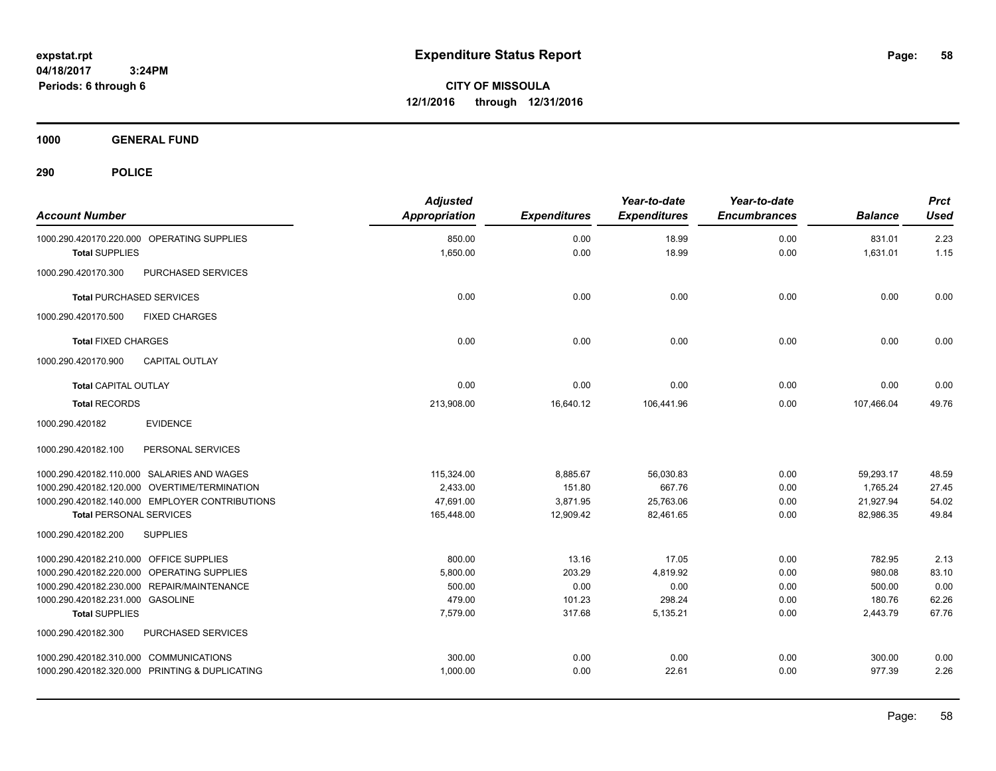**CITY OF MISSOULA 12/1/2016 through 12/31/2016**

**1000 GENERAL FUND**

| <b>Account Number</b>                          | <b>Adjusted</b><br><b>Appropriation</b> | <b>Expenditures</b> | Year-to-date<br><b>Expenditures</b> | Year-to-date<br><b>Encumbrances</b> | <b>Balance</b> | <b>Prct</b><br><b>Used</b> |
|------------------------------------------------|-----------------------------------------|---------------------|-------------------------------------|-------------------------------------|----------------|----------------------------|
| 1000.290.420170.220.000 OPERATING SUPPLIES     | 850.00                                  | 0.00                | 18.99                               | 0.00                                | 831.01         | 2.23                       |
| <b>Total SUPPLIES</b>                          | 1,650.00                                | 0.00                | 18.99                               | 0.00                                | 1,631.01       | 1.15                       |
| PURCHASED SERVICES<br>1000.290.420170.300      |                                         |                     |                                     |                                     |                |                            |
| <b>Total PURCHASED SERVICES</b>                | 0.00                                    | 0.00                | 0.00                                | 0.00                                | 0.00           | 0.00                       |
| 1000.290.420170.500<br><b>FIXED CHARGES</b>    |                                         |                     |                                     |                                     |                |                            |
| <b>Total FIXED CHARGES</b>                     | 0.00                                    | 0.00                | 0.00                                | 0.00                                | 0.00           | 0.00                       |
| <b>CAPITAL OUTLAY</b><br>1000.290.420170.900   |                                         |                     |                                     |                                     |                |                            |
| <b>Total CAPITAL OUTLAY</b>                    | 0.00                                    | 0.00                | 0.00                                | 0.00                                | 0.00           | 0.00                       |
| <b>Total RECORDS</b>                           | 213,908.00                              | 16,640.12           | 106,441.96                          | 0.00                                | 107,466.04     | 49.76                      |
| 1000.290.420182<br><b>EVIDENCE</b>             |                                         |                     |                                     |                                     |                |                            |
| 1000.290.420182.100<br>PERSONAL SERVICES       |                                         |                     |                                     |                                     |                |                            |
| 1000.290.420182.110.000 SALARIES AND WAGES     | 115,324.00                              | 8,885.67            | 56,030.83                           | 0.00                                | 59,293.17      | 48.59                      |
| 1000.290.420182.120.000 OVERTIME/TERMINATION   | 2,433.00                                | 151.80              | 667.76                              | 0.00                                | 1.765.24       | 27.45                      |
| 1000.290.420182.140.000 EMPLOYER CONTRIBUTIONS | 47,691.00                               | 3,871.95            | 25,763.06                           | 0.00                                | 21,927.94      | 54.02                      |
| <b>Total PERSONAL SERVICES</b>                 | 165,448.00                              | 12,909.42           | 82,461.65                           | 0.00                                | 82,986.35      | 49.84                      |
| 1000.290.420182.200<br><b>SUPPLIES</b>         |                                         |                     |                                     |                                     |                |                            |
| 1000.290.420182.210.000 OFFICE SUPPLIES        | 800.00                                  | 13.16               | 17.05                               | 0.00                                | 782.95         | 2.13                       |
| 1000.290.420182.220.000 OPERATING SUPPLIES     | 5,800.00                                | 203.29              | 4,819.92                            | 0.00                                | 980.08         | 83.10                      |
| 1000.290.420182.230.000 REPAIR/MAINTENANCE     | 500.00                                  | 0.00                | 0.00                                | 0.00                                | 500.00         | 0.00                       |
| 1000.290.420182.231.000 GASOLINE               | 479.00                                  | 101.23              | 298.24                              | 0.00                                | 180.76         | 62.26                      |
| <b>Total SUPPLIES</b>                          | 7,579.00                                | 317.68              | 5,135.21                            | 0.00                                | 2,443.79       | 67.76                      |
| 1000.290.420182.300<br>PURCHASED SERVICES      |                                         |                     |                                     |                                     |                |                            |
| 1000.290.420182.310.000 COMMUNICATIONS         | 300.00                                  | 0.00                | 0.00                                | 0.00                                | 300.00         | 0.00                       |
| 1000.290.420182.320.000 PRINTING & DUPLICATING | 1,000.00                                | 0.00                | 22.61                               | 0.00                                | 977.39         | 2.26                       |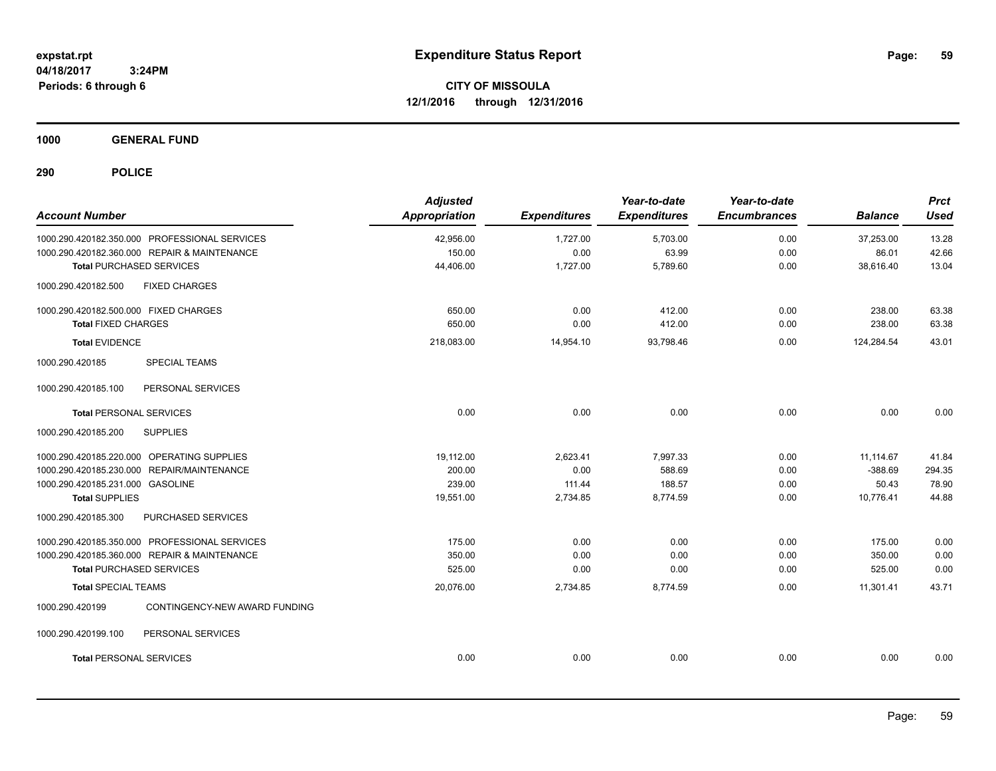**CITY OF MISSOULA 12/1/2016 through 12/31/2016**

**1000 GENERAL FUND**

| <b>Account Number</b>                            | <b>Adjusted</b><br>Appropriation | <b>Expenditures</b> | Year-to-date<br><b>Expenditures</b> | Year-to-date<br><b>Encumbrances</b> | <b>Balance</b> | <b>Prct</b><br><b>Used</b> |
|--------------------------------------------------|----------------------------------|---------------------|-------------------------------------|-------------------------------------|----------------|----------------------------|
| 1000.290.420182.350.000 PROFESSIONAL SERVICES    | 42,956.00                        | 1,727.00            | 5,703.00                            | 0.00                                | 37,253.00      | 13.28                      |
| 1000.290.420182.360.000 REPAIR & MAINTENANCE     | 150.00                           | 0.00                | 63.99                               | 0.00                                | 86.01          | 42.66                      |
| <b>Total PURCHASED SERVICES</b>                  | 44,406.00                        | 1,727.00            | 5,789.60                            | 0.00                                | 38,616.40      | 13.04                      |
| <b>FIXED CHARGES</b><br>1000.290.420182.500      |                                  |                     |                                     |                                     |                |                            |
| 1000.290.420182.500.000 FIXED CHARGES            | 650.00                           | 0.00                | 412.00                              | 0.00                                | 238.00         | 63.38                      |
| <b>Total FIXED CHARGES</b>                       | 650.00                           | 0.00                | 412.00                              | 0.00                                | 238.00         | 63.38                      |
| <b>Total EVIDENCE</b>                            | 218,083.00                       | 14,954.10           | 93,798.46                           | 0.00                                | 124,284.54     | 43.01                      |
| 1000.290.420185<br><b>SPECIAL TEAMS</b>          |                                  |                     |                                     |                                     |                |                            |
| 1000.290.420185.100<br>PERSONAL SERVICES         |                                  |                     |                                     |                                     |                |                            |
| <b>Total PERSONAL SERVICES</b>                   | 0.00                             | 0.00                | 0.00                                | 0.00                                | 0.00           | 0.00                       |
| 1000.290.420185.200<br><b>SUPPLIES</b>           |                                  |                     |                                     |                                     |                |                            |
| 1000.290.420185.220.000 OPERATING SUPPLIES       | 19,112.00                        | 2,623.41            | 7.997.33                            | 0.00                                | 11,114.67      | 41.84                      |
| 1000.290.420185.230.000 REPAIR/MAINTENANCE       | 200.00                           | 0.00                | 588.69                              | 0.00                                | $-388.69$      | 294.35                     |
| 1000.290.420185.231.000 GASOLINE                 | 239.00                           | 111.44              | 188.57                              | 0.00                                | 50.43          | 78.90                      |
| <b>Total SUPPLIES</b>                            | 19,551.00                        | 2,734.85            | 8,774.59                            | 0.00                                | 10,776.41      | 44.88                      |
| 1000.290.420185.300<br>PURCHASED SERVICES        |                                  |                     |                                     |                                     |                |                            |
| 1000.290.420185.350.000 PROFESSIONAL SERVICES    | 175.00                           | 0.00                | 0.00                                | 0.00                                | 175.00         | 0.00                       |
| 1000.290.420185.360.000 REPAIR & MAINTENANCE     | 350.00                           | 0.00                | 0.00                                | 0.00                                | 350.00         | 0.00                       |
| <b>Total PURCHASED SERVICES</b>                  | 525.00                           | 0.00                | 0.00                                | 0.00                                | 525.00         | 0.00                       |
| <b>Total SPECIAL TEAMS</b>                       | 20,076.00                        | 2,734.85            | 8,774.59                            | 0.00                                | 11,301.41      | 43.71                      |
| 1000.290.420199<br>CONTINGENCY-NEW AWARD FUNDING |                                  |                     |                                     |                                     |                |                            |
| PERSONAL SERVICES<br>1000.290.420199.100         |                                  |                     |                                     |                                     |                |                            |
| <b>Total PERSONAL SERVICES</b>                   | 0.00                             | 0.00                | 0.00                                | 0.00                                | 0.00           | 0.00                       |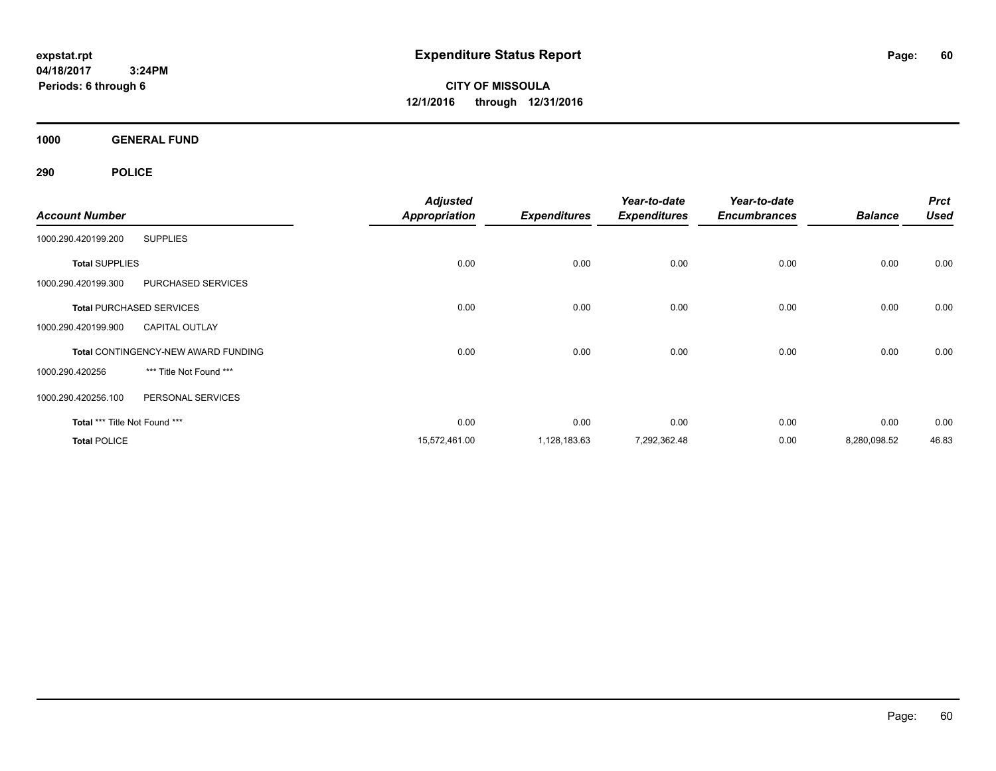**CITY OF MISSOULA 12/1/2016 through 12/31/2016**

**1000 GENERAL FUND**

|                                 |                                            | <b>Adjusted</b>      |                     | Year-to-date        | Year-to-date        |                | <b>Prct</b> |
|---------------------------------|--------------------------------------------|----------------------|---------------------|---------------------|---------------------|----------------|-------------|
| <b>Account Number</b>           |                                            | <b>Appropriation</b> | <b>Expenditures</b> | <b>Expenditures</b> | <b>Encumbrances</b> | <b>Balance</b> | <b>Used</b> |
| 1000.290.420199.200             | <b>SUPPLIES</b>                            |                      |                     |                     |                     |                |             |
| <b>Total SUPPLIES</b>           |                                            | 0.00                 | 0.00                | 0.00                | 0.00                | 0.00           | 0.00        |
| 1000.290.420199.300             | PURCHASED SERVICES                         |                      |                     |                     |                     |                |             |
| <b>Total PURCHASED SERVICES</b> |                                            | 0.00                 | 0.00                | 0.00                | 0.00                | 0.00           | 0.00        |
| 1000.290.420199.900             | <b>CAPITAL OUTLAY</b>                      |                      |                     |                     |                     |                |             |
|                                 | <b>Total CONTINGENCY-NEW AWARD FUNDING</b> | 0.00                 | 0.00                | 0.00                | 0.00                | 0.00           | 0.00        |
| 1000.290.420256                 | *** Title Not Found ***                    |                      |                     |                     |                     |                |             |
| 1000.290.420256.100             | PERSONAL SERVICES                          |                      |                     |                     |                     |                |             |
| Total *** Title Not Found ***   |                                            | 0.00                 | 0.00                | 0.00                | 0.00                | 0.00           | 0.00        |
| <b>Total POLICE</b>             |                                            | 15,572,461.00        | 1,128,183.63        | 7,292,362.48        | 0.00                | 8,280,098.52   | 46.83       |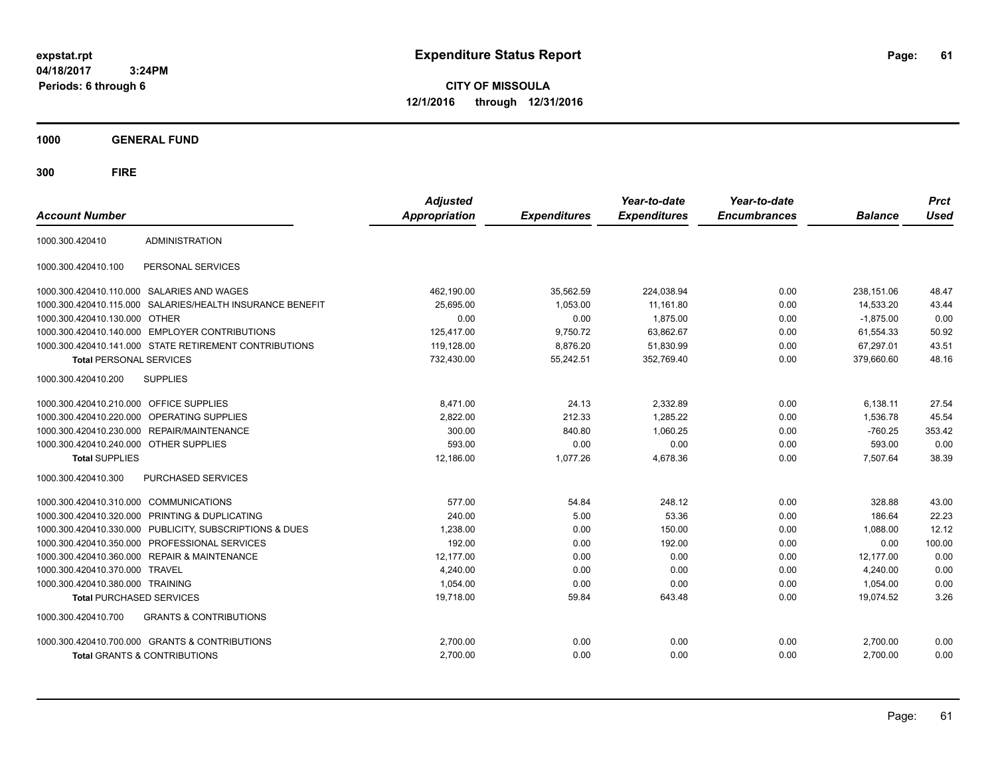**CITY OF MISSOULA 12/1/2016 through 12/31/2016**

**1000 GENERAL FUND**

| <b>Account Number</b>                   |                                                         | <b>Adjusted</b><br>Appropriation | <b>Expenditures</b> | Year-to-date<br><b>Expenditures</b> | Year-to-date<br><b>Encumbrances</b> | <b>Balance</b> | <b>Prct</b><br><b>Used</b> |
|-----------------------------------------|---------------------------------------------------------|----------------------------------|---------------------|-------------------------------------|-------------------------------------|----------------|----------------------------|
| 1000.300.420410                         | ADMINISTRATION                                          |                                  |                     |                                     |                                     |                |                            |
| 1000.300.420410.100                     | PERSONAL SERVICES                                       |                                  |                     |                                     |                                     |                |                            |
|                                         | 1000.300.420410.110.000 SALARIES AND WAGES              | 462,190.00                       | 35,562.59           | 224,038.94                          | 0.00                                | 238,151.06     | 48.47                      |
| 1000.300.420410.115.000                 | SALARIES/HEALTH INSURANCE BENEFIT                       | 25,695.00                        | 1,053.00            | 11,161.80                           | 0.00                                | 14,533.20      | 43.44                      |
| 1000.300.420410.130.000                 | <b>OTHER</b>                                            | 0.00                             | 0.00                | 1,875.00                            | 0.00                                | $-1.875.00$    | 0.00                       |
|                                         | 1000.300.420410.140.000 EMPLOYER CONTRIBUTIONS          | 125,417.00                       | 9,750.72            | 63,862.67                           | 0.00                                | 61,554.33      | 50.92                      |
|                                         | 1000.300.420410.141.000 STATE RETIREMENT CONTRIBUTIONS  | 119,128.00                       | 8,876.20            | 51,830.99                           | 0.00                                | 67,297.01      | 43.51                      |
| <b>Total PERSONAL SERVICES</b>          |                                                         | 732,430.00                       | 55,242.51           | 352,769.40                          | 0.00                                | 379,660.60     | 48.16                      |
| 1000.300.420410.200                     | <b>SUPPLIES</b>                                         |                                  |                     |                                     |                                     |                |                            |
| 1000.300.420410.210.000 OFFICE SUPPLIES |                                                         | 8,471.00                         | 24.13               | 2,332.89                            | 0.00                                | 6,138.11       | 27.54                      |
|                                         | 1000.300.420410.220.000 OPERATING SUPPLIES              | 2,822.00                         | 212.33              | 1,285.22                            | 0.00                                | 1,536.78       | 45.54                      |
| 1000.300.420410.230.000                 | <b>REPAIR/MAINTENANCE</b>                               | 300.00                           | 840.80              | 1,060.25                            | 0.00                                | $-760.25$      | 353.42                     |
| 1000.300.420410.240.000 OTHER SUPPLIES  |                                                         | 593.00                           | 0.00                | 0.00                                | 0.00                                | 593.00         | 0.00                       |
| <b>Total SUPPLIES</b>                   |                                                         | 12,186.00                        | 1,077.26            | 4,678.36                            | 0.00                                | 7,507.64       | 38.39                      |
| 1000.300.420410.300                     | <b>PURCHASED SERVICES</b>                               |                                  |                     |                                     |                                     |                |                            |
| 1000.300.420410.310.000 COMMUNICATIONS  |                                                         | 577.00                           | 54.84               | 248.12                              | 0.00                                | 328.88         | 43.00                      |
| 1000.300.420410.320.000                 | PRINTING & DUPLICATING                                  | 240.00                           | 5.00                | 53.36                               | 0.00                                | 186.64         | 22.23                      |
|                                         | 1000.300.420410.330.000 PUBLICITY, SUBSCRIPTIONS & DUES | 1,238.00                         | 0.00                | 150.00                              | 0.00                                | 1,088.00       | 12.12                      |
|                                         | 1000.300.420410.350.000 PROFESSIONAL SERVICES           | 192.00                           | 0.00                | 192.00                              | 0.00                                | 0.00           | 100.00                     |
| 1000.300.420410.360.000                 | <b>REPAIR &amp; MAINTENANCE</b>                         | 12,177.00                        | 0.00                | 0.00                                | 0.00                                | 12,177.00      | 0.00                       |
| 1000.300.420410.370.000                 | <b>TRAVEL</b>                                           | 4,240.00                         | 0.00                | 0.00                                | 0.00                                | 4,240.00       | 0.00                       |
| 1000.300.420410.380.000 TRAINING        |                                                         | 1,054.00                         | 0.00                | 0.00                                | 0.00                                | 1,054.00       | 0.00                       |
| <b>Total PURCHASED SERVICES</b>         |                                                         | 19,718.00                        | 59.84               | 643.48                              | 0.00                                | 19,074.52      | 3.26                       |
| 1000.300.420410.700                     | <b>GRANTS &amp; CONTRIBUTIONS</b>                       |                                  |                     |                                     |                                     |                |                            |
|                                         | 1000.300.420410.700.000 GRANTS & CONTRIBUTIONS          | 2,700.00                         | 0.00                | 0.00                                | 0.00                                | 2,700.00       | 0.00                       |
|                                         | Total GRANTS & CONTRIBUTIONS                            | 2,700.00                         | 0.00                | 0.00                                | 0.00                                | 2,700.00       | 0.00                       |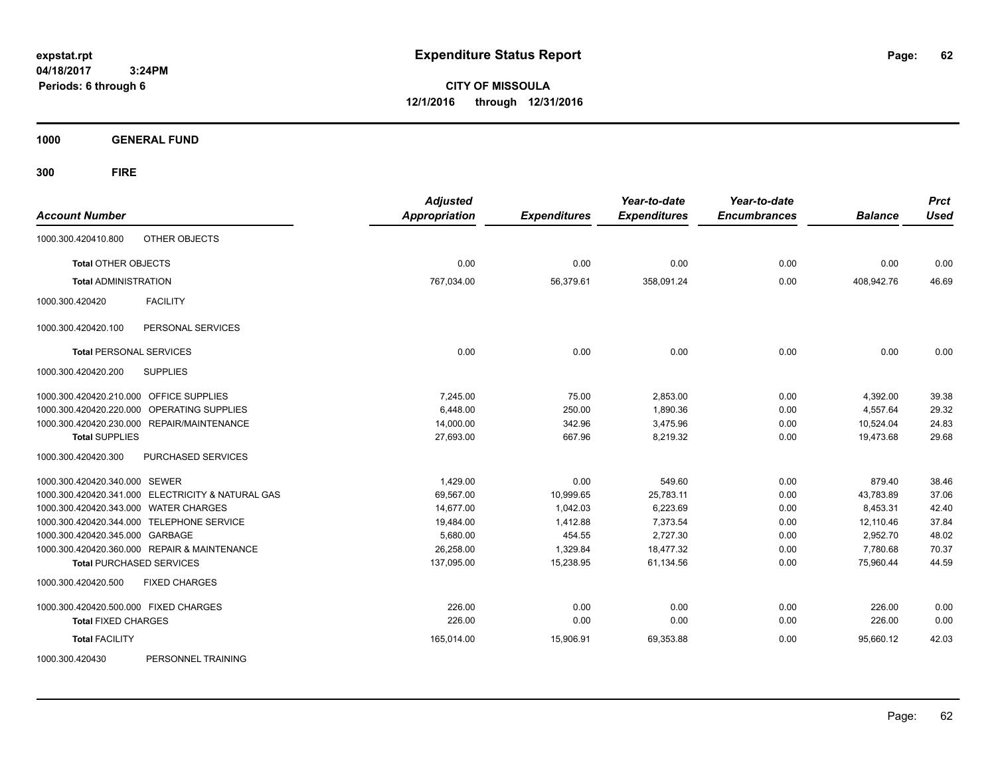**CITY OF MISSOULA 12/1/2016 through 12/31/2016**

**1000 GENERAL FUND**

**300 FIRE**

| <b>Account Number</b>                             | <b>Adjusted</b><br><b>Appropriation</b> | <b>Expenditures</b> | Year-to-date<br><b>Expenditures</b> | Year-to-date<br><b>Encumbrances</b> | <b>Balance</b> | <b>Prct</b><br><b>Used</b> |
|---------------------------------------------------|-----------------------------------------|---------------------|-------------------------------------|-------------------------------------|----------------|----------------------------|
| OTHER OBJECTS<br>1000.300.420410.800              |                                         |                     |                                     |                                     |                |                            |
| <b>Total OTHER OBJECTS</b>                        | 0.00                                    | 0.00                | 0.00                                | 0.00                                | 0.00           | 0.00                       |
| <b>Total ADMINISTRATION</b>                       | 767,034.00                              | 56,379.61           | 358,091.24                          | 0.00                                | 408,942.76     | 46.69                      |
| <b>FACILITY</b><br>1000.300.420420                |                                         |                     |                                     |                                     |                |                            |
| 1000.300.420420.100<br>PERSONAL SERVICES          |                                         |                     |                                     |                                     |                |                            |
| <b>Total PERSONAL SERVICES</b>                    | 0.00                                    | 0.00                | 0.00                                | 0.00                                | 0.00           | 0.00                       |
| 1000.300.420420.200<br><b>SUPPLIES</b>            |                                         |                     |                                     |                                     |                |                            |
| 1000.300.420420.210.000 OFFICE SUPPLIES           | 7.245.00                                | 75.00               | 2,853.00                            | 0.00                                | 4,392.00       | 39.38                      |
| 1000.300.420420.220.000 OPERATING SUPPLIES        | 6,448.00                                | 250.00              | 1,890.36                            | 0.00                                | 4,557.64       | 29.32                      |
| 1000.300.420420.230.000 REPAIR/MAINTENANCE        | 14,000.00                               | 342.96              | 3,475.96                            | 0.00                                | 10,524.04      | 24.83                      |
| <b>Total SUPPLIES</b>                             | 27,693.00                               | 667.96              | 8,219.32                            | 0.00                                | 19,473.68      | 29.68                      |
| PURCHASED SERVICES<br>1000.300.420420.300         |                                         |                     |                                     |                                     |                |                            |
| 1000.300.420420.340.000 SEWER                     | 1,429.00                                | 0.00                | 549.60                              | 0.00                                | 879.40         | 38.46                      |
| 1000.300.420420.341.000 ELECTRICITY & NATURAL GAS | 69,567.00                               | 10,999.65           | 25,783.11                           | 0.00                                | 43,783.89      | 37.06                      |
| 1000.300.420420.343.000 WATER CHARGES             | 14,677.00                               | 1,042.03            | 6,223.69                            | 0.00                                | 8,453.31       | 42.40                      |
| 1000.300.420420.344.000 TELEPHONE SERVICE         | 19,484.00                               | 1,412.88            | 7,373.54                            | 0.00                                | 12,110.46      | 37.84                      |
| 1000.300.420420.345.000 GARBAGE                   | 5,680.00                                | 454.55              | 2,727.30                            | 0.00                                | 2,952.70       | 48.02                      |
| 1000.300.420420.360.000 REPAIR & MAINTENANCE      | 26.258.00                               | 1,329.84            | 18,477.32                           | 0.00                                | 7.780.68       | 70.37                      |
| <b>Total PURCHASED SERVICES</b>                   | 137,095.00                              | 15,238.95           | 61,134.56                           | 0.00                                | 75,960.44      | 44.59                      |
| <b>FIXED CHARGES</b><br>1000.300.420420.500       |                                         |                     |                                     |                                     |                |                            |
| 1000.300.420420.500.000 FIXED CHARGES             | 226.00                                  | 0.00                | 0.00                                | 0.00                                | 226.00         | 0.00                       |
| <b>Total FIXED CHARGES</b>                        | 226.00                                  | 0.00                | 0.00                                | 0.00                                | 226.00         | 0.00                       |
| <b>Total FACILITY</b>                             | 165,014.00                              | 15,906.91           | 69,353.88                           | 0.00                                | 95,660.12      | 42.03                      |
| DEDCOMMEL TOAINING<br>LONDON DOG DOON             |                                         |                     |                                     |                                     |                |                            |

1000.300.420430 PERSONNEL TRAINING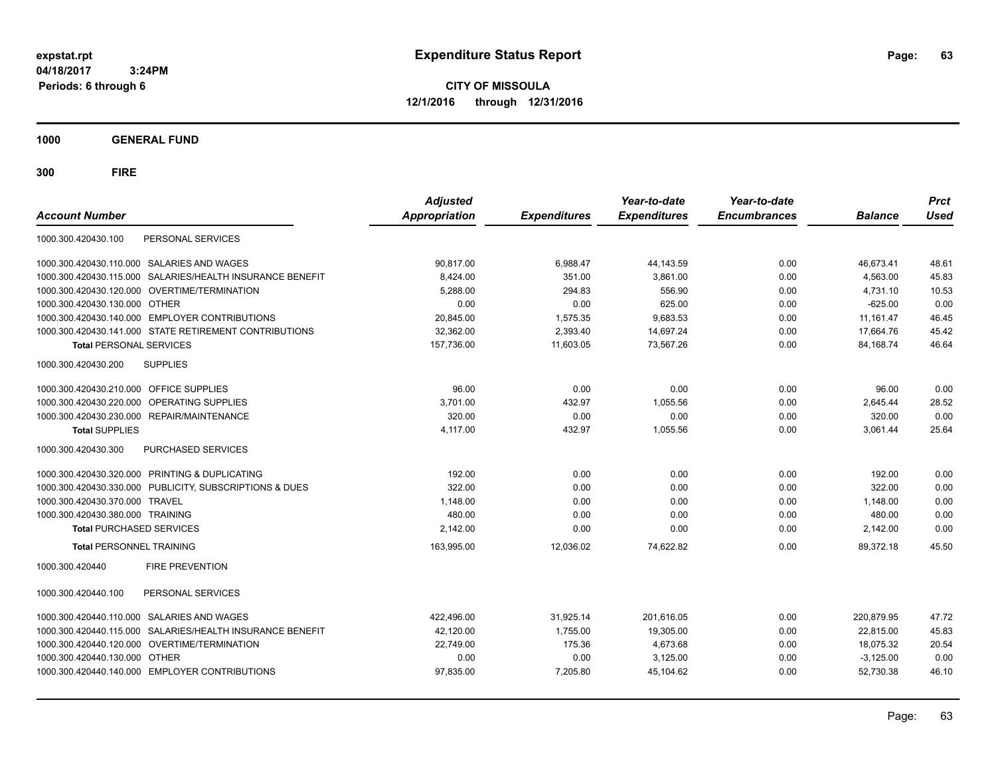**CITY OF MISSOULA 12/1/2016 through 12/31/2016**

**1000 GENERAL FUND**

| <b>Account Number</b>                          |                                                         | <b>Adjusted</b><br>Appropriation | <b>Expenditures</b> | Year-to-date<br><b>Expenditures</b> | Year-to-date<br><b>Encumbrances</b> | <b>Balance</b> | <b>Prct</b><br><b>Used</b> |
|------------------------------------------------|---------------------------------------------------------|----------------------------------|---------------------|-------------------------------------|-------------------------------------|----------------|----------------------------|
| 1000.300.420430.100                            | PERSONAL SERVICES                                       |                                  |                     |                                     |                                     |                |                            |
| 1000.300.420430.110.000                        | SALARIES AND WAGES                                      | 90,817.00                        | 6,988.47            | 44,143.59                           | 0.00                                | 46,673.41      | 48.61                      |
| 1000.300.420430.115.000                        | SALARIES/HEALTH INSURANCE BENEFIT                       | 8.424.00                         | 351.00              | 3.861.00                            | 0.00                                | 4.563.00       | 45.83                      |
| 1000.300.420430.120.000 OVERTIME/TERMINATION   |                                                         | 5,288.00                         | 294.83              | 556.90                              | 0.00                                | 4,731.10       | 10.53                      |
| 1000.300.420430.130.000 OTHER                  |                                                         | 0.00                             | 0.00                | 625.00                              | 0.00                                | $-625.00$      | 0.00                       |
| 1000.300.420430.140.000 EMPLOYER CONTRIBUTIONS |                                                         | 20,845.00                        | 1,575.35            | 9,683.53                            | 0.00                                | 11,161.47      | 46.45                      |
|                                                | 1000.300.420430.141.000 STATE RETIREMENT CONTRIBUTIONS  | 32,362.00                        | 2,393.40            | 14,697.24                           | 0.00                                | 17,664.76      | 45.42                      |
| <b>Total PERSONAL SERVICES</b>                 |                                                         | 157,736.00                       | 11,603.05           | 73,567.26                           | 0.00                                | 84,168.74      | 46.64                      |
| 1000.300.420430.200                            | <b>SUPPLIES</b>                                         |                                  |                     |                                     |                                     |                |                            |
| 1000.300.420430.210.000 OFFICE SUPPLIES        |                                                         | 96.00                            | 0.00                | 0.00                                | 0.00                                | 96.00          | 0.00                       |
| 1000.300.420430.220.000                        | OPERATING SUPPLIES                                      | 3,701.00                         | 432.97              | 1,055.56                            | 0.00                                | 2,645.44       | 28.52                      |
| 1000.300.420430.230.000                        | REPAIR/MAINTENANCE                                      | 320.00                           | 0.00                | 0.00                                | 0.00                                | 320.00         | 0.00                       |
| <b>Total SUPPLIES</b>                          |                                                         | 4,117.00                         | 432.97              | 1,055.56                            | 0.00                                | 3,061.44       | 25.64                      |
| 1000.300.420430.300                            | <b>PURCHASED SERVICES</b>                               |                                  |                     |                                     |                                     |                |                            |
| 1000.300.420430.320.000 PRINTING & DUPLICATING |                                                         | 192.00                           | 0.00                | 0.00                                | 0.00                                | 192.00         | 0.00                       |
|                                                | 1000.300.420430.330.000 PUBLICITY, SUBSCRIPTIONS & DUES | 322.00                           | 0.00                | 0.00                                | 0.00                                | 322.00         | 0.00                       |
| 1000.300.420430.370.000 TRAVEL                 |                                                         | 1,148.00                         | 0.00                | 0.00                                | 0.00                                | 1.148.00       | 0.00                       |
| 1000.300.420430.380.000 TRAINING               |                                                         | 480.00                           | 0.00                | 0.00                                | 0.00                                | 480.00         | 0.00                       |
| <b>Total PURCHASED SERVICES</b>                |                                                         | 2,142.00                         | 0.00                | 0.00                                | 0.00                                | 2,142.00       | 0.00                       |
| <b>Total PERSONNEL TRAINING</b>                |                                                         | 163,995.00                       | 12,036.02           | 74,622.82                           | 0.00                                | 89,372.18      | 45.50                      |
| 1000.300.420440                                | <b>FIRE PREVENTION</b>                                  |                                  |                     |                                     |                                     |                |                            |
| 1000.300.420440.100                            | PERSONAL SERVICES                                       |                                  |                     |                                     |                                     |                |                            |
| 1000.300.420440.110.000                        | <b>SALARIES AND WAGES</b>                               | 422,496.00                       | 31,925.14           | 201,616.05                          | 0.00                                | 220,879.95     | 47.72                      |
| 1000.300.420440.115.000                        | SALARIES/HEALTH INSURANCE BENEFIT                       | 42.120.00                        | 1.755.00            | 19.305.00                           | 0.00                                | 22.815.00      | 45.83                      |
| 1000.300.420440.120.000                        | OVERTIME/TERMINATION                                    | 22,749.00                        | 175.36              | 4,673.68                            | 0.00                                | 18,075.32      | 20.54                      |
| 1000.300.420440.130.000                        | <b>OTHER</b>                                            | 0.00                             | 0.00                | 3,125.00                            | 0.00                                | $-3,125.00$    | 0.00                       |
| 1000.300.420440.140.000 EMPLOYER CONTRIBUTIONS |                                                         | 97,835.00                        | 7.205.80            | 45,104.62                           | 0.00                                | 52,730.38      | 46.10                      |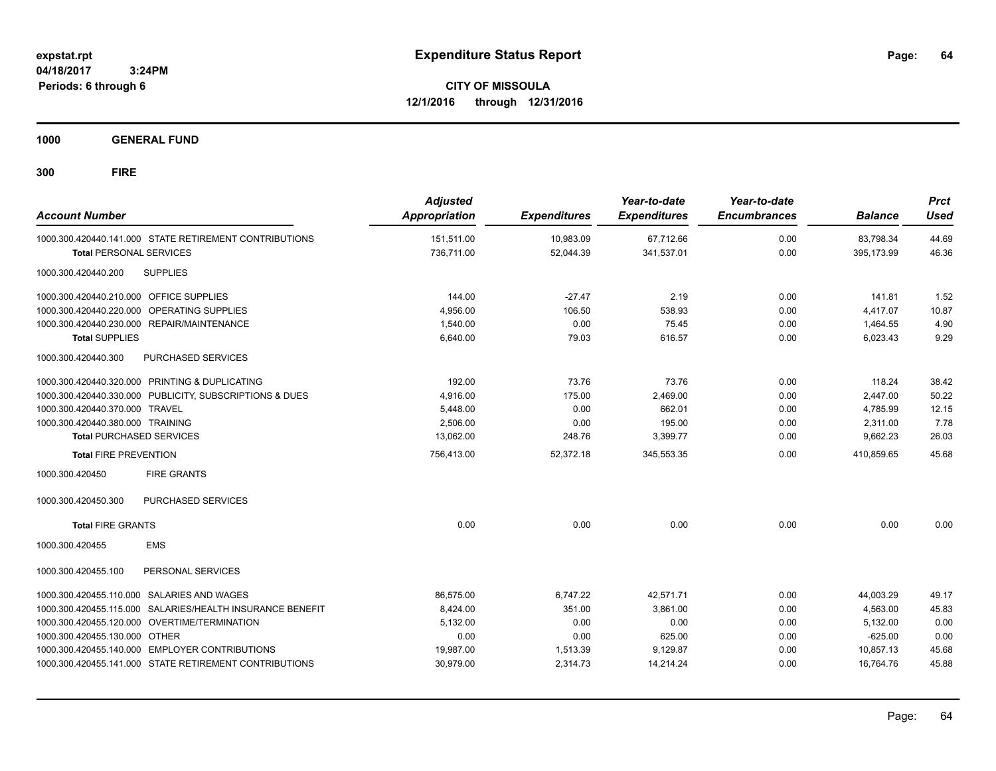**CITY OF MISSOULA 12/1/2016 through 12/31/2016**

**1000 GENERAL FUND**

| <b>Account Number</b>                                                                    | <b>Adjusted</b><br>Appropriation | <b>Expenditures</b>    | Year-to-date<br><b>Expenditures</b> | Year-to-date<br><b>Encumbrances</b> | <b>Balance</b>          | <b>Prct</b><br><b>Used</b> |
|------------------------------------------------------------------------------------------|----------------------------------|------------------------|-------------------------------------|-------------------------------------|-------------------------|----------------------------|
| 1000.300.420440.141.000 STATE RETIREMENT CONTRIBUTIONS<br><b>Total PERSONAL SERVICES</b> | 151,511.00<br>736,711.00         | 10,983.09<br>52,044.39 | 67,712.66<br>341,537.01             | 0.00<br>0.00                        | 83,798.34<br>395.173.99 | 44.69<br>46.36             |
| 1000.300.420440.200<br><b>SUPPLIES</b>                                                   |                                  |                        |                                     |                                     |                         |                            |
| 1000.300.420440.210.000 OFFICE SUPPLIES                                                  | 144.00                           | $-27.47$               | 2.19                                | 0.00                                | 141.81                  | 1.52                       |
| 1000.300.420440.220.000 OPERATING SUPPLIES                                               | 4,956.00                         | 106.50                 | 538.93                              | 0.00                                | 4,417.07                | 10.87                      |
| 1000.300.420440.230.000 REPAIR/MAINTENANCE                                               | 1,540.00                         | 0.00                   | 75.45                               | 0.00                                | 1.464.55                | 4.90                       |
| <b>Total SUPPLIES</b>                                                                    | 6,640.00                         | 79.03                  | 616.57                              | 0.00                                | 6,023.43                | 9.29                       |
| 1000.300.420440.300<br>PURCHASED SERVICES                                                |                                  |                        |                                     |                                     |                         |                            |
| 1000.300.420440.320.000 PRINTING & DUPLICATING                                           | 192.00                           | 73.76                  | 73.76                               | 0.00                                | 118.24                  | 38.42                      |
| 1000.300.420440.330.000 PUBLICITY, SUBSCRIPTIONS & DUES                                  | 4,916.00                         | 175.00                 | 2,469.00                            | 0.00                                | 2,447.00                | 50.22                      |
| 1000.300.420440.370.000 TRAVEL                                                           | 5,448.00                         | 0.00                   | 662.01                              | 0.00                                | 4,785.99                | 12.15                      |
| 1000.300.420440.380.000 TRAINING                                                         | 2.506.00                         | 0.00                   | 195.00                              | 0.00                                | 2.311.00                | 7.78                       |
| <b>Total PURCHASED SERVICES</b>                                                          | 13,062.00                        | 248.76                 | 3,399.77                            | 0.00                                | 9,662.23                | 26.03                      |
| <b>Total FIRE PREVENTION</b>                                                             | 756,413.00                       | 52,372.18              | 345,553.35                          | 0.00                                | 410,859.65              | 45.68                      |
| 1000.300.420450<br><b>FIRE GRANTS</b>                                                    |                                  |                        |                                     |                                     |                         |                            |
| 1000.300.420450.300<br>PURCHASED SERVICES                                                |                                  |                        |                                     |                                     |                         |                            |
| <b>Total FIRE GRANTS</b>                                                                 | 0.00                             | 0.00                   | 0.00                                | 0.00                                | 0.00                    | 0.00                       |
| 1000.300.420455<br><b>EMS</b>                                                            |                                  |                        |                                     |                                     |                         |                            |
| 1000.300.420455.100<br>PERSONAL SERVICES                                                 |                                  |                        |                                     |                                     |                         |                            |
| 1000.300.420455.110.000 SALARIES AND WAGES                                               | 86,575.00                        | 6,747.22               | 42,571.71                           | 0.00                                | 44,003.29               | 49.17                      |
| 1000.300.420455.115.000 SALARIES/HEALTH INSURANCE BENEFIT                                | 8,424.00                         | 351.00                 | 3,861.00                            | 0.00                                | 4,563.00                | 45.83                      |
| 1000.300.420455.120.000 OVERTIME/TERMINATION                                             | 5,132.00                         | 0.00                   | 0.00                                | 0.00                                | 5,132.00                | 0.00                       |
| 1000.300.420455.130.000 OTHER                                                            | 0.00                             | 0.00                   | 625.00                              | 0.00                                | $-625.00$               | 0.00                       |
| 1000.300.420455.140.000 EMPLOYER CONTRIBUTIONS                                           | 19,987.00                        | 1,513.39               | 9,129.87                            | 0.00                                | 10,857.13               | 45.68                      |
| 1000.300.420455.141.000 STATE RETIREMENT CONTRIBUTIONS                                   | 30,979.00                        | 2,314.73               | 14,214.24                           | 0.00                                | 16.764.76               | 45.88                      |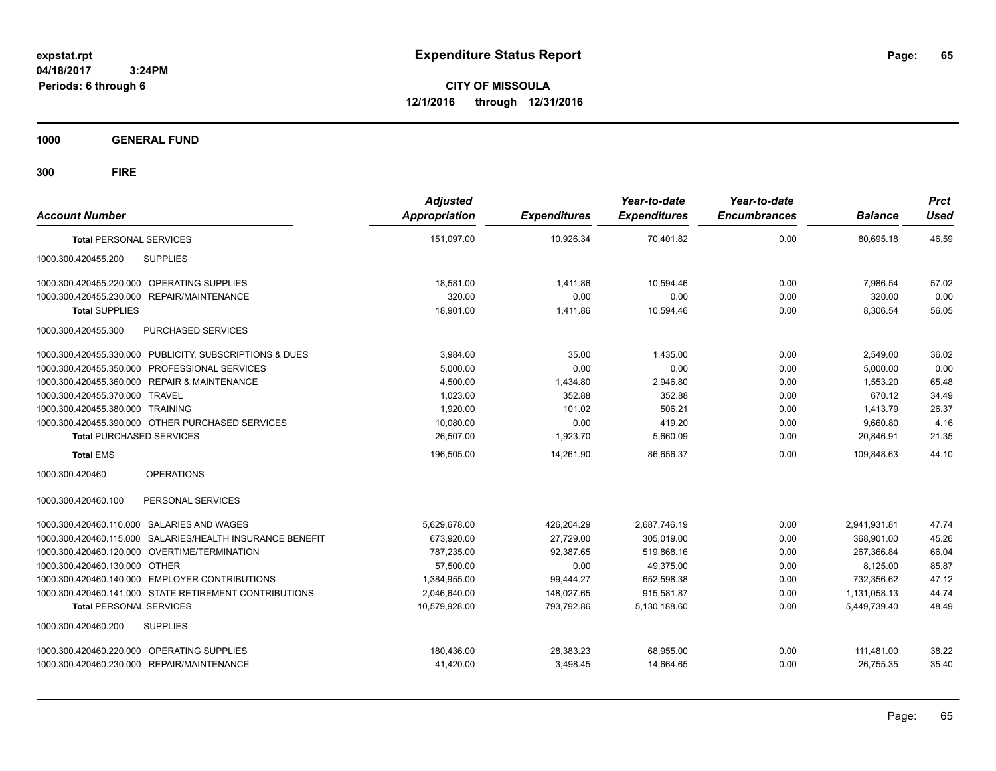**CITY OF MISSOULA 12/1/2016 through 12/31/2016**

**1000 GENERAL FUND**

| <b>Account Number</b>                                     | <b>Adjusted</b><br><b>Appropriation</b> | <b>Expenditures</b> | Year-to-date<br><b>Expenditures</b> | Year-to-date<br><b>Encumbrances</b> | <b>Balance</b> | <b>Prct</b><br><b>Used</b> |
|-----------------------------------------------------------|-----------------------------------------|---------------------|-------------------------------------|-------------------------------------|----------------|----------------------------|
| <b>Total PERSONAL SERVICES</b>                            | 151,097.00                              | 10,926.34           | 70,401.82                           | 0.00                                | 80,695.18      | 46.59                      |
| <b>SUPPLIES</b><br>1000.300.420455.200                    |                                         |                     |                                     |                                     |                |                            |
| 1000.300.420455.220.000 OPERATING SUPPLIES                | 18.581.00                               | 1.411.86            | 10.594.46                           | 0.00                                | 7.986.54       | 57.02                      |
| 1000.300.420455.230.000 REPAIR/MAINTENANCE                | 320.00                                  | 0.00                | 0.00                                | 0.00                                | 320.00         | 0.00                       |
| <b>Total SUPPLIES</b>                                     | 18,901.00                               | 1,411.86            | 10,594.46                           | 0.00                                | 8,306.54       | 56.05                      |
| 1000.300.420455.300<br>PURCHASED SERVICES                 |                                         |                     |                                     |                                     |                |                            |
| 1000.300.420455.330.000 PUBLICITY, SUBSCRIPTIONS & DUES   | 3,984.00                                | 35.00               | 1.435.00                            | 0.00                                | 2,549.00       | 36.02                      |
| 1000.300.420455.350.000 PROFESSIONAL SERVICES             | 5,000.00                                | 0.00                | 0.00                                | 0.00                                | 5,000.00       | 0.00                       |
| 1000.300.420455.360.000 REPAIR & MAINTENANCE              | 4,500.00                                | 1,434.80            | 2,946.80                            | 0.00                                | 1,553.20       | 65.48                      |
| 1000.300.420455.370.000 TRAVEL                            | 1,023.00                                | 352.88              | 352.88                              | 0.00                                | 670.12         | 34.49                      |
| 1000.300.420455.380.000 TRAINING                          | 1.920.00                                | 101.02              | 506.21                              | 0.00                                | 1,413.79       | 26.37                      |
| 1000.300.420455.390.000 OTHER PURCHASED SERVICES          | 10.080.00                               | 0.00                | 419.20                              | 0.00                                | 9,660.80       | 4.16                       |
| <b>Total PURCHASED SERVICES</b>                           | 26,507.00                               | 1,923.70            | 5,660.09                            | 0.00                                | 20,846.91      | 21.35                      |
| <b>Total EMS</b>                                          | 196,505.00                              | 14,261.90           | 86,656.37                           | 0.00                                | 109,848.63     | 44.10                      |
| <b>OPERATIONS</b><br>1000.300.420460                      |                                         |                     |                                     |                                     |                |                            |
| 1000.300.420460.100<br>PERSONAL SERVICES                  |                                         |                     |                                     |                                     |                |                            |
| 1000.300.420460.110.000 SALARIES AND WAGES                | 5,629,678.00                            | 426,204.29          | 2,687,746.19                        | 0.00                                | 2,941,931.81   | 47.74                      |
| 1000.300.420460.115.000 SALARIES/HEALTH INSURANCE BENEFIT | 673,920.00                              | 27,729.00           | 305,019.00                          | 0.00                                | 368,901.00     | 45.26                      |
| 1000.300.420460.120.000 OVERTIME/TERMINATION              | 787,235.00                              | 92,387.65           | 519,868.16                          | 0.00                                | 267,366.84     | 66.04                      |
| 1000.300.420460.130.000 OTHER                             | 57.500.00                               | 0.00                | 49,375.00                           | 0.00                                | 8,125.00       | 85.87                      |
| 1000.300.420460.140.000 EMPLOYER CONTRIBUTIONS            | 1.384.955.00                            | 99.444.27           | 652.598.38                          | 0.00                                | 732.356.62     | 47.12                      |
| 1000.300.420460.141.000 STATE RETIREMENT CONTRIBUTIONS    | 2,046,640.00                            | 148.027.65          | 915.581.87                          | 0.00                                | 1.131.058.13   | 44.74                      |
| <b>Total PERSONAL SERVICES</b>                            | 10,579,928.00                           | 793,792.86          | 5,130,188.60                        | 0.00                                | 5,449,739.40   | 48.49                      |
| 1000.300.420460.200<br><b>SUPPLIES</b>                    |                                         |                     |                                     |                                     |                |                            |
| 1000.300.420460.220.000 OPERATING SUPPLIES                | 180,436.00                              | 28,383.23           | 68,955.00                           | 0.00                                | 111,481.00     | 38.22                      |
| 1000.300.420460.230.000 REPAIR/MAINTENANCE                | 41,420.00                               | 3.498.45            | 14.664.65                           | 0.00                                | 26.755.35      | 35.40                      |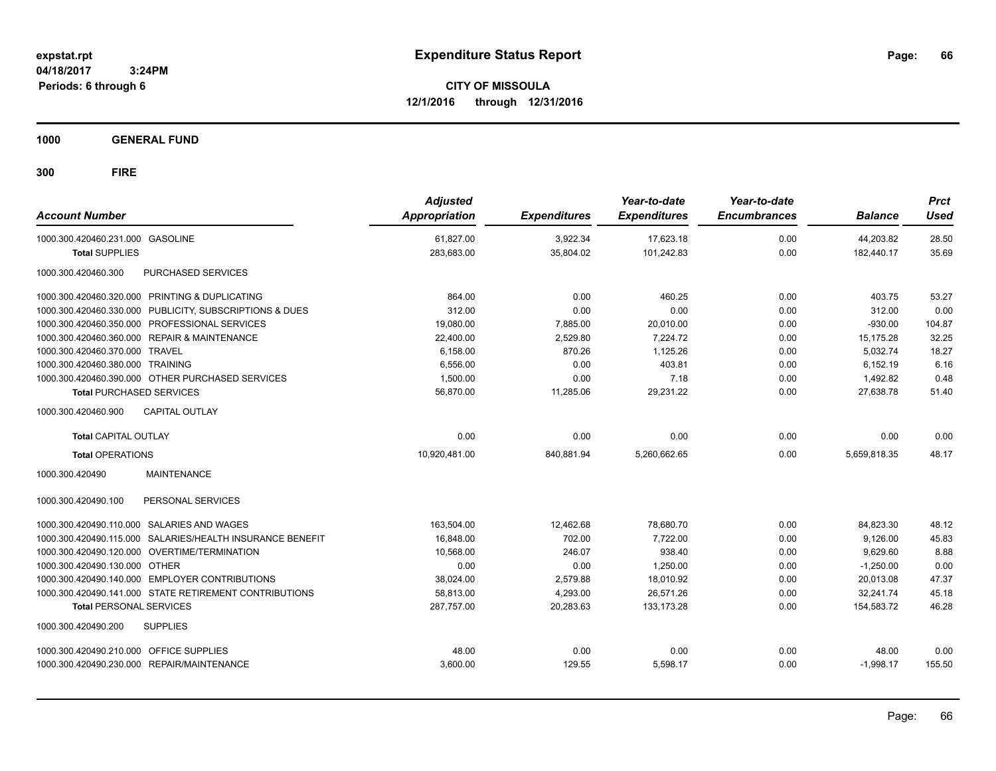**CITY OF MISSOULA 12/1/2016 through 12/31/2016**

**1000 GENERAL FUND**

| <b>Account Number</b>                                        | <b>Adjusted</b><br>Appropriation | <b>Expenditures</b> | Year-to-date<br><b>Expenditures</b> | Year-to-date<br><b>Encumbrances</b> | <b>Balance</b> | <b>Prct</b><br><b>Used</b> |
|--------------------------------------------------------------|----------------------------------|---------------------|-------------------------------------|-------------------------------------|----------------|----------------------------|
| 1000.300.420460.231.000 GASOLINE                             | 61,827.00                        | 3,922.34            | 17,623.18                           | 0.00                                | 44,203.82      | 28.50                      |
| <b>Total SUPPLIES</b>                                        | 283,683.00                       | 35,804.02           | 101,242.83                          | 0.00                                | 182,440.17     | 35.69                      |
| 1000.300.420460.300<br><b>PURCHASED SERVICES</b>             |                                  |                     |                                     |                                     |                |                            |
| 1000.300.420460.320.000 PRINTING & DUPLICATING               | 864.00                           | 0.00                | 460.25                              | 0.00                                | 403.75         | 53.27                      |
| 1000.300.420460.330.000 PUBLICITY, SUBSCRIPTIONS & DUES      | 312.00                           | 0.00                | 0.00                                | 0.00                                | 312.00         | 0.00                       |
| 1000.300.420460.350.000 PROFESSIONAL SERVICES                | 19,080.00                        | 7,885.00            | 20,010.00                           | 0.00                                | $-930.00$      | 104.87                     |
| 1000.300.420460.360.000 REPAIR & MAINTENANCE                 | 22,400.00                        | 2,529.80            | 7,224.72                            | 0.00                                | 15,175.28      | 32.25                      |
| 1000.300.420460.370.000 TRAVEL                               | 6,158.00                         | 870.26              | 1.125.26                            | 0.00                                | 5,032.74       | 18.27                      |
| 1000.300.420460.380.000 TRAINING                             | 6,556.00                         | 0.00                | 403.81                              | 0.00                                | 6,152.19       | 6.16                       |
| 1000.300.420460.390.000 OTHER PURCHASED SERVICES             | 1,500.00                         | 0.00                | 7.18                                | 0.00                                | 1,492.82       | 0.48                       |
| <b>Total PURCHASED SERVICES</b>                              | 56,870.00                        | 11,285.06           | 29,231.22                           | 0.00                                | 27,638.78      | 51.40                      |
| <b>CAPITAL OUTLAY</b><br>1000.300.420460.900                 |                                  |                     |                                     |                                     |                |                            |
| <b>Total CAPITAL OUTLAY</b>                                  | 0.00                             | 0.00                | 0.00                                | 0.00                                | 0.00           | 0.00                       |
| <b>Total OPERATIONS</b>                                      | 10,920,481.00                    | 840,881.94          | 5,260,662.65                        | 0.00                                | 5,659,818.35   | 48.17                      |
| <b>MAINTENANCE</b><br>1000.300.420490                        |                                  |                     |                                     |                                     |                |                            |
| 1000.300.420490.100<br>PERSONAL SERVICES                     |                                  |                     |                                     |                                     |                |                            |
| 1000.300.420490.110.000 SALARIES AND WAGES                   | 163,504.00                       | 12,462.68           | 78,680.70                           | 0.00                                | 84,823.30      | 48.12                      |
| SALARIES/HEALTH INSURANCE BENEFIT<br>1000.300.420490.115.000 | 16,848.00                        | 702.00              | 7.722.00                            | 0.00                                | 9.126.00       | 45.83                      |
| 1000.300.420490.120.000 OVERTIME/TERMINATION                 | 10.568.00                        | 246.07              | 938.40                              | 0.00                                | 9.629.60       | 8.88                       |
| 1000.300.420490.130.000 OTHER                                | 0.00                             | 0.00                | 1,250.00                            | 0.00                                | $-1,250.00$    | 0.00                       |
| 1000.300.420490.140.000 EMPLOYER CONTRIBUTIONS               | 38,024.00                        | 2,579.88            | 18,010.92                           | 0.00                                | 20,013.08      | 47.37                      |
| 1000.300.420490.141.000 STATE RETIREMENT CONTRIBUTIONS       | 58,813.00                        | 4,293.00            | 26,571.26                           | 0.00                                | 32.241.74      | 45.18                      |
| <b>Total PERSONAL SERVICES</b>                               | 287,757.00                       | 20,283.63           | 133,173.28                          | 0.00                                | 154,583.72     | 46.28                      |
| 1000.300.420490.200<br><b>SUPPLIES</b>                       |                                  |                     |                                     |                                     |                |                            |
| 1000.300.420490.210.000 OFFICE SUPPLIES                      | 48.00                            | 0.00                | 0.00                                | 0.00                                | 48.00          | 0.00                       |
| 1000.300.420490.230.000 REPAIR/MAINTENANCE                   | 3,600.00                         | 129.55              | 5,598.17                            | 0.00                                | $-1,998.17$    | 155.50                     |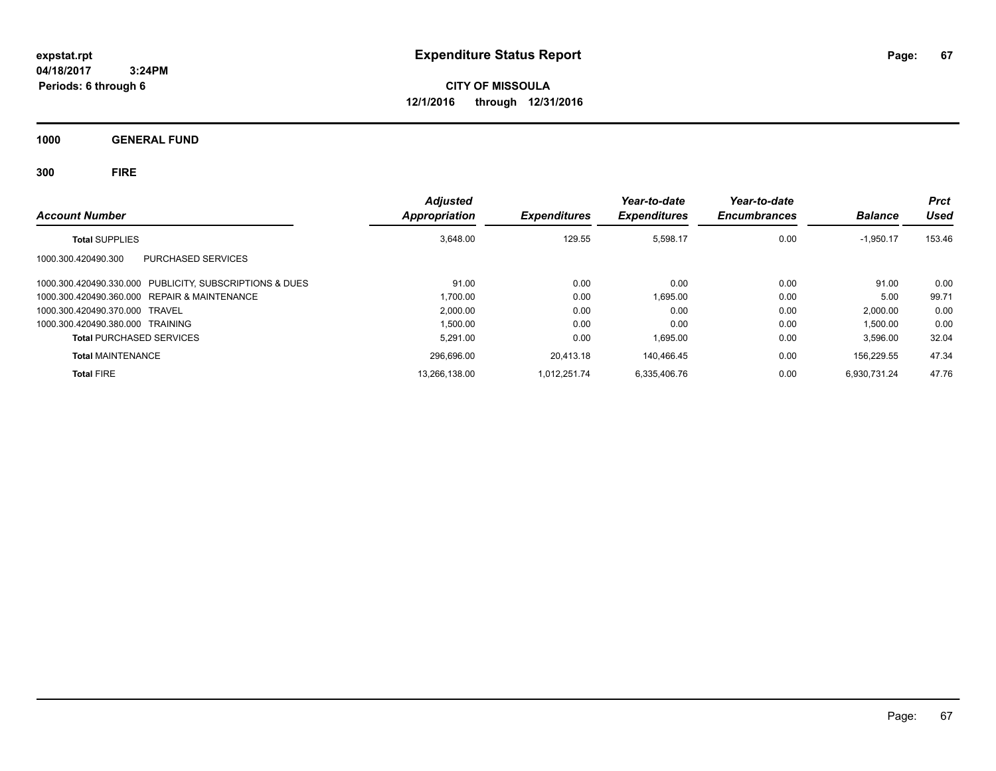**CITY OF MISSOULA 12/1/2016 through 12/31/2016**

**1000 GENERAL FUND**

| <b>Account Number</b>                                   | <b>Adjusted</b><br>Appropriation | <b>Expenditures</b> | Year-to-date<br><b>Expenditures</b> | Year-to-date<br><b>Encumbrances</b> | <b>Balance</b> | <b>Prct</b><br>Used |
|---------------------------------------------------------|----------------------------------|---------------------|-------------------------------------|-------------------------------------|----------------|---------------------|
| <b>Total SUPPLIES</b>                                   | 3,648.00                         | 129.55              | 5,598.17                            | 0.00                                | $-1,950.17$    | 153.46              |
| PURCHASED SERVICES<br>1000.300.420490.300               |                                  |                     |                                     |                                     |                |                     |
| 1000.300.420490.330.000 PUBLICITY, SUBSCRIPTIONS & DUES | 91.00                            | 0.00                | 0.00                                | 0.00                                | 91.00          | 0.00                |
| 1000.300.420490.360.000 REPAIR & MAINTENANCE            | 1.700.00                         | 0.00                | 1.695.00                            | 0.00                                | 5.00           | 99.71               |
| 1000.300.420490.370.000 TRAVEL                          | 2.000.00                         | 0.00                | 0.00                                | 0.00                                | 2.000.00       | 0.00                |
| 1000.300.420490.380.000 TRAINING                        | 1.500.00                         | 0.00                | 0.00                                | 0.00                                | 1,500.00       | 0.00                |
| <b>Total PURCHASED SERVICES</b>                         | 5.291.00                         | 0.00                | 1.695.00                            | 0.00                                | 3,596.00       | 32.04               |
| <b>Total MAINTENANCE</b>                                | 296.696.00                       | 20.413.18           | 140.466.45                          | 0.00                                | 156.229.55     | 47.34               |
| <b>Total FIRE</b>                                       | 13.266.138.00                    | 1.012.251.74        | 6.335.406.76                        | 0.00                                | 6.930.731.24   | 47.76               |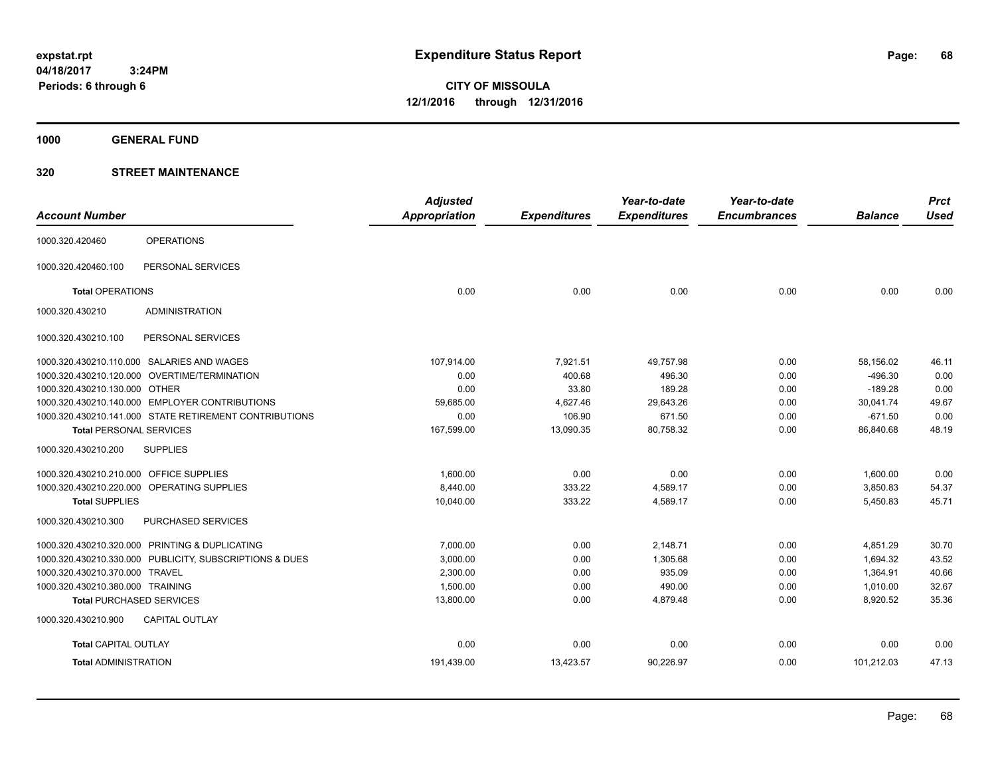**CITY OF MISSOULA 12/1/2016 through 12/31/2016**

**1000 GENERAL FUND**

| <b>Account Number</b>                   |                                                         | <b>Adjusted</b><br>Appropriation | <b>Expenditures</b> | Year-to-date<br><b>Expenditures</b> | Year-to-date<br><b>Encumbrances</b> | <b>Balance</b> | <b>Prct</b><br><b>Used</b> |
|-----------------------------------------|---------------------------------------------------------|----------------------------------|---------------------|-------------------------------------|-------------------------------------|----------------|----------------------------|
|                                         |                                                         |                                  |                     |                                     |                                     |                |                            |
| 1000.320.420460                         | <b>OPERATIONS</b>                                       |                                  |                     |                                     |                                     |                |                            |
| 1000.320.420460.100                     | PERSONAL SERVICES                                       |                                  |                     |                                     |                                     |                |                            |
| <b>Total OPERATIONS</b>                 |                                                         | 0.00                             | 0.00                | 0.00                                | 0.00                                | 0.00           | 0.00                       |
| 1000.320.430210                         | <b>ADMINISTRATION</b>                                   |                                  |                     |                                     |                                     |                |                            |
| 1000.320.430210.100                     | PERSONAL SERVICES                                       |                                  |                     |                                     |                                     |                |                            |
|                                         | 1000.320.430210.110.000 SALARIES AND WAGES              | 107,914.00                       | 7,921.51            | 49,757.98                           | 0.00                                | 58,156.02      | 46.11                      |
|                                         | 1000.320.430210.120.000 OVERTIME/TERMINATION            | 0.00                             | 400.68              | 496.30                              | 0.00                                | $-496.30$      | 0.00                       |
| 1000.320.430210.130.000 OTHER           |                                                         | 0.00                             | 33.80               | 189.28                              | 0.00                                | $-189.28$      | 0.00                       |
|                                         | 1000.320.430210.140.000 EMPLOYER CONTRIBUTIONS          | 59,685.00                        | 4,627.46            | 29,643.26                           | 0.00                                | 30,041.74      | 49.67                      |
|                                         | 1000.320.430210.141.000 STATE RETIREMENT CONTRIBUTIONS  | 0.00                             | 106.90              | 671.50                              | 0.00                                | $-671.50$      | 0.00                       |
| <b>Total PERSONAL SERVICES</b>          |                                                         | 167,599.00                       | 13,090.35           | 80,758.32                           | 0.00                                | 86,840.68      | 48.19                      |
| 1000.320.430210.200                     | <b>SUPPLIES</b>                                         |                                  |                     |                                     |                                     |                |                            |
| 1000.320.430210.210.000 OFFICE SUPPLIES |                                                         | 1,600.00                         | 0.00                | 0.00                                | 0.00                                | 1,600.00       | 0.00                       |
|                                         | 1000.320.430210.220.000 OPERATING SUPPLIES              | 8,440.00                         | 333.22              | 4,589.17                            | 0.00                                | 3,850.83       | 54.37                      |
| <b>Total SUPPLIES</b>                   |                                                         | 10,040.00                        | 333.22              | 4,589.17                            | 0.00                                | 5,450.83       | 45.71                      |
| 1000.320.430210.300                     | PURCHASED SERVICES                                      |                                  |                     |                                     |                                     |                |                            |
|                                         | 1000.320.430210.320.000 PRINTING & DUPLICATING          | 7,000.00                         | 0.00                | 2,148.71                            | 0.00                                | 4,851.29       | 30.70                      |
|                                         | 1000.320.430210.330.000 PUBLICITY, SUBSCRIPTIONS & DUES | 3,000.00                         | 0.00                | 1,305.68                            | 0.00                                | 1,694.32       | 43.52                      |
| 1000.320.430210.370.000 TRAVEL          |                                                         | 2,300.00                         | 0.00                | 935.09                              | 0.00                                | 1,364.91       | 40.66                      |
| 1000.320.430210.380.000 TRAINING        |                                                         | 1,500.00                         | 0.00                | 490.00                              | 0.00                                | 1,010.00       | 32.67                      |
|                                         | <b>Total PURCHASED SERVICES</b>                         | 13,800.00                        | 0.00                | 4,879.48                            | 0.00                                | 8,920.52       | 35.36                      |
| 1000.320.430210.900                     | <b>CAPITAL OUTLAY</b>                                   |                                  |                     |                                     |                                     |                |                            |
| <b>Total CAPITAL OUTLAY</b>             |                                                         | 0.00                             | 0.00                | 0.00                                | 0.00                                | 0.00           | 0.00                       |
| <b>Total ADMINISTRATION</b>             |                                                         | 191,439.00                       | 13,423.57           | 90,226.97                           | 0.00                                | 101,212.03     | 47.13                      |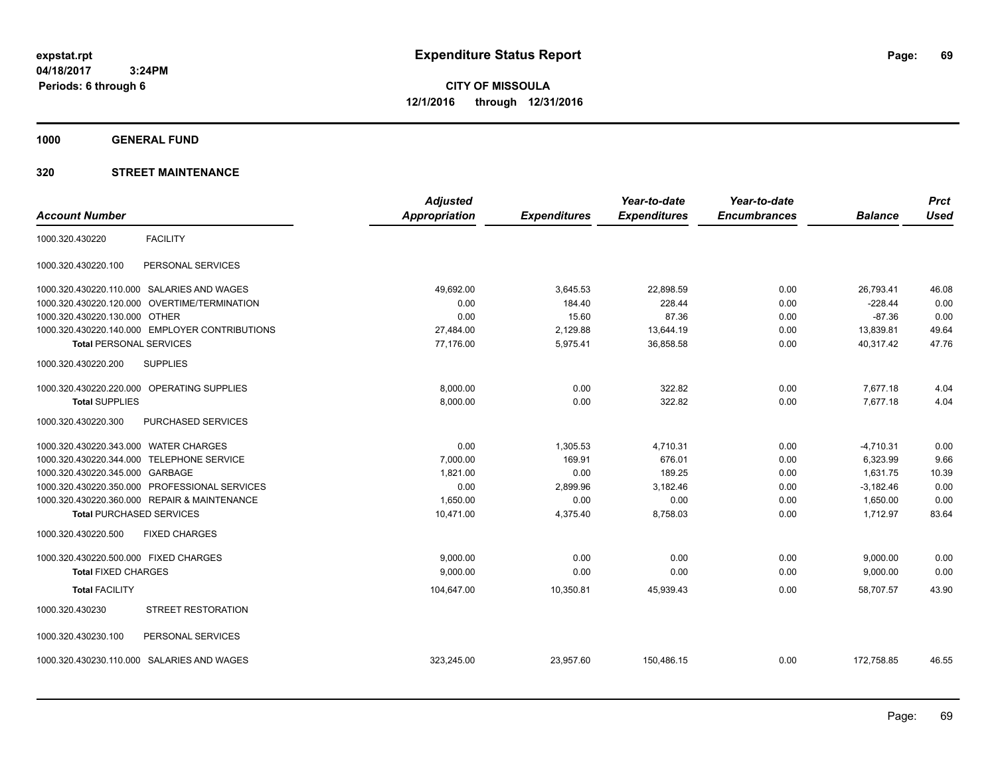**CITY OF MISSOULA 12/1/2016 through 12/31/2016**

**1000 GENERAL FUND**

|                                       |                                                | <b>Adjusted</b> |                     | Year-to-date        | Year-to-date        |                | <b>Prct</b> |
|---------------------------------------|------------------------------------------------|-----------------|---------------------|---------------------|---------------------|----------------|-------------|
| <b>Account Number</b>                 |                                                | Appropriation   | <b>Expenditures</b> | <b>Expenditures</b> | <b>Encumbrances</b> | <b>Balance</b> | <b>Used</b> |
| 1000.320.430220                       | <b>FACILITY</b>                                |                 |                     |                     |                     |                |             |
| 1000.320.430220.100                   | PERSONAL SERVICES                              |                 |                     |                     |                     |                |             |
|                                       | 1000.320.430220.110.000 SALARIES AND WAGES     | 49,692.00       | 3,645.53            | 22,898.59           | 0.00                | 26,793.41      | 46.08       |
| 1000.320.430220.120.000               | OVERTIME/TERMINATION                           | 0.00            | 184.40              | 228.44              | 0.00                | $-228.44$      | 0.00        |
| 1000.320.430220.130.000 OTHER         |                                                | 0.00            | 15.60               | 87.36               | 0.00                | $-87.36$       | 0.00        |
|                                       | 1000.320.430220.140.000 EMPLOYER CONTRIBUTIONS | 27,484.00       | 2,129.88            | 13,644.19           | 0.00                | 13,839.81      | 49.64       |
| <b>Total PERSONAL SERVICES</b>        |                                                | 77,176.00       | 5,975.41            | 36,858.58           | 0.00                | 40,317.42      | 47.76       |
| 1000.320.430220.200                   | <b>SUPPLIES</b>                                |                 |                     |                     |                     |                |             |
| 1000.320.430220.220.000               | OPERATING SUPPLIES                             | 8,000.00        | 0.00                | 322.82              | 0.00                | 7,677.18       | 4.04        |
| <b>Total SUPPLIES</b>                 |                                                | 8,000.00        | 0.00                | 322.82              | 0.00                | 7,677.18       | 4.04        |
| 1000.320.430220.300                   | PURCHASED SERVICES                             |                 |                     |                     |                     |                |             |
| 1000.320.430220.343.000 WATER CHARGES |                                                | 0.00            | 1,305.53            | 4,710.31            | 0.00                | $-4,710.31$    | 0.00        |
| 1000.320.430220.344.000               | <b>TELEPHONE SERVICE</b>                       | 7,000.00        | 169.91              | 676.01              | 0.00                | 6,323.99       | 9.66        |
| 1000.320.430220.345.000 GARBAGE       |                                                | 1,821.00        | 0.00                | 189.25              | 0.00                | 1,631.75       | 10.39       |
| 1000.320.430220.350.000               | PROFESSIONAL SERVICES                          | 0.00            | 2,899.96            | 3,182.46            | 0.00                | $-3,182.46$    | 0.00        |
|                                       | 1000.320.430220.360.000 REPAIR & MAINTENANCE   | 1.650.00        | 0.00                | 0.00                | 0.00                | 1,650.00       | 0.00        |
| <b>Total PURCHASED SERVICES</b>       |                                                | 10,471.00       | 4,375.40            | 8,758.03            | 0.00                | 1,712.97       | 83.64       |
| 1000.320.430220.500                   | <b>FIXED CHARGES</b>                           |                 |                     |                     |                     |                |             |
| 1000.320.430220.500.000 FIXED CHARGES |                                                | 9.000.00        | 0.00                | 0.00                | 0.00                | 9,000.00       | 0.00        |
| <b>Total FIXED CHARGES</b>            |                                                | 9,000.00        | 0.00                | 0.00                | 0.00                | 9,000.00       | 0.00        |
| <b>Total FACILITY</b>                 |                                                | 104,647.00      | 10,350.81           | 45,939.43           | 0.00                | 58.707.57      | 43.90       |
| 1000.320.430230                       | STREET RESTORATION                             |                 |                     |                     |                     |                |             |
| 1000.320.430230.100                   | PERSONAL SERVICES                              |                 |                     |                     |                     |                |             |
|                                       | 1000.320.430230.110.000 SALARIES AND WAGES     | 323.245.00      | 23,957.60           | 150,486.15          | 0.00                | 172,758.85     | 46.55       |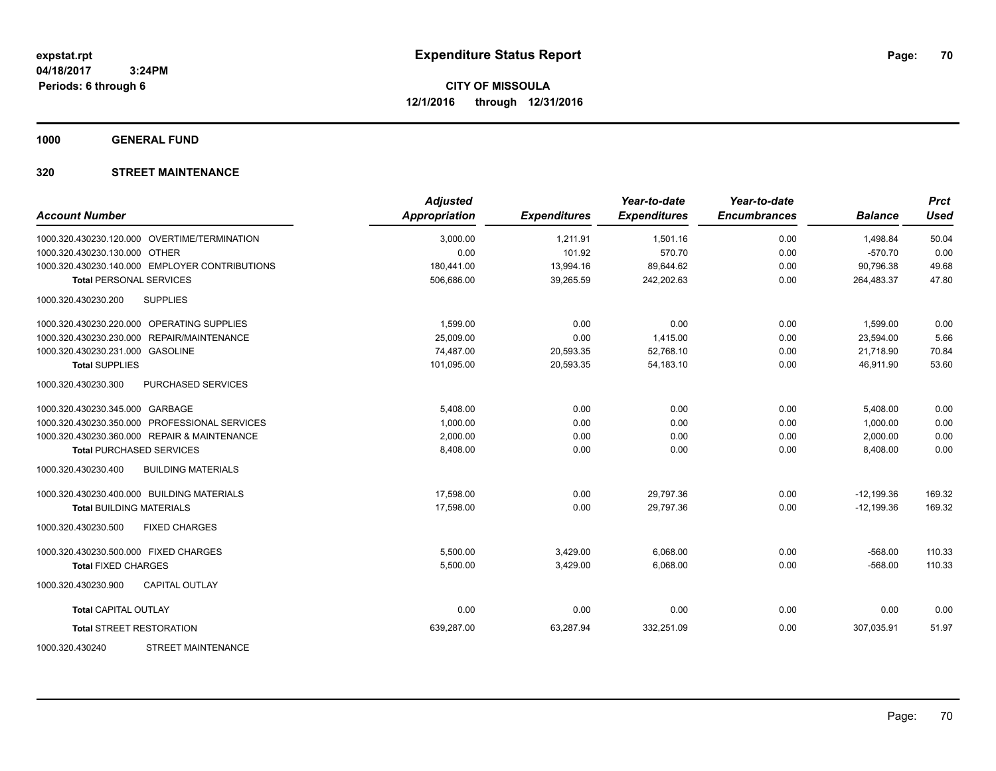**1000 GENERAL FUND**

| <b>Account Number</b>                            | <b>Adjusted</b><br><b>Appropriation</b> | <b>Expenditures</b> | Year-to-date<br><b>Expenditures</b> | Year-to-date<br><b>Encumbrances</b> | <b>Balance</b> | <b>Prct</b><br><b>Used</b> |
|--------------------------------------------------|-----------------------------------------|---------------------|-------------------------------------|-------------------------------------|----------------|----------------------------|
| 1000.320.430230.120.000 OVERTIME/TERMINATION     | 3,000.00                                | 1,211.91            | 1,501.16                            | 0.00                                | 1,498.84       | 50.04                      |
| 1000.320.430230.130.000 OTHER                    | 0.00                                    | 101.92              | 570.70                              | 0.00                                | $-570.70$      | 0.00                       |
| 1000.320.430230.140.000 EMPLOYER CONTRIBUTIONS   | 180,441.00                              | 13,994.16           | 89,644.62                           | 0.00                                | 90,796.38      | 49.68                      |
| <b>Total PERSONAL SERVICES</b>                   | 506,686.00                              | 39,265.59           | 242,202.63                          | 0.00                                | 264,483.37     | 47.80                      |
| 1000.320.430230.200<br><b>SUPPLIES</b>           |                                         |                     |                                     |                                     |                |                            |
| 1000.320.430230.220.000 OPERATING SUPPLIES       | 1,599.00                                | 0.00                | 0.00                                | 0.00                                | 1,599.00       | 0.00                       |
| 1000.320.430230.230.000 REPAIR/MAINTENANCE       | 25,009.00                               | 0.00                | 1,415.00                            | 0.00                                | 23,594.00      | 5.66                       |
| 1000.320.430230.231.000 GASOLINE                 | 74,487.00                               | 20,593.35           | 52,768.10                           | 0.00                                | 21,718.90      | 70.84                      |
| <b>Total SUPPLIES</b>                            | 101,095.00                              | 20,593.35           | 54, 183. 10                         | 0.00                                | 46.911.90      | 53.60                      |
| 1000.320.430230.300<br>PURCHASED SERVICES        |                                         |                     |                                     |                                     |                |                            |
| 1000.320.430230.345.000 GARBAGE                  | 5,408.00                                | 0.00                | 0.00                                | 0.00                                | 5,408.00       | 0.00                       |
| 1000.320.430230.350.000 PROFESSIONAL SERVICES    | 1,000.00                                | 0.00                | 0.00                                | 0.00                                | 1,000.00       | 0.00                       |
| 1000.320.430230.360.000 REPAIR & MAINTENANCE     | 2,000.00                                | 0.00                | 0.00                                | 0.00                                | 2,000.00       | 0.00                       |
| <b>Total PURCHASED SERVICES</b>                  | 8,408.00                                | 0.00                | 0.00                                | 0.00                                | 8,408.00       | 0.00                       |
| 1000.320.430230.400<br><b>BUILDING MATERIALS</b> |                                         |                     |                                     |                                     |                |                            |
| 1000.320.430230.400.000 BUILDING MATERIALS       | 17,598.00                               | 0.00                | 29,797.36                           | 0.00                                | $-12,199.36$   | 169.32                     |
| <b>Total BUILDING MATERIALS</b>                  | 17,598.00                               | 0.00                | 29,797.36                           | 0.00                                | $-12,199.36$   | 169.32                     |
| 1000.320.430230.500<br><b>FIXED CHARGES</b>      |                                         |                     |                                     |                                     |                |                            |
| 1000.320.430230.500.000 FIXED CHARGES            | 5,500.00                                | 3,429.00            | 6,068.00                            | 0.00                                | $-568.00$      | 110.33                     |
| <b>Total FIXED CHARGES</b>                       | 5,500.00                                | 3,429.00            | 6,068.00                            | 0.00                                | $-568.00$      | 110.33                     |
| <b>CAPITAL OUTLAY</b><br>1000.320.430230.900     |                                         |                     |                                     |                                     |                |                            |
| <b>Total CAPITAL OUTLAY</b>                      | 0.00                                    | 0.00                | 0.00                                | 0.00                                | 0.00           | 0.00                       |
| <b>Total STREET RESTORATION</b>                  | 639,287.00                              | 63,287.94           | 332,251.09                          | 0.00                                | 307.035.91     | 51.97                      |
| <b>STREET MAINTENANCE</b><br>1000.320.430240     |                                         |                     |                                     |                                     |                |                            |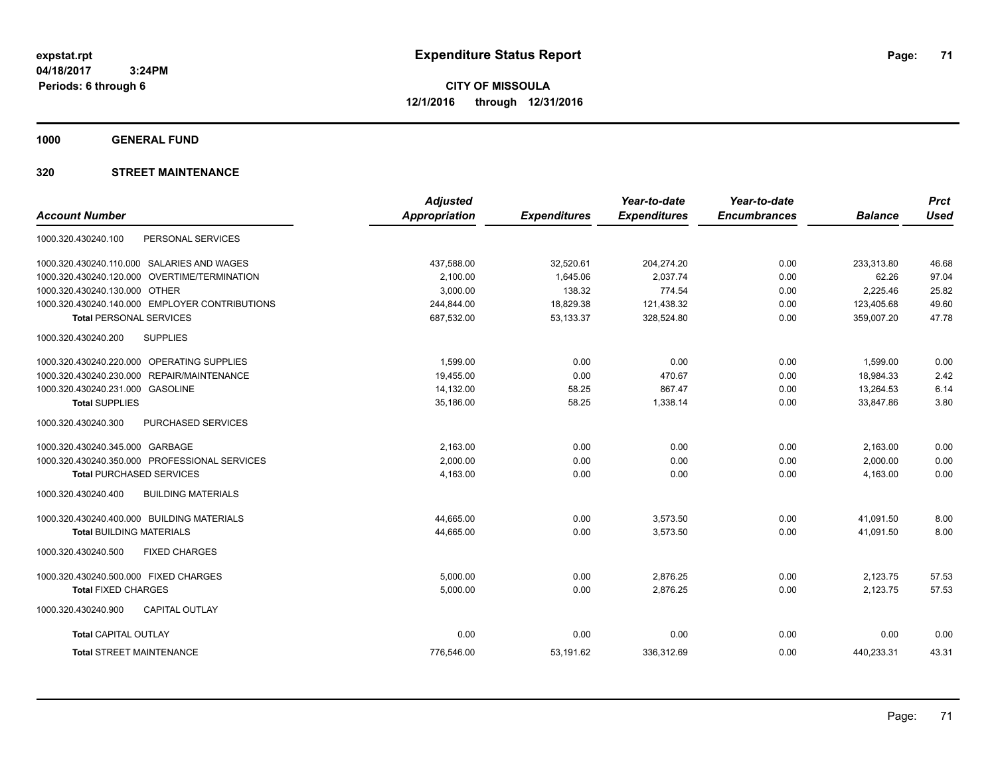**CITY OF MISSOULA 12/1/2016 through 12/31/2016**

**1000 GENERAL FUND**

|                                                  | <b>Adjusted</b>      |                     | Year-to-date        | Year-to-date        |                | <b>Prct</b> |
|--------------------------------------------------|----------------------|---------------------|---------------------|---------------------|----------------|-------------|
| <b>Account Number</b>                            | <b>Appropriation</b> | <b>Expenditures</b> | <b>Expenditures</b> | <b>Encumbrances</b> | <b>Balance</b> | <b>Used</b> |
| PERSONAL SERVICES<br>1000.320.430240.100         |                      |                     |                     |                     |                |             |
| 1000.320.430240.110.000 SALARIES AND WAGES       | 437,588.00           | 32,520.61           | 204,274.20          | 0.00                | 233,313.80     | 46.68       |
| OVERTIME/TERMINATION<br>1000.320.430240.120.000  | 2,100.00             | 1,645.06            | 2,037.74            | 0.00                | 62.26          | 97.04       |
| 1000.320.430240.130.000 OTHER                    | 3,000.00             | 138.32              | 774.54              | 0.00                | 2,225.46       | 25.82       |
| 1000.320.430240.140.000 EMPLOYER CONTRIBUTIONS   | 244,844.00           | 18,829.38           | 121,438.32          | 0.00                | 123,405.68     | 49.60       |
| <b>Total PERSONAL SERVICES</b>                   | 687,532.00           | 53,133.37           | 328,524.80          | 0.00                | 359,007.20     | 47.78       |
| 1000.320.430240.200<br><b>SUPPLIES</b>           |                      |                     |                     |                     |                |             |
| 1000.320.430240.220.000 OPERATING SUPPLIES       | 1,599.00             | 0.00                | 0.00                | 0.00                | 1,599.00       | 0.00        |
| 1000.320.430240.230.000 REPAIR/MAINTENANCE       | 19,455.00            | 0.00                | 470.67              | 0.00                | 18,984.33      | 2.42        |
| 1000.320.430240.231.000 GASOLINE                 | 14,132.00            | 58.25               | 867.47              | 0.00                | 13,264.53      | 6.14        |
| <b>Total SUPPLIES</b>                            | 35,186.00            | 58.25               | 1,338.14            | 0.00                | 33,847.86      | 3.80        |
| <b>PURCHASED SERVICES</b><br>1000.320.430240.300 |                      |                     |                     |                     |                |             |
| 1000.320.430240.345.000 GARBAGE                  | 2,163.00             | 0.00                | 0.00                | 0.00                | 2,163.00       | 0.00        |
| 1000.320.430240.350.000 PROFESSIONAL SERVICES    | 2,000.00             | 0.00                | 0.00                | 0.00                | 2,000.00       | 0.00        |
| <b>Total PURCHASED SERVICES</b>                  | 4,163.00             | 0.00                | 0.00                | 0.00                | 4,163.00       | 0.00        |
| 1000.320.430240.400<br><b>BUILDING MATERIALS</b> |                      |                     |                     |                     |                |             |
| 1000.320.430240.400.000 BUILDING MATERIALS       | 44,665.00            | 0.00                | 3,573.50            | 0.00                | 41,091.50      | 8.00        |
| <b>Total BUILDING MATERIALS</b>                  | 44,665.00            | 0.00                | 3,573.50            | 0.00                | 41,091.50      | 8.00        |
| <b>FIXED CHARGES</b><br>1000.320.430240.500      |                      |                     |                     |                     |                |             |
| 1000.320.430240.500.000 FIXED CHARGES            | 5,000.00             | 0.00                | 2.876.25            | 0.00                | 2,123.75       | 57.53       |
| <b>Total FIXED CHARGES</b>                       | 5.000.00             | 0.00                | 2,876.25            | 0.00                | 2,123.75       | 57.53       |
| 1000.320.430240.900<br><b>CAPITAL OUTLAY</b>     |                      |                     |                     |                     |                |             |
| <b>Total CAPITAL OUTLAY</b>                      | 0.00                 | 0.00                | 0.00                | 0.00                | 0.00           | 0.00        |
| <b>Total STREET MAINTENANCE</b>                  | 776,546.00           | 53,191.62           | 336,312.69          | 0.00                | 440,233.31     | 43.31       |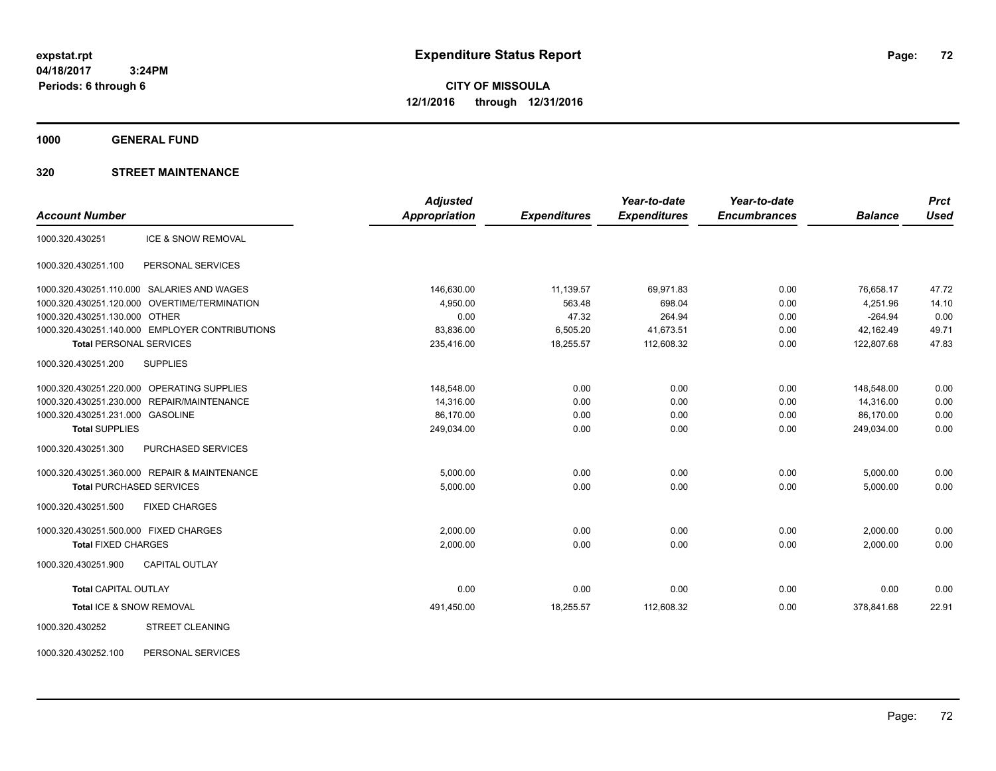**CITY OF MISSOULA 12/1/2016 through 12/31/2016**

**1000 GENERAL FUND**

### **320 STREET MAINTENANCE**

|                                                  | <b>Adjusted</b>      |                     | Year-to-date        | Year-to-date        |                | <b>Prct</b> |
|--------------------------------------------------|----------------------|---------------------|---------------------|---------------------|----------------|-------------|
| <b>Account Number</b>                            | <b>Appropriation</b> | <b>Expenditures</b> | <b>Expenditures</b> | <b>Encumbrances</b> | <b>Balance</b> | <b>Used</b> |
| <b>ICE &amp; SNOW REMOVAL</b><br>1000.320.430251 |                      |                     |                     |                     |                |             |
| PERSONAL SERVICES<br>1000.320.430251.100         |                      |                     |                     |                     |                |             |
| 1000.320.430251.110.000 SALARIES AND WAGES       | 146,630.00           | 11,139.57           | 69,971.83           | 0.00                | 76,658.17      | 47.72       |
| 1000.320.430251.120.000 OVERTIME/TERMINATION     | 4,950.00             | 563.48              | 698.04              | 0.00                | 4,251.96       | 14.10       |
| 1000.320.430251.130.000 OTHER                    | 0.00                 | 47.32               | 264.94              | 0.00                | $-264.94$      | 0.00        |
| 1000.320.430251.140.000 EMPLOYER CONTRIBUTIONS   | 83,836.00            | 6,505.20            | 41,673.51           | 0.00                | 42,162.49      | 49.71       |
| <b>Total PERSONAL SERVICES</b>                   | 235,416.00           | 18,255.57           | 112,608.32          | 0.00                | 122,807.68     | 47.83       |
| 1000.320.430251.200<br><b>SUPPLIES</b>           |                      |                     |                     |                     |                |             |
| 1000.320.430251.220.000 OPERATING SUPPLIES       | 148,548.00           | 0.00                | 0.00                | 0.00                | 148,548.00     | 0.00        |
| 1000.320.430251.230.000 REPAIR/MAINTENANCE       | 14,316.00            | 0.00                | 0.00                | 0.00                | 14,316.00      | 0.00        |
| 1000.320.430251.231.000 GASOLINE                 | 86,170.00            | 0.00                | 0.00                | 0.00                | 86.170.00      | 0.00        |
| <b>Total SUPPLIES</b>                            | 249,034.00           | 0.00                | 0.00                | 0.00                | 249,034.00     | 0.00        |
| 1000.320.430251.300<br>PURCHASED SERVICES        |                      |                     |                     |                     |                |             |
| 1000.320.430251.360.000 REPAIR & MAINTENANCE     | 5,000.00             | 0.00                | 0.00                | 0.00                | 5,000.00       | 0.00        |
| <b>Total PURCHASED SERVICES</b>                  | 5,000.00             | 0.00                | 0.00                | 0.00                | 5,000.00       | 0.00        |
| 1000.320.430251.500<br><b>FIXED CHARGES</b>      |                      |                     |                     |                     |                |             |
| 1000.320.430251.500.000 FIXED CHARGES            | 2,000.00             | 0.00                | 0.00                | 0.00                | 2,000.00       | 0.00        |
| <b>Total FIXED CHARGES</b>                       | 2,000.00             | 0.00                | 0.00                | 0.00                | 2,000.00       | 0.00        |
| 1000.320.430251.900<br><b>CAPITAL OUTLAY</b>     |                      |                     |                     |                     |                |             |
| <b>Total CAPITAL OUTLAY</b>                      | 0.00                 | 0.00                | 0.00                | 0.00                | 0.00           | 0.00        |
| Total ICE & SNOW REMOVAL                         | 491,450.00           | 18,255.57           | 112,608.32          | 0.00                | 378,841.68     | 22.91       |
| 1000.320.430252<br><b>STREET CLEANING</b>        |                      |                     |                     |                     |                |             |

1000.320.430252.100 PERSONAL SERVICES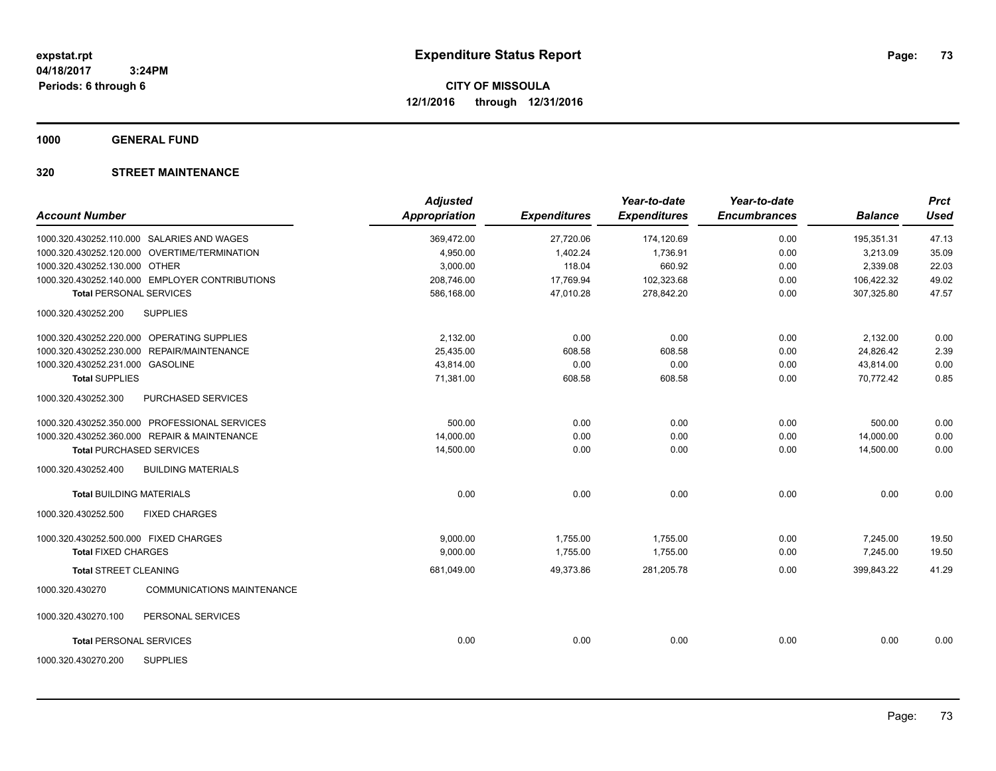**1000 GENERAL FUND**

## **320 STREET MAINTENANCE**

| <b>Account Number</b>                 |                                                | <b>Adjusted</b><br>Appropriation | <b>Expenditures</b> | Year-to-date<br><b>Expenditures</b> | Year-to-date<br><b>Encumbrances</b> | <b>Balance</b> | <b>Prct</b><br><b>Used</b> |
|---------------------------------------|------------------------------------------------|----------------------------------|---------------------|-------------------------------------|-------------------------------------|----------------|----------------------------|
|                                       | 1000.320.430252.110.000 SALARIES AND WAGES     | 369,472.00                       | 27,720.06           | 174,120.69                          | 0.00                                | 195,351.31     | 47.13                      |
|                                       | 1000.320.430252.120.000 OVERTIME/TERMINATION   | 4,950.00                         | 1,402.24            | 1,736.91                            | 0.00                                | 3,213.09       | 35.09                      |
| 1000.320.430252.130.000 OTHER         |                                                | 3,000.00                         | 118.04              | 660.92                              | 0.00                                | 2,339.08       | 22.03                      |
|                                       | 1000.320.430252.140.000 EMPLOYER CONTRIBUTIONS | 208,746.00                       | 17,769.94           | 102,323.68                          | 0.00                                | 106,422.32     | 49.02                      |
| <b>Total PERSONAL SERVICES</b>        |                                                | 586.168.00                       | 47.010.28           | 278.842.20                          | 0.00                                | 307.325.80     | 47.57                      |
| 1000.320.430252.200                   | <b>SUPPLIES</b>                                |                                  |                     |                                     |                                     |                |                            |
|                                       | 1000.320.430252.220.000 OPERATING SUPPLIES     | 2,132.00                         | 0.00                | 0.00                                | 0.00                                | 2,132.00       | 0.00                       |
|                                       | 1000.320.430252.230.000 REPAIR/MAINTENANCE     | 25,435.00                        | 608.58              | 608.58                              | 0.00                                | 24,826.42      | 2.39                       |
| 1000.320.430252.231.000 GASOLINE      |                                                | 43,814.00                        | 0.00                | 0.00                                | 0.00                                | 43,814.00      | 0.00                       |
| <b>Total SUPPLIES</b>                 |                                                | 71,381.00                        | 608.58              | 608.58                              | 0.00                                | 70,772.42      | 0.85                       |
| 1000.320.430252.300                   | PURCHASED SERVICES                             |                                  |                     |                                     |                                     |                |                            |
|                                       | 1000.320.430252.350.000 PROFESSIONAL SERVICES  | 500.00                           | 0.00                | 0.00                                | 0.00                                | 500.00         | 0.00                       |
|                                       | 1000.320.430252.360.000 REPAIR & MAINTENANCE   | 14,000.00                        | 0.00                | 0.00                                | 0.00                                | 14,000.00      | 0.00                       |
|                                       | <b>Total PURCHASED SERVICES</b>                | 14,500.00                        | 0.00                | 0.00                                | 0.00                                | 14,500.00      | 0.00                       |
| 1000.320.430252.400                   | <b>BUILDING MATERIALS</b>                      |                                  |                     |                                     |                                     |                |                            |
| <b>Total BUILDING MATERIALS</b>       |                                                | 0.00                             | 0.00                | 0.00                                | 0.00                                | 0.00           | 0.00                       |
| 1000.320.430252.500                   | <b>FIXED CHARGES</b>                           |                                  |                     |                                     |                                     |                |                            |
| 1000.320.430252.500.000 FIXED CHARGES |                                                | 9.000.00                         | 1,755.00            | 1,755.00                            | 0.00                                | 7,245.00       | 19.50                      |
| <b>Total FIXED CHARGES</b>            |                                                | 9,000.00                         | 1,755.00            | 1,755.00                            | 0.00                                | 7,245.00       | 19.50                      |
| <b>Total STREET CLEANING</b>          |                                                | 681.049.00                       | 49.373.86           | 281,205.78                          | 0.00                                | 399.843.22     | 41.29                      |
| 1000.320.430270                       | <b>COMMUNICATIONS MAINTENANCE</b>              |                                  |                     |                                     |                                     |                |                            |
| 1000.320.430270.100                   | PERSONAL SERVICES                              |                                  |                     |                                     |                                     |                |                            |
| <b>Total PERSONAL SERVICES</b>        |                                                | 0.00                             | 0.00                | 0.00                                | 0.00                                | 0.00           | 0.00                       |
| 1000.320.430270.200                   | <b>SUPPLIES</b>                                |                                  |                     |                                     |                                     |                |                            |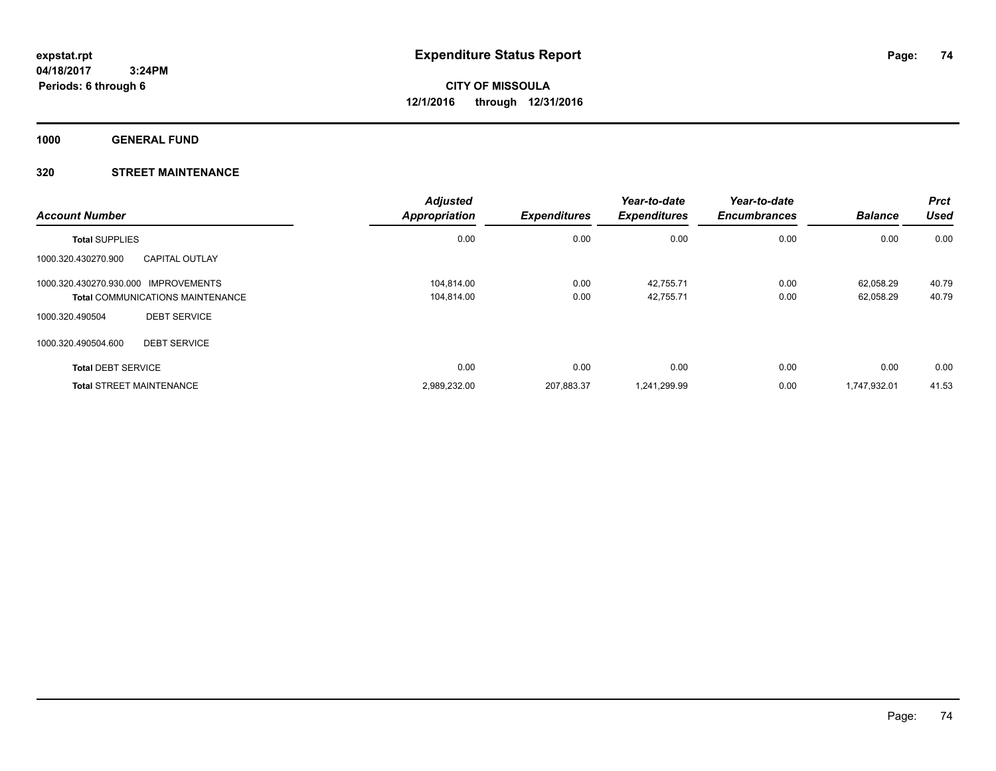**1000 GENERAL FUND**

## **320 STREET MAINTENANCE**

| <b>Account Number</b>                        | <b>Adjusted</b><br>Appropriation | <b>Expenditures</b> | Year-to-date<br><b>Expenditures</b> | Year-to-date<br><b>Encumbrances</b> | <b>Balance</b> | <b>Prct</b><br><b>Used</b> |
|----------------------------------------------|----------------------------------|---------------------|-------------------------------------|-------------------------------------|----------------|----------------------------|
| <b>Total SUPPLIES</b>                        | 0.00                             | 0.00                | 0.00                                | 0.00                                | 0.00           | 0.00                       |
| 1000.320.430270.900<br><b>CAPITAL OUTLAY</b> |                                  |                     |                                     |                                     |                |                            |
| 1000.320.430270.930.000 IMPROVEMENTS         | 104.814.00                       | 0.00                | 42.755.71                           | 0.00                                | 62.058.29      | 40.79                      |
| <b>Total COMMUNICATIONS MAINTENANCE</b>      | 104.814.00                       | 0.00                | 42,755.71                           | 0.00                                | 62.058.29      | 40.79                      |
| <b>DEBT SERVICE</b><br>1000.320.490504       |                                  |                     |                                     |                                     |                |                            |
| 1000.320.490504.600<br><b>DEBT SERVICE</b>   |                                  |                     |                                     |                                     |                |                            |
| <b>Total DEBT SERVICE</b>                    | 0.00                             | 0.00                | 0.00                                | 0.00                                | 0.00           | 0.00                       |
| <b>Total STREET MAINTENANCE</b>              | 2,989,232.00                     | 207,883.37          | 1,241,299.99                        | 0.00                                | 1.747.932.01   | 41.53                      |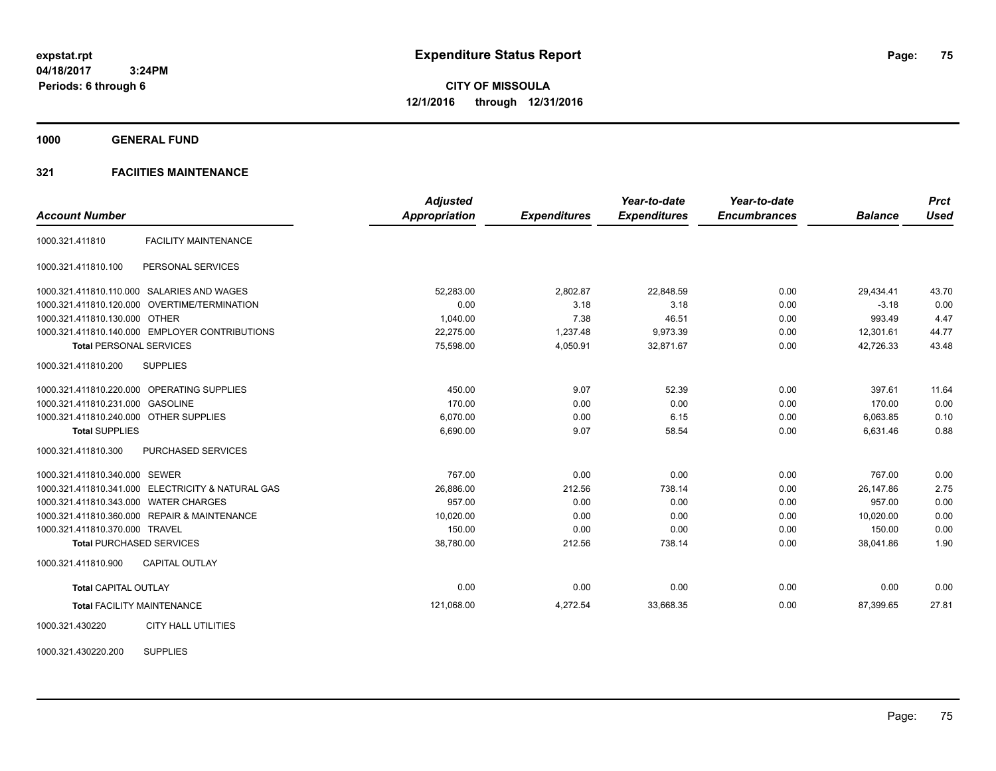**1000 GENERAL FUND**

## **321 FACIITIES MAINTENANCE**

|                                        |                                                   | <b>Adjusted</b>      |                     | Year-to-date        | Year-to-date        |                | <b>Prct</b> |
|----------------------------------------|---------------------------------------------------|----------------------|---------------------|---------------------|---------------------|----------------|-------------|
| <b>Account Number</b>                  |                                                   | <b>Appropriation</b> | <b>Expenditures</b> | <b>Expenditures</b> | <b>Encumbrances</b> | <b>Balance</b> | <b>Used</b> |
| 1000.321.411810                        | <b>FACILITY MAINTENANCE</b>                       |                      |                     |                     |                     |                |             |
| 1000.321.411810.100                    | PERSONAL SERVICES                                 |                      |                     |                     |                     |                |             |
|                                        | 1000.321.411810.110.000 SALARIES AND WAGES        | 52.283.00            | 2,802.87            | 22,848.59           | 0.00                | 29,434.41      | 43.70       |
|                                        | 1000.321.411810.120.000 OVERTIME/TERMINATION      | 0.00                 | 3.18                | 3.18                | 0.00                | $-3.18$        | 0.00        |
| 1000.321.411810.130.000 OTHER          |                                                   | 1.040.00             | 7.38                | 46.51               | 0.00                | 993.49         | 4.47        |
|                                        | 1000.321.411810.140.000 EMPLOYER CONTRIBUTIONS    | 22,275.00            | 1,237.48            | 9,973.39            | 0.00                | 12,301.61      | 44.77       |
| <b>Total PERSONAL SERVICES</b>         |                                                   | 75,598.00            | 4,050.91            | 32,871.67           | 0.00                | 42,726.33      | 43.48       |
| 1000.321.411810.200                    | <b>SUPPLIES</b>                                   |                      |                     |                     |                     |                |             |
|                                        | 1000.321.411810.220.000 OPERATING SUPPLIES        | 450.00               | 9.07                | 52.39               | 0.00                | 397.61         | 11.64       |
| 1000.321.411810.231.000 GASOLINE       |                                                   | 170.00               | 0.00                | 0.00                | 0.00                | 170.00         | 0.00        |
| 1000.321.411810.240.000 OTHER SUPPLIES |                                                   | 6,070.00             | 0.00                | 6.15                | 0.00                | 6,063.85       | 0.10        |
| <b>Total SUPPLIES</b>                  |                                                   | 6,690.00             | 9.07                | 58.54               | 0.00                | 6,631.46       | 0.88        |
| 1000.321.411810.300                    | <b>PURCHASED SERVICES</b>                         |                      |                     |                     |                     |                |             |
| 1000.321.411810.340.000 SEWER          |                                                   | 767.00               | 0.00                | 0.00                | 0.00                | 767.00         | 0.00        |
|                                        | 1000.321.411810.341.000 ELECTRICITY & NATURAL GAS | 26.886.00            | 212.56              | 738.14              | 0.00                | 26.147.86      | 2.75        |
| 1000.321.411810.343.000 WATER CHARGES  |                                                   | 957.00               | 0.00                | 0.00                | 0.00                | 957.00         | 0.00        |
|                                        | 1000.321.411810.360.000 REPAIR & MAINTENANCE      | 10,020.00            | 0.00                | 0.00                | 0.00                | 10,020.00      | 0.00        |
| 1000.321.411810.370.000 TRAVEL         |                                                   | 150.00               | 0.00                | 0.00                | 0.00                | 150.00         | 0.00        |
|                                        | <b>Total PURCHASED SERVICES</b>                   | 38,780.00            | 212.56              | 738.14              | 0.00                | 38,041.86      | 1.90        |
| 1000.321.411810.900                    | <b>CAPITAL OUTLAY</b>                             |                      |                     |                     |                     |                |             |
| <b>Total CAPITAL OUTLAY</b>            |                                                   | 0.00                 | 0.00                | 0.00                | 0.00                | 0.00           | 0.00        |
|                                        | <b>Total FACILITY MAINTENANCE</b>                 | 121,068.00           | 4,272.54            | 33,668.35           | 0.00                | 87,399.65      | 27.81       |
| 1000.321.430220                        | <b>CITY HALL UTILITIES</b>                        |                      |                     |                     |                     |                |             |

1000.321.430220.200 SUPPLIES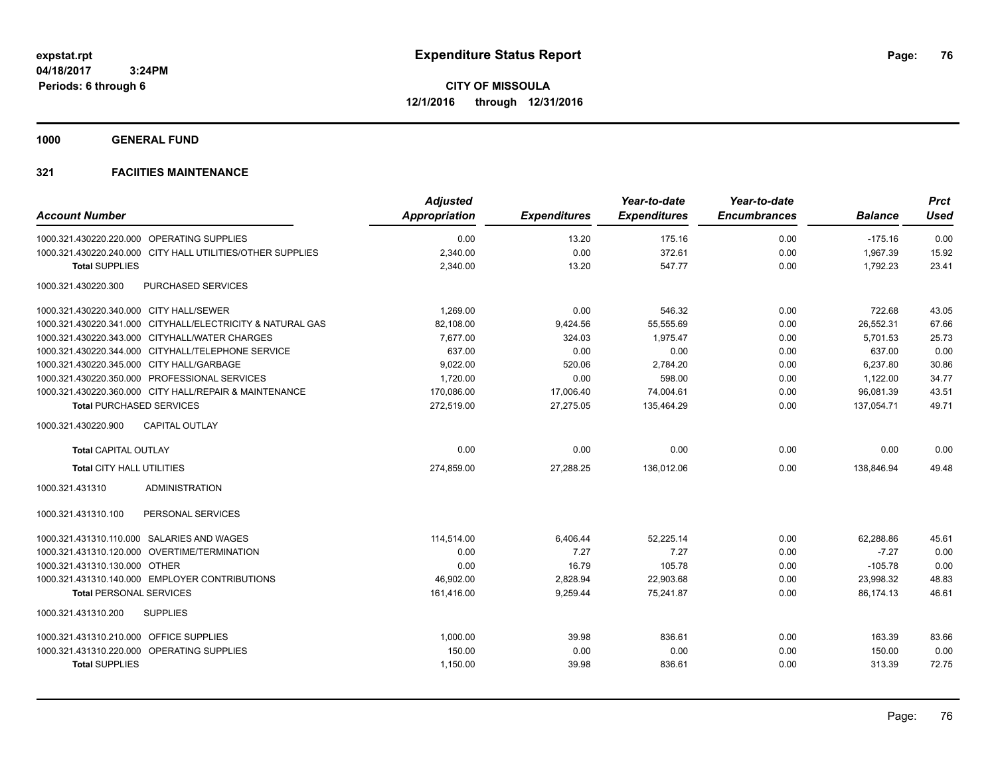**1000 GENERAL FUND**

|                                                            | <b>Adjusted</b>      |                     | Year-to-date        | Year-to-date        |                | <b>Prct</b> |
|------------------------------------------------------------|----------------------|---------------------|---------------------|---------------------|----------------|-------------|
| <b>Account Number</b>                                      | <b>Appropriation</b> | <b>Expenditures</b> | <b>Expenditures</b> | <b>Encumbrances</b> | <b>Balance</b> | <b>Used</b> |
| 1000.321.430220.220.000 OPERATING SUPPLIES                 | 0.00                 | 13.20               | 175.16              | 0.00                | $-175.16$      | 0.00        |
| 1000.321.430220.240.000 CITY HALL UTILITIES/OTHER SUPPLIES | 2,340.00             | 0.00                | 372.61              | 0.00                | 1,967.39       | 15.92       |
| <b>Total SUPPLIES</b>                                      | 2,340.00             | 13.20               | 547.77              | 0.00                | 1,792.23       | 23.41       |
| 1000.321.430220.300<br>PURCHASED SERVICES                  |                      |                     |                     |                     |                |             |
| 1000.321.430220.340.000 CITY HALL/SEWER                    | 1.269.00             | 0.00                | 546.32              | 0.00                | 722.68         | 43.05       |
| 1000.321.430220.341.000 CITYHALL/ELECTRICITY & NATURAL GAS | 82,108.00            | 9,424.56            | 55,555.69           | 0.00                | 26,552.31      | 67.66       |
| 1000.321.430220.343.000 CITYHALL/WATER CHARGES             | 7,677.00             | 324.03              | 1,975.47            | 0.00                | 5,701.53       | 25.73       |
| 1000.321.430220.344.000 CITYHALL/TELEPHONE SERVICE         | 637.00               | 0.00                | 0.00                | 0.00                | 637.00         | 0.00        |
| 1000.321.430220.345.000 CITY HALL/GARBAGE                  | 9,022.00             | 520.06              | 2,784.20            | 0.00                | 6,237.80       | 30.86       |
| 1000.321.430220.350.000 PROFESSIONAL SERVICES              | 1,720.00             | 0.00                | 598.00              | 0.00                | 1,122.00       | 34.77       |
| 1000.321.430220.360.000 CITY HALL/REPAIR & MAINTENANCE     | 170,086.00           | 17,006.40           | 74,004.61           | 0.00                | 96,081.39      | 43.51       |
| <b>Total PURCHASED SERVICES</b>                            | 272,519.00           | 27,275.05           | 135,464.29          | 0.00                | 137,054.71     | 49.71       |
| 1000.321.430220.900<br><b>CAPITAL OUTLAY</b>               |                      |                     |                     |                     |                |             |
| <b>Total CAPITAL OUTLAY</b>                                | 0.00                 | 0.00                | 0.00                | 0.00                | 0.00           | 0.00        |
| <b>Total CITY HALL UTILITIES</b>                           | 274,859.00           | 27,288.25           | 136,012.06          | 0.00                | 138,846.94     | 49.48       |
| <b>ADMINISTRATION</b><br>1000.321.431310                   |                      |                     |                     |                     |                |             |
| PERSONAL SERVICES<br>1000.321.431310.100                   |                      |                     |                     |                     |                |             |
| 1000.321.431310.110.000 SALARIES AND WAGES                 | 114.514.00           | 6,406.44            | 52.225.14           | 0.00                | 62,288.86      | 45.61       |
| 1000.321.431310.120.000 OVERTIME/TERMINATION               | 0.00                 | 7.27                | 7.27                | 0.00                | $-7.27$        | 0.00        |
| 1000.321.431310.130.000 OTHER                              | 0.00                 | 16.79               | 105.78              | 0.00                | $-105.78$      | 0.00        |
| 1000.321.431310.140.000 EMPLOYER CONTRIBUTIONS             | 46,902.00            | 2,828.94            | 22,903.68           | 0.00                | 23,998.32      | 48.83       |
| <b>Total PERSONAL SERVICES</b>                             | 161,416.00           | 9,259.44            | 75,241.87           | 0.00                | 86,174.13      | 46.61       |
| 1000.321.431310.200<br><b>SUPPLIES</b>                     |                      |                     |                     |                     |                |             |
| 1000.321.431310.210.000 OFFICE SUPPLIES                    | 1,000.00             | 39.98               | 836.61              | 0.00                | 163.39         | 83.66       |
| 1000.321.431310.220.000 OPERATING SUPPLIES                 | 150.00               | 0.00                | 0.00                | 0.00                | 150.00         | 0.00        |
| <b>Total SUPPLIES</b>                                      | 1,150.00             | 39.98               | 836.61              | 0.00                | 313.39         | 72.75       |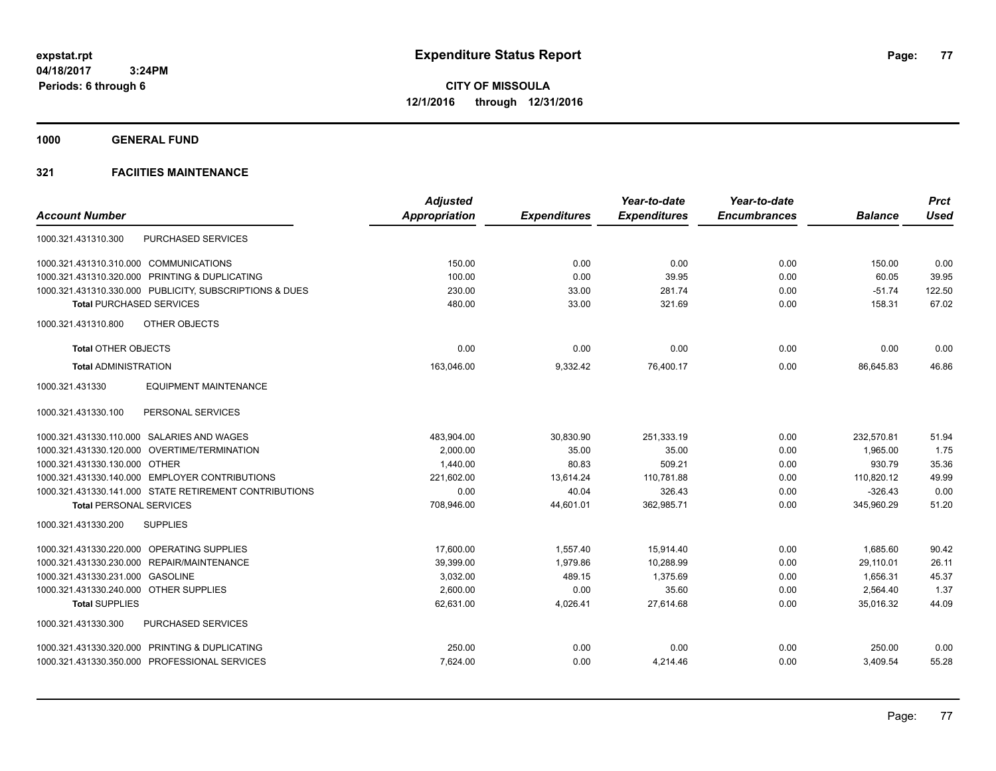**1000 GENERAL FUND**

|                                                         | <b>Adjusted</b>      |                     | Year-to-date        | Year-to-date        |                | <b>Prct</b> |
|---------------------------------------------------------|----------------------|---------------------|---------------------|---------------------|----------------|-------------|
| <b>Account Number</b>                                   | <b>Appropriation</b> | <b>Expenditures</b> | <b>Expenditures</b> | <b>Encumbrances</b> | <b>Balance</b> | <b>Used</b> |
| <b>PURCHASED SERVICES</b><br>1000.321.431310.300        |                      |                     |                     |                     |                |             |
| 1000.321.431310.310.000 COMMUNICATIONS                  | 150.00               | 0.00                | 0.00                | 0.00                | 150.00         | 0.00        |
| 1000.321.431310.320.000 PRINTING & DUPLICATING          | 100.00               | 0.00                | 39.95               | 0.00                | 60.05          | 39.95       |
| 1000.321.431310.330.000 PUBLICITY, SUBSCRIPTIONS & DUES | 230.00               | 33.00               | 281.74              | 0.00                | $-51.74$       | 122.50      |
| <b>Total PURCHASED SERVICES</b>                         | 480.00               | 33.00               | 321.69              | 0.00                | 158.31         | 67.02       |
| OTHER OBJECTS<br>1000.321.431310.800                    |                      |                     |                     |                     |                |             |
| <b>Total OTHER OBJECTS</b>                              | 0.00                 | 0.00                | 0.00                | 0.00                | 0.00           | 0.00        |
| <b>Total ADMINISTRATION</b>                             | 163,046.00           | 9,332.42            | 76,400.17           | 0.00                | 86,645.83      | 46.86       |
| 1000.321.431330<br><b>EQUIPMENT MAINTENANCE</b>         |                      |                     |                     |                     |                |             |
| PERSONAL SERVICES<br>1000.321.431330.100                |                      |                     |                     |                     |                |             |
| 1000.321.431330.110.000 SALARIES AND WAGES              | 483,904.00           | 30,830.90           | 251,333.19          | 0.00                | 232,570.81     | 51.94       |
| 1000.321.431330.120.000 OVERTIME/TERMINATION            | 2,000.00             | 35.00               | 35.00               | 0.00                | 1,965.00       | 1.75        |
| 1000.321.431330.130.000 OTHER                           | 1,440.00             | 80.83               | 509.21              | 0.00                | 930.79         | 35.36       |
| 1000.321.431330.140.000 EMPLOYER CONTRIBUTIONS          | 221,602.00           | 13,614.24           | 110,781.88          | 0.00                | 110,820.12     | 49.99       |
| 1000.321.431330.141.000 STATE RETIREMENT CONTRIBUTIONS  | 0.00                 | 40.04               | 326.43              | 0.00                | $-326.43$      | 0.00        |
| <b>Total PERSONAL SERVICES</b>                          | 708,946.00           | 44,601.01           | 362,985.71          | 0.00                | 345,960.29     | 51.20       |
| 1000.321.431330.200<br><b>SUPPLIES</b>                  |                      |                     |                     |                     |                |             |
| 1000.321.431330.220.000 OPERATING SUPPLIES              | 17.600.00            | 1.557.40            | 15.914.40           | 0.00                | 1,685.60       | 90.42       |
| 1000.321.431330.230.000 REPAIR/MAINTENANCE              | 39,399.00            | 1,979.86            | 10.288.99           | 0.00                | 29,110.01      | 26.11       |
| 1000.321.431330.231.000<br><b>GASOLINE</b>              | 3,032.00             | 489.15              | 1,375.69            | 0.00                | 1,656.31       | 45.37       |
| 1000.321.431330.240.000 OTHER SUPPLIES                  | 2,600.00             | 0.00                | 35.60               | 0.00                | 2,564.40       | 1.37        |
| <b>Total SUPPLIES</b>                                   | 62,631.00            | 4,026.41            | 27,614.68           | 0.00                | 35,016.32      | 44.09       |
| PURCHASED SERVICES<br>1000.321.431330.300               |                      |                     |                     |                     |                |             |
| 1000.321.431330.320.000 PRINTING & DUPLICATING          | 250.00               | 0.00                | 0.00                | 0.00                | 250.00         | 0.00        |
| 1000.321.431330.350.000 PROFESSIONAL SERVICES           | 7,624.00             | 0.00                | 4,214.46            | 0.00                | 3,409.54       | 55.28       |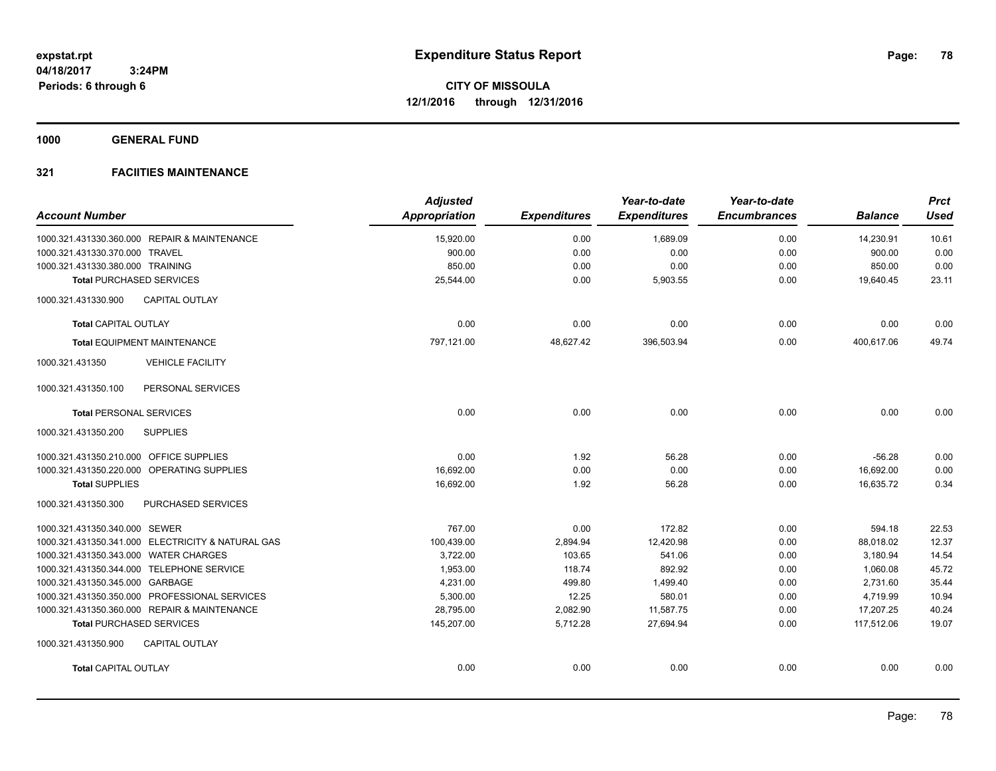**1000 GENERAL FUND**

| <b>Account Number</b>                             | <b>Adjusted</b><br><b>Appropriation</b> | <b>Expenditures</b> | Year-to-date<br><b>Expenditures</b> | Year-to-date<br><b>Encumbrances</b> | <b>Balance</b> | <b>Prct</b><br><b>Used</b> |
|---------------------------------------------------|-----------------------------------------|---------------------|-------------------------------------|-------------------------------------|----------------|----------------------------|
| 1000.321.431330.360.000 REPAIR & MAINTENANCE      | 15,920.00                               | 0.00                | 1,689.09                            | 0.00                                | 14,230.91      | 10.61                      |
| 1000.321.431330.370.000 TRAVEL                    | 900.00                                  | 0.00                | 0.00                                | 0.00                                | 900.00         | 0.00                       |
| 1000.321.431330.380.000 TRAINING                  | 850.00                                  | 0.00                | 0.00                                | 0.00                                | 850.00         | 0.00                       |
| <b>Total PURCHASED SERVICES</b>                   | 25,544.00                               | 0.00                | 5,903.55                            | 0.00                                | 19,640.45      | 23.11                      |
| CAPITAL OUTLAY<br>1000.321.431330.900             |                                         |                     |                                     |                                     |                |                            |
| <b>Total CAPITAL OUTLAY</b>                       | 0.00                                    | 0.00                | 0.00                                | 0.00                                | 0.00           | 0.00                       |
| <b>Total EQUIPMENT MAINTENANCE</b>                | 797,121.00                              | 48,627.42           | 396,503.94                          | 0.00                                | 400,617.06     | 49.74                      |
| 1000.321.431350<br><b>VEHICLE FACILITY</b>        |                                         |                     |                                     |                                     |                |                            |
| 1000.321.431350.100<br>PERSONAL SERVICES          |                                         |                     |                                     |                                     |                |                            |
| <b>Total PERSONAL SERVICES</b>                    | 0.00                                    | 0.00                | 0.00                                | 0.00                                | 0.00           | 0.00                       |
| 1000.321.431350.200<br><b>SUPPLIES</b>            |                                         |                     |                                     |                                     |                |                            |
| 1000.321.431350.210.000 OFFICE SUPPLIES           | 0.00                                    | 1.92                | 56.28                               | 0.00                                | $-56.28$       | 0.00                       |
| 1000.321.431350.220.000 OPERATING SUPPLIES        | 16,692.00                               | 0.00                | 0.00                                | 0.00                                | 16,692.00      | 0.00                       |
| <b>Total SUPPLIES</b>                             | 16,692.00                               | 1.92                | 56.28                               | 0.00                                | 16,635.72      | 0.34                       |
| PURCHASED SERVICES<br>1000.321.431350.300         |                                         |                     |                                     |                                     |                |                            |
| 1000.321.431350.340.000 SEWER                     | 767.00                                  | 0.00                | 172.82                              | 0.00                                | 594.18         | 22.53                      |
| 1000.321.431350.341.000 ELECTRICITY & NATURAL GAS | 100,439.00                              | 2,894.94            | 12,420.98                           | 0.00                                | 88,018.02      | 12.37                      |
| 1000.321.431350.343.000 WATER CHARGES             | 3,722.00                                | 103.65              | 541.06                              | 0.00                                | 3,180.94       | 14.54                      |
| 1000.321.431350.344.000 TELEPHONE SERVICE         | 1,953.00                                | 118.74              | 892.92                              | 0.00                                | 1,060.08       | 45.72                      |
| 1000.321.431350.345.000 GARBAGE                   | 4,231.00                                | 499.80              | 1,499.40                            | 0.00                                | 2,731.60       | 35.44                      |
| 1000.321.431350.350.000 PROFESSIONAL SERVICES     | 5,300.00                                | 12.25               | 580.01                              | 0.00                                | 4,719.99       | 10.94                      |
| 1000.321.431350.360.000 REPAIR & MAINTENANCE      | 28,795.00                               | 2,082.90            | 11,587.75                           | 0.00                                | 17,207.25      | 40.24                      |
| <b>Total PURCHASED SERVICES</b>                   | 145,207.00                              | 5,712.28            | 27,694.94                           | 0.00                                | 117,512.06     | 19.07                      |
| 1000.321.431350.900<br><b>CAPITAL OUTLAY</b>      |                                         |                     |                                     |                                     |                |                            |
| <b>Total CAPITAL OUTLAY</b>                       | 0.00                                    | 0.00                | 0.00                                | 0.00                                | 0.00           | 0.00                       |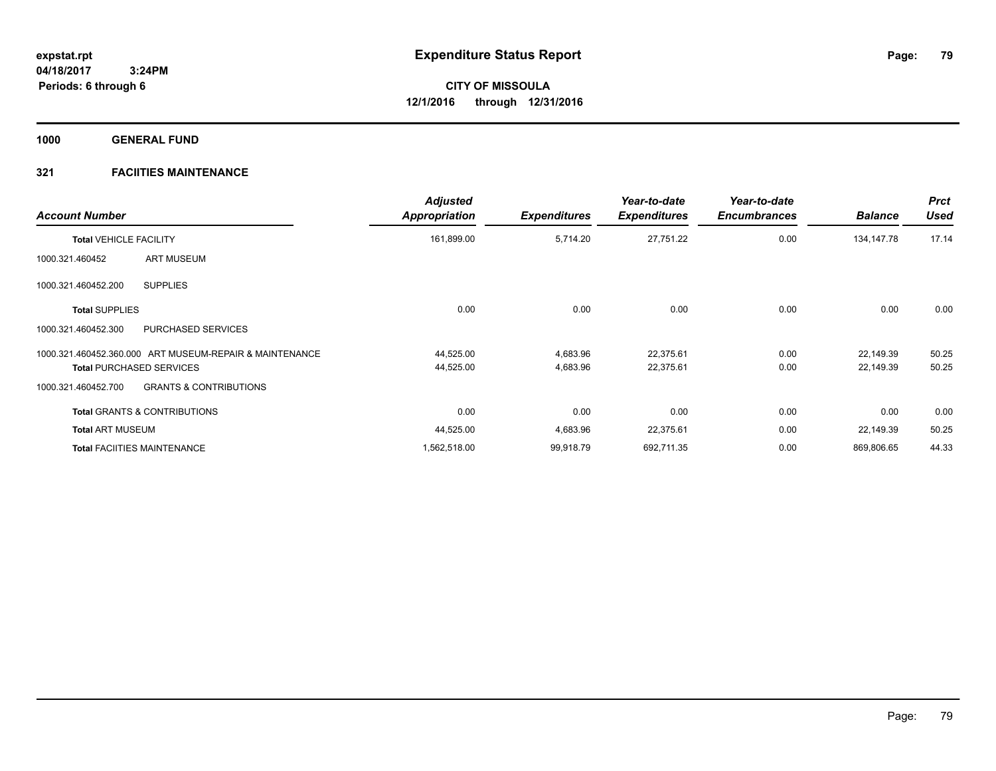**1000 GENERAL FUND**

| <b>Account Number</b>                                    | <b>Adjusted</b><br><b>Appropriation</b> | <b>Expenditures</b> | Year-to-date<br><b>Expenditures</b> | Year-to-date<br><b>Encumbrances</b> | <b>Balance</b> | <b>Prct</b><br><b>Used</b> |
|----------------------------------------------------------|-----------------------------------------|---------------------|-------------------------------------|-------------------------------------|----------------|----------------------------|
| <b>Total VEHICLE FACILITY</b>                            | 161,899.00                              | 5,714.20            | 27,751.22                           | 0.00                                | 134,147.78     | 17.14                      |
| <b>ART MUSEUM</b><br>1000.321.460452                     |                                         |                     |                                     |                                     |                |                            |
| <b>SUPPLIES</b><br>1000.321.460452.200                   |                                         |                     |                                     |                                     |                |                            |
| <b>Total SUPPLIES</b>                                    | 0.00                                    | 0.00                | 0.00                                | 0.00                                | 0.00           | 0.00                       |
| PURCHASED SERVICES<br>1000.321.460452.300                |                                         |                     |                                     |                                     |                |                            |
| 1000.321.460452.360.000 ART MUSEUM-REPAIR & MAINTENANCE  | 44,525.00                               | 4,683.96            | 22,375.61                           | 0.00                                | 22,149.39      | 50.25                      |
| <b>Total PURCHASED SERVICES</b>                          | 44,525.00                               | 4,683.96            | 22,375.61                           | 0.00                                | 22,149.39      | 50.25                      |
| <b>GRANTS &amp; CONTRIBUTIONS</b><br>1000.321.460452.700 |                                         |                     |                                     |                                     |                |                            |
| <b>Total GRANTS &amp; CONTRIBUTIONS</b>                  | 0.00                                    | 0.00                | 0.00                                | 0.00                                | 0.00           | 0.00                       |
| <b>Total ART MUSEUM</b>                                  | 44,525.00                               | 4,683.96            | 22,375.61                           | 0.00                                | 22,149.39      | 50.25                      |
| <b>Total FACIITIES MAINTENANCE</b>                       | 1,562,518.00                            | 99,918.79           | 692,711.35                          | 0.00                                | 869,806.65     | 44.33                      |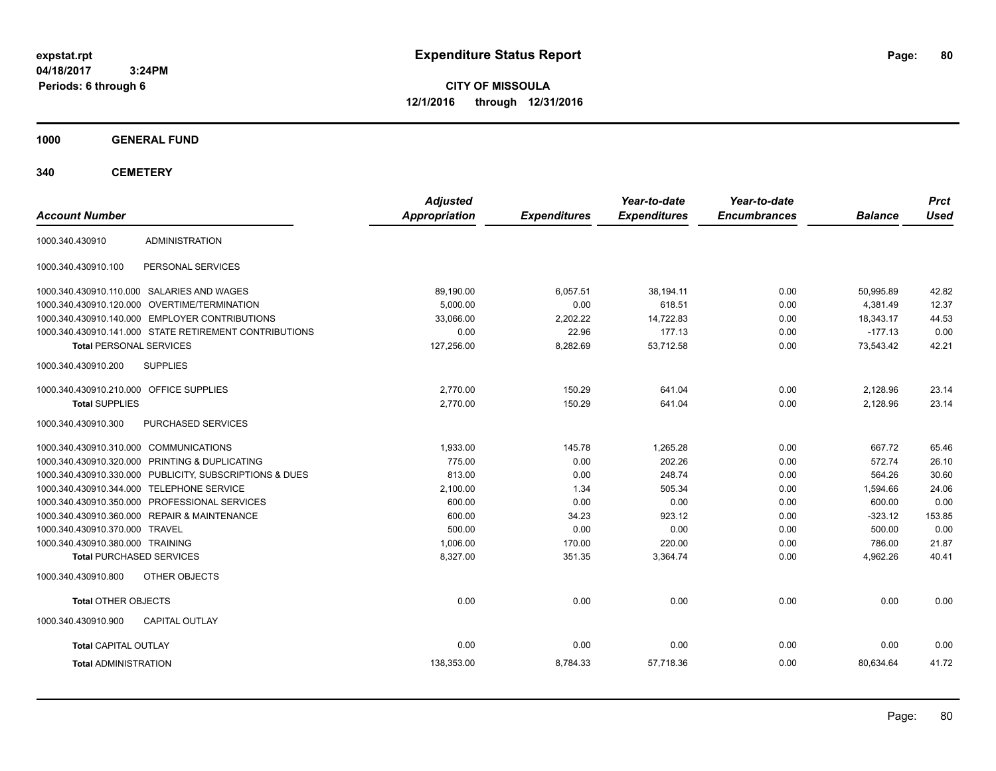**CITY OF MISSOULA 12/1/2016 through 12/31/2016**

**1000 GENERAL FUND**

**340 CEMETERY**

| <b>Account Number</b>                                   | <b>Adjusted</b><br><b>Appropriation</b> | <b>Expenditures</b> | Year-to-date<br><b>Expenditures</b> | Year-to-date<br><b>Encumbrances</b> | <b>Balance</b> | <b>Prct</b><br><b>Used</b> |
|---------------------------------------------------------|-----------------------------------------|---------------------|-------------------------------------|-------------------------------------|----------------|----------------------------|
| <b>ADMINISTRATION</b><br>1000.340.430910                |                                         |                     |                                     |                                     |                |                            |
| 1000.340.430910.100<br>PERSONAL SERVICES                |                                         |                     |                                     |                                     |                |                            |
| 1000.340.430910.110.000 SALARIES AND WAGES              | 89.190.00                               | 6,057.51            | 38.194.11                           | 0.00                                | 50.995.89      | 42.82                      |
| 1000.340.430910.120.000 OVERTIME/TERMINATION            | 5.000.00                                | 0.00                | 618.51                              | 0.00                                | 4.381.49       | 12.37                      |
| 1000.340.430910.140.000 EMPLOYER CONTRIBUTIONS          | 33.066.00                               | 2.202.22            | 14.722.83                           | 0.00                                | 18.343.17      | 44.53                      |
| 1000.340.430910.141.000 STATE RETIREMENT CONTRIBUTIONS  | 0.00                                    | 22.96               | 177.13                              | 0.00                                | $-177.13$      | 0.00                       |
| <b>Total PERSONAL SERVICES</b>                          | 127,256.00                              | 8,282.69            | 53.712.58                           | 0.00                                | 73.543.42      | 42.21                      |
| 1000.340.430910.200<br><b>SUPPLIES</b>                  |                                         |                     |                                     |                                     |                |                            |
| 1000.340.430910.210.000 OFFICE SUPPLIES                 | 2,770.00                                | 150.29              | 641.04                              | 0.00                                | 2,128.96       | 23.14                      |
| <b>Total SUPPLIES</b>                                   | 2,770.00                                | 150.29              | 641.04                              | 0.00                                | 2,128.96       | 23.14                      |
| 1000.340.430910.300<br><b>PURCHASED SERVICES</b>        |                                         |                     |                                     |                                     |                |                            |
| 1000.340.430910.310.000 COMMUNICATIONS                  | 1,933.00                                | 145.78              | 1,265.28                            | 0.00                                | 667.72         | 65.46                      |
| 1000.340.430910.320.000 PRINTING & DUPLICATING          | 775.00                                  | 0.00                | 202.26                              | 0.00                                | 572.74         | 26.10                      |
| 1000.340.430910.330.000 PUBLICITY, SUBSCRIPTIONS & DUES | 813.00                                  | 0.00                | 248.74                              | 0.00                                | 564.26         | 30.60                      |
| 1000.340.430910.344.000 TELEPHONE SERVICE               | 2,100.00                                | 1.34                | 505.34                              | 0.00                                | 1,594.66       | 24.06                      |
| 1000.340.430910.350.000 PROFESSIONAL SERVICES           | 600.00                                  | 0.00                | 0.00                                | 0.00                                | 600.00         | 0.00                       |
| 1000.340.430910.360.000 REPAIR & MAINTENANCE            | 600.00                                  | 34.23               | 923.12                              | 0.00                                | $-323.12$      | 153.85                     |
| 1000.340.430910.370.000 TRAVEL                          | 500.00                                  | 0.00                | 0.00                                | 0.00                                | 500.00         | 0.00                       |
| 1000.340.430910.380.000 TRAINING                        | 1,006.00                                | 170.00              | 220.00                              | 0.00                                | 786.00         | 21.87                      |
| <b>Total PURCHASED SERVICES</b>                         | 8,327.00                                | 351.35              | 3,364.74                            | 0.00                                | 4,962.26       | 40.41                      |
| 1000.340.430910.800<br><b>OTHER OBJECTS</b>             |                                         |                     |                                     |                                     |                |                            |
| <b>Total OTHER OBJECTS</b>                              | 0.00                                    | 0.00                | 0.00                                | 0.00                                | 0.00           | 0.00                       |
| 1000.340.430910.900<br><b>CAPITAL OUTLAY</b>            |                                         |                     |                                     |                                     |                |                            |
| <b>Total CAPITAL OUTLAY</b>                             | 0.00                                    | 0.00                | 0.00                                | 0.00                                | 0.00           | 0.00                       |
| <b>Total ADMINISTRATION</b>                             | 138,353.00                              | 8,784.33            | 57,718.36                           | 0.00                                | 80,634.64      | 41.72                      |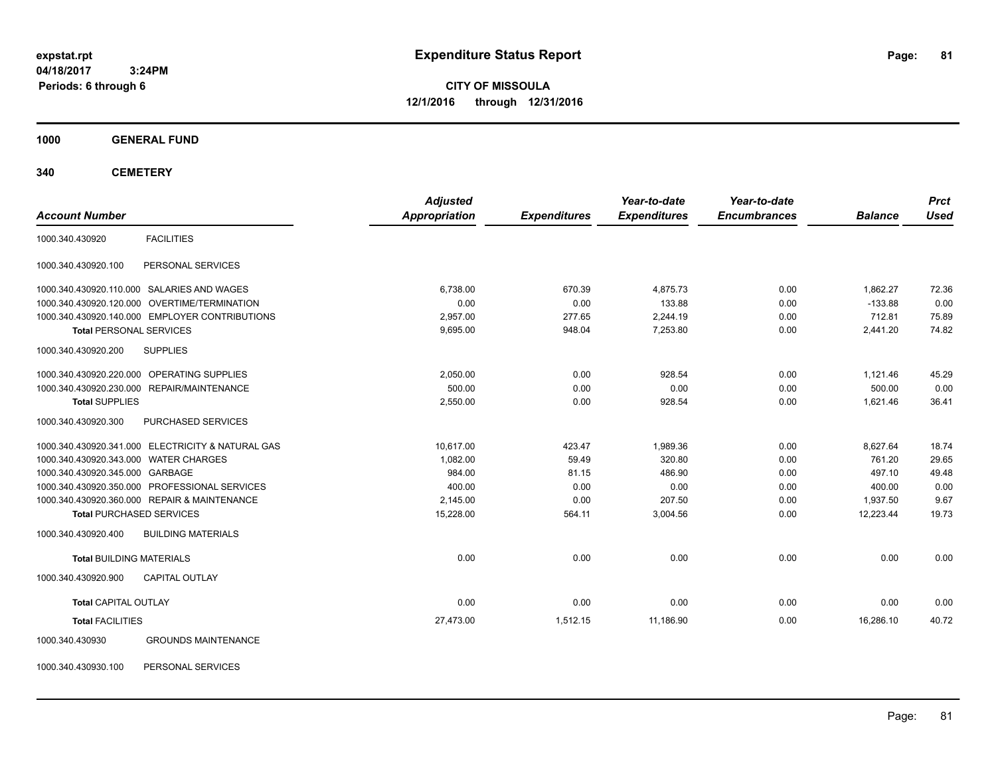**CITY OF MISSOULA 12/1/2016 through 12/31/2016**

### **1000 GENERAL FUND**

**340 CEMETERY**

| <b>Account Number</b>                         |                                                   | <b>Adjusted</b><br><b>Appropriation</b> | <b>Expenditures</b> | Year-to-date<br><b>Expenditures</b> | Year-to-date<br><b>Encumbrances</b> | <b>Balance</b> | <b>Prct</b><br><b>Used</b> |
|-----------------------------------------------|---------------------------------------------------|-----------------------------------------|---------------------|-------------------------------------|-------------------------------------|----------------|----------------------------|
|                                               |                                                   |                                         |                     |                                     |                                     |                |                            |
| 1000.340.430920                               | <b>FACILITIES</b>                                 |                                         |                     |                                     |                                     |                |                            |
| 1000.340.430920.100                           | PERSONAL SERVICES                                 |                                         |                     |                                     |                                     |                |                            |
| 1000.340.430920.110.000 SALARIES AND WAGES    |                                                   | 6,738.00                                | 670.39              | 4,875.73                            | 0.00                                | 1,862.27       | 72.36                      |
| 1000.340.430920.120.000 OVERTIME/TERMINATION  |                                                   | 0.00                                    | 0.00                | 133.88                              | 0.00                                | $-133.88$      | 0.00                       |
|                                               | 1000.340.430920.140.000 EMPLOYER CONTRIBUTIONS    | 2.957.00                                | 277.65              | 2.244.19                            | 0.00                                | 712.81         | 75.89                      |
| <b>Total PERSONAL SERVICES</b>                |                                                   | 9,695.00                                | 948.04              | 7,253.80                            | 0.00                                | 2,441.20       | 74.82                      |
| 1000.340.430920.200                           | <b>SUPPLIES</b>                                   |                                         |                     |                                     |                                     |                |                            |
| 1000.340.430920.220.000 OPERATING SUPPLIES    |                                                   | 2,050.00                                | 0.00                | 928.54                              | 0.00                                | 1,121.46       | 45.29                      |
| 1000.340.430920.230.000 REPAIR/MAINTENANCE    |                                                   | 500.00                                  | 0.00                | 0.00                                | 0.00                                | 500.00         | 0.00                       |
| <b>Total SUPPLIES</b>                         |                                                   | 2.550.00                                | 0.00                | 928.54                              | 0.00                                | 1.621.46       | 36.41                      |
| 1000.340.430920.300                           | PURCHASED SERVICES                                |                                         |                     |                                     |                                     |                |                            |
|                                               | 1000.340.430920.341.000 ELECTRICITY & NATURAL GAS | 10.617.00                               | 423.47              | 1,989.36                            | 0.00                                | 8,627.64       | 18.74                      |
| 1000.340.430920.343.000 WATER CHARGES         |                                                   | 1.082.00                                | 59.49               | 320.80                              | 0.00                                | 761.20         | 29.65                      |
| 1000.340.430920.345.000 GARBAGE               |                                                   | 984.00                                  | 81.15               | 486.90                              | 0.00                                | 497.10         | 49.48                      |
| 1000.340.430920.350.000 PROFESSIONAL SERVICES |                                                   | 400.00                                  | 0.00                | 0.00                                | 0.00                                | 400.00         | 0.00                       |
| 1000.340.430920.360.000 REPAIR & MAINTENANCE  |                                                   | 2,145.00                                | 0.00                | 207.50                              | 0.00                                | 1,937.50       | 9.67                       |
| <b>Total PURCHASED SERVICES</b>               |                                                   | 15,228.00                               | 564.11              | 3,004.56                            | 0.00                                | 12,223.44      | 19.73                      |
| 1000.340.430920.400                           | <b>BUILDING MATERIALS</b>                         |                                         |                     |                                     |                                     |                |                            |
| <b>Total BUILDING MATERIALS</b>               |                                                   | 0.00                                    | 0.00                | 0.00                                | 0.00                                | 0.00           | 0.00                       |
| 1000.340.430920.900                           | <b>CAPITAL OUTLAY</b>                             |                                         |                     |                                     |                                     |                |                            |
| <b>Total CAPITAL OUTLAY</b>                   |                                                   | 0.00                                    | 0.00                | 0.00                                | 0.00                                | 0.00           | 0.00                       |
| <b>Total FACILITIES</b>                       |                                                   | 27,473.00                               | 1,512.15            | 11,186.90                           | 0.00                                | 16,286.10      | 40.72                      |
| 1000.340.430930                               | <b>GROUNDS MAINTENANCE</b>                        |                                         |                     |                                     |                                     |                |                            |

1000.340.430930.100 PERSONAL SERVICES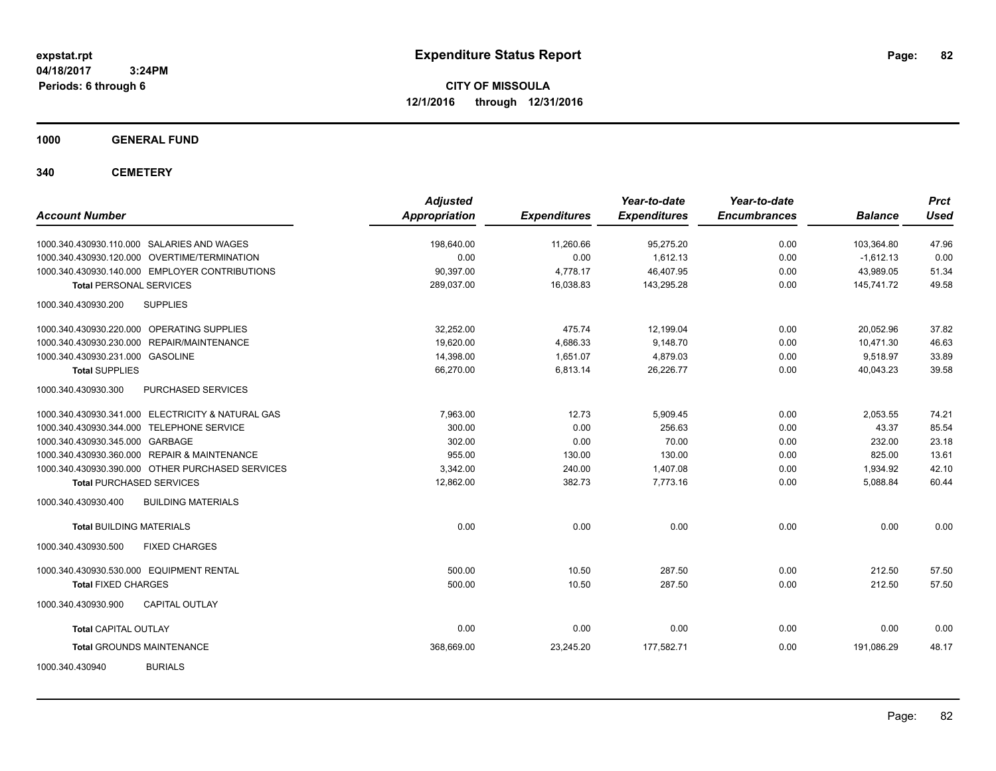**CITY OF MISSOULA 12/1/2016 through 12/31/2016**

**1000 GENERAL FUND**

**340 CEMETERY**

| <b>Account Number</b>                             | <b>Adjusted</b><br><b>Appropriation</b> | <b>Expenditures</b> | Year-to-date<br><b>Expenditures</b> | Year-to-date<br><b>Encumbrances</b> | <b>Balance</b> | <b>Prct</b><br><b>Used</b> |
|---------------------------------------------------|-----------------------------------------|---------------------|-------------------------------------|-------------------------------------|----------------|----------------------------|
| 1000.340.430930.110.000 SALARIES AND WAGES        | 198,640.00                              | 11,260.66           | 95,275.20                           | 0.00                                | 103,364.80     | 47.96                      |
| 1000.340.430930.120.000 OVERTIME/TERMINATION      | 0.00                                    | 0.00                | 1,612.13                            | 0.00                                | $-1,612.13$    | 0.00                       |
| 1000.340.430930.140.000 EMPLOYER CONTRIBUTIONS    | 90,397.00                               | 4,778.17            | 46,407.95                           | 0.00                                | 43,989.05      | 51.34                      |
| <b>Total PERSONAL SERVICES</b>                    | 289,037.00                              | 16,038.83           | 143,295.28                          | 0.00                                | 145,741.72     | 49.58                      |
| 1000.340.430930.200<br><b>SUPPLIES</b>            |                                         |                     |                                     |                                     |                |                            |
| 1000.340.430930.220.000 OPERATING SUPPLIES        | 32.252.00                               | 475.74              | 12.199.04                           | 0.00                                | 20.052.96      | 37.82                      |
| 1000.340.430930.230.000 REPAIR/MAINTENANCE        | 19,620.00                               | 4,686.33            | 9,148.70                            | 0.00                                | 10,471.30      | 46.63                      |
| 1000.340.430930.231.000 GASOLINE                  | 14,398.00                               | 1,651.07            | 4,879.03                            | 0.00                                | 9,518.97       | 33.89                      |
| <b>Total SUPPLIES</b>                             | 66,270.00                               | 6,813.14            | 26,226.77                           | 0.00                                | 40,043.23      | 39.58                      |
| PURCHASED SERVICES<br>1000.340.430930.300         |                                         |                     |                                     |                                     |                |                            |
| 1000.340.430930.341.000 ELECTRICITY & NATURAL GAS | 7.963.00                                | 12.73               | 5,909.45                            | 0.00                                | 2.053.55       | 74.21                      |
| 1000.340.430930.344.000 TELEPHONE SERVICE         | 300.00                                  | 0.00                | 256.63                              | 0.00                                | 43.37          | 85.54                      |
| 1000.340.430930.345.000 GARBAGE                   | 302.00                                  | 0.00                | 70.00                               | 0.00                                | 232.00         | 23.18                      |
| 1000.340.430930.360.000 REPAIR & MAINTENANCE      | 955.00                                  | 130.00              | 130.00                              | 0.00                                | 825.00         | 13.61                      |
| 1000.340.430930.390.000 OTHER PURCHASED SERVICES  | 3.342.00                                | 240.00              | 1,407.08                            | 0.00                                | 1,934.92       | 42.10                      |
| <b>Total PURCHASED SERVICES</b>                   | 12,862.00                               | 382.73              | 7,773.16                            | 0.00                                | 5,088.84       | 60.44                      |
| <b>BUILDING MATERIALS</b><br>1000.340.430930.400  |                                         |                     |                                     |                                     |                |                            |
| <b>Total BUILDING MATERIALS</b>                   | 0.00                                    | 0.00                | 0.00                                | 0.00                                | 0.00           | 0.00                       |
| 1000.340.430930.500<br><b>FIXED CHARGES</b>       |                                         |                     |                                     |                                     |                |                            |
| 1000.340.430930.530.000 EQUIPMENT RENTAL          | 500.00                                  | 10.50               | 287.50                              | 0.00                                | 212.50         | 57.50                      |
| <b>Total FIXED CHARGES</b>                        | 500.00                                  | 10.50               | 287.50                              | 0.00                                | 212.50         | 57.50                      |
| <b>CAPITAL OUTLAY</b><br>1000.340.430930.900      |                                         |                     |                                     |                                     |                |                            |
| <b>Total CAPITAL OUTLAY</b>                       | 0.00                                    | 0.00                | 0.00                                | 0.00                                | 0.00           | 0.00                       |
| <b>Total GROUNDS MAINTENANCE</b>                  | 368,669.00                              | 23,245.20           | 177,582.71                          | 0.00                                | 191,086.29     | 48.17                      |
| <b>BURIALS</b><br>1000.340.430940                 |                                         |                     |                                     |                                     |                |                            |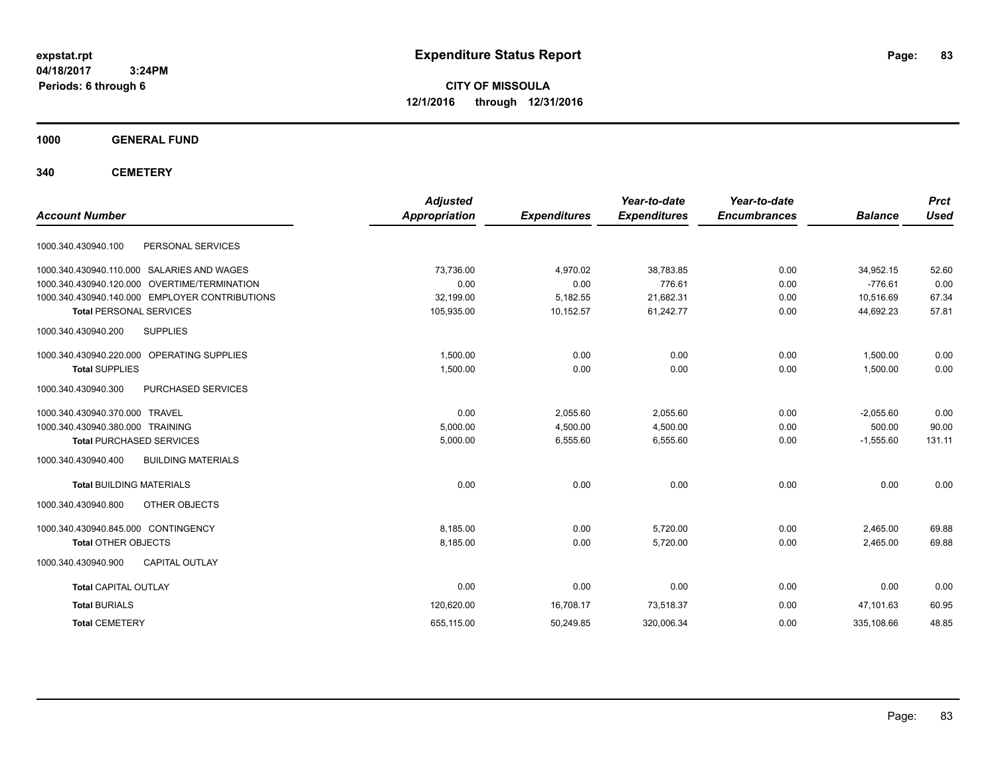**CITY OF MISSOULA 12/1/2016 through 12/31/2016**

**1000 GENERAL FUND**

**340 CEMETERY**

| <b>Account Number</b>                            | <b>Adjusted</b><br><b>Appropriation</b> | <b>Expenditures</b> | Year-to-date<br><b>Expenditures</b> | Year-to-date<br><b>Encumbrances</b> | <b>Balance</b> | <b>Prct</b><br><b>Used</b> |
|--------------------------------------------------|-----------------------------------------|---------------------|-------------------------------------|-------------------------------------|----------------|----------------------------|
| 1000.340.430940.100<br>PERSONAL SERVICES         |                                         |                     |                                     |                                     |                |                            |
| 1000.340.430940.110.000 SALARIES AND WAGES       | 73,736.00                               | 4,970.02            | 38,783.85                           | 0.00                                | 34,952.15      | 52.60                      |
| 1000.340.430940.120.000 OVERTIME/TERMINATION     | 0.00                                    | 0.00                | 776.61                              | 0.00                                | $-776.61$      | 0.00                       |
| 1000.340.430940.140.000 EMPLOYER CONTRIBUTIONS   | 32,199.00                               | 5,182.55            | 21,682.31                           | 0.00                                | 10,516.69      | 67.34                      |
| <b>Total PERSONAL SERVICES</b>                   | 105,935.00                              | 10,152.57           | 61,242.77                           | 0.00                                | 44,692.23      | 57.81                      |
| <b>SUPPLIES</b><br>1000.340.430940.200           |                                         |                     |                                     |                                     |                |                            |
| 1000.340.430940.220.000 OPERATING SUPPLIES       | 1.500.00                                | 0.00                | 0.00                                | 0.00                                | 1.500.00       | 0.00                       |
| <b>Total SUPPLIES</b>                            | 1,500.00                                | 0.00                | 0.00                                | 0.00                                | 1,500.00       | 0.00                       |
| 1000.340.430940.300<br>PURCHASED SERVICES        |                                         |                     |                                     |                                     |                |                            |
| 1000.340.430940.370.000 TRAVEL                   | 0.00                                    | 2,055.60            | 2,055.60                            | 0.00                                | $-2,055.60$    | 0.00                       |
| 1000.340.430940.380.000 TRAINING                 | 5,000.00                                | 4,500.00            | 4,500.00                            | 0.00                                | 500.00         | 90.00                      |
| <b>Total PURCHASED SERVICES</b>                  | 5,000.00                                | 6,555.60            | 6,555.60                            | 0.00                                | $-1,555.60$    | 131.11                     |
| 1000.340.430940.400<br><b>BUILDING MATERIALS</b> |                                         |                     |                                     |                                     |                |                            |
| <b>Total BUILDING MATERIALS</b>                  | 0.00                                    | 0.00                | 0.00                                | 0.00                                | 0.00           | 0.00                       |
| 1000.340.430940.800<br>OTHER OBJECTS             |                                         |                     |                                     |                                     |                |                            |
| 1000.340.430940.845.000 CONTINGENCY              | 8.185.00                                | 0.00                | 5.720.00                            | 0.00                                | 2,465.00       | 69.88                      |
| <b>Total OTHER OBJECTS</b>                       | 8,185.00                                | 0.00                | 5,720.00                            | 0.00                                | 2,465.00       | 69.88                      |
| CAPITAL OUTLAY<br>1000.340.430940.900            |                                         |                     |                                     |                                     |                |                            |
| <b>Total CAPITAL OUTLAY</b>                      | 0.00                                    | 0.00                | 0.00                                | 0.00                                | 0.00           | 0.00                       |
| <b>Total BURIALS</b>                             | 120,620.00                              | 16,708.17           | 73,518.37                           | 0.00                                | 47.101.63      | 60.95                      |
| <b>Total CEMETERY</b>                            | 655,115.00                              | 50,249.85           | 320,006.34                          | 0.00                                | 335,108.66     | 48.85                      |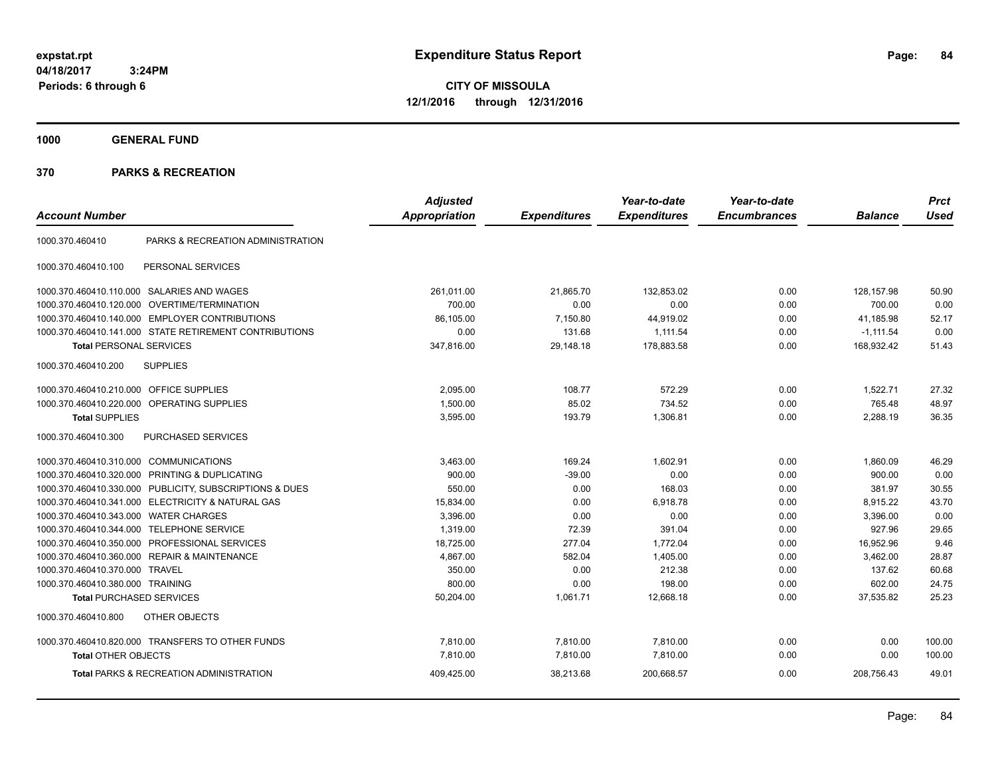**CITY OF MISSOULA 12/1/2016 through 12/31/2016**

**1000 GENERAL FUND**

|                                         |                                                         | <b>Adjusted</b>      |                     | Year-to-date        | Year-to-date        |                | <b>Prct</b> |
|-----------------------------------------|---------------------------------------------------------|----------------------|---------------------|---------------------|---------------------|----------------|-------------|
| <b>Account Number</b>                   |                                                         | <b>Appropriation</b> | <b>Expenditures</b> | <b>Expenditures</b> | <b>Encumbrances</b> | <b>Balance</b> | <b>Used</b> |
| 1000.370.460410                         | PARKS & RECREATION ADMINISTRATION                       |                      |                     |                     |                     |                |             |
| 1000.370.460410.100                     | PERSONAL SERVICES                                       |                      |                     |                     |                     |                |             |
|                                         | 1000.370.460410.110.000 SALARIES AND WAGES              | 261,011.00           | 21,865.70           | 132,853.02          | 0.00                | 128, 157.98    | 50.90       |
| 1000.370.460410.120.000                 | OVERTIME/TERMINATION                                    | 700.00               | 0.00                | 0.00                | 0.00                | 700.00         | 0.00        |
|                                         | 1000.370.460410.140.000 EMPLOYER CONTRIBUTIONS          | 86,105.00            | 7,150.80            | 44,919.02           | 0.00                | 41,185.98      | 52.17       |
|                                         | 1000.370.460410.141.000 STATE RETIREMENT CONTRIBUTIONS  | 0.00                 | 131.68              | 1,111.54            | 0.00                | $-1, 111.54$   | 0.00        |
| <b>Total PERSONAL SERVICES</b>          |                                                         | 347,816.00           | 29,148.18           | 178,883.58          | 0.00                | 168,932.42     | 51.43       |
| 1000.370.460410.200                     | <b>SUPPLIES</b>                                         |                      |                     |                     |                     |                |             |
| 1000.370.460410.210.000 OFFICE SUPPLIES |                                                         | 2,095.00             | 108.77              | 572.29              | 0.00                | 1,522.71       | 27.32       |
|                                         | 1000.370.460410.220.000 OPERATING SUPPLIES              | 1,500.00             | 85.02               | 734.52              | 0.00                | 765.48         | 48.97       |
| <b>Total SUPPLIES</b>                   |                                                         | 3,595.00             | 193.79              | 1,306.81            | 0.00                | 2,288.19       | 36.35       |
| 1000.370.460410.300                     | PURCHASED SERVICES                                      |                      |                     |                     |                     |                |             |
| 1000.370.460410.310.000 COMMUNICATIONS  |                                                         | 3,463.00             | 169.24              | 1,602.91            | 0.00                | 1,860.09       | 46.29       |
| 1000.370.460410.320.000                 | PRINTING & DUPLICATING                                  | 900.00               | $-39.00$            | 0.00                | 0.00                | 900.00         | 0.00        |
|                                         | 1000.370.460410.330.000 PUBLICITY, SUBSCRIPTIONS & DUES | 550.00               | 0.00                | 168.03              | 0.00                | 381.97         | 30.55       |
|                                         | 1000.370.460410.341.000 ELECTRICITY & NATURAL GAS       | 15,834.00            | 0.00                | 6,918.78            | 0.00                | 8,915.22       | 43.70       |
| 1000.370.460410.343.000                 | <b>WATER CHARGES</b>                                    | 3,396.00             | 0.00                | 0.00                | 0.00                | 3,396.00       | 0.00        |
| 1000.370.460410.344.000                 | <b>TELEPHONE SERVICE</b>                                | 1,319.00             | 72.39               | 391.04              | 0.00                | 927.96         | 29.65       |
| 1000.370.460410.350.000                 | PROFESSIONAL SERVICES                                   | 18,725.00            | 277.04              | 1,772.04            | 0.00                | 16,952.96      | 9.46        |
|                                         | 1000.370.460410.360.000 REPAIR & MAINTENANCE            | 4,867.00             | 582.04              | 1,405.00            | 0.00                | 3,462.00       | 28.87       |
| 1000.370.460410.370.000 TRAVEL          |                                                         | 350.00               | 0.00                | 212.38              | 0.00                | 137.62         | 60.68       |
| 1000.370.460410.380.000 TRAINING        |                                                         | 800.00               | 0.00                | 198.00              | 0.00                | 602.00         | 24.75       |
| <b>Total PURCHASED SERVICES</b>         |                                                         | 50,204.00            | 1,061.71            | 12,668.18           | 0.00                | 37,535.82      | 25.23       |
| 1000.370.460410.800                     | OTHER OBJECTS                                           |                      |                     |                     |                     |                |             |
|                                         | 1000.370.460410.820.000 TRANSFERS TO OTHER FUNDS        | 7,810.00             | 7,810.00            | 7,810.00            | 0.00                | 0.00           | 100.00      |
| <b>Total OTHER OBJECTS</b>              |                                                         | 7,810.00             | 7,810.00            | 7,810.00            | 0.00                | 0.00           | 100.00      |
|                                         | <b>Total PARKS &amp; RECREATION ADMINISTRATION</b>      | 409,425.00           | 38,213.68           | 200,668.57          | 0.00                | 208,756.43     | 49.01       |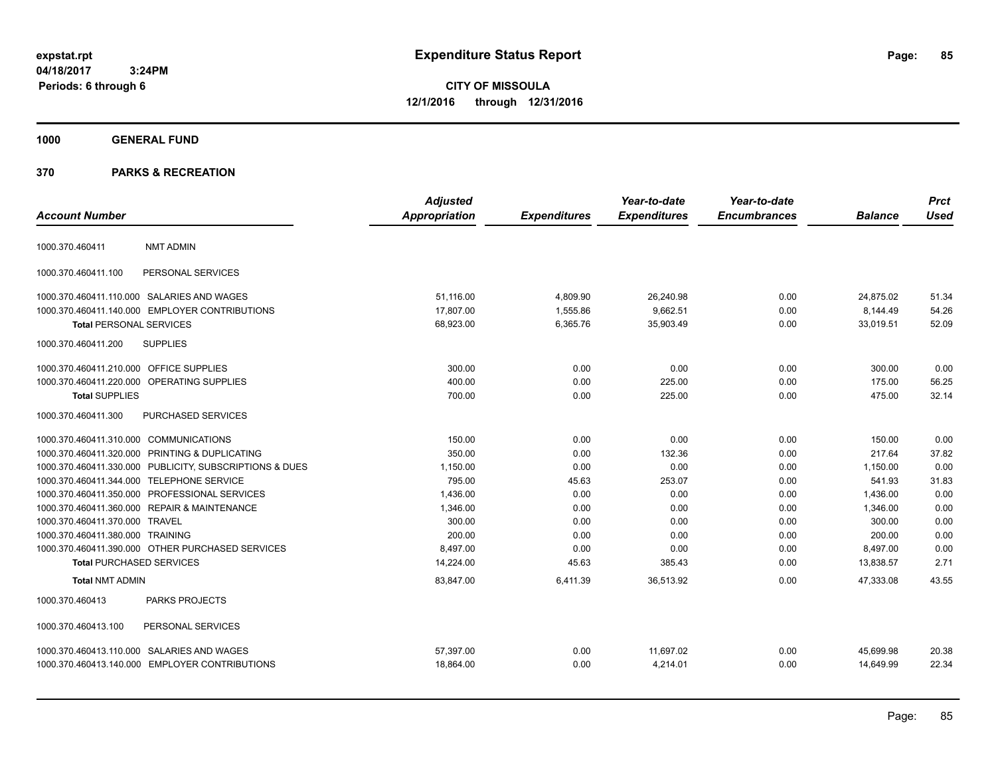**CITY OF MISSOULA 12/1/2016 through 12/31/2016**

## **1000 GENERAL FUND**

|                                         |                                                         | <b>Adjusted</b>      |                     | Year-to-date        | Year-to-date        |                | <b>Prct</b> |
|-----------------------------------------|---------------------------------------------------------|----------------------|---------------------|---------------------|---------------------|----------------|-------------|
| <b>Account Number</b>                   |                                                         | <b>Appropriation</b> | <b>Expenditures</b> | <b>Expenditures</b> | <b>Encumbrances</b> | <b>Balance</b> | <b>Used</b> |
| 1000.370.460411                         | <b>NMT ADMIN</b>                                        |                      |                     |                     |                     |                |             |
| 1000.370.460411.100                     | PERSONAL SERVICES                                       |                      |                     |                     |                     |                |             |
|                                         | 1000.370.460411.110.000 SALARIES AND WAGES              | 51,116.00            | 4,809.90            | 26,240.98           | 0.00                | 24,875.02      | 51.34       |
|                                         | 1000.370.460411.140.000 EMPLOYER CONTRIBUTIONS          | 17,807.00            | 1,555.86            | 9,662.51            | 0.00                | 8,144.49       | 54.26       |
| <b>Total PERSONAL SERVICES</b>          |                                                         | 68,923.00            | 6,365.76            | 35,903.49           | 0.00                | 33,019.51      | 52.09       |
| 1000.370.460411.200                     | <b>SUPPLIES</b>                                         |                      |                     |                     |                     |                |             |
| 1000.370.460411.210.000 OFFICE SUPPLIES |                                                         | 300.00               | 0.00                | 0.00                | 0.00                | 300.00         | 0.00        |
|                                         | 1000.370.460411.220.000 OPERATING SUPPLIES              | 400.00               | 0.00                | 225.00              | 0.00                | 175.00         | 56.25       |
| <b>Total SUPPLIES</b>                   |                                                         | 700.00               | 0.00                | 225.00              | 0.00                | 475.00         | 32.14       |
| 1000.370.460411.300                     | PURCHASED SERVICES                                      |                      |                     |                     |                     |                |             |
| 1000.370.460411.310.000 COMMUNICATIONS  |                                                         | 150.00               | 0.00                | 0.00                | 0.00                | 150.00         | 0.00        |
|                                         | 1000.370.460411.320.000 PRINTING & DUPLICATING          | 350.00               | 0.00                | 132.36              | 0.00                | 217.64         | 37.82       |
|                                         | 1000.370.460411.330.000 PUBLICITY, SUBSCRIPTIONS & DUES | 1,150.00             | 0.00                | 0.00                | 0.00                | 1,150.00       | 0.00        |
|                                         | 1000.370.460411.344.000 TELEPHONE SERVICE               | 795.00               | 45.63               | 253.07              | 0.00                | 541.93         | 31.83       |
|                                         | 1000.370.460411.350.000 PROFESSIONAL SERVICES           | 1,436.00             | 0.00                | 0.00                | 0.00                | 1,436.00       | 0.00        |
|                                         | 1000.370.460411.360.000 REPAIR & MAINTENANCE            | 1,346.00             | 0.00                | 0.00                | 0.00                | 1,346.00       | 0.00        |
| 1000.370.460411.370.000 TRAVEL          |                                                         | 300.00               | 0.00                | 0.00                | 0.00                | 300.00         | 0.00        |
| 1000.370.460411.380.000 TRAINING        |                                                         | 200.00               | 0.00                | 0.00                | 0.00                | 200.00         | 0.00        |
|                                         | 1000.370.460411.390.000 OTHER PURCHASED SERVICES        | 8,497.00             | 0.00                | 0.00                | 0.00                | 8,497.00       | 0.00        |
| <b>Total PURCHASED SERVICES</b>         |                                                         | 14,224.00            | 45.63               | 385.43              | 0.00                | 13,838.57      | 2.71        |
| <b>Total NMT ADMIN</b>                  |                                                         | 83,847.00            | 6,411.39            | 36,513.92           | 0.00                | 47,333.08      | 43.55       |
| 1000.370.460413                         | PARKS PROJECTS                                          |                      |                     |                     |                     |                |             |
| 1000.370.460413.100                     | PERSONAL SERVICES                                       |                      |                     |                     |                     |                |             |
|                                         | 1000.370.460413.110.000 SALARIES AND WAGES              | 57,397.00            | 0.00                | 11,697.02           | 0.00                | 45,699.98      | 20.38       |
|                                         | 1000.370.460413.140.000 EMPLOYER CONTRIBUTIONS          | 18,864.00            | 0.00                | 4,214.01            | 0.00                | 14,649.99      | 22.34       |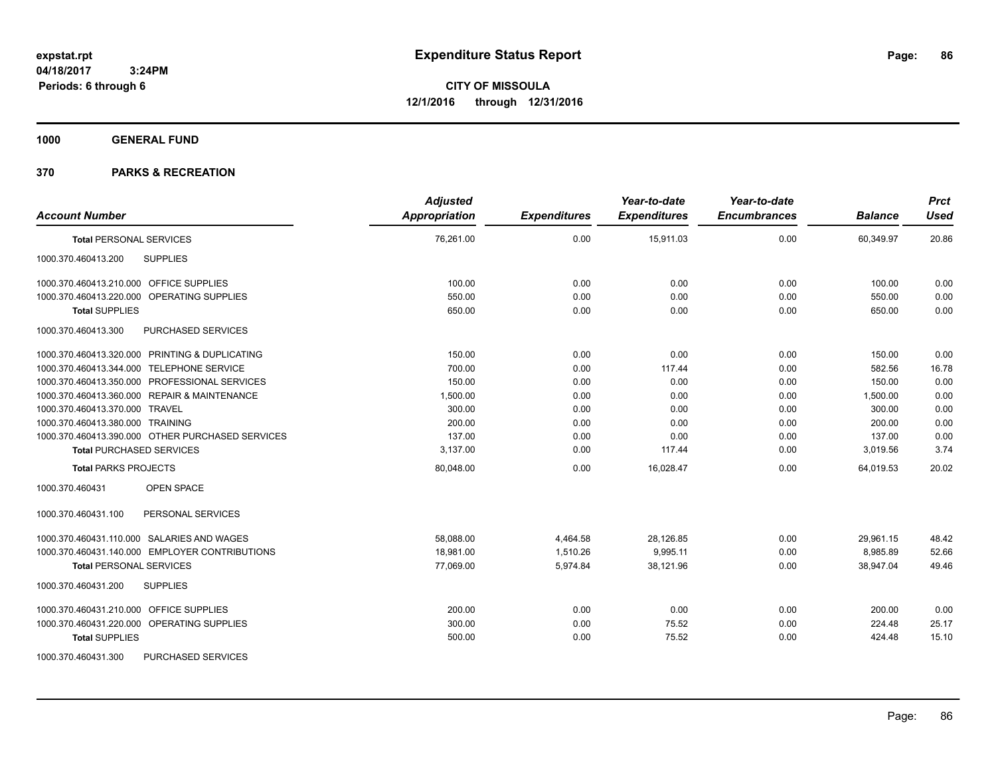**1000 GENERAL FUND**

| <b>Account Number</b>                            | <b>Adjusted</b><br><b>Appropriation</b> | <b>Expenditures</b> | Year-to-date<br><b>Expenditures</b> | Year-to-date<br><b>Encumbrances</b> | <b>Balance</b> | <b>Prct</b><br><b>Used</b> |
|--------------------------------------------------|-----------------------------------------|---------------------|-------------------------------------|-------------------------------------|----------------|----------------------------|
| <b>Total PERSONAL SERVICES</b>                   | 76,261.00                               | 0.00                | 15,911.03                           | 0.00                                | 60,349.97      | 20.86                      |
| <b>SUPPLIES</b><br>1000.370.460413.200           |                                         |                     |                                     |                                     |                |                            |
| 1000.370.460413.210.000 OFFICE SUPPLIES          | 100.00                                  | 0.00                | 0.00                                | 0.00                                | 100.00         | 0.00                       |
| 1000.370.460413.220.000 OPERATING SUPPLIES       | 550.00                                  | 0.00                | 0.00                                | 0.00                                | 550.00         | 0.00                       |
| <b>Total SUPPLIES</b>                            | 650.00                                  | 0.00                | 0.00                                | 0.00                                | 650.00         | 0.00                       |
| 1000.370.460413.300<br>PURCHASED SERVICES        |                                         |                     |                                     |                                     |                |                            |
| 1000.370.460413.320.000 PRINTING & DUPLICATING   | 150.00                                  | 0.00                | 0.00                                | 0.00                                | 150.00         | 0.00                       |
| 1000.370.460413.344.000 TELEPHONE SERVICE        | 700.00                                  | 0.00                | 117.44                              | 0.00                                | 582.56         | 16.78                      |
| 1000.370.460413.350.000 PROFESSIONAL SERVICES    | 150.00                                  | 0.00                | 0.00                                | 0.00                                | 150.00         | 0.00                       |
| 1000.370.460413.360.000 REPAIR & MAINTENANCE     | 1,500.00                                | 0.00                | 0.00                                | 0.00                                | 1,500.00       | 0.00                       |
| 1000.370.460413.370.000 TRAVEL                   | 300.00                                  | 0.00                | 0.00                                | 0.00                                | 300.00         | 0.00                       |
| 1000.370.460413.380.000 TRAINING                 | 200.00                                  | 0.00                | 0.00                                | 0.00                                | 200.00         | 0.00                       |
| 1000.370.460413.390.000 OTHER PURCHASED SERVICES | 137.00                                  | 0.00                | 0.00                                | 0.00                                | 137.00         | 0.00                       |
| <b>Total PURCHASED SERVICES</b>                  | 3,137.00                                | 0.00                | 117.44                              | 0.00                                | 3,019.56       | 3.74                       |
| <b>Total PARKS PROJECTS</b>                      | 80,048.00                               | 0.00                | 16,028.47                           | 0.00                                | 64,019.53      | 20.02                      |
| 1000.370.460431<br><b>OPEN SPACE</b>             |                                         |                     |                                     |                                     |                |                            |
| 1000.370.460431.100<br>PERSONAL SERVICES         |                                         |                     |                                     |                                     |                |                            |
| 1000.370.460431.110.000 SALARIES AND WAGES       | 58,088.00                               | 4,464.58            | 28,126.85                           | 0.00                                | 29,961.15      | 48.42                      |
| 1000.370.460431.140.000 EMPLOYER CONTRIBUTIONS   | 18,981.00                               | 1,510.26            | 9,995.11                            | 0.00                                | 8,985.89       | 52.66                      |
| <b>Total PERSONAL SERVICES</b>                   | 77,069.00                               | 5,974.84            | 38,121.96                           | 0.00                                | 38,947.04      | 49.46                      |
| 1000.370.460431.200<br><b>SUPPLIES</b>           |                                         |                     |                                     |                                     |                |                            |
| 1000.370.460431.210.000 OFFICE SUPPLIES          | 200.00                                  | 0.00                | 0.00                                | 0.00                                | 200.00         | 0.00                       |
| 1000.370.460431.220.000 OPERATING SUPPLIES       | 300.00                                  | 0.00                | 75.52                               | 0.00                                | 224.48         | 25.17                      |
| <b>Total SUPPLIES</b>                            | 500.00                                  | 0.00                | 75.52                               | 0.00                                | 424.48         | 15.10                      |
| 1000.370.460431.300<br><b>PURCHASED SERVICES</b> |                                         |                     |                                     |                                     |                |                            |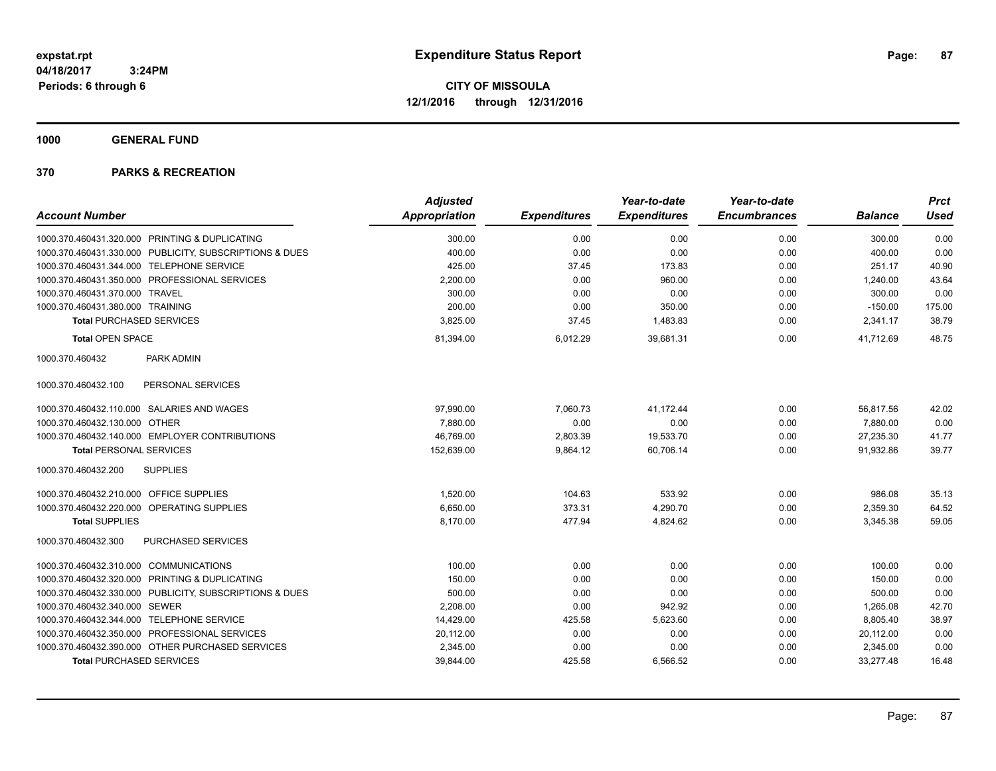**1000 GENERAL FUND**

|                                                         | <b>Adjusted</b>      |                     | Year-to-date        | Year-to-date        |                | <b>Prct</b> |
|---------------------------------------------------------|----------------------|---------------------|---------------------|---------------------|----------------|-------------|
| <b>Account Number</b>                                   | <b>Appropriation</b> | <b>Expenditures</b> | <b>Expenditures</b> | <b>Encumbrances</b> | <b>Balance</b> | <b>Used</b> |
| 1000.370.460431.320.000 PRINTING & DUPLICATING          | 300.00               | 0.00                | 0.00                | 0.00                | 300.00         | 0.00        |
| 1000.370.460431.330.000 PUBLICITY, SUBSCRIPTIONS & DUES | 400.00               | 0.00                | 0.00                | 0.00                | 400.00         | 0.00        |
| 1000.370.460431.344.000 TELEPHONE SERVICE               | 425.00               | 37.45               | 173.83              | 0.00                | 251.17         | 40.90       |
| 1000.370.460431.350.000 PROFESSIONAL SERVICES           | 2,200.00             | 0.00                | 960.00              | 0.00                | 1,240.00       | 43.64       |
| 1000.370.460431.370.000 TRAVEL                          | 300.00               | 0.00                | 0.00                | 0.00                | 300.00         | 0.00        |
| 1000.370.460431.380.000 TRAINING                        | 200.00               | 0.00                | 350.00              | 0.00                | $-150.00$      | 175.00      |
| <b>Total PURCHASED SERVICES</b>                         | 3,825.00             | 37.45               | 1,483.83            | 0.00                | 2,341.17       | 38.79       |
| <b>Total OPEN SPACE</b>                                 | 81,394.00            | 6,012.29            | 39,681.31           | 0.00                | 41,712.69      | 48.75       |
| 1000.370.460432<br>PARK ADMIN                           |                      |                     |                     |                     |                |             |
| PERSONAL SERVICES<br>1000.370.460432.100                |                      |                     |                     |                     |                |             |
| 1000.370.460432.110.000 SALARIES AND WAGES              | 97,990.00            | 7,060.73            | 41,172.44           | 0.00                | 56,817.56      | 42.02       |
| 1000.370.460432.130.000<br><b>OTHER</b>                 | 7.880.00             | 0.00                | 0.00                | 0.00                | 7,880.00       | 0.00        |
| 1000.370.460432.140.000 EMPLOYER CONTRIBUTIONS          | 46,769.00            | 2,803.39            | 19,533.70           | 0.00                | 27,235.30      | 41.77       |
| <b>Total PERSONAL SERVICES</b>                          | 152,639.00           | 9,864.12            | 60,706.14           | 0.00                | 91,932.86      | 39.77       |
| 1000.370.460432.200<br><b>SUPPLIES</b>                  |                      |                     |                     |                     |                |             |
| 1000.370.460432.210.000 OFFICE SUPPLIES                 | 1.520.00             | 104.63              | 533.92              | 0.00                | 986.08         | 35.13       |
| 1000.370.460432.220.000 OPERATING SUPPLIES              | 6,650.00             | 373.31              | 4,290.70            | 0.00                | 2,359.30       | 64.52       |
| <b>Total SUPPLIES</b>                                   | 8.170.00             | 477.94              | 4,824.62            | 0.00                | 3,345.38       | 59.05       |
| 1000.370.460432.300<br>PURCHASED SERVICES               |                      |                     |                     |                     |                |             |
| 1000.370.460432.310.000 COMMUNICATIONS                  | 100.00               | 0.00                | 0.00                | 0.00                | 100.00         | 0.00        |
| 1000.370.460432.320.000 PRINTING & DUPLICATING          | 150.00               | 0.00                | 0.00                | 0.00                | 150.00         | 0.00        |
| 1000.370.460432.330.000 PUBLICITY, SUBSCRIPTIONS & DUES | 500.00               | 0.00                | 0.00                | 0.00                | 500.00         | 0.00        |
| 1000.370.460432.340.000 SEWER                           | 2,208.00             | 0.00                | 942.92              | 0.00                | 1,265.08       | 42.70       |
| 1000.370.460432.344.000 TELEPHONE SERVICE               | 14,429.00            | 425.58              | 5,623.60            | 0.00                | 8,805.40       | 38.97       |
| 1000.370.460432.350.000 PROFESSIONAL SERVICES           | 20,112.00            | 0.00                | 0.00                | 0.00                | 20,112.00      | 0.00        |
| 1000.370.460432.390.000 OTHER PURCHASED SERVICES        | 2,345.00             | 0.00                | 0.00                | 0.00                | 2,345.00       | 0.00        |
| <b>Total PURCHASED SERVICES</b>                         | 39,844.00            | 425.58              | 6,566.52            | 0.00                | 33,277.48      | 16.48       |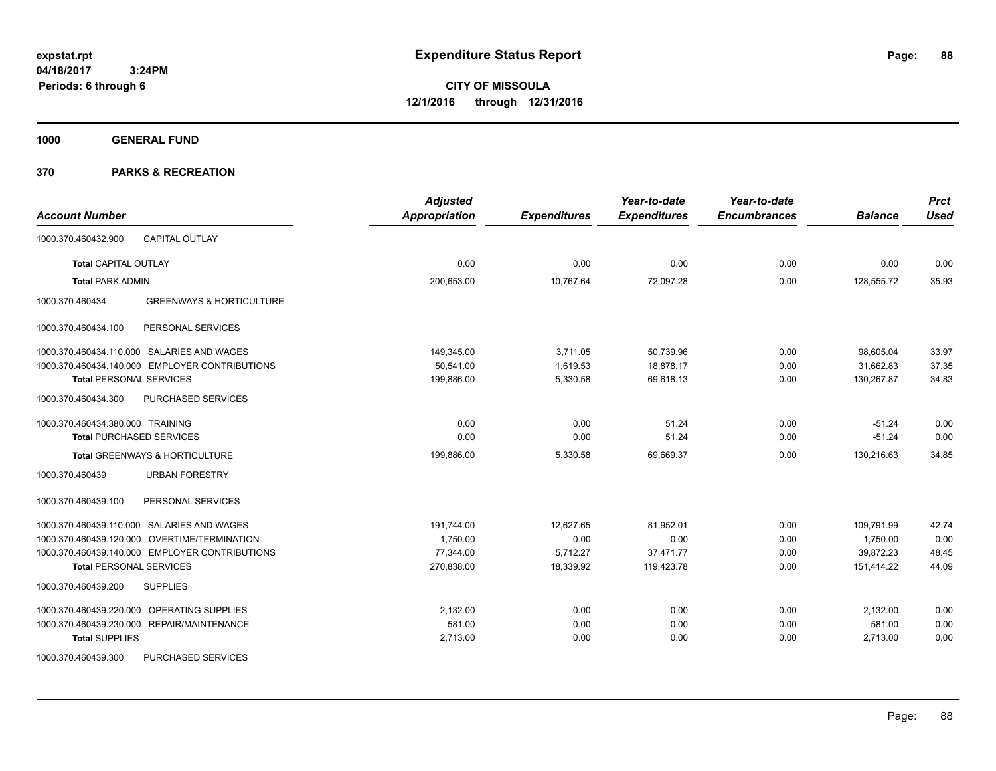**CITY OF MISSOULA 12/1/2016 through 12/31/2016**

**1000 GENERAL FUND**

| <b>Account Number</b>                                  | <b>Adjusted</b><br><b>Appropriation</b> | <b>Expenditures</b> | Year-to-date<br><b>Expenditures</b> | Year-to-date<br><b>Encumbrances</b> | <b>Balance</b> | <b>Prct</b><br><b>Used</b> |
|--------------------------------------------------------|-----------------------------------------|---------------------|-------------------------------------|-------------------------------------|----------------|----------------------------|
| <b>CAPITAL OUTLAY</b><br>1000.370.460432.900           |                                         |                     |                                     |                                     |                |                            |
| <b>Total CAPITAL OUTLAY</b>                            | 0.00                                    | 0.00                | 0.00                                | 0.00                                | 0.00           | 0.00                       |
| <b>Total PARK ADMIN</b>                                | 200.653.00                              | 10.767.64           | 72.097.28                           | 0.00                                | 128,555.72     | 35.93                      |
| <b>GREENWAYS &amp; HORTICULTURE</b><br>1000.370.460434 |                                         |                     |                                     |                                     |                |                            |
| PERSONAL SERVICES<br>1000.370.460434.100               |                                         |                     |                                     |                                     |                |                            |
| 1000.370.460434.110.000 SALARIES AND WAGES             | 149,345.00                              | 3,711.05            | 50,739.96                           | 0.00                                | 98,605.04      | 33.97                      |
| 1000.370.460434.140.000 EMPLOYER CONTRIBUTIONS         | 50,541.00                               | 1,619.53            | 18,878.17                           | 0.00                                | 31,662.83      | 37.35                      |
| <b>Total PERSONAL SERVICES</b>                         | 199,886.00                              | 5,330.58            | 69,618.13                           | 0.00                                | 130,267.87     | 34.83                      |
| 1000.370.460434.300<br>PURCHASED SERVICES              |                                         |                     |                                     |                                     |                |                            |
| 1000.370.460434.380.000 TRAINING                       | 0.00                                    | 0.00                | 51.24                               | 0.00                                | $-51.24$       | 0.00                       |
| <b>Total PURCHASED SERVICES</b>                        | 0.00                                    | 0.00                | 51.24                               | 0.00                                | $-51.24$       | 0.00                       |
| <b>Total GREENWAYS &amp; HORTICULTURE</b>              | 199,886.00                              | 5,330.58            | 69,669.37                           | 0.00                                | 130,216.63     | 34.85                      |
| 1000.370.460439<br><b>URBAN FORESTRY</b>               |                                         |                     |                                     |                                     |                |                            |
| PERSONAL SERVICES<br>1000.370.460439.100               |                                         |                     |                                     |                                     |                |                            |
| 1000.370.460439.110.000 SALARIES AND WAGES             | 191,744.00                              | 12,627.65           | 81,952.01                           | 0.00                                | 109,791.99     | 42.74                      |
| 1000.370.460439.120.000 OVERTIME/TERMINATION           | 1,750.00                                | 0.00                | 0.00                                | 0.00                                | 1,750.00       | 0.00                       |
| 1000.370.460439.140.000 EMPLOYER CONTRIBUTIONS         | 77,344.00                               | 5,712.27            | 37,471.77                           | 0.00                                | 39,872.23      | 48.45                      |
| <b>Total PERSONAL SERVICES</b>                         | 270,838.00                              | 18,339.92           | 119,423.78                          | 0.00                                | 151,414.22     | 44.09                      |
| 1000.370.460439.200<br><b>SUPPLIES</b>                 |                                         |                     |                                     |                                     |                |                            |
| 1000.370.460439.220.000 OPERATING SUPPLIES             | 2,132.00                                | 0.00                | 0.00                                | 0.00                                | 2,132.00       | 0.00                       |
| 1000.370.460439.230.000 REPAIR/MAINTENANCE             | 581.00                                  | 0.00                | 0.00                                | 0.00                                | 581.00         | 0.00                       |
| <b>Total SUPPLIES</b>                                  | 2,713.00                                | 0.00                | 0.00                                | 0.00                                | 2,713.00       | 0.00                       |
| PURCHASED SERVICES<br>1000.370.460439.300              |                                         |                     |                                     |                                     |                |                            |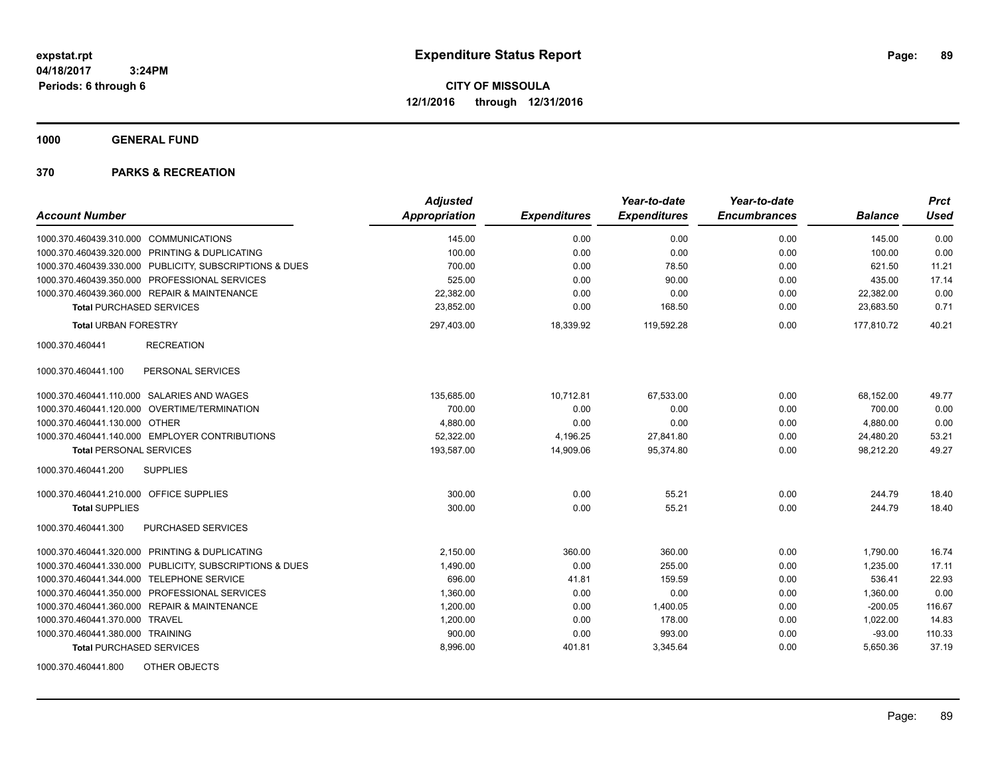**1000 GENERAL FUND**

|                                                         | <b>Adjusted</b>      |                     | Year-to-date        | Year-to-date        |                | <b>Prct</b> |
|---------------------------------------------------------|----------------------|---------------------|---------------------|---------------------|----------------|-------------|
| <b>Account Number</b>                                   | <b>Appropriation</b> | <b>Expenditures</b> | <b>Expenditures</b> | <b>Encumbrances</b> | <b>Balance</b> | <b>Used</b> |
| 1000.370.460439.310.000 COMMUNICATIONS                  | 145.00               | 0.00                | 0.00                | 0.00                | 145.00         | 0.00        |
| 1000.370.460439.320.000 PRINTING & DUPLICATING          | 100.00               | 0.00                | 0.00                | 0.00                | 100.00         | 0.00        |
| 1000.370.460439.330.000 PUBLICITY, SUBSCRIPTIONS & DUES | 700.00               | 0.00                | 78.50               | 0.00                | 621.50         | 11.21       |
| 1000.370.460439.350.000 PROFESSIONAL SERVICES           | 525.00               | 0.00                | 90.00               | 0.00                | 435.00         | 17.14       |
| 1000.370.460439.360.000 REPAIR & MAINTENANCE            | 22,382.00            | 0.00                | 0.00                | 0.00                | 22,382.00      | 0.00        |
| <b>Total PURCHASED SERVICES</b>                         | 23,852.00            | 0.00                | 168.50              | 0.00                | 23,683.50      | 0.71        |
| <b>Total URBAN FORESTRY</b>                             | 297,403.00           | 18,339.92           | 119,592.28          | 0.00                | 177,810.72     | 40.21       |
| 1000.370.460441<br><b>RECREATION</b>                    |                      |                     |                     |                     |                |             |
| PERSONAL SERVICES<br>1000.370.460441.100                |                      |                     |                     |                     |                |             |
| 1000.370.460441.110.000 SALARIES AND WAGES              | 135.685.00           | 10,712.81           | 67,533.00           | 0.00                | 68,152.00      | 49.77       |
| 1000.370.460441.120.000 OVERTIME/TERMINATION            | 700.00               | 0.00                | 0.00                | 0.00                | 700.00         | 0.00        |
| 1000.370.460441.130.000 OTHER                           | 4,880.00             | 0.00                | 0.00                | 0.00                | 4,880.00       | 0.00        |
| 1000.370.460441.140.000 EMPLOYER CONTRIBUTIONS          | 52,322.00            | 4,196.25            | 27,841.80           | 0.00                | 24,480.20      | 53.21       |
| <b>Total PERSONAL SERVICES</b>                          | 193,587.00           | 14,909.06           | 95,374.80           | 0.00                | 98,212.20      | 49.27       |
| 1000.370.460441.200<br><b>SUPPLIES</b>                  |                      |                     |                     |                     |                |             |
| 1000.370.460441.210.000 OFFICE SUPPLIES                 | 300.00               | 0.00                | 55.21               | 0.00                | 244.79         | 18.40       |
| <b>Total SUPPLIES</b>                                   | 300.00               | 0.00                | 55.21               | 0.00                | 244.79         | 18.40       |
| PURCHASED SERVICES<br>1000.370.460441.300               |                      |                     |                     |                     |                |             |
| 1000.370.460441.320.000 PRINTING & DUPLICATING          | 2,150.00             | 360.00              | 360.00              | 0.00                | 1,790.00       | 16.74       |
| 1000.370.460441.330.000 PUBLICITY, SUBSCRIPTIONS & DUES | 1,490.00             | 0.00                | 255.00              | 0.00                | 1,235.00       | 17.11       |
| 1000.370.460441.344.000 TELEPHONE SERVICE               | 696.00               | 41.81               | 159.59              | 0.00                | 536.41         | 22.93       |
| 1000.370.460441.350.000 PROFESSIONAL SERVICES           | 1,360.00             | 0.00                | 0.00                | 0.00                | 1,360.00       | 0.00        |
| 1000.370.460441.360.000 REPAIR & MAINTENANCE            | 1,200.00             | 0.00                | 1,400.05            | 0.00                | $-200.05$      | 116.67      |
| 1000.370.460441.370.000 TRAVEL                          | 1,200.00             | 0.00                | 178.00              | 0.00                | 1,022.00       | 14.83       |
| 1000.370.460441.380.000 TRAINING                        | 900.00               | 0.00                | 993.00              | 0.00                | $-93.00$       | 110.33      |
| <b>Total PURCHASED SERVICES</b>                         | 8,996.00             | 401.81              | 3,345.64            | 0.00                | 5,650.36       | 37.19       |
| 1000.370.460441.800<br>OTHER OBJECTS                    |                      |                     |                     |                     |                |             |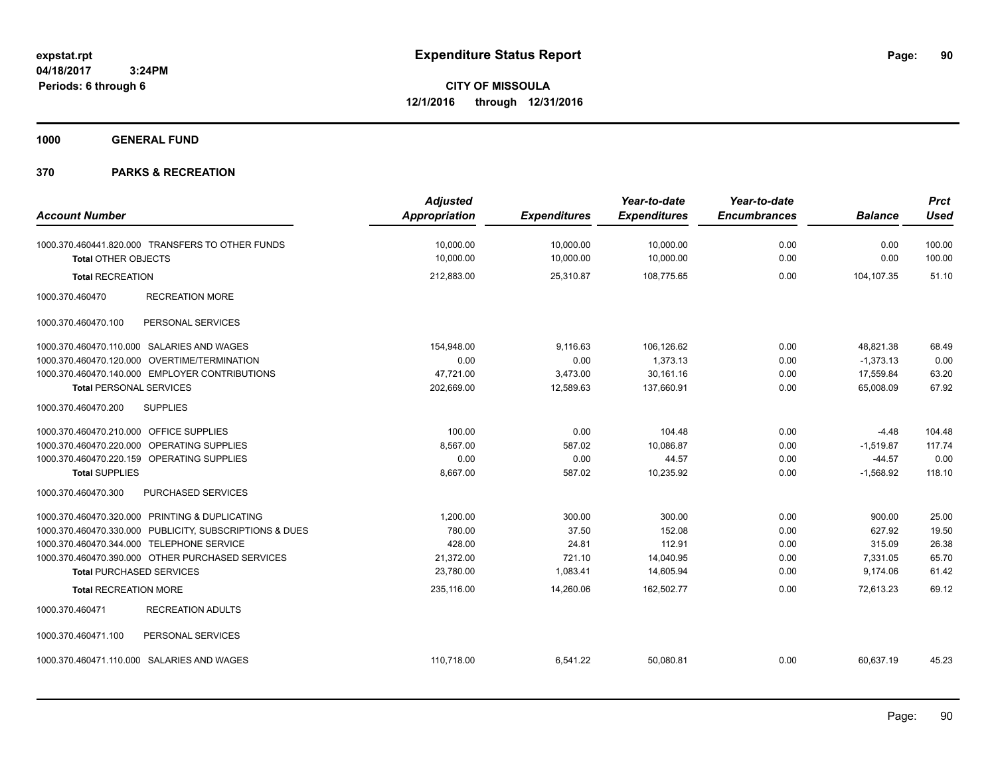**Periods: 6 through 6**

**CITY OF MISSOULA 12/1/2016 through 12/31/2016**

**1000 GENERAL FUND**

## **370 PARKS & RECREATION**

 **3:24PM**

| <b>Account Number</b>                     |                                                         | <b>Adjusted</b><br>Appropriation | <b>Expenditures</b>    | Year-to-date<br><b>Expenditures</b> | Year-to-date<br><b>Encumbrances</b> | <b>Balance</b> | <b>Prct</b><br><b>Used</b> |
|-------------------------------------------|---------------------------------------------------------|----------------------------------|------------------------|-------------------------------------|-------------------------------------|----------------|----------------------------|
| <b>Total OTHER OBJECTS</b>                | 1000.370.460441.820.000 TRANSFERS TO OTHER FUNDS        | 10,000.00<br>10,000.00           | 10,000.00<br>10,000.00 | 10,000.00<br>10,000.00              | 0.00<br>0.00                        | 0.00<br>0.00   | 100.00<br>100.00           |
| <b>Total RECREATION</b>                   |                                                         | 212,883.00                       | 25,310.87              | 108,775.65                          | 0.00                                | 104,107.35     | 51.10                      |
| 1000.370.460470                           | <b>RECREATION MORE</b>                                  |                                  |                        |                                     |                                     |                |                            |
| 1000.370.460470.100                       | PERSONAL SERVICES                                       |                                  |                        |                                     |                                     |                |                            |
|                                           | 1000.370.460470.110.000 SALARIES AND WAGES              | 154,948.00                       | 9,116.63               | 106,126.62                          | 0.00                                | 48,821.38      | 68.49                      |
|                                           | 1000.370.460470.120.000 OVERTIME/TERMINATION            | 0.00                             | 0.00                   | 1,373.13                            | 0.00                                | $-1,373.13$    | 0.00                       |
|                                           | 1000.370.460470.140.000 EMPLOYER CONTRIBUTIONS          | 47,721.00                        | 3,473.00               | 30,161.16                           | 0.00                                | 17,559.84      | 63.20                      |
| <b>Total PERSONAL SERVICES</b>            |                                                         | 202,669.00                       | 12,589.63              | 137,660.91                          | 0.00                                | 65,008.09      | 67.92                      |
| 1000.370.460470.200                       | <b>SUPPLIES</b>                                         |                                  |                        |                                     |                                     |                |                            |
| 1000.370.460470.210.000 OFFICE SUPPLIES   |                                                         | 100.00                           | 0.00                   | 104.48                              | 0.00                                | $-4.48$        | 104.48                     |
|                                           | 1000.370.460470.220.000 OPERATING SUPPLIES              | 8,567.00                         | 587.02                 | 10,086.87                           | 0.00                                | $-1,519.87$    | 117.74                     |
|                                           | 1000.370.460470.220.159 OPERATING SUPPLIES              | 0.00                             | 0.00                   | 44.57                               | 0.00                                | $-44.57$       | 0.00                       |
| <b>Total SUPPLIES</b>                     |                                                         | 8,667.00                         | 587.02                 | 10,235.92                           | 0.00                                | $-1,568.92$    | 118.10                     |
| 1000.370.460470.300                       | PURCHASED SERVICES                                      |                                  |                        |                                     |                                     |                |                            |
|                                           | 1000.370.460470.320.000 PRINTING & DUPLICATING          | 1,200.00                         | 300.00                 | 300.00                              | 0.00                                | 900.00         | 25.00                      |
|                                           | 1000.370.460470.330.000 PUBLICITY, SUBSCRIPTIONS & DUES | 780.00                           | 37.50                  | 152.08                              | 0.00                                | 627.92         | 19.50                      |
| 1000.370.460470.344.000 TELEPHONE SERVICE |                                                         | 428.00                           | 24.81                  | 112.91                              | 0.00                                | 315.09         | 26.38                      |
|                                           | 1000.370.460470.390.000 OTHER PURCHASED SERVICES        | 21,372.00                        | 721.10                 | 14,040.95                           | 0.00                                | 7,331.05       | 65.70                      |
| <b>Total PURCHASED SERVICES</b>           |                                                         | 23,780.00                        | 1,083.41               | 14,605.94                           | 0.00                                | 9,174.06       | 61.42                      |
| <b>Total RECREATION MORE</b>              |                                                         | 235,116.00                       | 14,260.06              | 162,502.77                          | 0.00                                | 72,613.23      | 69.12                      |
| 1000.370.460471                           | <b>RECREATION ADULTS</b>                                |                                  |                        |                                     |                                     |                |                            |
| 1000.370.460471.100                       | PERSONAL SERVICES                                       |                                  |                        |                                     |                                     |                |                            |
|                                           | 1000.370.460471.110.000 SALARIES AND WAGES              | 110,718.00                       | 6,541.22               | 50,080.81                           | 0.00                                | 60,637.19      | 45.23                      |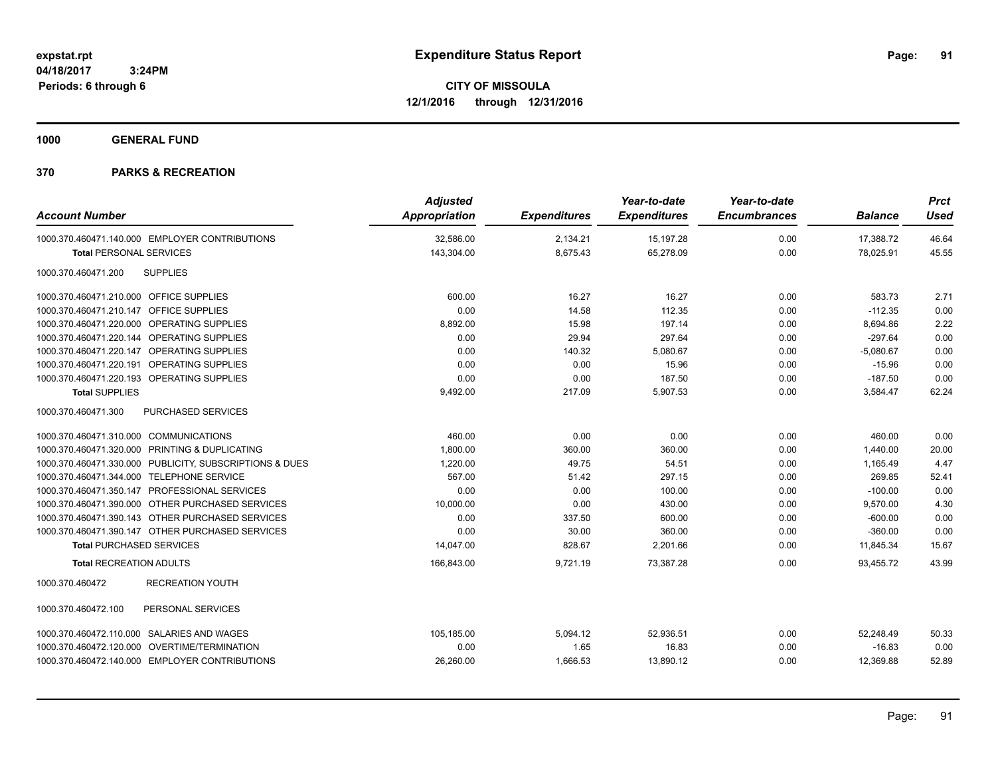**1000 GENERAL FUND**

| <b>Account Number</b>                                   | <b>Adjusted</b><br><b>Appropriation</b> | <b>Expenditures</b> | Year-to-date<br><b>Expenditures</b> | Year-to-date<br><b>Encumbrances</b> | <b>Balance</b> | <b>Prct</b><br><b>Used</b> |
|---------------------------------------------------------|-----------------------------------------|---------------------|-------------------------------------|-------------------------------------|----------------|----------------------------|
|                                                         |                                         |                     |                                     |                                     |                |                            |
| 1000.370.460471.140.000 EMPLOYER CONTRIBUTIONS          | 32,586.00                               | 2,134.21            | 15, 197. 28                         | 0.00                                | 17,388.72      | 46.64                      |
| <b>Total PERSONAL SERVICES</b>                          | 143,304.00                              | 8,675.43            | 65,278.09                           | 0.00                                | 78,025.91      | 45.55                      |
| 1000.370.460471.200<br><b>SUPPLIES</b>                  |                                         |                     |                                     |                                     |                |                            |
| 1000.370.460471.210.000 OFFICE SUPPLIES                 | 600.00                                  | 16.27               | 16.27                               | 0.00                                | 583.73         | 2.71                       |
| 1000.370.460471.210.147 OFFICE SUPPLIES                 | 0.00                                    | 14.58               | 112.35                              | 0.00                                | $-112.35$      | 0.00                       |
| 1000.370.460471.220.000 OPERATING SUPPLIES              | 8,892.00                                | 15.98               | 197.14                              | 0.00                                | 8,694.86       | 2.22                       |
| 1000.370.460471.220.144 OPERATING SUPPLIES              | 0.00                                    | 29.94               | 297.64                              | 0.00                                | $-297.64$      | 0.00                       |
| 1000.370.460471.220.147 OPERATING SUPPLIES              | 0.00                                    | 140.32              | 5,080.67                            | 0.00                                | $-5,080.67$    | 0.00                       |
| 1000.370.460471.220.191 OPERATING SUPPLIES              | 0.00                                    | 0.00                | 15.96                               | 0.00                                | $-15.96$       | 0.00                       |
| 1000.370.460471.220.193 OPERATING SUPPLIES              | 0.00                                    | 0.00                | 187.50                              | 0.00                                | $-187.50$      | 0.00                       |
| <b>Total SUPPLIES</b>                                   | 9,492.00                                | 217.09              | 5,907.53                            | 0.00                                | 3,584.47       | 62.24                      |
| 1000.370.460471.300<br>PURCHASED SERVICES               |                                         |                     |                                     |                                     |                |                            |
| 1000.370.460471.310.000 COMMUNICATIONS                  | 460.00                                  | 0.00                | 0.00                                | 0.00                                | 460.00         | 0.00                       |
| 1000.370.460471.320.000 PRINTING & DUPLICATING          | 1,800.00                                | 360.00              | 360.00                              | 0.00                                | 1,440.00       | 20.00                      |
| 1000.370.460471.330.000 PUBLICITY, SUBSCRIPTIONS & DUES | 1,220.00                                | 49.75               | 54.51                               | 0.00                                | 1.165.49       | 4.47                       |
| 1000.370.460471.344.000 TELEPHONE SERVICE               | 567.00                                  | 51.42               | 297.15                              | 0.00                                | 269.85         | 52.41                      |
| 1000.370.460471.350.147 PROFESSIONAL SERVICES           | 0.00                                    | 0.00                | 100.00                              | 0.00                                | $-100.00$      | 0.00                       |
| 1000.370.460471.390.000 OTHER PURCHASED SERVICES        | 10,000.00                               | 0.00                | 430.00                              | 0.00                                | 9,570.00       | 4.30                       |
| 1000.370.460471.390.143 OTHER PURCHASED SERVICES        | 0.00                                    | 337.50              | 600.00                              | 0.00                                | $-600.00$      | 0.00                       |
| 1000.370.460471.390.147 OTHER PURCHASED SERVICES        | 0.00                                    | 30.00               | 360.00                              | 0.00                                | $-360.00$      | 0.00                       |
| <b>Total PURCHASED SERVICES</b>                         | 14,047.00                               | 828.67              | 2,201.66                            | 0.00                                | 11,845.34      | 15.67                      |
| <b>Total RECREATION ADULTS</b>                          | 166,843.00                              | 9,721.19            | 73,387.28                           | 0.00                                | 93,455.72      | 43.99                      |
| 1000.370.460472<br><b>RECREATION YOUTH</b>              |                                         |                     |                                     |                                     |                |                            |
| 1000.370.460472.100<br>PERSONAL SERVICES                |                                         |                     |                                     |                                     |                |                            |
| 1000.370.460472.110.000 SALARIES AND WAGES              | 105,185.00                              | 5,094.12            | 52,936.51                           | 0.00                                | 52,248.49      | 50.33                      |
| 1000.370.460472.120.000 OVERTIME/TERMINATION            | 0.00                                    | 1.65                | 16.83                               | 0.00                                | $-16.83$       | 0.00                       |
| 1000.370.460472.140.000 EMPLOYER CONTRIBUTIONS          | 26,260.00                               | 1,666.53            | 13,890.12                           | 0.00                                | 12,369.88      | 52.89                      |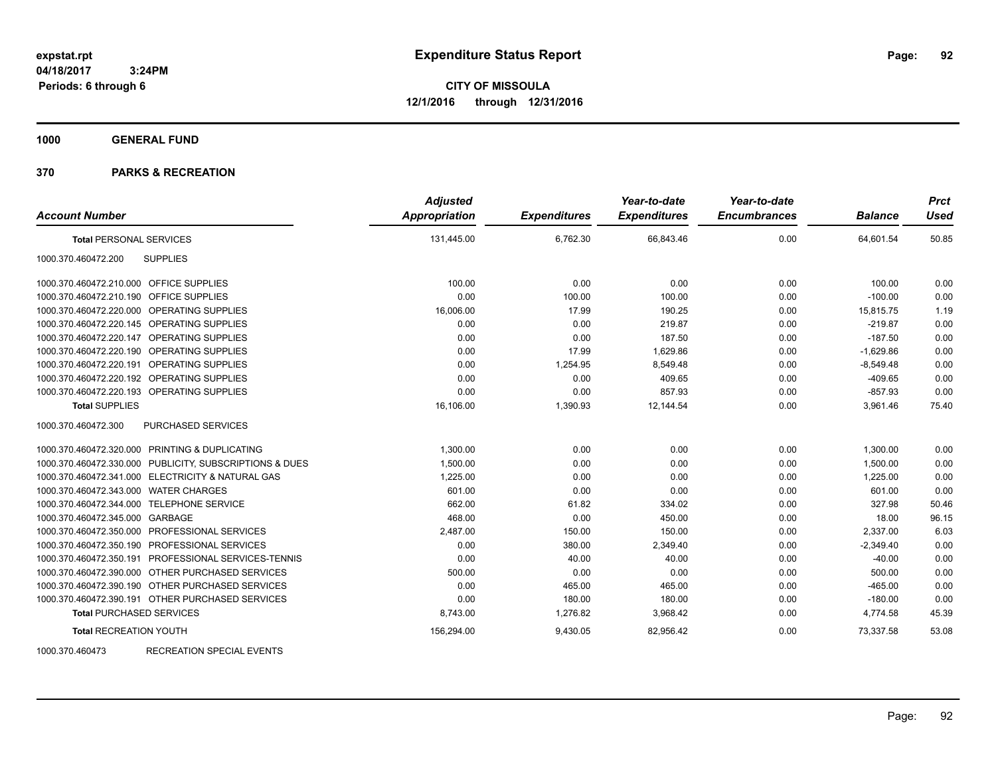**CITY OF MISSOULA 12/1/2016 through 12/31/2016**

**1000 GENERAL FUND**

### **370 PARKS & RECREATION**

| <b>Account Number</b>                                   | <b>Adjusted</b><br>Appropriation | <b>Expenditures</b> | Year-to-date<br><b>Expenditures</b> | Year-to-date<br><b>Encumbrances</b> | <b>Balance</b> | <b>Prct</b><br><b>Used</b> |
|---------------------------------------------------------|----------------------------------|---------------------|-------------------------------------|-------------------------------------|----------------|----------------------------|
| <b>Total PERSONAL SERVICES</b>                          | 131,445.00                       | 6,762.30            | 66,843.46                           | 0.00                                | 64,601.54      | 50.85                      |
| <b>SUPPLIES</b><br>1000.370.460472.200                  |                                  |                     |                                     |                                     |                |                            |
| 1000.370.460472.210.000 OFFICE SUPPLIES                 | 100.00                           | 0.00                | 0.00                                | 0.00                                | 100.00         | 0.00                       |
| 1000.370.460472.210.190 OFFICE SUPPLIES                 | 0.00                             | 100.00              | 100.00                              | 0.00                                | $-100.00$      | 0.00                       |
| 1000.370.460472.220.000 OPERATING SUPPLIES              | 16,006.00                        | 17.99               | 190.25                              | 0.00                                | 15,815.75      | 1.19                       |
| 1000.370.460472.220.145 OPERATING SUPPLIES              | 0.00                             | 0.00                | 219.87                              | 0.00                                | $-219.87$      | 0.00                       |
| 1000.370.460472.220.147 OPERATING SUPPLIES              | 0.00                             | 0.00                | 187.50                              | 0.00                                | $-187.50$      | 0.00                       |
| 1000.370.460472.220.190 OPERATING SUPPLIES              | 0.00                             | 17.99               | 1,629.86                            | 0.00                                | $-1,629.86$    | 0.00                       |
| 1000.370.460472.220.191<br><b>OPERATING SUPPLIES</b>    | 0.00                             | 1,254.95            | 8,549.48                            | 0.00                                | $-8,549.48$    | 0.00                       |
| 1000.370.460472.220.192 OPERATING SUPPLIES              | 0.00                             | 0.00                | 409.65                              | 0.00                                | $-409.65$      | 0.00                       |
| 1000.370.460472.220.193 OPERATING SUPPLIES              | 0.00                             | 0.00                | 857.93                              | 0.00                                | $-857.93$      | 0.00                       |
| <b>Total SUPPLIES</b>                                   | 16,106.00                        | 1,390.93            | 12,144.54                           | 0.00                                | 3,961.46       | 75.40                      |
| PURCHASED SERVICES<br>1000.370.460472.300               |                                  |                     |                                     |                                     |                |                            |
| 1000.370.460472.320.000 PRINTING & DUPLICATING          | 1,300.00                         | 0.00                | 0.00                                | 0.00                                | 1,300.00       | 0.00                       |
| 1000.370.460472.330.000 PUBLICITY, SUBSCRIPTIONS & DUES | 1,500.00                         | 0.00                | 0.00                                | 0.00                                | 1,500.00       | 0.00                       |
| 1000.370.460472.341.000 ELECTRICITY & NATURAL GAS       | 1,225.00                         | 0.00                | 0.00                                | 0.00                                | 1,225.00       | 0.00                       |
| 1000.370.460472.343.000 WATER CHARGES                   | 601.00                           | 0.00                | 0.00                                | 0.00                                | 601.00         | 0.00                       |
| 1000.370.460472.344.000 TELEPHONE SERVICE               | 662.00                           | 61.82               | 334.02                              | 0.00                                | 327.98         | 50.46                      |
| 1000.370.460472.345.000 GARBAGE                         | 468.00                           | 0.00                | 450.00                              | 0.00                                | 18.00          | 96.15                      |
| 1000.370.460472.350.000 PROFESSIONAL SERVICES           | 2,487.00                         | 150.00              | 150.00                              | 0.00                                | 2,337.00       | 6.03                       |
| 1000.370.460472.350.190 PROFESSIONAL SERVICES           | 0.00                             | 380.00              | 2,349.40                            | 0.00                                | $-2,349.40$    | 0.00                       |
| 1000.370.460472.350.191 PROFESSIONAL SERVICES-TENNIS    | 0.00                             | 40.00               | 40.00                               | 0.00                                | $-40.00$       | 0.00                       |
| 1000.370.460472.390.000 OTHER PURCHASED SERVICES        | 500.00                           | 0.00                | 0.00                                | 0.00                                | 500.00         | 0.00                       |
| 1000.370.460472.390.190 OTHER PURCHASED SERVICES        | 0.00                             | 465.00              | 465.00                              | 0.00                                | $-465.00$      | 0.00                       |
| 1000.370.460472.390.191 OTHER PURCHASED SERVICES        | 0.00                             | 180.00              | 180.00                              | 0.00                                | $-180.00$      | 0.00                       |
| <b>Total PURCHASED SERVICES</b>                         | 8,743.00                         | 1,276.82            | 3,968.42                            | 0.00                                | 4,774.58       | 45.39                      |
| <b>Total RECREATION YOUTH</b>                           | 156,294.00                       | 9,430.05            | 82,956.42                           | 0.00                                | 73,337.58      | 53.08                      |

1000.370.460473 RECREATION SPECIAL EVENTS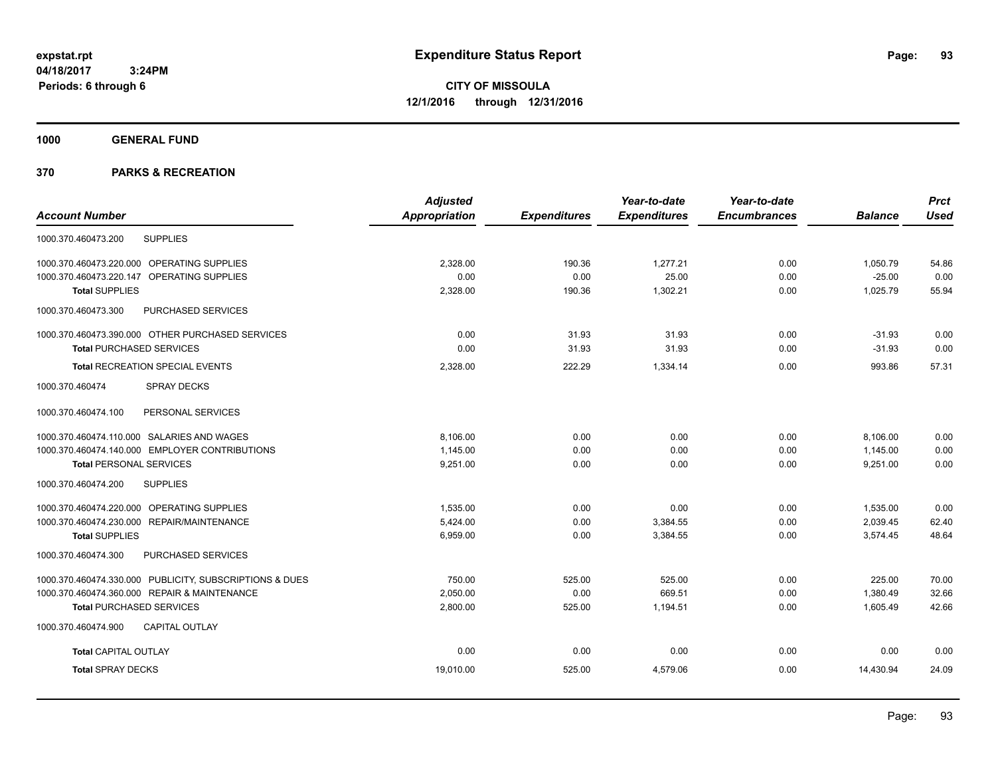**Periods: 6 through 6**

**CITY OF MISSOULA 12/1/2016 through 12/31/2016**

**1000 GENERAL FUND**

## **370 PARKS & RECREATION**

 **3:24PM**

|                                                         | <b>Adjusted</b>      |                     | Year-to-date        | Year-to-date        |                | <b>Prct</b> |
|---------------------------------------------------------|----------------------|---------------------|---------------------|---------------------|----------------|-------------|
| <b>Account Number</b>                                   | <b>Appropriation</b> | <b>Expenditures</b> | <b>Expenditures</b> | <b>Encumbrances</b> | <b>Balance</b> | <b>Used</b> |
| <b>SUPPLIES</b><br>1000.370.460473.200                  |                      |                     |                     |                     |                |             |
| 1000.370.460473.220.000 OPERATING SUPPLIES              | 2,328.00             | 190.36              | 1,277.21            | 0.00                | 1,050.79       | 54.86       |
| 1000.370.460473.220.147 OPERATING SUPPLIES              | 0.00                 | 0.00                | 25.00               | 0.00                | $-25.00$       | 0.00        |
| <b>Total SUPPLIES</b>                                   | 2,328.00             | 190.36              | 1,302.21            | 0.00                | 1,025.79       | 55.94       |
| 1000.370.460473.300<br>PURCHASED SERVICES               |                      |                     |                     |                     |                |             |
| 1000.370.460473.390.000 OTHER PURCHASED SERVICES        | 0.00                 | 31.93               | 31.93               | 0.00                | $-31.93$       | 0.00        |
| <b>Total PURCHASED SERVICES</b>                         | 0.00                 | 31.93               | 31.93               | 0.00                | $-31.93$       | 0.00        |
| <b>Total RECREATION SPECIAL EVENTS</b>                  | 2,328.00             | 222.29              | 1,334.14            | 0.00                | 993.86         | 57.31       |
| 1000.370.460474<br><b>SPRAY DECKS</b>                   |                      |                     |                     |                     |                |             |
| PERSONAL SERVICES<br>1000.370.460474.100                |                      |                     |                     |                     |                |             |
| 1000.370.460474.110.000 SALARIES AND WAGES              | 8,106.00             | 0.00                | 0.00                | 0.00                | 8,106.00       | 0.00        |
| 1000.370.460474.140.000 EMPLOYER CONTRIBUTIONS          | 1,145.00             | 0.00                | 0.00                | 0.00                | 1,145.00       | 0.00        |
| <b>Total PERSONAL SERVICES</b>                          | 9,251.00             | 0.00                | 0.00                | 0.00                | 9,251.00       | 0.00        |
| <b>SUPPLIES</b><br>1000.370.460474.200                  |                      |                     |                     |                     |                |             |
| 1000.370.460474.220.000 OPERATING SUPPLIES              | 1,535.00             | 0.00                | 0.00                | 0.00                | 1,535.00       | 0.00        |
| 1000.370.460474.230.000 REPAIR/MAINTENANCE              | 5,424.00             | 0.00                | 3,384.55            | 0.00                | 2,039.45       | 62.40       |
| <b>Total SUPPLIES</b>                                   | 6,959.00             | 0.00                | 3,384.55            | 0.00                | 3,574.45       | 48.64       |
| 1000.370.460474.300<br>PURCHASED SERVICES               |                      |                     |                     |                     |                |             |
| 1000.370.460474.330.000 PUBLICITY, SUBSCRIPTIONS & DUES | 750.00               | 525.00              | 525.00              | 0.00                | 225.00         | 70.00       |
| 1000.370.460474.360.000 REPAIR & MAINTENANCE            | 2,050.00             | 0.00                | 669.51              | 0.00                | 1,380.49       | 32.66       |
| <b>Total PURCHASED SERVICES</b>                         | 2,800.00             | 525.00              | 1,194.51            | 0.00                | 1,605.49       | 42.66       |
| 1000.370.460474.900<br><b>CAPITAL OUTLAY</b>            |                      |                     |                     |                     |                |             |
| <b>Total CAPITAL OUTLAY</b>                             | 0.00                 | 0.00                | 0.00                | 0.00                | 0.00           | 0.00        |
| <b>Total SPRAY DECKS</b>                                | 19,010.00            | 525.00              | 4,579.06            | 0.00                | 14,430.94      | 24.09       |
|                                                         |                      |                     |                     |                     |                |             |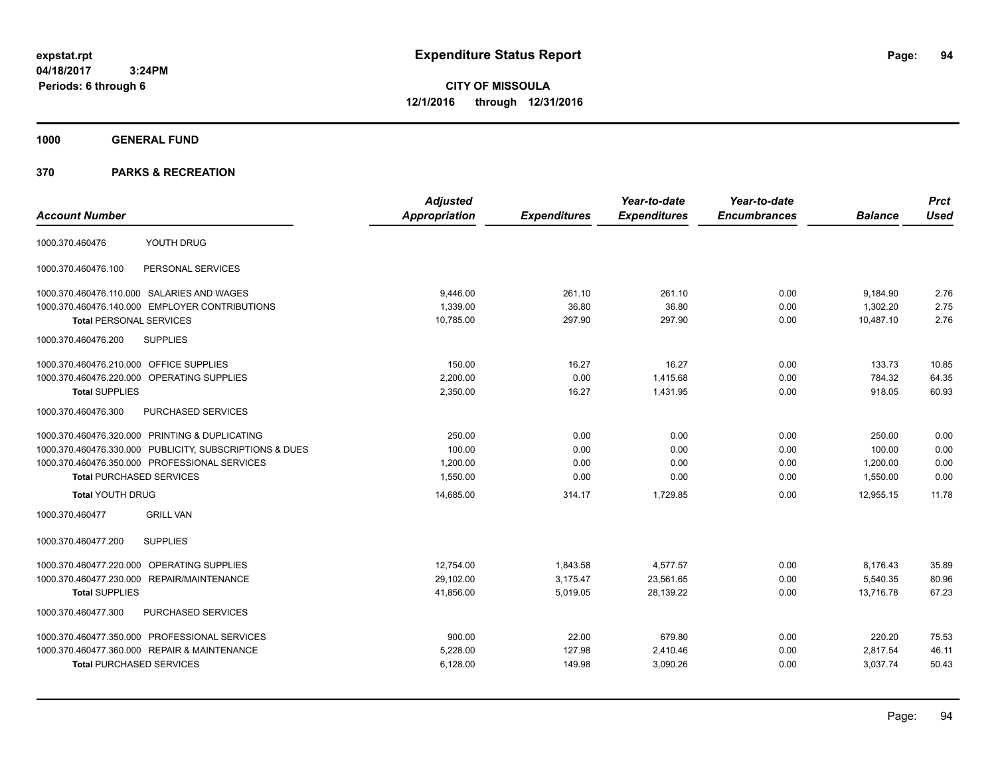**CITY OF MISSOULA 12/1/2016 through 12/31/2016**

**1000 GENERAL FUND**

| <b>Account Number</b>                                   | <b>Adjusted</b><br>Appropriation | <b>Expenditures</b> | Year-to-date<br><b>Expenditures</b> | Year-to-date<br><b>Encumbrances</b> | <b>Balance</b> | <b>Prct</b><br><b>Used</b> |
|---------------------------------------------------------|----------------------------------|---------------------|-------------------------------------|-------------------------------------|----------------|----------------------------|
| YOUTH DRUG<br>1000.370.460476                           |                                  |                     |                                     |                                     |                |                            |
| PERSONAL SERVICES<br>1000.370.460476.100                |                                  |                     |                                     |                                     |                |                            |
| 1000.370.460476.110.000 SALARIES AND WAGES              | 9,446.00                         | 261.10              | 261.10                              | 0.00                                | 9,184.90       | 2.76                       |
| 1000.370.460476.140.000 EMPLOYER CONTRIBUTIONS          | 1,339.00                         | 36.80               | 36.80                               | 0.00                                | 1,302.20       | 2.75                       |
| <b>Total PERSONAL SERVICES</b>                          | 10,785.00                        | 297.90              | 297.90                              | 0.00                                | 10,487.10      | 2.76                       |
| <b>SUPPLIES</b><br>1000.370.460476.200                  |                                  |                     |                                     |                                     |                |                            |
| 1000.370.460476.210.000 OFFICE SUPPLIES                 | 150.00                           | 16.27               | 16.27                               | 0.00                                | 133.73         | 10.85                      |
| 1000.370.460476.220.000<br><b>OPERATING SUPPLIES</b>    | 2.200.00                         | 0.00                | 1.415.68                            | 0.00                                | 784.32         | 64.35                      |
| <b>Total SUPPLIES</b>                                   | 2,350.00                         | 16.27               | 1.431.95                            | 0.00                                | 918.05         | 60.93                      |
| 1000.370.460476.300<br>PURCHASED SERVICES               |                                  |                     |                                     |                                     |                |                            |
| 1000.370.460476.320.000 PRINTING & DUPLICATING          | 250.00                           | 0.00                | 0.00                                | 0.00                                | 250.00         | 0.00                       |
| 1000.370.460476.330.000 PUBLICITY, SUBSCRIPTIONS & DUES | 100.00                           | 0.00                | 0.00                                | 0.00                                | 100.00         | 0.00                       |
| 1000.370.460476.350.000 PROFESSIONAL SERVICES           | 1.200.00                         | 0.00                | 0.00                                | 0.00                                | 1.200.00       | 0.00                       |
| <b>Total PURCHASED SERVICES</b>                         | 1,550.00                         | 0.00                | 0.00                                | 0.00                                | 1,550.00       | 0.00                       |
| <b>Total YOUTH DRUG</b>                                 | 14,685.00                        | 314.17              | 1,729.85                            | 0.00                                | 12,955.15      | 11.78                      |
| 1000.370.460477<br><b>GRILL VAN</b>                     |                                  |                     |                                     |                                     |                |                            |
| 1000.370.460477.200<br><b>SUPPLIES</b>                  |                                  |                     |                                     |                                     |                |                            |
| 1000.370.460477.220.000 OPERATING SUPPLIES              | 12,754.00                        | 1,843.58            | 4,577.57                            | 0.00                                | 8,176.43       | 35.89                      |
| 1000.370.460477.230.000 REPAIR/MAINTENANCE              | 29,102.00                        | 3,175.47            | 23,561.65                           | 0.00                                | 5,540.35       | 80.96                      |
| <b>Total SUPPLIES</b>                                   | 41,856.00                        | 5,019.05            | 28,139.22                           | 0.00                                | 13,716.78      | 67.23                      |
| PURCHASED SERVICES<br>1000.370.460477.300               |                                  |                     |                                     |                                     |                |                            |
| 1000.370.460477.350.000 PROFESSIONAL SERVICES           | 900.00                           | 22.00               | 679.80                              | 0.00                                | 220.20         | 75.53                      |
| 1000.370.460477.360.000 REPAIR & MAINTENANCE            | 5,228.00                         | 127.98              | 2,410.46                            | 0.00                                | 2,817.54       | 46.11                      |
| <b>Total PURCHASED SERVICES</b>                         | 6,128.00                         | 149.98              | 3,090.26                            | 0.00                                | 3,037.74       | 50.43                      |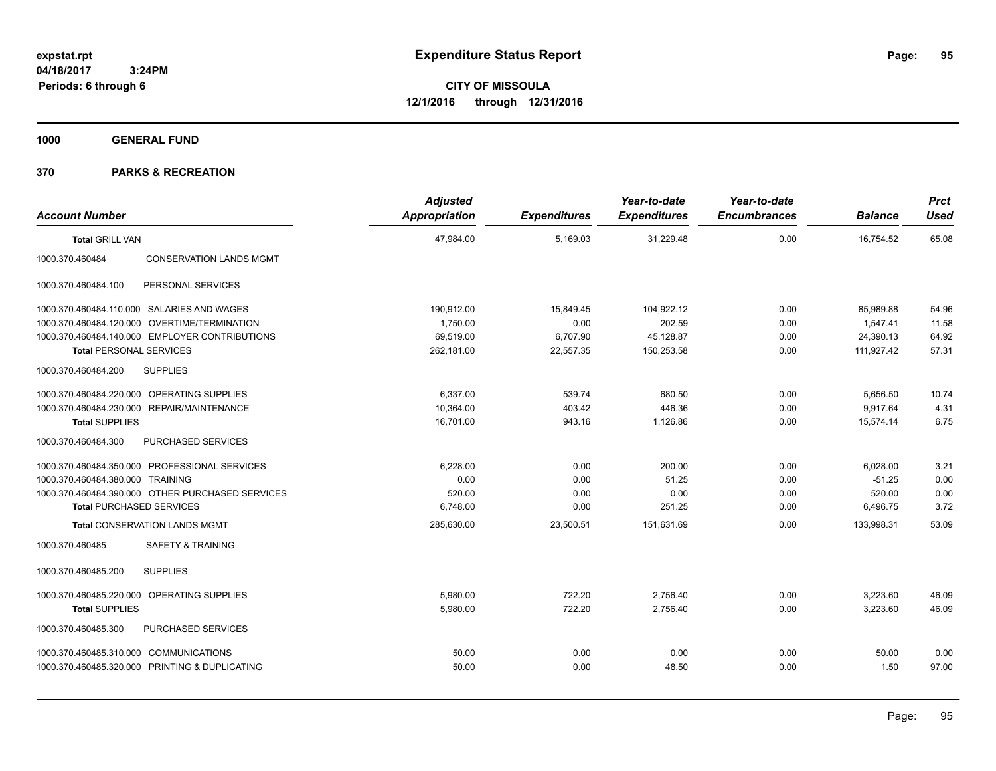**1000 GENERAL FUND**

|                                                   | <b>Adjusted</b> |                     | Year-to-date        | Year-to-date        |                | <b>Prct</b> |
|---------------------------------------------------|-----------------|---------------------|---------------------|---------------------|----------------|-------------|
| <b>Account Number</b>                             | Appropriation   | <b>Expenditures</b> | <b>Expenditures</b> | <b>Encumbrances</b> | <b>Balance</b> | <b>Used</b> |
| <b>Total GRILL VAN</b>                            | 47,984.00       | 5,169.03            | 31,229.48           | 0.00                | 16,754.52      | 65.08       |
| <b>CONSERVATION LANDS MGMT</b><br>1000.370.460484 |                 |                     |                     |                     |                |             |
| 1000.370.460484.100<br>PERSONAL SERVICES          |                 |                     |                     |                     |                |             |
| 1000.370.460484.110.000 SALARIES AND WAGES        | 190,912.00      | 15,849.45           | 104,922.12          | 0.00                | 85,989.88      | 54.96       |
| 1000.370.460484.120.000 OVERTIME/TERMINATION      | 1.750.00        | 0.00                | 202.59              | 0.00                | 1.547.41       | 11.58       |
| 1000.370.460484.140.000 EMPLOYER CONTRIBUTIONS    | 69,519.00       | 6,707.90            | 45,128.87           | 0.00                | 24,390.13      | 64.92       |
| <b>Total PERSONAL SERVICES</b>                    | 262,181.00      | 22,557.35           | 150,253.58          | 0.00                | 111,927.42     | 57.31       |
| 1000.370.460484.200<br><b>SUPPLIES</b>            |                 |                     |                     |                     |                |             |
| OPERATING SUPPLIES<br>1000.370.460484.220.000     | 6.337.00        | 539.74              | 680.50              | 0.00                | 5,656.50       | 10.74       |
| 1000.370.460484.230.000 REPAIR/MAINTENANCE        | 10,364.00       | 403.42              | 446.36              | 0.00                | 9,917.64       | 4.31        |
| <b>Total SUPPLIES</b>                             | 16,701.00       | 943.16              | 1,126.86            | 0.00                | 15,574.14      | 6.75        |
| 1000.370.460484.300<br>PURCHASED SERVICES         |                 |                     |                     |                     |                |             |
| 1000.370.460484.350.000 PROFESSIONAL SERVICES     | 6.228.00        | 0.00                | 200.00              | 0.00                | 6,028.00       | 3.21        |
| 1000.370.460484.380.000 TRAINING                  | 0.00            | 0.00                | 51.25               | 0.00                | $-51.25$       | 0.00        |
| 1000.370.460484.390.000 OTHER PURCHASED SERVICES  | 520.00          | 0.00                | 0.00                | 0.00                | 520.00         | 0.00        |
| <b>Total PURCHASED SERVICES</b>                   | 6,748.00        | 0.00                | 251.25              | 0.00                | 6,496.75       | 3.72        |
| <b>Total CONSERVATION LANDS MGMT</b>              | 285,630.00      | 23,500.51           | 151,631.69          | 0.00                | 133,998.31     | 53.09       |
| <b>SAFETY &amp; TRAINING</b><br>1000.370.460485   |                 |                     |                     |                     |                |             |
| <b>SUPPLIES</b><br>1000.370.460485.200            |                 |                     |                     |                     |                |             |
| 1000.370.460485.220.000<br>OPERATING SUPPLIES     | 5.980.00        | 722.20              | 2,756.40            | 0.00                | 3,223.60       | 46.09       |
| <b>Total SUPPLIES</b>                             | 5,980.00        | 722.20              | 2,756.40            | 0.00                | 3,223.60       | 46.09       |
| 1000.370.460485.300<br>PURCHASED SERVICES         |                 |                     |                     |                     |                |             |
| 1000.370.460485.310.000 COMMUNICATIONS            | 50.00           | 0.00                | 0.00                | 0.00                | 50.00          | 0.00        |
| 1000.370.460485.320.000 PRINTING & DUPLICATING    | 50.00           | 0.00                | 48.50               | 0.00                | 1.50           | 97.00       |
|                                                   |                 |                     |                     |                     |                |             |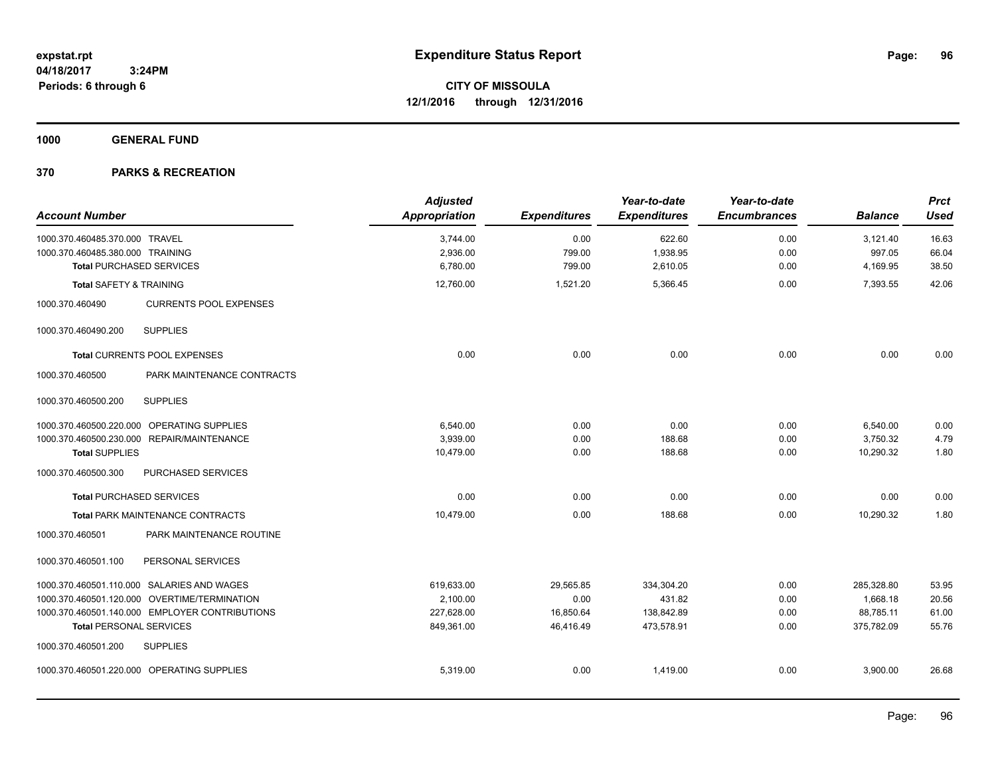**1000 GENERAL FUND**

| <b>Account Number</b>              |                                                | <b>Adjusted</b><br><b>Appropriation</b> | <b>Expenditures</b> | Year-to-date<br><b>Expenditures</b> | Year-to-date<br><b>Encumbrances</b> | <b>Balance</b> | <b>Prct</b><br><b>Used</b> |
|------------------------------------|------------------------------------------------|-----------------------------------------|---------------------|-------------------------------------|-------------------------------------|----------------|----------------------------|
| 1000.370.460485.370.000 TRAVEL     |                                                | 3,744.00                                | 0.00                | 622.60                              | 0.00                                | 3,121.40       | 16.63                      |
| 1000.370.460485.380.000 TRAINING   |                                                | 2,936.00                                | 799.00              | 1,938.95                            | 0.00                                | 997.05         | 66.04                      |
| <b>Total PURCHASED SERVICES</b>    |                                                | 6,780.00                                | 799.00              | 2,610.05                            | 0.00                                | 4,169.95       | 38.50                      |
| <b>Total SAFETY &amp; TRAINING</b> |                                                | 12,760.00                               | 1,521.20            | 5,366.45                            | 0.00                                | 7,393.55       | 42.06                      |
| 1000.370.460490                    | <b>CURRENTS POOL EXPENSES</b>                  |                                         |                     |                                     |                                     |                |                            |
| 1000.370.460490.200                | <b>SUPPLIES</b>                                |                                         |                     |                                     |                                     |                |                            |
|                                    | Total CURRENTS POOL EXPENSES                   | 0.00                                    | 0.00                | 0.00                                | 0.00                                | 0.00           | 0.00                       |
| 1000.370.460500                    | PARK MAINTENANCE CONTRACTS                     |                                         |                     |                                     |                                     |                |                            |
| 1000.370.460500.200                | <b>SUPPLIES</b>                                |                                         |                     |                                     |                                     |                |                            |
|                                    | 1000.370.460500.220.000 OPERATING SUPPLIES     | 6,540.00                                | 0.00                | 0.00                                | 0.00                                | 6,540.00       | 0.00                       |
|                                    | 1000.370.460500.230.000 REPAIR/MAINTENANCE     | 3,939.00                                | 0.00                | 188.68                              | 0.00                                | 3,750.32       | 4.79                       |
| <b>Total SUPPLIES</b>              |                                                | 10,479.00                               | 0.00                | 188.68                              | 0.00                                | 10,290.32      | 1.80                       |
| 1000.370.460500.300                | PURCHASED SERVICES                             |                                         |                     |                                     |                                     |                |                            |
| <b>Total PURCHASED SERVICES</b>    |                                                | 0.00                                    | 0.00                | 0.00                                | 0.00                                | 0.00           | 0.00                       |
|                                    | Total PARK MAINTENANCE CONTRACTS               | 10,479.00                               | 0.00                | 188.68                              | 0.00                                | 10,290.32      | 1.80                       |
| 1000.370.460501                    | PARK MAINTENANCE ROUTINE                       |                                         |                     |                                     |                                     |                |                            |
| 1000.370.460501.100                | PERSONAL SERVICES                              |                                         |                     |                                     |                                     |                |                            |
|                                    | 1000.370.460501.110.000 SALARIES AND WAGES     | 619,633.00                              | 29,565.85           | 334,304.20                          | 0.00                                | 285,328.80     | 53.95                      |
|                                    | 1000.370.460501.120.000 OVERTIME/TERMINATION   | 2,100.00                                | 0.00                | 431.82                              | 0.00                                | 1,668.18       | 20.56                      |
|                                    | 1000.370.460501.140.000 EMPLOYER CONTRIBUTIONS | 227,628.00                              | 16,850.64           | 138,842.89                          | 0.00                                | 88,785.11      | 61.00                      |
| <b>Total PERSONAL SERVICES</b>     |                                                | 849,361.00                              | 46,416.49           | 473,578.91                          | 0.00                                | 375,782.09     | 55.76                      |
| 1000.370.460501.200                | <b>SUPPLIES</b>                                |                                         |                     |                                     |                                     |                |                            |
|                                    | 1000.370.460501.220.000 OPERATING SUPPLIES     | 5,319.00                                | 0.00                | 1,419.00                            | 0.00                                | 3,900.00       | 26.68                      |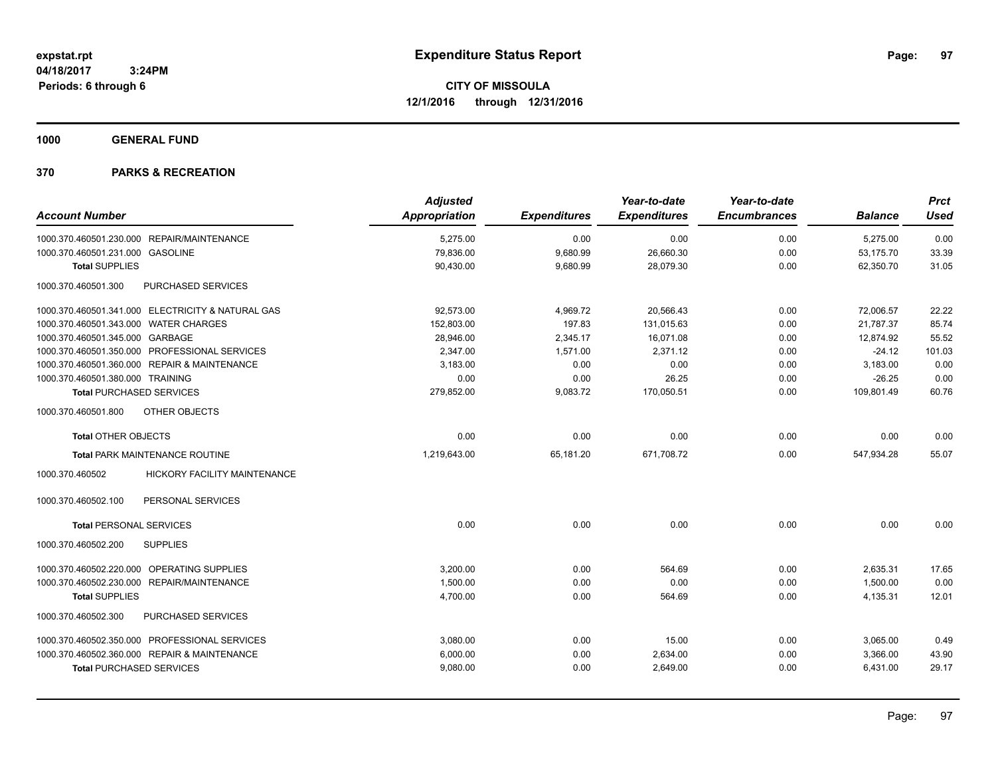**1000 GENERAL FUND**

|                                                   | <b>Adjusted</b> |                     | Year-to-date        | Year-to-date        |                | <b>Prct</b> |
|---------------------------------------------------|-----------------|---------------------|---------------------|---------------------|----------------|-------------|
| <b>Account Number</b>                             | Appropriation   | <b>Expenditures</b> | <b>Expenditures</b> | <b>Encumbrances</b> | <b>Balance</b> | <b>Used</b> |
| 1000.370.460501.230.000 REPAIR/MAINTENANCE        | 5,275.00        | 0.00                | 0.00                | 0.00                | 5,275.00       | 0.00        |
| 1000.370.460501.231.000 GASOLINE                  | 79,836.00       | 9,680.99            | 26,660.30           | 0.00                | 53,175.70      | 33.39       |
| <b>Total SUPPLIES</b>                             | 90,430.00       | 9,680.99            | 28,079.30           | 0.00                | 62,350.70      | 31.05       |
| 1000.370.460501.300<br>PURCHASED SERVICES         |                 |                     |                     |                     |                |             |
| 1000.370.460501.341.000 ELECTRICITY & NATURAL GAS | 92,573.00       | 4,969.72            | 20,566.43           | 0.00                | 72.006.57      | 22.22       |
| 1000.370.460501.343.000 WATER CHARGES             | 152,803.00      | 197.83              | 131,015.63          | 0.00                | 21,787.37      | 85.74       |
| 1000.370.460501.345.000 GARBAGE                   | 28,946.00       | 2,345.17            | 16,071.08           | 0.00                | 12,874.92      | 55.52       |
| 1000.370.460501.350.000 PROFESSIONAL SERVICES     | 2,347.00        | 1,571.00            | 2,371.12            | 0.00                | $-24.12$       | 101.03      |
| 1000.370.460501.360.000 REPAIR & MAINTENANCE      | 3,183.00        | 0.00                | 0.00                | 0.00                | 3,183.00       | 0.00        |
| 1000.370.460501.380.000 TRAINING                  | 0.00            | 0.00                | 26.25               | 0.00                | $-26.25$       | 0.00        |
| <b>Total PURCHASED SERVICES</b>                   | 279,852.00      | 9,083.72            | 170,050.51          | 0.00                | 109,801.49     | 60.76       |
| 1000.370.460501.800<br>OTHER OBJECTS              |                 |                     |                     |                     |                |             |
| <b>Total OTHER OBJECTS</b>                        | 0.00            | 0.00                | 0.00                | 0.00                | 0.00           | 0.00        |
| <b>Total PARK MAINTENANCE ROUTINE</b>             | 1,219,643.00    | 65,181.20           | 671,708.72          | 0.00                | 547,934.28     | 55.07       |
| 1000.370.460502<br>HICKORY FACILITY MAINTENANCE   |                 |                     |                     |                     |                |             |
| PERSONAL SERVICES<br>1000.370.460502.100          |                 |                     |                     |                     |                |             |
| <b>Total PERSONAL SERVICES</b>                    | 0.00            | 0.00                | 0.00                | 0.00                | 0.00           | 0.00        |
| <b>SUPPLIES</b><br>1000.370.460502.200            |                 |                     |                     |                     |                |             |
| 1000.370.460502.220.000 OPERATING SUPPLIES        | 3,200.00        | 0.00                | 564.69              | 0.00                | 2,635.31       | 17.65       |
| 1000.370.460502.230.000 REPAIR/MAINTENANCE        | 1,500.00        | 0.00                | 0.00                | 0.00                | 1,500.00       | 0.00        |
| <b>Total SUPPLIES</b>                             | 4,700.00        | 0.00                | 564.69              | 0.00                | 4,135.31       | 12.01       |
| PURCHASED SERVICES<br>1000.370.460502.300         |                 |                     |                     |                     |                |             |
| 1000.370.460502.350.000 PROFESSIONAL SERVICES     | 3,080.00        | 0.00                | 15.00               | 0.00                | 3,065.00       | 0.49        |
| 1000.370.460502.360.000 REPAIR & MAINTENANCE      | 6,000.00        | 0.00                | 2,634.00            | 0.00                | 3,366.00       | 43.90       |
| <b>Total PURCHASED SERVICES</b>                   | 9,080.00        | 0.00                | 2,649.00            | 0.00                | 6,431.00       | 29.17       |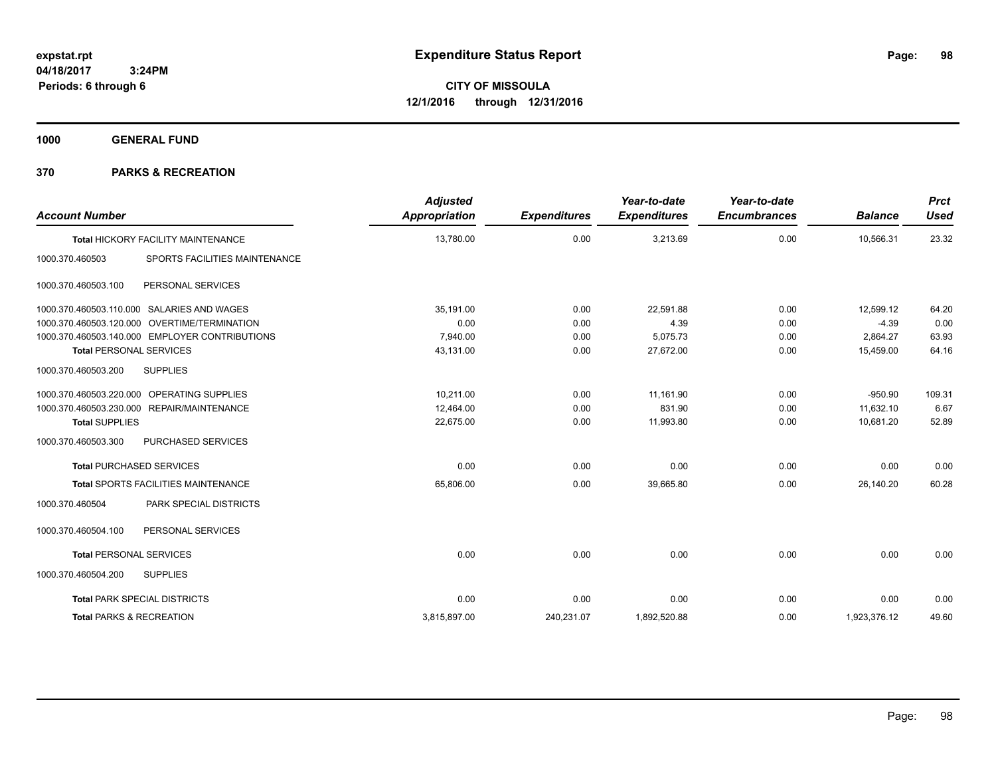**1000 GENERAL FUND**

| <b>Account Number</b>                            | <b>Adjusted</b><br>Appropriation | <b>Expenditures</b> | Year-to-date<br><b>Expenditures</b> | Year-to-date<br><b>Encumbrances</b> | <b>Balance</b> | <b>Prct</b><br><b>Used</b> |
|--------------------------------------------------|----------------------------------|---------------------|-------------------------------------|-------------------------------------|----------------|----------------------------|
| Total HICKORY FACILITY MAINTENANCE               | 13,780.00                        | 0.00                | 3,213.69                            | 0.00                                | 10,566.31      | 23.32                      |
| SPORTS FACILITIES MAINTENANCE<br>1000.370.460503 |                                  |                     |                                     |                                     |                |                            |
| 1000.370.460503.100<br>PERSONAL SERVICES         |                                  |                     |                                     |                                     |                |                            |
| 1000.370.460503.110.000 SALARIES AND WAGES       | 35,191.00                        | 0.00                | 22,591.88                           | 0.00                                | 12,599.12      | 64.20                      |
| 1000.370.460503.120.000 OVERTIME/TERMINATION     | 0.00                             | 0.00                | 4.39                                | 0.00                                | $-4.39$        | 0.00                       |
| 1000.370.460503.140.000 EMPLOYER CONTRIBUTIONS   | 7,940.00                         | 0.00                | 5,075.73                            | 0.00                                | 2,864.27       | 63.93                      |
| <b>Total PERSONAL SERVICES</b>                   | 43,131.00                        | 0.00                | 27,672.00                           | 0.00                                | 15,459.00      | 64.16                      |
| 1000.370.460503.200<br><b>SUPPLIES</b>           |                                  |                     |                                     |                                     |                |                            |
| 1000.370.460503.220.000 OPERATING SUPPLIES       | 10.211.00                        | 0.00                | 11.161.90                           | 0.00                                | $-950.90$      | 109.31                     |
| 1000.370.460503.230.000 REPAIR/MAINTENANCE       | 12,464.00                        | 0.00                | 831.90                              | 0.00                                | 11,632.10      | 6.67                       |
| <b>Total SUPPLIES</b>                            | 22.675.00                        | 0.00                | 11,993.80                           | 0.00                                | 10.681.20      | 52.89                      |
| 1000.370.460503.300<br>PURCHASED SERVICES        |                                  |                     |                                     |                                     |                |                            |
| <b>Total PURCHASED SERVICES</b>                  | 0.00                             | 0.00                | 0.00                                | 0.00                                | 0.00           | 0.00                       |
| <b>Total SPORTS FACILITIES MAINTENANCE</b>       | 65.806.00                        | 0.00                | 39.665.80                           | 0.00                                | 26,140.20      | 60.28                      |
| PARK SPECIAL DISTRICTS<br>1000.370.460504        |                                  |                     |                                     |                                     |                |                            |
| 1000.370.460504.100<br>PERSONAL SERVICES         |                                  |                     |                                     |                                     |                |                            |
| <b>Total PERSONAL SERVICES</b>                   | 0.00                             | 0.00                | 0.00                                | 0.00                                | 0.00           | 0.00                       |
| 1000.370.460504.200<br><b>SUPPLIES</b>           |                                  |                     |                                     |                                     |                |                            |
| <b>Total PARK SPECIAL DISTRICTS</b>              | 0.00                             | 0.00                | 0.00                                | 0.00                                | 0.00           | 0.00                       |
| <b>Total PARKS &amp; RECREATION</b>              | 3.815.897.00                     | 240.231.07          | 1.892.520.88                        | 0.00                                | 1.923.376.12   | 49.60                      |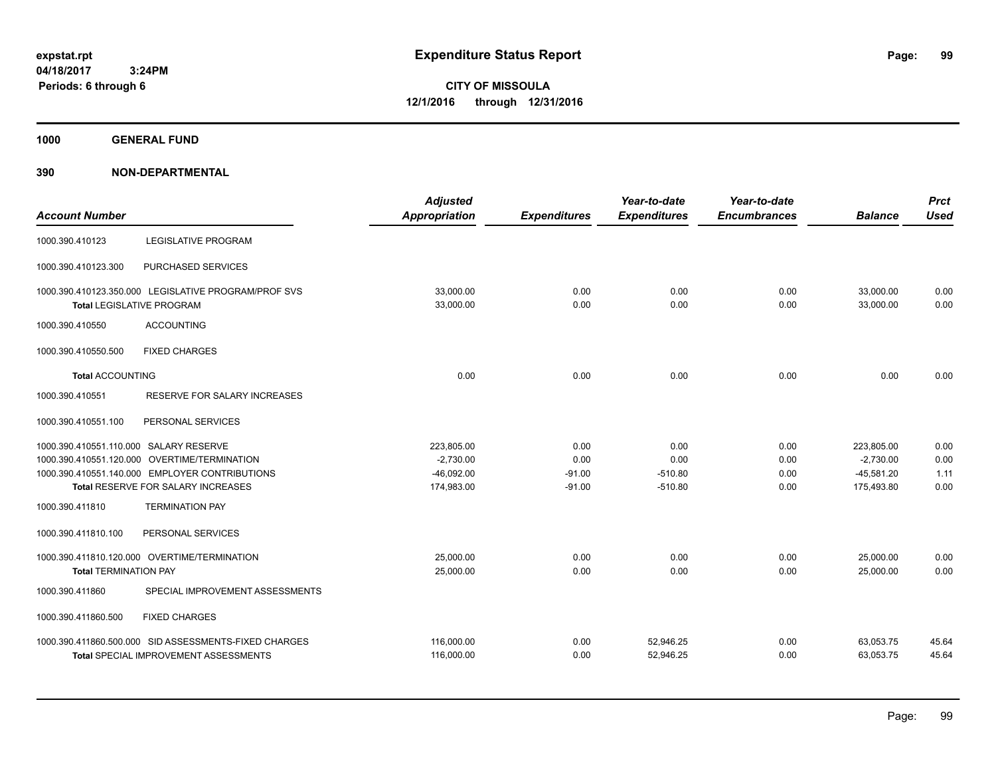**1000 GENERAL FUND**

| <b>Account Number</b>                  |                                                                                          | <b>Adjusted</b><br>Appropriation | <b>Expenditures</b> | Year-to-date<br><b>Expenditures</b> | Year-to-date<br><b>Encumbrances</b> | <b>Balance</b>         | <b>Prct</b><br><b>Used</b> |
|----------------------------------------|------------------------------------------------------------------------------------------|----------------------------------|---------------------|-------------------------------------|-------------------------------------|------------------------|----------------------------|
| 1000.390.410123                        | LEGISLATIVE PROGRAM                                                                      |                                  |                     |                                     |                                     |                        |                            |
| 1000.390.410123.300                    | PURCHASED SERVICES                                                                       |                                  |                     |                                     |                                     |                        |                            |
|                                        | 1000.390.410123.350.000 LEGISLATIVE PROGRAM/PROF SVS<br><b>Total LEGISLATIVE PROGRAM</b> | 33,000.00<br>33,000.00           | 0.00<br>0.00        | 0.00<br>0.00                        | 0.00<br>0.00                        | 33,000.00<br>33,000.00 | 0.00<br>0.00               |
| 1000.390.410550                        | <b>ACCOUNTING</b>                                                                        |                                  |                     |                                     |                                     |                        |                            |
| 1000.390.410550.500                    | <b>FIXED CHARGES</b>                                                                     |                                  |                     |                                     |                                     |                        |                            |
| <b>Total ACCOUNTING</b>                |                                                                                          | 0.00                             | 0.00                | 0.00                                | 0.00                                | 0.00                   | 0.00                       |
| 1000.390.410551                        | <b>RESERVE FOR SALARY INCREASES</b>                                                      |                                  |                     |                                     |                                     |                        |                            |
| 1000.390.410551.100                    | PERSONAL SERVICES                                                                        |                                  |                     |                                     |                                     |                        |                            |
| 1000.390.410551.110.000 SALARY RESERVE |                                                                                          | 223,805.00                       | 0.00                | 0.00                                | 0.00                                | 223.805.00             | 0.00                       |
|                                        | 1000.390.410551.120.000 OVERTIME/TERMINATION                                             | $-2,730.00$                      | 0.00                | 0.00                                | 0.00                                | $-2,730.00$            | 0.00                       |
|                                        | 1000.390.410551.140.000 EMPLOYER CONTRIBUTIONS                                           | $-46,092.00$                     | $-91.00$            | $-510.80$                           | 0.00                                | $-45,581.20$           | 1.11                       |
|                                        | Total RESERVE FOR SALARY INCREASES                                                       | 174,983.00                       | $-91.00$            | $-510.80$                           | 0.00                                | 175,493.80             | 0.00                       |
| 1000.390.411810                        | <b>TERMINATION PAY</b>                                                                   |                                  |                     |                                     |                                     |                        |                            |
| 1000.390.411810.100                    | PERSONAL SERVICES                                                                        |                                  |                     |                                     |                                     |                        |                            |
|                                        | 1000.390.411810.120.000 OVERTIME/TERMINATION                                             | 25,000.00                        | 0.00                | 0.00                                | 0.00                                | 25,000.00              | 0.00                       |
| <b>Total TERMINATION PAY</b>           |                                                                                          | 25,000.00                        | 0.00                | 0.00                                | 0.00                                | 25,000.00              | 0.00                       |
| 1000.390.411860                        | SPECIAL IMPROVEMENT ASSESSMENTS                                                          |                                  |                     |                                     |                                     |                        |                            |
| 1000.390.411860.500                    | <b>FIXED CHARGES</b>                                                                     |                                  |                     |                                     |                                     |                        |                            |
|                                        | 1000.390.411860.500.000 SID ASSESSMENTS-FIXED CHARGES                                    | 116,000.00                       | 0.00                | 52,946.25                           | 0.00                                | 63,053.75              | 45.64                      |
|                                        | <b>Total SPECIAL IMPROVEMENT ASSESSMENTS</b>                                             | 116,000.00                       | 0.00                | 52,946.25                           | 0.00                                | 63,053.75              | 45.64                      |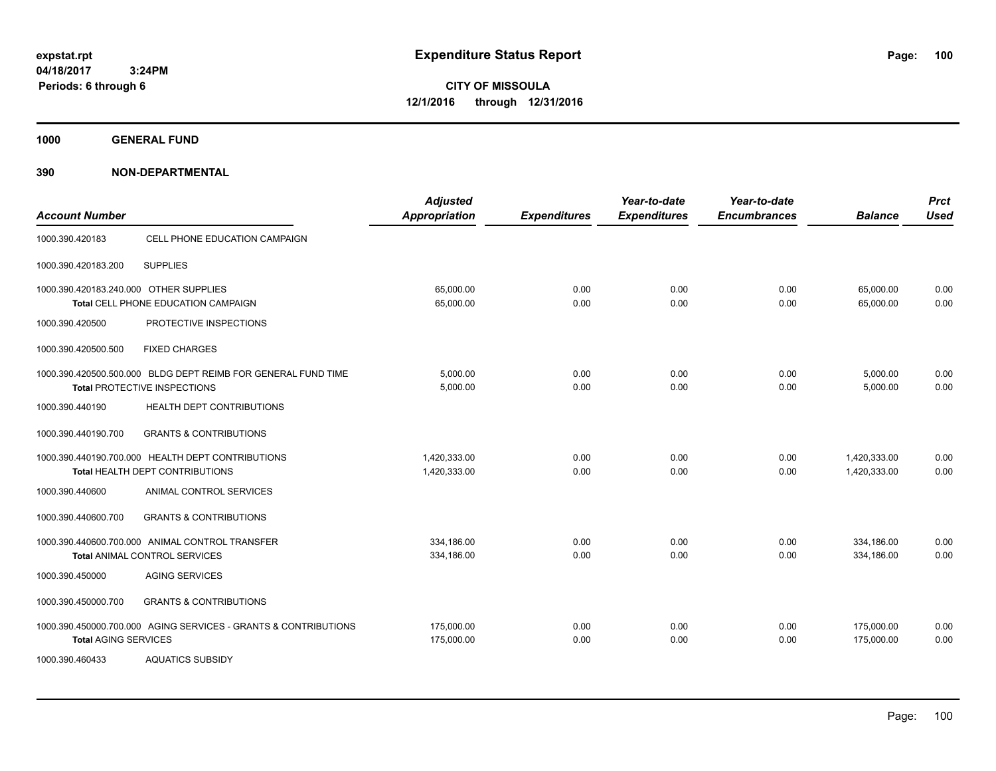**CITY OF MISSOULA 12/1/2016 through 12/31/2016**

**1000 GENERAL FUND**

| <b>Account Number</b>                  |                                                                                               | <b>Adjusted</b><br><b>Appropriation</b> | <b>Expenditures</b> | Year-to-date<br><b>Expenditures</b> | Year-to-date<br><b>Encumbrances</b> | <b>Balance</b>               | <b>Prct</b><br><b>Used</b> |
|----------------------------------------|-----------------------------------------------------------------------------------------------|-----------------------------------------|---------------------|-------------------------------------|-------------------------------------|------------------------------|----------------------------|
| 1000.390.420183                        | CELL PHONE EDUCATION CAMPAIGN                                                                 |                                         |                     |                                     |                                     |                              |                            |
| 1000.390.420183.200                    | <b>SUPPLIES</b>                                                                               |                                         |                     |                                     |                                     |                              |                            |
| 1000.390.420183.240.000 OTHER SUPPLIES | Total CELL PHONE EDUCATION CAMPAIGN                                                           | 65.000.00<br>65,000.00                  | 0.00<br>0.00        | 0.00<br>0.00                        | 0.00<br>0.00                        | 65,000.00<br>65,000.00       | 0.00<br>0.00               |
| 1000.390.420500                        | PROTECTIVE INSPECTIONS                                                                        |                                         |                     |                                     |                                     |                              |                            |
| 1000.390.420500.500                    | <b>FIXED CHARGES</b>                                                                          |                                         |                     |                                     |                                     |                              |                            |
|                                        | 1000.390.420500.500.000 BLDG DEPT REIMB FOR GENERAL FUND TIME<br>Total PROTECTIVE INSPECTIONS | 5,000.00<br>5,000.00                    | 0.00<br>0.00        | 0.00<br>0.00                        | 0.00<br>0.00                        | 5,000.00<br>5,000.00         | 0.00<br>0.00               |
| 1000.390.440190                        | HEALTH DEPT CONTRIBUTIONS                                                                     |                                         |                     |                                     |                                     |                              |                            |
| 1000.390.440190.700                    | <b>GRANTS &amp; CONTRIBUTIONS</b>                                                             |                                         |                     |                                     |                                     |                              |                            |
|                                        | 1000.390.440190.700.000 HEALTH DEPT CONTRIBUTIONS<br>Total HEALTH DEPT CONTRIBUTIONS          | 1.420.333.00<br>1,420,333.00            | 0.00<br>0.00        | 0.00<br>0.00                        | 0.00<br>0.00                        | 1,420,333.00<br>1,420,333.00 | 0.00<br>0.00               |
| 1000.390.440600                        | ANIMAL CONTROL SERVICES                                                                       |                                         |                     |                                     |                                     |                              |                            |
| 1000.390.440600.700                    | <b>GRANTS &amp; CONTRIBUTIONS</b>                                                             |                                         |                     |                                     |                                     |                              |                            |
|                                        | 1000.390.440600.700.000 ANIMAL CONTROL TRANSFER<br><b>Total ANIMAL CONTROL SERVICES</b>       | 334.186.00<br>334,186.00                | 0.00<br>0.00        | 0.00<br>0.00                        | 0.00<br>0.00                        | 334,186.00<br>334,186.00     | 0.00<br>0.00               |
| 1000.390.450000                        | <b>AGING SERVICES</b>                                                                         |                                         |                     |                                     |                                     |                              |                            |
| 1000.390.450000.700                    | <b>GRANTS &amp; CONTRIBUTIONS</b>                                                             |                                         |                     |                                     |                                     |                              |                            |
| <b>Total AGING SERVICES</b>            | 1000.390.450000.700.000 AGING SERVICES - GRANTS & CONTRIBUTIONS                               | 175,000.00<br>175,000.00                | 0.00<br>0.00        | 0.00<br>0.00                        | 0.00<br>0.00                        | 175,000.00<br>175,000.00     | 0.00<br>0.00               |
| 1000.390.460433                        | <b>AQUATICS SUBSIDY</b>                                                                       |                                         |                     |                                     |                                     |                              |                            |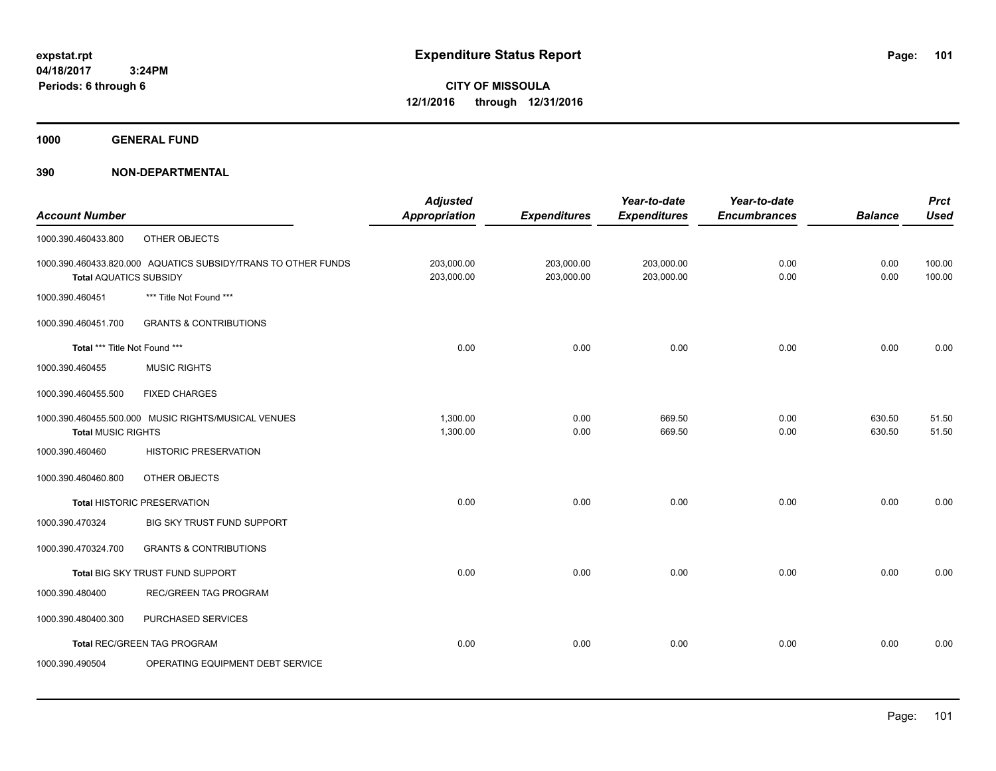**1000 GENERAL FUND**

|                               |                                                               | <b>Adjusted</b>      |                     | Year-to-date        | Year-to-date        |                | <b>Prct</b> |
|-------------------------------|---------------------------------------------------------------|----------------------|---------------------|---------------------|---------------------|----------------|-------------|
| <b>Account Number</b>         |                                                               | <b>Appropriation</b> | <b>Expenditures</b> | <b>Expenditures</b> | <b>Encumbrances</b> | <b>Balance</b> | <b>Used</b> |
| 1000.390.460433.800           | OTHER OBJECTS                                                 |                      |                     |                     |                     |                |             |
|                               | 1000.390.460433.820.000 AQUATICS SUBSIDY/TRANS TO OTHER FUNDS | 203,000.00           | 203,000.00          | 203,000.00          | 0.00                | 0.00           | 100.00      |
| <b>Total AQUATICS SUBSIDY</b> |                                                               | 203,000.00           | 203,000.00          | 203,000.00          | 0.00                | 0.00           | 100.00      |
| 1000.390.460451               | *** Title Not Found ***                                       |                      |                     |                     |                     |                |             |
| 1000.390.460451.700           | <b>GRANTS &amp; CONTRIBUTIONS</b>                             |                      |                     |                     |                     |                |             |
| Total *** Title Not Found *** |                                                               | 0.00                 | 0.00                | 0.00                | 0.00                | 0.00           | 0.00        |
| 1000.390.460455               | <b>MUSIC RIGHTS</b>                                           |                      |                     |                     |                     |                |             |
| 1000.390.460455.500           | <b>FIXED CHARGES</b>                                          |                      |                     |                     |                     |                |             |
|                               | 1000.390.460455.500.000 MUSIC RIGHTS/MUSICAL VENUES           | 1,300.00             | 0.00                | 669.50              | 0.00                | 630.50         | 51.50       |
| <b>Total MUSIC RIGHTS</b>     |                                                               | 1,300.00             | 0.00                | 669.50              | 0.00                | 630.50         | 51.50       |
| 1000.390.460460               | <b>HISTORIC PRESERVATION</b>                                  |                      |                     |                     |                     |                |             |
| 1000.390.460460.800           | OTHER OBJECTS                                                 |                      |                     |                     |                     |                |             |
|                               | <b>Total HISTORIC PRESERVATION</b>                            | 0.00                 | 0.00                | 0.00                | 0.00                | 0.00           | 0.00        |
| 1000.390.470324               | BIG SKY TRUST FUND SUPPORT                                    |                      |                     |                     |                     |                |             |
| 1000.390.470324.700           | <b>GRANTS &amp; CONTRIBUTIONS</b>                             |                      |                     |                     |                     |                |             |
|                               | Total BIG SKY TRUST FUND SUPPORT                              | 0.00                 | 0.00                | 0.00                | 0.00                | 0.00           | 0.00        |
| 1000.390.480400               | <b>REC/GREEN TAG PROGRAM</b>                                  |                      |                     |                     |                     |                |             |
| 1000.390.480400.300           | PURCHASED SERVICES                                            |                      |                     |                     |                     |                |             |
|                               | <b>Total REC/GREEN TAG PROGRAM</b>                            | 0.00                 | 0.00                | 0.00                | 0.00                | 0.00           | 0.00        |
| 1000.390.490504               | OPERATING EQUIPMENT DEBT SERVICE                              |                      |                     |                     |                     |                |             |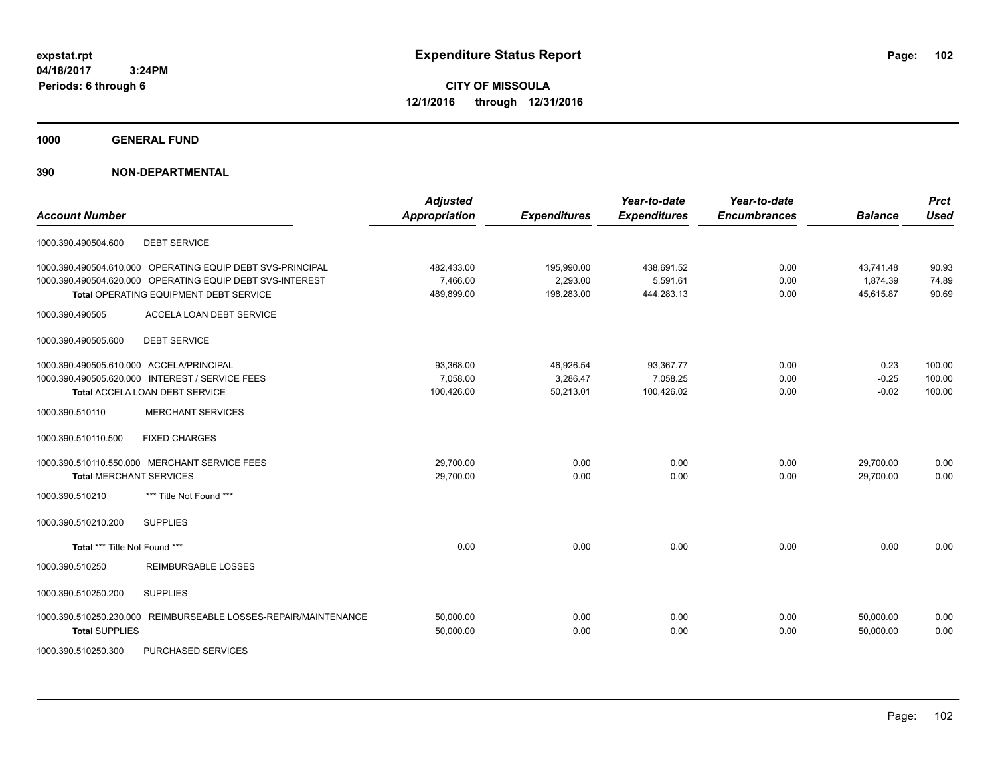**CITY OF MISSOULA 12/1/2016 through 12/31/2016**

**1000 GENERAL FUND**

## **390 NON-DEPARTMENTAL**

| <b>Account Number</b>                            |                                                                                                                                                                   | <b>Adjusted</b><br><b>Appropriation</b> | <b>Expenditures</b>                  | Year-to-date<br><b>Expenditures</b>  | Year-to-date<br><b>Encumbrances</b> | <b>Balance</b>                     | <b>Prct</b><br><b>Used</b> |
|--------------------------------------------------|-------------------------------------------------------------------------------------------------------------------------------------------------------------------|-----------------------------------------|--------------------------------------|--------------------------------------|-------------------------------------|------------------------------------|----------------------------|
| 1000.390.490504.600                              | <b>DEBT SERVICE</b>                                                                                                                                               |                                         |                                      |                                      |                                     |                                    |                            |
|                                                  | 1000.390.490504.610.000 OPERATING EQUIP DEBT SVS-PRINCIPAL<br>1000.390.490504.620.000 OPERATING EQUIP DEBT SVS-INTEREST<br>Total OPERATING EQUIPMENT DEBT SERVICE | 482,433.00<br>7,466.00<br>489,899.00    | 195,990.00<br>2,293.00<br>198,283.00 | 438,691.52<br>5,591.61<br>444,283.13 | 0.00<br>0.00<br>0.00                | 43,741.48<br>1,874.39<br>45,615.87 | 90.93<br>74.89<br>90.69    |
| 1000.390.490505                                  | ACCELA LOAN DEBT SERVICE                                                                                                                                          |                                         |                                      |                                      |                                     |                                    |                            |
| 1000.390.490505.600                              | <b>DEBT SERVICE</b>                                                                                                                                               |                                         |                                      |                                      |                                     |                                    |                            |
| 1000.390.490505.610.000 ACCELA/PRINCIPAL         | 1000.390.490505.620.000 INTEREST / SERVICE FEES<br><b>Total ACCELA LOAN DEBT SERVICE</b>                                                                          | 93,368.00<br>7,058.00<br>100,426.00     | 46,926.54<br>3,286.47<br>50.213.01   | 93,367.77<br>7,058.25<br>100,426.02  | 0.00<br>0.00<br>0.00                | 0.23<br>$-0.25$<br>$-0.02$         | 100.00<br>100.00<br>100.00 |
| 1000.390.510110                                  | <b>MERCHANT SERVICES</b>                                                                                                                                          |                                         |                                      |                                      |                                     |                                    |                            |
| 1000.390.510110.500                              | <b>FIXED CHARGES</b>                                                                                                                                              |                                         |                                      |                                      |                                     |                                    |                            |
| <b>Total MERCHANT SERVICES</b>                   | 1000.390.510110.550.000 MERCHANT SERVICE FEES                                                                                                                     | 29,700.00<br>29,700.00                  | 0.00<br>0.00                         | 0.00<br>0.00                         | 0.00<br>0.00                        | 29,700.00<br>29,700.00             | 0.00<br>0.00               |
| 1000.390.510210                                  | *** Title Not Found ***                                                                                                                                           |                                         |                                      |                                      |                                     |                                    |                            |
| 1000.390.510210.200                              | <b>SUPPLIES</b>                                                                                                                                                   |                                         |                                      |                                      |                                     |                                    |                            |
| Total *** Title Not Found ***                    |                                                                                                                                                                   | 0.00                                    | 0.00                                 | 0.00                                 | 0.00                                | 0.00                               | 0.00                       |
| 1000.390.510250                                  | <b>REIMBURSABLE LOSSES</b>                                                                                                                                        |                                         |                                      |                                      |                                     |                                    |                            |
| 1000.390.510250.200                              | <b>SUPPLIES</b>                                                                                                                                                   |                                         |                                      |                                      |                                     |                                    |                            |
| 1000.390.510250.230.000<br><b>Total SUPPLIES</b> | REIMBURSEABLE LOSSES-REPAIR/MAINTENANCE                                                                                                                           | 50,000.00<br>50,000.00                  | 0.00<br>0.00                         | 0.00<br>0.00                         | 0.00<br>0.00                        | 50.000.00<br>50,000.00             | 0.00<br>0.00               |

1000.390.510250.300 PURCHASED SERVICES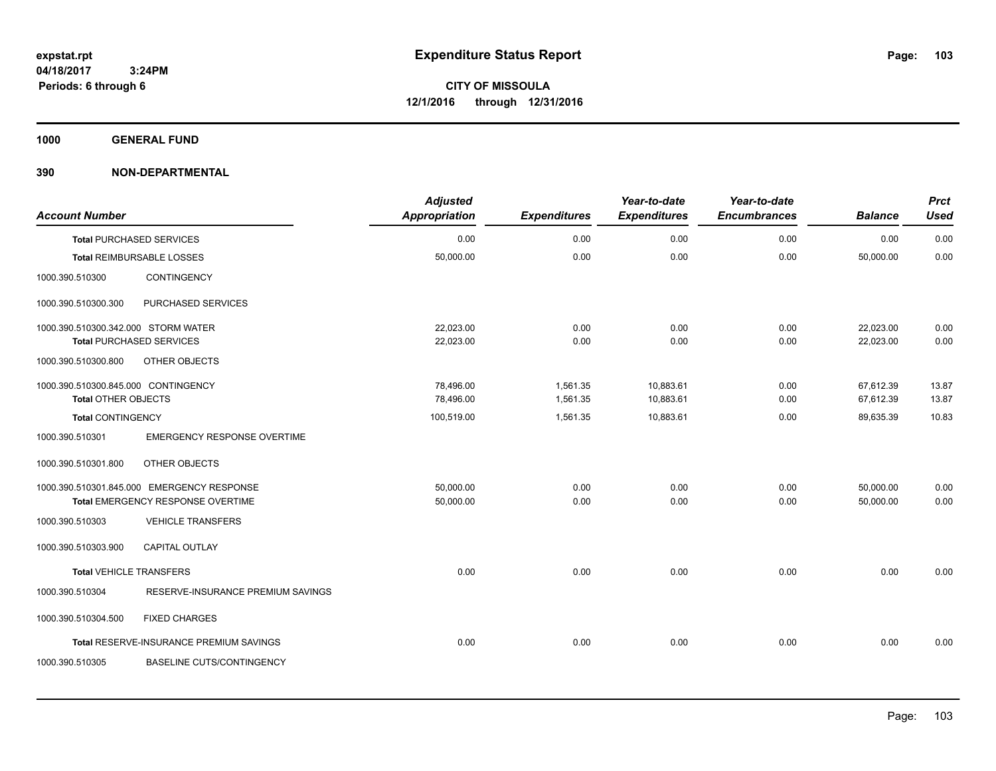**1000 GENERAL FUND**

| <b>Account Number</b>               |                                            | <b>Adjusted</b><br><b>Appropriation</b> | <b>Expenditures</b> | Year-to-date<br><b>Expenditures</b> | Year-to-date<br><b>Encumbrances</b> | <b>Balance</b> | <b>Prct</b><br><b>Used</b> |
|-------------------------------------|--------------------------------------------|-----------------------------------------|---------------------|-------------------------------------|-------------------------------------|----------------|----------------------------|
|                                     | <b>Total PURCHASED SERVICES</b>            | 0.00                                    | 0.00                | 0.00                                | 0.00                                | 0.00           | 0.00                       |
|                                     | <b>Total REIMBURSABLE LOSSES</b>           | 50,000.00                               | 0.00                | 0.00                                | 0.00                                | 50,000.00      | 0.00                       |
| 1000.390.510300                     | <b>CONTINGENCY</b>                         |                                         |                     |                                     |                                     |                |                            |
| 1000.390.510300.300                 | PURCHASED SERVICES                         |                                         |                     |                                     |                                     |                |                            |
| 1000.390.510300.342.000 STORM WATER |                                            | 22,023.00                               | 0.00                | 0.00                                | 0.00                                | 22,023.00      | 0.00                       |
|                                     | <b>Total PURCHASED SERVICES</b>            | 22,023.00                               | 0.00                | 0.00                                | 0.00                                | 22,023.00      | 0.00                       |
| 1000.390.510300.800                 | OTHER OBJECTS                              |                                         |                     |                                     |                                     |                |                            |
| 1000.390.510300.845.000 CONTINGENCY |                                            | 78.496.00                               | 1.561.35            | 10,883.61                           | 0.00                                | 67,612.39      | 13.87                      |
| <b>Total OTHER OBJECTS</b>          |                                            | 78,496.00                               | 1,561.35            | 10,883.61                           | 0.00                                | 67,612.39      | 13.87                      |
| Total CONTINGENCY                   |                                            | 100,519.00                              | 1,561.35            | 10,883.61                           | 0.00                                | 89,635.39      | 10.83                      |
| 1000.390.510301                     | <b>EMERGENCY RESPONSE OVERTIME</b>         |                                         |                     |                                     |                                     |                |                            |
| 1000.390.510301.800                 | OTHER OBJECTS                              |                                         |                     |                                     |                                     |                |                            |
|                                     | 1000.390.510301.845.000 EMERGENCY RESPONSE | 50,000.00                               | 0.00                | 0.00                                | 0.00                                | 50,000.00      | 0.00                       |
|                                     | Total EMERGENCY RESPONSE OVERTIME          | 50,000.00                               | 0.00                | 0.00                                | 0.00                                | 50,000.00      | 0.00                       |
| 1000.390.510303                     | <b>VEHICLE TRANSFERS</b>                   |                                         |                     |                                     |                                     |                |                            |
| 1000.390.510303.900                 | CAPITAL OUTLAY                             |                                         |                     |                                     |                                     |                |                            |
| <b>Total VEHICLE TRANSFERS</b>      |                                            | 0.00                                    | 0.00                | 0.00                                | 0.00                                | 0.00           | 0.00                       |
| 1000.390.510304                     | RESERVE-INSURANCE PREMIUM SAVINGS          |                                         |                     |                                     |                                     |                |                            |
| 1000.390.510304.500                 | <b>FIXED CHARGES</b>                       |                                         |                     |                                     |                                     |                |                            |
|                                     | Total RESERVE-INSURANCE PREMIUM SAVINGS    | 0.00                                    | 0.00                | 0.00                                | 0.00                                | 0.00           | 0.00                       |
| 1000.390.510305                     | <b>BASELINE CUTS/CONTINGENCY</b>           |                                         |                     |                                     |                                     |                |                            |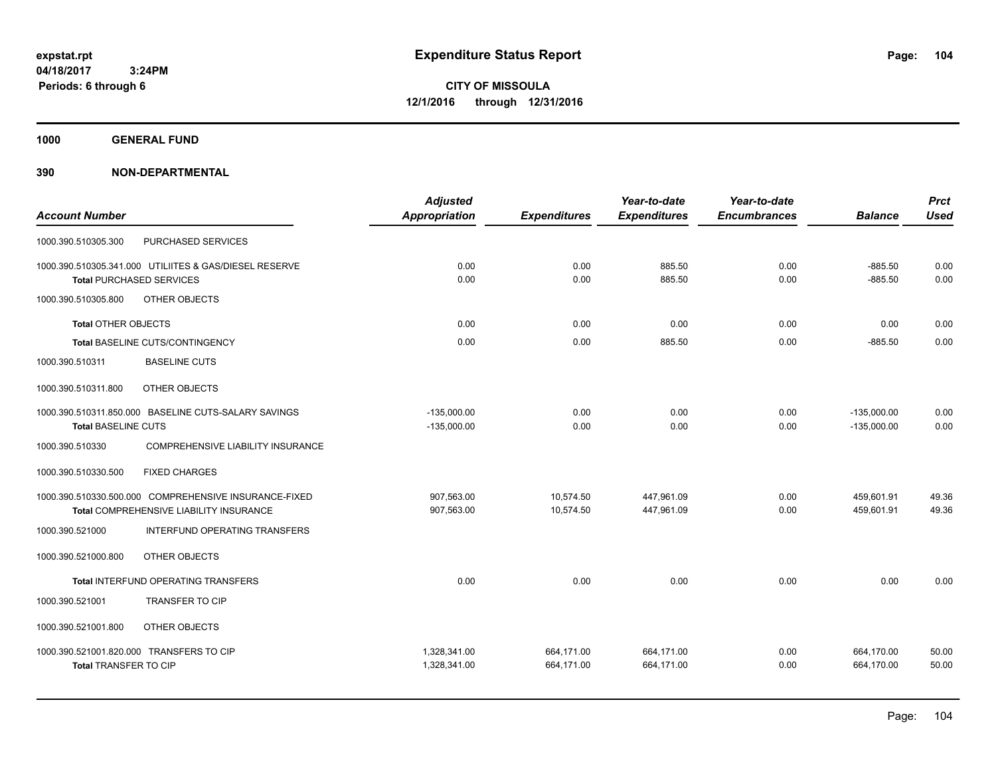**1000 GENERAL FUND**

|                              |                                                        | <b>Adjusted</b> |                     | Year-to-date        | Year-to-date        |                | <b>Prct</b> |
|------------------------------|--------------------------------------------------------|-----------------|---------------------|---------------------|---------------------|----------------|-------------|
| <b>Account Number</b>        |                                                        | Appropriation   | <b>Expenditures</b> | <b>Expenditures</b> | <b>Encumbrances</b> | <b>Balance</b> | <b>Used</b> |
| 1000.390.510305.300          | PURCHASED SERVICES                                     |                 |                     |                     |                     |                |             |
|                              | 1000.390.510305.341.000 UTILIITES & GAS/DIESEL RESERVE | 0.00            | 0.00                | 885.50              | 0.00                | $-885.50$      | 0.00        |
|                              | <b>Total PURCHASED SERVICES</b>                        | 0.00            | 0.00                | 885.50              | 0.00                | $-885.50$      | 0.00        |
| 1000.390.510305.800          | OTHER OBJECTS                                          |                 |                     |                     |                     |                |             |
| <b>Total OTHER OBJECTS</b>   |                                                        | 0.00            | 0.00                | 0.00                | 0.00                | 0.00           | 0.00        |
|                              | Total BASELINE CUTS/CONTINGENCY                        | 0.00            | 0.00                | 885.50              | 0.00                | $-885.50$      | 0.00        |
| 1000.390.510311              | <b>BASELINE CUTS</b>                                   |                 |                     |                     |                     |                |             |
| 1000.390.510311.800          | OTHER OBJECTS                                          |                 |                     |                     |                     |                |             |
|                              | 1000.390.510311.850.000 BASELINE CUTS-SALARY SAVINGS   | $-135,000.00$   | 0.00                | 0.00                | 0.00                | $-135,000.00$  | 0.00        |
| <b>Total BASELINE CUTS</b>   |                                                        | $-135,000.00$   | 0.00                | 0.00                | 0.00                | $-135,000.00$  | 0.00        |
| 1000.390.510330              | <b>COMPREHENSIVE LIABILITY INSURANCE</b>               |                 |                     |                     |                     |                |             |
| 1000.390.510330.500          | <b>FIXED CHARGES</b>                                   |                 |                     |                     |                     |                |             |
|                              | 1000.390.510330.500.000 COMPREHENSIVE INSURANCE-FIXED  | 907,563.00      | 10,574.50           | 447,961.09          | 0.00                | 459,601.91     | 49.36       |
|                              | Total COMPREHENSIVE LIABILITY INSURANCE                | 907,563.00      | 10,574.50           | 447.961.09          | 0.00                | 459,601.91     | 49.36       |
| 1000.390.521000              | INTERFUND OPERATING TRANSFERS                          |                 |                     |                     |                     |                |             |
| 1000.390.521000.800          | OTHER OBJECTS                                          |                 |                     |                     |                     |                |             |
|                              | Total INTERFUND OPERATING TRANSFERS                    | 0.00            | 0.00                | 0.00                | 0.00                | 0.00           | 0.00        |
| 1000.390.521001              | <b>TRANSFER TO CIP</b>                                 |                 |                     |                     |                     |                |             |
| 1000.390.521001.800          | OTHER OBJECTS                                          |                 |                     |                     |                     |                |             |
|                              | 1000.390.521001.820.000 TRANSFERS TO CIP               | 1,328,341.00    | 664,171.00          | 664,171.00          | 0.00                | 664,170.00     | 50.00       |
| <b>Total TRANSFER TO CIP</b> |                                                        | 1,328,341.00    | 664,171.00          | 664,171.00          | 0.00                | 664,170.00     | 50.00       |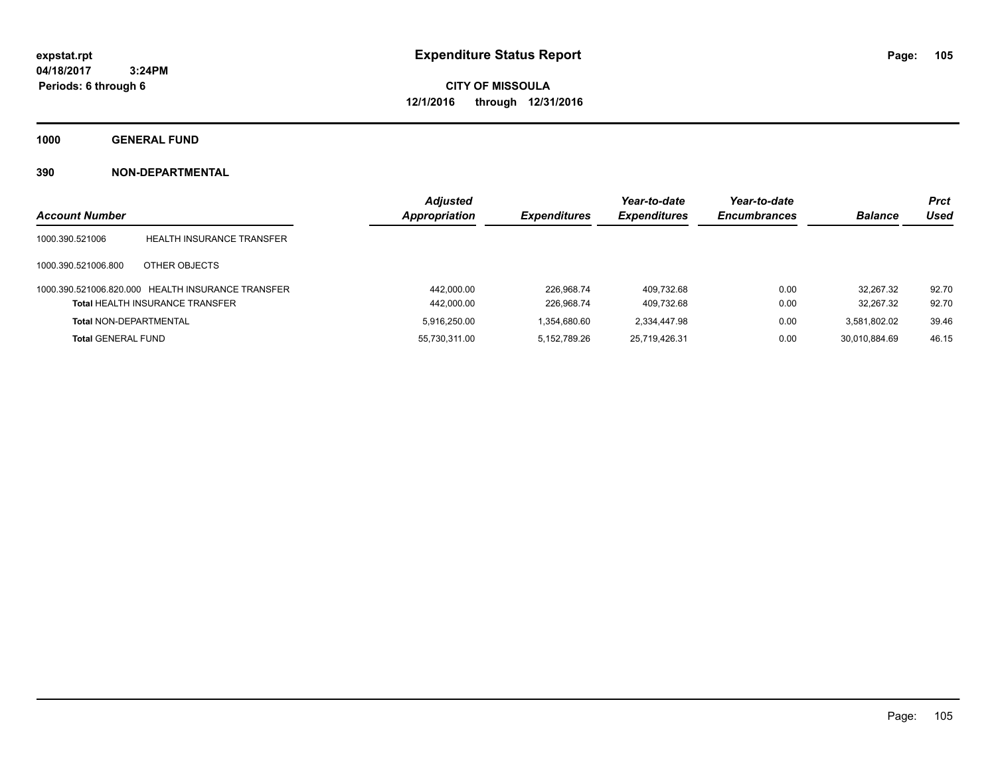**CITY OF MISSOULA 12/1/2016 through 12/31/2016**

**1000 GENERAL FUND**

|                               |                                                   | <b>Adjusted</b> |                     | Year-to-date        | Year-to-date        |                | <b>Prct</b> |
|-------------------------------|---------------------------------------------------|-----------------|---------------------|---------------------|---------------------|----------------|-------------|
| <b>Account Number</b>         |                                                   | Appropriation   | <b>Expenditures</b> | <b>Expenditures</b> | <b>Encumbrances</b> | <b>Balance</b> | Used        |
| 1000.390.521006               | HEALTH INSURANCE TRANSFER                         |                 |                     |                     |                     |                |             |
| 1000.390.521006.800           | OTHER OBJECTS                                     |                 |                     |                     |                     |                |             |
|                               | 1000.390.521006.820.000 HEALTH INSURANCE TRANSFER | 442.000.00      | 226.968.74          | 409.732.68          | 0.00                | 32.267.32      | 92.70       |
|                               | <b>Total HEALTH INSURANCE TRANSFER</b>            | 442,000.00      | 226.968.74          | 409.732.68          | 0.00                | 32.267.32      | 92.70       |
| <b>Total NON-DEPARTMENTAL</b> |                                                   | 5.916.250.00    | 1.354.680.60        | 2,334,447.98        | 0.00                | 3.581.802.02   | 39.46       |
| <b>Total GENERAL FUND</b>     |                                                   | 55,730,311.00   | 5.152.789.26        | 25,719,426.31       | 0.00                | 30.010.884.69  | 46.15       |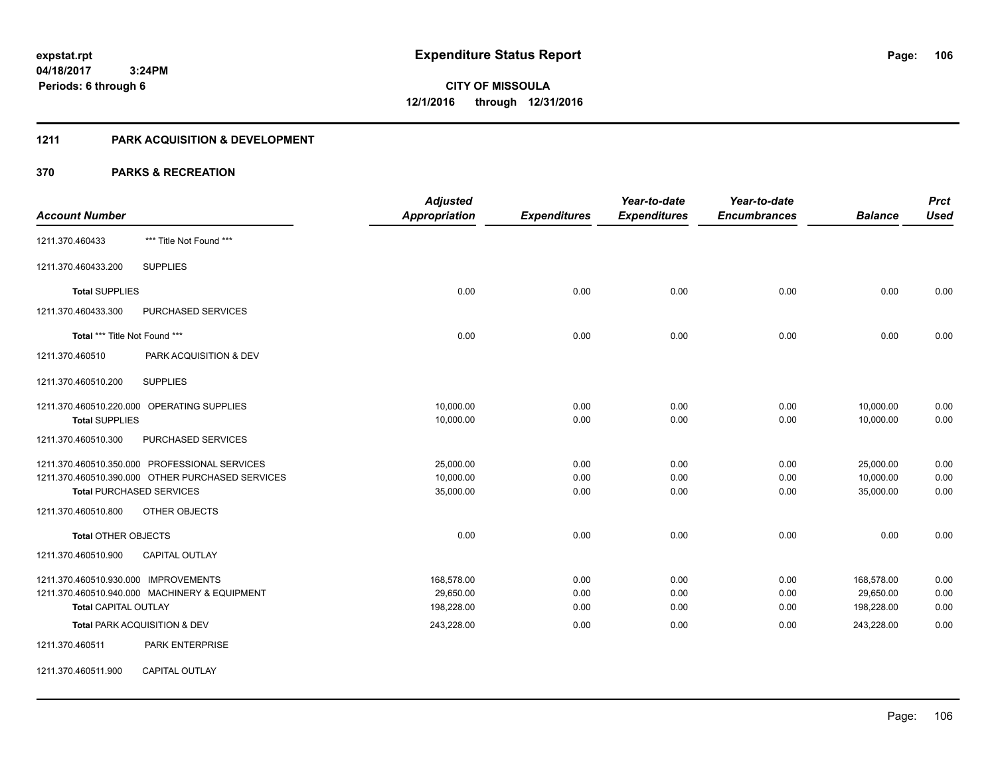## **1211 PARK ACQUISITION & DEVELOPMENT**

|                                              |                                                  | <b>Adjusted</b>      |                     | Year-to-date        | Year-to-date        |                | <b>Prct</b> |
|----------------------------------------------|--------------------------------------------------|----------------------|---------------------|---------------------|---------------------|----------------|-------------|
| <b>Account Number</b>                        |                                                  | <b>Appropriation</b> | <b>Expenditures</b> | <b>Expenditures</b> | <b>Encumbrances</b> | <b>Balance</b> | <b>Used</b> |
| 1211.370.460433                              | *** Title Not Found ***                          |                      |                     |                     |                     |                |             |
| 1211.370.460433.200                          | <b>SUPPLIES</b>                                  |                      |                     |                     |                     |                |             |
| <b>Total SUPPLIES</b>                        |                                                  | 0.00                 | 0.00                | 0.00                | 0.00                | 0.00           | 0.00        |
| 1211.370.460433.300                          | PURCHASED SERVICES                               |                      |                     |                     |                     |                |             |
| Total *** Title Not Found ***                |                                                  | 0.00                 | 0.00                | 0.00                | 0.00                | 0.00           | 0.00        |
| 1211.370.460510                              | PARK ACQUISITION & DEV                           |                      |                     |                     |                     |                |             |
| 1211.370.460510.200                          | <b>SUPPLIES</b>                                  |                      |                     |                     |                     |                |             |
|                                              | 1211.370.460510.220.000 OPERATING SUPPLIES       | 10,000.00            | 0.00                | 0.00                | 0.00                | 10,000.00      | 0.00        |
| <b>Total SUPPLIES</b><br>1211.370.460510.300 | PURCHASED SERVICES                               | 10,000.00            | 0.00                | 0.00                | 0.00                | 10,000.00      | 0.00        |
|                                              | 1211.370.460510.350.000 PROFESSIONAL SERVICES    | 25,000.00            | 0.00                | 0.00                | 0.00                | 25,000.00      | 0.00        |
|                                              | 1211.370.460510.390.000 OTHER PURCHASED SERVICES | 10,000.00            | 0.00                | 0.00                | 0.00                | 10,000.00      | 0.00        |
|                                              | <b>Total PURCHASED SERVICES</b>                  | 35,000.00            | 0.00                | 0.00                | 0.00                | 35,000.00      | 0.00        |
| 1211.370.460510.800                          | OTHER OBJECTS                                    |                      |                     |                     |                     |                |             |
| <b>Total OTHER OBJECTS</b>                   |                                                  | 0.00                 | 0.00                | 0.00                | 0.00                | 0.00           | 0.00        |
| 1211.370.460510.900                          | <b>CAPITAL OUTLAY</b>                            |                      |                     |                     |                     |                |             |
| 1211.370.460510.930.000 IMPROVEMENTS         |                                                  | 168,578.00           | 0.00                | 0.00                | 0.00                | 168,578.00     | 0.00        |
|                                              | 1211.370.460510.940.000 MACHINERY & EQUIPMENT    | 29,650.00            | 0.00                | 0.00                | 0.00                | 29,650.00      | 0.00        |
| <b>Total CAPITAL OUTLAY</b>                  |                                                  | 198,228.00           | 0.00                | 0.00                | 0.00                | 198,228.00     | 0.00        |
|                                              | Total PARK ACQUISITION & DEV                     | 243,228.00           | 0.00                | 0.00                | 0.00                | 243,228.00     | 0.00        |
| 1211.370.460511                              | PARK ENTERPRISE                                  |                      |                     |                     |                     |                |             |
| 1211.370.460511.900                          | CAPITAL OUTLAY                                   |                      |                     |                     |                     |                |             |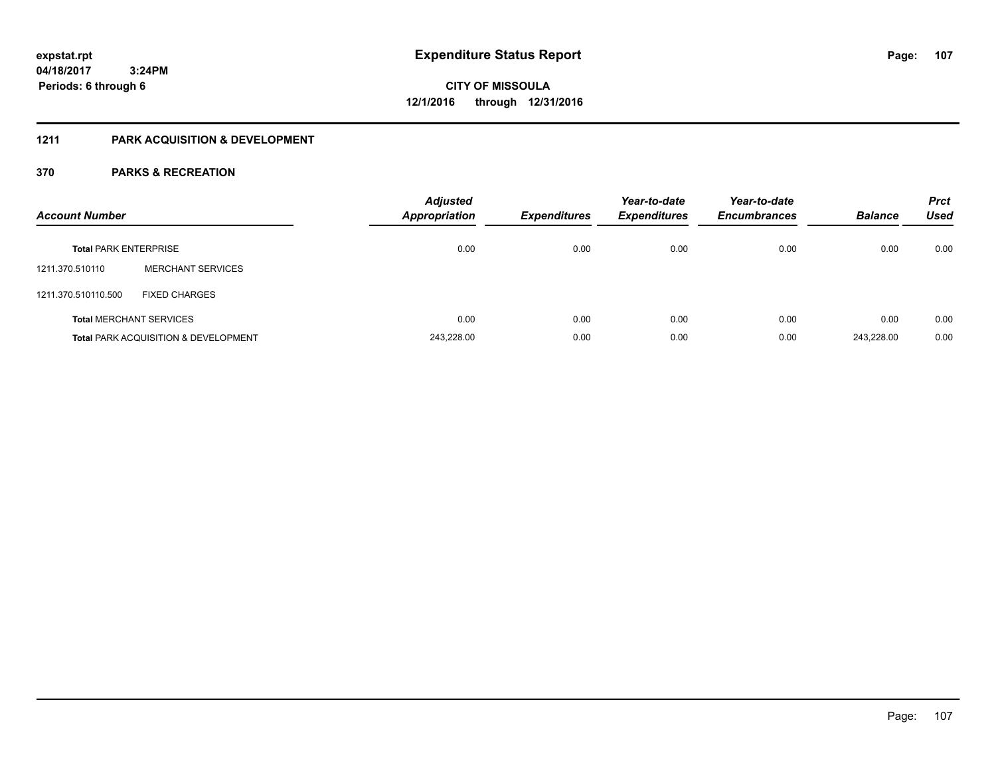## **1211 PARK ACQUISITION & DEVELOPMENT**

| <b>Account Number</b>        |                                                 | <b>Adjusted</b><br><b>Appropriation</b> | <b>Expenditures</b> | Year-to-date<br><b>Expenditures</b> | Year-to-date<br><b>Encumbrances</b> | <b>Balance</b> | <b>Prct</b><br>Used |
|------------------------------|-------------------------------------------------|-----------------------------------------|---------------------|-------------------------------------|-------------------------------------|----------------|---------------------|
| <b>Total PARK ENTERPRISE</b> |                                                 | 0.00                                    | 0.00                | 0.00                                | 0.00                                | 0.00           | 0.00                |
| 1211.370.510110              | <b>MERCHANT SERVICES</b>                        |                                         |                     |                                     |                                     |                |                     |
| 1211.370.510110.500          | <b>FIXED CHARGES</b>                            |                                         |                     |                                     |                                     |                |                     |
|                              | <b>Total MERCHANT SERVICES</b>                  | 0.00                                    | 0.00                | 0.00                                | 0.00                                | 0.00           | 0.00                |
|                              | <b>Total PARK ACQUISITION &amp; DEVELOPMENT</b> | 243,228.00                              | 0.00                | 0.00                                | 0.00                                | 243.228.00     | 0.00                |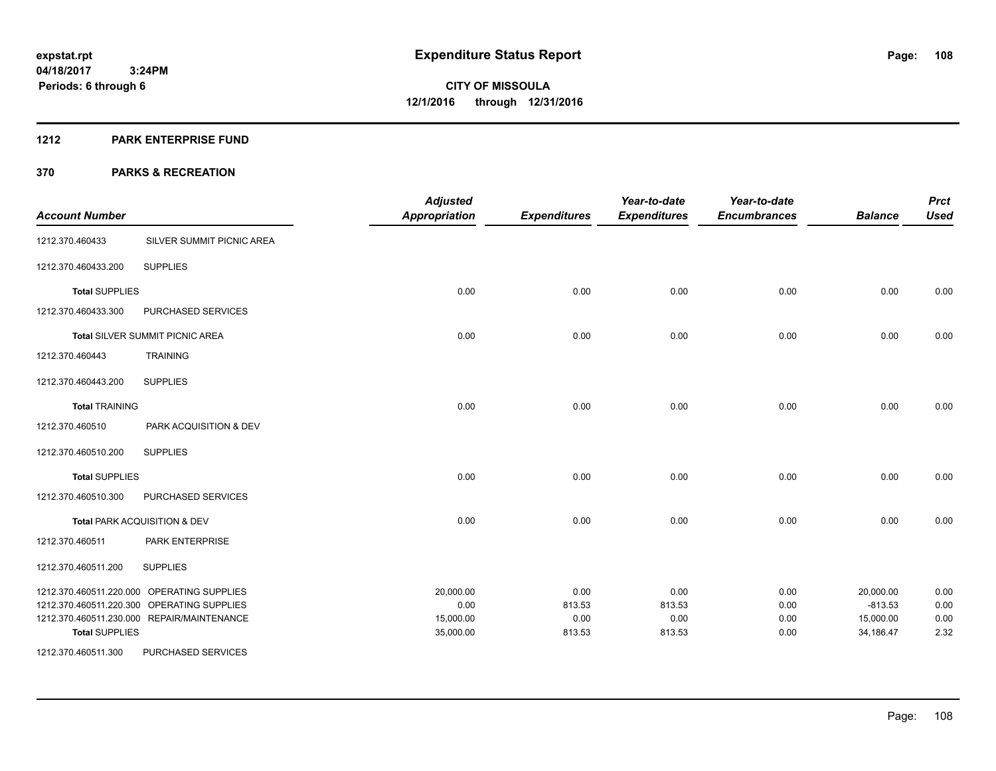## **1212 PARK ENTERPRISE FUND**

| <b>Account Number</b> |                                            | <b>Adjusted</b><br><b>Appropriation</b> | <b>Expenditures</b> | Year-to-date<br><b>Expenditures</b> | Year-to-date<br><b>Encumbrances</b> | <b>Balance</b> | <b>Prct</b><br><b>Used</b> |
|-----------------------|--------------------------------------------|-----------------------------------------|---------------------|-------------------------------------|-------------------------------------|----------------|----------------------------|
| 1212.370.460433       | SILVER SUMMIT PICNIC AREA                  |                                         |                     |                                     |                                     |                |                            |
| 1212.370.460433.200   | <b>SUPPLIES</b>                            |                                         |                     |                                     |                                     |                |                            |
| <b>Total SUPPLIES</b> |                                            | 0.00                                    | 0.00                | 0.00                                | 0.00                                | 0.00           | 0.00                       |
| 1212.370.460433.300   | PURCHASED SERVICES                         |                                         |                     |                                     |                                     |                |                            |
|                       | <b>Total SILVER SUMMIT PICNIC AREA</b>     | 0.00                                    | 0.00                | 0.00                                | 0.00                                | 0.00           | 0.00                       |
| 1212.370.460443       | <b>TRAINING</b>                            |                                         |                     |                                     |                                     |                |                            |
| 1212.370.460443.200   | <b>SUPPLIES</b>                            |                                         |                     |                                     |                                     |                |                            |
| <b>Total TRAINING</b> |                                            | 0.00                                    | 0.00                | 0.00                                | 0.00                                | 0.00           | 0.00                       |
| 1212.370.460510       | PARK ACQUISITION & DEV                     |                                         |                     |                                     |                                     |                |                            |
| 1212.370.460510.200   | <b>SUPPLIES</b>                            |                                         |                     |                                     |                                     |                |                            |
| <b>Total SUPPLIES</b> |                                            | 0.00                                    | 0.00                | 0.00                                | 0.00                                | 0.00           | 0.00                       |
| 1212.370.460510.300   | PURCHASED SERVICES                         |                                         |                     |                                     |                                     |                |                            |
|                       | Total PARK ACQUISITION & DEV               | 0.00                                    | 0.00                | 0.00                                | 0.00                                | 0.00           | 0.00                       |
| 1212.370.460511       | PARK ENTERPRISE                            |                                         |                     |                                     |                                     |                |                            |
| 1212.370.460511.200   | <b>SUPPLIES</b>                            |                                         |                     |                                     |                                     |                |                            |
|                       | 1212.370.460511.220.000 OPERATING SUPPLIES | 20,000.00                               | 0.00                | 0.00                                | 0.00                                | 20,000.00      | 0.00                       |
|                       | 1212.370.460511.220.300 OPERATING SUPPLIES | 0.00                                    | 813.53              | 813.53                              | 0.00                                | $-813.53$      | 0.00                       |
|                       | 1212.370.460511.230.000 REPAIR/MAINTENANCE | 15,000.00                               | 0.00                | 0.00                                | 0.00                                | 15,000.00      | 0.00                       |
| <b>Total SUPPLIES</b> |                                            | 35,000.00                               | 813.53              | 813.53                              | 0.00                                | 34,186.47      | 2.32                       |
| 1212.370.460511.300   | PURCHASED SERVICES                         |                                         |                     |                                     |                                     |                |                            |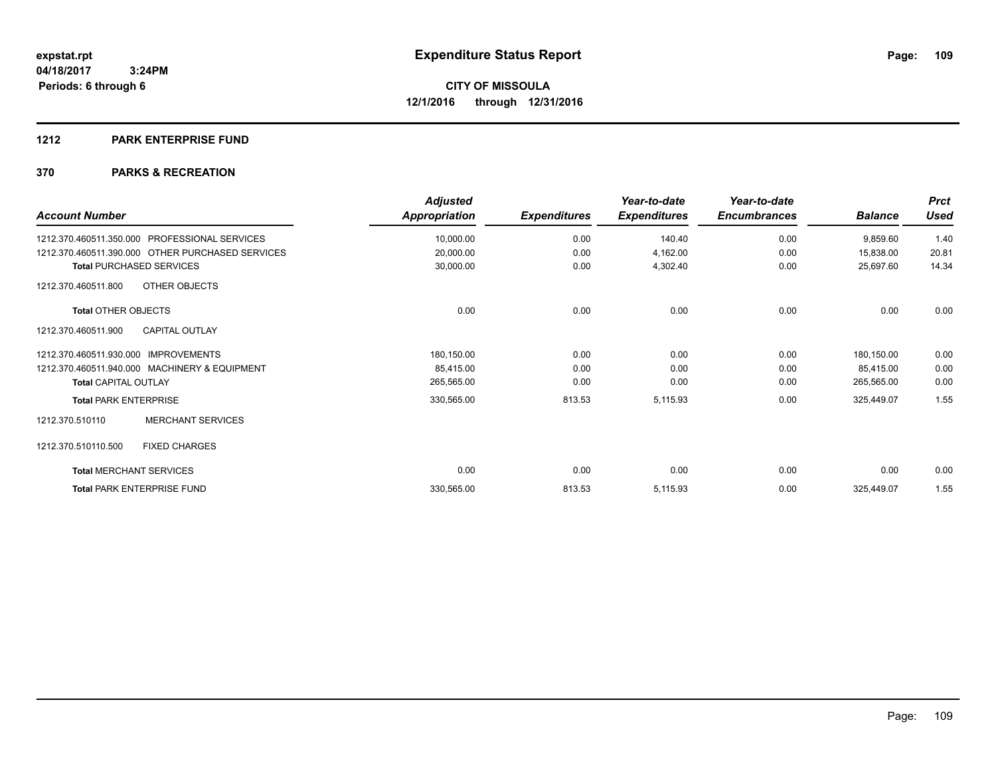#### **1212 PARK ENTERPRISE FUND**

| <b>Account Number</b>                            | <b>Adjusted</b><br>Appropriation | <b>Expenditures</b> | Year-to-date<br><b>Expenditures</b> | Year-to-date<br><b>Encumbrances</b> | <b>Balance</b> | <b>Prct</b><br><b>Used</b> |
|--------------------------------------------------|----------------------------------|---------------------|-------------------------------------|-------------------------------------|----------------|----------------------------|
| PROFESSIONAL SERVICES<br>1212.370.460511.350.000 | 10,000.00                        | 0.00                | 140.40                              | 0.00                                | 9,859.60       | 1.40                       |
| 1212.370.460511.390.000 OTHER PURCHASED SERVICES | 20,000.00                        | 0.00                | 4,162.00                            | 0.00                                | 15,838.00      | 20.81                      |
| <b>Total PURCHASED SERVICES</b>                  | 30,000.00                        | 0.00                | 4,302.40                            | 0.00                                | 25,697.60      | 14.34                      |
| OTHER OBJECTS<br>1212.370.460511.800             |                                  |                     |                                     |                                     |                |                            |
| <b>Total OTHER OBJECTS</b>                       | 0.00                             | 0.00                | 0.00                                | 0.00                                | 0.00           | 0.00                       |
| <b>CAPITAL OUTLAY</b><br>1212.370.460511.900     |                                  |                     |                                     |                                     |                |                            |
| 1212.370.460511.930.000<br><b>IMPROVEMENTS</b>   | 180,150.00                       | 0.00                | 0.00                                | 0.00                                | 180,150.00     | 0.00                       |
| 1212.370.460511.940.000 MACHINERY & EQUIPMENT    | 85,415.00                        | 0.00                | 0.00                                | 0.00                                | 85,415.00      | 0.00                       |
| <b>Total CAPITAL OUTLAY</b>                      | 265,565.00                       | 0.00                | 0.00                                | 0.00                                | 265,565.00     | 0.00                       |
| <b>Total PARK ENTERPRISE</b>                     | 330,565.00                       | 813.53              | 5,115.93                            | 0.00                                | 325,449.07     | 1.55                       |
| <b>MERCHANT SERVICES</b><br>1212.370.510110      |                                  |                     |                                     |                                     |                |                            |
| 1212.370.510110.500<br><b>FIXED CHARGES</b>      |                                  |                     |                                     |                                     |                |                            |
| <b>Total MERCHANT SERVICES</b>                   | 0.00                             | 0.00                | 0.00                                | 0.00                                | 0.00           | 0.00                       |
| <b>Total PARK ENTERPRISE FUND</b>                | 330,565.00                       | 813.53              | 5,115.93                            | 0.00                                | 325,449.07     | 1.55                       |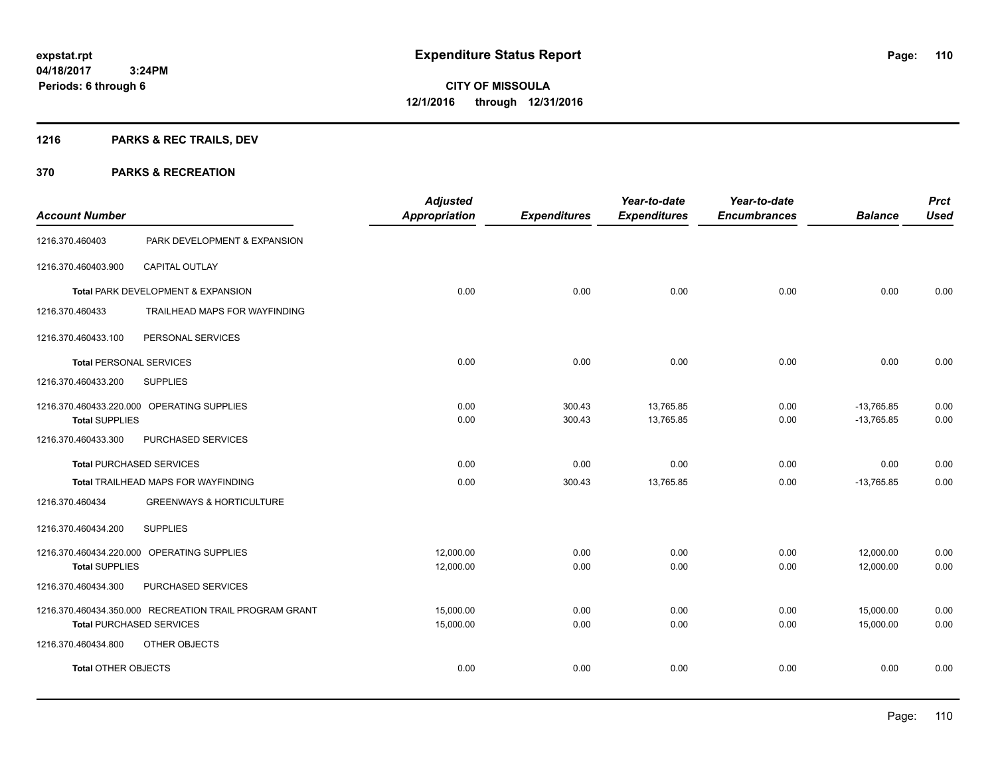## **1216 PARKS & REC TRAILS, DEV**

| <b>Account Number</b>          |                                                                                           | <b>Adjusted</b><br><b>Appropriation</b> | <b>Expenditures</b> | Year-to-date<br><b>Expenditures</b> | Year-to-date<br><b>Encumbrances</b> | <b>Balance</b>               | <b>Prct</b><br><b>Used</b> |
|--------------------------------|-------------------------------------------------------------------------------------------|-----------------------------------------|---------------------|-------------------------------------|-------------------------------------|------------------------------|----------------------------|
| 1216.370.460403                | PARK DEVELOPMENT & EXPANSION                                                              |                                         |                     |                                     |                                     |                              |                            |
| 1216.370.460403.900            | CAPITAL OUTLAY                                                                            |                                         |                     |                                     |                                     |                              |                            |
|                                | Total PARK DEVELOPMENT & EXPANSION                                                        | 0.00                                    | 0.00                | 0.00                                | 0.00                                | 0.00                         | 0.00                       |
| 1216.370.460433                | TRAILHEAD MAPS FOR WAYFINDING                                                             |                                         |                     |                                     |                                     |                              |                            |
| 1216.370.460433.100            | PERSONAL SERVICES                                                                         |                                         |                     |                                     |                                     |                              |                            |
| <b>Total PERSONAL SERVICES</b> |                                                                                           | 0.00                                    | 0.00                | 0.00                                | 0.00                                | 0.00                         | 0.00                       |
| 1216.370.460433.200            | <b>SUPPLIES</b>                                                                           |                                         |                     |                                     |                                     |                              |                            |
| <b>Total SUPPLIES</b>          | 1216.370.460433.220.000 OPERATING SUPPLIES                                                | 0.00<br>0.00                            | 300.43<br>300.43    | 13,765.85<br>13,765.85              | 0.00<br>0.00                        | $-13,765.85$<br>$-13,765.85$ | 0.00<br>0.00               |
| 1216.370.460433.300            | PURCHASED SERVICES                                                                        |                                         |                     |                                     |                                     |                              |                            |
|                                | <b>Total PURCHASED SERVICES</b>                                                           | 0.00                                    | 0.00                | 0.00                                | 0.00                                | 0.00                         | 0.00                       |
|                                | Total TRAILHEAD MAPS FOR WAYFINDING                                                       | 0.00                                    | 300.43              | 13,765.85                           | 0.00                                | $-13,765.85$                 | 0.00                       |
| 1216.370.460434                | <b>GREENWAYS &amp; HORTICULTURE</b>                                                       |                                         |                     |                                     |                                     |                              |                            |
| 1216.370.460434.200            | <b>SUPPLIES</b>                                                                           |                                         |                     |                                     |                                     |                              |                            |
| <b>Total SUPPLIES</b>          | 1216.370.460434.220.000 OPERATING SUPPLIES                                                | 12,000.00<br>12,000.00                  | 0.00<br>0.00        | 0.00<br>0.00                        | 0.00<br>0.00                        | 12,000.00<br>12,000.00       | 0.00<br>0.00               |
| 1216.370.460434.300            | PURCHASED SERVICES                                                                        |                                         |                     |                                     |                                     |                              |                            |
|                                | 1216.370.460434.350.000 RECREATION TRAIL PROGRAM GRANT<br><b>Total PURCHASED SERVICES</b> | 15,000.00<br>15,000.00                  | 0.00<br>0.00        | 0.00<br>0.00                        | 0.00<br>0.00                        | 15,000.00<br>15,000.00       | 0.00<br>0.00               |
| 1216.370.460434.800            | OTHER OBJECTS                                                                             |                                         |                     |                                     |                                     |                              |                            |
| <b>Total OTHER OBJECTS</b>     |                                                                                           | 0.00                                    | 0.00                | 0.00                                | 0.00                                | 0.00                         | 0.00                       |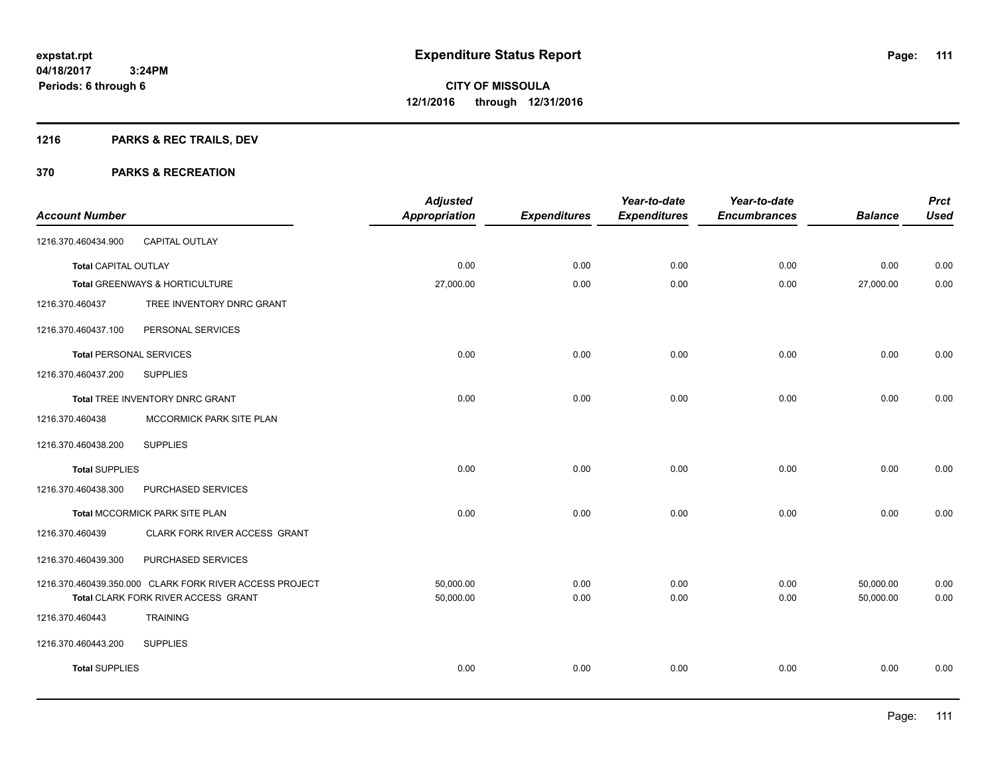## **1216 PARKS & REC TRAILS, DEV**

| <b>Account Number</b>          |                                                         | <b>Adjusted</b><br><b>Appropriation</b> | <b>Expenditures</b> | Year-to-date<br><b>Expenditures</b> | Year-to-date<br><b>Encumbrances</b> | <b>Balance</b> | <b>Prct</b><br><b>Used</b> |
|--------------------------------|---------------------------------------------------------|-----------------------------------------|---------------------|-------------------------------------|-------------------------------------|----------------|----------------------------|
| 1216.370.460434.900            | CAPITAL OUTLAY                                          |                                         |                     |                                     |                                     |                |                            |
| <b>Total CAPITAL OUTLAY</b>    |                                                         | 0.00                                    | 0.00                | 0.00                                | 0.00                                | 0.00           | 0.00                       |
|                                | Total GREENWAYS & HORTICULTURE                          | 27,000.00                               | 0.00                | 0.00                                | 0.00                                | 27,000.00      | 0.00                       |
| 1216.370.460437                | TREE INVENTORY DNRC GRANT                               |                                         |                     |                                     |                                     |                |                            |
| 1216.370.460437.100            | PERSONAL SERVICES                                       |                                         |                     |                                     |                                     |                |                            |
| <b>Total PERSONAL SERVICES</b> |                                                         | 0.00                                    | 0.00                | 0.00                                | 0.00                                | 0.00           | 0.00                       |
| 1216.370.460437.200            | <b>SUPPLIES</b>                                         |                                         |                     |                                     |                                     |                |                            |
|                                | Total TREE INVENTORY DNRC GRANT                         | 0.00                                    | 0.00                | 0.00                                | 0.00                                | 0.00           | 0.00                       |
| 1216.370.460438                | MCCORMICK PARK SITE PLAN                                |                                         |                     |                                     |                                     |                |                            |
| 1216.370.460438.200            | <b>SUPPLIES</b>                                         |                                         |                     |                                     |                                     |                |                            |
| <b>Total SUPPLIES</b>          |                                                         | 0.00                                    | 0.00                | 0.00                                | 0.00                                | 0.00           | 0.00                       |
| 1216.370.460438.300            | PURCHASED SERVICES                                      |                                         |                     |                                     |                                     |                |                            |
|                                | Total MCCORMICK PARK SITE PLAN                          | 0.00                                    | 0.00                | 0.00                                | 0.00                                | 0.00           | 0.00                       |
| 1216.370.460439                | CLARK FORK RIVER ACCESS GRANT                           |                                         |                     |                                     |                                     |                |                            |
| 1216.370.460439.300            | PURCHASED SERVICES                                      |                                         |                     |                                     |                                     |                |                            |
|                                | 1216.370.460439.350.000 CLARK FORK RIVER ACCESS PROJECT | 50,000.00                               | 0.00                | 0.00                                | 0.00                                | 50,000.00      | 0.00                       |
|                                | Total CLARK FORK RIVER ACCESS GRANT                     | 50,000.00                               | 0.00                | 0.00                                | 0.00                                | 50,000.00      | 0.00                       |
| 1216.370.460443                | <b>TRAINING</b>                                         |                                         |                     |                                     |                                     |                |                            |
| 1216.370.460443.200            | <b>SUPPLIES</b>                                         |                                         |                     |                                     |                                     |                |                            |
| <b>Total SUPPLIES</b>          |                                                         | 0.00                                    | 0.00                | 0.00                                | 0.00                                | 0.00           | 0.00                       |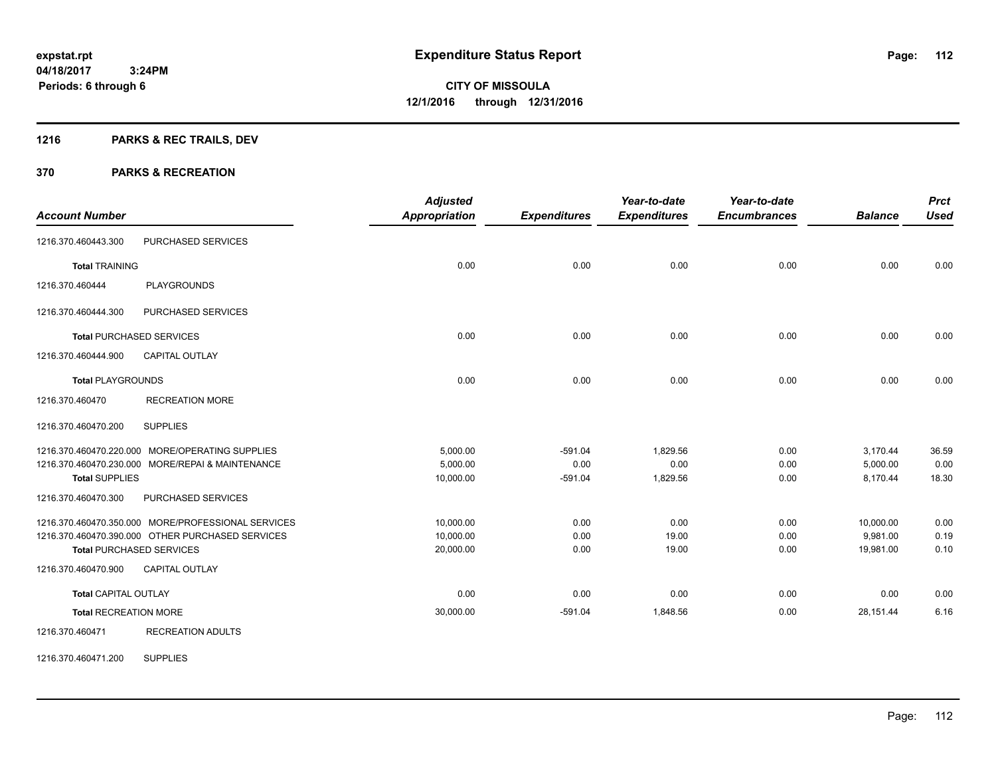## **1216 PARKS & REC TRAILS, DEV**

#### **370 PARKS & RECREATION**

| <b>Account Number</b>        |                                                                                                                                           | <b>Adjusted</b><br>Appropriation    | <b>Expenditures</b>            | Year-to-date<br><b>Expenditures</b> | Year-to-date<br><b>Encumbrances</b> | <b>Balance</b>                     | <b>Prct</b><br><b>Used</b> |
|------------------------------|-------------------------------------------------------------------------------------------------------------------------------------------|-------------------------------------|--------------------------------|-------------------------------------|-------------------------------------|------------------------------------|----------------------------|
| 1216.370.460443.300          | PURCHASED SERVICES                                                                                                                        |                                     |                                |                                     |                                     |                                    |                            |
| <b>Total TRAINING</b>        |                                                                                                                                           | 0.00                                | 0.00                           | 0.00                                | 0.00                                | 0.00                               | 0.00                       |
| 1216.370.460444              | <b>PLAYGROUNDS</b>                                                                                                                        |                                     |                                |                                     |                                     |                                    |                            |
| 1216.370.460444.300          | PURCHASED SERVICES                                                                                                                        |                                     |                                |                                     |                                     |                                    |                            |
|                              | <b>Total PURCHASED SERVICES</b>                                                                                                           | 0.00                                | 0.00                           | 0.00                                | 0.00                                | 0.00                               | 0.00                       |
| 1216.370.460444.900          | <b>CAPITAL OUTLAY</b>                                                                                                                     |                                     |                                |                                     |                                     |                                    |                            |
| <b>Total PLAYGROUNDS</b>     |                                                                                                                                           | 0.00                                | 0.00                           | 0.00                                | 0.00                                | 0.00                               | 0.00                       |
| 1216.370.460470              | <b>RECREATION MORE</b>                                                                                                                    |                                     |                                |                                     |                                     |                                    |                            |
| 1216.370.460470.200          | <b>SUPPLIES</b>                                                                                                                           |                                     |                                |                                     |                                     |                                    |                            |
| <b>Total SUPPLIES</b>        | 1216.370.460470.220.000 MORE/OPERATING SUPPLIES<br>1216.370.460470.230.000 MORE/REPAI & MAINTENANCE                                       | 5,000.00<br>5,000.00<br>10,000.00   | $-591.04$<br>0.00<br>$-591.04$ | 1,829.56<br>0.00<br>1,829.56        | 0.00<br>0.00<br>0.00                | 3,170.44<br>5,000.00<br>8,170.44   | 36.59<br>0.00<br>18.30     |
| 1216.370.460470.300          | PURCHASED SERVICES                                                                                                                        |                                     |                                |                                     |                                     |                                    |                            |
|                              | 1216.370.460470.350.000 MORE/PROFESSIONAL SERVICES<br>1216.370.460470.390.000 OTHER PURCHASED SERVICES<br><b>Total PURCHASED SERVICES</b> | 10,000.00<br>10,000.00<br>20,000.00 | 0.00<br>0.00<br>0.00           | 0.00<br>19.00<br>19.00              | 0.00<br>0.00<br>0.00                | 10,000.00<br>9,981.00<br>19,981.00 | 0.00<br>0.19<br>0.10       |
| 1216.370.460470.900          | <b>CAPITAL OUTLAY</b>                                                                                                                     |                                     |                                |                                     |                                     |                                    |                            |
| <b>Total CAPITAL OUTLAY</b>  |                                                                                                                                           | 0.00                                | 0.00                           | 0.00                                | 0.00                                | 0.00                               | 0.00                       |
| <b>Total RECREATION MORE</b> |                                                                                                                                           | 30,000.00                           | $-591.04$                      | 1,848.56                            | 0.00                                | 28,151.44                          | 6.16                       |
| 1216.370.460471              | <b>RECREATION ADULTS</b>                                                                                                                  |                                     |                                |                                     |                                     |                                    |                            |

1216.370.460471.200 SUPPLIES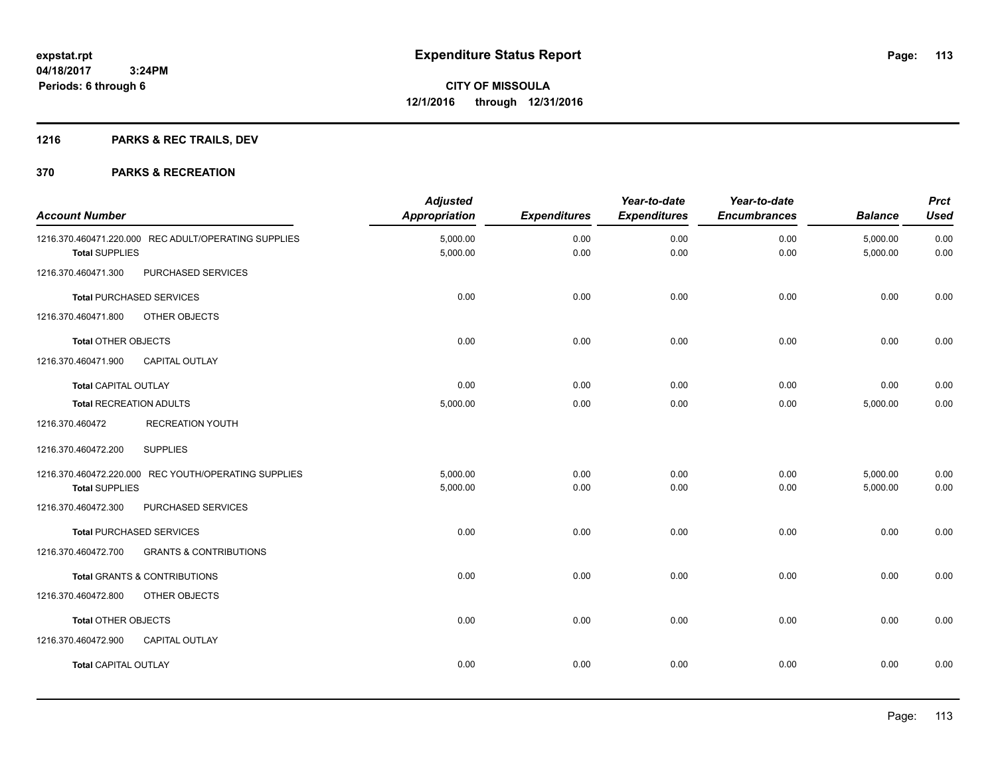## **1216 PARKS & REC TRAILS, DEV**

| <b>Account Number</b>          |                                                      | <b>Adjusted</b><br>Appropriation | <b>Expenditures</b> | Year-to-date<br><b>Expenditures</b> | Year-to-date<br><b>Encumbrances</b> | <b>Balance</b>       | <b>Prct</b><br><b>Used</b> |
|--------------------------------|------------------------------------------------------|----------------------------------|---------------------|-------------------------------------|-------------------------------------|----------------------|----------------------------|
| <b>Total SUPPLIES</b>          | 1216.370.460471.220.000 REC ADULT/OPERATING SUPPLIES | 5,000.00<br>5,000.00             | 0.00<br>0.00        | 0.00<br>0.00                        | 0.00<br>0.00                        | 5,000.00<br>5,000.00 | 0.00<br>0.00               |
| 1216.370.460471.300            | PURCHASED SERVICES                                   |                                  |                     |                                     |                                     |                      |                            |
|                                | <b>Total PURCHASED SERVICES</b>                      | 0.00                             | 0.00                | 0.00                                | 0.00                                | 0.00                 | 0.00                       |
| 1216.370.460471.800            | OTHER OBJECTS                                        |                                  |                     |                                     |                                     |                      |                            |
| <b>Total OTHER OBJECTS</b>     |                                                      | 0.00                             | 0.00                | 0.00                                | 0.00                                | 0.00                 | 0.00                       |
| 1216.370.460471.900            | <b>CAPITAL OUTLAY</b>                                |                                  |                     |                                     |                                     |                      |                            |
| <b>Total CAPITAL OUTLAY</b>    |                                                      | 0.00                             | 0.00                | 0.00                                | 0.00                                | 0.00                 | 0.00                       |
| <b>Total RECREATION ADULTS</b> |                                                      | 5,000.00                         | 0.00                | 0.00                                | 0.00                                | 5,000.00             | 0.00                       |
| 1216.370.460472                | <b>RECREATION YOUTH</b>                              |                                  |                     |                                     |                                     |                      |                            |
| 1216.370.460472.200            | <b>SUPPLIES</b>                                      |                                  |                     |                                     |                                     |                      |                            |
|                                | 1216.370.460472.220.000 REC YOUTH/OPERATING SUPPLIES | 5,000.00                         | 0.00                | 0.00                                | 0.00                                | 5,000.00             | 0.00                       |
| <b>Total SUPPLIES</b>          |                                                      | 5,000.00                         | 0.00                | 0.00                                | 0.00                                | 5,000.00             | 0.00                       |
| 1216.370.460472.300            | PURCHASED SERVICES                                   |                                  |                     |                                     |                                     |                      |                            |
|                                | <b>Total PURCHASED SERVICES</b>                      | 0.00                             | 0.00                | 0.00                                | 0.00                                | 0.00                 | 0.00                       |
| 1216.370.460472.700            | <b>GRANTS &amp; CONTRIBUTIONS</b>                    |                                  |                     |                                     |                                     |                      |                            |
|                                | Total GRANTS & CONTRIBUTIONS                         | 0.00                             | 0.00                | 0.00                                | 0.00                                | 0.00                 | 0.00                       |
| 1216.370.460472.800            | OTHER OBJECTS                                        |                                  |                     |                                     |                                     |                      |                            |
| <b>Total OTHER OBJECTS</b>     |                                                      | 0.00                             | 0.00                | 0.00                                | 0.00                                | 0.00                 | 0.00                       |
| 1216.370.460472.900            | <b>CAPITAL OUTLAY</b>                                |                                  |                     |                                     |                                     |                      |                            |
| <b>Total CAPITAL OUTLAY</b>    |                                                      | 0.00                             | 0.00                | 0.00                                | 0.00                                | 0.00                 | 0.00                       |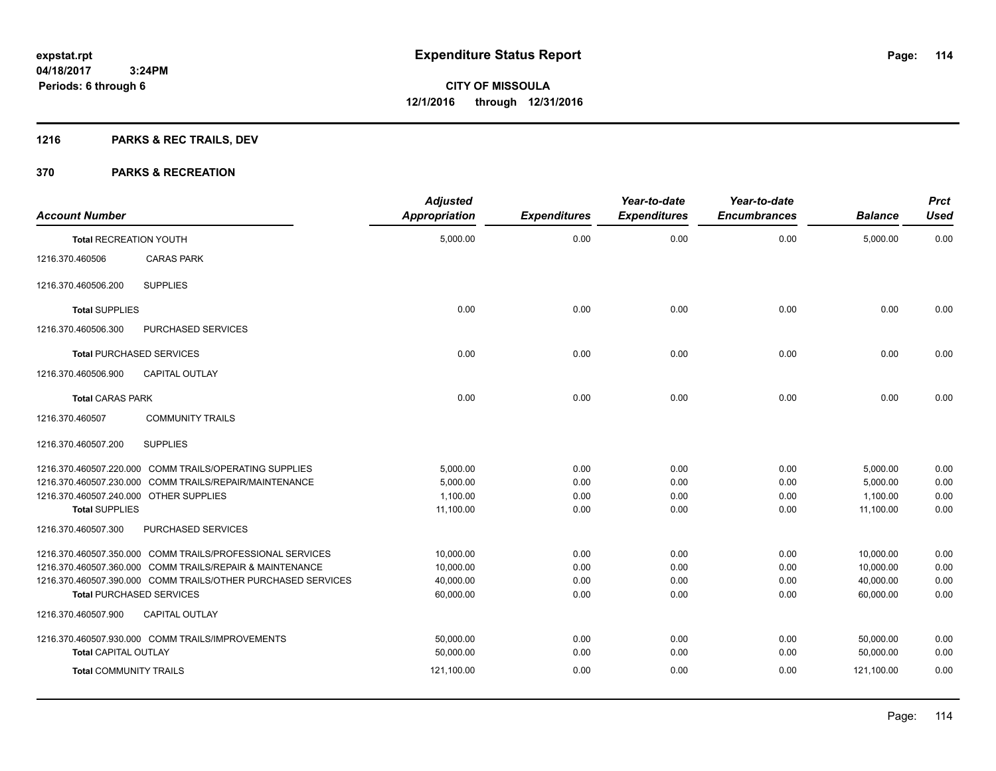## **1216 PARKS & REC TRAILS, DEV**

| <b>Account Number</b>                  |                                                              | <b>Adjusted</b><br><b>Appropriation</b> | <b>Expenditures</b> | Year-to-date<br><b>Expenditures</b> | Year-to-date<br><b>Encumbrances</b> | <b>Balance</b> | <b>Prct</b><br><b>Used</b> |
|----------------------------------------|--------------------------------------------------------------|-----------------------------------------|---------------------|-------------------------------------|-------------------------------------|----------------|----------------------------|
| <b>Total RECREATION YOUTH</b>          |                                                              | 5,000.00                                | 0.00                | 0.00                                | 0.00                                | 5,000.00       | 0.00                       |
| 1216.370.460506                        | <b>CARAS PARK</b>                                            |                                         |                     |                                     |                                     |                |                            |
| 1216.370.460506.200                    | <b>SUPPLIES</b>                                              |                                         |                     |                                     |                                     |                |                            |
| <b>Total SUPPLIES</b>                  |                                                              | 0.00                                    | 0.00                | 0.00                                | 0.00                                | 0.00           | 0.00                       |
| 1216.370.460506.300                    | PURCHASED SERVICES                                           |                                         |                     |                                     |                                     |                |                            |
|                                        | <b>Total PURCHASED SERVICES</b>                              | 0.00                                    | 0.00                | 0.00                                | 0.00                                | 0.00           | 0.00                       |
| 1216.370.460506.900                    | <b>CAPITAL OUTLAY</b>                                        |                                         |                     |                                     |                                     |                |                            |
| <b>Total CARAS PARK</b>                |                                                              | 0.00                                    | 0.00                | 0.00                                | 0.00                                | 0.00           | 0.00                       |
| 1216.370.460507                        | <b>COMMUNITY TRAILS</b>                                      |                                         |                     |                                     |                                     |                |                            |
| 1216.370.460507.200                    | <b>SUPPLIES</b>                                              |                                         |                     |                                     |                                     |                |                            |
|                                        | 1216.370.460507.220.000 COMM TRAILS/OPERATING SUPPLIES       | 5.000.00                                | 0.00                | 0.00                                | 0.00                                | 5,000.00       | 0.00                       |
|                                        | 1216.370.460507.230.000 COMM TRAILS/REPAIR/MAINTENANCE       | 5,000.00                                | 0.00                | 0.00                                | 0.00                                | 5,000.00       | 0.00                       |
| 1216.370.460507.240.000 OTHER SUPPLIES |                                                              | 1,100.00                                | 0.00                | 0.00                                | 0.00                                | 1,100.00       | 0.00                       |
| <b>Total SUPPLIES</b>                  |                                                              | 11,100.00                               | 0.00                | 0.00                                | 0.00                                | 11,100.00      | 0.00                       |
| 1216.370.460507.300                    | PURCHASED SERVICES                                           |                                         |                     |                                     |                                     |                |                            |
|                                        | 1216.370.460507.350.000 COMM TRAILS/PROFESSIONAL SERVICES    | 10,000.00                               | 0.00                | 0.00                                | 0.00                                | 10,000.00      | 0.00                       |
|                                        | 1216.370.460507.360.000 COMM TRAILS/REPAIR & MAINTENANCE     | 10.000.00                               | 0.00                | 0.00                                | 0.00                                | 10.000.00      | 0.00                       |
|                                        | 1216.370.460507.390.000 COMM TRAILS/OTHER PURCHASED SERVICES | 40.000.00                               | 0.00                | 0.00                                | 0.00                                | 40,000.00      | 0.00                       |
|                                        | <b>Total PURCHASED SERVICES</b>                              | 60,000.00                               | 0.00                | 0.00                                | 0.00                                | 60,000.00      | 0.00                       |
| 1216.370.460507.900                    | <b>CAPITAL OUTLAY</b>                                        |                                         |                     |                                     |                                     |                |                            |
|                                        | 1216.370.460507.930.000 COMM TRAILS/IMPROVEMENTS             | 50,000.00                               | 0.00                | 0.00                                | 0.00                                | 50,000.00      | 0.00                       |
| <b>Total CAPITAL OUTLAY</b>            |                                                              | 50,000.00                               | 0.00                | 0.00                                | 0.00                                | 50,000.00      | 0.00                       |
| <b>Total COMMUNITY TRAILS</b>          |                                                              | 121,100.00                              | 0.00                | 0.00                                | 0.00                                | 121,100.00     | 0.00                       |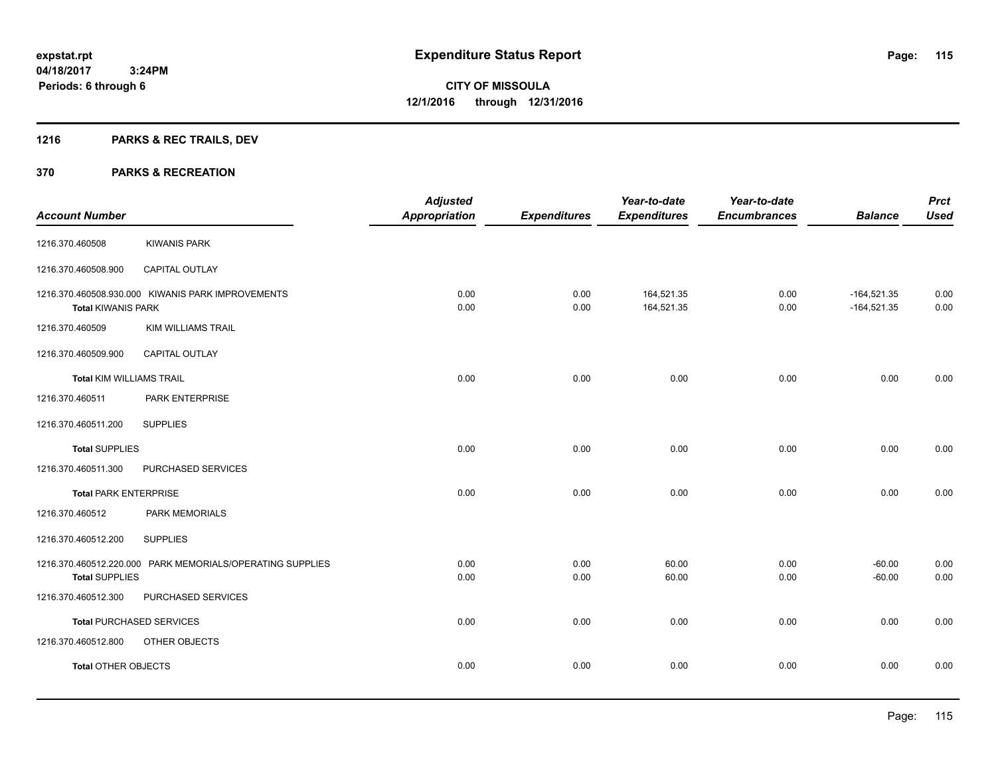## **1216 PARKS & REC TRAILS, DEV**

|                                 |                                                           | <b>Adjusted</b>      |                     | Year-to-date             | Year-to-date        |                                | <b>Prct</b>  |
|---------------------------------|-----------------------------------------------------------|----------------------|---------------------|--------------------------|---------------------|--------------------------------|--------------|
| <b>Account Number</b>           |                                                           | <b>Appropriation</b> | <b>Expenditures</b> | <b>Expenditures</b>      | <b>Encumbrances</b> | <b>Balance</b>                 | <b>Used</b>  |
| 1216.370.460508                 | <b>KIWANIS PARK</b>                                       |                      |                     |                          |                     |                                |              |
| 1216.370.460508.900             | CAPITAL OUTLAY                                            |                      |                     |                          |                     |                                |              |
| <b>Total KIWANIS PARK</b>       | 1216.370.460508.930.000 KIWANIS PARK IMPROVEMENTS         | 0.00<br>0.00         | 0.00<br>0.00        | 164,521.35<br>164,521.35 | 0.00<br>0.00        | $-164,521.35$<br>$-164,521.35$ | 0.00<br>0.00 |
| 1216.370.460509                 | <b>KIM WILLIAMS TRAIL</b>                                 |                      |                     |                          |                     |                                |              |
| 1216.370.460509.900             | CAPITAL OUTLAY                                            |                      |                     |                          |                     |                                |              |
| <b>Total KIM WILLIAMS TRAIL</b> |                                                           | 0.00                 | 0.00                | 0.00                     | 0.00                | 0.00                           | 0.00         |
| 1216.370.460511                 | PARK ENTERPRISE                                           |                      |                     |                          |                     |                                |              |
| 1216.370.460511.200             | <b>SUPPLIES</b>                                           |                      |                     |                          |                     |                                |              |
| <b>Total SUPPLIES</b>           |                                                           | 0.00                 | 0.00                | 0.00                     | 0.00                | 0.00                           | 0.00         |
| 1216.370.460511.300             | PURCHASED SERVICES                                        |                      |                     |                          |                     |                                |              |
| <b>Total PARK ENTERPRISE</b>    |                                                           | 0.00                 | 0.00                | 0.00                     | 0.00                | 0.00                           | 0.00         |
| 1216.370.460512                 | PARK MEMORIALS                                            |                      |                     |                          |                     |                                |              |
| 1216.370.460512.200             | <b>SUPPLIES</b>                                           |                      |                     |                          |                     |                                |              |
| <b>Total SUPPLIES</b>           | 1216.370.460512.220.000 PARK MEMORIALS/OPERATING SUPPLIES | 0.00<br>0.00         | 0.00<br>0.00        | 60.00<br>60.00           | 0.00<br>0.00        | $-60.00$<br>$-60.00$           | 0.00<br>0.00 |
| 1216.370.460512.300             | PURCHASED SERVICES                                        |                      |                     |                          |                     |                                |              |
|                                 | <b>Total PURCHASED SERVICES</b>                           | 0.00                 | 0.00                | 0.00                     | 0.00                | 0.00                           | 0.00         |
| 1216.370.460512.800             | OTHER OBJECTS                                             |                      |                     |                          |                     |                                |              |
| <b>Total OTHER OBJECTS</b>      |                                                           | 0.00                 | 0.00                | 0.00                     | 0.00                | 0.00                           | 0.00         |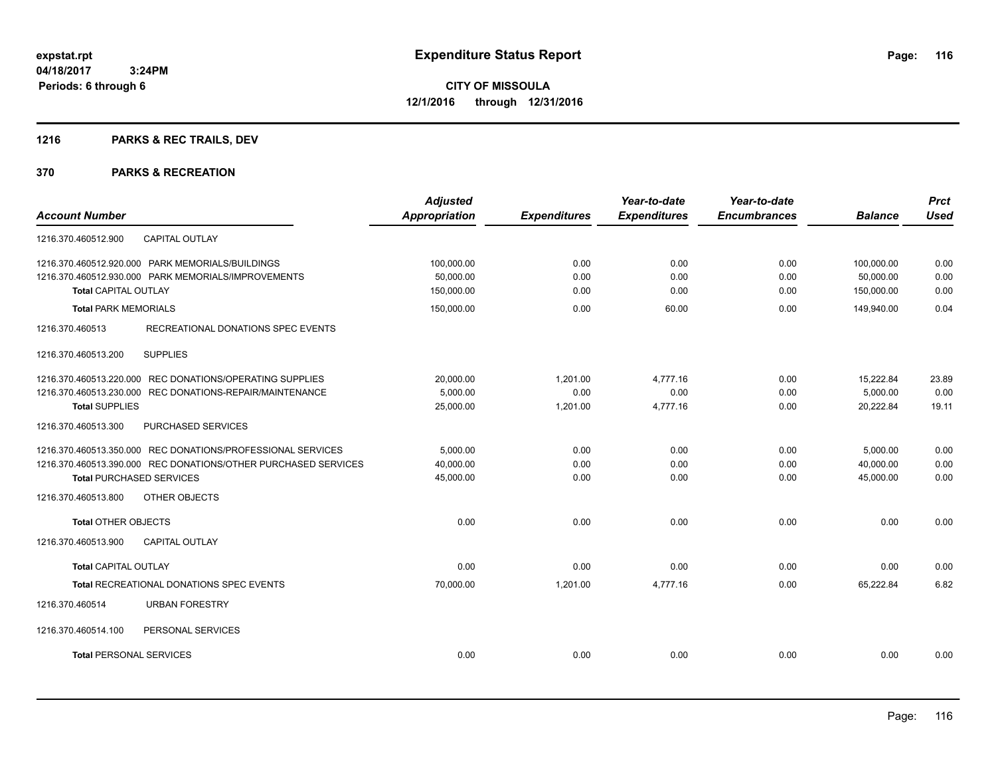## **1216 PARKS & REC TRAILS, DEV**

|                                                                | <b>Adjusted</b>      |                     | Year-to-date        | Year-to-date        |                | <b>Prct</b> |
|----------------------------------------------------------------|----------------------|---------------------|---------------------|---------------------|----------------|-------------|
| <b>Account Number</b>                                          | <b>Appropriation</b> | <b>Expenditures</b> | <b>Expenditures</b> | <b>Encumbrances</b> | <b>Balance</b> | <b>Used</b> |
| <b>CAPITAL OUTLAY</b><br>1216.370.460512.900                   |                      |                     |                     |                     |                |             |
| 1216.370.460512.920.000 PARK MEMORIALS/BUILDINGS               | 100,000.00           | 0.00                | 0.00                | 0.00                | 100,000.00     | 0.00        |
| 1216.370.460512.930.000 PARK MEMORIALS/IMPROVEMENTS            | 50,000.00            | 0.00                | 0.00                | 0.00                | 50,000.00      | 0.00        |
| <b>Total CAPITAL OUTLAY</b>                                    | 150,000.00           | 0.00                | 0.00                | 0.00                | 150,000.00     | 0.00        |
| <b>Total PARK MEMORIALS</b>                                    | 150,000.00           | 0.00                | 60.00               | 0.00                | 149,940.00     | 0.04        |
| 1216.370.460513<br>RECREATIONAL DONATIONS SPEC EVENTS          |                      |                     |                     |                     |                |             |
| <b>SUPPLIES</b><br>1216.370.460513.200                         |                      |                     |                     |                     |                |             |
| 1216.370.460513.220.000 REC DONATIONS/OPERATING SUPPLIES       | 20,000.00            | 1,201.00            | 4,777.16            | 0.00                | 15,222.84      | 23.89       |
| 1216.370.460513.230.000 REC DONATIONS-REPAIR/MAINTENANCE       | 5,000.00             | 0.00                | 0.00                | 0.00                | 5,000.00       | 0.00        |
| <b>Total SUPPLIES</b>                                          | 25,000.00            | 1,201.00            | 4,777.16            | 0.00                | 20,222.84      | 19.11       |
| 1216.370.460513.300<br>PURCHASED SERVICES                      |                      |                     |                     |                     |                |             |
| 1216.370.460513.350.000 REC DONATIONS/PROFESSIONAL SERVICES    | 5,000.00             | 0.00                | 0.00                | 0.00                | 5,000.00       | 0.00        |
| 1216.370.460513.390.000 REC DONATIONS/OTHER PURCHASED SERVICES | 40.000.00            | 0.00                | 0.00                | 0.00                | 40.000.00      | 0.00        |
| <b>Total PURCHASED SERVICES</b>                                | 45,000.00            | 0.00                | 0.00                | 0.00                | 45.000.00      | 0.00        |
| OTHER OBJECTS<br>1216.370.460513.800                           |                      |                     |                     |                     |                |             |
| <b>Total OTHER OBJECTS</b>                                     | 0.00                 | 0.00                | 0.00                | 0.00                | 0.00           | 0.00        |
| 1216.370.460513.900<br><b>CAPITAL OUTLAY</b>                   |                      |                     |                     |                     |                |             |
| <b>Total CAPITAL OUTLAY</b>                                    | 0.00                 | 0.00                | 0.00                | 0.00                | 0.00           | 0.00        |
| <b>Total RECREATIONAL DONATIONS SPEC EVENTS</b>                | 70,000.00            | 1,201.00            | 4.777.16            | 0.00                | 65.222.84      | 6.82        |
| 1216.370.460514<br><b>URBAN FORESTRY</b>                       |                      |                     |                     |                     |                |             |
| 1216.370.460514.100<br>PERSONAL SERVICES                       |                      |                     |                     |                     |                |             |
| <b>Total PERSONAL SERVICES</b>                                 | 0.00                 | 0.00                | 0.00                | 0.00                | 0.00           | 0.00        |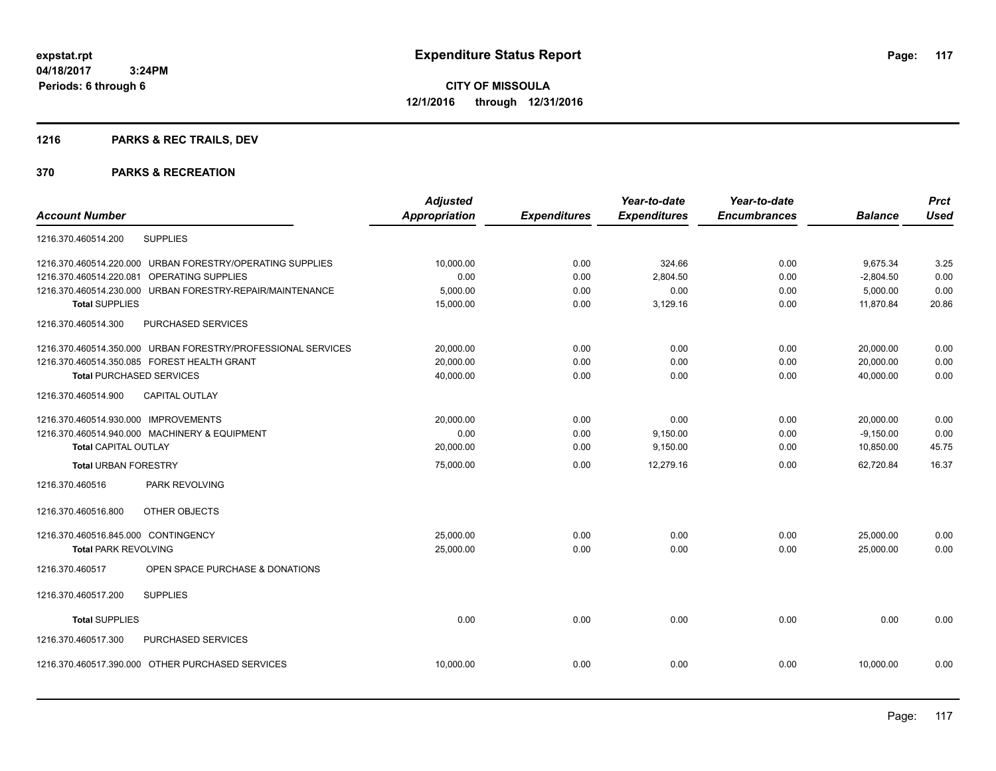## **1216 PARKS & REC TRAILS, DEV**

|                                                              | <b>Adjusted</b> |                     | Year-to-date        | Year-to-date        |                | <b>Prct</b> |
|--------------------------------------------------------------|-----------------|---------------------|---------------------|---------------------|----------------|-------------|
| <b>Account Number</b>                                        | Appropriation   | <b>Expenditures</b> | <b>Expenditures</b> | <b>Encumbrances</b> | <b>Balance</b> | <b>Used</b> |
| <b>SUPPLIES</b><br>1216.370.460514.200                       |                 |                     |                     |                     |                |             |
| URBAN FORESTRY/OPERATING SUPPLIES<br>1216.370.460514.220.000 | 10,000.00       | 0.00                | 324.66              | 0.00                | 9,675.34       | 3.25        |
| <b>OPERATING SUPPLIES</b><br>1216.370.460514.220.081         | 0.00            | 0.00                | 2,804.50            | 0.00                | $-2,804.50$    | 0.00        |
| URBAN FORESTRY-REPAIR/MAINTENANCE<br>1216.370.460514.230.000 | 5,000.00        | 0.00                | 0.00                | 0.00                | 5,000.00       | 0.00        |
| <b>Total SUPPLIES</b>                                        | 15,000.00       | 0.00                | 3,129.16            | 0.00                | 11,870.84      | 20.86       |
| 1216.370.460514.300<br>PURCHASED SERVICES                    |                 |                     |                     |                     |                |             |
| 1216.370.460514.350.000 URBAN FORESTRY/PROFESSIONAL SERVICES | 20,000.00       | 0.00                | 0.00                | 0.00                | 20,000.00      | 0.00        |
| 1216.370.460514.350.085 FOREST HEALTH GRANT                  | 20,000.00       | 0.00                | 0.00                | 0.00                | 20,000.00      | 0.00        |
| <b>Total PURCHASED SERVICES</b>                              | 40,000.00       | 0.00                | 0.00                | 0.00                | 40,000.00      | 0.00        |
| 1216.370.460514.900<br><b>CAPITAL OUTLAY</b>                 |                 |                     |                     |                     |                |             |
| 1216.370.460514.930.000 IMPROVEMENTS                         | 20,000.00       | 0.00                | 0.00                | 0.00                | 20,000.00      | 0.00        |
| 1216.370.460514.940.000 MACHINERY & EQUIPMENT                | 0.00            | 0.00                | 9,150.00            | 0.00                | $-9,150.00$    | 0.00        |
| <b>Total CAPITAL OUTLAY</b>                                  | 20,000.00       | 0.00                | 9,150.00            | 0.00                | 10,850.00      | 45.75       |
| <b>Total URBAN FORESTRY</b>                                  | 75,000.00       | 0.00                | 12,279.16           | 0.00                | 62,720.84      | 16.37       |
| 1216.370.460516<br>PARK REVOLVING                            |                 |                     |                     |                     |                |             |
| 1216.370.460516.800<br>OTHER OBJECTS                         |                 |                     |                     |                     |                |             |
| 1216.370.460516.845.000 CONTINGENCY                          | 25,000.00       | 0.00                | 0.00                | 0.00                | 25,000.00      | 0.00        |
| <b>Total PARK REVOLVING</b>                                  | 25,000.00       | 0.00                | 0.00                | 0.00                | 25,000.00      | 0.00        |
| 1216.370.460517<br>OPEN SPACE PURCHASE & DONATIONS           |                 |                     |                     |                     |                |             |
| <b>SUPPLIES</b><br>1216.370.460517.200                       |                 |                     |                     |                     |                |             |
| <b>Total SUPPLIES</b>                                        | 0.00            | 0.00                | 0.00                | 0.00                | 0.00           | 0.00        |
| PURCHASED SERVICES<br>1216.370.460517.300                    |                 |                     |                     |                     |                |             |
| 1216.370.460517.390.000 OTHER PURCHASED SERVICES             | 10,000.00       | 0.00                | 0.00                | 0.00                | 10,000.00      | 0.00        |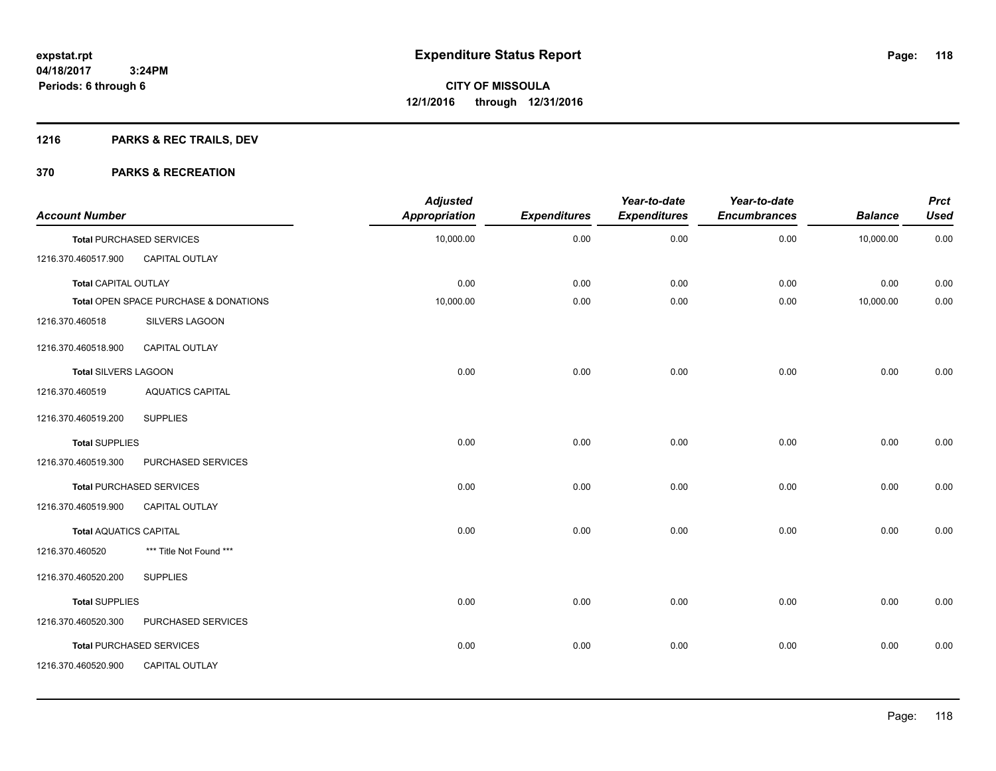## **1216 PARKS & REC TRAILS, DEV**

| <b>Account Number</b>         |                                       | <b>Adjusted</b><br><b>Appropriation</b> | <b>Expenditures</b> | Year-to-date<br><b>Expenditures</b> | Year-to-date<br><b>Encumbrances</b> | <b>Balance</b> | <b>Prct</b><br><b>Used</b> |
|-------------------------------|---------------------------------------|-----------------------------------------|---------------------|-------------------------------------|-------------------------------------|----------------|----------------------------|
|                               | <b>Total PURCHASED SERVICES</b>       | 10,000.00                               | 0.00                | 0.00                                | 0.00                                | 10,000.00      | 0.00                       |
| 1216.370.460517.900           | CAPITAL OUTLAY                        |                                         |                     |                                     |                                     |                |                            |
| <b>Total CAPITAL OUTLAY</b>   |                                       | 0.00                                    | 0.00                | 0.00                                | 0.00                                | 0.00           | 0.00                       |
|                               | Total OPEN SPACE PURCHASE & DONATIONS | 10,000.00                               | 0.00                | 0.00                                | 0.00                                | 10,000.00      | 0.00                       |
| 1216.370.460518               | SILVERS LAGOON                        |                                         |                     |                                     |                                     |                |                            |
| 1216.370.460518.900           | <b>CAPITAL OUTLAY</b>                 |                                         |                     |                                     |                                     |                |                            |
| <b>Total SILVERS LAGOON</b>   |                                       | 0.00                                    | 0.00                | 0.00                                | 0.00                                | 0.00           | 0.00                       |
| 1216.370.460519               | <b>AQUATICS CAPITAL</b>               |                                         |                     |                                     |                                     |                |                            |
| 1216.370.460519.200           | <b>SUPPLIES</b>                       |                                         |                     |                                     |                                     |                |                            |
| <b>Total SUPPLIES</b>         |                                       | 0.00                                    | 0.00                | 0.00                                | 0.00                                | 0.00           | 0.00                       |
| 1216.370.460519.300           | PURCHASED SERVICES                    |                                         |                     |                                     |                                     |                |                            |
|                               | <b>Total PURCHASED SERVICES</b>       | 0.00                                    | 0.00                | 0.00                                | 0.00                                | 0.00           | 0.00                       |
| 1216.370.460519.900           | CAPITAL OUTLAY                        |                                         |                     |                                     |                                     |                |                            |
| <b>Total AQUATICS CAPITAL</b> |                                       | 0.00                                    | 0.00                | 0.00                                | 0.00                                | 0.00           | 0.00                       |
| 1216.370.460520               | *** Title Not Found ***               |                                         |                     |                                     |                                     |                |                            |
| 1216.370.460520.200           | <b>SUPPLIES</b>                       |                                         |                     |                                     |                                     |                |                            |
| <b>Total SUPPLIES</b>         |                                       | 0.00                                    | 0.00                | 0.00                                | 0.00                                | 0.00           | 0.00                       |
| 1216.370.460520.300           | PURCHASED SERVICES                    |                                         |                     |                                     |                                     |                |                            |
|                               | <b>Total PURCHASED SERVICES</b>       | 0.00                                    | 0.00                | 0.00                                | 0.00                                | 0.00           | 0.00                       |
| 1216.370.460520.900           | CAPITAL OUTLAY                        |                                         |                     |                                     |                                     |                |                            |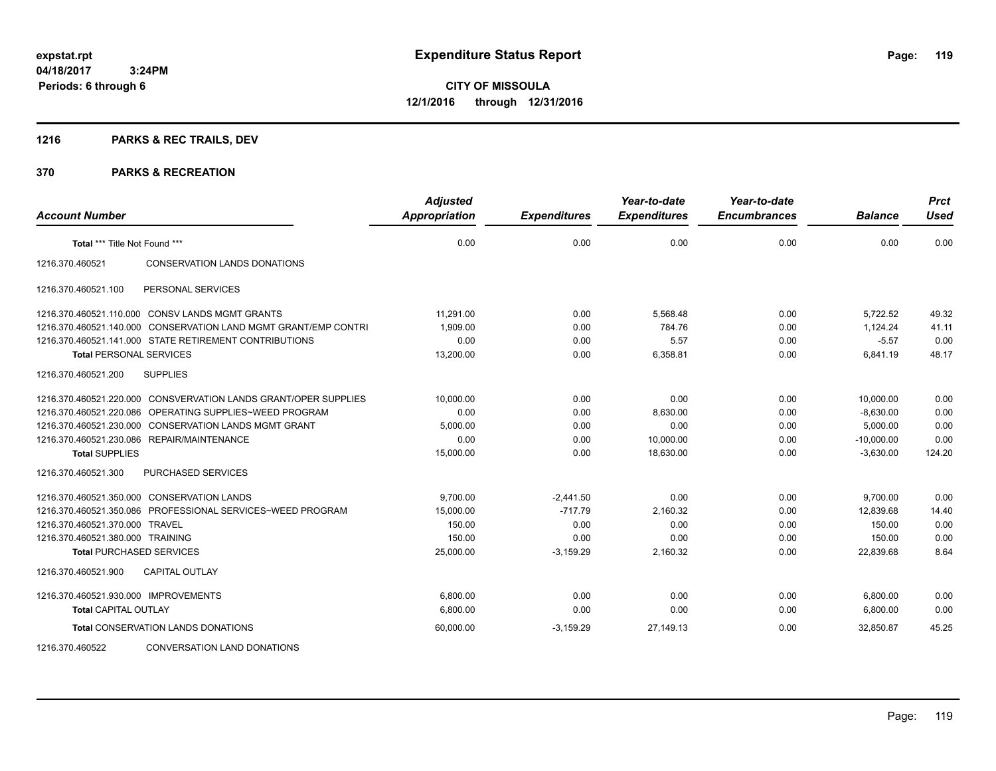## **1216 PARKS & REC TRAILS, DEV**

| <b>Account Number</b>                |                                                                 | <b>Adjusted</b><br><b>Appropriation</b> | <b>Expenditures</b> | Year-to-date<br><b>Expenditures</b> | Year-to-date<br><b>Encumbrances</b> | <b>Balance</b> | <b>Prct</b><br><b>Used</b> |
|--------------------------------------|-----------------------------------------------------------------|-----------------------------------------|---------------------|-------------------------------------|-------------------------------------|----------------|----------------------------|
| Total *** Title Not Found ***        |                                                                 | 0.00                                    | 0.00                | 0.00                                | 0.00                                | 0.00           | 0.00                       |
| 1216.370.460521                      | <b>CONSERVATION LANDS DONATIONS</b>                             |                                         |                     |                                     |                                     |                |                            |
| 1216.370.460521.100                  | PERSONAL SERVICES                                               |                                         |                     |                                     |                                     |                |                            |
|                                      | 1216.370.460521.110.000 CONSV LANDS MGMT GRANTS                 | 11,291.00                               | 0.00                | 5,568.48                            | 0.00                                | 5,722.52       | 49.32                      |
|                                      | 1216.370.460521.140.000 CONSERVATION LAND MGMT GRANT/EMP CONTRI | 1,909.00                                | 0.00                | 784.76                              | 0.00                                | 1.124.24       | 41.11                      |
|                                      | 1216.370.460521.141.000 STATE RETIREMENT CONTRIBUTIONS          | 0.00                                    | 0.00                | 5.57                                | 0.00                                | $-5.57$        | 0.00                       |
| <b>Total PERSONAL SERVICES</b>       |                                                                 | 13,200.00                               | 0.00                | 6,358.81                            | 0.00                                | 6,841.19       | 48.17                      |
| 1216.370.460521.200                  | <b>SUPPLIES</b>                                                 |                                         |                     |                                     |                                     |                |                            |
|                                      | 1216.370.460521.220.000 CONSVERVATION LANDS GRANT/OPER SUPPLIES | 10.000.00                               | 0.00                | 0.00                                | 0.00                                | 10,000.00      | 0.00                       |
|                                      | 1216.370.460521.220.086 OPERATING SUPPLIES~WEED PROGRAM         | 0.00                                    | 0.00                | 8,630.00                            | 0.00                                | $-8,630.00$    | 0.00                       |
|                                      | 1216.370.460521.230.000 CONSERVATION LANDS MGMT GRANT           | 5,000.00                                | 0.00                | 0.00                                | 0.00                                | 5,000.00       | 0.00                       |
|                                      | 1216.370.460521.230.086 REPAIR/MAINTENANCE                      | 0.00                                    | 0.00                | 10,000.00                           | 0.00                                | $-10,000.00$   | 0.00                       |
| <b>Total SUPPLIES</b>                |                                                                 | 15,000.00                               | 0.00                | 18,630.00                           | 0.00                                | $-3,630.00$    | 124.20                     |
| 1216.370.460521.300                  | <b>PURCHASED SERVICES</b>                                       |                                         |                     |                                     |                                     |                |                            |
|                                      | 1216.370.460521.350.000 CONSERVATION LANDS                      | 9,700.00                                | $-2,441.50$         | 0.00                                | 0.00                                | 9,700.00       | 0.00                       |
|                                      | 1216.370.460521.350.086 PROFESSIONAL SERVICES~WEED PROGRAM      | 15,000.00                               | $-717.79$           | 2,160.32                            | 0.00                                | 12,839.68      | 14.40                      |
| 1216.370.460521.370.000 TRAVEL       |                                                                 | 150.00                                  | 0.00                | 0.00                                | 0.00                                | 150.00         | 0.00                       |
| 1216.370.460521.380.000 TRAINING     |                                                                 | 150.00                                  | 0.00                | 0.00                                | 0.00                                | 150.00         | 0.00                       |
| <b>Total PURCHASED SERVICES</b>      |                                                                 | 25,000.00                               | $-3,159.29$         | 2,160.32                            | 0.00                                | 22,839.68      | 8.64                       |
| 1216.370.460521.900                  | <b>CAPITAL OUTLAY</b>                                           |                                         |                     |                                     |                                     |                |                            |
| 1216.370.460521.930.000 IMPROVEMENTS |                                                                 | 6.800.00                                | 0.00                | 0.00                                | 0.00                                | 6,800.00       | 0.00                       |
| <b>Total CAPITAL OUTLAY</b>          |                                                                 | 6,800.00                                | 0.00                | 0.00                                | 0.00                                | 6,800.00       | 0.00                       |
|                                      | <b>Total CONSERVATION LANDS DONATIONS</b>                       | 60,000.00                               | $-3,159.29$         | 27.149.13                           | 0.00                                | 32.850.87      | 45.25                      |
| 1216.370.460522                      | <b>CONVERSATION LAND DONATIONS</b>                              |                                         |                     |                                     |                                     |                |                            |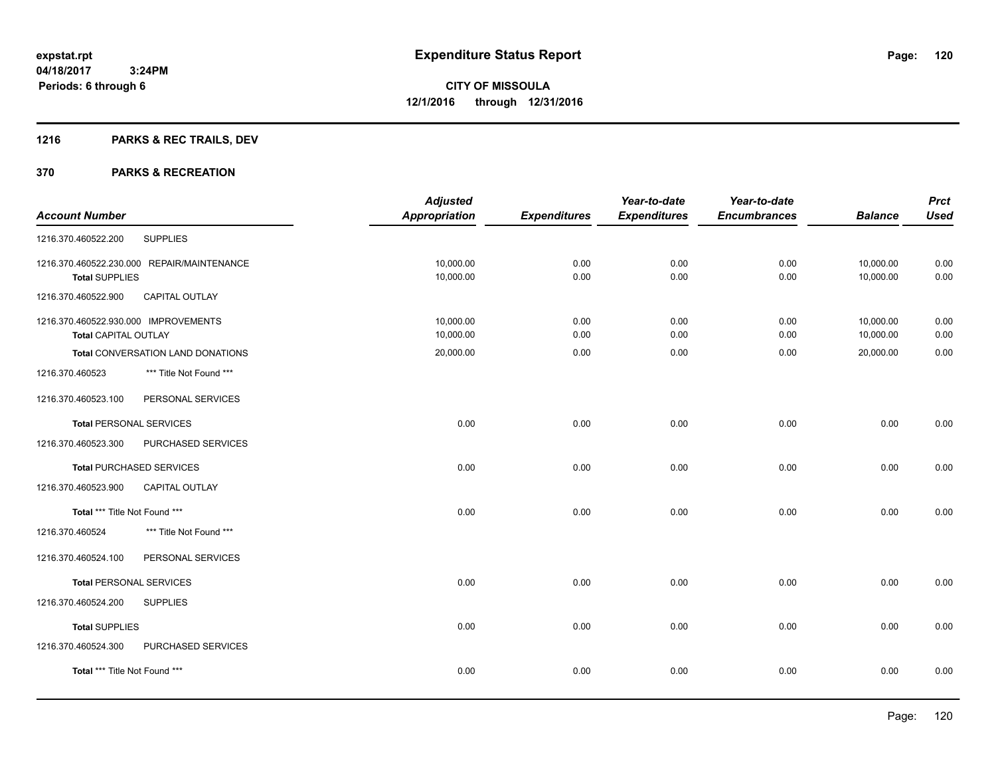## **1216 PARKS & REC TRAILS, DEV**

|                                      |                                            | <b>Adjusted</b> |                     | Year-to-date        | Year-to-date        |                | <b>Prct</b> |
|--------------------------------------|--------------------------------------------|-----------------|---------------------|---------------------|---------------------|----------------|-------------|
| <b>Account Number</b>                |                                            | Appropriation   | <b>Expenditures</b> | <b>Expenditures</b> | <b>Encumbrances</b> | <b>Balance</b> | <b>Used</b> |
| 1216.370.460522.200                  | <b>SUPPLIES</b>                            |                 |                     |                     |                     |                |             |
|                                      | 1216.370.460522.230.000 REPAIR/MAINTENANCE | 10,000.00       | 0.00                | 0.00                | 0.00                | 10,000.00      | 0.00        |
| <b>Total SUPPLIES</b>                |                                            | 10,000.00       | 0.00                | 0.00                | 0.00                | 10,000.00      | 0.00        |
| 1216.370.460522.900                  | CAPITAL OUTLAY                             |                 |                     |                     |                     |                |             |
| 1216.370.460522.930.000 IMPROVEMENTS |                                            | 10,000.00       | 0.00                | 0.00                | 0.00                | 10,000.00      | 0.00        |
| <b>Total CAPITAL OUTLAY</b>          |                                            | 10,000.00       | 0.00                | 0.00                | 0.00                | 10,000.00      | 0.00        |
|                                      | Total CONVERSATION LAND DONATIONS          | 20,000.00       | 0.00                | 0.00                | 0.00                | 20,000.00      | 0.00        |
| 1216.370.460523                      | *** Title Not Found ***                    |                 |                     |                     |                     |                |             |
| 1216.370.460523.100                  | PERSONAL SERVICES                          |                 |                     |                     |                     |                |             |
| <b>Total PERSONAL SERVICES</b>       |                                            | 0.00            | 0.00                | 0.00                | 0.00                | 0.00           | 0.00        |
| 1216.370.460523.300                  | PURCHASED SERVICES                         |                 |                     |                     |                     |                |             |
|                                      | <b>Total PURCHASED SERVICES</b>            | 0.00            | 0.00                | 0.00                | 0.00                | 0.00           | 0.00        |
| 1216.370.460523.900                  | CAPITAL OUTLAY                             |                 |                     |                     |                     |                |             |
| Total *** Title Not Found ***        |                                            | 0.00            | 0.00                | 0.00                | 0.00                | 0.00           | 0.00        |
| 1216.370.460524                      | *** Title Not Found ***                    |                 |                     |                     |                     |                |             |
| 1216.370.460524.100                  | PERSONAL SERVICES                          |                 |                     |                     |                     |                |             |
| <b>Total PERSONAL SERVICES</b>       |                                            | 0.00            | 0.00                | 0.00                | 0.00                | 0.00           | 0.00        |
| 1216.370.460524.200                  | <b>SUPPLIES</b>                            |                 |                     |                     |                     |                |             |
| <b>Total SUPPLIES</b>                |                                            | 0.00            | 0.00                | 0.00                | 0.00                | 0.00           | 0.00        |
| 1216.370.460524.300                  | PURCHASED SERVICES                         |                 |                     |                     |                     |                |             |
| Total *** Title Not Found ***        |                                            | 0.00            | 0.00                | 0.00                | 0.00                | 0.00           | 0.00        |
|                                      |                                            |                 |                     |                     |                     |                |             |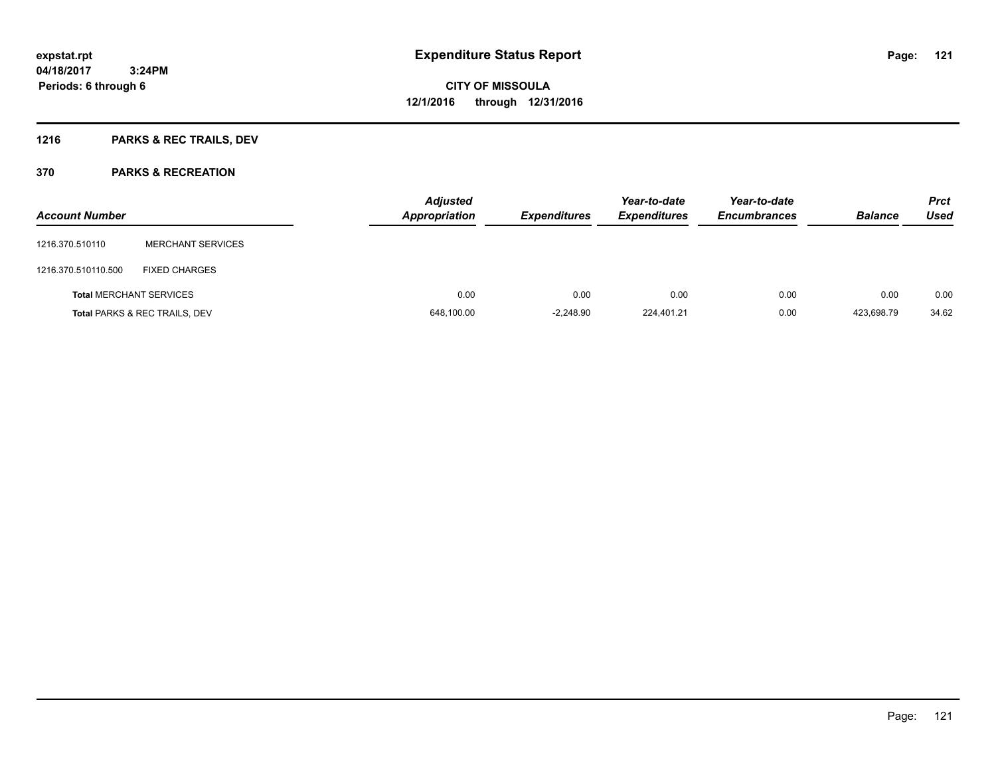## **1216 PARKS & REC TRAILS, DEV**

| <b>Account Number</b> |                                          | <b>Adjusted</b><br><b>Appropriation</b> | <b>Expenditures</b> | Year-to-date<br><b>Expenditures</b> | Year-to-date<br><b>Encumbrances</b> | <b>Balance</b> | <b>Prct</b><br><b>Used</b> |
|-----------------------|------------------------------------------|-----------------------------------------|---------------------|-------------------------------------|-------------------------------------|----------------|----------------------------|
| 1216.370.510110       | <b>MERCHANT SERVICES</b>                 |                                         |                     |                                     |                                     |                |                            |
| 1216.370.510110.500   | <b>FIXED CHARGES</b>                     |                                         |                     |                                     |                                     |                |                            |
|                       | <b>Total MERCHANT SERVICES</b>           | 0.00                                    | 0.00                | 0.00                                | 0.00                                | 0.00           | 0.00                       |
|                       | <b>Total PARKS &amp; REC TRAILS, DEV</b> | 648,100.00                              | $-2,248.90$         | 224,401.21                          | 0.00                                | 423,698.79     | 34.62                      |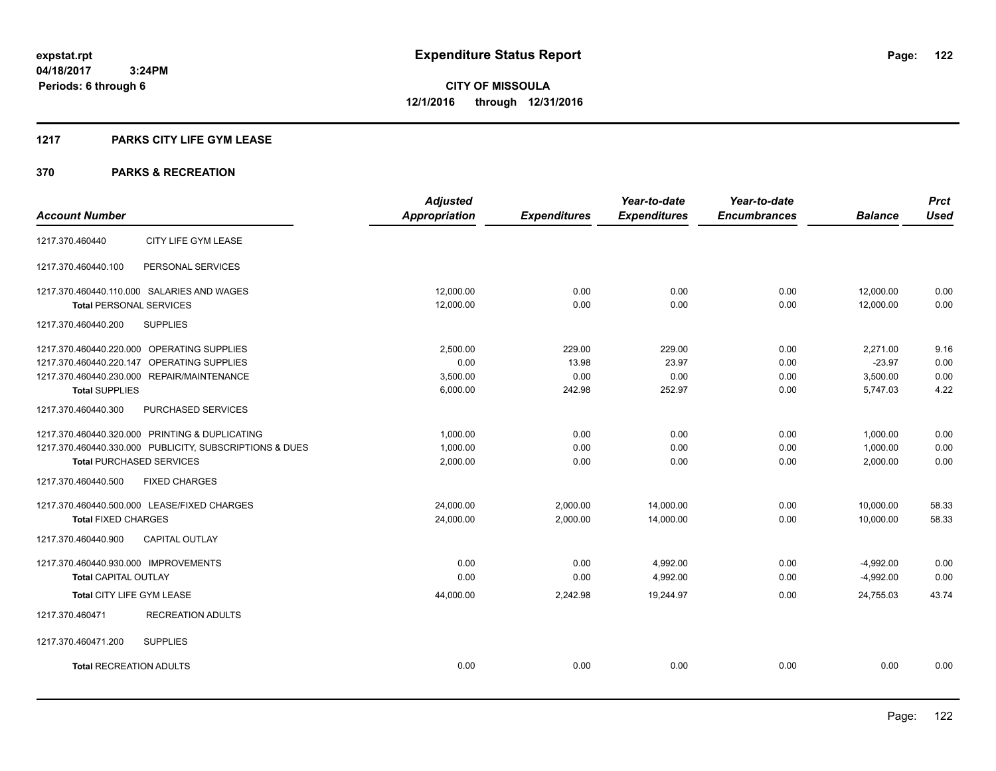#### **1217 PARKS CITY LIFE GYM LEASE**

|                                                         | <b>Adjusted</b>      |                     | Year-to-date        | Year-to-date        |                | <b>Prct</b> |
|---------------------------------------------------------|----------------------|---------------------|---------------------|---------------------|----------------|-------------|
| <b>Account Number</b>                                   | <b>Appropriation</b> | <b>Expenditures</b> | <b>Expenditures</b> | <b>Encumbrances</b> | <b>Balance</b> | <b>Used</b> |
| CITY LIFE GYM LEASE<br>1217.370.460440                  |                      |                     |                     |                     |                |             |
| 1217.370.460440.100<br>PERSONAL SERVICES                |                      |                     |                     |                     |                |             |
| 1217.370.460440.110.000 SALARIES AND WAGES              | 12,000.00            | 0.00                | 0.00                | 0.00                | 12,000.00      | 0.00        |
| <b>Total PERSONAL SERVICES</b>                          | 12,000.00            | 0.00                | 0.00                | 0.00                | 12,000.00      | 0.00        |
| 1217.370.460440.200<br><b>SUPPLIES</b>                  |                      |                     |                     |                     |                |             |
| 1217.370.460440.220.000 OPERATING SUPPLIES              | 2,500.00             | 229.00              | 229.00              | 0.00                | 2,271.00       | 9.16        |
| 1217.370.460440.220.147 OPERATING SUPPLIES              | 0.00                 | 13.98               | 23.97               | 0.00                | $-23.97$       | 0.00        |
| 1217.370.460440.230.000 REPAIR/MAINTENANCE              | 3,500.00             | 0.00                | 0.00                | 0.00                | 3,500.00       | 0.00        |
| <b>Total SUPPLIES</b>                                   | 6,000.00             | 242.98              | 252.97              | 0.00                | 5,747.03       | 4.22        |
| PURCHASED SERVICES<br>1217.370.460440.300               |                      |                     |                     |                     |                |             |
| 1217.370.460440.320.000 PRINTING & DUPLICATING          | 1,000.00             | 0.00                | 0.00                | 0.00                | 1,000.00       | 0.00        |
| 1217.370.460440.330.000 PUBLICITY, SUBSCRIPTIONS & DUES | 1,000.00             | 0.00                | 0.00                | 0.00                | 1,000.00       | 0.00        |
| <b>Total PURCHASED SERVICES</b>                         | 2,000.00             | 0.00                | 0.00                | 0.00                | 2,000.00       | 0.00        |
| <b>FIXED CHARGES</b><br>1217.370.460440.500             |                      |                     |                     |                     |                |             |
| 1217.370.460440.500.000 LEASE/FIXED CHARGES             | 24,000.00            | 2,000.00            | 14,000.00           | 0.00                | 10,000.00      | 58.33       |
| <b>Total FIXED CHARGES</b>                              | 24,000.00            | 2,000.00            | 14,000.00           | 0.00                | 10,000.00      | 58.33       |
| 1217.370.460440.900<br><b>CAPITAL OUTLAY</b>            |                      |                     |                     |                     |                |             |
| 1217.370.460440.930.000 IMPROVEMENTS                    | 0.00                 | 0.00                | 4,992.00            | 0.00                | $-4,992.00$    | 0.00        |
| <b>Total CAPITAL OUTLAY</b>                             | 0.00                 | 0.00                | 4,992.00            | 0.00                | $-4,992.00$    | 0.00        |
| Total CITY LIFE GYM LEASE                               | 44,000.00            | 2,242.98            | 19,244.97           | 0.00                | 24,755.03      | 43.74       |
| 1217.370.460471<br><b>RECREATION ADULTS</b>             |                      |                     |                     |                     |                |             |
| 1217.370.460471.200<br><b>SUPPLIES</b>                  |                      |                     |                     |                     |                |             |
| <b>Total RECREATION ADULTS</b>                          | 0.00                 | 0.00                | 0.00                | 0.00                | 0.00           | 0.00        |
|                                                         |                      |                     |                     |                     |                |             |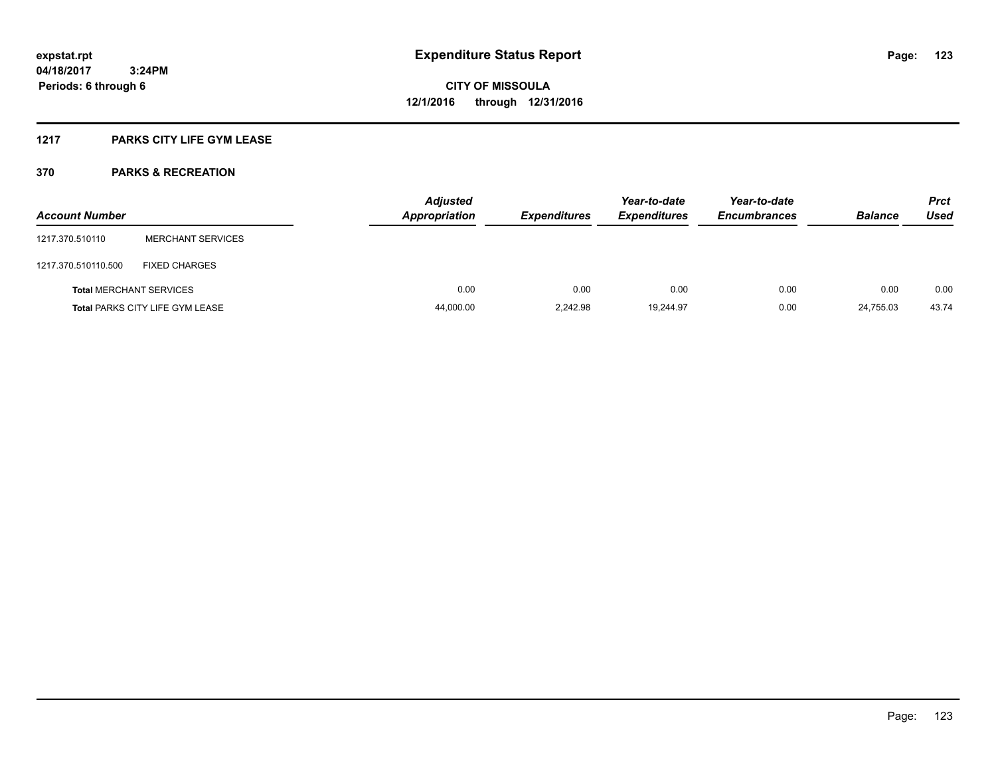### **1217 PARKS CITY LIFE GYM LEASE**

| <b>Account Number</b>          |                                        | <b>Adjusted</b><br><b>Appropriation</b> | <b>Expenditures</b> | Year-to-date<br><b>Expenditures</b> | Year-to-date<br><b>Encumbrances</b> | <b>Balance</b> | <b>Prct</b><br>Used |
|--------------------------------|----------------------------------------|-----------------------------------------|---------------------|-------------------------------------|-------------------------------------|----------------|---------------------|
| 1217.370.510110                | <b>MERCHANT SERVICES</b>               |                                         |                     |                                     |                                     |                |                     |
| 1217.370.510110.500            | FIXED CHARGES                          |                                         |                     |                                     |                                     |                |                     |
| <b>Total MERCHANT SERVICES</b> |                                        | 0.00                                    | 0.00                | 0.00                                | 0.00                                | 0.00           | 0.00                |
|                                | <b>Total PARKS CITY LIFE GYM LEASE</b> | 44,000.00                               | 2,242.98            | 19,244.97                           | 0.00                                | 24.755.03      | 43.74               |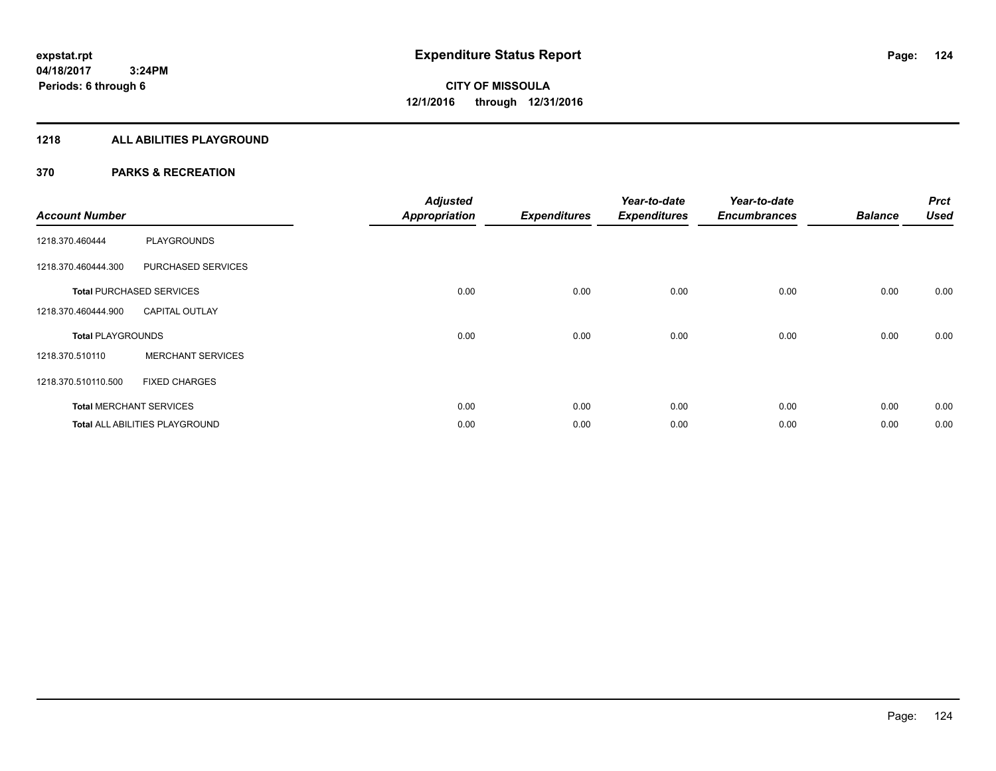#### **1218 ALL ABILITIES PLAYGROUND**

| <b>Account Number</b>    |                                 | <b>Adjusted</b><br><b>Appropriation</b> | <b>Expenditures</b> | Year-to-date<br><b>Expenditures</b> | Year-to-date<br><b>Encumbrances</b> | <b>Balance</b> | <b>Prct</b><br><b>Used</b> |
|--------------------------|---------------------------------|-----------------------------------------|---------------------|-------------------------------------|-------------------------------------|----------------|----------------------------|
| 1218.370.460444          | <b>PLAYGROUNDS</b>              |                                         |                     |                                     |                                     |                |                            |
| 1218.370.460444.300      | PURCHASED SERVICES              |                                         |                     |                                     |                                     |                |                            |
|                          | <b>Total PURCHASED SERVICES</b> | 0.00                                    | 0.00                | 0.00                                | 0.00                                | 0.00           | 0.00                       |
| 1218.370.460444.900      | <b>CAPITAL OUTLAY</b>           |                                         |                     |                                     |                                     |                |                            |
| <b>Total PLAYGROUNDS</b> |                                 | 0.00                                    | 0.00                | 0.00                                | 0.00                                | 0.00           | 0.00                       |
| 1218.370.510110          | <b>MERCHANT SERVICES</b>        |                                         |                     |                                     |                                     |                |                            |
| 1218.370.510110.500      | <b>FIXED CHARGES</b>            |                                         |                     |                                     |                                     |                |                            |
|                          | <b>Total MERCHANT SERVICES</b>  | 0.00                                    | 0.00                | 0.00                                | 0.00                                | 0.00           | 0.00                       |
|                          | Total ALL ABILITIES PLAYGROUND  | 0.00                                    | 0.00                | 0.00                                | 0.00                                | 0.00           | 0.00                       |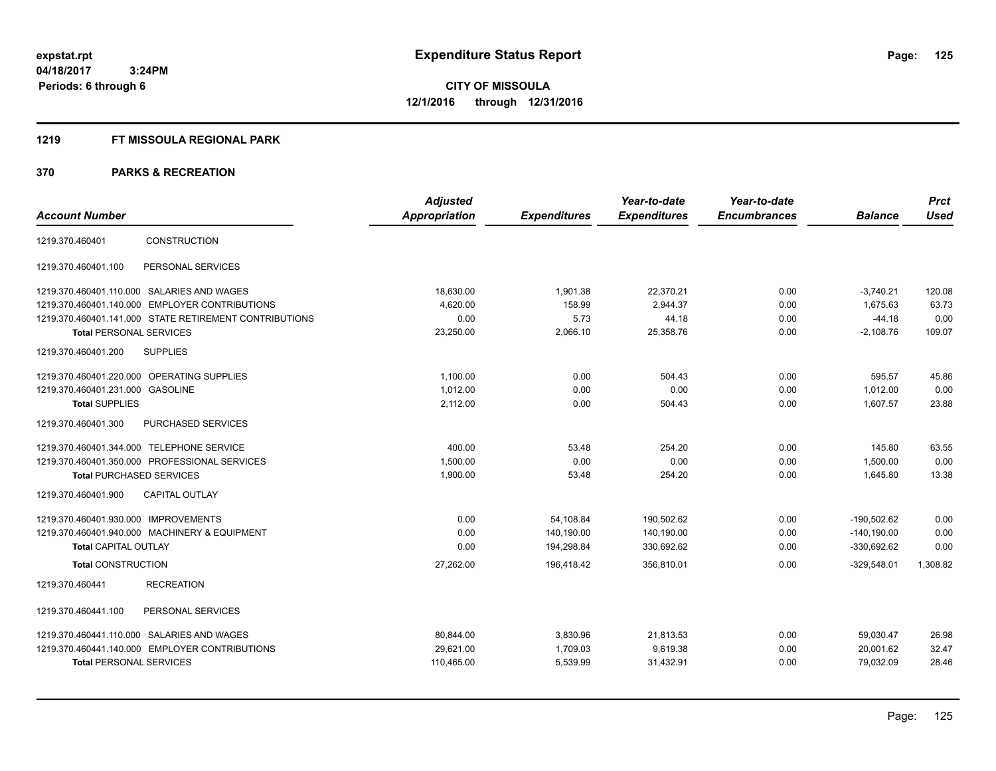#### **1219 FT MISSOULA REGIONAL PARK**

|                                                        | <b>Adjusted</b> |                     | Year-to-date        | Year-to-date        |                | <b>Prct</b> |
|--------------------------------------------------------|-----------------|---------------------|---------------------|---------------------|----------------|-------------|
| <b>Account Number</b>                                  | Appropriation   | <b>Expenditures</b> | <b>Expenditures</b> | <b>Encumbrances</b> | <b>Balance</b> | <b>Used</b> |
| CONSTRUCTION<br>1219.370.460401                        |                 |                     |                     |                     |                |             |
| PERSONAL SERVICES<br>1219.370.460401.100               |                 |                     |                     |                     |                |             |
| 1219.370.460401.110.000 SALARIES AND WAGES             | 18,630.00       | 1,901.38            | 22,370.21           | 0.00                | $-3,740.21$    | 120.08      |
| 1219.370.460401.140.000 EMPLOYER CONTRIBUTIONS         | 4,620.00        | 158.99              | 2,944.37            | 0.00                | 1,675.63       | 63.73       |
| 1219.370.460401.141.000 STATE RETIREMENT CONTRIBUTIONS | 0.00            | 5.73                | 44.18               | 0.00                | $-44.18$       | 0.00        |
| <b>Total PERSONAL SERVICES</b>                         | 23,250.00       | 2,066.10            | 25,358.76           | 0.00                | $-2,108.76$    | 109.07      |
| <b>SUPPLIES</b><br>1219.370.460401.200                 |                 |                     |                     |                     |                |             |
| 1219.370.460401.220.000 OPERATING SUPPLIES             | 1,100.00        | 0.00                | 504.43              | 0.00                | 595.57         | 45.86       |
| 1219.370.460401.231.000<br><b>GASOLINE</b>             | 1.012.00        | 0.00                | 0.00                | 0.00                | 1.012.00       | 0.00        |
| <b>Total SUPPLIES</b>                                  | 2,112.00        | 0.00                | 504.43              | 0.00                | 1,607.57       | 23.88       |
| 1219.370.460401.300<br>PURCHASED SERVICES              |                 |                     |                     |                     |                |             |
| 1219.370.460401.344.000 TELEPHONE SERVICE              | 400.00          | 53.48               | 254.20              | 0.00                | 145.80         | 63.55       |
| 1219.370.460401.350.000 PROFESSIONAL SERVICES          | 1,500.00        | 0.00                | 0.00                | 0.00                | 1,500.00       | 0.00        |
| <b>Total PURCHASED SERVICES</b>                        | 1,900.00        | 53.48               | 254.20              | 0.00                | 1,645.80       | 13.38       |
| <b>CAPITAL OUTLAY</b><br>1219.370.460401.900           |                 |                     |                     |                     |                |             |
| 1219.370.460401.930.000 IMPROVEMENTS                   | 0.00            | 54,108.84           | 190,502.62          | 0.00                | $-190.502.62$  | 0.00        |
| 1219.370.460401.940.000 MACHINERY & EQUIPMENT          | 0.00            | 140,190.00          | 140,190.00          | 0.00                | $-140,190.00$  | 0.00        |
| <b>Total CAPITAL OUTLAY</b>                            | 0.00            | 194,298.84          | 330,692.62          | 0.00                | $-330,692.62$  | 0.00        |
| <b>Total CONSTRUCTION</b>                              | 27,262.00       | 196,418.42          | 356,810.01          | 0.00                | $-329,548.01$  | 1,308.82    |
| <b>RECREATION</b><br>1219.370.460441                   |                 |                     |                     |                     |                |             |
| PERSONAL SERVICES<br>1219.370.460441.100               |                 |                     |                     |                     |                |             |
| 1219.370.460441.110.000 SALARIES AND WAGES             | 80,844.00       | 3,830.96            | 21,813.53           | 0.00                | 59,030.47      | 26.98       |
| 1219.370.460441.140.000 EMPLOYER CONTRIBUTIONS         | 29,621.00       | 1,709.03            | 9,619.38            | 0.00                | 20,001.62      | 32.47       |
| <b>Total PERSONAL SERVICES</b>                         | 110,465.00      | 5,539.99            | 31,432.91           | 0.00                | 79,032.09      | 28.46       |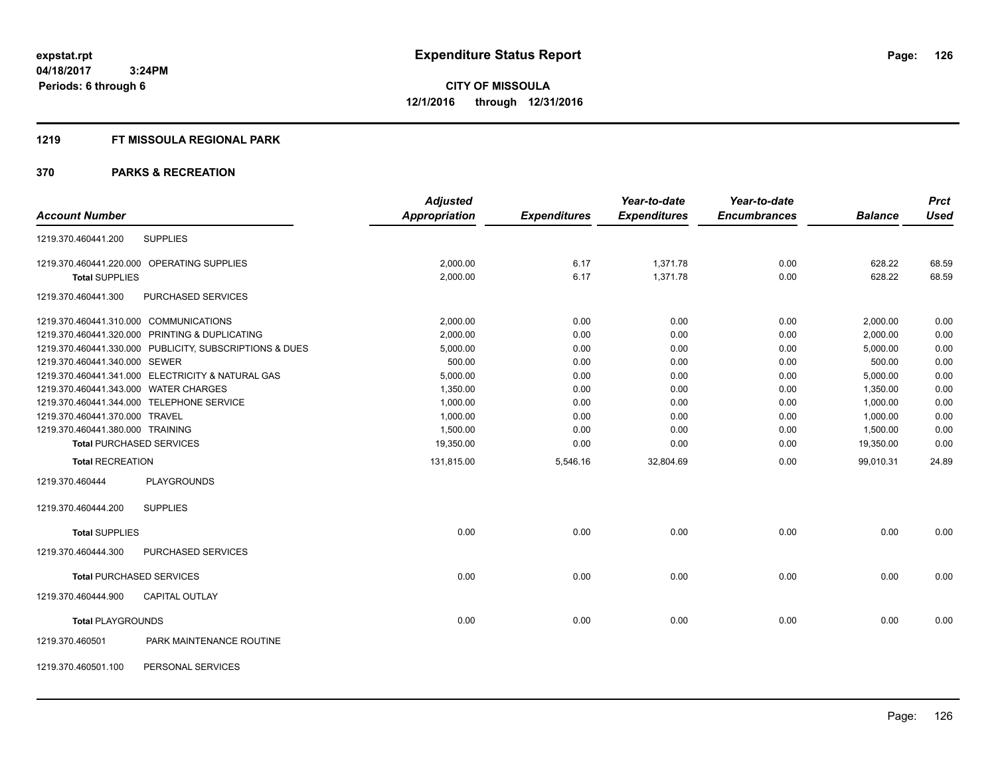#### **1219 FT MISSOULA REGIONAL PARK**

|                                  |                                                         | <b>Adjusted</b> |                     | Year-to-date        | Year-to-date        |                | <b>Prct</b> |
|----------------------------------|---------------------------------------------------------|-----------------|---------------------|---------------------|---------------------|----------------|-------------|
| <b>Account Number</b>            |                                                         | Appropriation   | <b>Expenditures</b> | <b>Expenditures</b> | <b>Encumbrances</b> | <b>Balance</b> | <b>Used</b> |
| 1219.370.460441.200              | <b>SUPPLIES</b>                                         |                 |                     |                     |                     |                |             |
|                                  | 1219.370.460441.220.000 OPERATING SUPPLIES              | 2,000.00        | 6.17                | 1,371.78            | 0.00                | 628.22         | 68.59       |
| <b>Total SUPPLIES</b>            |                                                         | 2,000.00        | 6.17                | 1,371.78            | 0.00                | 628.22         | 68.59       |
| 1219.370.460441.300              | PURCHASED SERVICES                                      |                 |                     |                     |                     |                |             |
|                                  | 1219.370.460441.310.000 COMMUNICATIONS                  | 2.000.00        | 0.00                | 0.00                | 0.00                | 2,000.00       | 0.00        |
|                                  | 1219.370.460441.320.000 PRINTING & DUPLICATING          | 2,000.00        | 0.00                | 0.00                | 0.00                | 2,000.00       | 0.00        |
|                                  | 1219.370.460441.330.000 PUBLICITY, SUBSCRIPTIONS & DUES | 5,000.00        | 0.00                | 0.00                | 0.00                | 5,000.00       | 0.00        |
| 1219.370.460441.340.000 SEWER    |                                                         | 500.00          | 0.00                | 0.00                | 0.00                | 500.00         | 0.00        |
|                                  | 1219.370.460441.341.000 ELECTRICITY & NATURAL GAS       | 5,000.00        | 0.00                | 0.00                | 0.00                | 5,000.00       | 0.00        |
|                                  | 1219.370.460441.343.000 WATER CHARGES                   | 1,350.00        | 0.00                | 0.00                | 0.00                | 1,350.00       | 0.00        |
|                                  | 1219.370.460441.344.000 TELEPHONE SERVICE               | 1,000.00        | 0.00                | 0.00                | 0.00                | 1,000.00       | 0.00        |
| 1219.370.460441.370.000 TRAVEL   |                                                         | 1,000.00        | 0.00                | 0.00                | 0.00                | 1,000.00       | 0.00        |
| 1219.370.460441.380.000 TRAINING |                                                         | 1,500.00        | 0.00                | 0.00                | 0.00                | 1,500.00       | 0.00        |
|                                  | <b>Total PURCHASED SERVICES</b>                         | 19,350.00       | 0.00                | 0.00                | 0.00                | 19,350.00      | 0.00        |
| <b>Total RECREATION</b>          |                                                         | 131,815.00      | 5,546.16            | 32,804.69           | 0.00                | 99,010.31      | 24.89       |
| 1219.370.460444                  | <b>PLAYGROUNDS</b>                                      |                 |                     |                     |                     |                |             |
| 1219.370.460444.200              | <b>SUPPLIES</b>                                         |                 |                     |                     |                     |                |             |
| <b>Total SUPPLIES</b>            |                                                         | 0.00            | 0.00                | 0.00                | 0.00                | 0.00           | 0.00        |
| 1219.370.460444.300              | PURCHASED SERVICES                                      |                 |                     |                     |                     |                |             |
|                                  | <b>Total PURCHASED SERVICES</b>                         | 0.00            | 0.00                | 0.00                | 0.00                | 0.00           | 0.00        |
| 1219.370.460444.900              | <b>CAPITAL OUTLAY</b>                                   |                 |                     |                     |                     |                |             |
| <b>Total PLAYGROUNDS</b>         |                                                         | 0.00            | 0.00                | 0.00                | 0.00                | 0.00           | 0.00        |
| 1219.370.460501                  | PARK MAINTENANCE ROUTINE                                |                 |                     |                     |                     |                |             |
| 1219.370.460501.100              | PERSONAL SERVICES                                       |                 |                     |                     |                     |                |             |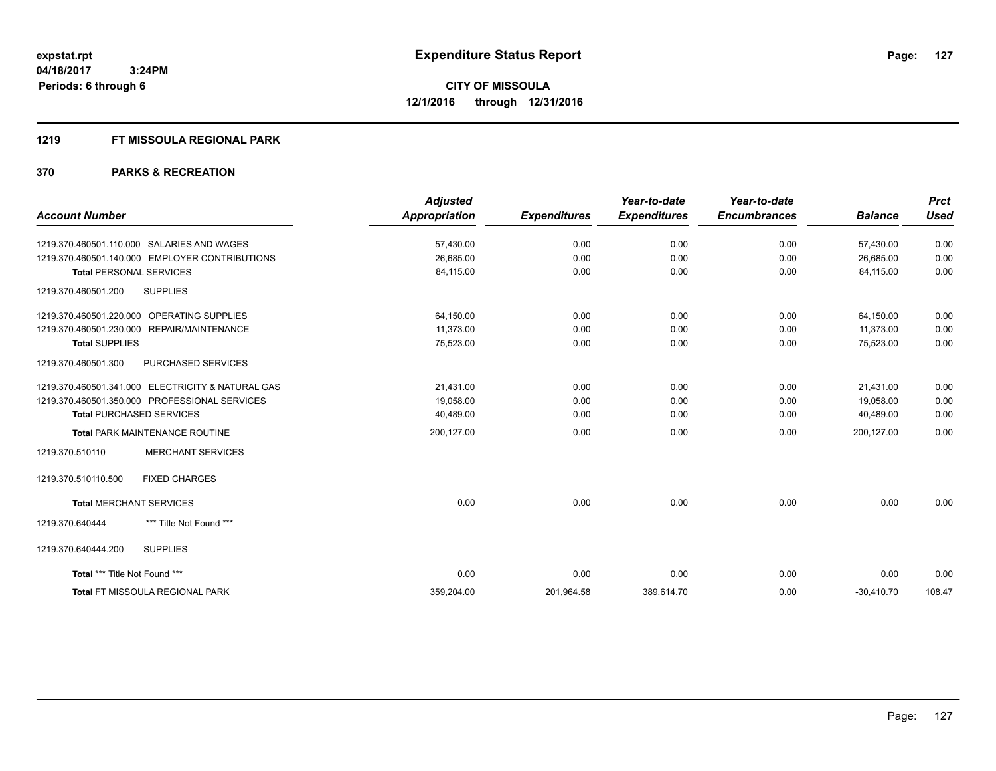#### **1219 FT MISSOULA REGIONAL PARK**

|                                                   | <b>Adjusted</b>      |                     | Year-to-date        | Year-to-date        |                | <b>Prct</b> |
|---------------------------------------------------|----------------------|---------------------|---------------------|---------------------|----------------|-------------|
| <b>Account Number</b>                             | <b>Appropriation</b> | <b>Expenditures</b> | <b>Expenditures</b> | <b>Encumbrances</b> | <b>Balance</b> | <b>Used</b> |
| 1219.370.460501.110.000 SALARIES AND WAGES        | 57,430.00            | 0.00                | 0.00                | 0.00                | 57,430.00      | 0.00        |
| 1219.370.460501.140.000 EMPLOYER CONTRIBUTIONS    | 26,685.00            | 0.00                | 0.00                | 0.00                | 26,685.00      | 0.00        |
| <b>Total PERSONAL SERVICES</b>                    | 84,115.00            | 0.00                | 0.00                | 0.00                | 84,115.00      | 0.00        |
| <b>SUPPLIES</b><br>1219.370.460501.200            |                      |                     |                     |                     |                |             |
| 1219.370.460501.220.000 OPERATING SUPPLIES        | 64,150.00            | 0.00                | 0.00                | 0.00                | 64,150.00      | 0.00        |
| 1219.370.460501.230.000 REPAIR/MAINTENANCE        | 11,373.00            | 0.00                | 0.00                | 0.00                | 11,373.00      | 0.00        |
| <b>Total SUPPLIES</b>                             | 75,523.00            | 0.00                | 0.00                | 0.00                | 75,523.00      | 0.00        |
| 1219.370.460501.300<br>PURCHASED SERVICES         |                      |                     |                     |                     |                |             |
| 1219.370.460501.341.000 ELECTRICITY & NATURAL GAS | 21.431.00            | 0.00                | 0.00                | 0.00                | 21.431.00      | 0.00        |
| 1219.370.460501.350.000 PROFESSIONAL SERVICES     | 19,058.00            | 0.00                | 0.00                | 0.00                | 19,058.00      | 0.00        |
| <b>Total PURCHASED SERVICES</b>                   | 40,489.00            | 0.00                | 0.00                | 0.00                | 40,489.00      | 0.00        |
| Total PARK MAINTENANCE ROUTINE                    | 200,127.00           | 0.00                | 0.00                | 0.00                | 200,127.00     | 0.00        |
| <b>MERCHANT SERVICES</b><br>1219.370.510110       |                      |                     |                     |                     |                |             |
| <b>FIXED CHARGES</b><br>1219.370.510110.500       |                      |                     |                     |                     |                |             |
| <b>Total MERCHANT SERVICES</b>                    | 0.00                 | 0.00                | 0.00                | 0.00                | 0.00           | 0.00        |
| *** Title Not Found ***<br>1219.370.640444        |                      |                     |                     |                     |                |             |
| 1219.370.640444.200<br><b>SUPPLIES</b>            |                      |                     |                     |                     |                |             |
| Total *** Title Not Found ***                     | 0.00                 | 0.00                | 0.00                | 0.00                | 0.00           | 0.00        |
| <b>Total FT MISSOULA REGIONAL PARK</b>            | 359,204.00           | 201,964.58          | 389,614.70          | 0.00                | $-30,410.70$   | 108.47      |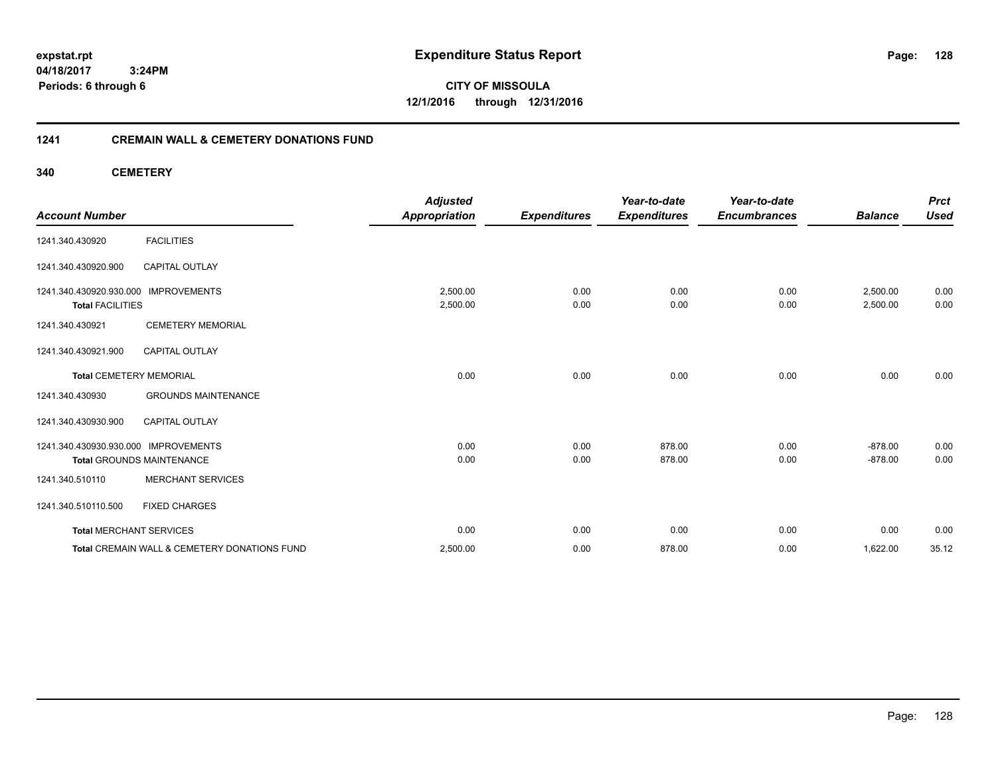**04/18/2017 3:24PM Periods: 6 through 6**

**CITY OF MISSOULA 12/1/2016 through 12/31/2016**

#### **1241 CREMAIN WALL & CEMETERY DONATIONS FUND**

**340 CEMETERY**

| <b>Account Number</b>                              |                                              | <b>Adjusted</b><br><b>Appropriation</b> | <b>Expenditures</b> | Year-to-date<br><b>Expenditures</b> | Year-to-date<br><b>Encumbrances</b> | <b>Balance</b>       | <b>Prct</b><br><b>Used</b> |
|----------------------------------------------------|----------------------------------------------|-----------------------------------------|---------------------|-------------------------------------|-------------------------------------|----------------------|----------------------------|
| 1241.340.430920                                    | <b>FACILITIES</b>                            |                                         |                     |                                     |                                     |                      |                            |
| 1241.340.430920.900                                | <b>CAPITAL OUTLAY</b>                        |                                         |                     |                                     |                                     |                      |                            |
| 1241.340.430920.930.000<br><b>Total FACILITIES</b> | <b>IMPROVEMENTS</b>                          | 2,500.00<br>2,500.00                    | 0.00<br>0.00        | 0.00<br>0.00                        | 0.00<br>0.00                        | 2,500.00<br>2,500.00 | 0.00<br>0.00               |
| 1241.340.430921                                    | <b>CEMETERY MEMORIAL</b>                     |                                         |                     |                                     |                                     |                      |                            |
| 1241.340.430921.900                                | <b>CAPITAL OUTLAY</b>                        |                                         |                     |                                     |                                     |                      |                            |
| <b>Total CEMETERY MEMORIAL</b>                     |                                              | 0.00                                    | 0.00                | 0.00                                | 0.00                                | 0.00                 | 0.00                       |
| 1241.340.430930                                    | <b>GROUNDS MAINTENANCE</b>                   |                                         |                     |                                     |                                     |                      |                            |
| 1241.340.430930.900                                | <b>CAPITAL OUTLAY</b>                        |                                         |                     |                                     |                                     |                      |                            |
| 1241.340.430930.930.000 IMPROVEMENTS               |                                              | 0.00                                    | 0.00                | 878.00                              | 0.00                                | $-878.00$            | 0.00                       |
|                                                    | <b>Total GROUNDS MAINTENANCE</b>             | 0.00                                    | 0.00                | 878.00                              | 0.00                                | $-878.00$            | 0.00                       |
| 1241.340.510110                                    | <b>MERCHANT SERVICES</b>                     |                                         |                     |                                     |                                     |                      |                            |
| 1241.340.510110.500                                | <b>FIXED CHARGES</b>                         |                                         |                     |                                     |                                     |                      |                            |
| <b>Total MERCHANT SERVICES</b>                     |                                              | 0.00                                    | 0.00                | 0.00                                | 0.00                                | 0.00                 | 0.00                       |
|                                                    | Total CREMAIN WALL & CEMETERY DONATIONS FUND | 2,500.00                                | 0.00                | 878.00                              | 0.00                                | 1,622.00             | 35.12                      |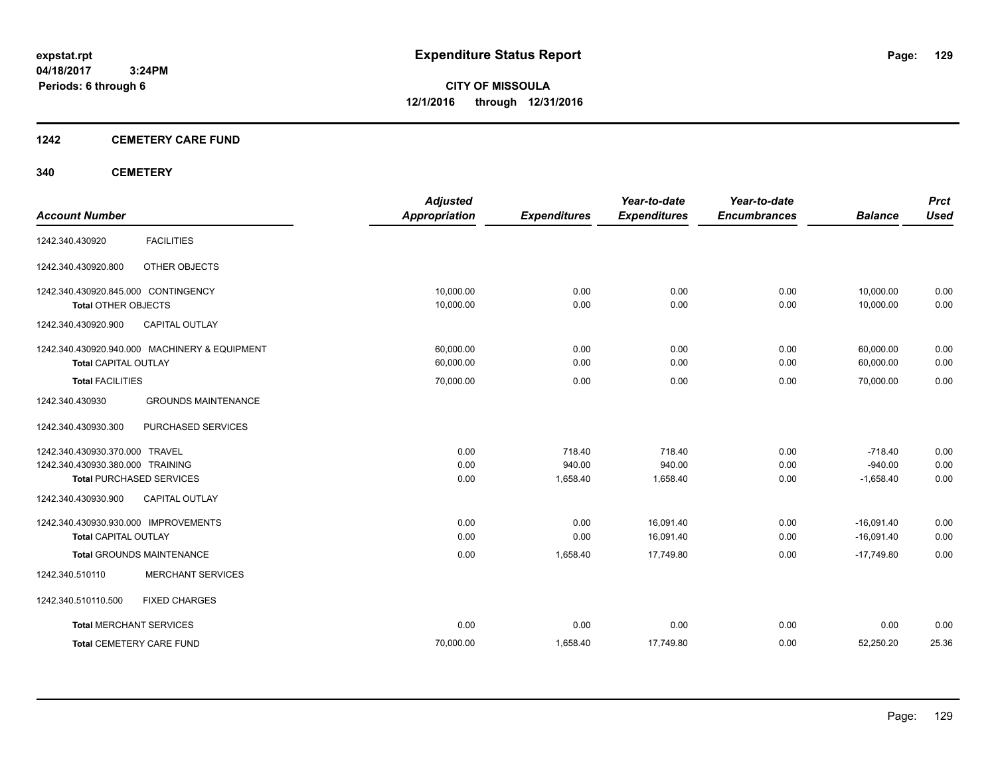**Periods: 6 through 6**

**CITY OF MISSOULA 12/1/2016 through 12/31/2016**

#### **1242 CEMETERY CARE FUND**

#### **340 CEMETERY**

|                                               | <b>Adjusted</b>      |                     | Year-to-date        | Year-to-date        |                | <b>Prct</b> |
|-----------------------------------------------|----------------------|---------------------|---------------------|---------------------|----------------|-------------|
| <b>Account Number</b>                         | <b>Appropriation</b> | <b>Expenditures</b> | <b>Expenditures</b> | <b>Encumbrances</b> | <b>Balance</b> | <b>Used</b> |
| <b>FACILITIES</b><br>1242.340.430920          |                      |                     |                     |                     |                |             |
| OTHER OBJECTS<br>1242.340.430920.800          |                      |                     |                     |                     |                |             |
| 1242.340.430920.845.000 CONTINGENCY           | 10,000.00            | 0.00                | 0.00                | 0.00                | 10,000.00      | 0.00        |
| <b>Total OTHER OBJECTS</b>                    | 10,000.00            | 0.00                | 0.00                | 0.00                | 10,000.00      | 0.00        |
| <b>CAPITAL OUTLAY</b><br>1242.340.430920.900  |                      |                     |                     |                     |                |             |
| 1242.340.430920.940.000 MACHINERY & EQUIPMENT | 60.000.00            | 0.00                | 0.00                | 0.00                | 60,000.00      | 0.00        |
| <b>Total CAPITAL OUTLAY</b>                   | 60,000.00            | 0.00                | 0.00                | 0.00                | 60,000.00      | 0.00        |
| <b>Total FACILITIES</b>                       | 70,000.00            | 0.00                | 0.00                | 0.00                | 70,000.00      | 0.00        |
| 1242.340.430930<br><b>GROUNDS MAINTENANCE</b> |                      |                     |                     |                     |                |             |
| 1242.340.430930.300<br>PURCHASED SERVICES     |                      |                     |                     |                     |                |             |
| 1242.340.430930.370.000 TRAVEL                | 0.00                 | 718.40              | 718.40              | 0.00                | $-718.40$      | 0.00        |
| 1242.340.430930.380.000 TRAINING              | 0.00                 | 940.00              | 940.00              | 0.00                | $-940.00$      | 0.00        |
| <b>Total PURCHASED SERVICES</b>               | 0.00                 | 1,658.40            | 1,658.40            | 0.00                | $-1,658.40$    | 0.00        |
| CAPITAL OUTLAY<br>1242.340.430930.900         |                      |                     |                     |                     |                |             |
| 1242.340.430930.930.000 IMPROVEMENTS          | 0.00                 | 0.00                | 16,091.40           | 0.00                | $-16,091.40$   | 0.00        |
| <b>Total CAPITAL OUTLAY</b>                   | 0.00                 | 0.00                | 16,091.40           | 0.00                | $-16,091.40$   | 0.00        |
| <b>Total GROUNDS MAINTENANCE</b>              | 0.00                 | 1.658.40            | 17.749.80           | 0.00                | $-17.749.80$   | 0.00        |
| <b>MERCHANT SERVICES</b><br>1242.340.510110   |                      |                     |                     |                     |                |             |
| 1242.340.510110.500<br><b>FIXED CHARGES</b>   |                      |                     |                     |                     |                |             |
| <b>Total MERCHANT SERVICES</b>                | 0.00                 | 0.00                | 0.00                | 0.00                | 0.00           | 0.00        |
| <b>Total CEMETERY CARE FUND</b>               | 70,000.00            | 1,658.40            | 17,749.80           | 0.00                | 52,250.20      | 25.36       |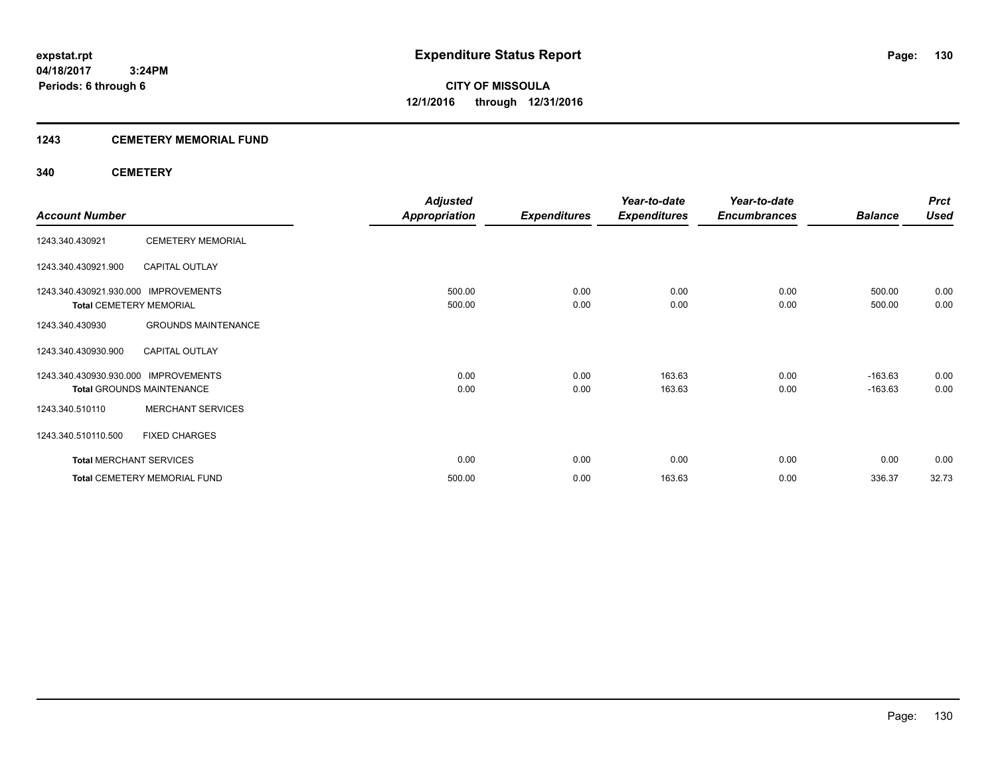#### **1243 CEMETERY MEMORIAL FUND**

#### **340 CEMETERY**

|                                      |                                     | <b>Adjusted</b>      |                     | Year-to-date        | Year-to-date        |                | <b>Prct</b> |
|--------------------------------------|-------------------------------------|----------------------|---------------------|---------------------|---------------------|----------------|-------------|
| <b>Account Number</b>                |                                     | <b>Appropriation</b> | <b>Expenditures</b> | <b>Expenditures</b> | <b>Encumbrances</b> | <b>Balance</b> | <b>Used</b> |
| 1243.340.430921                      | <b>CEMETERY MEMORIAL</b>            |                      |                     |                     |                     |                |             |
| 1243.340.430921.900                  | <b>CAPITAL OUTLAY</b>               |                      |                     |                     |                     |                |             |
| 1243.340.430921.930.000 IMPROVEMENTS |                                     | 500.00               | 0.00                | 0.00                | 0.00                | 500.00         | 0.00        |
| <b>Total CEMETERY MEMORIAL</b>       |                                     | 500.00               | 0.00                | 0.00                | 0.00                | 500.00         | 0.00        |
| 1243.340.430930                      | <b>GROUNDS MAINTENANCE</b>          |                      |                     |                     |                     |                |             |
| 1243.340.430930.900                  | <b>CAPITAL OUTLAY</b>               |                      |                     |                     |                     |                |             |
| 1243.340.430930.930.000              | <b>IMPROVEMENTS</b>                 | 0.00                 | 0.00                | 163.63              | 0.00                | $-163.63$      | 0.00        |
|                                      | <b>Total GROUNDS MAINTENANCE</b>    | 0.00                 | 0.00                | 163.63              | 0.00                | $-163.63$      | 0.00        |
| 1243.340.510110                      | <b>MERCHANT SERVICES</b>            |                      |                     |                     |                     |                |             |
| 1243.340.510110.500                  | <b>FIXED CHARGES</b>                |                      |                     |                     |                     |                |             |
| <b>Total MERCHANT SERVICES</b>       |                                     | 0.00                 | 0.00                | 0.00                | 0.00                | 0.00           | 0.00        |
|                                      | <b>Total CEMETERY MEMORIAL FUND</b> | 500.00               | 0.00                | 163.63              | 0.00                | 336.37         | 32.73       |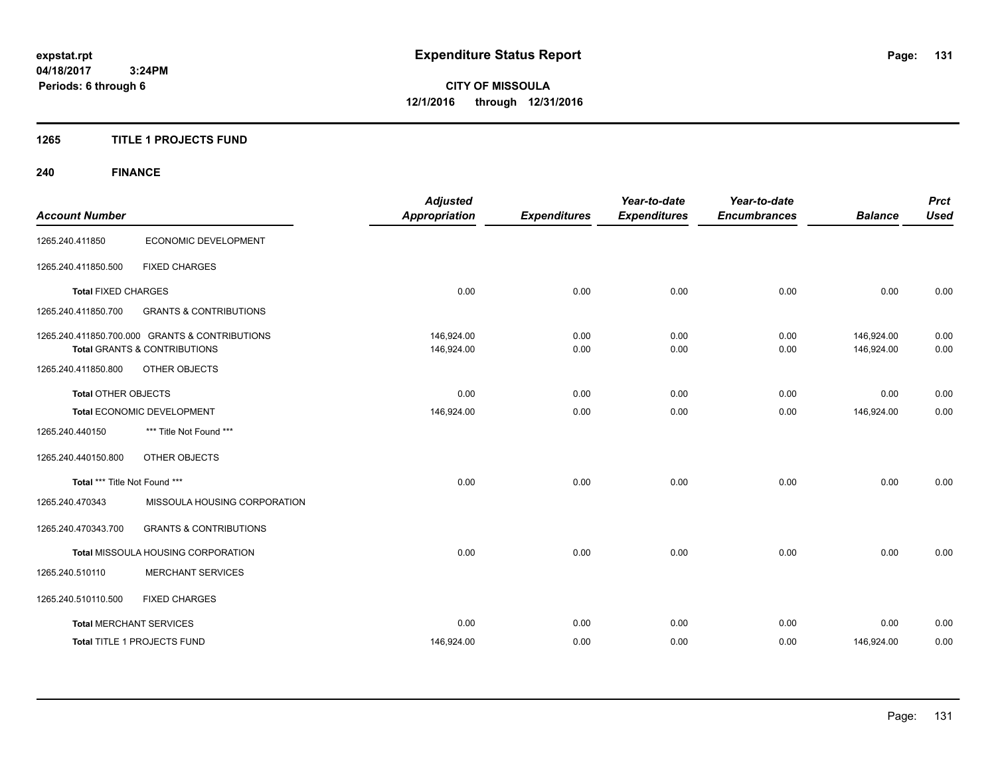#### **1265 TITLE 1 PROJECTS FUND**

## **240 FINANCE**

| <b>Account Number</b>          |                                                | <b>Adjusted</b><br><b>Appropriation</b> | <b>Expenditures</b> | Year-to-date<br><b>Expenditures</b> | Year-to-date<br><b>Encumbrances</b> | <b>Balance</b> | <b>Prct</b><br><b>Used</b> |
|--------------------------------|------------------------------------------------|-----------------------------------------|---------------------|-------------------------------------|-------------------------------------|----------------|----------------------------|
|                                |                                                |                                         |                     |                                     |                                     |                |                            |
| 1265.240.411850                | ECONOMIC DEVELOPMENT                           |                                         |                     |                                     |                                     |                |                            |
| 1265.240.411850.500            | <b>FIXED CHARGES</b>                           |                                         |                     |                                     |                                     |                |                            |
| <b>Total FIXED CHARGES</b>     |                                                | 0.00                                    | 0.00                | 0.00                                | 0.00                                | 0.00           | 0.00                       |
| 1265.240.411850.700            | <b>GRANTS &amp; CONTRIBUTIONS</b>              |                                         |                     |                                     |                                     |                |                            |
|                                | 1265.240.411850.700.000 GRANTS & CONTRIBUTIONS | 146.924.00                              | 0.00                | 0.00                                | 0.00                                | 146,924.00     | 0.00                       |
|                                | <b>Total GRANTS &amp; CONTRIBUTIONS</b>        | 146,924.00                              | 0.00                | 0.00                                | 0.00                                | 146,924.00     | 0.00                       |
| 1265.240.411850.800            | OTHER OBJECTS                                  |                                         |                     |                                     |                                     |                |                            |
| <b>Total OTHER OBJECTS</b>     |                                                | 0.00                                    | 0.00                | 0.00                                | 0.00                                | 0.00           | 0.00                       |
| Total ECONOMIC DEVELOPMENT     |                                                | 146,924.00                              | 0.00                | 0.00                                | 0.00                                | 146,924.00     | 0.00                       |
| 1265.240.440150                | *** Title Not Found ***                        |                                         |                     |                                     |                                     |                |                            |
| 1265.240.440150.800            | OTHER OBJECTS                                  |                                         |                     |                                     |                                     |                |                            |
| Total *** Title Not Found ***  |                                                | 0.00                                    | 0.00                | 0.00                                | 0.00                                | 0.00           | 0.00                       |
| 1265.240.470343                | MISSOULA HOUSING CORPORATION                   |                                         |                     |                                     |                                     |                |                            |
| 1265.240.470343.700            | <b>GRANTS &amp; CONTRIBUTIONS</b>              |                                         |                     |                                     |                                     |                |                            |
|                                | Total MISSOULA HOUSING CORPORATION             | 0.00                                    | 0.00                | 0.00                                | 0.00                                | 0.00           | 0.00                       |
| 1265.240.510110                | <b>MERCHANT SERVICES</b>                       |                                         |                     |                                     |                                     |                |                            |
| 1265.240.510110.500            | <b>FIXED CHARGES</b>                           |                                         |                     |                                     |                                     |                |                            |
| <b>Total MERCHANT SERVICES</b> |                                                | 0.00                                    | 0.00                | 0.00                                | 0.00                                | 0.00           | 0.00                       |
|                                | Total TITLE 1 PROJECTS FUND                    | 146,924.00                              | 0.00                | 0.00                                | 0.00                                | 146,924.00     | 0.00                       |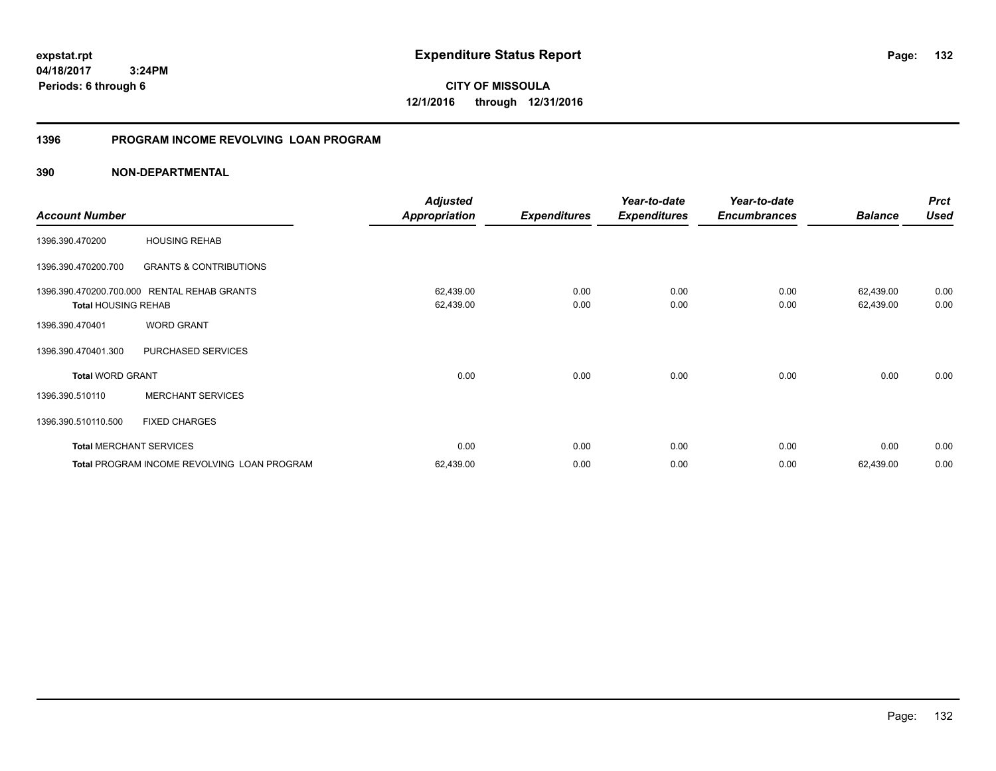**04/18/2017 3:24PM Periods: 6 through 6**

**CITY OF MISSOULA 12/1/2016 through 12/31/2016**

#### **1396 PROGRAM INCOME REVOLVING LOAN PROGRAM**

|                                |                                             | <b>Adjusted</b> |                     | Year-to-date        | Year-to-date        |                | <b>Prct</b> |
|--------------------------------|---------------------------------------------|-----------------|---------------------|---------------------|---------------------|----------------|-------------|
| <b>Account Number</b>          |                                             | Appropriation   | <b>Expenditures</b> | <b>Expenditures</b> | <b>Encumbrances</b> | <b>Balance</b> | <b>Used</b> |
| 1396.390.470200                | <b>HOUSING REHAB</b>                        |                 |                     |                     |                     |                |             |
| 1396.390.470200.700            | <b>GRANTS &amp; CONTRIBUTIONS</b>           |                 |                     |                     |                     |                |             |
| 1396.390.470200.700.000        | <b>RENTAL REHAB GRANTS</b>                  | 62,439.00       | 0.00                | 0.00                | 0.00                | 62,439.00      | 0.00        |
| <b>Total HOUSING REHAB</b>     |                                             | 62,439.00       | 0.00                | 0.00                | 0.00                | 62,439.00      | 0.00        |
| 1396.390.470401                | <b>WORD GRANT</b>                           |                 |                     |                     |                     |                |             |
| 1396.390.470401.300            | PURCHASED SERVICES                          |                 |                     |                     |                     |                |             |
| <b>Total WORD GRANT</b>        |                                             | 0.00            | 0.00                | 0.00                | 0.00                | 0.00           | 0.00        |
| 1396.390.510110                | <b>MERCHANT SERVICES</b>                    |                 |                     |                     |                     |                |             |
| 1396.390.510110.500            | <b>FIXED CHARGES</b>                        |                 |                     |                     |                     |                |             |
| <b>Total MERCHANT SERVICES</b> |                                             | 0.00            | 0.00                | 0.00                | 0.00                | 0.00           | 0.00        |
|                                | Total PROGRAM INCOME REVOLVING LOAN PROGRAM | 62,439.00       | 0.00                | 0.00                | 0.00                | 62,439.00      | 0.00        |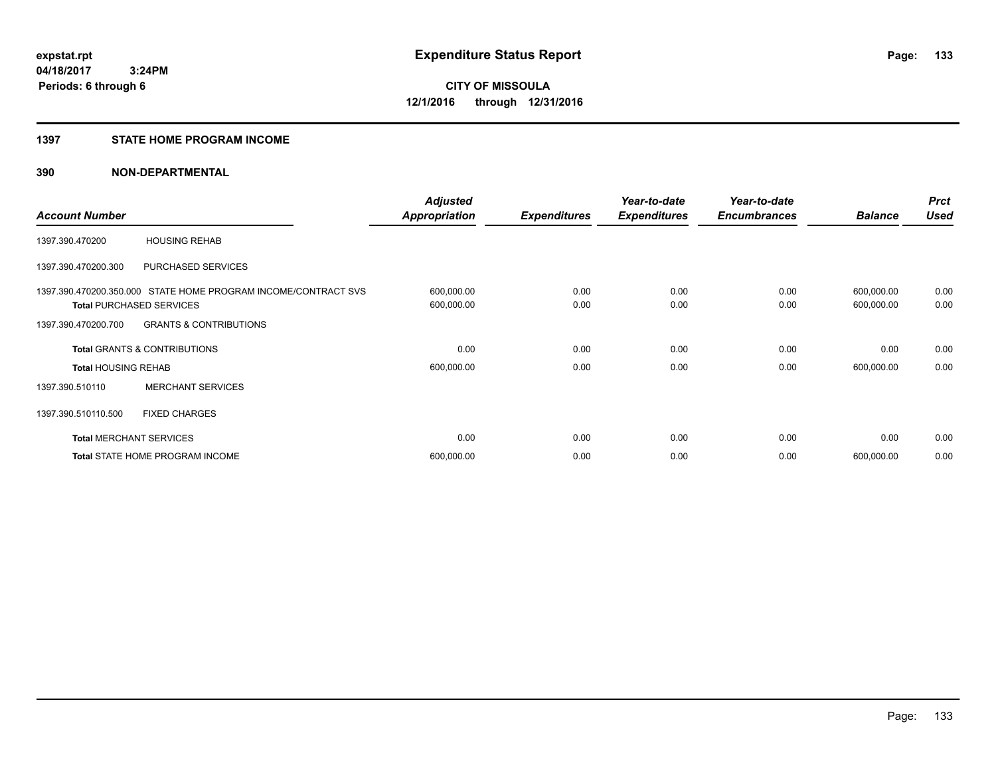#### **1397 STATE HOME PROGRAM INCOME**

| <b>Account Number</b>          |                                                                                                   | <b>Adjusted</b><br><b>Appropriation</b> | <b>Expenditures</b> | Year-to-date<br><b>Expenditures</b> | Year-to-date<br><b>Encumbrances</b> | <b>Balance</b>           | <b>Prct</b><br><b>Used</b> |
|--------------------------------|---------------------------------------------------------------------------------------------------|-----------------------------------------|---------------------|-------------------------------------|-------------------------------------|--------------------------|----------------------------|
| 1397.390.470200                | <b>HOUSING REHAB</b>                                                                              |                                         |                     |                                     |                                     |                          |                            |
| 1397.390.470200.300            | <b>PURCHASED SERVICES</b>                                                                         |                                         |                     |                                     |                                     |                          |                            |
|                                | 1397.390.470200.350.000 STATE HOME PROGRAM INCOME/CONTRACT SVS<br><b>Total PURCHASED SERVICES</b> | 600,000.00<br>600,000.00                | 0.00<br>0.00        | 0.00<br>0.00                        | 0.00<br>0.00                        | 600,000.00<br>600,000.00 | 0.00<br>0.00               |
| 1397.390.470200.700            | <b>GRANTS &amp; CONTRIBUTIONS</b>                                                                 |                                         |                     |                                     |                                     |                          |                            |
|                                | Total GRANTS & CONTRIBUTIONS                                                                      | 0.00                                    | 0.00                | 0.00                                | 0.00                                | 0.00                     | 0.00                       |
| <b>Total HOUSING REHAB</b>     |                                                                                                   | 600,000.00                              | 0.00                | 0.00                                | 0.00                                | 600,000.00               | 0.00                       |
| 1397.390.510110                | <b>MERCHANT SERVICES</b>                                                                          |                                         |                     |                                     |                                     |                          |                            |
| 1397.390.510110.500            | <b>FIXED CHARGES</b>                                                                              |                                         |                     |                                     |                                     |                          |                            |
| <b>Total MERCHANT SERVICES</b> |                                                                                                   | 0.00                                    | 0.00                | 0.00                                | 0.00                                | 0.00                     | 0.00                       |
|                                | Total STATE HOME PROGRAM INCOME                                                                   | 600,000.00                              | 0.00                | 0.00                                | 0.00                                | 600,000.00               | 0.00                       |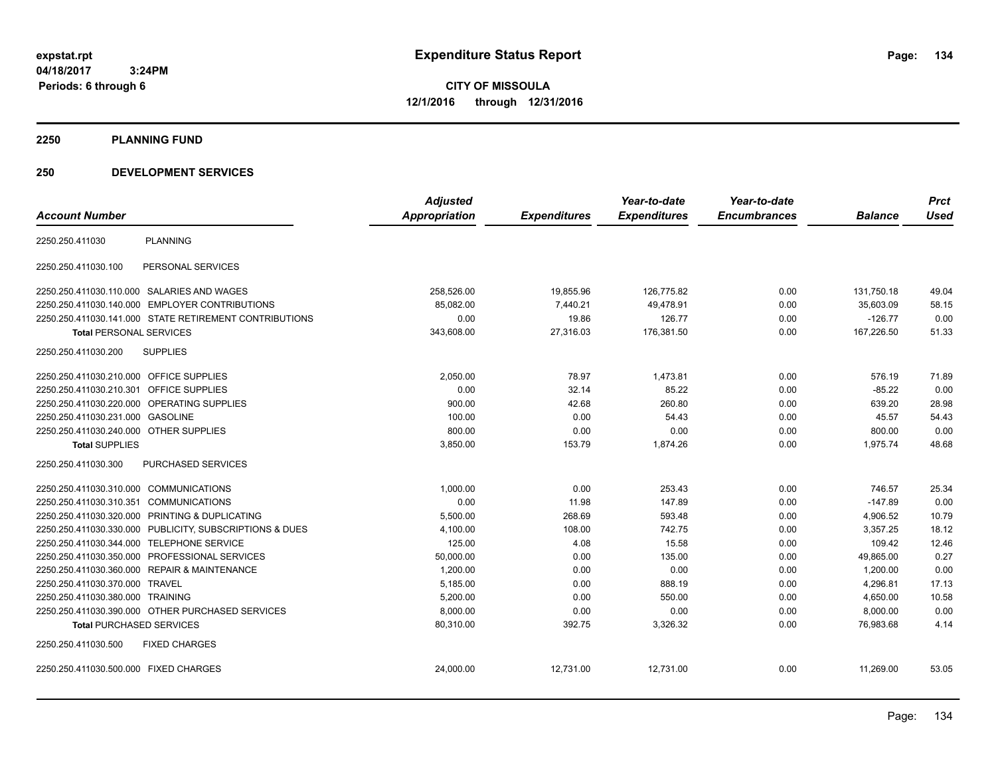**04/18/2017 3:24PM Periods: 6 through 6**

**CITY OF MISSOULA 12/1/2016 through 12/31/2016**

**2250 PLANNING FUND**

#### **250 DEVELOPMENT SERVICES**

|                                                         | <b>Adjusted</b> |                     | Year-to-date        | Year-to-date        |                | <b>Prct</b> |
|---------------------------------------------------------|-----------------|---------------------|---------------------|---------------------|----------------|-------------|
| <b>Account Number</b>                                   | Appropriation   | <b>Expenditures</b> | <b>Expenditures</b> | <b>Encumbrances</b> | <b>Balance</b> | <b>Used</b> |
| 2250.250.411030<br><b>PLANNING</b>                      |                 |                     |                     |                     |                |             |
| PERSONAL SERVICES<br>2250.250.411030.100                |                 |                     |                     |                     |                |             |
| 2250.250.411030.110.000 SALARIES AND WAGES              | 258,526.00      | 19,855.96           | 126.775.82          | 0.00                | 131,750.18     | 49.04       |
| 2250.250.411030.140.000 EMPLOYER CONTRIBUTIONS          | 85,082.00       | 7,440.21            | 49,478.91           | 0.00                | 35,603.09      | 58.15       |
| 2250.250.411030.141.000 STATE RETIREMENT CONTRIBUTIONS  | 0.00            | 19.86               | 126.77              | 0.00                | $-126.77$      | 0.00        |
| <b>Total PERSONAL SERVICES</b>                          | 343,608.00      | 27,316.03           | 176,381.50          | 0.00                | 167,226.50     | 51.33       |
| <b>SUPPLIES</b><br>2250.250.411030.200                  |                 |                     |                     |                     |                |             |
| 2250.250.411030.210.000 OFFICE SUPPLIES                 | 2,050.00        | 78.97               | 1,473.81            | 0.00                | 576.19         | 71.89       |
| <b>OFFICE SUPPLIES</b><br>2250.250.411030.210.301       | 0.00            | 32.14               | 85.22               | 0.00                | $-85.22$       | 0.00        |
| 2250.250.411030.220.000 OPERATING SUPPLIES              | 900.00          | 42.68               | 260.80              | 0.00                | 639.20         | 28.98       |
| 2250.250.411030.231.000 GASOLINE                        | 100.00          | 0.00                | 54.43               | 0.00                | 45.57          | 54.43       |
| 2250.250.411030.240.000 OTHER SUPPLIES                  | 800.00          | 0.00                | 0.00                | 0.00                | 800.00         | 0.00        |
| <b>Total SUPPLIES</b>                                   | 3,850.00        | 153.79              | 1,874.26            | 0.00                | 1,975.74       | 48.68       |
| PURCHASED SERVICES<br>2250.250.411030.300               |                 |                     |                     |                     |                |             |
| 2250.250.411030.310.000 COMMUNICATIONS                  | 1,000.00        | 0.00                | 253.43              | 0.00                | 746.57         | 25.34       |
| 2250.250.411030.310.351 COMMUNICATIONS                  | 0.00            | 11.98               | 147.89              | 0.00                | $-147.89$      | 0.00        |
| 2250.250.411030.320.000 PRINTING & DUPLICATING          | 5.500.00        | 268.69              | 593.48              | 0.00                | 4.906.52       | 10.79       |
| 2250.250.411030.330.000 PUBLICITY, SUBSCRIPTIONS & DUES | 4,100.00        | 108.00              | 742.75              | 0.00                | 3,357.25       | 18.12       |
| 2250.250.411030.344.000<br><b>TELEPHONE SERVICE</b>     | 125.00          | 4.08                | 15.58               | 0.00                | 109.42         | 12.46       |
| 2250.250.411030.350.000 PROFESSIONAL SERVICES           | 50,000.00       | 0.00                | 135.00              | 0.00                | 49,865.00      | 0.27        |
| 2250.250.411030.360.000 REPAIR & MAINTENANCE            | 1,200.00        | 0.00                | 0.00                | 0.00                | 1,200.00       | 0.00        |
| 2250.250.411030.370.000 TRAVEL                          | 5,185.00        | 0.00                | 888.19              | 0.00                | 4,296.81       | 17.13       |
| 2250.250.411030.380.000 TRAINING                        | 5,200.00        | 0.00                | 550.00              | 0.00                | 4,650.00       | 10.58       |
| 2250.250.411030.390.000 OTHER PURCHASED SERVICES        | 8,000.00        | 0.00                | 0.00                | 0.00                | 8,000.00       | 0.00        |
| <b>Total PURCHASED SERVICES</b>                         | 80,310.00       | 392.75              | 3,326.32            | 0.00                | 76,983.68      | 4.14        |
| 2250.250.411030.500<br><b>FIXED CHARGES</b>             |                 |                     |                     |                     |                |             |
| 2250.250.411030.500.000 FIXED CHARGES                   | 24,000.00       | 12,731.00           | 12,731.00           | 0.00                | 11,269.00      | 53.05       |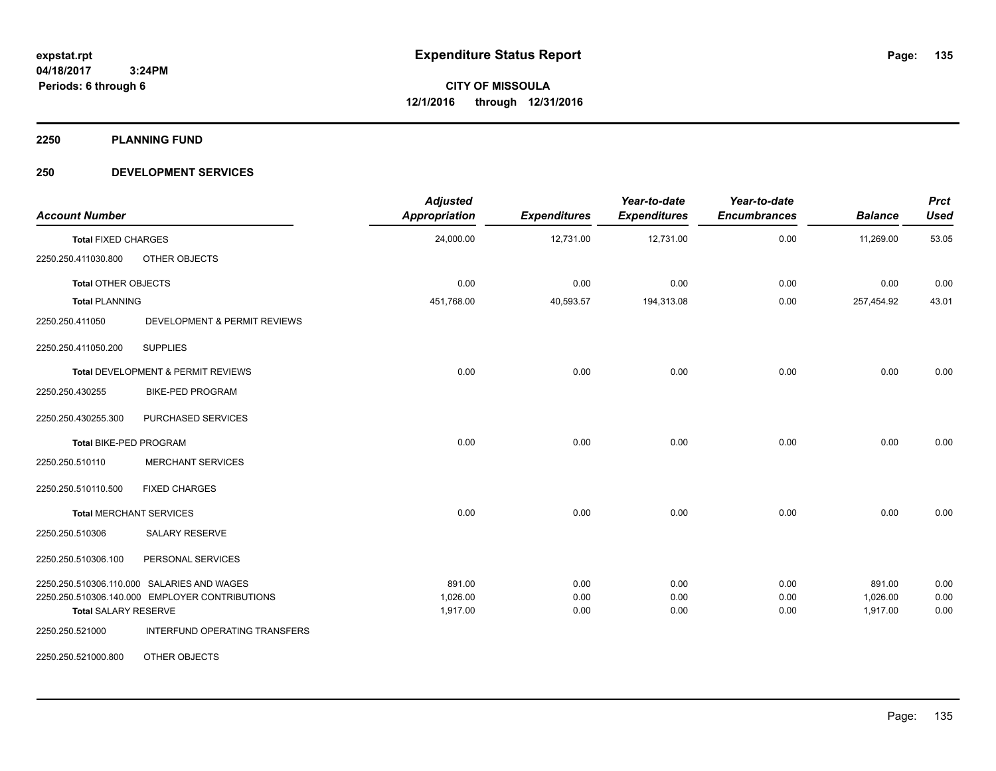**2250 PLANNING FUND**

#### **250 DEVELOPMENT SERVICES**

| <b>Account Number</b>                          |                               | <b>Adjusted</b><br>Appropriation | <b>Expenditures</b> | Year-to-date<br><b>Expenditures</b> | Year-to-date<br><b>Encumbrances</b> | <b>Balance</b> | <b>Prct</b><br><b>Used</b> |
|------------------------------------------------|-------------------------------|----------------------------------|---------------------|-------------------------------------|-------------------------------------|----------------|----------------------------|
| <b>Total FIXED CHARGES</b>                     |                               | 24,000.00                        | 12,731.00           | 12,731.00                           | 0.00                                | 11,269.00      | 53.05                      |
| OTHER OBJECTS<br>2250.250.411030.800           |                               |                                  |                     |                                     |                                     |                |                            |
| Total OTHER OBJECTS                            |                               | 0.00                             | 0.00                | 0.00                                | 0.00                                | 0.00           | 0.00                       |
| <b>Total PLANNING</b>                          |                               | 451,768.00                       | 40,593.57           | 194,313.08                          | 0.00                                | 257,454.92     | 43.01                      |
| 2250.250.411050                                | DEVELOPMENT & PERMIT REVIEWS  |                                  |                     |                                     |                                     |                |                            |
| <b>SUPPLIES</b><br>2250.250.411050.200         |                               |                                  |                     |                                     |                                     |                |                            |
| Total DEVELOPMENT & PERMIT REVIEWS             |                               | 0.00                             | 0.00                | 0.00                                | 0.00                                | 0.00           | 0.00                       |
| 2250.250.430255<br><b>BIKE-PED PROGRAM</b>     |                               |                                  |                     |                                     |                                     |                |                            |
| 2250.250.430255.300                            | PURCHASED SERVICES            |                                  |                     |                                     |                                     |                |                            |
| Total BIKE-PED PROGRAM                         |                               | 0.00                             | 0.00                | 0.00                                | 0.00                                | 0.00           | 0.00                       |
| 2250.250.510110                                | <b>MERCHANT SERVICES</b>      |                                  |                     |                                     |                                     |                |                            |
| 2250.250.510110.500<br><b>FIXED CHARGES</b>    |                               |                                  |                     |                                     |                                     |                |                            |
| <b>Total MERCHANT SERVICES</b>                 |                               | 0.00                             | 0.00                | 0.00                                | 0.00                                | 0.00           | 0.00                       |
| 2250.250.510306<br>SALARY RESERVE              |                               |                                  |                     |                                     |                                     |                |                            |
| PERSONAL SERVICES<br>2250.250.510306.100       |                               |                                  |                     |                                     |                                     |                |                            |
| 2250.250.510306.110.000 SALARIES AND WAGES     |                               | 891.00                           | 0.00                | 0.00                                | 0.00                                | 891.00         | 0.00                       |
| 2250.250.510306.140.000 EMPLOYER CONTRIBUTIONS |                               | 1,026.00                         | 0.00                | 0.00                                | 0.00                                | 1,026.00       | 0.00                       |
| <b>Total SALARY RESERVE</b>                    |                               | 1,917.00                         | 0.00                | 0.00                                | 0.00                                | 1,917.00       | 0.00                       |
| 2250.250.521000                                | INTERFUND OPERATING TRANSFERS |                                  |                     |                                     |                                     |                |                            |
| OTHER OBJECTS<br>2250.250.521000.800           |                               |                                  |                     |                                     |                                     |                |                            |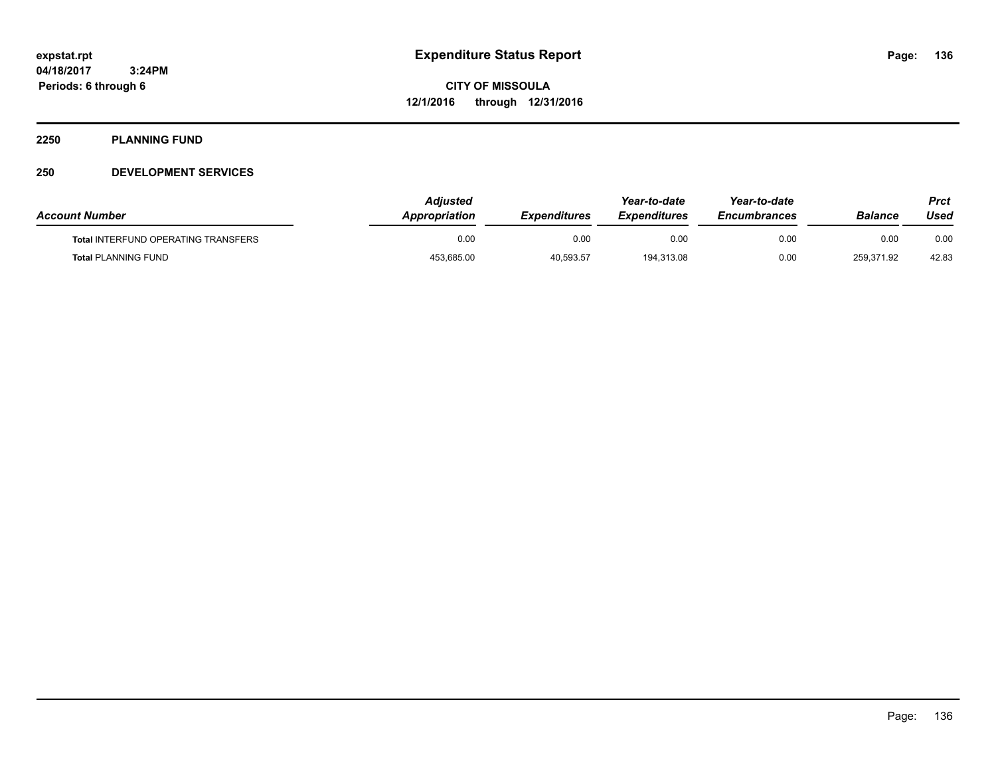#### **2250 PLANNING FUND**

#### **250 DEVELOPMENT SERVICES**

| <b>Account Number</b>                      | <b>Adjusted</b><br><b>Appropriation</b> | <b>Expenditures</b> | Year-to-date<br><b>Expenditures</b> | Year-to-date<br><b>Encumbrances</b> | Balance    | Prct<br>Used |
|--------------------------------------------|-----------------------------------------|---------------------|-------------------------------------|-------------------------------------|------------|--------------|
| <b>Total INTERFUND OPERATING TRANSFERS</b> | 0.00                                    | 0.00                | 0.00                                | 0.00                                | 0.00       | 0.00         |
| <b>Total PLANNING FUND</b>                 | 453,685.00                              | 40,593.57           | 194,313.08                          | 0.00                                | 259,371.92 | 42.83        |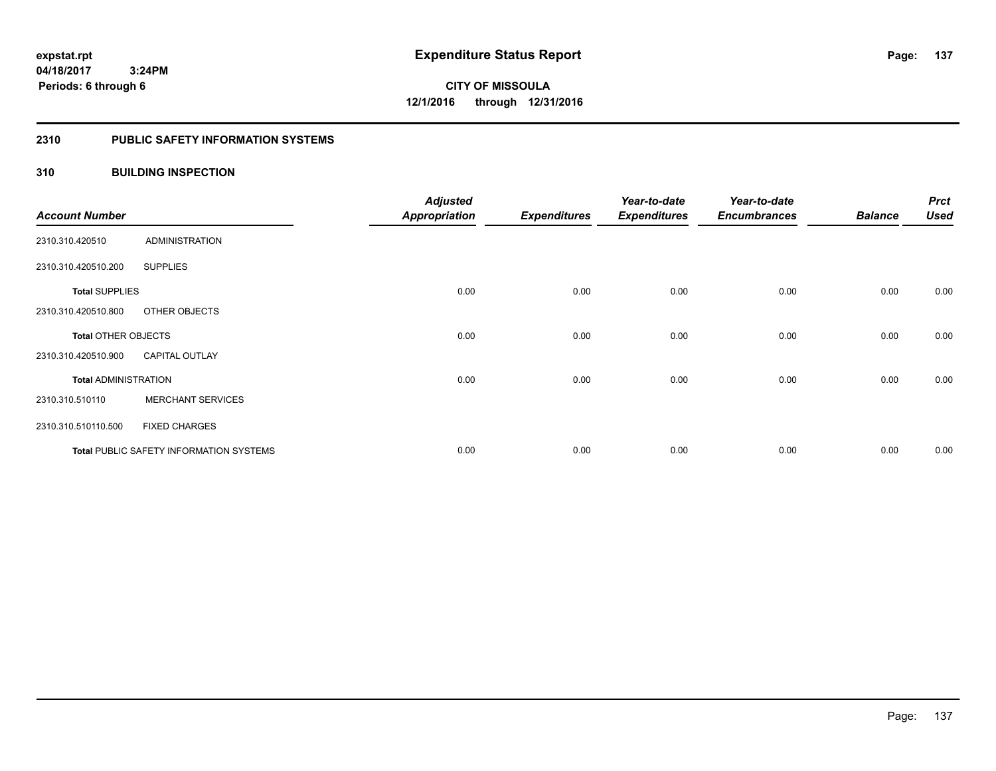#### **2310 PUBLIC SAFETY INFORMATION SYSTEMS**

#### **310 BUILDING INSPECTION**

| <b>Account Number</b>       |                                                | <b>Adjusted</b><br><b>Appropriation</b> | <b>Expenditures</b> | Year-to-date<br><b>Expenditures</b> | Year-to-date<br><b>Encumbrances</b> | <b>Balance</b> | <b>Prct</b><br><b>Used</b> |
|-----------------------------|------------------------------------------------|-----------------------------------------|---------------------|-------------------------------------|-------------------------------------|----------------|----------------------------|
|                             |                                                |                                         |                     |                                     |                                     |                |                            |
| 2310.310.420510             | <b>ADMINISTRATION</b>                          |                                         |                     |                                     |                                     |                |                            |
| 2310.310.420510.200         | <b>SUPPLIES</b>                                |                                         |                     |                                     |                                     |                |                            |
| <b>Total SUPPLIES</b>       |                                                | 0.00                                    | 0.00                | 0.00                                | 0.00                                | 0.00           | 0.00                       |
| 2310.310.420510.800         | OTHER OBJECTS                                  |                                         |                     |                                     |                                     |                |                            |
| Total OTHER OBJECTS         |                                                | 0.00                                    | 0.00                | 0.00                                | 0.00                                | 0.00           | 0.00                       |
| 2310.310.420510.900         | <b>CAPITAL OUTLAY</b>                          |                                         |                     |                                     |                                     |                |                            |
| <b>Total ADMINISTRATION</b> |                                                | 0.00                                    | 0.00                | 0.00                                | 0.00                                | 0.00           | 0.00                       |
| 2310.310.510110             | <b>MERCHANT SERVICES</b>                       |                                         |                     |                                     |                                     |                |                            |
| 2310.310.510110.500         | <b>FIXED CHARGES</b>                           |                                         |                     |                                     |                                     |                |                            |
|                             | <b>Total PUBLIC SAFETY INFORMATION SYSTEMS</b> | 0.00                                    | 0.00                | 0.00                                | 0.00                                | 0.00           | 0.00                       |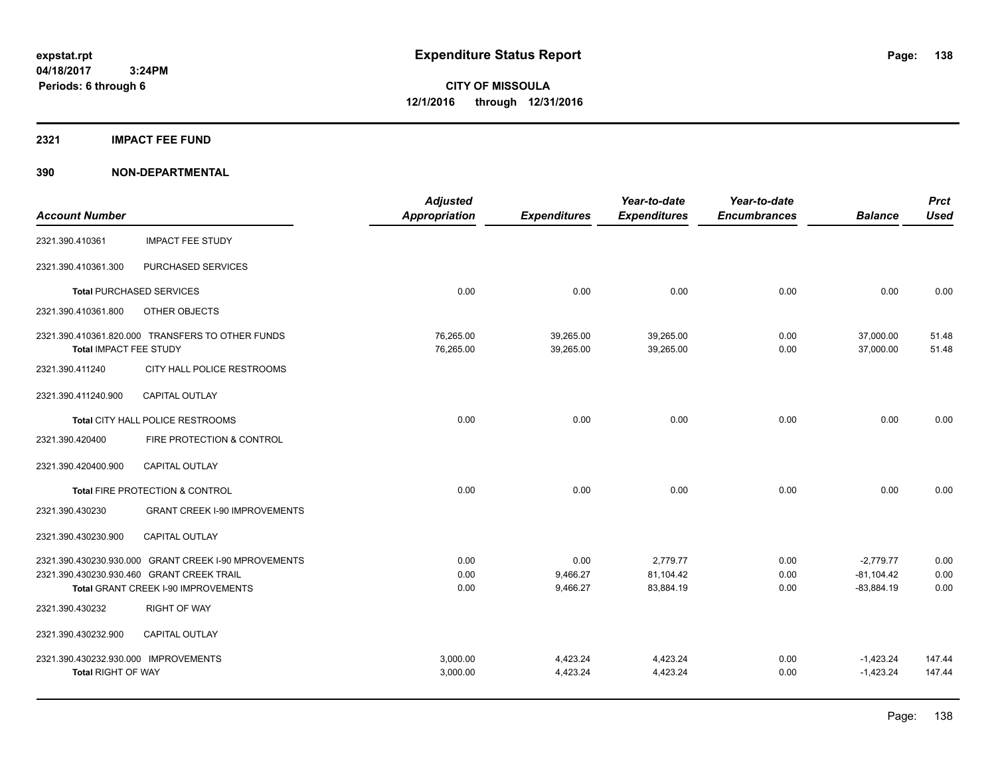#### **2321 IMPACT FEE FUND**

|                                                      | <b>Appropriation</b> | <b>Expenditures</b> |                     |                     |                |             |
|------------------------------------------------------|----------------------|---------------------|---------------------|---------------------|----------------|-------------|
|                                                      |                      |                     | <b>Expenditures</b> | <b>Encumbrances</b> | <b>Balance</b> | <b>Used</b> |
| <b>IMPACT FEE STUDY</b>                              |                      |                     |                     |                     |                |             |
| PURCHASED SERVICES                                   |                      |                     |                     |                     |                |             |
| <b>Total PURCHASED SERVICES</b>                      | 0.00                 | 0.00                | 0.00                | 0.00                | 0.00           | 0.00        |
| OTHER OBJECTS                                        |                      |                     |                     |                     |                |             |
| 2321.390.410361.820.000 TRANSFERS TO OTHER FUNDS     | 76,265.00            | 39,265.00           | 39,265.00           | 0.00                | 37,000.00      | 51.48       |
| Total IMPACT FEE STUDY                               |                      |                     |                     |                     |                | 51.48       |
| CITY HALL POLICE RESTROOMS                           |                      |                     |                     |                     |                |             |
| <b>CAPITAL OUTLAY</b>                                |                      |                     |                     |                     |                |             |
| Total CITY HALL POLICE RESTROOMS                     | 0.00                 | 0.00                | 0.00                | 0.00                | 0.00           | 0.00        |
| FIRE PROTECTION & CONTROL                            |                      |                     |                     |                     |                |             |
| CAPITAL OUTLAY                                       |                      |                     |                     |                     |                |             |
| Total FIRE PROTECTION & CONTROL                      | 0.00                 | 0.00                | 0.00                | 0.00                | 0.00           | 0.00        |
| <b>GRANT CREEK I-90 IMPROVEMENTS</b>                 |                      |                     |                     |                     |                |             |
| <b>CAPITAL OUTLAY</b>                                |                      |                     |                     |                     |                |             |
| 2321.390.430230.930.000 GRANT CREEK I-90 MPROVEMENTS | 0.00                 | 0.00                | 2,779.77            | 0.00                | $-2,779.77$    | 0.00        |
| 2321.390.430230.930.460 GRANT CREEK TRAIL            | 0.00                 | 9,466.27            | 81,104.42           | 0.00                | $-81,104.42$   | 0.00        |
| Total GRANT CREEK I-90 IMPROVEMENTS                  | 0.00                 | 9,466.27            | 83,884.19           | 0.00                | $-83,884.19$   | 0.00        |
| <b>RIGHT OF WAY</b>                                  |                      |                     |                     |                     |                |             |
| <b>CAPITAL OUTLAY</b>                                |                      |                     |                     |                     |                |             |
| 2321.390.430232.930.000 IMPROVEMENTS                 | 3,000.00             | 4,423.24            | 4,423.24            | 0.00                | $-1,423.24$    | 147.44      |
|                                                      | 3,000.00             | 4,423.24            | 4,423.24            | 0.00                | $-1,423.24$    | 147.44      |
|                                                      |                      | 76,265.00           | 39,265.00           | 39,265.00           | 0.00           | 37,000.00   |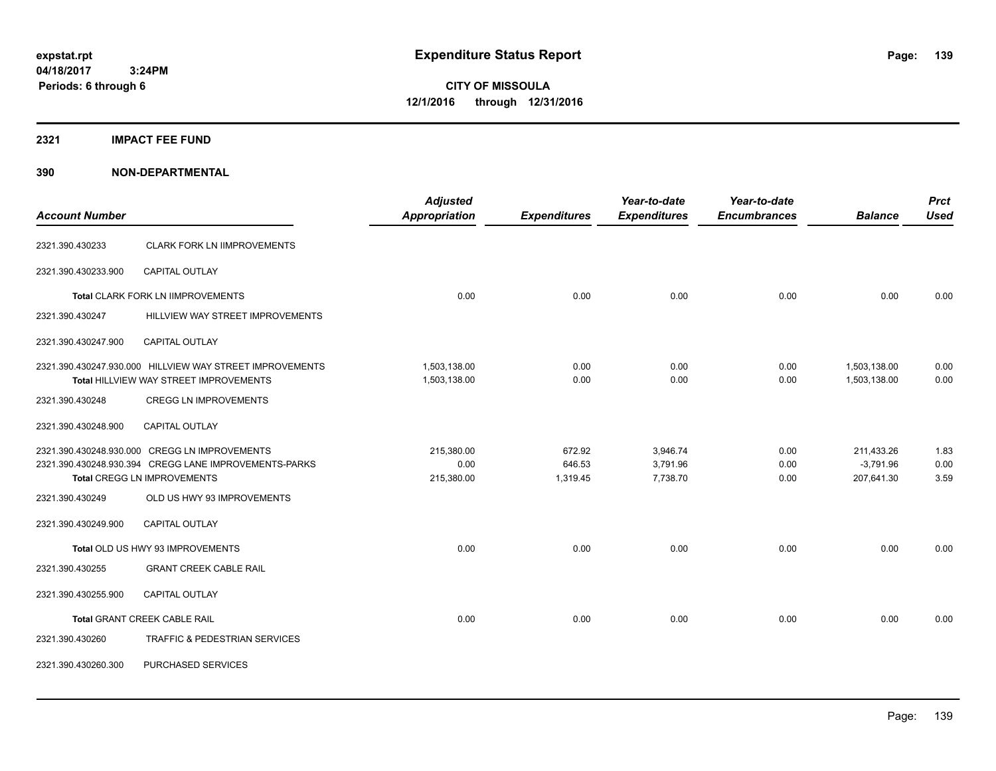**04/18/2017 3:24PM Periods: 6 through 6**

**CITY OF MISSOULA 12/1/2016 through 12/31/2016**

#### **2321 IMPACT FEE FUND**

| <b>Account Number</b>             |                                                                                                                                                                            | <b>Adjusted</b><br><b>Appropriation</b> | <b>Expenditures</b>          | Year-to-date<br><b>Expenditures</b> | Year-to-date<br><b>Encumbrances</b> | <b>Balance</b>                          | <b>Prct</b><br><b>Used</b> |
|-----------------------------------|----------------------------------------------------------------------------------------------------------------------------------------------------------------------------|-----------------------------------------|------------------------------|-------------------------------------|-------------------------------------|-----------------------------------------|----------------------------|
|                                   |                                                                                                                                                                            |                                         |                              |                                     |                                     |                                         |                            |
| 2321.390.430233                   | <b>CLARK FORK LN IIMPROVEMENTS</b>                                                                                                                                         |                                         |                              |                                     |                                     |                                         |                            |
| 2321.390.430233.900               | <b>CAPITAL OUTLAY</b>                                                                                                                                                      |                                         |                              |                                     |                                     |                                         |                            |
| Total CLARK FORK LN IIMPROVEMENTS |                                                                                                                                                                            | 0.00                                    | 0.00                         | 0.00                                | 0.00                                | 0.00                                    | 0.00                       |
| 2321.390.430247                   | HILLVIEW WAY STREET IMPROVEMENTS                                                                                                                                           |                                         |                              |                                     |                                     |                                         |                            |
| 2321.390.430247.900               | <b>CAPITAL OUTLAY</b>                                                                                                                                                      |                                         |                              |                                     |                                     |                                         |                            |
|                                   | 2321.390.430247.930.000 HILLVIEW WAY STREET IMPROVEMENTS<br>Total HILLVIEW WAY STREET IMPROVEMENTS                                                                         | 1,503,138.00<br>1,503,138.00            | 0.00<br>0.00                 | 0.00<br>0.00                        | 0.00<br>0.00                        | 1,503,138.00<br>1,503,138.00            | 0.00<br>0.00               |
| 2321.390.430248                   | <b>CREGG LN IMPROVEMENTS</b>                                                                                                                                               |                                         |                              |                                     |                                     |                                         |                            |
| 2321.390.430248.900               | CAPITAL OUTLAY                                                                                                                                                             |                                         |                              |                                     |                                     |                                         |                            |
| 2321.390.430249                   | 2321.390.430248.930.000 CREGG LN IMPROVEMENTS<br>2321.390.430248.930.394 CREGG LANE IMPROVEMENTS-PARKS<br><b>Total CREGG LN IMPROVEMENTS</b><br>OLD US HWY 93 IMPROVEMENTS | 215,380.00<br>0.00<br>215,380.00        | 672.92<br>646.53<br>1,319.45 | 3,946.74<br>3,791.96<br>7,738.70    | 0.00<br>0.00<br>0.00                | 211,433.26<br>$-3.791.96$<br>207,641.30 | 1.83<br>0.00<br>3.59       |
| 2321.390.430249.900               | <b>CAPITAL OUTLAY</b>                                                                                                                                                      |                                         |                              |                                     |                                     |                                         |                            |
| 2321.390.430255                   | Total OLD US HWY 93 IMPROVEMENTS<br><b>GRANT CREEK CABLE RAIL</b>                                                                                                          | 0.00                                    | 0.00                         | 0.00                                | 0.00                                | 0.00                                    | 0.00                       |
| 2321.390.430255.900               | <b>CAPITAL OUTLAY</b>                                                                                                                                                      |                                         |                              |                                     |                                     |                                         |                            |
|                                   | Total GRANT CREEK CABLE RAIL                                                                                                                                               | 0.00                                    | 0.00                         | 0.00                                | 0.00                                | 0.00                                    | 0.00                       |
| 2321.390.430260                   | TRAFFIC & PEDESTRIAN SERVICES                                                                                                                                              |                                         |                              |                                     |                                     |                                         |                            |
| 2321.390.430260.300               | PURCHASED SERVICES                                                                                                                                                         |                                         |                              |                                     |                                     |                                         |                            |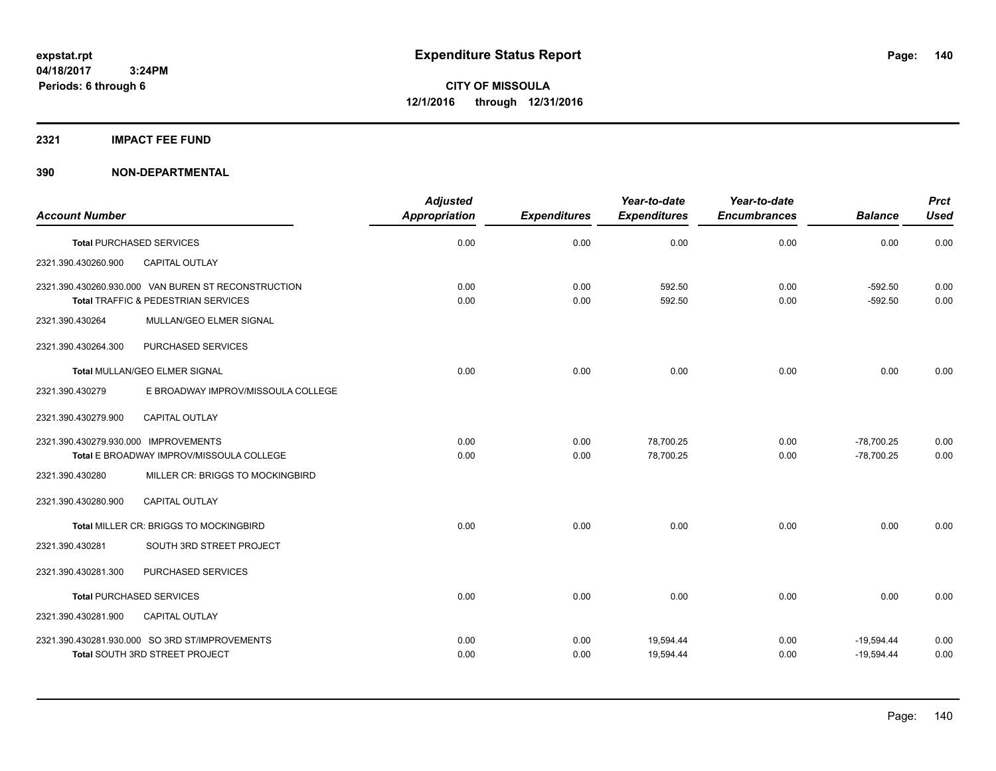#### **2321 IMPACT FEE FUND**

|                                      |                                                                                            | <b>Adjusted</b>      |                     | Year-to-date        | Year-to-date        |                        | <b>Prct</b>  |
|--------------------------------------|--------------------------------------------------------------------------------------------|----------------------|---------------------|---------------------|---------------------|------------------------|--------------|
| <b>Account Number</b>                |                                                                                            | <b>Appropriation</b> | <b>Expenditures</b> | <b>Expenditures</b> | <b>Encumbrances</b> | <b>Balance</b>         | <b>Used</b>  |
| <b>Total PURCHASED SERVICES</b>      |                                                                                            | 0.00                 | 0.00                | 0.00                | 0.00                | 0.00                   | 0.00         |
| 2321.390.430260.900                  | CAPITAL OUTLAY                                                                             |                      |                     |                     |                     |                        |              |
|                                      | 2321.390.430260.930.000 VAN BUREN ST RECONSTRUCTION<br>Total TRAFFIC & PEDESTRIAN SERVICES | 0.00<br>0.00         | 0.00<br>0.00        | 592.50<br>592.50    | 0.00<br>0.00        | $-592.50$<br>$-592.50$ | 0.00<br>0.00 |
| 2321.390.430264                      | MULLAN/GEO ELMER SIGNAL                                                                    |                      |                     |                     |                     |                        |              |
| 2321.390.430264.300                  | PURCHASED SERVICES                                                                         |                      |                     |                     |                     |                        |              |
| Total MULLAN/GEO ELMER SIGNAL        |                                                                                            | 0.00                 | 0.00                | 0.00                | 0.00                | 0.00                   | 0.00         |
| 2321.390.430279                      | E BROADWAY IMPROV/MISSOULA COLLEGE                                                         |                      |                     |                     |                     |                        |              |
| 2321.390.430279.900                  | <b>CAPITAL OUTLAY</b>                                                                      |                      |                     |                     |                     |                        |              |
| 2321.390.430279.930.000 IMPROVEMENTS |                                                                                            | 0.00                 | 0.00                | 78.700.25           | 0.00                | $-78.700.25$           | 0.00         |
|                                      | Total E BROADWAY IMPROV/MISSOULA COLLEGE                                                   | 0.00                 | 0.00                | 78,700.25           | 0.00                | $-78,700.25$           | 0.00         |
| 2321.390.430280                      | MILLER CR: BRIGGS TO MOCKINGBIRD                                                           |                      |                     |                     |                     |                        |              |
| 2321.390.430280.900                  | CAPITAL OUTLAY                                                                             |                      |                     |                     |                     |                        |              |
|                                      | Total MILLER CR: BRIGGS TO MOCKINGBIRD                                                     | 0.00                 | 0.00                | 0.00                | 0.00                | 0.00                   | 0.00         |
| 2321.390.430281                      | SOUTH 3RD STREET PROJECT                                                                   |                      |                     |                     |                     |                        |              |
| 2321.390.430281.300                  | PURCHASED SERVICES                                                                         |                      |                     |                     |                     |                        |              |
| <b>Total PURCHASED SERVICES</b>      |                                                                                            | 0.00                 | 0.00                | 0.00                | 0.00                | 0.00                   | 0.00         |
| 2321.390.430281.900                  | CAPITAL OUTLAY                                                                             |                      |                     |                     |                     |                        |              |
|                                      | 2321.390.430281.930.000 SO 3RD ST/IMPROVEMENTS                                             | 0.00                 | 0.00                | 19,594.44           | 0.00                | $-19,594.44$           | 0.00         |
|                                      | Total SOUTH 3RD STREET PROJECT                                                             | 0.00                 | 0.00                | 19,594.44           | 0.00                | $-19,594.44$           | 0.00         |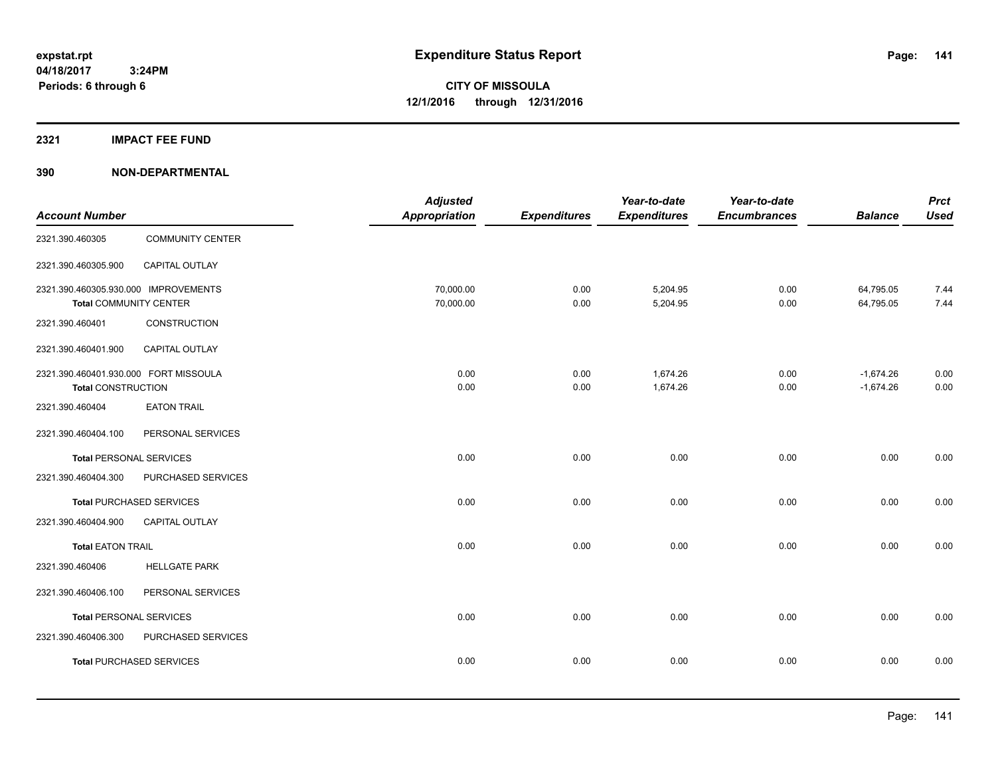#### **2321 IMPACT FEE FUND**

|                                       |                                 | <b>Adjusted</b> |                     | Year-to-date        | Year-to-date        |                | <b>Prct</b> |
|---------------------------------------|---------------------------------|-----------------|---------------------|---------------------|---------------------|----------------|-------------|
| <b>Account Number</b>                 |                                 | Appropriation   | <b>Expenditures</b> | <b>Expenditures</b> | <b>Encumbrances</b> | <b>Balance</b> | <b>Used</b> |
| 2321.390.460305                       | <b>COMMUNITY CENTER</b>         |                 |                     |                     |                     |                |             |
| 2321.390.460305.900                   | CAPITAL OUTLAY                  |                 |                     |                     |                     |                |             |
| 2321.390.460305.930.000 IMPROVEMENTS  |                                 | 70,000.00       | 0.00                | 5,204.95            | 0.00                | 64,795.05      | 7.44        |
| Total COMMUNITY CENTER                |                                 | 70,000.00       | 0.00                | 5,204.95            | 0.00                | 64,795.05      | 7.44        |
| 2321.390.460401                       | <b>CONSTRUCTION</b>             |                 |                     |                     |                     |                |             |
| 2321.390.460401.900                   | <b>CAPITAL OUTLAY</b>           |                 |                     |                     |                     |                |             |
| 2321.390.460401.930.000 FORT MISSOULA |                                 | 0.00            | 0.00                | 1,674.26            | 0.00                | $-1,674.26$    | 0.00        |
| <b>Total CONSTRUCTION</b>             |                                 | 0.00            | 0.00                | 1,674.26            | 0.00                | $-1,674.26$    | 0.00        |
| 2321.390.460404                       | <b>EATON TRAIL</b>              |                 |                     |                     |                     |                |             |
| 2321.390.460404.100                   | PERSONAL SERVICES               |                 |                     |                     |                     |                |             |
| <b>Total PERSONAL SERVICES</b>        |                                 | 0.00            | 0.00                | 0.00                | 0.00                | 0.00           | 0.00        |
| 2321.390.460404.300                   | PURCHASED SERVICES              |                 |                     |                     |                     |                |             |
|                                       | <b>Total PURCHASED SERVICES</b> | 0.00            | 0.00                | 0.00                | 0.00                | 0.00           | 0.00        |
| 2321.390.460404.900                   | <b>CAPITAL OUTLAY</b>           |                 |                     |                     |                     |                |             |
| <b>Total EATON TRAIL</b>              |                                 | 0.00            | 0.00                | 0.00                | 0.00                | 0.00           | 0.00        |
| 2321.390.460406                       | <b>HELLGATE PARK</b>            |                 |                     |                     |                     |                |             |
| 2321.390.460406.100                   | PERSONAL SERVICES               |                 |                     |                     |                     |                |             |
| <b>Total PERSONAL SERVICES</b>        |                                 | 0.00            | 0.00                | 0.00                | 0.00                | 0.00           | 0.00        |
| 2321.390.460406.300                   | PURCHASED SERVICES              |                 |                     |                     |                     |                |             |
|                                       | <b>Total PURCHASED SERVICES</b> | 0.00            | 0.00                | 0.00                | 0.00                | 0.00           | 0.00        |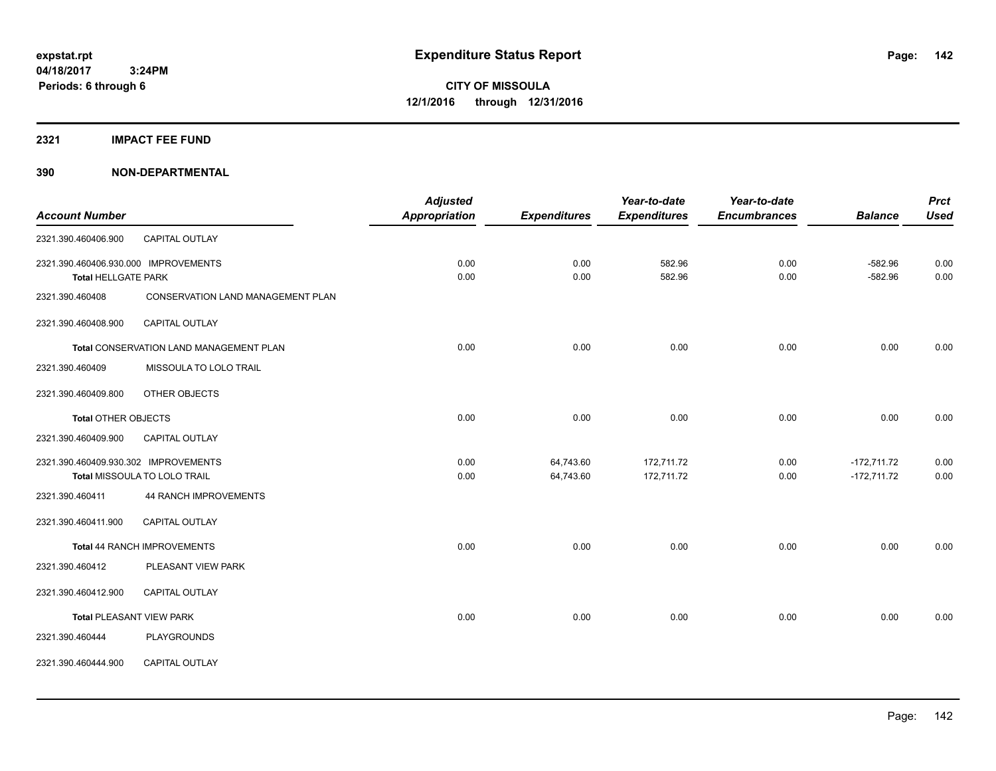**2321 IMPACT FEE FUND**

|                                      |                                         | <b>Adjusted</b> |                     | Year-to-date        | Year-to-date        |                | <b>Prct</b><br><b>Used</b> |
|--------------------------------------|-----------------------------------------|-----------------|---------------------|---------------------|---------------------|----------------|----------------------------|
| <b>Account Number</b>                |                                         | Appropriation   | <b>Expenditures</b> | <b>Expenditures</b> | <b>Encumbrances</b> | <b>Balance</b> |                            |
| 2321.390.460406.900                  | CAPITAL OUTLAY                          |                 |                     |                     |                     |                |                            |
| 2321.390.460406.930.000 IMPROVEMENTS |                                         | 0.00            | 0.00                | 582.96              | 0.00                | $-582.96$      | 0.00                       |
| <b>Total HELLGATE PARK</b>           |                                         | 0.00            | 0.00                | 582.96              | 0.00                | $-582.96$      | 0.00                       |
| 2321.390.460408                      | CONSERVATION LAND MANAGEMENT PLAN       |                 |                     |                     |                     |                |                            |
| 2321.390.460408.900                  | <b>CAPITAL OUTLAY</b>                   |                 |                     |                     |                     |                |                            |
|                                      | Total CONSERVATION LAND MANAGEMENT PLAN | 0.00            | 0.00                | 0.00                | 0.00                | 0.00           | 0.00                       |
| 2321.390.460409                      | MISSOULA TO LOLO TRAIL                  |                 |                     |                     |                     |                |                            |
| 2321.390.460409.800                  | OTHER OBJECTS                           |                 |                     |                     |                     |                |                            |
| <b>Total OTHER OBJECTS</b>           |                                         | 0.00            | 0.00                | 0.00                | 0.00                | 0.00           | 0.00                       |
| 2321.390.460409.900                  | CAPITAL OUTLAY                          |                 |                     |                     |                     |                |                            |
| 2321.390.460409.930.302 IMPROVEMENTS |                                         | 0.00            | 64,743.60           | 172,711.72          | 0.00                | $-172,711.72$  | 0.00                       |
|                                      | Total MISSOULA TO LOLO TRAIL            | 0.00            | 64,743.60           | 172,711.72          | 0.00                | $-172,711.72$  | 0.00                       |
| 2321.390.460411                      | <b>44 RANCH IMPROVEMENTS</b>            |                 |                     |                     |                     |                |                            |
| 2321.390.460411.900                  | CAPITAL OUTLAY                          |                 |                     |                     |                     |                |                            |
|                                      | Total 44 RANCH IMPROVEMENTS             | 0.00            | 0.00                | 0.00                | 0.00                | 0.00           | 0.00                       |
| 2321.390.460412                      | PLEASANT VIEW PARK                      |                 |                     |                     |                     |                |                            |
| 2321.390.460412.900                  | <b>CAPITAL OUTLAY</b>                   |                 |                     |                     |                     |                |                            |
| <b>Total PLEASANT VIEW PARK</b>      |                                         | 0.00            | 0.00                | 0.00                | 0.00                | 0.00           | 0.00                       |
| 2321.390.460444                      | <b>PLAYGROUNDS</b>                      |                 |                     |                     |                     |                |                            |
| 2321.390.460444.900                  | CAPITAL OUTLAY                          |                 |                     |                     |                     |                |                            |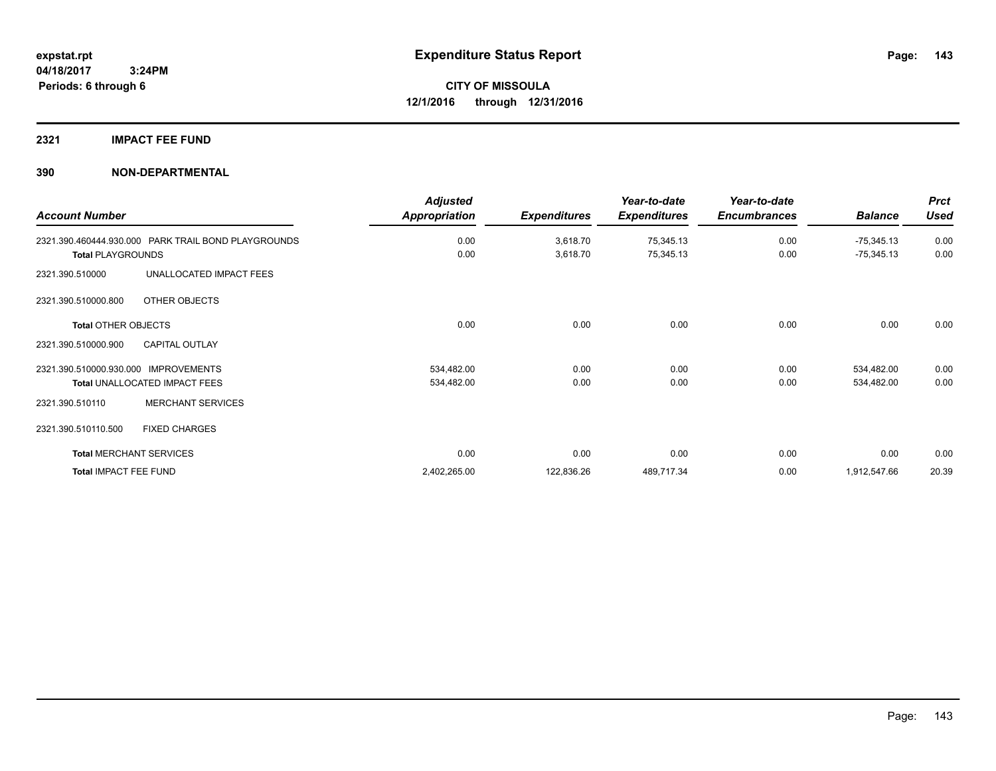#### **2321 IMPACT FEE FUND**

|                                                     | <b>Adjusted</b>      |                     | Year-to-date        | Year-to-date        |                | <b>Prct</b> |
|-----------------------------------------------------|----------------------|---------------------|---------------------|---------------------|----------------|-------------|
| <b>Account Number</b>                               | <b>Appropriation</b> | <b>Expenditures</b> | <b>Expenditures</b> | <b>Encumbrances</b> | <b>Balance</b> | <b>Used</b> |
| 2321.390.460444.930.000 PARK TRAIL BOND PLAYGROUNDS | 0.00                 | 3,618.70            | 75,345.13           | 0.00                | $-75,345.13$   | 0.00        |
| <b>Total PLAYGROUNDS</b>                            | 0.00                 | 3,618.70            | 75,345.13           | 0.00                | $-75,345.13$   | 0.00        |
| UNALLOCATED IMPACT FEES<br>2321.390.510000          |                      |                     |                     |                     |                |             |
| OTHER OBJECTS<br>2321.390.510000.800                |                      |                     |                     |                     |                |             |
| <b>Total OTHER OBJECTS</b>                          | 0.00                 | 0.00                | 0.00                | 0.00                | 0.00           | 0.00        |
| 2321.390.510000.900<br><b>CAPITAL OUTLAY</b>        |                      |                     |                     |                     |                |             |
| <b>IMPROVEMENTS</b><br>2321.390.510000.930.000      | 534,482.00           | 0.00                | 0.00                | 0.00                | 534,482.00     | 0.00        |
| Total UNALLOCATED IMPACT FEES                       | 534,482.00           | 0.00                | 0.00                | 0.00                | 534,482.00     | 0.00        |
| <b>MERCHANT SERVICES</b><br>2321.390.510110         |                      |                     |                     |                     |                |             |
| 2321.390.510110.500<br><b>FIXED CHARGES</b>         |                      |                     |                     |                     |                |             |
| <b>Total MERCHANT SERVICES</b>                      | 0.00                 | 0.00                | 0.00                | 0.00                | 0.00           | 0.00        |
| Total IMPACT FEE FUND                               | 2,402,265.00         | 122,836.26          | 489,717.34          | 0.00                | 1,912,547.66   | 20.39       |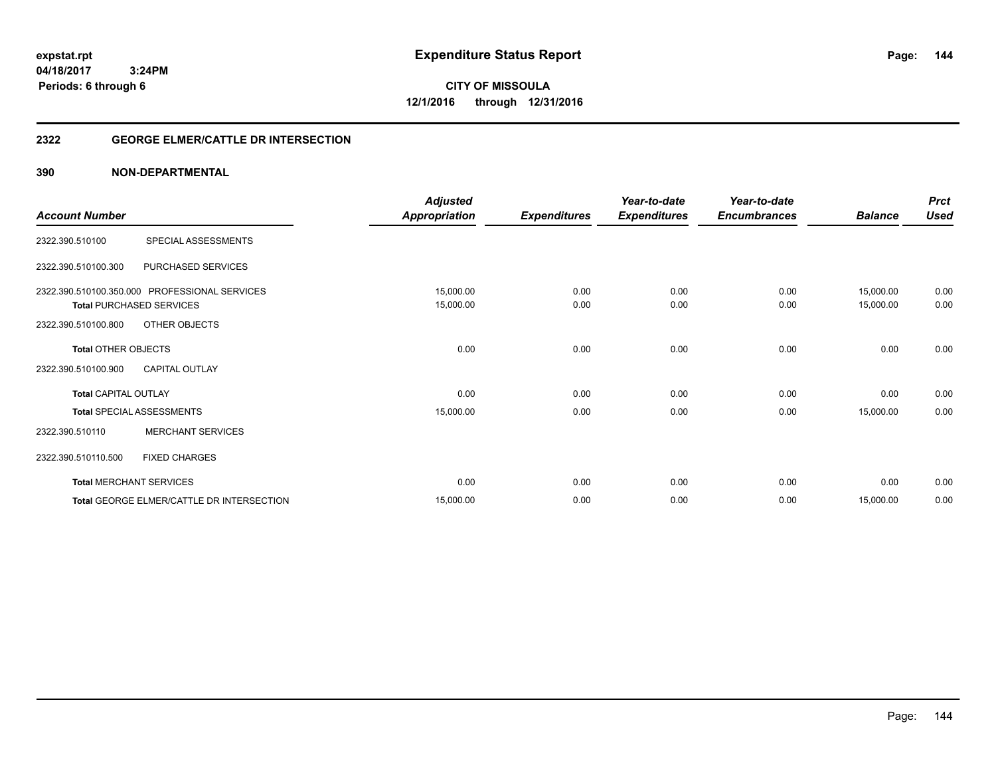**04/18/2017 3:24PM Periods: 6 through 6**

**CITY OF MISSOULA 12/1/2016 through 12/31/2016**

#### **2322 GEORGE ELMER/CATTLE DR INTERSECTION**

| <b>Account Number</b>       |                                               | <b>Adjusted</b><br><b>Appropriation</b> | <b>Expenditures</b> | Year-to-date<br><b>Expenditures</b> | Year-to-date<br><b>Encumbrances</b> | <b>Balance</b> | <b>Prct</b><br><b>Used</b> |
|-----------------------------|-----------------------------------------------|-----------------------------------------|---------------------|-------------------------------------|-------------------------------------|----------------|----------------------------|
|                             |                                               |                                         |                     |                                     |                                     |                |                            |
| 2322.390.510100             | SPECIAL ASSESSMENTS                           |                                         |                     |                                     |                                     |                |                            |
| 2322.390.510100.300         | PURCHASED SERVICES                            |                                         |                     |                                     |                                     |                |                            |
|                             | 2322.390.510100.350.000 PROFESSIONAL SERVICES | 15,000.00                               | 0.00                | 0.00                                | 0.00                                | 15,000.00      | 0.00                       |
|                             | <b>Total PURCHASED SERVICES</b>               | 15,000.00                               | 0.00                | 0.00                                | 0.00                                | 15,000.00      | 0.00                       |
| 2322.390.510100.800         | OTHER OBJECTS                                 |                                         |                     |                                     |                                     |                |                            |
| <b>Total OTHER OBJECTS</b>  |                                               | 0.00                                    | 0.00                | 0.00                                | 0.00                                | 0.00           | 0.00                       |
| 2322.390.510100.900         | <b>CAPITAL OUTLAY</b>                         |                                         |                     |                                     |                                     |                |                            |
| <b>Total CAPITAL OUTLAY</b> |                                               | 0.00                                    | 0.00                | 0.00                                | 0.00                                | 0.00           | 0.00                       |
|                             | <b>Total SPECIAL ASSESSMENTS</b>              | 15,000.00                               | 0.00                | 0.00                                | 0.00                                | 15,000.00      | 0.00                       |
| 2322.390.510110             | <b>MERCHANT SERVICES</b>                      |                                         |                     |                                     |                                     |                |                            |
| 2322.390.510110.500         | <b>FIXED CHARGES</b>                          |                                         |                     |                                     |                                     |                |                            |
|                             | <b>Total MERCHANT SERVICES</b>                | 0.00                                    | 0.00                | 0.00                                | 0.00                                | 0.00           | 0.00                       |
|                             | Total GEORGE ELMER/CATTLE DR INTERSECTION     | 15,000.00                               | 0.00                | 0.00                                | 0.00                                | 15,000.00      | 0.00                       |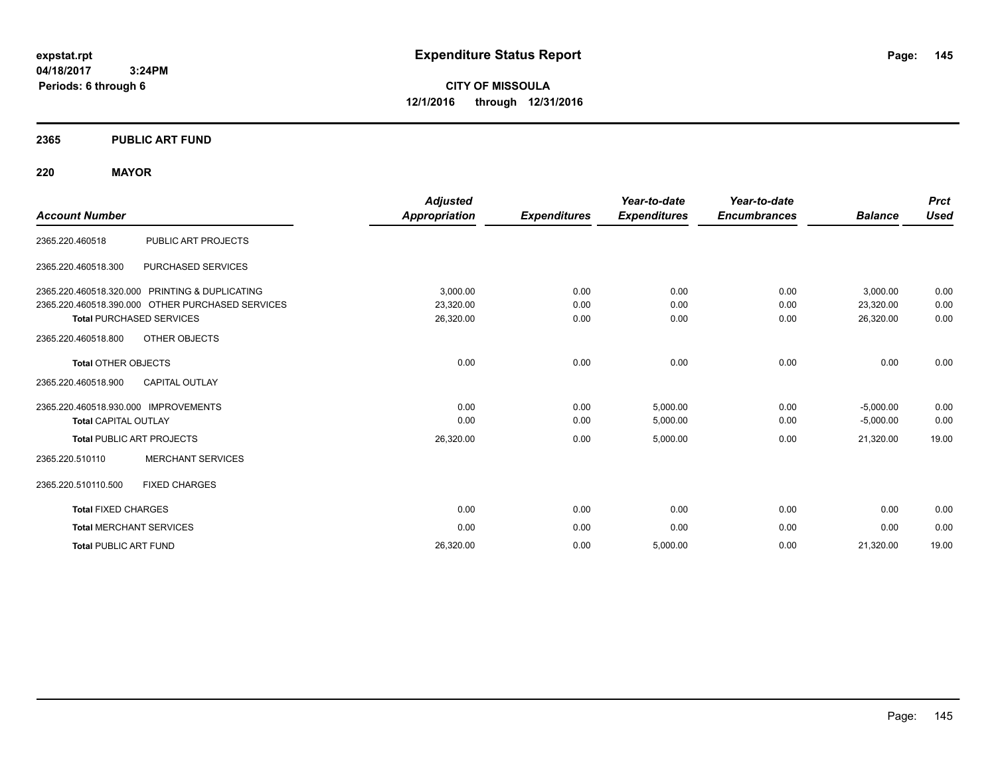**CITY OF MISSOULA 12/1/2016 through 12/31/2016**

# **2365 PUBLIC ART FUND**

# **220 MAYOR**

|                                                  |                          | <b>Adjusted</b>      |                     | Year-to-date        | Year-to-date        |                | <b>Prct</b> |
|--------------------------------------------------|--------------------------|----------------------|---------------------|---------------------|---------------------|----------------|-------------|
| <b>Account Number</b>                            |                          | <b>Appropriation</b> | <b>Expenditures</b> | <b>Expenditures</b> | <b>Encumbrances</b> | <b>Balance</b> | <b>Used</b> |
| 2365.220.460518                                  | PUBLIC ART PROJECTS      |                      |                     |                     |                     |                |             |
| 2365.220.460518.300                              | PURCHASED SERVICES       |                      |                     |                     |                     |                |             |
| 2365.220.460518.320.000 PRINTING & DUPLICATING   |                          | 3,000.00             | 0.00                | 0.00                | 0.00                | 3,000.00       | 0.00        |
| 2365.220.460518.390.000 OTHER PURCHASED SERVICES |                          | 23,320.00            | 0.00                | 0.00                | 0.00                | 23,320.00      | 0.00        |
| <b>Total PURCHASED SERVICES</b>                  |                          | 26,320.00            | 0.00                | 0.00                | 0.00                | 26,320.00      | 0.00        |
| 2365.220.460518.800                              | OTHER OBJECTS            |                      |                     |                     |                     |                |             |
| <b>Total OTHER OBJECTS</b>                       |                          | 0.00                 | 0.00                | 0.00                | 0.00                | 0.00           | 0.00        |
| 2365.220.460518.900                              | <b>CAPITAL OUTLAY</b>    |                      |                     |                     |                     |                |             |
| 2365.220.460518.930.000 IMPROVEMENTS             |                          | 0.00                 | 0.00                | 5,000.00            | 0.00                | $-5,000.00$    | 0.00        |
| <b>Total CAPITAL OUTLAY</b>                      |                          | 0.00                 | 0.00                | 5,000.00            | 0.00                | $-5,000.00$    | 0.00        |
| <b>Total PUBLIC ART PROJECTS</b>                 |                          | 26,320.00            | 0.00                | 5,000.00            | 0.00                | 21,320.00      | 19.00       |
| 2365.220.510110                                  | <b>MERCHANT SERVICES</b> |                      |                     |                     |                     |                |             |
| 2365.220.510110.500                              | <b>FIXED CHARGES</b>     |                      |                     |                     |                     |                |             |
| <b>Total FIXED CHARGES</b>                       |                          | 0.00                 | 0.00                | 0.00                | 0.00                | 0.00           | 0.00        |
| <b>Total MERCHANT SERVICES</b>                   |                          | 0.00                 | 0.00                | 0.00                | 0.00                | 0.00           | 0.00        |
| <b>Total PUBLIC ART FUND</b>                     |                          | 26,320.00            | 0.00                | 5,000.00            | 0.00                | 21,320.00      | 19.00       |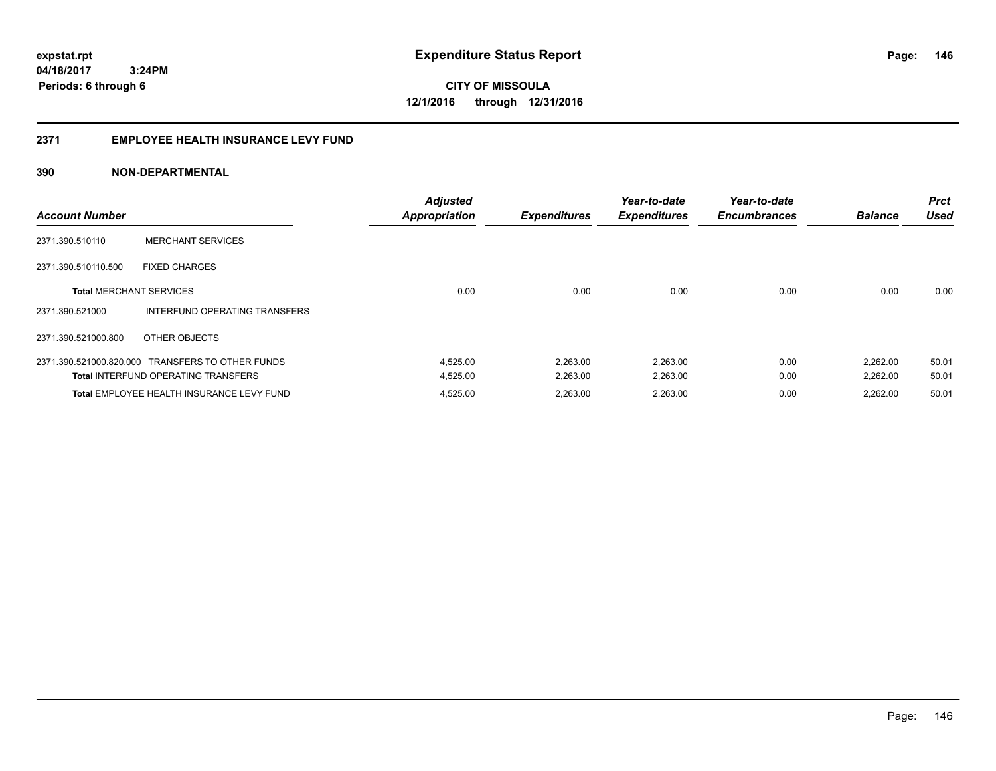**146**

**CITY OF MISSOULA 12/1/2016 through 12/31/2016**

#### **2371 EMPLOYEE HEALTH INSURANCE LEVY FUND**

| <b>Account Number</b>          |                                                  | <b>Adjusted</b><br><b>Appropriation</b> | <b>Expenditures</b> | Year-to-date<br><b>Expenditures</b> | Year-to-date<br><b>Encumbrances</b> | <b>Balance</b> | <b>Prct</b><br><b>Used</b> |
|--------------------------------|--------------------------------------------------|-----------------------------------------|---------------------|-------------------------------------|-------------------------------------|----------------|----------------------------|
| 2371.390.510110                | <b>MERCHANT SERVICES</b>                         |                                         |                     |                                     |                                     |                |                            |
| 2371.390.510110.500            | <b>FIXED CHARGES</b>                             |                                         |                     |                                     |                                     |                |                            |
| <b>Total MERCHANT SERVICES</b> |                                                  | 0.00                                    | 0.00                | 0.00                                | 0.00                                | 0.00           | 0.00                       |
| 2371.390.521000                | INTERFUND OPERATING TRANSFERS                    |                                         |                     |                                     |                                     |                |                            |
| 2371.390.521000.800            | OTHER OBJECTS                                    |                                         |                     |                                     |                                     |                |                            |
|                                | 2371.390.521000.820.000 TRANSFERS TO OTHER FUNDS | 4,525.00                                | 2,263.00            | 2,263.00                            | 0.00                                | 2,262.00       | 50.01                      |
|                                | <b>Total INTERFUND OPERATING TRANSFERS</b>       | 4,525.00                                | 2,263.00            | 2,263.00                            | 0.00                                | 2,262.00       | 50.01                      |
|                                | Total EMPLOYEE HEALTH INSURANCE LEVY FUND        | 4,525.00                                | 2,263.00            | 2,263.00                            | 0.00                                | 2.262.00       | 50.01                      |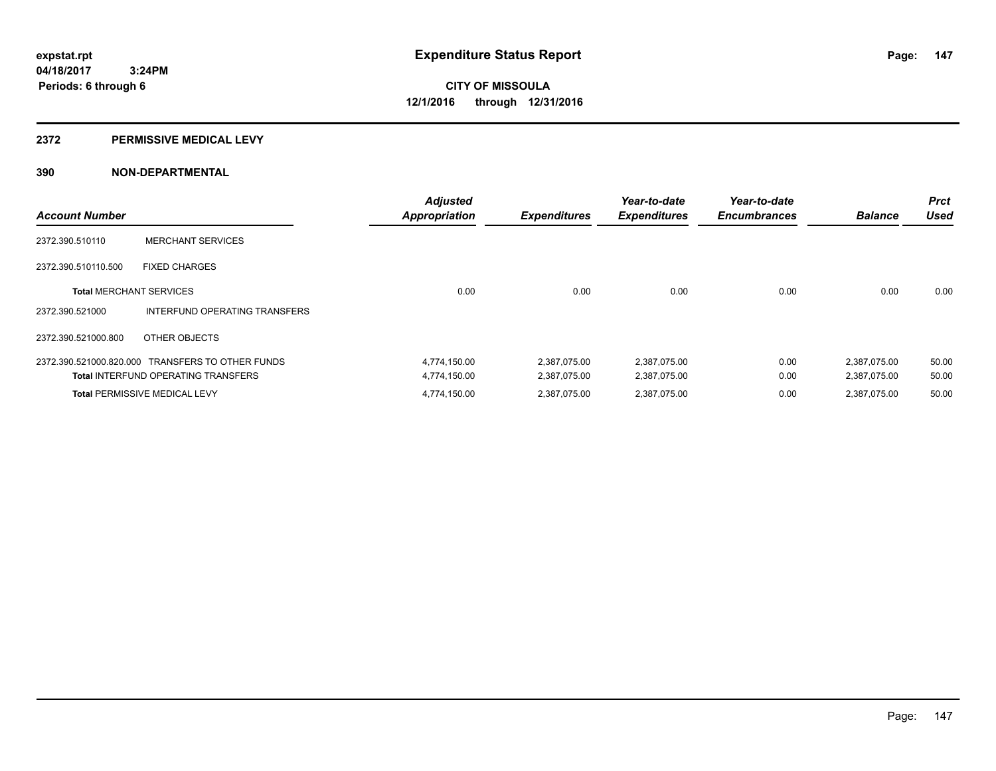#### **2372 PERMISSIVE MEDICAL LEVY**

| <b>Account Number</b>          |                                                  | <b>Adjusted</b><br><b>Appropriation</b> | <b>Expenditures</b> | Year-to-date<br><b>Expenditures</b> | Year-to-date<br><b>Encumbrances</b> | <b>Balance</b> | <b>Prct</b><br><b>Used</b> |
|--------------------------------|--------------------------------------------------|-----------------------------------------|---------------------|-------------------------------------|-------------------------------------|----------------|----------------------------|
| 2372.390.510110                | <b>MERCHANT SERVICES</b>                         |                                         |                     |                                     |                                     |                |                            |
| 2372.390.510110.500            | <b>FIXED CHARGES</b>                             |                                         |                     |                                     |                                     |                |                            |
| <b>Total MERCHANT SERVICES</b> |                                                  | 0.00                                    | 0.00                | 0.00                                | 0.00                                | 0.00           | 0.00                       |
| 2372.390.521000                | INTERFUND OPERATING TRANSFERS                    |                                         |                     |                                     |                                     |                |                            |
| 2372.390.521000.800            | OTHER OBJECTS                                    |                                         |                     |                                     |                                     |                |                            |
|                                | 2372.390.521000.820.000 TRANSFERS TO OTHER FUNDS | 4,774,150.00                            | 2,387,075.00        | 2.387.075.00                        | 0.00                                | 2,387,075.00   | 50.00                      |
|                                | <b>Total INTERFUND OPERATING TRANSFERS</b>       | 4,774,150.00                            | 2,387,075.00        | 2,387,075.00                        | 0.00                                | 2,387,075.00   | 50.00                      |
|                                | <b>Total PERMISSIVE MEDICAL LEVY</b>             | 4,774,150.00                            | 2,387,075.00        | 2,387,075.00                        | 0.00                                | 2,387,075.00   | 50.00                      |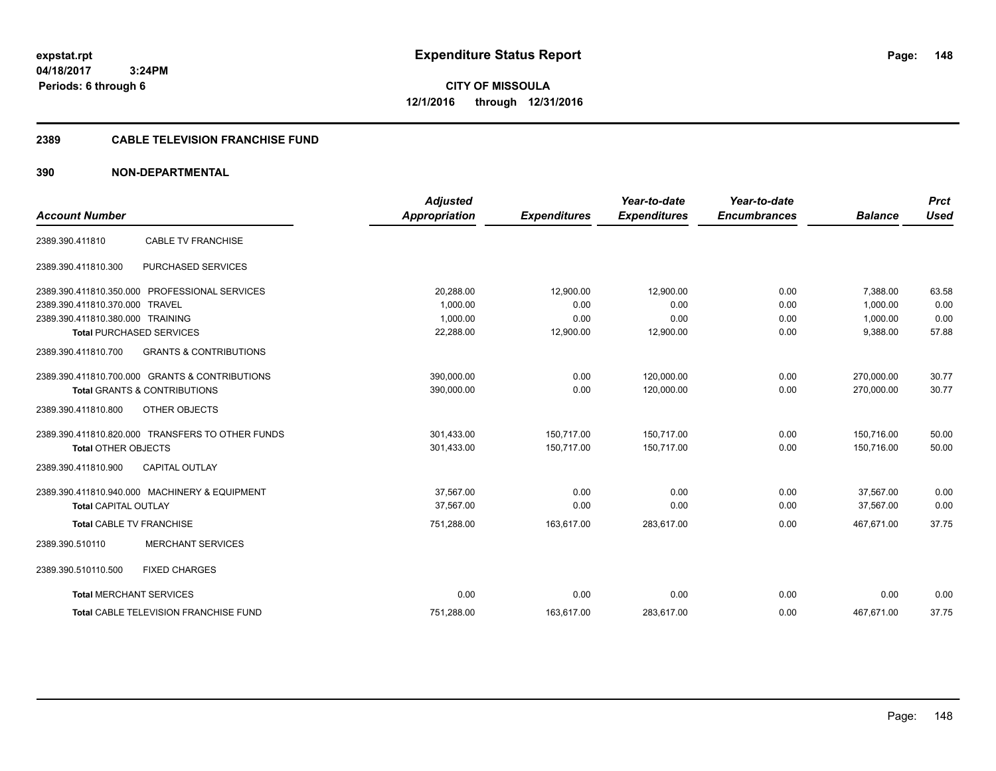**CITY OF MISSOULA 12/1/2016 through 12/31/2016**

# **2389 CABLE TELEVISION FRANCHISE FUND**

| <b>Account Number</b>            |                                                  | <b>Adjusted</b><br>Appropriation | <b>Expenditures</b> | Year-to-date<br><b>Expenditures</b> | Year-to-date<br><b>Encumbrances</b> | <b>Balance</b> | <b>Prct</b><br><b>Used</b> |
|----------------------------------|--------------------------------------------------|----------------------------------|---------------------|-------------------------------------|-------------------------------------|----------------|----------------------------|
|                                  |                                                  |                                  |                     |                                     |                                     |                |                            |
| 2389.390.411810                  | <b>CABLE TV FRANCHISE</b>                        |                                  |                     |                                     |                                     |                |                            |
| 2389.390.411810.300              | PURCHASED SERVICES                               |                                  |                     |                                     |                                     |                |                            |
|                                  | 2389.390.411810.350.000 PROFESSIONAL SERVICES    | 20,288.00                        | 12,900.00           | 12.900.00                           | 0.00                                | 7,388.00       | 63.58                      |
| 2389.390.411810.370.000 TRAVEL   |                                                  | 1,000.00                         | 0.00                | 0.00                                | 0.00                                | 1,000.00       | 0.00                       |
| 2389.390.411810.380.000 TRAINING |                                                  | 1,000.00                         | 0.00                | 0.00                                | 0.00                                | 1,000.00       | 0.00                       |
|                                  | <b>Total PURCHASED SERVICES</b>                  | 22,288.00                        | 12,900.00           | 12,900.00                           | 0.00                                | 9,388.00       | 57.88                      |
| 2389.390.411810.700              | <b>GRANTS &amp; CONTRIBUTIONS</b>                |                                  |                     |                                     |                                     |                |                            |
|                                  | 2389.390.411810.700.000 GRANTS & CONTRIBUTIONS   | 390,000.00                       | 0.00                | 120,000.00                          | 0.00                                | 270,000.00     | 30.77                      |
|                                  | <b>Total GRANTS &amp; CONTRIBUTIONS</b>          | 390,000.00                       | 0.00                | 120.000.00                          | 0.00                                | 270.000.00     | 30.77                      |
| 2389.390.411810.800              | OTHER OBJECTS                                    |                                  |                     |                                     |                                     |                |                            |
|                                  | 2389.390.411810.820.000 TRANSFERS TO OTHER FUNDS | 301,433.00                       | 150.717.00          | 150.717.00                          | 0.00                                | 150.716.00     | 50.00                      |
| <b>Total OTHER OBJECTS</b>       |                                                  | 301,433.00                       | 150,717.00          | 150,717.00                          | 0.00                                | 150,716.00     | 50.00                      |
| 2389.390.411810.900              | <b>CAPITAL OUTLAY</b>                            |                                  |                     |                                     |                                     |                |                            |
|                                  | 2389.390.411810.940.000 MACHINERY & EQUIPMENT    | 37,567.00                        | 0.00                | 0.00                                | 0.00                                | 37,567.00      | 0.00                       |
| <b>Total CAPITAL OUTLAY</b>      |                                                  | 37,567.00                        | 0.00                | 0.00                                | 0.00                                | 37.567.00      | 0.00                       |
| <b>Total CABLE TV FRANCHISE</b>  |                                                  | 751,288.00                       | 163,617.00          | 283,617.00                          | 0.00                                | 467,671.00     | 37.75                      |
| 2389.390.510110                  | <b>MERCHANT SERVICES</b>                         |                                  |                     |                                     |                                     |                |                            |
| 2389.390.510110.500              | <b>FIXED CHARGES</b>                             |                                  |                     |                                     |                                     |                |                            |
| <b>Total MERCHANT SERVICES</b>   |                                                  | 0.00                             | 0.00                | 0.00                                | 0.00                                | 0.00           | 0.00                       |
|                                  | <b>Total CABLE TELEVISION FRANCHISE FUND</b>     | 751.288.00                       | 163,617.00          | 283.617.00                          | 0.00                                | 467.671.00     | 37.75                      |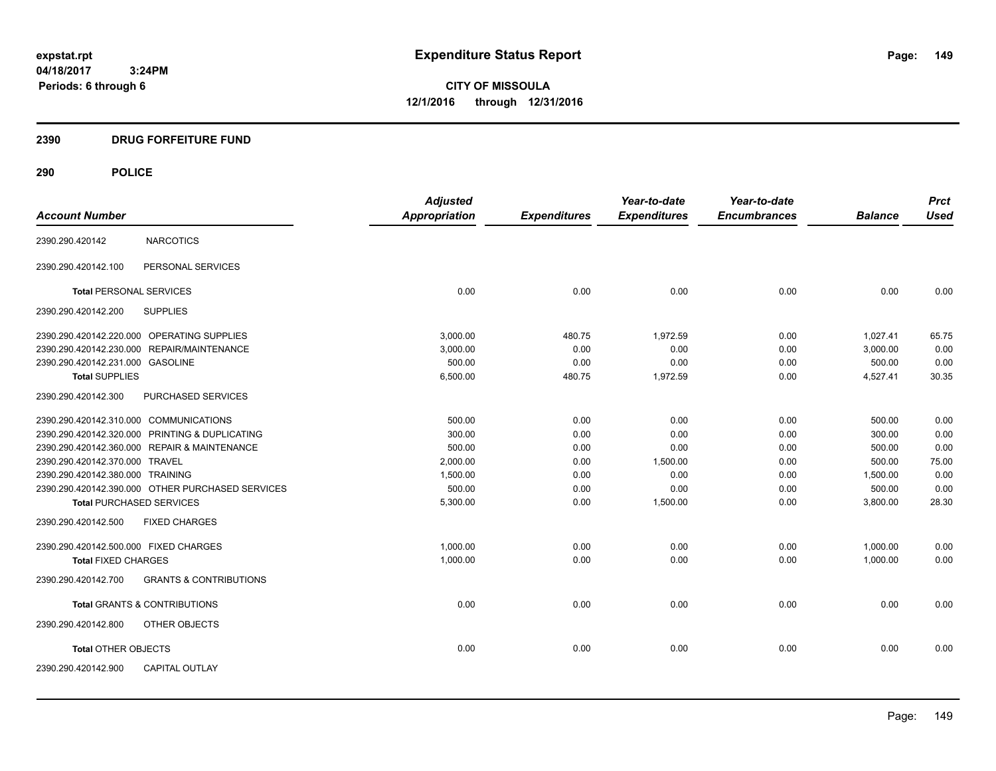**CITY OF MISSOULA 12/1/2016 through 12/31/2016**

# **2390 DRUG FORFEITURE FUND**

| <b>Account Number</b>                  |                                                  | <b>Adjusted</b><br><b>Appropriation</b> | <b>Expenditures</b> | Year-to-date<br><b>Expenditures</b> | Year-to-date<br><b>Encumbrances</b> | <b>Balance</b> | <b>Prct</b><br><b>Used</b> |
|----------------------------------------|--------------------------------------------------|-----------------------------------------|---------------------|-------------------------------------|-------------------------------------|----------------|----------------------------|
|                                        |                                                  |                                         |                     |                                     |                                     |                |                            |
| 2390.290.420142                        | <b>NARCOTICS</b>                                 |                                         |                     |                                     |                                     |                |                            |
| 2390.290.420142.100                    | PERSONAL SERVICES                                |                                         |                     |                                     |                                     |                |                            |
| <b>Total PERSONAL SERVICES</b>         |                                                  | 0.00                                    | 0.00                | 0.00                                | 0.00                                | 0.00           | 0.00                       |
| 2390.290.420142.200                    | <b>SUPPLIES</b>                                  |                                         |                     |                                     |                                     |                |                            |
|                                        | 2390.290.420142.220.000 OPERATING SUPPLIES       | 3.000.00                                | 480.75              | 1,972.59                            | 0.00                                | 1,027.41       | 65.75                      |
|                                        | 2390.290.420142.230.000 REPAIR/MAINTENANCE       | 3,000.00                                | 0.00                | 0.00                                | 0.00                                | 3,000.00       | 0.00                       |
| 2390.290.420142.231.000 GASOLINE       |                                                  | 500.00                                  | 0.00                | 0.00                                | 0.00                                | 500.00         | 0.00                       |
| <b>Total SUPPLIES</b>                  |                                                  | 6,500.00                                | 480.75              | 1,972.59                            | 0.00                                | 4,527.41       | 30.35                      |
| 2390.290.420142.300                    | PURCHASED SERVICES                               |                                         |                     |                                     |                                     |                |                            |
| 2390.290.420142.310.000 COMMUNICATIONS |                                                  | 500.00                                  | 0.00                | 0.00                                | 0.00                                | 500.00         | 0.00                       |
|                                        | 2390.290.420142.320.000 PRINTING & DUPLICATING   | 300.00                                  | 0.00                | 0.00                                | 0.00                                | 300.00         | 0.00                       |
|                                        | 2390.290.420142.360.000 REPAIR & MAINTENANCE     | 500.00                                  | 0.00                | 0.00                                | 0.00                                | 500.00         | 0.00                       |
| 2390.290.420142.370.000 TRAVEL         |                                                  | 2,000.00                                | 0.00                | 1,500.00                            | 0.00                                | 500.00         | 75.00                      |
| 2390.290.420142.380.000 TRAINING       |                                                  | 1,500.00                                | 0.00                | 0.00                                | 0.00                                | 1,500.00       | 0.00                       |
|                                        | 2390.290.420142.390.000 OTHER PURCHASED SERVICES | 500.00                                  | 0.00                | 0.00                                | 0.00                                | 500.00         | 0.00                       |
| <b>Total PURCHASED SERVICES</b>        |                                                  | 5,300.00                                | 0.00                | 1,500.00                            | 0.00                                | 3,800.00       | 28.30                      |
| 2390.290.420142.500                    | <b>FIXED CHARGES</b>                             |                                         |                     |                                     |                                     |                |                            |
| 2390.290.420142.500.000 FIXED CHARGES  |                                                  | 1,000.00                                | 0.00                | 0.00                                | 0.00                                | 1,000.00       | 0.00                       |
| <b>Total FIXED CHARGES</b>             |                                                  | 1,000.00                                | 0.00                | 0.00                                | 0.00                                | 1,000.00       | 0.00                       |
| 2390.290.420142.700                    | <b>GRANTS &amp; CONTRIBUTIONS</b>                |                                         |                     |                                     |                                     |                |                            |
|                                        | <b>Total GRANTS &amp; CONTRIBUTIONS</b>          | 0.00                                    | 0.00                | 0.00                                | 0.00                                | 0.00           | 0.00                       |
| 2390.290.420142.800                    | OTHER OBJECTS                                    |                                         |                     |                                     |                                     |                |                            |
| <b>Total OTHER OBJECTS</b>             |                                                  | 0.00                                    | 0.00                | 0.00                                | 0.00                                | 0.00           | 0.00                       |
| 2390.290.420142.900                    | <b>CAPITAL OUTLAY</b>                            |                                         |                     |                                     |                                     |                |                            |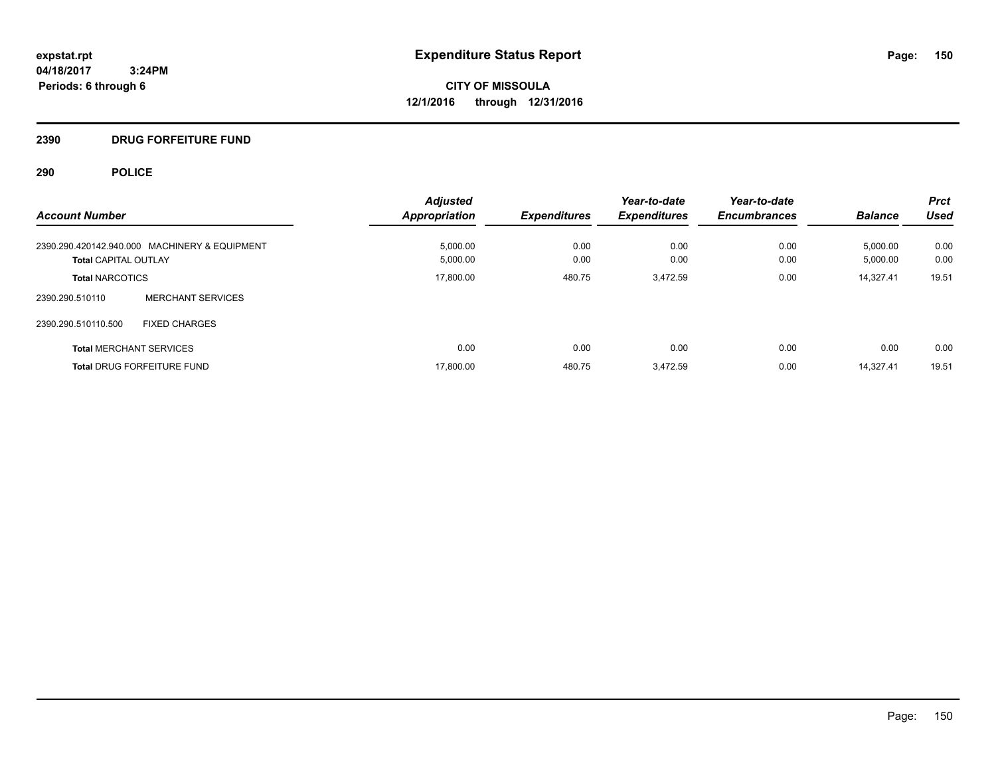**CITY OF MISSOULA 12/1/2016 through 12/31/2016**

#### **2390 DRUG FORFEITURE FUND**

| <b>Account Number</b>                         | <b>Adjusted</b><br><b>Appropriation</b> | <b>Expenditures</b> | Year-to-date<br><b>Expenditures</b> | Year-to-date<br><b>Encumbrances</b> | <b>Balance</b> | <b>Prct</b><br><b>Used</b> |
|-----------------------------------------------|-----------------------------------------|---------------------|-------------------------------------|-------------------------------------|----------------|----------------------------|
|                                               |                                         |                     |                                     |                                     |                |                            |
| 2390.290.420142.940.000 MACHINERY & EQUIPMENT | 5,000.00                                | 0.00                | 0.00                                | 0.00                                | 5,000.00       | 0.00                       |
| <b>Total CAPITAL OUTLAY</b>                   | 5,000.00                                | 0.00                | 0.00                                | 0.00                                | 5,000.00       | 0.00                       |
| <b>Total NARCOTICS</b>                        | 17,800.00                               | 480.75              | 3.472.59                            | 0.00                                | 14.327.41      | 19.51                      |
| <b>MERCHANT SERVICES</b><br>2390.290.510110   |                                         |                     |                                     |                                     |                |                            |
| 2390.290.510110.500<br><b>FIXED CHARGES</b>   |                                         |                     |                                     |                                     |                |                            |
| <b>Total MERCHANT SERVICES</b>                | 0.00                                    | 0.00                | 0.00                                | 0.00                                | 0.00           | 0.00                       |
| <b>Total DRUG FORFEITURE FUND</b>             | 17,800.00                               | 480.75              | 3,472.59                            | 0.00                                | 14.327.41      | 19.51                      |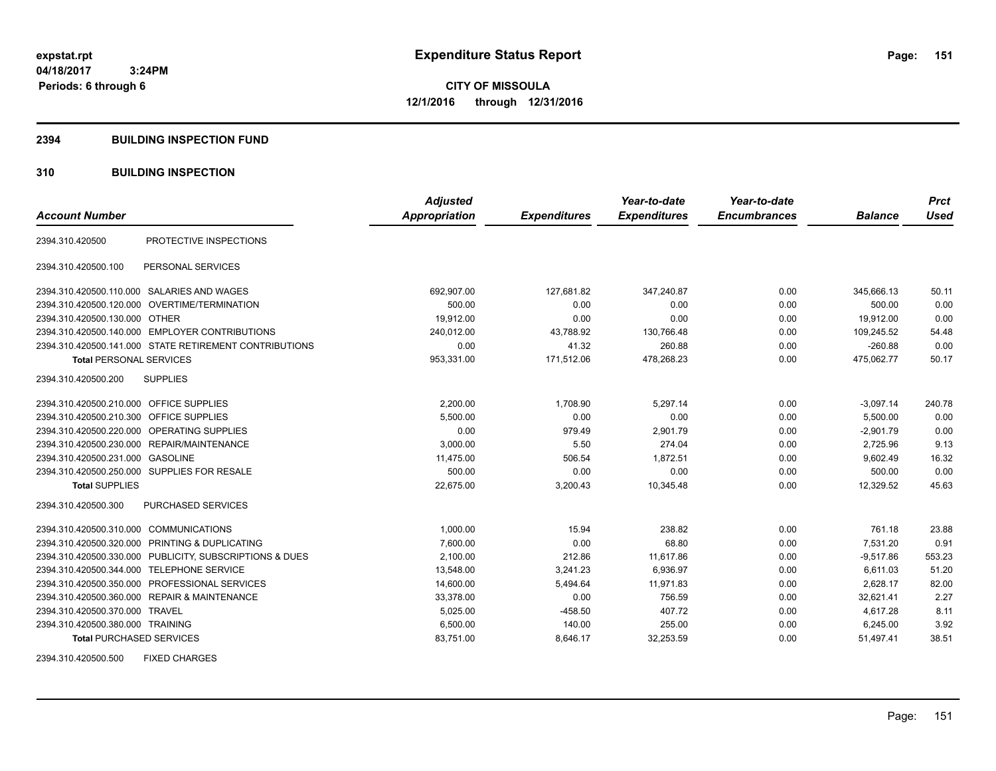**CITY OF MISSOULA 12/1/2016 through 12/31/2016**

#### **2394 BUILDING INSPECTION FUND**

# **310 BUILDING INSPECTION**

|                                           |                                                         | <b>Adjusted</b>      |                     | Year-to-date        | Year-to-date        |                | <b>Prct</b> |
|-------------------------------------------|---------------------------------------------------------|----------------------|---------------------|---------------------|---------------------|----------------|-------------|
| <b>Account Number</b>                     |                                                         | <b>Appropriation</b> | <b>Expenditures</b> | <b>Expenditures</b> | <b>Encumbrances</b> | <b>Balance</b> | <b>Used</b> |
| 2394.310.420500                           | PROTECTIVE INSPECTIONS                                  |                      |                     |                     |                     |                |             |
| 2394.310.420500.100                       | PERSONAL SERVICES                                       |                      |                     |                     |                     |                |             |
|                                           | 2394.310.420500.110.000 SALARIES AND WAGES              | 692,907.00           | 127,681.82          | 347,240.87          | 0.00                | 345,666.13     | 50.11       |
|                                           | 2394.310.420500.120.000 OVERTIME/TERMINATION            | 500.00               | 0.00                | 0.00                | 0.00                | 500.00         | 0.00        |
| 2394.310.420500.130.000 OTHER             |                                                         | 19,912.00            | 0.00                | 0.00                | 0.00                | 19,912.00      | 0.00        |
|                                           | 2394.310.420500.140.000 EMPLOYER CONTRIBUTIONS          | 240,012.00           | 43,788.92           | 130,766.48          | 0.00                | 109,245.52     | 54.48       |
|                                           | 2394.310.420500.141.000 STATE RETIREMENT CONTRIBUTIONS  | 0.00                 | 41.32               | 260.88              | 0.00                | $-260.88$      | 0.00        |
| <b>Total PERSONAL SERVICES</b>            |                                                         | 953,331.00           | 171,512.06          | 478,268.23          | 0.00                | 475,062.77     | 50.17       |
| 2394.310.420500.200                       | <b>SUPPLIES</b>                                         |                      |                     |                     |                     |                |             |
| 2394.310.420500.210.000 OFFICE SUPPLIES   |                                                         | 2,200.00             | 1,708.90            | 5,297.14            | 0.00                | $-3,097.14$    | 240.78      |
| 2394.310.420500.210.300 OFFICE SUPPLIES   |                                                         | 5,500.00             | 0.00                | 0.00                | 0.00                | 5,500.00       | 0.00        |
|                                           | 2394.310.420500.220.000 OPERATING SUPPLIES              | 0.00                 | 979.49              | 2,901.79            | 0.00                | $-2,901.79$    | 0.00        |
|                                           | 2394.310.420500.230.000 REPAIR/MAINTENANCE              | 3.000.00             | 5.50                | 274.04              | 0.00                | 2,725.96       | 9.13        |
| 2394.310.420500.231.000 GASOLINE          |                                                         | 11,475.00            | 506.54              | 1,872.51            | 0.00                | 9,602.49       | 16.32       |
|                                           | 2394.310.420500.250.000 SUPPLIES FOR RESALE             | 500.00               | 0.00                | 0.00                | 0.00                | 500.00         | 0.00        |
| <b>Total SUPPLIES</b>                     |                                                         | 22,675.00            | 3,200.43            | 10,345.48           | 0.00                | 12,329.52      | 45.63       |
| 2394.310.420500.300                       | <b>PURCHASED SERVICES</b>                               |                      |                     |                     |                     |                |             |
| 2394.310.420500.310.000 COMMUNICATIONS    |                                                         | 1,000.00             | 15.94               | 238.82              | 0.00                | 761.18         | 23.88       |
|                                           | 2394.310.420500.320.000 PRINTING & DUPLICATING          | 7,600.00             | 0.00                | 68.80               | 0.00                | 7,531.20       | 0.91        |
|                                           | 2394.310.420500.330.000 PUBLICITY, SUBSCRIPTIONS & DUES | 2,100.00             | 212.86              | 11.617.86           | 0.00                | $-9.517.86$    | 553.23      |
| 2394.310.420500.344.000 TELEPHONE SERVICE |                                                         | 13,548.00            | 3,241.23            | 6,936.97            | 0.00                | 6,611.03       | 51.20       |
|                                           | 2394.310.420500.350.000 PROFESSIONAL SERVICES           | 14,600.00            | 5,494.64            | 11,971.83           | 0.00                | 2,628.17       | 82.00       |
|                                           | 2394.310.420500.360.000 REPAIR & MAINTENANCE            | 33,378.00            | 0.00                | 756.59              | 0.00                | 32,621.41      | 2.27        |
| 2394.310.420500.370.000 TRAVEL            |                                                         | 5,025.00             | $-458.50$           | 407.72              | 0.00                | 4,617.28       | 8.11        |
| 2394.310.420500.380.000 TRAINING          |                                                         | 6,500.00             | 140.00              | 255.00              | 0.00                | 6,245.00       | 3.92        |
| <b>Total PURCHASED SERVICES</b>           |                                                         | 83,751.00            | 8,646.17            | 32,253.59           | 0.00                | 51,497.41      | 38.51       |

2394.310.420500.500 FIXED CHARGES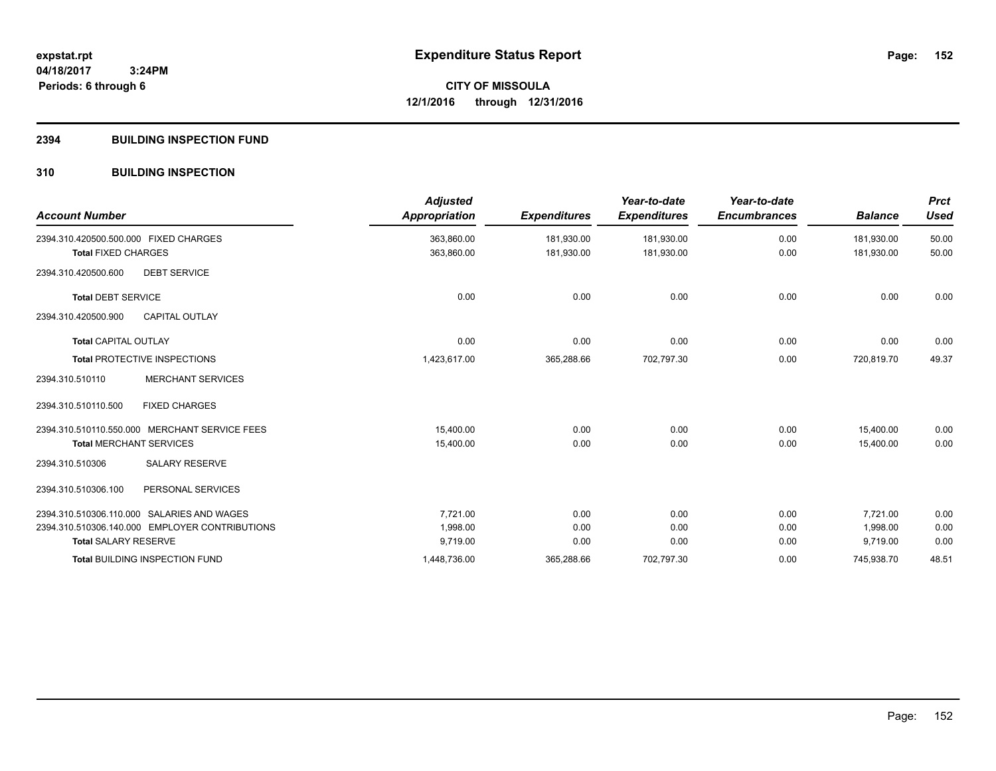#### **2394 BUILDING INSPECTION FUND**

# **310 BUILDING INSPECTION**

| <b>Account Number</b>                      |                                                | <b>Adjusted</b><br><b>Appropriation</b> | <b>Expenditures</b> | Year-to-date<br><b>Expenditures</b> | Year-to-date<br><b>Encumbrances</b> | <b>Balance</b> | <b>Prct</b><br><b>Used</b> |
|--------------------------------------------|------------------------------------------------|-----------------------------------------|---------------------|-------------------------------------|-------------------------------------|----------------|----------------------------|
| 2394.310.420500.500.000 FIXED CHARGES      |                                                | 363,860.00<br>363,860.00                | 181,930.00          | 181,930.00                          | 0.00<br>0.00                        | 181.930.00     | 50.00<br>50.00             |
| <b>Total FIXED CHARGES</b>                 |                                                |                                         | 181,930.00          | 181,930.00                          |                                     | 181,930.00     |                            |
| 2394.310.420500.600                        | <b>DEBT SERVICE</b>                            |                                         |                     |                                     |                                     |                |                            |
| <b>Total DEBT SERVICE</b>                  |                                                | 0.00                                    | 0.00                | 0.00                                | 0.00                                | 0.00           | 0.00                       |
| 2394.310.420500.900                        | <b>CAPITAL OUTLAY</b>                          |                                         |                     |                                     |                                     |                |                            |
| <b>Total CAPITAL OUTLAY</b>                |                                                | 0.00                                    | 0.00                | 0.00                                | 0.00                                | 0.00           | 0.00                       |
| <b>Total PROTECTIVE INSPECTIONS</b>        |                                                | 1,423,617.00                            | 365,288.66          | 702,797.30                          | 0.00                                | 720,819.70     | 49.37                      |
| 2394.310.510110                            | <b>MERCHANT SERVICES</b>                       |                                         |                     |                                     |                                     |                |                            |
| 2394.310.510110.500                        | <b>FIXED CHARGES</b>                           |                                         |                     |                                     |                                     |                |                            |
|                                            | 2394.310.510110.550.000 MERCHANT SERVICE FEES  | 15,400.00                               | 0.00                | 0.00                                | 0.00                                | 15,400.00      | 0.00                       |
| <b>Total MERCHANT SERVICES</b>             |                                                | 15,400.00                               | 0.00                | 0.00                                | 0.00                                | 15,400.00      | 0.00                       |
| 2394.310.510306                            | <b>SALARY RESERVE</b>                          |                                         |                     |                                     |                                     |                |                            |
| 2394.310.510306.100                        | PERSONAL SERVICES                              |                                         |                     |                                     |                                     |                |                            |
| 2394.310.510306.110.000 SALARIES AND WAGES |                                                | 7,721.00                                | 0.00                | 0.00                                | 0.00                                | 7,721.00       | 0.00                       |
|                                            | 2394.310.510306.140.000 EMPLOYER CONTRIBUTIONS | 1,998.00                                | 0.00                | 0.00                                | 0.00                                | 1,998.00       | 0.00                       |
| <b>Total SALARY RESERVE</b>                |                                                | 9,719.00                                | 0.00                | 0.00                                | 0.00                                | 9,719.00       | 0.00                       |
| <b>Total BUILDING INSPECTION FUND</b>      |                                                | 1,448,736.00                            | 365,288.66          | 702,797.30                          | 0.00                                | 745,938.70     | 48.51                      |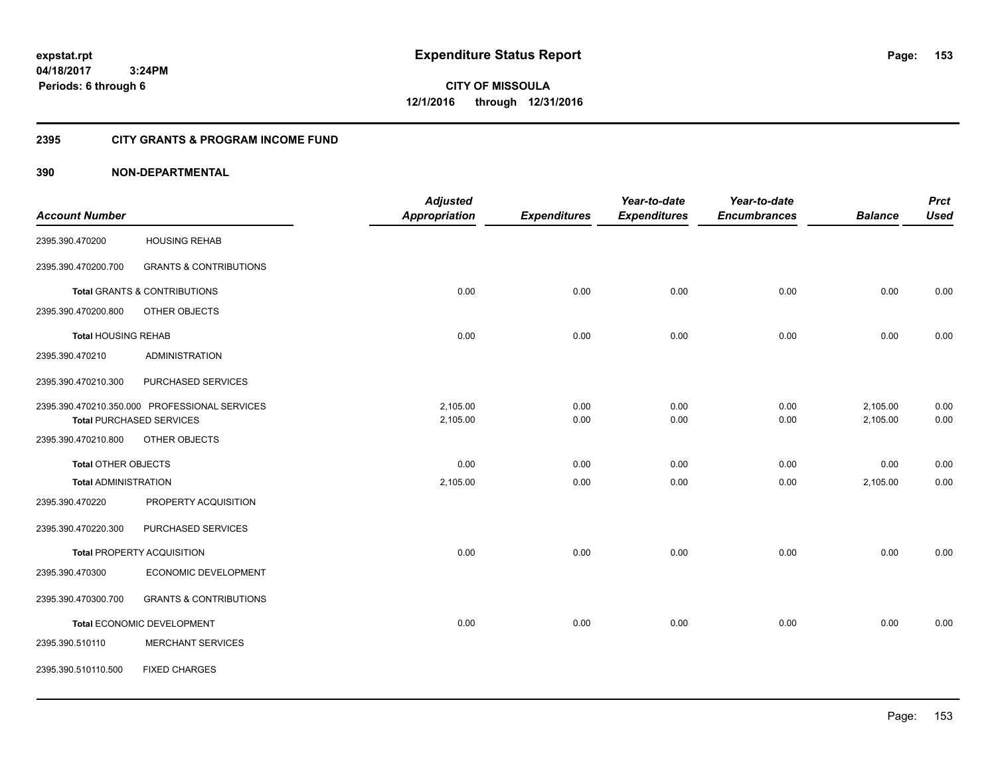**CITY OF MISSOULA 12/1/2016 through 12/31/2016**

# **2395 CITY GRANTS & PROGRAM INCOME FUND**

|                             |                                               | <b>Adjusted</b>      |                     | Year-to-date        | Year-to-date        |                | <b>Prct</b> |
|-----------------------------|-----------------------------------------------|----------------------|---------------------|---------------------|---------------------|----------------|-------------|
| <b>Account Number</b>       |                                               | <b>Appropriation</b> | <b>Expenditures</b> | <b>Expenditures</b> | <b>Encumbrances</b> | <b>Balance</b> | <b>Used</b> |
| 2395.390.470200             | <b>HOUSING REHAB</b>                          |                      |                     |                     |                     |                |             |
| 2395.390.470200.700         | <b>GRANTS &amp; CONTRIBUTIONS</b>             |                      |                     |                     |                     |                |             |
|                             | <b>Total GRANTS &amp; CONTRIBUTIONS</b>       | 0.00                 | 0.00                | 0.00                | 0.00                | 0.00           | 0.00        |
| 2395.390.470200.800         | OTHER OBJECTS                                 |                      |                     |                     |                     |                |             |
| <b>Total HOUSING REHAB</b>  |                                               | 0.00                 | 0.00                | 0.00                | 0.00                | 0.00           | 0.00        |
| 2395.390.470210             | <b>ADMINISTRATION</b>                         |                      |                     |                     |                     |                |             |
| 2395.390.470210.300         | PURCHASED SERVICES                            |                      |                     |                     |                     |                |             |
|                             | 2395.390.470210.350.000 PROFESSIONAL SERVICES | 2,105.00             | 0.00                | 0.00                | 0.00                | 2,105.00       | 0.00        |
|                             | <b>Total PURCHASED SERVICES</b>               | 2,105.00             | 0.00                | 0.00                | 0.00                | 2,105.00       | 0.00        |
| 2395.390.470210.800         | OTHER OBJECTS                                 |                      |                     |                     |                     |                |             |
| Total OTHER OBJECTS         |                                               | 0.00                 | 0.00                | 0.00                | 0.00                | 0.00           | 0.00        |
| <b>Total ADMINISTRATION</b> |                                               | 2,105.00             | 0.00                | 0.00                | 0.00                | 2,105.00       | 0.00        |
| 2395.390.470220             | PROPERTY ACQUISITION                          |                      |                     |                     |                     |                |             |
| 2395.390.470220.300         | PURCHASED SERVICES                            |                      |                     |                     |                     |                |             |
|                             | <b>Total PROPERTY ACQUISITION</b>             | 0.00                 | 0.00                | 0.00                | 0.00                | 0.00           | 0.00        |
| 2395.390.470300             | ECONOMIC DEVELOPMENT                          |                      |                     |                     |                     |                |             |
| 2395.390.470300.700         | <b>GRANTS &amp; CONTRIBUTIONS</b>             |                      |                     |                     |                     |                |             |
|                             | Total ECONOMIC DEVELOPMENT                    | 0.00                 | 0.00                | 0.00                | 0.00                | 0.00           | 0.00        |
| 2395.390.510110             | <b>MERCHANT SERVICES</b>                      |                      |                     |                     |                     |                |             |
| 2395.390.510110.500         | <b>FIXED CHARGES</b>                          |                      |                     |                     |                     |                |             |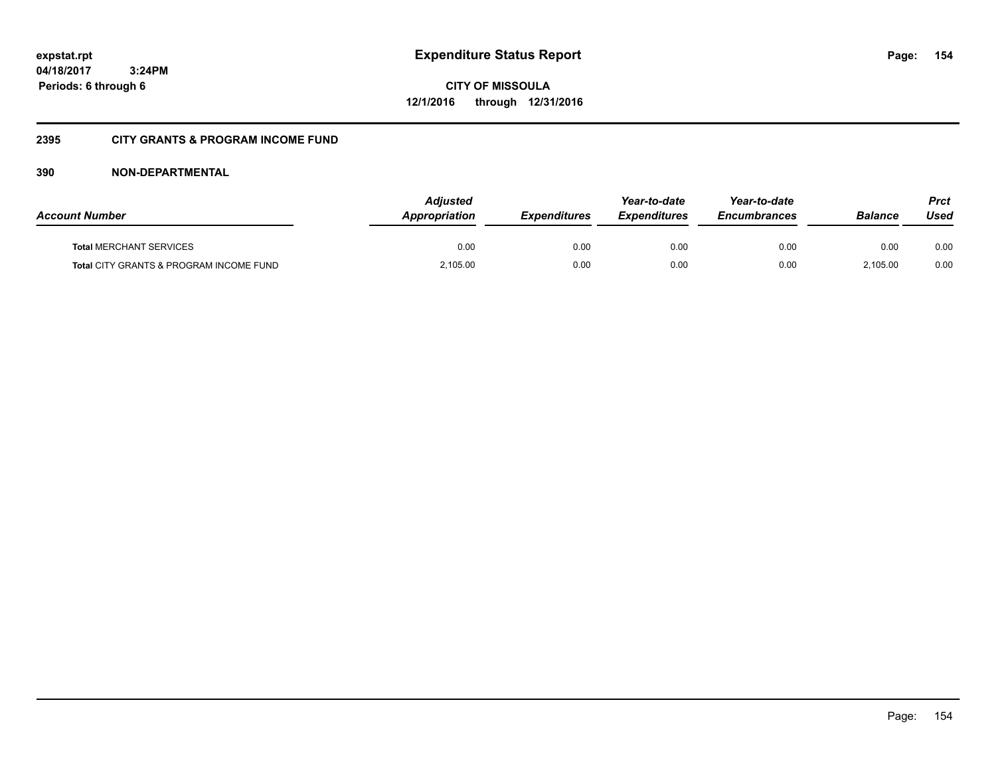**CITY OF MISSOULA 12/1/2016 through 12/31/2016**

# **2395 CITY GRANTS & PROGRAM INCOME FUND**

| <b>Account Number</b>                   | <b>Adjusted</b><br>Appropriation | <b>Expenditures</b> | Year-to-date<br><b>Expenditures</b> | Year-to-date<br><i><b>Encumbrances</b></i> | <b>Balance</b> | Prct<br>Used |
|-----------------------------------------|----------------------------------|---------------------|-------------------------------------|--------------------------------------------|----------------|--------------|
| <b>Total MERCHANT SERVICES</b>          | 0.00                             | 0.00                | 0.00                                | 0.00                                       | 0.00           | 0.00         |
| Total CITY GRANTS & PROGRAM INCOME FUND | 2,105.00                         | 0.00                | 0.00                                | 0.00                                       | 2.105.00       | 0.00         |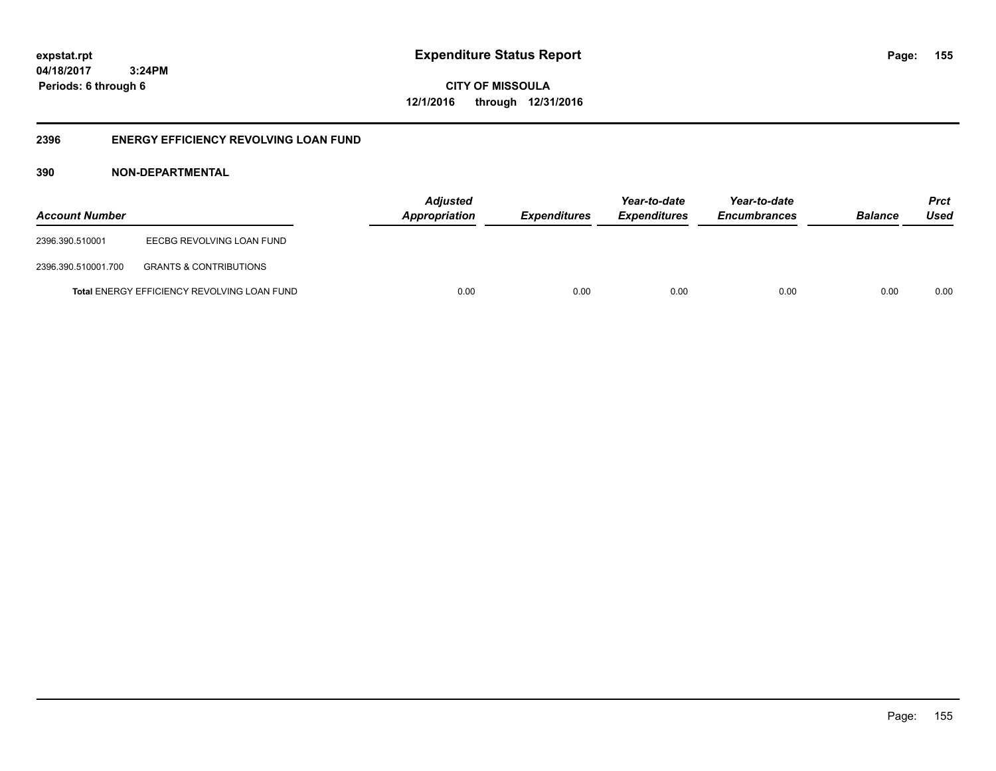**155**

**CITY OF MISSOULA 12/1/2016 through 12/31/2016**

# **2396 ENERGY EFFICIENCY REVOLVING LOAN FUND**

| <b>Account Number</b> |                                                    | <b>Adjusted</b><br>Appropriation | <b>Expenditures</b> | Year-to-date<br><i><b>Expenditures</b></i> | Year-to-date<br><b>Encumbrances</b> | <b>Balance</b> | <b>Prct</b><br>Used |
|-----------------------|----------------------------------------------------|----------------------------------|---------------------|--------------------------------------------|-------------------------------------|----------------|---------------------|
| 2396.390.510001       | EECBG REVOLVING LOAN FUND                          |                                  |                     |                                            |                                     |                |                     |
| 2396.390.510001.700   | <b>GRANTS &amp; CONTRIBUTIONS</b>                  |                                  |                     |                                            |                                     |                |                     |
|                       | <b>Total ENERGY EFFICIENCY REVOLVING LOAN FUND</b> | 0.00                             | 0.00                | 0.00                                       | 0.00                                | 0.00           | 0.00                |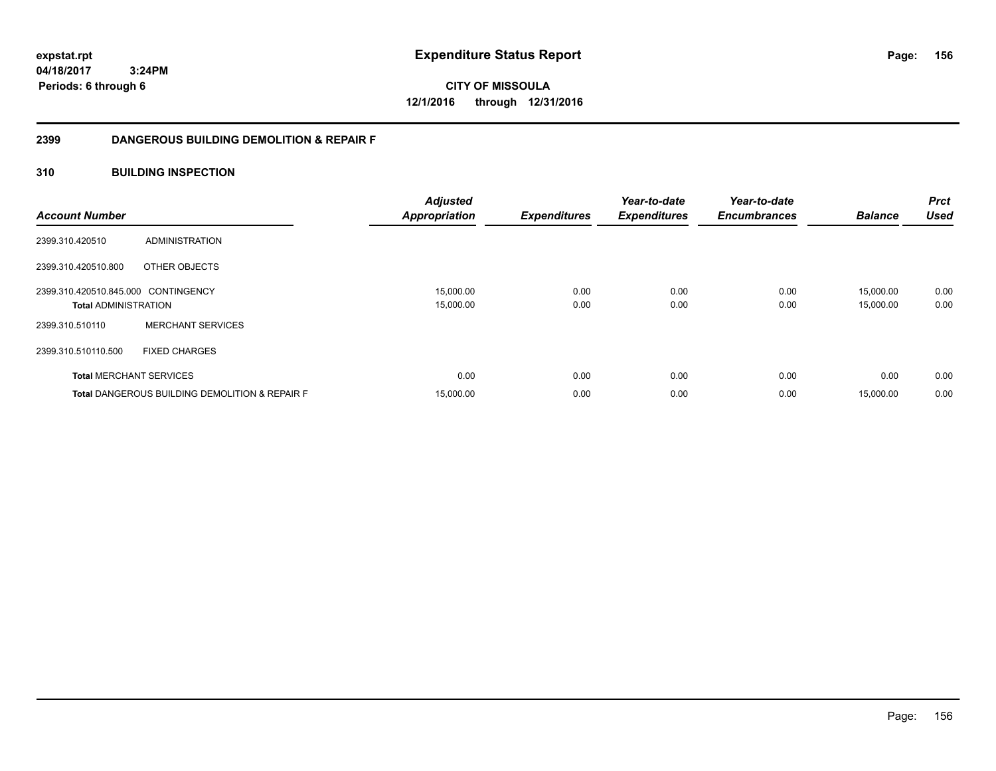**156**

**04/18/2017 3:24PM Periods: 6 through 6**

**CITY OF MISSOULA 12/1/2016 through 12/31/2016**

# **2399 DANGEROUS BUILDING DEMOLITION & REPAIR F**

# **310 BUILDING INSPECTION**

| <b>Account Number</b>               |                                                           | <b>Adjusted</b><br><b>Appropriation</b> | <b>Expenditures</b> | Year-to-date<br><b>Expenditures</b> | Year-to-date<br><b>Encumbrances</b> | <b>Balance</b> | <b>Prct</b><br><b>Used</b> |
|-------------------------------------|-----------------------------------------------------------|-----------------------------------------|---------------------|-------------------------------------|-------------------------------------|----------------|----------------------------|
| 2399.310.420510                     | ADMINISTRATION                                            |                                         |                     |                                     |                                     |                |                            |
| 2399.310.420510.800                 | OTHER OBJECTS                                             |                                         |                     |                                     |                                     |                |                            |
| 2399.310.420510.845.000 CONTINGENCY |                                                           | 15,000.00                               | 0.00                | 0.00                                | 0.00                                | 15.000.00      | 0.00                       |
| <b>Total ADMINISTRATION</b>         |                                                           | 15,000.00                               | 0.00                | 0.00                                | 0.00                                | 15,000.00      | 0.00                       |
| 2399.310.510110                     | <b>MERCHANT SERVICES</b>                                  |                                         |                     |                                     |                                     |                |                            |
| 2399.310.510110.500                 | <b>FIXED CHARGES</b>                                      |                                         |                     |                                     |                                     |                |                            |
|                                     | <b>Total MERCHANT SERVICES</b>                            | 0.00                                    | 0.00                | 0.00                                | 0.00                                | 0.00           | 0.00                       |
|                                     | <b>Total DANGEROUS BUILDING DEMOLITION &amp; REPAIR F</b> | 15,000.00                               | 0.00                | 0.00                                | 0.00                                | 15.000.00      | 0.00                       |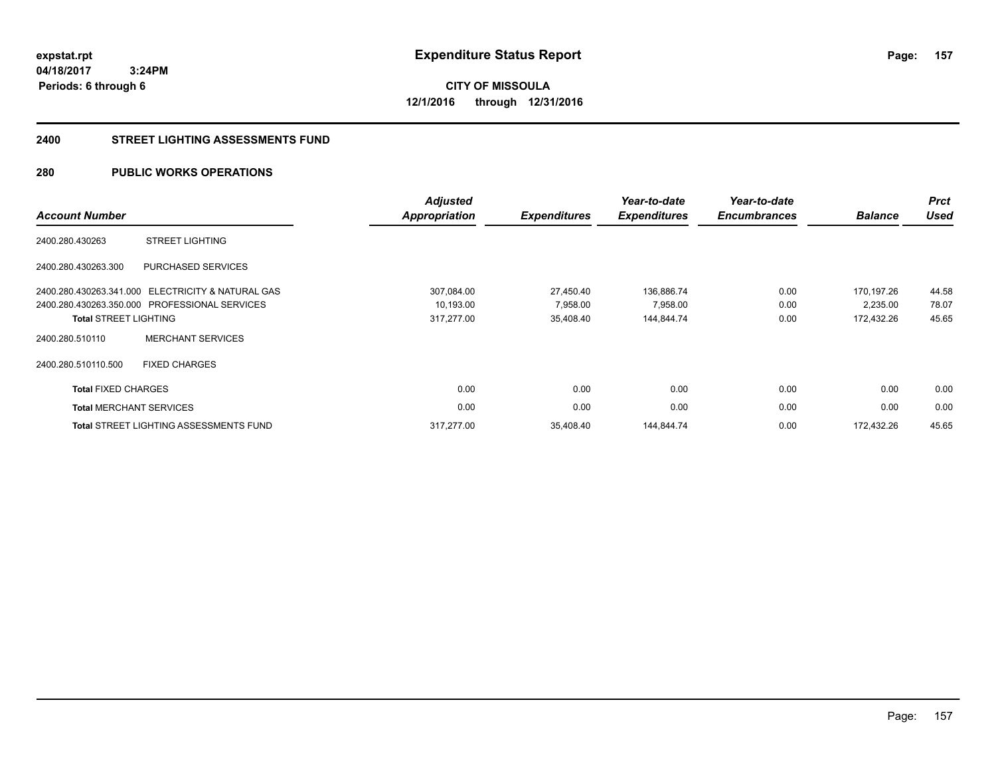**CITY OF MISSOULA 12/1/2016 through 12/31/2016**

#### **2400 STREET LIGHTING ASSESSMENTS FUND**

# **280 PUBLIC WORKS OPERATIONS**

| <b>Account Number</b>          |                                                   | Adjusted<br><b>Appropriation</b> | <b>Expenditures</b> | Year-to-date<br><b>Expenditures</b> | Year-to-date<br><b>Encumbrances</b> | <b>Balance</b> | <b>Prct</b><br><b>Used</b> |
|--------------------------------|---------------------------------------------------|----------------------------------|---------------------|-------------------------------------|-------------------------------------|----------------|----------------------------|
| 2400.280.430263                | <b>STREET LIGHTING</b>                            |                                  |                     |                                     |                                     |                |                            |
| 2400.280.430263.300            | PURCHASED SERVICES                                |                                  |                     |                                     |                                     |                |                            |
|                                | 2400.280.430263.341.000 ELECTRICITY & NATURAL GAS | 307,084.00                       | 27,450.40           | 136,886.74                          | 0.00                                | 170,197.26     | 44.58                      |
|                                | 2400.280.430263.350.000 PROFESSIONAL SERVICES     | 10,193.00                        | 7,958.00            | 7,958.00                            | 0.00                                | 2,235.00       | 78.07                      |
| <b>Total STREET LIGHTING</b>   |                                                   | 317,277.00                       | 35,408.40           | 144,844.74                          | 0.00                                | 172,432.26     | 45.65                      |
| 2400.280.510110                | <b>MERCHANT SERVICES</b>                          |                                  |                     |                                     |                                     |                |                            |
| 2400.280.510110.500            | <b>FIXED CHARGES</b>                              |                                  |                     |                                     |                                     |                |                            |
| <b>Total FIXED CHARGES</b>     |                                                   | 0.00                             | 0.00                | 0.00                                | 0.00                                | 0.00           | 0.00                       |
| <b>Total MERCHANT SERVICES</b> |                                                   | 0.00                             | 0.00                | 0.00                                | 0.00                                | 0.00           | 0.00                       |
|                                | <b>Total STREET LIGHTING ASSESSMENTS FUND</b>     | 317,277.00                       | 35,408.40           | 144,844.74                          | 0.00                                | 172.432.26     | 45.65                      |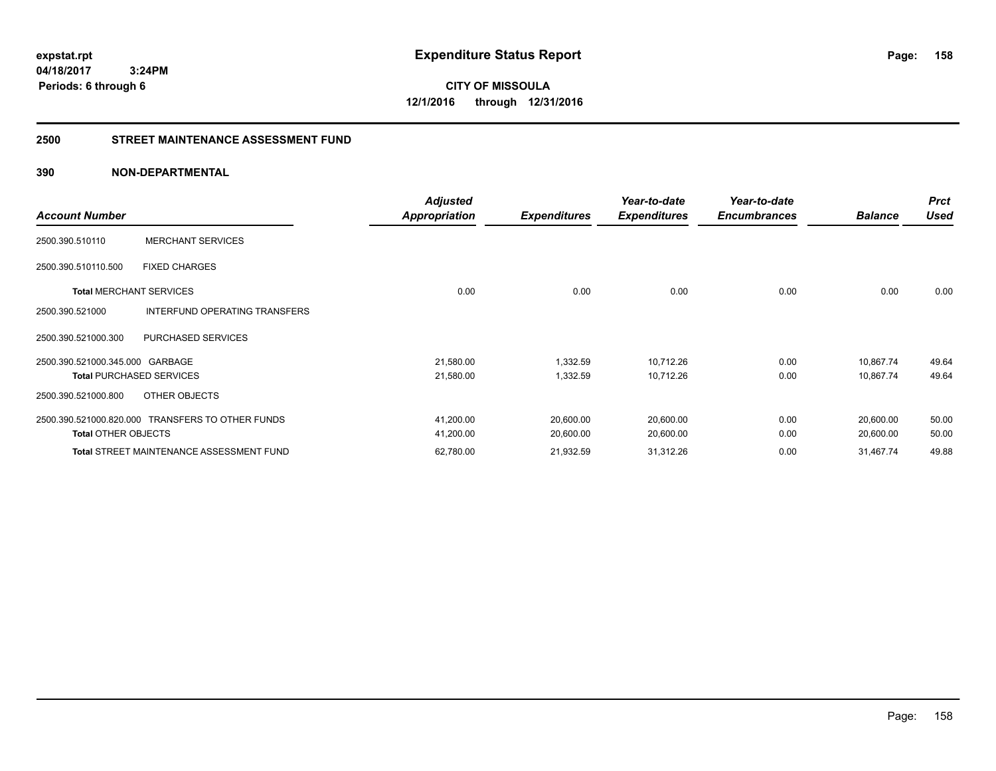**CITY OF MISSOULA 12/1/2016 through 12/31/2016**

# **2500 STREET MAINTENANCE ASSESSMENT FUND**

| <b>Account Number</b>           |                                                  | <b>Adjusted</b><br>Appropriation | <b>Expenditures</b> | Year-to-date<br><b>Expenditures</b> | Year-to-date<br><b>Encumbrances</b> | <b>Balance</b> | <b>Prct</b><br><b>Used</b> |
|---------------------------------|--------------------------------------------------|----------------------------------|---------------------|-------------------------------------|-------------------------------------|----------------|----------------------------|
| 2500.390.510110                 | <b>MERCHANT SERVICES</b>                         |                                  |                     |                                     |                                     |                |                            |
| 2500.390.510110.500             | <b>FIXED CHARGES</b>                             |                                  |                     |                                     |                                     |                |                            |
| <b>Total MERCHANT SERVICES</b>  |                                                  | 0.00                             | 0.00                | 0.00                                | 0.00                                | 0.00           | 0.00                       |
| 2500.390.521000                 | INTERFUND OPERATING TRANSFERS                    |                                  |                     |                                     |                                     |                |                            |
| 2500.390.521000.300             | PURCHASED SERVICES                               |                                  |                     |                                     |                                     |                |                            |
| 2500.390.521000.345.000 GARBAGE |                                                  | 21,580.00                        | 1,332.59            | 10,712.26                           | 0.00                                | 10,867.74      | 49.64                      |
|                                 | <b>Total PURCHASED SERVICES</b>                  | 21,580.00                        | 1,332.59            | 10,712.26                           | 0.00                                | 10,867.74      | 49.64                      |
| 2500.390.521000.800             | OTHER OBJECTS                                    |                                  |                     |                                     |                                     |                |                            |
|                                 | 2500.390.521000.820.000 TRANSFERS TO OTHER FUNDS | 41,200.00                        | 20,600.00           | 20,600.00                           | 0.00                                | 20,600.00      | 50.00                      |
| <b>Total OTHER OBJECTS</b>      |                                                  | 41,200.00                        | 20,600.00           | 20,600.00                           | 0.00                                | 20,600.00      | 50.00                      |
|                                 | <b>Total STREET MAINTENANCE ASSESSMENT FUND</b>  | 62,780.00                        | 21,932.59           | 31,312.26                           | 0.00                                | 31,467.74      | 49.88                      |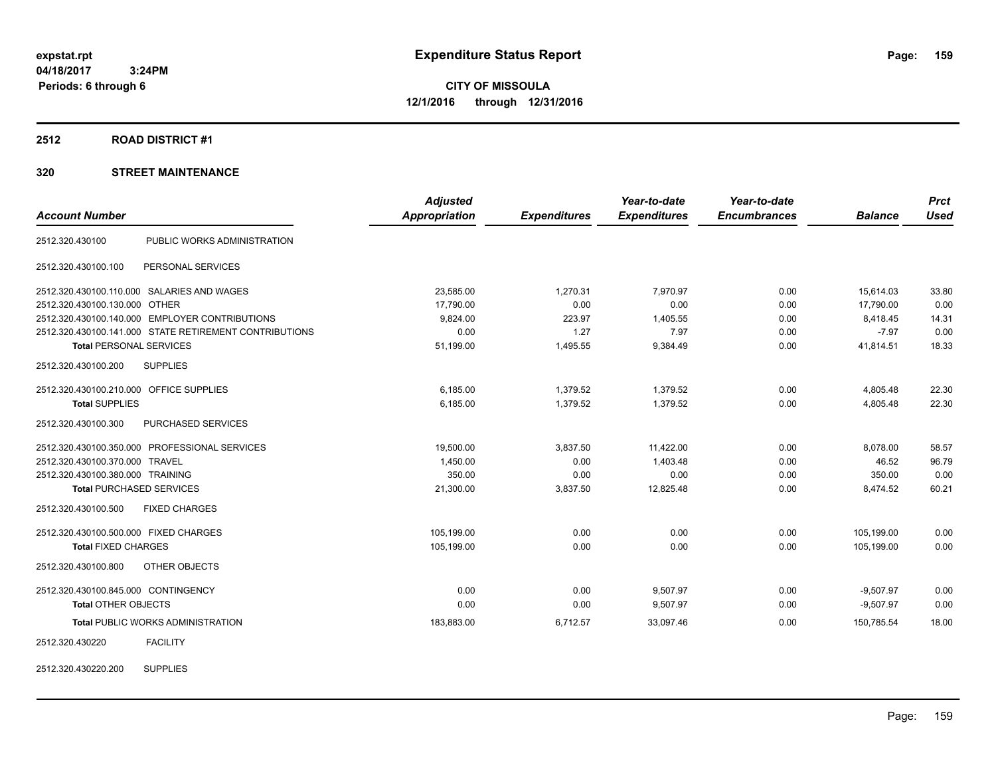**Periods: 6 through 6**

**CITY OF MISSOULA 12/1/2016 through 12/31/2016**

**2512 ROAD DISTRICT #1**

|                                                        | <b>Adjusted</b>      |                     | Year-to-date        | Year-to-date        |                | <b>Prct</b> |
|--------------------------------------------------------|----------------------|---------------------|---------------------|---------------------|----------------|-------------|
| <b>Account Number</b>                                  | <b>Appropriation</b> | <b>Expenditures</b> | <b>Expenditures</b> | <b>Encumbrances</b> | <b>Balance</b> | <b>Used</b> |
| PUBLIC WORKS ADMINISTRATION<br>2512.320.430100         |                      |                     |                     |                     |                |             |
| 2512.320.430100.100<br>PERSONAL SERVICES               |                      |                     |                     |                     |                |             |
| 2512.320.430100.110.000 SALARIES AND WAGES             | 23,585.00            | 1,270.31            | 7,970.97            | 0.00                | 15,614.03      | 33.80       |
| 2512.320.430100.130.000 OTHER                          | 17,790.00            | 0.00                | 0.00                | 0.00                | 17,790.00      | 0.00        |
| 2512.320.430100.140.000 EMPLOYER CONTRIBUTIONS         | 9,824.00             | 223.97              | 1,405.55            | 0.00                | 8,418.45       | 14.31       |
| 2512.320.430100.141.000 STATE RETIREMENT CONTRIBUTIONS | 0.00                 | 1.27                | 7.97                | 0.00                | $-7.97$        | 0.00        |
| <b>Total PERSONAL SERVICES</b>                         | 51,199.00            | 1,495.55            | 9,384.49            | 0.00                | 41,814.51      | 18.33       |
| 2512.320.430100.200<br><b>SUPPLIES</b>                 |                      |                     |                     |                     |                |             |
| 2512.320.430100.210.000 OFFICE SUPPLIES                | 6,185.00             | 1,379.52            | 1,379.52            | 0.00                | 4,805.48       | 22.30       |
| <b>Total SUPPLIES</b>                                  | 6,185.00             | 1,379.52            | 1,379.52            | 0.00                | 4,805.48       | 22.30       |
| 2512.320.430100.300<br>PURCHASED SERVICES              |                      |                     |                     |                     |                |             |
| 2512.320.430100.350.000 PROFESSIONAL SERVICES          | 19.500.00            | 3,837.50            | 11,422.00           | 0.00                | 8,078.00       | 58.57       |
| 2512.320.430100.370.000 TRAVEL                         | 1,450.00             | 0.00                | 1,403.48            | 0.00                | 46.52          | 96.79       |
| 2512.320.430100.380.000 TRAINING                       | 350.00               | 0.00                | 0.00                | 0.00                | 350.00         | 0.00        |
| <b>Total PURCHASED SERVICES</b>                        | 21,300.00            | 3,837.50            | 12,825.48           | 0.00                | 8,474.52       | 60.21       |
| 2512.320.430100.500<br><b>FIXED CHARGES</b>            |                      |                     |                     |                     |                |             |
| 2512.320.430100.500.000 FIXED CHARGES                  | 105,199.00           | 0.00                | 0.00                | 0.00                | 105,199.00     | 0.00        |
| <b>Total FIXED CHARGES</b>                             | 105,199.00           | 0.00                | 0.00                | 0.00                | 105,199.00     | 0.00        |
| 2512.320.430100.800<br>OTHER OBJECTS                   |                      |                     |                     |                     |                |             |
| 2512.320.430100.845.000 CONTINGENCY                    | 0.00                 | 0.00                | 9,507.97            | 0.00                | $-9,507.97$    | 0.00        |
| Total OTHER OBJECTS                                    | 0.00                 | 0.00                | 9,507.97            | 0.00                | $-9,507.97$    | 0.00        |
| <b>Total PUBLIC WORKS ADMINISTRATION</b>               | 183,883.00           | 6,712.57            | 33,097.46           | 0.00                | 150,785.54     | 18.00       |
| <b>FACILITY</b><br>2512.320.430220                     |                      |                     |                     |                     |                |             |
| <b>SUPPLIES</b><br>2512.320.430220.200                 |                      |                     |                     |                     |                |             |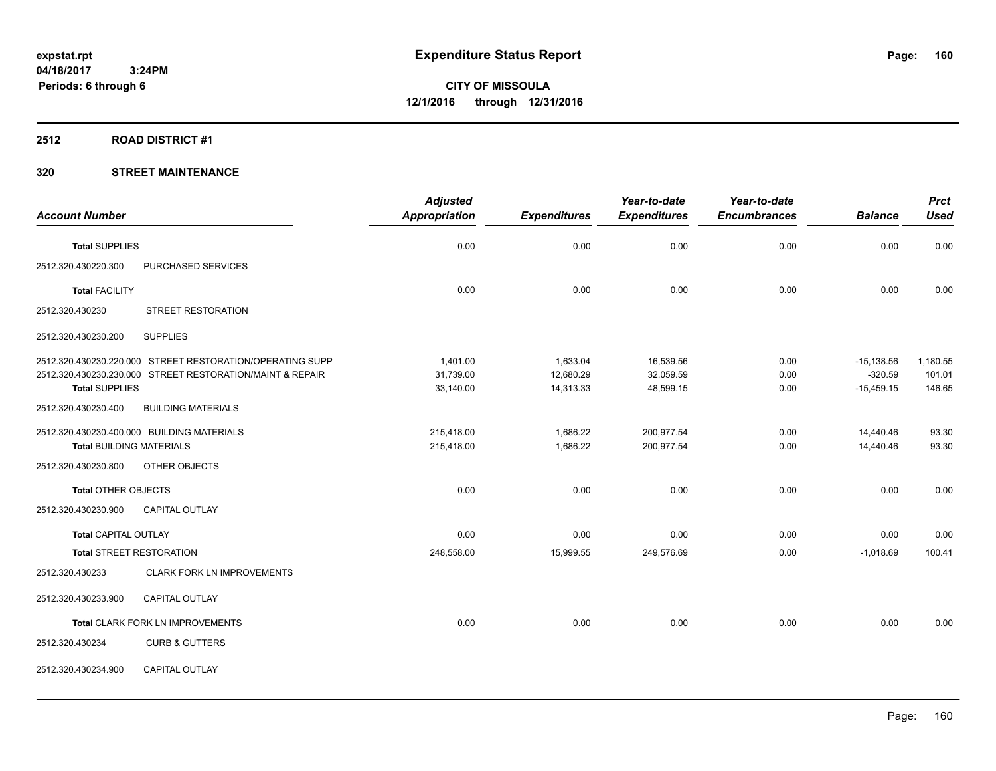#### **2512 ROAD DISTRICT #1**

|                                 |                                                           | <b>Adjusted</b> |                     | Year-to-date        | Year-to-date        |                | <b>Prct</b> |
|---------------------------------|-----------------------------------------------------------|-----------------|---------------------|---------------------|---------------------|----------------|-------------|
| <b>Account Number</b>           |                                                           | Appropriation   | <b>Expenditures</b> | <b>Expenditures</b> | <b>Encumbrances</b> | <b>Balance</b> | <b>Used</b> |
| <b>Total SUPPLIES</b>           |                                                           | 0.00            | 0.00                | 0.00                | 0.00                | 0.00           | 0.00        |
| 2512.320.430220.300             | PURCHASED SERVICES                                        |                 |                     |                     |                     |                |             |
| <b>Total FACILITY</b>           |                                                           | 0.00            | 0.00                | 0.00                | 0.00                | 0.00           | 0.00        |
| 2512.320.430230                 | <b>STREET RESTORATION</b>                                 |                 |                     |                     |                     |                |             |
| 2512.320.430230.200             | <b>SUPPLIES</b>                                           |                 |                     |                     |                     |                |             |
|                                 | 2512.320.430230.220.000 STREET RESTORATION/OPERATING SUPP | 1,401.00        | 1,633.04            | 16,539.56           | 0.00                | $-15,138.56$   | 1,180.55    |
|                                 | 2512.320.430230.230.000 STREET RESTORATION/MAINT & REPAIR | 31,739.00       | 12,680.29           | 32,059.59           | 0.00                | $-320.59$      | 101.01      |
| <b>Total SUPPLIES</b>           |                                                           | 33,140.00       | 14,313.33           | 48,599.15           | 0.00                | $-15,459.15$   | 146.65      |
| 2512.320.430230.400             | <b>BUILDING MATERIALS</b>                                 |                 |                     |                     |                     |                |             |
|                                 | 2512.320.430230.400.000 BUILDING MATERIALS                | 215,418.00      | 1,686.22            | 200,977.54          | 0.00                | 14,440.46      | 93.30       |
| <b>Total BUILDING MATERIALS</b> |                                                           | 215,418.00      | 1,686.22            | 200,977.54          | 0.00                | 14,440.46      | 93.30       |
| 2512.320.430230.800             | OTHER OBJECTS                                             |                 |                     |                     |                     |                |             |
| <b>Total OTHER OBJECTS</b>      |                                                           | 0.00            | 0.00                | 0.00                | 0.00                | 0.00           | 0.00        |
| 2512.320.430230.900             | <b>CAPITAL OUTLAY</b>                                     |                 |                     |                     |                     |                |             |
| <b>Total CAPITAL OUTLAY</b>     |                                                           | 0.00            | 0.00                | 0.00                | 0.00                | 0.00           | 0.00        |
|                                 | <b>Total STREET RESTORATION</b>                           | 248,558.00      | 15,999.55           | 249,576.69          | 0.00                | $-1,018.69$    | 100.41      |
| 2512.320.430233                 | <b>CLARK FORK LN IMPROVEMENTS</b>                         |                 |                     |                     |                     |                |             |
| 2512.320.430233.900             | CAPITAL OUTLAY                                            |                 |                     |                     |                     |                |             |
|                                 | Total CLARK FORK LN IMPROVEMENTS                          | 0.00            | 0.00                | 0.00                | 0.00                | 0.00           | 0.00        |
| 2512.320.430234                 | <b>CURB &amp; GUTTERS</b>                                 |                 |                     |                     |                     |                |             |
| 2512.320.430234.900             | CAPITAL OUTLAY                                            |                 |                     |                     |                     |                |             |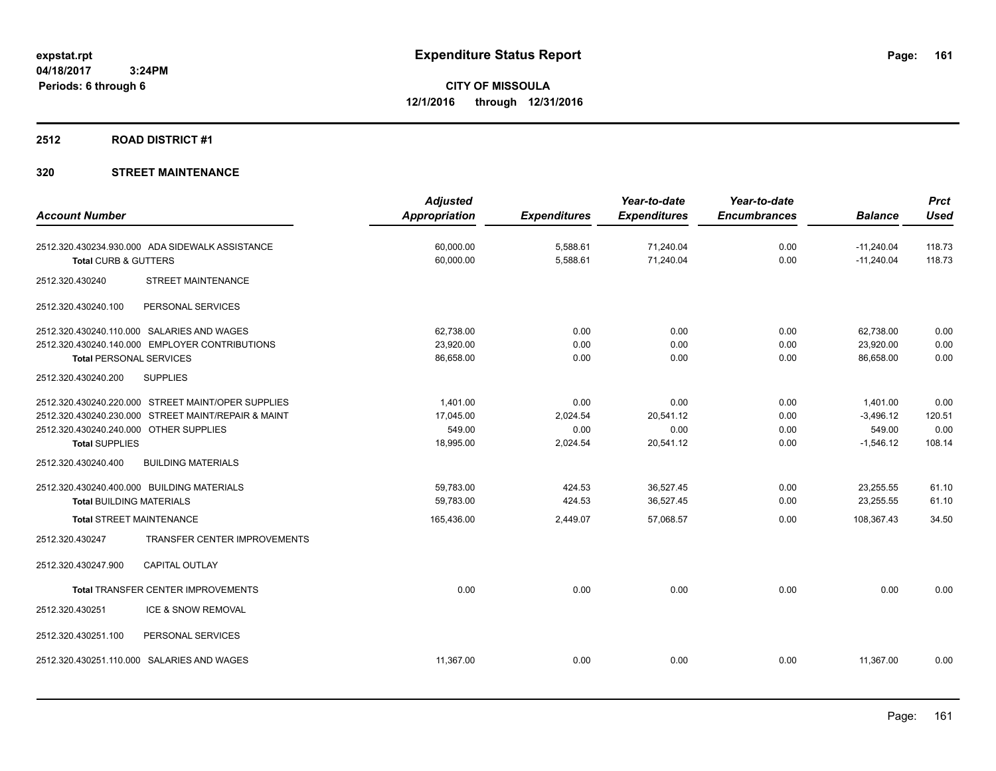# **2512 ROAD DISTRICT #1**

|                                                     | <b>Adjusted</b>      |                     | Year-to-date        | Year-to-date        |                | <b>Prct</b> |
|-----------------------------------------------------|----------------------|---------------------|---------------------|---------------------|----------------|-------------|
| <b>Account Number</b>                               | <b>Appropriation</b> | <b>Expenditures</b> | <b>Expenditures</b> | <b>Encumbrances</b> | <b>Balance</b> | <b>Used</b> |
| 2512.320.430234.930.000 ADA SIDEWALK ASSISTANCE     | 60,000.00            | 5,588.61            | 71,240.04           | 0.00                | $-11,240.04$   | 118.73      |
| Total CURB & GUTTERS                                | 60,000.00            | 5,588.61            | 71,240.04           | 0.00                | $-11,240.04$   | 118.73      |
| <b>STREET MAINTENANCE</b><br>2512.320.430240        |                      |                     |                     |                     |                |             |
| 2512.320.430240.100<br>PERSONAL SERVICES            |                      |                     |                     |                     |                |             |
| 2512.320.430240.110.000 SALARIES AND WAGES          | 62,738.00            | 0.00                | 0.00                | 0.00                | 62,738.00      | 0.00        |
| 2512.320.430240.140.000 EMPLOYER CONTRIBUTIONS      | 23,920.00            | 0.00                | 0.00                | 0.00                | 23,920.00      | 0.00        |
| <b>Total PERSONAL SERVICES</b>                      | 86,658.00            | 0.00                | 0.00                | 0.00                | 86.658.00      | 0.00        |
| 2512.320.430240.200<br><b>SUPPLIES</b>              |                      |                     |                     |                     |                |             |
| 2512.320.430240.220.000 STREET MAINT/OPER SUPPLIES  | 1,401.00             | 0.00                | 0.00                | 0.00                | 1,401.00       | 0.00        |
| 2512.320.430240.230.000 STREET MAINT/REPAIR & MAINT | 17,045.00            | 2,024.54            | 20,541.12           | 0.00                | $-3,496.12$    | 120.51      |
| 2512.320.430240.240.000 OTHER SUPPLIES              | 549.00               | 0.00                | 0.00                | 0.00                | 549.00         | 0.00        |
| <b>Total SUPPLIES</b>                               | 18,995.00            | 2,024.54            | 20,541.12           | 0.00                | $-1,546.12$    | 108.14      |
| <b>BUILDING MATERIALS</b><br>2512.320.430240.400    |                      |                     |                     |                     |                |             |
| 2512.320.430240.400.000 BUILDING MATERIALS          | 59.783.00            | 424.53              | 36.527.45           | 0.00                | 23,255.55      | 61.10       |
| <b>Total BUILDING MATERIALS</b>                     | 59.783.00            | 424.53              | 36,527.45           | 0.00                | 23.255.55      | 61.10       |
| <b>Total STREET MAINTENANCE</b>                     | 165,436.00           | 2,449.07            | 57,068.57           | 0.00                | 108,367.43     | 34.50       |
| TRANSFER CENTER IMPROVEMENTS<br>2512.320.430247     |                      |                     |                     |                     |                |             |
| CAPITAL OUTLAY<br>2512.320.430247.900               |                      |                     |                     |                     |                |             |
| <b>Total TRANSFER CENTER IMPROVEMENTS</b>           | 0.00                 | 0.00                | 0.00                | 0.00                | 0.00           | 0.00        |
| 2512.320.430251<br>ICE & SNOW REMOVAL               |                      |                     |                     |                     |                |             |
| PERSONAL SERVICES<br>2512.320.430251.100            |                      |                     |                     |                     |                |             |
| 2512.320.430251.110.000 SALARIES AND WAGES          | 11,367.00            | 0.00                | 0.00                | 0.00                | 11,367.00      | 0.00        |
|                                                     |                      |                     |                     |                     |                |             |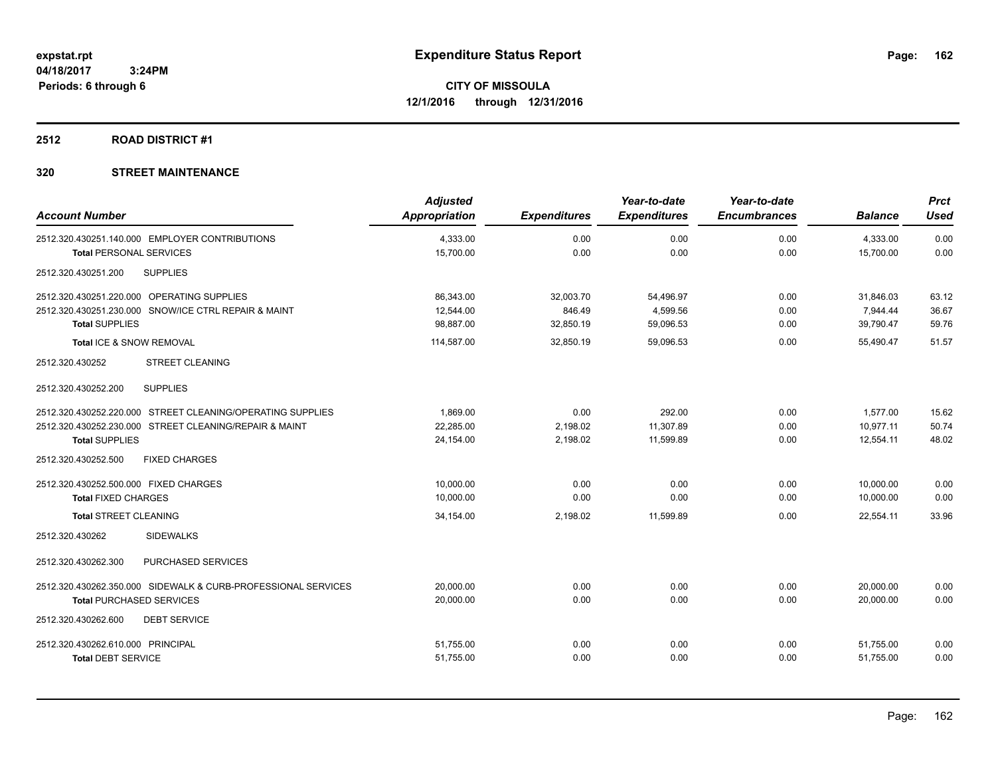#### **2512 ROAD DISTRICT #1**

| <b>Account Number</b>                                         | <b>Adjusted</b><br><b>Appropriation</b> | <b>Expenditures</b> | Year-to-date<br><b>Expenditures</b> | Year-to-date<br><b>Encumbrances</b> | <b>Balance</b> | <b>Prct</b><br><b>Used</b> |
|---------------------------------------------------------------|-----------------------------------------|---------------------|-------------------------------------|-------------------------------------|----------------|----------------------------|
| 2512.320.430251.140.000 EMPLOYER CONTRIBUTIONS                | 4,333.00                                | 0.00                | 0.00                                | 0.00                                | 4,333.00       | 0.00                       |
| <b>Total PERSONAL SERVICES</b>                                | 15,700.00                               | 0.00                | 0.00                                | 0.00                                | 15,700.00      | 0.00                       |
| <b>SUPPLIES</b><br>2512.320.430251.200                        |                                         |                     |                                     |                                     |                |                            |
| 2512.320.430251.220.000 OPERATING SUPPLIES                    | 86,343.00                               | 32,003.70           | 54,496.97                           | 0.00                                | 31,846.03      | 63.12                      |
| 2512.320.430251.230.000 SNOW/ICE CTRL REPAIR & MAINT          | 12.544.00                               | 846.49              | 4,599.56                            | 0.00                                | 7,944.44       | 36.67                      |
| <b>Total SUPPLIES</b>                                         | 98,887.00                               | 32,850.19           | 59,096.53                           | 0.00                                | 39,790.47      | 59.76                      |
| Total ICE & SNOW REMOVAL                                      | 114,587.00                              | 32,850.19           | 59.096.53                           | 0.00                                | 55.490.47      | 51.57                      |
| 2512.320.430252<br><b>STREET CLEANING</b>                     |                                         |                     |                                     |                                     |                |                            |
| <b>SUPPLIES</b><br>2512.320.430252.200                        |                                         |                     |                                     |                                     |                |                            |
| 2512.320.430252.220.000 STREET CLEANING/OPERATING SUPPLIES    | 1,869.00                                | 0.00                | 292.00                              | 0.00                                | 1,577.00       | 15.62                      |
| 2512.320.430252.230.000 STREET CLEANING/REPAIR & MAINT        | 22,285.00                               | 2,198.02            | 11,307.89                           | 0.00                                | 10,977.11      | 50.74                      |
| <b>Total SUPPLIES</b>                                         | 24,154.00                               | 2,198.02            | 11,599.89                           | 0.00                                | 12,554.11      | 48.02                      |
| 2512.320.430252.500<br><b>FIXED CHARGES</b>                   |                                         |                     |                                     |                                     |                |                            |
| 2512.320.430252.500.000 FIXED CHARGES                         | 10,000.00                               | 0.00                | 0.00                                | 0.00                                | 10,000.00      | 0.00                       |
| <b>Total FIXED CHARGES</b>                                    | 10,000.00                               | 0.00                | 0.00                                | 0.00                                | 10,000.00      | 0.00                       |
| <b>Total STREET CLEANING</b>                                  | 34,154.00                               | 2,198.02            | 11,599.89                           | 0.00                                | 22,554.11      | 33.96                      |
| <b>SIDEWALKS</b><br>2512.320.430262                           |                                         |                     |                                     |                                     |                |                            |
| 2512.320.430262.300<br>PURCHASED SERVICES                     |                                         |                     |                                     |                                     |                |                            |
| 2512.320.430262.350.000 SIDEWALK & CURB-PROFESSIONAL SERVICES | 20,000.00                               | 0.00                | 0.00                                | 0.00                                | 20,000.00      | 0.00                       |
| <b>Total PURCHASED SERVICES</b>                               | 20,000.00                               | 0.00                | 0.00                                | 0.00                                | 20.000.00      | 0.00                       |
| 2512.320.430262.600<br><b>DEBT SERVICE</b>                    |                                         |                     |                                     |                                     |                |                            |
| 2512.320.430262.610.000 PRINCIPAL                             | 51,755.00                               | 0.00                | 0.00                                | 0.00                                | 51,755.00      | 0.00                       |
| <b>Total DEBT SERVICE</b>                                     | 51,755.00                               | 0.00                | 0.00                                | 0.00                                | 51,755.00      | 0.00                       |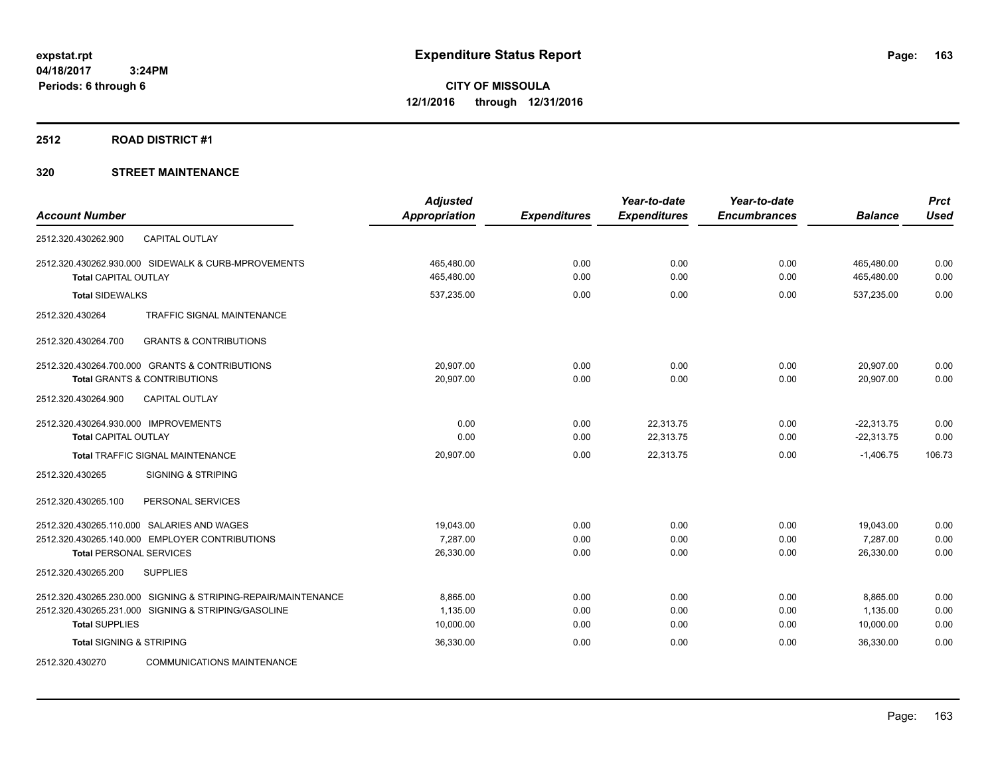#### **2512 ROAD DISTRICT #1**

|                                                               | <b>Adjusted</b> |                     | Year-to-date        | Year-to-date        |                | <b>Prct</b> |
|---------------------------------------------------------------|-----------------|---------------------|---------------------|---------------------|----------------|-------------|
| <b>Account Number</b>                                         | Appropriation   | <b>Expenditures</b> | <b>Expenditures</b> | <b>Encumbrances</b> | <b>Balance</b> | <b>Used</b> |
| 2512.320.430262.900<br><b>CAPITAL OUTLAY</b>                  |                 |                     |                     |                     |                |             |
| 2512.320.430262.930.000 SIDEWALK & CURB-MPROVEMENTS           | 465,480.00      | 0.00                | 0.00                | 0.00                | 465,480.00     | 0.00        |
| <b>Total CAPITAL OUTLAY</b>                                   | 465,480.00      | 0.00                | 0.00                | 0.00                | 465,480.00     | 0.00        |
| <b>Total SIDEWALKS</b>                                        | 537,235.00      | 0.00                | 0.00                | 0.00                | 537,235.00     | 0.00        |
| TRAFFIC SIGNAL MAINTENANCE<br>2512.320.430264                 |                 |                     |                     |                     |                |             |
| <b>GRANTS &amp; CONTRIBUTIONS</b><br>2512.320.430264.700      |                 |                     |                     |                     |                |             |
| 2512.320.430264.700.000 GRANTS & CONTRIBUTIONS                | 20,907.00       | 0.00                | 0.00                | 0.00                | 20,907.00      | 0.00        |
| <b>Total GRANTS &amp; CONTRIBUTIONS</b>                       | 20,907.00       | 0.00                | 0.00                | 0.00                | 20,907.00      | 0.00        |
| 2512.320.430264.900<br><b>CAPITAL OUTLAY</b>                  |                 |                     |                     |                     |                |             |
| 2512.320.430264.930.000 IMPROVEMENTS                          | 0.00            | 0.00                | 22,313.75           | 0.00                | $-22,313.75$   | 0.00        |
| <b>Total CAPITAL OUTLAY</b>                                   | 0.00            | 0.00                | 22,313.75           | 0.00                | $-22,313.75$   | 0.00        |
| Total TRAFFIC SIGNAL MAINTENANCE                              | 20,907.00       | 0.00                | 22,313.75           | 0.00                | $-1,406.75$    | 106.73      |
| 2512.320.430265<br><b>SIGNING &amp; STRIPING</b>              |                 |                     |                     |                     |                |             |
| 2512.320.430265.100<br>PERSONAL SERVICES                      |                 |                     |                     |                     |                |             |
| 2512.320.430265.110.000 SALARIES AND WAGES                    | 19,043.00       | 0.00                | 0.00                | 0.00                | 19,043.00      | 0.00        |
| 2512.320.430265.140.000 EMPLOYER CONTRIBUTIONS                | 7,287.00        | 0.00                | 0.00                | 0.00                | 7,287.00       | 0.00        |
| <b>Total PERSONAL SERVICES</b>                                | 26,330.00       | 0.00                | 0.00                | 0.00                | 26,330.00      | 0.00        |
| <b>SUPPLIES</b><br>2512.320.430265.200                        |                 |                     |                     |                     |                |             |
| 2512.320.430265.230.000 SIGNING & STRIPING-REPAIR/MAINTENANCE | 8,865.00        | 0.00                | 0.00                | 0.00                | 8,865.00       | 0.00        |
| 2512.320.430265.231.000 SIGNING & STRIPING/GASOLINE           | 1,135.00        | 0.00                | 0.00                | 0.00                | 1,135.00       | 0.00        |
| <b>Total SUPPLIES</b>                                         | 10,000.00       | 0.00                | 0.00                | 0.00                | 10,000.00      | 0.00        |
| <b>Total SIGNING &amp; STRIPING</b>                           | 36,330.00       | 0.00                | 0.00                | 0.00                | 36,330.00      | 0.00        |
| <b>COMMUNICATIONS MAINTENANCE</b><br>2512.320.430270          |                 |                     |                     |                     |                |             |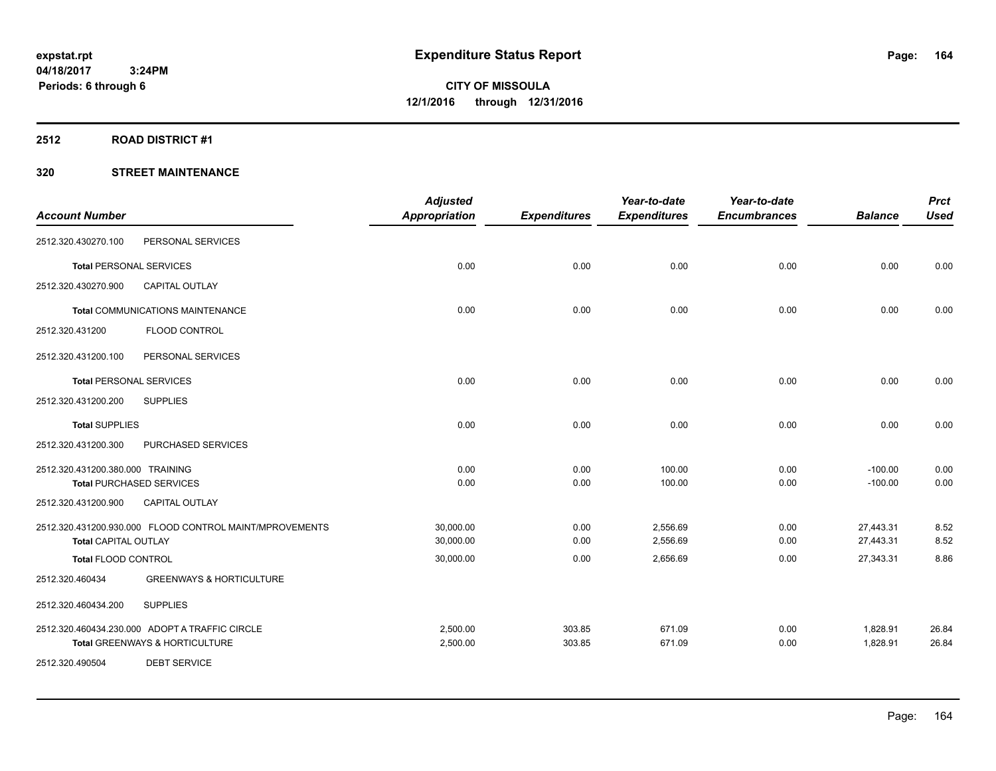#### **2512 ROAD DISTRICT #1**

| <b>Account Number</b>            |                                                         | <b>Adjusted</b><br><b>Appropriation</b> | <b>Expenditures</b> | Year-to-date<br><b>Expenditures</b> | Year-to-date<br><b>Encumbrances</b> | <b>Balance</b> | <b>Prct</b><br><b>Used</b> |
|----------------------------------|---------------------------------------------------------|-----------------------------------------|---------------------|-------------------------------------|-------------------------------------|----------------|----------------------------|
|                                  |                                                         |                                         |                     |                                     |                                     |                |                            |
| 2512.320.430270.100              | PERSONAL SERVICES                                       |                                         |                     |                                     |                                     |                |                            |
| <b>Total PERSONAL SERVICES</b>   |                                                         | 0.00                                    | 0.00                | 0.00                                | 0.00                                | 0.00           | 0.00                       |
| 2512.320.430270.900              | <b>CAPITAL OUTLAY</b>                                   |                                         |                     |                                     |                                     |                |                            |
|                                  | <b>Total COMMUNICATIONS MAINTENANCE</b>                 | 0.00                                    | 0.00                | 0.00                                | 0.00                                | 0.00           | 0.00                       |
| 2512.320.431200                  | <b>FLOOD CONTROL</b>                                    |                                         |                     |                                     |                                     |                |                            |
| 2512.320.431200.100              | PERSONAL SERVICES                                       |                                         |                     |                                     |                                     |                |                            |
| <b>Total PERSONAL SERVICES</b>   |                                                         | 0.00                                    | 0.00                | 0.00                                | 0.00                                | 0.00           | 0.00                       |
| 2512.320.431200.200              | <b>SUPPLIES</b>                                         |                                         |                     |                                     |                                     |                |                            |
| <b>Total SUPPLIES</b>            |                                                         | 0.00                                    | 0.00                | 0.00                                | 0.00                                | 0.00           | 0.00                       |
| 2512.320.431200.300              | PURCHASED SERVICES                                      |                                         |                     |                                     |                                     |                |                            |
| 2512.320.431200.380.000 TRAINING |                                                         | 0.00                                    | 0.00                | 100.00                              | 0.00                                | $-100.00$      | 0.00                       |
| <b>Total PURCHASED SERVICES</b>  |                                                         | 0.00                                    | 0.00                | 100.00                              | 0.00                                | $-100.00$      | 0.00                       |
| 2512.320.431200.900              | <b>CAPITAL OUTLAY</b>                                   |                                         |                     |                                     |                                     |                |                            |
|                                  | 2512.320.431200.930.000 FLOOD CONTROL MAINT/MPROVEMENTS | 30,000.00                               | 0.00                | 2,556.69                            | 0.00                                | 27,443.31      | 8.52                       |
| <b>Total CAPITAL OUTLAY</b>      |                                                         | 30,000.00                               | 0.00                | 2,556.69                            | 0.00                                | 27,443.31      | 8.52                       |
| <b>Total FLOOD CONTROL</b>       |                                                         | 30,000.00                               | 0.00                | 2,656.69                            | 0.00                                | 27,343.31      | 8.86                       |
| 2512.320.460434                  | <b>GREENWAYS &amp; HORTICULTURE</b>                     |                                         |                     |                                     |                                     |                |                            |
| 2512.320.460434.200              | <b>SUPPLIES</b>                                         |                                         |                     |                                     |                                     |                |                            |
|                                  | 2512.320.460434.230.000 ADOPT A TRAFFIC CIRCLE          | 2,500.00                                | 303.85              | 671.09                              | 0.00                                | 1,828.91       | 26.84                      |
|                                  | Total GREENWAYS & HORTICULTURE                          | 2,500.00                                | 303.85              | 671.09                              | 0.00                                | 1,828.91       | 26.84                      |
| 2512.320.490504                  | <b>DEBT SERVICE</b>                                     |                                         |                     |                                     |                                     |                |                            |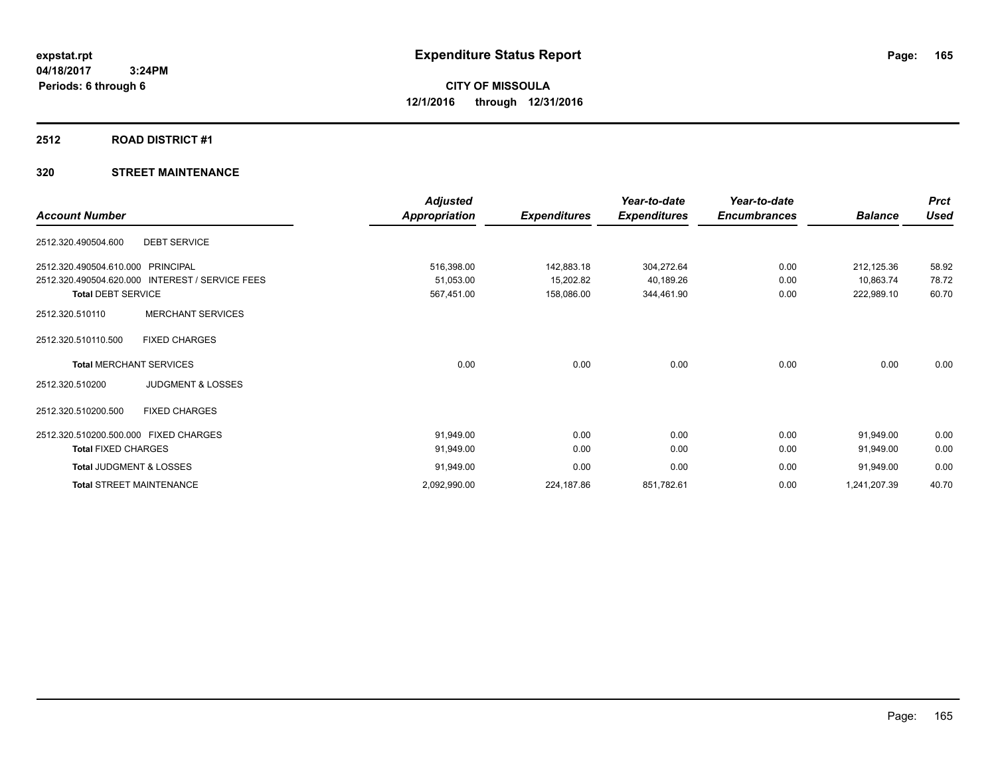#### **2512 ROAD DISTRICT #1**

| <b>Account Number</b>                           | <b>Adjusted</b><br>Appropriation | <b>Expenditures</b> | Year-to-date<br><b>Expenditures</b> | Year-to-date<br><b>Encumbrances</b> | <b>Balance</b> | <b>Prct</b><br><b>Used</b> |
|-------------------------------------------------|----------------------------------|---------------------|-------------------------------------|-------------------------------------|----------------|----------------------------|
| <b>DEBT SERVICE</b><br>2512.320.490504.600      |                                  |                     |                                     |                                     |                |                            |
| 2512.320.490504.610.000 PRINCIPAL               | 516,398.00                       | 142,883.18          | 304,272.64                          | 0.00                                | 212,125.36     | 58.92                      |
| 2512.320.490504.620.000 INTEREST / SERVICE FEES | 51,053.00                        | 15,202.82           | 40,189.26                           | 0.00                                | 10,863.74      | 78.72                      |
| <b>Total DEBT SERVICE</b>                       | 567,451.00                       | 158,086.00          | 344,461.90                          | 0.00                                | 222,989.10     | 60.70                      |
| <b>MERCHANT SERVICES</b><br>2512.320.510110     |                                  |                     |                                     |                                     |                |                            |
| <b>FIXED CHARGES</b><br>2512.320.510110.500     |                                  |                     |                                     |                                     |                |                            |
| <b>Total MERCHANT SERVICES</b>                  | 0.00                             | 0.00                | 0.00                                | 0.00                                | 0.00           | 0.00                       |
| <b>JUDGMENT &amp; LOSSES</b><br>2512.320.510200 |                                  |                     |                                     |                                     |                |                            |
| <b>FIXED CHARGES</b><br>2512.320.510200.500     |                                  |                     |                                     |                                     |                |                            |
| 2512.320.510200.500.000 FIXED CHARGES           | 91,949.00                        | 0.00                | 0.00                                | 0.00                                | 91,949.00      | 0.00                       |
| <b>Total FIXED CHARGES</b>                      | 91,949.00                        | 0.00                | 0.00                                | 0.00                                | 91,949.00      | 0.00                       |
| <b>Total JUDGMENT &amp; LOSSES</b>              | 91,949.00                        | 0.00                | 0.00                                | 0.00                                | 91,949.00      | 0.00                       |
| <b>Total STREET MAINTENANCE</b>                 | 2,092,990.00                     | 224,187.86          | 851,782.61                          | 0.00                                | 1,241,207.39   | 40.70                      |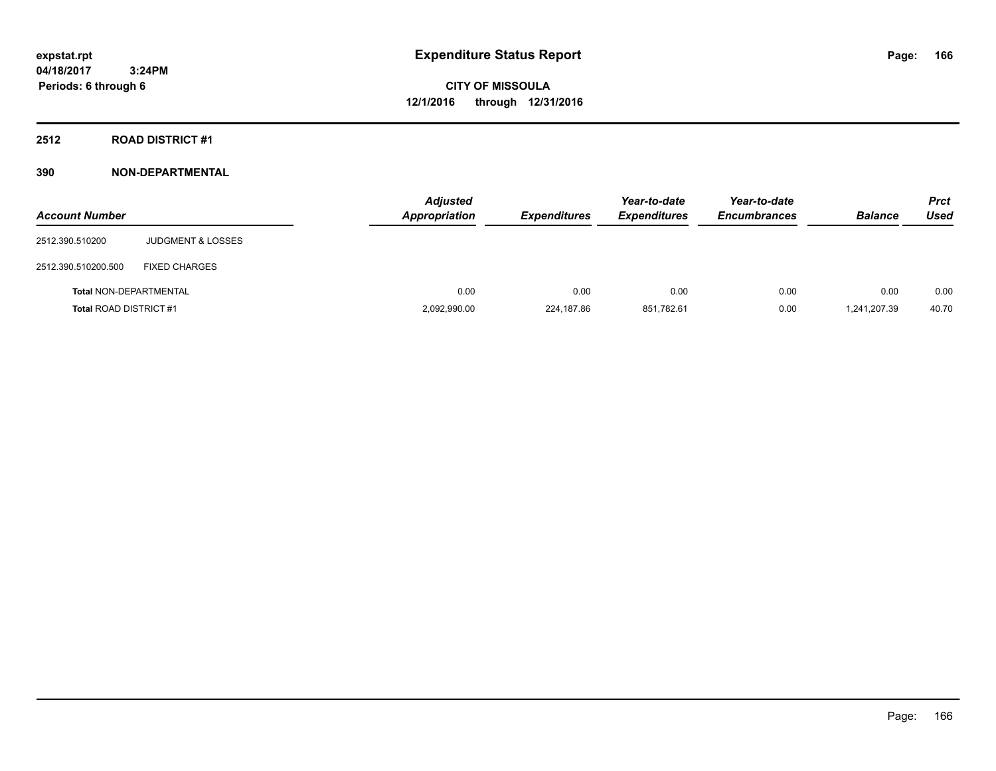**CITY OF MISSOULA 12/1/2016 through 12/31/2016**

**2512 ROAD DISTRICT #1**

| <b>Account Number</b>         |                              | <b>Adjusted</b><br><b>Appropriation</b> | <b>Expenditures</b> | Year-to-date<br><b>Expenditures</b> | Year-to-date<br><b>Encumbrances</b> | <b>Balance</b> | <b>Prct</b><br><b>Used</b> |
|-------------------------------|------------------------------|-----------------------------------------|---------------------|-------------------------------------|-------------------------------------|----------------|----------------------------|
| 2512.390.510200               | <b>JUDGMENT &amp; LOSSES</b> |                                         |                     |                                     |                                     |                |                            |
| 2512.390.510200.500           | <b>FIXED CHARGES</b>         |                                         |                     |                                     |                                     |                |                            |
| <b>Total NON-DEPARTMENTAL</b> |                              | 0.00                                    | 0.00                | 0.00                                | 0.00                                | 0.00           | 0.00                       |
| <b>Total ROAD DISTRICT #1</b> |                              | 2,092,990.00                            | 224,187.86          | 851,782.61                          | 0.00                                | 1,241,207.39   | 40.70                      |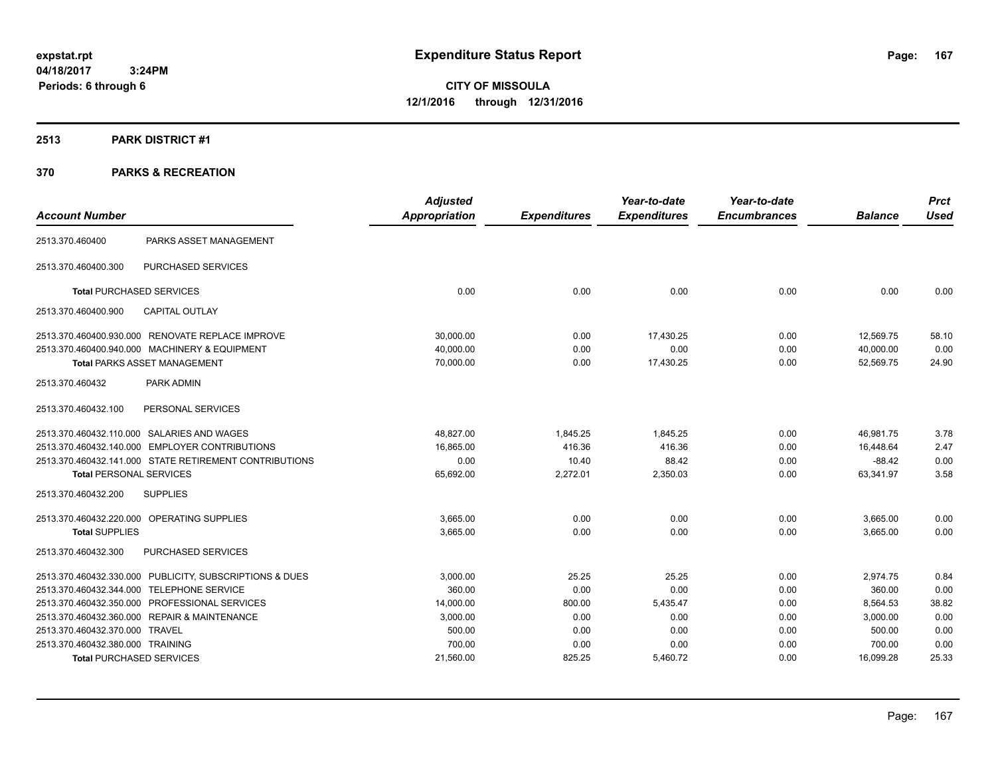**CITY OF MISSOULA 12/1/2016 through 12/31/2016**

#### **2513 PARK DISTRICT #1**

|                                  |                                                         | <b>Adjusted</b>      |                     | Year-to-date        | Year-to-date        |                | <b>Prct</b> |
|----------------------------------|---------------------------------------------------------|----------------------|---------------------|---------------------|---------------------|----------------|-------------|
| <b>Account Number</b>            |                                                         | <b>Appropriation</b> | <b>Expenditures</b> | <b>Expenditures</b> | <b>Encumbrances</b> | <b>Balance</b> | <b>Used</b> |
| 2513.370.460400                  | PARKS ASSET MANAGEMENT                                  |                      |                     |                     |                     |                |             |
| 2513.370.460400.300              | PURCHASED SERVICES                                      |                      |                     |                     |                     |                |             |
|                                  | <b>Total PURCHASED SERVICES</b>                         | 0.00                 | 0.00                | 0.00                | 0.00                | 0.00           | 0.00        |
| 2513.370.460400.900              | <b>CAPITAL OUTLAY</b>                                   |                      |                     |                     |                     |                |             |
|                                  | 2513.370.460400.930.000 RENOVATE REPLACE IMPROVE        | 30,000.00            | 0.00                | 17,430.25           | 0.00                | 12,569.75      | 58.10       |
|                                  | 2513.370.460400.940.000 MACHINERY & EQUIPMENT           | 40,000.00            | 0.00                | 0.00                | 0.00                | 40,000.00      | 0.00        |
|                                  | <b>Total PARKS ASSET MANAGEMENT</b>                     | 70,000.00            | 0.00                | 17,430.25           | 0.00                | 52,569.75      | 24.90       |
| 2513.370.460432                  | PARK ADMIN                                              |                      |                     |                     |                     |                |             |
| 2513.370.460432.100              | PERSONAL SERVICES                                       |                      |                     |                     |                     |                |             |
|                                  | 2513.370.460432.110.000 SALARIES AND WAGES              | 48,827.00            | 1,845.25            | 1,845.25            | 0.00                | 46,981.75      | 3.78        |
|                                  | 2513.370.460432.140.000 EMPLOYER CONTRIBUTIONS          | 16,865.00            | 416.36              | 416.36              | 0.00                | 16,448.64      | 2.47        |
|                                  | 2513.370.460432.141.000 STATE RETIREMENT CONTRIBUTIONS  | 0.00                 | 10.40               | 88.42               | 0.00                | $-88.42$       | 0.00        |
| <b>Total PERSONAL SERVICES</b>   |                                                         | 65,692.00            | 2,272.01            | 2,350.03            | 0.00                | 63,341.97      | 3.58        |
| 2513.370.460432.200              | <b>SUPPLIES</b>                                         |                      |                     |                     |                     |                |             |
|                                  | 2513.370.460432.220.000 OPERATING SUPPLIES              | 3,665.00             | 0.00                | 0.00                | 0.00                | 3,665.00       | 0.00        |
| <b>Total SUPPLIES</b>            |                                                         | 3,665.00             | 0.00                | 0.00                | 0.00                | 3.665.00       | 0.00        |
| 2513.370.460432.300              | PURCHASED SERVICES                                      |                      |                     |                     |                     |                |             |
|                                  | 2513.370.460432.330.000 PUBLICITY, SUBSCRIPTIONS & DUES | 3,000.00             | 25.25               | 25.25               | 0.00                | 2,974.75       | 0.84        |
|                                  | 2513.370.460432.344.000 TELEPHONE SERVICE               | 360.00               | 0.00                | 0.00                | 0.00                | 360.00         | 0.00        |
|                                  | 2513.370.460432.350.000 PROFESSIONAL SERVICES           | 14,000.00            | 800.00              | 5,435.47            | 0.00                | 8,564.53       | 38.82       |
|                                  | 2513.370.460432.360.000 REPAIR & MAINTENANCE            | 3,000.00             | 0.00                | 0.00                | 0.00                | 3,000.00       | 0.00        |
| 2513.370.460432.370.000 TRAVEL   |                                                         | 500.00               | 0.00                | 0.00                | 0.00                | 500.00         | 0.00        |
| 2513.370.460432.380.000 TRAINING |                                                         | 700.00               | 0.00                | 0.00                | 0.00                | 700.00         | 0.00        |
|                                  | <b>Total PURCHASED SERVICES</b>                         | 21,560.00            | 825.25              | 5,460.72            | 0.00                | 16,099.28      | 25.33       |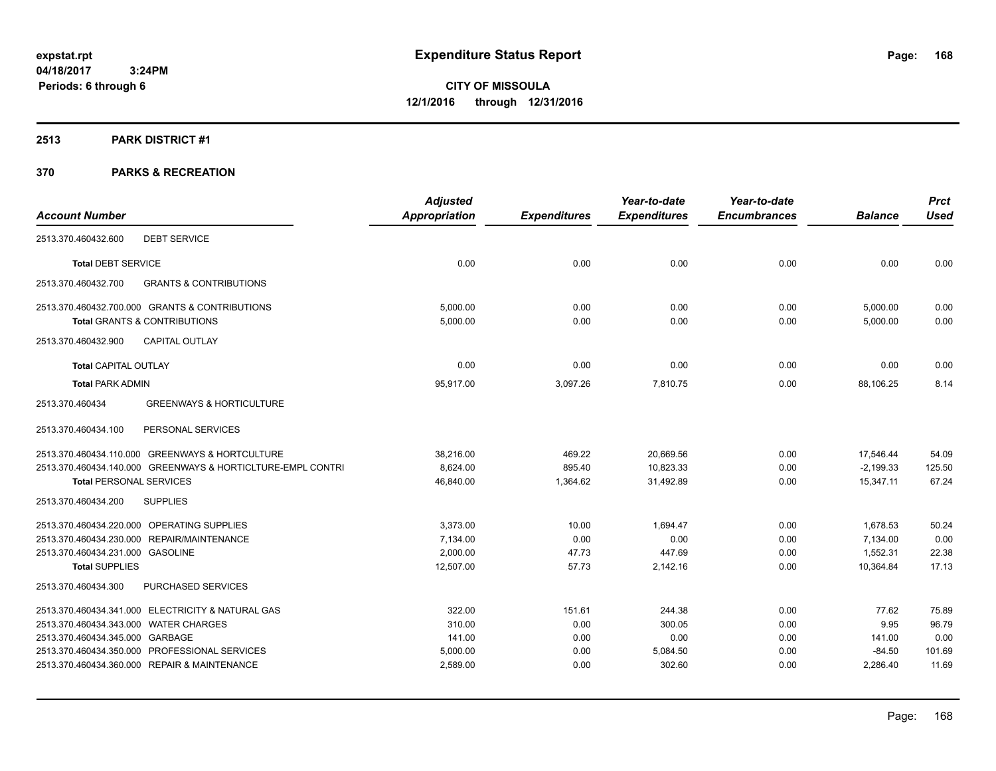#### **2513 PARK DISTRICT #1**

|                                                             | <b>Adjusted</b> |                     | Year-to-date        | Year-to-date        |                | <b>Prct</b> |
|-------------------------------------------------------------|-----------------|---------------------|---------------------|---------------------|----------------|-------------|
| <b>Account Number</b>                                       | Appropriation   | <b>Expenditures</b> | <b>Expenditures</b> | <b>Encumbrances</b> | <b>Balance</b> | <b>Used</b> |
| <b>DEBT SERVICE</b><br>2513.370.460432.600                  |                 |                     |                     |                     |                |             |
| <b>Total DEBT SERVICE</b>                                   | 0.00            | 0.00                | 0.00                | 0.00                | 0.00           | 0.00        |
| 2513.370.460432.700<br><b>GRANTS &amp; CONTRIBUTIONS</b>    |                 |                     |                     |                     |                |             |
| 2513.370.460432.700.000 GRANTS & CONTRIBUTIONS              | 5,000.00        | 0.00                | 0.00                | 0.00                | 5,000.00       | 0.00        |
| <b>Total GRANTS &amp; CONTRIBUTIONS</b>                     | 5,000.00        | 0.00                | 0.00                | 0.00                | 5,000.00       | 0.00        |
| <b>CAPITAL OUTLAY</b><br>2513.370.460432.900                |                 |                     |                     |                     |                |             |
| <b>Total CAPITAL OUTLAY</b>                                 | 0.00            | 0.00                | 0.00                | 0.00                | 0.00           | 0.00        |
| <b>Total PARK ADMIN</b>                                     | 95,917.00       | 3,097.26            | 7,810.75            | 0.00                | 88,106.25      | 8.14        |
| 2513.370.460434<br><b>GREENWAYS &amp; HORTICULTURE</b>      |                 |                     |                     |                     |                |             |
| PERSONAL SERVICES<br>2513.370.460434.100                    |                 |                     |                     |                     |                |             |
| 2513.370.460434.110.000 GREENWAYS & HORTCULTURE             | 38,216.00       | 469.22              | 20,669.56           | 0.00                | 17,546.44      | 54.09       |
| 2513.370.460434.140.000 GREENWAYS & HORTICLTURE-EMPL CONTRI | 8,624.00        | 895.40              | 10,823.33           | 0.00                | $-2,199.33$    | 125.50      |
| <b>Total PERSONAL SERVICES</b>                              | 46,840.00       | 1,364.62            | 31,492.89           | 0.00                | 15,347.11      | 67.24       |
| <b>SUPPLIES</b><br>2513.370.460434.200                      |                 |                     |                     |                     |                |             |
| 2513.370.460434.220.000 OPERATING SUPPLIES                  | 3,373.00        | 10.00               | 1.694.47            | 0.00                | 1,678.53       | 50.24       |
| 2513.370.460434.230.000 REPAIR/MAINTENANCE                  | 7,134.00        | 0.00                | 0.00                | 0.00                | 7,134.00       | 0.00        |
| 2513.370.460434.231.000 GASOLINE                            | 2,000.00        | 47.73               | 447.69              | 0.00                | 1,552.31       | 22.38       |
| <b>Total SUPPLIES</b>                                       | 12,507.00       | 57.73               | 2,142.16            | 0.00                | 10,364.84      | 17.13       |
| 2513.370.460434.300<br>PURCHASED SERVICES                   |                 |                     |                     |                     |                |             |
| 2513.370.460434.341.000 ELECTRICITY & NATURAL GAS           | 322.00          | 151.61              | 244.38              | 0.00                | 77.62          | 75.89       |
| 2513.370.460434.343.000 WATER CHARGES                       | 310.00          | 0.00                | 300.05              | 0.00                | 9.95           | 96.79       |
| 2513.370.460434.345.000 GARBAGE                             | 141.00          | 0.00                | 0.00                | 0.00                | 141.00         | 0.00        |
| 2513.370.460434.350.000 PROFESSIONAL SERVICES               | 5,000.00        | 0.00                | 5,084.50            | 0.00                | $-84.50$       | 101.69      |
| 2513.370.460434.360.000 REPAIR & MAINTENANCE                | 2,589.00        | 0.00                | 302.60              | 0.00                | 2,286.40       | 11.69       |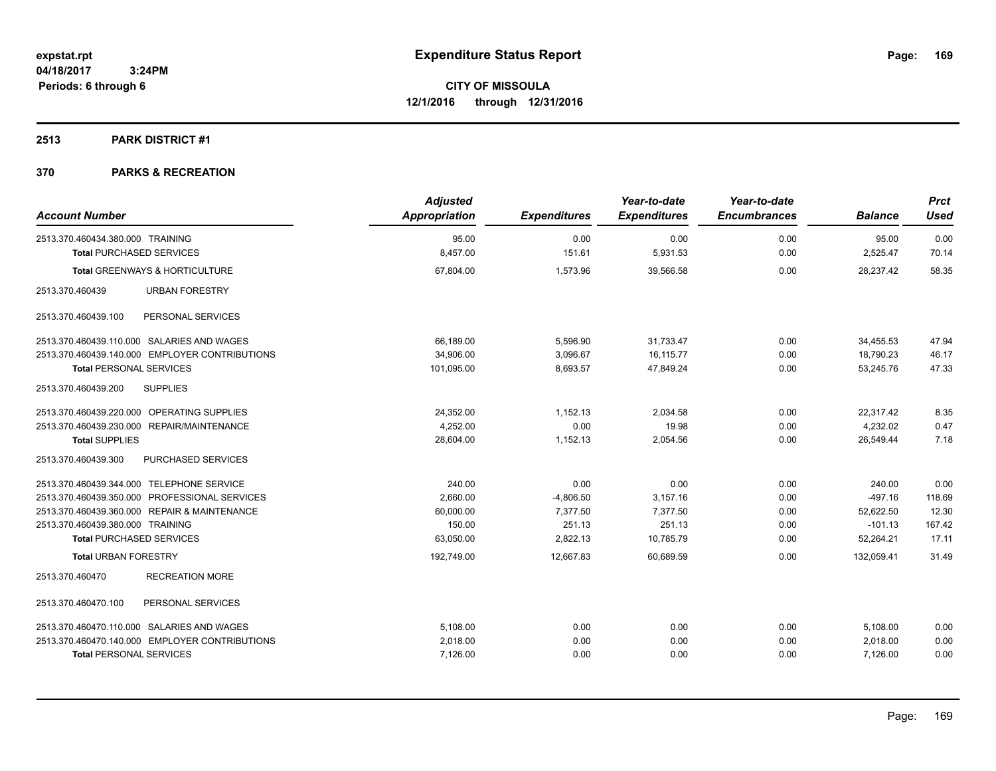#### **2513 PARK DISTRICT #1**

| <b>Account Number</b>                          | <b>Adjusted</b><br><b>Appropriation</b> | <b>Expenditures</b> | Year-to-date<br><b>Expenditures</b> | Year-to-date<br><b>Encumbrances</b> | <b>Balance</b> | <b>Prct</b><br><b>Used</b> |
|------------------------------------------------|-----------------------------------------|---------------------|-------------------------------------|-------------------------------------|----------------|----------------------------|
| 2513.370.460434.380.000 TRAINING               | 95.00                                   | 0.00                | 0.00                                | 0.00                                | 95.00          | 0.00                       |
| <b>Total PURCHASED SERVICES</b>                | 8,457.00                                | 151.61              | 5,931.53                            | 0.00                                | 2,525.47       | 70.14                      |
| <b>Total GREENWAYS &amp; HORTICULTURE</b>      | 67,804.00                               | 1,573.96            | 39,566.58                           | 0.00                                | 28,237.42      | 58.35                      |
| 2513.370.460439<br><b>URBAN FORESTRY</b>       |                                         |                     |                                     |                                     |                |                            |
| 2513.370.460439.100<br>PERSONAL SERVICES       |                                         |                     |                                     |                                     |                |                            |
| 2513.370.460439.110.000 SALARIES AND WAGES     | 66,189.00                               | 5,596.90            | 31,733.47                           | 0.00                                | 34,455.53      | 47.94                      |
| 2513.370.460439.140.000 EMPLOYER CONTRIBUTIONS | 34,906.00                               | 3,096.67            | 16,115.77                           | 0.00                                | 18,790.23      | 46.17                      |
| <b>Total PERSONAL SERVICES</b>                 | 101,095.00                              | 8,693.57            | 47,849.24                           | 0.00                                | 53,245.76      | 47.33                      |
| 2513.370.460439.200<br><b>SUPPLIES</b>         |                                         |                     |                                     |                                     |                |                            |
| 2513.370.460439.220.000 OPERATING SUPPLIES     | 24,352.00                               | 1,152.13            | 2,034.58                            | 0.00                                | 22,317.42      | 8.35                       |
| 2513.370.460439.230.000 REPAIR/MAINTENANCE     | 4,252.00                                | 0.00                | 19.98                               | 0.00                                | 4,232.02       | 0.47                       |
| <b>Total SUPPLIES</b>                          | 28,604.00                               | 1,152.13            | 2,054.56                            | 0.00                                | 26,549.44      | 7.18                       |
| 2513.370.460439.300<br>PURCHASED SERVICES      |                                         |                     |                                     |                                     |                |                            |
| 2513.370.460439.344.000 TELEPHONE SERVICE      | 240.00                                  | 0.00                | 0.00                                | 0.00                                | 240.00         | 0.00                       |
| 2513.370.460439.350.000 PROFESSIONAL SERVICES  | 2,660.00                                | $-4,806.50$         | 3,157.16                            | 0.00                                | $-497.16$      | 118.69                     |
| 2513.370.460439.360.000 REPAIR & MAINTENANCE   | 60,000.00                               | 7,377.50            | 7,377.50                            | 0.00                                | 52,622.50      | 12.30                      |
| 2513.370.460439.380.000 TRAINING               | 150.00                                  | 251.13              | 251.13                              | 0.00                                | $-101.13$      | 167.42                     |
| <b>Total PURCHASED SERVICES</b>                | 63,050.00                               | 2,822.13            | 10,785.79                           | 0.00                                | 52,264.21      | 17.11                      |
| <b>Total URBAN FORESTRY</b>                    | 192,749.00                              | 12.667.83           | 60.689.59                           | 0.00                                | 132.059.41     | 31.49                      |
| <b>RECREATION MORE</b><br>2513.370.460470      |                                         |                     |                                     |                                     |                |                            |
| PERSONAL SERVICES<br>2513.370.460470.100       |                                         |                     |                                     |                                     |                |                            |
| 2513.370.460470.110.000 SALARIES AND WAGES     | 5,108.00                                | 0.00                | 0.00                                | 0.00                                | 5,108.00       | 0.00                       |
| 2513.370.460470.140.000 EMPLOYER CONTRIBUTIONS | 2,018.00                                | 0.00                | 0.00                                | 0.00                                | 2,018.00       | 0.00                       |
| <b>Total PERSONAL SERVICES</b>                 | 7,126.00                                | 0.00                | 0.00                                | 0.00                                | 7,126.00       | 0.00                       |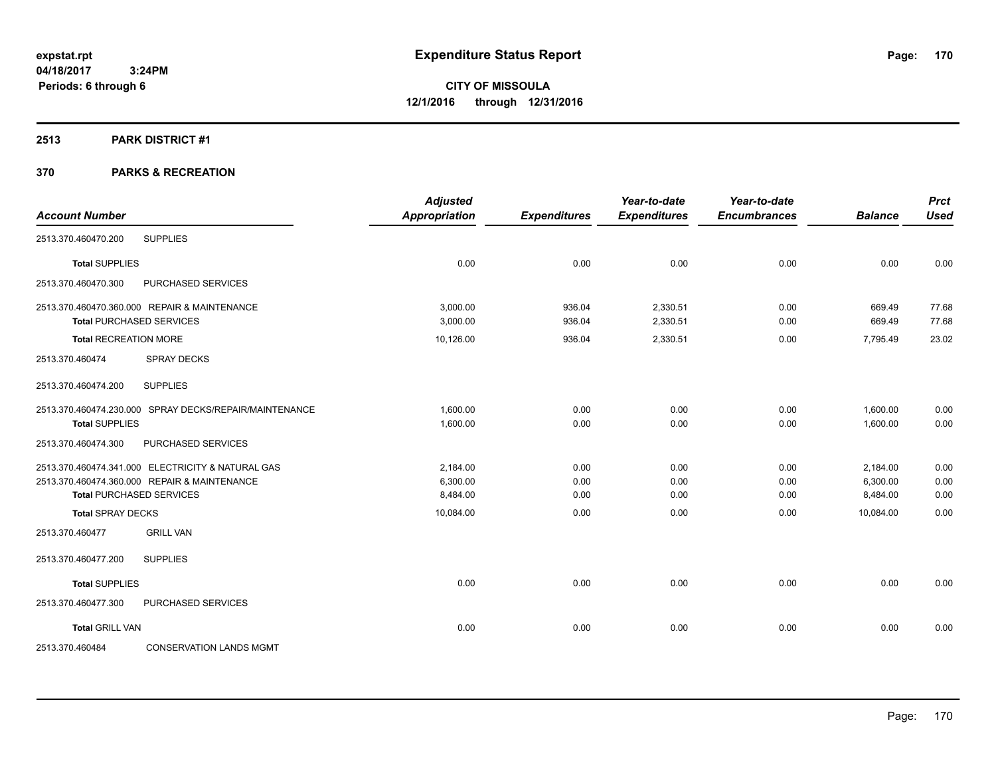#### **2513 PARK DISTRICT #1**

| <b>Account Number</b>        |                                                        | <b>Adjusted</b><br><b>Appropriation</b> | <b>Expenditures</b> | Year-to-date<br><b>Expenditures</b> | Year-to-date<br><b>Encumbrances</b> | <b>Balance</b> | <b>Prct</b><br><b>Used</b> |
|------------------------------|--------------------------------------------------------|-----------------------------------------|---------------------|-------------------------------------|-------------------------------------|----------------|----------------------------|
|                              |                                                        |                                         |                     |                                     |                                     |                |                            |
| 2513.370.460470.200          | <b>SUPPLIES</b>                                        |                                         |                     |                                     |                                     |                |                            |
| <b>Total SUPPLIES</b>        |                                                        | 0.00                                    | 0.00                | 0.00                                | 0.00                                | 0.00           | 0.00                       |
| 2513.370.460470.300          | PURCHASED SERVICES                                     |                                         |                     |                                     |                                     |                |                            |
|                              | 2513.370.460470.360.000 REPAIR & MAINTENANCE           | 3.000.00                                | 936.04              | 2,330.51                            | 0.00                                | 669.49         | 77.68                      |
|                              | <b>Total PURCHASED SERVICES</b>                        | 3,000.00                                | 936.04              | 2,330.51                            | 0.00                                | 669.49         | 77.68                      |
| <b>Total RECREATION MORE</b> |                                                        | 10,126.00                               | 936.04              | 2,330.51                            | 0.00                                | 7,795.49       | 23.02                      |
| 2513.370.460474              | <b>SPRAY DECKS</b>                                     |                                         |                     |                                     |                                     |                |                            |
| 2513.370.460474.200          | <b>SUPPLIES</b>                                        |                                         |                     |                                     |                                     |                |                            |
|                              | 2513.370.460474.230.000 SPRAY DECKS/REPAIR/MAINTENANCE | 1,600.00                                | 0.00                | 0.00                                | 0.00                                | 1,600.00       | 0.00                       |
| <b>Total SUPPLIES</b>        |                                                        | 1,600.00                                | 0.00                | 0.00                                | 0.00                                | 1,600.00       | 0.00                       |
| 2513.370.460474.300          | PURCHASED SERVICES                                     |                                         |                     |                                     |                                     |                |                            |
|                              | 2513.370.460474.341.000 ELECTRICITY & NATURAL GAS      | 2.184.00                                | 0.00                | 0.00                                | 0.00                                | 2,184.00       | 0.00                       |
|                              | 2513.370.460474.360.000 REPAIR & MAINTENANCE           | 6.300.00                                | 0.00                | 0.00                                | 0.00                                | 6,300.00       | 0.00                       |
|                              | <b>Total PURCHASED SERVICES</b>                        | 8,484.00                                | 0.00                | 0.00                                | 0.00                                | 8,484.00       | 0.00                       |
| <b>Total SPRAY DECKS</b>     |                                                        | 10,084.00                               | 0.00                | 0.00                                | 0.00                                | 10.084.00      | 0.00                       |
| 2513.370.460477              | <b>GRILL VAN</b>                                       |                                         |                     |                                     |                                     |                |                            |
| 2513.370.460477.200          | <b>SUPPLIES</b>                                        |                                         |                     |                                     |                                     |                |                            |
| <b>Total SUPPLIES</b>        |                                                        | 0.00                                    | 0.00                | 0.00                                | 0.00                                | 0.00           | 0.00                       |
| 2513.370.460477.300          | PURCHASED SERVICES                                     |                                         |                     |                                     |                                     |                |                            |
| <b>Total GRILL VAN</b>       |                                                        | 0.00                                    | 0.00                | 0.00                                | 0.00                                | 0.00           | 0.00                       |
| 2513.370.460484              | <b>CONSERVATION LANDS MGMT</b>                         |                                         |                     |                                     |                                     |                |                            |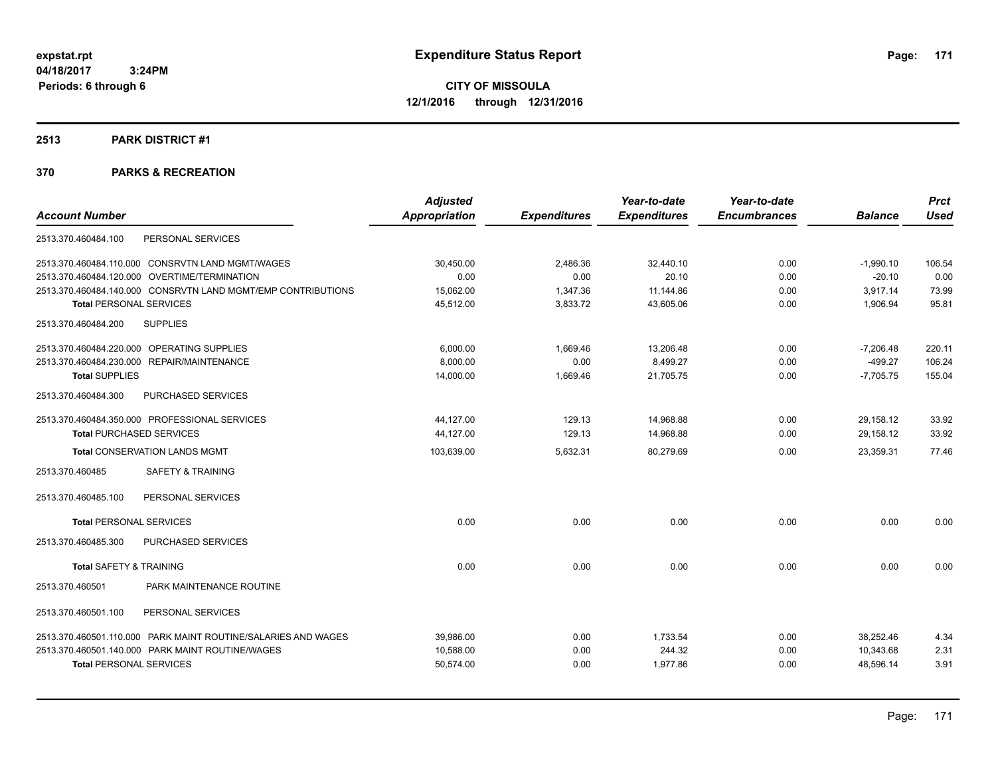#### **2513 PARK DISTRICT #1**

|                                                               | <b>Adjusted</b> |                     | Year-to-date        | Year-to-date        |                | <b>Prct</b> |
|---------------------------------------------------------------|-----------------|---------------------|---------------------|---------------------|----------------|-------------|
| <b>Account Number</b>                                         | Appropriation   | <b>Expenditures</b> | <b>Expenditures</b> | <b>Encumbrances</b> | <b>Balance</b> | <b>Used</b> |
| PERSONAL SERVICES<br>2513.370.460484.100                      |                 |                     |                     |                     |                |             |
| 2513.370.460484.110.000 CONSRVTN LAND MGMT/WAGES              | 30,450.00       | 2,486.36            | 32,440.10           | 0.00                | $-1,990.10$    | 106.54      |
| 2513.370.460484.120.000 OVERTIME/TERMINATION                  | 0.00            | 0.00                | 20.10               | 0.00                | $-20.10$       | 0.00        |
| 2513.370.460484.140.000 CONSRVTN LAND MGMT/EMP CONTRIBUTIONS  | 15,062.00       | 1,347.36            | 11,144.86           | 0.00                | 3,917.14       | 73.99       |
| <b>Total PERSONAL SERVICES</b>                                | 45,512.00       | 3,833.72            | 43,605.06           | 0.00                | 1,906.94       | 95.81       |
| <b>SUPPLIES</b><br>2513.370.460484.200                        |                 |                     |                     |                     |                |             |
| 2513.370.460484.220.000 OPERATING SUPPLIES                    | 6,000.00        | 1,669.46            | 13,206.48           | 0.00                | $-7,206.48$    | 220.11      |
| 2513.370.460484.230.000 REPAIR/MAINTENANCE                    | 8.000.00        | 0.00                | 8,499.27            | 0.00                | $-499.27$      | 106.24      |
| <b>Total SUPPLIES</b>                                         | 14,000.00       | 1,669.46            | 21,705.75           | 0.00                | $-7,705.75$    | 155.04      |
| PURCHASED SERVICES<br>2513.370.460484.300                     |                 |                     |                     |                     |                |             |
| 2513.370.460484.350.000 PROFESSIONAL SERVICES                 | 44.127.00       | 129.13              | 14,968.88           | 0.00                | 29,158.12      | 33.92       |
| <b>Total PURCHASED SERVICES</b>                               | 44,127.00       | 129.13              | 14,968.88           | 0.00                | 29,158.12      | 33.92       |
| <b>Total CONSERVATION LANDS MGMT</b>                          | 103,639.00      | 5,632.31            | 80,279.69           | 0.00                | 23.359.31      | 77.46       |
| 2513.370.460485<br><b>SAFETY &amp; TRAINING</b>               |                 |                     |                     |                     |                |             |
| 2513.370.460485.100<br>PERSONAL SERVICES                      |                 |                     |                     |                     |                |             |
| <b>Total PERSONAL SERVICES</b>                                | 0.00            | 0.00                | 0.00                | 0.00                | 0.00           | 0.00        |
| 2513.370.460485.300<br>PURCHASED SERVICES                     |                 |                     |                     |                     |                |             |
| <b>Total SAFETY &amp; TRAINING</b>                            | 0.00            | 0.00                | 0.00                | 0.00                | 0.00           | 0.00        |
| PARK MAINTENANCE ROUTINE<br>2513.370.460501                   |                 |                     |                     |                     |                |             |
| 2513.370.460501.100<br>PERSONAL SERVICES                      |                 |                     |                     |                     |                |             |
| 2513.370.460501.110.000 PARK MAINT ROUTINE/SALARIES AND WAGES | 39,986.00       | 0.00                | 1,733.54            | 0.00                | 38.252.46      | 4.34        |
| 2513.370.460501.140.000 PARK MAINT ROUTINE/WAGES              | 10.588.00       | 0.00                | 244.32              | 0.00                | 10.343.68      | 2.31        |
| <b>Total PERSONAL SERVICES</b>                                | 50,574.00       | 0.00                | 1,977.86            | 0.00                | 48,596.14      | 3.91        |
|                                                               |                 |                     |                     |                     |                |             |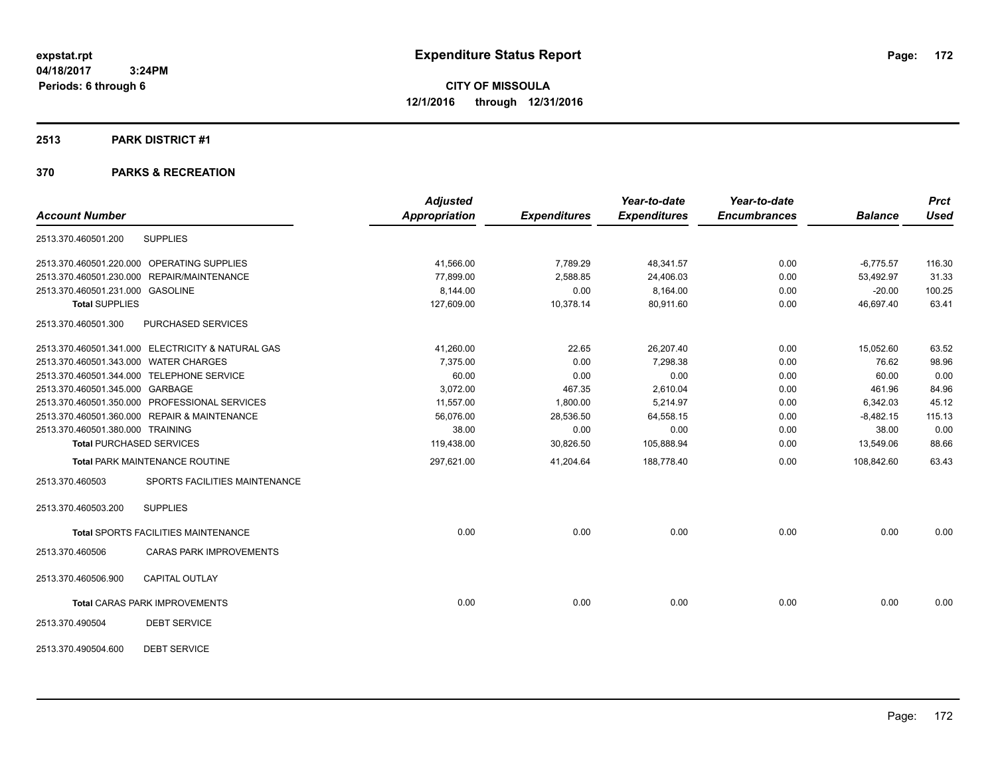#### **2513 PARK DISTRICT #1**

|                                            |                                                   | <b>Adjusted</b>      |                     | Year-to-date        | Year-to-date        |                | <b>Prct</b> |
|--------------------------------------------|---------------------------------------------------|----------------------|---------------------|---------------------|---------------------|----------------|-------------|
| <b>Account Number</b>                      |                                                   | <b>Appropriation</b> | <b>Expenditures</b> | <b>Expenditures</b> | <b>Encumbrances</b> | <b>Balance</b> | <b>Used</b> |
| 2513.370.460501.200                        | <b>SUPPLIES</b>                                   |                      |                     |                     |                     |                |             |
| 2513.370.460501.220.000 OPERATING SUPPLIES |                                                   | 41,566.00            | 7,789.29            | 48,341.57           | 0.00                | $-6,775.57$    | 116.30      |
| 2513.370.460501.230.000 REPAIR/MAINTENANCE |                                                   | 77,899.00            | 2,588.85            | 24,406.03           | 0.00                | 53,492.97      | 31.33       |
| 2513.370.460501.231.000 GASOLINE           |                                                   | 8,144.00             | 0.00                | 8,164.00            | 0.00                | $-20.00$       | 100.25      |
| <b>Total SUPPLIES</b>                      |                                                   | 127,609.00           | 10,378.14           | 80,911.60           | 0.00                | 46,697.40      | 63.41       |
| 2513.370.460501.300                        | PURCHASED SERVICES                                |                      |                     |                     |                     |                |             |
|                                            | 2513.370.460501.341.000 ELECTRICITY & NATURAL GAS | 41,260.00            | 22.65               | 26,207.40           | 0.00                | 15,052.60      | 63.52       |
| 2513.370.460501.343.000 WATER CHARGES      |                                                   | 7,375.00             | 0.00                | 7,298.38            | 0.00                | 76.62          | 98.96       |
| 2513.370.460501.344.000 TELEPHONE SERVICE  |                                                   | 60.00                | 0.00                | 0.00                | 0.00                | 60.00          | 0.00        |
| 2513.370.460501.345.000 GARBAGE            |                                                   | 3,072.00             | 467.35              | 2,610.04            | 0.00                | 461.96         | 84.96       |
|                                            | 2513.370.460501.350.000 PROFESSIONAL SERVICES     | 11,557.00            | 1,800.00            | 5,214.97            | 0.00                | 6,342.03       | 45.12       |
|                                            | 2513.370.460501.360.000 REPAIR & MAINTENANCE      | 56,076.00            | 28,536.50           | 64,558.15           | 0.00                | $-8,482.15$    | 115.13      |
| 2513.370.460501.380.000 TRAINING           |                                                   | 38.00                | 0.00                | 0.00                | 0.00                | 38.00          | 0.00        |
| <b>Total PURCHASED SERVICES</b>            |                                                   | 119,438.00           | 30,826.50           | 105,888.94          | 0.00                | 13,549.06      | 88.66       |
|                                            | <b>Total PARK MAINTENANCE ROUTINE</b>             | 297,621.00           | 41,204.64           | 188,778.40          | 0.00                | 108,842.60     | 63.43       |
| 2513.370.460503                            | SPORTS FACILITIES MAINTENANCE                     |                      |                     |                     |                     |                |             |
| 2513.370.460503.200                        | <b>SUPPLIES</b>                                   |                      |                     |                     |                     |                |             |
|                                            | <b>Total SPORTS FACILITIES MAINTENANCE</b>        | 0.00                 | 0.00                | 0.00                | 0.00                | 0.00           | 0.00        |
| 2513.370.460506                            | <b>CARAS PARK IMPROVEMENTS</b>                    |                      |                     |                     |                     |                |             |
| 2513.370.460506.900                        | <b>CAPITAL OUTLAY</b>                             |                      |                     |                     |                     |                |             |
|                                            | <b>Total CARAS PARK IMPROVEMENTS</b>              | 0.00                 | 0.00                | 0.00                | 0.00                | 0.00           | 0.00        |
| 2513.370.490504                            | <b>DEBT SERVICE</b>                               |                      |                     |                     |                     |                |             |
| 2513.370.490504.600                        | <b>DEBT SERVICE</b>                               |                      |                     |                     |                     |                |             |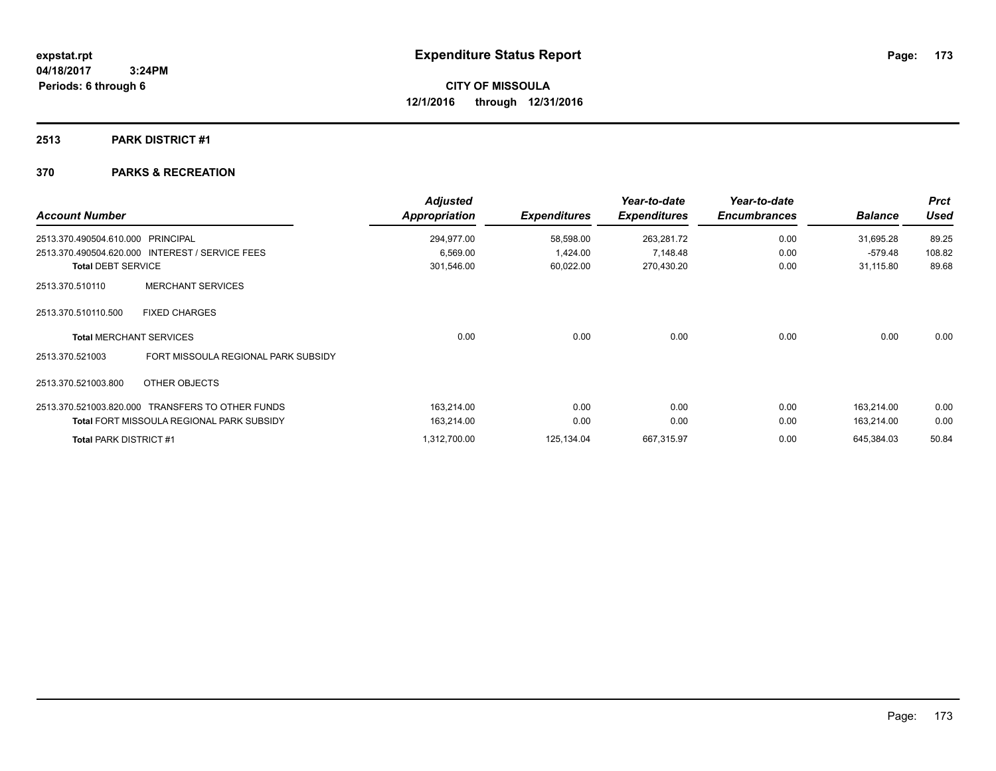# **2513 PARK DISTRICT #1**

| <b>Account Number</b>         |                                                  | <b>Adjusted</b><br><b>Appropriation</b> | <b>Expenditures</b> | Year-to-date<br><b>Expenditures</b> | Year-to-date<br><b>Encumbrances</b> | <b>Balance</b> | <b>Prct</b><br><b>Used</b> |
|-------------------------------|--------------------------------------------------|-----------------------------------------|---------------------|-------------------------------------|-------------------------------------|----------------|----------------------------|
| 2513.370.490504.610.000       | PRINCIPAL                                        | 294,977.00                              | 58,598.00           | 263,281.72                          | 0.00                                | 31,695.28      | 89.25                      |
|                               | 2513.370.490504.620.000 INTEREST / SERVICE FEES  | 6,569.00                                | 1,424.00            | 7,148.48                            | 0.00                                | $-579.48$      | 108.82                     |
| <b>Total DEBT SERVICE</b>     |                                                  | 301,546.00                              | 60,022.00           | 270,430.20                          | 0.00                                | 31,115.80      | 89.68                      |
| 2513.370.510110               | <b>MERCHANT SERVICES</b>                         |                                         |                     |                                     |                                     |                |                            |
| 2513.370.510110.500           | <b>FIXED CHARGES</b>                             |                                         |                     |                                     |                                     |                |                            |
|                               | <b>Total MERCHANT SERVICES</b>                   | 0.00                                    | 0.00                | 0.00                                | 0.00                                | 0.00           | 0.00                       |
| 2513.370.521003               | FORT MISSOULA REGIONAL PARK SUBSIDY              |                                         |                     |                                     |                                     |                |                            |
| 2513.370.521003.800           | OTHER OBJECTS                                    |                                         |                     |                                     |                                     |                |                            |
|                               | 2513.370.521003.820.000 TRANSFERS TO OTHER FUNDS | 163,214.00                              | 0.00                | 0.00                                | 0.00                                | 163,214.00     | 0.00                       |
|                               | <b>Total FORT MISSOULA REGIONAL PARK SUBSIDY</b> | 163,214.00                              | 0.00                | 0.00                                | 0.00                                | 163,214.00     | 0.00                       |
| <b>Total PARK DISTRICT #1</b> |                                                  | 1,312,700.00                            | 125,134.04          | 667,315.97                          | 0.00                                | 645,384.03     | 50.84                      |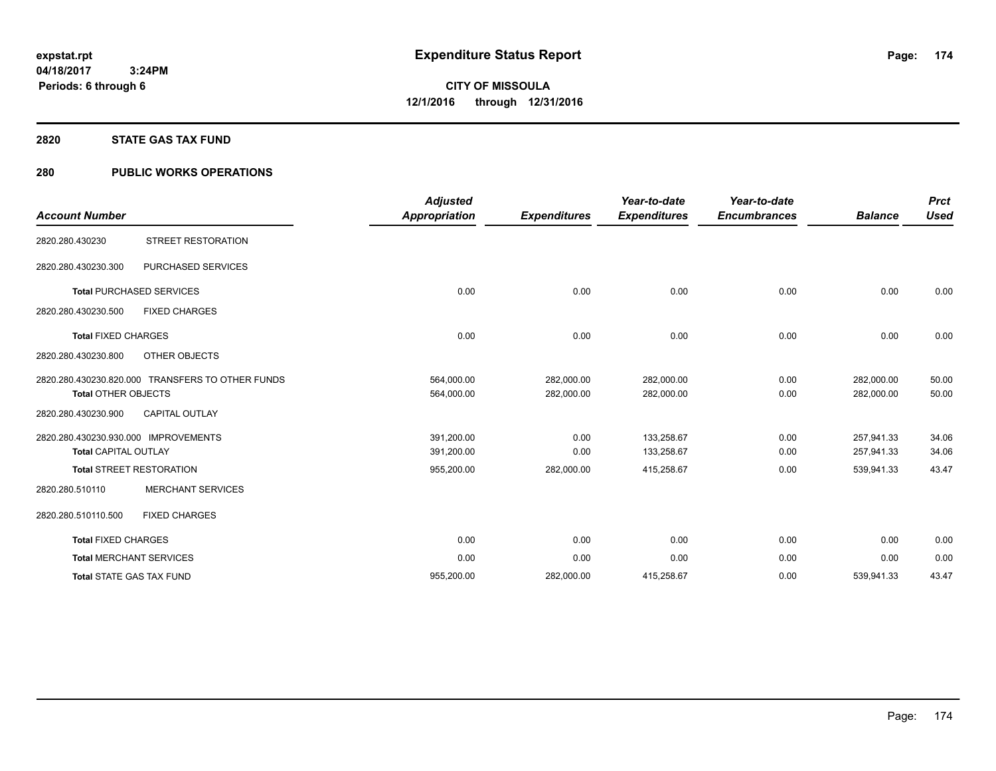#### **2820 STATE GAS TAX FUND**

# **280 PUBLIC WORKS OPERATIONS**

| <b>Account Number</b>                                               |                                                  | <b>Adjusted</b><br><b>Appropriation</b> | <b>Expenditures</b>      | Year-to-date<br><b>Expenditures</b> | Year-to-date<br><b>Encumbrances</b> | <b>Balance</b>           | <b>Prct</b><br><b>Used</b> |
|---------------------------------------------------------------------|--------------------------------------------------|-----------------------------------------|--------------------------|-------------------------------------|-------------------------------------|--------------------------|----------------------------|
| 2820.280.430230                                                     | <b>STREET RESTORATION</b>                        |                                         |                          |                                     |                                     |                          |                            |
| 2820.280.430230.300                                                 | PURCHASED SERVICES                               |                                         |                          |                                     |                                     |                          |                            |
|                                                                     | <b>Total PURCHASED SERVICES</b>                  | 0.00                                    | 0.00                     | 0.00                                | 0.00                                | 0.00                     | 0.00                       |
| 2820.280.430230.500                                                 | <b>FIXED CHARGES</b>                             |                                         |                          |                                     |                                     |                          |                            |
| <b>Total FIXED CHARGES</b>                                          |                                                  | 0.00                                    | 0.00                     | 0.00                                | 0.00                                | 0.00                     | 0.00                       |
| 2820.280.430230.800                                                 | OTHER OBJECTS                                    |                                         |                          |                                     |                                     |                          |                            |
| <b>Total OTHER OBJECTS</b>                                          | 2820.280.430230.820.000 TRANSFERS TO OTHER FUNDS | 564,000.00<br>564,000.00                | 282,000.00<br>282,000.00 | 282,000.00<br>282,000.00            | 0.00<br>0.00                        | 282,000.00<br>282,000.00 | 50.00<br>50.00             |
| 2820.280.430230.900                                                 | <b>CAPITAL OUTLAY</b>                            |                                         |                          |                                     |                                     |                          |                            |
| 2820.280.430230.930.000 IMPROVEMENTS<br><b>Total CAPITAL OUTLAY</b> |                                                  | 391,200.00<br>391,200.00                | 0.00<br>0.00             | 133,258.67<br>133,258.67            | 0.00<br>0.00                        | 257,941.33<br>257,941.33 | 34.06<br>34.06             |
|                                                                     | <b>Total STREET RESTORATION</b>                  | 955,200.00                              | 282,000.00               | 415,258.67                          | 0.00                                | 539,941.33               | 43.47                      |
| 2820.280.510110                                                     | <b>MERCHANT SERVICES</b>                         |                                         |                          |                                     |                                     |                          |                            |
| 2820.280.510110.500                                                 | <b>FIXED CHARGES</b>                             |                                         |                          |                                     |                                     |                          |                            |
| <b>Total FIXED CHARGES</b>                                          |                                                  | 0.00                                    | 0.00                     | 0.00                                | 0.00                                | 0.00                     | 0.00                       |
|                                                                     | <b>Total MERCHANT SERVICES</b>                   | 0.00                                    | 0.00                     | 0.00                                | 0.00                                | 0.00                     | 0.00                       |
|                                                                     | <b>Total STATE GAS TAX FUND</b>                  | 955,200.00                              | 282,000.00               | 415,258.67                          | 0.00                                | 539,941.33               | 43.47                      |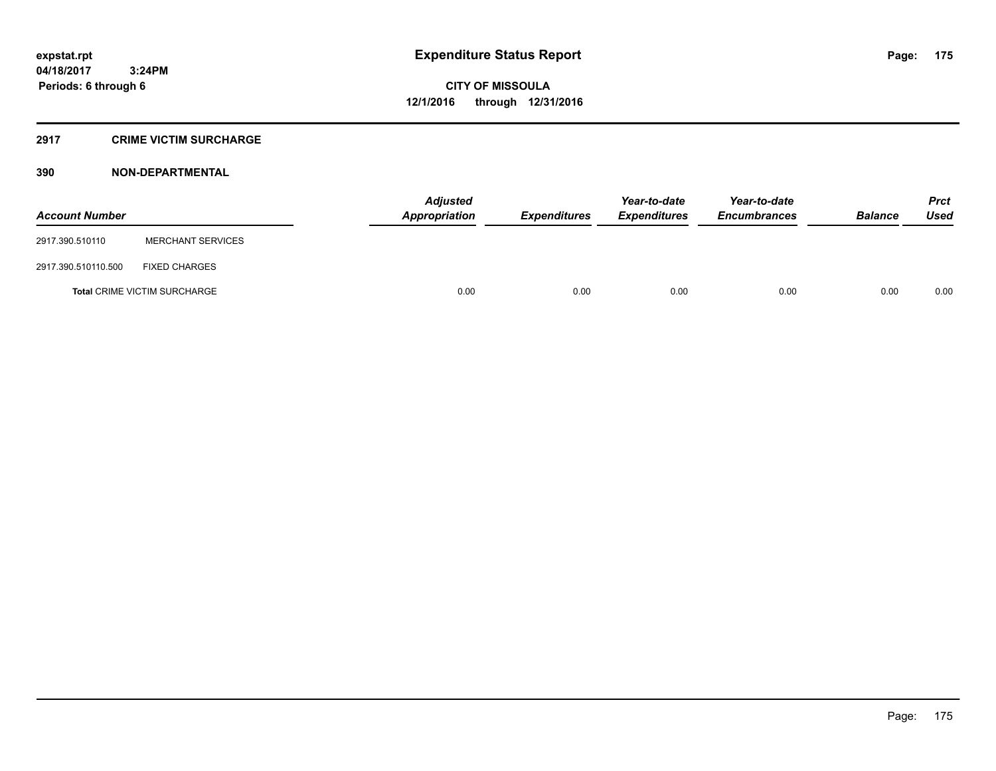# **2917 CRIME VICTIM SURCHARGE**

| <b>Account Number</b> |                                     | Adjusted<br>Appropriation | <b>Expenditures</b> | Year-to-date<br><b>Expenditures</b> | Year-to-date<br><b>Encumbrances</b> | <b>Balance</b> | <b>Prct</b><br><b>Used</b> |
|-----------------------|-------------------------------------|---------------------------|---------------------|-------------------------------------|-------------------------------------|----------------|----------------------------|
| 2917.390.510110       | <b>MERCHANT SERVICES</b>            |                           |                     |                                     |                                     |                |                            |
| 2917.390.510110.500   | <b>FIXED CHARGES</b>                |                           |                     |                                     |                                     |                |                            |
|                       | <b>Total CRIME VICTIM SURCHARGE</b> | 0.00                      | 0.00                | 0.00                                | 0.00                                | 0.00           | 0.00                       |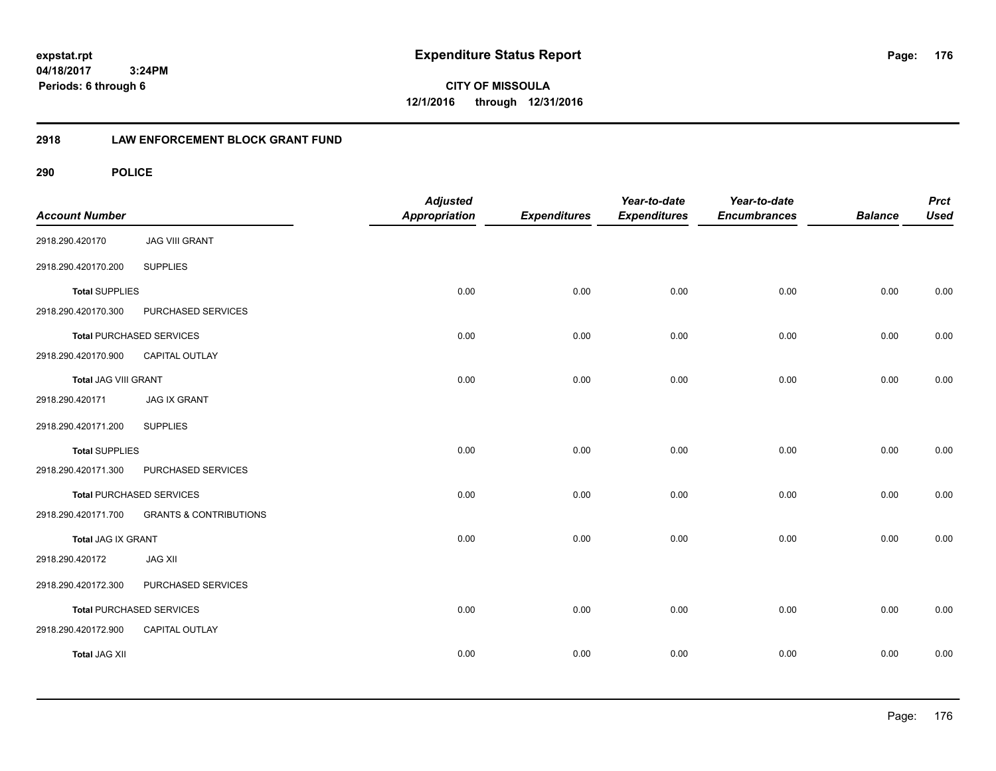**CITY OF MISSOULA 12/1/2016 through 12/31/2016**

# **2918 LAW ENFORCEMENT BLOCK GRANT FUND**

| <b>Account Number</b> |                                   | <b>Adjusted</b><br>Appropriation | <b>Expenditures</b> | Year-to-date<br><b>Expenditures</b> | Year-to-date<br><b>Encumbrances</b> | <b>Balance</b> | <b>Prct</b><br><b>Used</b> |
|-----------------------|-----------------------------------|----------------------------------|---------------------|-------------------------------------|-------------------------------------|----------------|----------------------------|
| 2918.290.420170       | <b>JAG VIII GRANT</b>             |                                  |                     |                                     |                                     |                |                            |
| 2918.290.420170.200   | <b>SUPPLIES</b>                   |                                  |                     |                                     |                                     |                |                            |
| <b>Total SUPPLIES</b> |                                   | 0.00                             | 0.00                | 0.00                                | 0.00                                | 0.00           | 0.00                       |
| 2918.290.420170.300   | PURCHASED SERVICES                |                                  |                     |                                     |                                     |                |                            |
|                       | <b>Total PURCHASED SERVICES</b>   | 0.00                             | 0.00                | 0.00                                | 0.00                                | 0.00           | 0.00                       |
| 2918.290.420170.900   | CAPITAL OUTLAY                    |                                  |                     |                                     |                                     |                |                            |
| Total JAG VIII GRANT  |                                   | 0.00                             | 0.00                | 0.00                                | 0.00                                | 0.00           | 0.00                       |
| 2918.290.420171       | <b>JAG IX GRANT</b>               |                                  |                     |                                     |                                     |                |                            |
| 2918.290.420171.200   | <b>SUPPLIES</b>                   |                                  |                     |                                     |                                     |                |                            |
| <b>Total SUPPLIES</b> |                                   | 0.00                             | 0.00                | 0.00                                | 0.00                                | 0.00           | 0.00                       |
| 2918.290.420171.300   | PURCHASED SERVICES                |                                  |                     |                                     |                                     |                |                            |
|                       | <b>Total PURCHASED SERVICES</b>   | 0.00                             | 0.00                | 0.00                                | 0.00                                | 0.00           | 0.00                       |
| 2918.290.420171.700   | <b>GRANTS &amp; CONTRIBUTIONS</b> |                                  |                     |                                     |                                     |                |                            |
| Total JAG IX GRANT    |                                   | 0.00                             | 0.00                | 0.00                                | 0.00                                | 0.00           | 0.00                       |
| 2918.290.420172       | <b>JAG XII</b>                    |                                  |                     |                                     |                                     |                |                            |
| 2918.290.420172.300   | PURCHASED SERVICES                |                                  |                     |                                     |                                     |                |                            |
|                       | <b>Total PURCHASED SERVICES</b>   | 0.00                             | 0.00                | 0.00                                | 0.00                                | 0.00           | 0.00                       |
| 2918.290.420172.900   | <b>CAPITAL OUTLAY</b>             |                                  |                     |                                     |                                     |                |                            |
| <b>Total JAG XII</b>  |                                   | 0.00                             | 0.00                | 0.00                                | 0.00                                | 0.00           | 0.00                       |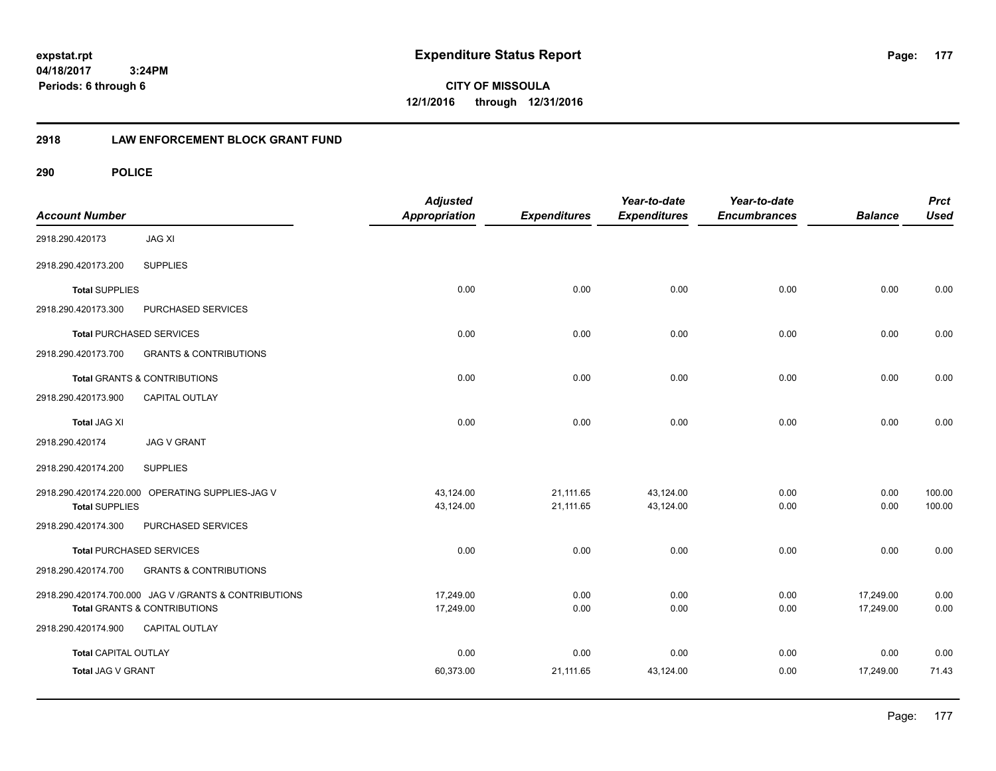**CITY OF MISSOULA 12/1/2016 through 12/31/2016**

# **2918 LAW ENFORCEMENT BLOCK GRANT FUND**

| <b>Account Number</b>       |                                                                                                   | <b>Adjusted</b><br><b>Appropriation</b> | <b>Expenditures</b>    | Year-to-date<br><b>Expenditures</b> | Year-to-date<br><b>Encumbrances</b> | <b>Balance</b>         | <b>Prct</b><br><b>Used</b> |
|-----------------------------|---------------------------------------------------------------------------------------------------|-----------------------------------------|------------------------|-------------------------------------|-------------------------------------|------------------------|----------------------------|
| 2918.290.420173             | <b>JAG XI</b>                                                                                     |                                         |                        |                                     |                                     |                        |                            |
| 2918.290.420173.200         | <b>SUPPLIES</b>                                                                                   |                                         |                        |                                     |                                     |                        |                            |
| <b>Total SUPPLIES</b>       |                                                                                                   | 0.00                                    | 0.00                   | 0.00                                | 0.00                                | 0.00                   | 0.00                       |
| 2918.290.420173.300         | PURCHASED SERVICES                                                                                |                                         |                        |                                     |                                     |                        |                            |
|                             | <b>Total PURCHASED SERVICES</b>                                                                   | 0.00                                    | 0.00                   | 0.00                                | 0.00                                | 0.00                   | 0.00                       |
| 2918.290.420173.700         | <b>GRANTS &amp; CONTRIBUTIONS</b>                                                                 |                                         |                        |                                     |                                     |                        |                            |
|                             | <b>Total GRANTS &amp; CONTRIBUTIONS</b>                                                           | 0.00                                    | 0.00                   | 0.00                                | 0.00                                | 0.00                   | 0.00                       |
| 2918.290.420173.900         | <b>CAPITAL OUTLAY</b>                                                                             |                                         |                        |                                     |                                     |                        |                            |
| <b>Total JAG XI</b>         |                                                                                                   | 0.00                                    | 0.00                   | 0.00                                | 0.00                                | 0.00                   | 0.00                       |
| 2918.290.420174             | <b>JAG V GRANT</b>                                                                                |                                         |                        |                                     |                                     |                        |                            |
| 2918.290.420174.200         | <b>SUPPLIES</b>                                                                                   |                                         |                        |                                     |                                     |                        |                            |
| <b>Total SUPPLIES</b>       | 2918.290.420174.220.000 OPERATING SUPPLIES-JAG V                                                  | 43,124.00<br>43,124.00                  | 21,111.65<br>21,111.65 | 43,124.00<br>43,124.00              | 0.00<br>0.00                        | 0.00<br>0.00           | 100.00<br>100.00           |
| 2918.290.420174.300         | PURCHASED SERVICES                                                                                |                                         |                        |                                     |                                     |                        |                            |
|                             | <b>Total PURCHASED SERVICES</b>                                                                   | 0.00                                    | 0.00                   | 0.00                                | 0.00                                | 0.00                   | 0.00                       |
| 2918.290.420174.700         | <b>GRANTS &amp; CONTRIBUTIONS</b>                                                                 |                                         |                        |                                     |                                     |                        |                            |
|                             | 2918.290.420174.700.000 JAG V / GRANTS & CONTRIBUTIONS<br><b>Total GRANTS &amp; CONTRIBUTIONS</b> | 17.249.00<br>17,249.00                  | 0.00<br>0.00           | 0.00<br>0.00                        | 0.00<br>0.00                        | 17.249.00<br>17,249.00 | 0.00<br>0.00               |
| 2918.290.420174.900         | CAPITAL OUTLAY                                                                                    |                                         |                        |                                     |                                     |                        |                            |
| <b>Total CAPITAL OUTLAY</b> |                                                                                                   | 0.00                                    | 0.00                   | 0.00                                | 0.00                                | 0.00                   | 0.00                       |
| Total JAG V GRANT           |                                                                                                   | 60,373.00                               | 21,111.65              | 43,124.00                           | 0.00                                | 17,249.00              | 71.43                      |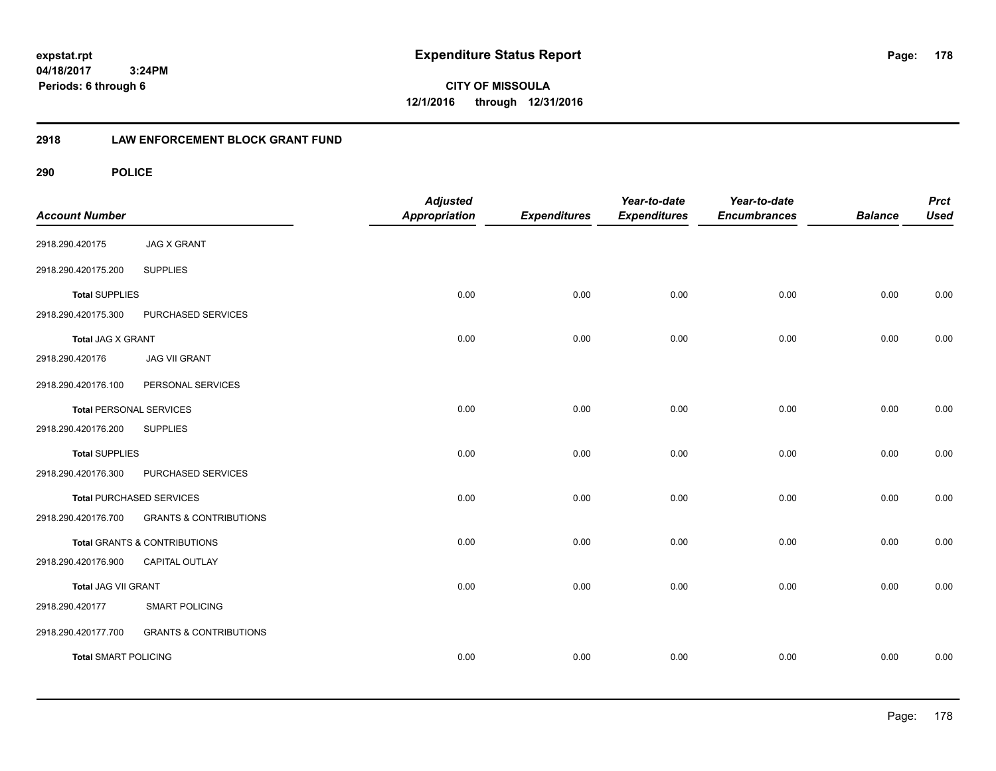**expstat.rpt Expenditure Status Report** 

**04/18/2017 3:24PM Periods: 6 through 6**

**CITY OF MISSOULA 12/1/2016 through 12/31/2016**

# **2918 LAW ENFORCEMENT BLOCK GRANT FUND**

| <b>Account Number</b>          |                                   | <b>Adjusted</b><br><b>Appropriation</b> | <b>Expenditures</b> | Year-to-date<br><b>Expenditures</b> | Year-to-date<br><b>Encumbrances</b> | <b>Balance</b> | <b>Prct</b><br><b>Used</b> |
|--------------------------------|-----------------------------------|-----------------------------------------|---------------------|-------------------------------------|-------------------------------------|----------------|----------------------------|
| 2918.290.420175                | <b>JAG X GRANT</b>                |                                         |                     |                                     |                                     |                |                            |
| 2918.290.420175.200            | <b>SUPPLIES</b>                   |                                         |                     |                                     |                                     |                |                            |
| <b>Total SUPPLIES</b>          |                                   | 0.00                                    | 0.00                | 0.00                                | 0.00                                | 0.00           | 0.00                       |
| 2918.290.420175.300            | PURCHASED SERVICES                |                                         |                     |                                     |                                     |                |                            |
| <b>Total JAG X GRANT</b>       |                                   | 0.00                                    | 0.00                | 0.00                                | 0.00                                | 0.00           | 0.00                       |
| 2918.290.420176                | <b>JAG VII GRANT</b>              |                                         |                     |                                     |                                     |                |                            |
| 2918.290.420176.100            | PERSONAL SERVICES                 |                                         |                     |                                     |                                     |                |                            |
| <b>Total PERSONAL SERVICES</b> |                                   | 0.00                                    | 0.00                | 0.00                                | 0.00                                | 0.00           | 0.00                       |
| 2918.290.420176.200            | <b>SUPPLIES</b>                   |                                         |                     |                                     |                                     |                |                            |
| <b>Total SUPPLIES</b>          |                                   | 0.00                                    | 0.00                | 0.00                                | 0.00                                | 0.00           | 0.00                       |
| 2918.290.420176.300            | PURCHASED SERVICES                |                                         |                     |                                     |                                     |                |                            |
|                                | <b>Total PURCHASED SERVICES</b>   | 0.00                                    | 0.00                | 0.00                                | 0.00                                | 0.00           | 0.00                       |
| 2918.290.420176.700            | <b>GRANTS &amp; CONTRIBUTIONS</b> |                                         |                     |                                     |                                     |                |                            |
|                                | Total GRANTS & CONTRIBUTIONS      | 0.00                                    | 0.00                | 0.00                                | 0.00                                | 0.00           | 0.00                       |
| 2918.290.420176.900            | CAPITAL OUTLAY                    |                                         |                     |                                     |                                     |                |                            |
| <b>Total JAG VII GRANT</b>     |                                   | 0.00                                    | 0.00                | 0.00                                | 0.00                                | 0.00           | 0.00                       |
| 2918.290.420177                | <b>SMART POLICING</b>             |                                         |                     |                                     |                                     |                |                            |
| 2918.290.420177.700            | <b>GRANTS &amp; CONTRIBUTIONS</b> |                                         |                     |                                     |                                     |                |                            |
| <b>Total SMART POLICING</b>    |                                   | 0.00                                    | 0.00                | 0.00                                | 0.00                                | 0.00           | 0.00                       |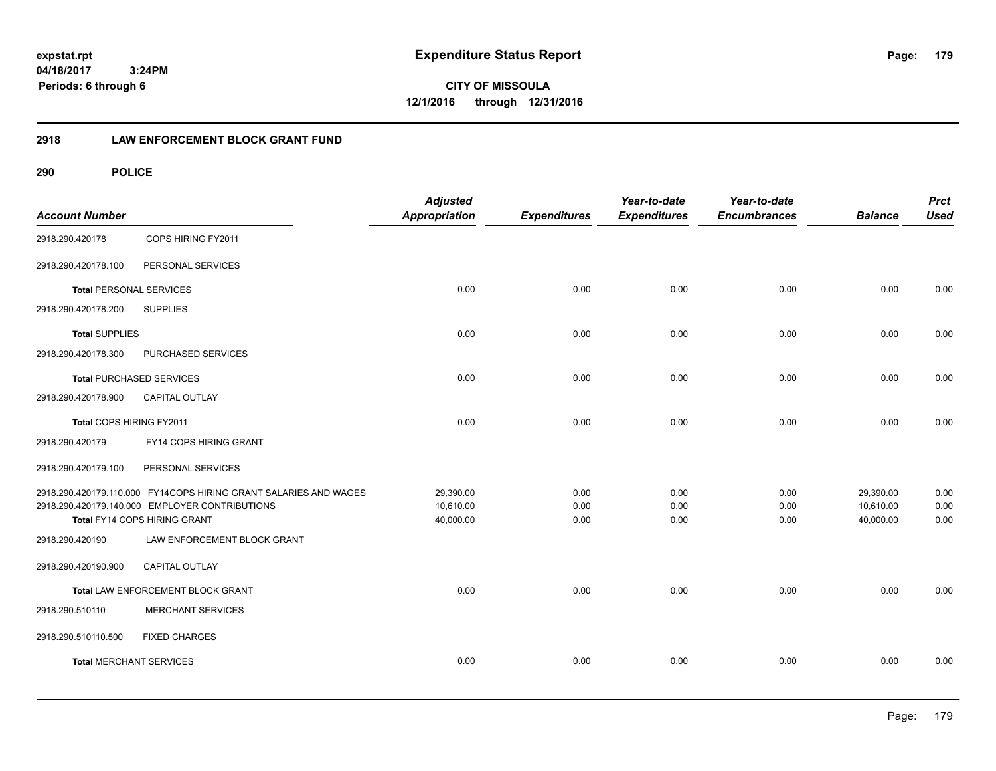**expstat.rpt Expenditure Status Report** 

**04/18/2017 3:24PM Periods: 6 through 6**

**CITY OF MISSOULA 12/1/2016 through 12/31/2016**

# **2918 LAW ENFORCEMENT BLOCK GRANT FUND**

| <b>Account Number</b>           |                                                                                | <b>Adjusted</b><br>Appropriation | <b>Expenditures</b> | Year-to-date<br><b>Expenditures</b> | Year-to-date<br><b>Encumbrances</b> | <b>Balance</b> | <b>Prct</b><br><b>Used</b> |
|---------------------------------|--------------------------------------------------------------------------------|----------------------------------|---------------------|-------------------------------------|-------------------------------------|----------------|----------------------------|
| 2918.290.420178                 | COPS HIRING FY2011                                                             |                                  |                     |                                     |                                     |                |                            |
| 2918.290.420178.100             | PERSONAL SERVICES                                                              |                                  |                     |                                     |                                     |                |                            |
| <b>Total PERSONAL SERVICES</b>  |                                                                                | 0.00                             | 0.00                | 0.00                                | 0.00                                | 0.00           | 0.00                       |
| 2918.290.420178.200             | <b>SUPPLIES</b>                                                                |                                  |                     |                                     |                                     |                |                            |
| <b>Total SUPPLIES</b>           |                                                                                | 0.00                             | 0.00                | 0.00                                | 0.00                                | 0.00           | 0.00                       |
| 2918.290.420178.300             | PURCHASED SERVICES                                                             |                                  |                     |                                     |                                     |                |                            |
| <b>Total PURCHASED SERVICES</b> |                                                                                | 0.00                             | 0.00                | 0.00                                | 0.00                                | 0.00           | 0.00                       |
| 2918.290.420178.900             | <b>CAPITAL OUTLAY</b>                                                          |                                  |                     |                                     |                                     |                |                            |
| Total COPS HIRING FY2011        |                                                                                | 0.00                             | 0.00                | 0.00                                | 0.00                                | 0.00           | 0.00                       |
| 2918.290.420179                 | FY14 COPS HIRING GRANT                                                         |                                  |                     |                                     |                                     |                |                            |
| 2918.290.420179.100             | PERSONAL SERVICES                                                              |                                  |                     |                                     |                                     |                |                            |
|                                 | 2918.290.420179.110.000 FY14COPS HIRING GRANT SALARIES AND WAGES               | 29,390.00                        | 0.00                | 0.00                                | 0.00                                | 29,390.00      | 0.00                       |
|                                 | 2918.290.420179.140.000 EMPLOYER CONTRIBUTIONS<br>Total FY14 COPS HIRING GRANT | 10,610.00                        | 0.00                | 0.00                                | 0.00<br>0.00                        | 10,610.00      | 0.00                       |
| 2918.290.420190                 | LAW ENFORCEMENT BLOCK GRANT                                                    | 40,000.00                        | 0.00                | 0.00                                |                                     | 40,000.00      | 0.00                       |
| 2918.290.420190.900             | <b>CAPITAL OUTLAY</b>                                                          |                                  |                     |                                     |                                     |                |                            |
|                                 | Total LAW ENFORCEMENT BLOCK GRANT                                              | 0.00                             | 0.00                | 0.00                                | 0.00                                | 0.00           | 0.00                       |
| 2918.290.510110                 | <b>MERCHANT SERVICES</b>                                                       |                                  |                     |                                     |                                     |                |                            |
| 2918.290.510110.500             | <b>FIXED CHARGES</b>                                                           |                                  |                     |                                     |                                     |                |                            |
| <b>Total MERCHANT SERVICES</b>  |                                                                                | 0.00                             | 0.00                | 0.00                                | 0.00                                | 0.00           | 0.00                       |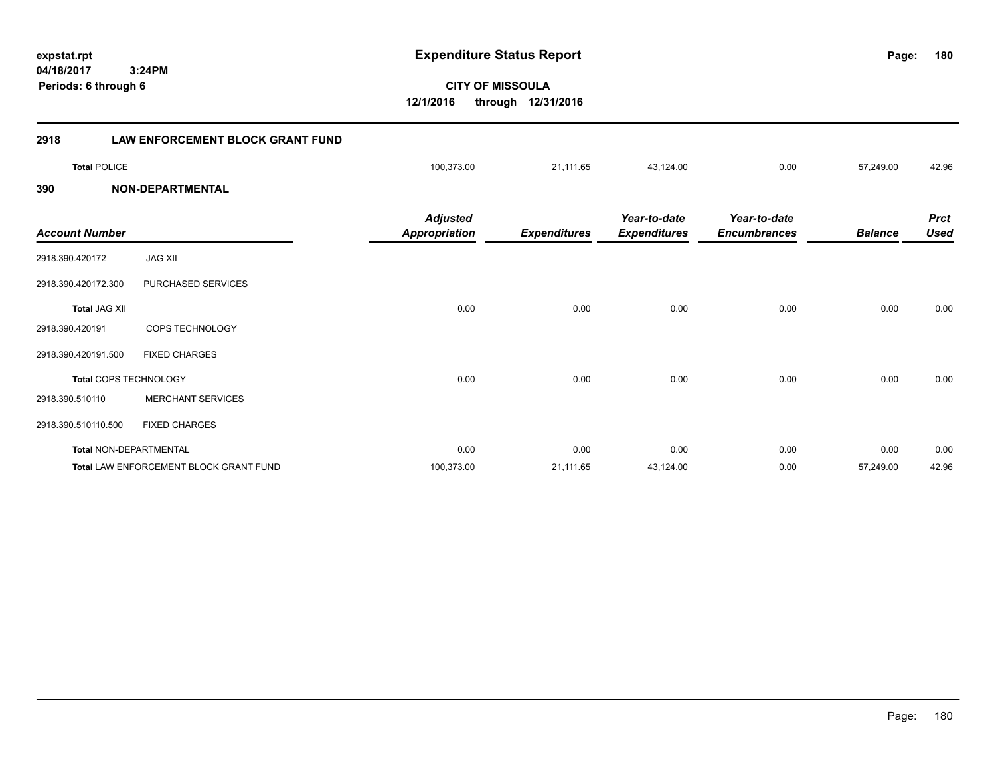**180**

**CITY OF MISSOULA 12/1/2016 through 12/31/2016**

| 2918                  | <b>LAW ENFORCEMENT BLOCK GRANT FUND</b> |                                         |                     |                                     |                                     |                |                            |
|-----------------------|-----------------------------------------|-----------------------------------------|---------------------|-------------------------------------|-------------------------------------|----------------|----------------------------|
| <b>Total POLICE</b>   |                                         | 100,373.00                              | 21,111.65           | 43,124.00                           | 0.00                                | 57,249.00      | 42.96                      |
| 390                   | <b>NON-DEPARTMENTAL</b>                 |                                         |                     |                                     |                                     |                |                            |
| <b>Account Number</b> |                                         | <b>Adjusted</b><br><b>Appropriation</b> | <b>Expenditures</b> | Year-to-date<br><b>Expenditures</b> | Year-to-date<br><b>Encumbrances</b> | <b>Balance</b> | <b>Prct</b><br><b>Used</b> |
| 2918.390.420172       | <b>JAG XII</b>                          |                                         |                     |                                     |                                     |                |                            |
| 2918.390.420172.300   | PURCHASED SERVICES                      |                                         |                     |                                     |                                     |                |                            |
| <b>Total JAG XII</b>  |                                         | 0.00                                    | 0.00                | 0.00                                | 0.00                                | 0.00           | 0.00                       |
| 2918.390.420191       | COPS TECHNOLOGY                         |                                         |                     |                                     |                                     |                |                            |
| 2918.390.420191.500   | <b>FIXED CHARGES</b>                    |                                         |                     |                                     |                                     |                |                            |
|                       | <b>Total COPS TECHNOLOGY</b>            | 0.00                                    | 0.00                | 0.00                                | 0.00                                | 0.00           | 0.00                       |
| 2918.390.510110       | <b>MERCHANT SERVICES</b>                |                                         |                     |                                     |                                     |                |                            |
| 2918.390.510110.500   | <b>FIXED CHARGES</b>                    |                                         |                     |                                     |                                     |                |                            |
|                       | Total NON-DEPARTMENTAL                  | 0.00                                    | 0.00                | 0.00                                | 0.00                                | 0.00           | 0.00                       |
|                       | Total LAW ENFORCEMENT BLOCK GRANT FUND  | 100,373.00                              | 21,111.65           | 43,124.00                           | 0.00                                | 57,249.00      | 42.96                      |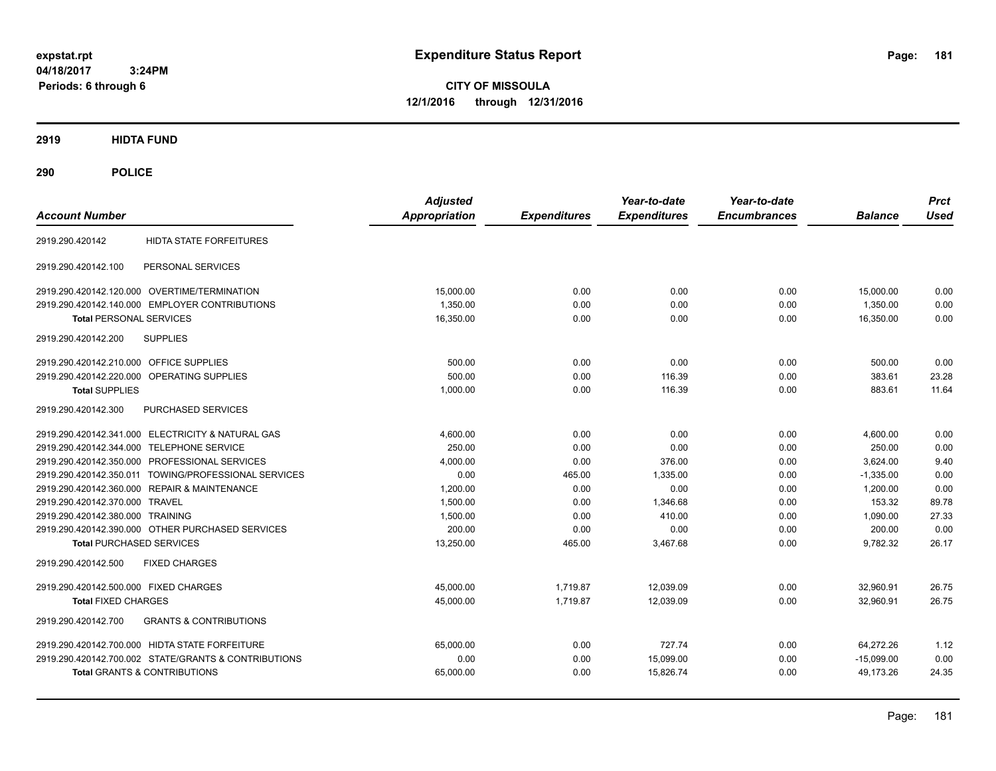**CITY OF MISSOULA 12/1/2016 through 12/31/2016**

**2919 HIDTA FUND**

**290 POLICE**

| <b>Account Number</b>                                    | <b>Adjusted</b><br><b>Appropriation</b> | <b>Expenditures</b> | Year-to-date<br><b>Expenditures</b> | Year-to-date<br><b>Encumbrances</b> | <b>Balance</b> | <b>Prct</b><br><b>Used</b> |
|----------------------------------------------------------|-----------------------------------------|---------------------|-------------------------------------|-------------------------------------|----------------|----------------------------|
| <b>HIDTA STATE FORFEITURES</b><br>2919.290.420142        |                                         |                     |                                     |                                     |                |                            |
| PERSONAL SERVICES<br>2919.290.420142.100                 |                                         |                     |                                     |                                     |                |                            |
| 2919.290.420142.120.000 OVERTIME/TERMINATION             | 15,000.00                               | 0.00                | 0.00                                | 0.00                                | 15,000.00      | 0.00                       |
| 2919.290.420142.140.000 EMPLOYER CONTRIBUTIONS           | 1,350.00                                | 0.00                | 0.00                                | 0.00                                | 1,350.00       | 0.00                       |
| <b>Total PERSONAL SERVICES</b>                           | 16,350.00                               | 0.00                | 0.00                                | 0.00                                | 16,350.00      | 0.00                       |
| <b>SUPPLIES</b><br>2919.290.420142.200                   |                                         |                     |                                     |                                     |                |                            |
| 2919.290.420142.210.000 OFFICE SUPPLIES                  | 500.00                                  | 0.00                | 0.00                                | 0.00                                | 500.00         | 0.00                       |
| 2919.290.420142.220.000 OPERATING SUPPLIES               | 500.00                                  | 0.00                | 116.39                              | 0.00                                | 383.61         | 23.28                      |
| <b>Total SUPPLIES</b>                                    | 1,000.00                                | 0.00                | 116.39                              | 0.00                                | 883.61         | 11.64                      |
| 2919.290.420142.300<br>PURCHASED SERVICES                |                                         |                     |                                     |                                     |                |                            |
| 2919.290.420142.341.000 ELECTRICITY & NATURAL GAS        | 4.600.00                                | 0.00                | 0.00                                | 0.00                                | 4,600.00       | 0.00                       |
| 2919.290.420142.344.000 TELEPHONE SERVICE                | 250.00                                  | 0.00                | 0.00                                | 0.00                                | 250.00         | 0.00                       |
| 2919.290.420142.350.000 PROFESSIONAL SERVICES            | 4,000.00                                | 0.00                | 376.00                              | 0.00                                | 3.624.00       | 9.40                       |
| 2919.290.420142.350.011 TOWING/PROFESSIONAL SERVICES     | 0.00                                    | 465.00              | 1.335.00                            | 0.00                                | $-1,335.00$    | 0.00                       |
| 2919.290.420142.360.000 REPAIR & MAINTENANCE             | 1.200.00                                | 0.00                | 0.00                                | 0.00                                | 1.200.00       | 0.00                       |
| 2919.290.420142.370.000 TRAVEL                           | 1,500.00                                | 0.00                | 1.346.68                            | 0.00                                | 153.32         | 89.78                      |
| 2919.290.420142.380.000 TRAINING                         | 1,500.00                                | 0.00                | 410.00                              | 0.00                                | 1,090.00       | 27.33                      |
| 2919.290.420142.390.000 OTHER PURCHASED SERVICES         | 200.00                                  | 0.00                | 0.00                                | 0.00                                | 200.00         | 0.00                       |
| <b>Total PURCHASED SERVICES</b>                          | 13,250.00                               | 465.00              | 3,467.68                            | 0.00                                | 9,782.32       | 26.17                      |
| 2919.290.420142.500<br><b>FIXED CHARGES</b>              |                                         |                     |                                     |                                     |                |                            |
| 2919.290.420142.500.000 FIXED CHARGES                    | 45,000.00                               | 1,719.87            | 12,039.09                           | 0.00                                | 32,960.91      | 26.75                      |
| <b>Total FIXED CHARGES</b>                               | 45,000.00                               | 1.719.87            | 12.039.09                           | 0.00                                | 32.960.91      | 26.75                      |
| <b>GRANTS &amp; CONTRIBUTIONS</b><br>2919.290.420142.700 |                                         |                     |                                     |                                     |                |                            |
| 2919.290.420142.700.000 HIDTA STATE FORFEITURE           | 65,000.00                               | 0.00                | 727.74                              | 0.00                                | 64,272.26      | 1.12                       |
| 2919.290.420142.700.002 STATE/GRANTS & CONTRIBUTIONS     | 0.00                                    | 0.00                | 15,099.00                           | 0.00                                | $-15,099.00$   | 0.00                       |
| <b>Total GRANTS &amp; CONTRIBUTIONS</b>                  | 65,000.00                               | 0.00                | 15,826.74                           | 0.00                                | 49,173.26      | 24.35                      |
|                                                          |                                         |                     |                                     |                                     |                |                            |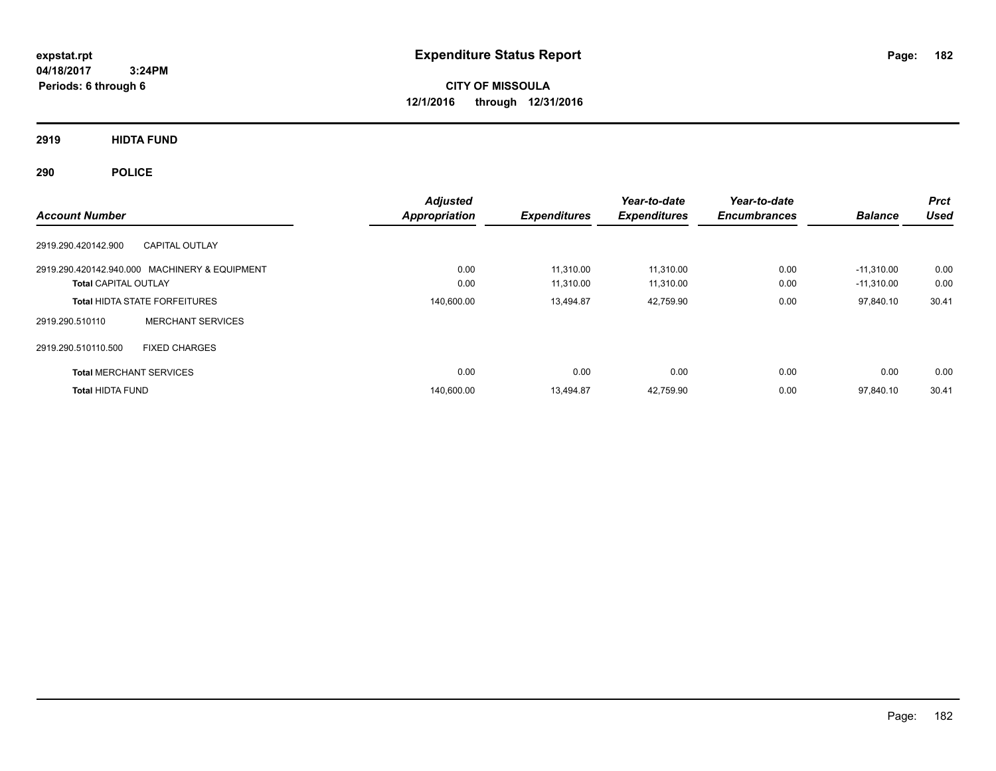**CITY OF MISSOULA 12/1/2016 through 12/31/2016**

**2919 HIDTA FUND**

**290 POLICE**

| <b>Account Number</b>                                                        | <b>Adjusted</b><br><b>Appropriation</b> | <b>Expenditures</b>    | Year-to-date<br><b>Expenditures</b> | Year-to-date<br><b>Encumbrances</b> | <b>Balance</b>               | <b>Prct</b><br><b>Used</b> |
|------------------------------------------------------------------------------|-----------------------------------------|------------------------|-------------------------------------|-------------------------------------|------------------------------|----------------------------|
| <b>CAPITAL OUTLAY</b><br>2919.290.420142.900                                 |                                         |                        |                                     |                                     |                              |                            |
| 2919.290.420142.940.000 MACHINERY & EQUIPMENT<br><b>Total CAPITAL OUTLAY</b> | 0.00<br>0.00                            | 11.310.00<br>11,310.00 | 11.310.00<br>11,310.00              | 0.00<br>0.00                        | $-11.310.00$<br>$-11,310.00$ | 0.00<br>0.00               |
| <b>Total HIDTA STATE FORFEITURES</b>                                         | 140,600.00                              | 13.494.87              | 42,759.90                           | 0.00                                | 97,840.10                    | 30.41                      |
| <b>MERCHANT SERVICES</b><br>2919.290.510110                                  |                                         |                        |                                     |                                     |                              |                            |
| 2919.290.510110.500<br><b>FIXED CHARGES</b>                                  |                                         |                        |                                     |                                     |                              |                            |
| <b>Total MERCHANT SERVICES</b>                                               | 0.00                                    | 0.00                   | 0.00                                | 0.00                                | 0.00                         | 0.00                       |
| <b>Total HIDTA FUND</b>                                                      | 140,600.00                              | 13.494.87              | 42,759.90                           | 0.00                                | 97,840.10                    | 30.41                      |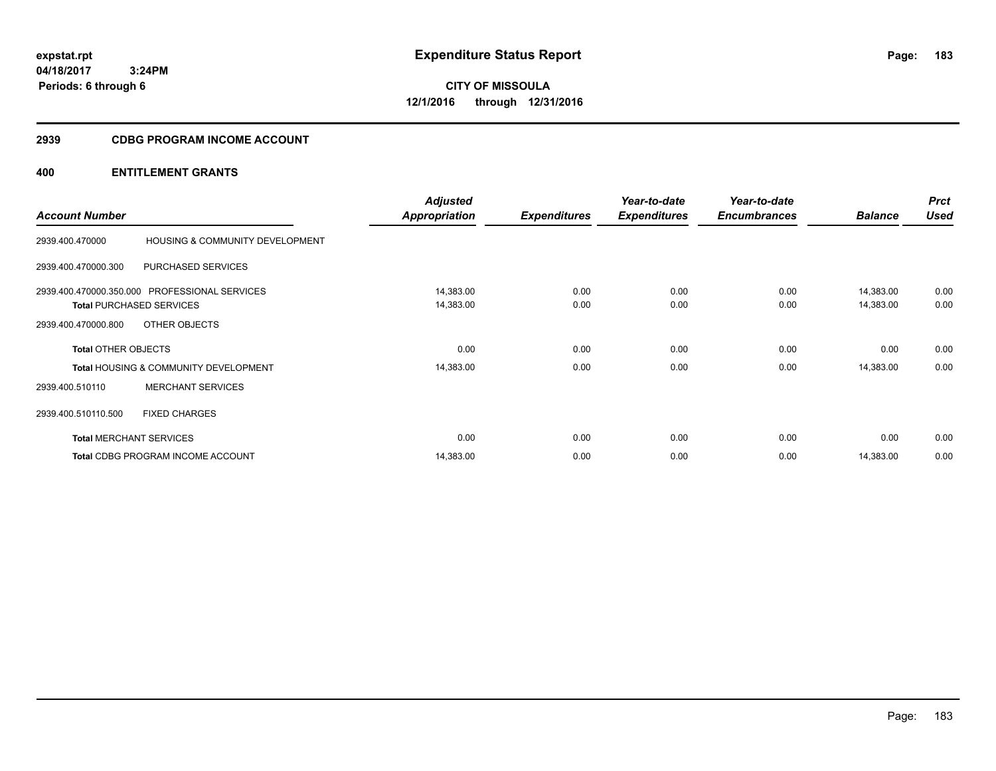**CITY OF MISSOULA 12/1/2016 through 12/31/2016**

# **2939 CDBG PROGRAM INCOME ACCOUNT**

| <b>Account Number</b>      |                                                                                  | <b>Adjusted</b><br><b>Appropriation</b> | <b>Expenditures</b> | Year-to-date<br><b>Expenditures</b> | Year-to-date<br><b>Encumbrances</b> | <b>Balance</b>         | <b>Prct</b><br><b>Used</b> |
|----------------------------|----------------------------------------------------------------------------------|-----------------------------------------|---------------------|-------------------------------------|-------------------------------------|------------------------|----------------------------|
| 2939.400.470000            | HOUSING & COMMUNITY DEVELOPMENT                                                  |                                         |                     |                                     |                                     |                        |                            |
| 2939.400.470000.300        | <b>PURCHASED SERVICES</b>                                                        |                                         |                     |                                     |                                     |                        |                            |
|                            | 2939.400.470000.350.000 PROFESSIONAL SERVICES<br><b>Total PURCHASED SERVICES</b> | 14,383.00<br>14,383.00                  | 0.00<br>0.00        | 0.00<br>0.00                        | 0.00<br>0.00                        | 14,383.00<br>14,383.00 | 0.00<br>0.00               |
| 2939.400.470000.800        | OTHER OBJECTS                                                                    |                                         |                     |                                     |                                     |                        |                            |
| <b>Total OTHER OBJECTS</b> |                                                                                  | 0.00                                    | 0.00                | 0.00                                | 0.00                                | 0.00                   | 0.00                       |
|                            | <b>Total HOUSING &amp; COMMUNITY DEVELOPMENT</b>                                 | 14,383.00                               | 0.00                | 0.00                                | 0.00                                | 14,383.00              | 0.00                       |
| 2939.400.510110            | <b>MERCHANT SERVICES</b>                                                         |                                         |                     |                                     |                                     |                        |                            |
| 2939.400.510110.500        | <b>FIXED CHARGES</b>                                                             |                                         |                     |                                     |                                     |                        |                            |
|                            | <b>Total MERCHANT SERVICES</b>                                                   | 0.00                                    | 0.00                | 0.00                                | 0.00                                | 0.00                   | 0.00                       |
|                            | Total CDBG PROGRAM INCOME ACCOUNT                                                | 14,383.00                               | 0.00                | 0.00                                | 0.00                                | 14,383.00              | 0.00                       |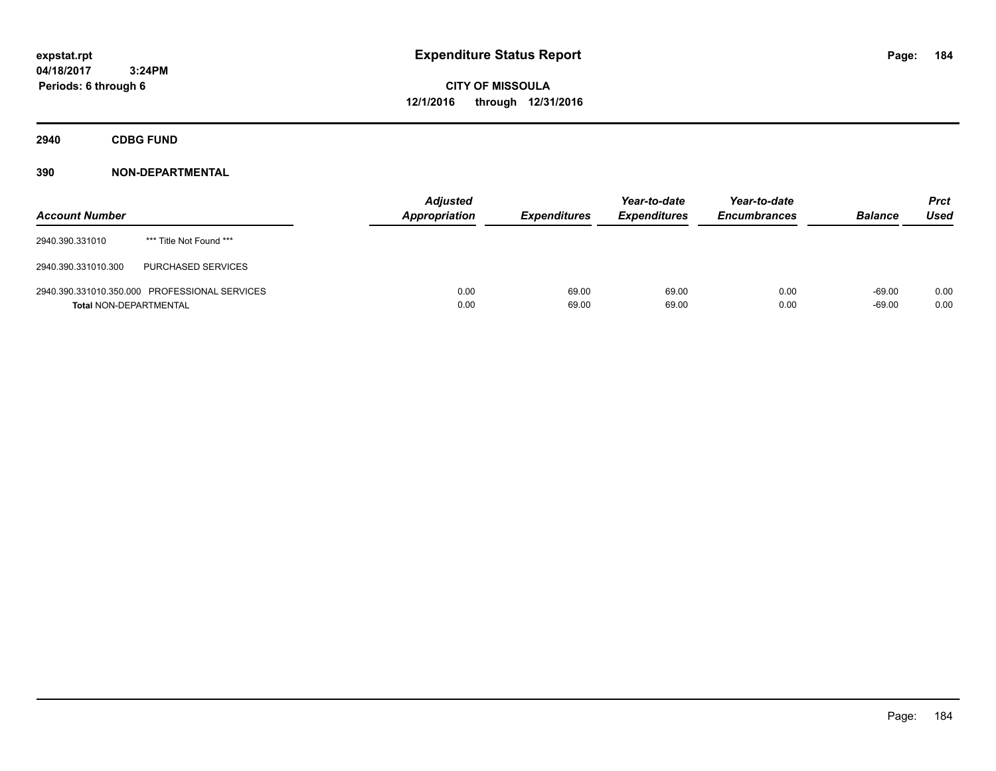**CITY OF MISSOULA 12/1/2016 through 12/31/2016**

**2940 CDBG FUND**

| <b>Account Number</b>         |                                               | <b>Adjusted</b><br><b>Appropriation</b> | <b>Expenditures</b> | Year-to-date<br><b>Expenditures</b> | Year-to-date<br><b>Encumbrances</b> | <b>Balance</b>       | Prct<br><b>Used</b> |
|-------------------------------|-----------------------------------------------|-----------------------------------------|---------------------|-------------------------------------|-------------------------------------|----------------------|---------------------|
| 2940.390.331010               | *** Title Not Found ***                       |                                         |                     |                                     |                                     |                      |                     |
| 2940.390.331010.300           | PURCHASED SERVICES                            |                                         |                     |                                     |                                     |                      |                     |
| <b>Total NON-DEPARTMENTAL</b> | 2940.390.331010.350.000 PROFESSIONAL SERVICES | 0.00<br>0.00                            | 69.00<br>69.00      | 69.00<br>69.00                      | 0.00<br>0.00                        | $-69.00$<br>$-69.00$ | 0.00<br>0.00        |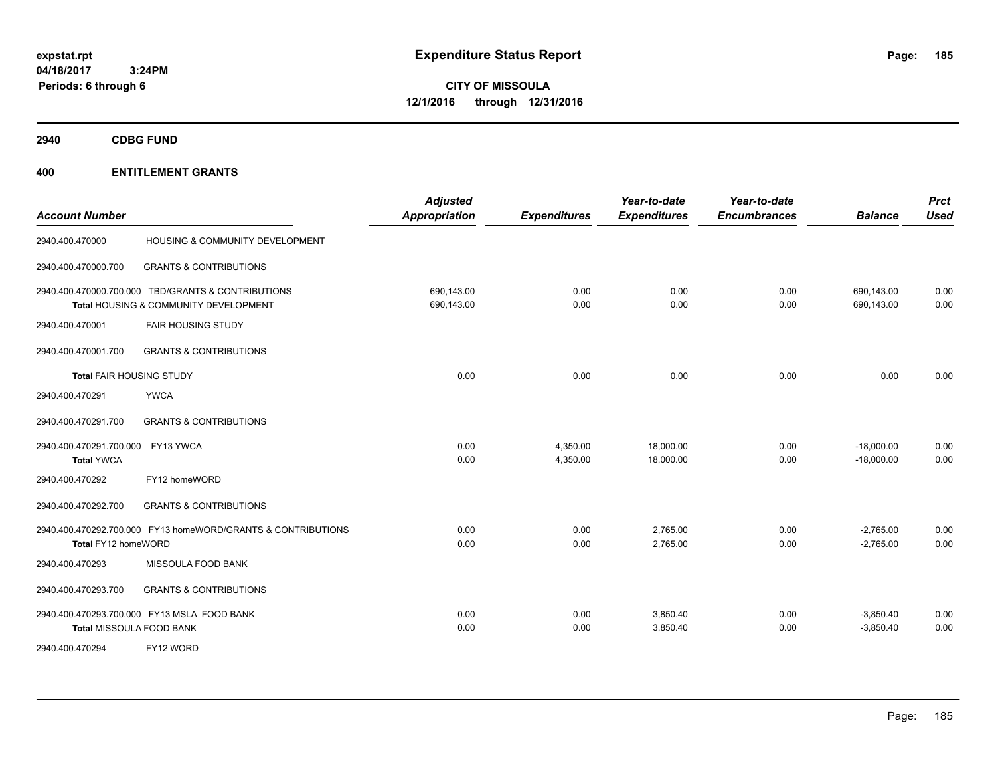**CITY OF MISSOULA 12/1/2016 through 12/31/2016**

**2940 CDBG FUND**

| <b>Account Number</b>                                                                       |                                                              | <b>Adjusted</b><br><b>Appropriation</b> | <b>Expenditures</b>  | Year-to-date<br><b>Expenditures</b> | Year-to-date<br><b>Encumbrances</b> | <b>Balance</b>               | <b>Prct</b><br><b>Used</b> |
|---------------------------------------------------------------------------------------------|--------------------------------------------------------------|-----------------------------------------|----------------------|-------------------------------------|-------------------------------------|------------------------------|----------------------------|
| 2940.400.470000                                                                             | HOUSING & COMMUNITY DEVELOPMENT                              |                                         |                      |                                     |                                     |                              |                            |
| 2940.400.470000.700                                                                         | <b>GRANTS &amp; CONTRIBUTIONS</b>                            |                                         |                      |                                     |                                     |                              |                            |
| 2940.400.470000.700.000 TBD/GRANTS & CONTRIBUTIONS<br>Total HOUSING & COMMUNITY DEVELOPMENT |                                                              | 690,143.00<br>690,143.00                | 0.00<br>0.00         | 0.00<br>0.00                        | 0.00<br>0.00                        | 690,143.00<br>690,143.00     | 0.00<br>0.00               |
| 2940.400.470001                                                                             | <b>FAIR HOUSING STUDY</b>                                    |                                         |                      |                                     |                                     |                              |                            |
| 2940.400.470001.700                                                                         | <b>GRANTS &amp; CONTRIBUTIONS</b>                            |                                         |                      |                                     |                                     |                              |                            |
| Total FAIR HOUSING STUDY                                                                    |                                                              | 0.00                                    | 0.00                 | 0.00                                | 0.00                                | 0.00                         | 0.00                       |
| 2940.400.470291<br><b>YWCA</b>                                                              |                                                              |                                         |                      |                                     |                                     |                              |                            |
| 2940.400.470291.700                                                                         | <b>GRANTS &amp; CONTRIBUTIONS</b>                            |                                         |                      |                                     |                                     |                              |                            |
| 2940.400.470291.700.000 FY13 YWCA<br><b>Total YWCA</b>                                      |                                                              | 0.00<br>0.00                            | 4,350.00<br>4,350.00 | 18,000.00<br>18,000.00              | 0.00<br>0.00                        | $-18,000.00$<br>$-18,000.00$ | 0.00<br>0.00               |
| 2940.400.470292                                                                             | FY12 homeWORD                                                |                                         |                      |                                     |                                     |                              |                            |
| 2940.400.470292.700                                                                         | <b>GRANTS &amp; CONTRIBUTIONS</b>                            |                                         |                      |                                     |                                     |                              |                            |
| Total FY12 homeWORD                                                                         | 2940.400.470292.700.000 FY13 homeWORD/GRANTS & CONTRIBUTIONS | 0.00<br>0.00                            | 0.00<br>0.00         | 2,765.00<br>2,765.00                | 0.00<br>0.00                        | $-2,765.00$<br>$-2,765.00$   | 0.00<br>0.00               |
| 2940.400.470293                                                                             | MISSOULA FOOD BANK                                           |                                         |                      |                                     |                                     |                              |                            |
| 2940.400.470293.700                                                                         | <b>GRANTS &amp; CONTRIBUTIONS</b>                            |                                         |                      |                                     |                                     |                              |                            |
| 2940.400.470293.700.000 FY13 MSLA FOOD BANK<br><b>Total MISSOULA FOOD BANK</b>              |                                                              | 0.00<br>0.00                            | 0.00<br>0.00         | 3,850.40<br>3,850.40                | 0.00<br>0.00                        | $-3,850.40$<br>$-3,850.40$   | 0.00<br>0.00               |
| 2940.400.470294<br>FY12 WORD                                                                |                                                              |                                         |                      |                                     |                                     |                              |                            |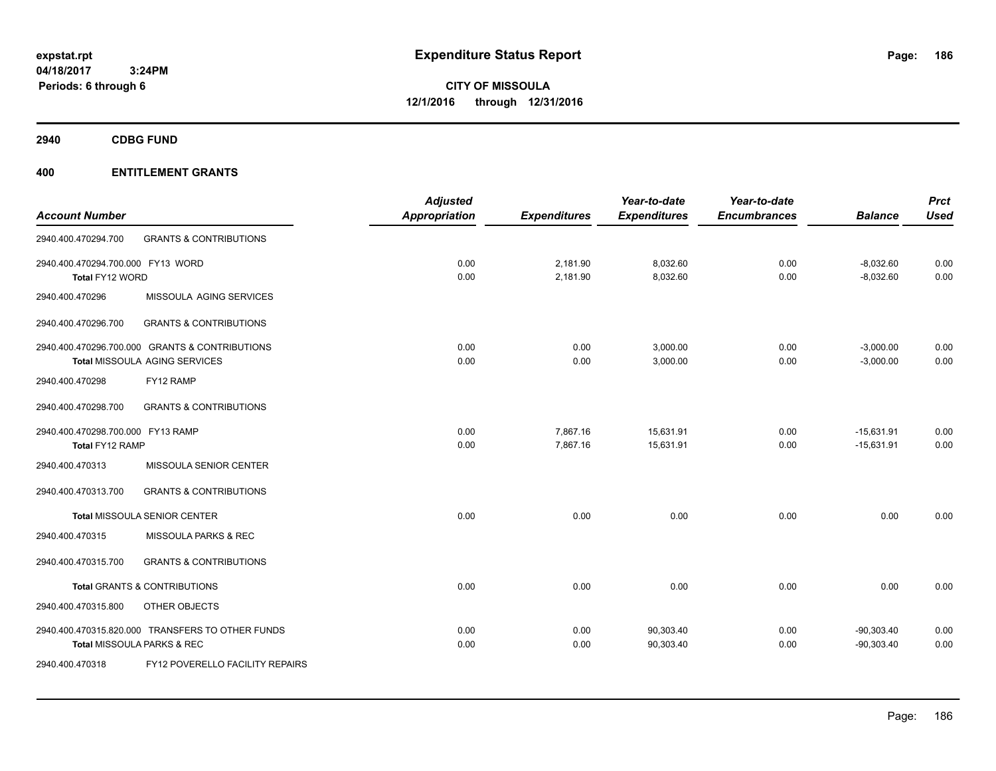**CITY OF MISSOULA 12/1/2016 through 12/31/2016**

**2940 CDBG FUND**

|                                   |                                                  | <b>Adjusted</b>      |                     | Year-to-date        | Year-to-date        |                | <b>Prct</b> |
|-----------------------------------|--------------------------------------------------|----------------------|---------------------|---------------------|---------------------|----------------|-------------|
| <b>Account Number</b>             |                                                  | <b>Appropriation</b> | <b>Expenditures</b> | <b>Expenditures</b> | <b>Encumbrances</b> | <b>Balance</b> | <b>Used</b> |
| 2940.400.470294.700               | <b>GRANTS &amp; CONTRIBUTIONS</b>                |                      |                     |                     |                     |                |             |
| 2940.400.470294.700.000 FY13 WORD |                                                  | 0.00                 | 2,181.90            | 8,032.60            | 0.00                | $-8,032.60$    | 0.00        |
| Total FY12 WORD                   |                                                  | 0.00                 | 2,181.90            | 8,032.60            | 0.00                | $-8,032.60$    | 0.00        |
| 2940.400.470296                   | MISSOULA AGING SERVICES                          |                      |                     |                     |                     |                |             |
| 2940.400.470296.700               | <b>GRANTS &amp; CONTRIBUTIONS</b>                |                      |                     |                     |                     |                |             |
|                                   | 2940.400.470296.700.000 GRANTS & CONTRIBUTIONS   | 0.00                 | 0.00                | 3,000.00            | 0.00                | $-3,000.00$    | 0.00        |
|                                   | Total MISSOULA AGING SERVICES                    | 0.00                 | 0.00                | 3,000.00            | 0.00                | $-3,000.00$    | 0.00        |
| 2940.400.470298                   | FY12 RAMP                                        |                      |                     |                     |                     |                |             |
| 2940.400.470298.700               | <b>GRANTS &amp; CONTRIBUTIONS</b>                |                      |                     |                     |                     |                |             |
| 2940.400.470298.700.000 FY13 RAMP |                                                  | 0.00                 | 7,867.16            | 15,631.91           | 0.00                | $-15,631.91$   | 0.00        |
| Total FY12 RAMP                   |                                                  | 0.00                 | 7,867.16            | 15,631.91           | 0.00                | $-15,631.91$   | 0.00        |
| 2940.400.470313                   | MISSOULA SENIOR CENTER                           |                      |                     |                     |                     |                |             |
| 2940.400.470313.700               | <b>GRANTS &amp; CONTRIBUTIONS</b>                |                      |                     |                     |                     |                |             |
|                                   | <b>Total MISSOULA SENIOR CENTER</b>              | 0.00                 | 0.00                | 0.00                | 0.00                | 0.00           | 0.00        |
| 2940.400.470315                   | MISSOULA PARKS & REC                             |                      |                     |                     |                     |                |             |
| 2940.400.470315.700               | <b>GRANTS &amp; CONTRIBUTIONS</b>                |                      |                     |                     |                     |                |             |
|                                   | <b>Total GRANTS &amp; CONTRIBUTIONS</b>          | 0.00                 | 0.00                | 0.00                | 0.00                | 0.00           | 0.00        |
| 2940.400.470315.800               | OTHER OBJECTS                                    |                      |                     |                     |                     |                |             |
|                                   | 2940.400.470315.820.000 TRANSFERS TO OTHER FUNDS | 0.00                 | 0.00                | 90,303.40           | 0.00                | $-90,303.40$   | 0.00        |
|                                   | Total MISSOULA PARKS & REC                       | 0.00                 | 0.00                | 90,303.40           | 0.00                | $-90,303.40$   | 0.00        |
| 2940.400.470318                   | <b>FY12 POVERELLO FACILITY REPAIRS</b>           |                      |                     |                     |                     |                |             |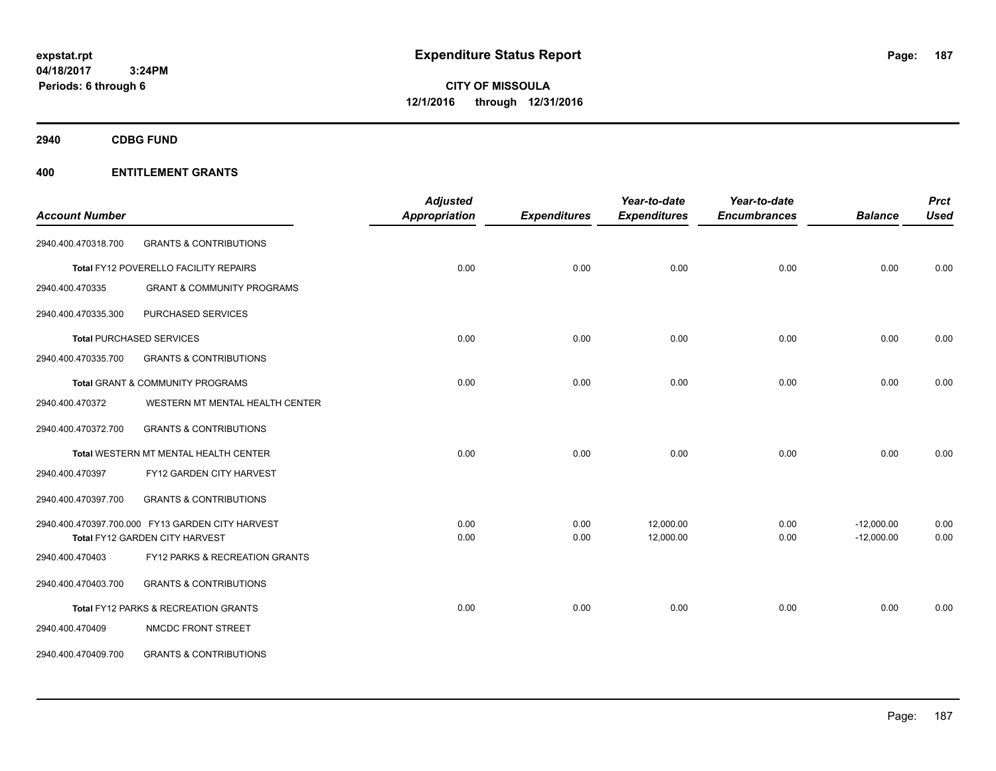**CITY OF MISSOULA 12/1/2016 through 12/31/2016**

**2940 CDBG FUND**

|                       |                                                  | <b>Adjusted</b>      |                     | Year-to-date        | Year-to-date        |                | <b>Prct</b> |
|-----------------------|--------------------------------------------------|----------------------|---------------------|---------------------|---------------------|----------------|-------------|
| <b>Account Number</b> |                                                  | <b>Appropriation</b> | <b>Expenditures</b> | <b>Expenditures</b> | <b>Encumbrances</b> | <b>Balance</b> | <b>Used</b> |
| 2940.400.470318.700   | <b>GRANTS &amp; CONTRIBUTIONS</b>                |                      |                     |                     |                     |                |             |
|                       | Total FY12 POVERELLO FACILITY REPAIRS            | 0.00                 | 0.00                | 0.00                | 0.00                | 0.00           | 0.00        |
| 2940.400.470335       | <b>GRANT &amp; COMMUNITY PROGRAMS</b>            |                      |                     |                     |                     |                |             |
| 2940.400.470335.300   | PURCHASED SERVICES                               |                      |                     |                     |                     |                |             |
|                       | <b>Total PURCHASED SERVICES</b>                  | 0.00                 | 0.00                | 0.00                | 0.00                | 0.00           | 0.00        |
| 2940.400.470335.700   | <b>GRANTS &amp; CONTRIBUTIONS</b>                |                      |                     |                     |                     |                |             |
|                       | Total GRANT & COMMUNITY PROGRAMS                 | 0.00                 | 0.00                | 0.00                | 0.00                | 0.00           | 0.00        |
| 2940.400.470372       | WESTERN MT MENTAL HEALTH CENTER                  |                      |                     |                     |                     |                |             |
| 2940.400.470372.700   | <b>GRANTS &amp; CONTRIBUTIONS</b>                |                      |                     |                     |                     |                |             |
|                       | Total WESTERN MT MENTAL HEALTH CENTER            | 0.00                 | 0.00                | 0.00                | 0.00                | 0.00           | 0.00        |
| 2940.400.470397       | FY12 GARDEN CITY HARVEST                         |                      |                     |                     |                     |                |             |
| 2940.400.470397.700   | <b>GRANTS &amp; CONTRIBUTIONS</b>                |                      |                     |                     |                     |                |             |
|                       | 2940.400.470397.700.000 FY13 GARDEN CITY HARVEST | 0.00                 | 0.00                | 12,000.00           | 0.00                | $-12,000.00$   | 0.00        |
|                       | Total FY12 GARDEN CITY HARVEST                   | 0.00                 | 0.00                | 12,000.00           | 0.00                | $-12,000.00$   | 0.00        |
| 2940.400.470403       | FY12 PARKS & RECREATION GRANTS                   |                      |                     |                     |                     |                |             |
| 2940.400.470403.700   | <b>GRANTS &amp; CONTRIBUTIONS</b>                |                      |                     |                     |                     |                |             |
|                       | Total FY12 PARKS & RECREATION GRANTS             | 0.00                 | 0.00                | 0.00                | 0.00                | 0.00           | 0.00        |
| 2940.400.470409       | NMCDC FRONT STREET                               |                      |                     |                     |                     |                |             |
| 2940.400.470409.700   | <b>GRANTS &amp; CONTRIBUTIONS</b>                |                      |                     |                     |                     |                |             |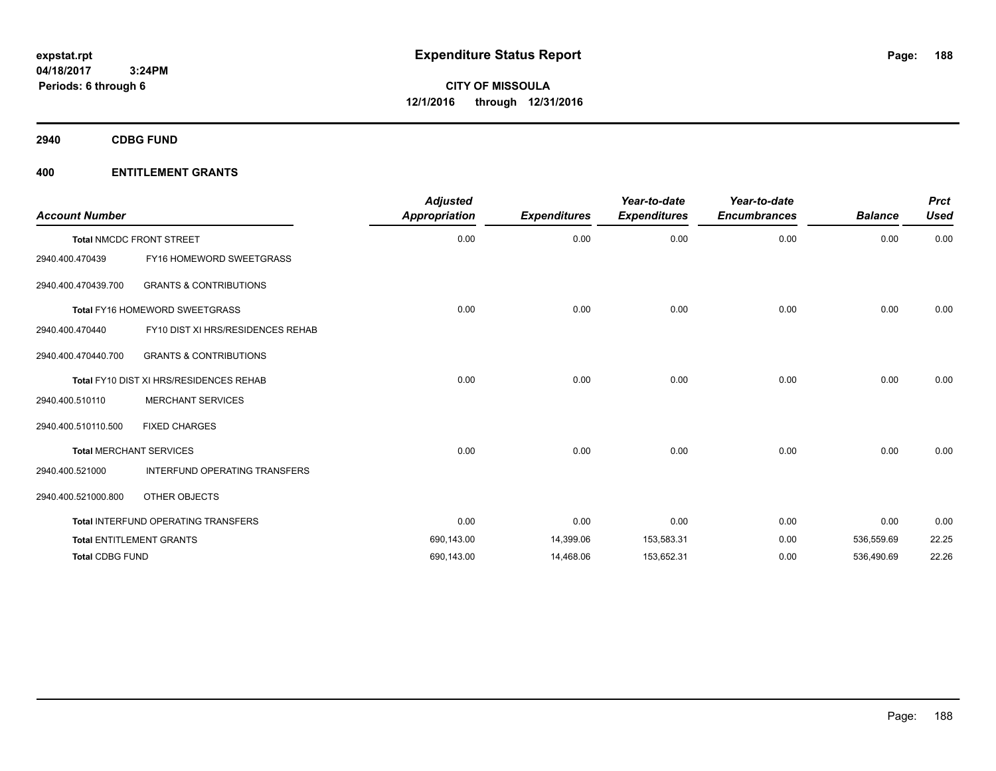**2940 CDBG FUND**

| <b>Account Number</b>  |                                         | <b>Adjusted</b><br><b>Appropriation</b> | <b>Expenditures</b> | Year-to-date<br><b>Expenditures</b> | Year-to-date<br><b>Encumbrances</b> | <b>Balance</b> | <b>Prct</b><br><b>Used</b> |
|------------------------|-----------------------------------------|-----------------------------------------|---------------------|-------------------------------------|-------------------------------------|----------------|----------------------------|
|                        | <b>Total NMCDC FRONT STREET</b>         | 0.00                                    | 0.00                | 0.00                                | 0.00                                | 0.00           | 0.00                       |
| 2940.400.470439        | FY16 HOMEWORD SWEETGRASS                |                                         |                     |                                     |                                     |                |                            |
| 2940.400.470439.700    | <b>GRANTS &amp; CONTRIBUTIONS</b>       |                                         |                     |                                     |                                     |                |                            |
|                        | Total FY16 HOMEWORD SWEETGRASS          | 0.00                                    | 0.00                | 0.00                                | 0.00                                | 0.00           | 0.00                       |
| 2940.400.470440        | FY10 DIST XI HRS/RESIDENCES REHAB       |                                         |                     |                                     |                                     |                |                            |
| 2940.400.470440.700    | <b>GRANTS &amp; CONTRIBUTIONS</b>       |                                         |                     |                                     |                                     |                |                            |
|                        | Total FY10 DIST XI HRS/RESIDENCES REHAB | 0.00                                    | 0.00                | 0.00                                | 0.00                                | 0.00           | 0.00                       |
| 2940.400.510110        | <b>MERCHANT SERVICES</b>                |                                         |                     |                                     |                                     |                |                            |
| 2940.400.510110.500    | <b>FIXED CHARGES</b>                    |                                         |                     |                                     |                                     |                |                            |
|                        | <b>Total MERCHANT SERVICES</b>          | 0.00                                    | 0.00                | 0.00                                | 0.00                                | 0.00           | 0.00                       |
| 2940.400.521000        | INTERFUND OPERATING TRANSFERS           |                                         |                     |                                     |                                     |                |                            |
| 2940.400.521000.800    | OTHER OBJECTS                           |                                         |                     |                                     |                                     |                |                            |
|                        | Total INTERFUND OPERATING TRANSFERS     | 0.00                                    | 0.00                | 0.00                                | 0.00                                | 0.00           | 0.00                       |
|                        | <b>Total ENTITLEMENT GRANTS</b>         | 690,143.00                              | 14,399.06           | 153,583.31                          | 0.00                                | 536,559.69     | 22.25                      |
| <b>Total CDBG FUND</b> |                                         | 690,143.00                              | 14,468.06           | 153,652.31                          | 0.00                                | 536,490.69     | 22.26                      |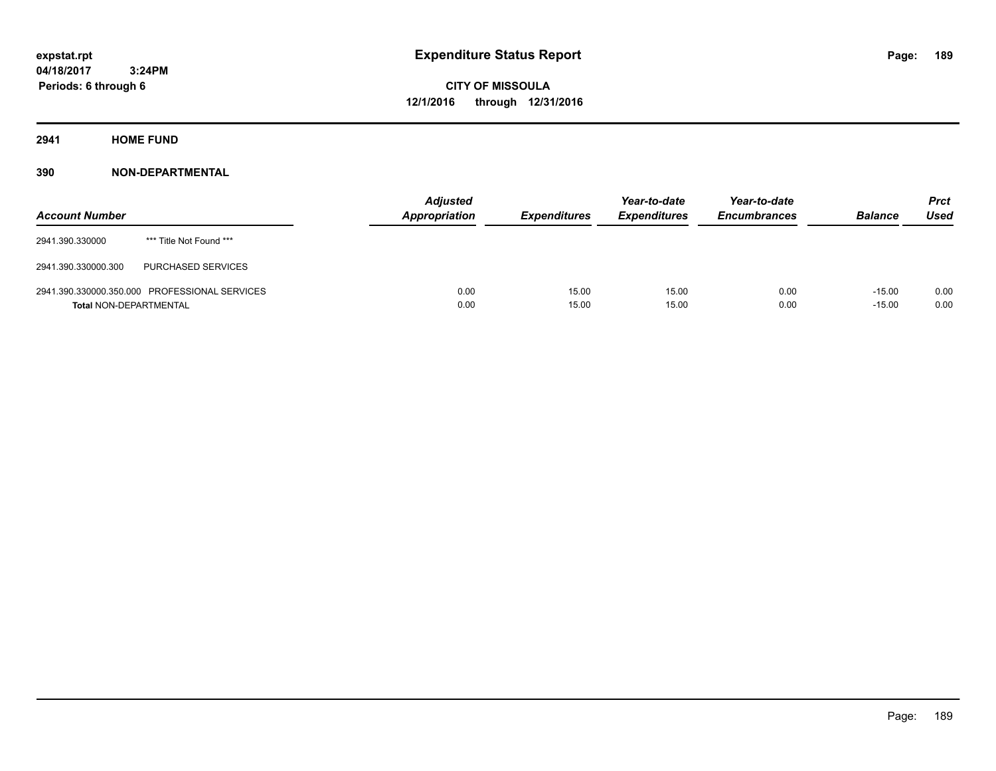**CITY OF MISSOULA 12/1/2016 through 12/31/2016**

**2941 HOME FUND**

| <b>Account Number</b>         |                                               | <b>Adjusted</b><br><b>Appropriation</b> | <b>Expenditures</b> | Year-to-date<br><b>Expenditures</b> | Year-to-date<br><b>Encumbrances</b> | <b>Balance</b>       | Prct<br><b>Used</b> |
|-------------------------------|-----------------------------------------------|-----------------------------------------|---------------------|-------------------------------------|-------------------------------------|----------------------|---------------------|
| 2941.390.330000               | *** Title Not Found ***                       |                                         |                     |                                     |                                     |                      |                     |
| 2941.390.330000.300           | PURCHASED SERVICES                            |                                         |                     |                                     |                                     |                      |                     |
| <b>Total NON-DEPARTMENTAL</b> | 2941.390.330000.350.000 PROFESSIONAL SERVICES | 0.00<br>0.00                            | 15.00<br>15.00      | 15.00<br>15.00                      | 0.00<br>0.00                        | $-15.00$<br>$-15.00$ | 0.00<br>0.00        |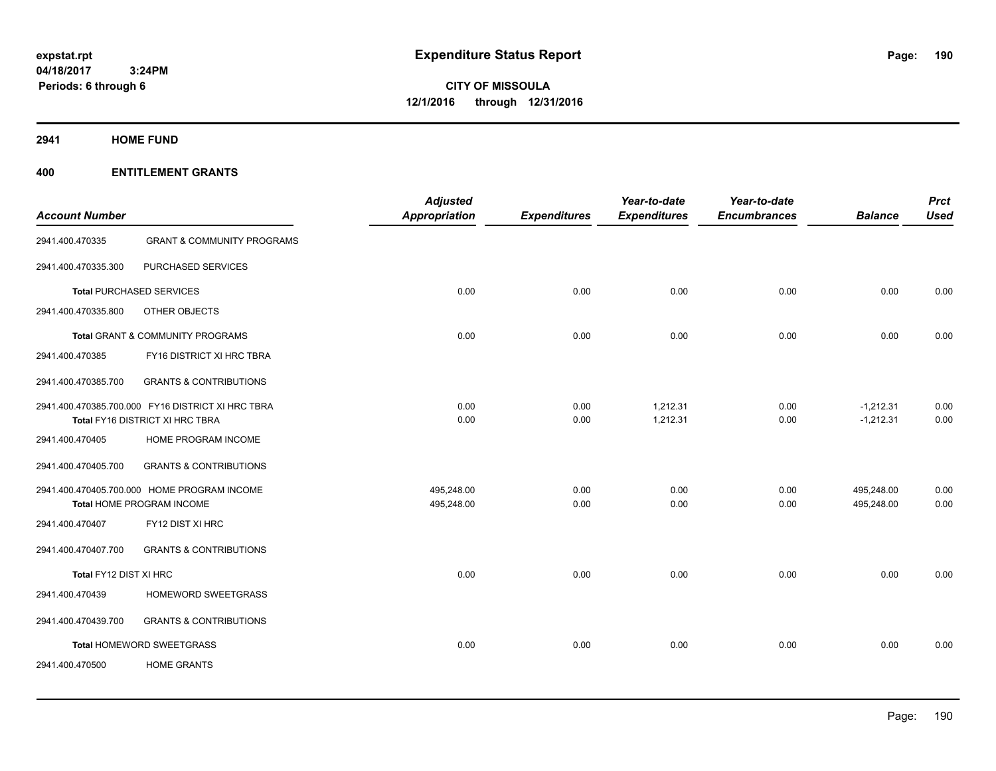# **2941 HOME FUND**

| <b>Account Number</b>  |                                                   | <b>Adjusted</b><br>Appropriation | <b>Expenditures</b> | Year-to-date<br><b>Expenditures</b> | Year-to-date<br><b>Encumbrances</b> | <b>Balance</b> | <b>Prct</b><br><b>Used</b> |
|------------------------|---------------------------------------------------|----------------------------------|---------------------|-------------------------------------|-------------------------------------|----------------|----------------------------|
| 2941.400.470335        | <b>GRANT &amp; COMMUNITY PROGRAMS</b>             |                                  |                     |                                     |                                     |                |                            |
| 2941.400.470335.300    | PURCHASED SERVICES                                |                                  |                     |                                     |                                     |                |                            |
|                        | <b>Total PURCHASED SERVICES</b>                   | 0.00                             | 0.00                | 0.00                                | 0.00                                | 0.00           | 0.00                       |
| 2941.400.470335.800    | OTHER OBJECTS                                     |                                  |                     |                                     |                                     |                |                            |
|                        | Total GRANT & COMMUNITY PROGRAMS                  | 0.00                             | 0.00                | 0.00                                | 0.00                                | 0.00           | 0.00                       |
| 2941.400.470385        | FY16 DISTRICT XI HRC TBRA                         |                                  |                     |                                     |                                     |                |                            |
| 2941.400.470385.700    | <b>GRANTS &amp; CONTRIBUTIONS</b>                 |                                  |                     |                                     |                                     |                |                            |
|                        | 2941.400.470385.700.000 FY16 DISTRICT XI HRC TBRA | 0.00                             | 0.00                | 1,212.31                            | 0.00                                | $-1,212.31$    | 0.00                       |
|                        | Total FY16 DISTRICT XI HRC TBRA                   | 0.00                             | 0.00                | 1,212.31                            | 0.00                                | $-1,212.31$    | 0.00                       |
| 2941.400.470405        | HOME PROGRAM INCOME                               |                                  |                     |                                     |                                     |                |                            |
| 2941.400.470405.700    | <b>GRANTS &amp; CONTRIBUTIONS</b>                 |                                  |                     |                                     |                                     |                |                            |
|                        | 2941.400.470405.700.000 HOME PROGRAM INCOME       | 495,248.00                       | 0.00                | 0.00                                | 0.00                                | 495,248.00     | 0.00                       |
|                        | Total HOME PROGRAM INCOME                         | 495,248.00                       | 0.00                | 0.00                                | 0.00                                | 495,248.00     | 0.00                       |
| 2941.400.470407        | FY12 DIST XI HRC                                  |                                  |                     |                                     |                                     |                |                            |
| 2941.400.470407.700    | <b>GRANTS &amp; CONTRIBUTIONS</b>                 |                                  |                     |                                     |                                     |                |                            |
| Total FY12 DIST XI HRC |                                                   | 0.00                             | 0.00                | 0.00                                | 0.00                                | 0.00           | 0.00                       |
| 2941.400.470439        | HOMEWORD SWEETGRASS                               |                                  |                     |                                     |                                     |                |                            |
| 2941.400.470439.700    | <b>GRANTS &amp; CONTRIBUTIONS</b>                 |                                  |                     |                                     |                                     |                |                            |
|                        | Total HOMEWORD SWEETGRASS                         | 0.00                             | 0.00                | 0.00                                | 0.00                                | 0.00           | 0.00                       |
| 2941.400.470500        | <b>HOME GRANTS</b>                                |                                  |                     |                                     |                                     |                |                            |
|                        |                                                   |                                  |                     |                                     |                                     |                |                            |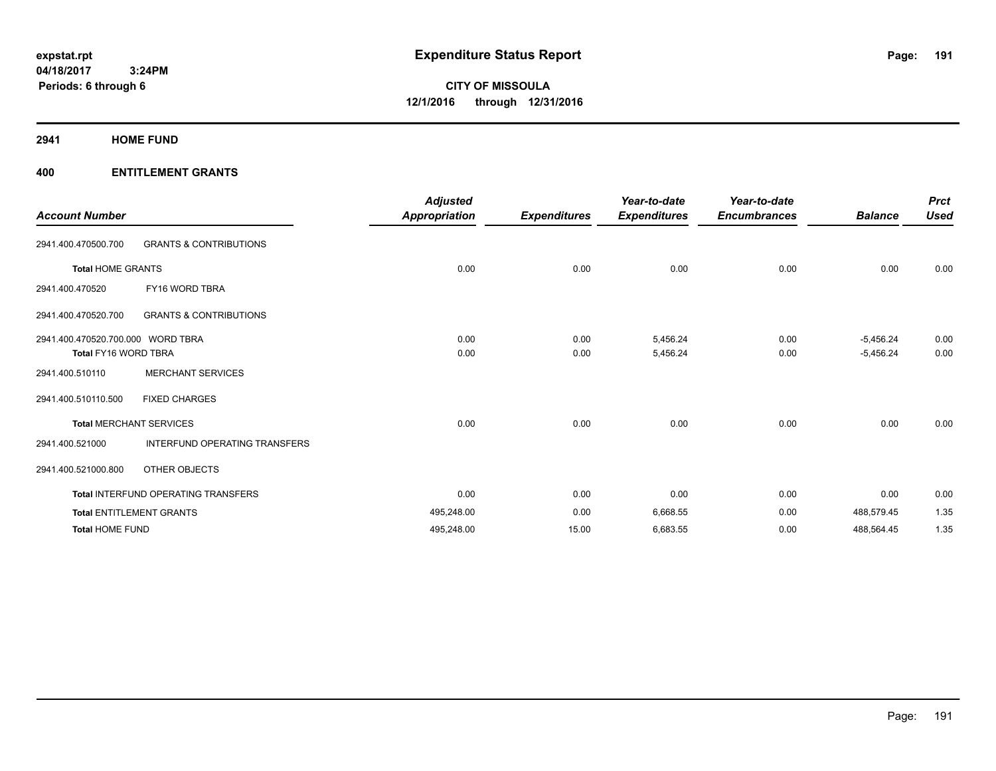#### **2941 HOME FUND**

| <b>Account Number</b>             |                                      | <b>Adjusted</b><br><b>Appropriation</b> | <b>Expenditures</b> | Year-to-date<br><b>Expenditures</b> | Year-to-date<br><b>Encumbrances</b> | <b>Balance</b> | <b>Prct</b><br><b>Used</b> |
|-----------------------------------|--------------------------------------|-----------------------------------------|---------------------|-------------------------------------|-------------------------------------|----------------|----------------------------|
| 2941.400.470500.700               | <b>GRANTS &amp; CONTRIBUTIONS</b>    |                                         |                     |                                     |                                     |                |                            |
| <b>Total HOME GRANTS</b>          |                                      | 0.00                                    | 0.00                | 0.00                                | 0.00                                | 0.00           | 0.00                       |
| 2941.400.470520                   | FY16 WORD TBRA                       |                                         |                     |                                     |                                     |                |                            |
| 2941.400.470520.700               | <b>GRANTS &amp; CONTRIBUTIONS</b>    |                                         |                     |                                     |                                     |                |                            |
| 2941.400.470520.700.000 WORD TBRA |                                      | 0.00                                    | 0.00                | 5,456.24                            | 0.00                                | $-5,456.24$    | 0.00                       |
| <b>Total FY16 WORD TBRA</b>       |                                      | 0.00                                    | 0.00                | 5,456.24                            | 0.00                                | $-5,456.24$    | 0.00                       |
| 2941.400.510110                   | <b>MERCHANT SERVICES</b>             |                                         |                     |                                     |                                     |                |                            |
| 2941.400.510110.500               | <b>FIXED CHARGES</b>                 |                                         |                     |                                     |                                     |                |                            |
|                                   | <b>Total MERCHANT SERVICES</b>       | 0.00                                    | 0.00                | 0.00                                | 0.00                                | 0.00           | 0.00                       |
| 2941.400.521000                   | <b>INTERFUND OPERATING TRANSFERS</b> |                                         |                     |                                     |                                     |                |                            |
| 2941.400.521000.800               | OTHER OBJECTS                        |                                         |                     |                                     |                                     |                |                            |
|                                   | Total INTERFUND OPERATING TRANSFERS  | 0.00                                    | 0.00                | 0.00                                | 0.00                                | 0.00           | 0.00                       |
|                                   | <b>Total ENTITLEMENT GRANTS</b>      | 495,248.00                              | 0.00                | 6,668.55                            | 0.00                                | 488,579.45     | 1.35                       |
| <b>Total HOME FUND</b>            |                                      | 495,248.00                              | 15.00               | 6,683.55                            | 0.00                                | 488,564.45     | 1.35                       |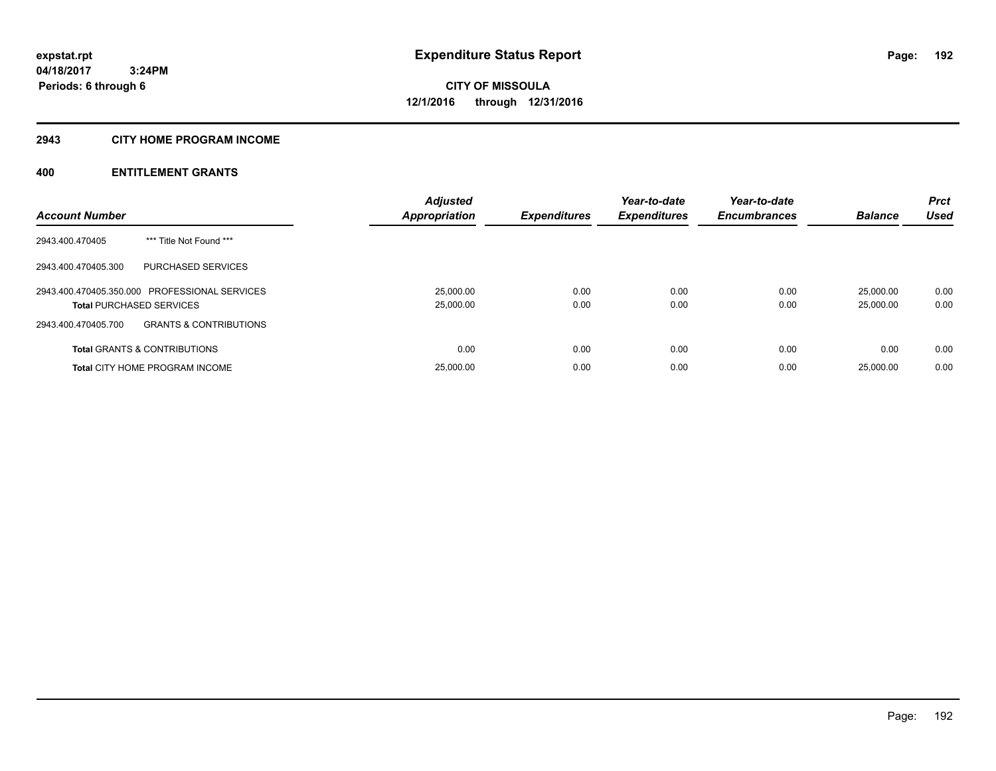# **2943 CITY HOME PROGRAM INCOME**

| <b>Account Number</b>                                                            | <b>Adjusted</b><br>Appropriation | <b>Expenditures</b> | Year-to-date<br><b>Expenditures</b> | Year-to-date<br><b>Encumbrances</b> | <b>Balance</b>         | <b>Prct</b><br><b>Used</b> |
|----------------------------------------------------------------------------------|----------------------------------|---------------------|-------------------------------------|-------------------------------------|------------------------|----------------------------|
| *** Title Not Found ***<br>2943.400.470405                                       |                                  |                     |                                     |                                     |                        |                            |
| 2943.400.470405.300<br>PURCHASED SERVICES                                        |                                  |                     |                                     |                                     |                        |                            |
| 2943.400.470405.350.000 PROFESSIONAL SERVICES<br><b>Total PURCHASED SERVICES</b> | 25,000.00<br>25,000.00           | 0.00<br>0.00        | 0.00<br>0.00                        | 0.00<br>0.00                        | 25.000.00<br>25,000.00 | 0.00<br>0.00               |
| <b>GRANTS &amp; CONTRIBUTIONS</b><br>2943.400.470405.700                         |                                  |                     |                                     |                                     |                        |                            |
| <b>Total GRANTS &amp; CONTRIBUTIONS</b>                                          | 0.00                             | 0.00                | 0.00                                | 0.00                                | 0.00                   | 0.00                       |
| <b>Total CITY HOME PROGRAM INCOME</b>                                            | 25,000.00                        | 0.00                | 0.00                                | 0.00                                | 25,000.00              | 0.00                       |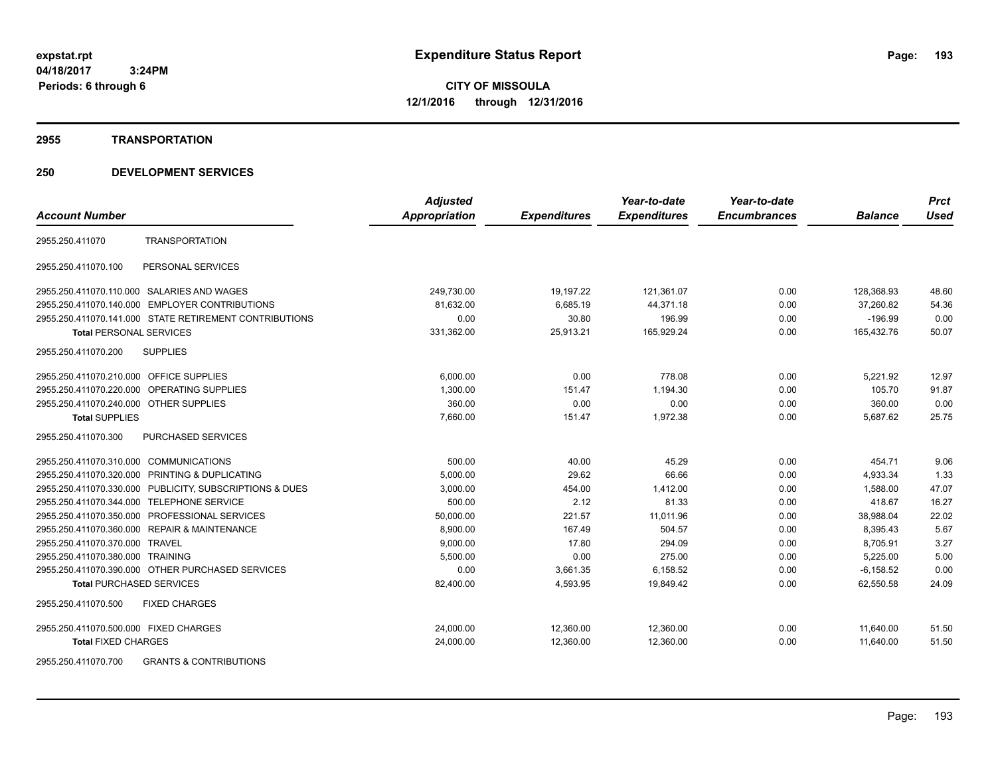#### **2955 TRANSPORTATION**

# **250 DEVELOPMENT SERVICES**

|                                         |                                                         | <b>Adjusted</b>      |                     | Year-to-date        | Year-to-date        |                | <b>Prct</b> |
|-----------------------------------------|---------------------------------------------------------|----------------------|---------------------|---------------------|---------------------|----------------|-------------|
| <b>Account Number</b>                   |                                                         | <b>Appropriation</b> | <b>Expenditures</b> | <b>Expenditures</b> | <b>Encumbrances</b> | <b>Balance</b> | <b>Used</b> |
| 2955.250.411070                         | <b>TRANSPORTATION</b>                                   |                      |                     |                     |                     |                |             |
| 2955.250.411070.100                     | PERSONAL SERVICES                                       |                      |                     |                     |                     |                |             |
|                                         | 2955.250.411070.110.000 SALARIES AND WAGES              | 249,730.00           | 19,197.22           | 121,361.07          | 0.00                | 128,368.93     | 48.60       |
| 2955.250.411070.140.000                 | <b>EMPLOYER CONTRIBUTIONS</b>                           | 81,632.00            | 6,685.19            | 44,371.18           | 0.00                | 37.260.82      | 54.36       |
|                                         | 2955.250.411070.141.000 STATE RETIREMENT CONTRIBUTIONS  | 0.00                 | 30.80               | 196.99              | 0.00                | $-196.99$      | 0.00        |
| <b>Total PERSONAL SERVICES</b>          |                                                         | 331,362.00           | 25,913.21           | 165,929.24          | 0.00                | 165,432.76     | 50.07       |
| 2955.250.411070.200                     | <b>SUPPLIES</b>                                         |                      |                     |                     |                     |                |             |
| 2955.250.411070.210.000 OFFICE SUPPLIES |                                                         | 6,000.00             | 0.00                | 778.08              | 0.00                | 5,221.92       | 12.97       |
|                                         | 2955.250.411070.220.000 OPERATING SUPPLIES              | 1,300.00             | 151.47              | 1.194.30            | 0.00                | 105.70         | 91.87       |
| 2955.250.411070.240.000 OTHER SUPPLIES  |                                                         | 360.00               | 0.00                | 0.00                | 0.00                | 360.00         | 0.00        |
| <b>Total SUPPLIES</b>                   |                                                         | 7,660.00             | 151.47              | 1,972.38            | 0.00                | 5,687.62       | 25.75       |
| 2955.250.411070.300                     | <b>PURCHASED SERVICES</b>                               |                      |                     |                     |                     |                |             |
| 2955.250.411070.310.000 COMMUNICATIONS  |                                                         | 500.00               | 40.00               | 45.29               | 0.00                | 454.71         | 9.06        |
|                                         | 2955.250.411070.320.000 PRINTING & DUPLICATING          | 5,000.00             | 29.62               | 66.66               | 0.00                | 4,933.34       | 1.33        |
|                                         | 2955.250.411070.330.000 PUBLICITY, SUBSCRIPTIONS & DUES | 3,000.00             | 454.00              | 1,412.00            | 0.00                | 1,588.00       | 47.07       |
|                                         | 2955.250.411070.344.000 TELEPHONE SERVICE               | 500.00               | 2.12                | 81.33               | 0.00                | 418.67         | 16.27       |
| 2955.250.411070.350.000                 | PROFESSIONAL SERVICES                                   | 50,000.00            | 221.57              | 11,011.96           | 0.00                | 38,988.04      | 22.02       |
|                                         | 2955.250.411070.360.000 REPAIR & MAINTENANCE            | 8,900.00             | 167.49              | 504.57              | 0.00                | 8,395.43       | 5.67        |
| 2955.250.411070.370.000 TRAVEL          |                                                         | 9,000.00             | 17.80               | 294.09              | 0.00                | 8,705.91       | 3.27        |
| 2955.250.411070.380.000 TRAINING        |                                                         | 5,500.00             | 0.00                | 275.00              | 0.00                | 5,225.00       | 5.00        |
|                                         | 2955.250.411070.390.000 OTHER PURCHASED SERVICES        | 0.00                 | 3,661.35            | 6,158.52            | 0.00                | $-6, 158.52$   | 0.00        |
| <b>Total PURCHASED SERVICES</b>         |                                                         | 82,400.00            | 4,593.95            | 19,849.42           | 0.00                | 62,550.58      | 24.09       |
| 2955.250.411070.500                     | <b>FIXED CHARGES</b>                                    |                      |                     |                     |                     |                |             |
| 2955.250.411070.500.000 FIXED CHARGES   |                                                         | 24,000.00            | 12,360.00           | 12,360.00           | 0.00                | 11,640.00      | 51.50       |
| <b>Total FIXED CHARGES</b>              |                                                         | 24,000.00            | 12.360.00           | 12.360.00           | 0.00                | 11.640.00      | 51.50       |
|                                         | 0.011170.0.0011701011710110                             |                      |                     |                     |                     |                |             |

2955.250.411070.700 GRANTS & CONTRIBUTIONS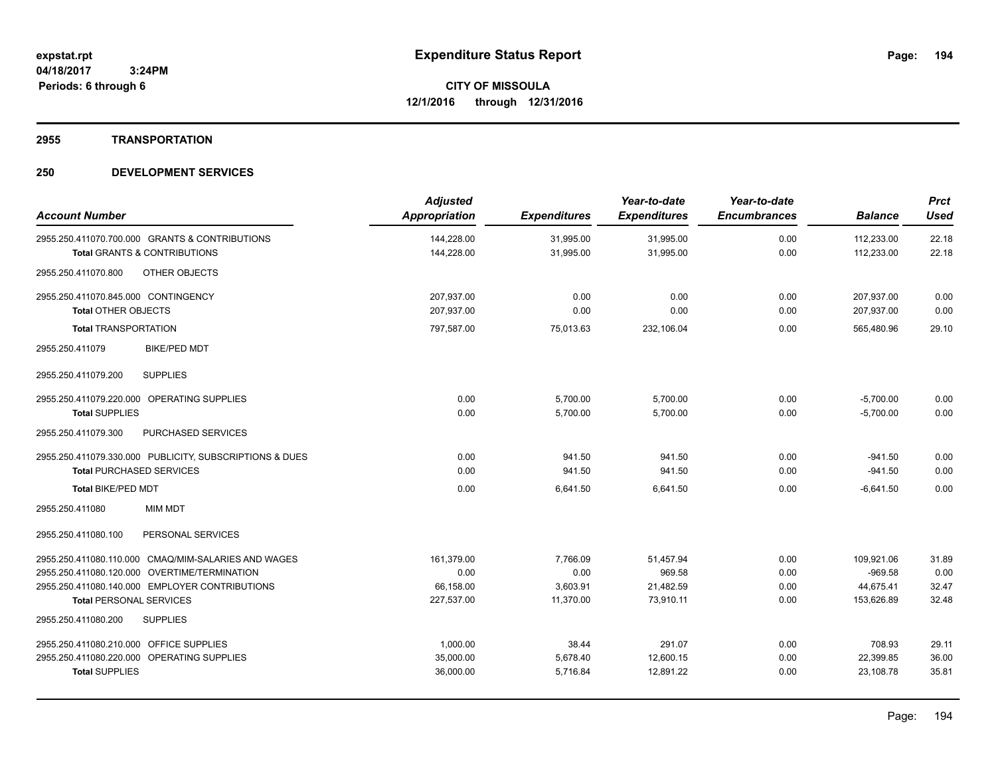**2955 TRANSPORTATION**

| <b>Account Number</b>                                                                     | <b>Adjusted</b><br><b>Appropriation</b> | <b>Expenditures</b>    | Year-to-date<br><b>Expenditures</b> | Year-to-date<br><b>Encumbrances</b> | <b>Balance</b>           | <b>Prct</b><br><b>Used</b> |
|-------------------------------------------------------------------------------------------|-----------------------------------------|------------------------|-------------------------------------|-------------------------------------|--------------------------|----------------------------|
| 2955.250.411070.700.000 GRANTS & CONTRIBUTIONS<br><b>Total GRANTS &amp; CONTRIBUTIONS</b> | 144,228.00<br>144,228.00                | 31,995.00<br>31,995.00 | 31,995.00<br>31,995.00              | 0.00<br>0.00                        | 112,233.00<br>112,233.00 | 22.18<br>22.18             |
| OTHER OBJECTS<br>2955.250.411070.800                                                      |                                         |                        |                                     |                                     |                          |                            |
| 2955.250.411070.845.000 CONTINGENCY                                                       | 207,937.00                              | 0.00                   | 0.00                                | 0.00                                | 207,937.00               | 0.00                       |
| <b>Total OTHER OBJECTS</b>                                                                | 207,937.00                              | 0.00                   | 0.00                                | 0.00                                | 207,937.00               | 0.00                       |
| <b>Total TRANSPORTATION</b>                                                               | 797,587.00                              | 75,013.63              | 232,106.04                          | 0.00                                | 565,480.96               | 29.10                      |
| <b>BIKE/PED MDT</b><br>2955.250.411079                                                    |                                         |                        |                                     |                                     |                          |                            |
| <b>SUPPLIES</b><br>2955.250.411079.200                                                    |                                         |                        |                                     |                                     |                          |                            |
| 2955.250.411079.220.000 OPERATING SUPPLIES                                                | 0.00                                    | 5,700.00               | 5,700.00                            | 0.00                                | $-5,700.00$              | 0.00                       |
| <b>Total SUPPLIES</b>                                                                     | 0.00                                    | 5,700.00               | 5,700.00                            | 0.00                                | $-5,700.00$              | 0.00                       |
| PURCHASED SERVICES<br>2955.250.411079.300                                                 |                                         |                        |                                     |                                     |                          |                            |
| 2955.250.411079.330.000 PUBLICITY, SUBSCRIPTIONS & DUES                                   | 0.00                                    | 941.50                 | 941.50                              | 0.00                                | $-941.50$                | 0.00                       |
| <b>Total PURCHASED SERVICES</b>                                                           | 0.00                                    | 941.50                 | 941.50                              | 0.00                                | $-941.50$                | 0.00                       |
| <b>Total BIKE/PED MDT</b>                                                                 | 0.00                                    | 6,641.50               | 6,641.50                            | 0.00                                | $-6,641.50$              | 0.00                       |
| 2955.250.411080<br><b>MIM MDT</b>                                                         |                                         |                        |                                     |                                     |                          |                            |
| PERSONAL SERVICES<br>2955.250.411080.100                                                  |                                         |                        |                                     |                                     |                          |                            |
| 2955.250.411080.110.000 CMAQ/MIM-SALARIES AND WAGES                                       | 161,379.00                              | 7,766.09               | 51,457.94                           | 0.00                                | 109,921.06               | 31.89                      |
| 2955.250.411080.120.000 OVERTIME/TERMINATION                                              | 0.00                                    | 0.00                   | 969.58                              | 0.00                                | $-969.58$                | 0.00                       |
| 2955.250.411080.140.000 EMPLOYER CONTRIBUTIONS                                            | 66,158.00                               | 3,603.91               | 21,482.59                           | 0.00                                | 44,675.41                | 32.47                      |
| <b>Total PERSONAL SERVICES</b>                                                            | 227,537.00                              | 11,370.00              | 73,910.11                           | 0.00                                | 153,626.89               | 32.48                      |
| 2955.250.411080.200<br><b>SUPPLIES</b>                                                    |                                         |                        |                                     |                                     |                          |                            |
| 2955.250.411080.210.000 OFFICE SUPPLIES                                                   | 1,000.00                                | 38.44                  | 291.07                              | 0.00                                | 708.93                   | 29.11                      |
| 2955.250.411080.220.000 OPERATING SUPPLIES                                                | 35,000.00                               | 5,678.40               | 12,600.15                           | 0.00                                | 22,399.85                | 36.00                      |
| <b>Total SUPPLIES</b>                                                                     | 36,000.00                               | 5,716.84               | 12,891.22                           | 0.00                                | 23,108.78                | 35.81                      |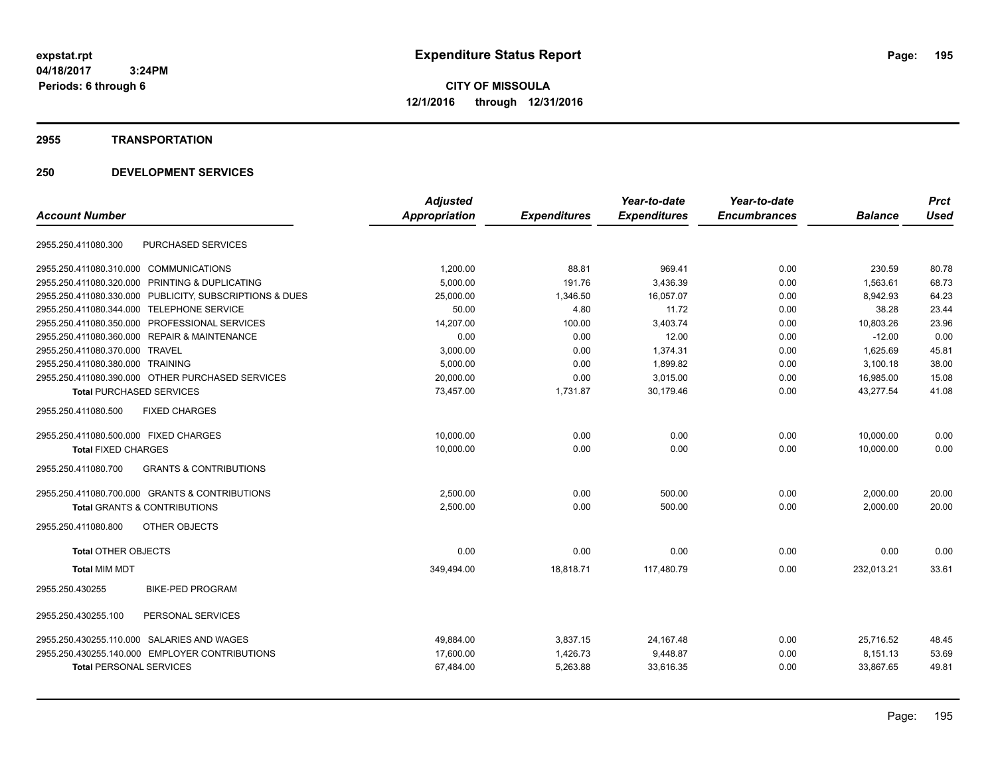**CITY OF MISSOULA 12/1/2016 through 12/31/2016**

#### **2955 TRANSPORTATION**

| <b>Account Number</b>                                    | <b>Adjusted</b><br><b>Appropriation</b> | <b>Expenditures</b> | Year-to-date<br><b>Expenditures</b> | Year-to-date<br><b>Encumbrances</b> | <b>Balance</b> | <b>Prct</b><br><b>Used</b> |
|----------------------------------------------------------|-----------------------------------------|---------------------|-------------------------------------|-------------------------------------|----------------|----------------------------|
|                                                          |                                         |                     |                                     |                                     |                |                            |
| PURCHASED SERVICES<br>2955.250.411080.300                |                                         |                     |                                     |                                     |                |                            |
| 2955.250.411080.310.000 COMMUNICATIONS                   | 1.200.00                                | 88.81               | 969.41                              | 0.00                                | 230.59         | 80.78                      |
| 2955.250.411080.320.000 PRINTING & DUPLICATING           | 5,000.00                                | 191.76              | 3,436.39                            | 0.00                                | 1,563.61       | 68.73                      |
| 2955.250.411080.330.000 PUBLICITY, SUBSCRIPTIONS & DUES  | 25,000.00                               | 1,346.50            | 16,057.07                           | 0.00                                | 8,942.93       | 64.23                      |
| <b>TELEPHONE SERVICE</b><br>2955.250.411080.344.000      | 50.00                                   | 4.80                | 11.72                               | 0.00                                | 38.28          | 23.44                      |
| 2955.250.411080.350.000 PROFESSIONAL SERVICES            | 14,207.00                               | 100.00              | 3,403.74                            | 0.00                                | 10,803.26      | 23.96                      |
| 2955.250.411080.360.000 REPAIR & MAINTENANCE             | 0.00                                    | 0.00                | 12.00                               | 0.00                                | $-12.00$       | 0.00                       |
| 2955.250.411080.370.000 TRAVEL                           | 3,000.00                                | 0.00                | 1,374.31                            | 0.00                                | 1,625.69       | 45.81                      |
| 2955.250.411080.380.000 TRAINING                         | 5,000.00                                | 0.00                | 1,899.82                            | 0.00                                | 3,100.18       | 38.00                      |
| 2955.250.411080.390.000 OTHER PURCHASED SERVICES         | 20,000.00                               | 0.00                | 3,015.00                            | 0.00                                | 16,985.00      | 15.08                      |
| <b>Total PURCHASED SERVICES</b>                          | 73,457.00                               | 1,731.87            | 30,179.46                           | 0.00                                | 43,277.54      | 41.08                      |
| <b>FIXED CHARGES</b><br>2955.250.411080.500              |                                         |                     |                                     |                                     |                |                            |
| 2955.250.411080.500.000 FIXED CHARGES                    | 10,000.00                               | 0.00                | 0.00                                | 0.00                                | 10,000.00      | 0.00                       |
| <b>Total FIXED CHARGES</b>                               | 10,000.00                               | 0.00                | 0.00                                | 0.00                                | 10,000.00      | 0.00                       |
| 2955.250.411080.700<br><b>GRANTS &amp; CONTRIBUTIONS</b> |                                         |                     |                                     |                                     |                |                            |
| 2955.250.411080.700.000 GRANTS & CONTRIBUTIONS           | 2,500.00                                | 0.00                | 500.00                              | 0.00                                | 2,000.00       | 20.00                      |
| <b>Total GRANTS &amp; CONTRIBUTIONS</b>                  | 2,500.00                                | 0.00                | 500.00                              | 0.00                                | 2,000.00       | 20.00                      |
| 2955.250.411080.800<br>OTHER OBJECTS                     |                                         |                     |                                     |                                     |                |                            |
| <b>Total OTHER OBJECTS</b>                               | 0.00                                    | 0.00                | 0.00                                | 0.00                                | 0.00           | 0.00                       |
| <b>Total MIM MDT</b>                                     | 349,494.00                              | 18,818.71           | 117,480.79                          | 0.00                                | 232,013.21     | 33.61                      |
| <b>BIKE-PED PROGRAM</b><br>2955.250.430255               |                                         |                     |                                     |                                     |                |                            |
| PERSONAL SERVICES<br>2955.250.430255.100                 |                                         |                     |                                     |                                     |                |                            |
| 2955.250.430255.110.000 SALARIES AND WAGES               | 49,884.00                               | 3,837.15            | 24, 167. 48                         | 0.00                                | 25.716.52      | 48.45                      |
| 2955.250.430255.140.000 EMPLOYER CONTRIBUTIONS           | 17,600.00                               | 1,426.73            | 9,448.87                            | 0.00                                | 8,151.13       | 53.69                      |
| <b>Total PERSONAL SERVICES</b>                           | 67,484.00                               | 5,263.88            | 33,616.35                           | 0.00                                | 33,867.65      | 49.81                      |
|                                                          |                                         |                     |                                     |                                     |                |                            |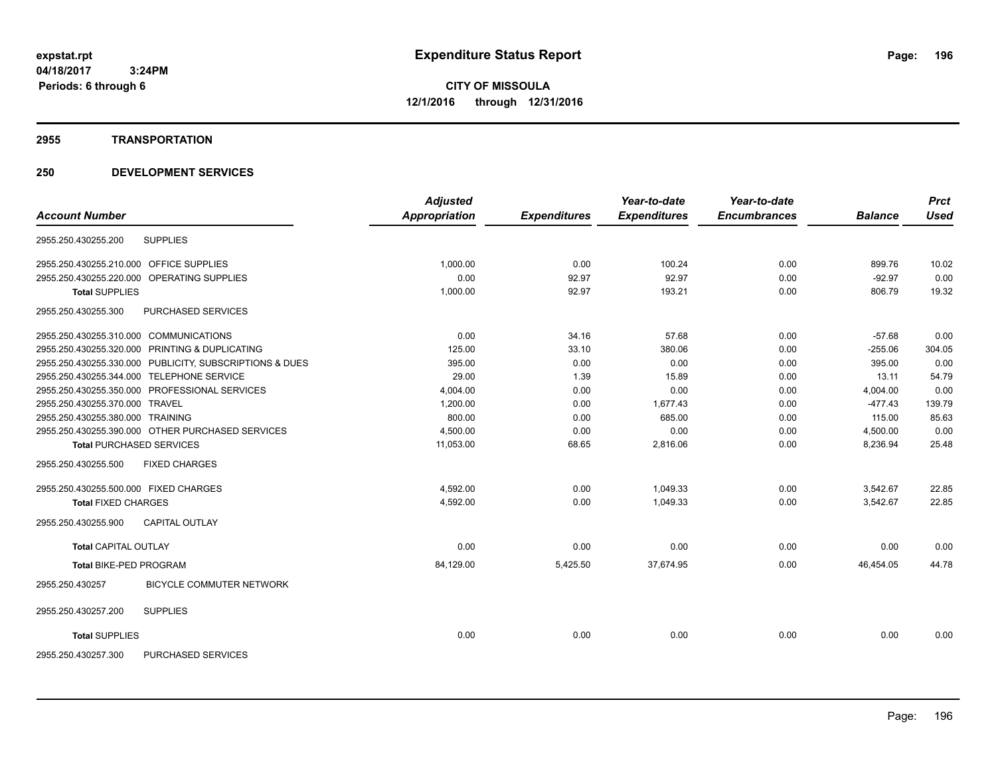#### **2955 TRANSPORTATION**

| <b>Account Number</b>                   |                                                         | <b>Adjusted</b><br><b>Appropriation</b> | <b>Expenditures</b> | Year-to-date<br><b>Expenditures</b> | Year-to-date<br><b>Encumbrances</b> | <b>Balance</b> | <b>Prct</b><br><b>Used</b> |
|-----------------------------------------|---------------------------------------------------------|-----------------------------------------|---------------------|-------------------------------------|-------------------------------------|----------------|----------------------------|
|                                         |                                                         |                                         |                     |                                     |                                     |                |                            |
| 2955.250.430255.200                     | <b>SUPPLIES</b>                                         |                                         |                     |                                     |                                     |                |                            |
| 2955.250.430255.210.000 OFFICE SUPPLIES |                                                         | 1,000.00                                | 0.00                | 100.24                              | 0.00                                | 899.76         | 10.02                      |
|                                         | 2955.250.430255.220.000 OPERATING SUPPLIES              | 0.00                                    | 92.97               | 92.97                               | 0.00                                | $-92.97$       | 0.00                       |
| <b>Total SUPPLIES</b>                   |                                                         | 1,000.00                                | 92.97               | 193.21                              | 0.00                                | 806.79         | 19.32                      |
| 2955.250.430255.300                     | PURCHASED SERVICES                                      |                                         |                     |                                     |                                     |                |                            |
| 2955.250.430255.310.000 COMMUNICATIONS  |                                                         | 0.00                                    | 34.16               | 57.68                               | 0.00                                | $-57.68$       | 0.00                       |
|                                         | 2955.250.430255.320.000 PRINTING & DUPLICATING          | 125.00                                  | 33.10               | 380.06                              | 0.00                                | $-255.06$      | 304.05                     |
|                                         | 2955.250.430255.330.000 PUBLICITY, SUBSCRIPTIONS & DUES | 395.00                                  | 0.00                | 0.00                                | 0.00                                | 395.00         | 0.00                       |
|                                         | 2955.250.430255.344.000 TELEPHONE SERVICE               | 29.00                                   | 1.39                | 15.89                               | 0.00                                | 13.11          | 54.79                      |
|                                         | 2955.250.430255.350.000 PROFESSIONAL SERVICES           | 4,004.00                                | 0.00                | 0.00                                | 0.00                                | 4.004.00       | 0.00                       |
| 2955.250.430255.370.000 TRAVEL          |                                                         | 1.200.00                                | 0.00                | 1.677.43                            | 0.00                                | $-477.43$      | 139.79                     |
| 2955.250.430255.380.000 TRAINING        |                                                         | 800.00                                  | 0.00                | 685.00                              | 0.00                                | 115.00         | 85.63                      |
|                                         | 2955.250.430255.390.000 OTHER PURCHASED SERVICES        | 4,500.00                                | 0.00                | 0.00                                | 0.00                                | 4,500.00       | 0.00                       |
|                                         | <b>Total PURCHASED SERVICES</b>                         | 11,053.00                               | 68.65               | 2,816.06                            | 0.00                                | 8,236.94       | 25.48                      |
| 2955.250.430255.500                     | <b>FIXED CHARGES</b>                                    |                                         |                     |                                     |                                     |                |                            |
| 2955.250.430255.500.000 FIXED CHARGES   |                                                         | 4.592.00                                | 0.00                | 1.049.33                            | 0.00                                | 3,542.67       | 22.85                      |
| <b>Total FIXED CHARGES</b>              |                                                         | 4,592.00                                | 0.00                | 1,049.33                            | 0.00                                | 3,542.67       | 22.85                      |
| 2955.250.430255.900                     | <b>CAPITAL OUTLAY</b>                                   |                                         |                     |                                     |                                     |                |                            |
| <b>Total CAPITAL OUTLAY</b>             |                                                         | 0.00                                    | 0.00                | 0.00                                | 0.00                                | 0.00           | 0.00                       |
| <b>Total BIKE-PED PROGRAM</b>           |                                                         | 84,129.00                               | 5,425.50            | 37,674.95                           | 0.00                                | 46,454.05      | 44.78                      |
| 2955.250.430257                         | BICYCLE COMMUTER NETWORK                                |                                         |                     |                                     |                                     |                |                            |
| 2955.250.430257.200                     | <b>SUPPLIES</b>                                         |                                         |                     |                                     |                                     |                |                            |
| <b>Total SUPPLIES</b>                   |                                                         | 0.00                                    | 0.00                | 0.00                                | 0.00                                | 0.00           | 0.00                       |
| 2955.250.430257.300                     | <b>PURCHASED SERVICES</b>                               |                                         |                     |                                     |                                     |                |                            |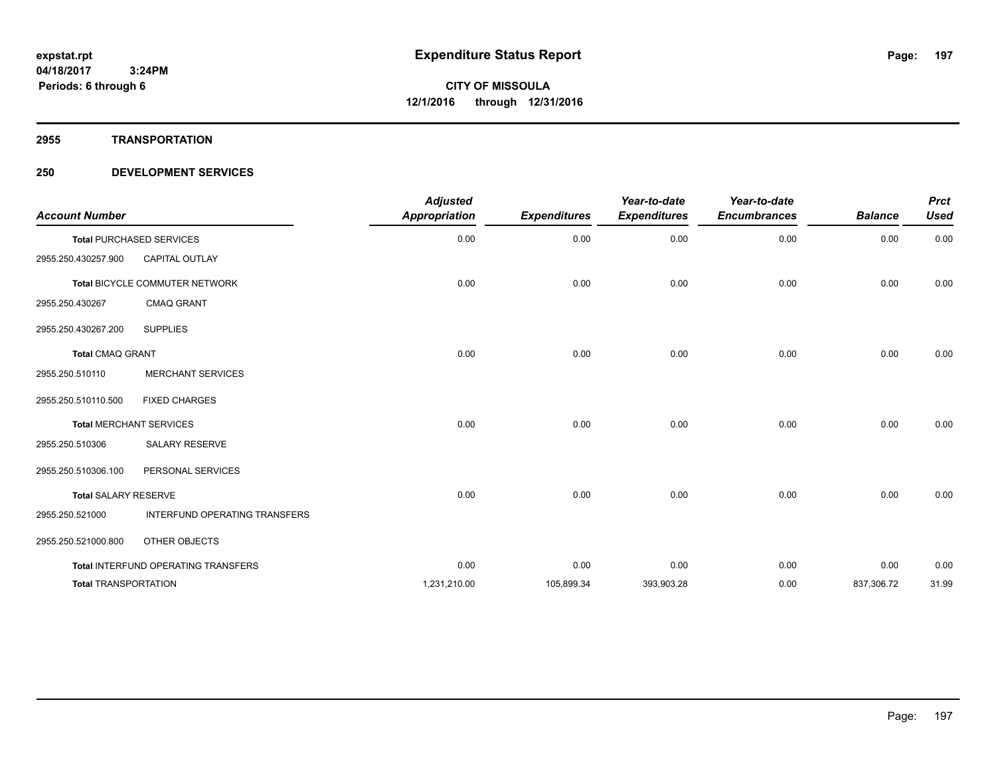**2955 TRANSPORTATION**

| <b>Account Number</b>       |                                     | <b>Adjusted</b><br><b>Appropriation</b> | <b>Expenditures</b> | Year-to-date<br><b>Expenditures</b> | Year-to-date<br><b>Encumbrances</b> | <b>Balance</b> | <b>Prct</b><br><b>Used</b> |
|-----------------------------|-------------------------------------|-----------------------------------------|---------------------|-------------------------------------|-------------------------------------|----------------|----------------------------|
|                             | <b>Total PURCHASED SERVICES</b>     | 0.00                                    | 0.00                | 0.00                                | 0.00                                | 0.00           | 0.00                       |
| 2955.250.430257.900         | <b>CAPITAL OUTLAY</b>               |                                         |                     |                                     |                                     |                |                            |
|                             | Total BICYCLE COMMUTER NETWORK      | 0.00                                    | 0.00                | 0.00                                | 0.00                                | 0.00           | 0.00                       |
| 2955.250.430267             | <b>CMAQ GRANT</b>                   |                                         |                     |                                     |                                     |                |                            |
| 2955.250.430267.200         | <b>SUPPLIES</b>                     |                                         |                     |                                     |                                     |                |                            |
| <b>Total CMAQ GRANT</b>     |                                     | 0.00                                    | 0.00                | 0.00                                | 0.00                                | 0.00           | 0.00                       |
| 2955.250.510110             | <b>MERCHANT SERVICES</b>            |                                         |                     |                                     |                                     |                |                            |
| 2955.250.510110.500         | <b>FIXED CHARGES</b>                |                                         |                     |                                     |                                     |                |                            |
|                             | <b>Total MERCHANT SERVICES</b>      | 0.00                                    | 0.00                | 0.00                                | 0.00                                | 0.00           | 0.00                       |
| 2955.250.510306             | SALARY RESERVE                      |                                         |                     |                                     |                                     |                |                            |
| 2955.250.510306.100         | PERSONAL SERVICES                   |                                         |                     |                                     |                                     |                |                            |
| <b>Total SALARY RESERVE</b> |                                     | 0.00                                    | 0.00                | 0.00                                | 0.00                                | 0.00           | 0.00                       |
| 2955.250.521000             | INTERFUND OPERATING TRANSFERS       |                                         |                     |                                     |                                     |                |                            |
| 2955.250.521000.800         | OTHER OBJECTS                       |                                         |                     |                                     |                                     |                |                            |
|                             | Total INTERFUND OPERATING TRANSFERS | 0.00                                    | 0.00                | 0.00                                | 0.00                                | 0.00           | 0.00                       |
| <b>Total TRANSPORTATION</b> |                                     | 1,231,210.00                            | 105,899.34          | 393,903.28                          | 0.00                                | 837,306.72     | 31.99                      |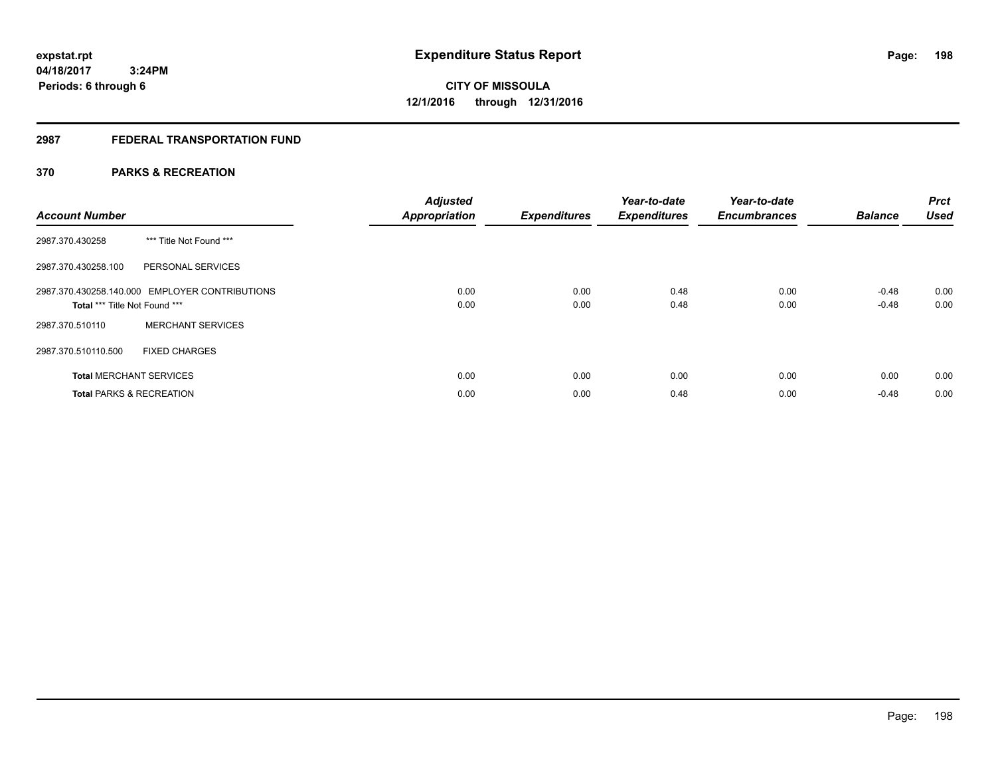# **2987 FEDERAL TRANSPORTATION FUND**

# **370 PARKS & RECREATION**

| <b>Account Number</b>               |                                                | <b>Adjusted</b><br><b>Appropriation</b> | <b>Expenditures</b> | Year-to-date<br><b>Expenditures</b> | Year-to-date<br><b>Encumbrances</b> | <b>Balance</b> | <b>Prct</b><br><b>Used</b> |
|-------------------------------------|------------------------------------------------|-----------------------------------------|---------------------|-------------------------------------|-------------------------------------|----------------|----------------------------|
| 2987.370.430258                     | *** Title Not Found ***                        |                                         |                     |                                     |                                     |                |                            |
| 2987.370.430258.100                 | PERSONAL SERVICES                              |                                         |                     |                                     |                                     |                |                            |
|                                     | 2987.370.430258.140.000 EMPLOYER CONTRIBUTIONS | 0.00                                    | 0.00                | 0.48                                | 0.00                                | $-0.48$        | 0.00                       |
| Total *** Title Not Found ***       |                                                | 0.00                                    | 0.00                | 0.48                                | 0.00                                | $-0.48$        | 0.00                       |
| 2987.370.510110                     | <b>MERCHANT SERVICES</b>                       |                                         |                     |                                     |                                     |                |                            |
| 2987.370.510110.500                 | <b>FIXED CHARGES</b>                           |                                         |                     |                                     |                                     |                |                            |
| <b>Total MERCHANT SERVICES</b>      |                                                | 0.00                                    | 0.00                | 0.00                                | 0.00                                | 0.00           | 0.00                       |
| <b>Total PARKS &amp; RECREATION</b> |                                                | 0.00                                    | 0.00                | 0.48                                | 0.00                                | $-0.48$        | 0.00                       |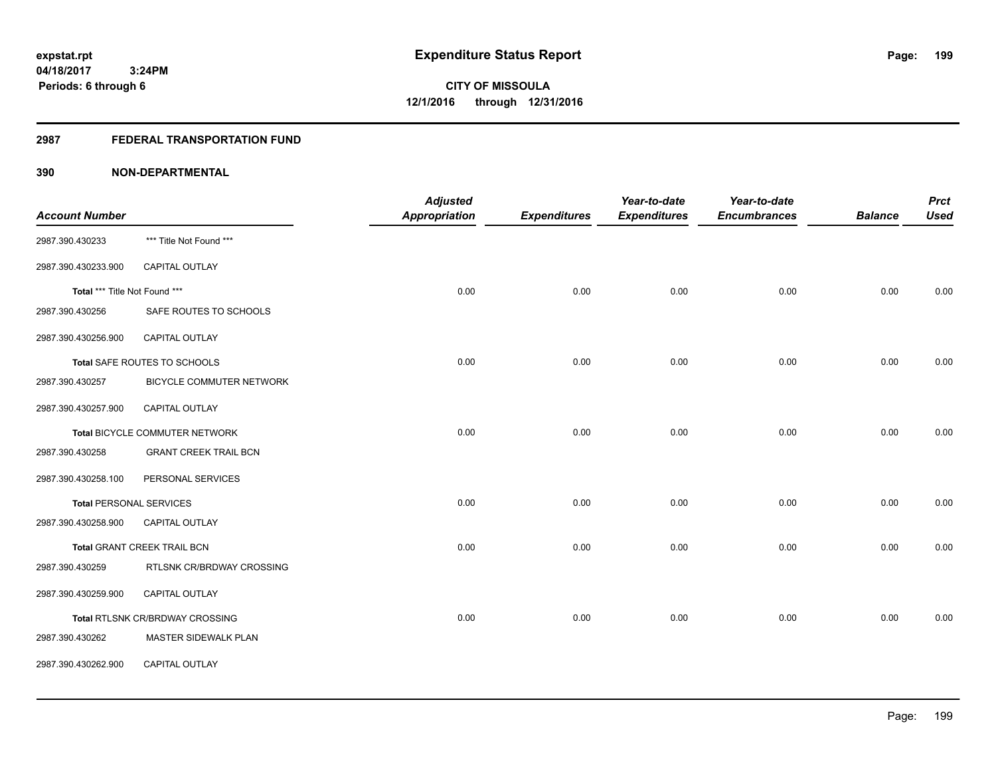# **2987 FEDERAL TRANSPORTATION FUND**

|                                |                                        | <b>Adjusted</b>      |                     | Year-to-date        | Year-to-date        |                | <b>Prct</b> |
|--------------------------------|----------------------------------------|----------------------|---------------------|---------------------|---------------------|----------------|-------------|
| <b>Account Number</b>          |                                        | <b>Appropriation</b> | <b>Expenditures</b> | <b>Expenditures</b> | <b>Encumbrances</b> | <b>Balance</b> | <b>Used</b> |
| 2987.390.430233                | *** Title Not Found ***                |                      |                     |                     |                     |                |             |
| 2987.390.430233.900            | <b>CAPITAL OUTLAY</b>                  |                      |                     |                     |                     |                |             |
| Total *** Title Not Found ***  |                                        | 0.00                 | 0.00                | 0.00                | 0.00                | 0.00           | 0.00        |
| 2987.390.430256                | SAFE ROUTES TO SCHOOLS                 |                      |                     |                     |                     |                |             |
| 2987.390.430256.900            | CAPITAL OUTLAY                         |                      |                     |                     |                     |                |             |
|                                | Total SAFE ROUTES TO SCHOOLS           | 0.00                 | 0.00                | 0.00                | 0.00                | 0.00           | 0.00        |
| 2987.390.430257                | BICYCLE COMMUTER NETWORK               |                      |                     |                     |                     |                |             |
| 2987.390.430257.900            | CAPITAL OUTLAY                         |                      |                     |                     |                     |                |             |
|                                | Total BICYCLE COMMUTER NETWORK         | 0.00                 | 0.00                | 0.00                | 0.00                | 0.00           | 0.00        |
| 2987.390.430258                | <b>GRANT CREEK TRAIL BCN</b>           |                      |                     |                     |                     |                |             |
| 2987.390.430258.100            | PERSONAL SERVICES                      |                      |                     |                     |                     |                |             |
| <b>Total PERSONAL SERVICES</b> |                                        | 0.00                 | 0.00                | 0.00                | 0.00                | 0.00           | 0.00        |
| 2987.390.430258.900            | <b>CAPITAL OUTLAY</b>                  |                      |                     |                     |                     |                |             |
|                                | Total GRANT CREEK TRAIL BCN            | 0.00                 | 0.00                | 0.00                | 0.00                | 0.00           | 0.00        |
| 2987.390.430259                | RTLSNK CR/BRDWAY CROSSING              |                      |                     |                     |                     |                |             |
| 2987.390.430259.900            | CAPITAL OUTLAY                         |                      |                     |                     |                     |                |             |
|                                | <b>Total RTLSNK CR/BRDWAY CROSSING</b> | 0.00                 | 0.00                | 0.00                | 0.00                | 0.00           | 0.00        |
| 2987.390.430262                | MASTER SIDEWALK PLAN                   |                      |                     |                     |                     |                |             |
| 2987.390.430262.900            | CAPITAL OUTLAY                         |                      |                     |                     |                     |                |             |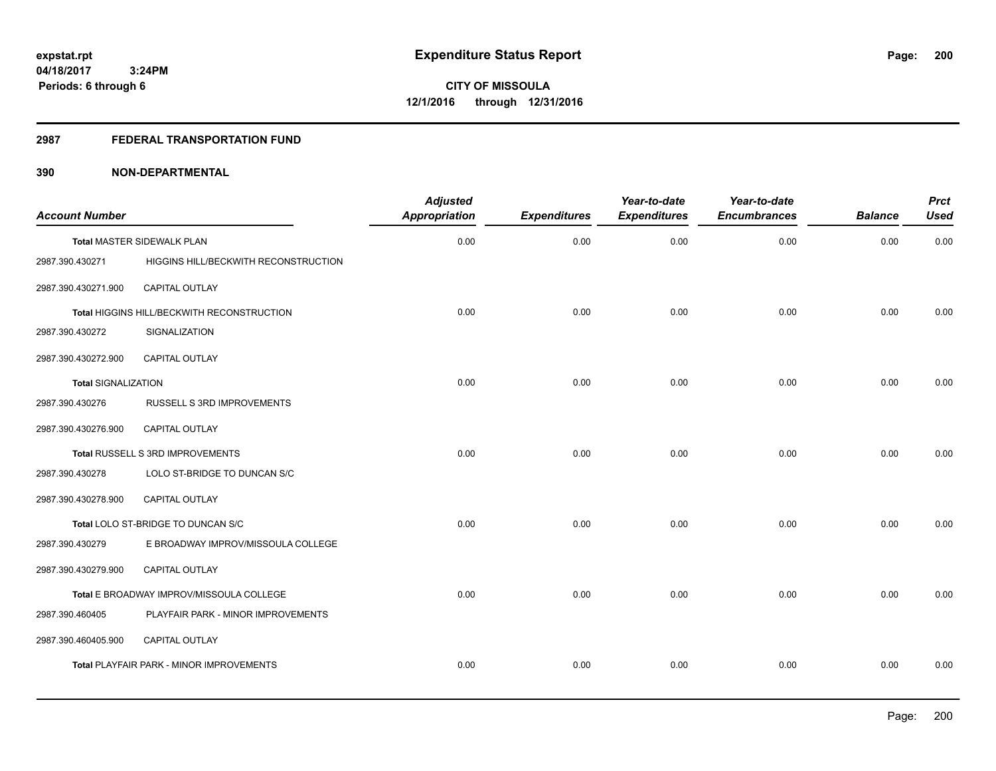#### **2987 FEDERAL TRANSPORTATION FUND**

| <b>Account Number</b>      |                                            | <b>Adjusted</b><br><b>Appropriation</b> | <b>Expenditures</b> | Year-to-date<br><b>Expenditures</b> | Year-to-date<br><b>Encumbrances</b> | <b>Balance</b> | <b>Prct</b><br><b>Used</b> |
|----------------------------|--------------------------------------------|-----------------------------------------|---------------------|-------------------------------------|-------------------------------------|----------------|----------------------------|
|                            | Total MASTER SIDEWALK PLAN                 | 0.00                                    | 0.00                | 0.00                                | 0.00                                | 0.00           | 0.00                       |
| 2987.390.430271            | HIGGINS HILL/BECKWITH RECONSTRUCTION       |                                         |                     |                                     |                                     |                |                            |
| 2987.390.430271.900        | CAPITAL OUTLAY                             |                                         |                     |                                     |                                     |                |                            |
|                            | Total HIGGINS HILL/BECKWITH RECONSTRUCTION | 0.00                                    | 0.00                | 0.00                                | 0.00                                | 0.00           | 0.00                       |
| 2987.390.430272            | SIGNALIZATION                              |                                         |                     |                                     |                                     |                |                            |
| 2987.390.430272.900        | CAPITAL OUTLAY                             |                                         |                     |                                     |                                     |                |                            |
| <b>Total SIGNALIZATION</b> |                                            | 0.00                                    | 0.00                | 0.00                                | 0.00                                | 0.00           | 0.00                       |
| 2987.390.430276            | RUSSELL S 3RD IMPROVEMENTS                 |                                         |                     |                                     |                                     |                |                            |
| 2987.390.430276.900        | <b>CAPITAL OUTLAY</b>                      |                                         |                     |                                     |                                     |                |                            |
|                            | Total RUSSELL S 3RD IMPROVEMENTS           | 0.00                                    | 0.00                | 0.00                                | 0.00                                | 0.00           | 0.00                       |
| 2987.390.430278            | LOLO ST-BRIDGE TO DUNCAN S/C               |                                         |                     |                                     |                                     |                |                            |
| 2987.390.430278.900        | CAPITAL OUTLAY                             |                                         |                     |                                     |                                     |                |                            |
|                            | Total LOLO ST-BRIDGE TO DUNCAN S/C         | 0.00                                    | 0.00                | 0.00                                | 0.00                                | 0.00           | 0.00                       |
| 2987.390.430279            | E BROADWAY IMPROV/MISSOULA COLLEGE         |                                         |                     |                                     |                                     |                |                            |
| 2987.390.430279.900        | <b>CAPITAL OUTLAY</b>                      |                                         |                     |                                     |                                     |                |                            |
|                            | Total E BROADWAY IMPROV/MISSOULA COLLEGE   | 0.00                                    | 0.00                | 0.00                                | 0.00                                | 0.00           | 0.00                       |
| 2987.390.460405            | PLAYFAIR PARK - MINOR IMPROVEMENTS         |                                         |                     |                                     |                                     |                |                            |
| 2987.390.460405.900        | CAPITAL OUTLAY                             |                                         |                     |                                     |                                     |                |                            |
|                            | Total PLAYFAIR PARK - MINOR IMPROVEMENTS   | 0.00                                    | 0.00                | 0.00                                | 0.00                                | 0.00           | 0.00                       |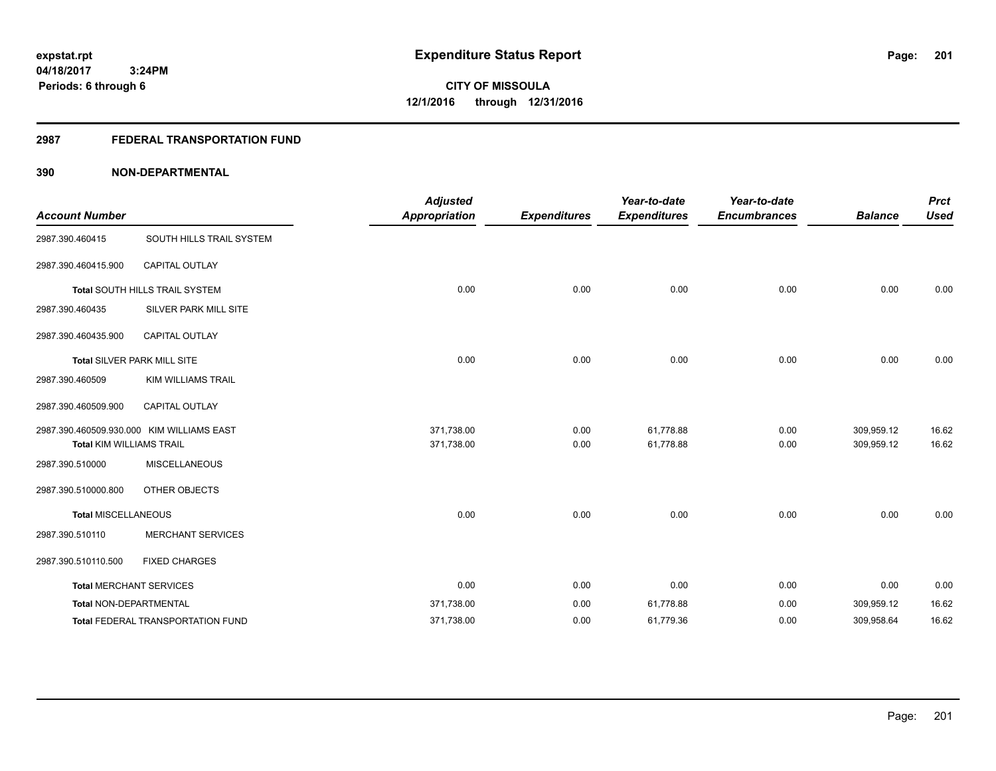# **2987 FEDERAL TRANSPORTATION FUND**

| <b>Account Number</b>           |                                           | <b>Adjusted</b>      |                     | Year-to-date        | Year-to-date        | <b>Balance</b> | <b>Prct</b><br><b>Used</b> |
|---------------------------------|-------------------------------------------|----------------------|---------------------|---------------------|---------------------|----------------|----------------------------|
|                                 |                                           | <b>Appropriation</b> | <b>Expenditures</b> | <b>Expenditures</b> | <b>Encumbrances</b> |                |                            |
| 2987.390.460415                 | SOUTH HILLS TRAIL SYSTEM                  |                      |                     |                     |                     |                |                            |
| 2987.390.460415.900             | <b>CAPITAL OUTLAY</b>                     |                      |                     |                     |                     |                |                            |
|                                 | Total SOUTH HILLS TRAIL SYSTEM            | 0.00                 | 0.00                | 0.00                | 0.00                | 0.00           | 0.00                       |
| 2987.390.460435                 | SILVER PARK MILL SITE                     |                      |                     |                     |                     |                |                            |
| 2987.390.460435.900             | CAPITAL OUTLAY                            |                      |                     |                     |                     |                |                            |
|                                 | Total SILVER PARK MILL SITE               | 0.00                 | 0.00                | 0.00                | 0.00                | 0.00           | 0.00                       |
| 2987.390.460509                 | <b>KIM WILLIAMS TRAIL</b>                 |                      |                     |                     |                     |                |                            |
| 2987.390.460509.900             | <b>CAPITAL OUTLAY</b>                     |                      |                     |                     |                     |                |                            |
|                                 | 2987.390.460509.930.000 KIM WILLIAMS EAST | 371,738.00           | 0.00                | 61,778.88           | 0.00                | 309,959.12     | 16.62                      |
| <b>Total KIM WILLIAMS TRAIL</b> |                                           | 371,738.00           | 0.00                | 61,778.88           | 0.00                | 309,959.12     | 16.62                      |
| 2987.390.510000                 | <b>MISCELLANEOUS</b>                      |                      |                     |                     |                     |                |                            |
| 2987.390.510000.800             | OTHER OBJECTS                             |                      |                     |                     |                     |                |                            |
| <b>Total MISCELLANEOUS</b>      |                                           | 0.00                 | 0.00                | 0.00                | 0.00                | 0.00           | 0.00                       |
| 2987.390.510110                 | <b>MERCHANT SERVICES</b>                  |                      |                     |                     |                     |                |                            |
| 2987.390.510110.500             | <b>FIXED CHARGES</b>                      |                      |                     |                     |                     |                |                            |
|                                 | <b>Total MERCHANT SERVICES</b>            | 0.00                 | 0.00                | 0.00                | 0.00                | 0.00           | 0.00                       |
| <b>Total NON-DEPARTMENTAL</b>   |                                           | 371,738.00           | 0.00                | 61,778.88           | 0.00                | 309,959.12     | 16.62                      |
|                                 | Total FEDERAL TRANSPORTATION FUND         | 371,738.00           | 0.00                | 61,779.36           | 0.00                | 309,958.64     | 16.62                      |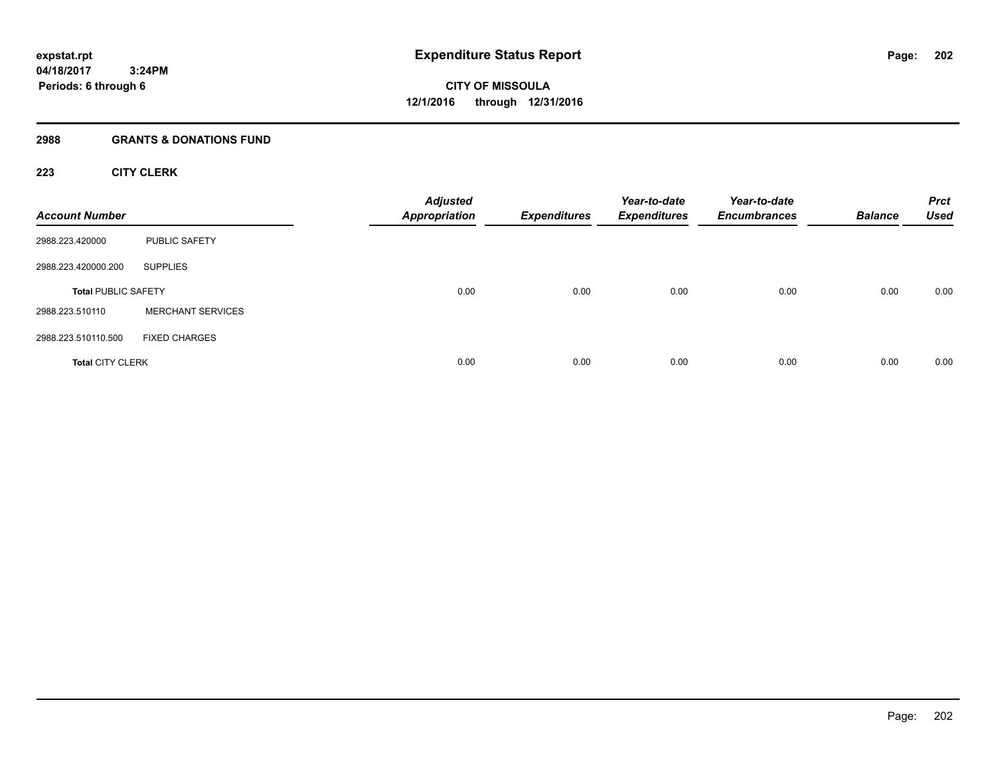#### **2988 GRANTS & DONATIONS FUND**

# **223 CITY CLERK**

| <b>Account Number</b>      |                          | <b>Adjusted</b><br><b>Appropriation</b> | <b>Expenditures</b> | Year-to-date<br><b>Expenditures</b> | Year-to-date<br><b>Encumbrances</b> | <b>Balance</b> | <b>Prct</b><br><b>Used</b> |
|----------------------------|--------------------------|-----------------------------------------|---------------------|-------------------------------------|-------------------------------------|----------------|----------------------------|
| 2988.223.420000            | <b>PUBLIC SAFETY</b>     |                                         |                     |                                     |                                     |                |                            |
| 2988.223.420000.200        | <b>SUPPLIES</b>          |                                         |                     |                                     |                                     |                |                            |
| <b>Total PUBLIC SAFETY</b> |                          | 0.00                                    | 0.00                | 0.00                                | 0.00                                | 0.00           | 0.00                       |
| 2988.223.510110            | <b>MERCHANT SERVICES</b> |                                         |                     |                                     |                                     |                |                            |
| 2988.223.510110.500        | <b>FIXED CHARGES</b>     |                                         |                     |                                     |                                     |                |                            |
| <b>Total CITY CLERK</b>    |                          | 0.00                                    | 0.00                | 0.00                                | 0.00                                | 0.00           | 0.00                       |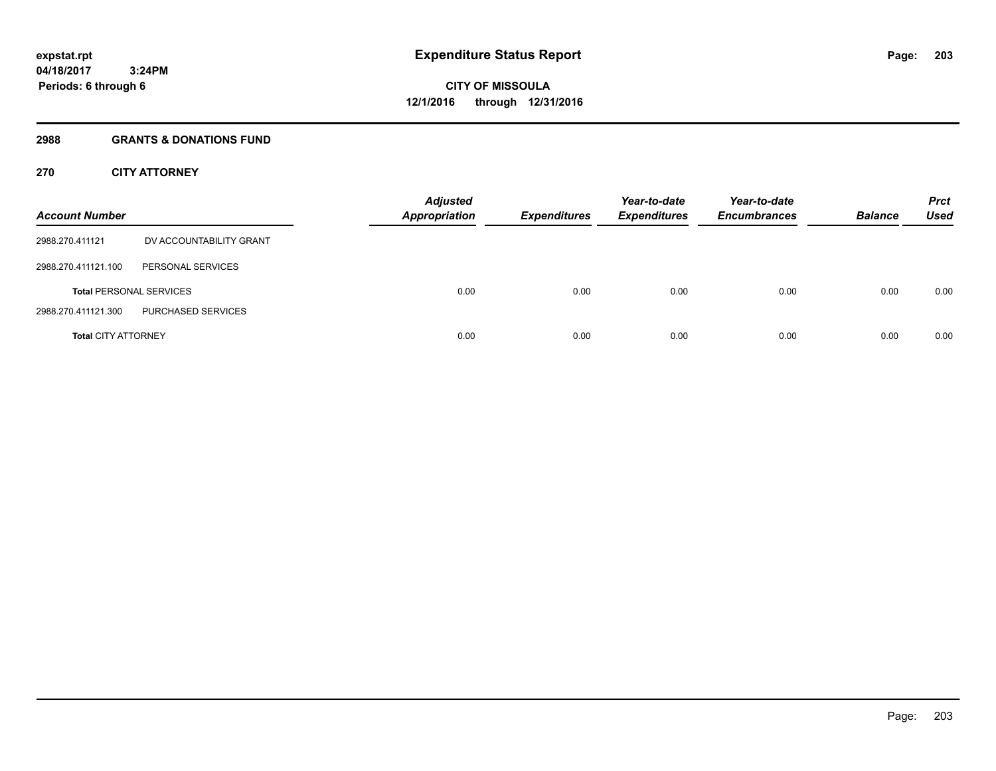# **2988 GRANTS & DONATIONS FUND**

# **270 CITY ATTORNEY**

| <b>Account Number</b>      |                                | <b>Adjusted</b><br><b>Appropriation</b> | <b>Expenditures</b> | Year-to-date<br><b>Expenditures</b> | Year-to-date<br><b>Encumbrances</b> | <b>Balance</b> | <b>Prct</b><br>Used |
|----------------------------|--------------------------------|-----------------------------------------|---------------------|-------------------------------------|-------------------------------------|----------------|---------------------|
| 2988.270.411121            | DV ACCOUNTABILITY GRANT        |                                         |                     |                                     |                                     |                |                     |
| 2988.270.411121.100        | PERSONAL SERVICES              |                                         |                     |                                     |                                     |                |                     |
|                            | <b>Total PERSONAL SERVICES</b> | 0.00                                    | 0.00                | 0.00                                | 0.00                                | 0.00           | 0.00                |
| 2988.270.411121.300        | PURCHASED SERVICES             |                                         |                     |                                     |                                     |                |                     |
| <b>Total CITY ATTORNEY</b> |                                | 0.00                                    | 0.00                | 0.00                                | 0.00                                | 0.00           | 0.00                |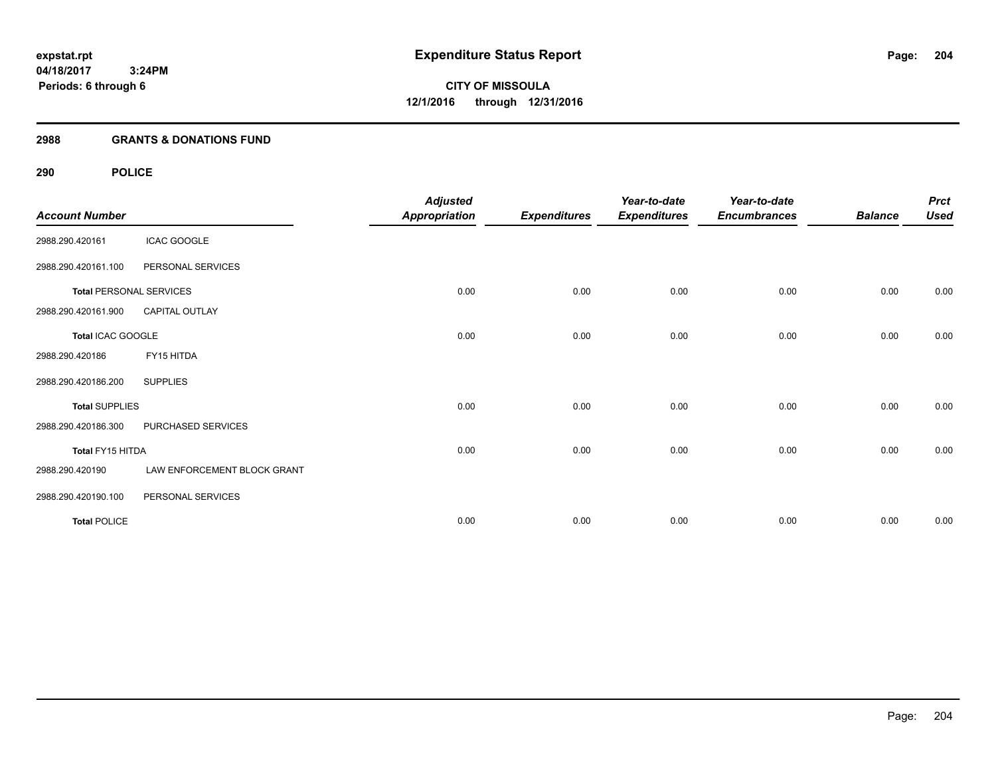# **2988 GRANTS & DONATIONS FUND**

# **290 POLICE**

| <b>Account Number</b> |                                | <b>Adjusted</b><br><b>Appropriation</b> | <b>Expenditures</b> | Year-to-date<br><b>Expenditures</b> | Year-to-date<br><b>Encumbrances</b> | <b>Balance</b> | <b>Prct</b><br><b>Used</b> |
|-----------------------|--------------------------------|-----------------------------------------|---------------------|-------------------------------------|-------------------------------------|----------------|----------------------------|
| 2988.290.420161       | <b>ICAC GOOGLE</b>             |                                         |                     |                                     |                                     |                |                            |
| 2988.290.420161.100   | PERSONAL SERVICES              |                                         |                     |                                     |                                     |                |                            |
|                       | <b>Total PERSONAL SERVICES</b> | 0.00                                    | 0.00                | 0.00                                | 0.00                                | 0.00           | 0.00                       |
| 2988.290.420161.900   | <b>CAPITAL OUTLAY</b>          |                                         |                     |                                     |                                     |                |                            |
| Total ICAC GOOGLE     |                                | 0.00                                    | 0.00                | 0.00                                | 0.00                                | 0.00           | 0.00                       |
| 2988.290.420186       | FY15 HITDA                     |                                         |                     |                                     |                                     |                |                            |
| 2988.290.420186.200   | <b>SUPPLIES</b>                |                                         |                     |                                     |                                     |                |                            |
| <b>Total SUPPLIES</b> |                                | 0.00                                    | 0.00                | 0.00                                | 0.00                                | 0.00           | 0.00                       |
| 2988.290.420186.300   | PURCHASED SERVICES             |                                         |                     |                                     |                                     |                |                            |
| Total FY15 HITDA      |                                | 0.00                                    | 0.00                | 0.00                                | 0.00                                | 0.00           | 0.00                       |
| 2988.290.420190       | LAW ENFORCEMENT BLOCK GRANT    |                                         |                     |                                     |                                     |                |                            |
| 2988.290.420190.100   | PERSONAL SERVICES              |                                         |                     |                                     |                                     |                |                            |
| <b>Total POLICE</b>   |                                | 0.00                                    | 0.00                | 0.00                                | 0.00                                | 0.00           | 0.00                       |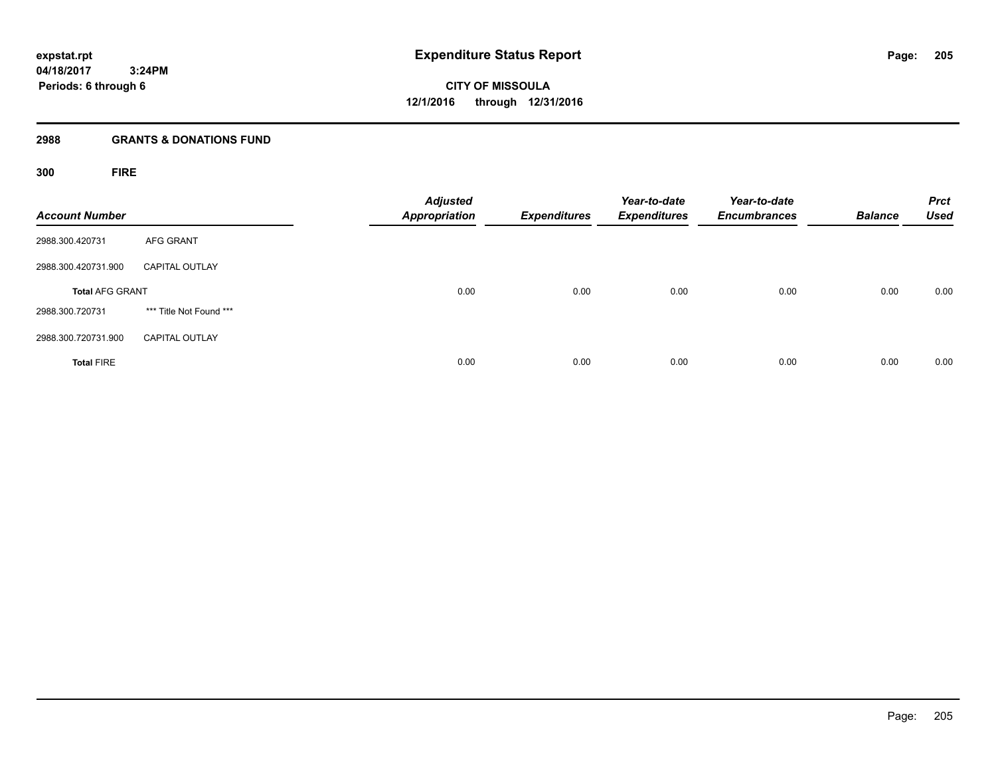# **2988 GRANTS & DONATIONS FUND**

**300 FIRE**

| <b>Account Number</b>  |                         | <b>Adjusted</b><br><b>Appropriation</b> | <b>Expenditures</b> | Year-to-date<br><b>Expenditures</b> | Year-to-date<br><b>Encumbrances</b> | <b>Balance</b> | <b>Prct</b><br><b>Used</b> |
|------------------------|-------------------------|-----------------------------------------|---------------------|-------------------------------------|-------------------------------------|----------------|----------------------------|
| 2988.300.420731        | <b>AFG GRANT</b>        |                                         |                     |                                     |                                     |                |                            |
| 2988.300.420731.900    | <b>CAPITAL OUTLAY</b>   |                                         |                     |                                     |                                     |                |                            |
| <b>Total AFG GRANT</b> |                         | 0.00                                    | 0.00                | 0.00                                | 0.00                                | 0.00           | 0.00                       |
| 2988.300.720731        | *** Title Not Found *** |                                         |                     |                                     |                                     |                |                            |
| 2988.300.720731.900    | <b>CAPITAL OUTLAY</b>   |                                         |                     |                                     |                                     |                |                            |
| <b>Total FIRE</b>      |                         | 0.00                                    | 0.00                | 0.00                                | 0.00                                | 0.00           | 0.00                       |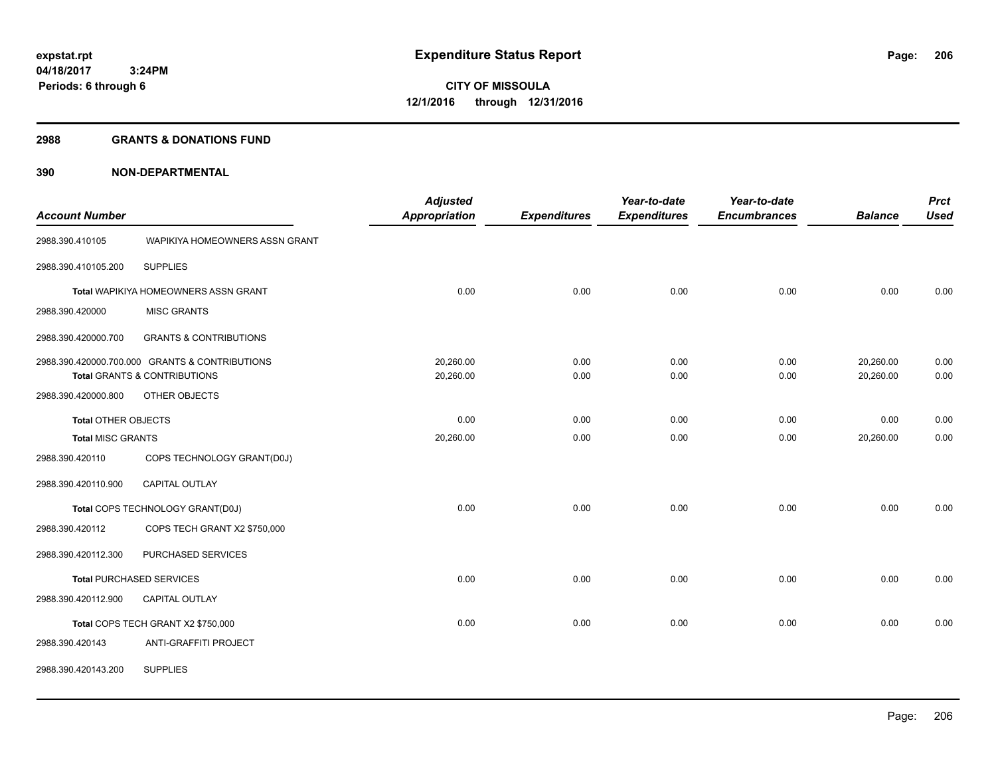#### **2988 GRANTS & DONATIONS FUND**

|                            |                                                | <b>Adjusted</b>      |                     | Year-to-date        | Year-to-date        |                | <b>Prct</b> |
|----------------------------|------------------------------------------------|----------------------|---------------------|---------------------|---------------------|----------------|-------------|
| <b>Account Number</b>      |                                                | <b>Appropriation</b> | <b>Expenditures</b> | <b>Expenditures</b> | <b>Encumbrances</b> | <b>Balance</b> | <b>Used</b> |
| 2988.390.410105            | WAPIKIYA HOMEOWNERS ASSN GRANT                 |                      |                     |                     |                     |                |             |
| 2988.390.410105.200        | <b>SUPPLIES</b>                                |                      |                     |                     |                     |                |             |
|                            | Total WAPIKIYA HOMEOWNERS ASSN GRANT           | 0.00                 | 0.00                | 0.00                | 0.00                | 0.00           | 0.00        |
| 2988.390.420000            | <b>MISC GRANTS</b>                             |                      |                     |                     |                     |                |             |
| 2988.390.420000.700        | <b>GRANTS &amp; CONTRIBUTIONS</b>              |                      |                     |                     |                     |                |             |
|                            | 2988.390.420000.700.000 GRANTS & CONTRIBUTIONS | 20,260.00            | 0.00                | 0.00                | 0.00                | 20,260.00      | 0.00        |
|                            | Total GRANTS & CONTRIBUTIONS                   | 20,260.00            | 0.00                | 0.00                | 0.00                | 20,260.00      | 0.00        |
| 2988.390.420000.800        | OTHER OBJECTS                                  |                      |                     |                     |                     |                |             |
| <b>Total OTHER OBJECTS</b> |                                                | 0.00                 | 0.00                | 0.00                | 0.00                | 0.00           | 0.00        |
| <b>Total MISC GRANTS</b>   |                                                | 20,260.00            | 0.00                | 0.00                | 0.00                | 20,260.00      | 0.00        |
| 2988.390.420110            | COPS TECHNOLOGY GRANT(D0J)                     |                      |                     |                     |                     |                |             |
| 2988.390.420110.900        | CAPITAL OUTLAY                                 |                      |                     |                     |                     |                |             |
|                            | Total COPS TECHNOLOGY GRANT(D0J)               | 0.00                 | 0.00                | 0.00                | 0.00                | 0.00           | 0.00        |
| 2988.390.420112            | COPS TECH GRANT X2 \$750,000                   |                      |                     |                     |                     |                |             |
| 2988.390.420112.300        | PURCHASED SERVICES                             |                      |                     |                     |                     |                |             |
|                            | <b>Total PURCHASED SERVICES</b>                | 0.00                 | 0.00                | 0.00                | 0.00                | 0.00           | 0.00        |
| 2988.390.420112.900        | CAPITAL OUTLAY                                 |                      |                     |                     |                     |                |             |
|                            | Total COPS TECH GRANT X2 \$750,000             | 0.00                 | 0.00                | 0.00                | 0.00                | 0.00           | 0.00        |
| 2988.390.420143            | ANTI-GRAFFITI PROJECT                          |                      |                     |                     |                     |                |             |
| 2988.390.420143.200        | <b>SUPPLIES</b>                                |                      |                     |                     |                     |                |             |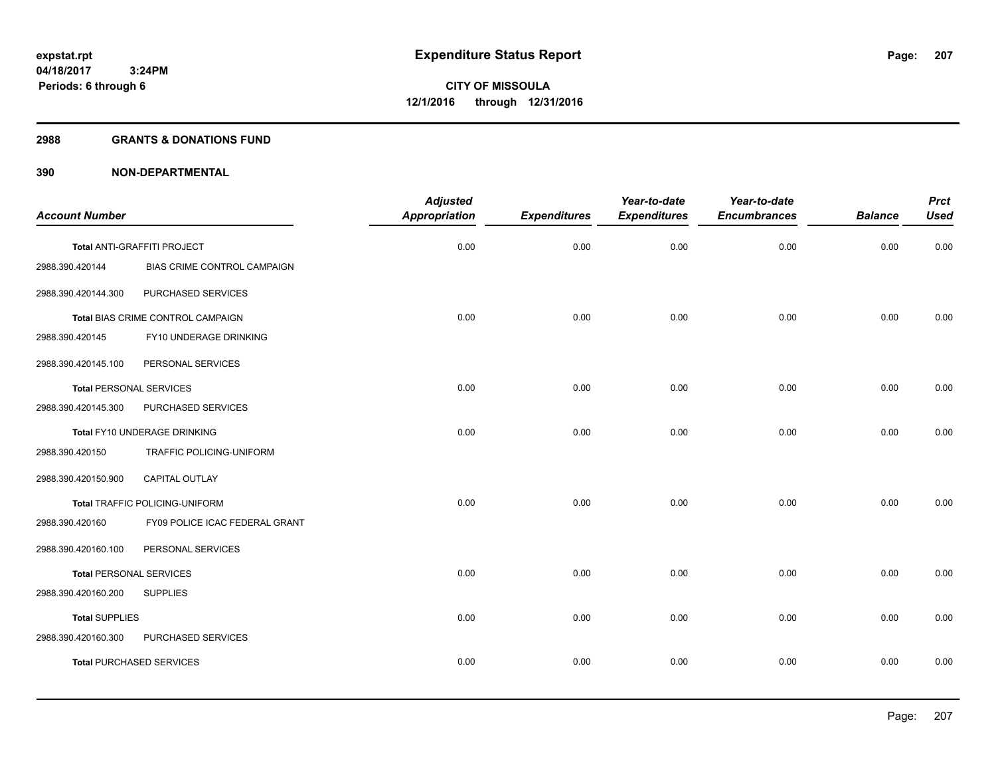# **2988 GRANTS & DONATIONS FUND**

|                                |                                       | <b>Adjusted</b>      |                     | Year-to-date        | Year-to-date        |                | <b>Prct</b> |
|--------------------------------|---------------------------------------|----------------------|---------------------|---------------------|---------------------|----------------|-------------|
| <b>Account Number</b>          |                                       | <b>Appropriation</b> | <b>Expenditures</b> | <b>Expenditures</b> | <b>Encumbrances</b> | <b>Balance</b> | <b>Used</b> |
|                                | Total ANTI-GRAFFITI PROJECT           | 0.00                 | 0.00                | 0.00                | 0.00                | 0.00           | 0.00        |
| 2988.390.420144                | <b>BIAS CRIME CONTROL CAMPAIGN</b>    |                      |                     |                     |                     |                |             |
| 2988.390.420144.300            | PURCHASED SERVICES                    |                      |                     |                     |                     |                |             |
|                                | Total BIAS CRIME CONTROL CAMPAIGN     | 0.00                 | 0.00                | 0.00                | 0.00                | 0.00           | 0.00        |
| 2988.390.420145                | FY10 UNDERAGE DRINKING                |                      |                     |                     |                     |                |             |
| 2988.390.420145.100            | PERSONAL SERVICES                     |                      |                     |                     |                     |                |             |
| <b>Total PERSONAL SERVICES</b> |                                       | 0.00                 | 0.00                | 0.00                | 0.00                | 0.00           | 0.00        |
| 2988.390.420145.300            | PURCHASED SERVICES                    |                      |                     |                     |                     |                |             |
|                                | Total FY10 UNDERAGE DRINKING          | 0.00                 | 0.00                | 0.00                | 0.00                | 0.00           | 0.00        |
| 2988.390.420150                | TRAFFIC POLICING-UNIFORM              |                      |                     |                     |                     |                |             |
| 2988.390.420150.900            | CAPITAL OUTLAY                        |                      |                     |                     |                     |                |             |
|                                | <b>Total TRAFFIC POLICING-UNIFORM</b> | 0.00                 | 0.00                | 0.00                | 0.00                | 0.00           | 0.00        |
| 2988.390.420160                | FY09 POLICE ICAC FEDERAL GRANT        |                      |                     |                     |                     |                |             |
| 2988.390.420160.100            | PERSONAL SERVICES                     |                      |                     |                     |                     |                |             |
| <b>Total PERSONAL SERVICES</b> |                                       | 0.00                 | 0.00                | 0.00                | 0.00                | 0.00           | 0.00        |
| 2988.390.420160.200            | <b>SUPPLIES</b>                       |                      |                     |                     |                     |                |             |
| <b>Total SUPPLIES</b>          |                                       | 0.00                 | 0.00                | 0.00                | 0.00                | 0.00           | 0.00        |
| 2988.390.420160.300            | PURCHASED SERVICES                    |                      |                     |                     |                     |                |             |
|                                | <b>Total PURCHASED SERVICES</b>       | 0.00                 | 0.00                | 0.00                | 0.00                | 0.00           | 0.00        |
|                                |                                       |                      |                     |                     |                     |                |             |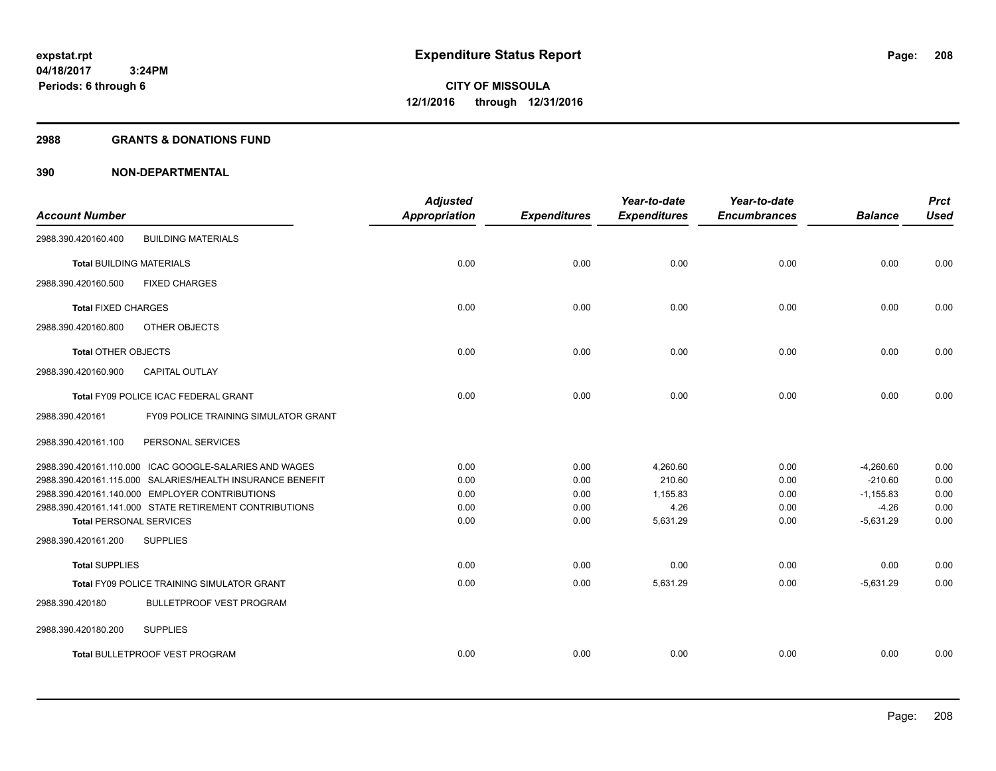#### **2988 GRANTS & DONATIONS FUND**

|                                 |                                                           | <b>Adjusted</b> |                     | Year-to-date        | Year-to-date        |                | <b>Prct</b> |
|---------------------------------|-----------------------------------------------------------|-----------------|---------------------|---------------------|---------------------|----------------|-------------|
| <b>Account Number</b>           |                                                           | Appropriation   | <b>Expenditures</b> | <b>Expenditures</b> | <b>Encumbrances</b> | <b>Balance</b> | <b>Used</b> |
| 2988.390.420160.400             | <b>BUILDING MATERIALS</b>                                 |                 |                     |                     |                     |                |             |
| <b>Total BUILDING MATERIALS</b> |                                                           | 0.00            | 0.00                | 0.00                | 0.00                | 0.00           | 0.00        |
| 2988.390.420160.500             | <b>FIXED CHARGES</b>                                      |                 |                     |                     |                     |                |             |
| <b>Total FIXED CHARGES</b>      |                                                           | 0.00            | 0.00                | 0.00                | 0.00                | 0.00           | 0.00        |
| 2988.390.420160.800             | OTHER OBJECTS                                             |                 |                     |                     |                     |                |             |
| <b>Total OTHER OBJECTS</b>      |                                                           | 0.00            | 0.00                | 0.00                | 0.00                | 0.00           | 0.00        |
| 2988.390.420160.900             | <b>CAPITAL OUTLAY</b>                                     |                 |                     |                     |                     |                |             |
|                                 | Total FY09 POLICE ICAC FEDERAL GRANT                      | 0.00            | 0.00                | 0.00                | 0.00                | 0.00           | 0.00        |
| 2988.390.420161                 | <b>FY09 POLICE TRAINING SIMULATOR GRANT</b>               |                 |                     |                     |                     |                |             |
| 2988.390.420161.100             | PERSONAL SERVICES                                         |                 |                     |                     |                     |                |             |
|                                 | 2988.390.420161.110.000 ICAC GOOGLE-SALARIES AND WAGES    | 0.00            | 0.00                | 4,260.60            | 0.00                | $-4,260.60$    | 0.00        |
|                                 | 2988.390.420161.115.000 SALARIES/HEALTH INSURANCE BENEFIT | 0.00            | 0.00                | 210.60              | 0.00                | $-210.60$      | 0.00        |
|                                 | 2988.390.420161.140.000 EMPLOYER CONTRIBUTIONS            | 0.00            | 0.00                | 1,155.83            | 0.00                | $-1,155.83$    | 0.00        |
|                                 | 2988.390.420161.141.000 STATE RETIREMENT CONTRIBUTIONS    | 0.00            | 0.00                | 4.26                | 0.00                | $-4.26$        | 0.00        |
| <b>Total PERSONAL SERVICES</b>  |                                                           | 0.00            | 0.00                | 5,631.29            | 0.00                | $-5,631.29$    | 0.00        |
| 2988.390.420161.200             | <b>SUPPLIES</b>                                           |                 |                     |                     |                     |                |             |
| <b>Total SUPPLIES</b>           |                                                           | 0.00            | 0.00                | 0.00                | 0.00                | 0.00           | 0.00        |
|                                 | <b>Total FY09 POLICE TRAINING SIMULATOR GRANT</b>         | 0.00            | 0.00                | 5,631.29            | 0.00                | $-5.631.29$    | 0.00        |
| 2988.390.420180                 | <b>BULLETPROOF VEST PROGRAM</b>                           |                 |                     |                     |                     |                |             |
| 2988.390.420180.200             | <b>SUPPLIES</b>                                           |                 |                     |                     |                     |                |             |
|                                 | <b>Total BULLETPROOF VEST PROGRAM</b>                     | 0.00            | 0.00                | 0.00                | 0.00                | 0.00           | 0.00        |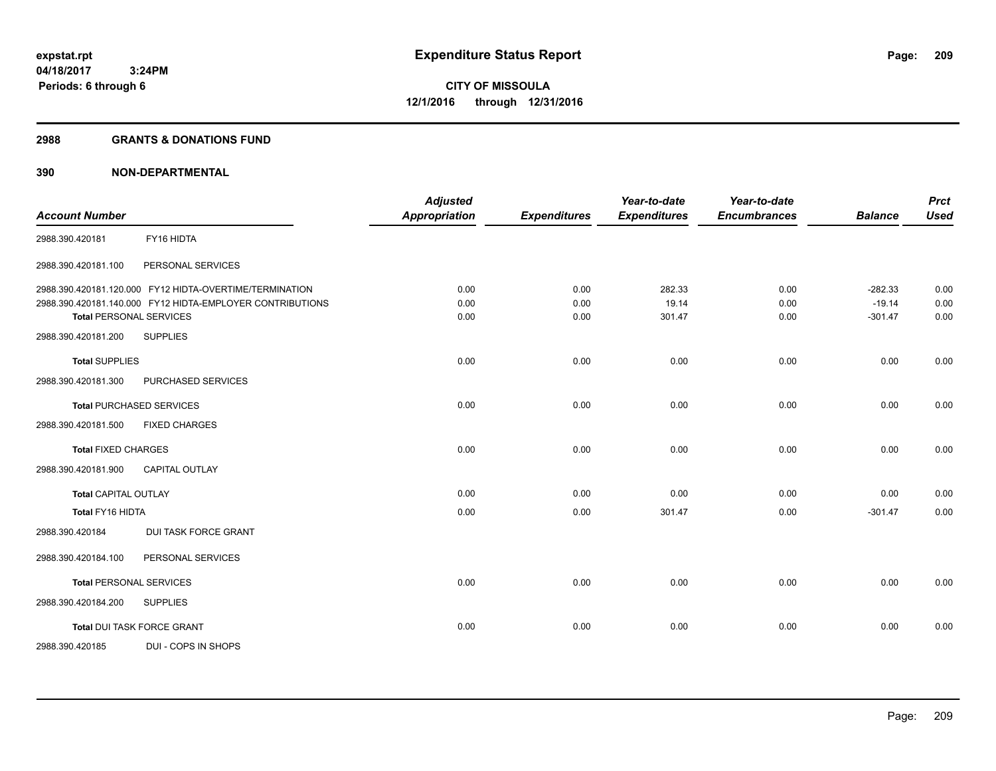#### **2988 GRANTS & DONATIONS FUND**

| <b>Account Number</b>           |                                                           | <b>Adjusted</b><br><b>Appropriation</b> | <b>Expenditures</b> | Year-to-date<br><b>Expenditures</b> | Year-to-date<br><b>Encumbrances</b> | <b>Balance</b> | <b>Prct</b><br><b>Used</b> |
|---------------------------------|-----------------------------------------------------------|-----------------------------------------|---------------------|-------------------------------------|-------------------------------------|----------------|----------------------------|
|                                 |                                                           |                                         |                     |                                     |                                     |                |                            |
| 2988.390.420181                 | FY16 HIDTA                                                |                                         |                     |                                     |                                     |                |                            |
| 2988.390.420181.100             | PERSONAL SERVICES                                         |                                         |                     |                                     |                                     |                |                            |
|                                 | 2988.390.420181.120.000 FY12 HIDTA-OVERTIME/TERMINATION   | 0.00                                    | 0.00                | 282.33                              | 0.00                                | $-282.33$      | 0.00                       |
|                                 | 2988.390.420181.140.000 FY12 HIDTA-EMPLOYER CONTRIBUTIONS | 0.00                                    | 0.00                | 19.14                               | 0.00                                | $-19.14$       | 0.00                       |
| <b>Total PERSONAL SERVICES</b>  |                                                           | 0.00                                    | 0.00                | 301.47                              | 0.00                                | $-301.47$      | 0.00                       |
| 2988.390.420181.200             | <b>SUPPLIES</b>                                           |                                         |                     |                                     |                                     |                |                            |
| <b>Total SUPPLIES</b>           |                                                           | 0.00                                    | 0.00                | 0.00                                | 0.00                                | 0.00           | 0.00                       |
| 2988.390.420181.300             | PURCHASED SERVICES                                        |                                         |                     |                                     |                                     |                |                            |
| <b>Total PURCHASED SERVICES</b> |                                                           | 0.00                                    | 0.00                | 0.00                                | 0.00                                | 0.00           | 0.00                       |
| 2988.390.420181.500             | <b>FIXED CHARGES</b>                                      |                                         |                     |                                     |                                     |                |                            |
| <b>Total FIXED CHARGES</b>      |                                                           | 0.00                                    | 0.00                | 0.00                                | 0.00                                | 0.00           | 0.00                       |
| 2988.390.420181.900             | <b>CAPITAL OUTLAY</b>                                     |                                         |                     |                                     |                                     |                |                            |
| <b>Total CAPITAL OUTLAY</b>     |                                                           | 0.00                                    | 0.00                | 0.00                                | 0.00                                | 0.00           | 0.00                       |
| Total FY16 HIDTA                |                                                           | 0.00                                    | 0.00                | 301.47                              | 0.00                                | $-301.47$      | 0.00                       |
| 2988.390.420184                 | <b>DUI TASK FORCE GRANT</b>                               |                                         |                     |                                     |                                     |                |                            |
| 2988.390.420184.100             | PERSONAL SERVICES                                         |                                         |                     |                                     |                                     |                |                            |
| <b>Total PERSONAL SERVICES</b>  |                                                           | 0.00                                    | 0.00                | 0.00                                | 0.00                                | 0.00           | 0.00                       |
| 2988.390.420184.200             | <b>SUPPLIES</b>                                           |                                         |                     |                                     |                                     |                |                            |
|                                 | Total DUI TASK FORCE GRANT                                | 0.00                                    | 0.00                | 0.00                                | 0.00                                | 0.00           | 0.00                       |
| 2988.390.420185                 | DUI - COPS IN SHOPS                                       |                                         |                     |                                     |                                     |                |                            |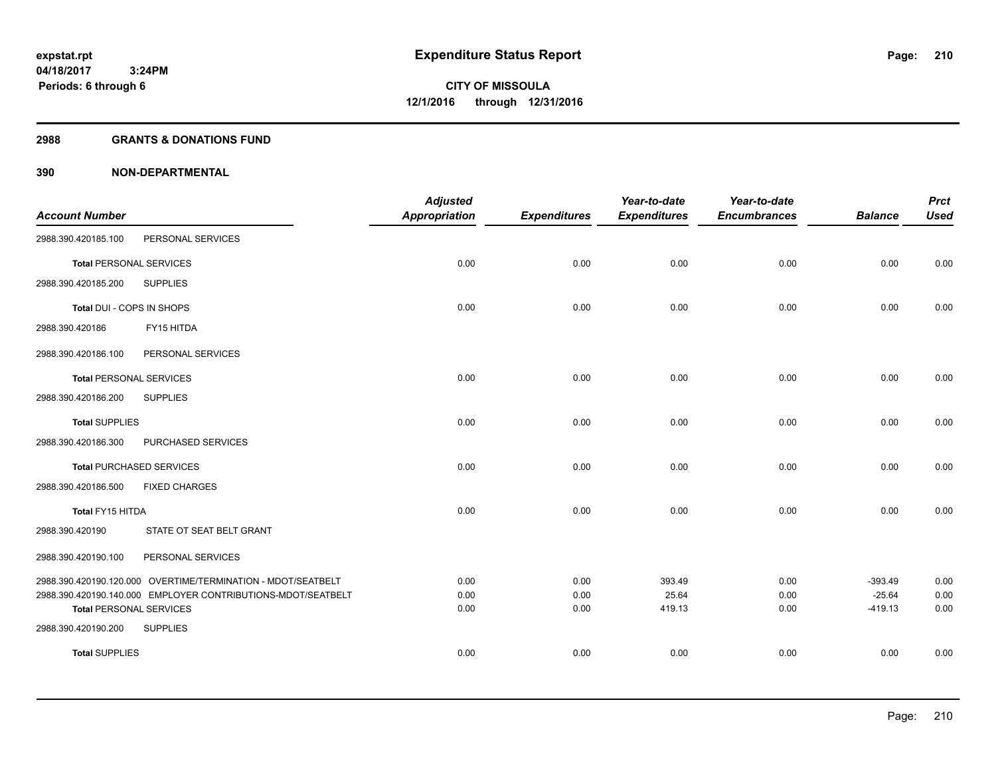#### **2988 GRANTS & DONATIONS FUND**

|                                |                                                              | <b>Adjusted</b>      |                     | Year-to-date        | Year-to-date        |                       | <b>Prct</b>  |
|--------------------------------|--------------------------------------------------------------|----------------------|---------------------|---------------------|---------------------|-----------------------|--------------|
| <b>Account Number</b>          |                                                              | <b>Appropriation</b> | <b>Expenditures</b> | <b>Expenditures</b> | <b>Encumbrances</b> | <b>Balance</b>        | <b>Used</b>  |
| 2988.390.420185.100            | PERSONAL SERVICES                                            |                      |                     |                     |                     |                       |              |
| <b>Total PERSONAL SERVICES</b> |                                                              | 0.00                 | 0.00                | 0.00                | 0.00                | 0.00                  | 0.00         |
| 2988.390.420185.200            | <b>SUPPLIES</b>                                              |                      |                     |                     |                     |                       |              |
| Total DUI - COPS IN SHOPS      |                                                              | 0.00                 | 0.00                | 0.00                | 0.00                | 0.00                  | 0.00         |
| 2988.390.420186                | FY15 HITDA                                                   |                      |                     |                     |                     |                       |              |
| 2988.390.420186.100            | PERSONAL SERVICES                                            |                      |                     |                     |                     |                       |              |
| <b>Total PERSONAL SERVICES</b> |                                                              | 0.00                 | 0.00                | 0.00                | 0.00                | 0.00                  | 0.00         |
| 2988.390.420186.200            | <b>SUPPLIES</b>                                              |                      |                     |                     |                     |                       |              |
| <b>Total SUPPLIES</b>          |                                                              | 0.00                 | 0.00                | 0.00                | 0.00                | 0.00                  | 0.00         |
| 2988.390.420186.300            | PURCHASED SERVICES                                           |                      |                     |                     |                     |                       |              |
|                                | <b>Total PURCHASED SERVICES</b>                              | 0.00                 | 0.00                | 0.00                | 0.00                | 0.00                  | 0.00         |
| 2988.390.420186.500            | <b>FIXED CHARGES</b>                                         |                      |                     |                     |                     |                       |              |
| Total FY15 HITDA               |                                                              | 0.00                 | 0.00                | 0.00                | 0.00                | 0.00                  | 0.00         |
| 2988.390.420190                | STATE OT SEAT BELT GRANT                                     |                      |                     |                     |                     |                       |              |
| 2988.390.420190.100            | PERSONAL SERVICES                                            |                      |                     |                     |                     |                       |              |
|                                | 2988.390.420190.120.000 OVERTIME/TERMINATION - MDOT/SEATBELT | 0.00                 | 0.00                | 393.49              | 0.00                | $-393.49$             | 0.00         |
| <b>Total PERSONAL SERVICES</b> | 2988.390.420190.140.000 EMPLOYER CONTRIBUTIONS-MDOT/SEATBELT | 0.00<br>0.00         | 0.00<br>0.00        | 25.64<br>419.13     | 0.00<br>0.00        | $-25.64$<br>$-419.13$ | 0.00<br>0.00 |
| 2988.390.420190.200            | <b>SUPPLIES</b>                                              |                      |                     |                     |                     |                       |              |
| <b>Total SUPPLIES</b>          |                                                              | 0.00                 | 0.00                | 0.00                | 0.00                | 0.00                  | 0.00         |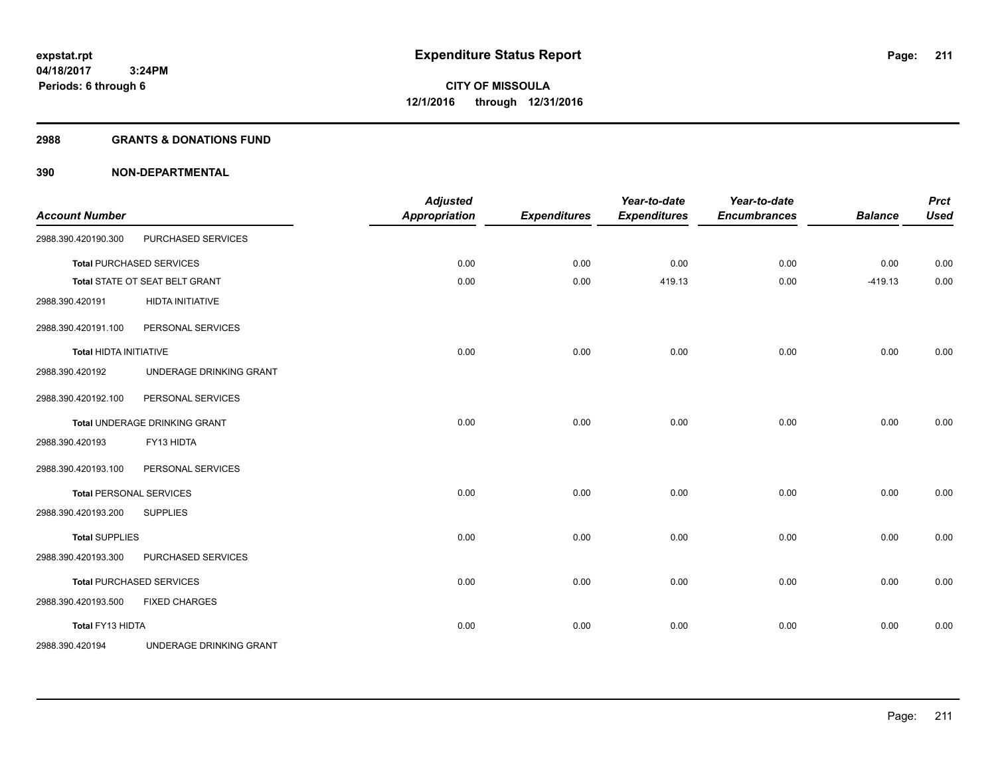#### **2988 GRANTS & DONATIONS FUND**

| <b>Account Number</b>         |                                 | <b>Adjusted</b><br><b>Appropriation</b> | <b>Expenditures</b> | Year-to-date<br><b>Expenditures</b> | Year-to-date<br><b>Encumbrances</b> | <b>Balance</b> | <b>Prct</b><br><b>Used</b> |
|-------------------------------|---------------------------------|-----------------------------------------|---------------------|-------------------------------------|-------------------------------------|----------------|----------------------------|
| 2988.390.420190.300           | PURCHASED SERVICES              |                                         |                     |                                     |                                     |                |                            |
|                               | <b>Total PURCHASED SERVICES</b> | 0.00                                    | 0.00                | 0.00                                | 0.00                                | 0.00           | 0.00                       |
|                               | Total STATE OT SEAT BELT GRANT  | 0.00                                    | 0.00                | 419.13                              | 0.00                                | $-419.13$      | 0.00                       |
| 2988.390.420191               | <b>HIDTA INITIATIVE</b>         |                                         |                     |                                     |                                     |                |                            |
| 2988.390.420191.100           | PERSONAL SERVICES               |                                         |                     |                                     |                                     |                |                            |
| <b>Total HIDTA INITIATIVE</b> |                                 | 0.00                                    | 0.00                | 0.00                                | 0.00                                | 0.00           | 0.00                       |
| 2988.390.420192               | UNDERAGE DRINKING GRANT         |                                         |                     |                                     |                                     |                |                            |
| 2988.390.420192.100           | PERSONAL SERVICES               |                                         |                     |                                     |                                     |                |                            |
|                               | Total UNDERAGE DRINKING GRANT   | 0.00                                    | 0.00                | 0.00                                | 0.00                                | 0.00           | 0.00                       |
| 2988.390.420193               | FY13 HIDTA                      |                                         |                     |                                     |                                     |                |                            |
| 2988.390.420193.100           | PERSONAL SERVICES               |                                         |                     |                                     |                                     |                |                            |
|                               | <b>Total PERSONAL SERVICES</b>  | 0.00                                    | 0.00                | 0.00                                | 0.00                                | 0.00           | 0.00                       |
| 2988.390.420193.200           | <b>SUPPLIES</b>                 |                                         |                     |                                     |                                     |                |                            |
| <b>Total SUPPLIES</b>         |                                 | 0.00                                    | 0.00                | 0.00                                | 0.00                                | 0.00           | 0.00                       |
| 2988.390.420193.300           | PURCHASED SERVICES              |                                         |                     |                                     |                                     |                |                            |
|                               | <b>Total PURCHASED SERVICES</b> | 0.00                                    | 0.00                | 0.00                                | 0.00                                | 0.00           | 0.00                       |
| 2988.390.420193.500           | <b>FIXED CHARGES</b>            |                                         |                     |                                     |                                     |                |                            |
| Total FY13 HIDTA              |                                 | 0.00                                    | 0.00                | 0.00                                | 0.00                                | 0.00           | 0.00                       |
| 2988.390.420194               | UNDERAGE DRINKING GRANT         |                                         |                     |                                     |                                     |                |                            |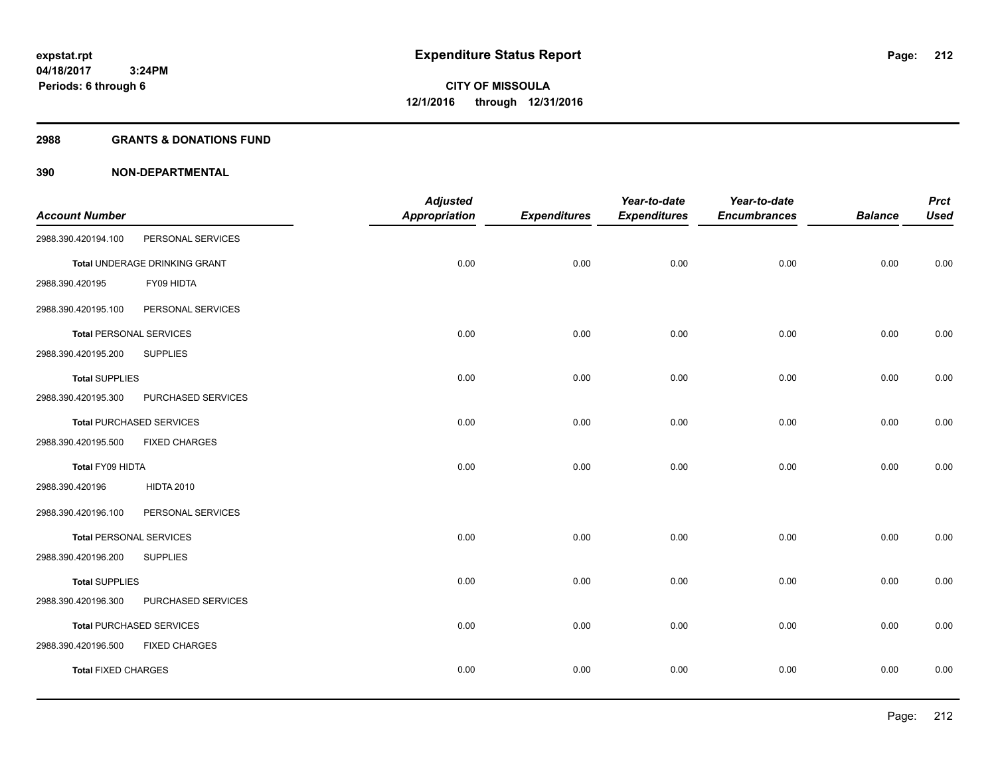#### **2988 GRANTS & DONATIONS FUND**

|                                |                                 | <b>Adjusted</b> |                     | Year-to-date        | Year-to-date        |                | <b>Prct</b> |
|--------------------------------|---------------------------------|-----------------|---------------------|---------------------|---------------------|----------------|-------------|
| <b>Account Number</b>          |                                 | Appropriation   | <b>Expenditures</b> | <b>Expenditures</b> | <b>Encumbrances</b> | <b>Balance</b> | <b>Used</b> |
| 2988.390.420194.100            | PERSONAL SERVICES               |                 |                     |                     |                     |                |             |
|                                | Total UNDERAGE DRINKING GRANT   | 0.00            | 0.00                | 0.00                | 0.00                | 0.00           | 0.00        |
| 2988.390.420195                | FY09 HIDTA                      |                 |                     |                     |                     |                |             |
| 2988.390.420195.100            | PERSONAL SERVICES               |                 |                     |                     |                     |                |             |
| <b>Total PERSONAL SERVICES</b> |                                 | 0.00            | 0.00                | 0.00                | 0.00                | 0.00           | 0.00        |
| 2988.390.420195.200            | <b>SUPPLIES</b>                 |                 |                     |                     |                     |                |             |
| <b>Total SUPPLIES</b>          |                                 | 0.00            | 0.00                | 0.00                | 0.00                | 0.00           | 0.00        |
| 2988.390.420195.300            | PURCHASED SERVICES              |                 |                     |                     |                     |                |             |
|                                | <b>Total PURCHASED SERVICES</b> | 0.00            | 0.00                | 0.00                | 0.00                | 0.00           | 0.00        |
| 2988.390.420195.500            | <b>FIXED CHARGES</b>            |                 |                     |                     |                     |                |             |
| Total FY09 HIDTA               |                                 | 0.00            | 0.00                | 0.00                | 0.00                | 0.00           | 0.00        |
| 2988.390.420196                | <b>HIDTA 2010</b>               |                 |                     |                     |                     |                |             |
| 2988.390.420196.100            | PERSONAL SERVICES               |                 |                     |                     |                     |                |             |
| <b>Total PERSONAL SERVICES</b> |                                 | 0.00            | 0.00                | 0.00                | 0.00                | 0.00           | 0.00        |
| 2988.390.420196.200            | <b>SUPPLIES</b>                 |                 |                     |                     |                     |                |             |
| <b>Total SUPPLIES</b>          |                                 | 0.00            | 0.00                | 0.00                | 0.00                | 0.00           | 0.00        |
| 2988.390.420196.300            | PURCHASED SERVICES              |                 |                     |                     |                     |                |             |
|                                | <b>Total PURCHASED SERVICES</b> | 0.00            | 0.00                | 0.00                | 0.00                | 0.00           | 0.00        |
| 2988.390.420196.500            | <b>FIXED CHARGES</b>            |                 |                     |                     |                     |                |             |
| <b>Total FIXED CHARGES</b>     |                                 | 0.00            | 0.00                | 0.00                | 0.00                | 0.00           | 0.00        |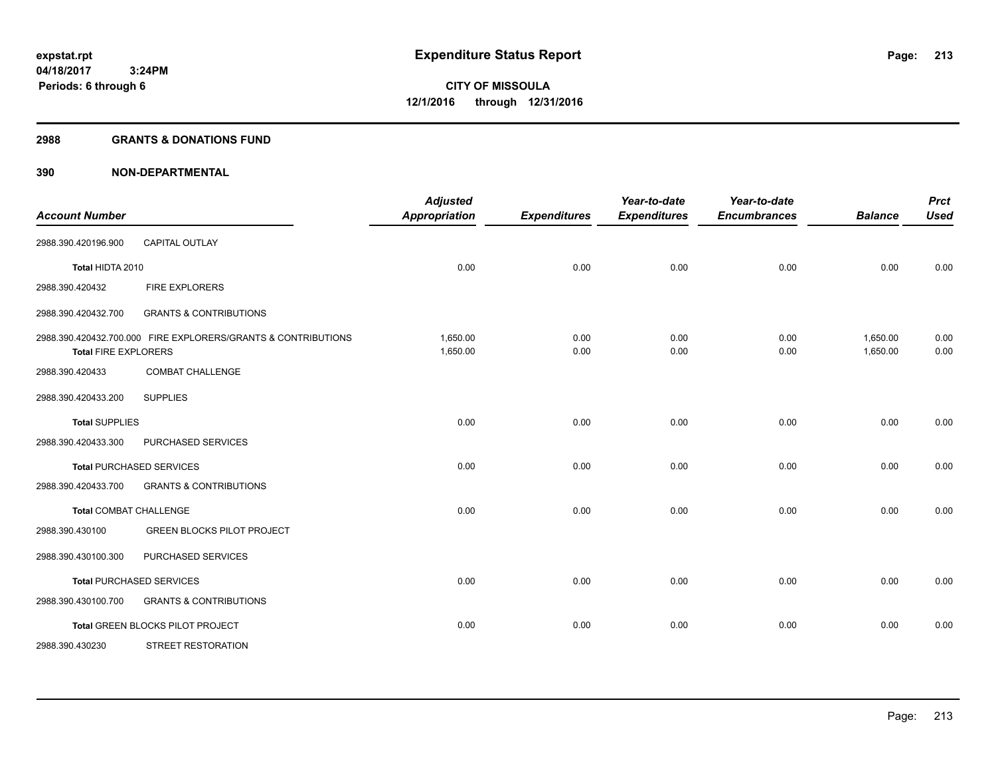#### **2988 GRANTS & DONATIONS FUND**

| <b>Account Number</b>       |                                                               | <b>Adjusted</b><br><b>Appropriation</b> | <b>Expenditures</b> | Year-to-date<br><b>Expenditures</b> | Year-to-date<br><b>Encumbrances</b> | <b>Balance</b>       | <b>Prct</b><br><b>Used</b> |
|-----------------------------|---------------------------------------------------------------|-----------------------------------------|---------------------|-------------------------------------|-------------------------------------|----------------------|----------------------------|
| 2988.390.420196.900         | <b>CAPITAL OUTLAY</b>                                         |                                         |                     |                                     |                                     |                      |                            |
| Total HIDTA 2010            |                                                               | 0.00                                    | 0.00                | 0.00                                | 0.00                                | 0.00                 | 0.00                       |
| 2988.390.420432             | <b>FIRE EXPLORERS</b>                                         |                                         |                     |                                     |                                     |                      |                            |
| 2988.390.420432.700         | <b>GRANTS &amp; CONTRIBUTIONS</b>                             |                                         |                     |                                     |                                     |                      |                            |
| <b>Total FIRE EXPLORERS</b> | 2988.390.420432.700.000 FIRE EXPLORERS/GRANTS & CONTRIBUTIONS | 1,650.00<br>1,650.00                    | 0.00<br>0.00        | 0.00<br>0.00                        | 0.00<br>0.00                        | 1,650.00<br>1,650.00 | 0.00<br>0.00               |
| 2988.390.420433             | <b>COMBAT CHALLENGE</b>                                       |                                         |                     |                                     |                                     |                      |                            |
| 2988.390.420433.200         | <b>SUPPLIES</b>                                               |                                         |                     |                                     |                                     |                      |                            |
| <b>Total SUPPLIES</b>       |                                                               | 0.00                                    | 0.00                | 0.00                                | 0.00                                | 0.00                 | 0.00                       |
| 2988.390.420433.300         | PURCHASED SERVICES                                            |                                         |                     |                                     |                                     |                      |                            |
|                             | <b>Total PURCHASED SERVICES</b>                               | 0.00                                    | 0.00                | 0.00                                | 0.00                                | 0.00                 | 0.00                       |
| 2988.390.420433.700         | <b>GRANTS &amp; CONTRIBUTIONS</b>                             |                                         |                     |                                     |                                     |                      |                            |
| Total COMBAT CHALLENGE      |                                                               | 0.00                                    | 0.00                | 0.00                                | 0.00                                | 0.00                 | 0.00                       |
| 2988.390.430100             | <b>GREEN BLOCKS PILOT PROJECT</b>                             |                                         |                     |                                     |                                     |                      |                            |
| 2988.390.430100.300         | PURCHASED SERVICES                                            |                                         |                     |                                     |                                     |                      |                            |
|                             | <b>Total PURCHASED SERVICES</b>                               | 0.00                                    | 0.00                | 0.00                                | 0.00                                | 0.00                 | 0.00                       |
| 2988.390.430100.700         | <b>GRANTS &amp; CONTRIBUTIONS</b>                             |                                         |                     |                                     |                                     |                      |                            |
|                             | Total GREEN BLOCKS PILOT PROJECT                              | 0.00                                    | 0.00                | 0.00                                | 0.00                                | 0.00                 | 0.00                       |
| 2988.390.430230             | <b>STREET RESTORATION</b>                                     |                                         |                     |                                     |                                     |                      |                            |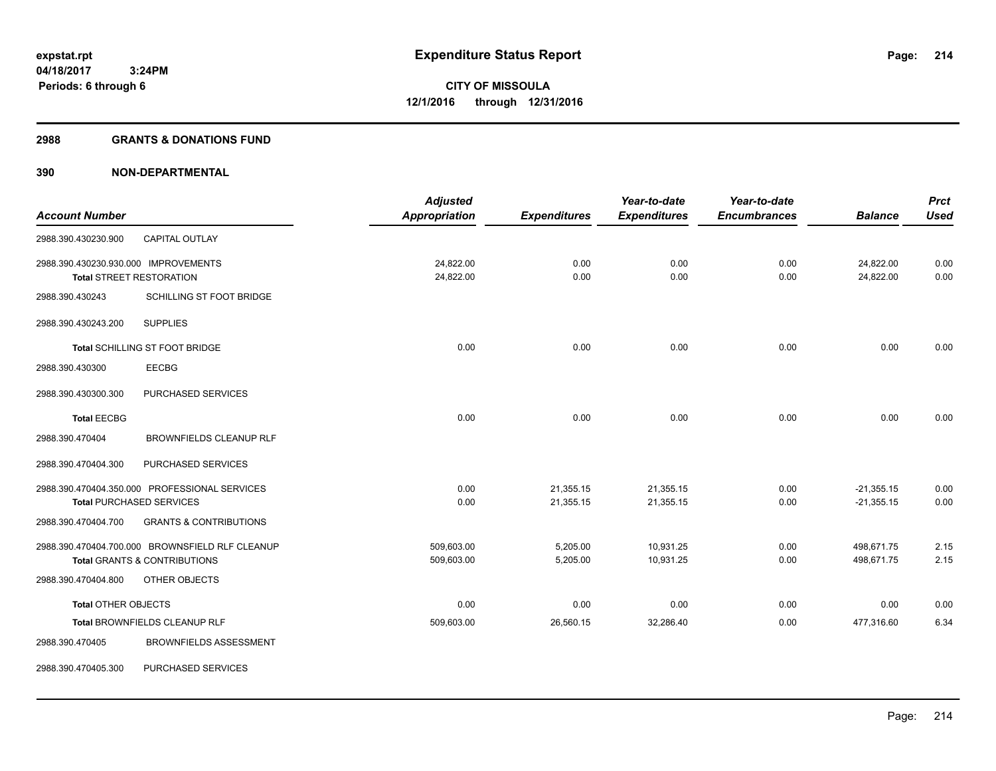#### **2988 GRANTS & DONATIONS FUND**

|                                      |                                                 | <b>Adjusted</b> |                     | Year-to-date        | Year-to-date        |                | <b>Prct</b> |
|--------------------------------------|-------------------------------------------------|-----------------|---------------------|---------------------|---------------------|----------------|-------------|
| <b>Account Number</b>                |                                                 | Appropriation   | <b>Expenditures</b> | <b>Expenditures</b> | <b>Encumbrances</b> | <b>Balance</b> | <b>Used</b> |
| 2988.390.430230.900                  | CAPITAL OUTLAY                                  |                 |                     |                     |                     |                |             |
| 2988.390.430230.930.000 IMPROVEMENTS |                                                 | 24,822.00       | 0.00                | 0.00                | 0.00                | 24,822.00      | 0.00        |
|                                      | <b>Total STREET RESTORATION</b>                 | 24,822.00       | 0.00                | 0.00                | 0.00                | 24,822.00      | 0.00        |
| 2988.390.430243                      | SCHILLING ST FOOT BRIDGE                        |                 |                     |                     |                     |                |             |
| 2988.390.430243.200                  | <b>SUPPLIES</b>                                 |                 |                     |                     |                     |                |             |
|                                      | Total SCHILLING ST FOOT BRIDGE                  | 0.00            | 0.00                | 0.00                | 0.00                | 0.00           | 0.00        |
| 2988.390.430300                      | <b>EECBG</b>                                    |                 |                     |                     |                     |                |             |
| 2988.390.430300.300                  | PURCHASED SERVICES                              |                 |                     |                     |                     |                |             |
| <b>Total EECBG</b>                   |                                                 | 0.00            | 0.00                | 0.00                | 0.00                | 0.00           | 0.00        |
| 2988.390.470404                      | <b>BROWNFIELDS CLEANUP RLF</b>                  |                 |                     |                     |                     |                |             |
| 2988.390.470404.300                  | PURCHASED SERVICES                              |                 |                     |                     |                     |                |             |
|                                      | 2988.390.470404.350.000 PROFESSIONAL SERVICES   | 0.00            | 21,355.15           | 21,355.15           | 0.00                | $-21,355.15$   | 0.00        |
|                                      | <b>Total PURCHASED SERVICES</b>                 | 0.00            | 21,355.15           | 21,355.15           | 0.00                | $-21,355.15$   | 0.00        |
| 2988.390.470404.700                  | <b>GRANTS &amp; CONTRIBUTIONS</b>               |                 |                     |                     |                     |                |             |
|                                      | 2988.390.470404.700.000 BROWNSFIELD RLF CLEANUP | 509,603.00      | 5,205.00            | 10,931.25           | 0.00                | 498,671.75     | 2.15        |
|                                      | <b>Total GRANTS &amp; CONTRIBUTIONS</b>         | 509,603.00      | 5,205.00            | 10,931.25           | 0.00                | 498,671.75     | 2.15        |
| 2988.390.470404.800                  | OTHER OBJECTS                                   |                 |                     |                     |                     |                |             |
| <b>Total OTHER OBJECTS</b>           |                                                 | 0.00            | 0.00                | 0.00                | 0.00                | 0.00           | 0.00        |
|                                      | Total BROWNFIELDS CLEANUP RLF                   | 509,603.00      | 26,560.15           | 32,286.40           | 0.00                | 477,316.60     | 6.34        |
| 2988.390.470405                      | <b>BROWNFIELDS ASSESSMENT</b>                   |                 |                     |                     |                     |                |             |
| 2988.390.470405.300                  | PURCHASED SERVICES                              |                 |                     |                     |                     |                |             |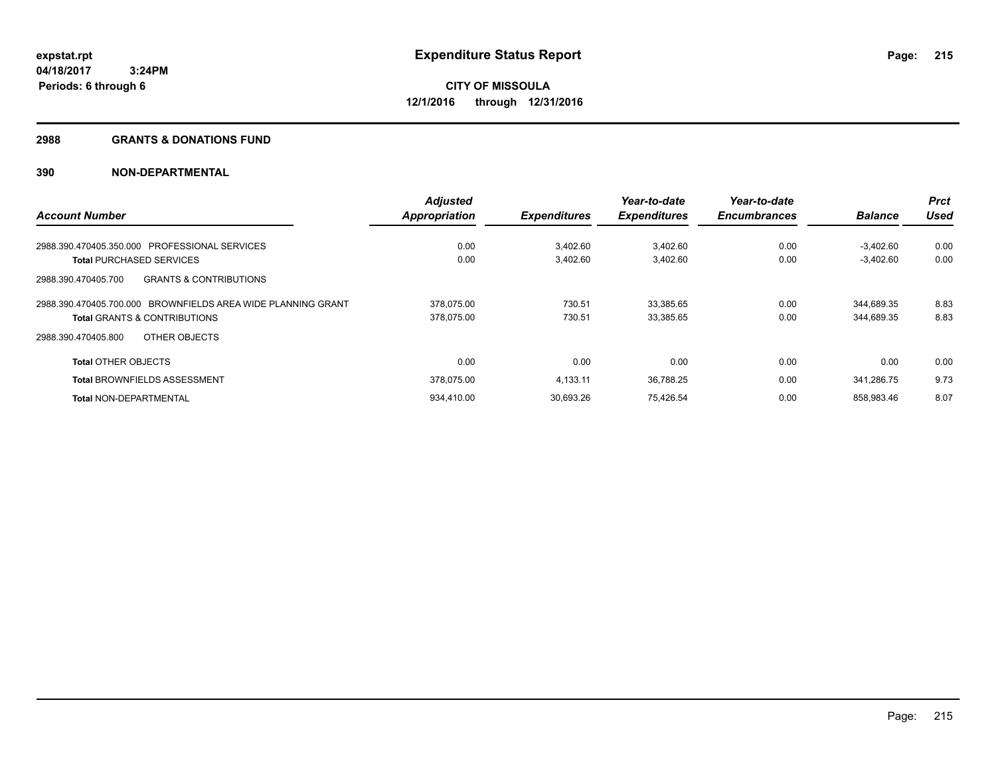#### **2988 GRANTS & DONATIONS FUND**

|                                                              | <b>Adjusted</b>      |                     | Year-to-date        | Year-to-date        |                | <b>Prct</b> |
|--------------------------------------------------------------|----------------------|---------------------|---------------------|---------------------|----------------|-------------|
| <b>Account Number</b>                                        | <b>Appropriation</b> | <b>Expenditures</b> | <b>Expenditures</b> | <b>Encumbrances</b> | <b>Balance</b> | <b>Used</b> |
| 2988.390.470405.350.000 PROFESSIONAL SERVICES                | 0.00                 | 3.402.60            | 3,402.60            | 0.00                | $-3.402.60$    | 0.00        |
| <b>Total PURCHASED SERVICES</b>                              | 0.00                 | 3,402.60            | 3,402.60            | 0.00                | $-3,402.60$    | 0.00        |
| <b>GRANTS &amp; CONTRIBUTIONS</b><br>2988.390.470405.700     |                      |                     |                     |                     |                |             |
| 2988.390.470405.700.000 BROWNFIELDS AREA WIDE PLANNING GRANT | 378,075.00           | 730.51              | 33,385.65           | 0.00                | 344,689.35     | 8.83        |
| <b>Total GRANTS &amp; CONTRIBUTIONS</b>                      | 378.075.00           | 730.51              | 33,385.65           | 0.00                | 344,689.35     | 8.83        |
| OTHER OBJECTS<br>2988.390.470405.800                         |                      |                     |                     |                     |                |             |
| <b>Total OTHER OBJECTS</b>                                   | 0.00                 | 0.00                | 0.00                | 0.00                | 0.00           | 0.00        |
| <b>Total BROWNFIELDS ASSESSMENT</b>                          | 378.075.00           | 4.133.11            | 36,788.25           | 0.00                | 341.286.75     | 9.73        |
| <b>Total NON-DEPARTMENTAL</b>                                | 934.410.00           | 30.693.26           | 75,426.54           | 0.00                | 858.983.46     | 8.07        |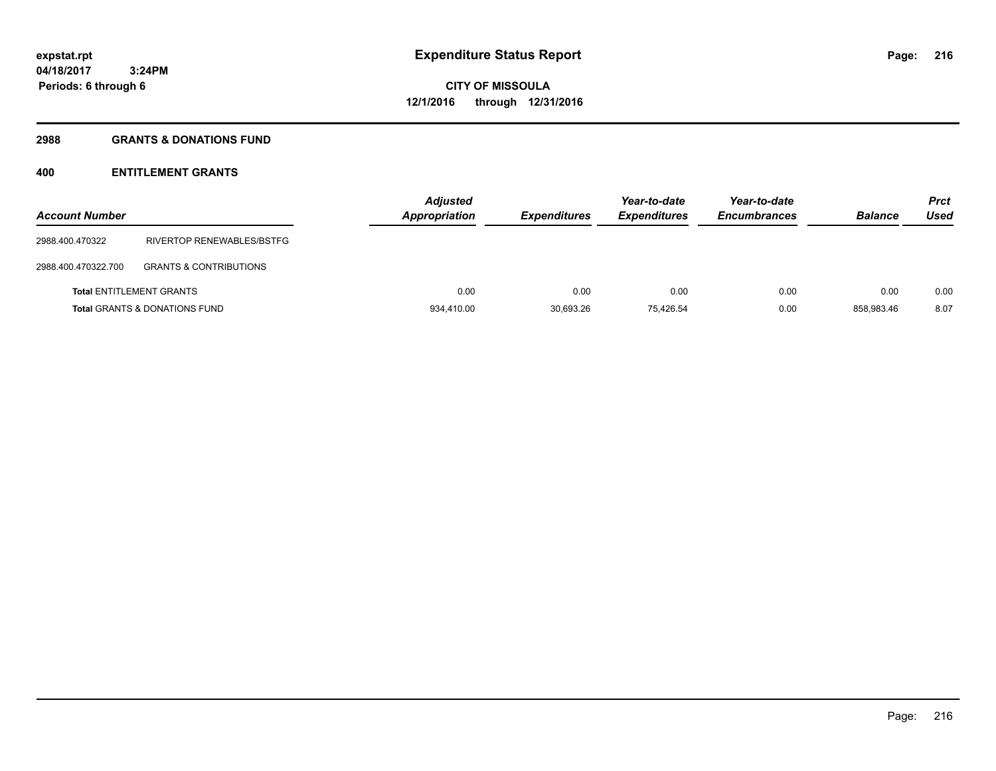# **2988 GRANTS & DONATIONS FUND**

| <b>Account Number</b>           |                                          | <b>Adjusted</b><br><b>Appropriation</b> | <b>Expenditures</b> | Year-to-date<br><b>Expenditures</b> | Year-to-date<br><b>Encumbrances</b> | <b>Balance</b> | <b>Prct</b><br>Used |
|---------------------------------|------------------------------------------|-----------------------------------------|---------------------|-------------------------------------|-------------------------------------|----------------|---------------------|
| 2988.400.470322                 | RIVERTOP RENEWABLES/BSTFG                |                                         |                     |                                     |                                     |                |                     |
| 2988.400.470322.700             | <b>GRANTS &amp; CONTRIBUTIONS</b>        |                                         |                     |                                     |                                     |                |                     |
| <b>Total ENTITLEMENT GRANTS</b> |                                          | 0.00                                    | 0.00                | 0.00                                | 0.00                                | 0.00           | 0.00                |
|                                 | <b>Total GRANTS &amp; DONATIONS FUND</b> | 934.410.00                              | 30.693.26           | 75.426.54                           | 0.00                                | 858.983.46     | 8.07                |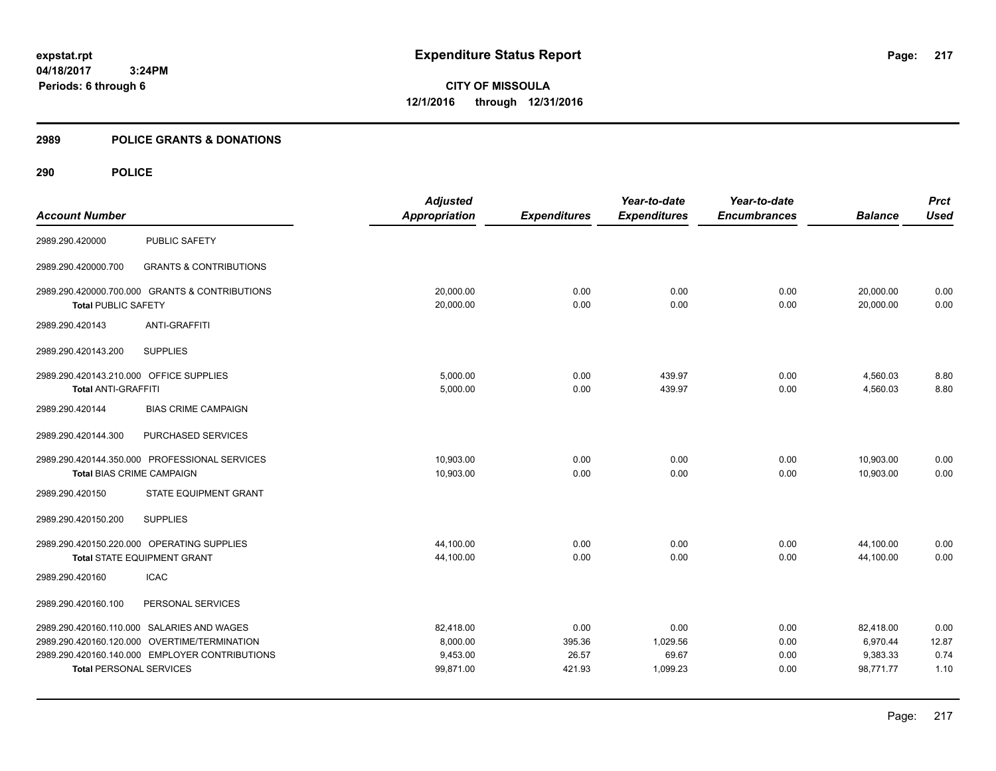**CITY OF MISSOULA 12/1/2016 through 12/31/2016**

### **2989 POLICE GRANTS & DONATIONS**

|                                         |                                                | <b>Adjusted</b>      |                     | Year-to-date        | Year-to-date        |                | <b>Prct</b> |
|-----------------------------------------|------------------------------------------------|----------------------|---------------------|---------------------|---------------------|----------------|-------------|
| <b>Account Number</b>                   |                                                | <b>Appropriation</b> | <b>Expenditures</b> | <b>Expenditures</b> | <b>Encumbrances</b> | <b>Balance</b> | <b>Used</b> |
| 2989.290.420000                         | <b>PUBLIC SAFETY</b>                           |                      |                     |                     |                     |                |             |
| 2989.290.420000.700                     | <b>GRANTS &amp; CONTRIBUTIONS</b>              |                      |                     |                     |                     |                |             |
|                                         | 2989.290.420000.700.000 GRANTS & CONTRIBUTIONS | 20,000.00            | 0.00                | 0.00                | 0.00                | 20,000.00      | 0.00        |
| <b>Total PUBLIC SAFETY</b>              |                                                | 20,000.00            | 0.00                | 0.00                | 0.00                | 20,000.00      | 0.00        |
| 2989.290.420143                         | <b>ANTI-GRAFFITI</b>                           |                      |                     |                     |                     |                |             |
| 2989.290.420143.200                     | <b>SUPPLIES</b>                                |                      |                     |                     |                     |                |             |
| 2989.290.420143.210.000 OFFICE SUPPLIES |                                                | 5,000.00             | 0.00                | 439.97              | 0.00                | 4,560.03       | 8.80        |
| <b>Total ANTI-GRAFFITI</b>              |                                                | 5,000.00             | 0.00                | 439.97              | 0.00                | 4,560.03       | 8.80        |
| 2989.290.420144                         | <b>BIAS CRIME CAMPAIGN</b>                     |                      |                     |                     |                     |                |             |
| 2989.290.420144.300                     | PURCHASED SERVICES                             |                      |                     |                     |                     |                |             |
|                                         | 2989.290.420144.350.000 PROFESSIONAL SERVICES  | 10,903.00            | 0.00                | 0.00                | 0.00                | 10,903.00      | 0.00        |
| <b>Total BIAS CRIME CAMPAIGN</b>        |                                                | 10,903.00            | 0.00                | 0.00                | 0.00                | 10,903.00      | 0.00        |
| 2989.290.420150                         | STATE EQUIPMENT GRANT                          |                      |                     |                     |                     |                |             |
| 2989.290.420150.200                     | <b>SUPPLIES</b>                                |                      |                     |                     |                     |                |             |
|                                         | 2989.290.420150.220.000 OPERATING SUPPLIES     | 44,100.00            | 0.00                | 0.00                | 0.00                | 44,100.00      | 0.00        |
|                                         | <b>Total STATE EQUIPMENT GRANT</b>             | 44,100.00            | 0.00                | 0.00                | 0.00                | 44,100.00      | 0.00        |
| 2989.290.420160                         | <b>ICAC</b>                                    |                      |                     |                     |                     |                |             |
| 2989.290.420160.100                     | PERSONAL SERVICES                              |                      |                     |                     |                     |                |             |
|                                         | 2989.290.420160.110.000 SALARIES AND WAGES     | 82,418.00            | 0.00                | 0.00                | 0.00                | 82,418.00      | 0.00        |
|                                         | 2989.290.420160.120.000 OVERTIME/TERMINATION   | 8,000.00             | 395.36              | 1,029.56            | 0.00                | 6,970.44       | 12.87       |
|                                         | 2989.290.420160.140.000 EMPLOYER CONTRIBUTIONS | 9,453.00             | 26.57               | 69.67               | 0.00                | 9,383.33       | 0.74        |
| <b>Total PERSONAL SERVICES</b>          |                                                | 99,871.00            | 421.93              | 1,099.23            | 0.00                | 98,771.77      | 1.10        |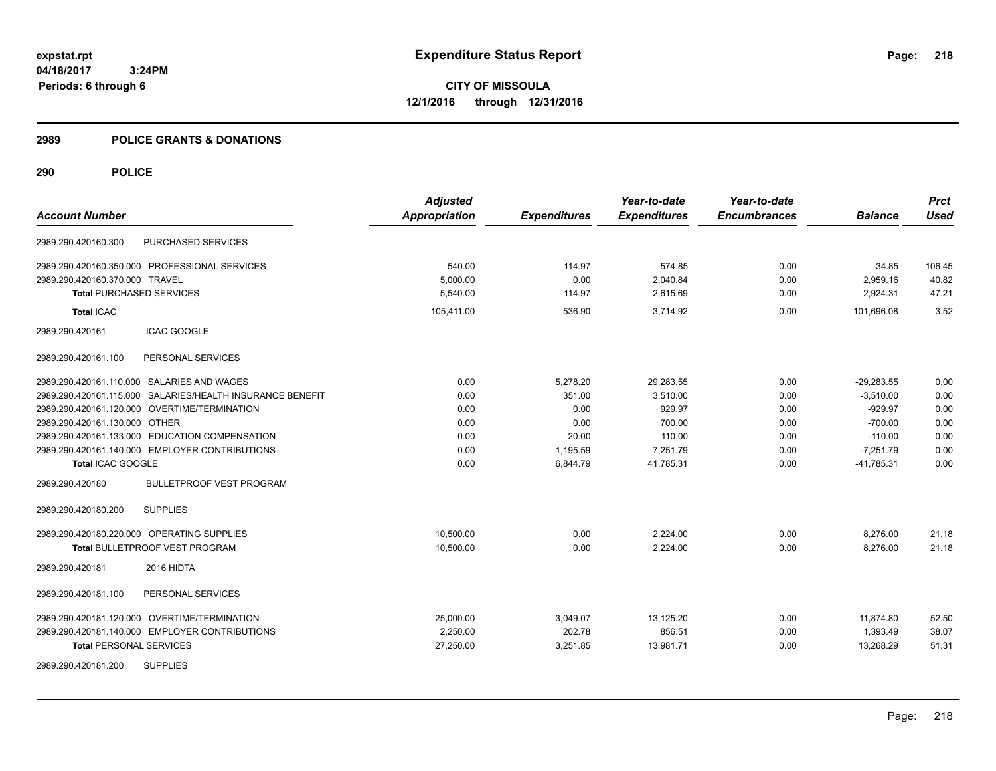**CITY OF MISSOULA 12/1/2016 through 12/31/2016**

### **2989 POLICE GRANTS & DONATIONS**

|                                                           | <b>Adjusted</b>      |                     | Year-to-date        | Year-to-date        |                | <b>Prct</b> |
|-----------------------------------------------------------|----------------------|---------------------|---------------------|---------------------|----------------|-------------|
| <b>Account Number</b>                                     | <b>Appropriation</b> | <b>Expenditures</b> | <b>Expenditures</b> | <b>Encumbrances</b> | <b>Balance</b> | <b>Used</b> |
| <b>PURCHASED SERVICES</b><br>2989.290.420160.300          |                      |                     |                     |                     |                |             |
| 2989.290.420160.350.000 PROFESSIONAL SERVICES             | 540.00               | 114.97              | 574.85              | 0.00                | $-34.85$       | 106.45      |
| 2989.290.420160.370.000 TRAVEL                            | 5,000.00             | 0.00                | 2,040.84            | 0.00                | 2,959.16       | 40.82       |
| <b>Total PURCHASED SERVICES</b>                           | 5.540.00             | 114.97              | 2,615.69            | 0.00                | 2,924.31       | 47.21       |
| <b>Total ICAC</b>                                         | 105,411.00           | 536.90              | 3,714.92            | 0.00                | 101,696.08     | 3.52        |
| 2989.290.420161<br><b>ICAC GOOGLE</b>                     |                      |                     |                     |                     |                |             |
| PERSONAL SERVICES<br>2989.290.420161.100                  |                      |                     |                     |                     |                |             |
| 2989.290.420161.110.000 SALARIES AND WAGES                | 0.00                 | 5,278.20            | 29,283.55           | 0.00                | $-29,283.55$   | 0.00        |
| 2989.290.420161.115.000 SALARIES/HEALTH INSURANCE BENEFIT | 0.00                 | 351.00              | 3.510.00            | 0.00                | $-3.510.00$    | 0.00        |
| 2989.290.420161.120.000 OVERTIME/TERMINATION              | 0.00                 | 0.00                | 929.97              | 0.00                | $-929.97$      | 0.00        |
| 2989.290.420161.130.000 OTHER                             | 0.00                 | 0.00                | 700.00              | 0.00                | $-700.00$      | 0.00        |
| 2989.290.420161.133.000 EDUCATION COMPENSATION            | 0.00                 | 20.00               | 110.00              | 0.00                | $-110.00$      | 0.00        |
| 2989.290.420161.140.000 EMPLOYER CONTRIBUTIONS            | 0.00                 | 1,195.59            | 7,251.79            | 0.00                | $-7,251.79$    | 0.00        |
| Total ICAC GOOGLE                                         | 0.00                 | 6,844.79            | 41,785.31           | 0.00                | $-41,785.31$   | 0.00        |
| <b>BULLETPROOF VEST PROGRAM</b><br>2989.290.420180        |                      |                     |                     |                     |                |             |
| <b>SUPPLIES</b><br>2989.290.420180.200                    |                      |                     |                     |                     |                |             |
| 2989.290.420180.220.000 OPERATING SUPPLIES                | 10,500.00            | 0.00                | 2,224.00            | 0.00                | 8,276.00       | 21.18       |
| Total BULLETPROOF VEST PROGRAM                            | 10,500.00            | 0.00                | 2,224.00            | 0.00                | 8,276.00       | 21.18       |
| 2989.290.420181<br>2016 HIDTA                             |                      |                     |                     |                     |                |             |
| PERSONAL SERVICES<br>2989.290.420181.100                  |                      |                     |                     |                     |                |             |
| 2989.290.420181.120.000 OVERTIME/TERMINATION              | 25,000.00            | 3,049.07            | 13,125.20           | 0.00                | 11,874.80      | 52.50       |
| 2989.290.420181.140.000 EMPLOYER CONTRIBUTIONS            | 2,250.00             | 202.78              | 856.51              | 0.00                | 1,393.49       | 38.07       |
| <b>Total PERSONAL SERVICES</b>                            | 27,250.00            | 3,251.85            | 13,981.71           | 0.00                | 13,268.29      | 51.31       |
| <b>SUPPLIES</b><br>2989.290.420181.200                    |                      |                     |                     |                     |                |             |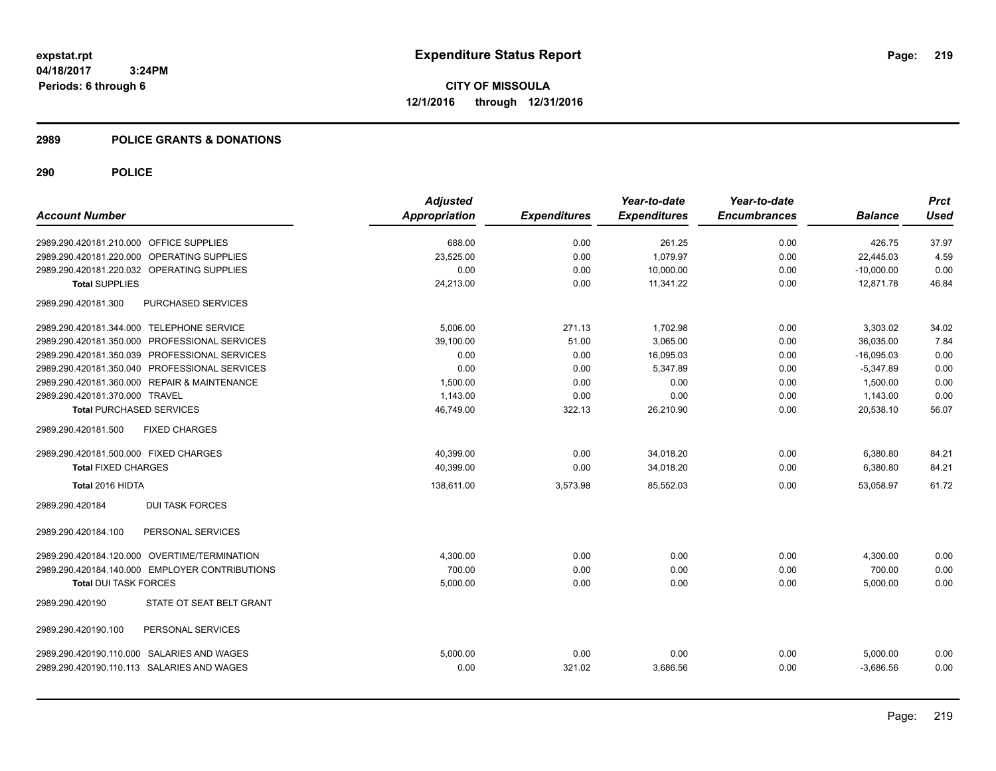### **2989 POLICE GRANTS & DONATIONS**

|                                                | <b>Adjusted</b>      |                     | Year-to-date        | Year-to-date        |                | <b>Prct</b> |
|------------------------------------------------|----------------------|---------------------|---------------------|---------------------|----------------|-------------|
| <b>Account Number</b>                          | <b>Appropriation</b> | <b>Expenditures</b> | <b>Expenditures</b> | <b>Encumbrances</b> | <b>Balance</b> | <b>Used</b> |
| 2989.290.420181.210.000 OFFICE SUPPLIES        | 688.00               | 0.00                | 261.25              | 0.00                | 426.75         | 37.97       |
| 2989.290.420181.220.000 OPERATING SUPPLIES     | 23.525.00            | 0.00                | 1.079.97            | 0.00                | 22.445.03      | 4.59        |
| 2989.290.420181.220.032 OPERATING SUPPLIES     | 0.00                 | 0.00                | 10,000.00           | 0.00                | $-10,000.00$   | 0.00        |
| <b>Total SUPPLIES</b>                          | 24,213.00            | 0.00                | 11,341.22           | 0.00                | 12,871.78      | 46.84       |
| 2989.290.420181.300<br>PURCHASED SERVICES      |                      |                     |                     |                     |                |             |
| 2989.290.420181.344.000 TELEPHONE SERVICE      | 5,006.00             | 271.13              | 1,702.98            | 0.00                | 3,303.02       | 34.02       |
| 2989.290.420181.350.000 PROFESSIONAL SERVICES  | 39.100.00            | 51.00               | 3.065.00            | 0.00                | 36.035.00      | 7.84        |
| 2989.290.420181.350.039 PROFESSIONAL SERVICES  | 0.00                 | 0.00                | 16,095.03           | 0.00                | $-16,095.03$   | 0.00        |
| 2989.290.420181.350.040 PROFESSIONAL SERVICES  | 0.00                 | 0.00                | 5.347.89            | 0.00                | $-5,347.89$    | 0.00        |
| 2989.290.420181.360.000 REPAIR & MAINTENANCE   | 1,500.00             | 0.00                | 0.00                | 0.00                | 1,500.00       | 0.00        |
| 2989.290.420181.370.000 TRAVEL                 | 1,143.00             | 0.00                | 0.00                | 0.00                | 1,143.00       | 0.00        |
| <b>Total PURCHASED SERVICES</b>                | 46,749.00            | 322.13              | 26,210.90           | 0.00                | 20,538.10      | 56.07       |
| 2989.290.420181.500<br><b>FIXED CHARGES</b>    |                      |                     |                     |                     |                |             |
| 2989.290.420181.500.000 FIXED CHARGES          | 40,399.00            | 0.00                | 34,018.20           | 0.00                | 6,380.80       | 84.21       |
| <b>Total FIXED CHARGES</b>                     | 40,399.00            | 0.00                | 34,018.20           | 0.00                | 6,380.80       | 84.21       |
| Total 2016 HIDTA                               | 138,611.00           | 3,573.98            | 85,552.03           | 0.00                | 53,058.97      | 61.72       |
| <b>DUI TASK FORCES</b><br>2989.290.420184      |                      |                     |                     |                     |                |             |
| PERSONAL SERVICES<br>2989.290.420184.100       |                      |                     |                     |                     |                |             |
| 2989.290.420184.120.000 OVERTIME/TERMINATION   | 4,300.00             | 0.00                | 0.00                | 0.00                | 4,300.00       | 0.00        |
| 2989.290.420184.140.000 EMPLOYER CONTRIBUTIONS | 700.00               | 0.00                | 0.00                | 0.00                | 700.00         | 0.00        |
| <b>Total DUI TASK FORCES</b>                   | 5,000.00             | 0.00                | 0.00                | 0.00                | 5,000.00       | 0.00        |
| STATE OT SEAT BELT GRANT<br>2989.290.420190    |                      |                     |                     |                     |                |             |
| PERSONAL SERVICES<br>2989.290.420190.100       |                      |                     |                     |                     |                |             |
| 2989.290.420190.110.000 SALARIES AND WAGES     | 5,000.00             | 0.00                | 0.00                | 0.00                | 5,000.00       | 0.00        |
| 2989.290.420190.110.113 SALARIES AND WAGES     | 0.00                 | 321.02              | 3.686.56            | 0.00                | $-3.686.56$    | 0.00        |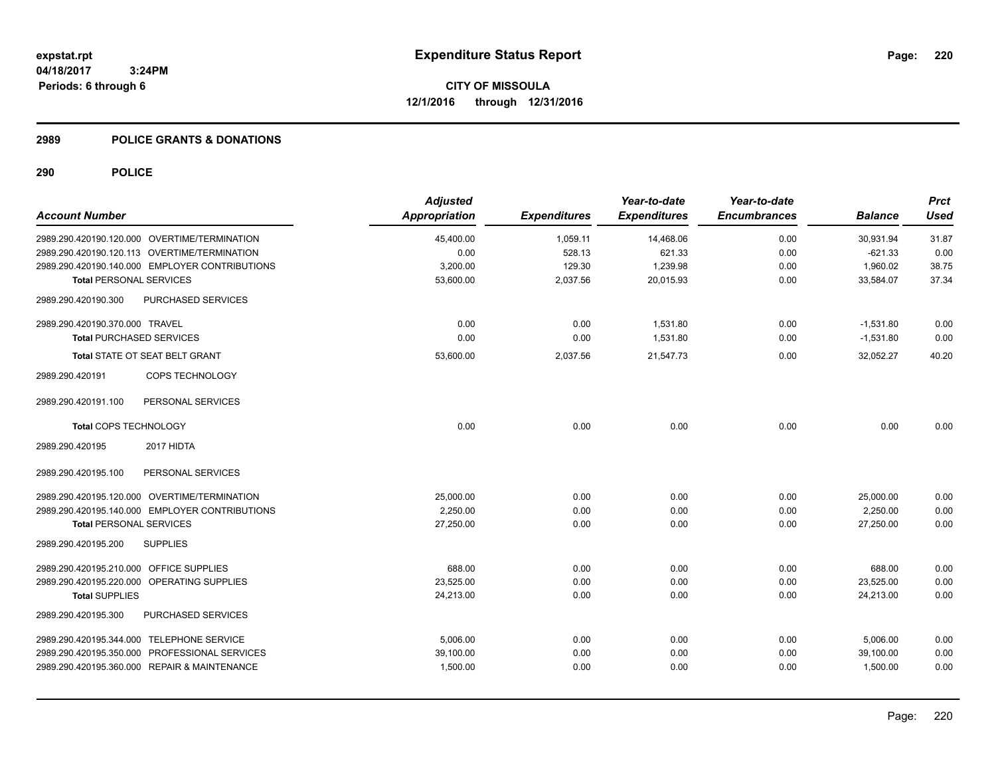### **2989 POLICE GRANTS & DONATIONS**

| <b>Account Number</b>                          | <b>Adjusted</b><br>Appropriation | <b>Expenditures</b> | Year-to-date<br><b>Expenditures</b> | Year-to-date<br><b>Encumbrances</b> | <b>Balance</b> | <b>Prct</b><br><b>Used</b> |
|------------------------------------------------|----------------------------------|---------------------|-------------------------------------|-------------------------------------|----------------|----------------------------|
| 2989.290.420190.120.000 OVERTIME/TERMINATION   | 45,400.00                        | 1,059.11            | 14,468.06                           | 0.00                                | 30,931.94      | 31.87                      |
| 2989.290.420190.120.113 OVERTIME/TERMINATION   | 0.00                             | 528.13              | 621.33                              | 0.00                                | $-621.33$      | 0.00                       |
| 2989.290.420190.140.000 EMPLOYER CONTRIBUTIONS | 3,200.00                         | 129.30              | 1,239.98                            | 0.00                                | 1,960.02       | 38.75                      |
| <b>Total PERSONAL SERVICES</b>                 | 53,600.00                        | 2,037.56            | 20,015.93                           | 0.00                                | 33,584.07      | 37.34                      |
| PURCHASED SERVICES<br>2989.290.420190.300      |                                  |                     |                                     |                                     |                |                            |
| 2989.290.420190.370.000 TRAVEL                 | 0.00                             | 0.00                | 1,531.80                            | 0.00                                | $-1,531.80$    | 0.00                       |
| <b>Total PURCHASED SERVICES</b>                | 0.00                             | 0.00                | 1,531.80                            | 0.00                                | $-1,531.80$    | 0.00                       |
| Total STATE OT SEAT BELT GRANT                 | 53,600.00                        | 2,037.56            | 21,547.73                           | 0.00                                | 32,052.27      | 40.20                      |
| COPS TECHNOLOGY<br>2989.290.420191             |                                  |                     |                                     |                                     |                |                            |
| 2989.290.420191.100<br>PERSONAL SERVICES       |                                  |                     |                                     |                                     |                |                            |
| Total COPS TECHNOLOGY                          | 0.00                             | 0.00                | 0.00                                | 0.00                                | 0.00           | 0.00                       |
| 2989.290.420195<br>2017 HIDTA                  |                                  |                     |                                     |                                     |                |                            |
| 2989.290.420195.100<br>PERSONAL SERVICES       |                                  |                     |                                     |                                     |                |                            |
| 2989.290.420195.120.000 OVERTIME/TERMINATION   | 25,000.00                        | 0.00                | 0.00                                | 0.00                                | 25,000.00      | 0.00                       |
| 2989.290.420195.140.000 EMPLOYER CONTRIBUTIONS | 2,250.00                         | 0.00                | 0.00                                | 0.00                                | 2,250.00       | 0.00                       |
| <b>Total PERSONAL SERVICES</b>                 | 27,250.00                        | 0.00                | 0.00                                | 0.00                                | 27,250.00      | 0.00                       |
| <b>SUPPLIES</b><br>2989.290.420195.200         |                                  |                     |                                     |                                     |                |                            |
| 2989.290.420195.210.000 OFFICE SUPPLIES        | 688.00                           | 0.00                | 0.00                                | 0.00                                | 688.00         | 0.00                       |
| 2989.290.420195.220.000 OPERATING SUPPLIES     | 23,525.00                        | 0.00                | 0.00                                | 0.00                                | 23,525.00      | 0.00                       |
| <b>Total SUPPLIES</b>                          | 24,213.00                        | 0.00                | 0.00                                | 0.00                                | 24,213.00      | 0.00                       |
| PURCHASED SERVICES<br>2989.290.420195.300      |                                  |                     |                                     |                                     |                |                            |
| 2989.290.420195.344.000 TELEPHONE SERVICE      | 5,006.00                         | 0.00                | 0.00                                | 0.00                                | 5,006.00       | 0.00                       |
| 2989.290.420195.350.000 PROFESSIONAL SERVICES  | 39,100.00                        | 0.00                | 0.00                                | 0.00                                | 39,100.00      | 0.00                       |
| 2989.290.420195.360.000 REPAIR & MAINTENANCE   | 1,500.00                         | 0.00                | 0.00                                | 0.00                                | 1,500.00       | 0.00                       |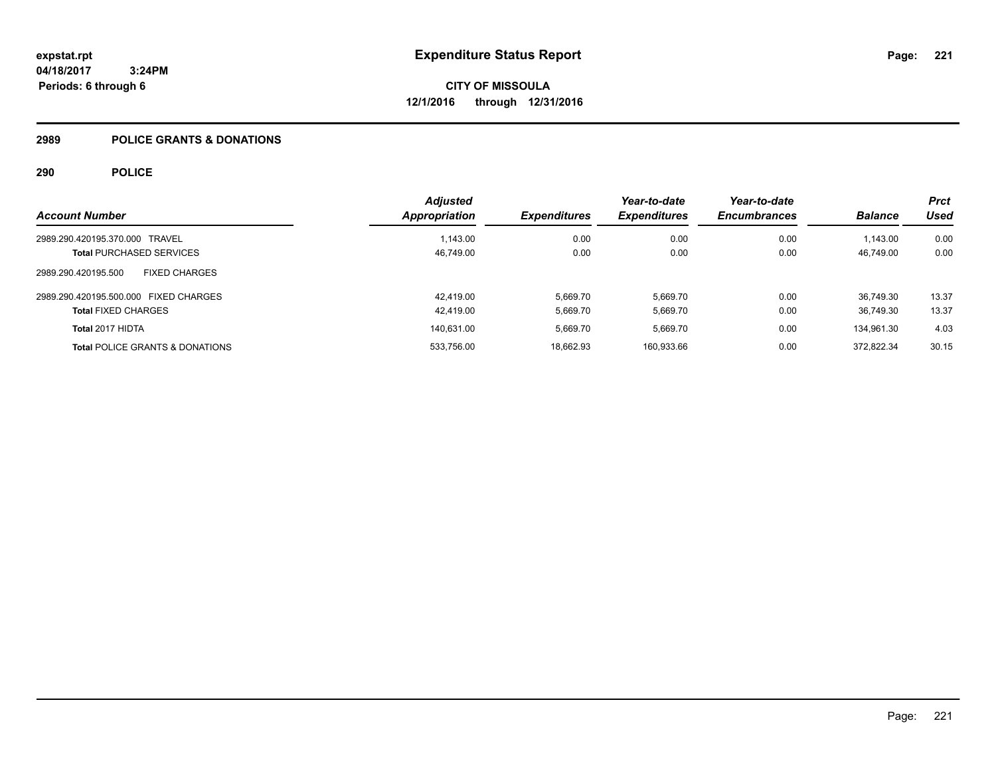## **2989 POLICE GRANTS & DONATIONS**

|                                             | <b>Adjusted</b> |                     | Year-to-date        | Year-to-date        |                | <b>Prct</b> |
|---------------------------------------------|-----------------|---------------------|---------------------|---------------------|----------------|-------------|
| <b>Account Number</b>                       | Appropriation   | <b>Expenditures</b> | <b>Expenditures</b> | <b>Encumbrances</b> | <b>Balance</b> | Used        |
| 2989.290.420195.370.000 TRAVEL              | 1.143.00        | 0.00                | 0.00                | 0.00                | 1.143.00       | 0.00        |
| <b>Total PURCHASED SERVICES</b>             | 46,749.00       | 0.00                | 0.00                | 0.00                | 46.749.00      | 0.00        |
| 2989.290.420195.500<br><b>FIXED CHARGES</b> |                 |                     |                     |                     |                |             |
| 2989.290.420195.500.000 FIXED CHARGES       | 42.419.00       | 5.669.70            | 5.669.70            | 0.00                | 36.749.30      | 13.37       |
| <b>Total FIXED CHARGES</b>                  | 42.419.00       | 5.669.70            | 5.669.70            | 0.00                | 36.749.30      | 13.37       |
| Total 2017 HIDTA                            | 140,631.00      | 5.669.70            | 5.669.70            | 0.00                | 134,961.30     | 4.03        |
| <b>Total POLICE GRANTS &amp; DONATIONS</b>  | 533.756.00      | 18,662.93           | 160,933.66          | 0.00                | 372.822.34     | 30.15       |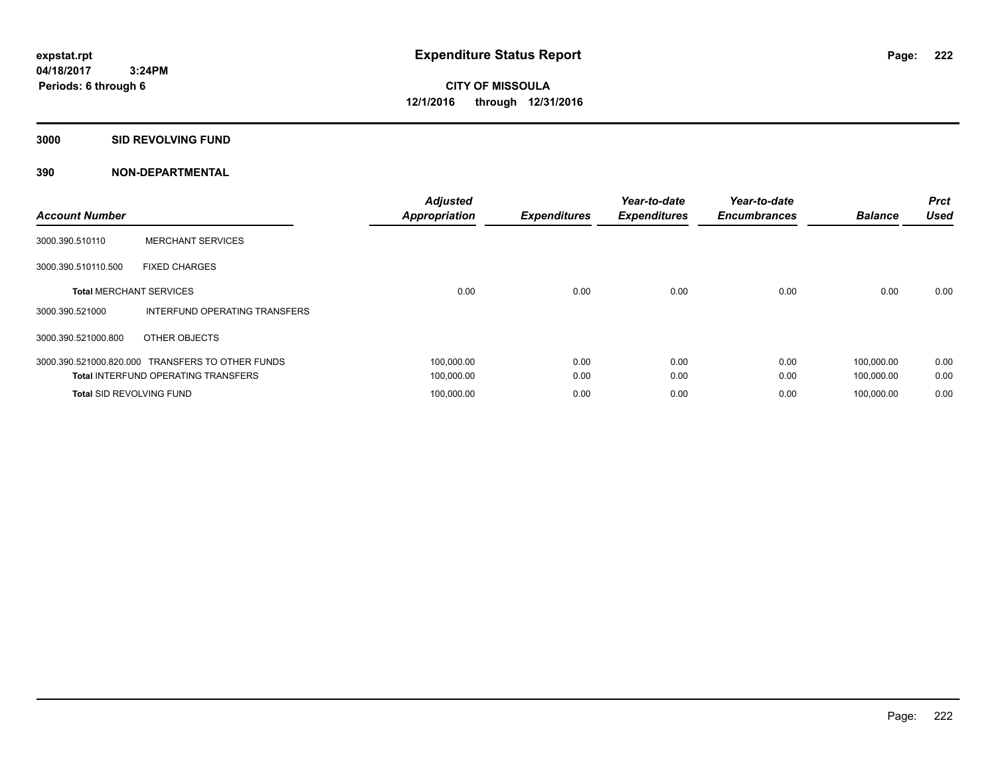**Periods: 6 through 6**

**CITY OF MISSOULA 12/1/2016 through 12/31/2016**

**3000 SID REVOLVING FUND**

| <b>Account Number</b>           |                                                  | <b>Adjusted</b><br><b>Appropriation</b> | <b>Expenditures</b> | Year-to-date<br><b>Expenditures</b> | Year-to-date<br><b>Encumbrances</b> | <b>Balance</b> | <b>Prct</b><br><b>Used</b> |
|---------------------------------|--------------------------------------------------|-----------------------------------------|---------------------|-------------------------------------|-------------------------------------|----------------|----------------------------|
| 3000.390.510110                 | <b>MERCHANT SERVICES</b>                         |                                         |                     |                                     |                                     |                |                            |
| 3000.390.510110.500             | <b>FIXED CHARGES</b>                             |                                         |                     |                                     |                                     |                |                            |
| <b>Total MERCHANT SERVICES</b>  |                                                  | 0.00                                    | 0.00                | 0.00                                | 0.00                                | 0.00           | 0.00                       |
| 3000.390.521000                 | INTERFUND OPERATING TRANSFERS                    |                                         |                     |                                     |                                     |                |                            |
| 3000.390.521000.800             | OTHER OBJECTS                                    |                                         |                     |                                     |                                     |                |                            |
|                                 | 3000.390.521000.820.000 TRANSFERS TO OTHER FUNDS | 100.000.00                              | 0.00                | 0.00                                | 0.00                                | 100.000.00     | 0.00                       |
|                                 | <b>Total INTERFUND OPERATING TRANSFERS</b>       | 100,000.00                              | 0.00                | 0.00                                | 0.00                                | 100,000.00     | 0.00                       |
| <b>Total SID REVOLVING FUND</b> |                                                  | 100.000.00                              | 0.00                | 0.00                                | 0.00                                | 100.000.00     | 0.00                       |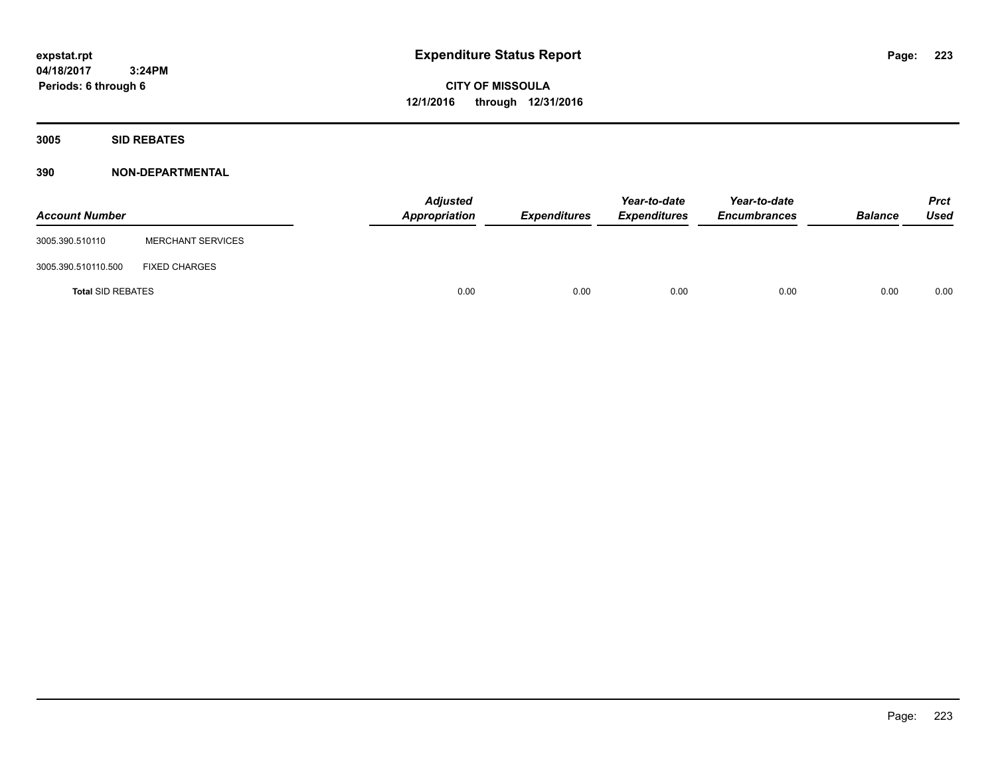**CITY OF MISSOULA 12/1/2016 through 12/31/2016**

**3005 SID REBATES**

| <b>Account Number</b>    |                          | <b>Adjusted</b><br>Appropriation | Expenditures | Year-to-date<br><b>Expenditures</b> | Year-to-date<br><b>Encumbrances</b> | <b>Balance</b> | <b>Prct</b><br>Used |
|--------------------------|--------------------------|----------------------------------|--------------|-------------------------------------|-------------------------------------|----------------|---------------------|
| 3005.390.510110          | <b>MERCHANT SERVICES</b> |                                  |              |                                     |                                     |                |                     |
| 3005.390.510110.500      | <b>FIXED CHARGES</b>     |                                  |              |                                     |                                     |                |                     |
| <b>Total SID REBATES</b> |                          | 0.00                             | 0.00         | 0.00                                | 0.00                                | 0.00           | 0.00                |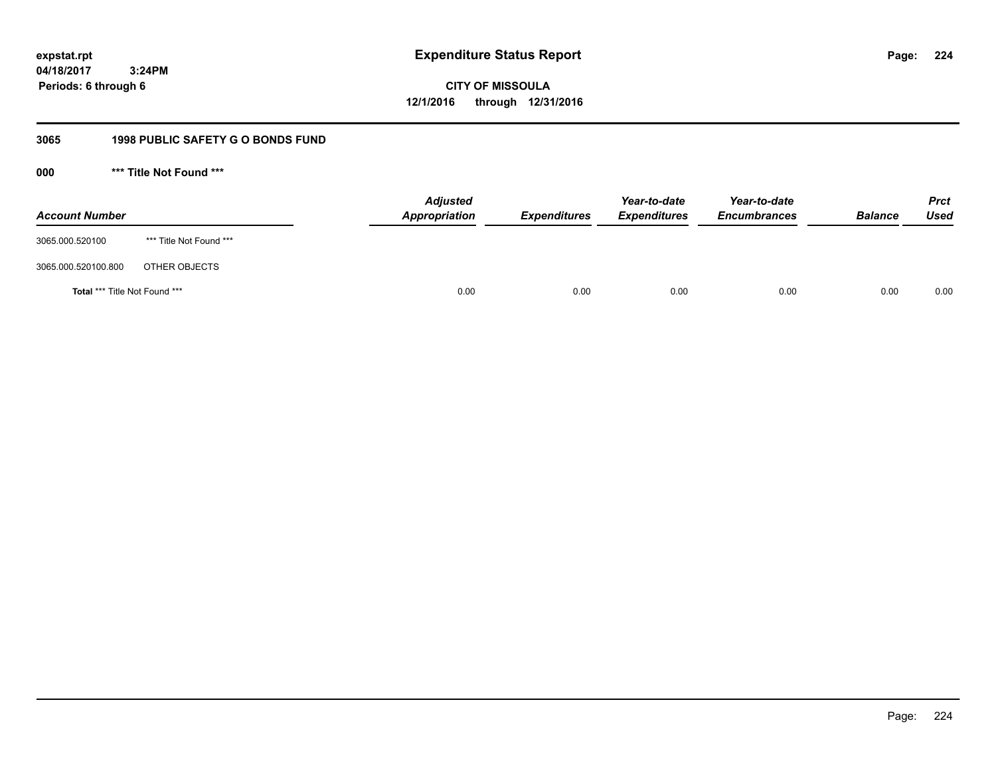**expstat.rpt Expenditure Status Report** 

**04/18/2017 3:24PM Periods: 6 through 6**

**CITY OF MISSOULA 12/1/2016 through 12/31/2016**

# **3065 1998 PUBLIC SAFETY G O BONDS FUND**

**000 \*\*\* Title Not Found \*\*\***

| <b>Account Number</b>         |                         | <b>Adjusted</b><br>Appropriation | <b>Expenditures</b> | Year-to-date<br><b>Expenditures</b> | Year-to-date<br><b>Encumbrances</b> | <b>Balance</b> | <b>Prct</b><br>Used |
|-------------------------------|-------------------------|----------------------------------|---------------------|-------------------------------------|-------------------------------------|----------------|---------------------|
| 3065.000.520100               | *** Title Not Found *** |                                  |                     |                                     |                                     |                |                     |
| 3065.000.520100.800           | OTHER OBJECTS           |                                  |                     |                                     |                                     |                |                     |
| Total *** Title Not Found *** |                         | 0.00                             | 0.00                | 0.00                                | 0.00                                | 0.00           | 0.00                |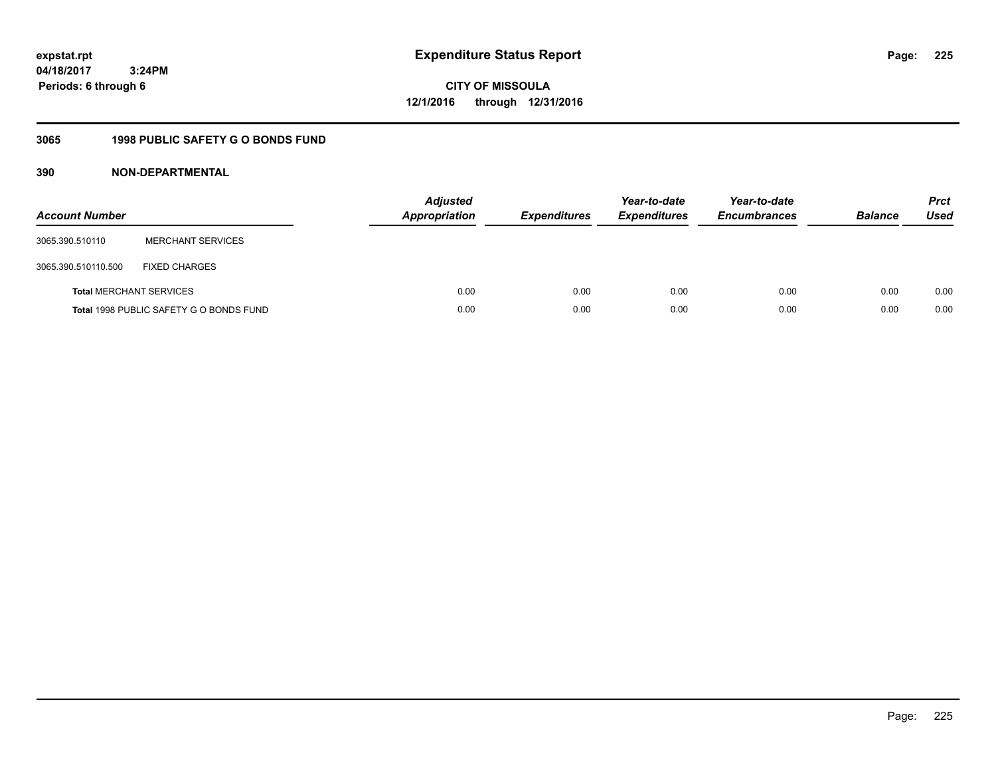**CITY OF MISSOULA 12/1/2016 through 12/31/2016**

# **3065 1998 PUBLIC SAFETY G O BONDS FUND**

| <b>Account Number</b>          |                                         | <b>Adjusted</b><br><b>Appropriation</b> | <b>Expenditures</b> | Year-to-date<br><b>Expenditures</b> | Year-to-date<br><b>Encumbrances</b> | <b>Balance</b> | <b>Prct</b><br>Used |
|--------------------------------|-----------------------------------------|-----------------------------------------|---------------------|-------------------------------------|-------------------------------------|----------------|---------------------|
| 3065.390.510110                | <b>MERCHANT SERVICES</b>                |                                         |                     |                                     |                                     |                |                     |
| 3065.390.510110.500            | <b>FIXED CHARGES</b>                    |                                         |                     |                                     |                                     |                |                     |
| <b>Total MERCHANT SERVICES</b> |                                         | 0.00                                    | 0.00                | 0.00                                | 0.00                                | 0.00           | 0.00                |
|                                | Total 1998 PUBLIC SAFETY G O BONDS FUND | 0.00                                    | 0.00                | 0.00                                | 0.00                                | 0.00           | 0.00                |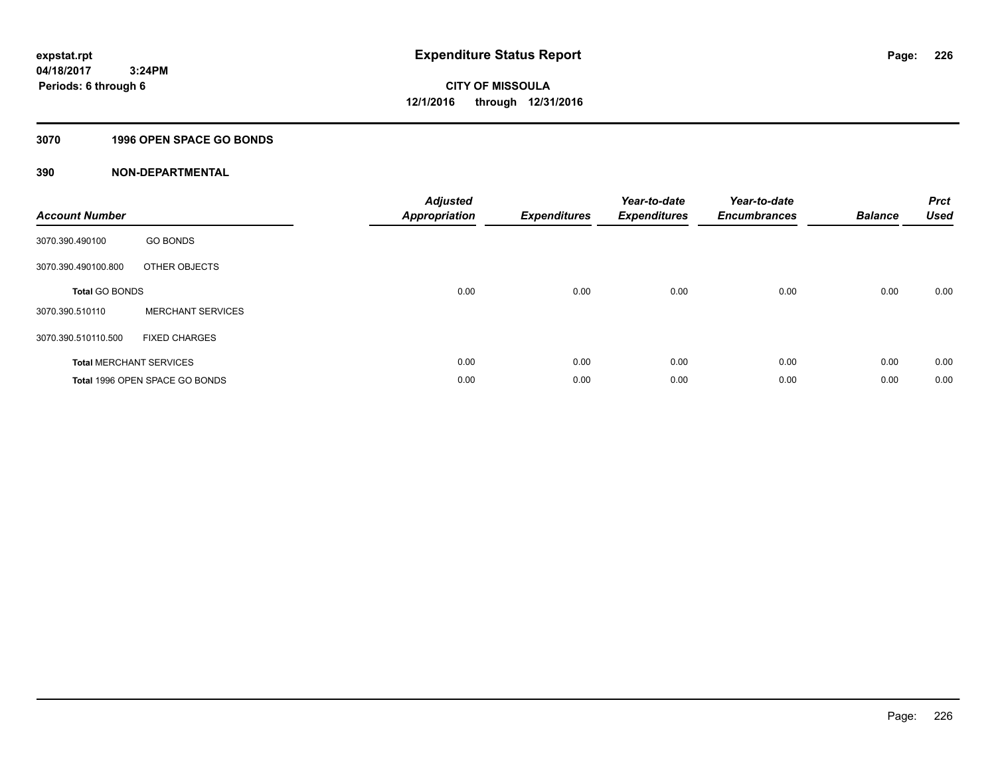## **3070 1996 OPEN SPACE GO BONDS**

| <b>Account Number</b> |                                | <b>Adjusted</b><br>Appropriation | <b>Expenditures</b> | Year-to-date<br><b>Expenditures</b> | Year-to-date<br><b>Encumbrances</b> | <b>Balance</b> | <b>Prct</b><br><b>Used</b> |
|-----------------------|--------------------------------|----------------------------------|---------------------|-------------------------------------|-------------------------------------|----------------|----------------------------|
| 3070.390.490100       | <b>GO BONDS</b>                |                                  |                     |                                     |                                     |                |                            |
| 3070.390.490100.800   | OTHER OBJECTS                  |                                  |                     |                                     |                                     |                |                            |
| <b>Total GO BONDS</b> |                                | 0.00                             | 0.00                | 0.00                                | 0.00                                | 0.00           | 0.00                       |
| 3070.390.510110       | <b>MERCHANT SERVICES</b>       |                                  |                     |                                     |                                     |                |                            |
| 3070.390.510110.500   | <b>FIXED CHARGES</b>           |                                  |                     |                                     |                                     |                |                            |
|                       | <b>Total MERCHANT SERVICES</b> | 0.00                             | 0.00                | 0.00                                | 0.00                                | 0.00           | 0.00                       |
|                       | Total 1996 OPEN SPACE GO BONDS | 0.00                             | 0.00                | 0.00                                | 0.00                                | 0.00           | 0.00                       |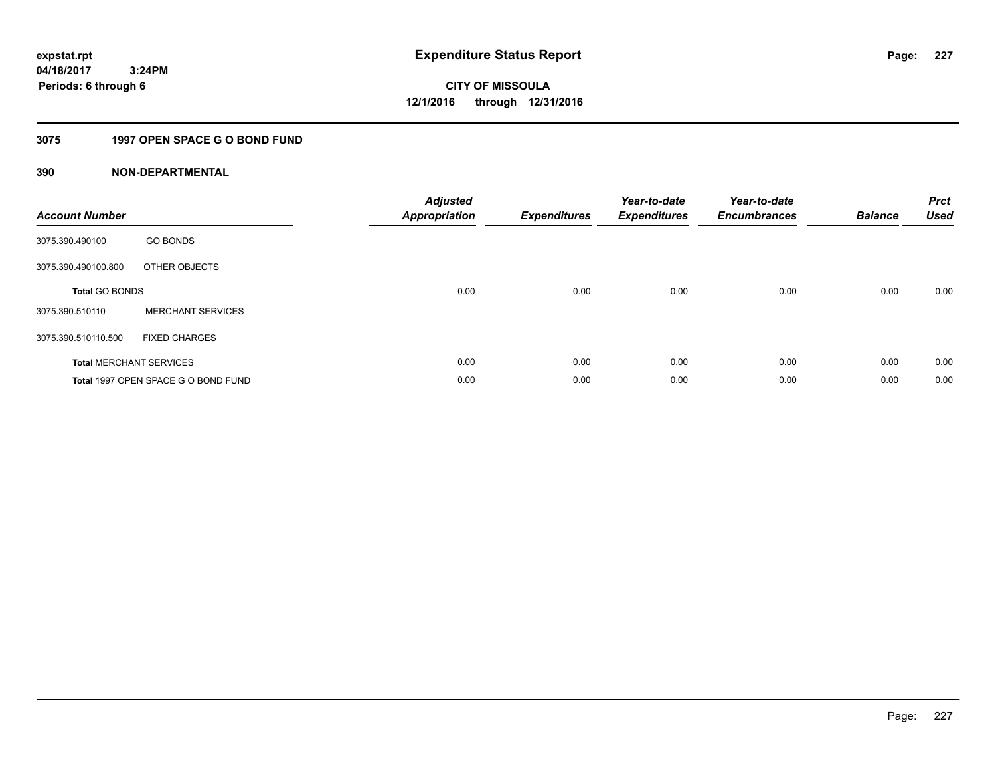# **3075 1997 OPEN SPACE G O BOND FUND**

| <b>Account Number</b> |                                     | <b>Adjusted</b><br>Appropriation | <b>Expenditures</b> | Year-to-date<br><b>Expenditures</b> | Year-to-date<br><b>Encumbrances</b> | <b>Balance</b> | <b>Prct</b><br>Used |
|-----------------------|-------------------------------------|----------------------------------|---------------------|-------------------------------------|-------------------------------------|----------------|---------------------|
| 3075.390.490100       | <b>GO BONDS</b>                     |                                  |                     |                                     |                                     |                |                     |
| 3075.390.490100.800   | OTHER OBJECTS                       |                                  |                     |                                     |                                     |                |                     |
| <b>Total GO BONDS</b> |                                     | 0.00                             | 0.00                | 0.00                                | 0.00                                | 0.00           | 0.00                |
| 3075.390.510110       | <b>MERCHANT SERVICES</b>            |                                  |                     |                                     |                                     |                |                     |
| 3075.390.510110.500   | <b>FIXED CHARGES</b>                |                                  |                     |                                     |                                     |                |                     |
|                       | <b>Total MERCHANT SERVICES</b>      | 0.00                             | 0.00                | 0.00                                | 0.00                                | 0.00           | 0.00                |
|                       | Total 1997 OPEN SPACE G O BOND FUND | 0.00                             | 0.00                | 0.00                                | 0.00                                | 0.00           | 0.00                |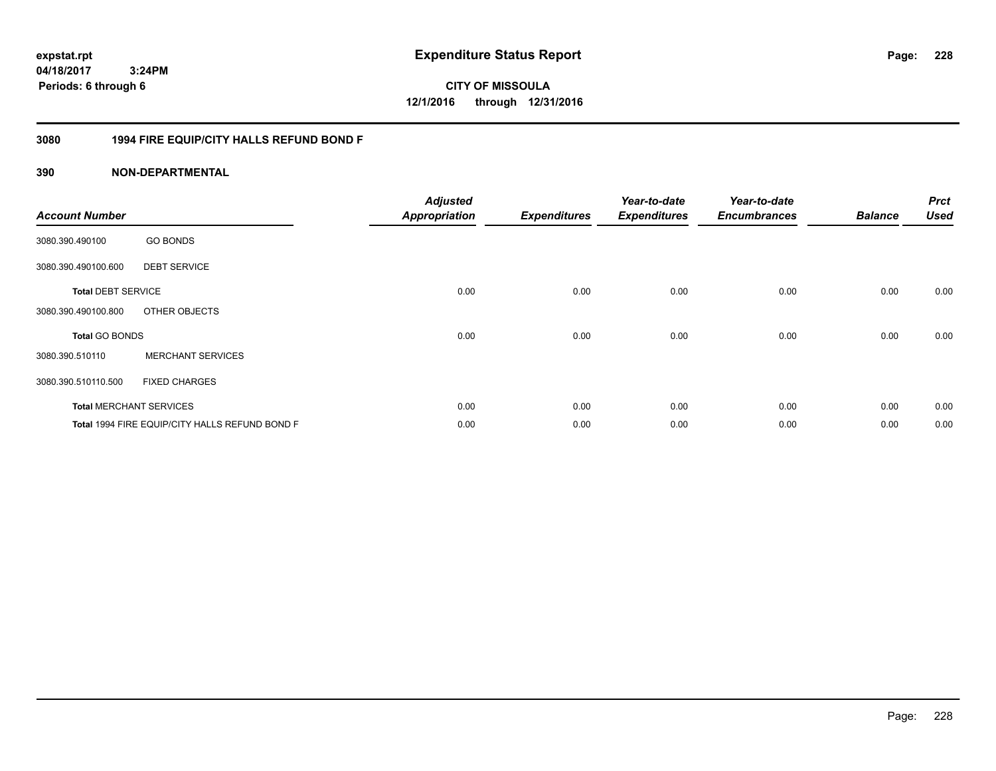**CITY OF MISSOULA 12/1/2016 through 12/31/2016**

## **3080 1994 FIRE EQUIP/CITY HALLS REFUND BOND F**

| <b>Account Number</b>     |                                                | <b>Adjusted</b><br><b>Appropriation</b> | <b>Expenditures</b> | Year-to-date<br><b>Expenditures</b> | Year-to-date<br><b>Encumbrances</b> | <b>Balance</b> | <b>Prct</b><br><b>Used</b> |
|---------------------------|------------------------------------------------|-----------------------------------------|---------------------|-------------------------------------|-------------------------------------|----------------|----------------------------|
| 3080.390.490100           | <b>GO BONDS</b>                                |                                         |                     |                                     |                                     |                |                            |
| 3080.390.490100.600       | <b>DEBT SERVICE</b>                            |                                         |                     |                                     |                                     |                |                            |
| <b>Total DEBT SERVICE</b> |                                                | 0.00                                    | 0.00                | 0.00                                | 0.00                                | 0.00           | 0.00                       |
| 3080.390.490100.800       | OTHER OBJECTS                                  |                                         |                     |                                     |                                     |                |                            |
| <b>Total GO BONDS</b>     |                                                | 0.00                                    | 0.00                | 0.00                                | 0.00                                | 0.00           | 0.00                       |
| 3080.390.510110           | <b>MERCHANT SERVICES</b>                       |                                         |                     |                                     |                                     |                |                            |
| 3080.390.510110.500       | <b>FIXED CHARGES</b>                           |                                         |                     |                                     |                                     |                |                            |
|                           | <b>Total MERCHANT SERVICES</b>                 | 0.00                                    | 0.00                | 0.00                                | 0.00                                | 0.00           | 0.00                       |
|                           | Total 1994 FIRE EQUIP/CITY HALLS REFUND BOND F | 0.00                                    | 0.00                | 0.00                                | 0.00                                | 0.00           | 0.00                       |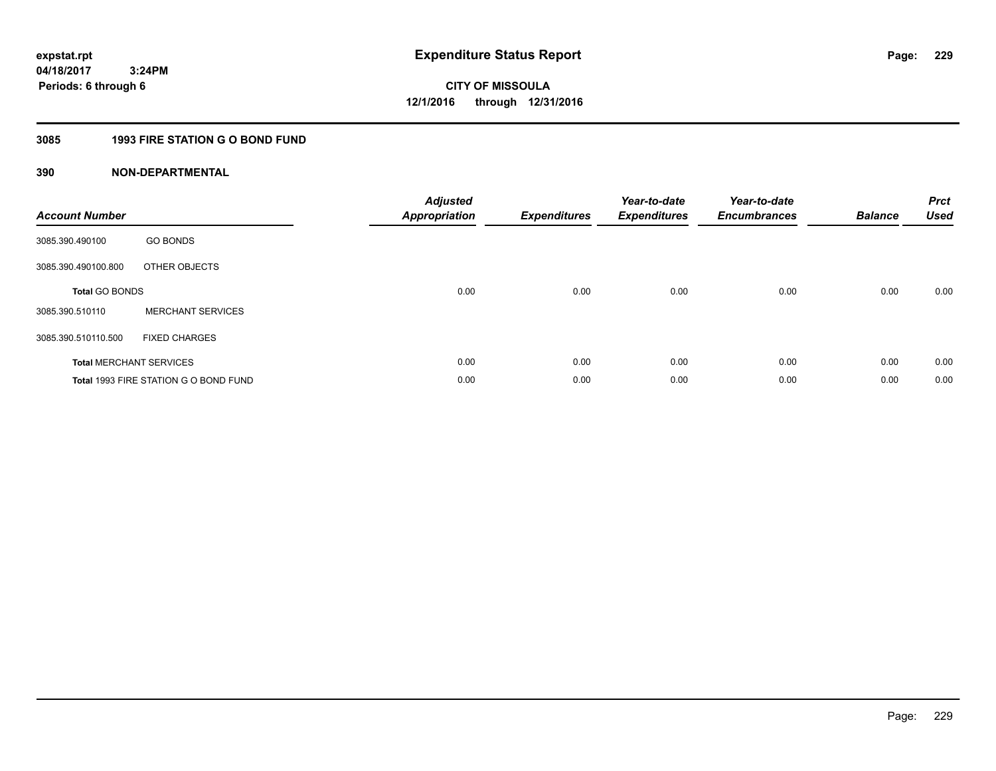# **3085 1993 FIRE STATION G O BOND FUND**

| <b>Account Number</b> |                                       | <b>Adjusted</b><br>Appropriation | <b>Expenditures</b> | Year-to-date<br><b>Expenditures</b> | Year-to-date<br><b>Encumbrances</b> | <b>Balance</b> | <b>Prct</b><br><b>Used</b> |
|-----------------------|---------------------------------------|----------------------------------|---------------------|-------------------------------------|-------------------------------------|----------------|----------------------------|
| 3085.390.490100       | <b>GO BONDS</b>                       |                                  |                     |                                     |                                     |                |                            |
| 3085.390.490100.800   | OTHER OBJECTS                         |                                  |                     |                                     |                                     |                |                            |
| <b>Total GO BONDS</b> |                                       | 0.00                             | 0.00                | 0.00                                | 0.00                                | 0.00           | 0.00                       |
| 3085.390.510110       | <b>MERCHANT SERVICES</b>              |                                  |                     |                                     |                                     |                |                            |
| 3085.390.510110.500   | <b>FIXED CHARGES</b>                  |                                  |                     |                                     |                                     |                |                            |
|                       | <b>Total MERCHANT SERVICES</b>        | 0.00                             | 0.00                | 0.00                                | 0.00                                | 0.00           | 0.00                       |
|                       | Total 1993 FIRE STATION G O BOND FUND | 0.00                             | 0.00                | 0.00                                | 0.00                                | 0.00           | 0.00                       |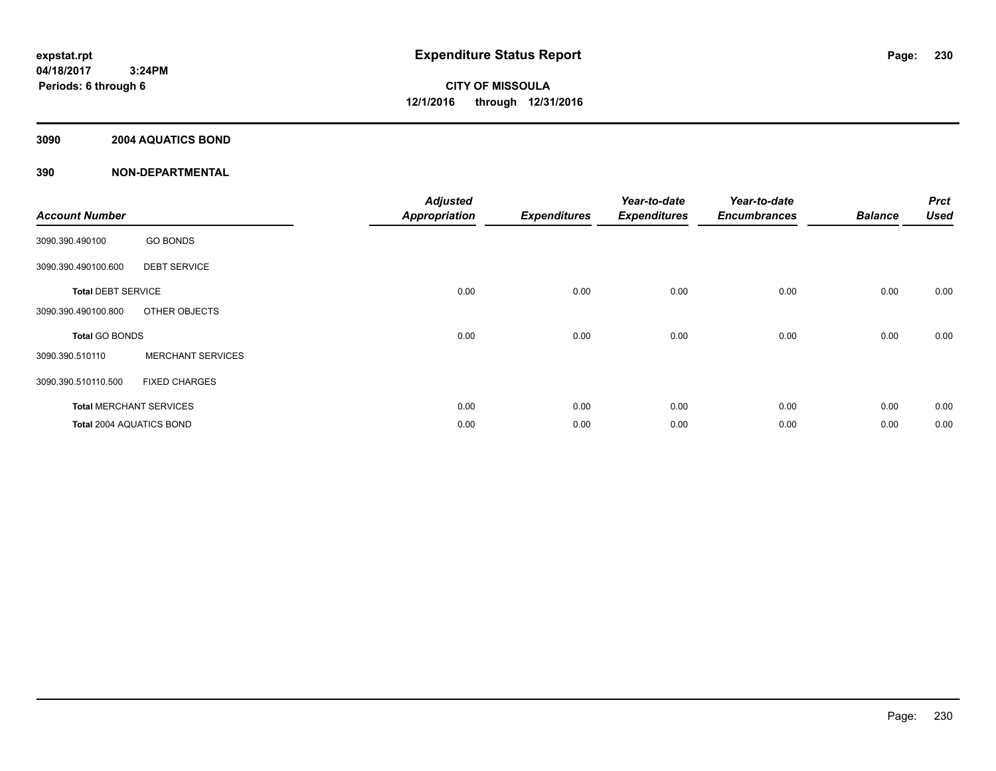## **3090 2004 AQUATICS BOND**

| <b>Account Number</b>     |                                | <b>Adjusted</b><br><b>Appropriation</b> | <b>Expenditures</b> | Year-to-date<br><b>Expenditures</b> | Year-to-date<br><b>Encumbrances</b> | <b>Balance</b> | <b>Prct</b><br><b>Used</b> |
|---------------------------|--------------------------------|-----------------------------------------|---------------------|-------------------------------------|-------------------------------------|----------------|----------------------------|
| 3090.390.490100           | <b>GO BONDS</b>                |                                         |                     |                                     |                                     |                |                            |
| 3090.390.490100.600       | <b>DEBT SERVICE</b>            |                                         |                     |                                     |                                     |                |                            |
| <b>Total DEBT SERVICE</b> |                                | 0.00                                    | 0.00                | 0.00                                | 0.00                                | 0.00           | 0.00                       |
| 3090.390.490100.800       | OTHER OBJECTS                  |                                         |                     |                                     |                                     |                |                            |
| <b>Total GO BONDS</b>     |                                | 0.00                                    | 0.00                | 0.00                                | 0.00                                | 0.00           | 0.00                       |
| 3090.390.510110           | <b>MERCHANT SERVICES</b>       |                                         |                     |                                     |                                     |                |                            |
| 3090.390.510110.500       | <b>FIXED CHARGES</b>           |                                         |                     |                                     |                                     |                |                            |
|                           | <b>Total MERCHANT SERVICES</b> | 0.00                                    | 0.00                | 0.00                                | 0.00                                | 0.00           | 0.00                       |
| Total 2004 AQUATICS BOND  |                                | 0.00                                    | 0.00                | 0.00                                | 0.00                                | 0.00           | 0.00                       |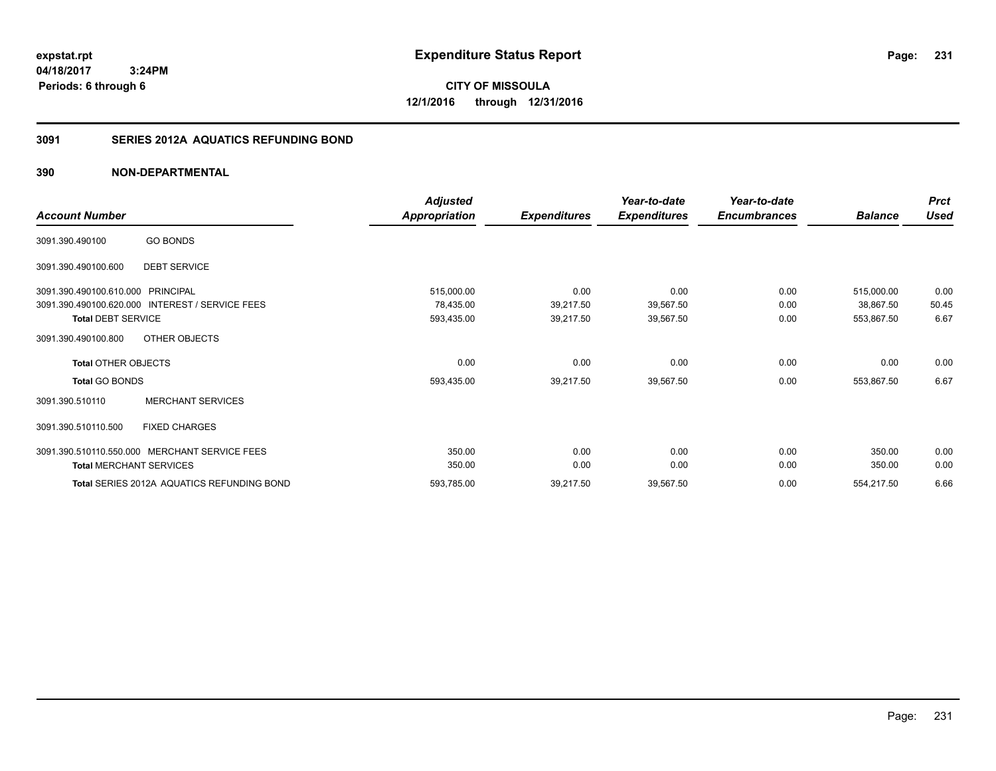**CITY OF MISSOULA 12/1/2016 through 12/31/2016**

# **3091 SERIES 2012A AQUATICS REFUNDING BOND**

|                                                           | <b>Adjusted</b> |                     | Year-to-date        | Year-to-date        |                | <b>Prct</b> |
|-----------------------------------------------------------|-----------------|---------------------|---------------------|---------------------|----------------|-------------|
| <b>Account Number</b>                                     | Appropriation   | <b>Expenditures</b> | <b>Expenditures</b> | <b>Encumbrances</b> | <b>Balance</b> | <b>Used</b> |
| <b>GO BONDS</b><br>3091.390.490100                        |                 |                     |                     |                     |                |             |
| <b>DEBT SERVICE</b><br>3091.390.490100.600                |                 |                     |                     |                     |                |             |
| <b>PRINCIPAL</b><br>3091.390.490100.610.000               | 515,000.00      | 0.00                | 0.00                | 0.00                | 515,000.00     | 0.00        |
| 3091.390.490100.620.000<br><b>INTEREST / SERVICE FEES</b> | 78,435.00       | 39,217.50           | 39,567.50           | 0.00                | 38,867.50      | 50.45       |
| <b>Total DEBT SERVICE</b>                                 | 593,435.00      | 39,217.50           | 39,567.50           | 0.00                | 553,867.50     | 6.67        |
| OTHER OBJECTS<br>3091.390.490100.800                      |                 |                     |                     |                     |                |             |
| <b>Total OTHER OBJECTS</b>                                | 0.00            | 0.00                | 0.00                | 0.00                | 0.00           | 0.00        |
| <b>Total GO BONDS</b>                                     | 593,435.00      | 39,217.50           | 39,567.50           | 0.00                | 553,867.50     | 6.67        |
| <b>MERCHANT SERVICES</b><br>3091.390.510110               |                 |                     |                     |                     |                |             |
| <b>FIXED CHARGES</b><br>3091.390.510110.500               |                 |                     |                     |                     |                |             |
| 3091.390.510110.550.000 MERCHANT SERVICE FEES             | 350.00          | 0.00                | 0.00                | 0.00                | 350.00         | 0.00        |
| <b>Total MERCHANT SERVICES</b>                            | 350.00          | 0.00                | 0.00                | 0.00                | 350.00         | 0.00        |
| Total SERIES 2012A AQUATICS REFUNDING BOND                | 593,785.00      | 39,217.50           | 39,567.50           | 0.00                | 554,217.50     | 6.66        |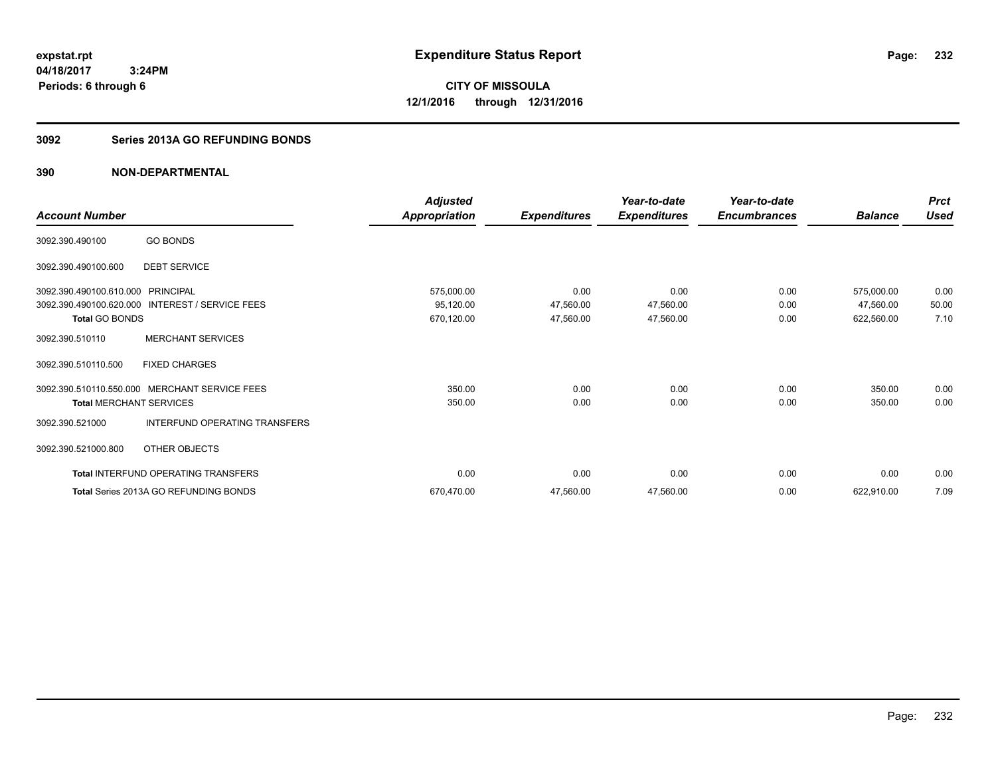**232**

**04/18/2017 3:24PM Periods: 6 through 6**

**CITY OF MISSOULA 12/1/2016 through 12/31/2016**

### **3092 Series 2013A GO REFUNDING BONDS**

|                                   |                                                 | <b>Adjusted</b>      |                     | Year-to-date        | Year-to-date        |                | <b>Prct</b> |
|-----------------------------------|-------------------------------------------------|----------------------|---------------------|---------------------|---------------------|----------------|-------------|
| <b>Account Number</b>             |                                                 | <b>Appropriation</b> | <b>Expenditures</b> | <b>Expenditures</b> | <b>Encumbrances</b> | <b>Balance</b> | <b>Used</b> |
| 3092.390.490100                   | <b>GO BONDS</b>                                 |                      |                     |                     |                     |                |             |
| 3092.390.490100.600               | <b>DEBT SERVICE</b>                             |                      |                     |                     |                     |                |             |
| 3092.390.490100.610.000 PRINCIPAL |                                                 | 575,000.00           | 0.00                | 0.00                | 0.00                | 575,000.00     | 0.00        |
|                                   | 3092.390.490100.620.000 INTEREST / SERVICE FEES | 95,120.00            | 47,560.00           | 47,560.00           | 0.00                | 47,560.00      | 50.00       |
| <b>Total GO BONDS</b>             |                                                 | 670,120.00           | 47,560.00           | 47,560.00           | 0.00                | 622,560.00     | 7.10        |
| 3092.390.510110                   | <b>MERCHANT SERVICES</b>                        |                      |                     |                     |                     |                |             |
| 3092.390.510110.500               | <b>FIXED CHARGES</b>                            |                      |                     |                     |                     |                |             |
| 3092.390.510110.550.000           | <b>MERCHANT SERVICE FEES</b>                    | 350.00               | 0.00                | 0.00                | 0.00                | 350.00         | 0.00        |
| <b>Total MERCHANT SERVICES</b>    |                                                 | 350.00               | 0.00                | 0.00                | 0.00                | 350.00         | 0.00        |
| 3092.390.521000                   | <b>INTERFUND OPERATING TRANSFERS</b>            |                      |                     |                     |                     |                |             |
| 3092.390.521000.800               | OTHER OBJECTS                                   |                      |                     |                     |                     |                |             |
|                                   | <b>Total INTERFUND OPERATING TRANSFERS</b>      | 0.00                 | 0.00                | 0.00                | 0.00                | 0.00           | 0.00        |
|                                   | Total Series 2013A GO REFUNDING BONDS           | 670,470.00           | 47,560.00           | 47,560.00           | 0.00                | 622,910.00     | 7.09        |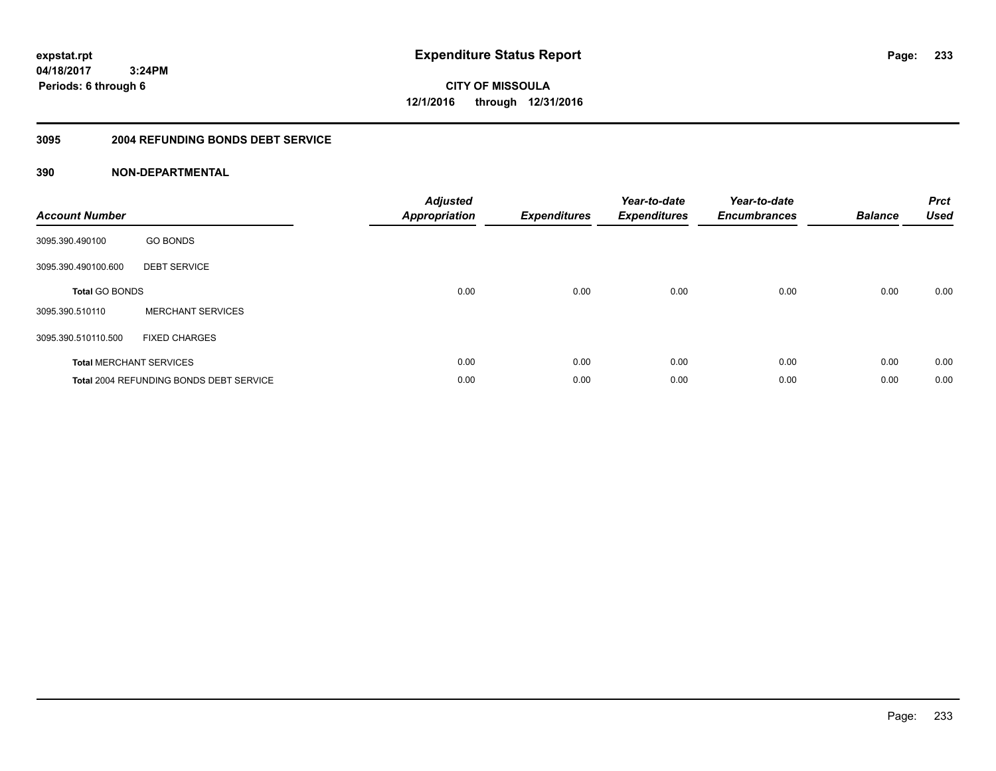**233**

**04/18/2017 3:24PM Periods: 6 through 6**

**CITY OF MISSOULA 12/1/2016 through 12/31/2016**

### **3095 2004 REFUNDING BONDS DEBT SERVICE**

| <b>Account Number</b>          |                                                | <b>Adjusted</b><br><b>Appropriation</b> | <b>Expenditures</b> | Year-to-date<br><b>Expenditures</b> | Year-to-date<br><b>Encumbrances</b> | <b>Balance</b> | <b>Prct</b><br><b>Used</b> |
|--------------------------------|------------------------------------------------|-----------------------------------------|---------------------|-------------------------------------|-------------------------------------|----------------|----------------------------|
| 3095.390.490100                | <b>GO BONDS</b>                                |                                         |                     |                                     |                                     |                |                            |
| 3095.390.490100.600            | <b>DEBT SERVICE</b>                            |                                         |                     |                                     |                                     |                |                            |
| <b>Total GO BONDS</b>          |                                                | 0.00                                    | 0.00                | 0.00                                | 0.00                                | 0.00           | 0.00                       |
| 3095.390.510110                | <b>MERCHANT SERVICES</b>                       |                                         |                     |                                     |                                     |                |                            |
| 3095.390.510110.500            | <b>FIXED CHARGES</b>                           |                                         |                     |                                     |                                     |                |                            |
| <b>Total MERCHANT SERVICES</b> |                                                | 0.00                                    | 0.00                | 0.00                                | 0.00                                | 0.00           | 0.00                       |
|                                | <b>Total 2004 REFUNDING BONDS DEBT SERVICE</b> | 0.00                                    | 0.00                | 0.00                                | 0.00                                | 0.00           | 0.00                       |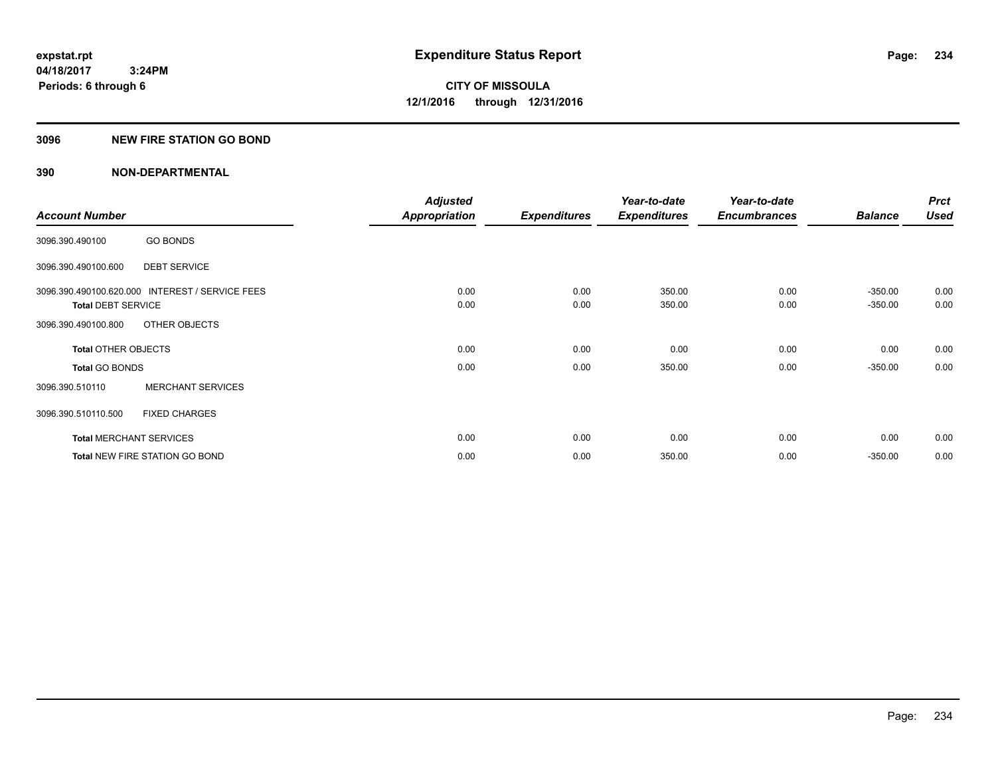## **3096 NEW FIRE STATION GO BOND**

|                                |                                                 | <b>Adjusted</b>      |                     | Year-to-date        | Year-to-date        |                        | <b>Prct</b>  |
|--------------------------------|-------------------------------------------------|----------------------|---------------------|---------------------|---------------------|------------------------|--------------|
| <b>Account Number</b>          |                                                 | <b>Appropriation</b> | <b>Expenditures</b> | <b>Expenditures</b> | <b>Encumbrances</b> | <b>Balance</b>         | <b>Used</b>  |
| 3096.390.490100                | <b>GO BONDS</b>                                 |                      |                     |                     |                     |                        |              |
| 3096.390.490100.600            | <b>DEBT SERVICE</b>                             |                      |                     |                     |                     |                        |              |
| <b>Total DEBT SERVICE</b>      | 3096.390.490100.620.000 INTEREST / SERVICE FEES | 0.00<br>0.00         | 0.00<br>0.00        | 350.00<br>350.00    | 0.00<br>0.00        | $-350.00$<br>$-350.00$ | 0.00<br>0.00 |
| 3096.390.490100.800            | OTHER OBJECTS                                   |                      |                     |                     |                     |                        |              |
| <b>Total OTHER OBJECTS</b>     |                                                 | 0.00                 | 0.00                | 0.00                | 0.00                | 0.00                   | 0.00         |
| <b>Total GO BONDS</b>          |                                                 | 0.00                 | 0.00                | 350.00              | 0.00                | $-350.00$              | 0.00         |
| 3096.390.510110                | <b>MERCHANT SERVICES</b>                        |                      |                     |                     |                     |                        |              |
| 3096.390.510110.500            | <b>FIXED CHARGES</b>                            |                      |                     |                     |                     |                        |              |
| <b>Total MERCHANT SERVICES</b> |                                                 | 0.00                 | 0.00                | 0.00                | 0.00                | 0.00                   | 0.00         |
|                                | <b>Total NEW FIRE STATION GO BOND</b>           | 0.00                 | 0.00                | 350.00              | 0.00                | $-350.00$              | 0.00         |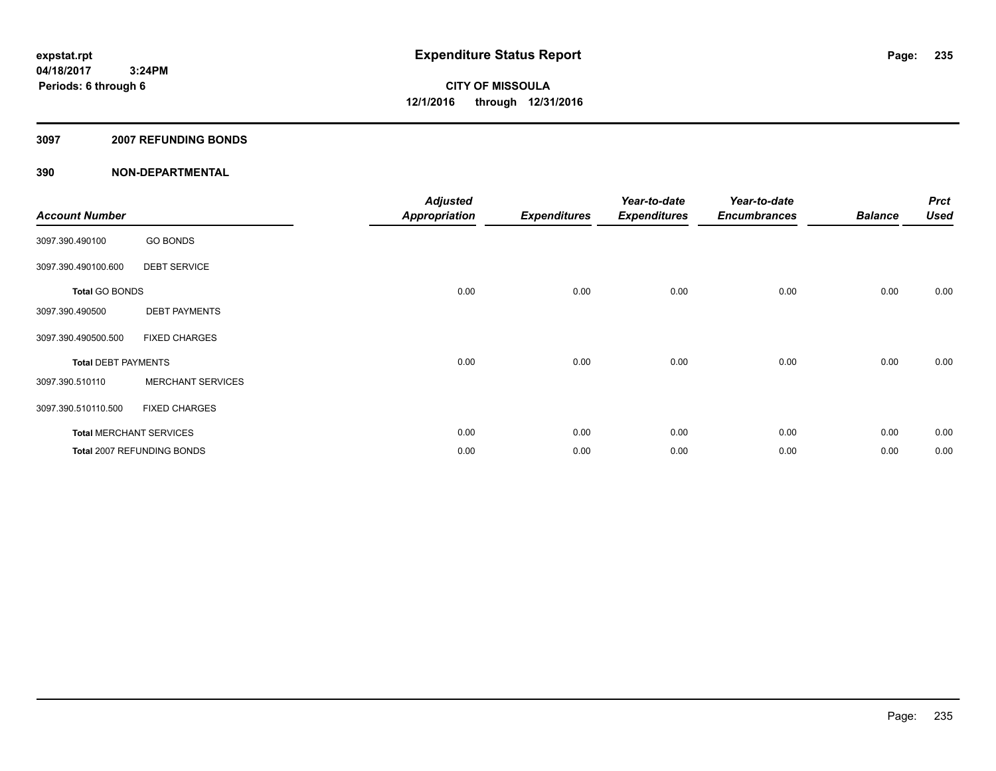### **3097 2007 REFUNDING BONDS**

| <b>Account Number</b>          |                            | <b>Adjusted</b><br>Appropriation | <b>Expenditures</b> | Year-to-date<br><b>Expenditures</b> | Year-to-date<br><b>Encumbrances</b> | <b>Balance</b> | <b>Prct</b><br><b>Used</b> |
|--------------------------------|----------------------------|----------------------------------|---------------------|-------------------------------------|-------------------------------------|----------------|----------------------------|
| 3097.390.490100                | <b>GO BONDS</b>            |                                  |                     |                                     |                                     |                |                            |
| 3097.390.490100.600            | <b>DEBT SERVICE</b>        |                                  |                     |                                     |                                     |                |                            |
| <b>Total GO BONDS</b>          |                            | 0.00                             | 0.00                | 0.00                                | 0.00                                | 0.00           | 0.00                       |
| 3097.390.490500                | <b>DEBT PAYMENTS</b>       |                                  |                     |                                     |                                     |                |                            |
| 3097.390.490500.500            | <b>FIXED CHARGES</b>       |                                  |                     |                                     |                                     |                |                            |
| <b>Total DEBT PAYMENTS</b>     |                            | 0.00                             | 0.00                | 0.00                                | 0.00                                | 0.00           | 0.00                       |
| 3097.390.510110                | <b>MERCHANT SERVICES</b>   |                                  |                     |                                     |                                     |                |                            |
| 3097.390.510110.500            | <b>FIXED CHARGES</b>       |                                  |                     |                                     |                                     |                |                            |
| <b>Total MERCHANT SERVICES</b> |                            | 0.00                             | 0.00                | 0.00                                | 0.00                                | 0.00           | 0.00                       |
|                                | Total 2007 REFUNDING BONDS | 0.00                             | 0.00                | 0.00                                | 0.00                                | 0.00           | 0.00                       |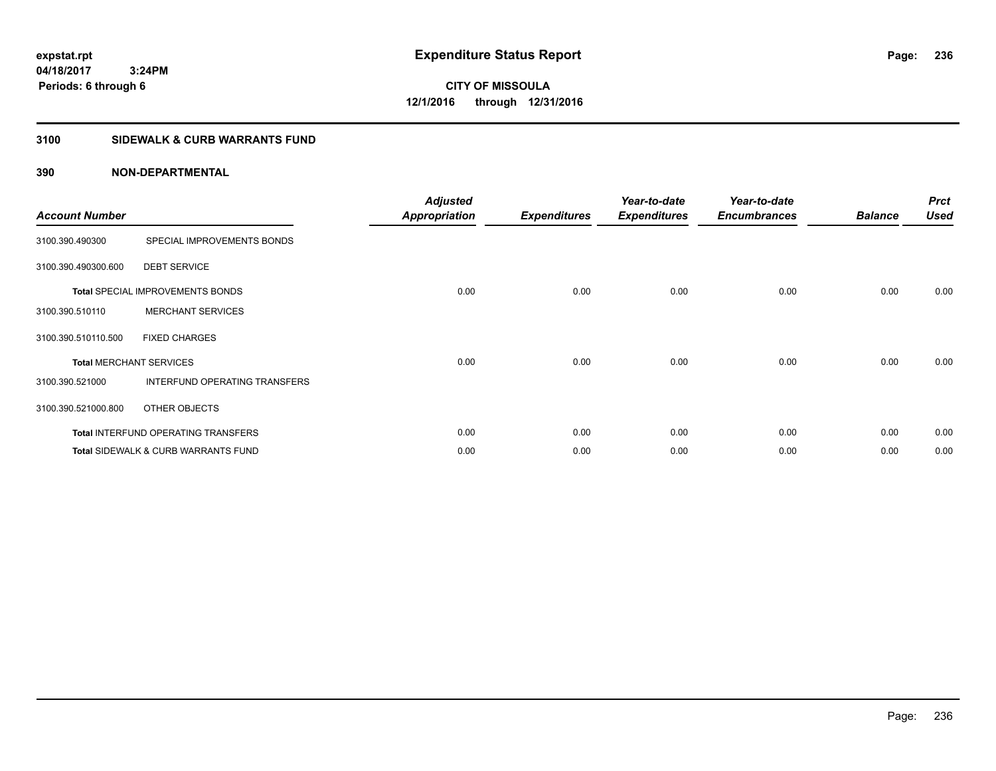**CITY OF MISSOULA 12/1/2016 through 12/31/2016**

# **3100 SIDEWALK & CURB WARRANTS FUND**

| <b>Account Number</b>          |                                                | <b>Adjusted</b><br><b>Appropriation</b> | <b>Expenditures</b> | Year-to-date<br><b>Expenditures</b> | Year-to-date<br><b>Encumbrances</b> | <b>Balance</b> | <b>Prct</b><br><b>Used</b> |
|--------------------------------|------------------------------------------------|-----------------------------------------|---------------------|-------------------------------------|-------------------------------------|----------------|----------------------------|
| 3100.390.490300                | SPECIAL IMPROVEMENTS BONDS                     |                                         |                     |                                     |                                     |                |                            |
| 3100.390.490300.600            | <b>DEBT SERVICE</b>                            |                                         |                     |                                     |                                     |                |                            |
|                                | <b>Total SPECIAL IMPROVEMENTS BONDS</b>        | 0.00                                    | 0.00                | 0.00                                | 0.00                                | 0.00           | 0.00                       |
| 3100.390.510110                | <b>MERCHANT SERVICES</b>                       |                                         |                     |                                     |                                     |                |                            |
| 3100.390.510110.500            | <b>FIXED CHARGES</b>                           |                                         |                     |                                     |                                     |                |                            |
| <b>Total MERCHANT SERVICES</b> |                                                | 0.00                                    | 0.00                | 0.00                                | 0.00                                | 0.00           | 0.00                       |
| 3100.390.521000                | INTERFUND OPERATING TRANSFERS                  |                                         |                     |                                     |                                     |                |                            |
| 3100.390.521000.800            | OTHER OBJECTS                                  |                                         |                     |                                     |                                     |                |                            |
|                                | <b>Total INTERFUND OPERATING TRANSFERS</b>     | 0.00                                    | 0.00                | 0.00                                | 0.00                                | 0.00           | 0.00                       |
|                                | <b>Total SIDEWALK &amp; CURB WARRANTS FUND</b> | 0.00                                    | 0.00                | 0.00                                | 0.00                                | 0.00           | 0.00                       |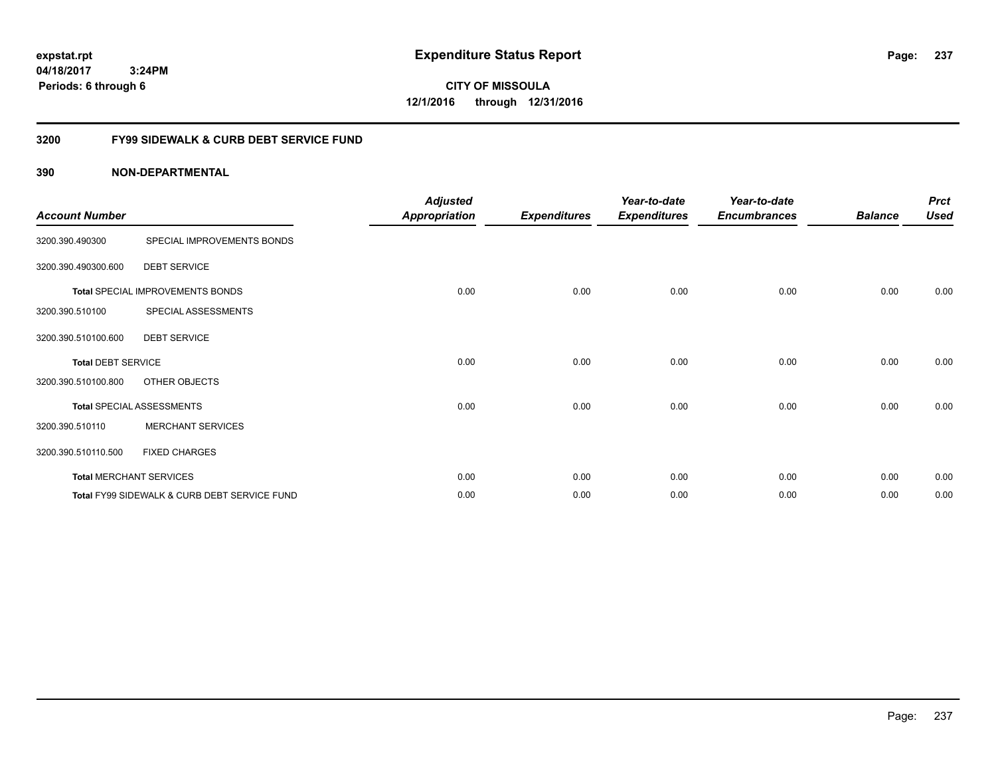**CITY OF MISSOULA 12/1/2016 through 12/31/2016**

## **3200 FY99 SIDEWALK & CURB DEBT SERVICE FUND**

| <b>Account Number</b>     |                                              | <b>Adjusted</b><br><b>Appropriation</b> | <b>Expenditures</b> | Year-to-date<br><b>Expenditures</b> | Year-to-date<br><b>Encumbrances</b> | <b>Balance</b> | <b>Prct</b><br><b>Used</b> |
|---------------------------|----------------------------------------------|-----------------------------------------|---------------------|-------------------------------------|-------------------------------------|----------------|----------------------------|
| 3200.390.490300           | SPECIAL IMPROVEMENTS BONDS                   |                                         |                     |                                     |                                     |                |                            |
| 3200.390.490300.600       | <b>DEBT SERVICE</b>                          |                                         |                     |                                     |                                     |                |                            |
|                           | Total SPECIAL IMPROVEMENTS BONDS             | 0.00                                    | 0.00                | 0.00                                | 0.00                                | 0.00           | 0.00                       |
| 3200.390.510100           | SPECIAL ASSESSMENTS                          |                                         |                     |                                     |                                     |                |                            |
| 3200.390.510100.600       | <b>DEBT SERVICE</b>                          |                                         |                     |                                     |                                     |                |                            |
| <b>Total DEBT SERVICE</b> |                                              | 0.00                                    | 0.00                | 0.00                                | 0.00                                | 0.00           | 0.00                       |
| 3200.390.510100.800       | OTHER OBJECTS                                |                                         |                     |                                     |                                     |                |                            |
|                           | <b>Total SPECIAL ASSESSMENTS</b>             | 0.00                                    | 0.00                | 0.00                                | 0.00                                | 0.00           | 0.00                       |
| 3200.390.510110           | <b>MERCHANT SERVICES</b>                     |                                         |                     |                                     |                                     |                |                            |
| 3200.390.510110.500       | <b>FIXED CHARGES</b>                         |                                         |                     |                                     |                                     |                |                            |
|                           | <b>Total MERCHANT SERVICES</b>               | 0.00                                    | 0.00                | 0.00                                | 0.00                                | 0.00           | 0.00                       |
|                           | Total FY99 SIDEWALK & CURB DEBT SERVICE FUND | 0.00                                    | 0.00                | 0.00                                | 0.00                                | 0.00           | 0.00                       |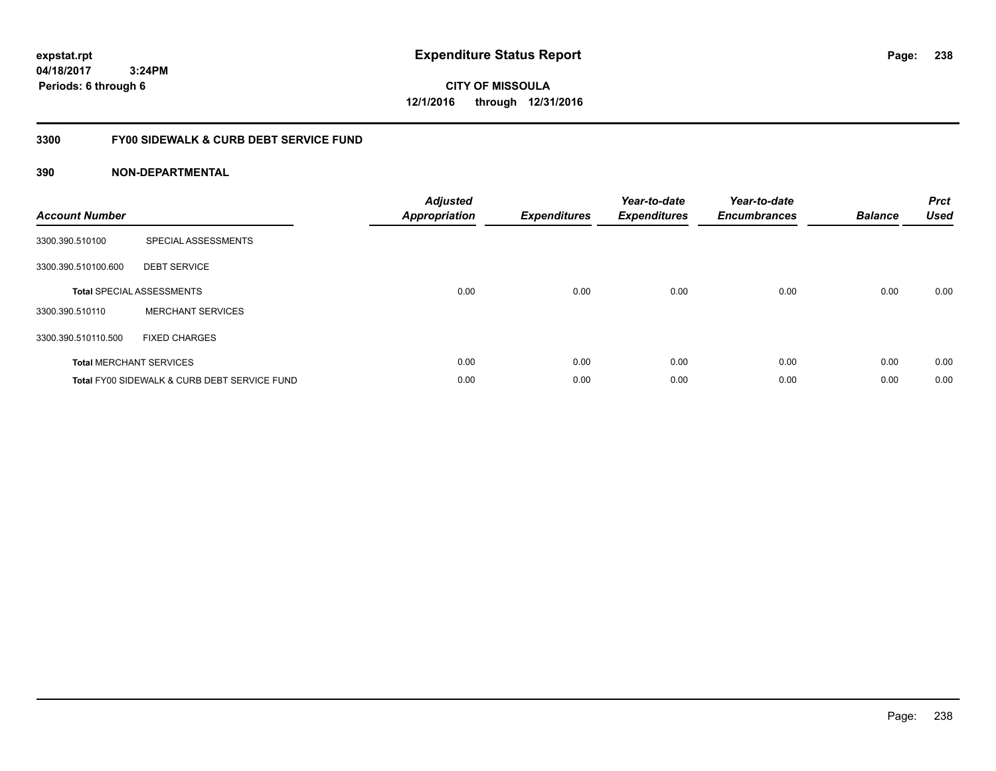**CITY OF MISSOULA 12/1/2016 through 12/31/2016**

## **3300 FY00 SIDEWALK & CURB DEBT SERVICE FUND**

| <b>Account Number</b> |                                              | <b>Adjusted</b><br>Appropriation | <b>Expenditures</b> | Year-to-date<br><b>Expenditures</b> | Year-to-date<br><b>Encumbrances</b> | <b>Balance</b> | <b>Prct</b><br><b>Used</b> |
|-----------------------|----------------------------------------------|----------------------------------|---------------------|-------------------------------------|-------------------------------------|----------------|----------------------------|
| 3300.390.510100       | SPECIAL ASSESSMENTS                          |                                  |                     |                                     |                                     |                |                            |
| 3300.390.510100.600   | <b>DEBT SERVICE</b>                          |                                  |                     |                                     |                                     |                |                            |
|                       | <b>Total SPECIAL ASSESSMENTS</b>             | 0.00                             | 0.00                | 0.00                                | 0.00                                | 0.00           | 0.00                       |
| 3300.390.510110       | <b>MERCHANT SERVICES</b>                     |                                  |                     |                                     |                                     |                |                            |
| 3300.390.510110.500   | <b>FIXED CHARGES</b>                         |                                  |                     |                                     |                                     |                |                            |
|                       | <b>Total MERCHANT SERVICES</b>               | 0.00                             | 0.00                | 0.00                                | 0.00                                | 0.00           | 0.00                       |
|                       | Total FY00 SIDEWALK & CURB DEBT SERVICE FUND | 0.00                             | 0.00                | 0.00                                | 0.00                                | 0.00           | 0.00                       |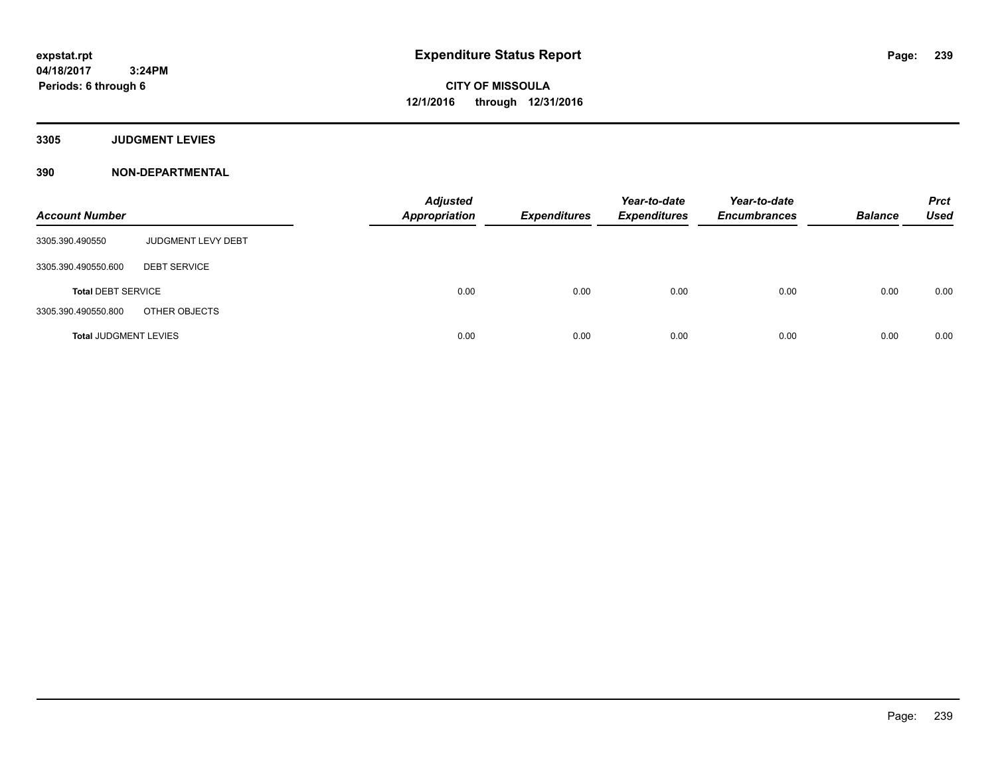**3305 JUDGMENT LEVIES**

| <b>Account Number</b>        |                           | <b>Adjusted</b><br><b>Appropriation</b> | <b>Expenditures</b> | Year-to-date<br><b>Expenditures</b> | Year-to-date<br><b>Encumbrances</b> | <b>Balance</b> | <b>Prct</b><br><b>Used</b> |
|------------------------------|---------------------------|-----------------------------------------|---------------------|-------------------------------------|-------------------------------------|----------------|----------------------------|
| 3305.390.490550              | <b>JUDGMENT LEVY DEBT</b> |                                         |                     |                                     |                                     |                |                            |
| 3305.390.490550.600          | <b>DEBT SERVICE</b>       |                                         |                     |                                     |                                     |                |                            |
| <b>Total DEBT SERVICE</b>    |                           | 0.00                                    | 0.00                | 0.00                                | 0.00                                | 0.00           | 0.00                       |
| 3305.390.490550.800          | OTHER OBJECTS             |                                         |                     |                                     |                                     |                |                            |
| <b>Total JUDGMENT LEVIES</b> |                           | 0.00                                    | 0.00                | 0.00                                | 0.00                                | 0.00           | 0.00                       |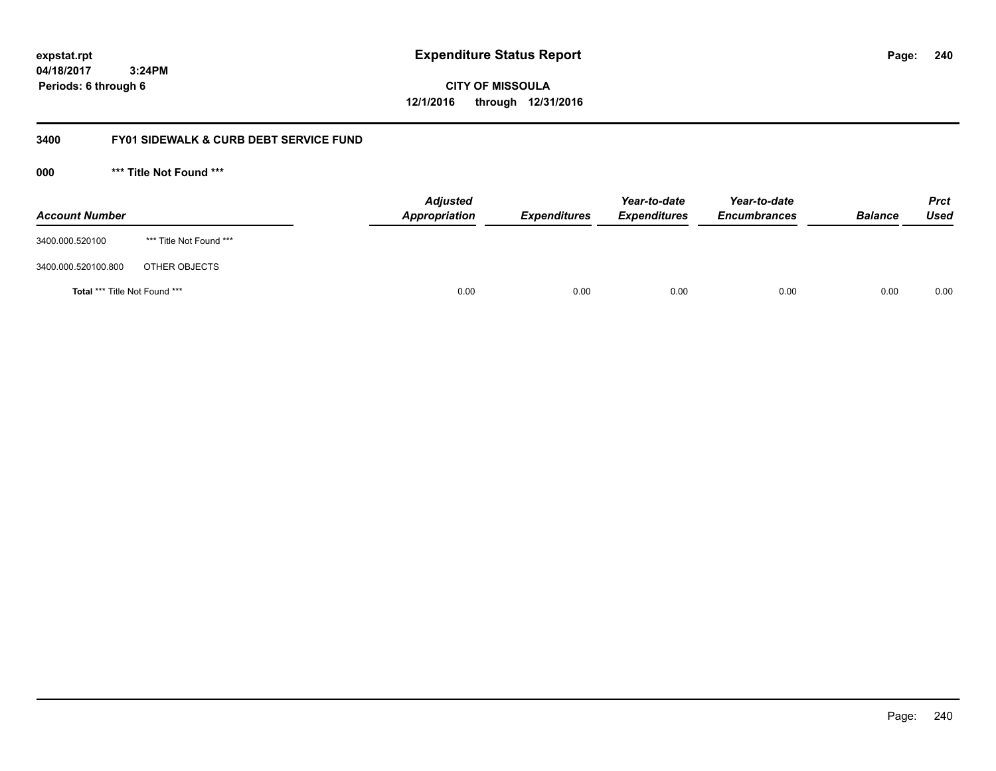**CITY OF MISSOULA 12/1/2016 through 12/31/2016**

## **3400 FY01 SIDEWALK & CURB DEBT SERVICE FUND**

**000 \*\*\* Title Not Found \*\*\***

| <b>Account Number</b>         |                         | <b>Adjusted</b><br>Appropriation | <b>Expenditures</b> | Year-to-date<br><b>Expenditures</b> | Year-to-date<br><b>Encumbrances</b> | <b>Balance</b> | Prct<br><b>Used</b> |
|-------------------------------|-------------------------|----------------------------------|---------------------|-------------------------------------|-------------------------------------|----------------|---------------------|
| 3400.000.520100               | *** Title Not Found *** |                                  |                     |                                     |                                     |                |                     |
| 3400.000.520100.800           | OTHER OBJECTS           |                                  |                     |                                     |                                     |                |                     |
| Total *** Title Not Found *** |                         | 0.00                             | 0.00                | 0.00                                | 0.00                                | 0.00           | 0.00                |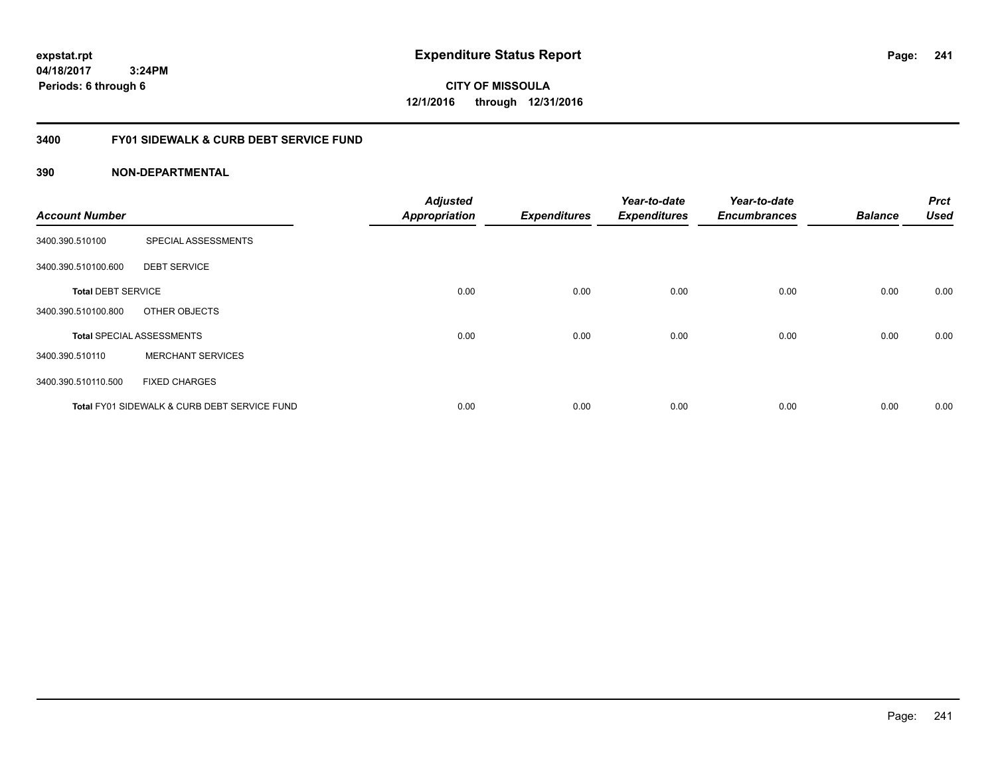**CITY OF MISSOULA 12/1/2016 through 12/31/2016**

## **3400 FY01 SIDEWALK & CURB DEBT SERVICE FUND**

| <b>Account Number</b>     |                                              | <b>Adjusted</b><br><b>Appropriation</b> | <b>Expenditures</b> | Year-to-date<br><b>Expenditures</b> | Year-to-date<br><b>Encumbrances</b> | <b>Balance</b> | <b>Prct</b><br><b>Used</b> |
|---------------------------|----------------------------------------------|-----------------------------------------|---------------------|-------------------------------------|-------------------------------------|----------------|----------------------------|
|                           |                                              |                                         |                     |                                     |                                     |                |                            |
| 3400.390.510100           | SPECIAL ASSESSMENTS                          |                                         |                     |                                     |                                     |                |                            |
| 3400.390.510100.600       | <b>DEBT SERVICE</b>                          |                                         |                     |                                     |                                     |                |                            |
| <b>Total DEBT SERVICE</b> |                                              | 0.00                                    | 0.00                | 0.00                                | 0.00                                | 0.00           | 0.00                       |
| 3400.390.510100.800       | OTHER OBJECTS                                |                                         |                     |                                     |                                     |                |                            |
|                           | <b>Total SPECIAL ASSESSMENTS</b>             | 0.00                                    | 0.00                | 0.00                                | 0.00                                | 0.00           | 0.00                       |
| 3400.390.510110           | <b>MERCHANT SERVICES</b>                     |                                         |                     |                                     |                                     |                |                            |
| 3400.390.510110.500       | <b>FIXED CHARGES</b>                         |                                         |                     |                                     |                                     |                |                            |
|                           | Total FY01 SIDEWALK & CURB DEBT SERVICE FUND | 0.00                                    | 0.00                | 0.00                                | 0.00                                | 0.00           | 0.00                       |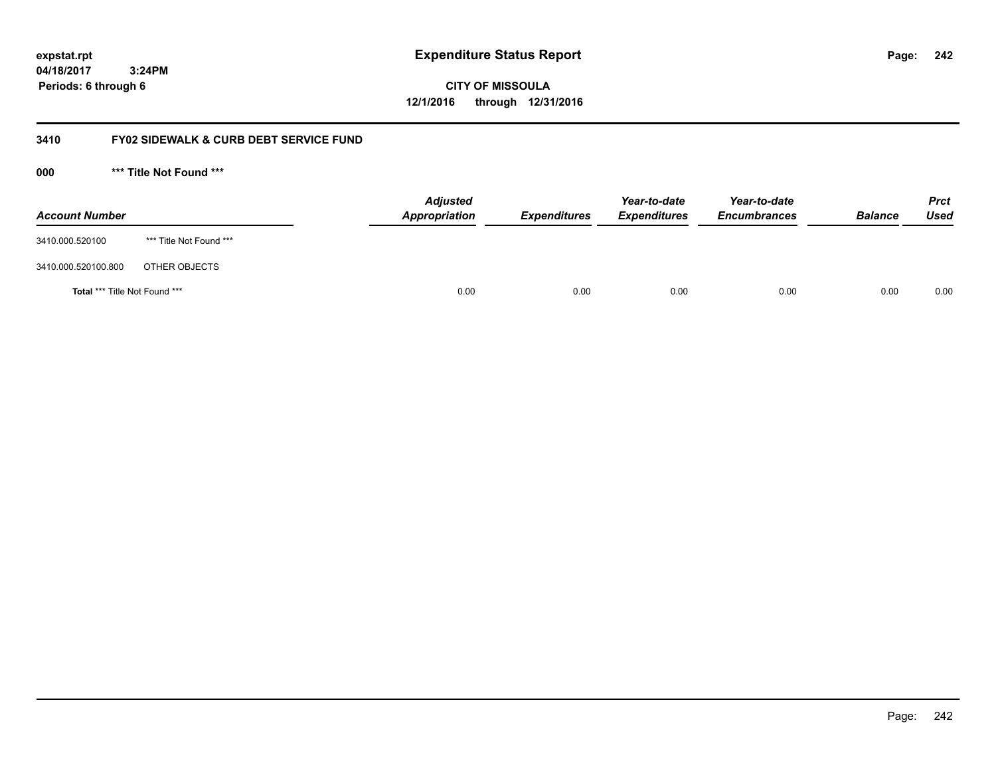**CITY OF MISSOULA 12/1/2016 through 12/31/2016**

## **3410 FY02 SIDEWALK & CURB DEBT SERVICE FUND**

**000 \*\*\* Title Not Found \*\*\***

| <b>Account Number</b>         |                         | <b>Adjusted</b><br>Appropriation | <b>Expenditures</b> | Year-to-date<br><b>Expenditures</b> | Year-to-date<br><b>Encumbrances</b> | <b>Balance</b> | <b>Prct</b><br><b>Used</b> |
|-------------------------------|-------------------------|----------------------------------|---------------------|-------------------------------------|-------------------------------------|----------------|----------------------------|
| 3410.000.520100               | *** Title Not Found *** |                                  |                     |                                     |                                     |                |                            |
| 3410.000.520100.800           | OTHER OBJECTS           |                                  |                     |                                     |                                     |                |                            |
| Total *** Title Not Found *** |                         | 0.00                             | 0.00                | 0.00                                | 0.00                                | 0.00           | 0.00                       |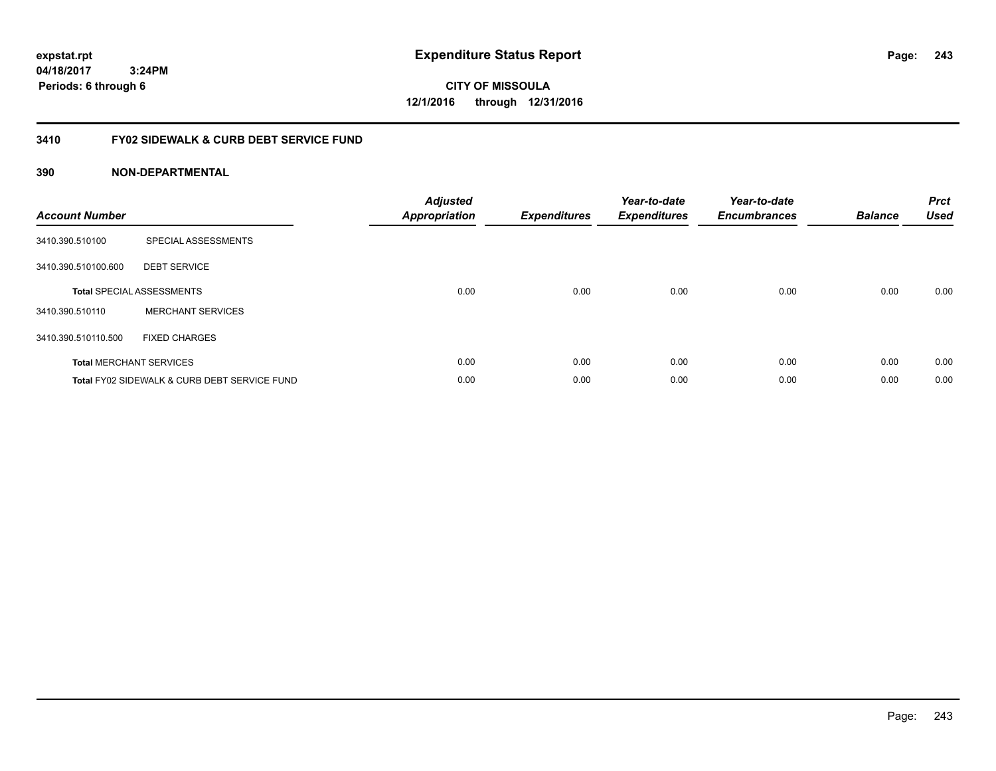**CITY OF MISSOULA 12/1/2016 through 12/31/2016**

## **3410 FY02 SIDEWALK & CURB DEBT SERVICE FUND**

| <b>Account Number</b> |                                              | <b>Adjusted</b><br>Appropriation | <b>Expenditures</b> | Year-to-date<br><b>Expenditures</b> | Year-to-date<br><b>Encumbrances</b> | <b>Balance</b> | <b>Prct</b><br><b>Used</b> |
|-----------------------|----------------------------------------------|----------------------------------|---------------------|-------------------------------------|-------------------------------------|----------------|----------------------------|
| 3410.390.510100       | SPECIAL ASSESSMENTS                          |                                  |                     |                                     |                                     |                |                            |
| 3410.390.510100.600   | <b>DEBT SERVICE</b>                          |                                  |                     |                                     |                                     |                |                            |
|                       | <b>Total SPECIAL ASSESSMENTS</b>             | 0.00                             | 0.00                | 0.00                                | 0.00                                | 0.00           | 0.00                       |
| 3410.390.510110       | <b>MERCHANT SERVICES</b>                     |                                  |                     |                                     |                                     |                |                            |
| 3410.390.510110.500   | <b>FIXED CHARGES</b>                         |                                  |                     |                                     |                                     |                |                            |
|                       | <b>Total MERCHANT SERVICES</b>               | 0.00                             | 0.00                | 0.00                                | 0.00                                | 0.00           | 0.00                       |
|                       | Total FY02 SIDEWALK & CURB DEBT SERVICE FUND | 0.00                             | 0.00                | 0.00                                | 0.00                                | 0.00           | 0.00                       |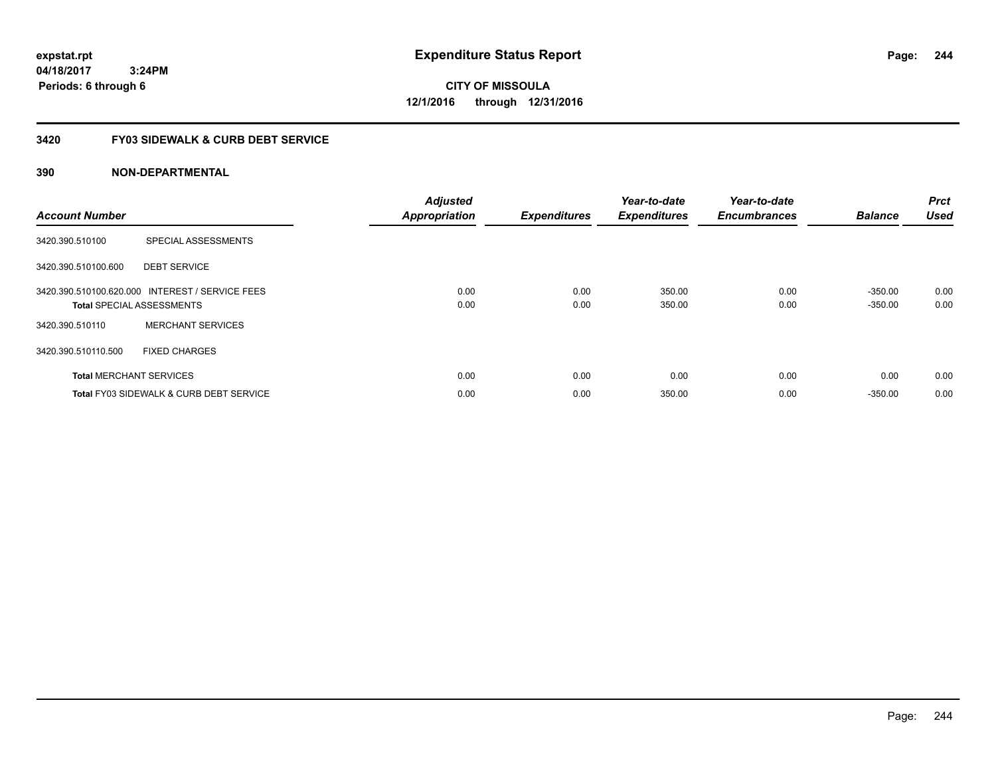**expstat.rpt Expenditure Status Report** 

**04/18/2017 3:24PM Periods: 6 through 6**

**CITY OF MISSOULA 12/1/2016 through 12/31/2016**

## **3420 FY03 SIDEWALK & CURB DEBT SERVICE**

| <b>Account Number</b> |                                                                                     | <b>Adjusted</b><br><b>Appropriation</b> | <b>Expenditures</b> | Year-to-date<br><b>Expenditures</b> | Year-to-date<br><b>Encumbrances</b> | <b>Balance</b>         | <b>Prct</b><br><b>Used</b> |
|-----------------------|-------------------------------------------------------------------------------------|-----------------------------------------|---------------------|-------------------------------------|-------------------------------------|------------------------|----------------------------|
| 3420.390.510100       | SPECIAL ASSESSMENTS                                                                 |                                         |                     |                                     |                                     |                        |                            |
| 3420.390.510100.600   | <b>DEBT SERVICE</b>                                                                 |                                         |                     |                                     |                                     |                        |                            |
|                       | 3420.390.510100.620.000 INTEREST / SERVICE FEES<br><b>Total SPECIAL ASSESSMENTS</b> | 0.00<br>0.00                            | 0.00<br>0.00        | 350.00<br>350.00                    | 0.00<br>0.00                        | $-350.00$<br>$-350.00$ | 0.00<br>0.00               |
| 3420.390.510110       | <b>MERCHANT SERVICES</b>                                                            |                                         |                     |                                     |                                     |                        |                            |
| 3420.390.510110.500   | <b>FIXED CHARGES</b>                                                                |                                         |                     |                                     |                                     |                        |                            |
|                       | <b>Total MERCHANT SERVICES</b>                                                      | 0.00                                    | 0.00                | 0.00                                | 0.00                                | 0.00                   | 0.00                       |
|                       | <b>Total FY03 SIDEWALK &amp; CURB DEBT SERVICE</b>                                  | 0.00                                    | 0.00                | 350.00                              | 0.00                                | $-350.00$              | 0.00                       |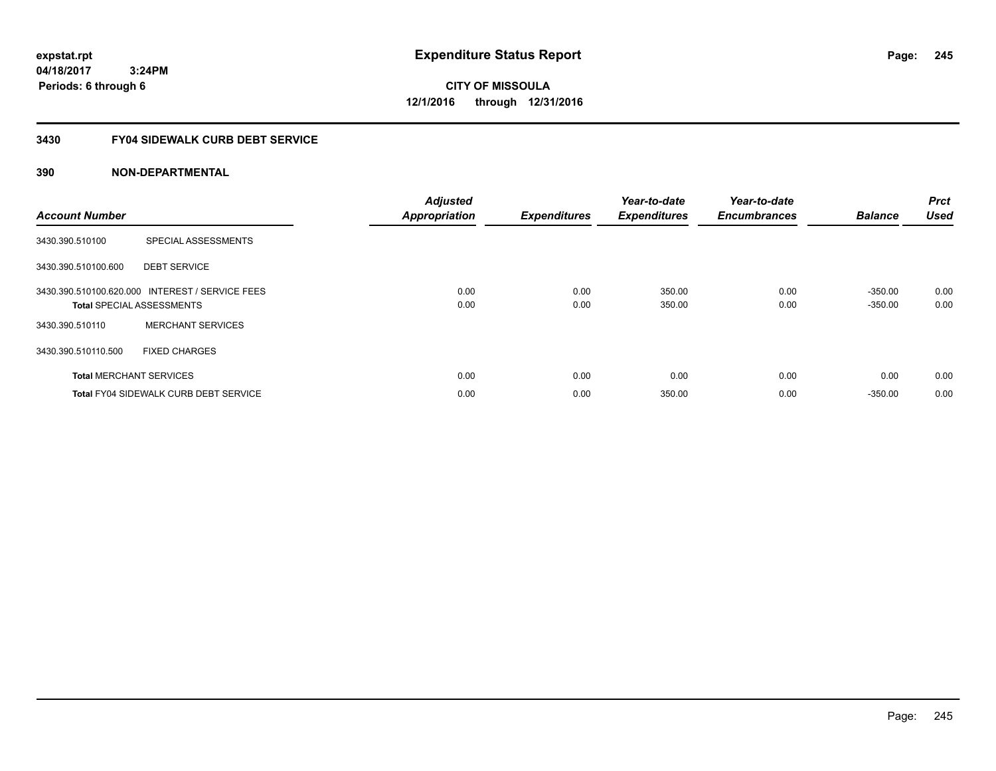**CITY OF MISSOULA 12/1/2016 through 12/31/2016**

## **3430 FY04 SIDEWALK CURB DEBT SERVICE**

| <b>Account Number</b> |                                                                                     | <b>Adjusted</b><br><b>Appropriation</b> | <b>Expenditures</b> | Year-to-date<br><b>Expenditures</b> | Year-to-date<br><b>Encumbrances</b> | <b>Balance</b>         | <b>Prct</b><br><b>Used</b> |
|-----------------------|-------------------------------------------------------------------------------------|-----------------------------------------|---------------------|-------------------------------------|-------------------------------------|------------------------|----------------------------|
| 3430.390.510100       | SPECIAL ASSESSMENTS                                                                 |                                         |                     |                                     |                                     |                        |                            |
| 3430.390.510100.600   | <b>DEBT SERVICE</b>                                                                 |                                         |                     |                                     |                                     |                        |                            |
|                       | 3430.390.510100.620.000 INTEREST / SERVICE FEES<br><b>Total SPECIAL ASSESSMENTS</b> | 0.00<br>0.00                            | 0.00<br>0.00        | 350.00<br>350.00                    | 0.00<br>0.00                        | $-350.00$<br>$-350.00$ | 0.00<br>0.00               |
| 3430.390.510110       | <b>MERCHANT SERVICES</b>                                                            |                                         |                     |                                     |                                     |                        |                            |
| 3430.390.510110.500   | <b>FIXED CHARGES</b>                                                                |                                         |                     |                                     |                                     |                        |                            |
|                       | <b>Total MERCHANT SERVICES</b>                                                      | 0.00                                    | 0.00                | 0.00                                | 0.00                                | 0.00                   | 0.00                       |
|                       | <b>Total FY04 SIDEWALK CURB DEBT SERVICE</b>                                        | 0.00                                    | 0.00                | 350.00                              | 0.00                                | $-350.00$              | 0.00                       |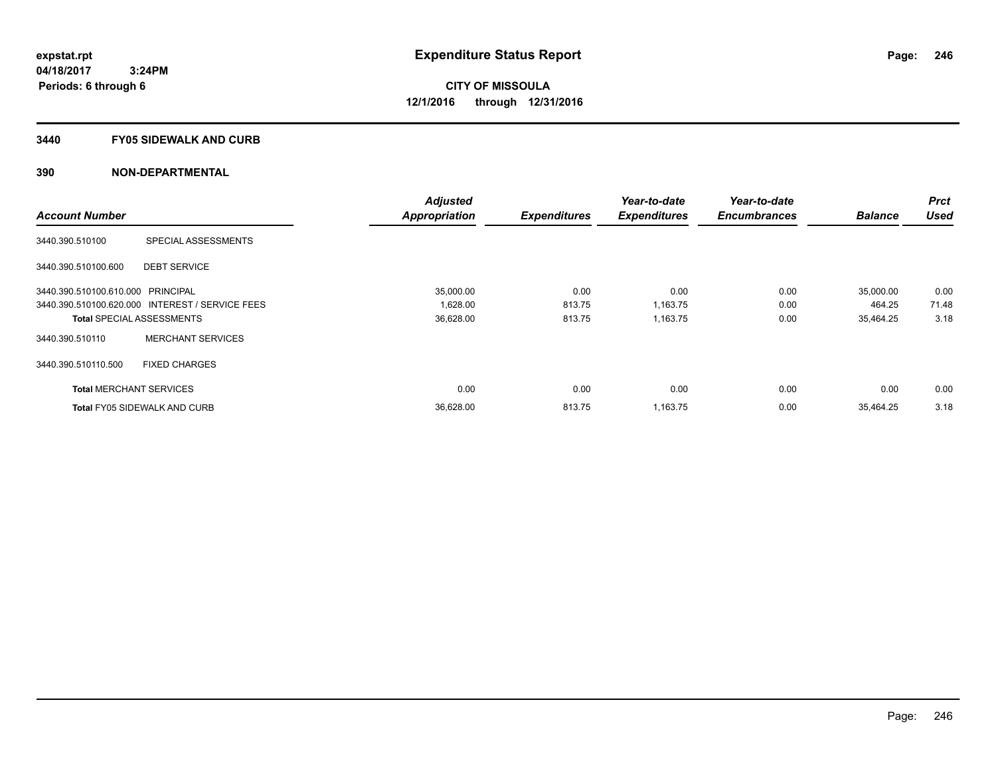### **3440 FY05 SIDEWALK AND CURB**

|                                   |                                                 | <b>Adjusted</b>      |                     | Year-to-date        | Year-to-date        |                | <b>Prct</b> |
|-----------------------------------|-------------------------------------------------|----------------------|---------------------|---------------------|---------------------|----------------|-------------|
| <b>Account Number</b>             |                                                 | <b>Appropriation</b> | <b>Expenditures</b> | <b>Expenditures</b> | <b>Encumbrances</b> | <b>Balance</b> | <b>Used</b> |
| 3440.390.510100                   | SPECIAL ASSESSMENTS                             |                      |                     |                     |                     |                |             |
| 3440.390.510100.600               | <b>DEBT SERVICE</b>                             |                      |                     |                     |                     |                |             |
| 3440.390.510100.610.000 PRINCIPAL |                                                 | 35.000.00            | 0.00                | 0.00                | 0.00                | 35,000.00      | 0.00        |
|                                   | 3440.390.510100.620.000 INTEREST / SERVICE FEES | 1,628.00             | 813.75              | 1,163.75            | 0.00                | 464.25         | 71.48       |
| <b>Total SPECIAL ASSESSMENTS</b>  |                                                 | 36,628.00            | 813.75              | 1,163.75            | 0.00                | 35.464.25      | 3.18        |
| 3440.390.510110                   | <b>MERCHANT SERVICES</b>                        |                      |                     |                     |                     |                |             |
| 3440.390.510110.500               | <b>FIXED CHARGES</b>                            |                      |                     |                     |                     |                |             |
| <b>Total MERCHANT SERVICES</b>    |                                                 | 0.00                 | 0.00                | 0.00                | 0.00                | 0.00           | 0.00        |
|                                   | <b>Total FY05 SIDEWALK AND CURB</b>             | 36,628.00            | 813.75              | 1,163.75            | 0.00                | 35.464.25      | 3.18        |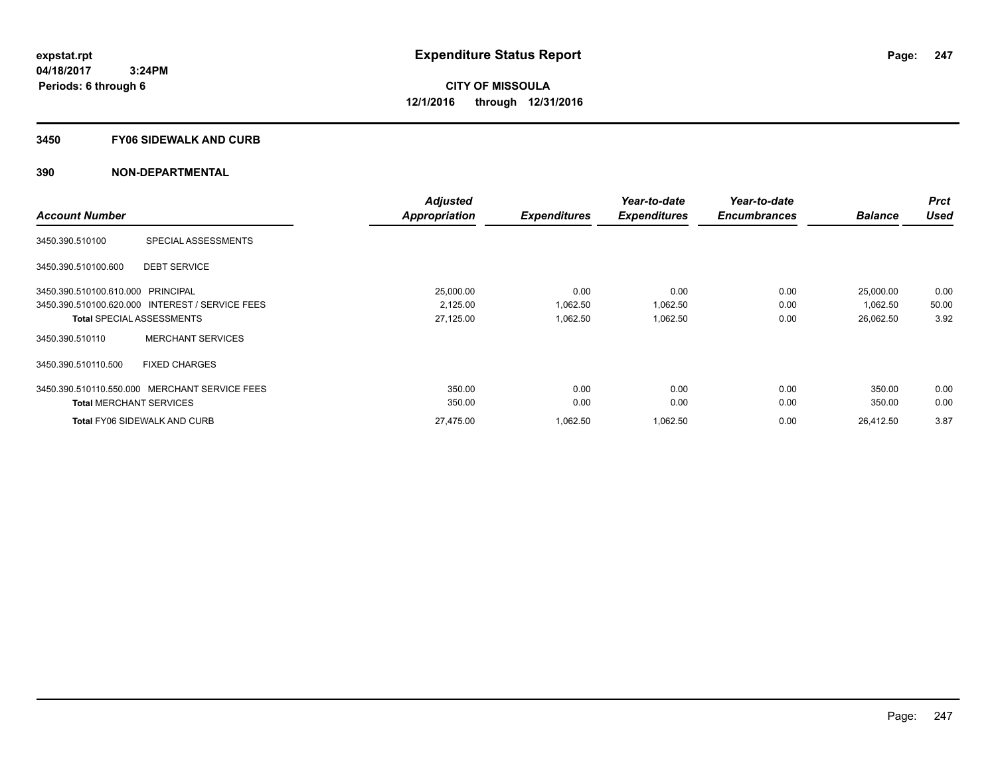### **3450 FY06 SIDEWALK AND CURB**

|                                   |                                                 | <b>Adjusted</b>      |                     | Year-to-date        | Year-to-date        |                | <b>Prct</b> |
|-----------------------------------|-------------------------------------------------|----------------------|---------------------|---------------------|---------------------|----------------|-------------|
| <b>Account Number</b>             |                                                 | <b>Appropriation</b> | <b>Expenditures</b> | <b>Expenditures</b> | <b>Encumbrances</b> | <b>Balance</b> | <b>Used</b> |
| 3450.390.510100                   | SPECIAL ASSESSMENTS                             |                      |                     |                     |                     |                |             |
| 3450.390.510100.600               | <b>DEBT SERVICE</b>                             |                      |                     |                     |                     |                |             |
| 3450.390.510100.610.000 PRINCIPAL |                                                 | 25,000.00            | 0.00                | 0.00                | 0.00                | 25,000.00      | 0.00        |
|                                   | 3450.390.510100.620.000 INTEREST / SERVICE FEES | 2,125.00             | 1,062.50            | 1,062.50            | 0.00                | 1,062.50       | 50.00       |
|                                   | <b>Total SPECIAL ASSESSMENTS</b>                | 27,125.00            | 1,062.50            | 1,062.50            | 0.00                | 26,062.50      | 3.92        |
| 3450.390.510110                   | <b>MERCHANT SERVICES</b>                        |                      |                     |                     |                     |                |             |
| 3450.390.510110.500               | <b>FIXED CHARGES</b>                            |                      |                     |                     |                     |                |             |
| 3450.390.510110.550.000           | MERCHANT SERVICE FEES                           | 350.00               | 0.00                | 0.00                | 0.00                | 350.00         | 0.00        |
| <b>Total MERCHANT SERVICES</b>    |                                                 | 350.00               | 0.00                | 0.00                | 0.00                | 350.00         | 0.00        |
|                                   | <b>Total FY06 SIDEWALK AND CURB</b>             | 27,475.00            | 1,062.50            | 1,062.50            | 0.00                | 26,412.50      | 3.87        |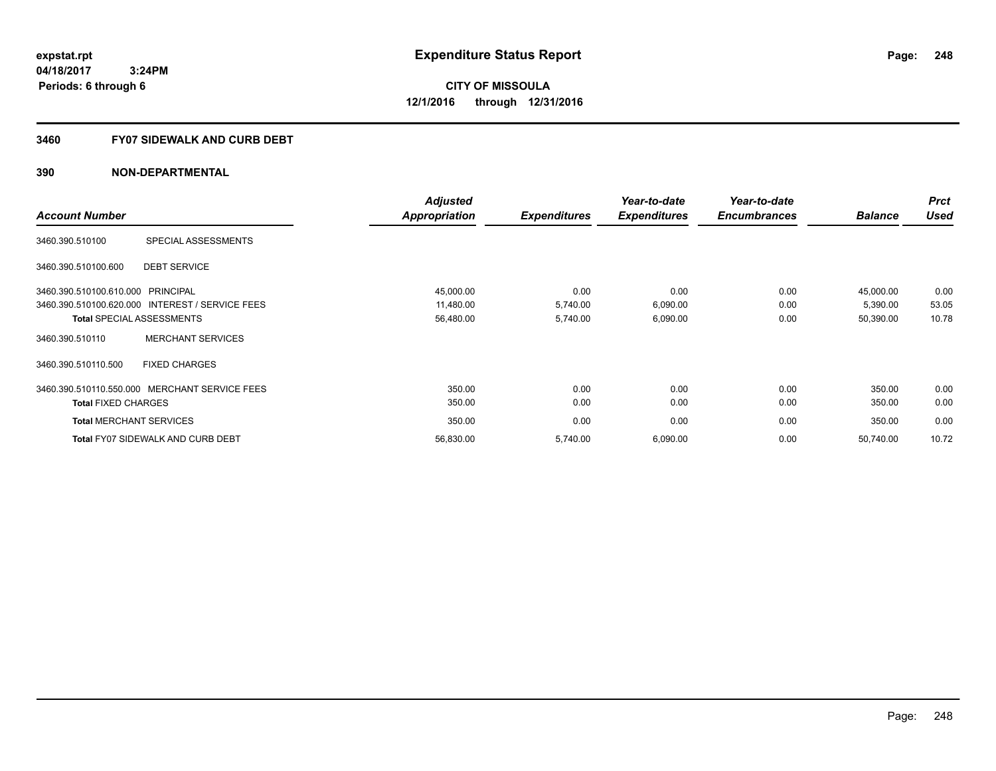## **3460 FY07 SIDEWALK AND CURB DEBT**

|                                   |                                                 | <b>Adjusted</b>      |                     | Year-to-date        | Year-to-date        |                | <b>Prct</b> |
|-----------------------------------|-------------------------------------------------|----------------------|---------------------|---------------------|---------------------|----------------|-------------|
| <b>Account Number</b>             |                                                 | <b>Appropriation</b> | <b>Expenditures</b> | <b>Expenditures</b> | <b>Encumbrances</b> | <b>Balance</b> | <b>Used</b> |
| 3460.390.510100                   | SPECIAL ASSESSMENTS                             |                      |                     |                     |                     |                |             |
| 3460.390.510100.600               | <b>DEBT SERVICE</b>                             |                      |                     |                     |                     |                |             |
| 3460.390.510100.610.000 PRINCIPAL |                                                 | 45,000.00            | 0.00                | 0.00                | 0.00                | 45,000.00      | 0.00        |
|                                   | 3460.390.510100.620.000 INTEREST / SERVICE FEES | 11,480.00            | 5,740.00            | 6,090.00            | 0.00                | 5,390.00       | 53.05       |
|                                   | <b>Total SPECIAL ASSESSMENTS</b>                | 56,480.00            | 5,740.00            | 6,090.00            | 0.00                | 50,390.00      | 10.78       |
| 3460.390.510110                   | <b>MERCHANT SERVICES</b>                        |                      |                     |                     |                     |                |             |
| 3460.390.510110.500               | <b>FIXED CHARGES</b>                            |                      |                     |                     |                     |                |             |
|                                   | 3460.390.510110.550.000 MERCHANT SERVICE FEES   | 350.00               | 0.00                | 0.00                | 0.00                | 350.00         | 0.00        |
| <b>Total FIXED CHARGES</b>        |                                                 | 350.00               | 0.00                | 0.00                | 0.00                | 350.00         | 0.00        |
| <b>Total MERCHANT SERVICES</b>    |                                                 | 350.00               | 0.00                | 0.00                | 0.00                | 350.00         | 0.00        |
|                                   | <b>Total FY07 SIDEWALK AND CURB DEBT</b>        | 56,830.00            | 5,740.00            | 6,090.00            | 0.00                | 50,740.00      | 10.72       |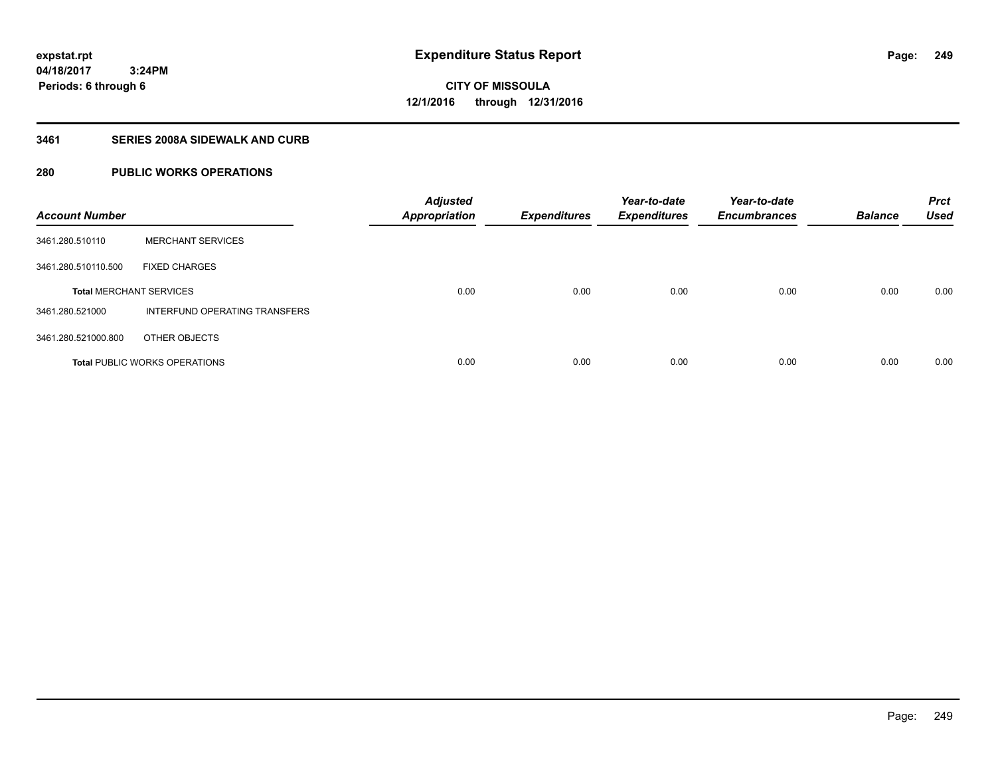**04/18/2017**

**Periods: 6 through 6**

**249**

 **3:24PM**

**CITY OF MISSOULA 12/1/2016 through 12/31/2016**

## **3461 SERIES 2008A SIDEWALK AND CURB**

# **280 PUBLIC WORKS OPERATIONS**

| <b>Account Number</b>          |                                      | <b>Adjusted</b><br><b>Appropriation</b> | <b>Expenditures</b> | Year-to-date<br><b>Expenditures</b> | Year-to-date<br><b>Encumbrances</b> | <b>Balance</b> | <b>Prct</b><br><b>Used</b> |
|--------------------------------|--------------------------------------|-----------------------------------------|---------------------|-------------------------------------|-------------------------------------|----------------|----------------------------|
| 3461.280.510110                | <b>MERCHANT SERVICES</b>             |                                         |                     |                                     |                                     |                |                            |
| 3461.280.510110.500            | <b>FIXED CHARGES</b>                 |                                         |                     |                                     |                                     |                |                            |
| <b>Total MERCHANT SERVICES</b> |                                      | 0.00                                    | 0.00                | 0.00                                | 0.00                                | 0.00           | 0.00                       |
| 3461.280.521000                | INTERFUND OPERATING TRANSFERS        |                                         |                     |                                     |                                     |                |                            |
| 3461.280.521000.800            | OTHER OBJECTS                        |                                         |                     |                                     |                                     |                |                            |
|                                | <b>Total PUBLIC WORKS OPERATIONS</b> | 0.00                                    | 0.00                | 0.00                                | 0.00                                | 0.00           | 0.00                       |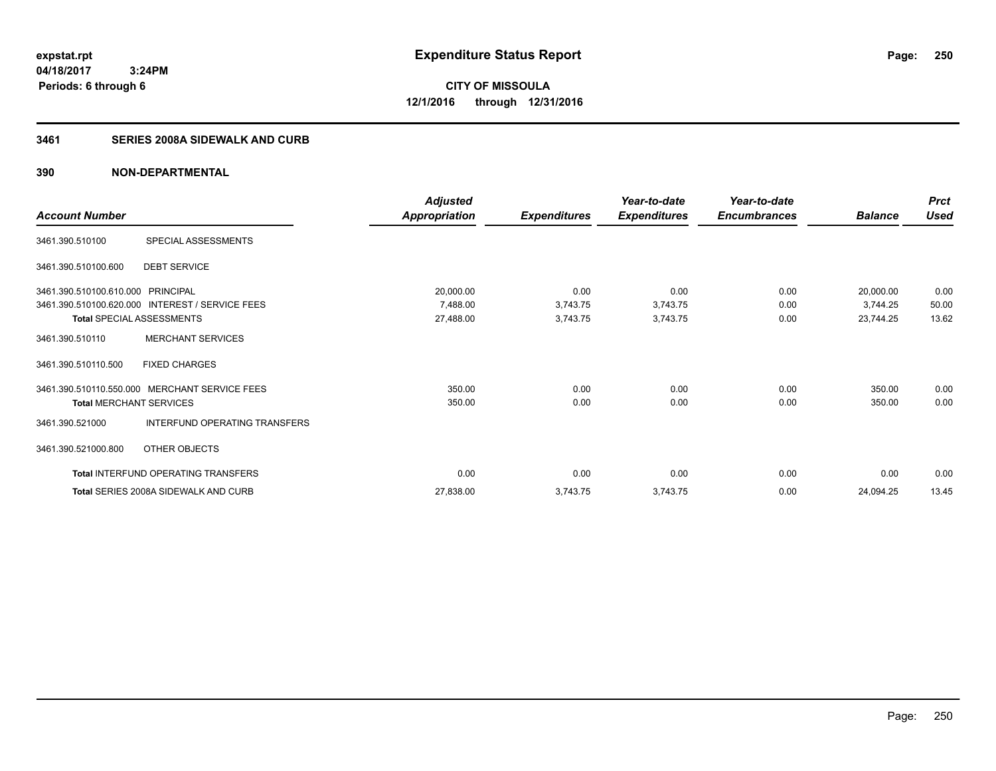**250**

**04/18/2017 3:24PM Periods: 6 through 6**

**CITY OF MISSOULA 12/1/2016 through 12/31/2016**

### **3461 SERIES 2008A SIDEWALK AND CURB**

|                                   |                                                 | <b>Adjusted</b>      |                     | Year-to-date        | Year-to-date        |                | <b>Prct</b> |
|-----------------------------------|-------------------------------------------------|----------------------|---------------------|---------------------|---------------------|----------------|-------------|
| <b>Account Number</b>             |                                                 | <b>Appropriation</b> | <b>Expenditures</b> | <b>Expenditures</b> | <b>Encumbrances</b> | <b>Balance</b> | <b>Used</b> |
| 3461.390.510100                   | SPECIAL ASSESSMENTS                             |                      |                     |                     |                     |                |             |
| 3461.390.510100.600               | <b>DEBT SERVICE</b>                             |                      |                     |                     |                     |                |             |
| 3461.390.510100.610.000 PRINCIPAL |                                                 | 20,000.00            | 0.00                | 0.00                | 0.00                | 20,000.00      | 0.00        |
|                                   | 3461.390.510100.620.000 INTEREST / SERVICE FEES | 7,488.00             | 3,743.75            | 3,743.75            | 0.00                | 3,744.25       | 50.00       |
| <b>Total SPECIAL ASSESSMENTS</b>  |                                                 | 27,488.00            | 3,743.75            | 3,743.75            | 0.00                | 23,744.25      | 13.62       |
| 3461.390.510110                   | <b>MERCHANT SERVICES</b>                        |                      |                     |                     |                     |                |             |
| 3461.390.510110.500               | <b>FIXED CHARGES</b>                            |                      |                     |                     |                     |                |             |
| 3461.390.510110.550.000           | <b>MERCHANT SERVICE FEES</b>                    | 350.00               | 0.00                | 0.00                | 0.00                | 350.00         | 0.00        |
| <b>Total MERCHANT SERVICES</b>    |                                                 | 350.00               | 0.00                | 0.00                | 0.00                | 350.00         | 0.00        |
| 3461.390.521000                   | INTERFUND OPERATING TRANSFERS                   |                      |                     |                     |                     |                |             |
| 3461.390.521000.800               | OTHER OBJECTS                                   |                      |                     |                     |                     |                |             |
|                                   | <b>Total INTERFUND OPERATING TRANSFERS</b>      | 0.00                 | 0.00                | 0.00                | 0.00                | 0.00           | 0.00        |
|                                   | Total SERIES 2008A SIDEWALK AND CURB            | 27,838.00            | 3,743.75            | 3,743.75            | 0.00                | 24,094.25      | 13.45       |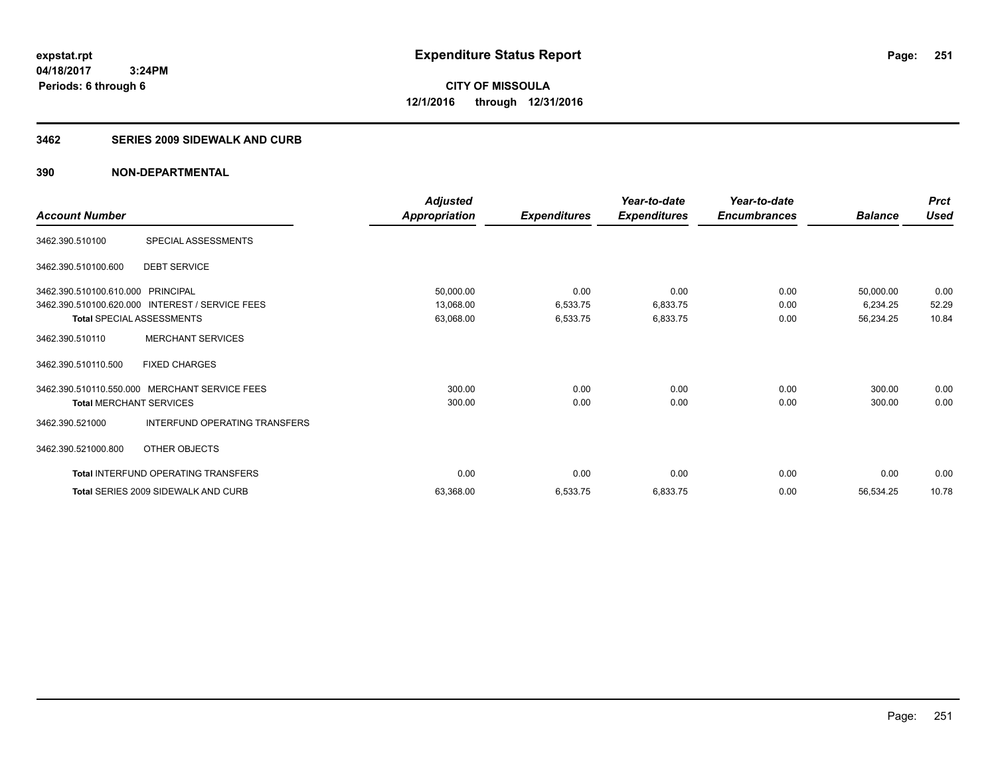**251**

**04/18/2017 3:24PM Periods: 6 through 6**

**CITY OF MISSOULA 12/1/2016 through 12/31/2016**

### **3462 SERIES 2009 SIDEWALK AND CURB**

|                                   |                                                 | <b>Adjusted</b>      |                     | Year-to-date        | Year-to-date        |                | <b>Prct</b> |
|-----------------------------------|-------------------------------------------------|----------------------|---------------------|---------------------|---------------------|----------------|-------------|
| <b>Account Number</b>             |                                                 | <b>Appropriation</b> | <b>Expenditures</b> | <b>Expenditures</b> | <b>Encumbrances</b> | <b>Balance</b> | <b>Used</b> |
| 3462.390.510100                   | SPECIAL ASSESSMENTS                             |                      |                     |                     |                     |                |             |
| 3462.390.510100.600               | <b>DEBT SERVICE</b>                             |                      |                     |                     |                     |                |             |
| 3462.390.510100.610.000 PRINCIPAL |                                                 | 50,000.00            | 0.00                | 0.00                | 0.00                | 50,000.00      | 0.00        |
|                                   | 3462.390.510100.620.000 INTEREST / SERVICE FEES | 13,068.00            | 6,533.75            | 6,833.75            | 0.00                | 6,234.25       | 52.29       |
| <b>Total SPECIAL ASSESSMENTS</b>  |                                                 | 63,068.00            | 6,533.75            | 6,833.75            | 0.00                | 56,234.25      | 10.84       |
| 3462.390.510110                   | <b>MERCHANT SERVICES</b>                        |                      |                     |                     |                     |                |             |
| 3462.390.510110.500               | <b>FIXED CHARGES</b>                            |                      |                     |                     |                     |                |             |
| 3462.390.510110.550.000           | <b>MERCHANT SERVICE FEES</b>                    | 300.00               | 0.00                | 0.00                | 0.00                | 300.00         | 0.00        |
| <b>Total MERCHANT SERVICES</b>    |                                                 | 300.00               | 0.00                | 0.00                | 0.00                | 300.00         | 0.00        |
| 3462.390.521000                   | INTERFUND OPERATING TRANSFERS                   |                      |                     |                     |                     |                |             |
| 3462.390.521000.800               | OTHER OBJECTS                                   |                      |                     |                     |                     |                |             |
|                                   | <b>Total INTERFUND OPERATING TRANSFERS</b>      | 0.00                 | 0.00                | 0.00                | 0.00                | 0.00           | 0.00        |
|                                   | Total SERIES 2009 SIDEWALK AND CURB             | 63,368.00            | 6,533.75            | 6,833.75            | 0.00                | 56,534.25      | 10.78       |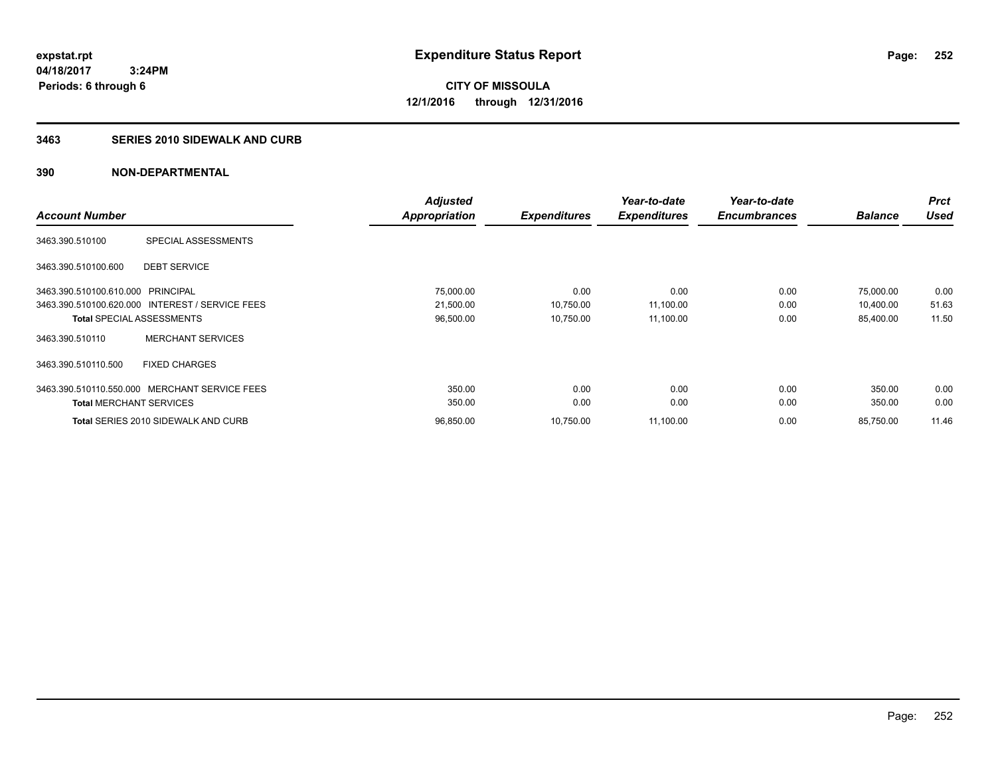**CITY OF MISSOULA 12/1/2016 through 12/31/2016**

### **3463 SERIES 2010 SIDEWALK AND CURB**

|                                                 | <b>Adjusted</b>      |                     | Year-to-date        | Year-to-date        |                | <b>Prct</b> |
|-------------------------------------------------|----------------------|---------------------|---------------------|---------------------|----------------|-------------|
| <b>Account Number</b>                           | <b>Appropriation</b> | <b>Expenditures</b> | <b>Expenditures</b> | <b>Encumbrances</b> | <b>Balance</b> | <b>Used</b> |
| SPECIAL ASSESSMENTS<br>3463.390.510100          |                      |                     |                     |                     |                |             |
| <b>DEBT SERVICE</b><br>3463.390.510100.600      |                      |                     |                     |                     |                |             |
| 3463.390.510100.610.000 PRINCIPAL               | 75,000.00            | 0.00                | 0.00                | 0.00                | 75,000.00      | 0.00        |
| 3463.390.510100.620.000 INTEREST / SERVICE FEES | 21,500.00            | 10,750.00           | 11,100.00           | 0.00                | 10,400.00      | 51.63       |
| <b>Total SPECIAL ASSESSMENTS</b>                | 96,500.00            | 10,750.00           | 11,100.00           | 0.00                | 85,400.00      | 11.50       |
| <b>MERCHANT SERVICES</b><br>3463.390.510110     |                      |                     |                     |                     |                |             |
| <b>FIXED CHARGES</b><br>3463.390.510110.500     |                      |                     |                     |                     |                |             |
| 3463.390.510110.550.000 MERCHANT SERVICE FEES   | 350.00               | 0.00                | 0.00                | 0.00                | 350.00         | 0.00        |
| <b>Total MERCHANT SERVICES</b>                  | 350.00               | 0.00                | 0.00                | 0.00                | 350.00         | 0.00        |
| <b>Total SERIES 2010 SIDEWALK AND CURB</b>      | 96.850.00            | 10.750.00           | 11,100.00           | 0.00                | 85,750.00      | 11.46       |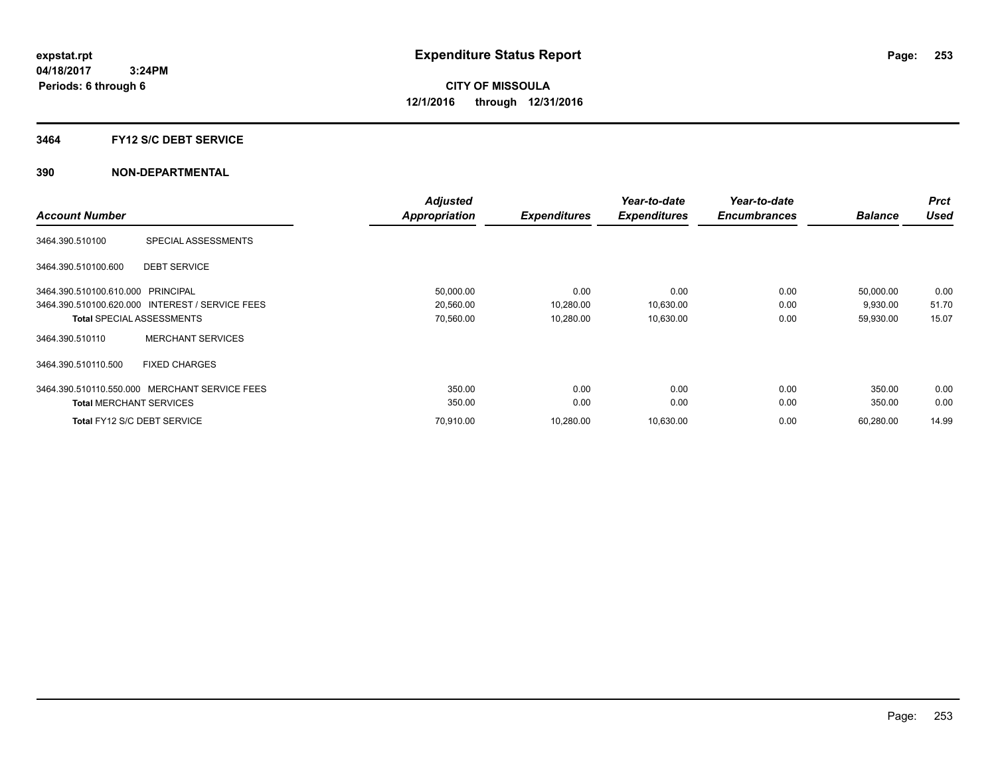# **3464 FY12 S/C DEBT SERVICE**

|                                   |                                                 | <b>Adjusted</b> |                     | Year-to-date        | Year-to-date        |                | <b>Prct</b> |
|-----------------------------------|-------------------------------------------------|-----------------|---------------------|---------------------|---------------------|----------------|-------------|
| <b>Account Number</b>             |                                                 | Appropriation   | <b>Expenditures</b> | <b>Expenditures</b> | <b>Encumbrances</b> | <b>Balance</b> | <b>Used</b> |
| 3464.390.510100                   | SPECIAL ASSESSMENTS                             |                 |                     |                     |                     |                |             |
| 3464.390.510100.600               | <b>DEBT SERVICE</b>                             |                 |                     |                     |                     |                |             |
| 3464.390.510100.610.000 PRINCIPAL |                                                 | 50,000.00       | 0.00                | 0.00                | 0.00                | 50,000.00      | 0.00        |
|                                   | 3464.390.510100.620.000 INTEREST / SERVICE FEES | 20,560.00       | 10,280.00           | 10,630.00           | 0.00                | 9,930.00       | 51.70       |
| <b>Total SPECIAL ASSESSMENTS</b>  |                                                 | 70,560.00       | 10,280.00           | 10,630.00           | 0.00                | 59,930.00      | 15.07       |
| 3464.390.510110                   | <b>MERCHANT SERVICES</b>                        |                 |                     |                     |                     |                |             |
| 3464.390.510110.500               | <b>FIXED CHARGES</b>                            |                 |                     |                     |                     |                |             |
| 3464.390.510110.550.000           | <b>MERCHANT SERVICE FEES</b>                    | 350.00          | 0.00                | 0.00                | 0.00                | 350.00         | 0.00        |
| <b>Total MERCHANT SERVICES</b>    |                                                 | 350.00          | 0.00                | 0.00                | 0.00                | 350.00         | 0.00        |
| Total FY12 S/C DEBT SERVICE       |                                                 | 70.910.00       | 10,280.00           | 10,630.00           | 0.00                | 60,280.00      | 14.99       |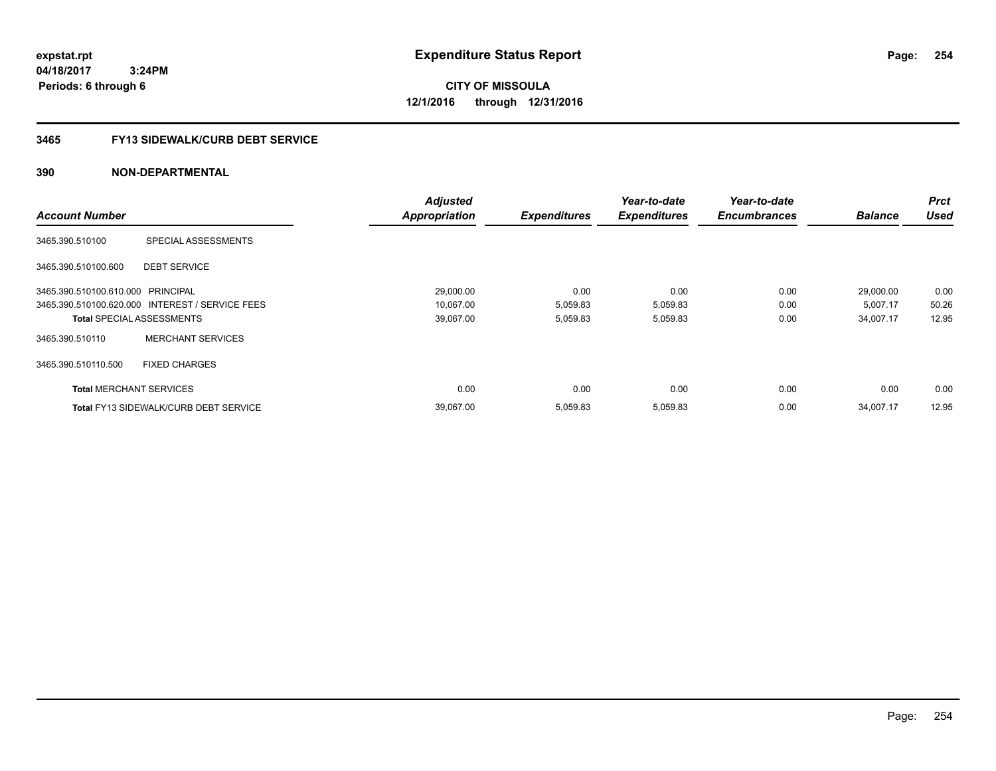**04/18/2017 3:24PM Periods: 6 through 6**

**CITY OF MISSOULA 12/1/2016 through 12/31/2016**

# **3465 FY13 SIDEWALK/CURB DEBT SERVICE**

|                                   |                                                 | <b>Adjusted</b>      |                     | Year-to-date        | Year-to-date        |                | <b>Prct</b> |
|-----------------------------------|-------------------------------------------------|----------------------|---------------------|---------------------|---------------------|----------------|-------------|
| <b>Account Number</b>             |                                                 | <b>Appropriation</b> | <b>Expenditures</b> | <b>Expenditures</b> | <b>Encumbrances</b> | <b>Balance</b> | <b>Used</b> |
| 3465.390.510100                   | SPECIAL ASSESSMENTS                             |                      |                     |                     |                     |                |             |
| 3465.390.510100.600               | <b>DEBT SERVICE</b>                             |                      |                     |                     |                     |                |             |
| 3465.390.510100.610.000 PRINCIPAL |                                                 | 29,000.00            | 0.00                | 0.00                | 0.00                | 29,000.00      | 0.00        |
|                                   | 3465.390.510100.620.000 INTEREST / SERVICE FEES | 10,067.00            | 5,059.83            | 5,059.83            | 0.00                | 5,007.17       | 50.26       |
| <b>Total SPECIAL ASSESSMENTS</b>  |                                                 | 39,067.00            | 5,059.83            | 5,059.83            | 0.00                | 34,007.17      | 12.95       |
| 3465.390.510110                   | <b>MERCHANT SERVICES</b>                        |                      |                     |                     |                     |                |             |
| 3465.390.510110.500               | <b>FIXED CHARGES</b>                            |                      |                     |                     |                     |                |             |
| <b>Total MERCHANT SERVICES</b>    |                                                 | 0.00                 | 0.00                | 0.00                | 0.00                | 0.00           | 0.00        |
|                                   | <b>Total FY13 SIDEWALK/CURB DEBT SERVICE</b>    | 39.067.00            | 5.059.83            | 5.059.83            | 0.00                | 34.007.17      | 12.95       |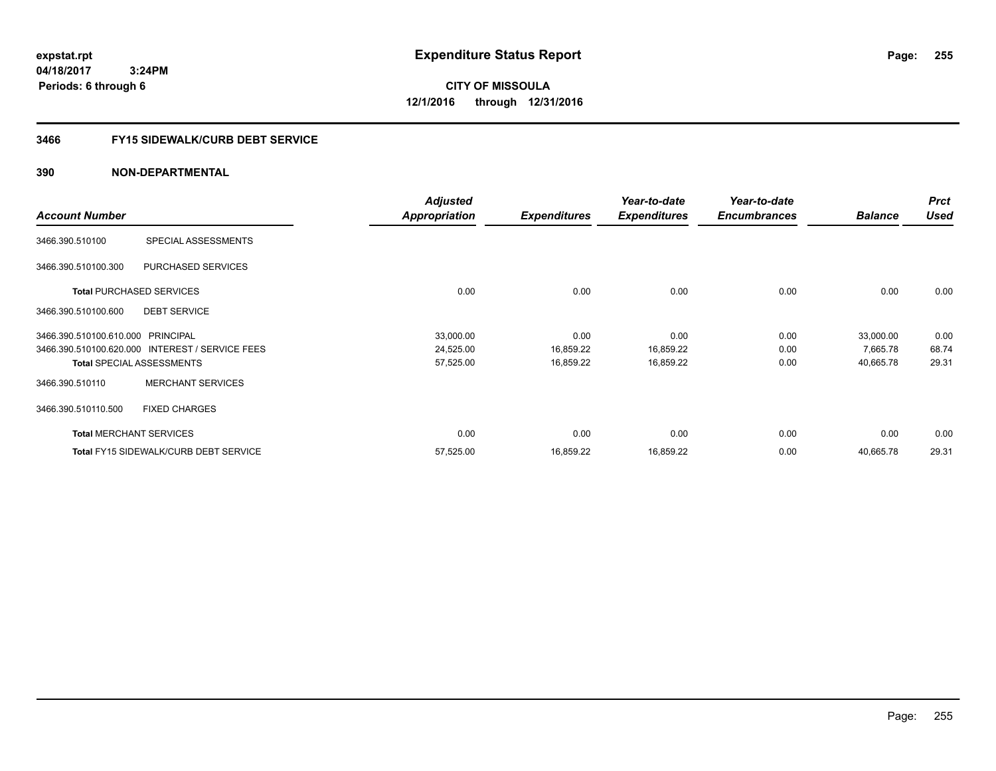**04/18/2017 3:24PM Periods: 6 through 6**

# **CITY OF MISSOULA 12/1/2016 through 12/31/2016**

# **3466 FY15 SIDEWALK/CURB DEBT SERVICE**

|                                   |                                                 | <b>Adjusted</b>      |                     | Year-to-date        | Year-to-date        |                | <b>Prct</b> |
|-----------------------------------|-------------------------------------------------|----------------------|---------------------|---------------------|---------------------|----------------|-------------|
| <b>Account Number</b>             |                                                 | <b>Appropriation</b> | <b>Expenditures</b> | <b>Expenditures</b> | <b>Encumbrances</b> | <b>Balance</b> | Used        |
| 3466.390.510100                   | SPECIAL ASSESSMENTS                             |                      |                     |                     |                     |                |             |
| 3466.390.510100.300               | PURCHASED SERVICES                              |                      |                     |                     |                     |                |             |
|                                   | <b>Total PURCHASED SERVICES</b>                 | 0.00                 | 0.00                | 0.00                | 0.00                | 0.00           | 0.00        |
| 3466.390.510100.600               | <b>DEBT SERVICE</b>                             |                      |                     |                     |                     |                |             |
| 3466.390.510100.610.000 PRINCIPAL |                                                 | 33,000.00            | 0.00                | 0.00                | 0.00                | 33,000.00      | 0.00        |
|                                   | 3466.390.510100.620.000 INTEREST / SERVICE FEES | 24,525.00            | 16,859.22           | 16,859.22           | 0.00                | 7,665.78       | 68.74       |
|                                   | <b>Total SPECIAL ASSESSMENTS</b>                | 57,525.00            | 16,859.22           | 16,859.22           | 0.00                | 40,665.78      | 29.31       |
| 3466.390.510110                   | <b>MERCHANT SERVICES</b>                        |                      |                     |                     |                     |                |             |
| 3466.390.510110.500               | <b>FIXED CHARGES</b>                            |                      |                     |                     |                     |                |             |
|                                   | <b>Total MERCHANT SERVICES</b>                  | 0.00                 | 0.00                | 0.00                | 0.00                | 0.00           | 0.00        |
|                                   | <b>Total FY15 SIDEWALK/CURB DEBT SERVICE</b>    | 57,525.00            | 16,859.22           | 16,859.22           | 0.00                | 40,665.78      | 29.31       |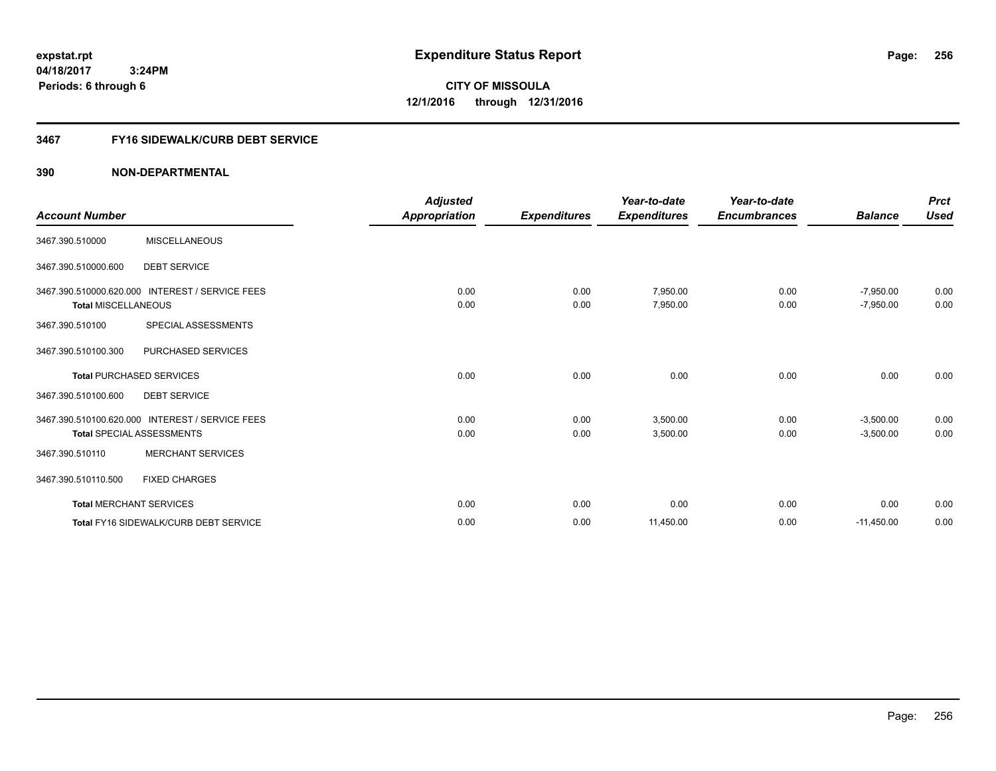**04/18/2017 3:24PM Periods: 6 through 6**

**CITY OF MISSOULA 12/1/2016 through 12/31/2016**

# **3467 FY16 SIDEWALK/CURB DEBT SERVICE**

| <b>Account Number</b>          |                                                                                     | <b>Adjusted</b><br>Appropriation | <b>Expenditures</b> | Year-to-date<br><b>Expenditures</b> | Year-to-date<br><b>Encumbrances</b> | <b>Balance</b>             | <b>Prct</b><br><b>Used</b> |
|--------------------------------|-------------------------------------------------------------------------------------|----------------------------------|---------------------|-------------------------------------|-------------------------------------|----------------------------|----------------------------|
| 3467.390.510000                | <b>MISCELLANEOUS</b>                                                                |                                  |                     |                                     |                                     |                            |                            |
| 3467.390.510000.600            | <b>DEBT SERVICE</b>                                                                 |                                  |                     |                                     |                                     |                            |                            |
| <b>Total MISCELLANEOUS</b>     | 3467.390.510000.620.000 INTEREST / SERVICE FEES                                     | 0.00<br>0.00                     | 0.00<br>0.00        | 7,950.00<br>7,950.00                | 0.00<br>0.00                        | $-7,950.00$<br>$-7,950.00$ | 0.00<br>0.00               |
| 3467.390.510100                | SPECIAL ASSESSMENTS                                                                 |                                  |                     |                                     |                                     |                            |                            |
| 3467.390.510100.300            | PURCHASED SERVICES                                                                  |                                  |                     |                                     |                                     |                            |                            |
|                                | <b>Total PURCHASED SERVICES</b>                                                     | 0.00                             | 0.00                | 0.00                                | 0.00                                | 0.00                       | 0.00                       |
| 3467.390.510100.600            | <b>DEBT SERVICE</b>                                                                 |                                  |                     |                                     |                                     |                            |                            |
|                                | 3467.390.510100.620.000 INTEREST / SERVICE FEES<br><b>Total SPECIAL ASSESSMENTS</b> | 0.00<br>0.00                     | 0.00<br>0.00        | 3,500.00<br>3,500.00                | 0.00<br>0.00                        | $-3,500.00$<br>$-3,500.00$ | 0.00<br>0.00               |
| 3467.390.510110                | <b>MERCHANT SERVICES</b>                                                            |                                  |                     |                                     |                                     |                            |                            |
| 3467.390.510110.500            | <b>FIXED CHARGES</b>                                                                |                                  |                     |                                     |                                     |                            |                            |
| <b>Total MERCHANT SERVICES</b> |                                                                                     | 0.00                             | 0.00                | 0.00                                | 0.00                                | 0.00                       | 0.00                       |
|                                | Total FY16 SIDEWALK/CURB DEBT SERVICE                                               | 0.00                             | 0.00                | 11,450.00                           | 0.00                                | $-11,450.00$               | 0.00                       |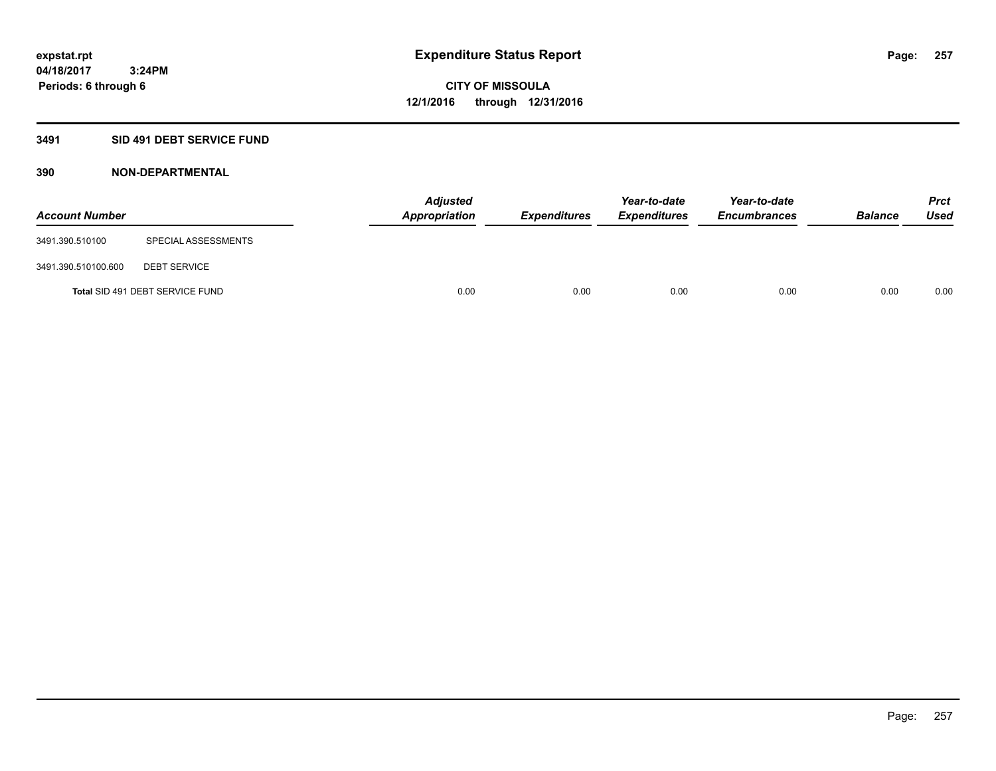# **3491 SID 491 DEBT SERVICE FUND**

| <b>Account Number</b> |                                 | <b>Adjusted</b><br><b>Appropriation</b> | <b>Expenditures</b> | Year-to-date<br><b>Expenditures</b> | Year-to-date<br><b>Encumbrances</b> | <b>Balance</b> | <b>Prct</b><br><b>Used</b> |
|-----------------------|---------------------------------|-----------------------------------------|---------------------|-------------------------------------|-------------------------------------|----------------|----------------------------|
| 3491.390.510100       | SPECIAL ASSESSMENTS             |                                         |                     |                                     |                                     |                |                            |
| 3491.390.510100.600   | <b>DEBT SERVICE</b>             |                                         |                     |                                     |                                     |                |                            |
|                       | Total SID 491 DEBT SERVICE FUND | 0.00                                    | 0.00                | 0.00                                | 0.00                                | 0.00           | 0.00                       |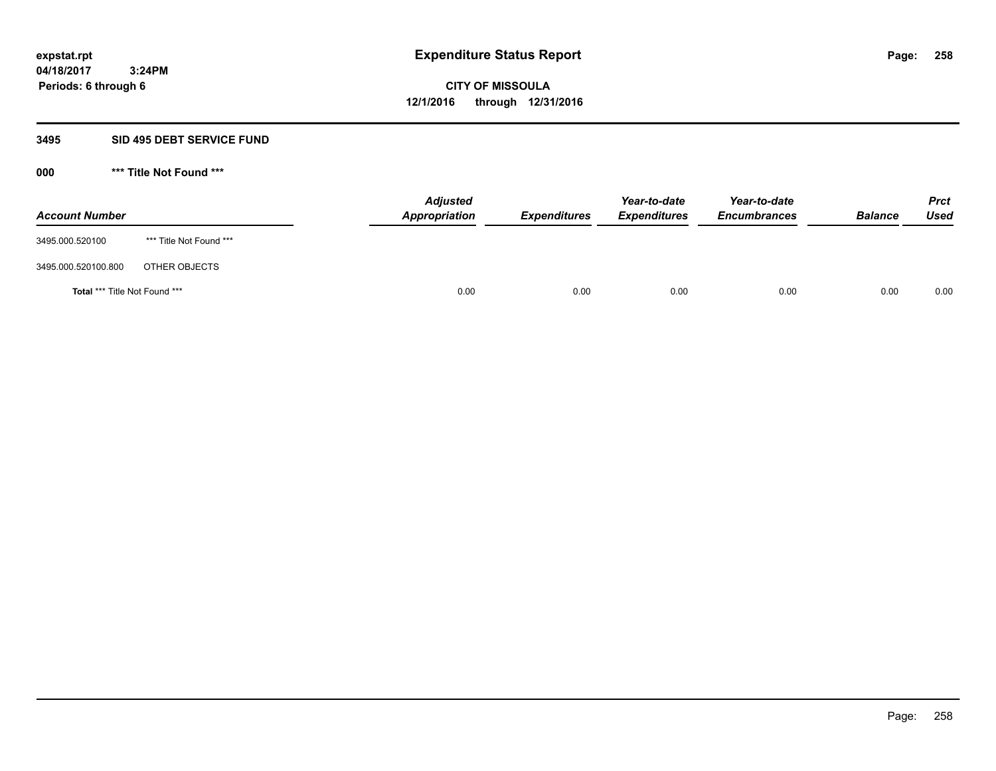# **3495 SID 495 DEBT SERVICE FUND**

| <b>Account Number</b>         |                         | <b>Adjusted</b><br>Appropriation | <b>Expenditures</b> | Year-to-date<br><b>Expenditures</b> | Year-to-date<br><b>Encumbrances</b> | <b>Balance</b> | <b>Prct</b><br>Used |
|-------------------------------|-------------------------|----------------------------------|---------------------|-------------------------------------|-------------------------------------|----------------|---------------------|
| 3495.000.520100               | *** Title Not Found *** |                                  |                     |                                     |                                     |                |                     |
| 3495.000.520100.800           | OTHER OBJECTS           |                                  |                     |                                     |                                     |                |                     |
| Total *** Title Not Found *** |                         | 0.00                             | 0.00                | 0.00                                | 0.00                                | 0.00           | 0.00                |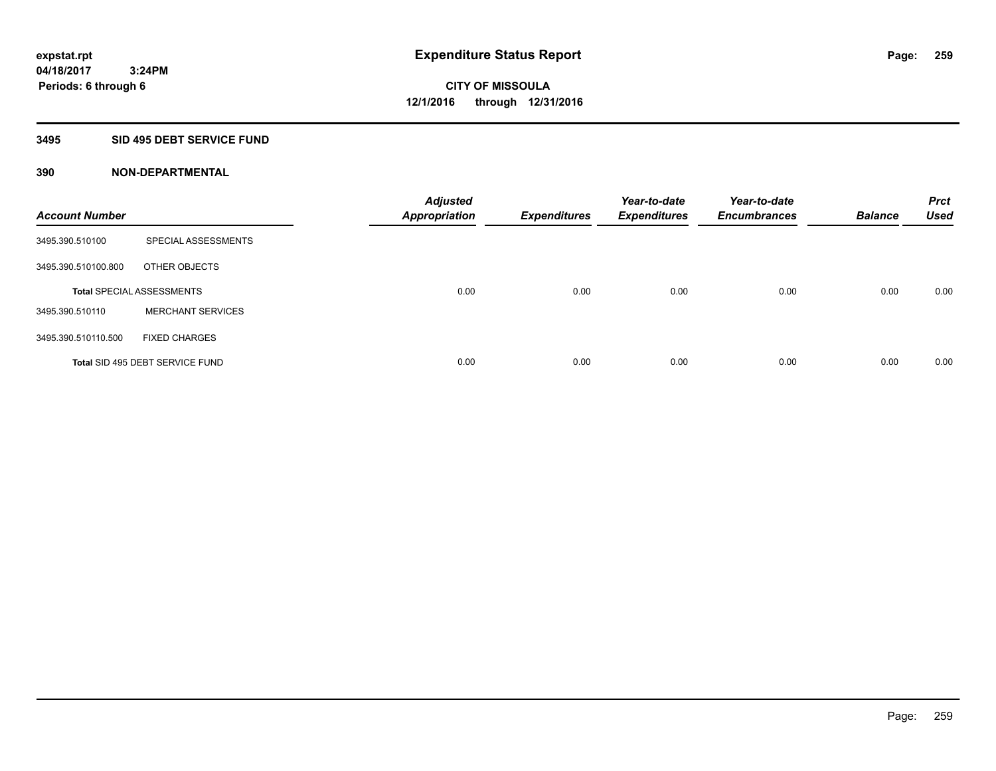# **3495 SID 495 DEBT SERVICE FUND**

| <b>Account Number</b> |                                  | <b>Adjusted</b><br><b>Appropriation</b> | <b>Expenditures</b> | Year-to-date<br><b>Expenditures</b> | Year-to-date<br><b>Encumbrances</b> | <b>Balance</b> | <b>Prct</b><br><b>Used</b> |
|-----------------------|----------------------------------|-----------------------------------------|---------------------|-------------------------------------|-------------------------------------|----------------|----------------------------|
| 3495.390.510100       | SPECIAL ASSESSMENTS              |                                         |                     |                                     |                                     |                |                            |
| 3495.390.510100.800   | OTHER OBJECTS                    |                                         |                     |                                     |                                     |                |                            |
|                       | <b>Total SPECIAL ASSESSMENTS</b> | 0.00                                    | 0.00                | 0.00                                | 0.00                                | 0.00           | 0.00                       |
| 3495.390.510110       | <b>MERCHANT SERVICES</b>         |                                         |                     |                                     |                                     |                |                            |
| 3495.390.510110.500   | <b>FIXED CHARGES</b>             |                                         |                     |                                     |                                     |                |                            |
|                       | Total SID 495 DEBT SERVICE FUND  | 0.00                                    | 0.00                | 0.00                                | 0.00                                | 0.00           | 0.00                       |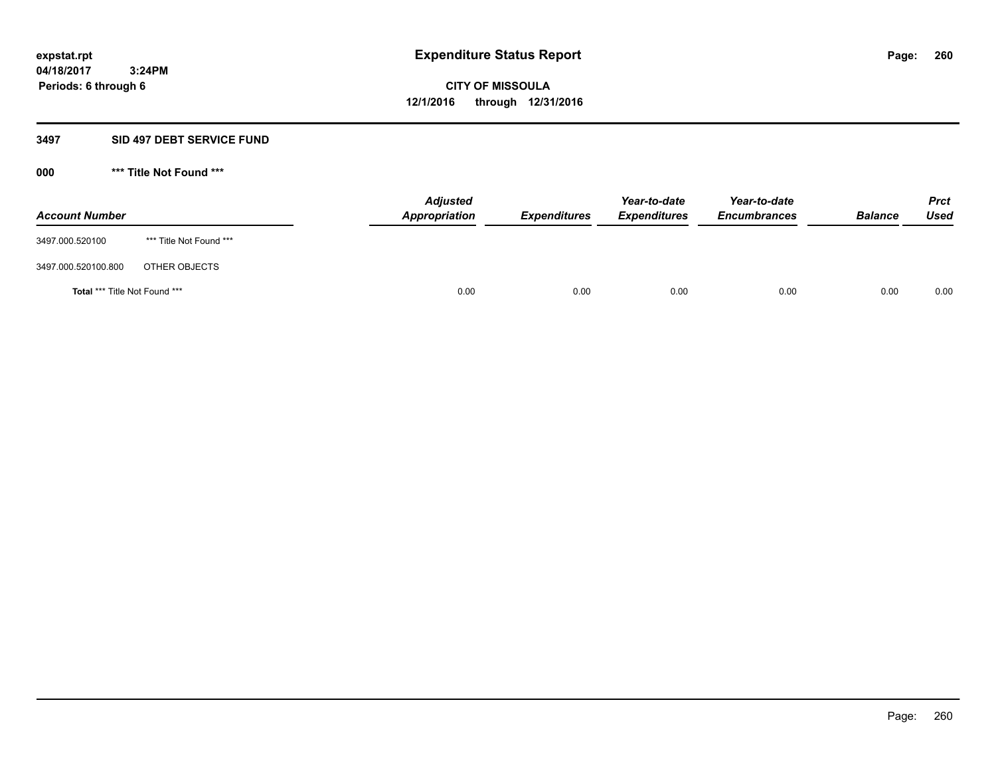### **3497 SID 497 DEBT SERVICE FUND**

| <b>Account Number</b>                |                         | <b>Adjusted</b><br>Appropriation | <b>Expenditures</b> | Year-to-date<br><b>Expenditures</b> | Year-to-date<br><b>Encumbrances</b> | <b>Balance</b> | <b>Prct</b><br><b>Used</b> |
|--------------------------------------|-------------------------|----------------------------------|---------------------|-------------------------------------|-------------------------------------|----------------|----------------------------|
| 3497.000.520100                      | *** Title Not Found *** |                                  |                     |                                     |                                     |                |                            |
| 3497.000.520100.800                  | OTHER OBJECTS           |                                  |                     |                                     |                                     |                |                            |
| <b>Total *** Title Not Found ***</b> |                         | 0.00                             | 0.00                | 0.00                                | 0.00                                | 0.00           | 0.00                       |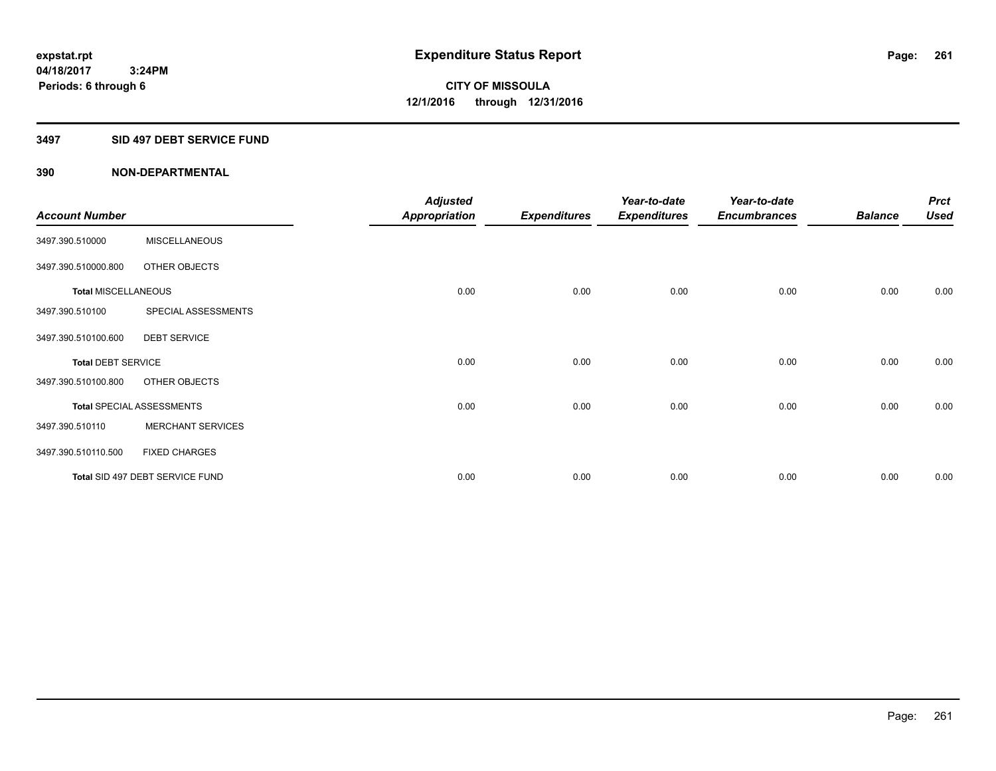# **3497 SID 497 DEBT SERVICE FUND**

|                            |                                  | <b>Adjusted</b>      |                     | Year-to-date        | Year-to-date        |                | <b>Prct</b> |
|----------------------------|----------------------------------|----------------------|---------------------|---------------------|---------------------|----------------|-------------|
| <b>Account Number</b>      |                                  | <b>Appropriation</b> | <b>Expenditures</b> | <b>Expenditures</b> | <b>Encumbrances</b> | <b>Balance</b> | <b>Used</b> |
| 3497.390.510000            | <b>MISCELLANEOUS</b>             |                      |                     |                     |                     |                |             |
| 3497.390.510000.800        | OTHER OBJECTS                    |                      |                     |                     |                     |                |             |
| <b>Total MISCELLANEOUS</b> |                                  | 0.00                 | 0.00                | 0.00                | 0.00                | 0.00           | 0.00        |
| 3497.390.510100            | SPECIAL ASSESSMENTS              |                      |                     |                     |                     |                |             |
| 3497.390.510100.600        | <b>DEBT SERVICE</b>              |                      |                     |                     |                     |                |             |
| <b>Total DEBT SERVICE</b>  |                                  | 0.00                 | 0.00                | 0.00                | 0.00                | 0.00           | 0.00        |
| 3497.390.510100.800        | OTHER OBJECTS                    |                      |                     |                     |                     |                |             |
|                            | <b>Total SPECIAL ASSESSMENTS</b> | 0.00                 | 0.00                | 0.00                | 0.00                | 0.00           | 0.00        |
| 3497.390.510110            | <b>MERCHANT SERVICES</b>         |                      |                     |                     |                     |                |             |
| 3497.390.510110.500        | <b>FIXED CHARGES</b>             |                      |                     |                     |                     |                |             |
|                            | Total SID 497 DEBT SERVICE FUND  | 0.00                 | 0.00                | 0.00                | 0.00                | 0.00           | 0.00        |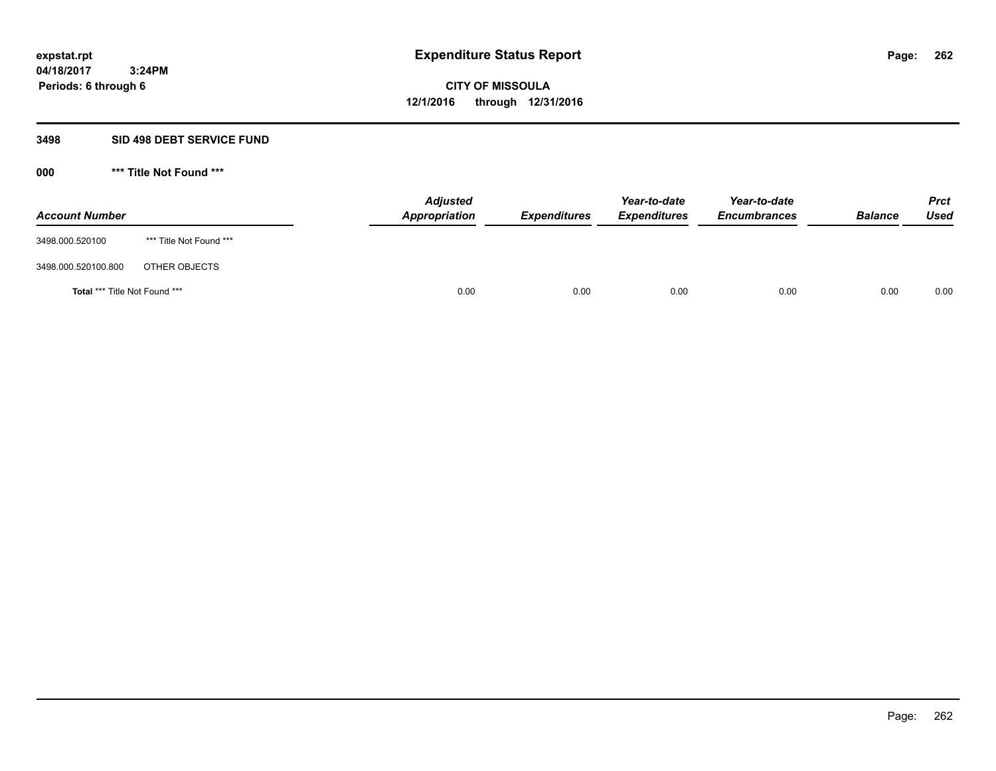# **3498 SID 498 DEBT SERVICE FUND**

| <b>Account Number</b>                |                         | <b>Adjusted</b><br><b>Appropriation</b> | <b>Expenditures</b> | Year-to-date<br><b>Expenditures</b> | Year-to-date<br><b>Encumbrances</b> | <b>Balance</b> | <b>Prct</b><br><b>Used</b> |
|--------------------------------------|-------------------------|-----------------------------------------|---------------------|-------------------------------------|-------------------------------------|----------------|----------------------------|
| 3498.000.520100                      | *** Title Not Found *** |                                         |                     |                                     |                                     |                |                            |
| 3498.000.520100.800                  | OTHER OBJECTS           |                                         |                     |                                     |                                     |                |                            |
| <b>Total *** Title Not Found ***</b> |                         | 0.00                                    | 0.00                | 0.00                                | 0.00                                | 0.00           | 0.00                       |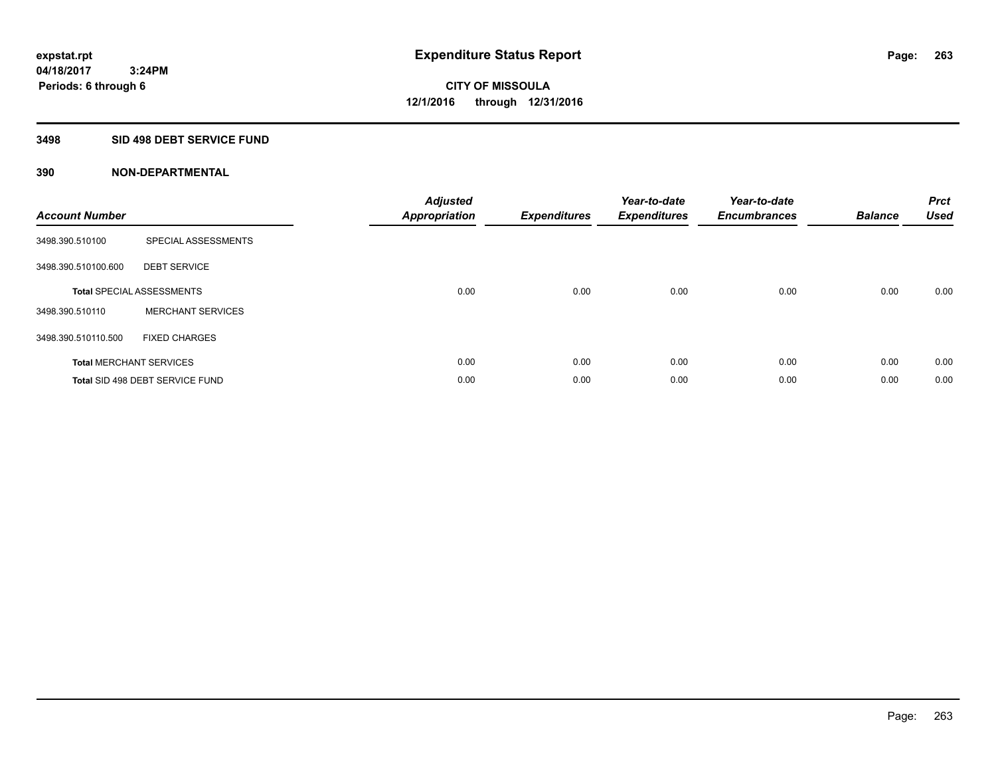# **3498 SID 498 DEBT SERVICE FUND**

| <b>Account Number</b> |                                  | <b>Adjusted</b><br><b>Appropriation</b> | <b>Expenditures</b> | Year-to-date<br><b>Expenditures</b> | Year-to-date<br><b>Encumbrances</b> | <b>Balance</b> | <b>Prct</b><br><b>Used</b> |
|-----------------------|----------------------------------|-----------------------------------------|---------------------|-------------------------------------|-------------------------------------|----------------|----------------------------|
| 3498.390.510100       | SPECIAL ASSESSMENTS              |                                         |                     |                                     |                                     |                |                            |
| 3498.390.510100.600   | <b>DEBT SERVICE</b>              |                                         |                     |                                     |                                     |                |                            |
|                       | <b>Total SPECIAL ASSESSMENTS</b> | 0.00                                    | 0.00                | 0.00                                | 0.00                                | 0.00           | 0.00                       |
| 3498.390.510110       | <b>MERCHANT SERVICES</b>         |                                         |                     |                                     |                                     |                |                            |
| 3498.390.510110.500   | <b>FIXED CHARGES</b>             |                                         |                     |                                     |                                     |                |                            |
|                       | <b>Total MERCHANT SERVICES</b>   | 0.00                                    | 0.00                | 0.00                                | 0.00                                | 0.00           | 0.00                       |
|                       | Total SID 498 DEBT SERVICE FUND  | 0.00                                    | 0.00                | 0.00                                | 0.00                                | 0.00           | 0.00                       |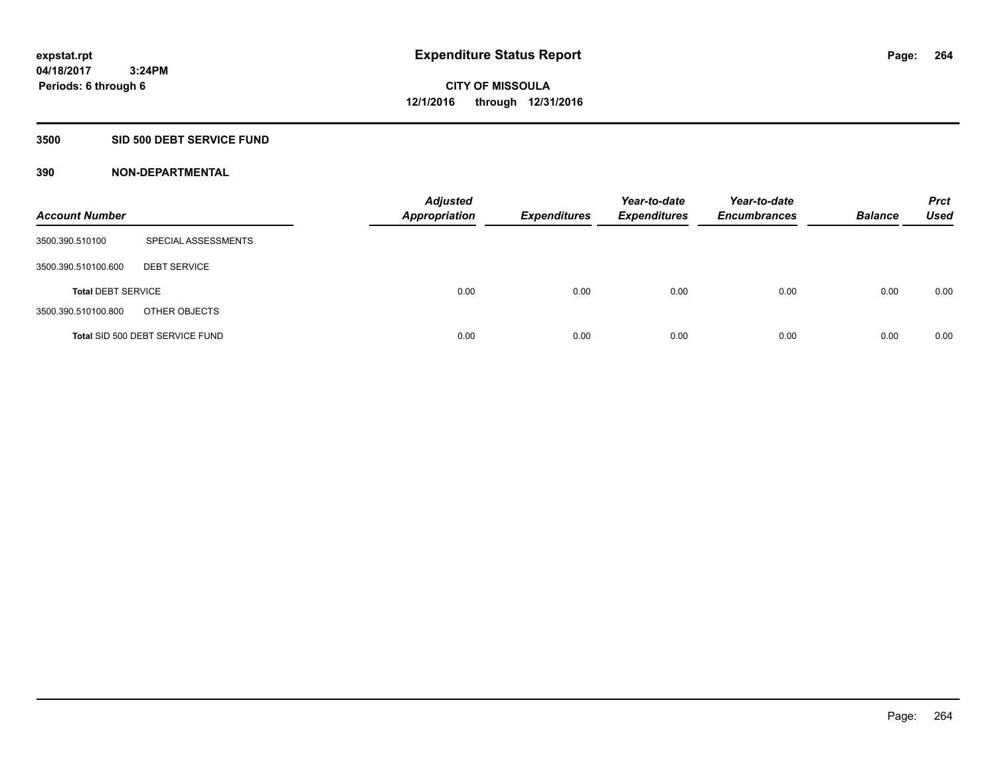# **3500 SID 500 DEBT SERVICE FUND**

| <b>Account Number</b>     |                                 | <b>Adjusted</b><br><b>Appropriation</b> | <b>Expenditures</b> | Year-to-date<br><b>Expenditures</b> | Year-to-date<br><b>Encumbrances</b> | <b>Balance</b> | <b>Prct</b><br>Used |
|---------------------------|---------------------------------|-----------------------------------------|---------------------|-------------------------------------|-------------------------------------|----------------|---------------------|
| 3500.390.510100           | SPECIAL ASSESSMENTS             |                                         |                     |                                     |                                     |                |                     |
| 3500.390.510100.600       | <b>DEBT SERVICE</b>             |                                         |                     |                                     |                                     |                |                     |
| <b>Total DEBT SERVICE</b> |                                 | 0.00                                    | 0.00                | 0.00                                | 0.00                                | 0.00           | 0.00                |
| 3500.390.510100.800       | OTHER OBJECTS                   |                                         |                     |                                     |                                     |                |                     |
|                           | Total SID 500 DEBT SERVICE FUND | 0.00                                    | 0.00                | 0.00                                | 0.00                                | 0.00           | 0.00                |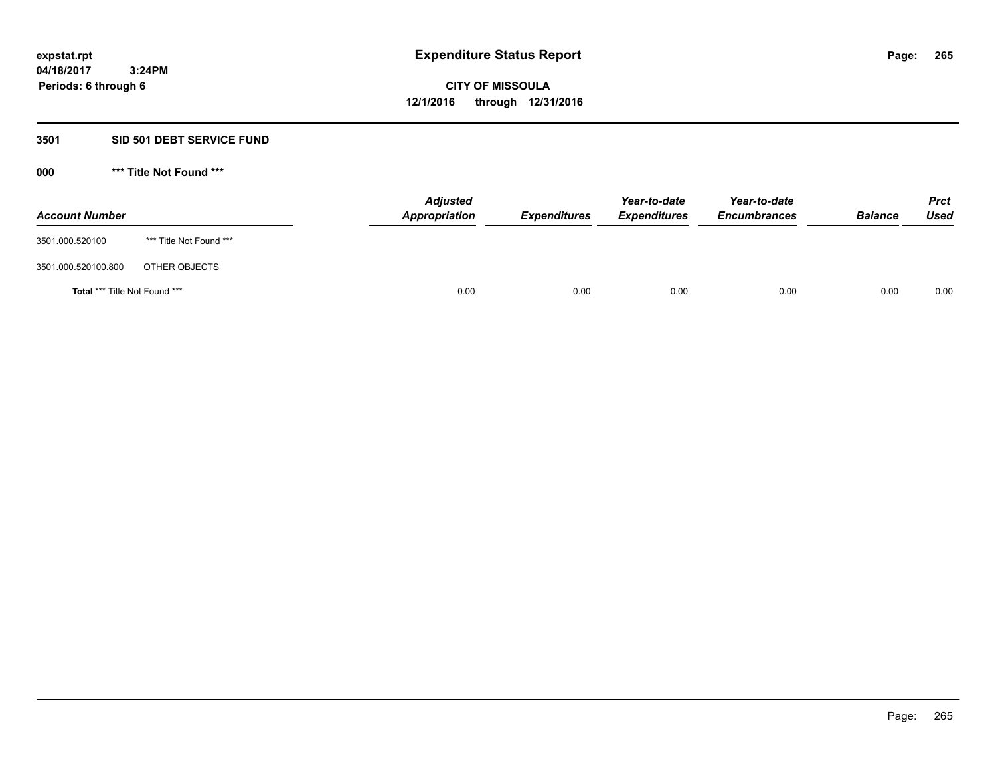### **3501 SID 501 DEBT SERVICE FUND**

| <b>Account Number</b>                |                         | <b>Adjusted</b><br>Appropriation | <b>Expenditures</b> | Year-to-date<br><b>Expenditures</b> | Year-to-date<br><b>Encumbrances</b> | <b>Balance</b> | <b>Prct</b><br><b>Used</b> |
|--------------------------------------|-------------------------|----------------------------------|---------------------|-------------------------------------|-------------------------------------|----------------|----------------------------|
| 3501.000.520100                      | *** Title Not Found *** |                                  |                     |                                     |                                     |                |                            |
| 3501.000.520100.800                  | OTHER OBJECTS           |                                  |                     |                                     |                                     |                |                            |
| <b>Total *** Title Not Found ***</b> |                         | 0.00                             | 0.00                | 0.00                                | 0.00                                | 0.00           | 0.00                       |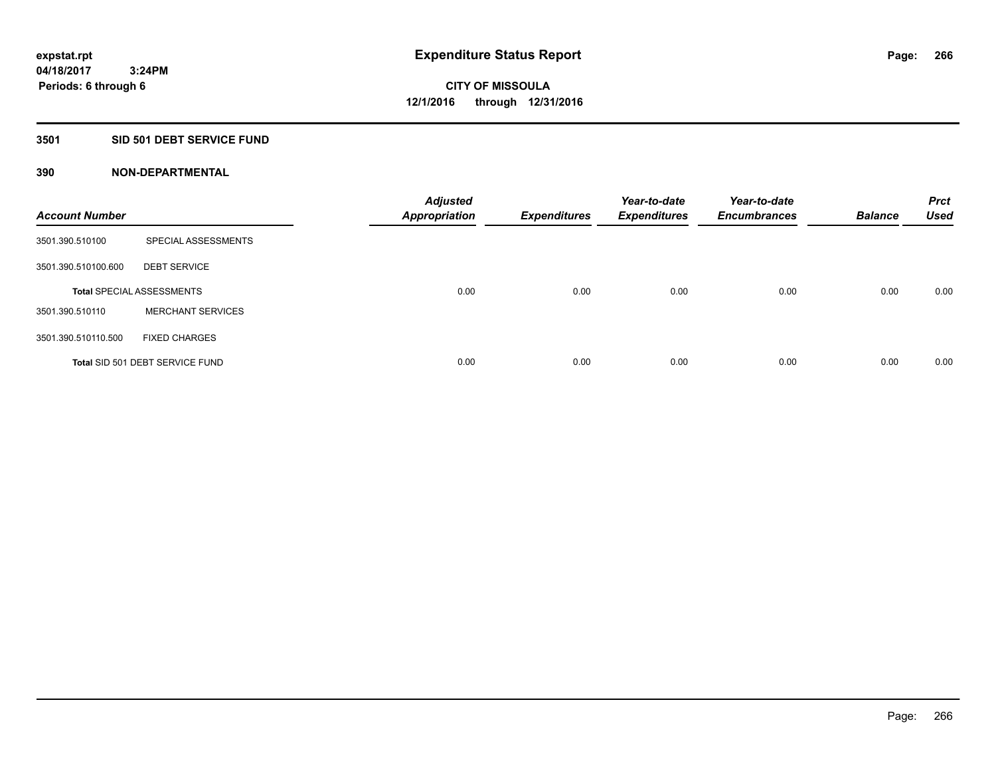# **3501 SID 501 DEBT SERVICE FUND**

| <b>Account Number</b> |                                  | <b>Adjusted</b><br><b>Appropriation</b> | <b>Expenditures</b> | Year-to-date<br><b>Expenditures</b> | Year-to-date<br><b>Encumbrances</b> | <b>Balance</b> | <b>Prct</b><br><b>Used</b> |
|-----------------------|----------------------------------|-----------------------------------------|---------------------|-------------------------------------|-------------------------------------|----------------|----------------------------|
| 3501.390.510100       | SPECIAL ASSESSMENTS              |                                         |                     |                                     |                                     |                |                            |
| 3501.390.510100.600   | <b>DEBT SERVICE</b>              |                                         |                     |                                     |                                     |                |                            |
|                       | <b>Total SPECIAL ASSESSMENTS</b> | 0.00                                    | 0.00                | 0.00                                | 0.00                                | 0.00           | 0.00                       |
| 3501.390.510110       | <b>MERCHANT SERVICES</b>         |                                         |                     |                                     |                                     |                |                            |
| 3501.390.510110.500   | <b>FIXED CHARGES</b>             |                                         |                     |                                     |                                     |                |                            |
|                       | Total SID 501 DEBT SERVICE FUND  | 0.00                                    | 0.00                | 0.00                                | 0.00                                | 0.00           | 0.00                       |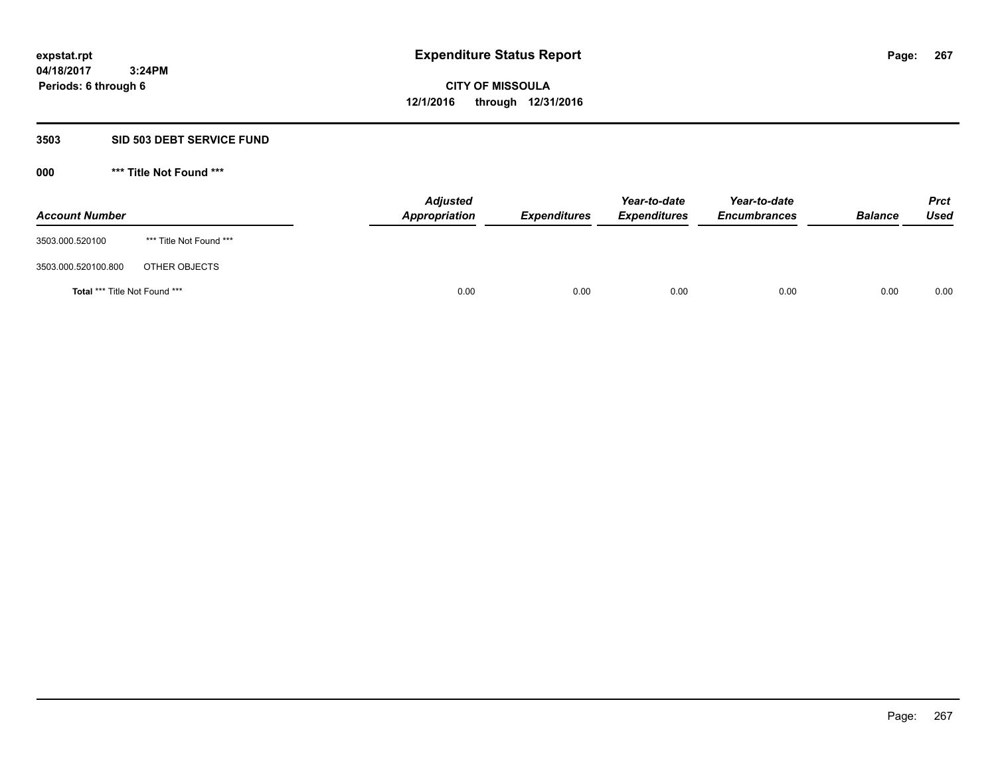### **3503 SID 503 DEBT SERVICE FUND**

| <b>Account Number</b>         |                         | <b>Adjusted</b><br>Appropriation | <b>Expenditures</b> | Year-to-date<br><b>Expenditures</b> | Year-to-date<br><b>Encumbrances</b> | <b>Balance</b> | <b>Prct</b><br>Used |
|-------------------------------|-------------------------|----------------------------------|---------------------|-------------------------------------|-------------------------------------|----------------|---------------------|
| 3503.000.520100               | *** Title Not Found *** |                                  |                     |                                     |                                     |                |                     |
| 3503.000.520100.800           | OTHER OBJECTS           |                                  |                     |                                     |                                     |                |                     |
| Total *** Title Not Found *** |                         | 0.00                             | 0.00                | 0.00                                | 0.00                                | 0.00           | 0.00                |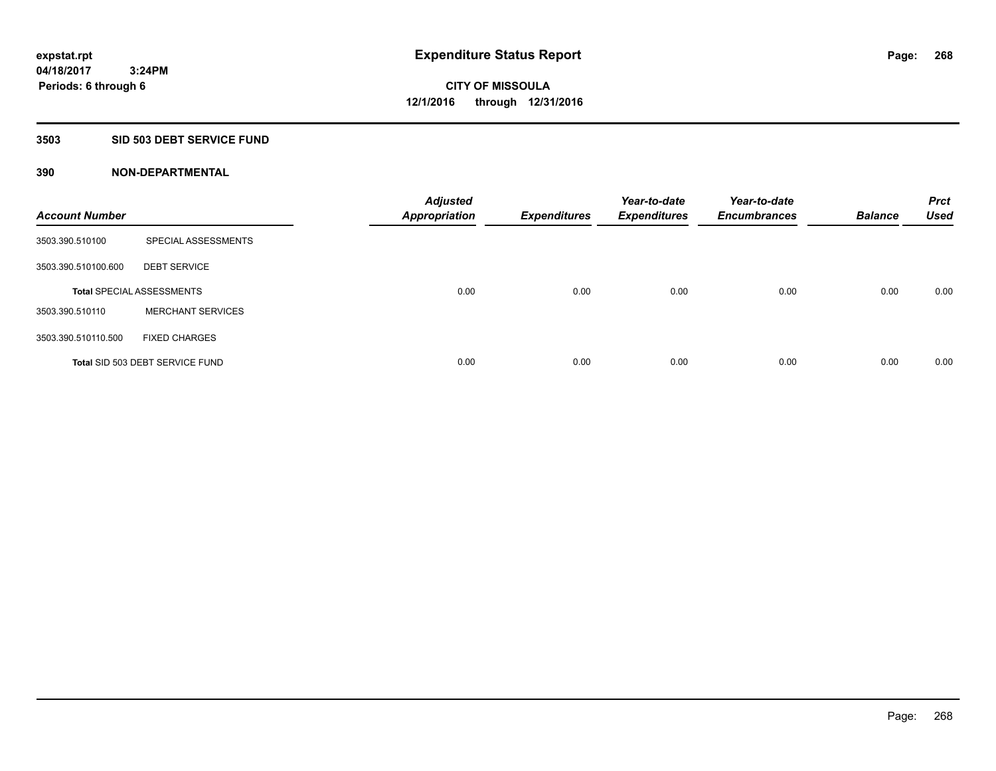# **3503 SID 503 DEBT SERVICE FUND**

| <b>Account Number</b> |                                  | <b>Adjusted</b><br><b>Appropriation</b> | <b>Expenditures</b> | Year-to-date<br><b>Expenditures</b> | Year-to-date<br><b>Encumbrances</b> | <b>Balance</b> | <b>Prct</b><br><b>Used</b> |
|-----------------------|----------------------------------|-----------------------------------------|---------------------|-------------------------------------|-------------------------------------|----------------|----------------------------|
| 3503.390.510100       | SPECIAL ASSESSMENTS              |                                         |                     |                                     |                                     |                |                            |
| 3503.390.510100.600   | <b>DEBT SERVICE</b>              |                                         |                     |                                     |                                     |                |                            |
|                       | <b>Total SPECIAL ASSESSMENTS</b> | 0.00                                    | 0.00                | 0.00                                | 0.00                                | 0.00           | 0.00                       |
| 3503.390.510110       | <b>MERCHANT SERVICES</b>         |                                         |                     |                                     |                                     |                |                            |
| 3503.390.510110.500   | <b>FIXED CHARGES</b>             |                                         |                     |                                     |                                     |                |                            |
|                       | Total SID 503 DEBT SERVICE FUND  | 0.00                                    | 0.00                | 0.00                                | 0.00                                | 0.00           | 0.00                       |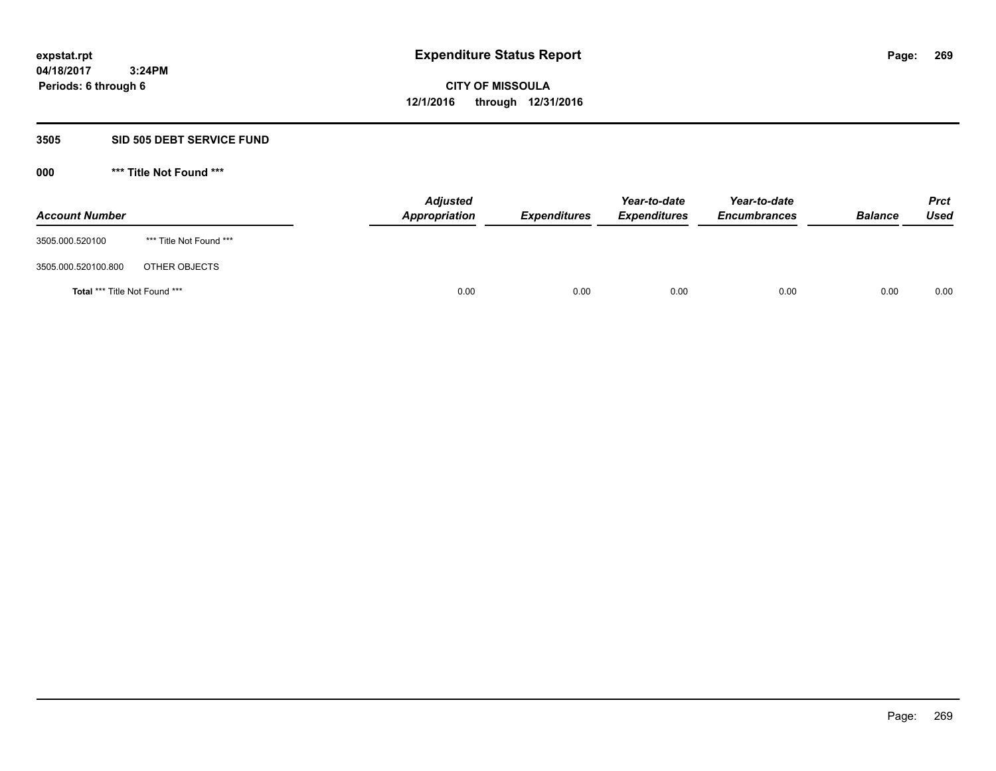### **3505 SID 505 DEBT SERVICE FUND**

| <b>Account Number</b>                |                         | <b>Adjusted</b><br>Appropriation | <b>Expenditures</b> | Year-to-date<br><b>Expenditures</b> | Year-to-date<br><b>Encumbrances</b> | <b>Balance</b> | <b>Prct</b><br>Used |
|--------------------------------------|-------------------------|----------------------------------|---------------------|-------------------------------------|-------------------------------------|----------------|---------------------|
| 3505.000.520100                      | *** Title Not Found *** |                                  |                     |                                     |                                     |                |                     |
| 3505.000.520100.800                  | OTHER OBJECTS           |                                  |                     |                                     |                                     |                |                     |
| <b>Total *** Title Not Found ***</b> |                         |                                  | 0.00<br>0.00        | 0.00                                | 0.00                                | 0.00           | 0.00                |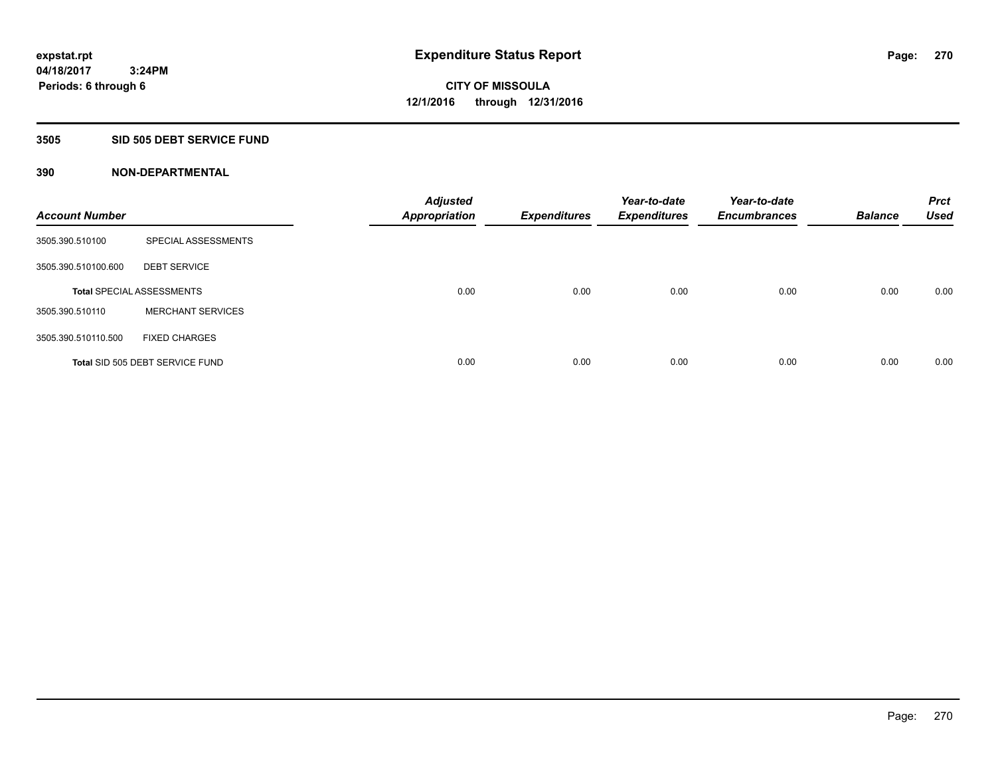# **3505 SID 505 DEBT SERVICE FUND**

| <b>Account Number</b> |                                  | <b>Adjusted</b><br><b>Appropriation</b> | <b>Expenditures</b> | Year-to-date<br><b>Expenditures</b> | Year-to-date<br><b>Encumbrances</b> | <b>Balance</b> | <b>Prct</b><br><b>Used</b> |
|-----------------------|----------------------------------|-----------------------------------------|---------------------|-------------------------------------|-------------------------------------|----------------|----------------------------|
| 3505.390.510100       | SPECIAL ASSESSMENTS              |                                         |                     |                                     |                                     |                |                            |
| 3505.390.510100.600   | <b>DEBT SERVICE</b>              |                                         |                     |                                     |                                     |                |                            |
|                       | <b>Total SPECIAL ASSESSMENTS</b> | 0.00                                    | 0.00                | 0.00                                | 0.00                                | 0.00           | 0.00                       |
| 3505.390.510110       | <b>MERCHANT SERVICES</b>         |                                         |                     |                                     |                                     |                |                            |
| 3505.390.510110.500   | <b>FIXED CHARGES</b>             |                                         |                     |                                     |                                     |                |                            |
|                       | Total SID 505 DEBT SERVICE FUND  | 0.00                                    | 0.00                | 0.00                                | 0.00                                | 0.00           | 0.00                       |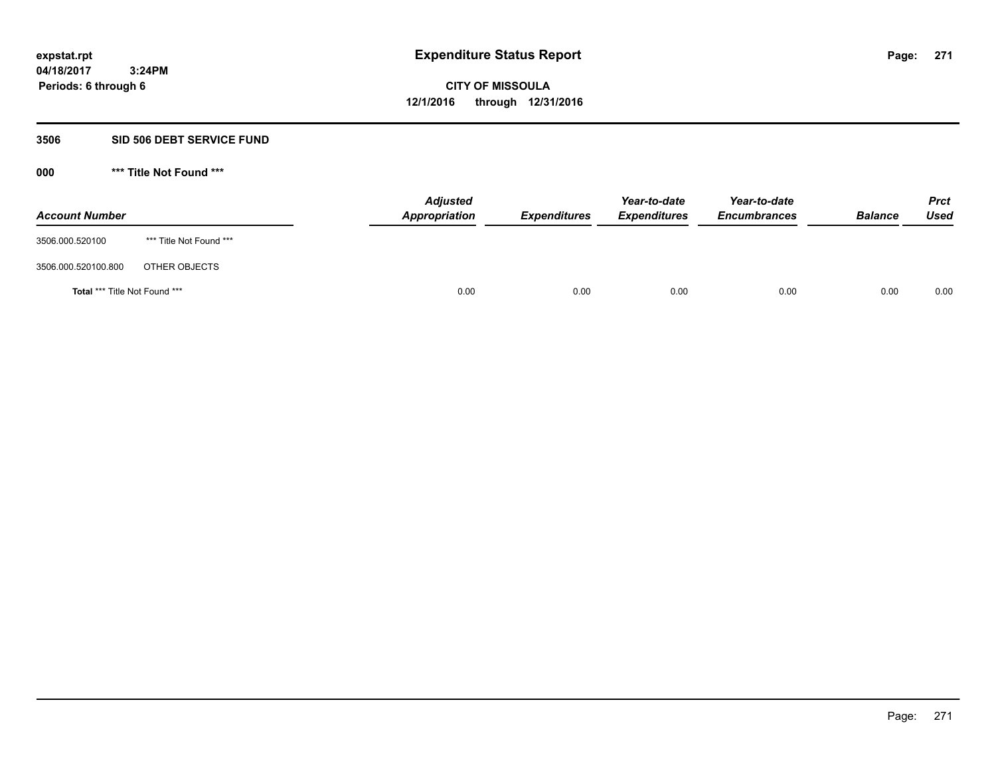### **3506 SID 506 DEBT SERVICE FUND**

| <b>Account Number</b>         |                         | <b>Adjusted</b><br>Appropriation | <b>Expenditures</b> | Year-to-date<br><b>Expenditures</b> | Year-to-date<br><b>Encumbrances</b> | <b>Balance</b> | <b>Prct</b><br>Used |
|-------------------------------|-------------------------|----------------------------------|---------------------|-------------------------------------|-------------------------------------|----------------|---------------------|
| 3506.000.520100               | *** Title Not Found *** |                                  |                     |                                     |                                     |                |                     |
| 3506.000.520100.800           | OTHER OBJECTS           |                                  |                     |                                     |                                     |                |                     |
| Total *** Title Not Found *** |                         | 0.00                             | 0.00                | 0.00                                | 0.00                                | 0.00           | 0.00                |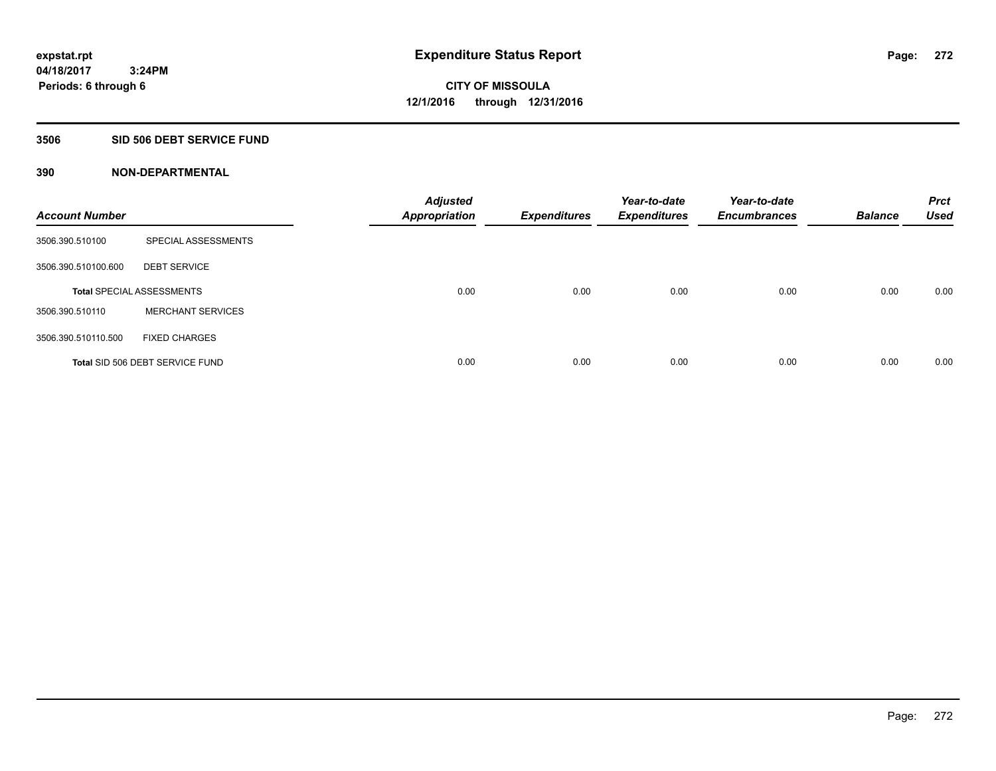### **3506 SID 506 DEBT SERVICE FUND**

| <b>Account Number</b> |                                  | <b>Adjusted</b><br><b>Appropriation</b> | <b>Expenditures</b> | Year-to-date<br><b>Expenditures</b> | Year-to-date<br><b>Encumbrances</b> | <b>Balance</b> | <b>Prct</b><br><b>Used</b> |
|-----------------------|----------------------------------|-----------------------------------------|---------------------|-------------------------------------|-------------------------------------|----------------|----------------------------|
| 3506.390.510100       | SPECIAL ASSESSMENTS              |                                         |                     |                                     |                                     |                |                            |
| 3506.390.510100.600   | <b>DEBT SERVICE</b>              |                                         |                     |                                     |                                     |                |                            |
|                       | <b>Total SPECIAL ASSESSMENTS</b> | 0.00                                    | 0.00                | 0.00                                | 0.00                                | 0.00           | 0.00                       |
| 3506.390.510110       | <b>MERCHANT SERVICES</b>         |                                         |                     |                                     |                                     |                |                            |
| 3506.390.510110.500   | <b>FIXED CHARGES</b>             |                                         |                     |                                     |                                     |                |                            |
|                       | Total SID 506 DEBT SERVICE FUND  | 0.00                                    | 0.00                | 0.00                                | 0.00                                | 0.00           | 0.00                       |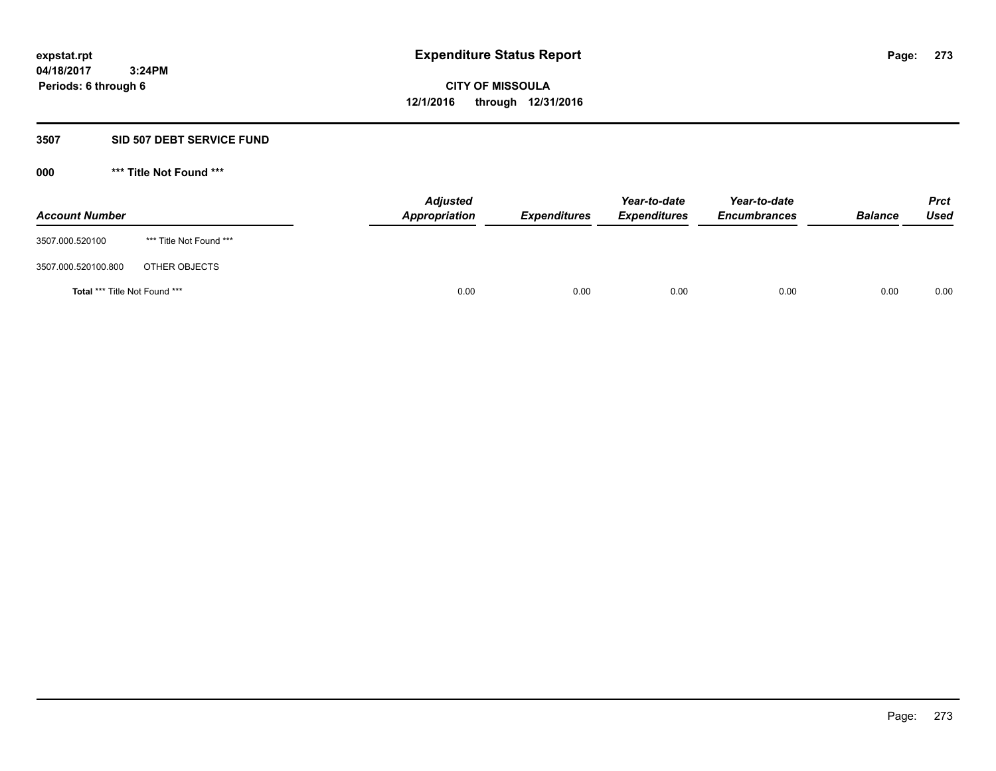### **3507 SID 507 DEBT SERVICE FUND**

| <b>Account Number</b>                |                         | <b>Adjusted</b><br>Appropriation | <b>Expenditures</b> | Year-to-date<br><b>Expenditures</b> | Year-to-date<br><b>Encumbrances</b> | <b>Balance</b> | <b>Prct</b><br>Used |
|--------------------------------------|-------------------------|----------------------------------|---------------------|-------------------------------------|-------------------------------------|----------------|---------------------|
| 3507.000.520100                      | *** Title Not Found *** |                                  |                     |                                     |                                     |                |                     |
| 3507.000.520100.800                  | OTHER OBJECTS           |                                  |                     |                                     |                                     |                |                     |
| <b>Total *** Title Not Found ***</b> |                         | 0.00                             | 0.00                | 0.00                                | 0.00                                | 0.00           | 0.00                |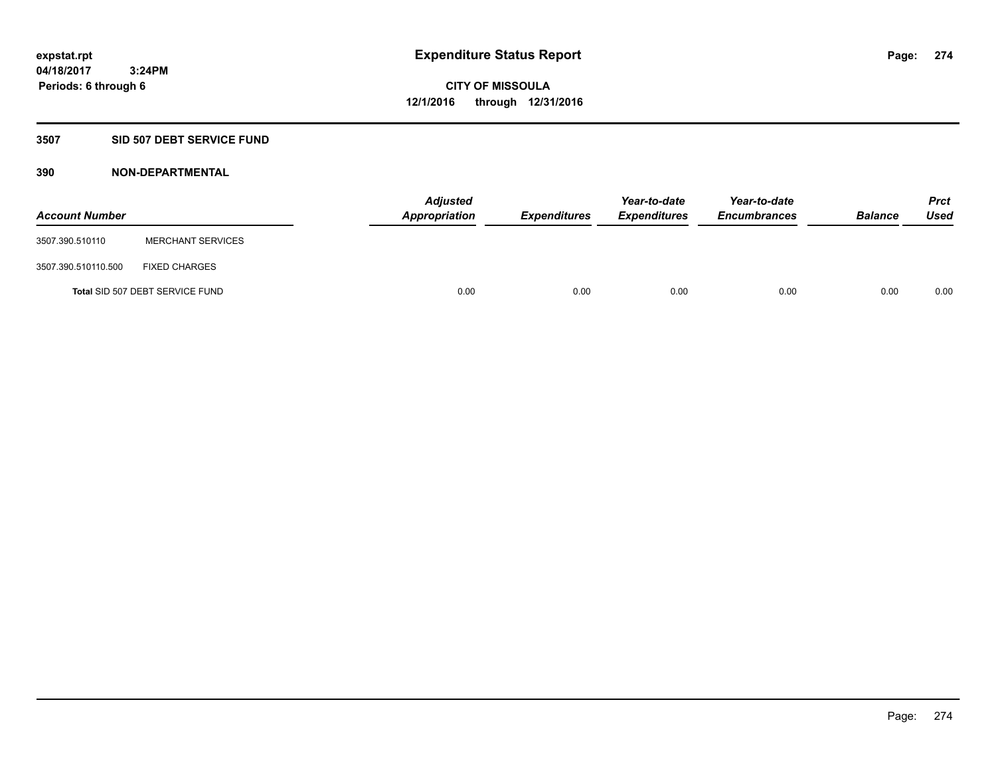# **3507 SID 507 DEBT SERVICE FUND**

| <b>Account Number</b> |                                 | <b>Adjusted</b><br>Appropriation | <b>Expenditures</b> | Year-to-date<br><b>Expenditures</b> | Year-to-date<br><b>Encumbrances</b> | <b>Balance</b> | <b>Prct</b><br><b>Used</b> |
|-----------------------|---------------------------------|----------------------------------|---------------------|-------------------------------------|-------------------------------------|----------------|----------------------------|
| 3507.390.510110       | <b>MERCHANT SERVICES</b>        |                                  |                     |                                     |                                     |                |                            |
| 3507.390.510110.500   | <b>FIXED CHARGES</b>            |                                  |                     |                                     |                                     |                |                            |
|                       | Total SID 507 DEBT SERVICE FUND | 0.00                             | 0.00                | 0.00                                | 0.00                                | 0.00           | 0.00                       |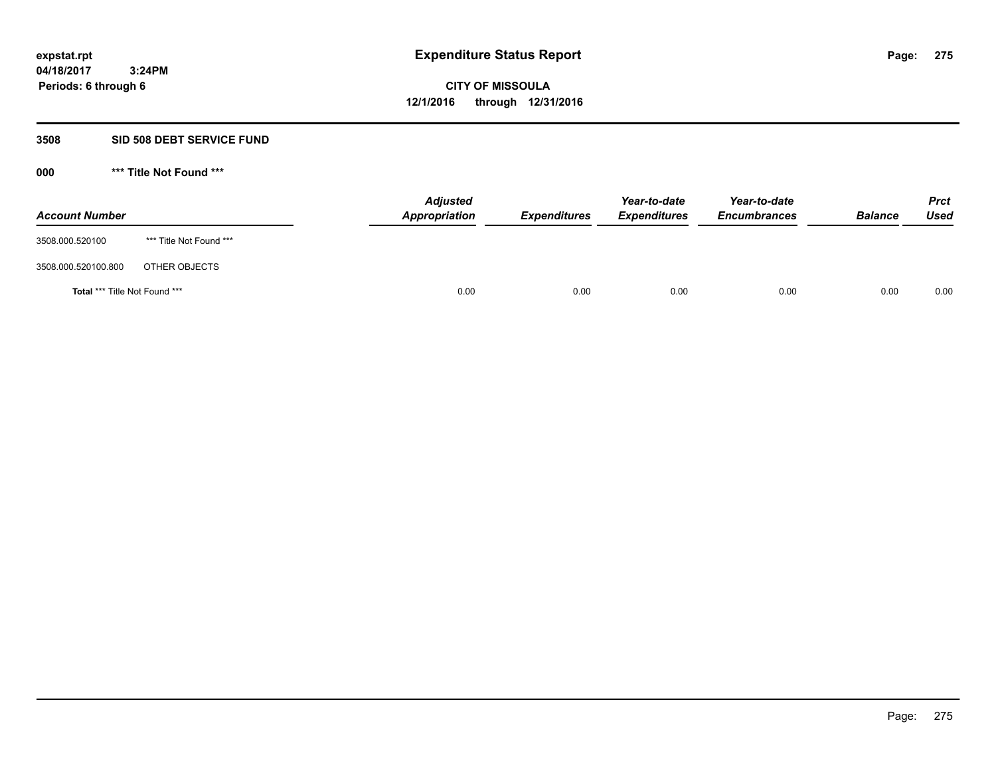# **3508 SID 508 DEBT SERVICE FUND**

| <b>Account Number</b>                |                         | <b>Adjusted</b><br>Appropriation | <b>Expenditures</b> | Year-to-date<br><b>Expenditures</b> | Year-to-date<br><b>Encumbrances</b> | <b>Balance</b> | <b>Prct</b><br><b>Used</b> |
|--------------------------------------|-------------------------|----------------------------------|---------------------|-------------------------------------|-------------------------------------|----------------|----------------------------|
| 3508.000.520100                      | *** Title Not Found *** |                                  |                     |                                     |                                     |                |                            |
| 3508.000.520100.800                  | OTHER OBJECTS           |                                  |                     |                                     |                                     |                |                            |
| <b>Total *** Title Not Found ***</b> |                         | 0.00                             | 0.00                | 0.00                                | 0.00                                | 0.00           | 0.00                       |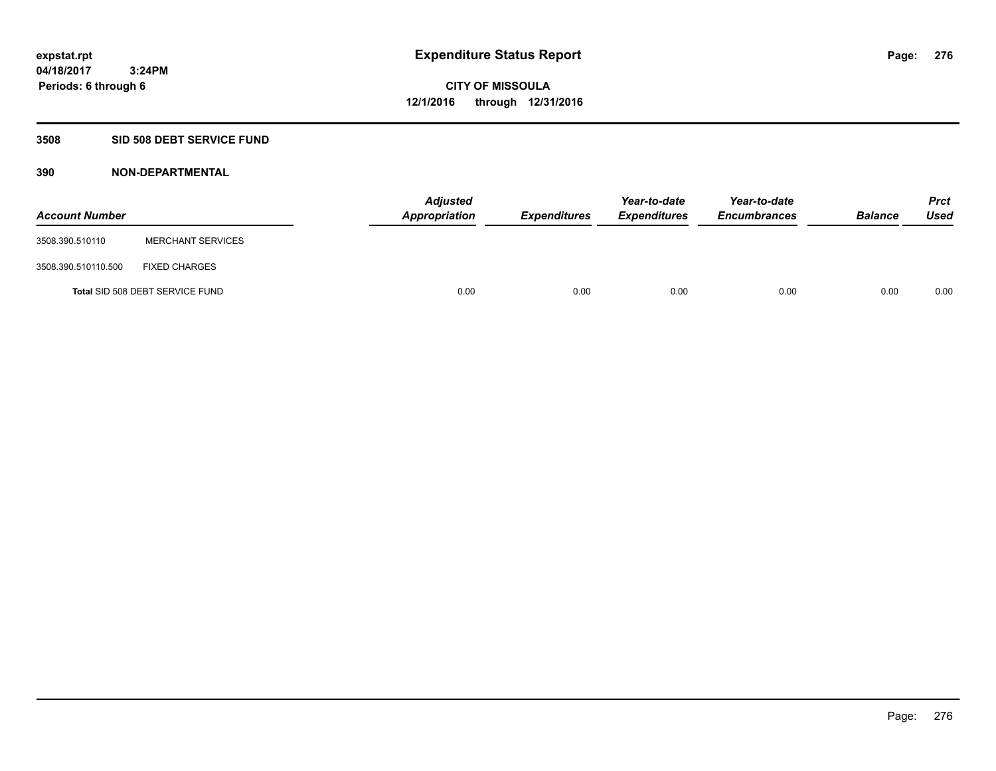# **3508 SID 508 DEBT SERVICE FUND**

| <b>Account Number</b> |                                 | <b>Adjusted</b><br>Appropriation | <b>Expenditures</b> | Year-to-date<br><b>Expenditures</b> | Year-to-date<br><b>Encumbrances</b> | <b>Balance</b> | <b>Prct</b><br><b>Used</b> |
|-----------------------|---------------------------------|----------------------------------|---------------------|-------------------------------------|-------------------------------------|----------------|----------------------------|
| 3508.390.510110       | <b>MERCHANT SERVICES</b>        |                                  |                     |                                     |                                     |                |                            |
| 3508.390.510110.500   | <b>FIXED CHARGES</b>            |                                  |                     |                                     |                                     |                |                            |
|                       | Total SID 508 DEBT SERVICE FUND | 0.00                             | 0.00                | 0.00                                | 0.00                                | 0.00           | 0.00                       |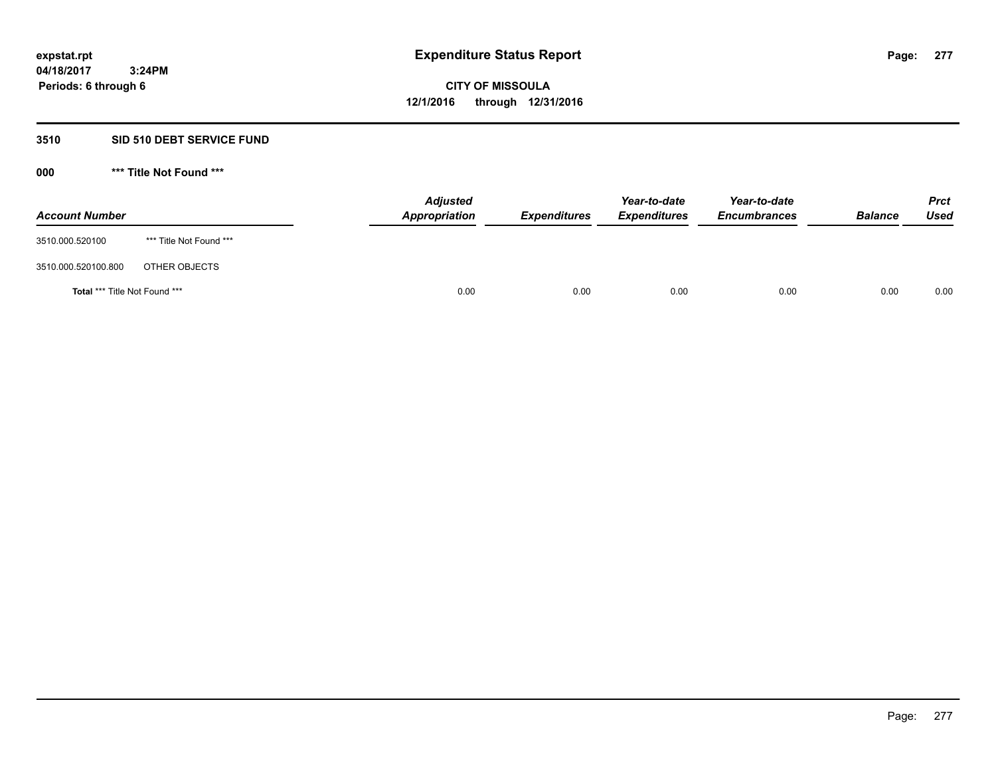# **3510 SID 510 DEBT SERVICE FUND**

| <b>Account Number</b>                |                         | <b>Adjusted</b><br>Appropriation | <b>Expenditures</b> | Year-to-date<br><b>Expenditures</b> | Year-to-date<br><b>Encumbrances</b> | <b>Balance</b> | <b>Prct</b><br>Used |
|--------------------------------------|-------------------------|----------------------------------|---------------------|-------------------------------------|-------------------------------------|----------------|---------------------|
| 3510.000.520100                      | *** Title Not Found *** |                                  |                     |                                     |                                     |                |                     |
| 3510.000.520100.800                  | OTHER OBJECTS           |                                  |                     |                                     |                                     |                |                     |
| <b>Total *** Title Not Found ***</b> |                         | 0.00                             | 0.00                | 0.00                                | 0.00                                | 0.00           | 0.00                |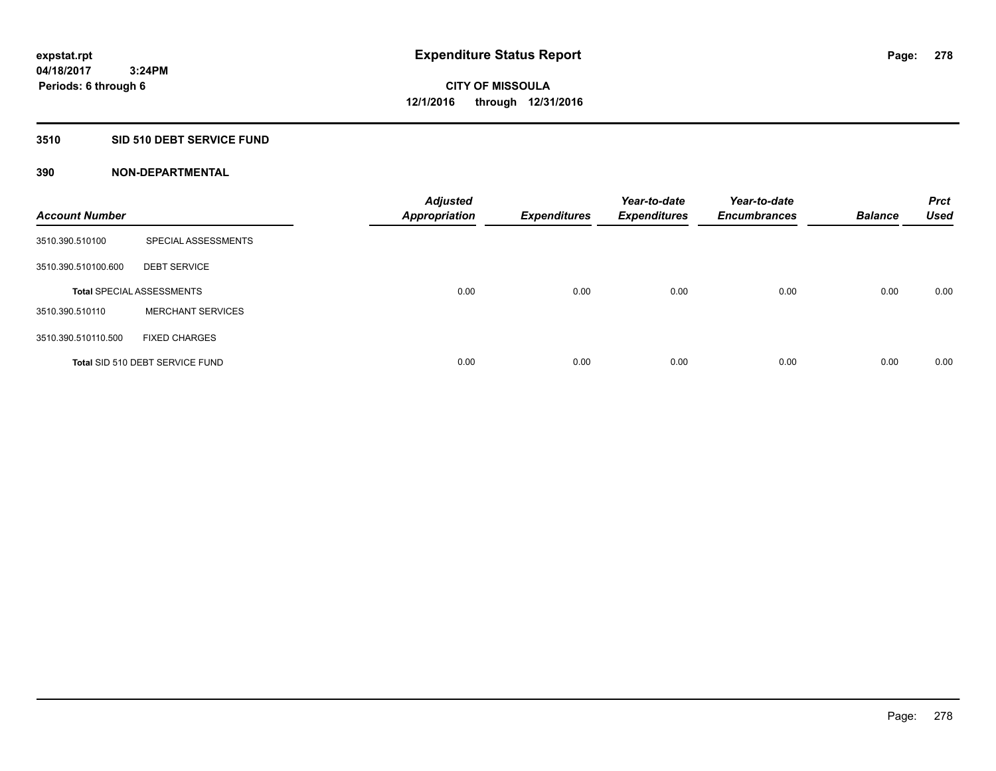# **3510 SID 510 DEBT SERVICE FUND**

| <b>Account Number</b> |                                  | <b>Adjusted</b><br><b>Appropriation</b> | <b>Expenditures</b> | Year-to-date<br><b>Expenditures</b> | Year-to-date<br><b>Encumbrances</b> | <b>Balance</b> | <b>Prct</b><br><b>Used</b> |
|-----------------------|----------------------------------|-----------------------------------------|---------------------|-------------------------------------|-------------------------------------|----------------|----------------------------|
| 3510.390.510100       | SPECIAL ASSESSMENTS              |                                         |                     |                                     |                                     |                |                            |
| 3510.390.510100.600   | <b>DEBT SERVICE</b>              |                                         |                     |                                     |                                     |                |                            |
|                       | <b>Total SPECIAL ASSESSMENTS</b> | 0.00                                    | 0.00                | 0.00                                | 0.00                                | 0.00           | 0.00                       |
| 3510.390.510110       | <b>MERCHANT SERVICES</b>         |                                         |                     |                                     |                                     |                |                            |
| 3510.390.510110.500   | <b>FIXED CHARGES</b>             |                                         |                     |                                     |                                     |                |                            |
|                       | Total SID 510 DEBT SERVICE FUND  | 0.00                                    | 0.00                | 0.00                                | 0.00                                | 0.00           | 0.00                       |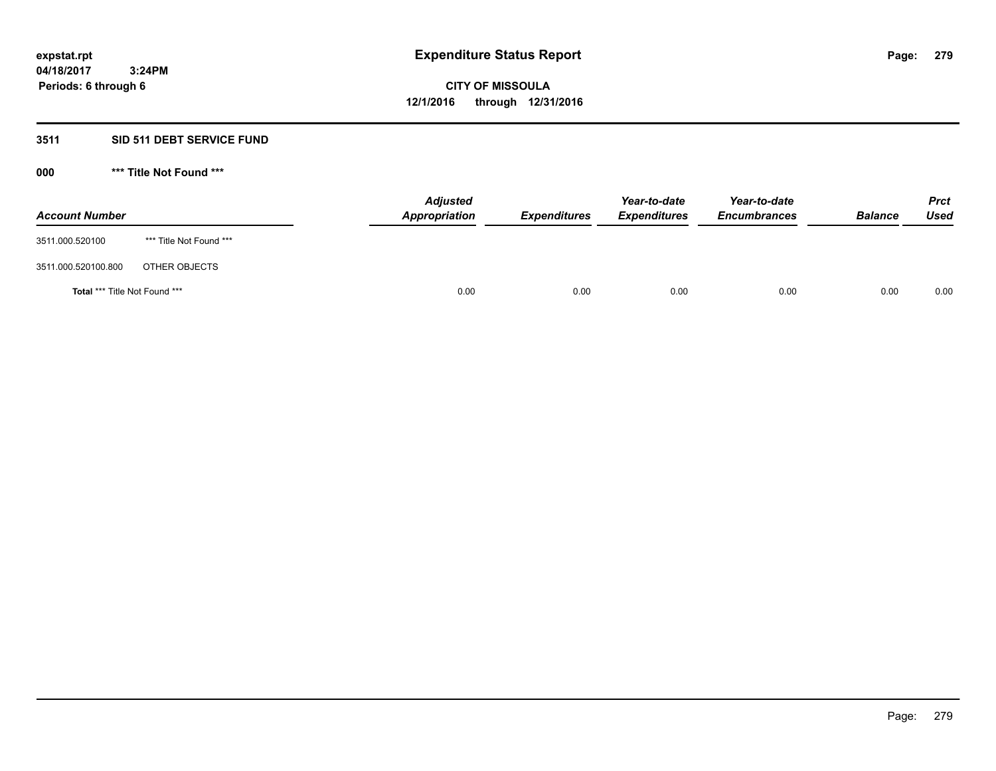# **3511 SID 511 DEBT SERVICE FUND**

| <b>Account Number</b>                |                         | <b>Adjusted</b><br>Appropriation | <b>Expenditures</b> | Year-to-date<br><b>Expenditures</b> | Year-to-date<br><b>Encumbrances</b> | <b>Balance</b> | <b>Prct</b><br><b>Used</b> |
|--------------------------------------|-------------------------|----------------------------------|---------------------|-------------------------------------|-------------------------------------|----------------|----------------------------|
| 3511.000.520100                      | *** Title Not Found *** |                                  |                     |                                     |                                     |                |                            |
| 3511.000.520100.800                  | OTHER OBJECTS           |                                  |                     |                                     |                                     |                |                            |
| <b>Total *** Title Not Found ***</b> |                         | 0.00                             | 0.00                | 0.00                                | 0.00                                | 0.00           | 0.00                       |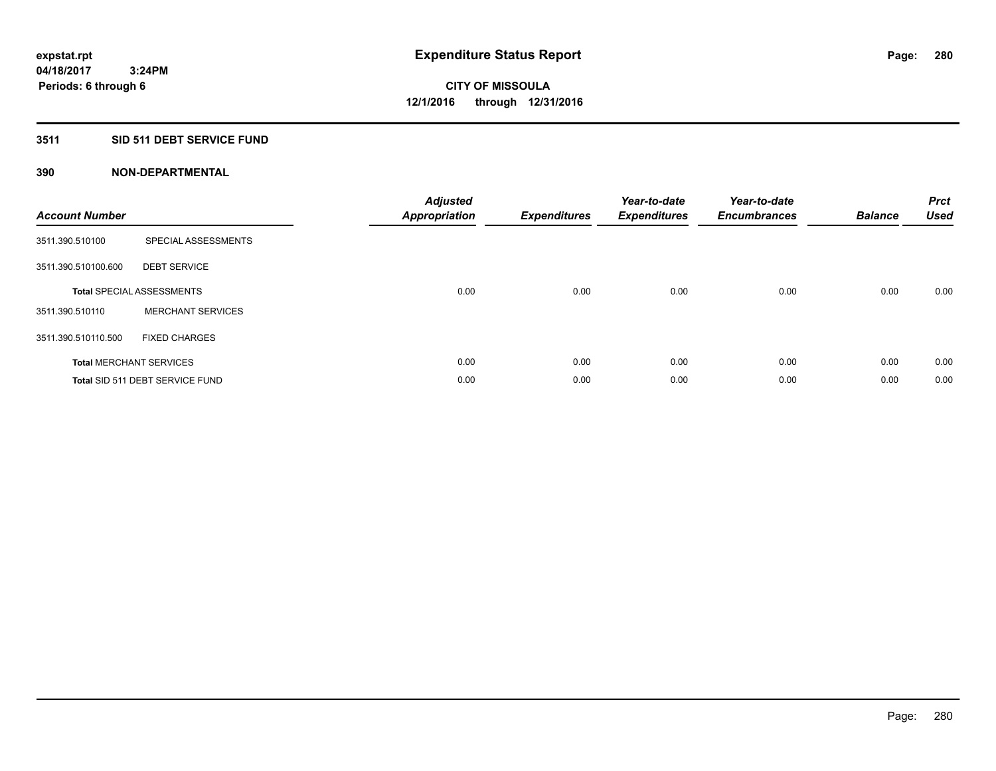# **3511 SID 511 DEBT SERVICE FUND**

| <b>Account Number</b> |                                  | <b>Adjusted</b><br><b>Appropriation</b> | <b>Expenditures</b> | Year-to-date<br><b>Expenditures</b> | Year-to-date<br><b>Encumbrances</b> | <b>Balance</b> | <b>Prct</b><br>Used |
|-----------------------|----------------------------------|-----------------------------------------|---------------------|-------------------------------------|-------------------------------------|----------------|---------------------|
| 3511.390.510100       | SPECIAL ASSESSMENTS              |                                         |                     |                                     |                                     |                |                     |
| 3511.390.510100.600   | <b>DEBT SERVICE</b>              |                                         |                     |                                     |                                     |                |                     |
|                       | <b>Total SPECIAL ASSESSMENTS</b> | 0.00                                    | 0.00                | 0.00                                | 0.00                                | 0.00           | 0.00                |
| 3511.390.510110       | <b>MERCHANT SERVICES</b>         |                                         |                     |                                     |                                     |                |                     |
| 3511.390.510110.500   | <b>FIXED CHARGES</b>             |                                         |                     |                                     |                                     |                |                     |
|                       | <b>Total MERCHANT SERVICES</b>   | 0.00                                    | 0.00                | 0.00                                | 0.00                                | 0.00           | 0.00                |
|                       | Total SID 511 DEBT SERVICE FUND  | 0.00                                    | 0.00                | 0.00                                | 0.00                                | 0.00           | 0.00                |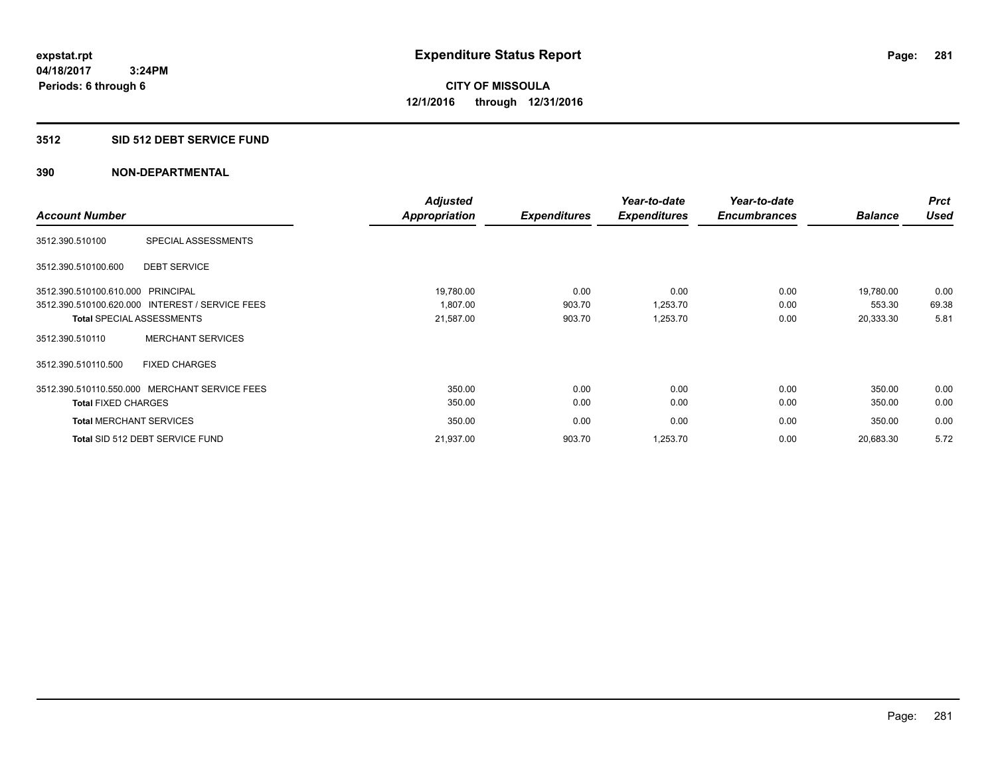### **3512 SID 512 DEBT SERVICE FUND**

|                                   |                                                 | <b>Adjusted</b> |                     | Year-to-date        | Year-to-date        |                | <b>Prct</b> |
|-----------------------------------|-------------------------------------------------|-----------------|---------------------|---------------------|---------------------|----------------|-------------|
| <b>Account Number</b>             |                                                 | Appropriation   | <b>Expenditures</b> | <b>Expenditures</b> | <b>Encumbrances</b> | <b>Balance</b> | <b>Used</b> |
| 3512.390.510100                   | SPECIAL ASSESSMENTS                             |                 |                     |                     |                     |                |             |
| 3512.390.510100.600               | <b>DEBT SERVICE</b>                             |                 |                     |                     |                     |                |             |
| 3512.390.510100.610.000 PRINCIPAL |                                                 | 19,780.00       | 0.00                | 0.00                | 0.00                | 19.780.00      | 0.00        |
|                                   | 3512.390.510100.620.000 INTEREST / SERVICE FEES | 1.807.00        | 903.70              | 1,253.70            | 0.00                | 553.30         | 69.38       |
|                                   | <b>Total SPECIAL ASSESSMENTS</b>                | 21,587.00       | 903.70              | 1,253.70            | 0.00                | 20,333.30      | 5.81        |
| 3512.390.510110                   | <b>MERCHANT SERVICES</b>                        |                 |                     |                     |                     |                |             |
| 3512.390.510110.500               | <b>FIXED CHARGES</b>                            |                 |                     |                     |                     |                |             |
|                                   | 3512.390.510110.550.000 MERCHANT SERVICE FEES   | 350.00          | 0.00                | 0.00                | 0.00                | 350.00         | 0.00        |
| <b>Total FIXED CHARGES</b>        |                                                 | 350.00          | 0.00                | 0.00                | 0.00                | 350.00         | 0.00        |
| <b>Total MERCHANT SERVICES</b>    |                                                 | 350.00          | 0.00                | 0.00                | 0.00                | 350.00         | 0.00        |
|                                   | Total SID 512 DEBT SERVICE FUND                 | 21,937.00       | 903.70              | 1,253.70            | 0.00                | 20,683.30      | 5.72        |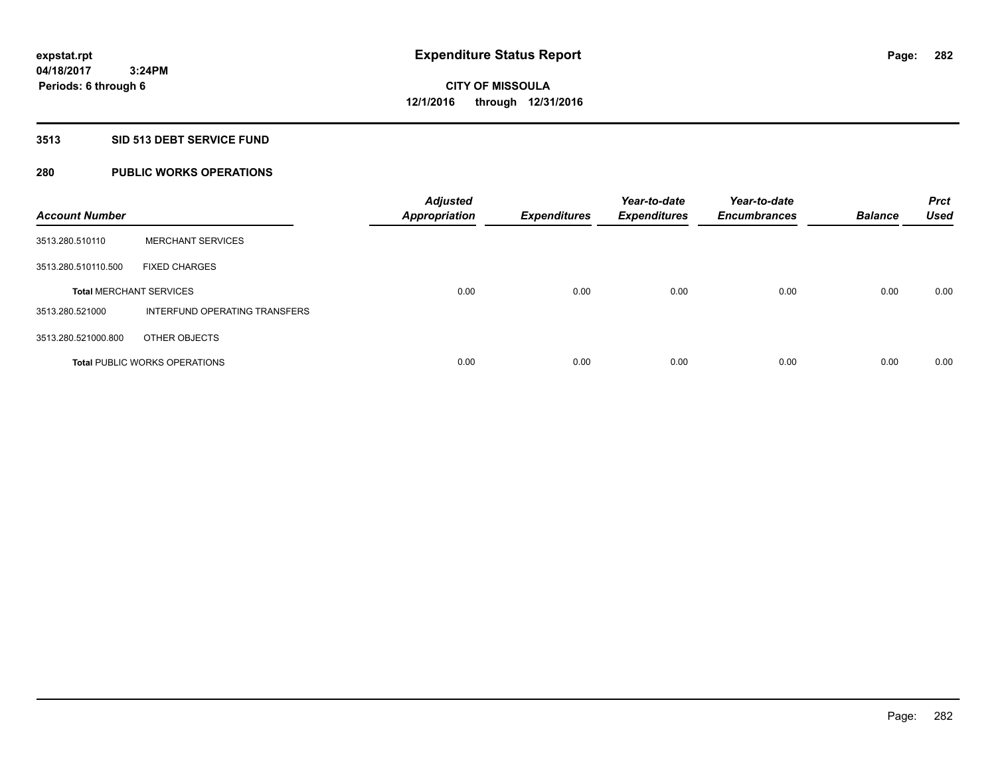# **3513 SID 513 DEBT SERVICE FUND**

# **280 PUBLIC WORKS OPERATIONS**

| <b>Account Number</b>          |                                      | <b>Adjusted</b><br><b>Appropriation</b> | <b>Expenditures</b> | Year-to-date<br><b>Expenditures</b> | Year-to-date<br><b>Encumbrances</b> | <b>Balance</b> | <b>Prct</b><br><b>Used</b> |
|--------------------------------|--------------------------------------|-----------------------------------------|---------------------|-------------------------------------|-------------------------------------|----------------|----------------------------|
| 3513.280.510110                | <b>MERCHANT SERVICES</b>             |                                         |                     |                                     |                                     |                |                            |
| 3513.280.510110.500            | <b>FIXED CHARGES</b>                 |                                         |                     |                                     |                                     |                |                            |
| <b>Total MERCHANT SERVICES</b> |                                      | 0.00                                    | 0.00                | 0.00                                | 0.00                                | 0.00           | 0.00                       |
| 3513.280.521000                | INTERFUND OPERATING TRANSFERS        |                                         |                     |                                     |                                     |                |                            |
| 3513.280.521000.800            | OTHER OBJECTS                        |                                         |                     |                                     |                                     |                |                            |
|                                | <b>Total PUBLIC WORKS OPERATIONS</b> | 0.00                                    | 0.00                | 0.00                                | 0.00                                | 0.00           | 0.00                       |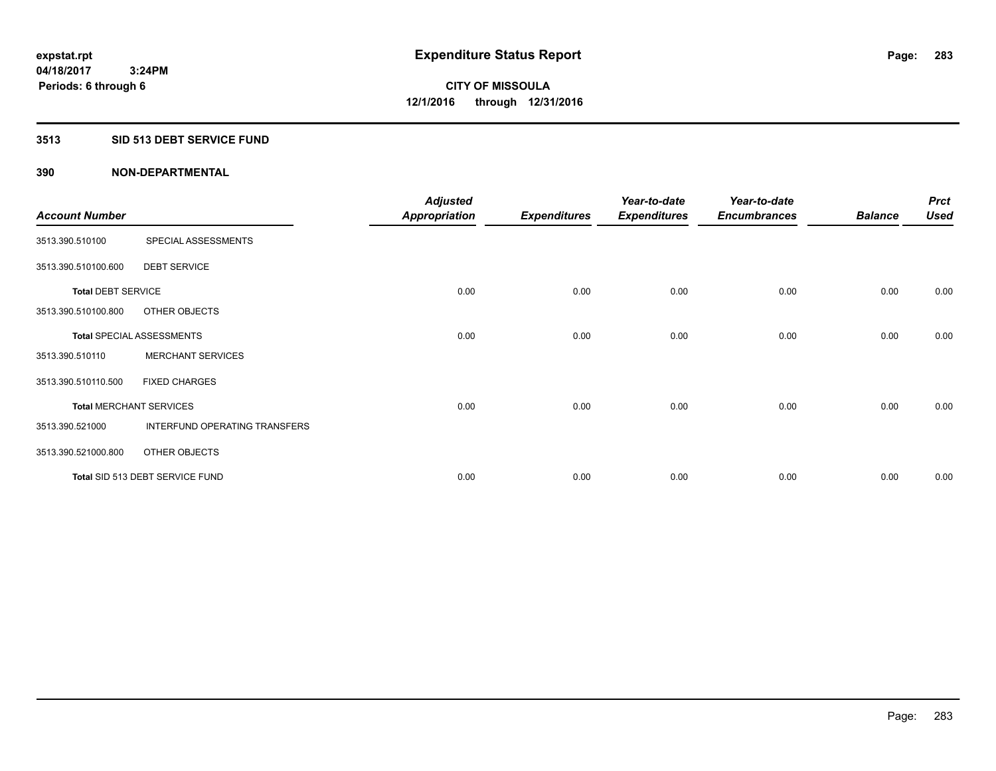# **3513 SID 513 DEBT SERVICE FUND**

|                                |                                  | <b>Adjusted</b>      |                     | Year-to-date        | Year-to-date        |                | <b>Prct</b> |
|--------------------------------|----------------------------------|----------------------|---------------------|---------------------|---------------------|----------------|-------------|
| <b>Account Number</b>          |                                  | <b>Appropriation</b> | <b>Expenditures</b> | <b>Expenditures</b> | <b>Encumbrances</b> | <b>Balance</b> | <b>Used</b> |
| 3513.390.510100                | SPECIAL ASSESSMENTS              |                      |                     |                     |                     |                |             |
| 3513.390.510100.600            | <b>DEBT SERVICE</b>              |                      |                     |                     |                     |                |             |
| <b>Total DEBT SERVICE</b>      |                                  | 0.00                 | 0.00                | 0.00                | 0.00                | 0.00           | 0.00        |
| 3513.390.510100.800            | OTHER OBJECTS                    |                      |                     |                     |                     |                |             |
|                                | <b>Total SPECIAL ASSESSMENTS</b> | 0.00                 | 0.00                | 0.00                | 0.00                | 0.00           | 0.00        |
| 3513.390.510110                | <b>MERCHANT SERVICES</b>         |                      |                     |                     |                     |                |             |
| 3513.390.510110.500            | <b>FIXED CHARGES</b>             |                      |                     |                     |                     |                |             |
| <b>Total MERCHANT SERVICES</b> |                                  | 0.00                 | 0.00                | 0.00                | 0.00                | 0.00           | 0.00        |
| 3513.390.521000                | INTERFUND OPERATING TRANSFERS    |                      |                     |                     |                     |                |             |
| 3513.390.521000.800            | OTHER OBJECTS                    |                      |                     |                     |                     |                |             |
|                                | Total SID 513 DEBT SERVICE FUND  | 0.00                 | 0.00                | 0.00                | 0.00                | 0.00           | 0.00        |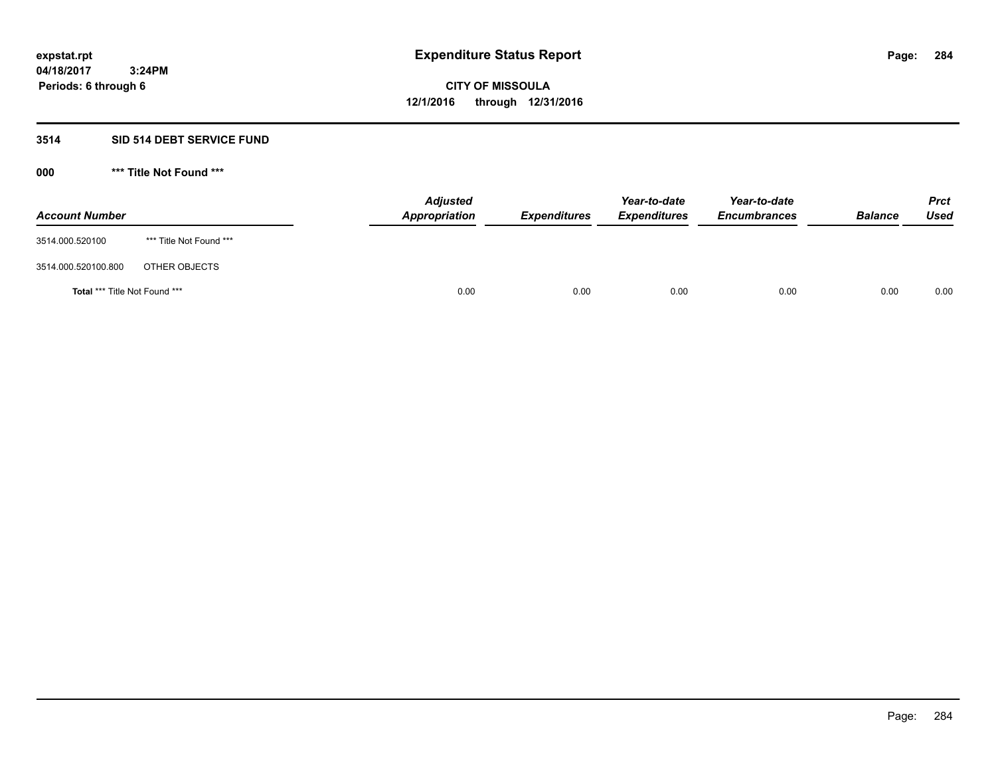# **3514 SID 514 DEBT SERVICE FUND**

| <b>Account Number</b>                |                         | <b>Adjusted</b><br>Appropriation | <b>Expenditures</b> | Year-to-date<br><b>Expenditures</b> | Year-to-date<br><b>Encumbrances</b> | <b>Balance</b> | <b>Prct</b><br><b>Used</b> |
|--------------------------------------|-------------------------|----------------------------------|---------------------|-------------------------------------|-------------------------------------|----------------|----------------------------|
| 3514.000.520100                      | *** Title Not Found *** |                                  |                     |                                     |                                     |                |                            |
| 3514.000.520100.800                  | OTHER OBJECTS           |                                  |                     |                                     |                                     |                |                            |
| <b>Total *** Title Not Found ***</b> |                         | 0.00                             | 0.00                | 0.00                                | 0.00                                | 0.00           | 0.00                       |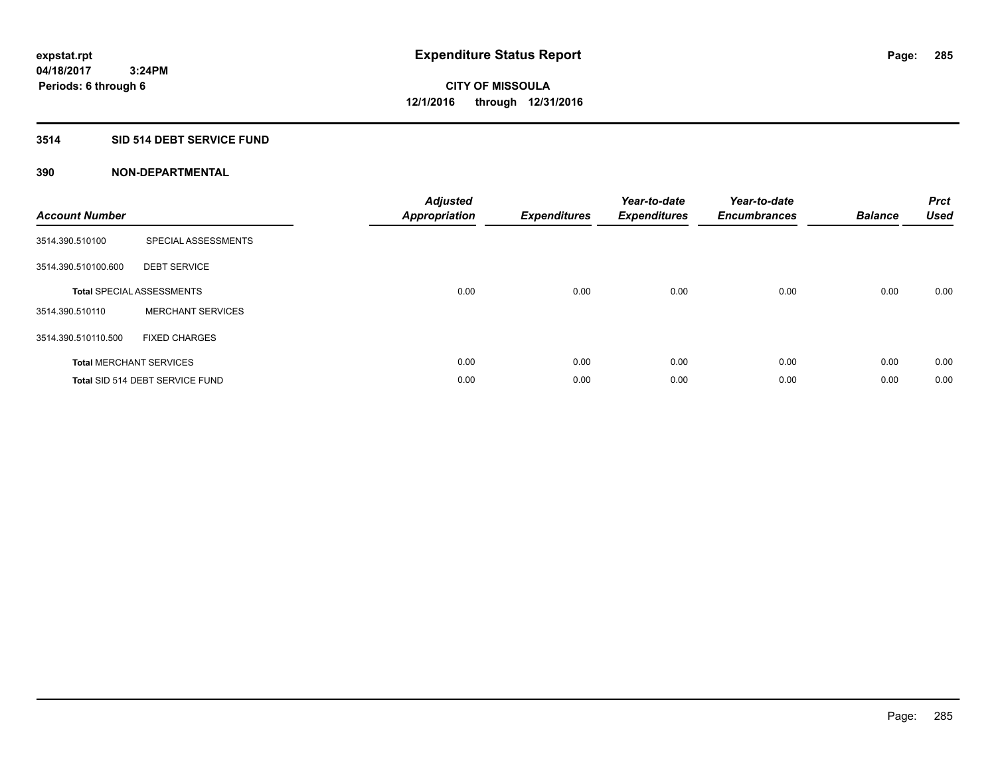# **3514 SID 514 DEBT SERVICE FUND**

| <b>Account Number</b> |                                  | <b>Adjusted</b><br>Appropriation | <b>Expenditures</b> | Year-to-date<br><b>Expenditures</b> | Year-to-date<br><b>Encumbrances</b> | <b>Balance</b> | <b>Prct</b><br><b>Used</b> |
|-----------------------|----------------------------------|----------------------------------|---------------------|-------------------------------------|-------------------------------------|----------------|----------------------------|
| 3514.390.510100       | SPECIAL ASSESSMENTS              |                                  |                     |                                     |                                     |                |                            |
| 3514.390.510100.600   | <b>DEBT SERVICE</b>              |                                  |                     |                                     |                                     |                |                            |
|                       | <b>Total SPECIAL ASSESSMENTS</b> | 0.00                             | 0.00                | 0.00                                | 0.00                                | 0.00           | 0.00                       |
| 3514.390.510110       | <b>MERCHANT SERVICES</b>         |                                  |                     |                                     |                                     |                |                            |
| 3514.390.510110.500   | <b>FIXED CHARGES</b>             |                                  |                     |                                     |                                     |                |                            |
|                       | <b>Total MERCHANT SERVICES</b>   | 0.00                             | 0.00                | 0.00                                | 0.00                                | 0.00           | 0.00                       |
|                       | Total SID 514 DEBT SERVICE FUND  | 0.00                             | 0.00                | 0.00                                | 0.00                                | 0.00           | 0.00                       |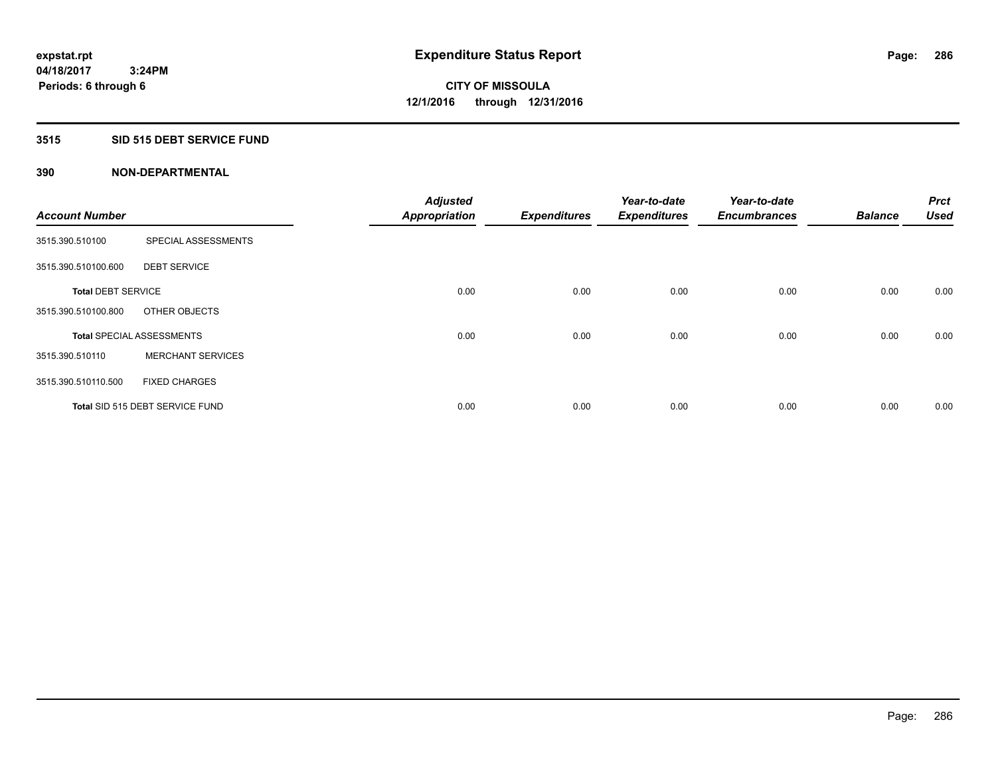# **3515 SID 515 DEBT SERVICE FUND**

|                           |                                  | <b>Adjusted</b>      |                     | Year-to-date        | Year-to-date        |                | <b>Prct</b><br><b>Used</b> |
|---------------------------|----------------------------------|----------------------|---------------------|---------------------|---------------------|----------------|----------------------------|
| <b>Account Number</b>     |                                  | <b>Appropriation</b> | <b>Expenditures</b> | <b>Expenditures</b> | <b>Encumbrances</b> | <b>Balance</b> |                            |
| 3515.390.510100           | SPECIAL ASSESSMENTS              |                      |                     |                     |                     |                |                            |
| 3515.390.510100.600       | <b>DEBT SERVICE</b>              |                      |                     |                     |                     |                |                            |
| <b>Total DEBT SERVICE</b> |                                  | 0.00                 | 0.00                | 0.00                | 0.00                | 0.00           | 0.00                       |
| 3515.390.510100.800       | OTHER OBJECTS                    |                      |                     |                     |                     |                |                            |
|                           | <b>Total SPECIAL ASSESSMENTS</b> | 0.00                 | 0.00                | 0.00                | 0.00                | 0.00           | 0.00                       |
| 3515.390.510110           | <b>MERCHANT SERVICES</b>         |                      |                     |                     |                     |                |                            |
| 3515.390.510110.500       | <b>FIXED CHARGES</b>             |                      |                     |                     |                     |                |                            |
|                           | Total SID 515 DEBT SERVICE FUND  | 0.00                 | 0.00                | 0.00                | 0.00                | 0.00           | 0.00                       |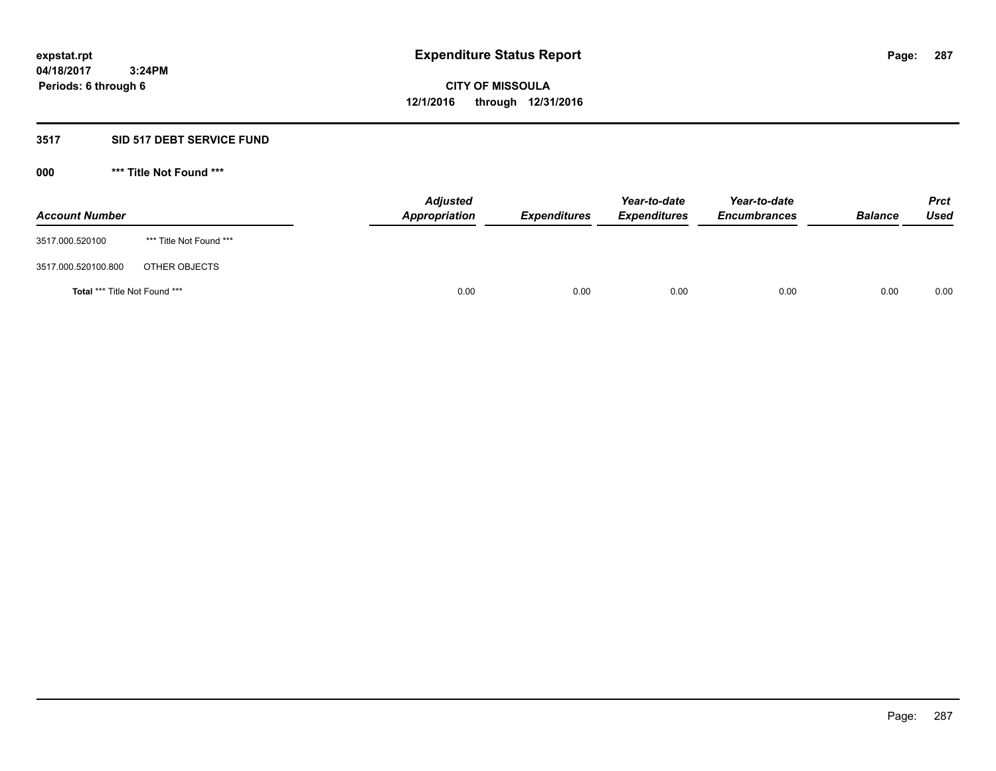# **3517 SID 517 DEBT SERVICE FUND**

| <b>Account Number</b>                |                         | <b>Adjusted</b><br>Appropriation | <b>Expenditures</b> | Year-to-date<br><b>Expenditures</b> | Year-to-date<br><b>Encumbrances</b> | <b>Balance</b> | Prct<br><b>Used</b> |
|--------------------------------------|-------------------------|----------------------------------|---------------------|-------------------------------------|-------------------------------------|----------------|---------------------|
| 3517.000.520100                      | *** Title Not Found *** |                                  |                     |                                     |                                     |                |                     |
| 3517.000.520100.800                  | OTHER OBJECTS           |                                  |                     |                                     |                                     |                |                     |
| <b>Total *** Title Not Found ***</b> |                         | 0.00                             | 0.00                | 0.00                                | 0.00                                | 0.00           | 0.00                |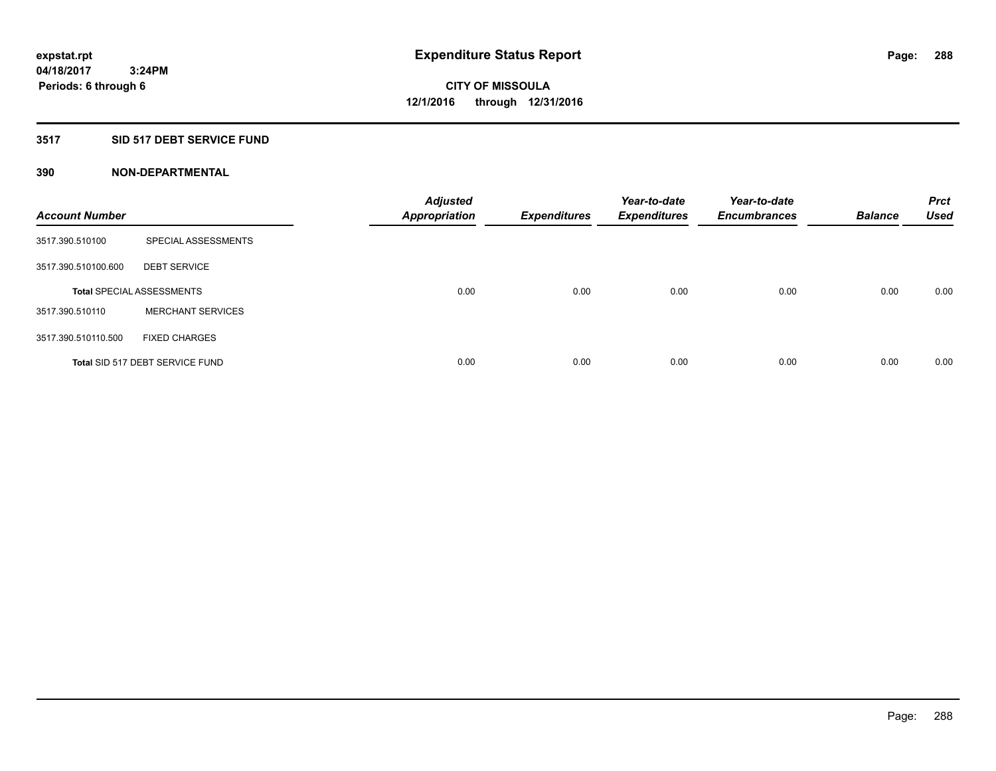# **3517 SID 517 DEBT SERVICE FUND**

| <b>Account Number</b> |                                  | <b>Adjusted</b><br><b>Appropriation</b> | <b>Expenditures</b> | Year-to-date<br><b>Expenditures</b> | Year-to-date<br><b>Encumbrances</b> | <b>Balance</b> | <b>Prct</b><br>Used |
|-----------------------|----------------------------------|-----------------------------------------|---------------------|-------------------------------------|-------------------------------------|----------------|---------------------|
| 3517.390.510100       | SPECIAL ASSESSMENTS              |                                         |                     |                                     |                                     |                |                     |
| 3517.390.510100.600   | <b>DEBT SERVICE</b>              |                                         |                     |                                     |                                     |                |                     |
|                       | <b>Total SPECIAL ASSESSMENTS</b> | 0.00                                    | 0.00                | 0.00                                | 0.00                                | 0.00           | 0.00                |
| 3517.390.510110       | <b>MERCHANT SERVICES</b>         |                                         |                     |                                     |                                     |                |                     |
| 3517.390.510110.500   | <b>FIXED CHARGES</b>             |                                         |                     |                                     |                                     |                |                     |
|                       | Total SID 517 DEBT SERVICE FUND  | 0.00                                    | 0.00                | 0.00                                | 0.00                                | 0.00           | 0.00                |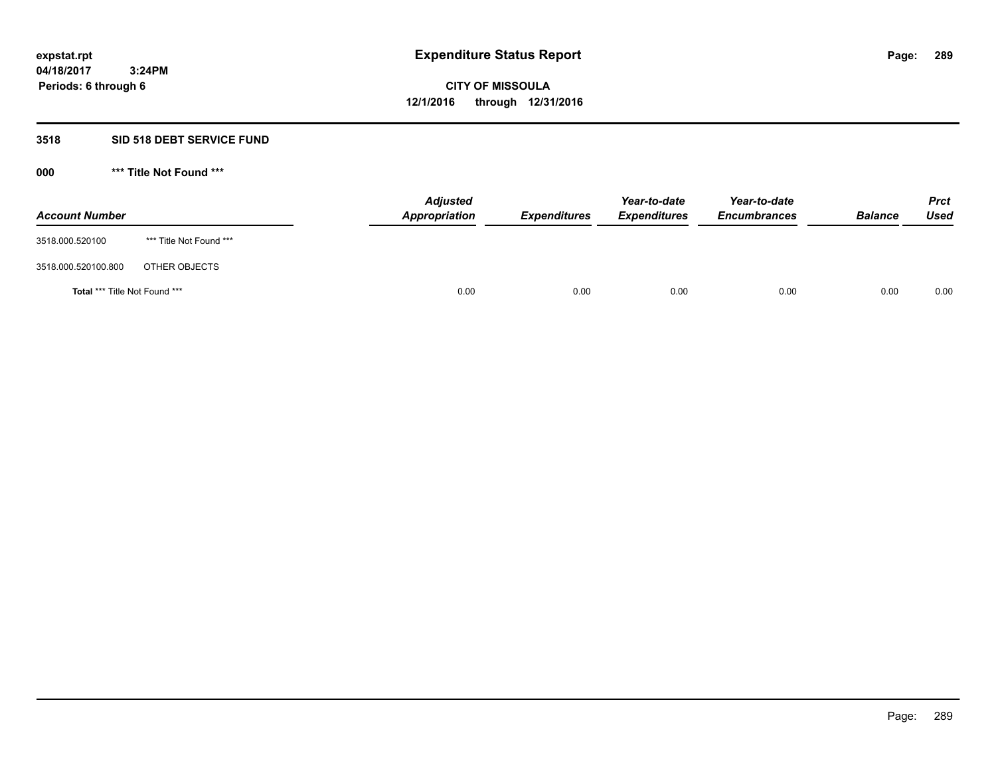### **3518 SID 518 DEBT SERVICE FUND**

**000 \*\*\* Title Not Found \*\*\***

| <b>Account Number</b>                |                         | <b>Adjusted</b><br><b>Appropriation</b> | <b>Expenditures</b> | Year-to-date<br><b>Expenditures</b> | Year-to-date<br><b>Encumbrances</b> | <b>Balance</b> | <b>Prct</b><br><b>Used</b> |
|--------------------------------------|-------------------------|-----------------------------------------|---------------------|-------------------------------------|-------------------------------------|----------------|----------------------------|
| 3518.000.520100                      | *** Title Not Found *** |                                         |                     |                                     |                                     |                |                            |
| 3518.000.520100.800                  | OTHER OBJECTS           |                                         |                     |                                     |                                     |                |                            |
| <b>Total *** Title Not Found ***</b> |                         | 0.00                                    | 0.00                | 0.00                                | 0.00                                | 0.00           | 0.00                       |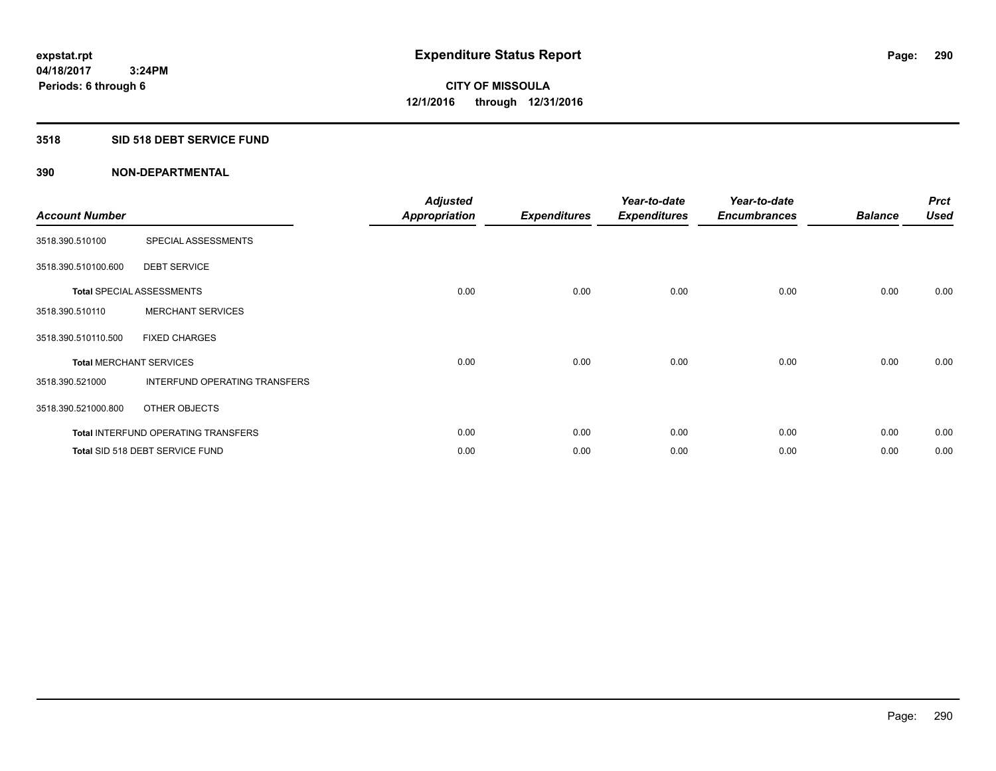## **3518 SID 518 DEBT SERVICE FUND**

| <b>Account Number</b> |                                            | <b>Adjusted</b><br><b>Appropriation</b> | <b>Expenditures</b> | Year-to-date<br><b>Expenditures</b> | Year-to-date<br><b>Encumbrances</b> | <b>Balance</b> | <b>Prct</b><br><b>Used</b> |
|-----------------------|--------------------------------------------|-----------------------------------------|---------------------|-------------------------------------|-------------------------------------|----------------|----------------------------|
| 3518.390.510100       | SPECIAL ASSESSMENTS                        |                                         |                     |                                     |                                     |                |                            |
| 3518.390.510100.600   | <b>DEBT SERVICE</b>                        |                                         |                     |                                     |                                     |                |                            |
|                       | <b>Total SPECIAL ASSESSMENTS</b>           | 0.00                                    | 0.00                | 0.00                                | 0.00                                | 0.00           | 0.00                       |
| 3518.390.510110       | <b>MERCHANT SERVICES</b>                   |                                         |                     |                                     |                                     |                |                            |
| 3518.390.510110.500   | <b>FIXED CHARGES</b>                       |                                         |                     |                                     |                                     |                |                            |
|                       | <b>Total MERCHANT SERVICES</b>             | 0.00                                    | 0.00                | 0.00                                | 0.00                                | 0.00           | 0.00                       |
| 3518.390.521000       | INTERFUND OPERATING TRANSFERS              |                                         |                     |                                     |                                     |                |                            |
| 3518.390.521000.800   | OTHER OBJECTS                              |                                         |                     |                                     |                                     |                |                            |
|                       | <b>Total INTERFUND OPERATING TRANSFERS</b> | 0.00                                    | 0.00                | 0.00                                | 0.00                                | 0.00           | 0.00                       |
|                       | Total SID 518 DEBT SERVICE FUND            | 0.00                                    | 0.00                | 0.00                                | 0.00                                | 0.00           | 0.00                       |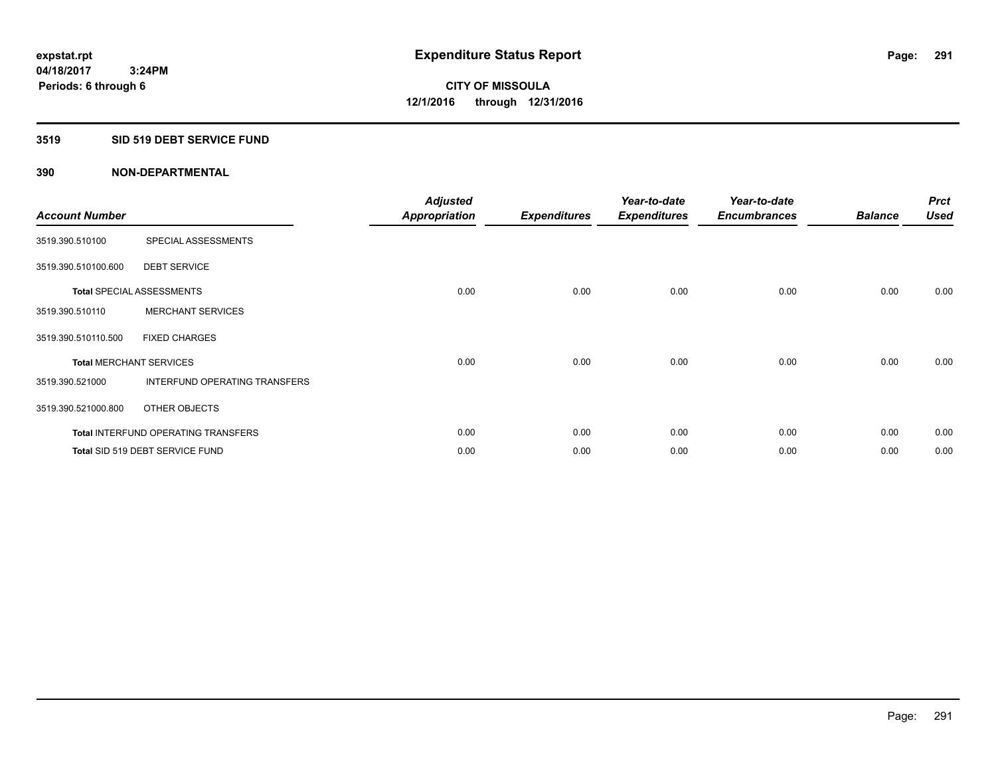## **3519 SID 519 DEBT SERVICE FUND**

| <b>Account Number</b> |                                            | <b>Adjusted</b><br><b>Appropriation</b> | <b>Expenditures</b> | Year-to-date<br><b>Expenditures</b> | Year-to-date<br><b>Encumbrances</b> | <b>Balance</b> | <b>Prct</b><br><b>Used</b> |
|-----------------------|--------------------------------------------|-----------------------------------------|---------------------|-------------------------------------|-------------------------------------|----------------|----------------------------|
| 3519.390.510100       | SPECIAL ASSESSMENTS                        |                                         |                     |                                     |                                     |                |                            |
| 3519.390.510100.600   | <b>DEBT SERVICE</b>                        |                                         |                     |                                     |                                     |                |                            |
|                       | <b>Total SPECIAL ASSESSMENTS</b>           | 0.00                                    | 0.00                | 0.00                                | 0.00                                | 0.00           | 0.00                       |
| 3519.390.510110       | <b>MERCHANT SERVICES</b>                   |                                         |                     |                                     |                                     |                |                            |
| 3519.390.510110.500   | <b>FIXED CHARGES</b>                       |                                         |                     |                                     |                                     |                |                            |
|                       | <b>Total MERCHANT SERVICES</b>             | 0.00                                    | 0.00                | 0.00                                | 0.00                                | 0.00           | 0.00                       |
| 3519.390.521000       | <b>INTERFUND OPERATING TRANSFERS</b>       |                                         |                     |                                     |                                     |                |                            |
| 3519.390.521000.800   | OTHER OBJECTS                              |                                         |                     |                                     |                                     |                |                            |
|                       | <b>Total INTERFUND OPERATING TRANSFERS</b> | 0.00                                    | 0.00                | 0.00                                | 0.00                                | 0.00           | 0.00                       |
|                       | Total SID 519 DEBT SERVICE FUND            | 0.00                                    | 0.00                | 0.00                                | 0.00                                | 0.00           | 0.00                       |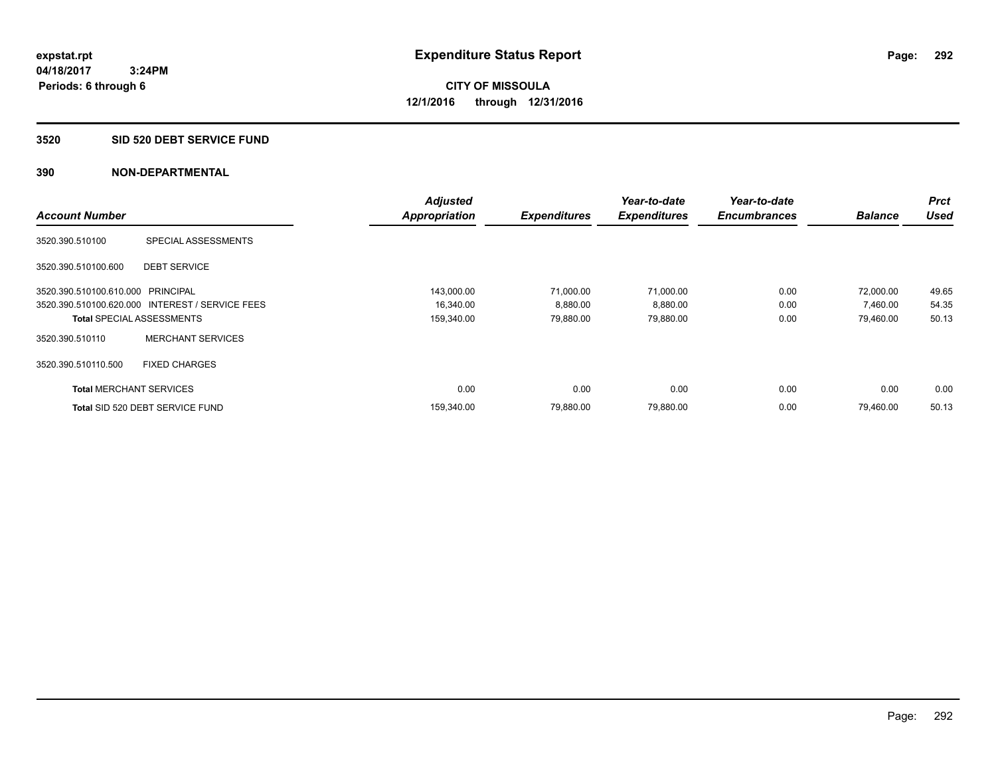#### **3520 SID 520 DEBT SERVICE FUND**

|                                   |                                                 | <b>Adjusted</b>      |                     | Year-to-date        | Year-to-date        |                | <b>Prct</b> |
|-----------------------------------|-------------------------------------------------|----------------------|---------------------|---------------------|---------------------|----------------|-------------|
| <b>Account Number</b>             |                                                 | <b>Appropriation</b> | <b>Expenditures</b> | <b>Expenditures</b> | <b>Encumbrances</b> | <b>Balance</b> | <b>Used</b> |
| 3520.390.510100                   | SPECIAL ASSESSMENTS                             |                      |                     |                     |                     |                |             |
| 3520.390.510100.600               | <b>DEBT SERVICE</b>                             |                      |                     |                     |                     |                |             |
| 3520.390.510100.610.000 PRINCIPAL |                                                 | 143,000.00           | 71,000.00           | 71,000.00           | 0.00                | 72,000.00      | 49.65       |
|                                   | 3520.390.510100.620.000 INTEREST / SERVICE FEES | 16,340.00            | 8,880.00            | 8,880.00            | 0.00                | 7,460.00       | 54.35       |
|                                   | <b>Total SPECIAL ASSESSMENTS</b>                | 159,340.00           | 79,880.00           | 79,880.00           | 0.00                | 79,460.00      | 50.13       |
| 3520.390.510110                   | <b>MERCHANT SERVICES</b>                        |                      |                     |                     |                     |                |             |
| 3520.390.510110.500               | <b>FIXED CHARGES</b>                            |                      |                     |                     |                     |                |             |
| <b>Total MERCHANT SERVICES</b>    |                                                 | 0.00                 | 0.00                | 0.00                | 0.00                | 0.00           | 0.00        |
|                                   | Total SID 520 DEBT SERVICE FUND                 | 159,340.00           | 79,880.00           | 79,880.00           | 0.00                | 79,460.00      | 50.13       |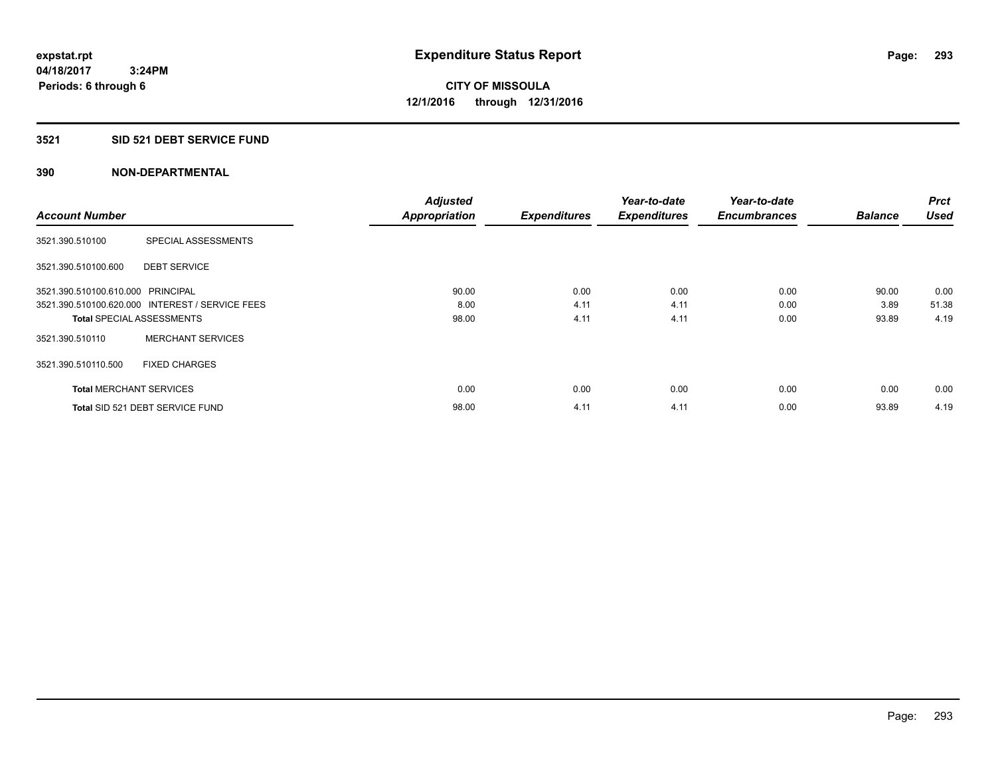## **3521 SID 521 DEBT SERVICE FUND**

|                                   |                                                 | <b>Adjusted</b>      |                     | Year-to-date        | Year-to-date        |                | <b>Prct</b> |
|-----------------------------------|-------------------------------------------------|----------------------|---------------------|---------------------|---------------------|----------------|-------------|
| <b>Account Number</b>             |                                                 | <b>Appropriation</b> | <b>Expenditures</b> | <b>Expenditures</b> | <b>Encumbrances</b> | <b>Balance</b> | <b>Used</b> |
| 3521.390.510100                   | SPECIAL ASSESSMENTS                             |                      |                     |                     |                     |                |             |
| 3521.390.510100.600               | <b>DEBT SERVICE</b>                             |                      |                     |                     |                     |                |             |
| 3521.390.510100.610.000 PRINCIPAL |                                                 | 90.00                | 0.00                | 0.00                | 0.00                | 90.00          | 0.00        |
|                                   | 3521.390.510100.620.000 INTEREST / SERVICE FEES | 8.00                 | 4.11                | 4.11                | 0.00                | 3.89           | 51.38       |
| <b>Total SPECIAL ASSESSMENTS</b>  |                                                 | 98.00                | 4.11                | 4.11                | 0.00                | 93.89          | 4.19        |
| 3521.390.510110                   | <b>MERCHANT SERVICES</b>                        |                      |                     |                     |                     |                |             |
| 3521.390.510110.500               | <b>FIXED CHARGES</b>                            |                      |                     |                     |                     |                |             |
| <b>Total MERCHANT SERVICES</b>    |                                                 | 0.00                 | 0.00                | 0.00                | 0.00                | 0.00           | 0.00        |
|                                   | Total SID 521 DEBT SERVICE FUND                 | 98.00                | 4.11                | 4.11                | 0.00                | 93.89          | 4.19        |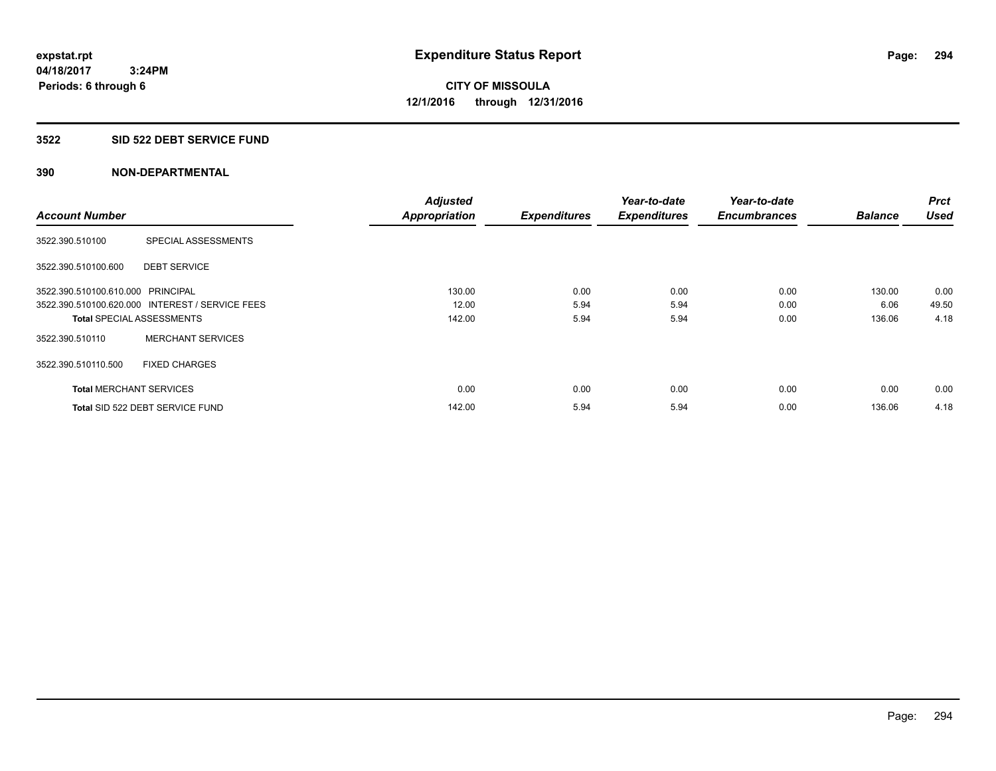### **3522 SID 522 DEBT SERVICE FUND**

|                                   |                                                 | <b>Adjusted</b>      |                     | Year-to-date        | Year-to-date        |                | <b>Prct</b> |
|-----------------------------------|-------------------------------------------------|----------------------|---------------------|---------------------|---------------------|----------------|-------------|
| <b>Account Number</b>             |                                                 | <b>Appropriation</b> | <b>Expenditures</b> | <b>Expenditures</b> | <b>Encumbrances</b> | <b>Balance</b> | <b>Used</b> |
| 3522.390.510100                   | SPECIAL ASSESSMENTS                             |                      |                     |                     |                     |                |             |
| 3522.390.510100.600               | <b>DEBT SERVICE</b>                             |                      |                     |                     |                     |                |             |
| 3522.390.510100.610.000 PRINCIPAL |                                                 | 130.00               | 0.00                | 0.00                | 0.00                | 130.00         | 0.00        |
|                                   | 3522.390.510100.620.000 INTEREST / SERVICE FEES | 12.00                | 5.94                | 5.94                | 0.00                | 6.06           | 49.50       |
| <b>Total SPECIAL ASSESSMENTS</b>  |                                                 | 142.00               | 5.94                | 5.94                | 0.00                | 136.06         | 4.18        |
| 3522.390.510110                   | <b>MERCHANT SERVICES</b>                        |                      |                     |                     |                     |                |             |
| 3522.390.510110.500               | <b>FIXED CHARGES</b>                            |                      |                     |                     |                     |                |             |
| <b>Total MERCHANT SERVICES</b>    |                                                 | 0.00                 | 0.00                | 0.00                | 0.00                | 0.00           | 0.00        |
|                                   | Total SID 522 DEBT SERVICE FUND                 | 142.00               | 5.94                | 5.94                | 0.00                | 136.06         | 4.18        |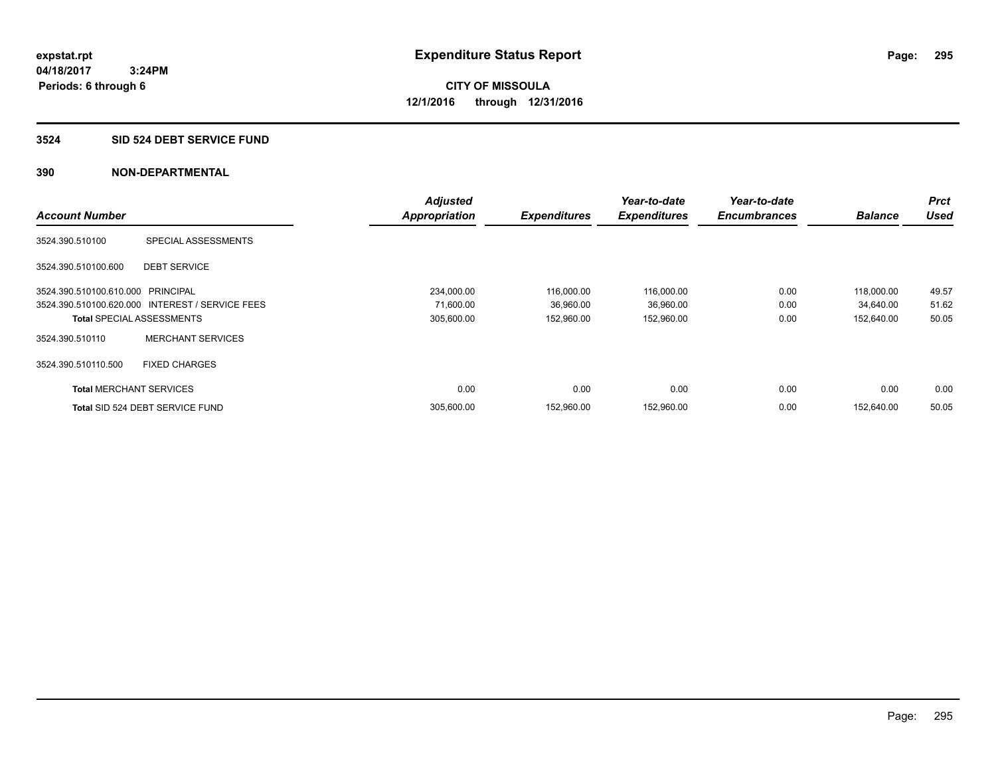## **3524 SID 524 DEBT SERVICE FUND**

|                                   |                                                 | <b>Adjusted</b> |                     | Year-to-date        | Year-to-date        |                | <b>Prct</b> |
|-----------------------------------|-------------------------------------------------|-----------------|---------------------|---------------------|---------------------|----------------|-------------|
| <b>Account Number</b>             |                                                 | Appropriation   | <b>Expenditures</b> | <b>Expenditures</b> | <b>Encumbrances</b> | <b>Balance</b> | <b>Used</b> |
| 3524.390.510100                   | SPECIAL ASSESSMENTS                             |                 |                     |                     |                     |                |             |
| 3524.390.510100.600               | <b>DEBT SERVICE</b>                             |                 |                     |                     |                     |                |             |
| 3524.390.510100.610.000 PRINCIPAL |                                                 | 234,000.00      | 116,000.00          | 116,000.00          | 0.00                | 118,000.00     | 49.57       |
|                                   | 3524.390.510100.620.000 INTEREST / SERVICE FEES | 71,600.00       | 36,960.00           | 36,960.00           | 0.00                | 34,640.00      | 51.62       |
|                                   | <b>Total SPECIAL ASSESSMENTS</b>                | 305,600.00      | 152,960.00          | 152,960.00          | 0.00                | 152,640.00     | 50.05       |
| 3524.390.510110                   | <b>MERCHANT SERVICES</b>                        |                 |                     |                     |                     |                |             |
| 3524.390.510110.500               | <b>FIXED CHARGES</b>                            |                 |                     |                     |                     |                |             |
| <b>Total MERCHANT SERVICES</b>    |                                                 | 0.00            | 0.00                | 0.00                | 0.00                | 0.00           | 0.00        |
|                                   | Total SID 524 DEBT SERVICE FUND                 | 305,600.00      | 152,960.00          | 152,960.00          | 0.00                | 152,640.00     | 50.05       |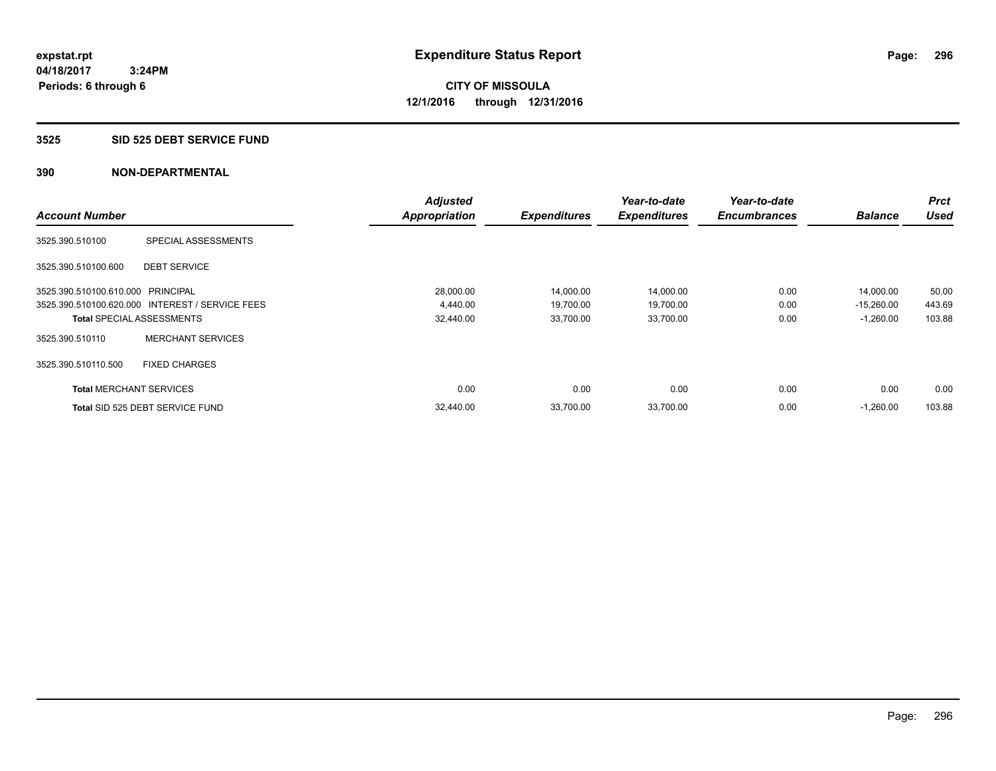### **3525 SID 525 DEBT SERVICE FUND**

|                                   |                                                 | <b>Adjusted</b>      |                     | Year-to-date        | Year-to-date        |                | <b>Prct</b> |
|-----------------------------------|-------------------------------------------------|----------------------|---------------------|---------------------|---------------------|----------------|-------------|
| <b>Account Number</b>             |                                                 | <b>Appropriation</b> | <b>Expenditures</b> | <b>Expenditures</b> | <b>Encumbrances</b> | <b>Balance</b> | <b>Used</b> |
| 3525.390.510100                   | SPECIAL ASSESSMENTS                             |                      |                     |                     |                     |                |             |
| 3525.390.510100.600               | <b>DEBT SERVICE</b>                             |                      |                     |                     |                     |                |             |
| 3525.390.510100.610.000 PRINCIPAL |                                                 | 28,000.00            | 14,000.00           | 14,000.00           | 0.00                | 14,000.00      | 50.00       |
|                                   | 3525.390.510100.620.000 INTEREST / SERVICE FEES | 4,440.00             | 19,700.00           | 19,700.00           | 0.00                | $-15,260.00$   | 443.69      |
| <b>Total SPECIAL ASSESSMENTS</b>  |                                                 | 32,440.00            | 33,700.00           | 33,700.00           | 0.00                | $-1,260.00$    | 103.88      |
| 3525.390.510110                   | <b>MERCHANT SERVICES</b>                        |                      |                     |                     |                     |                |             |
| 3525.390.510110.500               | <b>FIXED CHARGES</b>                            |                      |                     |                     |                     |                |             |
| <b>Total MERCHANT SERVICES</b>    |                                                 | 0.00                 | 0.00                | 0.00                | 0.00                | 0.00           | 0.00        |
|                                   | Total SID 525 DEBT SERVICE FUND                 | 32,440.00            | 33,700.00           | 33,700.00           | 0.00                | $-1,260.00$    | 103.88      |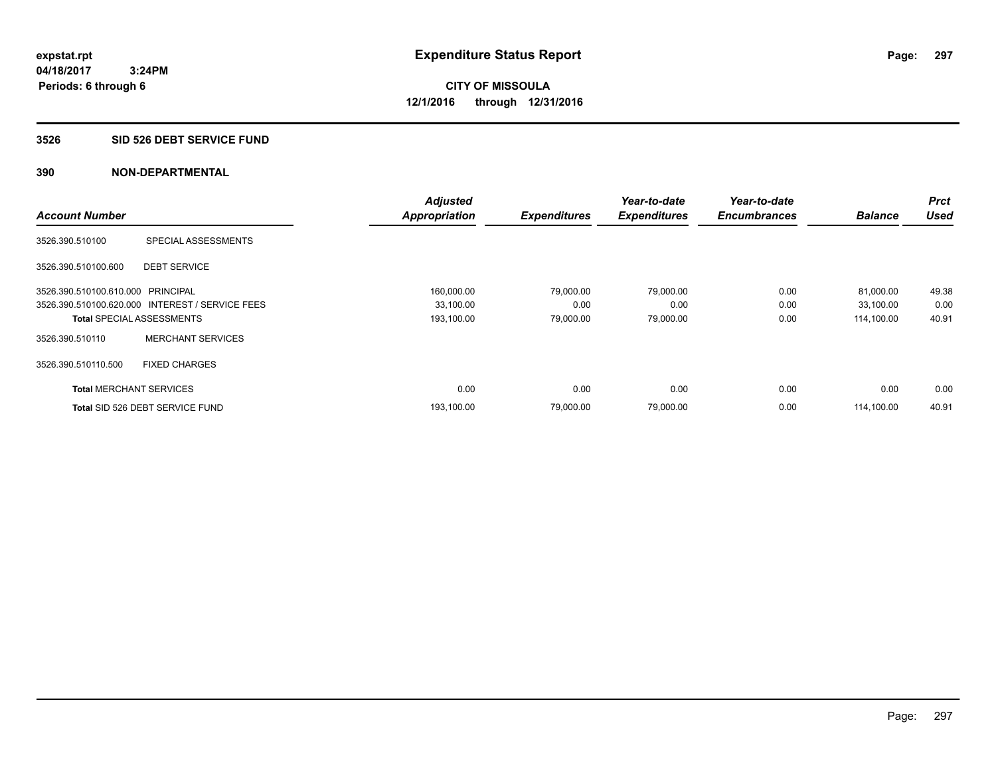### **3526 SID 526 DEBT SERVICE FUND**

|                                   |                                                 | <b>Adjusted</b>      |                     | Year-to-date        | Year-to-date        |                | <b>Prct</b> |
|-----------------------------------|-------------------------------------------------|----------------------|---------------------|---------------------|---------------------|----------------|-------------|
| <b>Account Number</b>             |                                                 | <b>Appropriation</b> | <b>Expenditures</b> | <b>Expenditures</b> | <b>Encumbrances</b> | <b>Balance</b> | <b>Used</b> |
| 3526.390.510100                   | SPECIAL ASSESSMENTS                             |                      |                     |                     |                     |                |             |
| 3526.390.510100.600               | <b>DEBT SERVICE</b>                             |                      |                     |                     |                     |                |             |
| 3526.390.510100.610.000 PRINCIPAL |                                                 | 160,000.00           | 79,000.00           | 79,000.00           | 0.00                | 81,000.00      | 49.38       |
|                                   | 3526.390.510100.620.000 INTEREST / SERVICE FEES | 33,100.00            | 0.00                | 0.00                | 0.00                | 33,100.00      | 0.00        |
| <b>Total SPECIAL ASSESSMENTS</b>  |                                                 | 193,100.00           | 79,000.00           | 79,000.00           | 0.00                | 114,100.00     | 40.91       |
| 3526.390.510110                   | <b>MERCHANT SERVICES</b>                        |                      |                     |                     |                     |                |             |
| 3526.390.510110.500               | <b>FIXED CHARGES</b>                            |                      |                     |                     |                     |                |             |
| <b>Total MERCHANT SERVICES</b>    |                                                 | 0.00                 | 0.00                | 0.00                | 0.00                | 0.00           | 0.00        |
|                                   | Total SID 526 DEBT SERVICE FUND                 | 193,100.00           | 79,000.00           | 79,000.00           | 0.00                | 114,100.00     | 40.91       |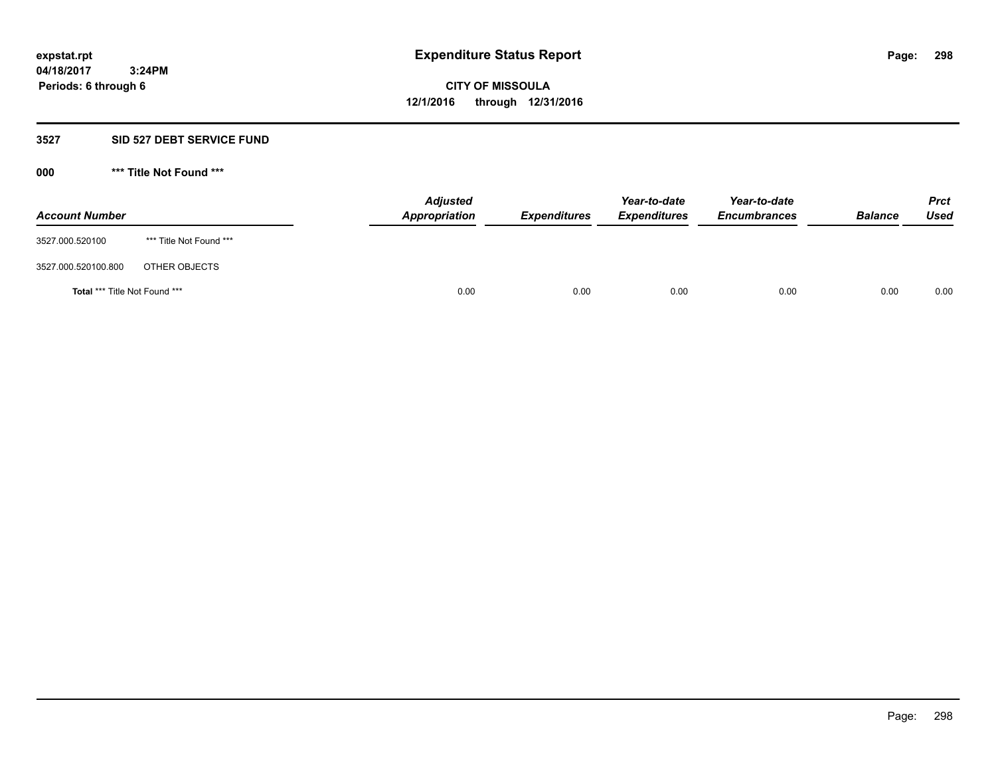### **3527 SID 527 DEBT SERVICE FUND**

**000 \*\*\* Title Not Found \*\*\***

| <b>Account Number</b>                |                         | <b>Adjusted</b><br><b>Appropriation</b> | <b>Expenditures</b> | Year-to-date<br><b>Expenditures</b> | Year-to-date<br><b>Encumbrances</b> | <b>Balance</b> | <b>Prct</b><br>Used |
|--------------------------------------|-------------------------|-----------------------------------------|---------------------|-------------------------------------|-------------------------------------|----------------|---------------------|
| 3527.000.520100                      | *** Title Not Found *** |                                         |                     |                                     |                                     |                |                     |
| 3527.000.520100.800                  | OTHER OBJECTS           |                                         |                     |                                     |                                     |                |                     |
| <b>Total *** Title Not Found ***</b> |                         | 0.00                                    | 0.00                | 0.00                                | 0.00                                | 0.00           | 0.00                |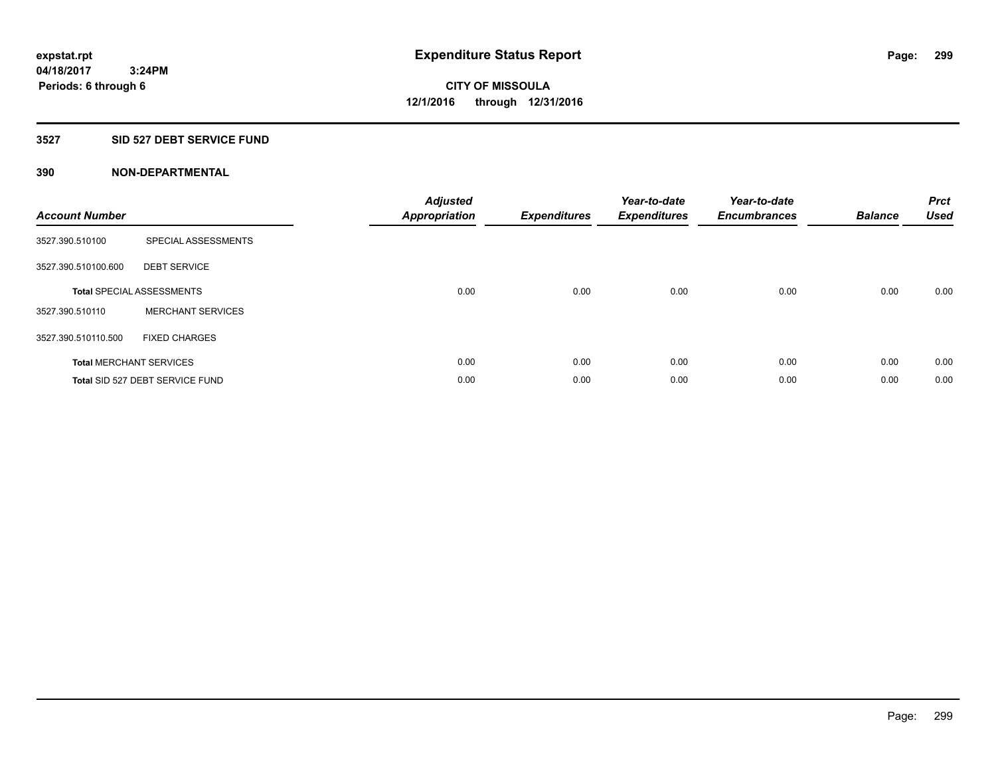## **3527 SID 527 DEBT SERVICE FUND**

| <b>Account Number</b> |                                  | <b>Adjusted</b><br><b>Appropriation</b> | <b>Expenditures</b> | Year-to-date<br><b>Expenditures</b> | Year-to-date<br><b>Encumbrances</b> | <b>Balance</b> | <b>Prct</b><br>Used |
|-----------------------|----------------------------------|-----------------------------------------|---------------------|-------------------------------------|-------------------------------------|----------------|---------------------|
| 3527.390.510100       | SPECIAL ASSESSMENTS              |                                         |                     |                                     |                                     |                |                     |
| 3527.390.510100.600   | <b>DEBT SERVICE</b>              |                                         |                     |                                     |                                     |                |                     |
|                       | <b>Total SPECIAL ASSESSMENTS</b> | 0.00                                    | 0.00                | 0.00                                | 0.00                                | 0.00           | 0.00                |
| 3527.390.510110       | <b>MERCHANT SERVICES</b>         |                                         |                     |                                     |                                     |                |                     |
| 3527.390.510110.500   | <b>FIXED CHARGES</b>             |                                         |                     |                                     |                                     |                |                     |
|                       | <b>Total MERCHANT SERVICES</b>   | 0.00                                    | 0.00                | 0.00                                | 0.00                                | 0.00           | 0.00                |
|                       | Total SID 527 DEBT SERVICE FUND  | 0.00                                    | 0.00                | 0.00                                | 0.00                                | 0.00           | 0.00                |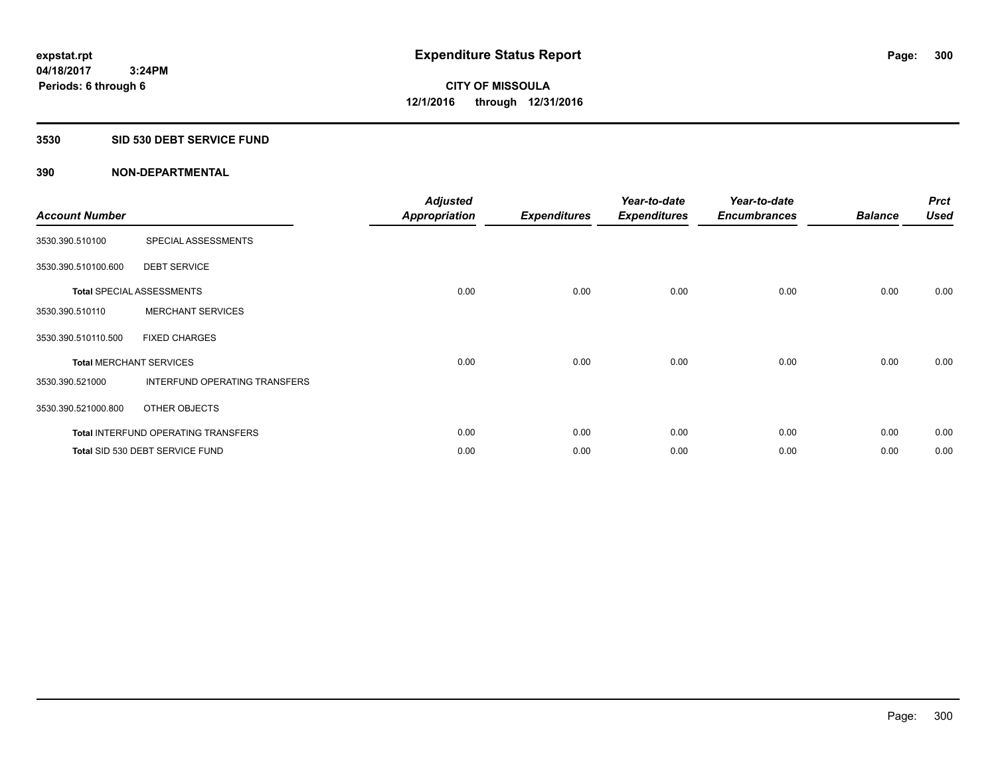### **3530 SID 530 DEBT SERVICE FUND**

| <b>Account Number</b> |                                            | <b>Adjusted</b><br>Appropriation | <b>Expenditures</b> | Year-to-date<br><b>Expenditures</b> | Year-to-date<br><b>Encumbrances</b> | <b>Balance</b> | <b>Prct</b><br><b>Used</b> |
|-----------------------|--------------------------------------------|----------------------------------|---------------------|-------------------------------------|-------------------------------------|----------------|----------------------------|
| 3530.390.510100       | SPECIAL ASSESSMENTS                        |                                  |                     |                                     |                                     |                |                            |
| 3530.390.510100.600   | <b>DEBT SERVICE</b>                        |                                  |                     |                                     |                                     |                |                            |
|                       | <b>Total SPECIAL ASSESSMENTS</b>           | 0.00                             | 0.00                | 0.00                                | 0.00                                | 0.00           | 0.00                       |
| 3530.390.510110       | <b>MERCHANT SERVICES</b>                   |                                  |                     |                                     |                                     |                |                            |
| 3530.390.510110.500   | <b>FIXED CHARGES</b>                       |                                  |                     |                                     |                                     |                |                            |
|                       | <b>Total MERCHANT SERVICES</b>             | 0.00                             | 0.00                | 0.00                                | 0.00                                | 0.00           | 0.00                       |
| 3530.390.521000       | <b>INTERFUND OPERATING TRANSFERS</b>       |                                  |                     |                                     |                                     |                |                            |
| 3530.390.521000.800   | OTHER OBJECTS                              |                                  |                     |                                     |                                     |                |                            |
|                       | <b>Total INTERFUND OPERATING TRANSFERS</b> | 0.00                             | 0.00                | 0.00                                | 0.00                                | 0.00           | 0.00                       |
|                       | Total SID 530 DEBT SERVICE FUND            | 0.00                             | 0.00                | 0.00                                | 0.00                                | 0.00           | 0.00                       |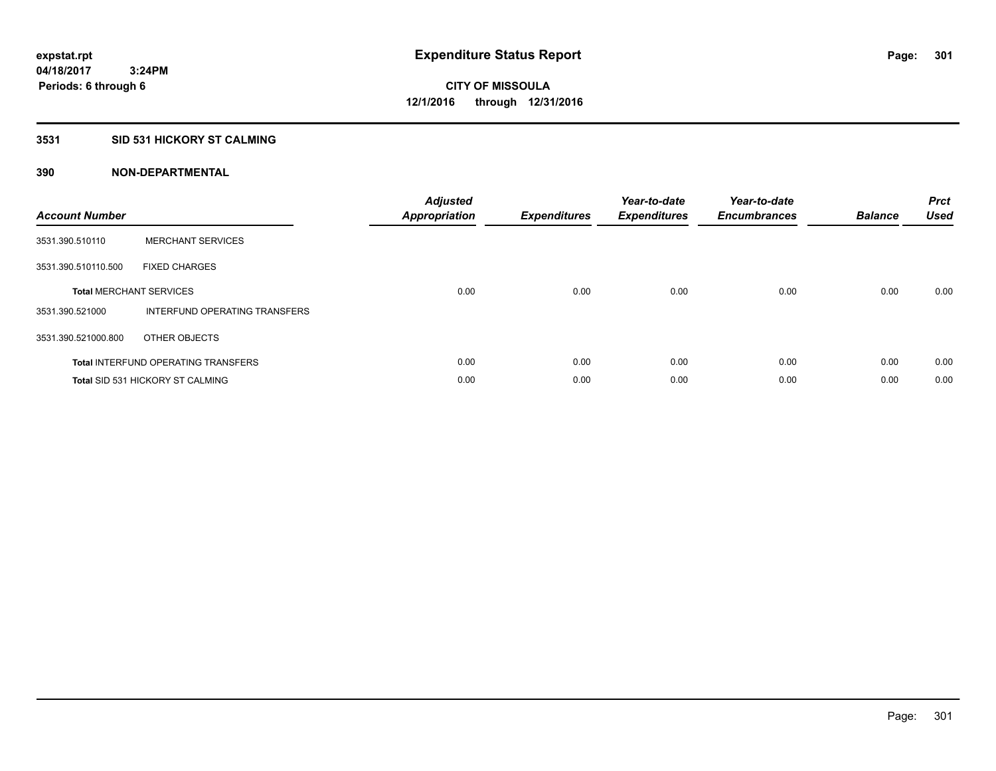## **3531 SID 531 HICKORY ST CALMING**

| <b>Account Number</b> |                                            | <b>Adjusted</b><br>Appropriation | <b>Expenditures</b> | Year-to-date<br><b>Expenditures</b> | Year-to-date<br><b>Encumbrances</b> | <b>Balance</b> | <b>Prct</b><br><b>Used</b> |
|-----------------------|--------------------------------------------|----------------------------------|---------------------|-------------------------------------|-------------------------------------|----------------|----------------------------|
| 3531.390.510110       | <b>MERCHANT SERVICES</b>                   |                                  |                     |                                     |                                     |                |                            |
| 3531.390.510110.500   | <b>FIXED CHARGES</b>                       |                                  |                     |                                     |                                     |                |                            |
|                       | <b>Total MERCHANT SERVICES</b>             | 0.00                             | 0.00                | 0.00                                | 0.00                                | 0.00           | 0.00                       |
| 3531.390.521000       | INTERFUND OPERATING TRANSFERS              |                                  |                     |                                     |                                     |                |                            |
| 3531.390.521000.800   | OTHER OBJECTS                              |                                  |                     |                                     |                                     |                |                            |
|                       | <b>Total INTERFUND OPERATING TRANSFERS</b> | 0.00                             | 0.00                | 0.00                                | 0.00                                | 0.00           | 0.00                       |
|                       | <b>Total SID 531 HICKORY ST CALMING</b>    | 0.00                             | 0.00                | 0.00                                | 0.00                                | 0.00           | 0.00                       |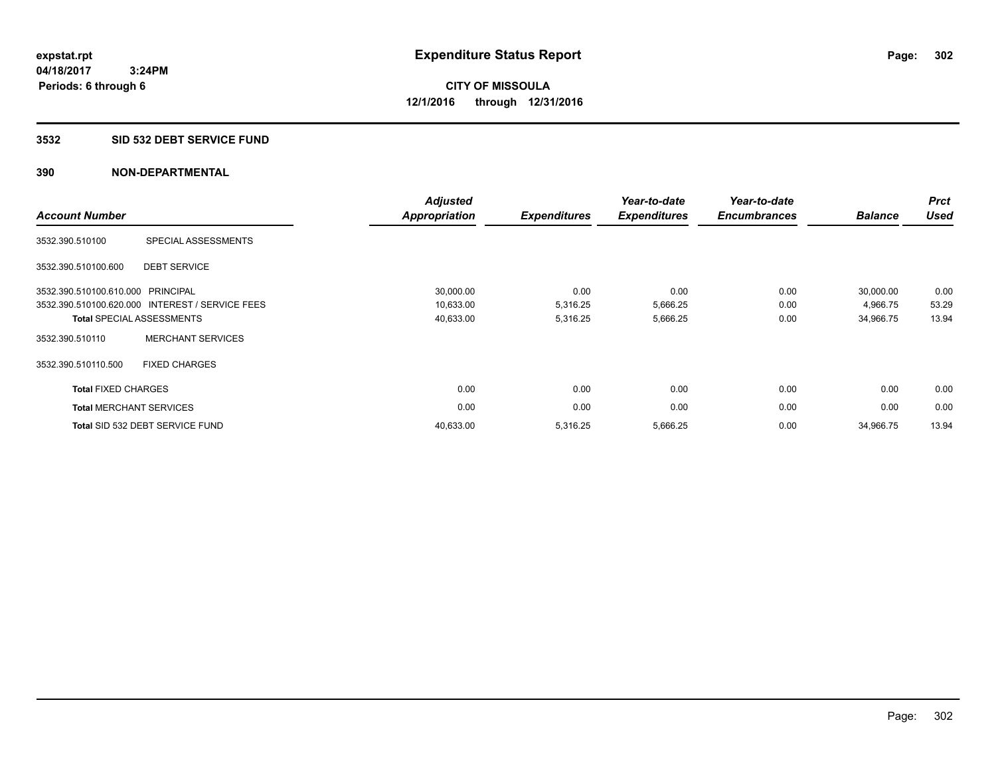#### **3532 SID 532 DEBT SERVICE FUND**

| <b>Account Number</b>          |                                                 | <b>Adjusted</b><br><b>Appropriation</b> | <b>Expenditures</b> | Year-to-date<br><b>Expenditures</b> | Year-to-date<br><b>Encumbrances</b> | <b>Balance</b> | <b>Prct</b><br><b>Used</b> |
|--------------------------------|-------------------------------------------------|-----------------------------------------|---------------------|-------------------------------------|-------------------------------------|----------------|----------------------------|
| 3532.390.510100                | SPECIAL ASSESSMENTS                             |                                         |                     |                                     |                                     |                |                            |
| 3532.390.510100.600            | <b>DEBT SERVICE</b>                             |                                         |                     |                                     |                                     |                |                            |
| 3532.390.510100.610.000        | PRINCIPAL                                       | 30,000.00                               | 0.00                | 0.00                                | 0.00                                | 30,000.00      | 0.00                       |
|                                | 3532.390.510100.620.000 INTEREST / SERVICE FEES | 10,633.00                               | 5,316.25            | 5,666.25                            | 0.00                                | 4,966.75       | 53.29                      |
|                                | <b>Total SPECIAL ASSESSMENTS</b>                | 40,633.00                               | 5,316.25            | 5,666.25                            | 0.00                                | 34,966.75      | 13.94                      |
| 3532.390.510110                | <b>MERCHANT SERVICES</b>                        |                                         |                     |                                     |                                     |                |                            |
| 3532.390.510110.500            | <b>FIXED CHARGES</b>                            |                                         |                     |                                     |                                     |                |                            |
| <b>Total FIXED CHARGES</b>     |                                                 | 0.00                                    | 0.00                | 0.00                                | 0.00                                | 0.00           | 0.00                       |
| <b>Total MERCHANT SERVICES</b> |                                                 | 0.00                                    | 0.00                | 0.00                                | 0.00                                | 0.00           | 0.00                       |
|                                | Total SID 532 DEBT SERVICE FUND                 | 40,633.00                               | 5,316.25            | 5,666.25                            | 0.00                                | 34,966.75      | 13.94                      |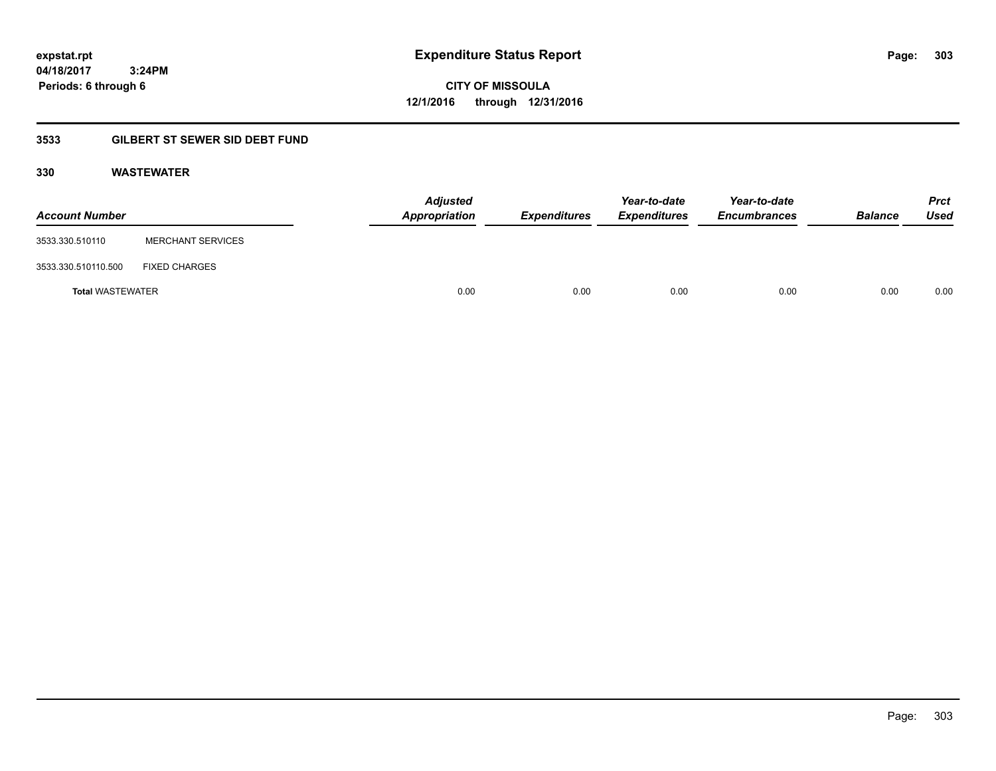**CITY OF MISSOULA 12/1/2016 through 12/31/2016**

# **3533 GILBERT ST SEWER SID DEBT FUND**

## **330 WASTEWATER**

| <b>Account Number</b>   |                          | <b>Adjusted</b><br>Appropriation | <b>Expenditures</b> | Year-to-date<br><b>Expenditures</b> | Year-to-date<br><b>Encumbrances</b> | <b>Balance</b> | <b>Prct</b><br>Used |
|-------------------------|--------------------------|----------------------------------|---------------------|-------------------------------------|-------------------------------------|----------------|---------------------|
| 3533.330.510110         | <b>MERCHANT SERVICES</b> |                                  |                     |                                     |                                     |                |                     |
| 3533.330.510110.500     | <b>FIXED CHARGES</b>     |                                  |                     |                                     |                                     |                |                     |
| <b>Total WASTEWATER</b> |                          | 0.00                             | 0.00                | 0.00                                | 0.00                                | 0.00           | 0.00                |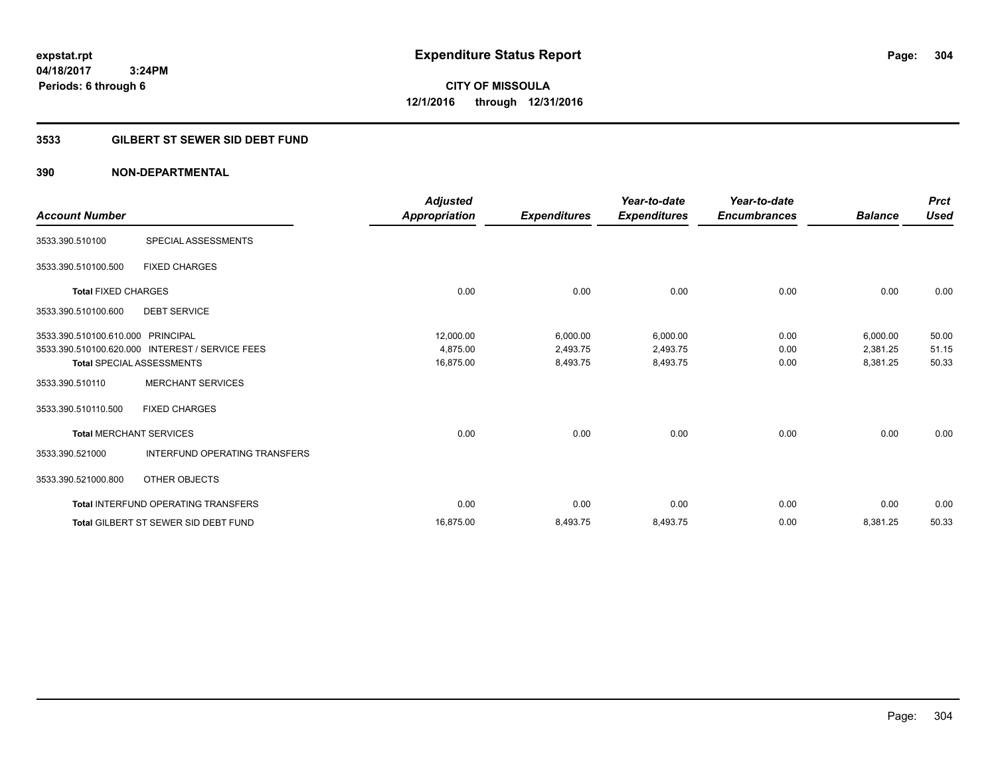**CITY OF MISSOULA 12/1/2016 through 12/31/2016**

## **3533 GILBERT ST SEWER SID DEBT FUND**

| <b>Account Number</b>             |                                                 | <b>Adjusted</b><br><b>Appropriation</b> | <b>Expenditures</b> | Year-to-date<br><b>Expenditures</b> | Year-to-date<br><b>Encumbrances</b> | <b>Balance</b> | <b>Prct</b><br><b>Used</b> |
|-----------------------------------|-------------------------------------------------|-----------------------------------------|---------------------|-------------------------------------|-------------------------------------|----------------|----------------------------|
| 3533.390.510100                   | SPECIAL ASSESSMENTS                             |                                         |                     |                                     |                                     |                |                            |
| 3533.390.510100.500               | <b>FIXED CHARGES</b>                            |                                         |                     |                                     |                                     |                |                            |
| <b>Total FIXED CHARGES</b>        |                                                 | 0.00                                    | 0.00                | 0.00                                | 0.00                                | 0.00           | 0.00                       |
| 3533.390.510100.600               | <b>DEBT SERVICE</b>                             |                                         |                     |                                     |                                     |                |                            |
| 3533.390.510100.610.000 PRINCIPAL |                                                 | 12,000.00                               | 6,000.00            | 6,000.00                            | 0.00                                | 6,000.00       | 50.00                      |
|                                   | 3533.390.510100.620.000 INTEREST / SERVICE FEES | 4,875.00                                | 2,493.75            | 2,493.75                            | 0.00                                | 2,381.25       | 51.15                      |
|                                   | <b>Total SPECIAL ASSESSMENTS</b>                | 16,875.00                               | 8,493.75            | 8,493.75                            | 0.00                                | 8,381.25       | 50.33                      |
| 3533.390.510110                   | <b>MERCHANT SERVICES</b>                        |                                         |                     |                                     |                                     |                |                            |
| 3533.390.510110.500               | <b>FIXED CHARGES</b>                            |                                         |                     |                                     |                                     |                |                            |
| <b>Total MERCHANT SERVICES</b>    |                                                 | 0.00                                    | 0.00                | 0.00                                | 0.00                                | 0.00           | 0.00                       |
| 3533.390.521000                   | <b>INTERFUND OPERATING TRANSFERS</b>            |                                         |                     |                                     |                                     |                |                            |
| 3533.390.521000.800               | <b>OTHER OBJECTS</b>                            |                                         |                     |                                     |                                     |                |                            |
|                                   | <b>Total INTERFUND OPERATING TRANSFERS</b>      | 0.00                                    | 0.00                | 0.00                                | 0.00                                | 0.00           | 0.00                       |
|                                   | <b>Total GILBERT ST SEWER SID DEBT FUND</b>     | 16,875.00                               | 8,493.75            | 8,493.75                            | 0.00                                | 8,381.25       | 50.33                      |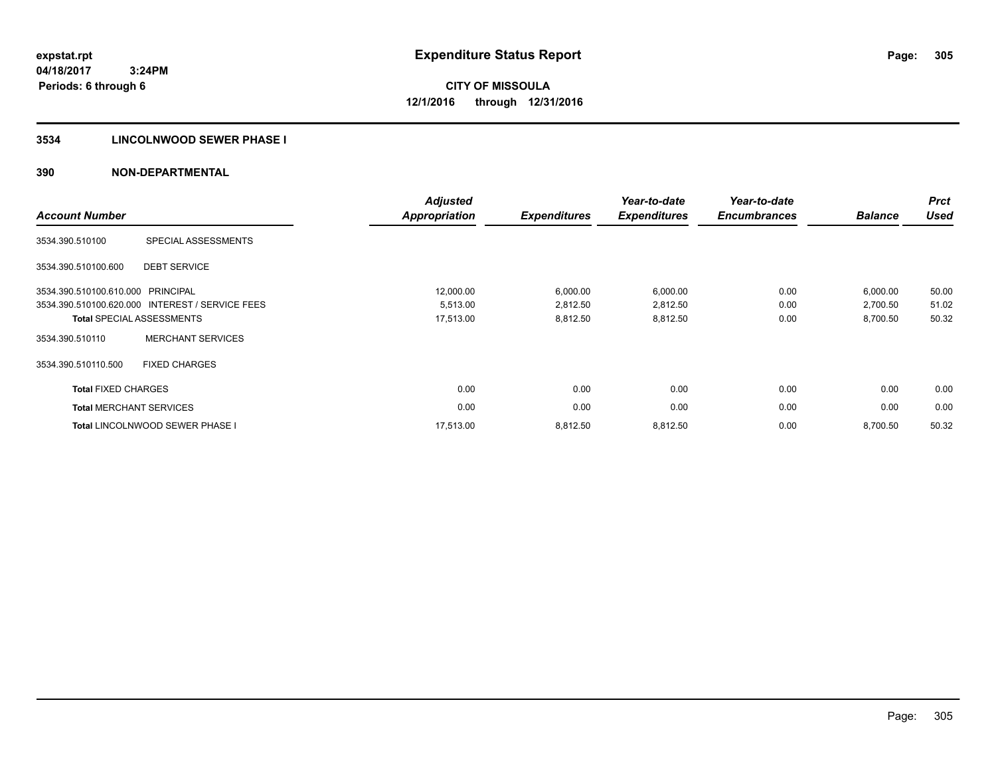## **3534 LINCOLNWOOD SEWER PHASE I**

| <b>Account Number</b>      |                                                 | <b>Adjusted</b><br><b>Appropriation</b> | <b>Expenditures</b> | Year-to-date<br><b>Expenditures</b> | Year-to-date<br><b>Encumbrances</b> | <b>Balance</b> | <b>Prct</b><br><b>Used</b> |
|----------------------------|-------------------------------------------------|-----------------------------------------|---------------------|-------------------------------------|-------------------------------------|----------------|----------------------------|
| 3534.390.510100            | SPECIAL ASSESSMENTS                             |                                         |                     |                                     |                                     |                |                            |
| 3534.390.510100.600        | <b>DEBT SERVICE</b>                             |                                         |                     |                                     |                                     |                |                            |
| 3534.390.510100.610.000    | PRINCIPAL                                       | 12,000.00                               | 6,000.00            | 6,000.00                            | 0.00                                | 6,000.00       | 50.00                      |
|                            | 3534.390.510100.620.000 INTEREST / SERVICE FEES | 5,513.00                                | 2,812.50            | 2,812.50                            | 0.00                                | 2,700.50       | 51.02                      |
|                            | <b>Total SPECIAL ASSESSMENTS</b>                | 17,513.00                               | 8,812.50            | 8,812.50                            | 0.00                                | 8,700.50       | 50.32                      |
| 3534.390.510110            | <b>MERCHANT SERVICES</b>                        |                                         |                     |                                     |                                     |                |                            |
| 3534.390.510110.500        | <b>FIXED CHARGES</b>                            |                                         |                     |                                     |                                     |                |                            |
| <b>Total FIXED CHARGES</b> |                                                 | 0.00                                    | 0.00                | 0.00                                | 0.00                                | 0.00           | 0.00                       |
|                            | <b>Total MERCHANT SERVICES</b>                  | 0.00                                    | 0.00                | 0.00                                | 0.00                                | 0.00           | 0.00                       |
|                            | <b>Total LINCOLNWOOD SEWER PHASE I</b>          | 17.513.00                               | 8,812.50            | 8,812.50                            | 0.00                                | 8,700.50       | 50.32                      |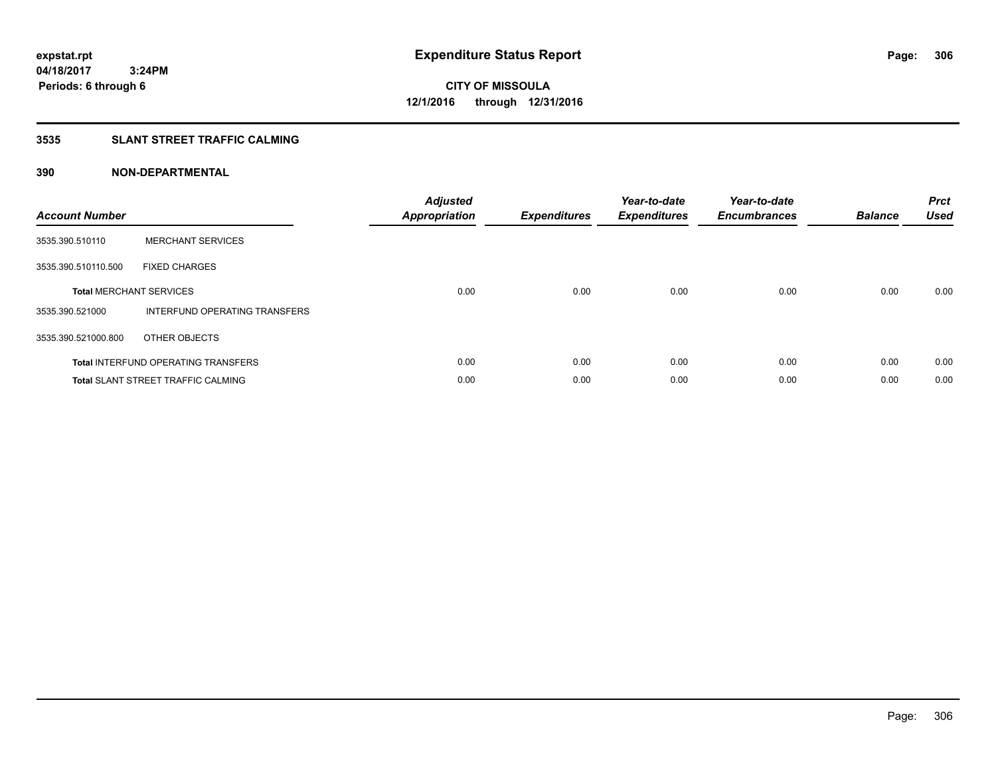## **3535 SLANT STREET TRAFFIC CALMING**

| <b>Account Number</b> |                                            | <b>Adjusted</b><br><b>Appropriation</b> | <b>Expenditures</b> | Year-to-date<br><b>Expenditures</b> | Year-to-date<br><b>Encumbrances</b> | <b>Balance</b> | <b>Prct</b><br><b>Used</b> |
|-----------------------|--------------------------------------------|-----------------------------------------|---------------------|-------------------------------------|-------------------------------------|----------------|----------------------------|
| 3535.390.510110       | <b>MERCHANT SERVICES</b>                   |                                         |                     |                                     |                                     |                |                            |
| 3535.390.510110.500   | <b>FIXED CHARGES</b>                       |                                         |                     |                                     |                                     |                |                            |
|                       | <b>Total MERCHANT SERVICES</b>             | 0.00                                    | 0.00                | 0.00                                | 0.00                                | 0.00           | 0.00                       |
| 3535.390.521000       | INTERFUND OPERATING TRANSFERS              |                                         |                     |                                     |                                     |                |                            |
| 3535.390.521000.800   | OTHER OBJECTS                              |                                         |                     |                                     |                                     |                |                            |
|                       | <b>Total INTERFUND OPERATING TRANSFERS</b> | 0.00                                    | 0.00                | 0.00                                | 0.00                                | 0.00           | 0.00                       |
|                       | <b>Total SLANT STREET TRAFFIC CALMING</b>  | 0.00                                    | 0.00                | 0.00                                | 0.00                                | 0.00           | 0.00                       |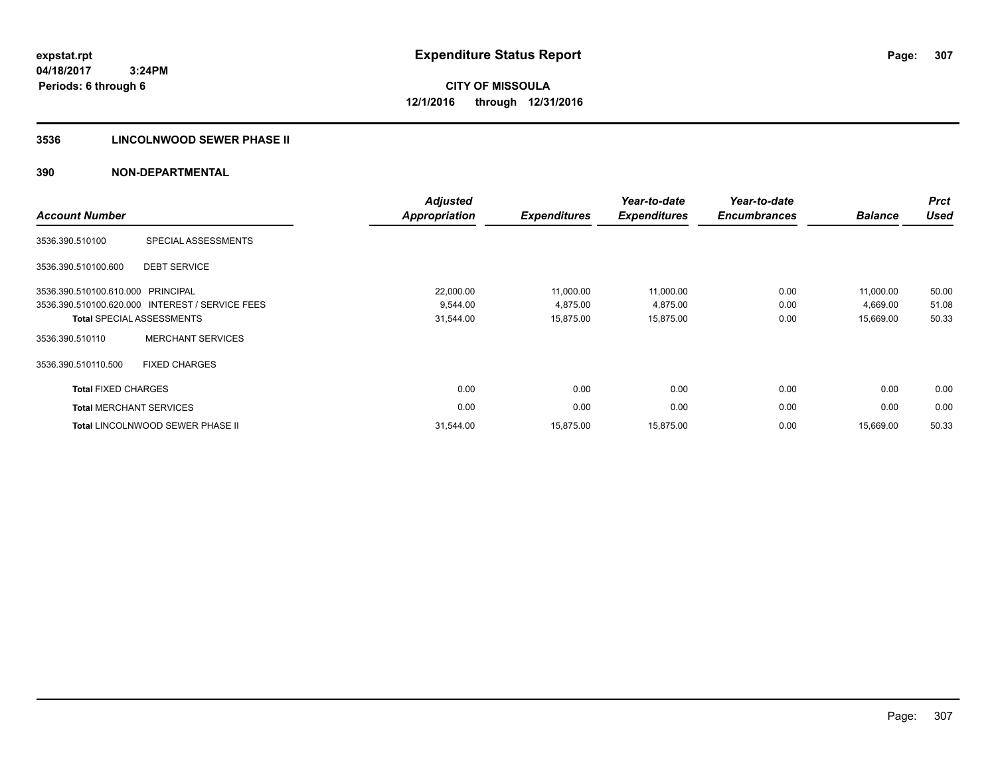## **3536 LINCOLNWOOD SEWER PHASE II**

|                                |                                                 | <b>Adjusted</b>                                                                                                                                                                                                                                                                                                                                                                                                                         | Year-to-date | Year-to-date |  | <b>Prct</b> |
|--------------------------------|-------------------------------------------------|-----------------------------------------------------------------------------------------------------------------------------------------------------------------------------------------------------------------------------------------------------------------------------------------------------------------------------------------------------------------------------------------------------------------------------------------|--------------|--------------|--|-------------|
| <b>Account Number</b>          |                                                 | <b>Appropriation</b><br><b>Expenditures</b><br><b>Balance</b><br><b>Expenditures</b><br><b>Encumbrances</b><br>22,000.00<br>0.00<br>11,000.00<br>11,000.00<br>11.000.00<br>9.544.00<br>4,875.00<br>4,875.00<br>0.00<br>4,669.00<br>31,544.00<br>15,875.00<br>15,875.00<br>0.00<br>15,669.00<br>0.00<br>0.00<br>0.00<br>0.00<br>0.00<br>0.00<br>0.00<br>0.00<br>0.00<br>0.00<br>0.00<br>15,875.00<br>15,875.00<br>31,544.00<br>15,669.00 | <b>Used</b>  |              |  |             |
| 3536.390.510100                | SPECIAL ASSESSMENTS                             |                                                                                                                                                                                                                                                                                                                                                                                                                                         |              |              |  |             |
| 3536.390.510100.600            | <b>DEBT SERVICE</b>                             |                                                                                                                                                                                                                                                                                                                                                                                                                                         |              |              |  |             |
| 3536.390.510100.610.000        | PRINCIPAL                                       |                                                                                                                                                                                                                                                                                                                                                                                                                                         |              |              |  | 50.00       |
|                                | 3536.390.510100.620.000 INTEREST / SERVICE FEES |                                                                                                                                                                                                                                                                                                                                                                                                                                         |              |              |  | 51.08       |
|                                | <b>Total SPECIAL ASSESSMENTS</b>                |                                                                                                                                                                                                                                                                                                                                                                                                                                         |              |              |  | 50.33       |
| 3536.390.510110                | <b>MERCHANT SERVICES</b>                        |                                                                                                                                                                                                                                                                                                                                                                                                                                         |              |              |  |             |
| 3536.390.510110.500            | <b>FIXED CHARGES</b>                            |                                                                                                                                                                                                                                                                                                                                                                                                                                         |              |              |  |             |
| <b>Total FIXED CHARGES</b>     |                                                 |                                                                                                                                                                                                                                                                                                                                                                                                                                         |              |              |  | 0.00        |
| <b>Total MERCHANT SERVICES</b> |                                                 |                                                                                                                                                                                                                                                                                                                                                                                                                                         |              |              |  | 0.00        |
|                                | <b>Total LINCOLNWOOD SEWER PHASE II</b>         |                                                                                                                                                                                                                                                                                                                                                                                                                                         |              |              |  | 50.33       |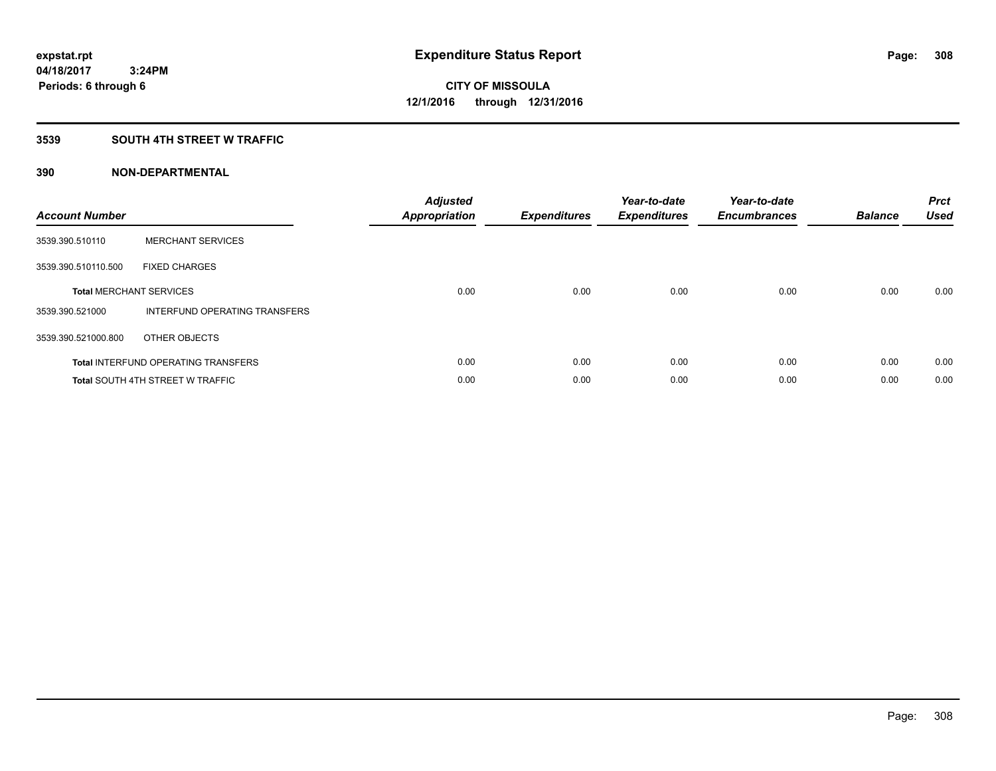## **3539 SOUTH 4TH STREET W TRAFFIC**

| <b>Account Number</b> |                                            | <b>Adjusted</b><br>Appropriation | <b>Expenditures</b> | Year-to-date<br><b>Expenditures</b> | Year-to-date<br><b>Encumbrances</b> | <b>Balance</b> | <b>Prct</b><br><b>Used</b> |
|-----------------------|--------------------------------------------|----------------------------------|---------------------|-------------------------------------|-------------------------------------|----------------|----------------------------|
| 3539.390.510110       | <b>MERCHANT SERVICES</b>                   |                                  |                     |                                     |                                     |                |                            |
| 3539.390.510110.500   | <b>FIXED CHARGES</b>                       |                                  |                     |                                     |                                     |                |                            |
|                       | <b>Total MERCHANT SERVICES</b>             | 0.00                             | 0.00                | 0.00                                | 0.00                                | 0.00           | 0.00                       |
| 3539.390.521000       | INTERFUND OPERATING TRANSFERS              |                                  |                     |                                     |                                     |                |                            |
| 3539.390.521000.800   | OTHER OBJECTS                              |                                  |                     |                                     |                                     |                |                            |
|                       | <b>Total INTERFUND OPERATING TRANSFERS</b> | 0.00                             | 0.00                | 0.00                                | 0.00                                | 0.00           | 0.00                       |
|                       | <b>Total SOUTH 4TH STREET W TRAFFIC</b>    | 0.00                             | 0.00                | 0.00                                | 0.00                                | 0.00           | 0.00                       |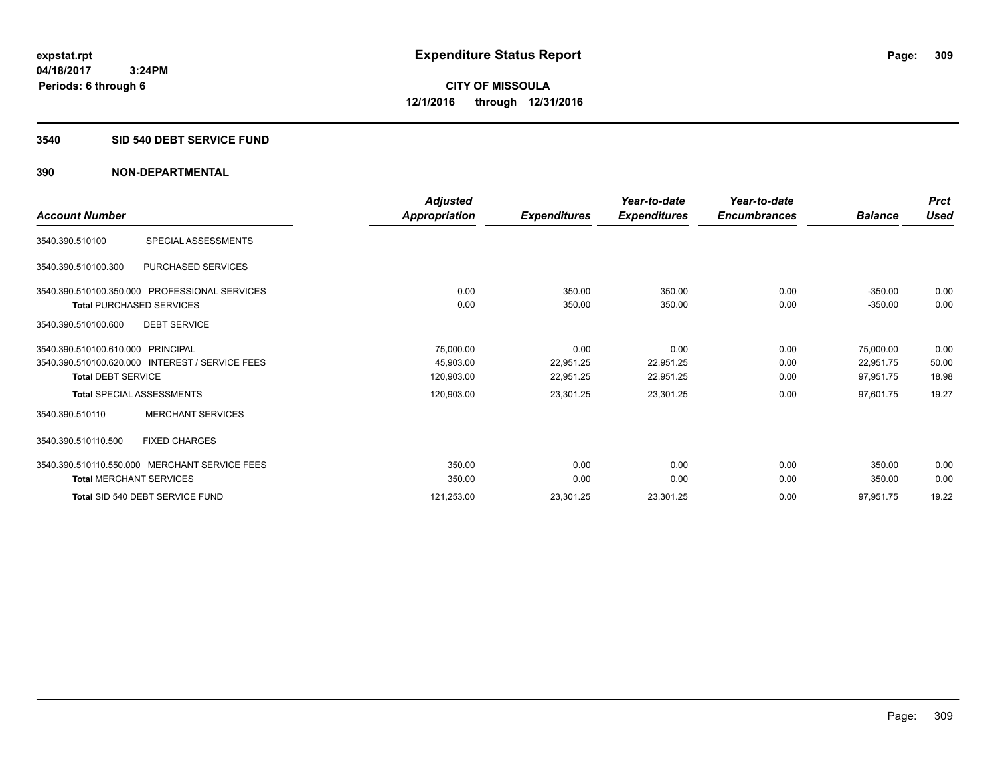#### **3540 SID 540 DEBT SERVICE FUND**

|                                                 | <b>Adjusted</b> |                     | Year-to-date        | Year-to-date        |                | <b>Prct</b> |
|-------------------------------------------------|-----------------|---------------------|---------------------|---------------------|----------------|-------------|
| <b>Account Number</b>                           | Appropriation   | <b>Expenditures</b> | <b>Expenditures</b> | <b>Encumbrances</b> | <b>Balance</b> | <b>Used</b> |
| SPECIAL ASSESSMENTS<br>3540.390.510100          |                 |                     |                     |                     |                |             |
| PURCHASED SERVICES<br>3540.390.510100.300       |                 |                     |                     |                     |                |             |
| 3540.390.510100.350.000 PROFESSIONAL SERVICES   | 0.00            | 350.00              | 350.00              | 0.00                | $-350.00$      | 0.00        |
| <b>Total PURCHASED SERVICES</b>                 | 0.00            | 350.00              | 350.00              | 0.00                | $-350.00$      | 0.00        |
| <b>DEBT SERVICE</b><br>3540.390.510100.600      |                 |                     |                     |                     |                |             |
| 3540.390.510100.610.000 PRINCIPAL               | 75,000.00       | 0.00                | 0.00                | 0.00                | 75,000.00      | 0.00        |
| 3540.390.510100.620.000 INTEREST / SERVICE FEES | 45,903.00       | 22,951.25           | 22,951.25           | 0.00                | 22,951.75      | 50.00       |
| <b>Total DEBT SERVICE</b>                       | 120,903.00      | 22,951.25           | 22,951.25           | 0.00                | 97,951.75      | 18.98       |
| <b>Total SPECIAL ASSESSMENTS</b>                | 120,903.00      | 23,301.25           | 23,301.25           | 0.00                | 97,601.75      | 19.27       |
| <b>MERCHANT SERVICES</b><br>3540.390.510110     |                 |                     |                     |                     |                |             |
| 3540.390.510110.500<br><b>FIXED CHARGES</b>     |                 |                     |                     |                     |                |             |
| 3540.390.510110.550.000 MERCHANT SERVICE FEES   | 350.00          | 0.00                | 0.00                | 0.00                | 350.00         | 0.00        |
| <b>Total MERCHANT SERVICES</b>                  | 350.00          | 0.00                | 0.00                | 0.00                | 350.00         | 0.00        |
| Total SID 540 DEBT SERVICE FUND                 | 121,253.00      | 23,301.25           | 23,301.25           | 0.00                | 97,951.75      | 19.22       |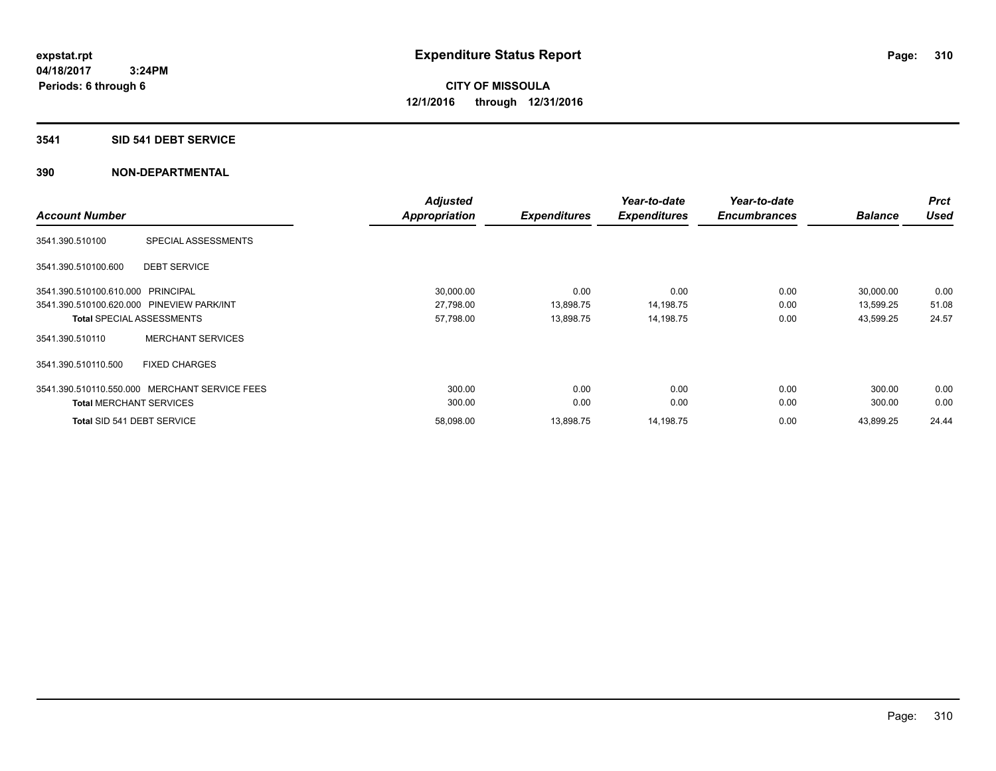### **3541 SID 541 DEBT SERVICE**

| <b>Account Number</b>             |                                               | <b>Adjusted</b><br><b>Appropriation</b> | <b>Expenditures</b> | Year-to-date<br><b>Expenditures</b> | Year-to-date<br><b>Encumbrances</b> | <b>Balance</b> | <b>Prct</b><br><b>Used</b> |
|-----------------------------------|-----------------------------------------------|-----------------------------------------|---------------------|-------------------------------------|-------------------------------------|----------------|----------------------------|
| 3541.390.510100                   | SPECIAL ASSESSMENTS                           |                                         |                     |                                     |                                     |                |                            |
| 3541.390.510100.600               | <b>DEBT SERVICE</b>                           |                                         |                     |                                     |                                     |                |                            |
| 3541.390.510100.610.000 PRINCIPAL |                                               | 30,000.00                               | 0.00                | 0.00                                | 0.00                                | 30,000.00      | 0.00                       |
|                                   | 3541.390.510100.620.000 PINEVIEW PARK/INT     | 27,798.00                               | 13,898.75           | 14,198.75                           | 0.00                                | 13,599.25      | 51.08                      |
|                                   | <b>Total SPECIAL ASSESSMENTS</b>              | 57,798.00                               | 13,898.75           | 14,198.75                           | 0.00                                | 43,599.25      | 24.57                      |
| 3541.390.510110                   | <b>MERCHANT SERVICES</b>                      |                                         |                     |                                     |                                     |                |                            |
| 3541.390.510110.500               | <b>FIXED CHARGES</b>                          |                                         |                     |                                     |                                     |                |                            |
|                                   | 3541.390.510110.550.000 MERCHANT SERVICE FEES | 300.00                                  | 0.00                | 0.00                                | 0.00                                | 300.00         | 0.00                       |
| <b>Total MERCHANT SERVICES</b>    |                                               | 300.00                                  | 0.00                | 0.00                                | 0.00                                | 300.00         | 0.00                       |
|                                   | Total SID 541 DEBT SERVICE                    | 58,098.00                               | 13,898.75           | 14,198.75                           | 0.00                                | 43.899.25      | 24.44                      |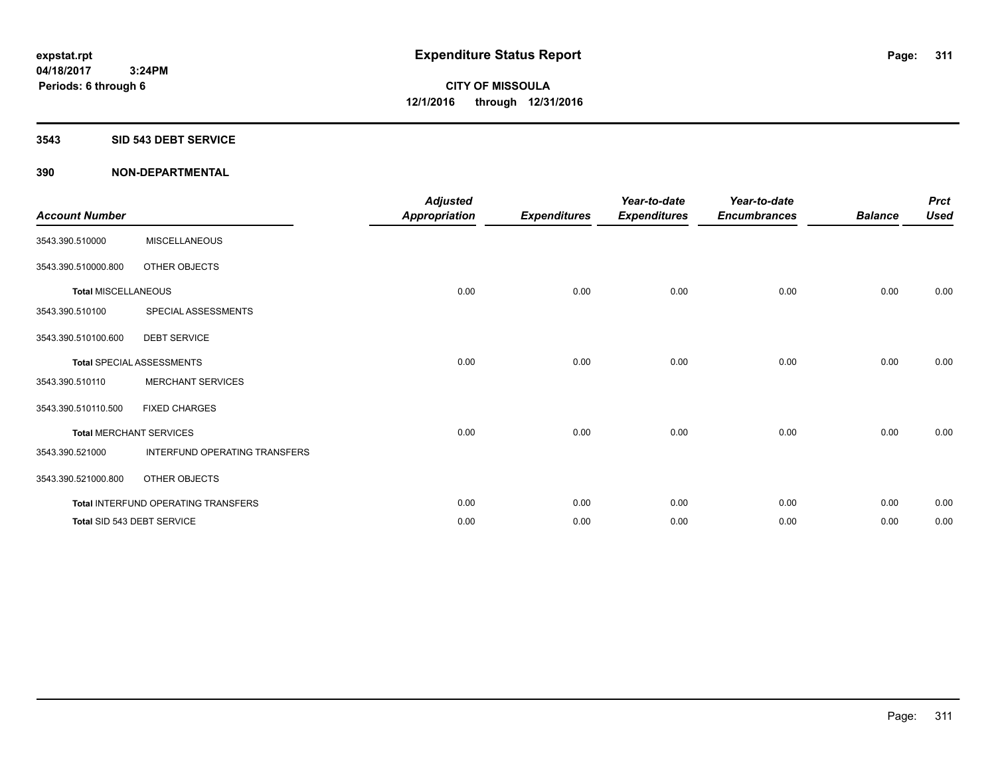#### **3543 SID 543 DEBT SERVICE**

| <b>Account Number</b>      |                                     | <b>Adjusted</b><br><b>Appropriation</b> | <b>Expenditures</b> | Year-to-date<br><b>Expenditures</b> | Year-to-date<br><b>Encumbrances</b> | <b>Balance</b> | <b>Prct</b><br><b>Used</b> |
|----------------------------|-------------------------------------|-----------------------------------------|---------------------|-------------------------------------|-------------------------------------|----------------|----------------------------|
| 3543.390.510000            | <b>MISCELLANEOUS</b>                |                                         |                     |                                     |                                     |                |                            |
| 3543.390.510000.800        | OTHER OBJECTS                       |                                         |                     |                                     |                                     |                |                            |
| <b>Total MISCELLANEOUS</b> |                                     | 0.00                                    | 0.00                | 0.00                                | 0.00                                | 0.00           | 0.00                       |
| 3543.390.510100            | SPECIAL ASSESSMENTS                 |                                         |                     |                                     |                                     |                |                            |
| 3543.390.510100.600        | <b>DEBT SERVICE</b>                 |                                         |                     |                                     |                                     |                |                            |
|                            | <b>Total SPECIAL ASSESSMENTS</b>    | 0.00                                    | 0.00                | 0.00                                | 0.00                                | 0.00           | 0.00                       |
| 3543.390.510110            | <b>MERCHANT SERVICES</b>            |                                         |                     |                                     |                                     |                |                            |
| 3543.390.510110.500        | <b>FIXED CHARGES</b>                |                                         |                     |                                     |                                     |                |                            |
|                            | <b>Total MERCHANT SERVICES</b>      | 0.00                                    | 0.00                | 0.00                                | 0.00                                | 0.00           | 0.00                       |
| 3543.390.521000            | INTERFUND OPERATING TRANSFERS       |                                         |                     |                                     |                                     |                |                            |
| 3543.390.521000.800        | OTHER OBJECTS                       |                                         |                     |                                     |                                     |                |                            |
|                            | Total INTERFUND OPERATING TRANSFERS | 0.00                                    | 0.00                | 0.00                                | 0.00                                | 0.00           | 0.00                       |
|                            | Total SID 543 DEBT SERVICE          | 0.00                                    | 0.00                | 0.00                                | 0.00                                | 0.00           | 0.00                       |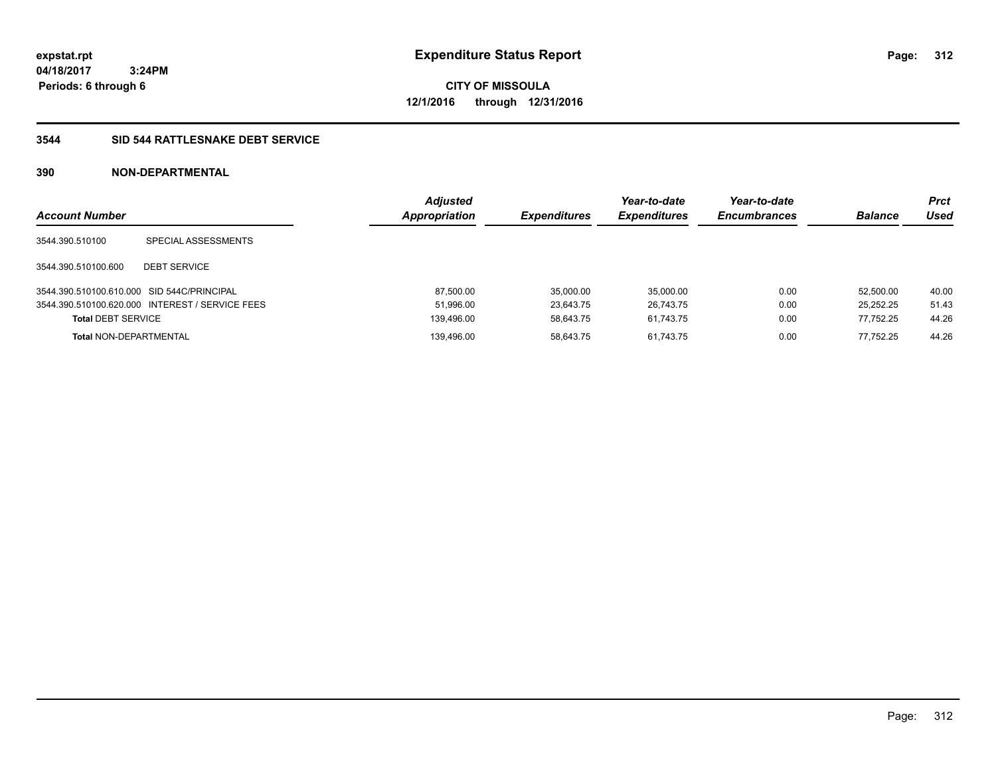**312**

**04/18/2017 3:24PM Periods: 6 through 6**

**CITY OF MISSOULA 12/1/2016 through 12/31/2016**

### **3544 SID 544 RATTLESNAKE DEBT SERVICE**

| <b>Account Number</b>                      |                                                 | <b>Adjusted</b><br><b>Appropriation</b> | <b>Expenditures</b> | Year-to-date<br><b>Expenditures</b> | Year-to-date<br><b>Encumbrances</b> | <b>Balance</b> | <b>Prct</b><br>Used |
|--------------------------------------------|-------------------------------------------------|-----------------------------------------|---------------------|-------------------------------------|-------------------------------------|----------------|---------------------|
| 3544.390.510100                            | SPECIAL ASSESSMENTS                             |                                         |                     |                                     |                                     |                |                     |
| 3544.390.510100.600                        | <b>DEBT SERVICE</b>                             |                                         |                     |                                     |                                     |                |                     |
| 3544.390.510100.610.000 SID 544C/PRINCIPAL |                                                 | 87.500.00                               | 35.000.00           | 35.000.00                           | 0.00                                | 52.500.00      | 40.00               |
|                                            | 3544.390.510100.620.000 INTEREST / SERVICE FEES | 51,996.00                               | 23.643.75           | 26,743.75                           | 0.00                                | 25,252.25      | 51.43               |
| <b>Total DEBT SERVICE</b>                  |                                                 | 139.496.00                              | 58.643.75           | 61.743.75                           | 0.00                                | 77.752.25      | 44.26               |
| <b>Total NON-DEPARTMENTAL</b>              |                                                 | 139.496.00                              | 58.643.75           | 61.743.75                           | 0.00                                | 77.752.25      | 44.26               |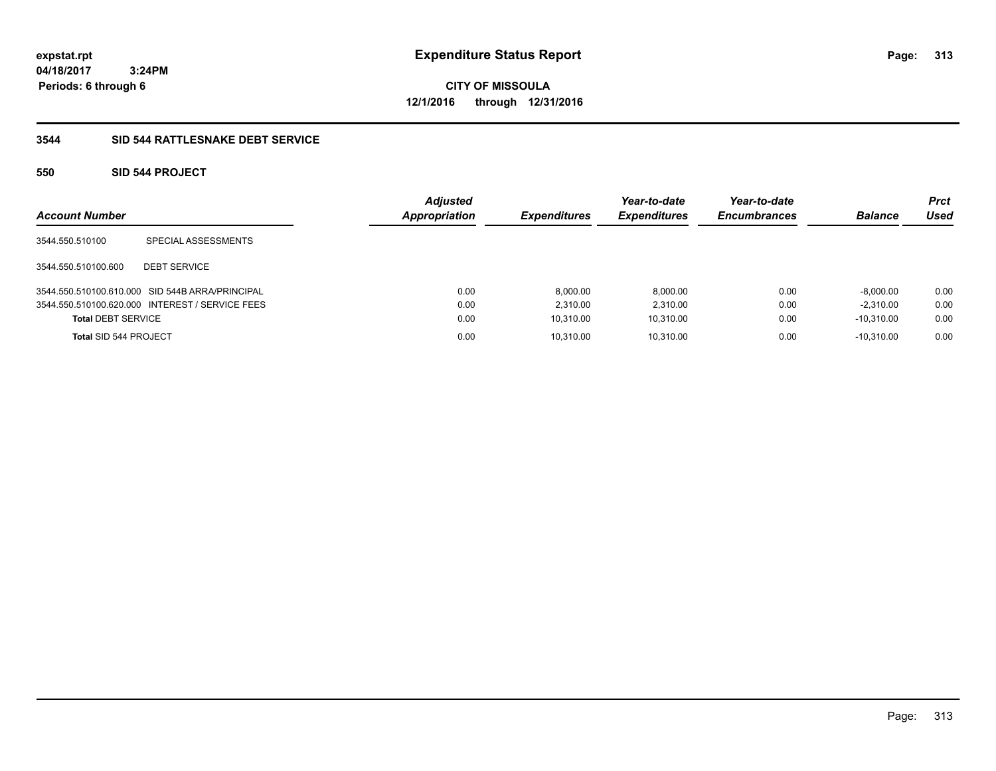**CITY OF MISSOULA 12/1/2016 through 12/31/2016**

## **3544 SID 544 RATTLESNAKE DEBT SERVICE**

## **550 SID 544 PROJECT**

| <b>Account Number</b>     |                                                 | <b>Adjusted</b><br>Appropriation | <b>Expenditures</b> | Year-to-date<br><b>Expenditures</b> | Year-to-date<br><b>Encumbrances</b> | <b>Balance</b> | <b>Prct</b><br>Used |
|---------------------------|-------------------------------------------------|----------------------------------|---------------------|-------------------------------------|-------------------------------------|----------------|---------------------|
| 3544.550.510100           | SPECIAL ASSESSMENTS                             |                                  |                     |                                     |                                     |                |                     |
| 3544.550.510100.600       | <b>DEBT SERVICE</b>                             |                                  |                     |                                     |                                     |                |                     |
|                           | 3544.550.510100.610.000 SID 544B ARRA/PRINCIPAL | 0.00                             | 8.000.00            | 8,000.00                            | 0.00                                | $-8.000.00$    | 0.00                |
|                           | 3544.550.510100.620.000 INTEREST / SERVICE FEES | 0.00                             | 2.310.00            | 2.310.00                            | 0.00                                | $-2.310.00$    | 0.00                |
| <b>Total DEBT SERVICE</b> |                                                 | 0.00                             | 10.310.00           | 10,310.00                           | 0.00                                | $-10.310.00$   | 0.00                |
| Total SID 544 PROJECT     |                                                 | 0.00                             | 10.310.00           | 10.310.00                           | 0.00                                | $-10.310.00$   | 0.00                |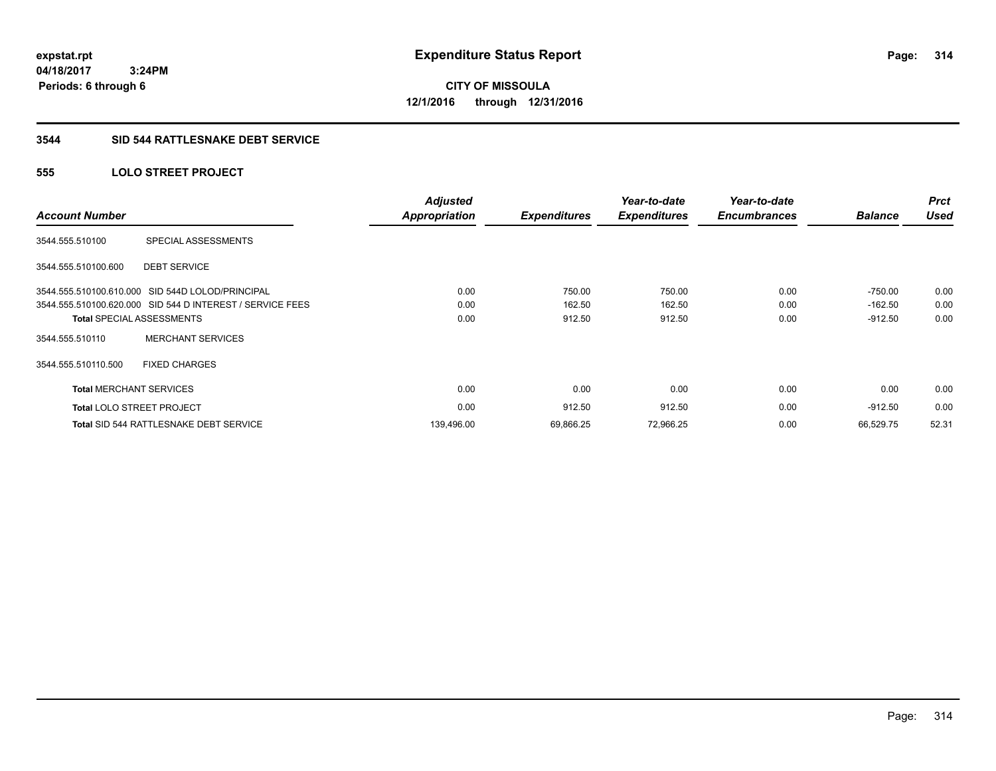**314**

**04/18/2017 3:24PM Periods: 6 through 6**

**CITY OF MISSOULA 12/1/2016 through 12/31/2016**

### **3544 SID 544 RATTLESNAKE DEBT SERVICE**

## **555 LOLO STREET PROJECT**

| <b>Account Number</b>          |                                                           | <b>Adjusted</b><br><b>Appropriation</b> | <b>Expenditures</b> | Year-to-date<br><b>Expenditures</b> | Year-to-date<br><b>Encumbrances</b> | <b>Balance</b> | <b>Prct</b><br><b>Used</b> |
|--------------------------------|-----------------------------------------------------------|-----------------------------------------|---------------------|-------------------------------------|-------------------------------------|----------------|----------------------------|
| 3544.555.510100                | SPECIAL ASSESSMENTS                                       |                                         |                     |                                     |                                     |                |                            |
| 3544.555.510100.600            | <b>DEBT SERVICE</b>                                       |                                         |                     |                                     |                                     |                |                            |
|                                | 3544.555.510100.610.000 SID 544D LOLOD/PRINCIPAL          | 0.00                                    | 750.00              | 750.00                              | 0.00                                | $-750.00$      | 0.00                       |
|                                | 3544.555.510100.620.000 SID 544 D INTEREST / SERVICE FEES | 0.00                                    | 162.50              | 162.50                              | 0.00                                | $-162.50$      | 0.00                       |
|                                | <b>Total SPECIAL ASSESSMENTS</b>                          | 0.00                                    | 912.50              | 912.50                              | 0.00                                | $-912.50$      | 0.00                       |
| 3544.555.510110                | <b>MERCHANT SERVICES</b>                                  |                                         |                     |                                     |                                     |                |                            |
| 3544.555.510110.500            | <b>FIXED CHARGES</b>                                      |                                         |                     |                                     |                                     |                |                            |
| <b>Total MERCHANT SERVICES</b> |                                                           | 0.00                                    | 0.00                | 0.00                                | 0.00                                | 0.00           | 0.00                       |
|                                | <b>Total LOLO STREET PROJECT</b>                          | 0.00                                    | 912.50              | 912.50                              | 0.00                                | $-912.50$      | 0.00                       |
|                                | Total SID 544 RATTLESNAKE DEBT SERVICE                    | 139,496.00                              | 69,866.25           | 72,966.25                           | 0.00                                | 66.529.75      | 52.31                      |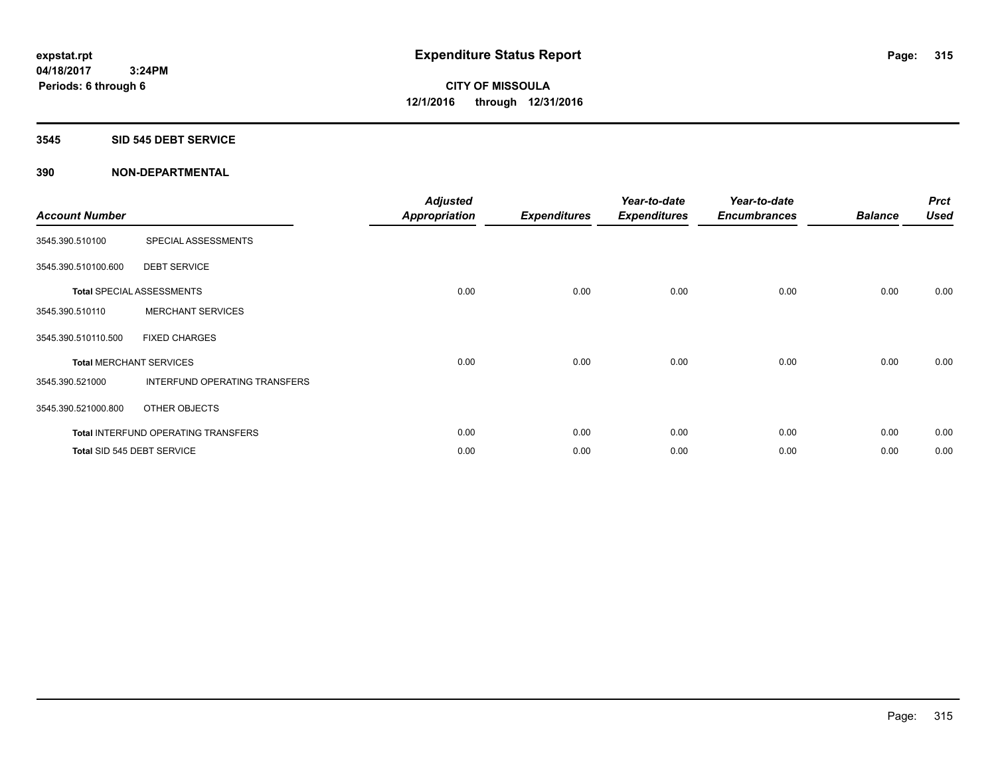## **3545 SID 545 DEBT SERVICE**

| <b>Account Number</b> |                                            | <b>Adjusted</b><br><b>Appropriation</b> | <b>Expenditures</b> | Year-to-date<br><b>Expenditures</b> | Year-to-date<br><b>Encumbrances</b> | <b>Balance</b> | <b>Prct</b><br><b>Used</b> |
|-----------------------|--------------------------------------------|-----------------------------------------|---------------------|-------------------------------------|-------------------------------------|----------------|----------------------------|
| 3545.390.510100       | SPECIAL ASSESSMENTS                        |                                         |                     |                                     |                                     |                |                            |
| 3545.390.510100.600   | <b>DEBT SERVICE</b>                        |                                         |                     |                                     |                                     |                |                            |
|                       | <b>Total SPECIAL ASSESSMENTS</b>           | 0.00                                    | 0.00                | 0.00                                | 0.00                                | 0.00           | 0.00                       |
| 3545.390.510110       | <b>MERCHANT SERVICES</b>                   |                                         |                     |                                     |                                     |                |                            |
| 3545.390.510110.500   | <b>FIXED CHARGES</b>                       |                                         |                     |                                     |                                     |                |                            |
|                       | <b>Total MERCHANT SERVICES</b>             | 0.00                                    | 0.00                | 0.00                                | 0.00                                | 0.00           | 0.00                       |
| 3545.390.521000       | INTERFUND OPERATING TRANSFERS              |                                         |                     |                                     |                                     |                |                            |
| 3545.390.521000.800   | OTHER OBJECTS                              |                                         |                     |                                     |                                     |                |                            |
|                       | <b>Total INTERFUND OPERATING TRANSFERS</b> | 0.00                                    | 0.00                | 0.00                                | 0.00                                | 0.00           | 0.00                       |
|                       | Total SID 545 DEBT SERVICE                 | 0.00                                    | 0.00                | 0.00                                | 0.00                                | 0.00           | 0.00                       |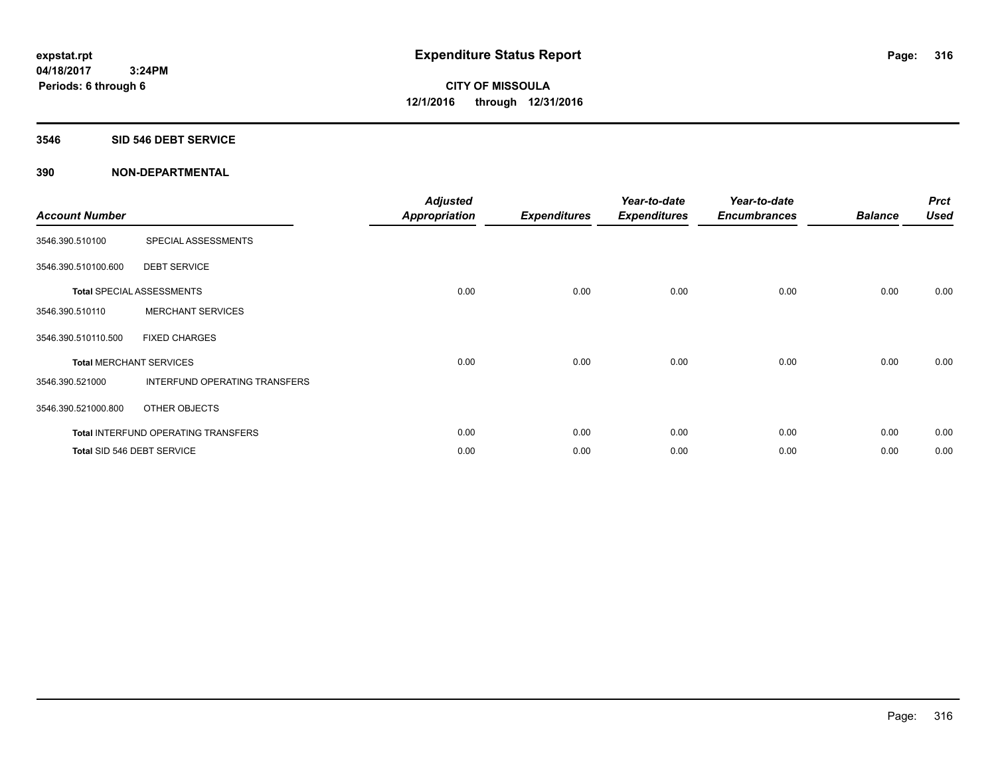### **3546 SID 546 DEBT SERVICE**

| <b>Account Number</b> |                                     | <b>Adjusted</b><br>Appropriation | <b>Expenditures</b> | Year-to-date<br><b>Expenditures</b> | Year-to-date<br><b>Encumbrances</b> | <b>Balance</b> | <b>Prct</b><br><b>Used</b> |
|-----------------------|-------------------------------------|----------------------------------|---------------------|-------------------------------------|-------------------------------------|----------------|----------------------------|
| 3546.390.510100       | SPECIAL ASSESSMENTS                 |                                  |                     |                                     |                                     |                |                            |
| 3546.390.510100.600   | <b>DEBT SERVICE</b>                 |                                  |                     |                                     |                                     |                |                            |
|                       | Total SPECIAL ASSESSMENTS           | 0.00                             | 0.00                | 0.00                                | 0.00                                | 0.00           | 0.00                       |
| 3546.390.510110       | <b>MERCHANT SERVICES</b>            |                                  |                     |                                     |                                     |                |                            |
| 3546.390.510110.500   | <b>FIXED CHARGES</b>                |                                  |                     |                                     |                                     |                |                            |
|                       | <b>Total MERCHANT SERVICES</b>      | 0.00                             | 0.00                | 0.00                                | 0.00                                | 0.00           | 0.00                       |
| 3546.390.521000       | INTERFUND OPERATING TRANSFERS       |                                  |                     |                                     |                                     |                |                            |
| 3546.390.521000.800   | OTHER OBJECTS                       |                                  |                     |                                     |                                     |                |                            |
|                       | Total INTERFUND OPERATING TRANSFERS | 0.00                             | 0.00                | 0.00                                | 0.00                                | 0.00           | 0.00                       |
|                       | Total SID 546 DEBT SERVICE          | 0.00                             | 0.00                | 0.00                                | 0.00                                | 0.00           | 0.00                       |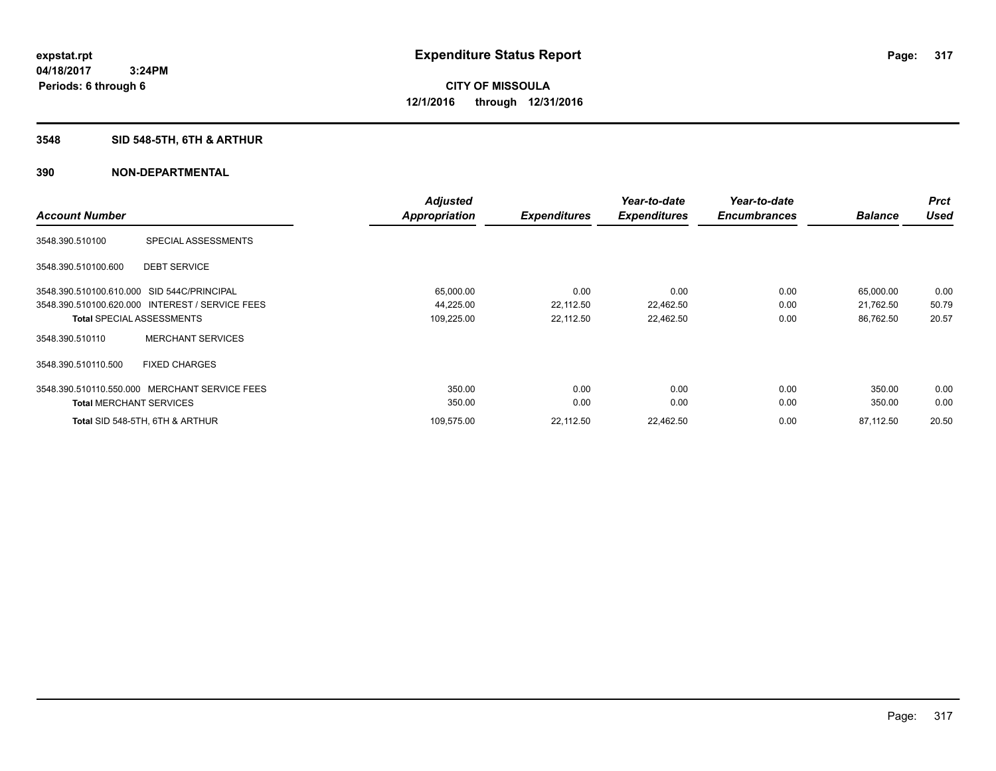# **3548 SID 548-5TH, 6TH & ARTHUR**

|                                                 |                          | <b>Adjusted</b> |                     | Year-to-date        | Year-to-date        |                | <b>Prct</b> |
|-------------------------------------------------|--------------------------|-----------------|---------------------|---------------------|---------------------|----------------|-------------|
| <b>Account Number</b>                           |                          | Appropriation   | <b>Expenditures</b> | <b>Expenditures</b> | <b>Encumbrances</b> | <b>Balance</b> | <b>Used</b> |
| 3548.390.510100                                 | SPECIAL ASSESSMENTS      |                 |                     |                     |                     |                |             |
| 3548.390.510100.600                             | <b>DEBT SERVICE</b>      |                 |                     |                     |                     |                |             |
| 3548.390.510100.610.000 SID 544C/PRINCIPAL      |                          | 65,000.00       | 0.00                | 0.00                | 0.00                | 65,000.00      | 0.00        |
| 3548.390.510100.620.000 INTEREST / SERVICE FEES |                          | 44,225.00       | 22,112.50           | 22,462.50           | 0.00                | 21,762.50      | 50.79       |
| <b>Total SPECIAL ASSESSMENTS</b>                |                          | 109,225.00      | 22,112.50           | 22,462.50           | 0.00                | 86,762.50      | 20.57       |
| 3548.390.510110                                 | <b>MERCHANT SERVICES</b> |                 |                     |                     |                     |                |             |
| 3548.390.510110.500                             | <b>FIXED CHARGES</b>     |                 |                     |                     |                     |                |             |
| 3548.390.510110.550.000 MERCHANT SERVICE FEES   |                          | 350.00          | 0.00                | 0.00                | 0.00                | 350.00         | 0.00        |
| <b>Total MERCHANT SERVICES</b>                  |                          | 350.00          | 0.00                | 0.00                | 0.00                | 350.00         | 0.00        |
| Total SID 548-5TH, 6TH & ARTHUR                 |                          | 109,575.00      | 22,112.50           | 22,462.50           | 0.00                | 87,112.50      | 20.50       |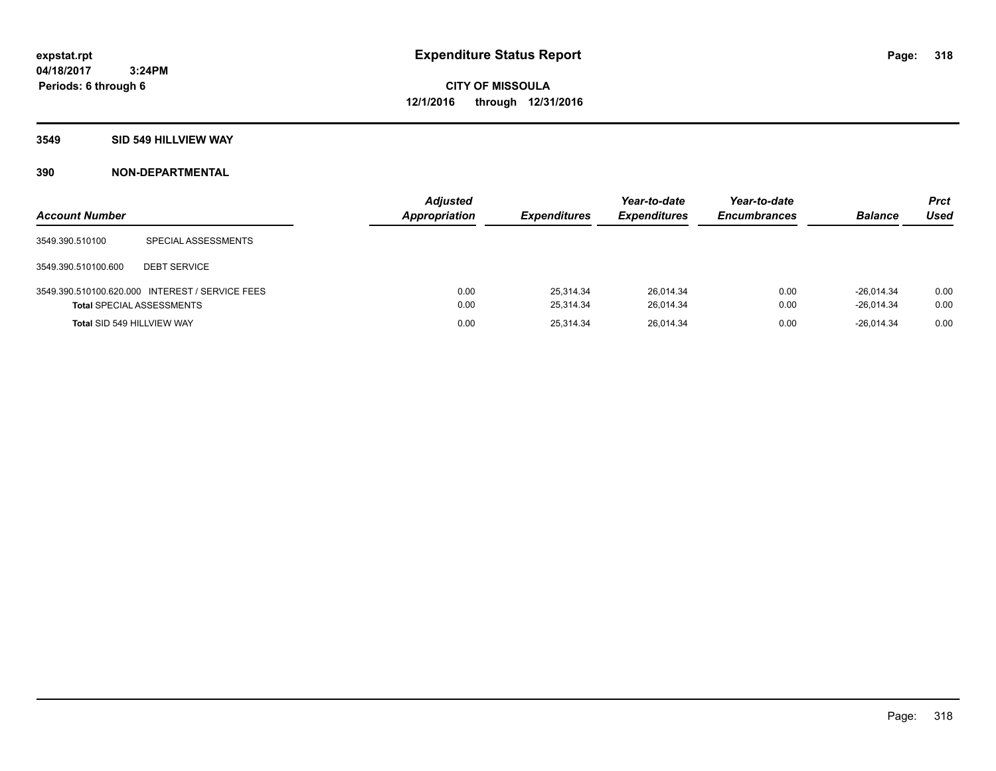#### **3549 SID 549 HILLVIEW WAY**

| <b>Account Number</b>            |                                                 | <b>Adjusted</b><br>Appropriation | <b>Expenditures</b>    | Year-to-date<br><b>Expenditures</b> | Year-to-date<br><b>Encumbrances</b> | <b>Balance</b>               | <b>Prct</b><br><b>Used</b> |
|----------------------------------|-------------------------------------------------|----------------------------------|------------------------|-------------------------------------|-------------------------------------|------------------------------|----------------------------|
| 3549.390.510100                  | SPECIAL ASSESSMENTS                             |                                  |                        |                                     |                                     |                              |                            |
| 3549.390.510100.600              | <b>DEBT SERVICE</b>                             |                                  |                        |                                     |                                     |                              |                            |
| <b>Total SPECIAL ASSESSMENTS</b> | 3549.390.510100.620.000 INTEREST / SERVICE FEES | 0.00<br>0.00                     | 25.314.34<br>25.314.34 | 26,014.34<br>26.014.34              | 0.00<br>0.00                        | $-26.014.34$<br>$-26.014.34$ | 0.00<br>0.00               |
| Total SID 549 HILLVIEW WAY       |                                                 | 0.00                             | 25.314.34              | 26.014.34                           | 0.00                                | $-26.014.34$                 | 0.00                       |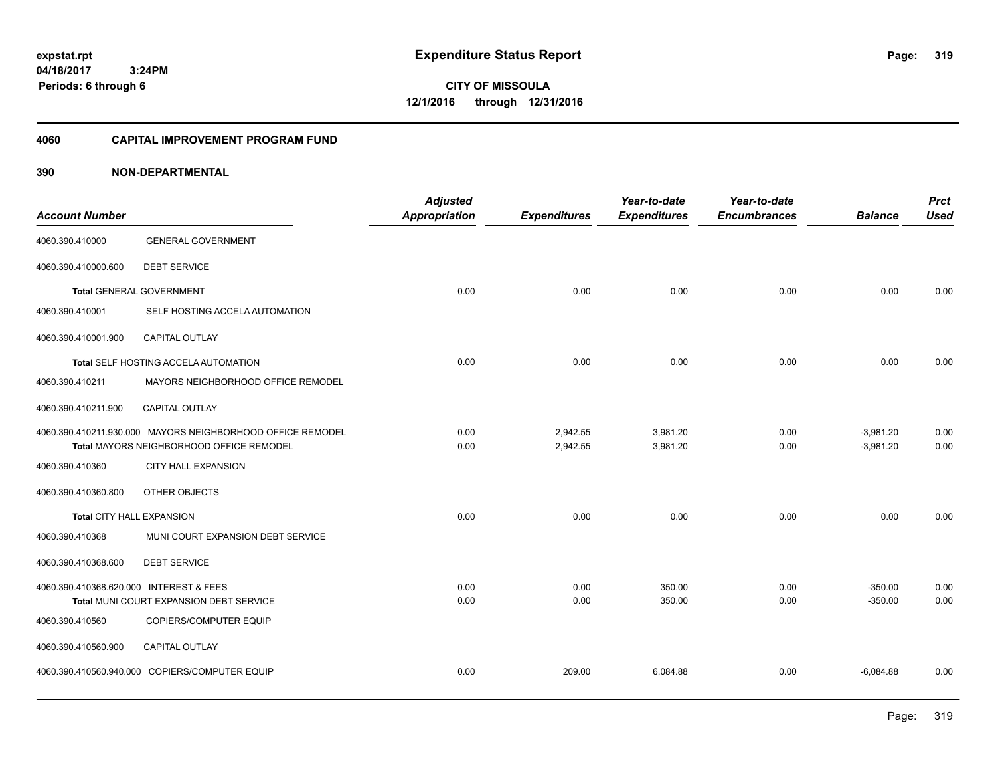**CITY OF MISSOULA 12/1/2016 through 12/31/2016**

#### **4060 CAPITAL IMPROVEMENT PROGRAM FUND**

| <b>Account Number</b>                   |                                                                                                        | <b>Adjusted</b><br><b>Appropriation</b> | <b>Expenditures</b>  | Year-to-date<br><b>Expenditures</b> | Year-to-date<br><b>Encumbrances</b> | <b>Balance</b>             | <b>Prct</b><br><b>Used</b> |
|-----------------------------------------|--------------------------------------------------------------------------------------------------------|-----------------------------------------|----------------------|-------------------------------------|-------------------------------------|----------------------------|----------------------------|
| 4060.390.410000                         | <b>GENERAL GOVERNMENT</b>                                                                              |                                         |                      |                                     |                                     |                            |                            |
| 4060.390.410000.600                     | <b>DEBT SERVICE</b>                                                                                    |                                         |                      |                                     |                                     |                            |                            |
|                                         | <b>Total GENERAL GOVERNMENT</b>                                                                        | 0.00                                    | 0.00                 | 0.00                                | 0.00                                | 0.00                       | 0.00                       |
| 4060.390.410001                         | SELF HOSTING ACCELA AUTOMATION                                                                         |                                         |                      |                                     |                                     |                            |                            |
| 4060.390.410001.900                     | CAPITAL OUTLAY                                                                                         |                                         |                      |                                     |                                     |                            |                            |
|                                         | Total SELF HOSTING ACCELA AUTOMATION                                                                   | 0.00                                    | 0.00                 | 0.00                                | 0.00                                | 0.00                       | 0.00                       |
| 4060.390.410211                         | MAYORS NEIGHBORHOOD OFFICE REMODEL                                                                     |                                         |                      |                                     |                                     |                            |                            |
| 4060.390.410211.900                     | <b>CAPITAL OUTLAY</b>                                                                                  |                                         |                      |                                     |                                     |                            |                            |
|                                         | 4060.390.410211.930.000 MAYORS NEIGHBORHOOD OFFICE REMODEL<br>Total MAYORS NEIGHBORHOOD OFFICE REMODEL | 0.00<br>0.00                            | 2,942.55<br>2,942.55 | 3,981.20<br>3,981.20                | 0.00<br>0.00                        | $-3,981.20$<br>$-3,981.20$ | 0.00<br>0.00               |
| 4060.390.410360                         | <b>CITY HALL EXPANSION</b>                                                                             |                                         |                      |                                     |                                     |                            |                            |
| 4060.390.410360.800                     | OTHER OBJECTS                                                                                          |                                         |                      |                                     |                                     |                            |                            |
| Total CITY HALL EXPANSION               |                                                                                                        | 0.00                                    | 0.00                 | 0.00                                | 0.00                                | 0.00                       | 0.00                       |
| 4060.390.410368                         | MUNI COURT EXPANSION DEBT SERVICE                                                                      |                                         |                      |                                     |                                     |                            |                            |
| 4060.390.410368.600                     | <b>DEBT SERVICE</b>                                                                                    |                                         |                      |                                     |                                     |                            |                            |
| 4060.390.410368.620.000 INTEREST & FEES | Total MUNI COURT EXPANSION DEBT SERVICE                                                                | 0.00<br>0.00                            | 0.00<br>0.00         | 350.00<br>350.00                    | 0.00<br>0.00                        | $-350.00$<br>$-350.00$     | 0.00<br>0.00               |
| 4060.390.410560                         | COPIERS/COMPUTER EQUIP                                                                                 |                                         |                      |                                     |                                     |                            |                            |
| 4060.390.410560.900                     | <b>CAPITAL OUTLAY</b>                                                                                  |                                         |                      |                                     |                                     |                            |                            |
|                                         | 4060.390.410560.940.000 COPIERS/COMPUTER EQUIP                                                         | 0.00                                    | 209.00               | 6,084.88                            | 0.00                                | $-6,084.88$                | 0.00                       |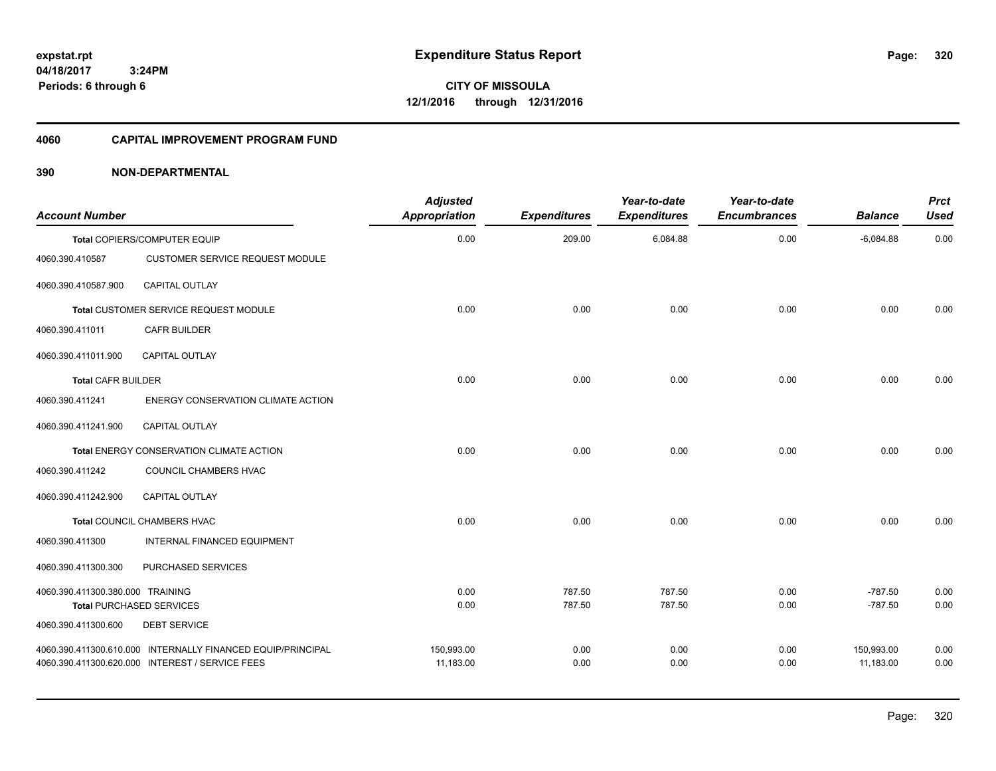**CITY OF MISSOULA 12/1/2016 through 12/31/2016**

#### **4060 CAPITAL IMPROVEMENT PROGRAM FUND**

| <b>Account Number</b>            |                                                             | <b>Adjusted</b><br>Appropriation | <b>Expenditures</b> | Year-to-date<br><b>Expenditures</b> | Year-to-date<br><b>Encumbrances</b> | <b>Balance</b> | <b>Prct</b><br><b>Used</b> |
|----------------------------------|-------------------------------------------------------------|----------------------------------|---------------------|-------------------------------------|-------------------------------------|----------------|----------------------------|
|                                  | Total COPIERS/COMPUTER EQUIP                                | 0.00                             | 209.00              | 6,084.88                            | 0.00                                | $-6,084.88$    | 0.00                       |
| 4060.390.410587                  | <b>CUSTOMER SERVICE REQUEST MODULE</b>                      |                                  |                     |                                     |                                     |                |                            |
| 4060.390.410587.900              | <b>CAPITAL OUTLAY</b>                                       |                                  |                     |                                     |                                     |                |                            |
|                                  | Total CUSTOMER SERVICE REQUEST MODULE                       | 0.00                             | 0.00                | 0.00                                | 0.00                                | 0.00           | 0.00                       |
| 4060.390.411011                  | <b>CAFR BUILDER</b>                                         |                                  |                     |                                     |                                     |                |                            |
| 4060.390.411011.900              | <b>CAPITAL OUTLAY</b>                                       |                                  |                     |                                     |                                     |                |                            |
| <b>Total CAFR BUILDER</b>        |                                                             | 0.00                             | 0.00                | 0.00                                | 0.00                                | 0.00           | 0.00                       |
| 4060.390.411241                  | <b>ENERGY CONSERVATION CLIMATE ACTION</b>                   |                                  |                     |                                     |                                     |                |                            |
| 4060.390.411241.900              | <b>CAPITAL OUTLAY</b>                                       |                                  |                     |                                     |                                     |                |                            |
|                                  | Total ENERGY CONSERVATION CLIMATE ACTION                    | 0.00                             | 0.00                | 0.00                                | 0.00                                | 0.00           | 0.00                       |
| 4060.390.411242                  | COUNCIL CHAMBERS HVAC                                       |                                  |                     |                                     |                                     |                |                            |
| 4060.390.411242.900              | <b>CAPITAL OUTLAY</b>                                       |                                  |                     |                                     |                                     |                |                            |
|                                  | Total COUNCIL CHAMBERS HVAC                                 | 0.00                             | 0.00                | 0.00                                | 0.00                                | 0.00           | 0.00                       |
| 4060.390.411300                  | INTERNAL FINANCED EQUIPMENT                                 |                                  |                     |                                     |                                     |                |                            |
| 4060.390.411300.300              | PURCHASED SERVICES                                          |                                  |                     |                                     |                                     |                |                            |
| 4060.390.411300.380.000 TRAINING |                                                             | 0.00                             | 787.50              | 787.50                              | 0.00                                | $-787.50$      | 0.00                       |
|                                  | <b>Total PURCHASED SERVICES</b>                             | 0.00                             | 787.50              | 787.50                              | 0.00                                | $-787.50$      | 0.00                       |
| 4060.390.411300.600              | <b>DEBT SERVICE</b>                                         |                                  |                     |                                     |                                     |                |                            |
|                                  | 4060.390.411300.610.000 INTERNALLY FINANCED EQUIP/PRINCIPAL | 150,993.00                       | 0.00                | 0.00                                | 0.00                                | 150,993.00     | 0.00                       |
|                                  | 4060.390.411300.620.000 INTEREST / SERVICE FEES             | 11,183.00                        | 0.00                | 0.00                                | 0.00                                | 11,183.00      | 0.00                       |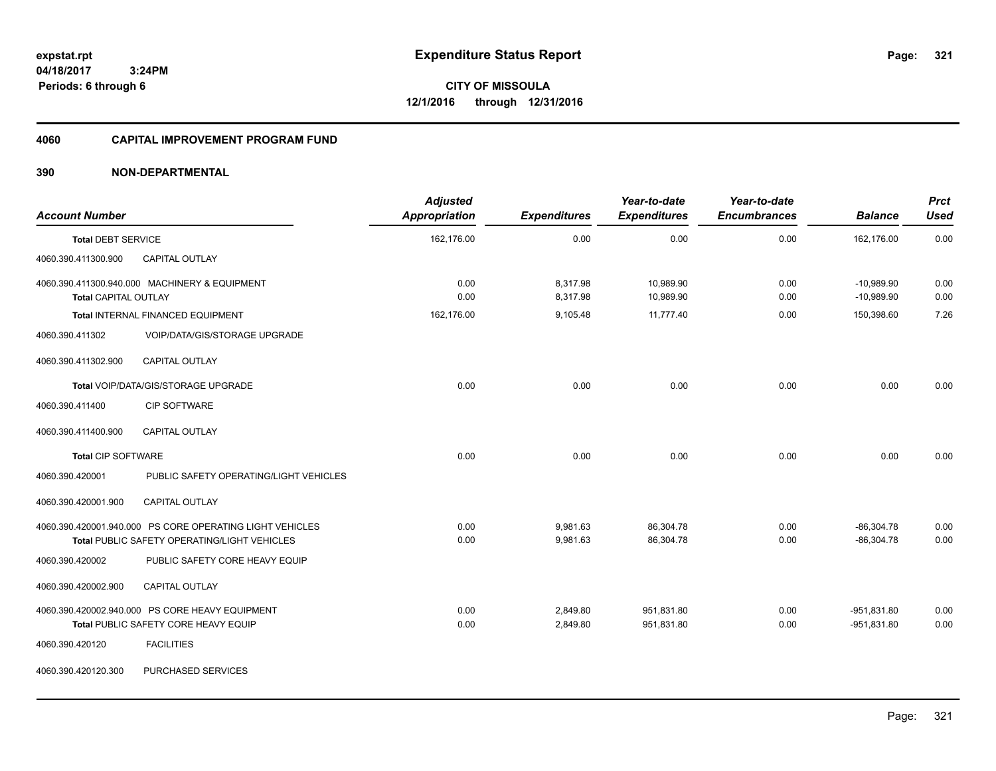**CITY OF MISSOULA 12/1/2016 through 12/31/2016**

### **4060 CAPITAL IMPROVEMENT PROGRAM FUND**

| <b>Account Number</b>       |                                                                                         | <b>Adjusted</b><br><b>Appropriation</b> | <b>Expenditures</b>  | Year-to-date<br><b>Expenditures</b> | Year-to-date<br><b>Encumbrances</b> | <b>Balance</b>                 | <b>Prct</b><br><b>Used</b> |
|-----------------------------|-----------------------------------------------------------------------------------------|-----------------------------------------|----------------------|-------------------------------------|-------------------------------------|--------------------------------|----------------------------|
| <b>Total DEBT SERVICE</b>   |                                                                                         | 162,176.00                              | 0.00                 | 0.00                                | 0.00                                | 162,176.00                     | 0.00                       |
| 4060.390.411300.900         | CAPITAL OUTLAY                                                                          |                                         |                      |                                     |                                     |                                |                            |
| <b>Total CAPITAL OUTLAY</b> | 4060.390.411300.940.000 MACHINERY & EQUIPMENT                                           | 0.00<br>0.00                            | 8,317.98<br>8,317.98 | 10,989.90<br>10,989.90              | 0.00<br>0.00                        | $-10,989.90$<br>$-10.989.90$   | 0.00<br>0.00               |
|                             | Total INTERNAL FINANCED EQUIPMENT                                                       | 162,176.00                              | 9,105.48             | 11.777.40                           | 0.00                                | 150,398.60                     | 7.26                       |
| 4060.390.411302             | VOIP/DATA/GIS/STORAGE UPGRADE                                                           |                                         |                      |                                     |                                     |                                |                            |
| 4060.390.411302.900         | <b>CAPITAL OUTLAY</b>                                                                   |                                         |                      |                                     |                                     |                                |                            |
|                             | Total VOIP/DATA/GIS/STORAGE UPGRADE                                                     | 0.00                                    | 0.00                 | 0.00                                | 0.00                                | 0.00                           | 0.00                       |
| 4060.390.411400             | <b>CIP SOFTWARE</b>                                                                     |                                         |                      |                                     |                                     |                                |                            |
| 4060.390.411400.900         | CAPITAL OUTLAY                                                                          |                                         |                      |                                     |                                     |                                |                            |
| <b>Total CIP SOFTWARE</b>   |                                                                                         | 0.00                                    | 0.00                 | 0.00                                | 0.00                                | 0.00                           | 0.00                       |
| 4060.390.420001             | PUBLIC SAFETY OPERATING/LIGHT VEHICLES                                                  |                                         |                      |                                     |                                     |                                |                            |
| 4060.390.420001.900         | CAPITAL OUTLAY                                                                          |                                         |                      |                                     |                                     |                                |                            |
|                             | 4060.390.420001.940.000 PS CORE OPERATING LIGHT VEHICLES                                | 0.00                                    | 9,981.63             | 86,304.78                           | 0.00                                | $-86,304.78$                   | 0.00                       |
|                             | Total PUBLIC SAFETY OPERATING/LIGHT VEHICLES                                            | 0.00                                    | 9,981.63             | 86,304.78                           | 0.00                                | $-86,304.78$                   | 0.00                       |
| 4060.390.420002             | PUBLIC SAFETY CORE HEAVY EQUIP                                                          |                                         |                      |                                     |                                     |                                |                            |
| 4060.390.420002.900         | CAPITAL OUTLAY                                                                          |                                         |                      |                                     |                                     |                                |                            |
|                             | 4060.390.420002.940.000 PS CORE HEAVY EQUIPMENT<br>Total PUBLIC SAFETY CORE HEAVY EQUIP | 0.00<br>0.00                            | 2,849.80<br>2,849.80 | 951,831.80<br>951,831.80            | 0.00<br>0.00                        | $-951,831.80$<br>$-951,831.80$ | 0.00<br>0.00               |
| 4060.390.420120             | <b>FACILITIES</b>                                                                       |                                         |                      |                                     |                                     |                                |                            |
| 4060.390.420120.300         | PURCHASED SERVICES                                                                      |                                         |                      |                                     |                                     |                                |                            |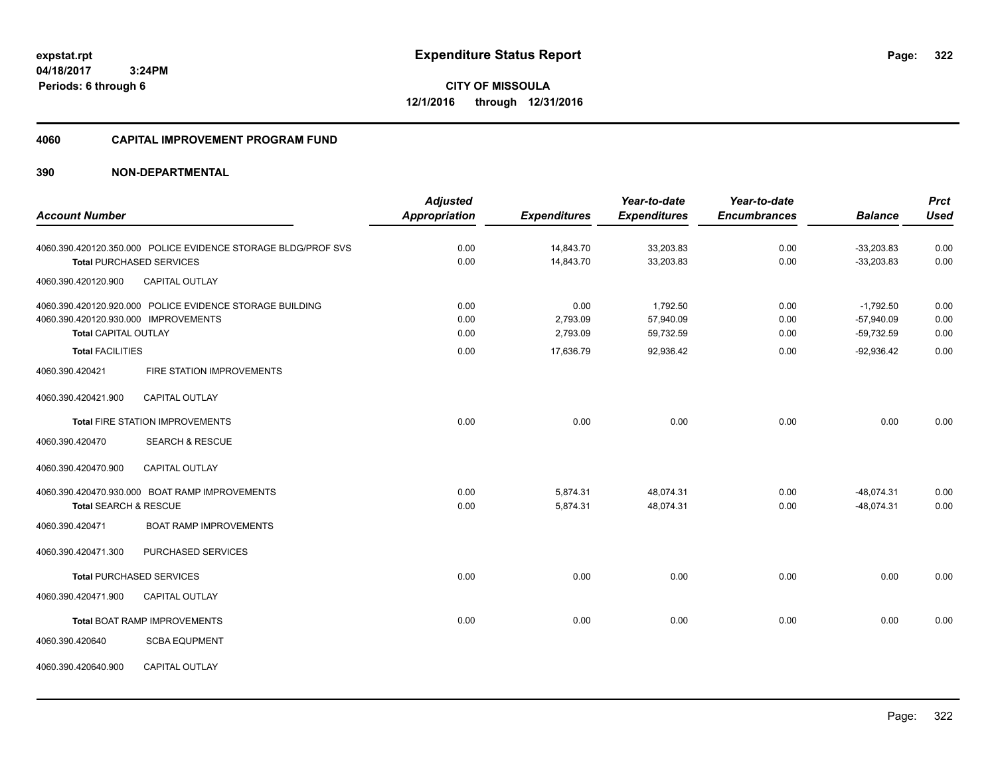**322**

**04/18/2017 3:24PM Periods: 6 through 6**

**CITY OF MISSOULA 12/1/2016 through 12/31/2016**

#### **4060 CAPITAL IMPROVEMENT PROGRAM FUND**

|                                                                                                |                                                                                                  | <b>Adjusted</b>              |                                           | Year-to-date                                    | Year-to-date                 |                                                             | <b>Prct</b>                  |
|------------------------------------------------------------------------------------------------|--------------------------------------------------------------------------------------------------|------------------------------|-------------------------------------------|-------------------------------------------------|------------------------------|-------------------------------------------------------------|------------------------------|
| <b>Account Number</b>                                                                          |                                                                                                  | <b>Appropriation</b>         | <b>Expenditures</b>                       | <b>Expenditures</b>                             | <b>Encumbrances</b>          | <b>Balance</b>                                              | <b>Used</b>                  |
|                                                                                                | 4060.390.420120.350.000 POLICE EVIDENCE STORAGE BLDG/PROF SVS<br><b>Total PURCHASED SERVICES</b> | 0.00<br>0.00                 | 14,843.70<br>14,843.70                    | 33,203.83<br>33,203.83                          | 0.00<br>0.00                 | $-33,203.83$<br>$-33,203.83$                                | 0.00<br>0.00                 |
| 4060.390.420120.900                                                                            | <b>CAPITAL OUTLAY</b>                                                                            |                              |                                           |                                                 |                              |                                                             |                              |
| 4060.390.420120.930.000 IMPROVEMENTS<br><b>Total CAPITAL OUTLAY</b><br><b>Total FACILITIES</b> | 4060.390.420120.920.000 POLICE EVIDENCE STORAGE BUILDING                                         | 0.00<br>0.00<br>0.00<br>0.00 | 0.00<br>2,793.09<br>2,793.09<br>17,636.79 | 1,792.50<br>57,940.09<br>59,732.59<br>92,936.42 | 0.00<br>0.00<br>0.00<br>0.00 | $-1,792.50$<br>$-57,940.09$<br>$-59,732.59$<br>$-92,936.42$ | 0.00<br>0.00<br>0.00<br>0.00 |
| 4060.390.420421                                                                                | FIRE STATION IMPROVEMENTS                                                                        |                              |                                           |                                                 |                              |                                                             |                              |
| 4060.390.420421.900                                                                            | <b>CAPITAL OUTLAY</b>                                                                            |                              |                                           |                                                 |                              |                                                             |                              |
|                                                                                                | <b>Total FIRE STATION IMPROVEMENTS</b>                                                           | 0.00                         | 0.00                                      | 0.00                                            | 0.00                         | 0.00                                                        | 0.00                         |
| 4060.390.420470                                                                                | <b>SEARCH &amp; RESCUE</b>                                                                       |                              |                                           |                                                 |                              |                                                             |                              |
| 4060.390.420470.900                                                                            | CAPITAL OUTLAY                                                                                   |                              |                                           |                                                 |                              |                                                             |                              |
| Total SEARCH & RESCUE                                                                          | 4060.390.420470.930.000 BOAT RAMP IMPROVEMENTS                                                   | 0.00<br>0.00                 | 5,874.31<br>5,874.31                      | 48.074.31<br>48,074.31                          | 0.00<br>0.00                 | $-48.074.31$<br>$-48,074.31$                                | 0.00<br>0.00                 |
| 4060.390.420471                                                                                | <b>BOAT RAMP IMPROVEMENTS</b>                                                                    |                              |                                           |                                                 |                              |                                                             |                              |
| 4060.390.420471.300                                                                            | PURCHASED SERVICES                                                                               |                              |                                           |                                                 |                              |                                                             |                              |
|                                                                                                | <b>Total PURCHASED SERVICES</b>                                                                  | 0.00                         | 0.00                                      | 0.00                                            | 0.00                         | 0.00                                                        | 0.00                         |
| 4060.390.420471.900                                                                            | <b>CAPITAL OUTLAY</b>                                                                            |                              |                                           |                                                 |                              |                                                             |                              |
|                                                                                                | <b>Total BOAT RAMP IMPROVEMENTS</b>                                                              | 0.00                         | 0.00                                      | 0.00                                            | 0.00                         | 0.00                                                        | 0.00                         |
| 4060.390.420640                                                                                | <b>SCBA EQUPMENT</b>                                                                             |                              |                                           |                                                 |                              |                                                             |                              |
| 4060.390.420640.900                                                                            | <b>CAPITAL OUTLAY</b>                                                                            |                              |                                           |                                                 |                              |                                                             |                              |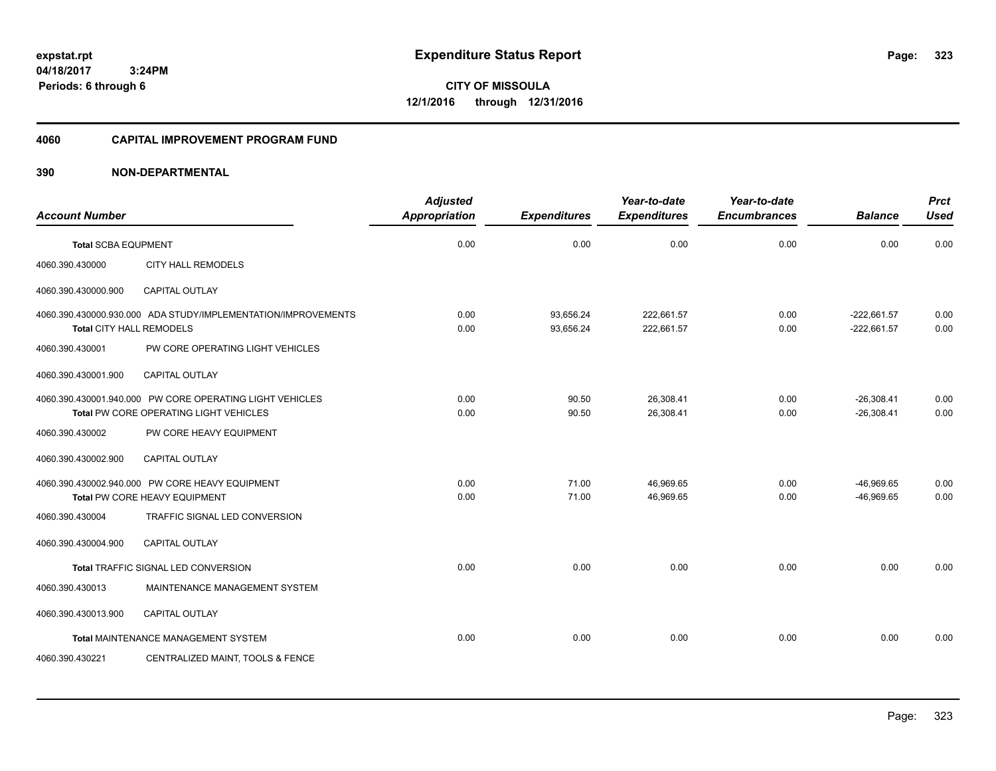**CITY OF MISSOULA 12/1/2016 through 12/31/2016**

#### **4060 CAPITAL IMPROVEMENT PROGRAM FUND**

| <b>Account Number</b>           |                                                                                                    | <b>Adjusted</b><br>Appropriation | <b>Expenditures</b>    | Year-to-date<br><b>Expenditures</b> | Year-to-date<br><b>Encumbrances</b> | <b>Balance</b>                 | <b>Prct</b><br><b>Used</b> |
|---------------------------------|----------------------------------------------------------------------------------------------------|----------------------------------|------------------------|-------------------------------------|-------------------------------------|--------------------------------|----------------------------|
| <b>Total SCBA EQUPMENT</b>      |                                                                                                    | 0.00                             | 0.00                   | 0.00                                | 0.00                                | 0.00                           | 0.00                       |
| 4060.390.430000                 | <b>CITY HALL REMODELS</b>                                                                          |                                  |                        |                                     |                                     |                                |                            |
| 4060.390.430000.900             | CAPITAL OUTLAY                                                                                     |                                  |                        |                                     |                                     |                                |                            |
| <b>Total CITY HALL REMODELS</b> | 4060.390.430000.930.000 ADA STUDY/IMPLEMENTATION/IMPROVEMENTS                                      | 0.00<br>0.00                     | 93,656.24<br>93,656.24 | 222,661.57<br>222,661.57            | 0.00<br>0.00                        | $-222,661.57$<br>$-222,661.57$ | 0.00<br>0.00               |
| 4060.390.430001                 | PW CORE OPERATING LIGHT VEHICLES                                                                   |                                  |                        |                                     |                                     |                                |                            |
| 4060.390.430001.900             | <b>CAPITAL OUTLAY</b>                                                                              |                                  |                        |                                     |                                     |                                |                            |
|                                 | 4060.390.430001.940.000 PW CORE OPERATING LIGHT VEHICLES<br>Total PW CORE OPERATING LIGHT VEHICLES | 0.00<br>0.00                     | 90.50<br>90.50         | 26,308.41<br>26,308.41              | 0.00<br>0.00                        | $-26,308.41$<br>$-26,308.41$   | 0.00<br>0.00               |
| 4060.390.430002                 | PW CORE HEAVY EQUIPMENT                                                                            |                                  |                        |                                     |                                     |                                |                            |
| 4060.390.430002.900             | <b>CAPITAL OUTLAY</b>                                                                              |                                  |                        |                                     |                                     |                                |                            |
|                                 | 4060.390.430002.940.000 PW CORE HEAVY EQUIPMENT<br>Total PW CORE HEAVY EQUIPMENT                   | 0.00<br>0.00                     | 71.00<br>71.00         | 46,969.65<br>46,969.65              | 0.00<br>0.00                        | $-46,969.65$<br>$-46,969.65$   | 0.00<br>0.00               |
| 4060.390.430004                 | TRAFFIC SIGNAL LED CONVERSION                                                                      |                                  |                        |                                     |                                     |                                |                            |
| 4060.390.430004.900             | <b>CAPITAL OUTLAY</b>                                                                              |                                  |                        |                                     |                                     |                                |                            |
|                                 | Total TRAFFIC SIGNAL LED CONVERSION                                                                | 0.00                             | 0.00                   | 0.00                                | 0.00                                | 0.00                           | 0.00                       |
| 4060.390.430013                 | MAINTENANCE MANAGEMENT SYSTEM                                                                      |                                  |                        |                                     |                                     |                                |                            |
| 4060.390.430013.900             | <b>CAPITAL OUTLAY</b>                                                                              |                                  |                        |                                     |                                     |                                |                            |
|                                 | Total MAINTENANCE MANAGEMENT SYSTEM                                                                | 0.00                             | 0.00                   | 0.00                                | 0.00                                | 0.00                           | 0.00                       |
| 4060.390.430221                 | CENTRALIZED MAINT, TOOLS & FENCE                                                                   |                                  |                        |                                     |                                     |                                |                            |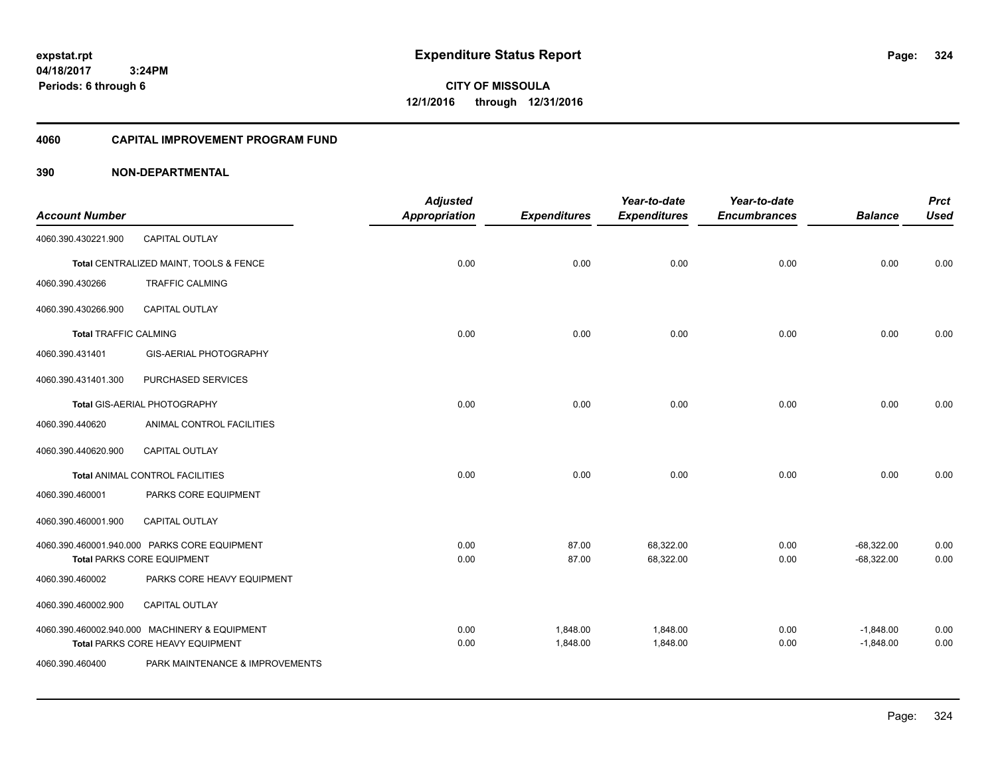**CITY OF MISSOULA 12/1/2016 through 12/31/2016**

### **4060 CAPITAL IMPROVEMENT PROGRAM FUND**

| <b>Account Number</b>        |                                                                                   | <b>Adjusted</b><br><b>Appropriation</b> | <b>Expenditures</b>  | Year-to-date<br><b>Expenditures</b> | Year-to-date<br><b>Encumbrances</b> | <b>Balance</b>               | <b>Prct</b><br><b>Used</b> |
|------------------------------|-----------------------------------------------------------------------------------|-----------------------------------------|----------------------|-------------------------------------|-------------------------------------|------------------------------|----------------------------|
| 4060.390.430221.900          | CAPITAL OUTLAY                                                                    |                                         |                      |                                     |                                     |                              |                            |
|                              | Total CENTRALIZED MAINT, TOOLS & FENCE                                            | 0.00                                    | 0.00                 | 0.00                                | 0.00                                | 0.00                         | 0.00                       |
| 4060.390.430266              | <b>TRAFFIC CALMING</b>                                                            |                                         |                      |                                     |                                     |                              |                            |
| 4060.390.430266.900          | <b>CAPITAL OUTLAY</b>                                                             |                                         |                      |                                     |                                     |                              |                            |
| <b>Total TRAFFIC CALMING</b> |                                                                                   | 0.00                                    | 0.00                 | 0.00                                | 0.00                                | 0.00                         | 0.00                       |
| 4060.390.431401              | GIS-AERIAL PHOTOGRAPHY                                                            |                                         |                      |                                     |                                     |                              |                            |
| 4060.390.431401.300          | PURCHASED SERVICES                                                                |                                         |                      |                                     |                                     |                              |                            |
|                              | Total GIS-AERIAL PHOTOGRAPHY                                                      | 0.00                                    | 0.00                 | 0.00                                | 0.00                                | 0.00                         | 0.00                       |
| 4060.390.440620              | ANIMAL CONTROL FACILITIES                                                         |                                         |                      |                                     |                                     |                              |                            |
| 4060.390.440620.900          | <b>CAPITAL OUTLAY</b>                                                             |                                         |                      |                                     |                                     |                              |                            |
|                              | Total ANIMAL CONTROL FACILITIES                                                   | 0.00                                    | 0.00                 | 0.00                                | 0.00                                | 0.00                         | 0.00                       |
| 4060.390.460001              | PARKS CORE EQUIPMENT                                                              |                                         |                      |                                     |                                     |                              |                            |
| 4060.390.460001.900          | CAPITAL OUTLAY                                                                    |                                         |                      |                                     |                                     |                              |                            |
|                              | 4060.390.460001.940.000 PARKS CORE EQUIPMENT<br><b>Total PARKS CORE EQUIPMENT</b> | 0.00<br>0.00                            | 87.00<br>87.00       | 68,322.00<br>68,322.00              | 0.00<br>0.00                        | $-68,322.00$<br>$-68,322.00$ | 0.00<br>0.00               |
| 4060.390.460002              | PARKS CORE HEAVY EQUIPMENT                                                        |                                         |                      |                                     |                                     |                              |                            |
| 4060.390.460002.900          | <b>CAPITAL OUTLAY</b>                                                             |                                         |                      |                                     |                                     |                              |                            |
|                              | 4060.390.460002.940.000 MACHINERY & EQUIPMENT<br>Total PARKS CORE HEAVY EQUIPMENT | 0.00<br>0.00                            | 1,848.00<br>1,848.00 | 1,848.00<br>1,848.00                | 0.00<br>0.00                        | $-1,848.00$<br>$-1,848.00$   | 0.00<br>0.00               |
| 4060.390.460400              | PARK MAINTENANCE & IMPROVEMENTS                                                   |                                         |                      |                                     |                                     |                              |                            |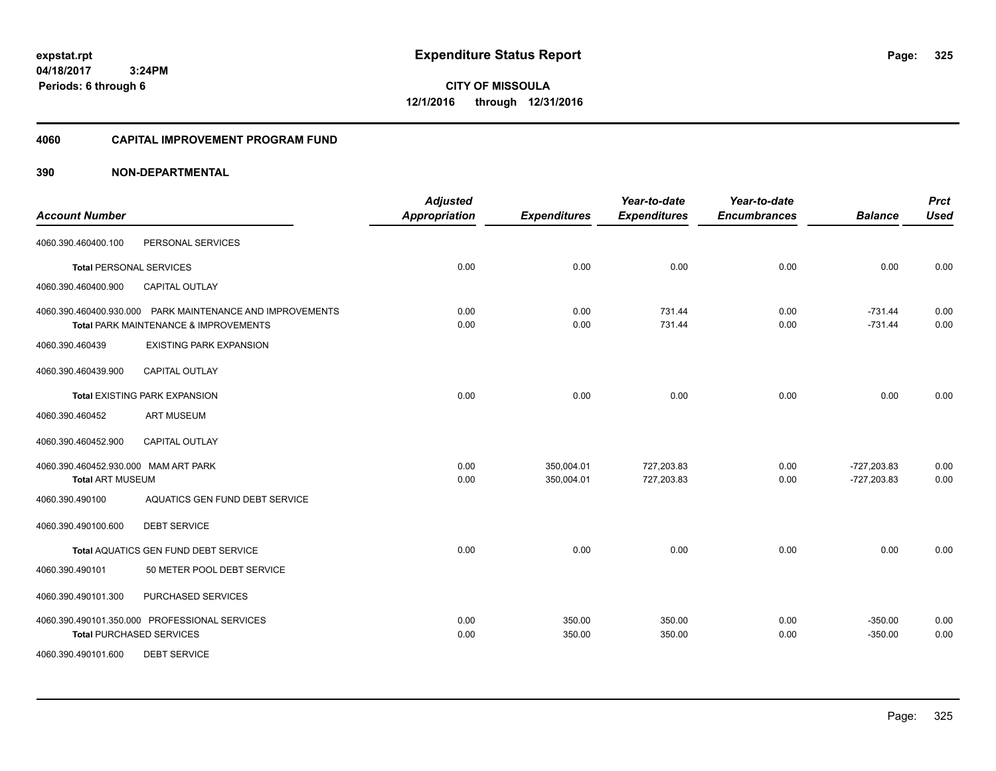**04/18/2017 3:24PM Periods: 6 through 6**

**CITY OF MISSOULA 12/1/2016 through 12/31/2016**

#### **4060 CAPITAL IMPROVEMENT PROGRAM FUND**

| <b>Account Number</b>                                           |                                                                                                    | <b>Adjusted</b><br><b>Appropriation</b> | <b>Expenditures</b>      | Year-to-date<br><b>Expenditures</b> | Year-to-date<br><b>Encumbrances</b> | <b>Balance</b>                 | <b>Prct</b><br><b>Used</b> |
|-----------------------------------------------------------------|----------------------------------------------------------------------------------------------------|-----------------------------------------|--------------------------|-------------------------------------|-------------------------------------|--------------------------------|----------------------------|
| 4060.390.460400.100                                             | PERSONAL SERVICES                                                                                  |                                         |                          |                                     |                                     |                                |                            |
| <b>Total PERSONAL SERVICES</b>                                  |                                                                                                    | 0.00                                    | 0.00                     | 0.00                                | 0.00                                | 0.00                           | 0.00                       |
| 4060.390.460400.900                                             | <b>CAPITAL OUTLAY</b>                                                                              |                                         |                          |                                     |                                     |                                |                            |
|                                                                 | 4060.390.460400.930.000 PARK MAINTENANCE AND IMPROVEMENTS<br>Total PARK MAINTENANCE & IMPROVEMENTS | 0.00<br>0.00                            | 0.00<br>0.00             | 731.44<br>731.44                    | 0.00<br>0.00                        | $-731.44$<br>$-731.44$         | 0.00<br>0.00               |
| 4060.390.460439                                                 | <b>EXISTING PARK EXPANSION</b>                                                                     |                                         |                          |                                     |                                     |                                |                            |
| 4060.390.460439.900                                             | <b>CAPITAL OUTLAY</b>                                                                              |                                         |                          |                                     |                                     |                                |                            |
|                                                                 | Total EXISTING PARK EXPANSION                                                                      | 0.00                                    | 0.00                     | 0.00                                | 0.00                                | 0.00                           | 0.00                       |
| 4060.390.460452                                                 | <b>ART MUSEUM</b>                                                                                  |                                         |                          |                                     |                                     |                                |                            |
| 4060.390.460452.900                                             | <b>CAPITAL OUTLAY</b>                                                                              |                                         |                          |                                     |                                     |                                |                            |
| 4060.390.460452.930.000 MAM ART PARK<br><b>Total ART MUSEUM</b> |                                                                                                    | 0.00<br>0.00                            | 350,004.01<br>350,004.01 | 727,203.83<br>727,203.83            | 0.00<br>0.00                        | $-727,203.83$<br>$-727,203.83$ | 0.00<br>0.00               |
| 4060.390.490100                                                 | AQUATICS GEN FUND DEBT SERVICE                                                                     |                                         |                          |                                     |                                     |                                |                            |
| 4060.390.490100.600                                             | <b>DEBT SERVICE</b>                                                                                |                                         |                          |                                     |                                     |                                |                            |
|                                                                 | Total AQUATICS GEN FUND DEBT SERVICE                                                               | 0.00                                    | 0.00                     | 0.00                                | 0.00                                | 0.00                           | 0.00                       |
| 4060.390.490101                                                 | 50 METER POOL DEBT SERVICE                                                                         |                                         |                          |                                     |                                     |                                |                            |
| 4060.390.490101.300                                             | PURCHASED SERVICES                                                                                 |                                         |                          |                                     |                                     |                                |                            |
| <b>Total PURCHASED SERVICES</b>                                 | 4060.390.490101.350.000 PROFESSIONAL SERVICES                                                      | 0.00<br>0.00                            | 350.00<br>350.00         | 350.00<br>350.00                    | 0.00<br>0.00                        | $-350.00$<br>$-350.00$         | 0.00<br>0.00               |
| 4060.390.490101.600                                             | <b>DEBT SERVICE</b>                                                                                |                                         |                          |                                     |                                     |                                |                            |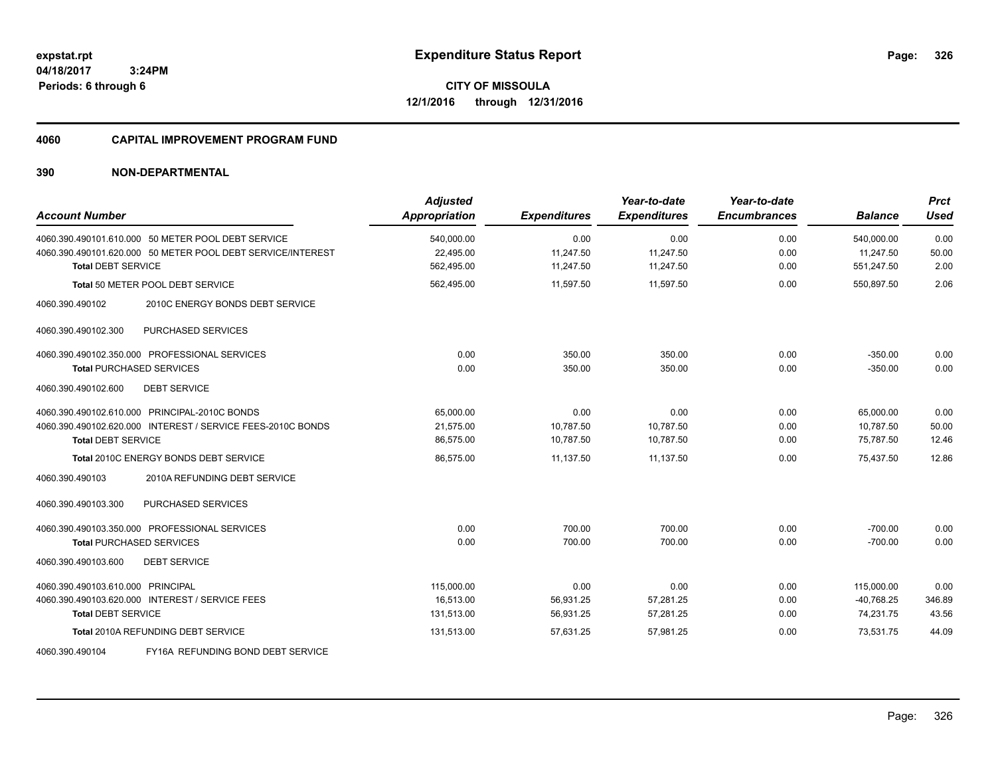**04/18/2017 3:24PM Periods: 6 through 6**

**CITY OF MISSOULA 12/1/2016 through 12/31/2016**

#### **4060 CAPITAL IMPROVEMENT PROGRAM FUND**

| <b>Account Number</b>                                                                                                                          | <b>Adjusted</b><br><b>Appropriation</b> | <b>Expenditures</b>            | Year-to-date<br><b>Expenditures</b> | Year-to-date<br><b>Encumbrances</b> | <b>Balance</b>                          | <b>Prct</b><br>Used     |
|------------------------------------------------------------------------------------------------------------------------------------------------|-----------------------------------------|--------------------------------|-------------------------------------|-------------------------------------|-----------------------------------------|-------------------------|
| 4060.390.490101.610.000 50 METER POOL DEBT SERVICE<br>4060.390.490101.620.000 50 METER POOL DEBT SERVICE/INTEREST<br><b>Total DEBT SERVICE</b> | 540,000.00<br>22.495.00<br>562,495.00   | 0.00<br>11,247.50<br>11,247.50 | 0.00<br>11.247.50<br>11,247.50      | 0.00<br>0.00<br>0.00                | 540,000.00<br>11.247.50<br>551,247.50   | 0.00<br>50.00<br>2.00   |
| Total 50 METER POOL DEBT SERVICE                                                                                                               | 562,495.00                              | 11,597.50                      | 11,597.50                           | 0.00                                | 550,897.50                              | 2.06                    |
| 2010C ENERGY BONDS DEBT SERVICE<br>4060.390.490102                                                                                             |                                         |                                |                                     |                                     |                                         |                         |
| PURCHASED SERVICES<br>4060.390.490102.300                                                                                                      |                                         |                                |                                     |                                     |                                         |                         |
| 4060.390.490102.350.000 PROFESSIONAL SERVICES<br><b>Total PURCHASED SERVICES</b>                                                               | 0.00<br>0.00                            | 350.00<br>350.00               | 350.00<br>350.00                    | 0.00<br>0.00                        | $-350.00$<br>$-350.00$                  | 0.00<br>0.00            |
| 4060.390.490102.600<br><b>DEBT SERVICE</b>                                                                                                     |                                         |                                |                                     |                                     |                                         |                         |
| 4060.390.490102.610.000 PRINCIPAL-2010C BONDS<br>4060.390.490102.620.000 INTEREST / SERVICE FEES-2010C BONDS<br><b>Total DEBT SERVICE</b>      | 65,000.00<br>21,575.00<br>86,575.00     | 0.00<br>10,787.50<br>10,787.50 | 0.00<br>10,787.50<br>10,787.50      | 0.00<br>0.00<br>0.00                | 65,000.00<br>10,787.50<br>75,787.50     | 0.00<br>50.00<br>12.46  |
| <b>Total 2010C ENERGY BONDS DEBT SERVICE</b>                                                                                                   | 86,575.00                               | 11,137.50                      | 11,137.50                           | 0.00                                | 75,437.50                               | 12.86                   |
| 4060.390.490103<br>2010A REFUNDING DEBT SERVICE                                                                                                |                                         |                                |                                     |                                     |                                         |                         |
| PURCHASED SERVICES<br>4060.390.490103.300                                                                                                      |                                         |                                |                                     |                                     |                                         |                         |
| 4060.390.490103.350.000 PROFESSIONAL SERVICES<br><b>Total PURCHASED SERVICES</b>                                                               | 0.00<br>0.00                            | 700.00<br>700.00               | 700.00<br>700.00                    | 0.00<br>0.00                        | $-700.00$<br>$-700.00$                  | 0.00<br>0.00            |
| <b>DEBT SERVICE</b><br>4060.390.490103.600                                                                                                     |                                         |                                |                                     |                                     |                                         |                         |
| 4060.390.490103.610.000 PRINCIPAL<br>4060.390.490103.620.000 INTEREST / SERVICE FEES<br><b>Total DEBT SERVICE</b>                              | 115,000.00<br>16.513.00<br>131,513.00   | 0.00<br>56,931.25<br>56,931.25 | 0.00<br>57,281.25<br>57,281.25      | 0.00<br>0.00<br>0.00                | 115,000.00<br>$-40,768.25$<br>74,231.75 | 0.00<br>346.89<br>43.56 |
| Total 2010A REFUNDING DEBT SERVICE                                                                                                             | 131,513.00                              | 57,631.25                      | 57,981.25                           | 0.00                                | 73,531.75                               | 44.09                   |
| FY16A REFUNDING BOND DEBT SERVICE<br>4060.390.490104                                                                                           |                                         |                                |                                     |                                     |                                         |                         |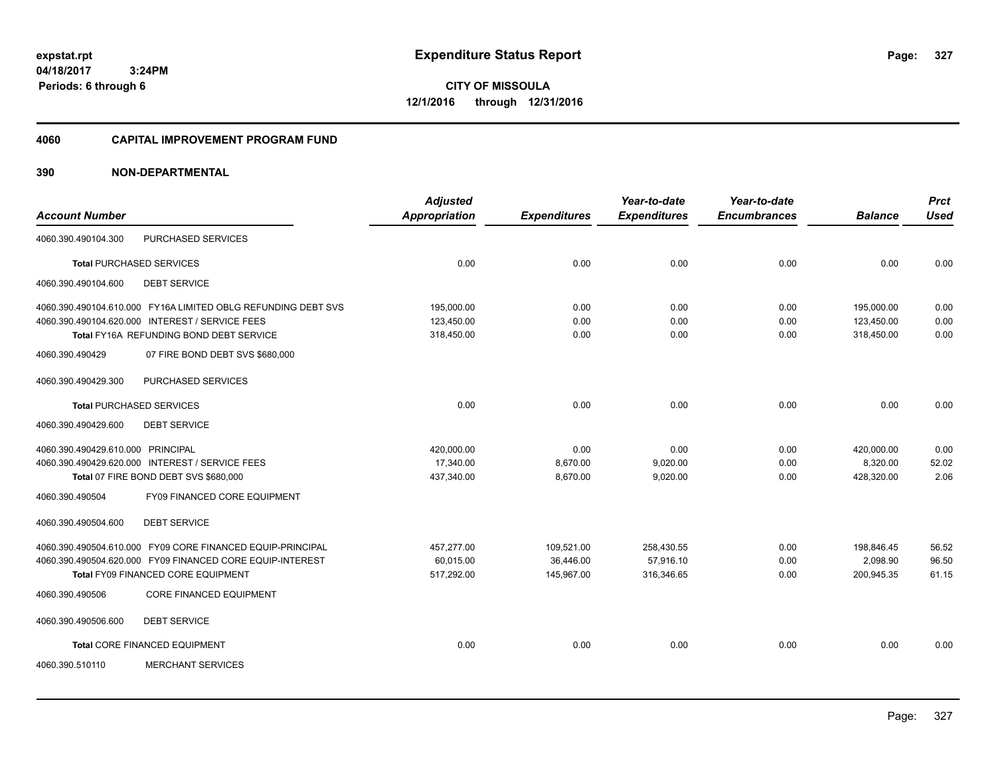**04/18/2017 3:24PM Periods: 6 through 6**

**CITY OF MISSOULA 12/1/2016 through 12/31/2016**

#### **4060 CAPITAL IMPROVEMENT PROGRAM FUND**

|                                   |                                                               | <b>Adjusted</b>      |                     | Year-to-date        | Year-to-date        |                | <b>Prct</b> |
|-----------------------------------|---------------------------------------------------------------|----------------------|---------------------|---------------------|---------------------|----------------|-------------|
| <b>Account Number</b>             |                                                               | <b>Appropriation</b> | <b>Expenditures</b> | <b>Expenditures</b> | <b>Encumbrances</b> | <b>Balance</b> | <b>Used</b> |
| 4060.390.490104.300               | PURCHASED SERVICES                                            |                      |                     |                     |                     |                |             |
|                                   | <b>Total PURCHASED SERVICES</b>                               | 0.00                 | 0.00                | 0.00                | 0.00                | 0.00           | 0.00        |
| 4060.390.490104.600               | <b>DEBT SERVICE</b>                                           |                      |                     |                     |                     |                |             |
|                                   | 4060.390.490104.610.000 FY16A LIMITED OBLG REFUNDING DEBT SVS | 195,000.00           | 0.00                | 0.00                | 0.00                | 195,000.00     | 0.00        |
|                                   | 4060.390.490104.620.000 INTEREST / SERVICE FEES               | 123,450.00           | 0.00                | 0.00                | 0.00                | 123,450.00     | 0.00        |
|                                   | Total FY16A REFUNDING BOND DEBT SERVICE                       | 318,450.00           | 0.00                | 0.00                | 0.00                | 318,450.00     | 0.00        |
| 4060.390.490429                   | 07 FIRE BOND DEBT SVS \$680,000                               |                      |                     |                     |                     |                |             |
| 4060.390.490429.300               | PURCHASED SERVICES                                            |                      |                     |                     |                     |                |             |
|                                   | <b>Total PURCHASED SERVICES</b>                               | 0.00                 | 0.00                | 0.00                | 0.00                | 0.00           | 0.00        |
| 4060.390.490429.600               | <b>DEBT SERVICE</b>                                           |                      |                     |                     |                     |                |             |
| 4060.390.490429.610.000 PRINCIPAL |                                                               | 420,000.00           | 0.00                | 0.00                | 0.00                | 420,000.00     | 0.00        |
|                                   | 4060.390.490429.620.000 INTEREST / SERVICE FEES               | 17,340.00            | 8,670.00            | 9,020.00            | 0.00                | 8,320.00       | 52.02       |
|                                   | Total 07 FIRE BOND DEBT SVS \$680,000                         | 437,340.00           | 8,670.00            | 9,020.00            | 0.00                | 428,320.00     | 2.06        |
| 4060.390.490504                   | FY09 FINANCED CORE EQUIPMENT                                  |                      |                     |                     |                     |                |             |
| 4060.390.490504.600               | <b>DEBT SERVICE</b>                                           |                      |                     |                     |                     |                |             |
|                                   | 4060.390.490504.610.000 FY09 CORE FINANCED EQUIP-PRINCIPAL    | 457,277.00           | 109,521.00          | 258,430.55          | 0.00                | 198,846.45     | 56.52       |
|                                   | 4060.390.490504.620.000 FY09 FINANCED CORE EQUIP-INTEREST     | 60,015.00            | 36.446.00           | 57.916.10           | 0.00                | 2,098.90       | 96.50       |
|                                   | Total FY09 FINANCED CORE EQUIPMENT                            | 517,292.00           | 145,967.00          | 316,346.65          | 0.00                | 200,945.35     | 61.15       |
| 4060.390.490506                   | <b>CORE FINANCED EQUIPMENT</b>                                |                      |                     |                     |                     |                |             |
| 4060.390.490506.600               | <b>DEBT SERVICE</b>                                           |                      |                     |                     |                     |                |             |
|                                   | Total CORE FINANCED EQUIPMENT                                 | 0.00                 | 0.00                | 0.00                | 0.00                | 0.00           | 0.00        |
| 4060.390.510110                   | <b>MERCHANT SERVICES</b>                                      |                      |                     |                     |                     |                |             |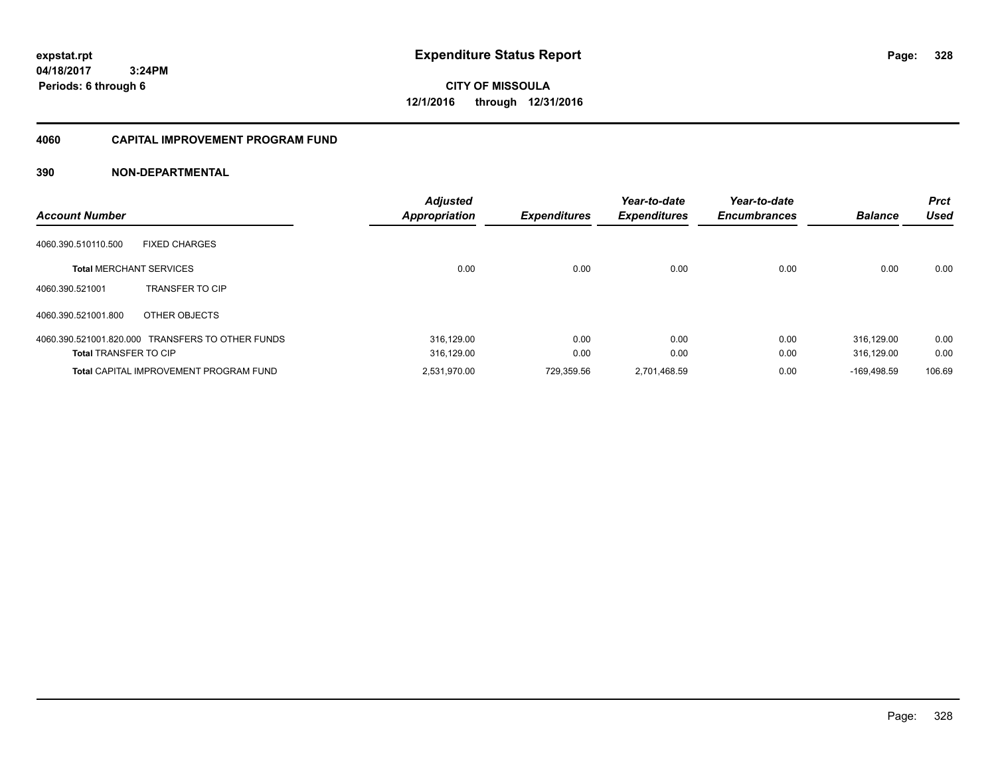**04/18/2017 3:24PM Periods: 6 through 6**

**CITY OF MISSOULA 12/1/2016 through 12/31/2016**

#### **4060 CAPITAL IMPROVEMENT PROGRAM FUND**

| <b>Account Number</b>          |                                                  | <b>Adjusted</b><br><b>Appropriation</b> | <b>Expenditures</b> | Year-to-date<br><b>Expenditures</b> | Year-to-date<br><b>Encumbrances</b> | <b>Balance</b> | <b>Prct</b><br><b>Used</b> |
|--------------------------------|--------------------------------------------------|-----------------------------------------|---------------------|-------------------------------------|-------------------------------------|----------------|----------------------------|
| 4060.390.510110.500            | <b>FIXED CHARGES</b>                             |                                         |                     |                                     |                                     |                |                            |
| <b>Total MERCHANT SERVICES</b> |                                                  | 0.00                                    | 0.00                | 0.00                                | 0.00                                | 0.00           | 0.00                       |
| 4060.390.521001                | <b>TRANSFER TO CIP</b>                           |                                         |                     |                                     |                                     |                |                            |
| 4060.390.521001.800            | OTHER OBJECTS                                    |                                         |                     |                                     |                                     |                |                            |
|                                | 4060.390.521001.820.000 TRANSFERS TO OTHER FUNDS | 316,129.00                              | 0.00                | 0.00                                | 0.00                                | 316.129.00     | 0.00                       |
| <b>Total TRANSFER TO CIP</b>   |                                                  | 316,129.00                              | 0.00                | 0.00                                | 0.00                                | 316.129.00     | 0.00                       |
|                                | <b>Total CAPITAL IMPROVEMENT PROGRAM FUND</b>    | 2,531,970.00                            | 729.359.56          | 2,701,468.59                        | 0.00                                | $-169.498.59$  | 106.69                     |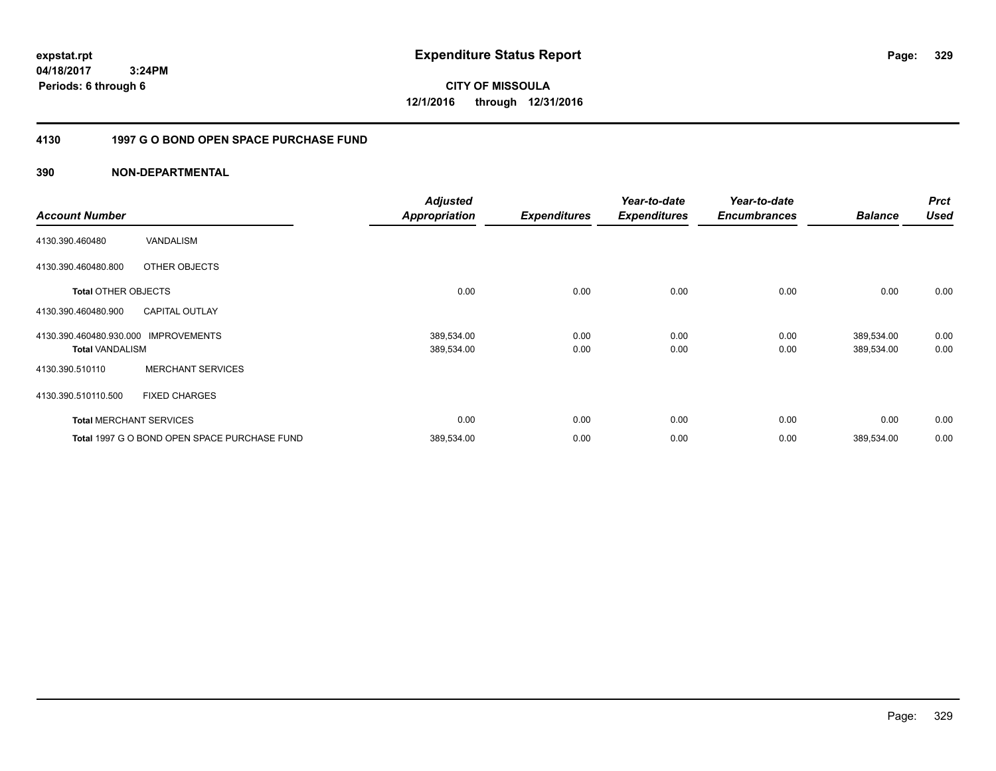**04/18/2017 3:24PM Periods: 6 through 6**

**CITY OF MISSOULA 12/1/2016 through 12/31/2016**

#### **4130 1997 G O BOND OPEN SPACE PURCHASE FUND**

|                            |                                              | <b>Adjusted</b>      |                     | Year-to-date        | Year-to-date        |                | <b>Prct</b> |
|----------------------------|----------------------------------------------|----------------------|---------------------|---------------------|---------------------|----------------|-------------|
| <b>Account Number</b>      |                                              | <b>Appropriation</b> | <b>Expenditures</b> | <b>Expenditures</b> | <b>Encumbrances</b> | <b>Balance</b> | <b>Used</b> |
| 4130.390.460480            | VANDALISM                                    |                      |                     |                     |                     |                |             |
| 4130.390.460480.800        | OTHER OBJECTS                                |                      |                     |                     |                     |                |             |
| <b>Total OTHER OBJECTS</b> |                                              | 0.00                 | 0.00                | 0.00                | 0.00                | 0.00           | 0.00        |
| 4130.390.460480.900        | <b>CAPITAL OUTLAY</b>                        |                      |                     |                     |                     |                |             |
| 4130.390.460480.930.000    | <b>IMPROVEMENTS</b>                          | 389,534.00           | 0.00                | 0.00                | 0.00                | 389,534.00     | 0.00        |
| <b>Total VANDALISM</b>     |                                              | 389,534.00           | 0.00                | 0.00                | 0.00                | 389,534.00     | 0.00        |
| 4130.390.510110            | <b>MERCHANT SERVICES</b>                     |                      |                     |                     |                     |                |             |
| 4130.390.510110.500        | <b>FIXED CHARGES</b>                         |                      |                     |                     |                     |                |             |
|                            | <b>Total MERCHANT SERVICES</b>               | 0.00                 | 0.00                | 0.00                | 0.00                | 0.00           | 0.00        |
|                            | Total 1997 G O BOND OPEN SPACE PURCHASE FUND | 389,534.00           | 0.00                | 0.00                | 0.00                | 389,534.00     | 0.00        |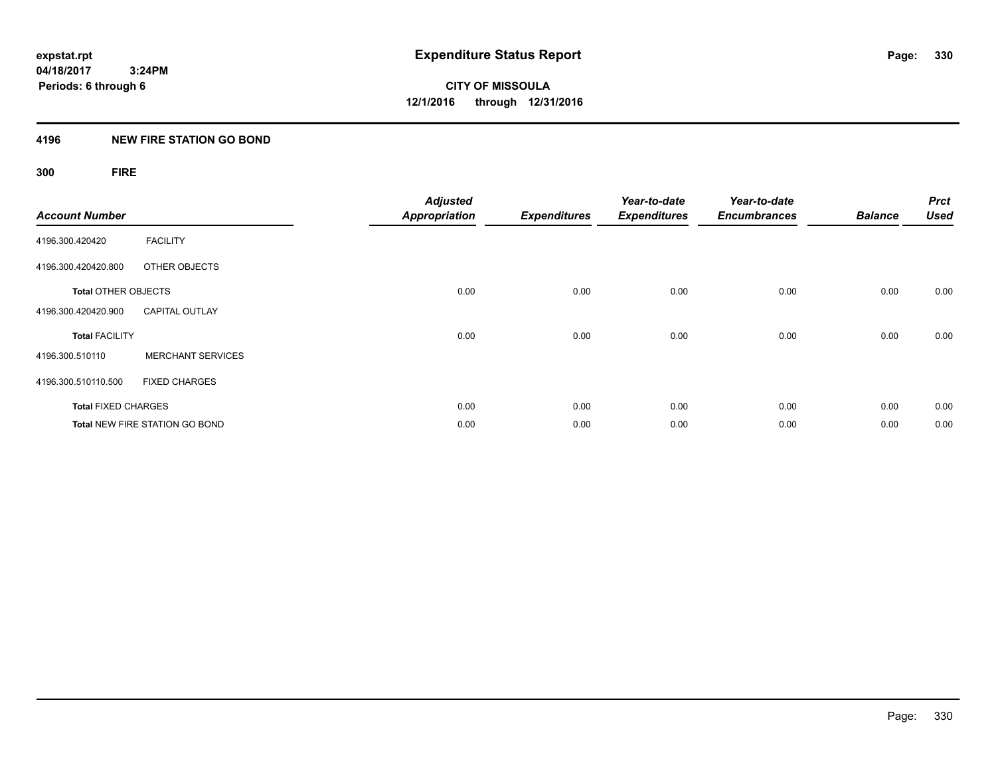**CITY OF MISSOULA 12/1/2016 through 12/31/2016**

#### **4196 NEW FIRE STATION GO BOND**

## **300 FIRE**

| <b>Account Number</b>      |                                       | <b>Adjusted</b><br><b>Appropriation</b> | <b>Expenditures</b> | Year-to-date<br><b>Expenditures</b> | Year-to-date<br><b>Encumbrances</b> | <b>Balance</b> | <b>Prct</b><br><b>Used</b> |
|----------------------------|---------------------------------------|-----------------------------------------|---------------------|-------------------------------------|-------------------------------------|----------------|----------------------------|
| 4196.300.420420            | <b>FACILITY</b>                       |                                         |                     |                                     |                                     |                |                            |
| 4196.300.420420.800        | OTHER OBJECTS                         |                                         |                     |                                     |                                     |                |                            |
| <b>Total OTHER OBJECTS</b> |                                       | 0.00                                    | 0.00                | 0.00                                | 0.00                                | 0.00           | 0.00                       |
| 4196.300.420420.900        | <b>CAPITAL OUTLAY</b>                 |                                         |                     |                                     |                                     |                |                            |
| <b>Total FACILITY</b>      |                                       | 0.00                                    | 0.00                | 0.00                                | 0.00                                | 0.00           | 0.00                       |
| 4196.300.510110            | <b>MERCHANT SERVICES</b>              |                                         |                     |                                     |                                     |                |                            |
| 4196.300.510110.500        | <b>FIXED CHARGES</b>                  |                                         |                     |                                     |                                     |                |                            |
| <b>Total FIXED CHARGES</b> |                                       | 0.00                                    | 0.00                | 0.00                                | 0.00                                | 0.00           | 0.00                       |
|                            | <b>Total NEW FIRE STATION GO BOND</b> | 0.00                                    | 0.00                | 0.00                                | 0.00                                | 0.00           | 0.00                       |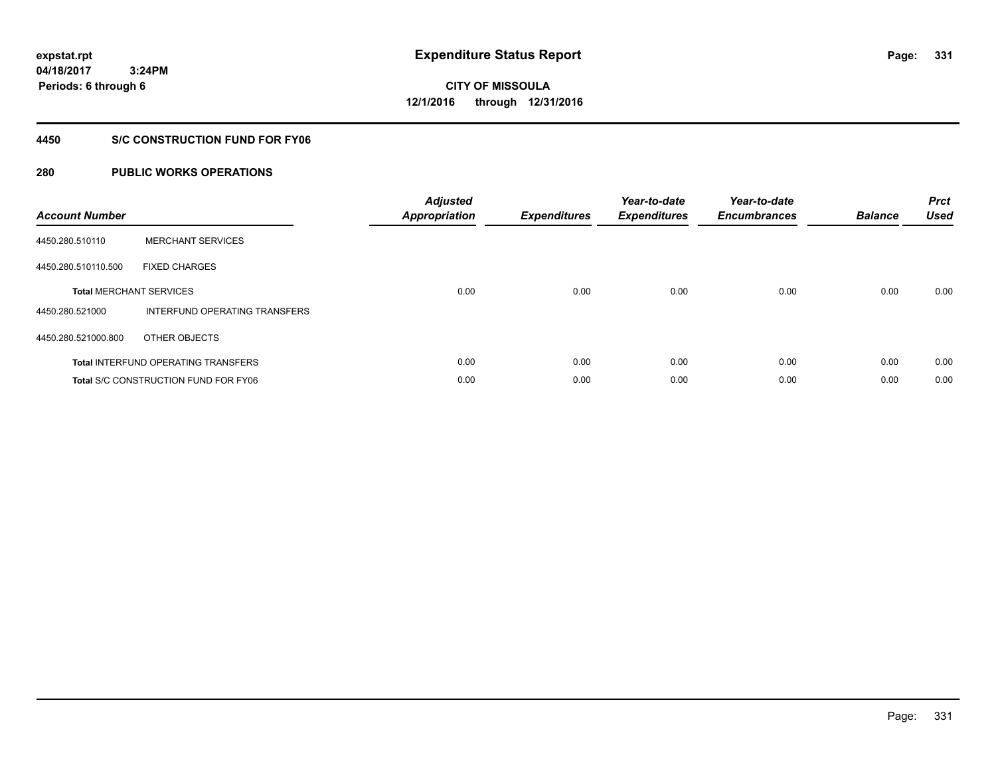**04/18/2017 3:24PM Periods: 6 through 6**

# **CITY OF MISSOULA 12/1/2016 through 12/31/2016**

#### **4450 S/C CONSTRUCTION FUND FOR FY06**

| <b>Account Number</b> |                                             | <b>Adjusted</b><br><b>Appropriation</b> | <b>Expenditures</b> | Year-to-date<br><b>Expenditures</b> | Year-to-date<br><b>Encumbrances</b> | <b>Balance</b> | <b>Prct</b><br><b>Used</b> |
|-----------------------|---------------------------------------------|-----------------------------------------|---------------------|-------------------------------------|-------------------------------------|----------------|----------------------------|
| 4450.280.510110       | <b>MERCHANT SERVICES</b>                    |                                         |                     |                                     |                                     |                |                            |
| 4450.280.510110.500   | <b>FIXED CHARGES</b>                        |                                         |                     |                                     |                                     |                |                            |
|                       | <b>Total MERCHANT SERVICES</b>              | 0.00                                    | 0.00                | 0.00                                | 0.00                                | 0.00           | 0.00                       |
| 4450.280.521000       | INTERFUND OPERATING TRANSFERS               |                                         |                     |                                     |                                     |                |                            |
| 4450.280.521000.800   | OTHER OBJECTS                               |                                         |                     |                                     |                                     |                |                            |
|                       | <b>Total INTERFUND OPERATING TRANSFERS</b>  | 0.00                                    | 0.00                | 0.00                                | 0.00                                | 0.00           | 0.00                       |
|                       | <b>Total S/C CONSTRUCTION FUND FOR FY06</b> | 0.00                                    | 0.00                | 0.00                                | 0.00                                | 0.00           | 0.00                       |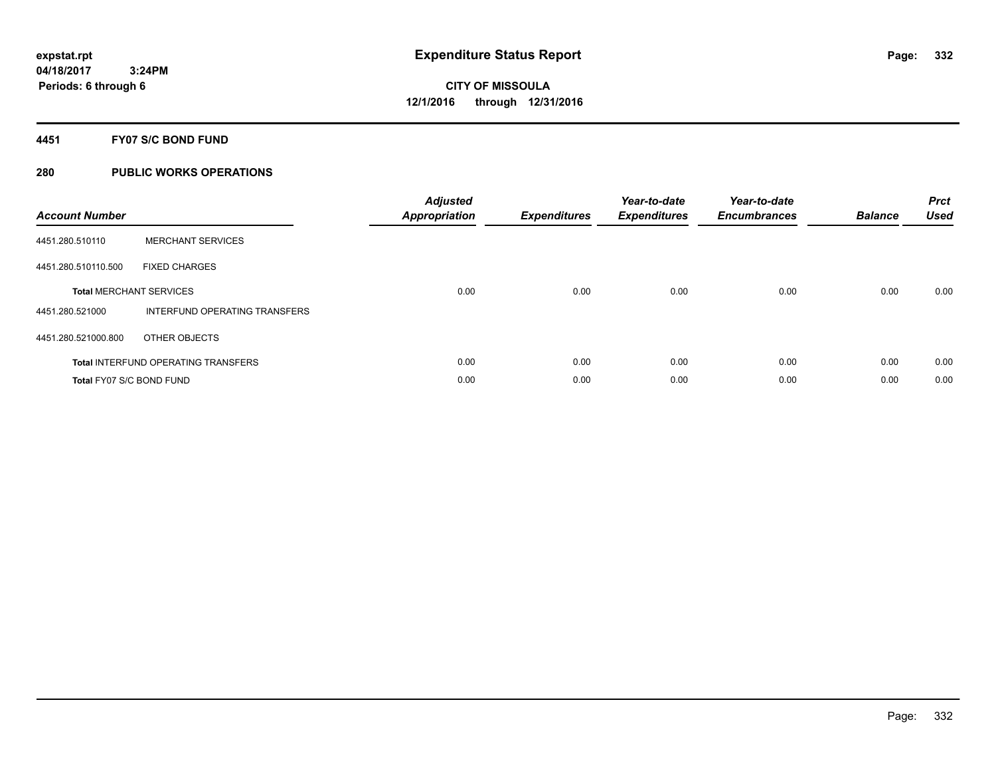#### **4451 FY07 S/C BOND FUND**

| <b>Account Number</b>    |                                            | <b>Adjusted</b><br>Appropriation | <b>Expenditures</b> | Year-to-date<br><b>Expenditures</b> | Year-to-date<br><b>Encumbrances</b> | <b>Balance</b> | <b>Prct</b><br><b>Used</b> |
|--------------------------|--------------------------------------------|----------------------------------|---------------------|-------------------------------------|-------------------------------------|----------------|----------------------------|
| 4451.280.510110          | <b>MERCHANT SERVICES</b>                   |                                  |                     |                                     |                                     |                |                            |
| 4451.280.510110.500      | <b>FIXED CHARGES</b>                       |                                  |                     |                                     |                                     |                |                            |
|                          | <b>Total MERCHANT SERVICES</b>             | 0.00                             | 0.00                | 0.00                                | 0.00                                | 0.00           | 0.00                       |
| 4451.280.521000          | INTERFUND OPERATING TRANSFERS              |                                  |                     |                                     |                                     |                |                            |
| 4451.280.521000.800      | OTHER OBJECTS                              |                                  |                     |                                     |                                     |                |                            |
|                          | <b>Total INTERFUND OPERATING TRANSFERS</b> | 0.00                             | 0.00                | 0.00                                | 0.00                                | 0.00           | 0.00                       |
| Total FY07 S/C BOND FUND |                                            | 0.00                             | 0.00                | 0.00                                | 0.00                                | 0.00           | 0.00                       |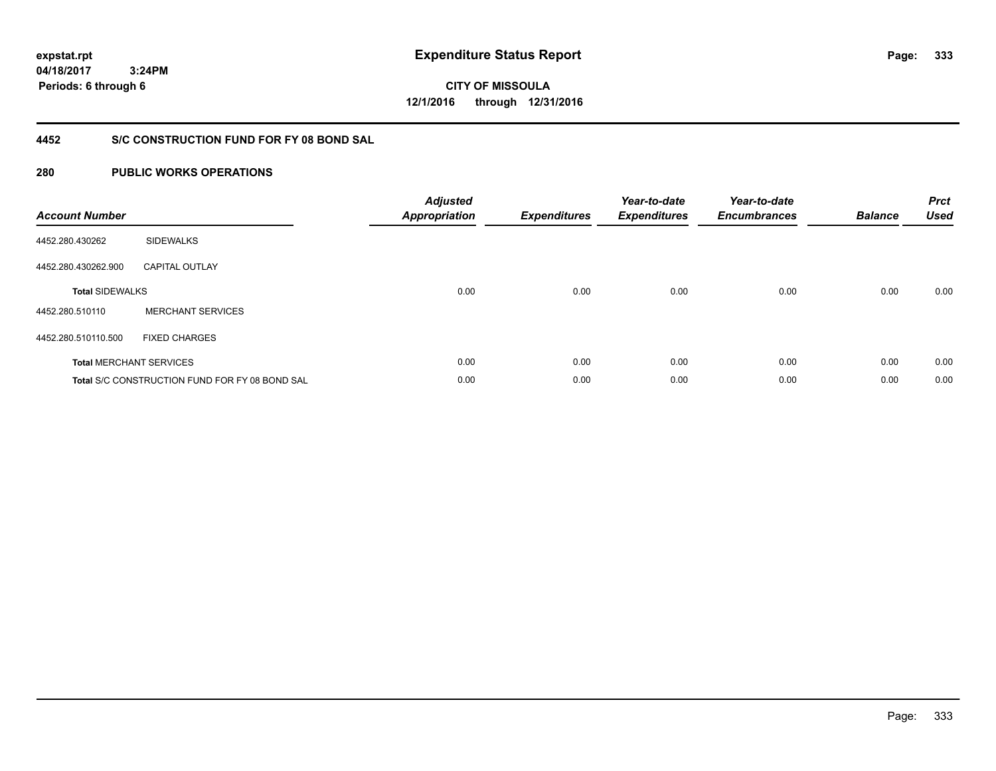**04/18/2017 3:24PM Periods: 6 through 6**

**CITY OF MISSOULA 12/1/2016 through 12/31/2016**

### **4452 S/C CONSTRUCTION FUND FOR FY 08 BOND SAL**

| <b>Account Number</b>  |                                                       | <b>Adjusted</b><br><b>Appropriation</b> | <b>Expenditures</b> | Year-to-date<br><b>Expenditures</b> | Year-to-date<br><b>Encumbrances</b> | <b>Balance</b> | <b>Prct</b><br><b>Used</b> |
|------------------------|-------------------------------------------------------|-----------------------------------------|---------------------|-------------------------------------|-------------------------------------|----------------|----------------------------|
| 4452.280.430262        | <b>SIDEWALKS</b>                                      |                                         |                     |                                     |                                     |                |                            |
| 4452.280.430262.900    | <b>CAPITAL OUTLAY</b>                                 |                                         |                     |                                     |                                     |                |                            |
| <b>Total SIDEWALKS</b> |                                                       | 0.00                                    | 0.00                | 0.00                                | 0.00                                | 0.00           | 0.00                       |
| 4452.280.510110        | <b>MERCHANT SERVICES</b>                              |                                         |                     |                                     |                                     |                |                            |
| 4452.280.510110.500    | <b>FIXED CHARGES</b>                                  |                                         |                     |                                     |                                     |                |                            |
|                        | <b>Total MERCHANT SERVICES</b>                        | 0.00                                    | 0.00                | 0.00                                | 0.00                                | 0.00           | 0.00                       |
|                        | <b>Total S/C CONSTRUCTION FUND FOR FY 08 BOND SAL</b> | 0.00                                    | 0.00                | 0.00                                | 0.00                                | 0.00           | 0.00                       |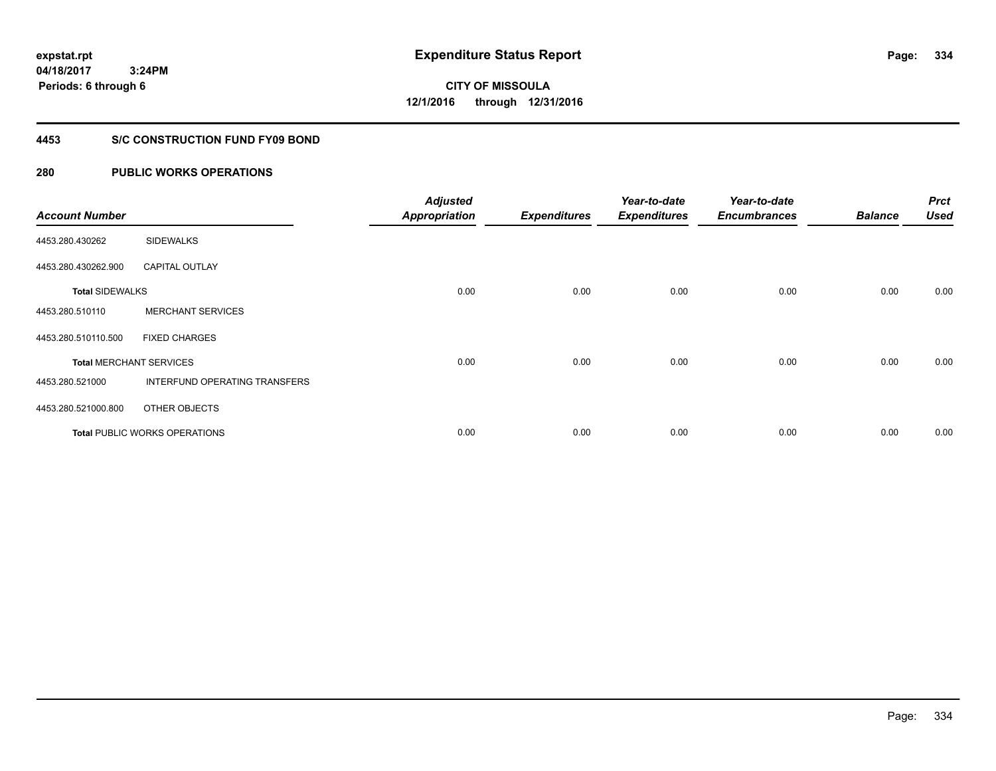**04/18/2017 3:24PM Periods: 6 through 6**

**CITY OF MISSOULA 12/1/2016 through 12/31/2016**

#### **4453 S/C CONSTRUCTION FUND FY09 BOND**

| <b>Account Number</b>  |                                      | <b>Adjusted</b><br><b>Appropriation</b> | <b>Expenditures</b> | Year-to-date<br><b>Expenditures</b> | Year-to-date<br><b>Encumbrances</b> | <b>Balance</b> | <b>Prct</b><br><b>Used</b> |
|------------------------|--------------------------------------|-----------------------------------------|---------------------|-------------------------------------|-------------------------------------|----------------|----------------------------|
| 4453.280.430262        | <b>SIDEWALKS</b>                     |                                         |                     |                                     |                                     |                |                            |
| 4453.280.430262.900    | <b>CAPITAL OUTLAY</b>                |                                         |                     |                                     |                                     |                |                            |
| <b>Total SIDEWALKS</b> |                                      | 0.00                                    | 0.00                | 0.00                                | 0.00                                | 0.00           | 0.00                       |
| 4453.280.510110        | <b>MERCHANT SERVICES</b>             |                                         |                     |                                     |                                     |                |                            |
| 4453.280.510110.500    | <b>FIXED CHARGES</b>                 |                                         |                     |                                     |                                     |                |                            |
|                        | <b>Total MERCHANT SERVICES</b>       | 0.00                                    | 0.00                | 0.00                                | 0.00                                | 0.00           | 0.00                       |
| 4453.280.521000        | <b>INTERFUND OPERATING TRANSFERS</b> |                                         |                     |                                     |                                     |                |                            |
| 4453.280.521000.800    | OTHER OBJECTS                        |                                         |                     |                                     |                                     |                |                            |
|                        | <b>Total PUBLIC WORKS OPERATIONS</b> | 0.00                                    | 0.00                | 0.00                                | 0.00                                | 0.00           | 0.00                       |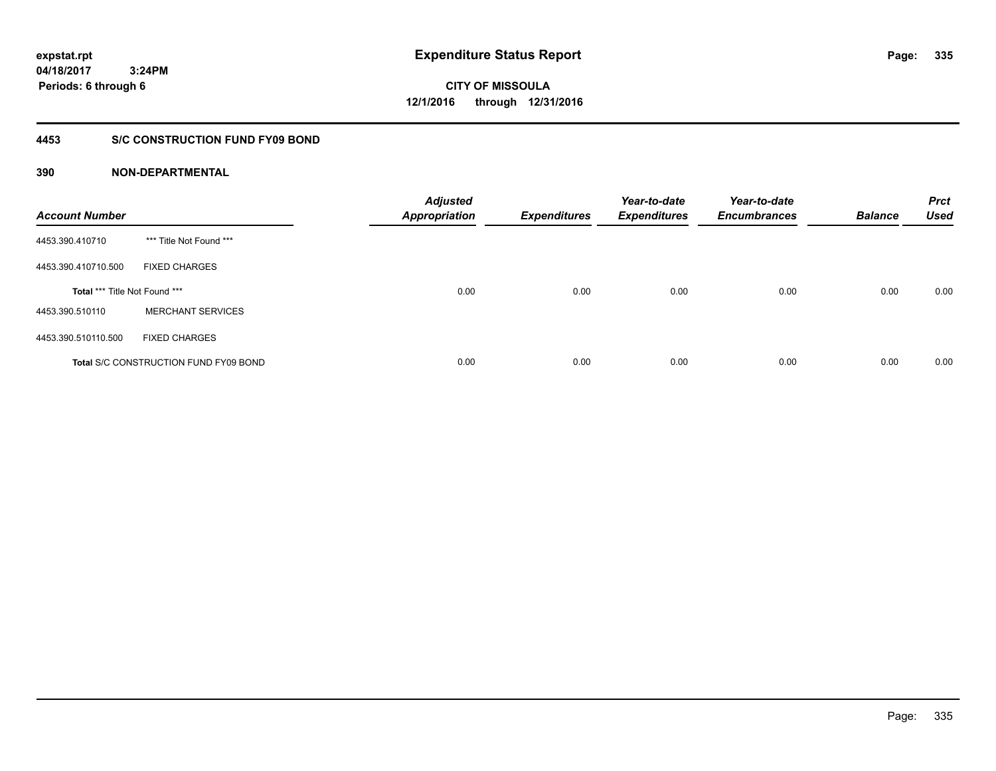**04/18/2017 3:24PM Periods: 6 through 6**

**CITY OF MISSOULA 12/1/2016 through 12/31/2016**

#### **4453 S/C CONSTRUCTION FUND FY09 BOND**

| <b>Account Number</b>                |                                              | <b>Adjusted</b><br><b>Appropriation</b> | <b>Expenditures</b> | Year-to-date<br><b>Expenditures</b> | Year-to-date<br><b>Encumbrances</b> | <b>Balance</b> | <b>Prct</b><br><b>Used</b> |
|--------------------------------------|----------------------------------------------|-----------------------------------------|---------------------|-------------------------------------|-------------------------------------|----------------|----------------------------|
| 4453.390.410710                      | *** Title Not Found ***                      |                                         |                     |                                     |                                     |                |                            |
| 4453.390.410710.500                  | <b>FIXED CHARGES</b>                         |                                         |                     |                                     |                                     |                |                            |
| <b>Total *** Title Not Found ***</b> |                                              | 0.00                                    | 0.00                | 0.00                                | 0.00                                | 0.00           | 0.00                       |
| 4453.390.510110                      | <b>MERCHANT SERVICES</b>                     |                                         |                     |                                     |                                     |                |                            |
| 4453.390.510110.500                  | <b>FIXED CHARGES</b>                         |                                         |                     |                                     |                                     |                |                            |
|                                      | <b>Total S/C CONSTRUCTION FUND FY09 BOND</b> | 0.00                                    | 0.00                | 0.00                                | 0.00                                | 0.00           | 0.00                       |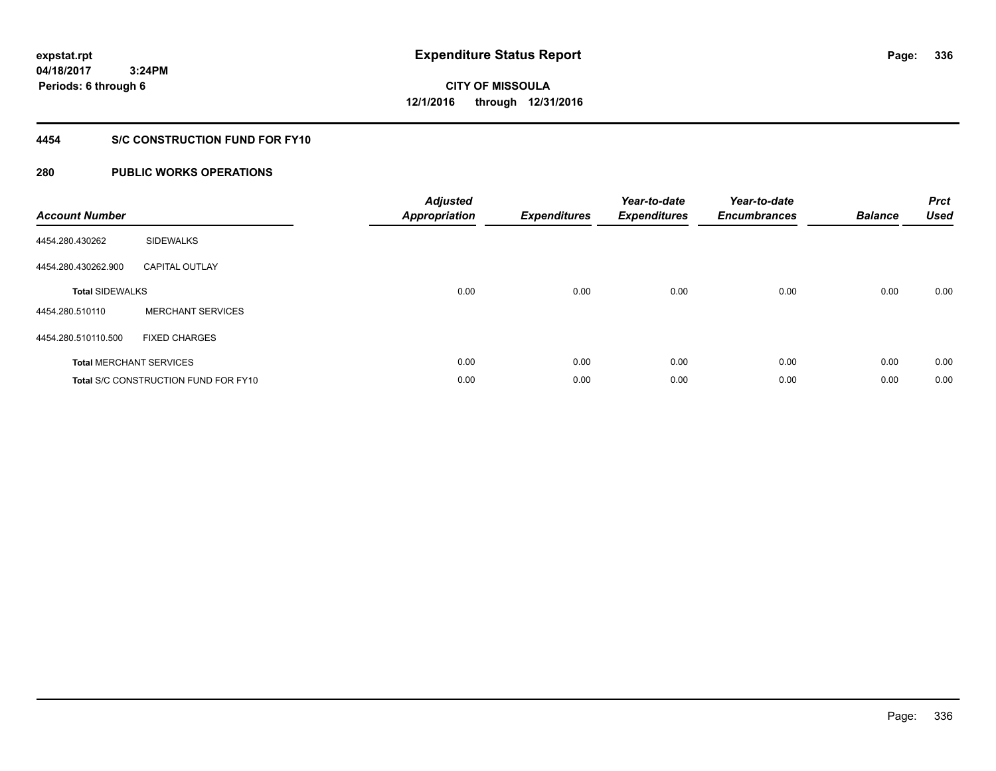**04/18/2017 3:24PM Periods: 6 through 6**

**CITY OF MISSOULA 12/1/2016 through 12/31/2016**

#### **4454 S/C CONSTRUCTION FUND FOR FY10**

| <b>Account Number</b>  |                                             | <b>Adjusted</b><br><b>Appropriation</b> | <b>Expenditures</b> | Year-to-date<br><b>Expenditures</b> | Year-to-date<br><b>Encumbrances</b> | <b>Balance</b> | <b>Prct</b><br><b>Used</b> |
|------------------------|---------------------------------------------|-----------------------------------------|---------------------|-------------------------------------|-------------------------------------|----------------|----------------------------|
| 4454.280.430262        | <b>SIDEWALKS</b>                            |                                         |                     |                                     |                                     |                |                            |
| 4454.280.430262.900    | <b>CAPITAL OUTLAY</b>                       |                                         |                     |                                     |                                     |                |                            |
| <b>Total SIDEWALKS</b> |                                             | 0.00                                    | 0.00                | 0.00                                | 0.00                                | 0.00           | 0.00                       |
| 4454.280.510110        | <b>MERCHANT SERVICES</b>                    |                                         |                     |                                     |                                     |                |                            |
| 4454.280.510110.500    | <b>FIXED CHARGES</b>                        |                                         |                     |                                     |                                     |                |                            |
|                        | <b>Total MERCHANT SERVICES</b>              | 0.00                                    | 0.00                | 0.00                                | 0.00                                | 0.00           | 0.00                       |
|                        | <b>Total S/C CONSTRUCTION FUND FOR FY10</b> | 0.00                                    | 0.00                | 0.00                                | 0.00                                | 0.00           | 0.00                       |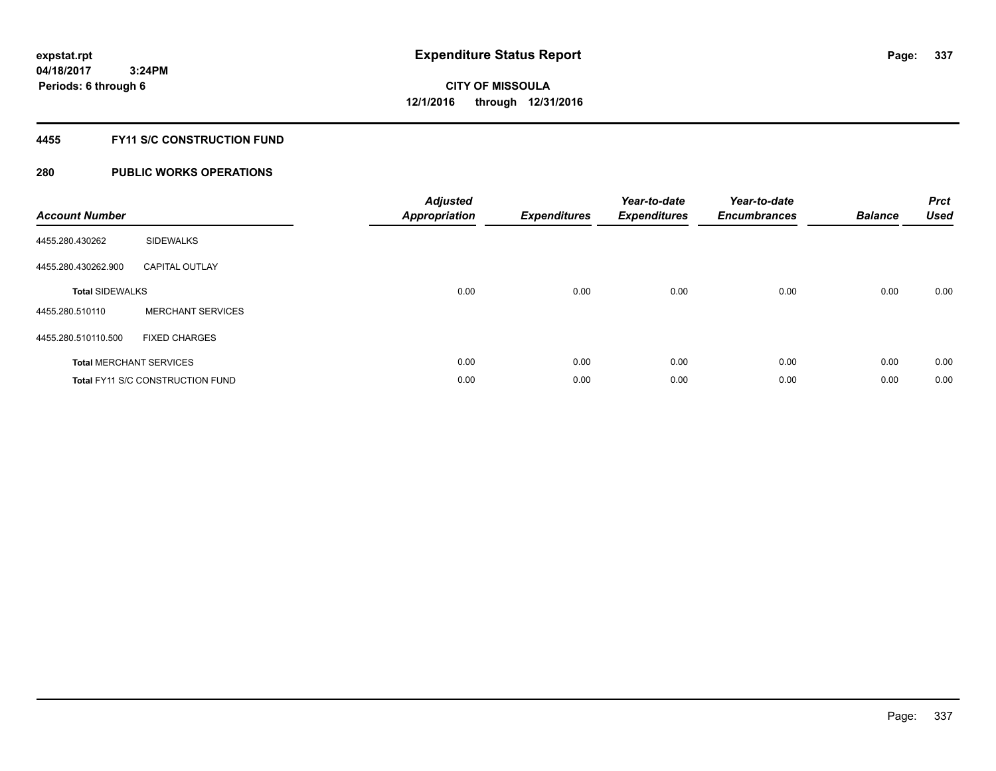### **4455 FY11 S/C CONSTRUCTION FUND**

| <b>Account Number</b>  |                                         | <b>Adjusted</b><br><b>Appropriation</b> | <b>Expenditures</b> | Year-to-date<br><b>Expenditures</b> | Year-to-date<br><b>Encumbrances</b> | <b>Balance</b> | <b>Prct</b><br><b>Used</b> |
|------------------------|-----------------------------------------|-----------------------------------------|---------------------|-------------------------------------|-------------------------------------|----------------|----------------------------|
| 4455.280.430262        | <b>SIDEWALKS</b>                        |                                         |                     |                                     |                                     |                |                            |
| 4455.280.430262.900    | <b>CAPITAL OUTLAY</b>                   |                                         |                     |                                     |                                     |                |                            |
| <b>Total SIDEWALKS</b> |                                         | 0.00                                    | 0.00                | 0.00                                | 0.00                                | 0.00           | 0.00                       |
| 4455.280.510110        | <b>MERCHANT SERVICES</b>                |                                         |                     |                                     |                                     |                |                            |
| 4455.280.510110.500    | <b>FIXED CHARGES</b>                    |                                         |                     |                                     |                                     |                |                            |
|                        | <b>Total MERCHANT SERVICES</b>          | 0.00                                    | 0.00                | 0.00                                | 0.00                                | 0.00           | 0.00                       |
|                        | <b>Total FY11 S/C CONSTRUCTION FUND</b> | 0.00                                    | 0.00                | 0.00                                | 0.00                                | 0.00           | 0.00                       |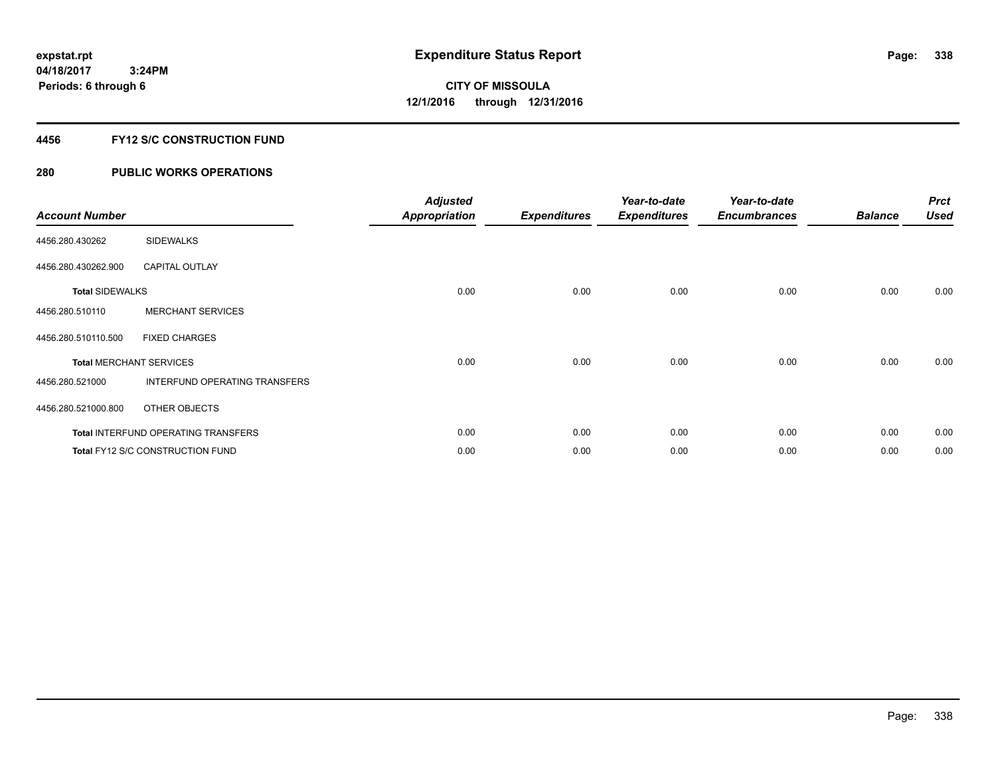### **4456 FY12 S/C CONSTRUCTION FUND**

| <b>Account Number</b>          |                                            | <b>Adjusted</b><br>Appropriation | <b>Expenditures</b> | Year-to-date<br><b>Expenditures</b> | Year-to-date<br><b>Encumbrances</b> | <b>Balance</b> | <b>Prct</b><br><b>Used</b> |
|--------------------------------|--------------------------------------------|----------------------------------|---------------------|-------------------------------------|-------------------------------------|----------------|----------------------------|
| 4456.280.430262                | <b>SIDEWALKS</b>                           |                                  |                     |                                     |                                     |                |                            |
| 4456.280.430262.900            | <b>CAPITAL OUTLAY</b>                      |                                  |                     |                                     |                                     |                |                            |
| <b>Total SIDEWALKS</b>         |                                            | 0.00                             | 0.00                | 0.00                                | 0.00                                | 0.00           | 0.00                       |
| 4456.280.510110                | <b>MERCHANT SERVICES</b>                   |                                  |                     |                                     |                                     |                |                            |
| 4456.280.510110.500            | <b>FIXED CHARGES</b>                       |                                  |                     |                                     |                                     |                |                            |
| <b>Total MERCHANT SERVICES</b> |                                            | 0.00                             | 0.00                | 0.00                                | 0.00                                | 0.00           | 0.00                       |
| 4456.280.521000                | INTERFUND OPERATING TRANSFERS              |                                  |                     |                                     |                                     |                |                            |
| 4456.280.521000.800            | OTHER OBJECTS                              |                                  |                     |                                     |                                     |                |                            |
|                                | <b>Total INTERFUND OPERATING TRANSFERS</b> | 0.00                             | 0.00                | 0.00                                | 0.00                                | 0.00           | 0.00                       |
|                                | <b>Total FY12 S/C CONSTRUCTION FUND</b>    | 0.00                             | 0.00                | 0.00                                | 0.00                                | 0.00           | 0.00                       |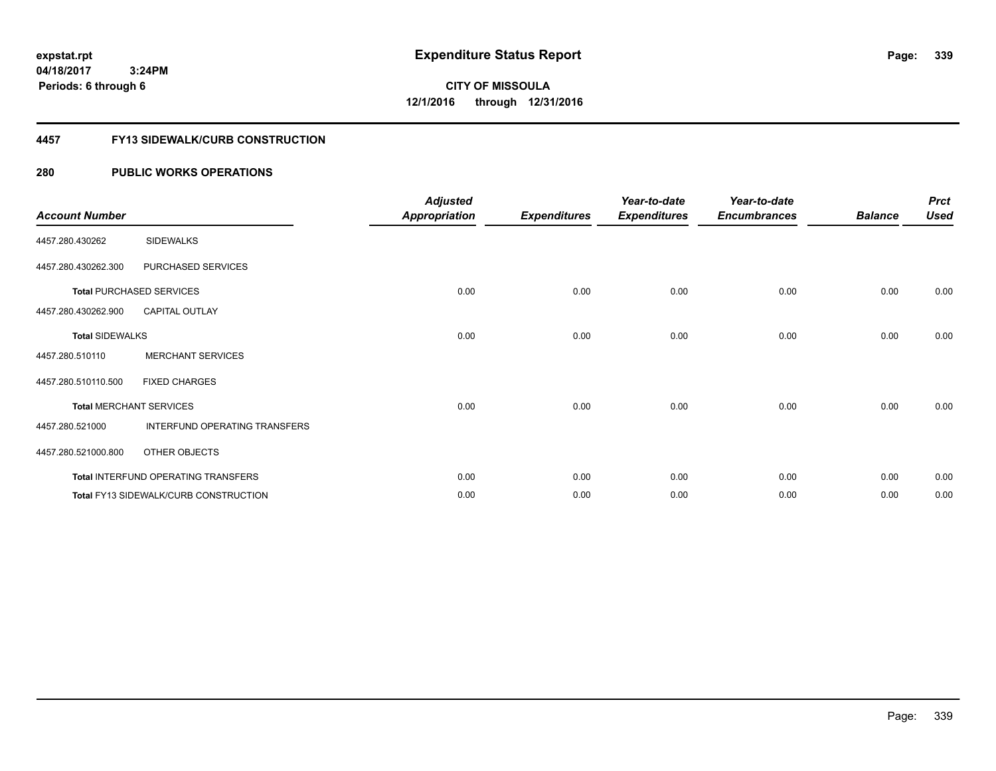**CITY OF MISSOULA 12/1/2016 through 12/31/2016**

#### **4457 FY13 SIDEWALK/CURB CONSTRUCTION**

#### **280 PUBLIC WORKS OPERATIONS**

| <b>Account Number</b>  |                                       | <b>Adjusted</b><br><b>Appropriation</b> | <b>Expenditures</b> | Year-to-date<br><b>Expenditures</b> | Year-to-date<br><b>Encumbrances</b> | <b>Balance</b> | <b>Prct</b><br><b>Used</b> |
|------------------------|---------------------------------------|-----------------------------------------|---------------------|-------------------------------------|-------------------------------------|----------------|----------------------------|
| 4457.280.430262        | <b>SIDEWALKS</b>                      |                                         |                     |                                     |                                     |                |                            |
| 4457.280.430262.300    | PURCHASED SERVICES                    |                                         |                     |                                     |                                     |                |                            |
|                        | <b>Total PURCHASED SERVICES</b>       | 0.00                                    | 0.00                | 0.00                                | 0.00                                | 0.00           | 0.00                       |
| 4457.280.430262.900    | <b>CAPITAL OUTLAY</b>                 |                                         |                     |                                     |                                     |                |                            |
| <b>Total SIDEWALKS</b> |                                       | 0.00                                    | 0.00                | 0.00                                | 0.00                                | 0.00           | 0.00                       |
| 4457.280.510110        | <b>MERCHANT SERVICES</b>              |                                         |                     |                                     |                                     |                |                            |
| 4457.280.510110.500    | <b>FIXED CHARGES</b>                  |                                         |                     |                                     |                                     |                |                            |
|                        | <b>Total MERCHANT SERVICES</b>        | 0.00                                    | 0.00                | 0.00                                | 0.00                                | 0.00           | 0.00                       |
| 4457.280.521000        | INTERFUND OPERATING TRANSFERS         |                                         |                     |                                     |                                     |                |                            |
| 4457.280.521000.800    | <b>OTHER OBJECTS</b>                  |                                         |                     |                                     |                                     |                |                            |
|                        | Total INTERFUND OPERATING TRANSFERS   | 0.00                                    | 0.00                | 0.00                                | 0.00                                | 0.00           | 0.00                       |
|                        | Total FY13 SIDEWALK/CURB CONSTRUCTION | 0.00                                    | 0.00                | 0.00                                | 0.00                                | 0.00           | 0.00                       |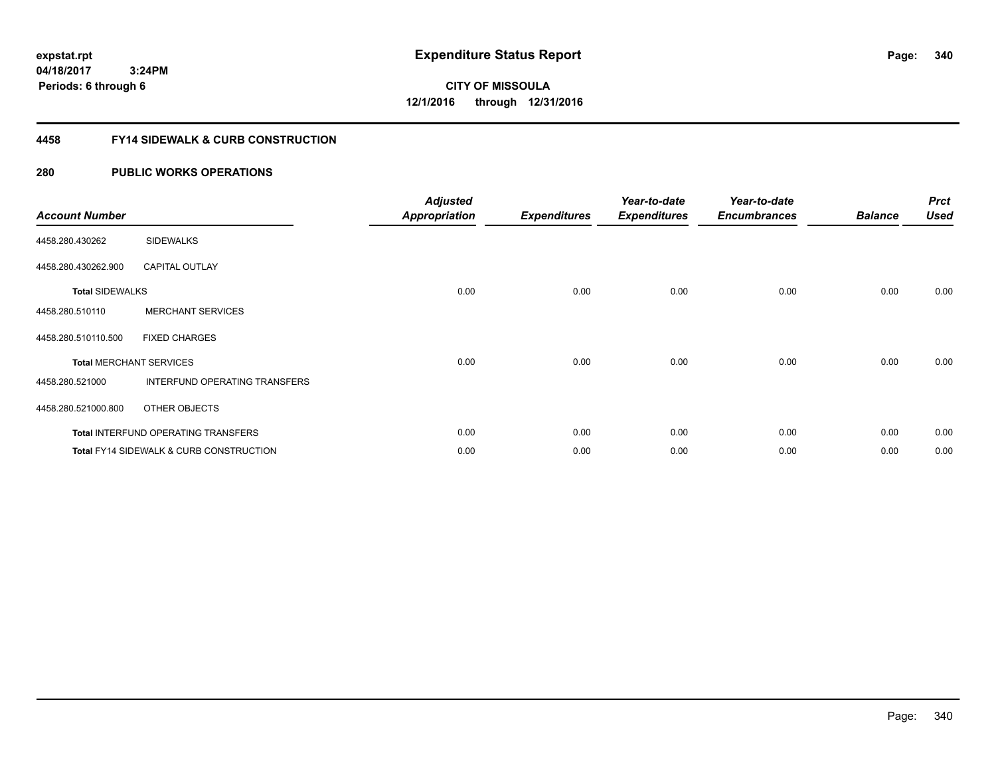**CITY OF MISSOULA 12/1/2016 through 12/31/2016**

#### **4458 FY14 SIDEWALK & CURB CONSTRUCTION**

#### **280 PUBLIC WORKS OPERATIONS**

| <b>Account Number</b>  |                                                    | <b>Adjusted</b><br><b>Appropriation</b> | <b>Expenditures</b> | Year-to-date<br><b>Expenditures</b> | Year-to-date<br><b>Encumbrances</b> | <b>Balance</b> | <b>Prct</b><br><b>Used</b> |
|------------------------|----------------------------------------------------|-----------------------------------------|---------------------|-------------------------------------|-------------------------------------|----------------|----------------------------|
| 4458.280.430262        | <b>SIDEWALKS</b>                                   |                                         |                     |                                     |                                     |                |                            |
| 4458.280.430262.900    | <b>CAPITAL OUTLAY</b>                              |                                         |                     |                                     |                                     |                |                            |
| <b>Total SIDEWALKS</b> |                                                    | 0.00                                    | 0.00                | 0.00                                | 0.00                                | 0.00           | 0.00                       |
| 4458.280.510110        | <b>MERCHANT SERVICES</b>                           |                                         |                     |                                     |                                     |                |                            |
| 4458.280.510110.500    | <b>FIXED CHARGES</b>                               |                                         |                     |                                     |                                     |                |                            |
|                        | <b>Total MERCHANT SERVICES</b>                     | 0.00                                    | 0.00                | 0.00                                | 0.00                                | 0.00           | 0.00                       |
| 4458.280.521000        | INTERFUND OPERATING TRANSFERS                      |                                         |                     |                                     |                                     |                |                            |
| 4458.280.521000.800    | OTHER OBJECTS                                      |                                         |                     |                                     |                                     |                |                            |
|                        | <b>Total INTERFUND OPERATING TRANSFERS</b>         | 0.00                                    | 0.00                | 0.00                                | 0.00                                | 0.00           | 0.00                       |
|                        | <b>Total FY14 SIDEWALK &amp; CURB CONSTRUCTION</b> | 0.00                                    | 0.00                | 0.00                                | 0.00                                | 0.00           | 0.00                       |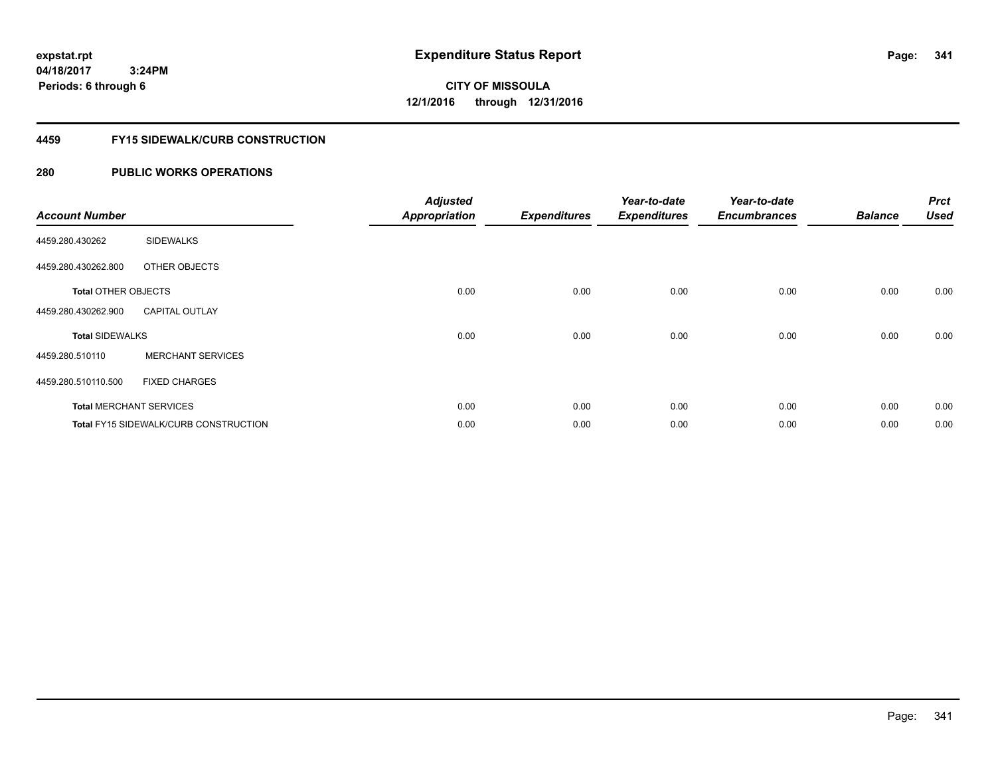**CITY OF MISSOULA 12/1/2016 through 12/31/2016**

#### **4459 FY15 SIDEWALK/CURB CONSTRUCTION**

#### **280 PUBLIC WORKS OPERATIONS**

| <b>Account Number</b>      |                                       | <b>Adjusted</b><br><b>Appropriation</b> | <b>Expenditures</b> | Year-to-date<br><b>Expenditures</b> | Year-to-date<br><b>Encumbrances</b> | <b>Balance</b> | <b>Prct</b><br><b>Used</b> |
|----------------------------|---------------------------------------|-----------------------------------------|---------------------|-------------------------------------|-------------------------------------|----------------|----------------------------|
| 4459.280.430262            | <b>SIDEWALKS</b>                      |                                         |                     |                                     |                                     |                |                            |
| 4459.280.430262.800        | OTHER OBJECTS                         |                                         |                     |                                     |                                     |                |                            |
| <b>Total OTHER OBJECTS</b> |                                       | 0.00                                    | 0.00                | 0.00                                | 0.00                                | 0.00           | 0.00                       |
| 4459.280.430262.900        | <b>CAPITAL OUTLAY</b>                 |                                         |                     |                                     |                                     |                |                            |
| <b>Total SIDEWALKS</b>     |                                       | 0.00                                    | 0.00                | 0.00                                | 0.00                                | 0.00           | 0.00                       |
| 4459.280.510110            | <b>MERCHANT SERVICES</b>              |                                         |                     |                                     |                                     |                |                            |
| 4459.280.510110.500        | <b>FIXED CHARGES</b>                  |                                         |                     |                                     |                                     |                |                            |
|                            | <b>Total MERCHANT SERVICES</b>        | 0.00                                    | 0.00                | 0.00                                | 0.00                                | 0.00           | 0.00                       |
|                            | Total FY15 SIDEWALK/CURB CONSTRUCTION | 0.00                                    | 0.00                | 0.00                                | 0.00                                | 0.00           | 0.00                       |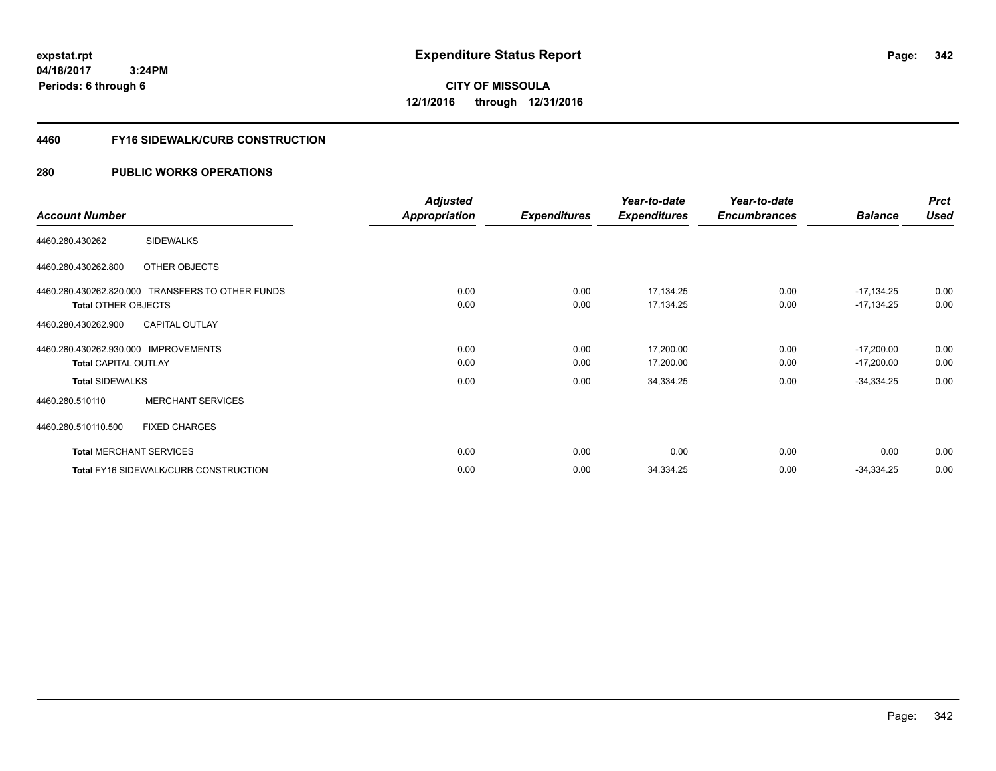**04/18/2017 3:24PM Periods: 6 through 6**

**CITY OF MISSOULA 12/1/2016 through 12/31/2016**

#### **4460 FY16 SIDEWALK/CURB CONSTRUCTION**

|                                                  | <b>Adjusted</b> |                     | Year-to-date        | Year-to-date        |                | <b>Prct</b> |
|--------------------------------------------------|-----------------|---------------------|---------------------|---------------------|----------------|-------------|
| <b>Account Number</b>                            | Appropriation   | <b>Expenditures</b> | <b>Expenditures</b> | <b>Encumbrances</b> | <b>Balance</b> | <b>Used</b> |
| <b>SIDEWALKS</b><br>4460.280.430262              |                 |                     |                     |                     |                |             |
| 4460.280.430262.800<br>OTHER OBJECTS             |                 |                     |                     |                     |                |             |
| 4460.280.430262.820.000 TRANSFERS TO OTHER FUNDS | 0.00            | 0.00                | 17,134.25           | 0.00                | $-17,134.25$   | 0.00        |
| <b>Total OTHER OBJECTS</b>                       | 0.00            | 0.00                | 17,134.25           | 0.00                | $-17,134.25$   | 0.00        |
| <b>CAPITAL OUTLAY</b><br>4460.280.430262.900     |                 |                     |                     |                     |                |             |
| 4460.280.430262.930.000 IMPROVEMENTS             | 0.00            | 0.00                | 17,200.00           | 0.00                | $-17,200.00$   | 0.00        |
| <b>Total CAPITAL OUTLAY</b>                      | 0.00            | 0.00                | 17,200.00           | 0.00                | $-17,200.00$   | 0.00        |
| <b>Total SIDEWALKS</b>                           | 0.00            | 0.00                | 34,334.25           | 0.00                | $-34,334.25$   | 0.00        |
| <b>MERCHANT SERVICES</b><br>4460.280.510110      |                 |                     |                     |                     |                |             |
| 4460.280.510110.500<br><b>FIXED CHARGES</b>      |                 |                     |                     |                     |                |             |
| <b>Total MERCHANT SERVICES</b>                   | 0.00            | 0.00                | 0.00                | 0.00                | 0.00           | 0.00        |
| <b>Total FY16 SIDEWALK/CURB CONSTRUCTION</b>     | 0.00            | 0.00                | 34,334.25           | 0.00                | $-34,334.25$   | 0.00        |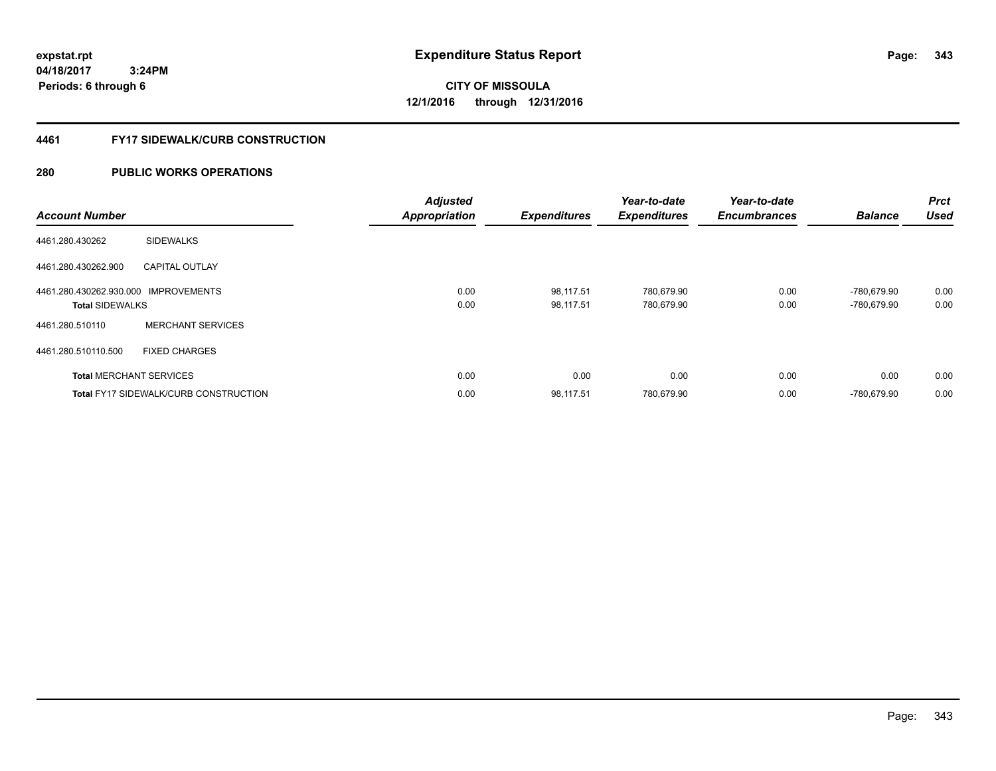**04/18/2017 3:24PM Periods: 6 through 6**

**CITY OF MISSOULA 12/1/2016 through 12/31/2016**

#### **4461 FY17 SIDEWALK/CURB CONSTRUCTION**

| <b>Account Number</b>                                          |                                       | <b>Adjusted</b><br><b>Appropriation</b> | <b>Expenditures</b>    | Year-to-date<br><b>Expenditures</b> | Year-to-date<br><b>Encumbrances</b> | <b>Balance</b>             | Prct<br><b>Used</b> |
|----------------------------------------------------------------|---------------------------------------|-----------------------------------------|------------------------|-------------------------------------|-------------------------------------|----------------------------|---------------------|
| 4461.280.430262                                                | <b>SIDEWALKS</b>                      |                                         |                        |                                     |                                     |                            |                     |
| 4461.280.430262.900                                            | <b>CAPITAL OUTLAY</b>                 |                                         |                        |                                     |                                     |                            |                     |
| 4461.280.430262.930.000 IMPROVEMENTS<br><b>Total SIDEWALKS</b> |                                       | 0.00<br>0.00                            | 98,117.51<br>98.117.51 | 780,679.90<br>780.679.90            | 0.00<br>0.00                        | -780.679.90<br>-780.679.90 | 0.00<br>0.00        |
| 4461.280.510110                                                | <b>MERCHANT SERVICES</b>              |                                         |                        |                                     |                                     |                            |                     |
| 4461.280.510110.500                                            | <b>FIXED CHARGES</b>                  |                                         |                        |                                     |                                     |                            |                     |
|                                                                | <b>Total MERCHANT SERVICES</b>        | 0.00                                    | 0.00                   | 0.00                                | 0.00                                | 0.00                       | 0.00                |
|                                                                | Total FY17 SIDEWALK/CURB CONSTRUCTION | 0.00                                    | 98,117.51              | 780,679.90                          | 0.00                                | -780.679.90                | 0.00                |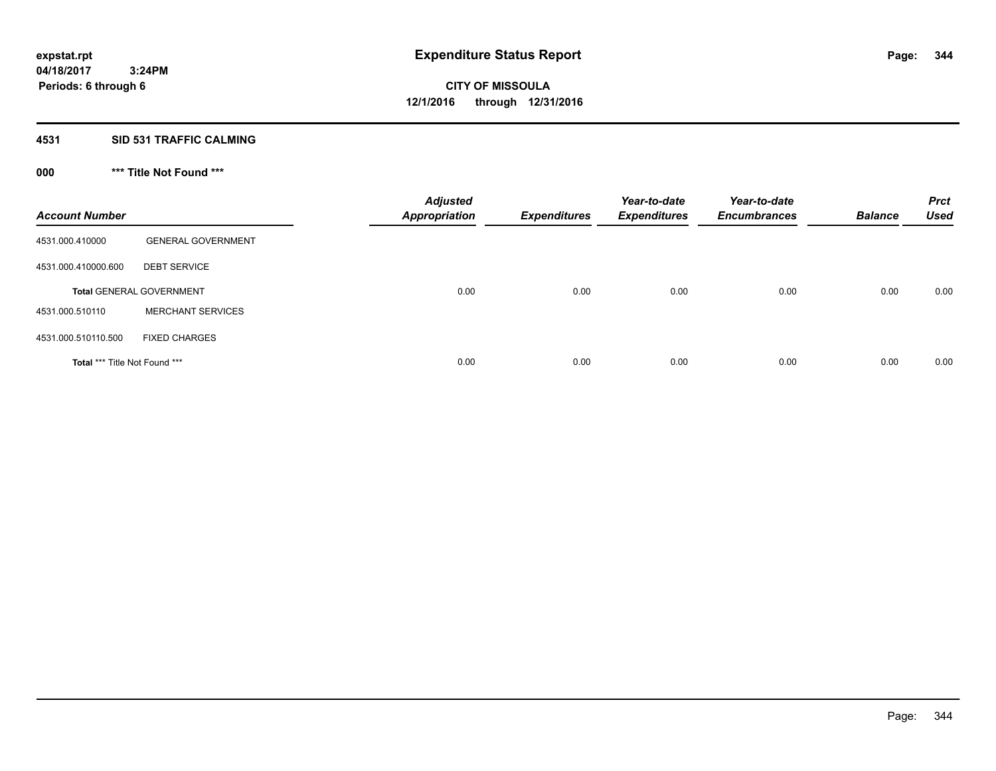#### **4531 SID 531 TRAFFIC CALMING**

## **000 \*\*\* Title Not Found \*\*\***

| <b>Account Number</b>         |                                 | <b>Adjusted</b><br><b>Appropriation</b> | <b>Expenditures</b> | Year-to-date<br><b>Expenditures</b> | Year-to-date<br><b>Encumbrances</b> | <b>Balance</b> | <b>Prct</b><br><b>Used</b> |
|-------------------------------|---------------------------------|-----------------------------------------|---------------------|-------------------------------------|-------------------------------------|----------------|----------------------------|
| 4531.000.410000               | <b>GENERAL GOVERNMENT</b>       |                                         |                     |                                     |                                     |                |                            |
| 4531.000.410000.600           | <b>DEBT SERVICE</b>             |                                         |                     |                                     |                                     |                |                            |
|                               | <b>Total GENERAL GOVERNMENT</b> | 0.00                                    | 0.00                | 0.00                                | 0.00                                | 0.00           | 0.00                       |
| 4531.000.510110               | <b>MERCHANT SERVICES</b>        |                                         |                     |                                     |                                     |                |                            |
| 4531.000.510110.500           | <b>FIXED CHARGES</b>            |                                         |                     |                                     |                                     |                |                            |
| Total *** Title Not Found *** |                                 | 0.00                                    | 0.00                | 0.00                                | 0.00                                | 0.00           | 0.00                       |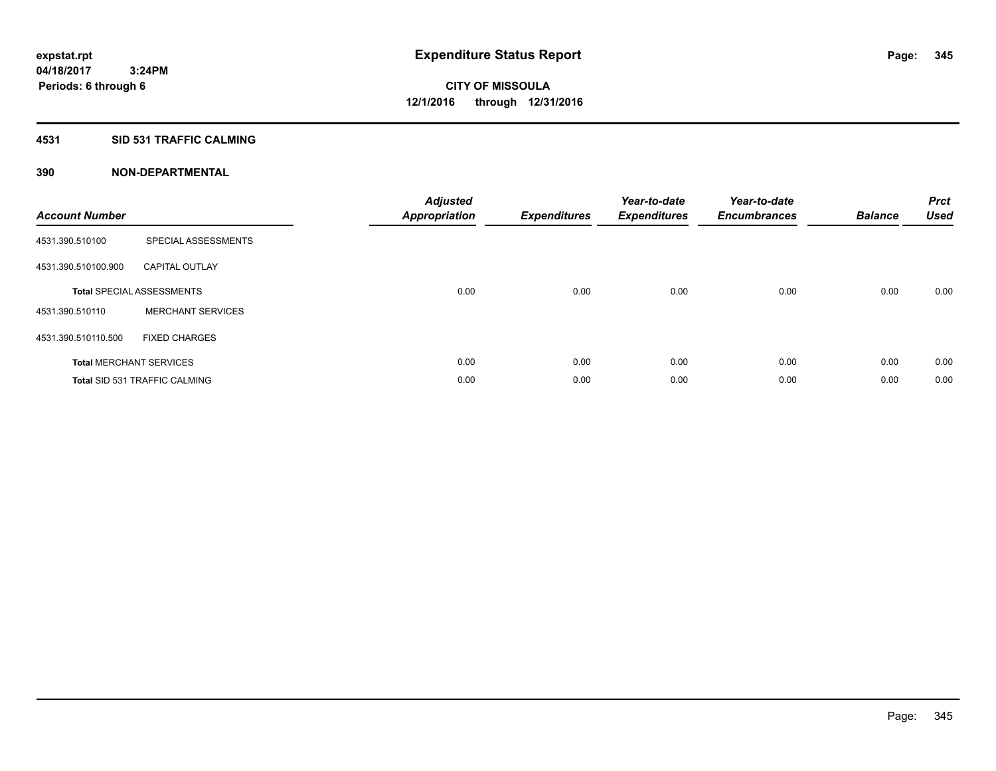#### **4531 SID 531 TRAFFIC CALMING**

| <b>Account Number</b> |                                      | <b>Adjusted</b><br>Appropriation | <b>Expenditures</b> | Year-to-date<br><b>Expenditures</b> | Year-to-date<br><b>Encumbrances</b> | <b>Balance</b> | <b>Prct</b><br><b>Used</b> |
|-----------------------|--------------------------------------|----------------------------------|---------------------|-------------------------------------|-------------------------------------|----------------|----------------------------|
| 4531.390.510100       | SPECIAL ASSESSMENTS                  |                                  |                     |                                     |                                     |                |                            |
| 4531.390.510100.900   | <b>CAPITAL OUTLAY</b>                |                                  |                     |                                     |                                     |                |                            |
|                       | <b>Total SPECIAL ASSESSMENTS</b>     | 0.00                             | 0.00                | 0.00                                | 0.00                                | 0.00           | 0.00                       |
| 4531.390.510110       | <b>MERCHANT SERVICES</b>             |                                  |                     |                                     |                                     |                |                            |
| 4531.390.510110.500   | <b>FIXED CHARGES</b>                 |                                  |                     |                                     |                                     |                |                            |
|                       | <b>Total MERCHANT SERVICES</b>       | 0.00                             | 0.00                | 0.00                                | 0.00                                | 0.00           | 0.00                       |
|                       | <b>Total SID 531 TRAFFIC CALMING</b> | 0.00                             | 0.00                | 0.00                                | 0.00                                | 0.00           | 0.00                       |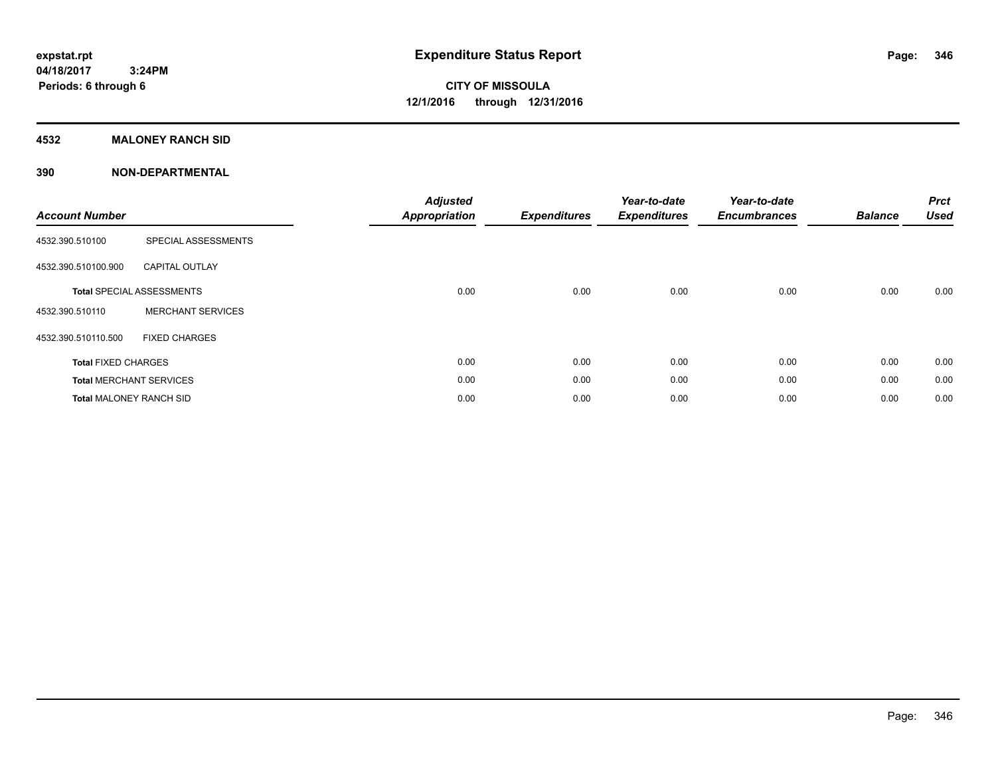#### **4532 MALONEY RANCH SID**

| <b>Account Number</b>          |                                  | <b>Adjusted</b><br><b>Appropriation</b> | <b>Expenditures</b> | Year-to-date<br><b>Expenditures</b> | Year-to-date<br><b>Encumbrances</b> | <b>Balance</b> | <b>Prct</b><br><b>Used</b> |
|--------------------------------|----------------------------------|-----------------------------------------|---------------------|-------------------------------------|-------------------------------------|----------------|----------------------------|
| 4532.390.510100                | SPECIAL ASSESSMENTS              |                                         |                     |                                     |                                     |                |                            |
| 4532.390.510100.900            | <b>CAPITAL OUTLAY</b>            |                                         |                     |                                     |                                     |                |                            |
|                                | <b>Total SPECIAL ASSESSMENTS</b> | 0.00                                    | 0.00                | 0.00                                | 0.00                                | 0.00           | 0.00                       |
| 4532.390.510110                | <b>MERCHANT SERVICES</b>         |                                         |                     |                                     |                                     |                |                            |
| 4532.390.510110.500            | <b>FIXED CHARGES</b>             |                                         |                     |                                     |                                     |                |                            |
| <b>Total FIXED CHARGES</b>     |                                  | 0.00                                    | 0.00                | 0.00                                | 0.00                                | 0.00           | 0.00                       |
|                                | <b>Total MERCHANT SERVICES</b>   | 0.00                                    | 0.00                | 0.00                                | 0.00                                | 0.00           | 0.00                       |
| <b>Total MALONEY RANCH SID</b> |                                  | 0.00                                    | 0.00                | 0.00                                | 0.00                                | 0.00           | 0.00                       |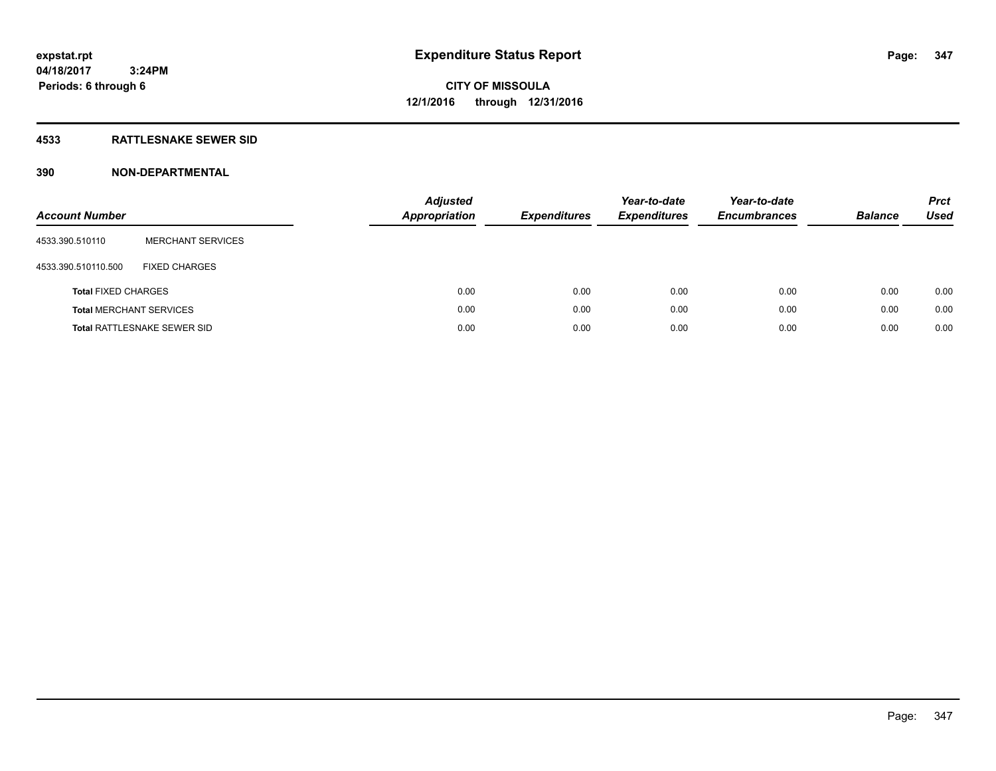#### **4533 RATTLESNAKE SEWER SID**

| <b>Account Number</b>          |                                    | <b>Adjusted</b><br><b>Appropriation</b> | <b>Expenditures</b> | Year-to-date<br><b>Expenditures</b> | Year-to-date<br><b>Encumbrances</b> | <b>Balance</b> | <b>Prct</b><br>Used |
|--------------------------------|------------------------------------|-----------------------------------------|---------------------|-------------------------------------|-------------------------------------|----------------|---------------------|
| 4533.390.510110                | <b>MERCHANT SERVICES</b>           |                                         |                     |                                     |                                     |                |                     |
| 4533.390.510110.500            | <b>FIXED CHARGES</b>               |                                         |                     |                                     |                                     |                |                     |
| <b>Total FIXED CHARGES</b>     |                                    | 0.00                                    | 0.00                | 0.00                                | 0.00                                | 0.00           | 0.00                |
| <b>Total MERCHANT SERVICES</b> |                                    | 0.00                                    | 0.00                | 0.00                                | 0.00                                | 0.00           | 0.00                |
|                                | <b>Total RATTLESNAKE SEWER SID</b> | 0.00                                    | 0.00                | 0.00                                | 0.00                                | 0.00           | 0.00                |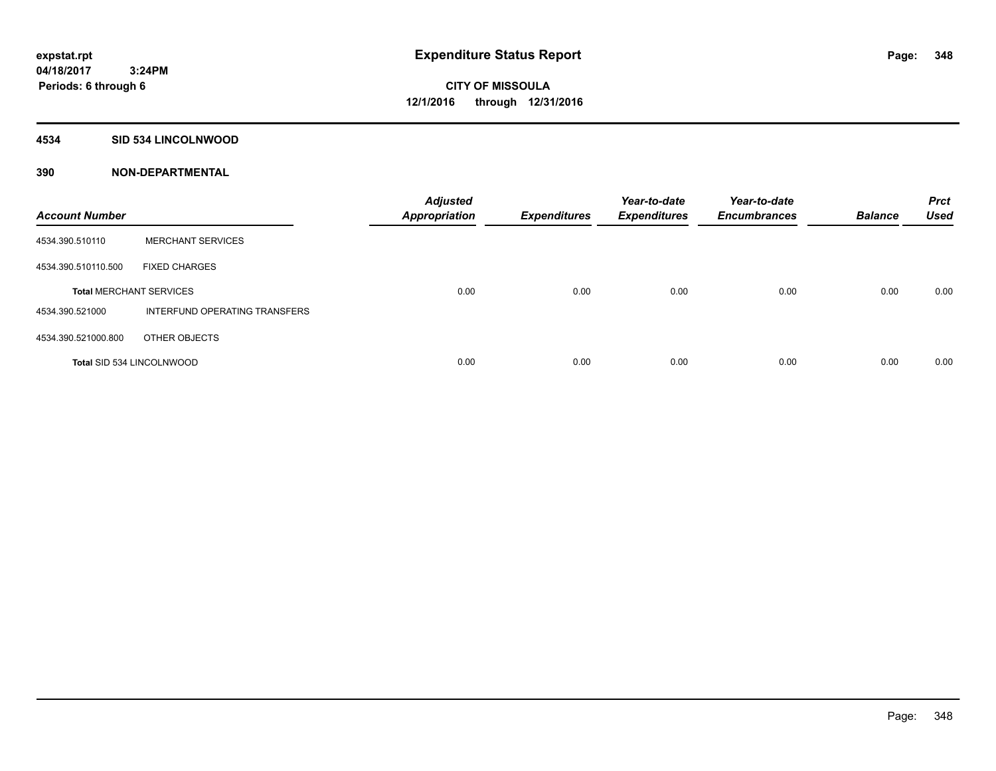#### **4534 SID 534 LINCOLNWOOD**

| <b>Account Number</b>            |                               | <b>Adjusted</b><br><b>Appropriation</b> | <b>Expenditures</b> | Year-to-date<br><b>Expenditures</b> | Year-to-date<br><b>Encumbrances</b> | <b>Balance</b> | <b>Prct</b><br><b>Used</b> |
|----------------------------------|-------------------------------|-----------------------------------------|---------------------|-------------------------------------|-------------------------------------|----------------|----------------------------|
| 4534.390.510110                  | <b>MERCHANT SERVICES</b>      |                                         |                     |                                     |                                     |                |                            |
| 4534.390.510110.500              | <b>FIXED CHARGES</b>          |                                         |                     |                                     |                                     |                |                            |
| <b>Total MERCHANT SERVICES</b>   |                               | 0.00                                    | 0.00                | 0.00                                | 0.00                                | 0.00           | 0.00                       |
| 4534.390.521000                  | INTERFUND OPERATING TRANSFERS |                                         |                     |                                     |                                     |                |                            |
| 4534.390.521000.800              | OTHER OBJECTS                 |                                         |                     |                                     |                                     |                |                            |
| <b>Total SID 534 LINCOLNWOOD</b> |                               | 0.00                                    | 0.00                | 0.00                                | 0.00                                | 0.00           | 0.00                       |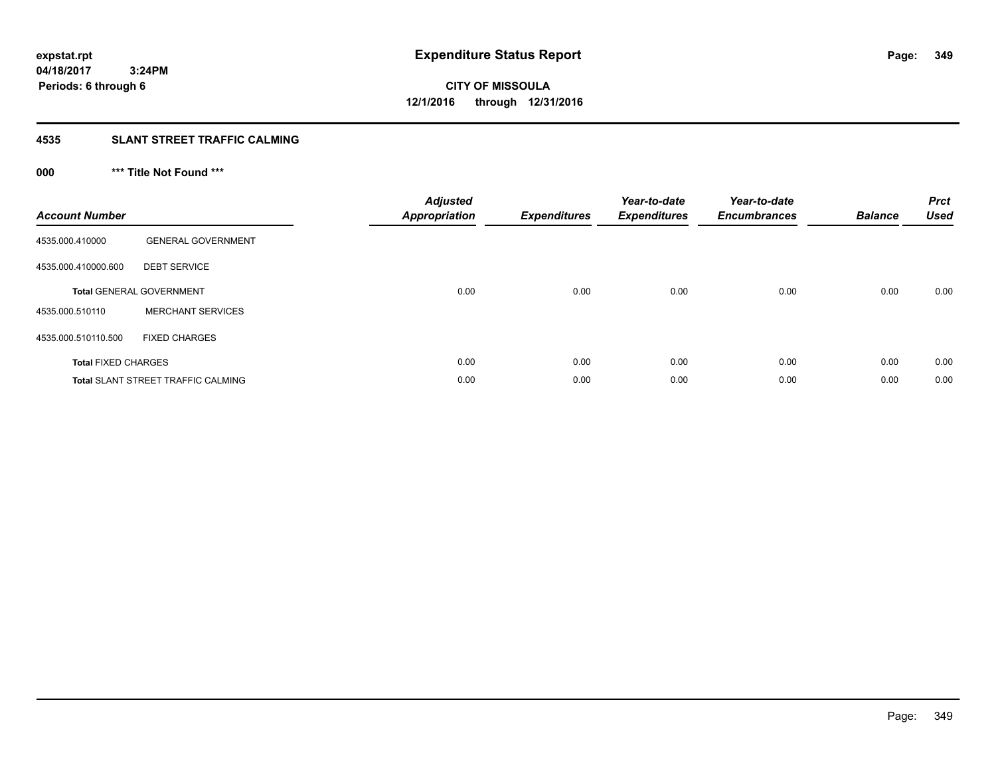**04/18/2017 3:24PM Periods: 6 through 6**

**CITY OF MISSOULA 12/1/2016 through 12/31/2016**

## **4535 SLANT STREET TRAFFIC CALMING**

## **000 \*\*\* Title Not Found \*\*\***

| <b>Account Number</b>      |                                           | <b>Adjusted</b><br>Appropriation | <b>Expenditures</b> | Year-to-date<br><b>Expenditures</b> | Year-to-date<br><b>Encumbrances</b> | <b>Balance</b> | <b>Prct</b><br><b>Used</b> |
|----------------------------|-------------------------------------------|----------------------------------|---------------------|-------------------------------------|-------------------------------------|----------------|----------------------------|
| 4535.000.410000            | <b>GENERAL GOVERNMENT</b>                 |                                  |                     |                                     |                                     |                |                            |
| 4535.000.410000.600        | <b>DEBT SERVICE</b>                       |                                  |                     |                                     |                                     |                |                            |
|                            | <b>Total GENERAL GOVERNMENT</b>           | 0.00                             | 0.00                | 0.00                                | 0.00                                | 0.00           | 0.00                       |
| 4535.000.510110            | <b>MERCHANT SERVICES</b>                  |                                  |                     |                                     |                                     |                |                            |
| 4535.000.510110.500        | <b>FIXED CHARGES</b>                      |                                  |                     |                                     |                                     |                |                            |
| <b>Total FIXED CHARGES</b> |                                           | 0.00                             | 0.00                | 0.00                                | 0.00                                | 0.00           | 0.00                       |
|                            | <b>Total SLANT STREET TRAFFIC CALMING</b> | 0.00                             | 0.00                | 0.00                                | 0.00                                | 0.00           | 0.00                       |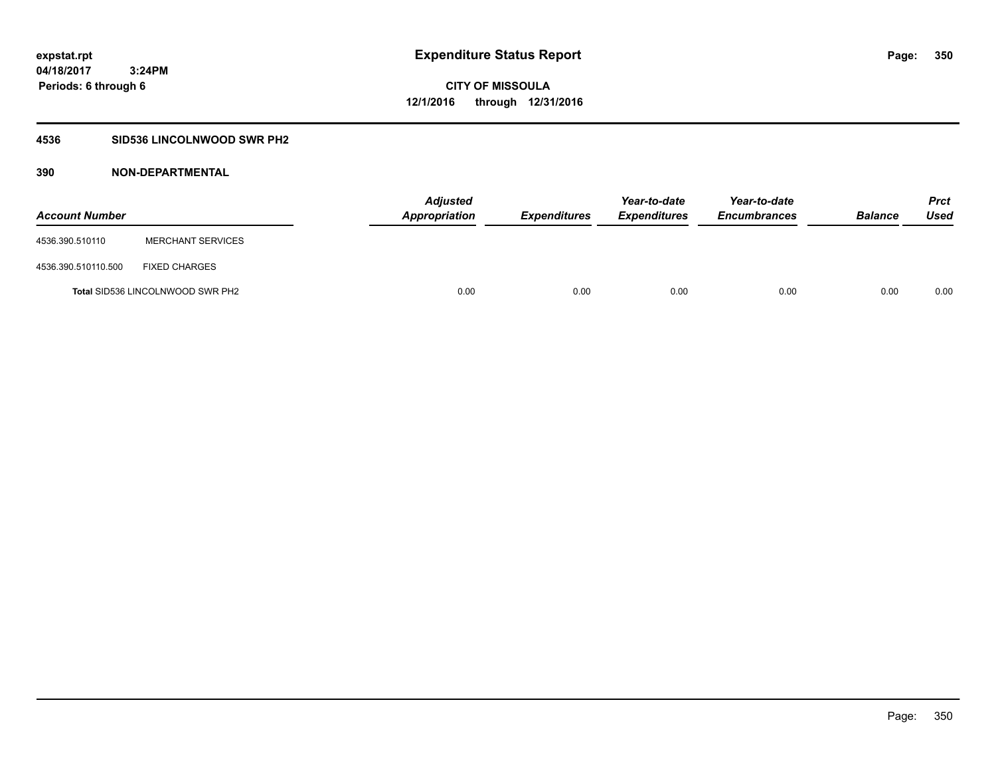### **4536 SID536 LINCOLNWOOD SWR PH2**

| <b>Account Number</b> |                                         | <b>Adjusted</b><br>Appropriation | <b>Expenditures</b> | Year-to-date<br><b>Expenditures</b> | Year-to-date<br><b>Encumbrances</b> | <b>Balance</b> | Prct<br><b>Used</b> |
|-----------------------|-----------------------------------------|----------------------------------|---------------------|-------------------------------------|-------------------------------------|----------------|---------------------|
| 4536.390.510110       | <b>MERCHANT SERVICES</b>                |                                  |                     |                                     |                                     |                |                     |
| 4536.390.510110.500   | <b>FIXED CHARGES</b>                    |                                  |                     |                                     |                                     |                |                     |
|                       | <b>Total SID536 LINCOLNWOOD SWR PH2</b> | 0.00                             | 0.00                | 0.00                                | 0.00                                | 0.00           | 0.00                |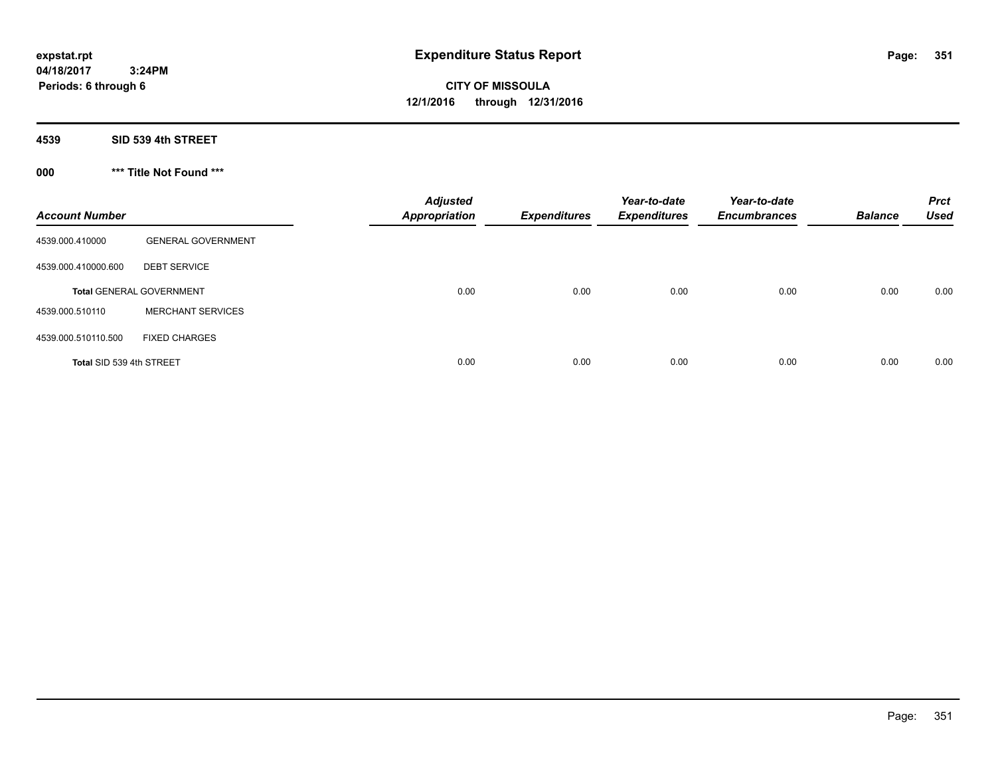**04/18/2017 3:24PM Periods: 6 through 6**

**CITY OF MISSOULA 12/1/2016 through 12/31/2016**

**4539 SID 539 4th STREET**

**000 \*\*\* Title Not Found \*\*\***

| <b>Account Number</b>    |                                 | <b>Adjusted</b><br><b>Appropriation</b> | <b>Expenditures</b> | Year-to-date<br><b>Expenditures</b> | Year-to-date<br><b>Encumbrances</b> | <b>Balance</b> | <b>Prct</b><br><b>Used</b> |
|--------------------------|---------------------------------|-----------------------------------------|---------------------|-------------------------------------|-------------------------------------|----------------|----------------------------|
| 4539.000.410000          | <b>GENERAL GOVERNMENT</b>       |                                         |                     |                                     |                                     |                |                            |
| 4539.000.410000.600      | <b>DEBT SERVICE</b>             |                                         |                     |                                     |                                     |                |                            |
|                          | <b>Total GENERAL GOVERNMENT</b> | 0.00                                    | 0.00                | 0.00                                | 0.00                                | 0.00           | 0.00                       |
| 4539.000.510110          | <b>MERCHANT SERVICES</b>        |                                         |                     |                                     |                                     |                |                            |
| 4539.000.510110.500      | <b>FIXED CHARGES</b>            |                                         |                     |                                     |                                     |                |                            |
| Total SID 539 4th STREET |                                 | 0.00                                    | 0.00                | 0.00                                | 0.00                                | 0.00           | 0.00                       |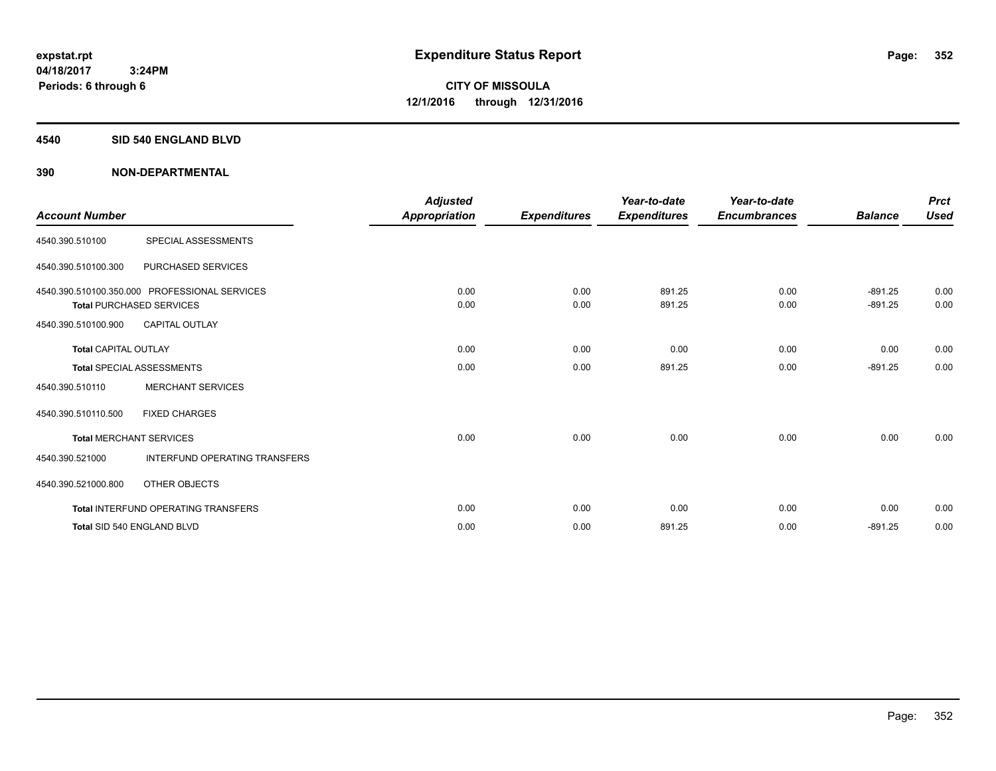#### **4540 SID 540 ENGLAND BLVD**

| <b>Account Number</b>       |                                                                                  | <b>Adjusted</b><br>Appropriation | <b>Expenditures</b> | Year-to-date<br><b>Expenditures</b> | Year-to-date<br><b>Encumbrances</b> | <b>Balance</b>         | <b>Prct</b><br><b>Used</b> |
|-----------------------------|----------------------------------------------------------------------------------|----------------------------------|---------------------|-------------------------------------|-------------------------------------|------------------------|----------------------------|
| 4540.390.510100             | SPECIAL ASSESSMENTS                                                              |                                  |                     |                                     |                                     |                        |                            |
| 4540.390.510100.300         | <b>PURCHASED SERVICES</b>                                                        |                                  |                     |                                     |                                     |                        |                            |
|                             | 4540.390.510100.350.000 PROFESSIONAL SERVICES<br><b>Total PURCHASED SERVICES</b> | 0.00<br>0.00                     | 0.00<br>0.00        | 891.25<br>891.25                    | 0.00<br>0.00                        | $-891.25$<br>$-891.25$ | 0.00<br>0.00               |
| 4540.390.510100.900         | <b>CAPITAL OUTLAY</b>                                                            |                                  |                     |                                     |                                     |                        |                            |
| <b>Total CAPITAL OUTLAY</b> |                                                                                  | 0.00                             | 0.00                | 0.00                                | 0.00                                | 0.00                   | 0.00                       |
|                             | <b>Total SPECIAL ASSESSMENTS</b>                                                 | 0.00                             | 0.00                | 891.25                              | 0.00                                | $-891.25$              | 0.00                       |
| 4540.390.510110             | <b>MERCHANT SERVICES</b>                                                         |                                  |                     |                                     |                                     |                        |                            |
| 4540.390.510110.500         | <b>FIXED CHARGES</b>                                                             |                                  |                     |                                     |                                     |                        |                            |
|                             | <b>Total MERCHANT SERVICES</b>                                                   | 0.00                             | 0.00                | 0.00                                | 0.00                                | 0.00                   | 0.00                       |
| 4540.390.521000             | <b>INTERFUND OPERATING TRANSFERS</b>                                             |                                  |                     |                                     |                                     |                        |                            |
| 4540.390.521000.800         | OTHER OBJECTS                                                                    |                                  |                     |                                     |                                     |                        |                            |
|                             | <b>Total INTERFUND OPERATING TRANSFERS</b>                                       | 0.00                             | 0.00                | 0.00                                | 0.00                                | 0.00                   | 0.00                       |
|                             | Total SID 540 ENGLAND BLVD                                                       | 0.00                             | 0.00                | 891.25                              | 0.00                                | $-891.25$              | 0.00                       |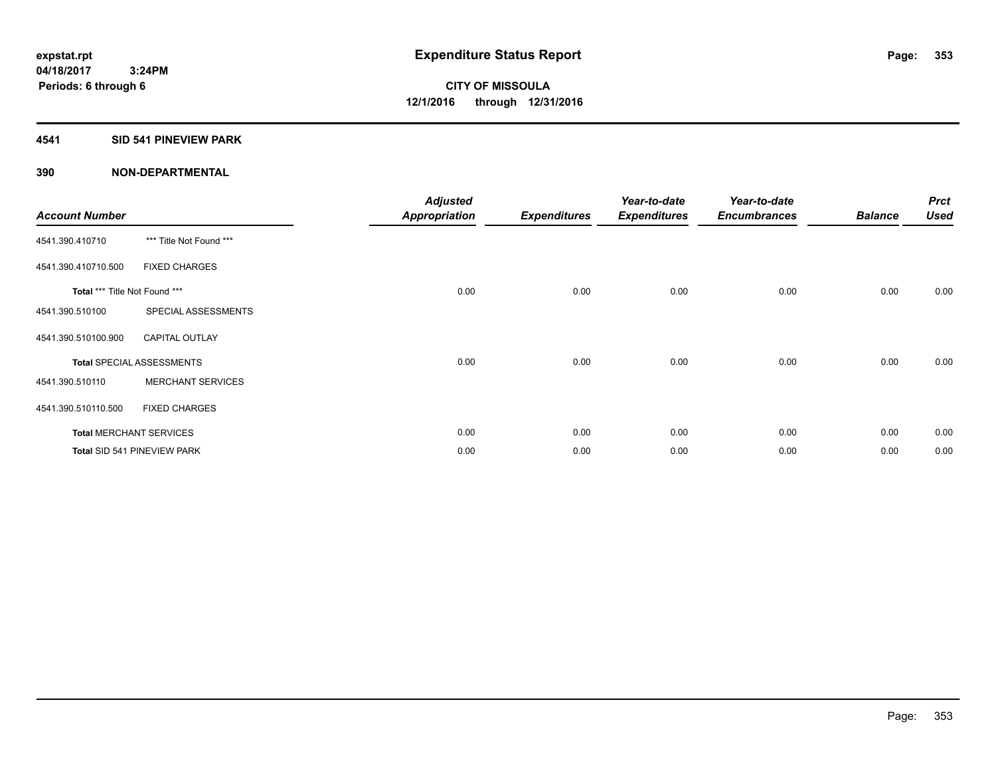#### **4541 SID 541 PINEVIEW PARK**

| <b>Account Number</b>         |                                  | <b>Adjusted</b><br><b>Appropriation</b> | <b>Expenditures</b> | Year-to-date<br><b>Expenditures</b> | Year-to-date<br><b>Encumbrances</b> | <b>Balance</b> | <b>Prct</b><br><b>Used</b> |
|-------------------------------|----------------------------------|-----------------------------------------|---------------------|-------------------------------------|-------------------------------------|----------------|----------------------------|
| 4541.390.410710               | *** Title Not Found ***          |                                         |                     |                                     |                                     |                |                            |
| 4541.390.410710.500           | <b>FIXED CHARGES</b>             |                                         |                     |                                     |                                     |                |                            |
| Total *** Title Not Found *** |                                  | 0.00                                    | 0.00                | 0.00                                | 0.00                                | 0.00           | 0.00                       |
| 4541.390.510100               | SPECIAL ASSESSMENTS              |                                         |                     |                                     |                                     |                |                            |
| 4541.390.510100.900           | <b>CAPITAL OUTLAY</b>            |                                         |                     |                                     |                                     |                |                            |
|                               | <b>Total SPECIAL ASSESSMENTS</b> | 0.00                                    | 0.00                | 0.00                                | 0.00                                | 0.00           | 0.00                       |
| 4541.390.510110               | <b>MERCHANT SERVICES</b>         |                                         |                     |                                     |                                     |                |                            |
| 4541.390.510110.500           | <b>FIXED CHARGES</b>             |                                         |                     |                                     |                                     |                |                            |
|                               | <b>Total MERCHANT SERVICES</b>   | 0.00                                    | 0.00                | 0.00                                | 0.00                                | 0.00           | 0.00                       |
|                               | Total SID 541 PINEVIEW PARK      | 0.00                                    | 0.00                | 0.00                                | 0.00                                | 0.00           | 0.00                       |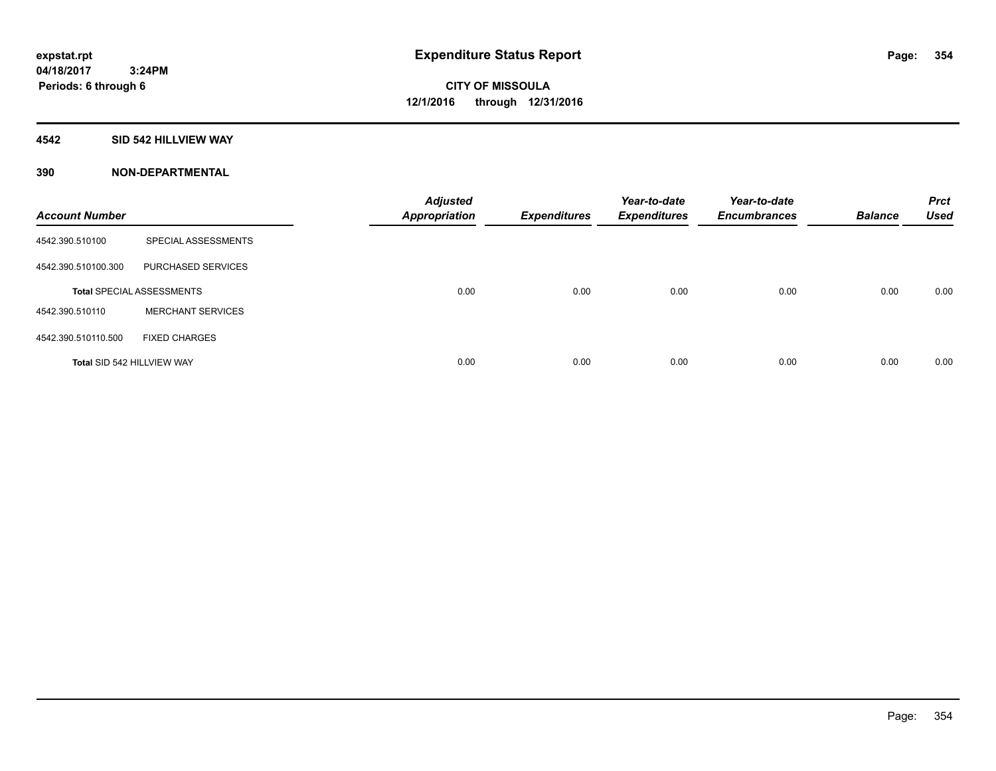#### **4542 SID 542 HILLVIEW WAY**

| <b>Account Number</b>      |                                  | <b>Adjusted</b><br><b>Appropriation</b> | <b>Expenditures</b> | Year-to-date<br><b>Expenditures</b> | Year-to-date<br><b>Encumbrances</b> | <b>Balance</b> | <b>Prct</b><br><b>Used</b> |
|----------------------------|----------------------------------|-----------------------------------------|---------------------|-------------------------------------|-------------------------------------|----------------|----------------------------|
| 4542.390.510100            | SPECIAL ASSESSMENTS              |                                         |                     |                                     |                                     |                |                            |
| 4542.390.510100.300        | PURCHASED SERVICES               |                                         |                     |                                     |                                     |                |                            |
|                            | <b>Total SPECIAL ASSESSMENTS</b> | 0.00                                    | 0.00                | 0.00                                | 0.00                                | 0.00           | 0.00                       |
| 4542.390.510110            | <b>MERCHANT SERVICES</b>         |                                         |                     |                                     |                                     |                |                            |
| 4542.390.510110.500        | <b>FIXED CHARGES</b>             |                                         |                     |                                     |                                     |                |                            |
| Total SID 542 HILLVIEW WAY |                                  | 0.00                                    | 0.00                | 0.00                                | 0.00                                | 0.00           | 0.00                       |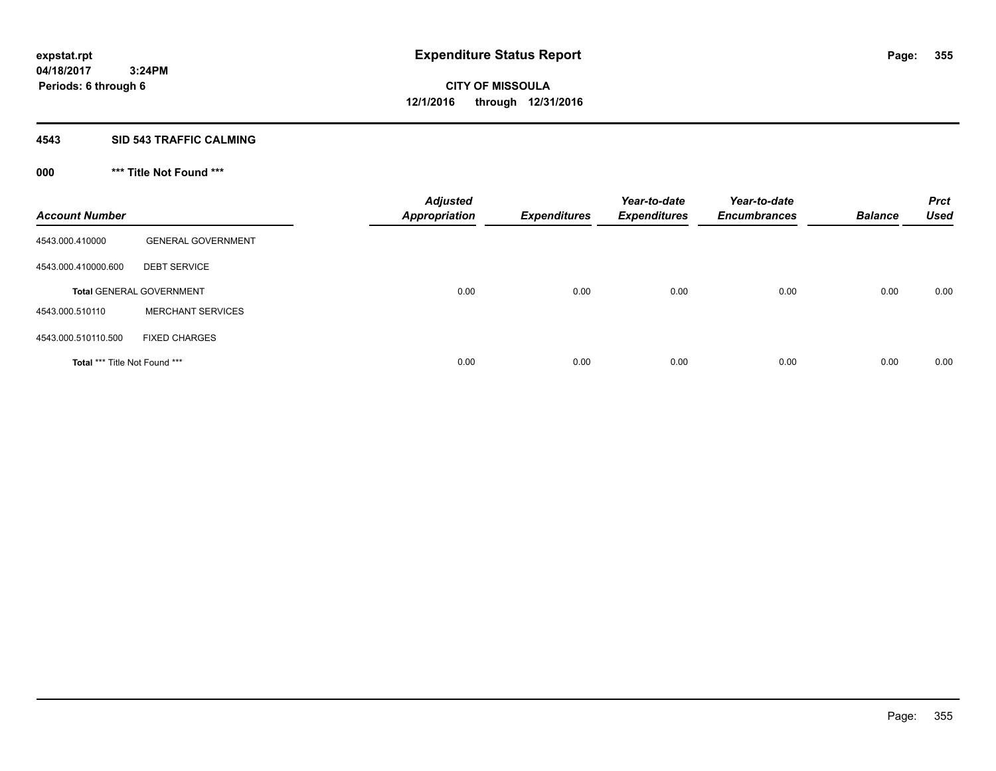#### **4543 SID 543 TRAFFIC CALMING**

## **000 \*\*\* Title Not Found \*\*\***

| <b>Account Number</b>         |                                 | <b>Adjusted</b><br><b>Appropriation</b> | <b>Expenditures</b> | Year-to-date<br><b>Expenditures</b> | Year-to-date<br><b>Encumbrances</b> | <b>Balance</b> | <b>Prct</b><br><b>Used</b> |
|-------------------------------|---------------------------------|-----------------------------------------|---------------------|-------------------------------------|-------------------------------------|----------------|----------------------------|
| 4543.000.410000               | <b>GENERAL GOVERNMENT</b>       |                                         |                     |                                     |                                     |                |                            |
| 4543.000.410000.600           | <b>DEBT SERVICE</b>             |                                         |                     |                                     |                                     |                |                            |
|                               | <b>Total GENERAL GOVERNMENT</b> | 0.00                                    | 0.00                | 0.00                                | 0.00                                | 0.00           | 0.00                       |
| 4543.000.510110               | <b>MERCHANT SERVICES</b>        |                                         |                     |                                     |                                     |                |                            |
| 4543.000.510110.500           | <b>FIXED CHARGES</b>            |                                         |                     |                                     |                                     |                |                            |
| Total *** Title Not Found *** |                                 | 0.00                                    | 0.00                | 0.00                                | 0.00                                | 0.00           | 0.00                       |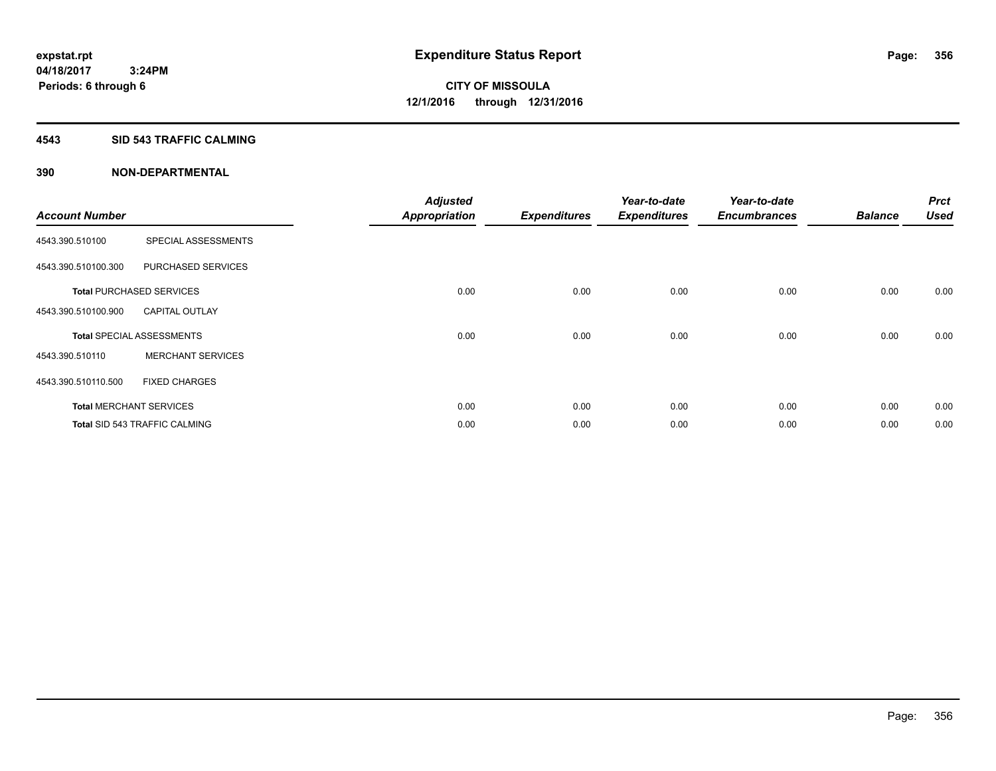#### **4543 SID 543 TRAFFIC CALMING**

|                       |                                      | <b>Adjusted</b>      |                     | Year-to-date        | Year-to-date        |                | <b>Prct</b> |
|-----------------------|--------------------------------------|----------------------|---------------------|---------------------|---------------------|----------------|-------------|
| <b>Account Number</b> |                                      | <b>Appropriation</b> | <b>Expenditures</b> | <b>Expenditures</b> | <b>Encumbrances</b> | <b>Balance</b> | <b>Used</b> |
| 4543.390.510100       | SPECIAL ASSESSMENTS                  |                      |                     |                     |                     |                |             |
| 4543.390.510100.300   | PURCHASED SERVICES                   |                      |                     |                     |                     |                |             |
|                       | <b>Total PURCHASED SERVICES</b>      | 0.00                 | 0.00                | 0.00                | 0.00                | 0.00           | 0.00        |
| 4543.390.510100.900   | <b>CAPITAL OUTLAY</b>                |                      |                     |                     |                     |                |             |
|                       | <b>Total SPECIAL ASSESSMENTS</b>     | 0.00                 | 0.00                | 0.00                | 0.00                | 0.00           | 0.00        |
| 4543.390.510110       | <b>MERCHANT SERVICES</b>             |                      |                     |                     |                     |                |             |
| 4543.390.510110.500   | <b>FIXED CHARGES</b>                 |                      |                     |                     |                     |                |             |
|                       | <b>Total MERCHANT SERVICES</b>       | 0.00                 | 0.00                | 0.00                | 0.00                | 0.00           | 0.00        |
|                       | <b>Total SID 543 TRAFFIC CALMING</b> | 0.00                 | 0.00                | 0.00                | 0.00                | 0.00           | 0.00        |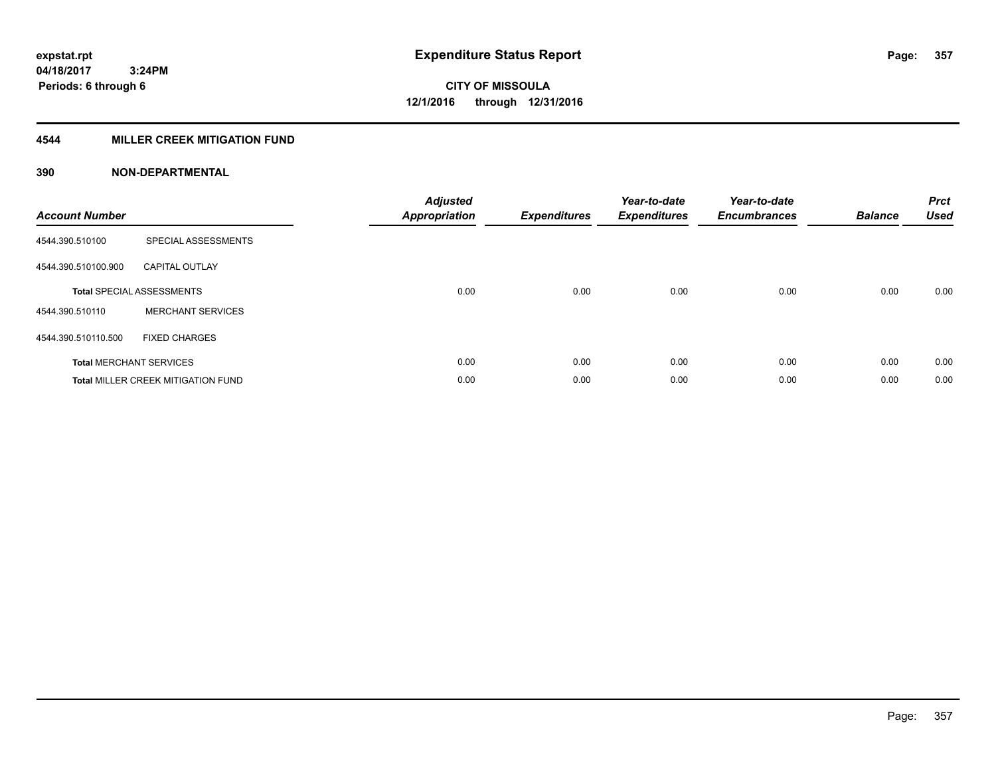### **4544 MILLER CREEK MITIGATION FUND**

| <b>Account Number</b> |                                           | <b>Adjusted</b><br><b>Appropriation</b> | <b>Expenditures</b> | Year-to-date<br><b>Expenditures</b> | Year-to-date<br><b>Encumbrances</b> | <b>Balance</b> | <b>Prct</b><br><b>Used</b> |
|-----------------------|-------------------------------------------|-----------------------------------------|---------------------|-------------------------------------|-------------------------------------|----------------|----------------------------|
| 4544.390.510100       | SPECIAL ASSESSMENTS                       |                                         |                     |                                     |                                     |                |                            |
| 4544.390.510100.900   | <b>CAPITAL OUTLAY</b>                     |                                         |                     |                                     |                                     |                |                            |
|                       | <b>Total SPECIAL ASSESSMENTS</b>          | 0.00                                    | 0.00                | 0.00                                | 0.00                                | 0.00           | 0.00                       |
| 4544.390.510110       | <b>MERCHANT SERVICES</b>                  |                                         |                     |                                     |                                     |                |                            |
| 4544.390.510110.500   | <b>FIXED CHARGES</b>                      |                                         |                     |                                     |                                     |                |                            |
|                       | <b>Total MERCHANT SERVICES</b>            | 0.00                                    | 0.00                | 0.00                                | 0.00                                | 0.00           | 0.00                       |
|                       | <b>Total MILLER CREEK MITIGATION FUND</b> | 0.00                                    | 0.00                | 0.00                                | 0.00                                | 0.00           | 0.00                       |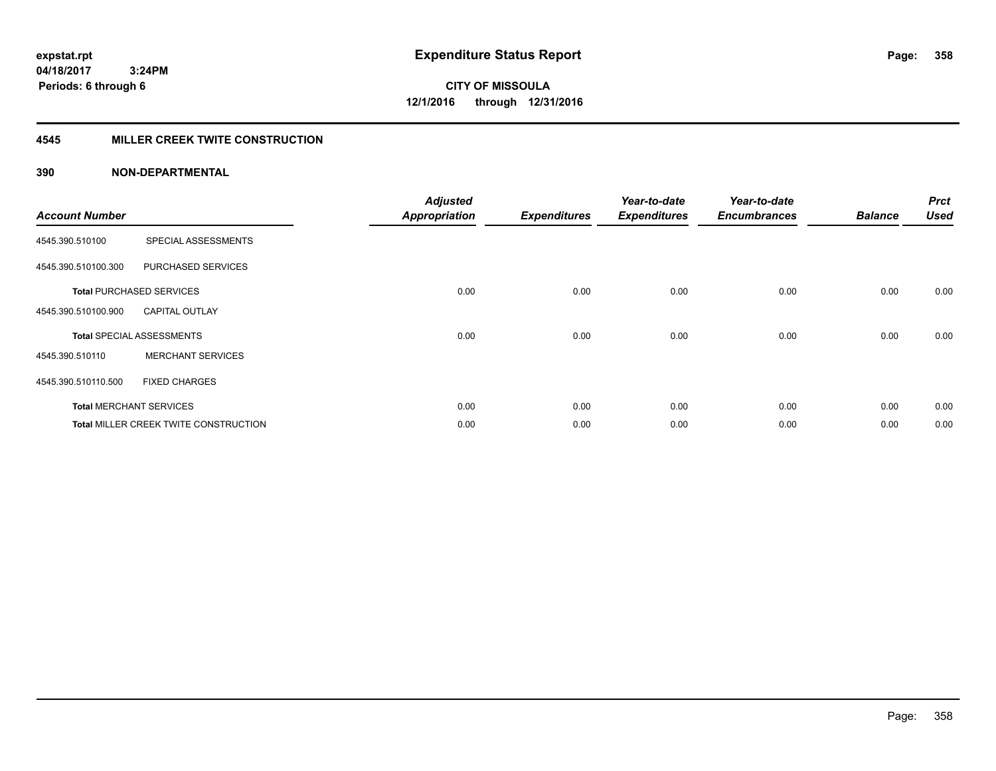**CITY OF MISSOULA 12/1/2016 through 12/31/2016**

#### **4545 MILLER CREEK TWITE CONSTRUCTION**

#### **390 NON-DEPARTMENTAL**

| <b>Account Number</b> |                                       | <b>Adjusted</b><br><b>Appropriation</b> | <b>Expenditures</b> | Year-to-date<br><b>Expenditures</b> | Year-to-date<br><b>Encumbrances</b> | <b>Balance</b> | <b>Prct</b><br><b>Used</b> |
|-----------------------|---------------------------------------|-----------------------------------------|---------------------|-------------------------------------|-------------------------------------|----------------|----------------------------|
|                       |                                       |                                         |                     |                                     |                                     |                |                            |
| 4545.390.510100       | SPECIAL ASSESSMENTS                   |                                         |                     |                                     |                                     |                |                            |
| 4545.390.510100.300   | PURCHASED SERVICES                    |                                         |                     |                                     |                                     |                |                            |
|                       | <b>Total PURCHASED SERVICES</b>       | 0.00                                    | 0.00                | 0.00                                | 0.00                                | 0.00           | 0.00                       |
| 4545.390.510100.900   | <b>CAPITAL OUTLAY</b>                 |                                         |                     |                                     |                                     |                |                            |
|                       | <b>Total SPECIAL ASSESSMENTS</b>      | 0.00                                    | 0.00                | 0.00                                | 0.00                                | 0.00           | 0.00                       |
| 4545.390.510110       | <b>MERCHANT SERVICES</b>              |                                         |                     |                                     |                                     |                |                            |
| 4545.390.510110.500   | <b>FIXED CHARGES</b>                  |                                         |                     |                                     |                                     |                |                            |
|                       | <b>Total MERCHANT SERVICES</b>        | 0.00                                    | 0.00                | 0.00                                | 0.00                                | 0.00           | 0.00                       |
|                       | Total MILLER CREEK TWITE CONSTRUCTION | 0.00                                    | 0.00                | 0.00                                | 0.00                                | 0.00           | 0.00                       |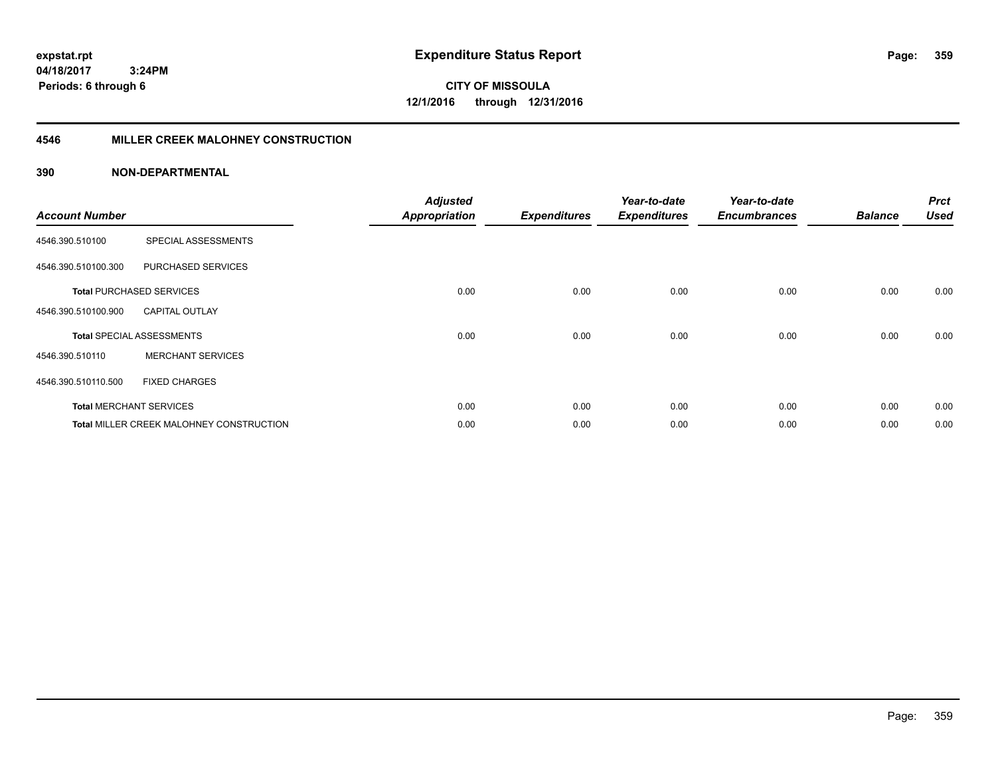**04/18/2017 3:24PM Periods: 6 through 6**

**CITY OF MISSOULA 12/1/2016 through 12/31/2016**

#### **4546 MILLER CREEK MALOHNEY CONSTRUCTION**

| <b>Account Number</b> |                                                 | <b>Adjusted</b><br><b>Appropriation</b> | <b>Expenditures</b> | Year-to-date<br><b>Expenditures</b> | Year-to-date<br><b>Encumbrances</b> | <b>Balance</b> | <b>Prct</b><br><b>Used</b> |
|-----------------------|-------------------------------------------------|-----------------------------------------|---------------------|-------------------------------------|-------------------------------------|----------------|----------------------------|
| 4546.390.510100       | SPECIAL ASSESSMENTS                             |                                         |                     |                                     |                                     |                |                            |
| 4546.390.510100.300   | PURCHASED SERVICES                              |                                         |                     |                                     |                                     |                |                            |
|                       | <b>Total PURCHASED SERVICES</b>                 | 0.00                                    | 0.00                | 0.00                                | 0.00                                | 0.00           | 0.00                       |
| 4546.390.510100.900   | <b>CAPITAL OUTLAY</b>                           |                                         |                     |                                     |                                     |                |                            |
|                       | <b>Total SPECIAL ASSESSMENTS</b>                | 0.00                                    | 0.00                | 0.00                                | 0.00                                | 0.00           | 0.00                       |
| 4546.390.510110       | <b>MERCHANT SERVICES</b>                        |                                         |                     |                                     |                                     |                |                            |
| 4546.390.510110.500   | <b>FIXED CHARGES</b>                            |                                         |                     |                                     |                                     |                |                            |
|                       | <b>Total MERCHANT SERVICES</b>                  | 0.00                                    | 0.00                | 0.00                                | 0.00                                | 0.00           | 0.00                       |
|                       | <b>Total MILLER CREEK MALOHNEY CONSTRUCTION</b> | 0.00                                    | 0.00                | 0.00                                | 0.00                                | 0.00           | 0.00                       |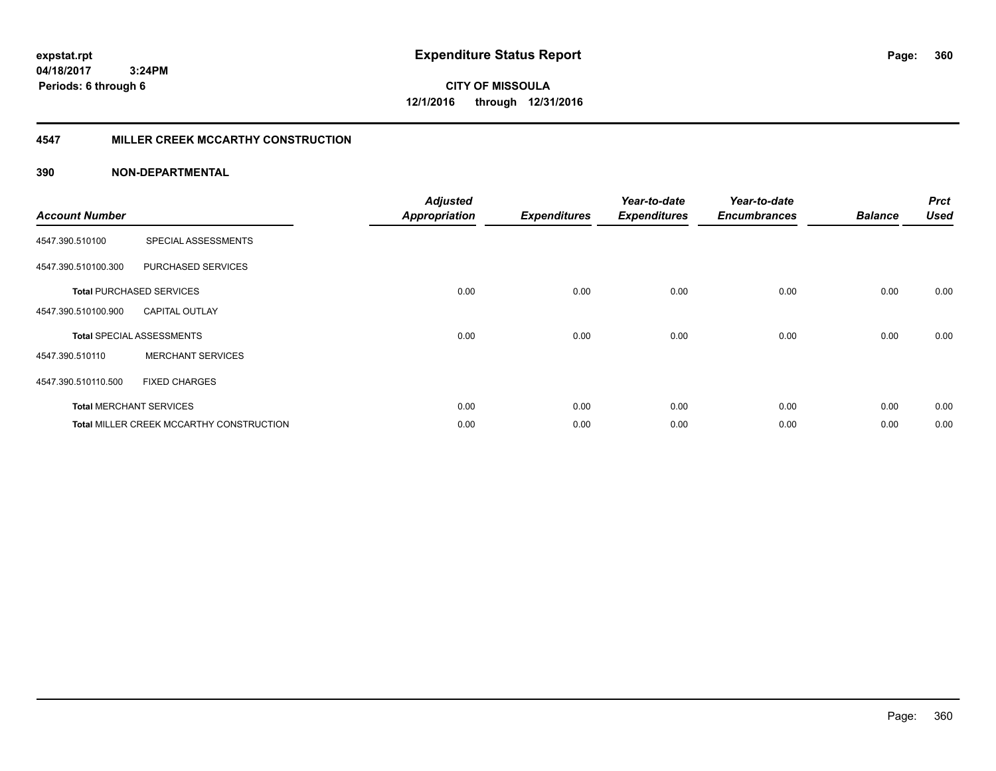**04/18/2017 3:24PM Periods: 6 through 6**

**CITY OF MISSOULA 12/1/2016 through 12/31/2016**

#### **4547 MILLER CREEK MCCARTHY CONSTRUCTION**

| <b>Account Number</b> |                                          | <b>Adjusted</b><br><b>Appropriation</b> | <b>Expenditures</b> | Year-to-date<br><b>Expenditures</b> | Year-to-date<br><b>Encumbrances</b> | <b>Balance</b> | <b>Prct</b><br><b>Used</b> |
|-----------------------|------------------------------------------|-----------------------------------------|---------------------|-------------------------------------|-------------------------------------|----------------|----------------------------|
| 4547.390.510100       | SPECIAL ASSESSMENTS                      |                                         |                     |                                     |                                     |                |                            |
| 4547.390.510100.300   | PURCHASED SERVICES                       |                                         |                     |                                     |                                     |                |                            |
|                       | <b>Total PURCHASED SERVICES</b>          | 0.00                                    | 0.00                | 0.00                                | 0.00                                | 0.00           | 0.00                       |
| 4547.390.510100.900   | <b>CAPITAL OUTLAY</b>                    |                                         |                     |                                     |                                     |                |                            |
|                       | <b>Total SPECIAL ASSESSMENTS</b>         | 0.00                                    | 0.00                | 0.00                                | 0.00                                | 0.00           | 0.00                       |
| 4547.390.510110       | <b>MERCHANT SERVICES</b>                 |                                         |                     |                                     |                                     |                |                            |
| 4547.390.510110.500   | <b>FIXED CHARGES</b>                     |                                         |                     |                                     |                                     |                |                            |
|                       | <b>Total MERCHANT SERVICES</b>           | 0.00                                    | 0.00                | 0.00                                | 0.00                                | 0.00           | 0.00                       |
|                       | Total MILLER CREEK MCCARTHY CONSTRUCTION | 0.00                                    | 0.00                | 0.00                                | 0.00                                | 0.00           | 0.00                       |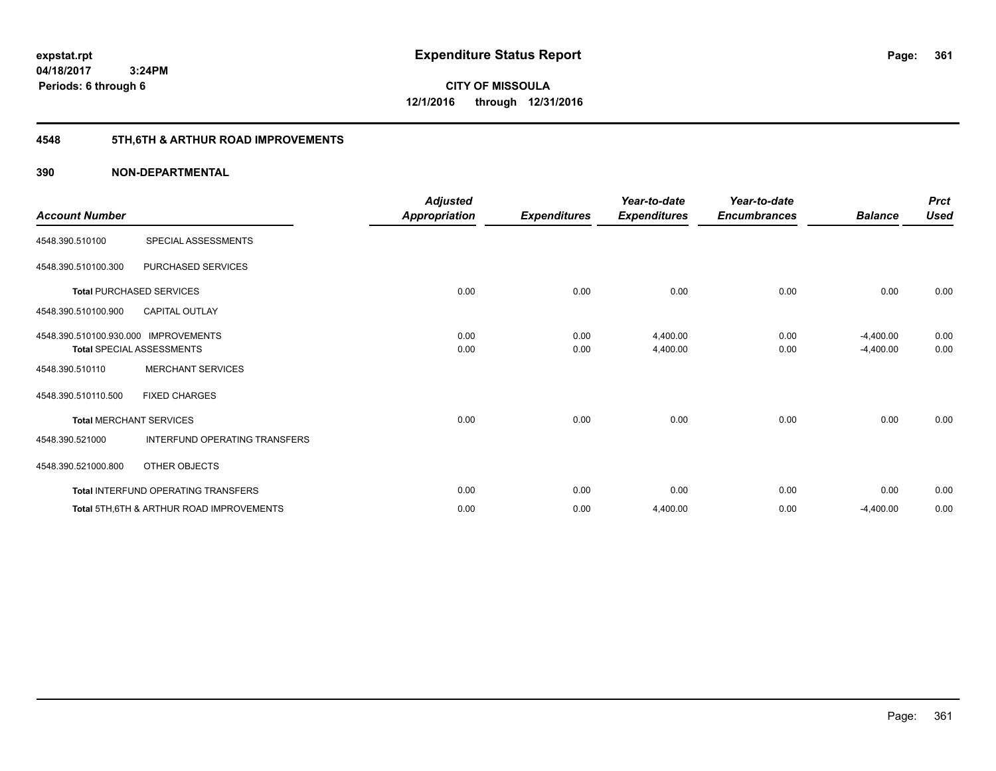**Periods: 6 through 6**

**361**

**CITY OF MISSOULA 12/1/2016 through 12/31/2016**

# **4548 5TH,6TH & ARTHUR ROAD IMPROVEMENTS**

### **390 NON-DEPARTMENTAL**

 **3:24PM**

| <b>Account Number</b>                |                                                     | <b>Adjusted</b><br>Appropriation | <b>Expenditures</b> | Year-to-date<br><b>Expenditures</b> | Year-to-date<br><b>Encumbrances</b> | <b>Balance</b> | <b>Prct</b><br><b>Used</b> |
|--------------------------------------|-----------------------------------------------------|----------------------------------|---------------------|-------------------------------------|-------------------------------------|----------------|----------------------------|
| 4548.390.510100                      | SPECIAL ASSESSMENTS                                 |                                  |                     |                                     |                                     |                |                            |
| 4548.390.510100.300                  | PURCHASED SERVICES                                  |                                  |                     |                                     |                                     |                |                            |
|                                      | <b>Total PURCHASED SERVICES</b>                     | 0.00                             | 0.00                | 0.00                                | 0.00                                | 0.00           | 0.00                       |
| 4548.390.510100.900                  | <b>CAPITAL OUTLAY</b>                               |                                  |                     |                                     |                                     |                |                            |
| 4548.390.510100.930.000 IMPROVEMENTS |                                                     | 0.00                             | 0.00                | 4,400.00                            | 0.00                                | $-4,400.00$    | 0.00                       |
|                                      | <b>Total SPECIAL ASSESSMENTS</b>                    | 0.00                             | 0.00                | 4,400.00                            | 0.00                                | $-4,400.00$    | 0.00                       |
| 4548.390.510110                      | <b>MERCHANT SERVICES</b>                            |                                  |                     |                                     |                                     |                |                            |
| 4548.390.510110.500                  | <b>FIXED CHARGES</b>                                |                                  |                     |                                     |                                     |                |                            |
|                                      | <b>Total MERCHANT SERVICES</b>                      | 0.00                             | 0.00                | 0.00                                | 0.00                                | 0.00           | 0.00                       |
| 4548.390.521000                      | INTERFUND OPERATING TRANSFERS                       |                                  |                     |                                     |                                     |                |                            |
| 4548.390.521000.800                  | OTHER OBJECTS                                       |                                  |                     |                                     |                                     |                |                            |
|                                      | Total INTERFUND OPERATING TRANSFERS                 | 0.00                             | 0.00                | 0.00                                | 0.00                                | 0.00           | 0.00                       |
|                                      | <b>Total 5TH.6TH &amp; ARTHUR ROAD IMPROVEMENTS</b> | 0.00                             | 0.00                | 4,400.00                            | 0.00                                | $-4,400.00$    | 0.00                       |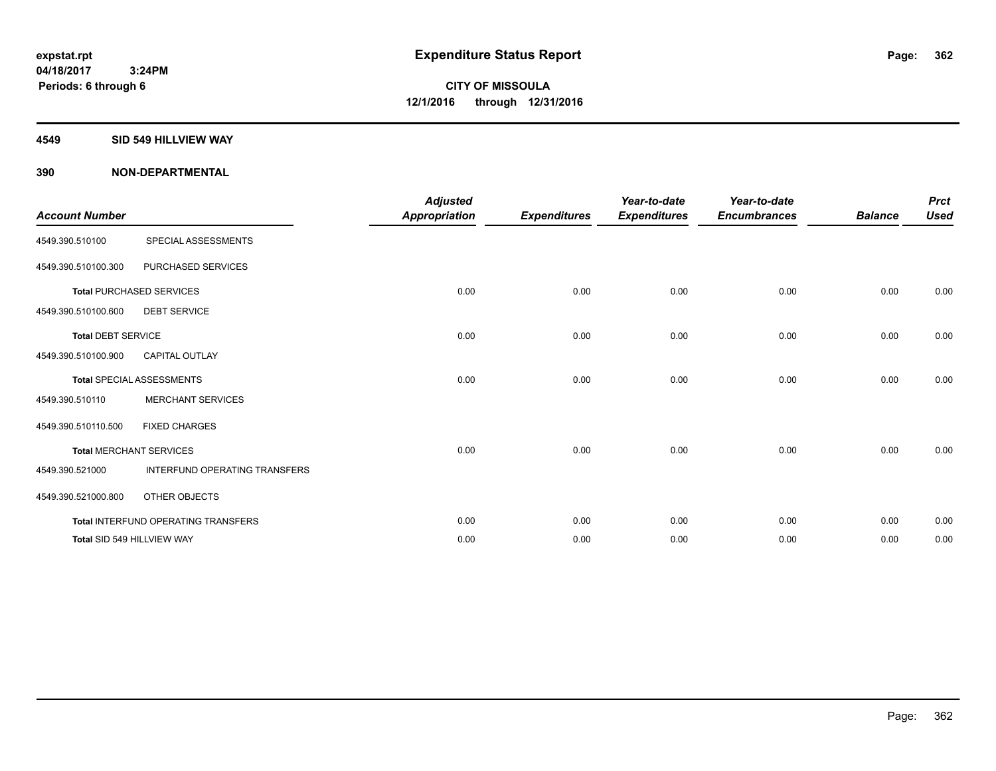#### **4549 SID 549 HILLVIEW WAY**

| <b>Account Number</b>     |                                            | <b>Adjusted</b><br><b>Appropriation</b> | <b>Expenditures</b> | Year-to-date<br><b>Expenditures</b> | Year-to-date<br><b>Encumbrances</b> | <b>Balance</b> | <b>Prct</b><br><b>Used</b> |
|---------------------------|--------------------------------------------|-----------------------------------------|---------------------|-------------------------------------|-------------------------------------|----------------|----------------------------|
| 4549.390.510100           | SPECIAL ASSESSMENTS                        |                                         |                     |                                     |                                     |                |                            |
| 4549.390.510100.300       | PURCHASED SERVICES                         |                                         |                     |                                     |                                     |                |                            |
|                           | <b>Total PURCHASED SERVICES</b>            | 0.00                                    | 0.00                | 0.00                                | 0.00                                | 0.00           | 0.00                       |
| 4549.390.510100.600       | <b>DEBT SERVICE</b>                        |                                         |                     |                                     |                                     |                |                            |
| <b>Total DEBT SERVICE</b> |                                            | 0.00                                    | 0.00                | 0.00                                | 0.00                                | 0.00           | 0.00                       |
| 4549.390.510100.900       | <b>CAPITAL OUTLAY</b>                      |                                         |                     |                                     |                                     |                |                            |
|                           | <b>Total SPECIAL ASSESSMENTS</b>           | 0.00                                    | 0.00                | 0.00                                | 0.00                                | 0.00           | 0.00                       |
| 4549.390.510110           | <b>MERCHANT SERVICES</b>                   |                                         |                     |                                     |                                     |                |                            |
| 4549.390.510110.500       | <b>FIXED CHARGES</b>                       |                                         |                     |                                     |                                     |                |                            |
|                           | Total MERCHANT SERVICES                    | 0.00                                    | 0.00                | 0.00                                | 0.00                                | 0.00           | 0.00                       |
| 4549.390.521000           | <b>INTERFUND OPERATING TRANSFERS</b>       |                                         |                     |                                     |                                     |                |                            |
| 4549.390.521000.800       | <b>OTHER OBJECTS</b>                       |                                         |                     |                                     |                                     |                |                            |
|                           | <b>Total INTERFUND OPERATING TRANSFERS</b> | 0.00                                    | 0.00                | 0.00                                | 0.00                                | 0.00           | 0.00                       |
|                           | Total SID 549 HILLVIEW WAY                 | 0.00                                    | 0.00                | 0.00                                | 0.00                                | 0.00           | 0.00                       |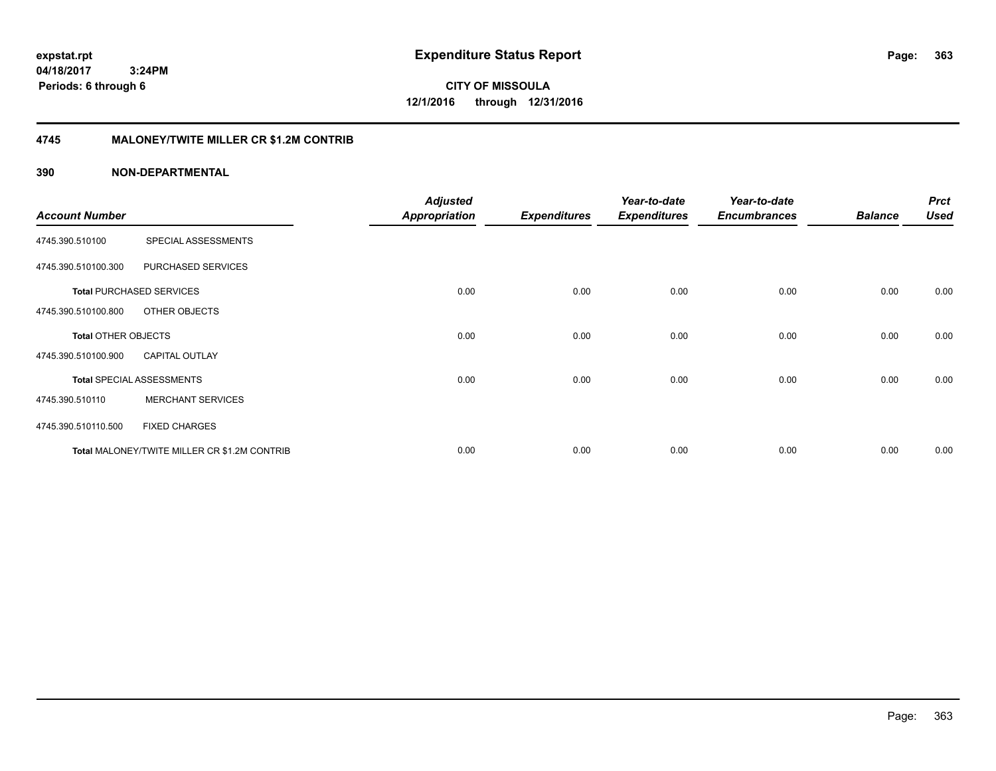**CITY OF MISSOULA 12/1/2016 through 12/31/2016**

### **4745 MALONEY/TWITE MILLER CR \$1.2M CONTRIB**

|                       |                                              | <b>Adjusted</b>      |                     | Year-to-date        | Year-to-date        |                | <b>Prct</b> |
|-----------------------|----------------------------------------------|----------------------|---------------------|---------------------|---------------------|----------------|-------------|
| <b>Account Number</b> |                                              | <b>Appropriation</b> | <b>Expenditures</b> | <b>Expenditures</b> | <b>Encumbrances</b> | <b>Balance</b> | <b>Used</b> |
| 4745.390.510100       | SPECIAL ASSESSMENTS                          |                      |                     |                     |                     |                |             |
| 4745.390.510100.300   | PURCHASED SERVICES                           |                      |                     |                     |                     |                |             |
|                       | <b>Total PURCHASED SERVICES</b>              | 0.00                 | 0.00                | 0.00                | 0.00                | 0.00           | 0.00        |
| 4745.390.510100.800   | OTHER OBJECTS                                |                      |                     |                     |                     |                |             |
| Total OTHER OBJECTS   |                                              | 0.00                 | 0.00                | 0.00                | 0.00                | 0.00           | 0.00        |
| 4745.390.510100.900   | <b>CAPITAL OUTLAY</b>                        |                      |                     |                     |                     |                |             |
|                       | <b>Total SPECIAL ASSESSMENTS</b>             | 0.00                 | 0.00                | 0.00                | 0.00                | 0.00           | 0.00        |
| 4745.390.510110       | <b>MERCHANT SERVICES</b>                     |                      |                     |                     |                     |                |             |
| 4745.390.510110.500   | <b>FIXED CHARGES</b>                         |                      |                     |                     |                     |                |             |
|                       | Total MALONEY/TWITE MILLER CR \$1.2M CONTRIB | 0.00                 | 0.00                | 0.00                | 0.00                | 0.00           | 0.00        |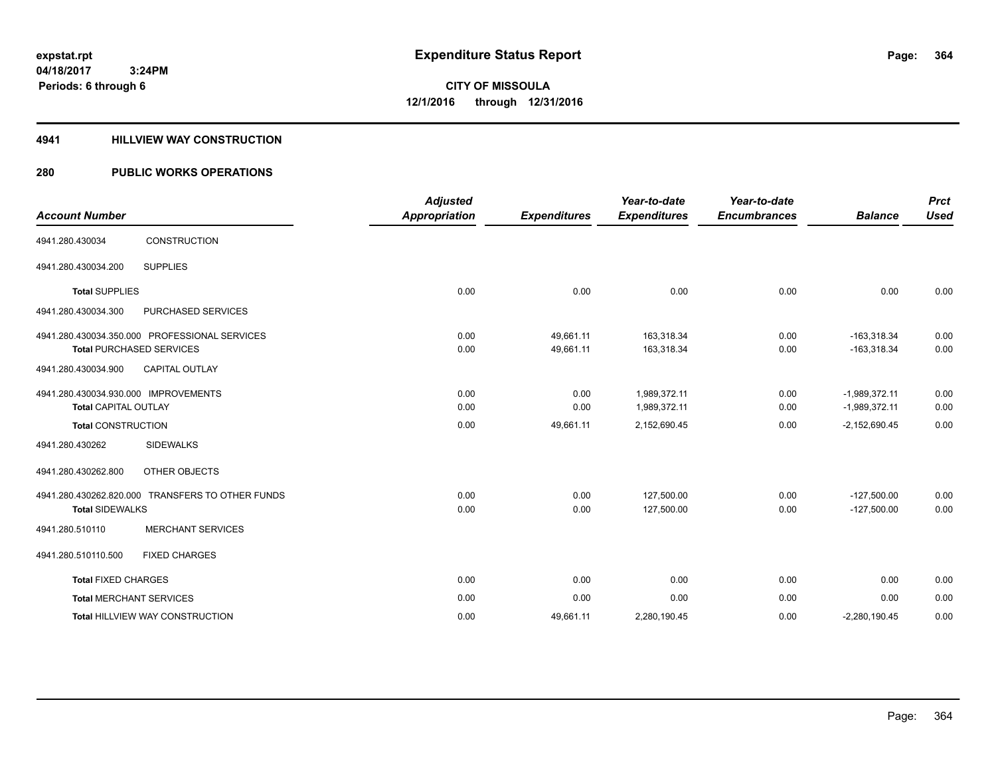#### **4941 HILLVIEW WAY CONSTRUCTION**

### **280 PUBLIC WORKS OPERATIONS**

| <b>Account Number</b>                |                                                  | <b>Adjusted</b><br><b>Appropriation</b> | <b>Expenditures</b> | Year-to-date<br><b>Expenditures</b> | Year-to-date<br><b>Encumbrances</b> | <b>Balance</b>  | <b>Prct</b><br><b>Used</b> |
|--------------------------------------|--------------------------------------------------|-----------------------------------------|---------------------|-------------------------------------|-------------------------------------|-----------------|----------------------------|
|                                      |                                                  |                                         |                     |                                     |                                     |                 |                            |
| 4941.280.430034                      | CONSTRUCTION                                     |                                         |                     |                                     |                                     |                 |                            |
| 4941.280.430034.200                  | <b>SUPPLIES</b>                                  |                                         |                     |                                     |                                     |                 |                            |
| <b>Total SUPPLIES</b>                |                                                  | 0.00                                    | 0.00                | 0.00                                | 0.00                                | 0.00            | 0.00                       |
| 4941.280.430034.300                  | PURCHASED SERVICES                               |                                         |                     |                                     |                                     |                 |                            |
|                                      | 4941.280.430034.350.000 PROFESSIONAL SERVICES    | 0.00                                    | 49,661.11           | 163,318.34                          | 0.00                                | $-163,318.34$   | 0.00                       |
|                                      | Total PURCHASED SERVICES                         | 0.00                                    | 49,661.11           | 163,318.34                          | 0.00                                | $-163,318.34$   | 0.00                       |
| 4941.280.430034.900                  | CAPITAL OUTLAY                                   |                                         |                     |                                     |                                     |                 |                            |
| 4941.280.430034.930.000 IMPROVEMENTS |                                                  | 0.00                                    | 0.00                | 1.989.372.11                        | 0.00                                | $-1.989.372.11$ | 0.00                       |
| <b>Total CAPITAL OUTLAY</b>          |                                                  | 0.00                                    | 0.00                | 1,989,372.11                        | 0.00                                | $-1,989,372.11$ | 0.00                       |
| <b>Total CONSTRUCTION</b>            |                                                  | 0.00                                    | 49,661.11           | 2,152,690.45                        | 0.00                                | $-2,152,690.45$ | 0.00                       |
| 4941.280.430262                      | <b>SIDEWALKS</b>                                 |                                         |                     |                                     |                                     |                 |                            |
| 4941.280.430262.800                  | OTHER OBJECTS                                    |                                         |                     |                                     |                                     |                 |                            |
|                                      | 4941.280.430262.820.000 TRANSFERS TO OTHER FUNDS | 0.00                                    | 0.00                | 127,500.00                          | 0.00                                | $-127,500.00$   | 0.00                       |
| <b>Total SIDEWALKS</b>               |                                                  | 0.00                                    | 0.00                | 127,500.00                          | 0.00                                | $-127,500.00$   | 0.00                       |
| 4941.280.510110                      | <b>MERCHANT SERVICES</b>                         |                                         |                     |                                     |                                     |                 |                            |
| 4941.280.510110.500                  | <b>FIXED CHARGES</b>                             |                                         |                     |                                     |                                     |                 |                            |
| <b>Total FIXED CHARGES</b>           |                                                  | 0.00                                    | 0.00                | 0.00                                | 0.00                                | 0.00            | 0.00                       |
| <b>Total MERCHANT SERVICES</b>       |                                                  | 0.00                                    | 0.00                | 0.00                                | 0.00                                | 0.00            | 0.00                       |
|                                      | <b>Total HILLVIEW WAY CONSTRUCTION</b>           | 0.00                                    | 49,661.11           | 2,280,190.45                        | 0.00                                | $-2,280,190.45$ | 0.00                       |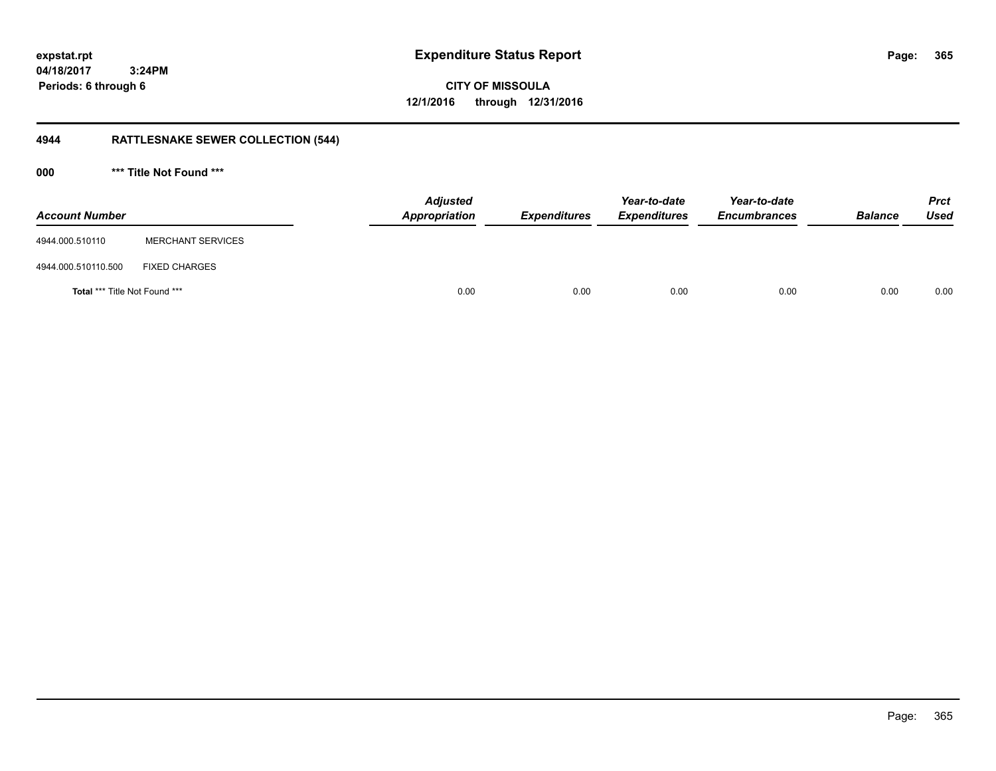**365**

**04/18/2017 3:24PM Periods: 6 through 6**

**CITY OF MISSOULA 12/1/2016 through 12/31/2016**

# **4944 RATTLESNAKE SEWER COLLECTION (544)**

**000 \*\*\* Title Not Found \*\*\***

| <b>Account Number</b>         |                          | <b>Adjusted</b><br>Appropriation | <b>Expenditures</b> | Year-to-date<br><b>Expenditures</b> | Year-to-date<br><b>Encumbrances</b> | <b>Balance</b> | <b>Prct</b><br>Used |
|-------------------------------|--------------------------|----------------------------------|---------------------|-------------------------------------|-------------------------------------|----------------|---------------------|
| 4944.000.510110               | <b>MERCHANT SERVICES</b> |                                  |                     |                                     |                                     |                |                     |
| 4944.000.510110.500           | <b>FIXED CHARGES</b>     |                                  |                     |                                     |                                     |                |                     |
| Total *** Title Not Found *** |                          | 0.00                             | 0.00                | 0.00                                | 0.00                                | 0.00           | 0.00                |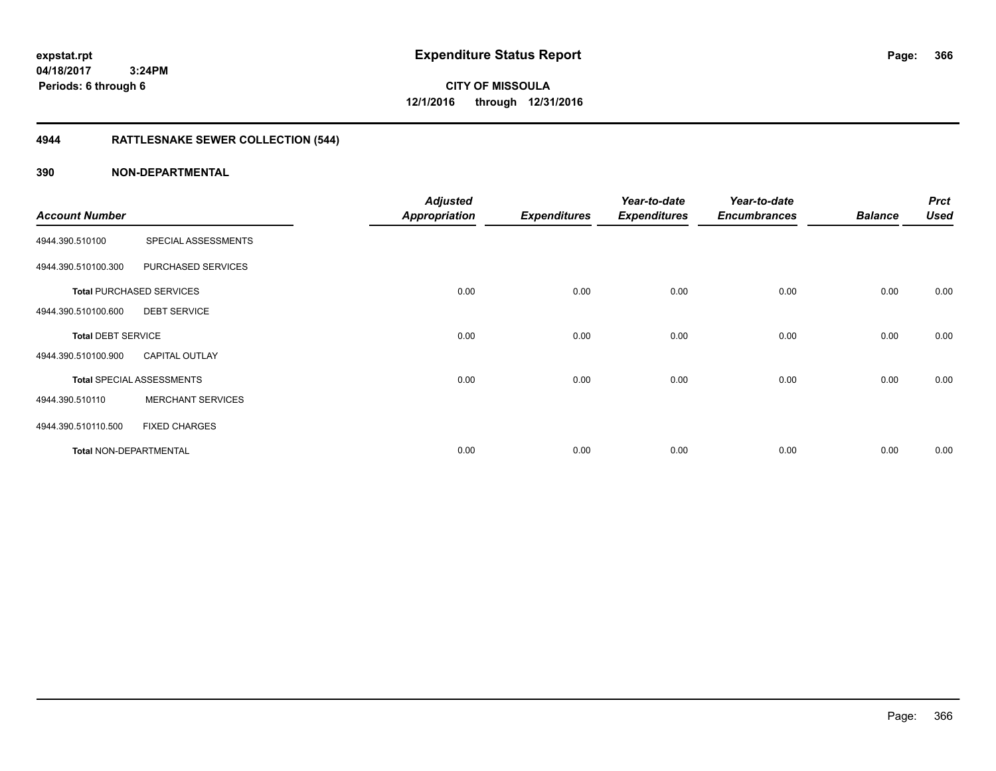**CITY OF MISSOULA 12/1/2016 through 12/31/2016**

# **4944 RATTLESNAKE SEWER COLLECTION (544)**

| <b>Account Number</b>     |                                  | <b>Adjusted</b><br><b>Appropriation</b> | <b>Expenditures</b> | Year-to-date<br><b>Expenditures</b> | Year-to-date<br><b>Encumbrances</b> | <b>Balance</b> | <b>Prct</b><br><b>Used</b> |
|---------------------------|----------------------------------|-----------------------------------------|---------------------|-------------------------------------|-------------------------------------|----------------|----------------------------|
| 4944.390.510100           | SPECIAL ASSESSMENTS              |                                         |                     |                                     |                                     |                |                            |
| 4944.390.510100.300       | PURCHASED SERVICES               |                                         |                     |                                     |                                     |                |                            |
|                           | <b>Total PURCHASED SERVICES</b>  | 0.00                                    | 0.00                | 0.00                                | 0.00                                | 0.00           | 0.00                       |
| 4944.390.510100.600       | <b>DEBT SERVICE</b>              |                                         |                     |                                     |                                     |                |                            |
| <b>Total DEBT SERVICE</b> |                                  | 0.00                                    | 0.00                | 0.00                                | 0.00                                | 0.00           | 0.00                       |
| 4944.390.510100.900       | <b>CAPITAL OUTLAY</b>            |                                         |                     |                                     |                                     |                |                            |
|                           | <b>Total SPECIAL ASSESSMENTS</b> | 0.00                                    | 0.00                | 0.00                                | 0.00                                | 0.00           | 0.00                       |
| 4944.390.510110           | <b>MERCHANT SERVICES</b>         |                                         |                     |                                     |                                     |                |                            |
| 4944.390.510110.500       | <b>FIXED CHARGES</b>             |                                         |                     |                                     |                                     |                |                            |
| Total NON-DEPARTMENTAL    |                                  | 0.00                                    | 0.00                | 0.00                                | 0.00                                | 0.00           | 0.00                       |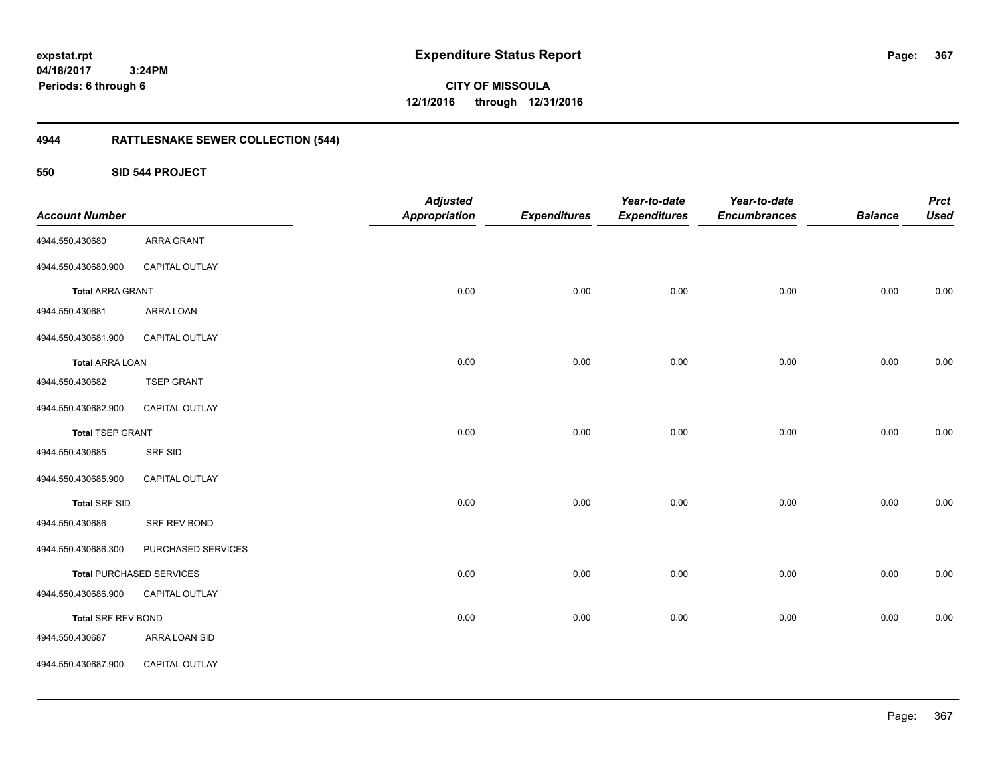**CITY OF MISSOULA 12/1/2016 through 12/31/2016**

# **4944 RATTLESNAKE SEWER COLLECTION (544)**

**550 SID 544 PROJECT**

| <b>Account Number</b>   |                                 | <b>Adjusted</b><br><b>Appropriation</b> | <b>Expenditures</b> | Year-to-date<br><b>Expenditures</b> | Year-to-date<br><b>Encumbrances</b> | <b>Balance</b> | <b>Prct</b><br><b>Used</b> |
|-------------------------|---------------------------------|-----------------------------------------|---------------------|-------------------------------------|-------------------------------------|----------------|----------------------------|
| 4944.550.430680         | <b>ARRA GRANT</b>               |                                         |                     |                                     |                                     |                |                            |
| 4944.550.430680.900     | CAPITAL OUTLAY                  |                                         |                     |                                     |                                     |                |                            |
| <b>Total ARRA GRANT</b> |                                 | 0.00                                    | 0.00                | 0.00                                | 0.00                                | 0.00           | 0.00                       |
| 4944.550.430681         | ARRA LOAN                       |                                         |                     |                                     |                                     |                |                            |
| 4944.550.430681.900     | CAPITAL OUTLAY                  |                                         |                     |                                     |                                     |                |                            |
| <b>Total ARRA LOAN</b>  |                                 | 0.00                                    | 0.00                | 0.00                                | 0.00                                | 0.00           | 0.00                       |
| 4944.550.430682         | <b>TSEP GRANT</b>               |                                         |                     |                                     |                                     |                |                            |
| 4944.550.430682.900     | CAPITAL OUTLAY                  |                                         |                     |                                     |                                     |                |                            |
| <b>Total TSEP GRANT</b> |                                 | 0.00                                    | 0.00                | 0.00                                | 0.00                                | 0.00           | 0.00                       |
| 4944.550.430685         | <b>SRF SID</b>                  |                                         |                     |                                     |                                     |                |                            |
| 4944.550.430685.900     | CAPITAL OUTLAY                  |                                         |                     |                                     |                                     |                |                            |
| <b>Total SRF SID</b>    |                                 | 0.00                                    | 0.00                | 0.00                                | 0.00                                | 0.00           | 0.00                       |
| 4944.550.430686         | SRF REV BOND                    |                                         |                     |                                     |                                     |                |                            |
| 4944.550.430686.300     | PURCHASED SERVICES              |                                         |                     |                                     |                                     |                |                            |
|                         | <b>Total PURCHASED SERVICES</b> | 0.00                                    | 0.00                | 0.00                                | 0.00                                | 0.00           | 0.00                       |
| 4944.550.430686.900     | CAPITAL OUTLAY                  |                                         |                     |                                     |                                     |                |                            |
| Total SRF REV BOND      |                                 | 0.00                                    | 0.00                | 0.00                                | 0.00                                | 0.00           | 0.00                       |
| 4944.550.430687         | ARRA LOAN SID                   |                                         |                     |                                     |                                     |                |                            |
| 4944.550.430687.900     | CAPITAL OUTLAY                  |                                         |                     |                                     |                                     |                |                            |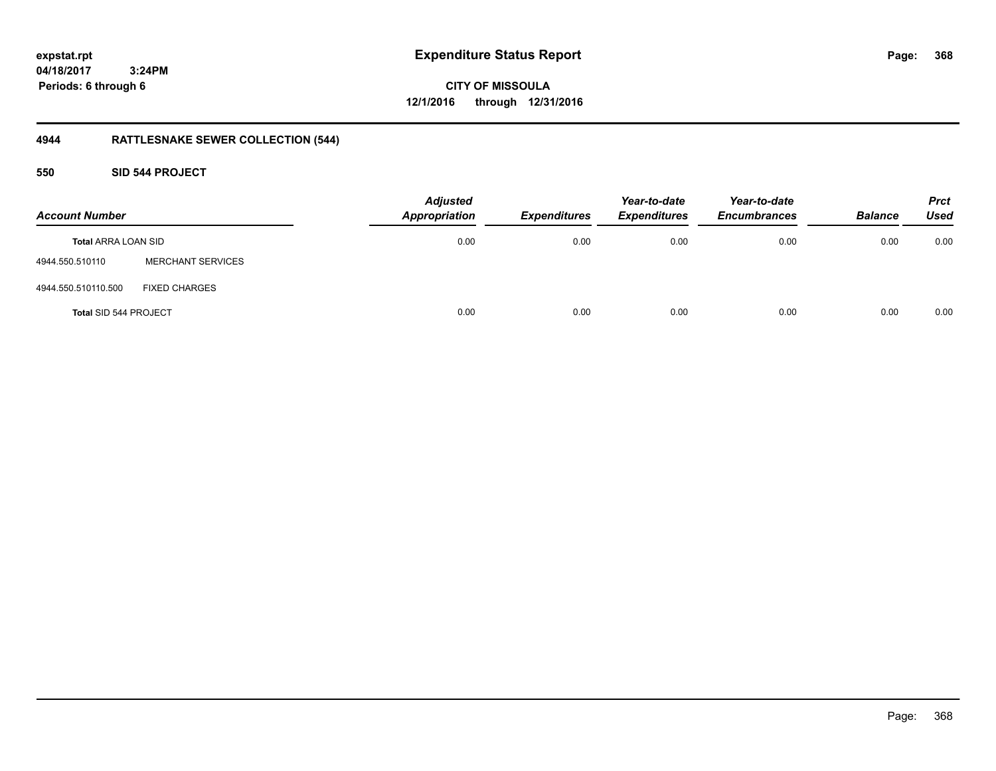**CITY OF MISSOULA 12/1/2016 through 12/31/2016**

# **4944 RATTLESNAKE SEWER COLLECTION (544)**

### **550 SID 544 PROJECT**

| <b>Account Number</b>        |                          | <b>Adjusted</b><br><b>Appropriation</b> | <b>Expenditures</b> | Year-to-date<br><b>Expenditures</b> | Year-to-date<br><b>Encumbrances</b> | <b>Balance</b> | <b>Prct</b><br><b>Used</b> |
|------------------------------|--------------------------|-----------------------------------------|---------------------|-------------------------------------|-------------------------------------|----------------|----------------------------|
| <b>Total ARRA LOAN SID</b>   |                          | 0.00                                    | 0.00                | 0.00                                | 0.00                                | 0.00           | 0.00                       |
| 4944.550.510110              | <b>MERCHANT SERVICES</b> |                                         |                     |                                     |                                     |                |                            |
| 4944.550.510110.500          | <b>FIXED CHARGES</b>     |                                         |                     |                                     |                                     |                |                            |
| <b>Total SID 544 PROJECT</b> |                          | 0.00                                    | 0.00                | 0.00                                | 0.00                                | 0.00           | 0.00                       |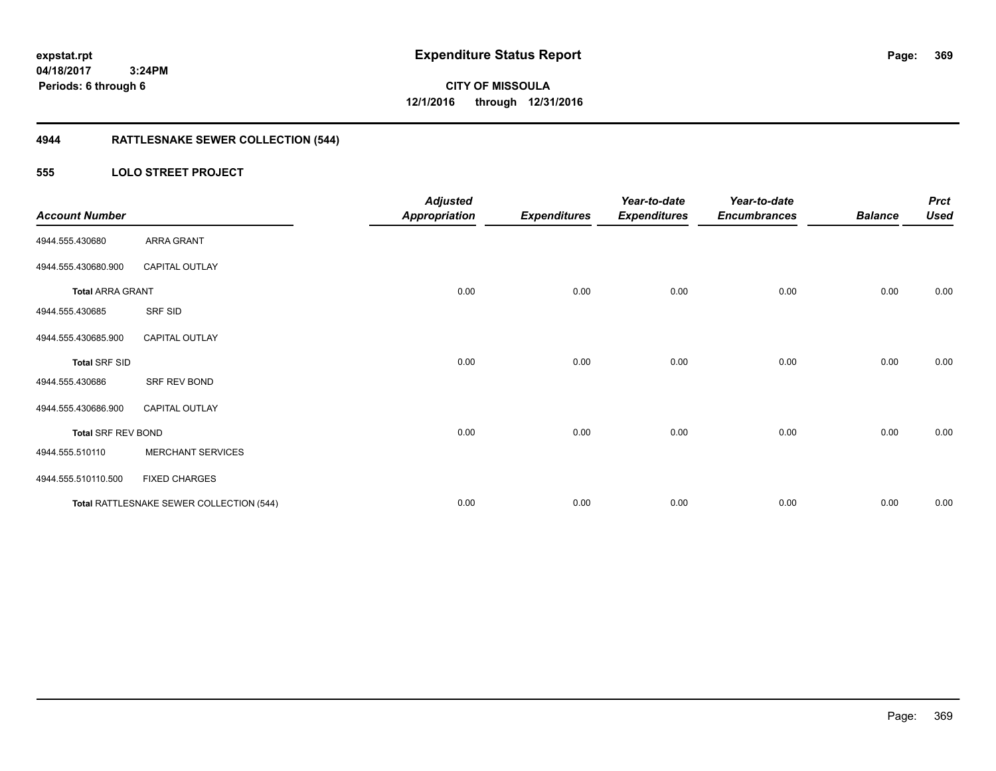**CITY OF MISSOULA 12/1/2016 through 12/31/2016**

# **4944 RATTLESNAKE SEWER COLLECTION (544)**

### **555 LOLO STREET PROJECT**

| <b>Account Number</b>     |                                          | <b>Adjusted</b><br><b>Appropriation</b> | <b>Expenditures</b> | Year-to-date<br><b>Expenditures</b> | Year-to-date<br><b>Encumbrances</b> | <b>Balance</b> | <b>Prct</b><br><b>Used</b> |
|---------------------------|------------------------------------------|-----------------------------------------|---------------------|-------------------------------------|-------------------------------------|----------------|----------------------------|
| 4944.555.430680           | ARRA GRANT                               |                                         |                     |                                     |                                     |                |                            |
| 4944.555.430680.900       | <b>CAPITAL OUTLAY</b>                    |                                         |                     |                                     |                                     |                |                            |
| <b>Total ARRA GRANT</b>   |                                          | 0.00                                    | 0.00                | 0.00                                | 0.00                                | 0.00           | 0.00                       |
| 4944.555.430685           | SRF SID                                  |                                         |                     |                                     |                                     |                |                            |
| 4944.555.430685.900       | <b>CAPITAL OUTLAY</b>                    |                                         |                     |                                     |                                     |                |                            |
| <b>Total SRF SID</b>      |                                          | 0.00                                    | 0.00                | 0.00                                | 0.00                                | 0.00           | 0.00                       |
| 4944.555.430686           | SRF REV BOND                             |                                         |                     |                                     |                                     |                |                            |
| 4944.555.430686.900       | <b>CAPITAL OUTLAY</b>                    |                                         |                     |                                     |                                     |                |                            |
| <b>Total SRF REV BOND</b> |                                          | 0.00                                    | 0.00                | 0.00                                | 0.00                                | 0.00           | 0.00                       |
| 4944.555.510110           | <b>MERCHANT SERVICES</b>                 |                                         |                     |                                     |                                     |                |                            |
| 4944.555.510110.500       | <b>FIXED CHARGES</b>                     |                                         |                     |                                     |                                     |                |                            |
|                           | Total RATTLESNAKE SEWER COLLECTION (544) | 0.00                                    | 0.00                | 0.00                                | 0.00                                | 0.00           | 0.00                       |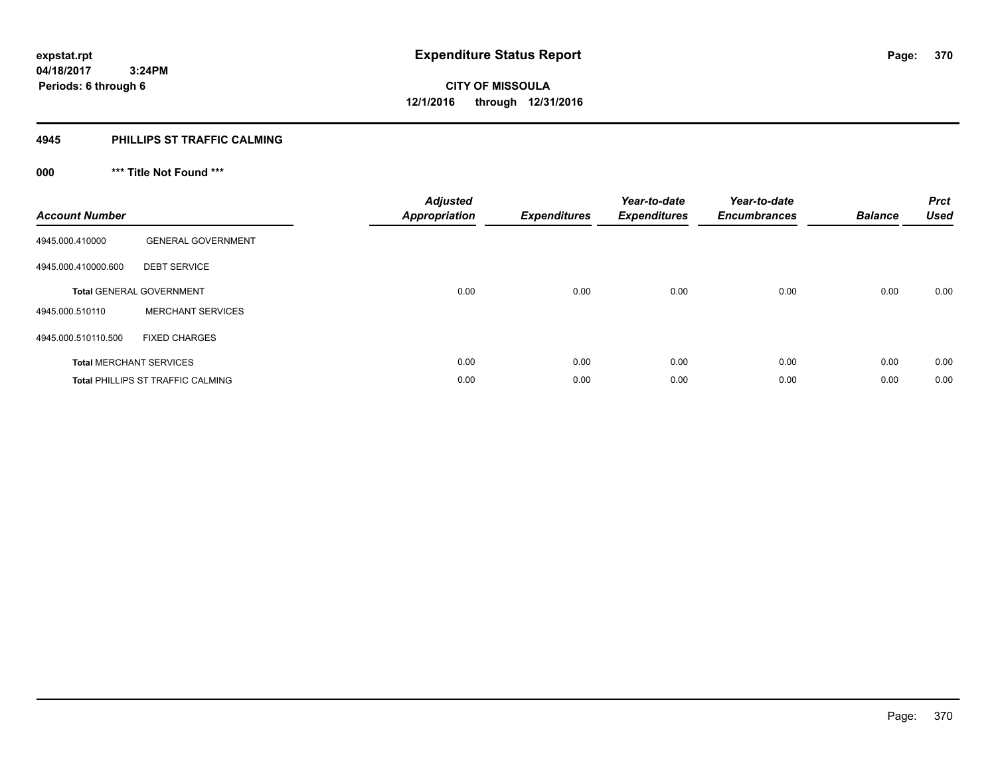#### **4945 PHILLIPS ST TRAFFIC CALMING**

# **000 \*\*\* Title Not Found \*\*\***

| <b>Account Number</b> |                                          | <b>Adjusted</b><br><b>Appropriation</b> | <b>Expenditures</b> | Year-to-date<br><b>Expenditures</b> | Year-to-date<br><b>Encumbrances</b> | <b>Balance</b> | <b>Prct</b><br><b>Used</b> |
|-----------------------|------------------------------------------|-----------------------------------------|---------------------|-------------------------------------|-------------------------------------|----------------|----------------------------|
| 4945.000.410000       | <b>GENERAL GOVERNMENT</b>                |                                         |                     |                                     |                                     |                |                            |
| 4945.000.410000.600   | <b>DEBT SERVICE</b>                      |                                         |                     |                                     |                                     |                |                            |
|                       | <b>Total GENERAL GOVERNMENT</b>          | 0.00                                    | 0.00                | 0.00                                | 0.00                                | 0.00           | 0.00                       |
| 4945.000.510110       | <b>MERCHANT SERVICES</b>                 |                                         |                     |                                     |                                     |                |                            |
| 4945.000.510110.500   | <b>FIXED CHARGES</b>                     |                                         |                     |                                     |                                     |                |                            |
|                       | <b>Total MERCHANT SERVICES</b>           | 0.00                                    | 0.00                | 0.00                                | 0.00                                | 0.00           | 0.00                       |
|                       | <b>Total PHILLIPS ST TRAFFIC CALMING</b> | 0.00                                    | 0.00                | 0.00                                | 0.00                                | 0.00           | 0.00                       |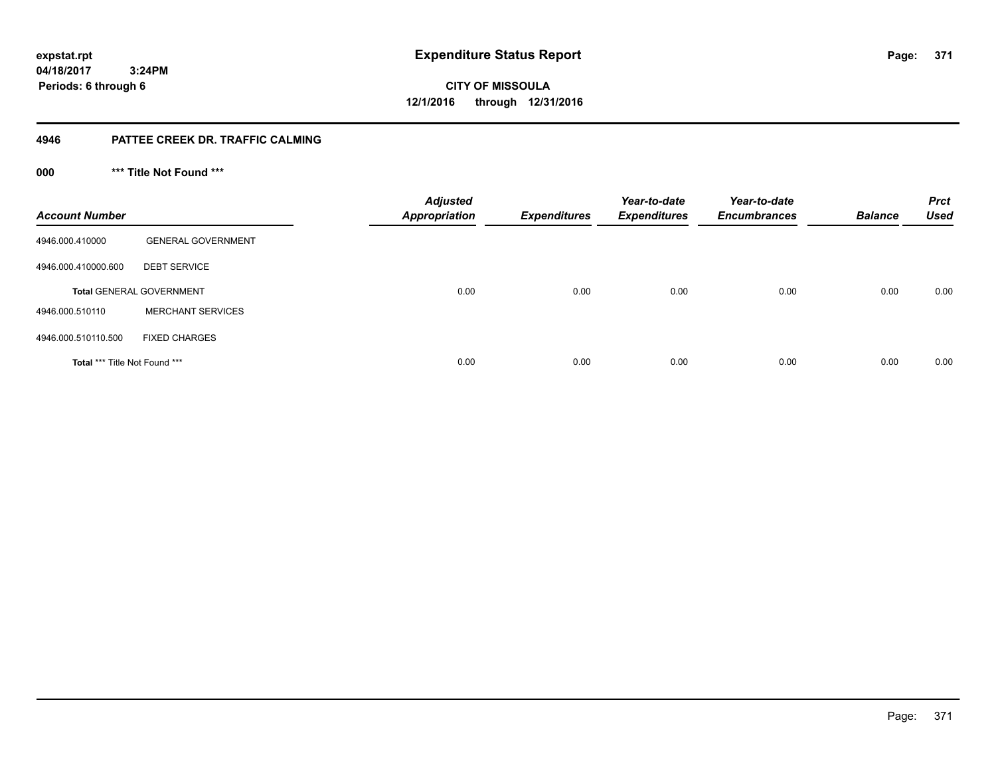**371**

**04/18/2017 3:24PM Periods: 6 through 6**

**CITY OF MISSOULA 12/1/2016 through 12/31/2016**

### **4946 PATTEE CREEK DR. TRAFFIC CALMING**

**000 \*\*\* Title Not Found \*\*\***

| <b>Account Number</b>         |                                 | <b>Adjusted</b><br><b>Appropriation</b> | <b>Expenditures</b> | Year-to-date<br><b>Expenditures</b> | Year-to-date<br><b>Encumbrances</b> | <b>Balance</b> | <b>Prct</b><br><b>Used</b> |
|-------------------------------|---------------------------------|-----------------------------------------|---------------------|-------------------------------------|-------------------------------------|----------------|----------------------------|
| 4946.000.410000               | <b>GENERAL GOVERNMENT</b>       |                                         |                     |                                     |                                     |                |                            |
| 4946.000.410000.600           | <b>DEBT SERVICE</b>             |                                         |                     |                                     |                                     |                |                            |
|                               | <b>Total GENERAL GOVERNMENT</b> | 0.00                                    | 0.00                | 0.00                                | 0.00                                | 0.00           | 0.00                       |
| 4946.000.510110               | <b>MERCHANT SERVICES</b>        |                                         |                     |                                     |                                     |                |                            |
| 4946.000.510110.500           | <b>FIXED CHARGES</b>            |                                         |                     |                                     |                                     |                |                            |
| Total *** Title Not Found *** |                                 | 0.00                                    | 0.00                | 0.00                                | 0.00                                | 0.00           | 0.00                       |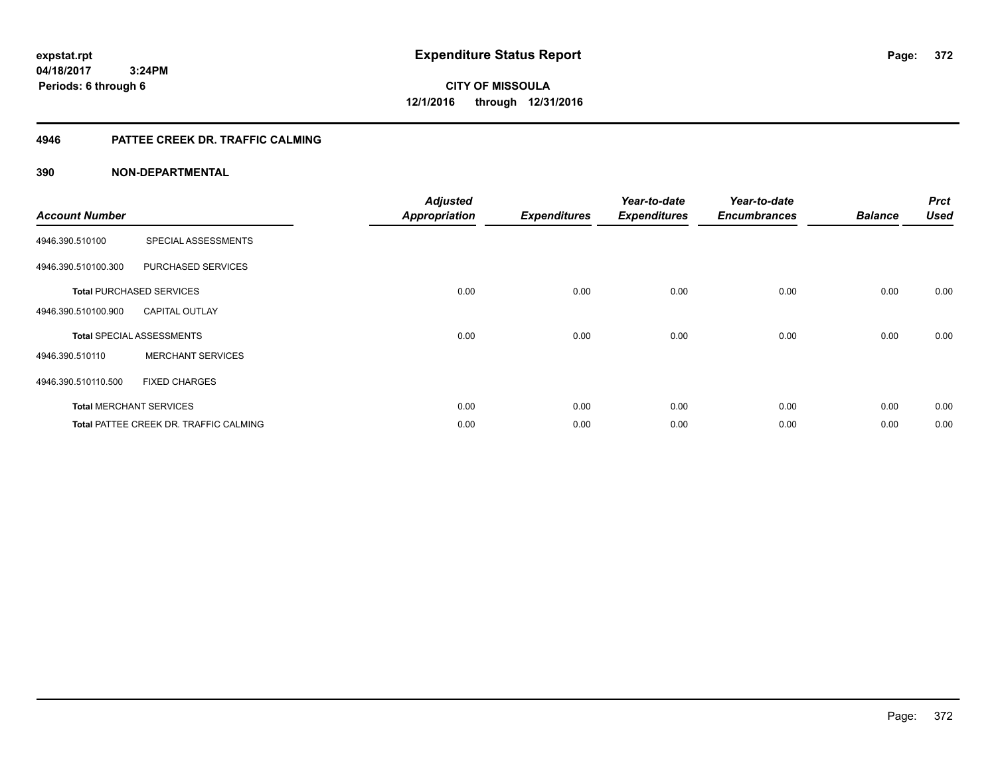**expstat.rpt Expenditure Status Report** 

**04/18/2017 3:24PM Periods: 6 through 6**

**CITY OF MISSOULA 12/1/2016 through 12/31/2016**

### **4946 PATTEE CREEK DR. TRAFFIC CALMING**

| <b>Account Number</b> |                                        | <b>Adjusted</b><br><b>Appropriation</b> | <b>Expenditures</b> | Year-to-date<br><b>Expenditures</b> | Year-to-date<br><b>Encumbrances</b> | <b>Balance</b> | <b>Prct</b><br><b>Used</b> |
|-----------------------|----------------------------------------|-----------------------------------------|---------------------|-------------------------------------|-------------------------------------|----------------|----------------------------|
| 4946.390.510100       | SPECIAL ASSESSMENTS                    |                                         |                     |                                     |                                     |                |                            |
| 4946.390.510100.300   | PURCHASED SERVICES                     |                                         |                     |                                     |                                     |                |                            |
|                       | <b>Total PURCHASED SERVICES</b>        | 0.00                                    | 0.00                | 0.00                                | 0.00                                | 0.00           | 0.00                       |
| 4946.390.510100.900   | <b>CAPITAL OUTLAY</b>                  |                                         |                     |                                     |                                     |                |                            |
|                       | <b>Total SPECIAL ASSESSMENTS</b>       | 0.00                                    | 0.00                | 0.00                                | 0.00                                | 0.00           | 0.00                       |
| 4946.390.510110       | <b>MERCHANT SERVICES</b>               |                                         |                     |                                     |                                     |                |                            |
| 4946.390.510110.500   | <b>FIXED CHARGES</b>                   |                                         |                     |                                     |                                     |                |                            |
|                       | <b>Total MERCHANT SERVICES</b>         | 0.00                                    | 0.00                | 0.00                                | 0.00                                | 0.00           | 0.00                       |
|                       | Total PATTEE CREEK DR. TRAFFIC CALMING | 0.00                                    | 0.00                | 0.00                                | 0.00                                | 0.00           | 0.00                       |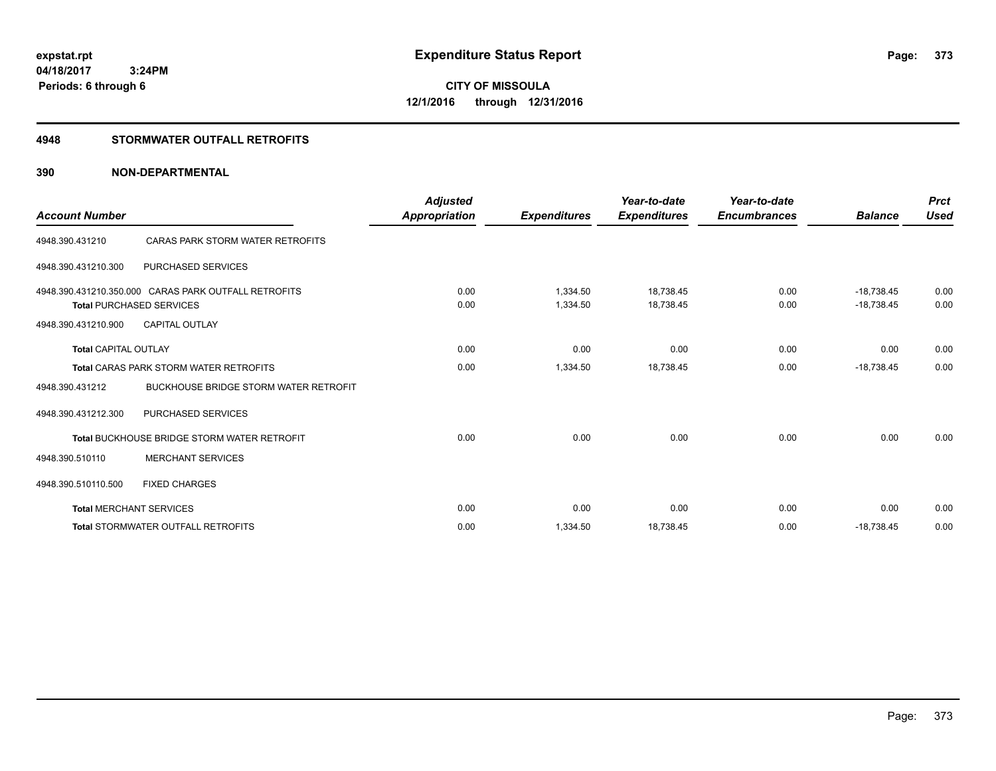**CITY OF MISSOULA 12/1/2016 through 12/31/2016**

### **4948 STORMWATER OUTFALL RETROFITS**

| <b>Account Number</b>       |                                                                                         | <b>Adjusted</b><br><b>Appropriation</b> | <b>Expenditures</b>  | Year-to-date<br><b>Expenditures</b> | Year-to-date<br><b>Encumbrances</b> | <b>Balance</b>               | <b>Prct</b><br>Used |
|-----------------------------|-----------------------------------------------------------------------------------------|-----------------------------------------|----------------------|-------------------------------------|-------------------------------------|------------------------------|---------------------|
| 4948.390.431210             | CARAS PARK STORM WATER RETROFITS                                                        |                                         |                      |                                     |                                     |                              |                     |
| 4948.390.431210.300         | PURCHASED SERVICES                                                                      |                                         |                      |                                     |                                     |                              |                     |
|                             | 4948.390.431210.350.000 CARAS PARK OUTFALL RETROFITS<br><b>Total PURCHASED SERVICES</b> | 0.00<br>0.00                            | 1.334.50<br>1,334.50 | 18.738.45<br>18,738.45              | 0.00<br>0.00                        | $-18.738.45$<br>$-18,738.45$ | 0.00<br>0.00        |
| 4948.390.431210.900         | <b>CAPITAL OUTLAY</b>                                                                   |                                         |                      |                                     |                                     |                              |                     |
| <b>Total CAPITAL OUTLAY</b> |                                                                                         | 0.00                                    | 0.00                 | 0.00                                | 0.00                                | 0.00                         | 0.00                |
|                             | <b>Total CARAS PARK STORM WATER RETROFITS</b>                                           | 0.00                                    | 1,334.50             | 18,738.45                           | 0.00                                | $-18,738.45$                 | 0.00                |
| 4948.390.431212             | <b>BUCKHOUSE BRIDGE STORM WATER RETROFIT</b>                                            |                                         |                      |                                     |                                     |                              |                     |
| 4948.390.431212.300         | <b>PURCHASED SERVICES</b>                                                               |                                         |                      |                                     |                                     |                              |                     |
|                             | <b>Total BUCKHOUSE BRIDGE STORM WATER RETROFIT</b>                                      | 0.00                                    | 0.00                 | 0.00                                | 0.00                                | 0.00                         | 0.00                |
| 4948.390.510110             | <b>MERCHANT SERVICES</b>                                                                |                                         |                      |                                     |                                     |                              |                     |
| 4948.390.510110.500         | <b>FIXED CHARGES</b>                                                                    |                                         |                      |                                     |                                     |                              |                     |
|                             | <b>Total MERCHANT SERVICES</b>                                                          | 0.00                                    | 0.00                 | 0.00                                | 0.00                                | 0.00                         | 0.00                |
|                             | <b>Total STORMWATER OUTFALL RETROFITS</b>                                               | 0.00                                    | 1,334.50             | 18,738.45                           | 0.00                                | $-18,738.45$                 | 0.00                |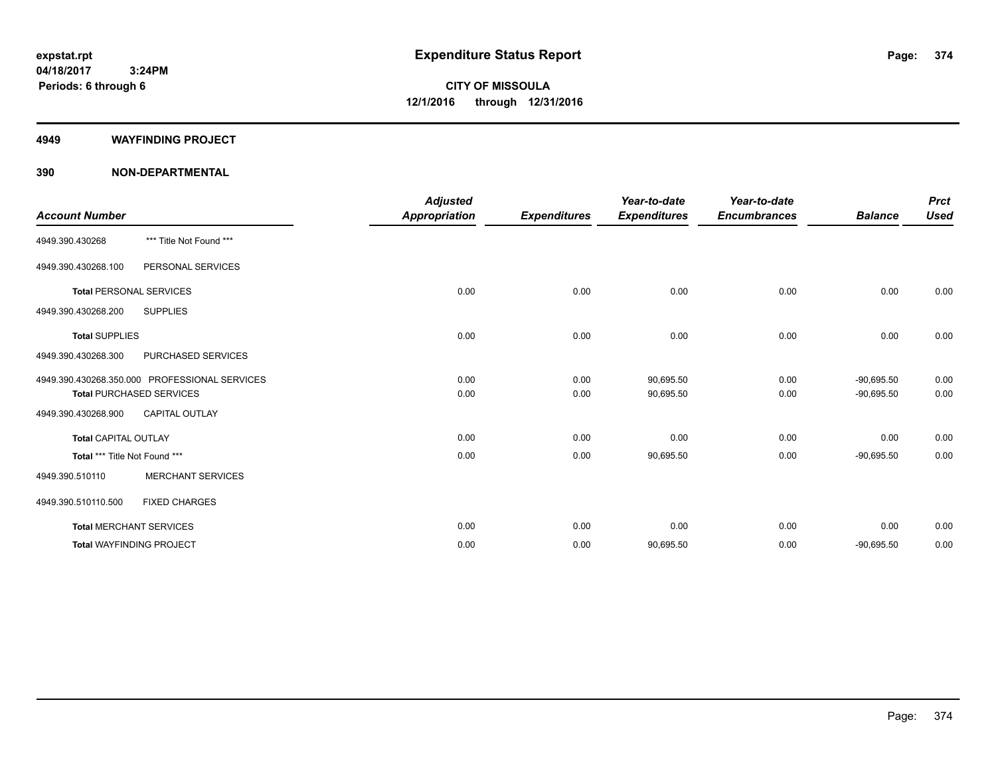#### **4949 WAYFINDING PROJECT**

|                                |                                               | <b>Adjusted</b>      |                     | Year-to-date        | Year-to-date        |                | <b>Prct</b> |
|--------------------------------|-----------------------------------------------|----------------------|---------------------|---------------------|---------------------|----------------|-------------|
| <b>Account Number</b>          |                                               | <b>Appropriation</b> | <b>Expenditures</b> | <b>Expenditures</b> | <b>Encumbrances</b> | <b>Balance</b> | <b>Used</b> |
| 4949.390.430268                | *** Title Not Found ***                       |                      |                     |                     |                     |                |             |
| 4949.390.430268.100            | PERSONAL SERVICES                             |                      |                     |                     |                     |                |             |
| <b>Total PERSONAL SERVICES</b> |                                               | 0.00                 | 0.00                | 0.00                | 0.00                | 0.00           | 0.00        |
| 4949.390.430268.200            | <b>SUPPLIES</b>                               |                      |                     |                     |                     |                |             |
| <b>Total SUPPLIES</b>          |                                               | 0.00                 | 0.00                | 0.00                | 0.00                | 0.00           | 0.00        |
| 4949.390.430268.300            | PURCHASED SERVICES                            |                      |                     |                     |                     |                |             |
|                                | 4949.390.430268.350.000 PROFESSIONAL SERVICES | 0.00                 | 0.00                | 90,695.50           | 0.00                | $-90.695.50$   | 0.00        |
|                                | <b>Total PURCHASED SERVICES</b>               | 0.00                 | 0.00                | 90,695.50           | 0.00                | $-90,695.50$   | 0.00        |
| 4949.390.430268.900            | <b>CAPITAL OUTLAY</b>                         |                      |                     |                     |                     |                |             |
| <b>Total CAPITAL OUTLAY</b>    |                                               | 0.00                 | 0.00                | 0.00                | 0.00                | 0.00           | 0.00        |
| Total *** Title Not Found ***  |                                               | 0.00                 | 0.00                | 90,695.50           | 0.00                | $-90,695.50$   | 0.00        |
| 4949.390.510110                | <b>MERCHANT SERVICES</b>                      |                      |                     |                     |                     |                |             |
| 4949.390.510110.500            | <b>FIXED CHARGES</b>                          |                      |                     |                     |                     |                |             |
|                                | <b>Total MERCHANT SERVICES</b>                | 0.00                 | 0.00                | 0.00                | 0.00                | 0.00           | 0.00        |
|                                | <b>Total WAYFINDING PROJECT</b>               | 0.00                 | 0.00                | 90,695.50           | 0.00                | $-90,695.50$   | 0.00        |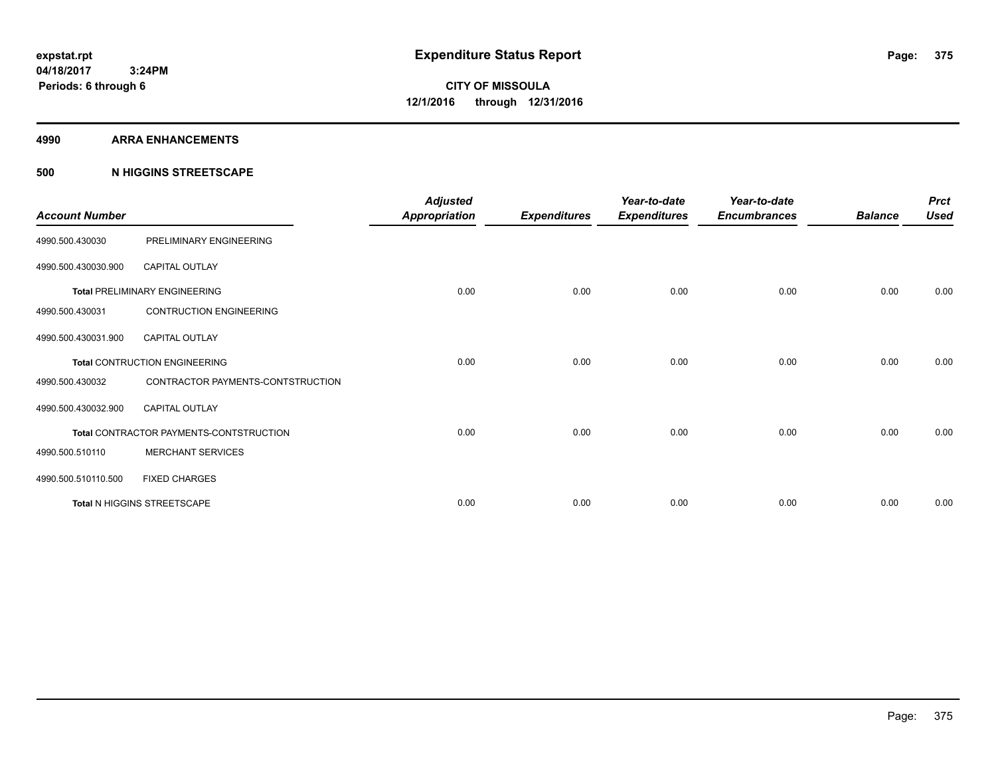#### **4990 ARRA ENHANCEMENTS**

### **500 N HIGGINS STREETSCAPE**

| <b>Account Number</b> |                                         | <b>Adjusted</b><br>Appropriation | <b>Expenditures</b> | Year-to-date<br><b>Expenditures</b> | Year-to-date<br><b>Encumbrances</b> | <b>Balance</b> | <b>Prct</b><br><b>Used</b> |
|-----------------------|-----------------------------------------|----------------------------------|---------------------|-------------------------------------|-------------------------------------|----------------|----------------------------|
| 4990.500.430030       | PRELIMINARY ENGINEERING                 |                                  |                     |                                     |                                     |                |                            |
| 4990.500.430030.900   | <b>CAPITAL OUTLAY</b>                   |                                  |                     |                                     |                                     |                |                            |
|                       | <b>Total PRELIMINARY ENGINEERING</b>    | 0.00                             | 0.00                | 0.00                                | 0.00                                | 0.00           | 0.00                       |
| 4990.500.430031       | <b>CONTRUCTION ENGINEERING</b>          |                                  |                     |                                     |                                     |                |                            |
| 4990.500.430031.900   | <b>CAPITAL OUTLAY</b>                   |                                  |                     |                                     |                                     |                |                            |
|                       | Total CONTRUCTION ENGINEERING           | 0.00                             | 0.00                | 0.00                                | 0.00                                | 0.00           | 0.00                       |
| 4990.500.430032       | CONTRACTOR PAYMENTS-CONTSTRUCTION       |                                  |                     |                                     |                                     |                |                            |
| 4990.500.430032.900   | <b>CAPITAL OUTLAY</b>                   |                                  |                     |                                     |                                     |                |                            |
|                       | Total CONTRACTOR PAYMENTS-CONTSTRUCTION | 0.00                             | 0.00                | 0.00                                | 0.00                                | 0.00           | 0.00                       |
| 4990.500.510110       | <b>MERCHANT SERVICES</b>                |                                  |                     |                                     |                                     |                |                            |
| 4990.500.510110.500   | <b>FIXED CHARGES</b>                    |                                  |                     |                                     |                                     |                |                            |
|                       | Total N HIGGINS STREETSCAPE             | 0.00                             | 0.00                | 0.00                                | 0.00                                | 0.00           | 0.00                       |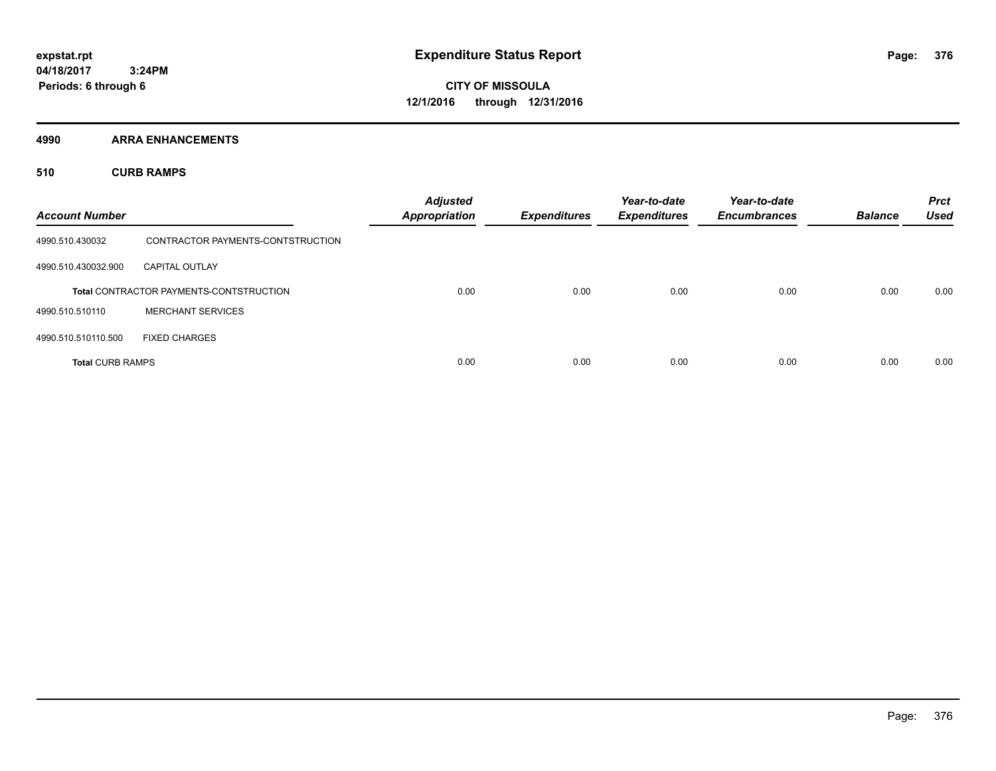**Periods: 6 through 6**

**CITY OF MISSOULA 12/1/2016 through 12/31/2016**

**4990 ARRA ENHANCEMENTS**

 **3:24PM**

**510 CURB RAMPS**

| <b>Account Number</b>   |                                                | <b>Adjusted</b><br><b>Appropriation</b> | <b>Expenditures</b> | Year-to-date<br><b>Expenditures</b> | Year-to-date<br><b>Encumbrances</b> | <b>Balance</b> | <b>Prct</b><br><b>Used</b> |
|-------------------------|------------------------------------------------|-----------------------------------------|---------------------|-------------------------------------|-------------------------------------|----------------|----------------------------|
| 4990.510.430032         | CONTRACTOR PAYMENTS-CONTSTRUCTION              |                                         |                     |                                     |                                     |                |                            |
| 4990.510.430032.900     | <b>CAPITAL OUTLAY</b>                          |                                         |                     |                                     |                                     |                |                            |
|                         | <b>Total CONTRACTOR PAYMENTS-CONTSTRUCTION</b> | 0.00                                    | 0.00                | 0.00                                | 0.00                                | 0.00           | 0.00                       |
| 4990.510.510110         | <b>MERCHANT SERVICES</b>                       |                                         |                     |                                     |                                     |                |                            |
| 4990.510.510110.500     | <b>FIXED CHARGES</b>                           |                                         |                     |                                     |                                     |                |                            |
| <b>Total CURB RAMPS</b> |                                                | 0.00                                    | 0.00                | 0.00                                | 0.00                                | 0.00           | 0.00                       |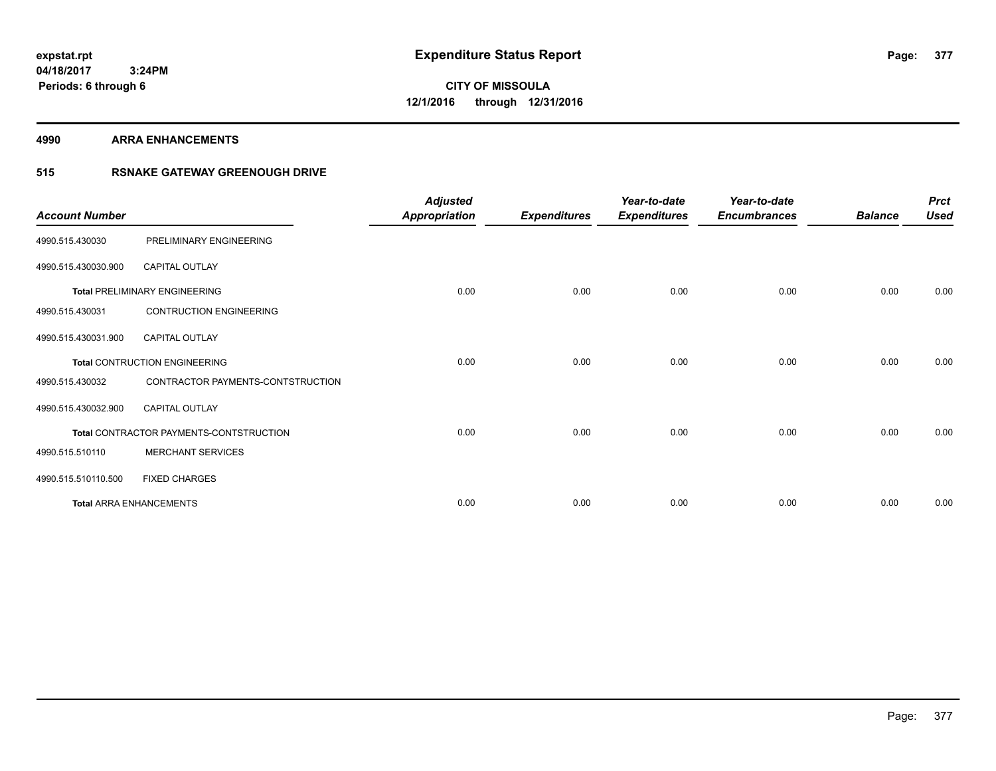**4990 ARRA ENHANCEMENTS**

### **515 RSNAKE GATEWAY GREENOUGH DRIVE**

| <b>Account Number</b> |                                         | <b>Adjusted</b><br><b>Appropriation</b> | <b>Expenditures</b> | Year-to-date<br><b>Expenditures</b> | Year-to-date<br><b>Encumbrances</b> | <b>Balance</b> | <b>Prct</b><br><b>Used</b> |
|-----------------------|-----------------------------------------|-----------------------------------------|---------------------|-------------------------------------|-------------------------------------|----------------|----------------------------|
| 4990.515.430030       | PRELIMINARY ENGINEERING                 |                                         |                     |                                     |                                     |                |                            |
| 4990.515.430030.900   | <b>CAPITAL OUTLAY</b>                   |                                         |                     |                                     |                                     |                |                            |
|                       | <b>Total PRELIMINARY ENGINEERING</b>    | 0.00                                    | 0.00                | 0.00                                | 0.00                                | 0.00           | 0.00                       |
| 4990.515.430031       | <b>CONTRUCTION ENGINEERING</b>          |                                         |                     |                                     |                                     |                |                            |
| 4990.515.430031.900   | <b>CAPITAL OUTLAY</b>                   |                                         |                     |                                     |                                     |                |                            |
|                       | Total CONTRUCTION ENGINEERING           | 0.00                                    | 0.00                | 0.00                                | 0.00                                | 0.00           | 0.00                       |
| 4990.515.430032       | CONTRACTOR PAYMENTS-CONTSTRUCTION       |                                         |                     |                                     |                                     |                |                            |
| 4990.515.430032.900   | <b>CAPITAL OUTLAY</b>                   |                                         |                     |                                     |                                     |                |                            |
|                       | Total CONTRACTOR PAYMENTS-CONTSTRUCTION | 0.00                                    | 0.00                | 0.00                                | 0.00                                | 0.00           | 0.00                       |
| 4990.515.510110       | <b>MERCHANT SERVICES</b>                |                                         |                     |                                     |                                     |                |                            |
| 4990.515.510110.500   | <b>FIXED CHARGES</b>                    |                                         |                     |                                     |                                     |                |                            |
|                       | <b>Total ARRA ENHANCEMENTS</b>          | 0.00                                    | 0.00                | 0.00                                | 0.00                                | 0.00           | 0.00                       |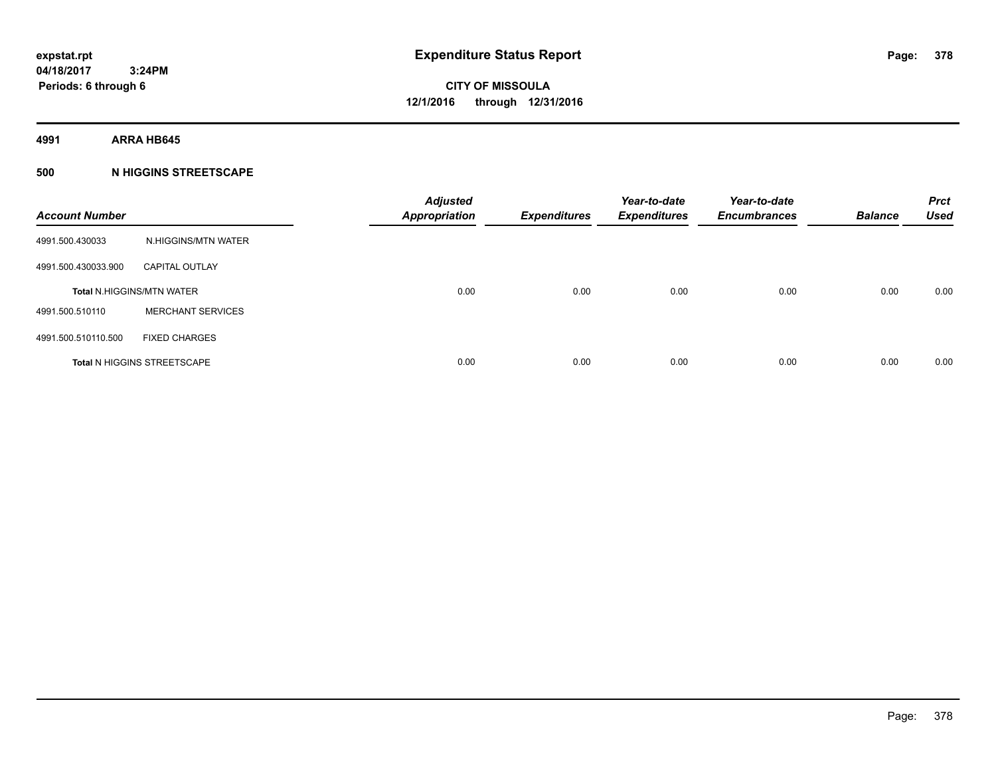**4991 ARRA HB645**

### **500 N HIGGINS STREETSCAPE**

| <b>Account Number</b> |                                    | <b>Adjusted</b><br><b>Appropriation</b> | <b>Expenditures</b> | Year-to-date<br><b>Expenditures</b> | Year-to-date<br><b>Encumbrances</b> | <b>Balance</b> | <b>Prct</b><br><b>Used</b> |
|-----------------------|------------------------------------|-----------------------------------------|---------------------|-------------------------------------|-------------------------------------|----------------|----------------------------|
| 4991.500.430033       | N.HIGGINS/MTN WATER                |                                         |                     |                                     |                                     |                |                            |
| 4991.500.430033.900   | <b>CAPITAL OUTLAY</b>              |                                         |                     |                                     |                                     |                |                            |
|                       | <b>Total N.HIGGINS/MTN WATER</b>   | 0.00                                    | 0.00                | 0.00                                | 0.00                                | 0.00           | 0.00                       |
| 4991.500.510110       | <b>MERCHANT SERVICES</b>           |                                         |                     |                                     |                                     |                |                            |
| 4991.500.510110.500   | <b>FIXED CHARGES</b>               |                                         |                     |                                     |                                     |                |                            |
|                       | <b>Total N HIGGINS STREETSCAPE</b> | 0.00                                    | 0.00                | 0.00                                | 0.00                                | 0.00           | 0.00                       |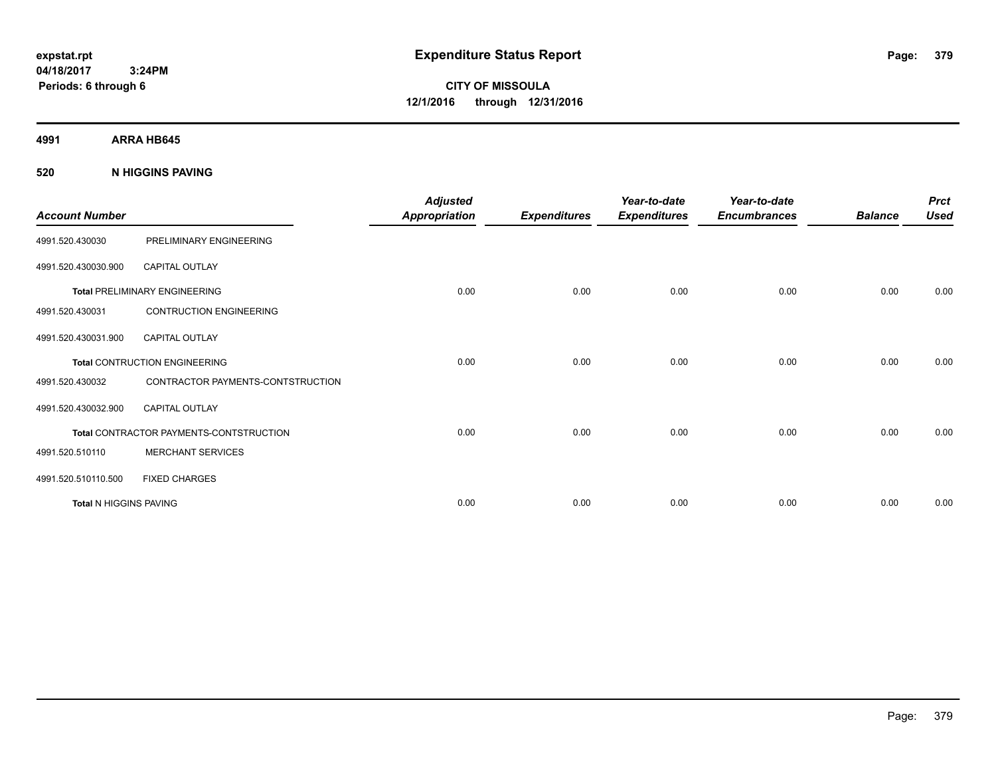**CITY OF MISSOULA 12/1/2016 through 12/31/2016**

**4991 ARRA HB645**

### **520 N HIGGINS PAVING**

| <b>Account Number</b>  |                                         | <b>Adjusted</b><br><b>Appropriation</b> | <b>Expenditures</b> | Year-to-date<br><b>Expenditures</b> | Year-to-date<br><b>Encumbrances</b> | <b>Balance</b> | <b>Prct</b><br><b>Used</b> |
|------------------------|-----------------------------------------|-----------------------------------------|---------------------|-------------------------------------|-------------------------------------|----------------|----------------------------|
| 4991.520.430030        | PRELIMINARY ENGINEERING                 |                                         |                     |                                     |                                     |                |                            |
| 4991.520.430030.900    | <b>CAPITAL OUTLAY</b>                   |                                         |                     |                                     |                                     |                |                            |
|                        | <b>Total PRELIMINARY ENGINEERING</b>    | 0.00                                    | 0.00                | 0.00                                | 0.00                                | 0.00           | 0.00                       |
| 4991.520.430031        | <b>CONTRUCTION ENGINEERING</b>          |                                         |                     |                                     |                                     |                |                            |
| 4991.520.430031.900    | <b>CAPITAL OUTLAY</b>                   |                                         |                     |                                     |                                     |                |                            |
|                        | <b>Total CONTRUCTION ENGINEERING</b>    | 0.00                                    | 0.00                | 0.00                                | 0.00                                | 0.00           | 0.00                       |
| 4991.520.430032        | CONTRACTOR PAYMENTS-CONTSTRUCTION       |                                         |                     |                                     |                                     |                |                            |
| 4991.520.430032.900    | <b>CAPITAL OUTLAY</b>                   |                                         |                     |                                     |                                     |                |                            |
|                        | Total CONTRACTOR PAYMENTS-CONTSTRUCTION | 0.00                                    | 0.00                | 0.00                                | 0.00                                | 0.00           | 0.00                       |
| 4991.520.510110        | <b>MERCHANT SERVICES</b>                |                                         |                     |                                     |                                     |                |                            |
| 4991.520.510110.500    | <b>FIXED CHARGES</b>                    |                                         |                     |                                     |                                     |                |                            |
| Total N HIGGINS PAVING |                                         | 0.00                                    | 0.00                | 0.00                                | 0.00                                | 0.00           | 0.00                       |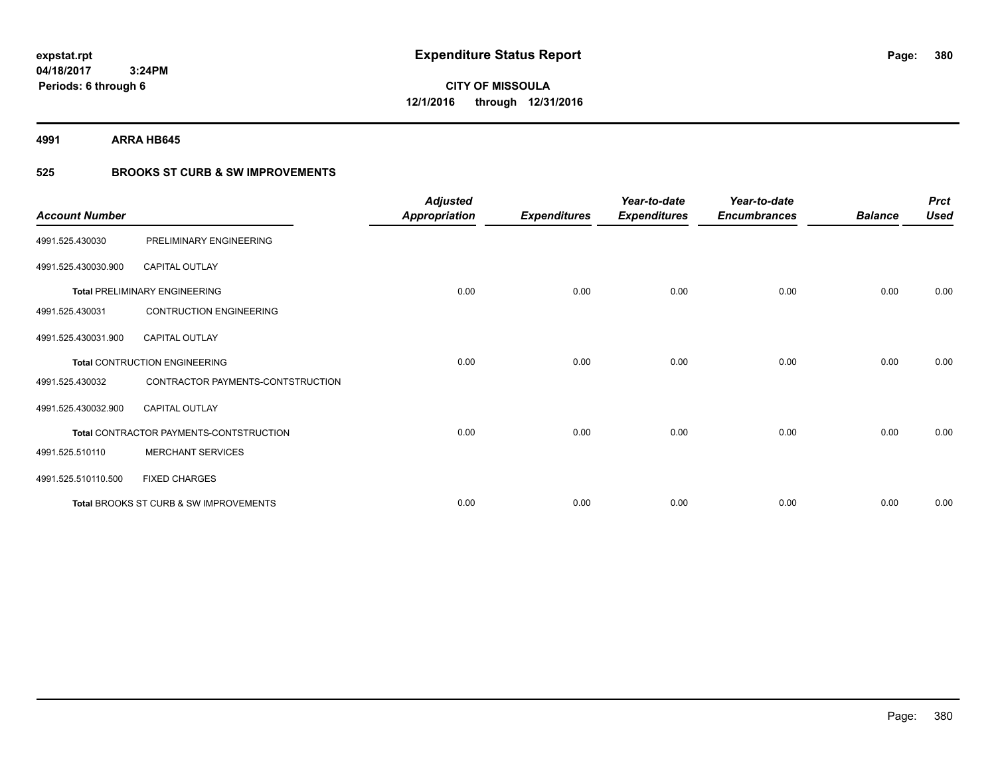**Periods: 6 through 6**

**CITY OF MISSOULA 12/1/2016 through 12/31/2016**

**4991 ARRA HB645**

### **525 BROOKS ST CURB & SW IMPROVEMENTS**

| <b>Account Number</b> |                                         | <b>Adjusted</b><br><b>Appropriation</b> | <b>Expenditures</b> | Year-to-date<br><b>Expenditures</b> | Year-to-date<br><b>Encumbrances</b> | <b>Balance</b> | <b>Prct</b><br><b>Used</b> |
|-----------------------|-----------------------------------------|-----------------------------------------|---------------------|-------------------------------------|-------------------------------------|----------------|----------------------------|
| 4991.525.430030       | PRELIMINARY ENGINEERING                 |                                         |                     |                                     |                                     |                |                            |
| 4991.525.430030.900   | CAPITAL OUTLAY                          |                                         |                     |                                     |                                     |                |                            |
|                       | <b>Total PRELIMINARY ENGINEERING</b>    | 0.00                                    | 0.00                | 0.00                                | 0.00                                | 0.00           | 0.00                       |
| 4991.525.430031       | <b>CONTRUCTION ENGINEERING</b>          |                                         |                     |                                     |                                     |                |                            |
| 4991.525.430031.900   | <b>CAPITAL OUTLAY</b>                   |                                         |                     |                                     |                                     |                |                            |
|                       | Total CONTRUCTION ENGINEERING           | 0.00                                    | 0.00                | 0.00                                | 0.00                                | 0.00           | 0.00                       |
| 4991.525.430032       | CONTRACTOR PAYMENTS-CONTSTRUCTION       |                                         |                     |                                     |                                     |                |                            |
| 4991.525.430032.900   | <b>CAPITAL OUTLAY</b>                   |                                         |                     |                                     |                                     |                |                            |
|                       | Total CONTRACTOR PAYMENTS-CONTSTRUCTION | 0.00                                    | 0.00                | 0.00                                | 0.00                                | 0.00           | 0.00                       |
| 4991.525.510110       | <b>MERCHANT SERVICES</b>                |                                         |                     |                                     |                                     |                |                            |
| 4991.525.510110.500   | <b>FIXED CHARGES</b>                    |                                         |                     |                                     |                                     |                |                            |
|                       | Total BROOKS ST CURB & SW IMPROVEMENTS  | 0.00                                    | 0.00                | 0.00                                | 0.00                                | 0.00           | 0.00                       |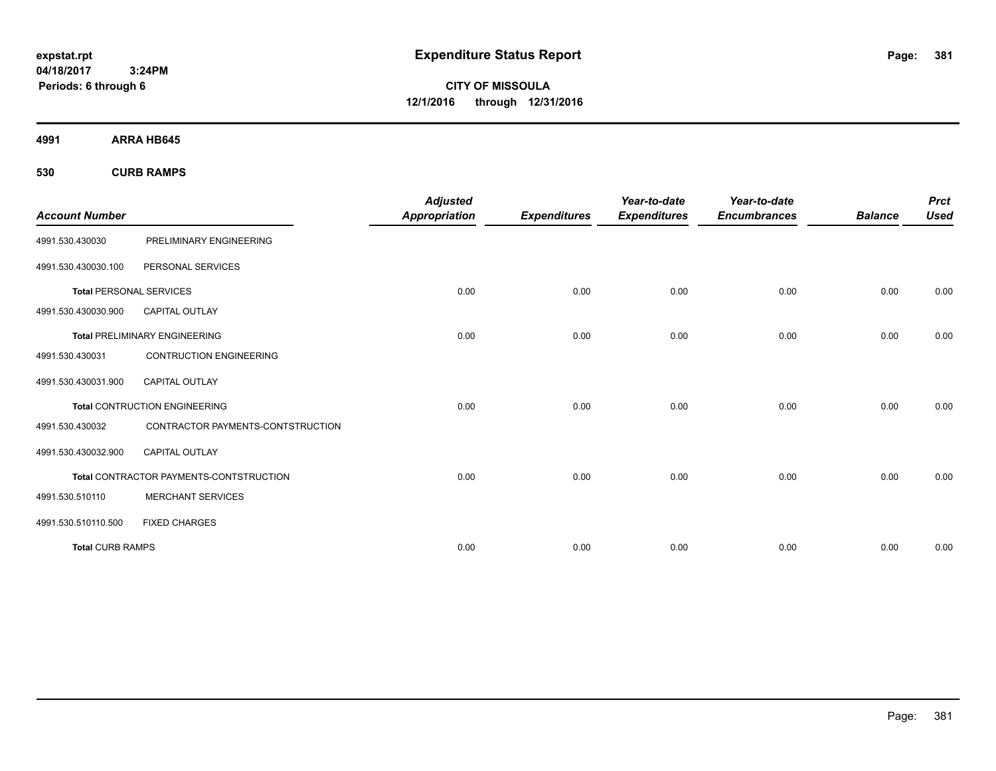**CITY OF MISSOULA 12/1/2016 through 12/31/2016**

**4991 ARRA HB645**

**530 CURB RAMPS**

| <b>Account Number</b>          |                                         | <b>Adjusted</b><br><b>Appropriation</b> | <b>Expenditures</b> | Year-to-date<br><b>Expenditures</b> | Year-to-date<br><b>Encumbrances</b> | <b>Balance</b> | <b>Prct</b><br><b>Used</b> |
|--------------------------------|-----------------------------------------|-----------------------------------------|---------------------|-------------------------------------|-------------------------------------|----------------|----------------------------|
| 4991.530.430030                | PRELIMINARY ENGINEERING                 |                                         |                     |                                     |                                     |                |                            |
| 4991.530.430030.100            | PERSONAL SERVICES                       |                                         |                     |                                     |                                     |                |                            |
| <b>Total PERSONAL SERVICES</b> |                                         | 0.00                                    | 0.00                | 0.00                                | 0.00                                | 0.00           | 0.00                       |
| 4991.530.430030.900            | <b>CAPITAL OUTLAY</b>                   |                                         |                     |                                     |                                     |                |                            |
|                                | <b>Total PRELIMINARY ENGINEERING</b>    | 0.00                                    | 0.00                | 0.00                                | 0.00                                | 0.00           | 0.00                       |
| 4991.530.430031                | <b>CONTRUCTION ENGINEERING</b>          |                                         |                     |                                     |                                     |                |                            |
| 4991.530.430031.900            | <b>CAPITAL OUTLAY</b>                   |                                         |                     |                                     |                                     |                |                            |
|                                | <b>Total CONTRUCTION ENGINEERING</b>    | 0.00                                    | 0.00                | 0.00                                | 0.00                                | 0.00           | 0.00                       |
| 4991.530.430032                | CONTRACTOR PAYMENTS-CONTSTRUCTION       |                                         |                     |                                     |                                     |                |                            |
| 4991.530.430032.900            | <b>CAPITAL OUTLAY</b>                   |                                         |                     |                                     |                                     |                |                            |
|                                | Total CONTRACTOR PAYMENTS-CONTSTRUCTION | 0.00                                    | 0.00                | 0.00                                | 0.00                                | 0.00           | 0.00                       |
| 4991.530.510110                | MERCHANT SERVICES                       |                                         |                     |                                     |                                     |                |                            |
| 4991.530.510110.500            | <b>FIXED CHARGES</b>                    |                                         |                     |                                     |                                     |                |                            |
| <b>Total CURB RAMPS</b>        |                                         | 0.00                                    | 0.00                | 0.00                                | 0.00                                | 0.00           | 0.00                       |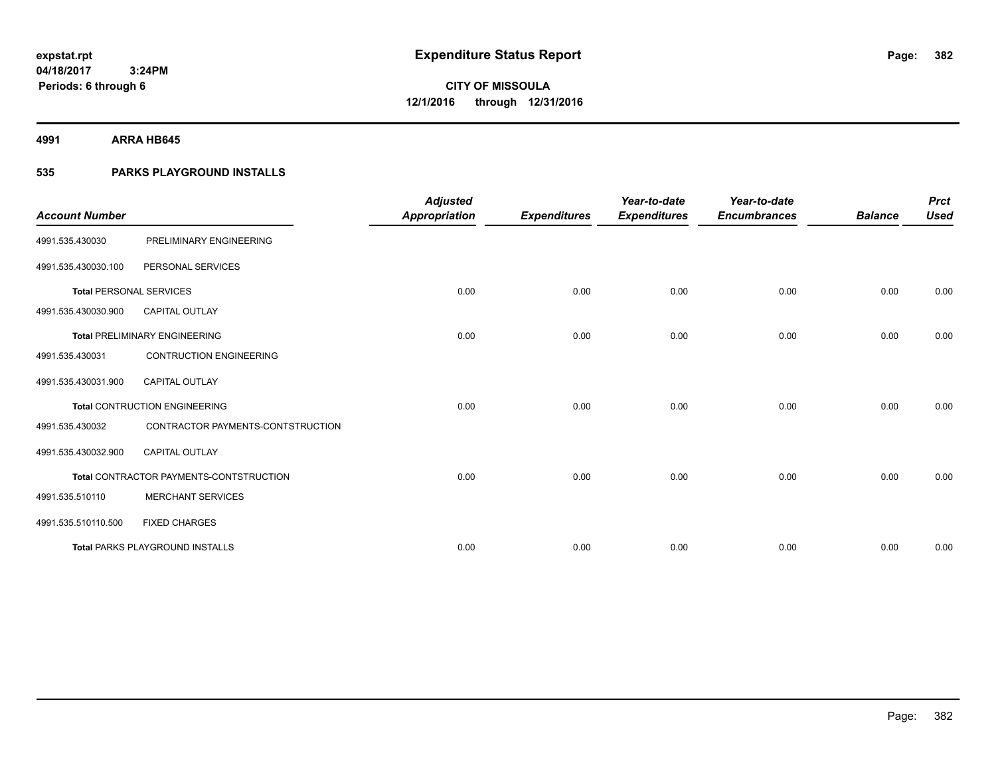**4991 ARRA HB645**

### **535 PARKS PLAYGROUND INSTALLS**

| <b>Account Number</b>          |                                         | <b>Adjusted</b><br><b>Appropriation</b> | <b>Expenditures</b> | Year-to-date<br><b>Expenditures</b> | Year-to-date<br><b>Encumbrances</b> | <b>Balance</b> | <b>Prct</b><br><b>Used</b> |
|--------------------------------|-----------------------------------------|-----------------------------------------|---------------------|-------------------------------------|-------------------------------------|----------------|----------------------------|
| 4991.535.430030                | PRELIMINARY ENGINEERING                 |                                         |                     |                                     |                                     |                |                            |
| 4991.535.430030.100            | PERSONAL SERVICES                       |                                         |                     |                                     |                                     |                |                            |
| <b>Total PERSONAL SERVICES</b> |                                         | 0.00                                    | 0.00                | 0.00                                | 0.00                                | 0.00           | 0.00                       |
| 4991.535.430030.900            | <b>CAPITAL OUTLAY</b>                   |                                         |                     |                                     |                                     |                |                            |
|                                | <b>Total PRELIMINARY ENGINEERING</b>    | 0.00                                    | 0.00                | 0.00                                | 0.00                                | 0.00           | 0.00                       |
| 4991.535.430031                | <b>CONTRUCTION ENGINEERING</b>          |                                         |                     |                                     |                                     |                |                            |
| 4991.535.430031.900            | CAPITAL OUTLAY                          |                                         |                     |                                     |                                     |                |                            |
|                                | <b>Total CONTRUCTION ENGINEERING</b>    | 0.00                                    | 0.00                | 0.00                                | 0.00                                | 0.00           | 0.00                       |
| 4991.535.430032                | CONTRACTOR PAYMENTS-CONTSTRUCTION       |                                         |                     |                                     |                                     |                |                            |
| 4991.535.430032.900            | <b>CAPITAL OUTLAY</b>                   |                                         |                     |                                     |                                     |                |                            |
|                                | Total CONTRACTOR PAYMENTS-CONTSTRUCTION | 0.00                                    | 0.00                | 0.00                                | 0.00                                | 0.00           | 0.00                       |
| 4991.535.510110                | <b>MERCHANT SERVICES</b>                |                                         |                     |                                     |                                     |                |                            |
| 4991.535.510110.500            | <b>FIXED CHARGES</b>                    |                                         |                     |                                     |                                     |                |                            |
|                                | <b>Total PARKS PLAYGROUND INSTALLS</b>  | 0.00                                    | 0.00                | 0.00                                | 0.00                                | 0.00           | 0.00                       |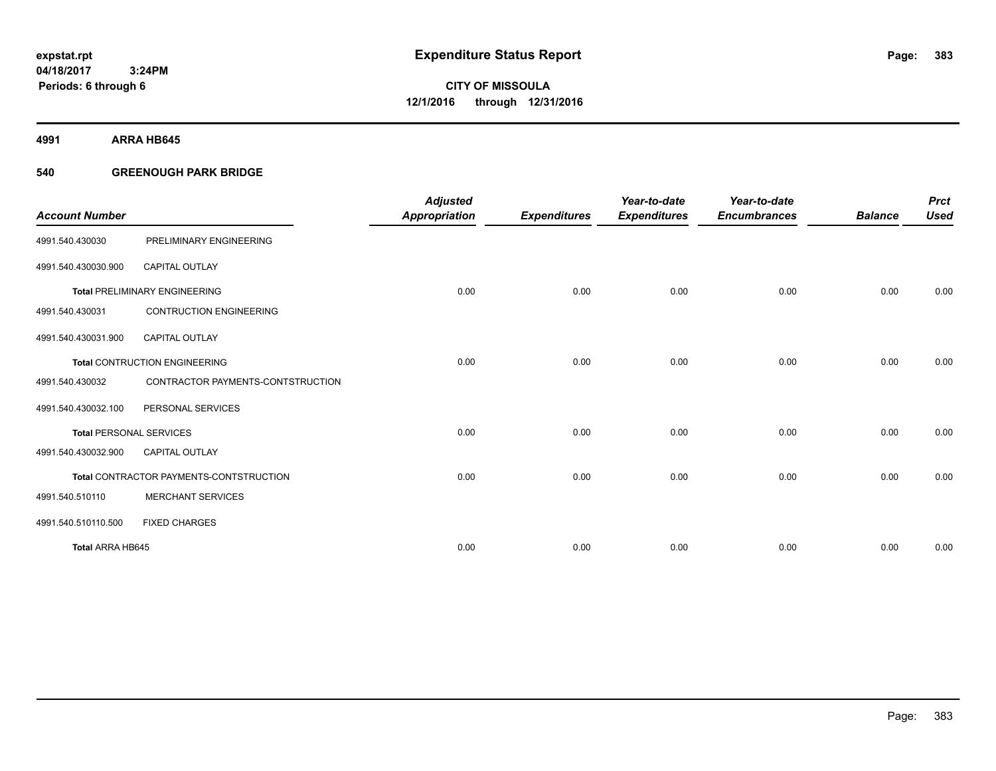**Periods: 6 through 6**

**CITY OF MISSOULA 12/1/2016 through 12/31/2016**

**4991 ARRA HB645**

### **540 GREENOUGH PARK BRIDGE**

 **3:24PM**

| <b>Account Number</b>          |                                         | <b>Adjusted</b><br><b>Appropriation</b> | <b>Expenditures</b> | Year-to-date<br><b>Expenditures</b> | Year-to-date<br><b>Encumbrances</b> | <b>Balance</b> | <b>Prct</b><br><b>Used</b> |
|--------------------------------|-----------------------------------------|-----------------------------------------|---------------------|-------------------------------------|-------------------------------------|----------------|----------------------------|
| 4991.540.430030                | PRELIMINARY ENGINEERING                 |                                         |                     |                                     |                                     |                |                            |
|                                |                                         |                                         |                     |                                     |                                     |                |                            |
| 4991.540.430030.900            | <b>CAPITAL OUTLAY</b>                   |                                         |                     |                                     |                                     |                |                            |
|                                | <b>Total PRELIMINARY ENGINEERING</b>    | 0.00                                    | 0.00                | 0.00                                | 0.00                                | 0.00           | 0.00                       |
| 4991.540.430031                | <b>CONTRUCTION ENGINEERING</b>          |                                         |                     |                                     |                                     |                |                            |
| 4991.540.430031.900            | <b>CAPITAL OUTLAY</b>                   |                                         |                     |                                     |                                     |                |                            |
|                                | <b>Total CONTRUCTION ENGINEERING</b>    | 0.00                                    | 0.00                | 0.00                                | 0.00                                | 0.00           | 0.00                       |
| 4991.540.430032                | CONTRACTOR PAYMENTS-CONTSTRUCTION       |                                         |                     |                                     |                                     |                |                            |
| 4991.540.430032.100            | PERSONAL SERVICES                       |                                         |                     |                                     |                                     |                |                            |
| <b>Total PERSONAL SERVICES</b> |                                         | 0.00                                    | 0.00                | 0.00                                | 0.00                                | 0.00           | 0.00                       |
| 4991.540.430032.900            | <b>CAPITAL OUTLAY</b>                   |                                         |                     |                                     |                                     |                |                            |
|                                | Total CONTRACTOR PAYMENTS-CONTSTRUCTION | 0.00                                    | 0.00                | 0.00                                | 0.00                                | 0.00           | 0.00                       |
| 4991.540.510110                | <b>MERCHANT SERVICES</b>                |                                         |                     |                                     |                                     |                |                            |
| 4991.540.510110.500            | <b>FIXED CHARGES</b>                    |                                         |                     |                                     |                                     |                |                            |
| Total ARRA HB645               |                                         | 0.00                                    | 0.00                | 0.00                                | 0.00                                | 0.00           | 0.00                       |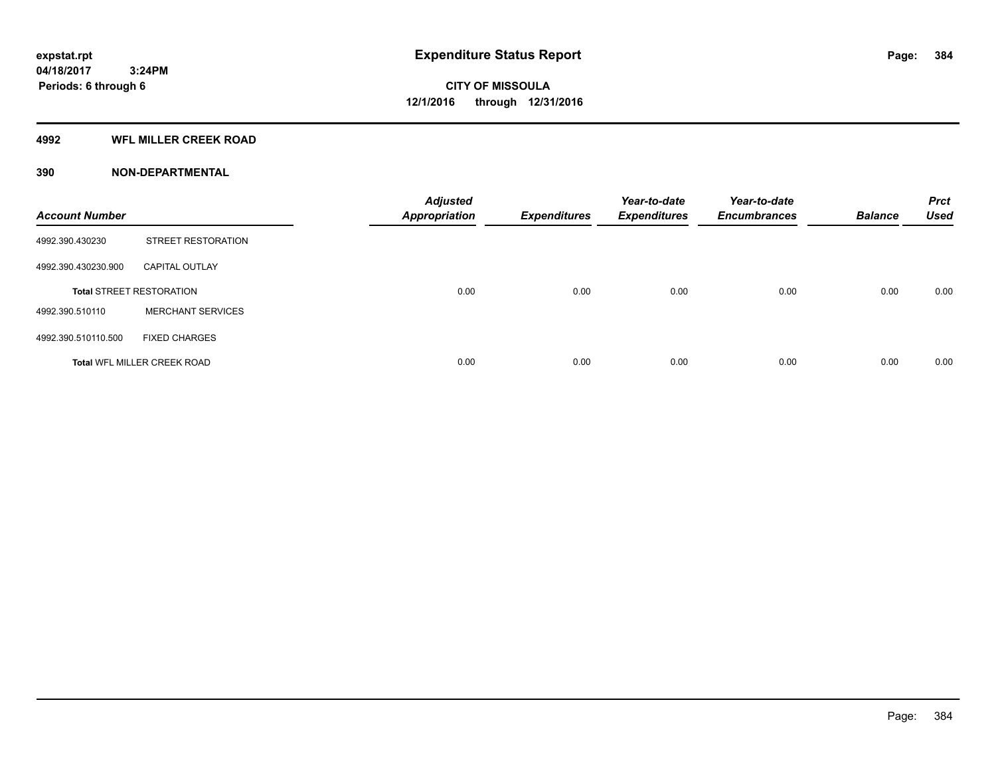#### **4992 WFL MILLER CREEK ROAD**

| <b>Account Number</b> |                                    | <b>Adjusted</b><br><b>Appropriation</b> | <b>Expenditures</b> | Year-to-date<br><b>Expenditures</b> | Year-to-date<br><b>Encumbrances</b> | <b>Balance</b> | <b>Prct</b><br><b>Used</b> |
|-----------------------|------------------------------------|-----------------------------------------|---------------------|-------------------------------------|-------------------------------------|----------------|----------------------------|
| 4992.390.430230       | <b>STREET RESTORATION</b>          |                                         |                     |                                     |                                     |                |                            |
| 4992.390.430230.900   | <b>CAPITAL OUTLAY</b>              |                                         |                     |                                     |                                     |                |                            |
|                       | <b>Total STREET RESTORATION</b>    | 0.00                                    | 0.00                | 0.00                                | 0.00                                | 0.00           | 0.00                       |
| 4992.390.510110       | <b>MERCHANT SERVICES</b>           |                                         |                     |                                     |                                     |                |                            |
| 4992.390.510110.500   | <b>FIXED CHARGES</b>               |                                         |                     |                                     |                                     |                |                            |
|                       | <b>Total WFL MILLER CREEK ROAD</b> | 0.00                                    | 0.00                | 0.00                                | 0.00                                | 0.00           | 0.00                       |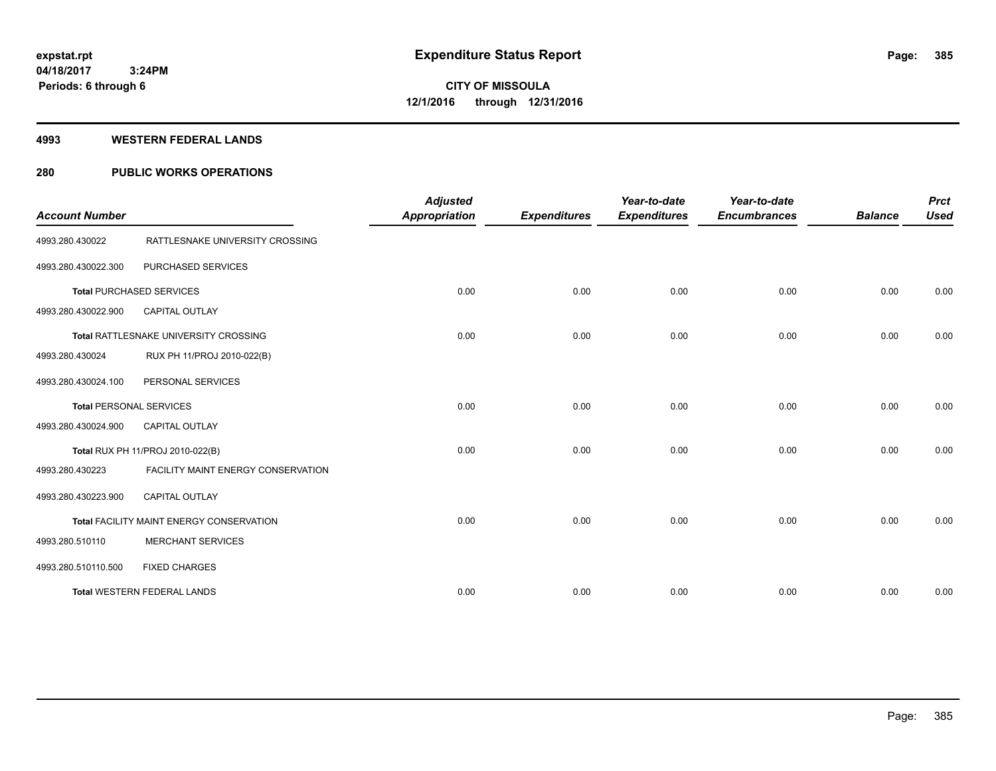#### **4993 WESTERN FEDERAL LANDS**

### **280 PUBLIC WORKS OPERATIONS**

| <b>Account Number</b>          |                                          | <b>Adjusted</b><br><b>Appropriation</b> | <b>Expenditures</b> | Year-to-date<br><b>Expenditures</b> | Year-to-date<br><b>Encumbrances</b> | <b>Balance</b> | <b>Prct</b><br><b>Used</b> |
|--------------------------------|------------------------------------------|-----------------------------------------|---------------------|-------------------------------------|-------------------------------------|----------------|----------------------------|
| 4993.280.430022                | RATTLESNAKE UNIVERSITY CROSSING          |                                         |                     |                                     |                                     |                |                            |
| 4993.280.430022.300            | PURCHASED SERVICES                       |                                         |                     |                                     |                                     |                |                            |
|                                | <b>Total PURCHASED SERVICES</b>          | 0.00                                    | 0.00                | 0.00                                | 0.00                                | 0.00           | 0.00                       |
| 4993.280.430022.900            | <b>CAPITAL OUTLAY</b>                    |                                         |                     |                                     |                                     |                |                            |
|                                | Total RATTLESNAKE UNIVERSITY CROSSING    | 0.00                                    | 0.00                | 0.00                                | 0.00                                | 0.00           | 0.00                       |
| 4993.280.430024                | RUX PH 11/PROJ 2010-022(B)               |                                         |                     |                                     |                                     |                |                            |
| 4993.280.430024.100            | PERSONAL SERVICES                        |                                         |                     |                                     |                                     |                |                            |
| <b>Total PERSONAL SERVICES</b> |                                          | 0.00                                    | 0.00                | 0.00                                | 0.00                                | 0.00           | 0.00                       |
| 4993.280.430024.900            | <b>CAPITAL OUTLAY</b>                    |                                         |                     |                                     |                                     |                |                            |
|                                | Total RUX PH 11/PROJ 2010-022(B)         | 0.00                                    | 0.00                | 0.00                                | 0.00                                | 0.00           | 0.00                       |
| 4993.280.430223                | FACILITY MAINT ENERGY CONSERVATION       |                                         |                     |                                     |                                     |                |                            |
| 4993.280.430223.900            | <b>CAPITAL OUTLAY</b>                    |                                         |                     |                                     |                                     |                |                            |
|                                | Total FACILITY MAINT ENERGY CONSERVATION | 0.00                                    | 0.00                | 0.00                                | 0.00                                | 0.00           | 0.00                       |
| 4993.280.510110                | <b>MERCHANT SERVICES</b>                 |                                         |                     |                                     |                                     |                |                            |
| 4993.280.510110.500            | <b>FIXED CHARGES</b>                     |                                         |                     |                                     |                                     |                |                            |
|                                | <b>Total WESTERN FEDERAL LANDS</b>       | 0.00                                    | 0.00                | 0.00                                | 0.00                                | 0.00           | 0.00                       |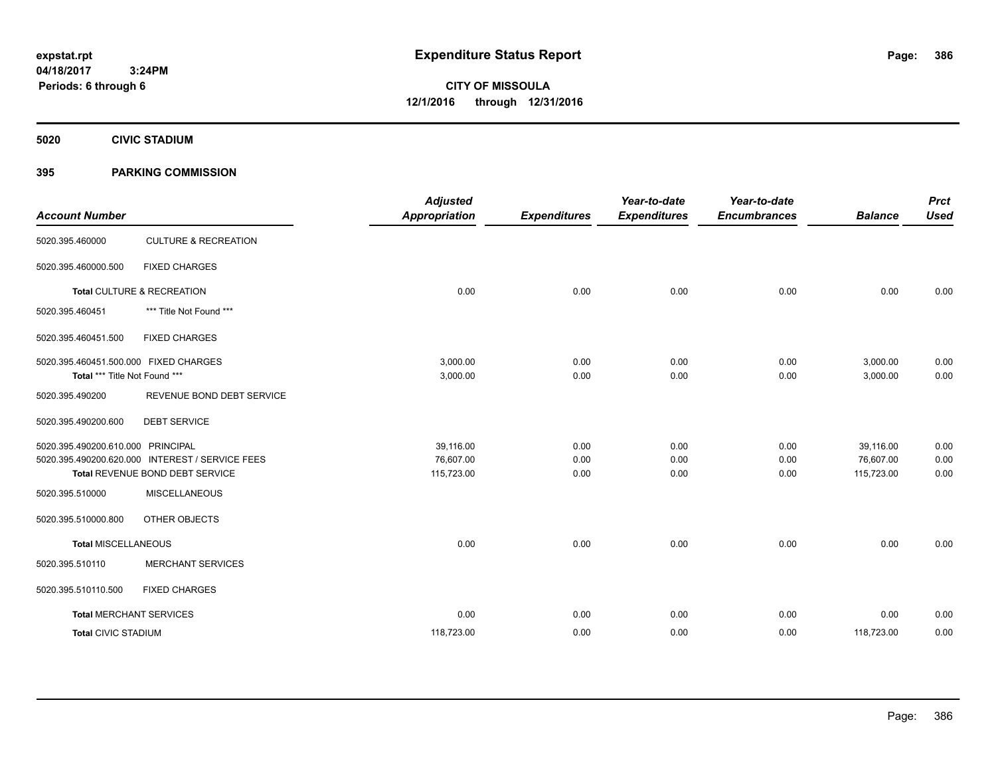**CITY OF MISSOULA 12/1/2016 through 12/31/2016**

**5020 CIVIC STADIUM**

### **395 PARKING COMMISSION**

| <b>Account Number</b>                                                  |                                                                                    | <b>Adjusted</b><br><b>Appropriation</b> | <b>Expenditures</b>  | Year-to-date<br><b>Expenditures</b> | Year-to-date<br><b>Encumbrances</b> | <b>Balance</b>                       | <b>Prct</b><br><b>Used</b> |
|------------------------------------------------------------------------|------------------------------------------------------------------------------------|-----------------------------------------|----------------------|-------------------------------------|-------------------------------------|--------------------------------------|----------------------------|
| 5020.395.460000                                                        | <b>CULTURE &amp; RECREATION</b>                                                    |                                         |                      |                                     |                                     |                                      |                            |
| 5020.395.460000.500                                                    | <b>FIXED CHARGES</b>                                                               |                                         |                      |                                     |                                     |                                      |                            |
|                                                                        | Total CULTURE & RECREATION                                                         | 0.00                                    | 0.00                 | 0.00                                | 0.00                                | 0.00                                 | 0.00                       |
| 5020.395.460451                                                        | *** Title Not Found ***                                                            |                                         |                      |                                     |                                     |                                      |                            |
| 5020.395.460451.500                                                    | <b>FIXED CHARGES</b>                                                               |                                         |                      |                                     |                                     |                                      |                            |
| 5020.395.460451.500.000 FIXED CHARGES<br>Total *** Title Not Found *** |                                                                                    | 3,000.00<br>3,000.00                    | 0.00<br>0.00         | 0.00<br>0.00                        | 0.00<br>0.00                        | 3,000.00<br>3,000.00                 | 0.00<br>0.00               |
| 5020.395.490200                                                        | REVENUE BOND DEBT SERVICE                                                          |                                         |                      |                                     |                                     |                                      |                            |
| 5020.395.490200.600                                                    | <b>DEBT SERVICE</b>                                                                |                                         |                      |                                     |                                     |                                      |                            |
| 5020.395.490200.610.000 PRINCIPAL                                      | 5020.395.490200.620.000 INTEREST / SERVICE FEES<br>Total REVENUE BOND DEBT SERVICE | 39.116.00<br>76,607.00<br>115,723.00    | 0.00<br>0.00<br>0.00 | 0.00<br>0.00<br>0.00                | 0.00<br>0.00<br>0.00                | 39,116.00<br>76,607.00<br>115,723.00 | 0.00<br>0.00<br>0.00       |
| 5020.395.510000                                                        | <b>MISCELLANEOUS</b>                                                               |                                         |                      |                                     |                                     |                                      |                            |
| 5020.395.510000.800                                                    | OTHER OBJECTS                                                                      |                                         |                      |                                     |                                     |                                      |                            |
| <b>Total MISCELLANEOUS</b>                                             |                                                                                    | 0.00                                    | 0.00                 | 0.00                                | 0.00                                | 0.00                                 | 0.00                       |
| 5020.395.510110                                                        | <b>MERCHANT SERVICES</b>                                                           |                                         |                      |                                     |                                     |                                      |                            |
| 5020.395.510110.500                                                    | <b>FIXED CHARGES</b>                                                               |                                         |                      |                                     |                                     |                                      |                            |
| <b>Total MERCHANT SERVICES</b>                                         |                                                                                    | 0.00                                    | 0.00                 | 0.00                                | 0.00                                | 0.00                                 | 0.00                       |
| <b>Total CIVIC STADIUM</b>                                             |                                                                                    | 118,723.00                              | 0.00                 | 0.00                                | 0.00                                | 118,723.00                           | 0.00                       |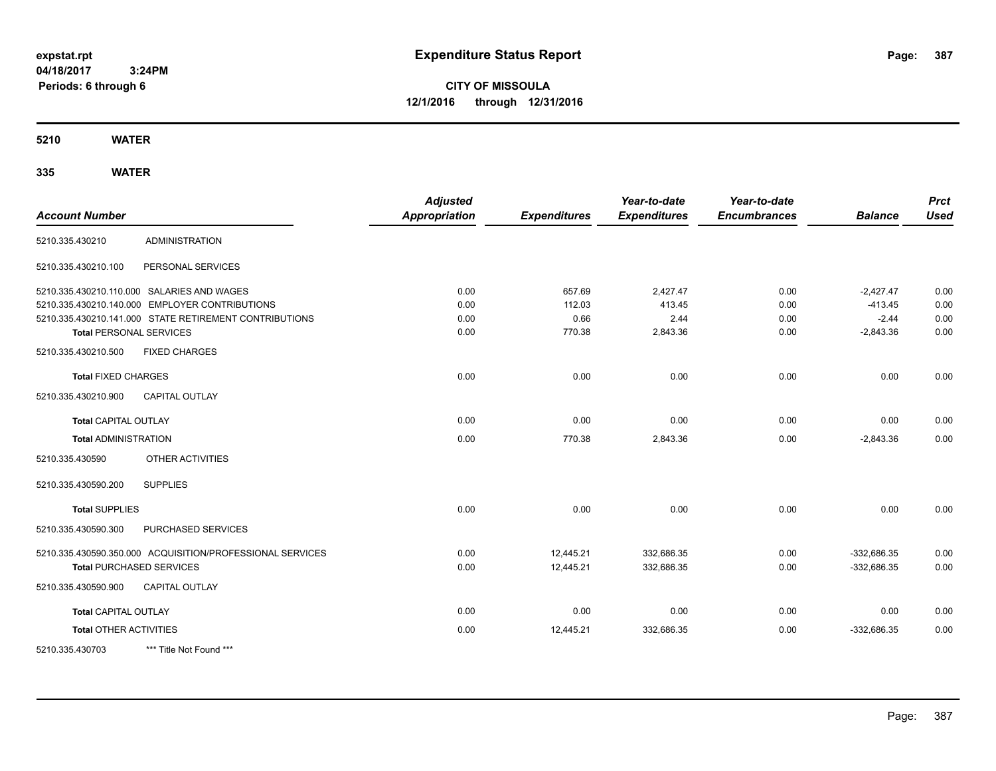**CITY OF MISSOULA 12/1/2016 through 12/31/2016**

**5210 WATER**

| <b>Account Number</b>           |                                                           | <b>Adjusted</b><br><b>Appropriation</b> | <b>Expenditures</b> | Year-to-date<br><b>Expenditures</b> | Year-to-date<br><b>Encumbrances</b> | <b>Balance</b> | <b>Prct</b><br><b>Used</b> |
|---------------------------------|-----------------------------------------------------------|-----------------------------------------|---------------------|-------------------------------------|-------------------------------------|----------------|----------------------------|
| 5210.335.430210                 | <b>ADMINISTRATION</b>                                     |                                         |                     |                                     |                                     |                |                            |
| 5210.335.430210.100             | PERSONAL SERVICES                                         |                                         |                     |                                     |                                     |                |                            |
|                                 | 5210.335.430210.110.000 SALARIES AND WAGES                | 0.00                                    | 657.69              | 2,427.47                            | 0.00                                | $-2,427.47$    | 0.00                       |
|                                 | 5210.335.430210.140.000 EMPLOYER CONTRIBUTIONS            | 0.00                                    | 112.03              | 413.45                              | 0.00                                | $-413.45$      | 0.00                       |
|                                 | 5210.335.430210.141.000 STATE RETIREMENT CONTRIBUTIONS    | 0.00                                    | 0.66                | 2.44                                | 0.00                                | $-2.44$        | 0.00                       |
| <b>Total PERSONAL SERVICES</b>  |                                                           | 0.00                                    | 770.38              | 2,843.36                            | 0.00                                | $-2,843.36$    | 0.00                       |
| 5210.335.430210.500             | <b>FIXED CHARGES</b>                                      |                                         |                     |                                     |                                     |                |                            |
| <b>Total FIXED CHARGES</b>      |                                                           | 0.00                                    | 0.00                | 0.00                                | 0.00                                | 0.00           | 0.00                       |
| 5210.335.430210.900             | <b>CAPITAL OUTLAY</b>                                     |                                         |                     |                                     |                                     |                |                            |
| <b>Total CAPITAL OUTLAY</b>     |                                                           | 0.00                                    | 0.00                | 0.00                                | 0.00                                | 0.00           | 0.00                       |
| <b>Total ADMINISTRATION</b>     |                                                           | 0.00                                    | 770.38              | 2,843.36                            | 0.00                                | $-2,843.36$    | 0.00                       |
| 5210.335.430590                 | OTHER ACTIVITIES                                          |                                         |                     |                                     |                                     |                |                            |
| 5210.335.430590.200             | <b>SUPPLIES</b>                                           |                                         |                     |                                     |                                     |                |                            |
| <b>Total SUPPLIES</b>           |                                                           | 0.00                                    | 0.00                | 0.00                                | 0.00                                | 0.00           | 0.00                       |
| 5210.335.430590.300             | <b>PURCHASED SERVICES</b>                                 |                                         |                     |                                     |                                     |                |                            |
|                                 | 5210.335.430590.350.000 ACQUISITION/PROFESSIONAL SERVICES | 0.00                                    | 12,445.21           | 332,686.35                          | 0.00                                | -332.686.35    | 0.00                       |
| <b>Total PURCHASED SERVICES</b> |                                                           | 0.00                                    | 12,445.21           | 332,686.35                          | 0.00                                | $-332,686.35$  | 0.00                       |
| 5210.335.430590.900             | CAPITAL OUTLAY                                            |                                         |                     |                                     |                                     |                |                            |
| <b>Total CAPITAL OUTLAY</b>     |                                                           | 0.00                                    | 0.00                | 0.00                                | 0.00                                | 0.00           | 0.00                       |
| <b>Total OTHER ACTIVITIES</b>   |                                                           | 0.00                                    | 12,445.21           | 332,686.35                          | 0.00                                | $-332,686.35$  | 0.00                       |
| 5210.335.430703                 | *** Title Not Found ***                                   |                                         |                     |                                     |                                     |                |                            |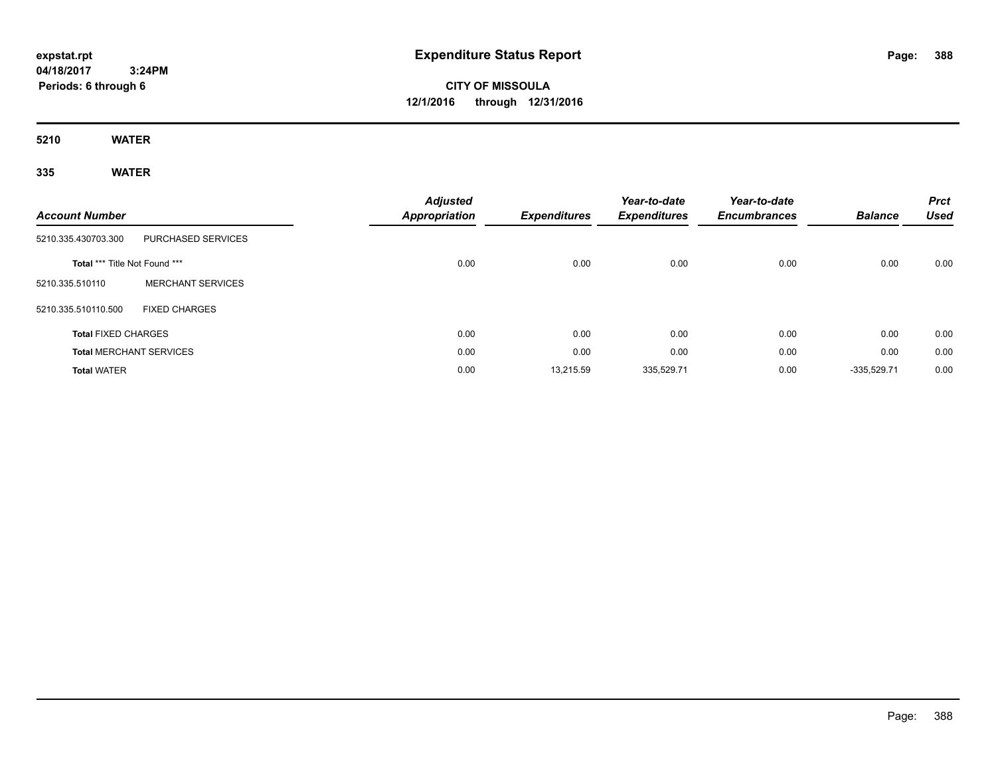# **CITY OF MISSOULA 12/1/2016 through 12/31/2016**

**5210 WATER**

| <b>Account Number</b>          |                           | <b>Adjusted</b><br>Appropriation | <b>Expenditures</b> | Year-to-date<br><b>Expenditures</b> | Year-to-date<br><b>Encumbrances</b> | <b>Balance</b> | <b>Prct</b><br><b>Used</b> |
|--------------------------------|---------------------------|----------------------------------|---------------------|-------------------------------------|-------------------------------------|----------------|----------------------------|
| 5210.335.430703.300            | <b>PURCHASED SERVICES</b> |                                  |                     |                                     |                                     |                |                            |
| Total *** Title Not Found ***  |                           | 0.00                             | 0.00                | 0.00                                | 0.00                                | 0.00           | 0.00                       |
| 5210.335.510110                | <b>MERCHANT SERVICES</b>  |                                  |                     |                                     |                                     |                |                            |
| 5210.335.510110.500            | <b>FIXED CHARGES</b>      |                                  |                     |                                     |                                     |                |                            |
| <b>Total FIXED CHARGES</b>     |                           | 0.00                             | 0.00                | 0.00                                | 0.00                                | 0.00           | 0.00                       |
| <b>Total MERCHANT SERVICES</b> |                           | 0.00                             | 0.00                | 0.00                                | 0.00                                | 0.00           | 0.00                       |
| <b>Total WATER</b>             |                           | 0.00                             | 13,215.59           | 335,529.71                          | 0.00                                | $-335,529.71$  | 0.00                       |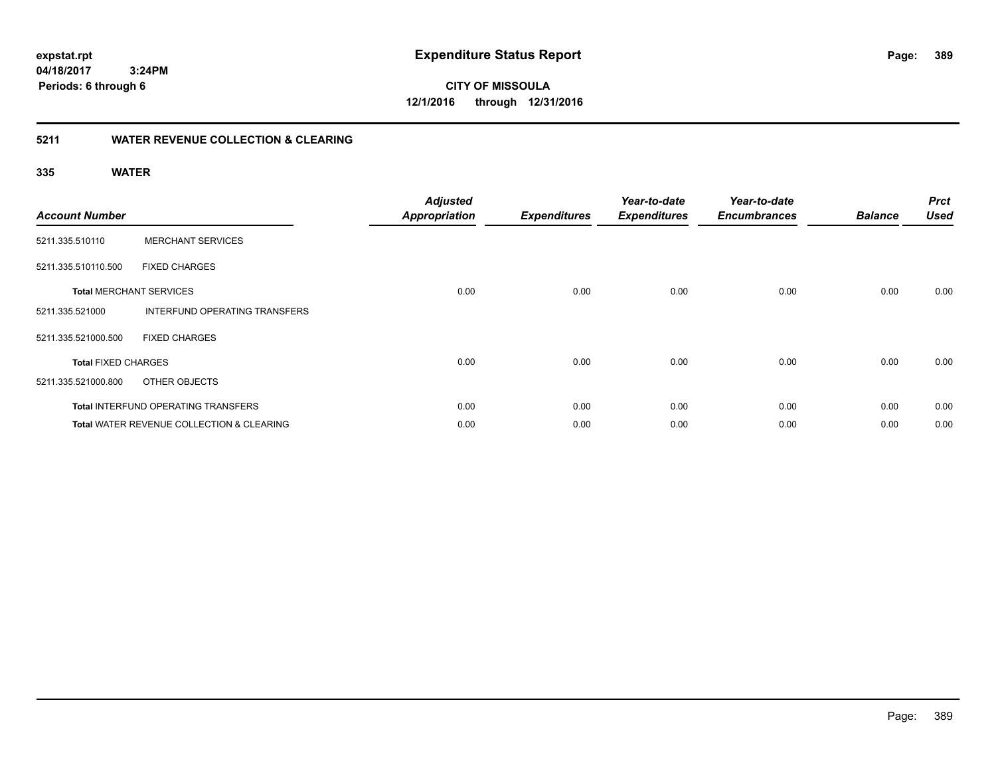**CITY OF MISSOULA 12/1/2016 through 12/31/2016**

### **5211 WATER REVENUE COLLECTION & CLEARING**

| <b>Account Number</b>      |                                                      | <b>Adjusted</b><br><b>Appropriation</b> | <b>Expenditures</b> | Year-to-date<br><b>Expenditures</b> | Year-to-date<br><b>Encumbrances</b> | <b>Balance</b> | <b>Prct</b><br><b>Used</b> |
|----------------------------|------------------------------------------------------|-----------------------------------------|---------------------|-------------------------------------|-------------------------------------|----------------|----------------------------|
| 5211.335.510110            | <b>MERCHANT SERVICES</b>                             |                                         |                     |                                     |                                     |                |                            |
| 5211.335.510110.500        | <b>FIXED CHARGES</b>                                 |                                         |                     |                                     |                                     |                |                            |
|                            | <b>Total MERCHANT SERVICES</b>                       | 0.00                                    | 0.00                | 0.00                                | 0.00                                | 0.00           | 0.00                       |
| 5211.335.521000            | INTERFUND OPERATING TRANSFERS                        |                                         |                     |                                     |                                     |                |                            |
| 5211.335.521000.500        | <b>FIXED CHARGES</b>                                 |                                         |                     |                                     |                                     |                |                            |
| <b>Total FIXED CHARGES</b> |                                                      | 0.00                                    | 0.00                | 0.00                                | 0.00                                | 0.00           | 0.00                       |
| 5211.335.521000.800        | OTHER OBJECTS                                        |                                         |                     |                                     |                                     |                |                            |
|                            | Total INTERFUND OPERATING TRANSFERS                  | 0.00                                    | 0.00                | 0.00                                | 0.00                                | 0.00           | 0.00                       |
|                            | <b>Total WATER REVENUE COLLECTION &amp; CLEARING</b> | 0.00                                    | 0.00                | 0.00                                | 0.00                                | 0.00           | 0.00                       |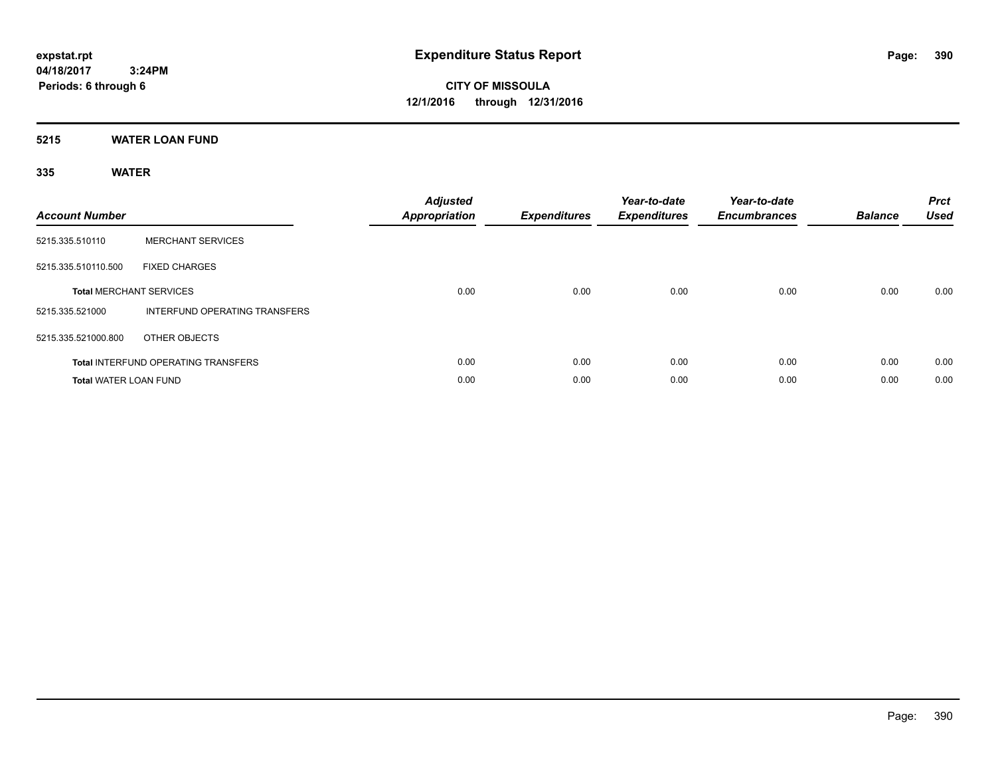**CITY OF MISSOULA 12/1/2016 through 12/31/2016**

**5215 WATER LOAN FUND**

| <b>Account Number</b>        |                                            | <b>Adjusted</b><br>Appropriation | <b>Expenditures</b> | Year-to-date<br><b>Expenditures</b> | Year-to-date<br><b>Encumbrances</b> | <b>Balance</b> | <b>Prct</b><br><b>Used</b> |
|------------------------------|--------------------------------------------|----------------------------------|---------------------|-------------------------------------|-------------------------------------|----------------|----------------------------|
| 5215.335.510110              | <b>MERCHANT SERVICES</b>                   |                                  |                     |                                     |                                     |                |                            |
| 5215.335.510110.500          | <b>FIXED CHARGES</b>                       |                                  |                     |                                     |                                     |                |                            |
|                              | <b>Total MERCHANT SERVICES</b>             | 0.00                             | 0.00                | 0.00                                | 0.00                                | 0.00           | 0.00                       |
| 5215.335.521000              | INTERFUND OPERATING TRANSFERS              |                                  |                     |                                     |                                     |                |                            |
| 5215.335.521000.800          | OTHER OBJECTS                              |                                  |                     |                                     |                                     |                |                            |
|                              | <b>Total INTERFUND OPERATING TRANSFERS</b> | 0.00                             | 0.00                | 0.00                                | 0.00                                | 0.00           | 0.00                       |
| <b>Total WATER LOAN FUND</b> |                                            | 0.00                             | 0.00                | 0.00                                | 0.00                                | 0.00           | 0.00                       |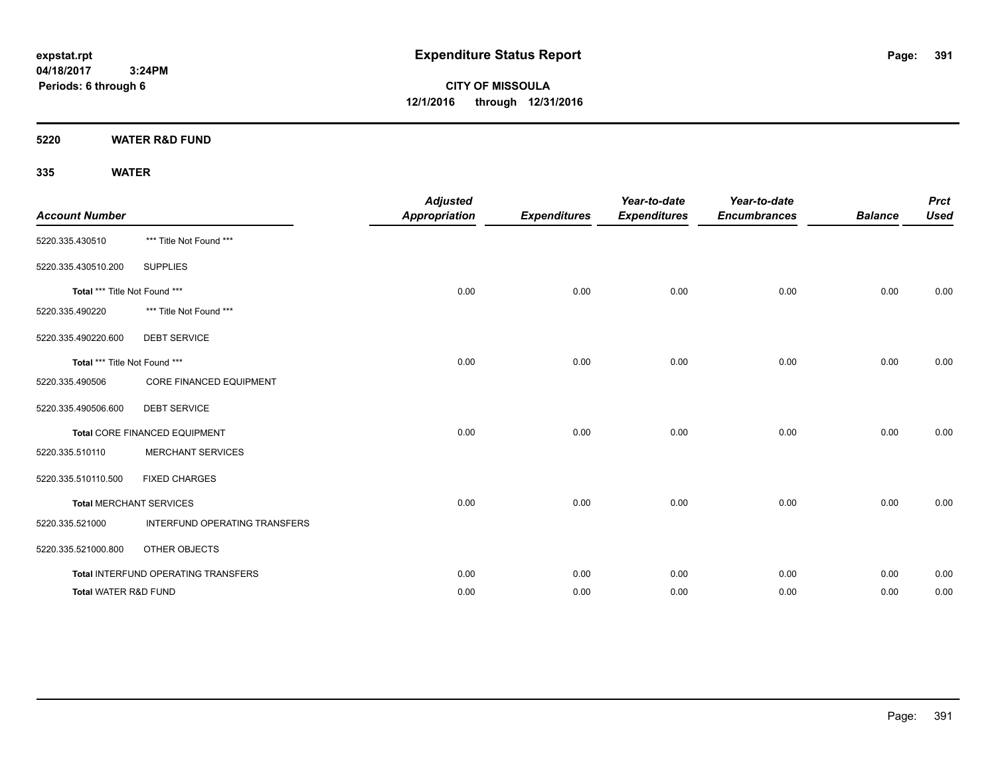**CITY OF MISSOULA 12/1/2016 through 12/31/2016**

**5220 WATER R&D FUND**

| <b>Account Number</b>           |                                     | <b>Adjusted</b><br><b>Appropriation</b> | <b>Expenditures</b> | Year-to-date<br><b>Expenditures</b> | Year-to-date<br><b>Encumbrances</b> | <b>Balance</b> | <b>Prct</b><br><b>Used</b> |
|---------------------------------|-------------------------------------|-----------------------------------------|---------------------|-------------------------------------|-------------------------------------|----------------|----------------------------|
| 5220.335.430510                 | *** Title Not Found ***             |                                         |                     |                                     |                                     |                |                            |
| 5220.335.430510.200             | <b>SUPPLIES</b>                     |                                         |                     |                                     |                                     |                |                            |
| Total *** Title Not Found ***   |                                     | 0.00                                    | 0.00                | 0.00                                | 0.00                                | 0.00           | 0.00                       |
| 5220.335.490220                 | *** Title Not Found ***             |                                         |                     |                                     |                                     |                |                            |
| 5220.335.490220.600             | <b>DEBT SERVICE</b>                 |                                         |                     |                                     |                                     |                |                            |
| Total *** Title Not Found ***   |                                     | 0.00                                    | 0.00                | 0.00                                | 0.00                                | 0.00           | 0.00                       |
| 5220.335.490506                 | CORE FINANCED EQUIPMENT             |                                         |                     |                                     |                                     |                |                            |
| 5220.335.490506.600             | <b>DEBT SERVICE</b>                 |                                         |                     |                                     |                                     |                |                            |
|                                 | Total CORE FINANCED EQUIPMENT       | 0.00                                    | 0.00                | 0.00                                | 0.00                                | 0.00           | 0.00                       |
| 5220.335.510110                 | <b>MERCHANT SERVICES</b>            |                                         |                     |                                     |                                     |                |                            |
| 5220.335.510110.500             | <b>FIXED CHARGES</b>                |                                         |                     |                                     |                                     |                |                            |
|                                 | <b>Total MERCHANT SERVICES</b>      | 0.00                                    | 0.00                | 0.00                                | 0.00                                | 0.00           | 0.00                       |
| 5220.335.521000                 | INTERFUND OPERATING TRANSFERS       |                                         |                     |                                     |                                     |                |                            |
| 5220.335.521000.800             | OTHER OBJECTS                       |                                         |                     |                                     |                                     |                |                            |
|                                 | Total INTERFUND OPERATING TRANSFERS | 0.00                                    | 0.00                | 0.00                                | 0.00                                | 0.00           | 0.00                       |
| <b>Total WATER R&amp;D FUND</b> |                                     | 0.00                                    | 0.00                | 0.00                                | 0.00                                | 0.00           | 0.00                       |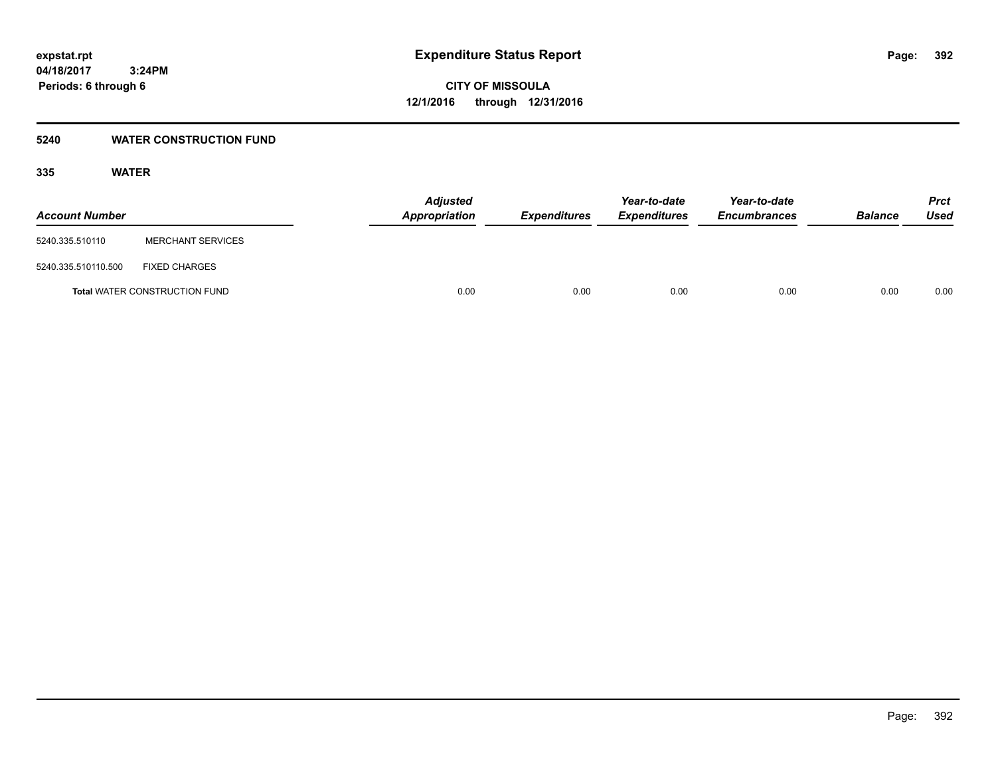### **5240 WATER CONSTRUCTION FUND**

| <b>Account Number</b> |                                      | <b>Adjusted</b><br>Appropriation | <i><b>Expenditures</b></i> | Year-to-date<br><i><b>Expenditures</b></i> | Year-to-date<br><b>Encumbrances</b> | <b>Balance</b> | <b>Prct</b><br>Used |
|-----------------------|--------------------------------------|----------------------------------|----------------------------|--------------------------------------------|-------------------------------------|----------------|---------------------|
| 5240.335.510110       | <b>MERCHANT SERVICES</b>             |                                  |                            |                                            |                                     |                |                     |
| 5240.335.510110.500   | <b>FIXED CHARGES</b>                 |                                  |                            |                                            |                                     |                |                     |
|                       | <b>Total WATER CONSTRUCTION FUND</b> | 0.00                             | 0.00                       | 0.00                                       | 0.00                                | 0.00           | 0.00                |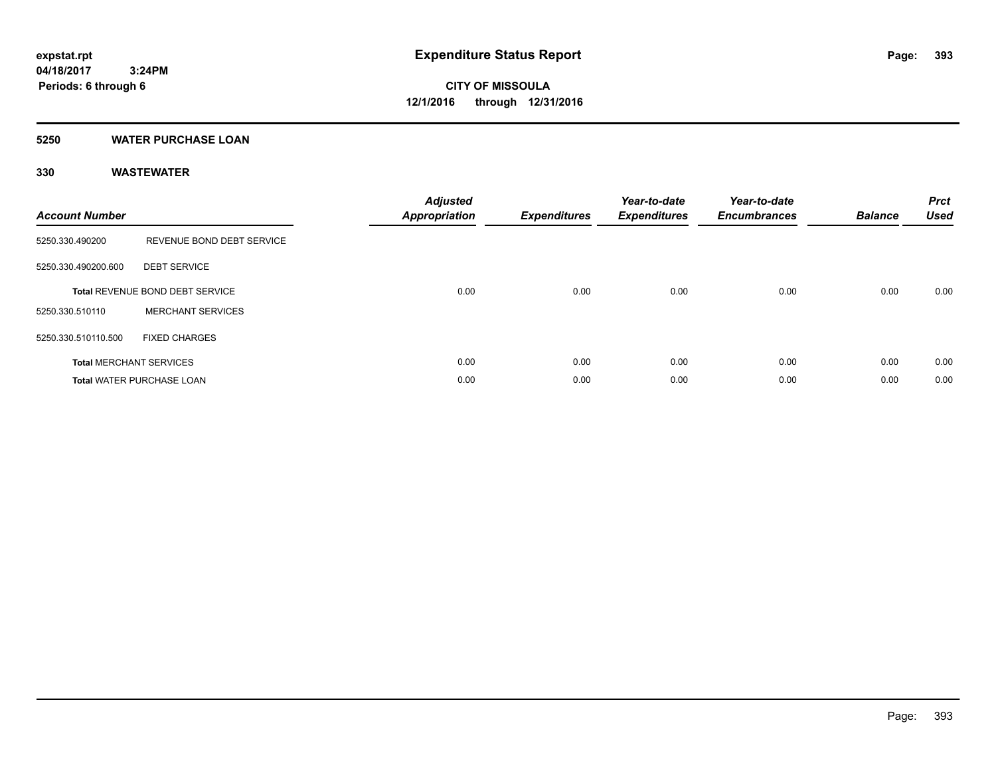#### **5250 WATER PURCHASE LOAN**

| <b>Account Number</b> |                                  | <b>Adjusted</b><br>Appropriation | <b>Expenditures</b> | Year-to-date<br><b>Expenditures</b> | Year-to-date<br><b>Encumbrances</b> | <b>Balance</b> | <b>Prct</b><br><b>Used</b> |
|-----------------------|----------------------------------|----------------------------------|---------------------|-------------------------------------|-------------------------------------|----------------|----------------------------|
| 5250.330.490200       | REVENUE BOND DEBT SERVICE        |                                  |                     |                                     |                                     |                |                            |
| 5250.330.490200.600   | <b>DEBT SERVICE</b>              |                                  |                     |                                     |                                     |                |                            |
|                       | Total REVENUE BOND DEBT SERVICE  | 0.00                             | 0.00                | 0.00                                | 0.00                                | 0.00           | 0.00                       |
| 5250.330.510110       | <b>MERCHANT SERVICES</b>         |                                  |                     |                                     |                                     |                |                            |
| 5250.330.510110.500   | <b>FIXED CHARGES</b>             |                                  |                     |                                     |                                     |                |                            |
|                       | <b>Total MERCHANT SERVICES</b>   | 0.00                             | 0.00                | 0.00                                | 0.00                                | 0.00           | 0.00                       |
|                       | <b>Total WATER PURCHASE LOAN</b> | 0.00                             | 0.00                | 0.00                                | 0.00                                | 0.00           | 0.00                       |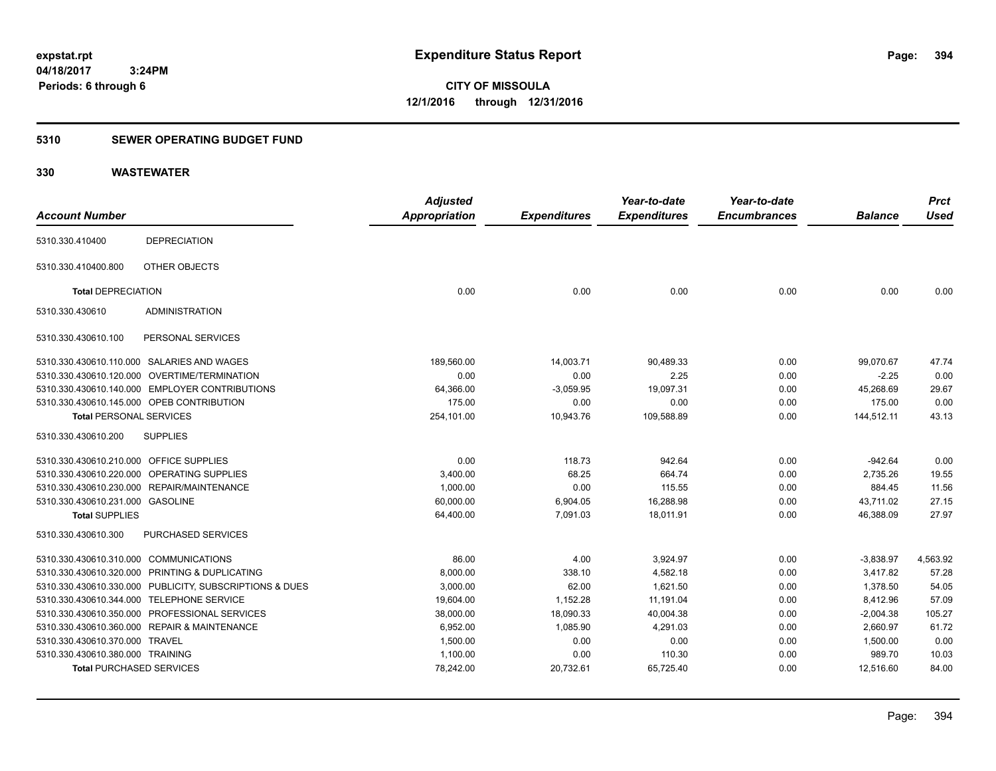### **5310 SEWER OPERATING BUDGET FUND**

| <b>Account Number</b>                                   | <b>Adjusted</b><br>Appropriation | <b>Expenditures</b> | Year-to-date<br><b>Expenditures</b> | Year-to-date<br><b>Encumbrances</b> | <b>Balance</b> | <b>Prct</b><br><b>Used</b> |
|---------------------------------------------------------|----------------------------------|---------------------|-------------------------------------|-------------------------------------|----------------|----------------------------|
| <b>DEPRECIATION</b><br>5310.330.410400                  |                                  |                     |                                     |                                     |                |                            |
| OTHER OBJECTS<br>5310.330.410400.800                    |                                  |                     |                                     |                                     |                |                            |
| <b>Total DEPRECIATION</b>                               | 0.00                             | 0.00                | 0.00                                | 0.00                                | 0.00           | 0.00                       |
| <b>ADMINISTRATION</b><br>5310.330.430610                |                                  |                     |                                     |                                     |                |                            |
| PERSONAL SERVICES<br>5310.330.430610.100                |                                  |                     |                                     |                                     |                |                            |
| 5310.330.430610.110.000 SALARIES AND WAGES              | 189,560.00                       | 14,003.71           | 90,489.33                           | 0.00                                | 99,070.67      | 47.74                      |
| 5310.330.430610.120.000 OVERTIME/TERMINATION            | 0.00                             | 0.00                | 2.25                                | 0.00                                | $-2.25$        | 0.00                       |
| 5310.330.430610.140.000 EMPLOYER CONTRIBUTIONS          | 64,366.00                        | $-3,059.95$         | 19,097.31                           | 0.00                                | 45,268.69      | 29.67                      |
| 5310.330.430610.145.000 OPEB CONTRIBUTION               | 175.00                           | 0.00                | 0.00                                | 0.00                                | 175.00         | 0.00                       |
| <b>Total PERSONAL SERVICES</b>                          | 254,101.00                       | 10,943.76           | 109,588.89                          | 0.00                                | 144,512.11     | 43.13                      |
| 5310.330.430610.200<br><b>SUPPLIES</b>                  |                                  |                     |                                     |                                     |                |                            |
| 5310.330.430610.210.000 OFFICE SUPPLIES                 | 0.00                             | 118.73              | 942.64                              | 0.00                                | $-942.64$      | 0.00                       |
| 5310.330.430610.220.000 OPERATING SUPPLIES              | 3,400.00                         | 68.25               | 664.74                              | 0.00                                | 2,735.26       | 19.55                      |
| 5310.330.430610.230.000 REPAIR/MAINTENANCE              | 1,000.00                         | 0.00                | 115.55                              | 0.00                                | 884.45         | 11.56                      |
| 5310.330.430610.231.000 GASOLINE                        | 60,000.00                        | 6,904.05            | 16,288.98                           | 0.00                                | 43,711.02      | 27.15                      |
| <b>Total SUPPLIES</b>                                   | 64,400.00                        | 7,091.03            | 18,011.91                           | 0.00                                | 46.388.09      | 27.97                      |
| PURCHASED SERVICES<br>5310.330.430610.300               |                                  |                     |                                     |                                     |                |                            |
| 5310.330.430610.310.000 COMMUNICATIONS                  | 86.00                            | 4.00                | 3,924.97                            | 0.00                                | $-3,838.97$    | 4,563.92                   |
| 5310.330.430610.320.000 PRINTING & DUPLICATING          | 8,000.00                         | 338.10              | 4.582.18                            | 0.00                                | 3.417.82       | 57.28                      |
| 5310.330.430610.330.000 PUBLICITY, SUBSCRIPTIONS & DUES | 3,000.00                         | 62.00               | 1,621.50                            | 0.00                                | 1,378.50       | 54.05                      |
| 5310.330.430610.344.000 TELEPHONE SERVICE               | 19,604.00                        | 1,152.28            | 11,191.04                           | 0.00                                | 8,412.96       | 57.09                      |
| PROFESSIONAL SERVICES<br>5310.330.430610.350.000        | 38,000.00                        | 18,090.33           | 40.004.38                           | 0.00                                | $-2,004.38$    | 105.27                     |
| 5310.330.430610.360.000 REPAIR & MAINTENANCE            | 6,952.00                         | 1,085.90            | 4,291.03                            | 0.00                                | 2,660.97       | 61.72                      |
| 5310.330.430610.370.000 TRAVEL                          | 1,500.00                         | 0.00                | 0.00                                | 0.00                                | 1,500.00       | 0.00                       |
| 5310.330.430610.380.000 TRAINING                        | 1,100.00                         | 0.00                | 110.30                              | 0.00                                | 989.70         | 10.03                      |
| <b>Total PURCHASED SERVICES</b>                         | 78,242.00                        | 20,732.61           | 65,725.40                           | 0.00                                | 12,516.60      | 84.00                      |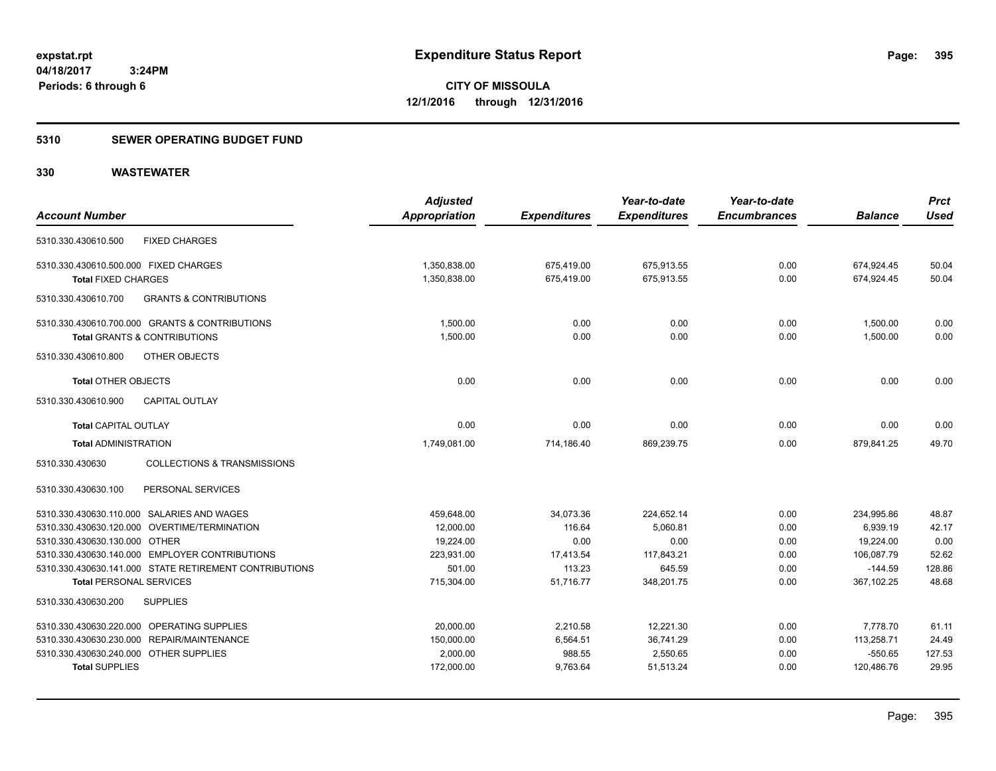### **5310 SEWER OPERATING BUDGET FUND**

|                                                          | <b>Adjusted</b> |                     | Year-to-date        | Year-to-date        |                | <b>Prct</b> |
|----------------------------------------------------------|-----------------|---------------------|---------------------|---------------------|----------------|-------------|
| <b>Account Number</b>                                    | Appropriation   | <b>Expenditures</b> | <b>Expenditures</b> | <b>Encumbrances</b> | <b>Balance</b> | <b>Used</b> |
| <b>FIXED CHARGES</b><br>5310.330.430610.500              |                 |                     |                     |                     |                |             |
| 5310.330.430610.500.000 FIXED CHARGES                    | 1,350,838.00    | 675,419.00          | 675,913.55          | 0.00                | 674,924.45     | 50.04       |
| <b>Total FIXED CHARGES</b>                               | 1,350,838.00    | 675,419.00          | 675,913.55          | 0.00                | 674,924.45     | 50.04       |
| <b>GRANTS &amp; CONTRIBUTIONS</b><br>5310.330.430610.700 |                 |                     |                     |                     |                |             |
| 5310.330.430610.700.000 GRANTS & CONTRIBUTIONS           | 1,500.00        | 0.00                | 0.00                | 0.00                | 1,500.00       | 0.00        |
| <b>Total GRANTS &amp; CONTRIBUTIONS</b>                  | 1,500.00        | 0.00                | 0.00                | 0.00                | 1,500.00       | 0.00        |
| 5310.330.430610.800<br>OTHER OBJECTS                     |                 |                     |                     |                     |                |             |
| <b>Total OTHER OBJECTS</b>                               | 0.00            | 0.00                | 0.00                | 0.00                | 0.00           | 0.00        |
| 5310.330.430610.900<br><b>CAPITAL OUTLAY</b>             |                 |                     |                     |                     |                |             |
| <b>Total CAPITAL OUTLAY</b>                              | 0.00            | 0.00                | 0.00                | 0.00                | 0.00           | 0.00        |
| <b>Total ADMINISTRATION</b>                              | 1,749,081.00    | 714,186.40          | 869,239.75          | 0.00                | 879,841.25     | 49.70       |
| COLLECTIONS & TRANSMISSIONS<br>5310.330.430630           |                 |                     |                     |                     |                |             |
| PERSONAL SERVICES<br>5310.330.430630.100                 |                 |                     |                     |                     |                |             |
| 5310.330.430630.110.000 SALARIES AND WAGES               | 459,648.00      | 34,073.36           | 224,652.14          | 0.00                | 234,995.86     | 48.87       |
| 5310.330.430630.120.000 OVERTIME/TERMINATION             | 12,000.00       | 116.64              | 5,060.81            | 0.00                | 6,939.19       | 42.17       |
| 5310.330.430630.130.000 OTHER                            | 19,224.00       | 0.00                | 0.00                | 0.00                | 19,224.00      | 0.00        |
| 5310.330.430630.140.000 EMPLOYER CONTRIBUTIONS           | 223,931.00      | 17,413.54           | 117,843.21          | 0.00                | 106,087.79     | 52.62       |
| 5310.330.430630.141.000 STATE RETIREMENT CONTRIBUTIONS   | 501.00          | 113.23              | 645.59              | 0.00                | $-144.59$      | 128.86      |
| <b>Total PERSONAL SERVICES</b>                           | 715,304.00      | 51,716.77           | 348,201.75          | 0.00                | 367,102.25     | 48.68       |
| <b>SUPPLIES</b><br>5310.330.430630.200                   |                 |                     |                     |                     |                |             |
| 5310.330.430630.220.000 OPERATING SUPPLIES               | 20,000.00       | 2,210.58            | 12,221.30           | 0.00                | 7,778.70       | 61.11       |
| 5310.330.430630.230.000 REPAIR/MAINTENANCE               | 150,000.00      | 6,564.51            | 36,741.29           | 0.00                | 113,258.71     | 24.49       |
| 5310.330.430630.240.000 OTHER SUPPLIES                   | 2,000.00        | 988.55              | 2,550.65            | 0.00                | $-550.65$      | 127.53      |
| <b>Total SUPPLIES</b>                                    | 172,000.00      | 9,763.64            | 51,513.24           | 0.00                | 120,486.76     | 29.95       |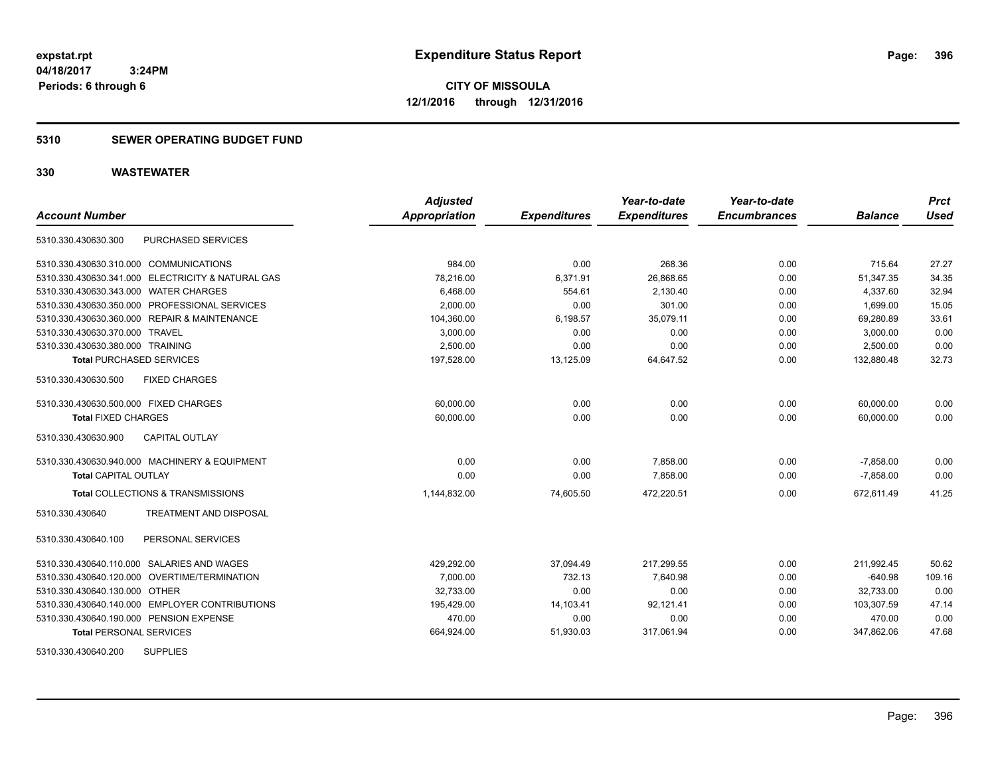**CITY OF MISSOULA 12/1/2016 through 12/31/2016**

### **5310 SEWER OPERATING BUDGET FUND**

| <b>Account Number</b>                      |                                                   | <b>Adjusted</b><br><b>Appropriation</b> | <b>Expenditures</b> | Year-to-date<br><b>Expenditures</b> | Year-to-date<br><b>Encumbrances</b> | <b>Balance</b> | <b>Prct</b><br><b>Used</b> |
|--------------------------------------------|---------------------------------------------------|-----------------------------------------|---------------------|-------------------------------------|-------------------------------------|----------------|----------------------------|
| 5310.330.430630.300                        | PURCHASED SERVICES                                |                                         |                     |                                     |                                     |                |                            |
| 5310.330.430630.310.000 COMMUNICATIONS     |                                                   | 984.00                                  | 0.00                | 268.36                              | 0.00                                | 715.64         | 27.27                      |
|                                            | 5310.330.430630.341.000 ELECTRICITY & NATURAL GAS | 78,216.00                               | 6,371.91            | 26,868.65                           | 0.00                                | 51,347.35      | 34.35                      |
| 5310.330.430630.343.000 WATER CHARGES      |                                                   | 6,468.00                                | 554.61              | 2,130.40                            | 0.00                                | 4,337.60       | 32.94                      |
|                                            | 5310.330.430630.350.000 PROFESSIONAL SERVICES     | 2,000.00                                | 0.00                | 301.00                              | 0.00                                | 1,699.00       | 15.05                      |
|                                            | 5310.330.430630.360.000 REPAIR & MAINTENANCE      | 104,360.00                              | 6,198.57            | 35,079.11                           | 0.00                                | 69,280.89      | 33.61                      |
| 5310.330.430630.370.000 TRAVEL             |                                                   | 3,000.00                                | 0.00                | 0.00                                | 0.00                                | 3,000.00       | 0.00                       |
| 5310.330.430630.380.000 TRAINING           |                                                   | 2,500.00                                | 0.00                | 0.00                                | 0.00                                | 2,500.00       | 0.00                       |
| <b>Total PURCHASED SERVICES</b>            |                                                   | 197,528.00                              | 13,125.09           | 64,647.52                           | 0.00                                | 132,880.48     | 32.73                      |
| 5310.330.430630.500                        | <b>FIXED CHARGES</b>                              |                                         |                     |                                     |                                     |                |                            |
| 5310.330.430630.500.000 FIXED CHARGES      |                                                   | 60,000.00                               | 0.00                | 0.00                                | 0.00                                | 60,000.00      | 0.00                       |
| <b>Total FIXED CHARGES</b>                 |                                                   | 60,000.00                               | 0.00                | 0.00                                | 0.00                                | 60,000.00      | 0.00                       |
| 5310.330.430630.900                        | <b>CAPITAL OUTLAY</b>                             |                                         |                     |                                     |                                     |                |                            |
|                                            | 5310.330.430630.940.000 MACHINERY & EQUIPMENT     | 0.00                                    | 0.00                | 7,858.00                            | 0.00                                | $-7,858.00$    | 0.00                       |
| <b>Total CAPITAL OUTLAY</b>                |                                                   | 0.00                                    | 0.00                | 7,858.00                            | 0.00                                | $-7,858.00$    | 0.00                       |
|                                            | Total COLLECTIONS & TRANSMISSIONS                 | 1,144,832.00                            | 74,605.50           | 472,220.51                          | 0.00                                | 672,611.49     | 41.25                      |
| 5310.330.430640                            | <b>TREATMENT AND DISPOSAL</b>                     |                                         |                     |                                     |                                     |                |                            |
| 5310.330.430640.100                        | PERSONAL SERVICES                                 |                                         |                     |                                     |                                     |                |                            |
| 5310.330.430640.110.000 SALARIES AND WAGES |                                                   | 429,292.00                              | 37,094.49           | 217,299.55                          | 0.00                                | 211,992.45     | 50.62                      |
|                                            | 5310.330.430640.120.000 OVERTIME/TERMINATION      | 7,000.00                                | 732.13              | 7,640.98                            | 0.00                                | $-640.98$      | 109.16                     |
| 5310.330.430640.130.000 OTHER              |                                                   | 32,733.00                               | 0.00                | 0.00                                | 0.00                                | 32,733.00      | 0.00                       |
|                                            | 5310.330.430640.140.000 EMPLOYER CONTRIBUTIONS    | 195,429.00                              | 14,103.41           | 92,121.41                           | 0.00                                | 103,307.59     | 47.14                      |
| 5310.330.430640.190.000 PENSION EXPENSE    |                                                   | 470.00                                  | 0.00                | 0.00                                | 0.00                                | 470.00         | 0.00                       |
| <b>Total PERSONAL SERVICES</b>             |                                                   | 664,924.00                              | 51,930.03           | 317,061.94                          | 0.00                                | 347,862.06     | 47.68                      |
| 5310.330.430640.200                        | <b>SUPPLIES</b>                                   |                                         |                     |                                     |                                     |                |                            |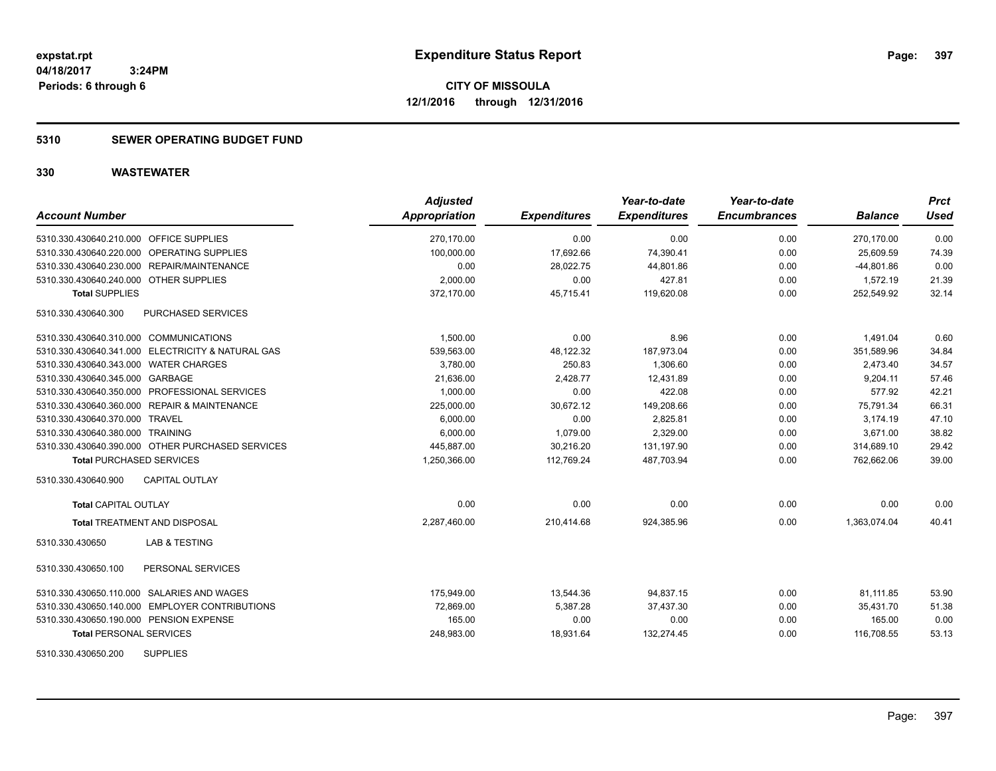**Periods: 6 through 6**

**CITY OF MISSOULA 12/1/2016 through 12/31/2016**

# **5310 SEWER OPERATING BUDGET FUND**

 **3:24PM**

| <b>Account Number</b>                             | <b>Adjusted</b><br>Appropriation | <b>Expenditures</b> | Year-to-date<br><b>Expenditures</b> | Year-to-date<br><b>Encumbrances</b> | <b>Balance</b> | <b>Prct</b><br><b>Used</b> |
|---------------------------------------------------|----------------------------------|---------------------|-------------------------------------|-------------------------------------|----------------|----------------------------|
| 5310.330.430640.210.000 OFFICE SUPPLIES           | 270,170.00                       | 0.00                | 0.00                                | 0.00                                | 270,170.00     | 0.00                       |
| 5310.330.430640.220.000 OPERATING SUPPLIES        | 100.000.00                       | 17,692.66           | 74,390.41                           | 0.00                                | 25.609.59      | 74.39                      |
| 5310.330.430640.230.000 REPAIR/MAINTENANCE        | 0.00                             | 28,022.75           | 44,801.86                           | 0.00                                | $-44,801.86$   | 0.00                       |
| 5310.330.430640.240.000 OTHER SUPPLIES            | 2,000.00                         | 0.00                | 427.81                              | 0.00                                | 1,572.19       | 21.39                      |
| <b>Total SUPPLIES</b>                             | 372,170.00                       | 45,715.41           | 119,620.08                          | 0.00                                | 252,549.92     | 32.14                      |
| 5310.330.430640.300<br>PURCHASED SERVICES         |                                  |                     |                                     |                                     |                |                            |
| 5310.330.430640.310.000 COMMUNICATIONS            | 1,500.00                         | 0.00                | 8.96                                | 0.00                                | 1,491.04       | 0.60                       |
| 5310.330.430640.341.000 ELECTRICITY & NATURAL GAS | 539,563.00                       | 48,122.32           | 187,973.04                          | 0.00                                | 351,589.96     | 34.84                      |
| 5310.330.430640.343.000 WATER CHARGES             | 3,780.00                         | 250.83              | 1,306.60                            | 0.00                                | 2,473.40       | 34.57                      |
| 5310.330.430640.345.000 GARBAGE                   | 21.636.00                        | 2,428.77            | 12.431.89                           | 0.00                                | 9.204.11       | 57.46                      |
| 5310.330.430640.350.000 PROFESSIONAL SERVICES     | 1,000.00                         | 0.00                | 422.08                              | 0.00                                | 577.92         | 42.21                      |
| 5310.330.430640.360.000 REPAIR & MAINTENANCE      | 225,000.00                       | 30,672.12           | 149,208.66                          | 0.00                                | 75,791.34      | 66.31                      |
| 5310.330.430640.370.000 TRAVEL                    | 6,000.00                         | 0.00                | 2,825.81                            | 0.00                                | 3,174.19       | 47.10                      |
| 5310.330.430640.380.000 TRAINING                  | 6,000.00                         | 1,079.00            | 2,329.00                            | 0.00                                | 3,671.00       | 38.82                      |
| 5310.330.430640.390.000 OTHER PURCHASED SERVICES  | 445,887.00                       | 30,216.20           | 131,197.90                          | 0.00                                | 314,689.10     | 29.42                      |
| <b>Total PURCHASED SERVICES</b>                   | 1,250,366.00                     | 112,769.24          | 487,703.94                          | 0.00                                | 762,662.06     | 39.00                      |
| CAPITAL OUTLAY<br>5310.330.430640.900             |                                  |                     |                                     |                                     |                |                            |
| <b>Total CAPITAL OUTLAY</b>                       | 0.00                             | 0.00                | 0.00                                | 0.00                                | 0.00           | 0.00                       |
| <b>Total TREATMENT AND DISPOSAL</b>               | 2,287,460.00                     | 210,414.68          | 924,385.96                          | 0.00                                | 1,363,074.04   | 40.41                      |
| <b>LAB &amp; TESTING</b><br>5310.330.430650       |                                  |                     |                                     |                                     |                |                            |
| 5310.330.430650.100<br>PERSONAL SERVICES          |                                  |                     |                                     |                                     |                |                            |
| 5310.330.430650.110.000 SALARIES AND WAGES        | 175,949.00                       | 13,544.36           | 94,837.15                           | 0.00                                | 81,111.85      | 53.90                      |
| 5310.330.430650.140.000 EMPLOYER CONTRIBUTIONS    | 72,869.00                        | 5,387.28            | 37,437.30                           | 0.00                                | 35,431.70      | 51.38                      |
| 5310.330.430650.190.000 PENSION EXPENSE           | 165.00                           | 0.00                | 0.00                                | 0.00                                | 165.00         | 0.00                       |
| <b>Total PERSONAL SERVICES</b>                    | 248,983.00                       | 18,931.64           | 132,274.45                          | 0.00                                | 116,708.55     | 53.13                      |
| <b>SUPPLIES</b><br>5310.330.430650.200            |                                  |                     |                                     |                                     |                |                            |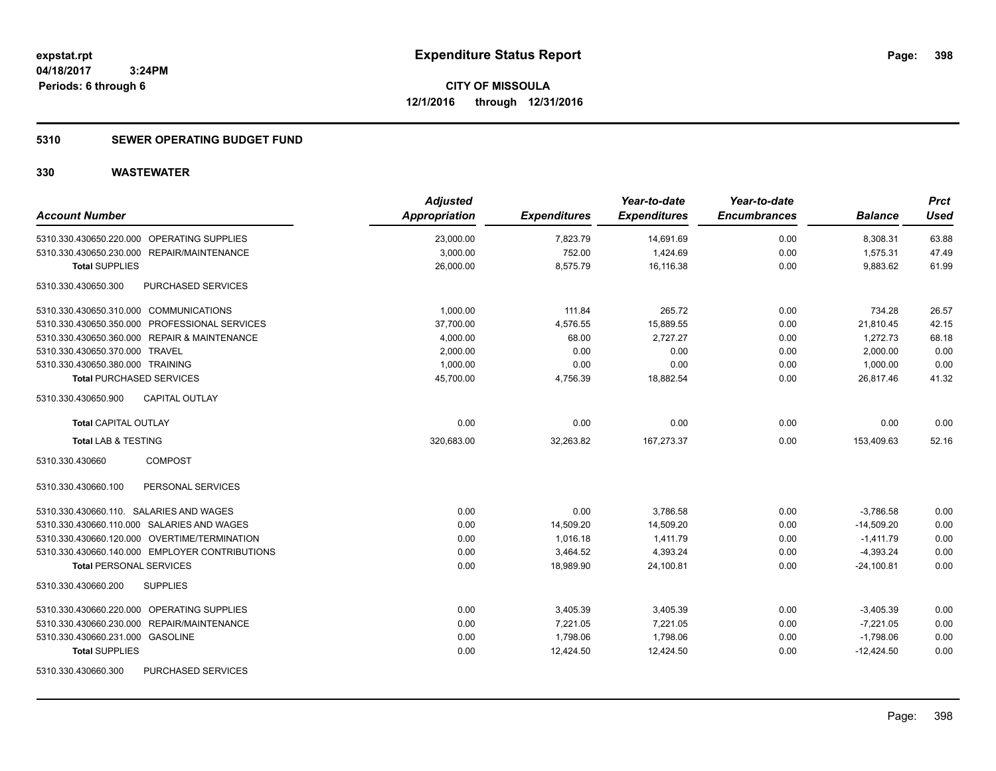# **5310 SEWER OPERATING BUDGET FUND**

| <b>Account Number</b>                          | <b>Adjusted</b><br><b>Appropriation</b> | <b>Expenditures</b> | Year-to-date<br><b>Expenditures</b> | Year-to-date<br><b>Encumbrances</b> | <b>Balance</b> | <b>Prct</b><br><b>Used</b> |
|------------------------------------------------|-----------------------------------------|---------------------|-------------------------------------|-------------------------------------|----------------|----------------------------|
| 5310.330.430650.220.000 OPERATING SUPPLIES     | 23,000.00                               | 7,823.79            | 14,691.69                           | 0.00                                | 8,308.31       | 63.88                      |
| 5310.330.430650.230.000 REPAIR/MAINTENANCE     | 3,000.00                                | 752.00              | 1,424.69                            | 0.00                                | 1,575.31       | 47.49                      |
| <b>Total SUPPLIES</b>                          | 26,000.00                               | 8,575.79            | 16,116.38                           | 0.00                                | 9,883.62       | 61.99                      |
| PURCHASED SERVICES<br>5310.330.430650.300      |                                         |                     |                                     |                                     |                |                            |
| 5310.330.430650.310.000 COMMUNICATIONS         | 1,000.00                                | 111.84              | 265.72                              | 0.00                                | 734.28         | 26.57                      |
| 5310.330.430650.350.000 PROFESSIONAL SERVICES  | 37,700.00                               | 4,576.55            | 15,889.55                           | 0.00                                | 21,810.45      | 42.15                      |
| 5310.330.430650.360.000 REPAIR & MAINTENANCE   | 4,000.00                                | 68.00               | 2,727.27                            | 0.00                                | 1.272.73       | 68.18                      |
| 5310.330.430650.370.000 TRAVEL                 | 2,000.00                                | 0.00                | 0.00                                | 0.00                                | 2,000.00       | 0.00                       |
| 5310.330.430650.380.000 TRAINING               | 1,000.00                                | 0.00                | 0.00                                | 0.00                                | 1,000.00       | 0.00                       |
| <b>Total PURCHASED SERVICES</b>                | 45,700.00                               | 4,756.39            | 18,882.54                           | 0.00                                | 26,817.46      | 41.32                      |
| <b>CAPITAL OUTLAY</b><br>5310.330.430650.900   |                                         |                     |                                     |                                     |                |                            |
| Total CAPITAL OUTLAY                           | 0.00                                    | 0.00                | 0.00                                | 0.00                                | 0.00           | 0.00                       |
| <b>Total LAB &amp; TESTING</b>                 | 320,683.00                              | 32,263.82           | 167,273.37                          | 0.00                                | 153,409.63     | 52.16                      |
| <b>COMPOST</b><br>5310.330.430660              |                                         |                     |                                     |                                     |                |                            |
| 5310.330.430660.100<br>PERSONAL SERVICES       |                                         |                     |                                     |                                     |                |                            |
| 5310.330.430660.110. SALARIES AND WAGES        | 0.00                                    | 0.00                | 3,786.58                            | 0.00                                | $-3,786.58$    | 0.00                       |
| 5310.330.430660.110.000 SALARIES AND WAGES     | 0.00                                    | 14,509.20           | 14,509.20                           | 0.00                                | $-14,509.20$   | 0.00                       |
| 5310.330.430660.120.000 OVERTIME/TERMINATION   | 0.00                                    | 1,016.18            | 1,411.79                            | 0.00                                | $-1,411.79$    | 0.00                       |
| 5310.330.430660.140.000 EMPLOYER CONTRIBUTIONS | 0.00                                    | 3,464.52            | 4,393.24                            | 0.00                                | $-4,393.24$    | 0.00                       |
| <b>Total PERSONAL SERVICES</b>                 | 0.00                                    | 18,989.90           | 24,100.81                           | 0.00                                | $-24.100.81$   | 0.00                       |
| 5310.330.430660.200<br><b>SUPPLIES</b>         |                                         |                     |                                     |                                     |                |                            |
| 5310.330.430660.220.000 OPERATING SUPPLIES     | 0.00                                    | 3,405.39            | 3,405.39                            | 0.00                                | $-3,405.39$    | 0.00                       |
| 5310.330.430660.230.000 REPAIR/MAINTENANCE     | 0.00                                    | 7,221.05            | 7,221.05                            | 0.00                                | $-7,221.05$    | 0.00                       |
| 5310.330.430660.231.000 GASOLINE               | 0.00                                    | 1,798.06            | 1,798.06                            | 0.00                                | $-1,798.06$    | 0.00                       |
| <b>Total SUPPLIES</b>                          | 0.00                                    | 12,424.50           | 12,424.50                           | 0.00                                | $-12,424.50$   | 0.00                       |
| PURCHASED SERVICES<br>5310.330.430660.300      |                                         |                     |                                     |                                     |                |                            |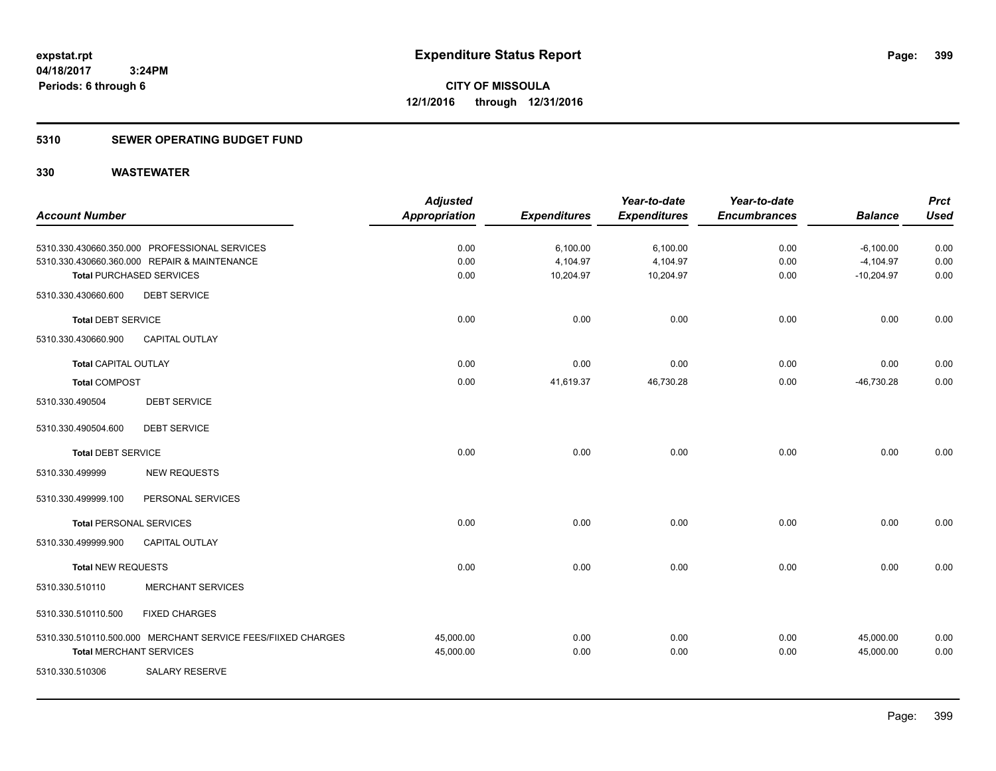# **5310 SEWER OPERATING BUDGET FUND**

|                                |                                                              | <b>Adjusted</b>      |                     | Year-to-date        | Year-to-date        |                | <b>Prct</b> |
|--------------------------------|--------------------------------------------------------------|----------------------|---------------------|---------------------|---------------------|----------------|-------------|
| <b>Account Number</b>          |                                                              | <b>Appropriation</b> | <b>Expenditures</b> | <b>Expenditures</b> | <b>Encumbrances</b> | <b>Balance</b> | <b>Used</b> |
|                                | 5310.330.430660.350.000 PROFESSIONAL SERVICES                | 0.00                 | 6,100.00            | 6,100.00            | 0.00                | $-6,100.00$    | 0.00        |
|                                | 5310.330.430660.360.000 REPAIR & MAINTENANCE                 | 0.00                 | 4,104.97            | 4,104.97            | 0.00                | $-4,104.97$    | 0.00        |
|                                | <b>Total PURCHASED SERVICES</b>                              | 0.00                 | 10,204.97           | 10,204.97           | 0.00                | $-10,204.97$   | 0.00        |
| 5310.330.430660.600            | <b>DEBT SERVICE</b>                                          |                      |                     |                     |                     |                |             |
| <b>Total DEBT SERVICE</b>      |                                                              | 0.00                 | 0.00                | 0.00                | 0.00                | 0.00           | 0.00        |
| 5310.330.430660.900            | <b>CAPITAL OUTLAY</b>                                        |                      |                     |                     |                     |                |             |
| Total CAPITAL OUTLAY           |                                                              | 0.00                 | 0.00                | 0.00                | 0.00                | 0.00           | 0.00        |
| <b>Total COMPOST</b>           |                                                              | 0.00                 | 41,619.37           | 46,730.28           | 0.00                | $-46,730.28$   | 0.00        |
| 5310.330.490504                | <b>DEBT SERVICE</b>                                          |                      |                     |                     |                     |                |             |
| 5310.330.490504.600            | <b>DEBT SERVICE</b>                                          |                      |                     |                     |                     |                |             |
| <b>Total DEBT SERVICE</b>      |                                                              | 0.00                 | 0.00                | 0.00                | 0.00                | 0.00           | 0.00        |
| 5310.330.499999                | <b>NEW REQUESTS</b>                                          |                      |                     |                     |                     |                |             |
| 5310.330.499999.100            | PERSONAL SERVICES                                            |                      |                     |                     |                     |                |             |
| <b>Total PERSONAL SERVICES</b> |                                                              | 0.00                 | 0.00                | 0.00                | 0.00                | 0.00           | 0.00        |
| 5310.330.499999.900            | <b>CAPITAL OUTLAY</b>                                        |                      |                     |                     |                     |                |             |
| <b>Total NEW REQUESTS</b>      |                                                              | 0.00                 | 0.00                | 0.00                | 0.00                | 0.00           | 0.00        |
| 5310.330.510110                | <b>MERCHANT SERVICES</b>                                     |                      |                     |                     |                     |                |             |
| 5310.330.510110.500            | <b>FIXED CHARGES</b>                                         |                      |                     |                     |                     |                |             |
|                                | 5310.330.510110.500.000 MERCHANT SERVICE FEES/FIIXED CHARGES | 45,000.00            | 0.00                | 0.00                | 0.00                | 45,000.00      | 0.00        |
| <b>Total MERCHANT SERVICES</b> |                                                              | 45,000.00            | 0.00                | 0.00                | 0.00                | 45,000.00      | 0.00        |
| 5310.330.510306                | <b>SALARY RESERVE</b>                                        |                      |                     |                     |                     |                |             |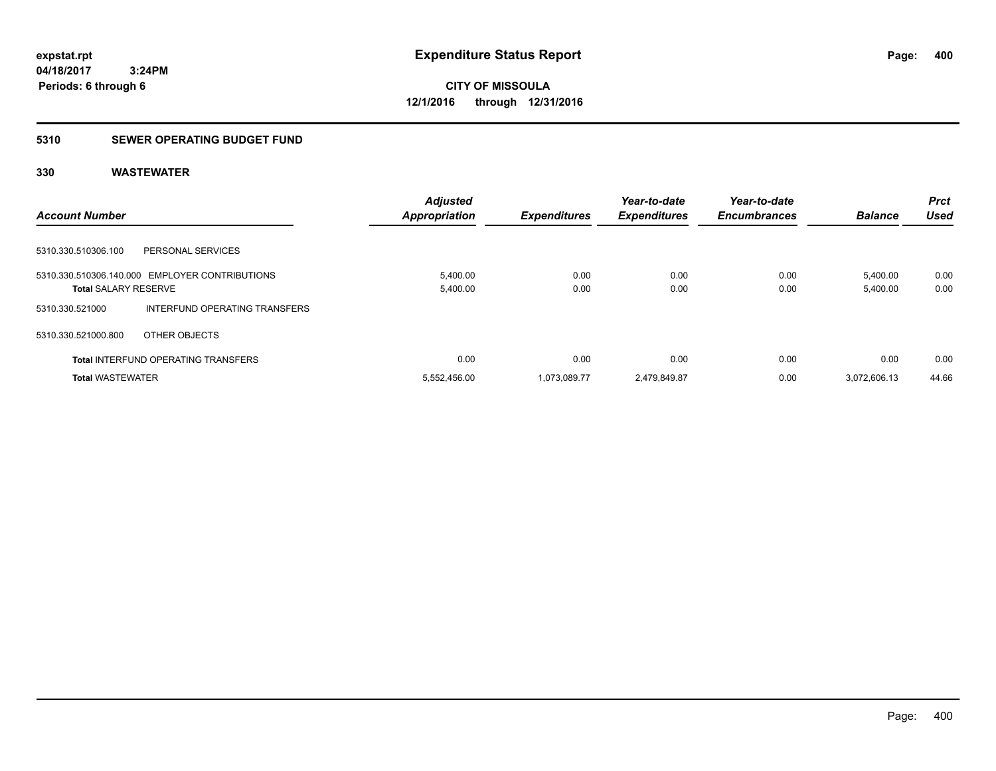# **5310 SEWER OPERATING BUDGET FUND**

|                                                  | <b>Adjusted</b> |                     | Year-to-date        | Year-to-date        |                | <b>Prct</b> |
|--------------------------------------------------|-----------------|---------------------|---------------------|---------------------|----------------|-------------|
| <b>Account Number</b>                            | Appropriation   | <b>Expenditures</b> | <b>Expenditures</b> | <b>Encumbrances</b> | <b>Balance</b> | Used        |
|                                                  |                 |                     |                     |                     |                |             |
| 5310.330.510306.100<br>PERSONAL SERVICES         |                 |                     |                     |                     |                |             |
| 5310.330.510306.140.000 EMPLOYER CONTRIBUTIONS   | 5,400.00        | 0.00                | 0.00                | 0.00                | 5.400.00       | 0.00        |
| <b>Total SALARY RESERVE</b>                      | 5,400.00        | 0.00                | 0.00                | 0.00                | 5,400.00       | 0.00        |
| INTERFUND OPERATING TRANSFERS<br>5310.330.521000 |                 |                     |                     |                     |                |             |
| 5310.330.521000.800<br>OTHER OBJECTS             |                 |                     |                     |                     |                |             |
| <b>Total INTERFUND OPERATING TRANSFERS</b>       | 0.00            | 0.00                | 0.00                | 0.00                | 0.00           | 0.00        |
| <b>Total WASTEWATER</b>                          | 5.552.456.00    | 1.073.089.77        | 2.479.849.87        | 0.00                | 3.072.606.13   | 44.66       |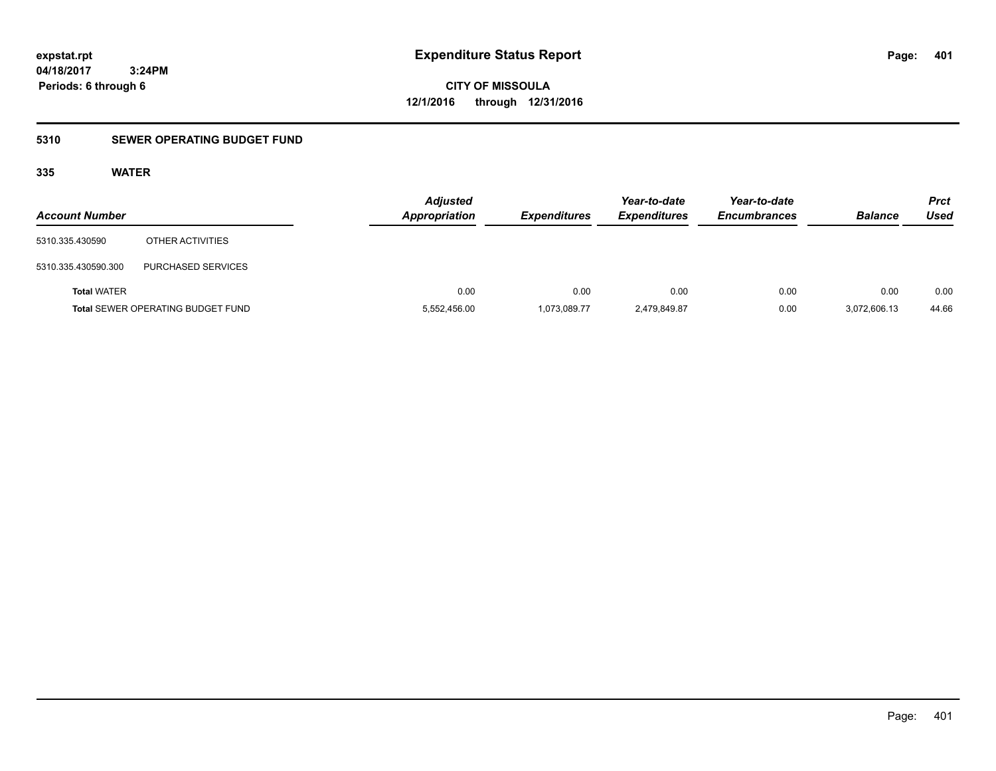**CITY OF MISSOULA 12/1/2016 through 12/31/2016**

# **5310 SEWER OPERATING BUDGET FUND**

# **335 WATER**

| <b>Account Number</b> |                                          | <b>Adjusted</b><br>Appropriation | <b>Expenditures</b> | Year-to-date<br><b>Expenditures</b> | Year-to-date<br><b>Encumbrances</b> | <b>Balance</b> | <b>Prct</b><br>Used |
|-----------------------|------------------------------------------|----------------------------------|---------------------|-------------------------------------|-------------------------------------|----------------|---------------------|
| 5310.335.430590       | OTHER ACTIVITIES                         |                                  |                     |                                     |                                     |                |                     |
| 5310.335.430590.300   | PURCHASED SERVICES                       |                                  |                     |                                     |                                     |                |                     |
| <b>Total WATER</b>    |                                          | 0.00                             | 0.00                | 0.00                                | 0.00                                | 0.00           | 0.00                |
|                       | <b>Total SEWER OPERATING BUDGET FUND</b> | 5,552,456.00                     | 1,073,089.77        | 2,479,849.87                        | 0.00                                | 3,072,606.13   | 44.66               |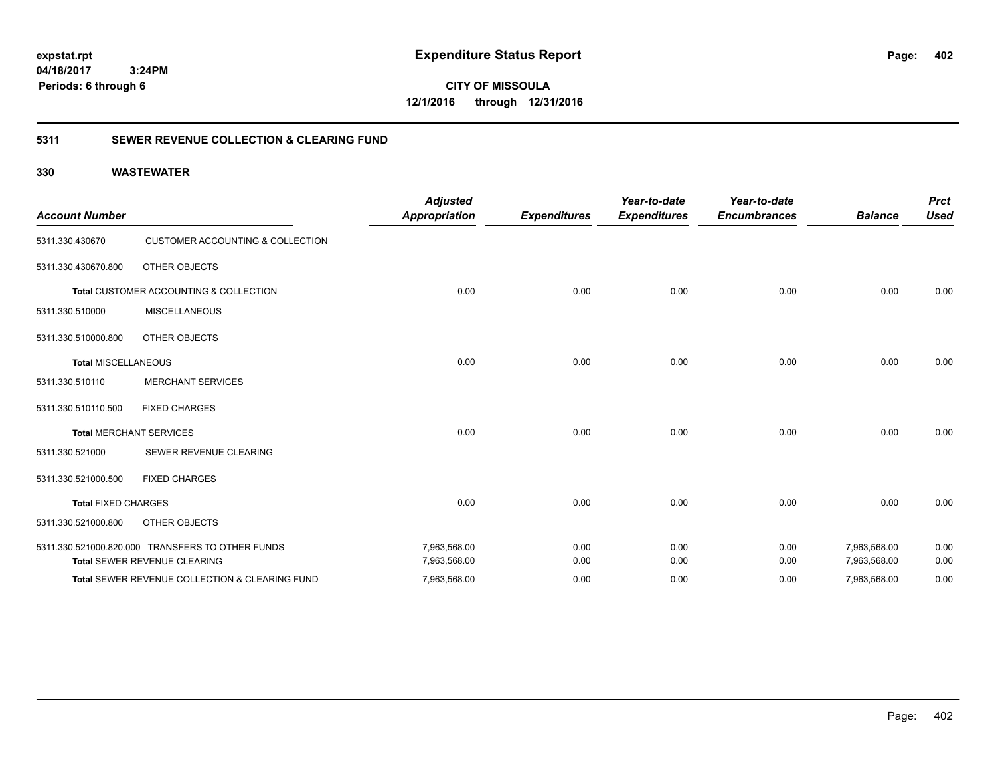**CITY OF MISSOULA 12/1/2016 through 12/31/2016**

# **5311 SEWER REVENUE COLLECTION & CLEARING FUND**

| <b>Account Number</b>      |                                                  | <b>Adjusted</b><br><b>Appropriation</b> | <b>Expenditures</b> | Year-to-date<br><b>Expenditures</b> | Year-to-date<br><b>Encumbrances</b> | <b>Balance</b> | <b>Prct</b><br><b>Used</b> |
|----------------------------|--------------------------------------------------|-----------------------------------------|---------------------|-------------------------------------|-------------------------------------|----------------|----------------------------|
| 5311.330.430670            | <b>CUSTOMER ACCOUNTING &amp; COLLECTION</b>      |                                         |                     |                                     |                                     |                |                            |
| 5311.330.430670.800        | OTHER OBJECTS                                    |                                         |                     |                                     |                                     |                |                            |
|                            | Total CUSTOMER ACCOUNTING & COLLECTION           | 0.00                                    | 0.00                | 0.00                                | 0.00                                | 0.00           | 0.00                       |
| 5311.330.510000            | <b>MISCELLANEOUS</b>                             |                                         |                     |                                     |                                     |                |                            |
| 5311.330.510000.800        | <b>OTHER OBJECTS</b>                             |                                         |                     |                                     |                                     |                |                            |
| <b>Total MISCELLANEOUS</b> |                                                  | 0.00                                    | 0.00                | 0.00                                | 0.00                                | 0.00           | 0.00                       |
| 5311.330.510110            | <b>MERCHANT SERVICES</b>                         |                                         |                     |                                     |                                     |                |                            |
| 5311.330.510110.500        | <b>FIXED CHARGES</b>                             |                                         |                     |                                     |                                     |                |                            |
|                            | <b>Total MERCHANT SERVICES</b>                   | 0.00                                    | 0.00                | 0.00                                | 0.00                                | 0.00           | 0.00                       |
| 5311.330.521000            | SEWER REVENUE CLEARING                           |                                         |                     |                                     |                                     |                |                            |
| 5311.330.521000.500        | <b>FIXED CHARGES</b>                             |                                         |                     |                                     |                                     |                |                            |
| <b>Total FIXED CHARGES</b> |                                                  | 0.00                                    | 0.00                | 0.00                                | 0.00                                | 0.00           | 0.00                       |
| 5311.330.521000.800        | <b>OTHER OBJECTS</b>                             |                                         |                     |                                     |                                     |                |                            |
|                            | 5311.330.521000.820.000 TRANSFERS TO OTHER FUNDS | 7,963,568.00                            | 0.00                | 0.00                                | 0.00                                | 7,963,568.00   | 0.00                       |
|                            | Total SEWER REVENUE CLEARING                     | 7,963,568.00                            | 0.00                | 0.00                                | 0.00                                | 7,963,568.00   | 0.00                       |
|                            | Total SEWER REVENUE COLLECTION & CLEARING FUND   | 7,963,568.00                            | 0.00                | 0.00                                | 0.00                                | 7,963,568.00   | 0.00                       |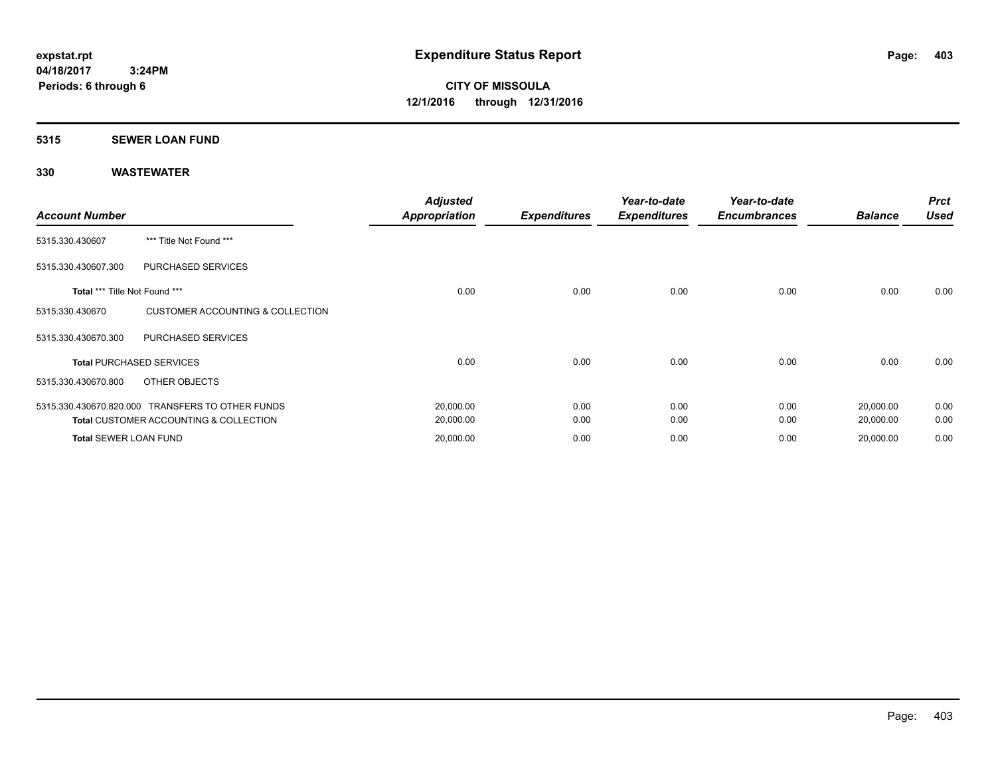### **5315 SEWER LOAN FUND**

| <b>Account Number</b>         |                                                   | <b>Adjusted</b><br><b>Appropriation</b> | <b>Expenditures</b> | Year-to-date<br><b>Expenditures</b> | Year-to-date<br><b>Encumbrances</b> | <b>Balance</b> | <b>Prct</b><br><b>Used</b> |
|-------------------------------|---------------------------------------------------|-----------------------------------------|---------------------|-------------------------------------|-------------------------------------|----------------|----------------------------|
| 5315.330.430607               | *** Title Not Found ***                           |                                         |                     |                                     |                                     |                |                            |
| 5315.330.430607.300           | PURCHASED SERVICES                                |                                         |                     |                                     |                                     |                |                            |
| Total *** Title Not Found *** |                                                   | 0.00                                    | 0.00                | 0.00                                | 0.00                                | 0.00           | 0.00                       |
| 5315.330.430670               | <b>CUSTOMER ACCOUNTING &amp; COLLECTION</b>       |                                         |                     |                                     |                                     |                |                            |
| 5315.330.430670.300           | PURCHASED SERVICES                                |                                         |                     |                                     |                                     |                |                            |
|                               | <b>Total PURCHASED SERVICES</b>                   | 0.00                                    | 0.00                | 0.00                                | 0.00                                | 0.00           | 0.00                       |
| 5315.330.430670.800           | OTHER OBJECTS                                     |                                         |                     |                                     |                                     |                |                            |
|                               | 5315.330.430670.820.000 TRANSFERS TO OTHER FUNDS  | 20,000.00                               | 0.00                | 0.00                                | 0.00                                | 20,000.00      | 0.00                       |
|                               | <b>Total CUSTOMER ACCOUNTING &amp; COLLECTION</b> | 20,000.00                               | 0.00                | 0.00                                | 0.00                                | 20,000.00      | 0.00                       |
| <b>Total SEWER LOAN FUND</b>  |                                                   | 20,000.00                               | 0.00                | 0.00                                | 0.00                                | 20,000.00      | 0.00                       |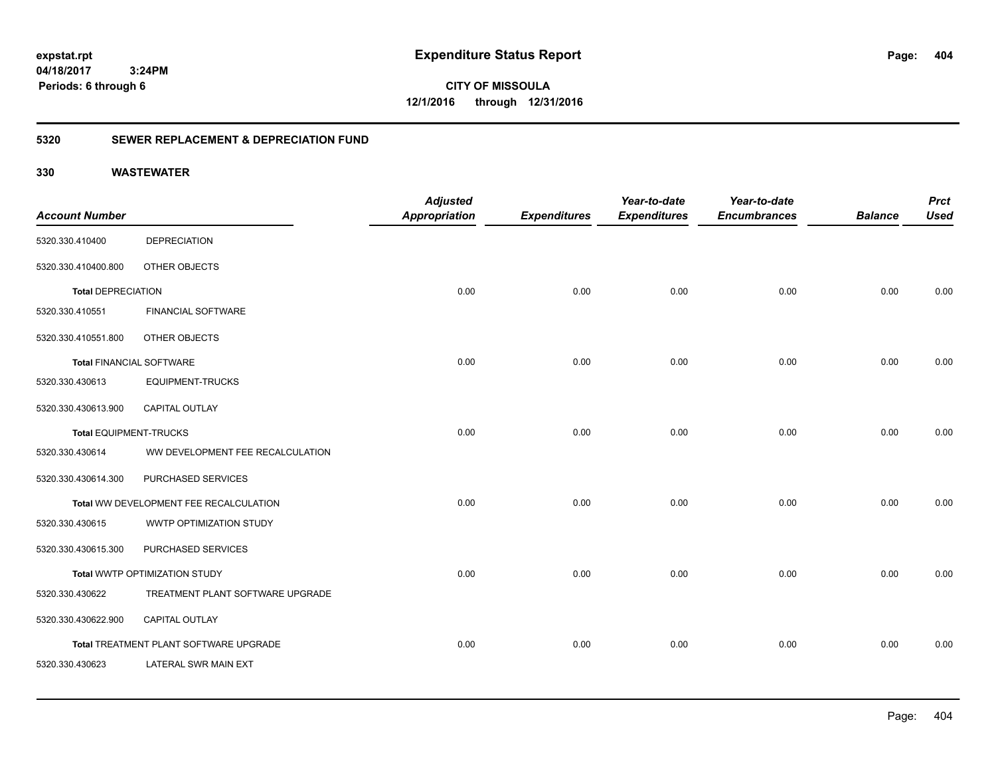**CITY OF MISSOULA 12/1/2016 through 12/31/2016**

# **5320 SEWER REPLACEMENT & DEPRECIATION FUND**

|                                 |                                        | <b>Adjusted</b>      |                     | Year-to-date        | Year-to-date        |                | <b>Prct</b> |
|---------------------------------|----------------------------------------|----------------------|---------------------|---------------------|---------------------|----------------|-------------|
| <b>Account Number</b>           |                                        | <b>Appropriation</b> | <b>Expenditures</b> | <b>Expenditures</b> | <b>Encumbrances</b> | <b>Balance</b> | <b>Used</b> |
| 5320.330.410400                 | <b>DEPRECIATION</b>                    |                      |                     |                     |                     |                |             |
| 5320.330.410400.800             | OTHER OBJECTS                          |                      |                     |                     |                     |                |             |
| <b>Total DEPRECIATION</b>       |                                        | 0.00                 | 0.00                | 0.00                | 0.00                | 0.00           | 0.00        |
| 5320.330.410551                 | <b>FINANCIAL SOFTWARE</b>              |                      |                     |                     |                     |                |             |
| 5320.330.410551.800             | OTHER OBJECTS                          |                      |                     |                     |                     |                |             |
| <b>Total FINANCIAL SOFTWARE</b> |                                        | 0.00                 | 0.00                | 0.00                | 0.00                | 0.00           | 0.00        |
| 5320.330.430613                 | <b>EQUIPMENT-TRUCKS</b>                |                      |                     |                     |                     |                |             |
| 5320.330.430613.900             | <b>CAPITAL OUTLAY</b>                  |                      |                     |                     |                     |                |             |
| <b>Total EQUIPMENT-TRUCKS</b>   |                                        | 0.00                 | 0.00                | 0.00                | 0.00                | 0.00           | 0.00        |
| 5320.330.430614                 | WW DEVELOPMENT FEE RECALCULATION       |                      |                     |                     |                     |                |             |
| 5320.330.430614.300             | PURCHASED SERVICES                     |                      |                     |                     |                     |                |             |
|                                 | Total WW DEVELOPMENT FEE RECALCULATION | 0.00                 | 0.00                | 0.00                | 0.00                | 0.00           | 0.00        |
| 5320.330.430615                 | WWTP OPTIMIZATION STUDY                |                      |                     |                     |                     |                |             |
| 5320.330.430615.300             | PURCHASED SERVICES                     |                      |                     |                     |                     |                |             |
|                                 | Total WWTP OPTIMIZATION STUDY          | 0.00                 | 0.00                | 0.00                | 0.00                | 0.00           | 0.00        |
| 5320.330.430622                 | TREATMENT PLANT SOFTWARE UPGRADE       |                      |                     |                     |                     |                |             |
| 5320.330.430622.900             | <b>CAPITAL OUTLAY</b>                  |                      |                     |                     |                     |                |             |
|                                 | Total TREATMENT PLANT SOFTWARE UPGRADE | 0.00                 | 0.00                | 0.00                | 0.00                | 0.00           | 0.00        |
| 5320.330.430623                 | LATERAL SWR MAIN EXT                   |                      |                     |                     |                     |                |             |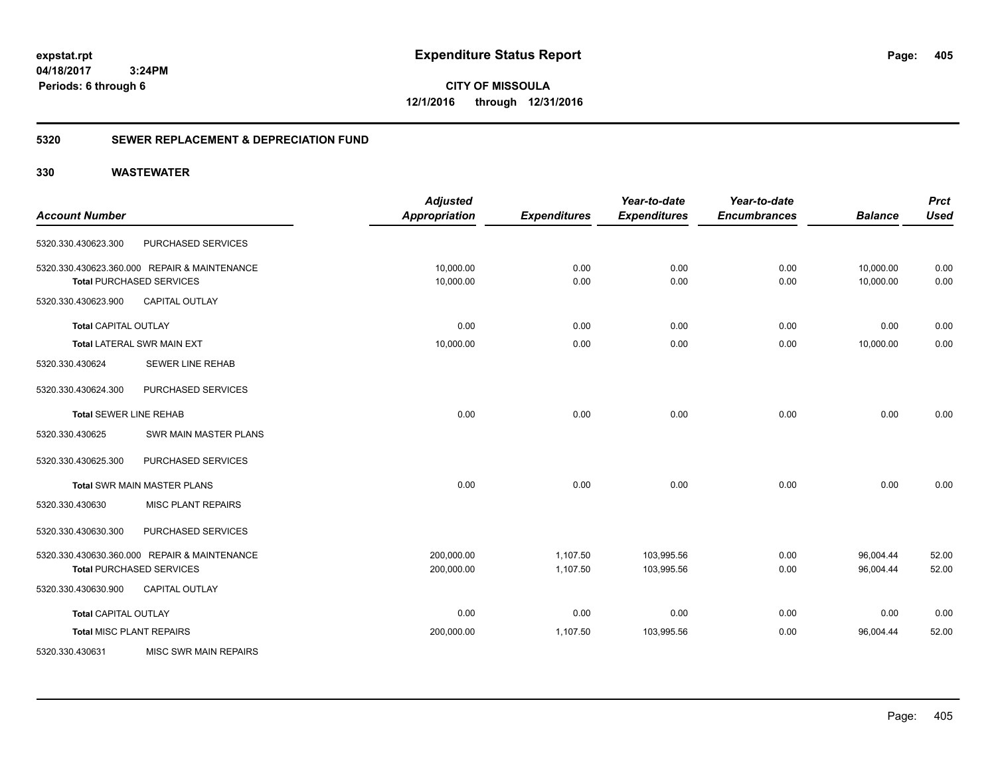**CITY OF MISSOULA 12/1/2016 through 12/31/2016**

# **5320 SEWER REPLACEMENT & DEPRECIATION FUND**

|                                 |                                              | <b>Adjusted</b>      |                     | Year-to-date        | Year-to-date        |                | <b>Prct</b> |
|---------------------------------|----------------------------------------------|----------------------|---------------------|---------------------|---------------------|----------------|-------------|
| <b>Account Number</b>           |                                              | <b>Appropriation</b> | <b>Expenditures</b> | <b>Expenditures</b> | <b>Encumbrances</b> | <b>Balance</b> | <b>Used</b> |
| 5320.330.430623.300             | PURCHASED SERVICES                           |                      |                     |                     |                     |                |             |
|                                 | 5320.330.430623.360.000 REPAIR & MAINTENANCE | 10,000.00            | 0.00                | 0.00                | 0.00                | 10,000.00      | 0.00        |
|                                 | <b>Total PURCHASED SERVICES</b>              | 10,000.00            | 0.00                | 0.00                | 0.00                | 10,000.00      | 0.00        |
| 5320.330.430623.900             | <b>CAPITAL OUTLAY</b>                        |                      |                     |                     |                     |                |             |
| <b>Total CAPITAL OUTLAY</b>     |                                              | 0.00                 | 0.00                | 0.00                | 0.00                | 0.00           | 0.00        |
|                                 | <b>Total LATERAL SWR MAIN EXT</b>            | 10,000.00            | 0.00                | 0.00                | 0.00                | 10,000.00      | 0.00        |
| 5320.330.430624                 | SEWER LINE REHAB                             |                      |                     |                     |                     |                |             |
| 5320.330.430624.300             | PURCHASED SERVICES                           |                      |                     |                     |                     |                |             |
| <b>Total SEWER LINE REHAB</b>   |                                              | 0.00                 | 0.00                | 0.00                | 0.00                | 0.00           | 0.00        |
| 5320.330.430625                 | SWR MAIN MASTER PLANS                        |                      |                     |                     |                     |                |             |
| 5320.330.430625.300             | PURCHASED SERVICES                           |                      |                     |                     |                     |                |             |
|                                 | <b>Total SWR MAIN MASTER PLANS</b>           | 0.00                 | 0.00                | 0.00                | 0.00                | 0.00           | 0.00        |
| 5320.330.430630                 | <b>MISC PLANT REPAIRS</b>                    |                      |                     |                     |                     |                |             |
| 5320.330.430630.300             | PURCHASED SERVICES                           |                      |                     |                     |                     |                |             |
|                                 | 5320.330.430630.360.000 REPAIR & MAINTENANCE | 200,000.00           | 1,107.50            | 103,995.56          | 0.00                | 96,004.44      | 52.00       |
|                                 | <b>Total PURCHASED SERVICES</b>              | 200,000.00           | 1,107.50            | 103,995.56          | 0.00                | 96,004.44      | 52.00       |
| 5320.330.430630.900             | CAPITAL OUTLAY                               |                      |                     |                     |                     |                |             |
| <b>Total CAPITAL OUTLAY</b>     |                                              | 0.00                 | 0.00                | 0.00                | 0.00                | 0.00           | 0.00        |
| <b>Total MISC PLANT REPAIRS</b> |                                              | 200,000.00           | 1,107.50            | 103,995.56          | 0.00                | 96,004.44      | 52.00       |
| 5320.330.430631                 | <b>MISC SWR MAIN REPAIRS</b>                 |                      |                     |                     |                     |                |             |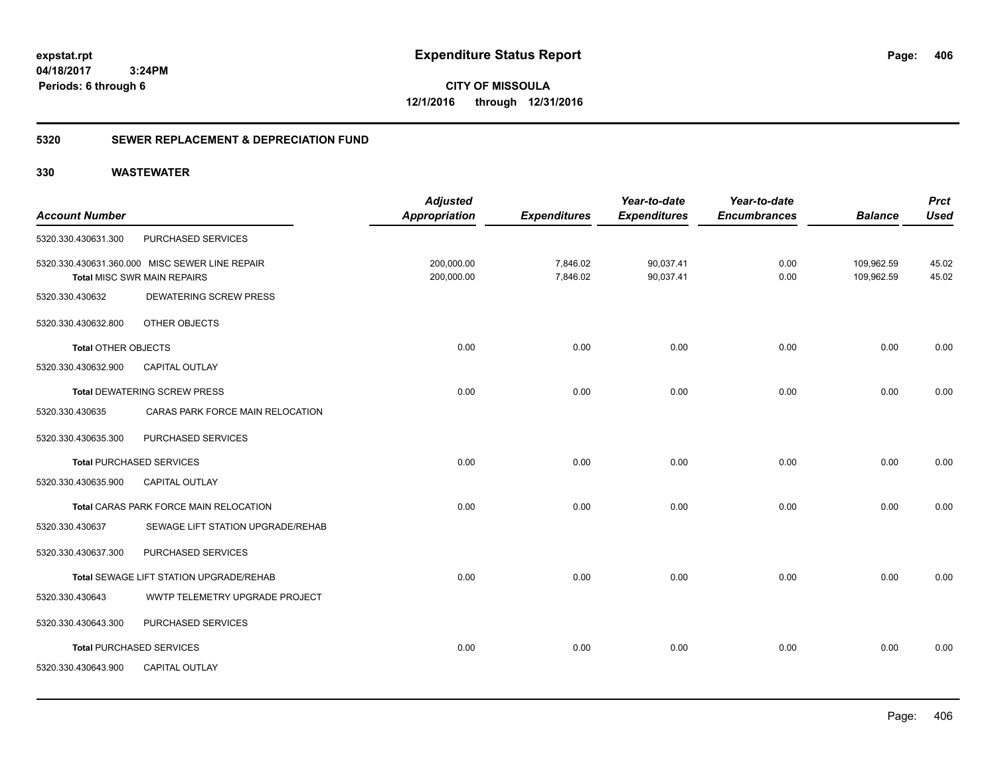**CITY OF MISSOULA 12/1/2016 through 12/31/2016**

# **5320 SEWER REPLACEMENT & DEPRECIATION FUND**

| <b>Account Number</b>      |                                                                               | <b>Adjusted</b><br><b>Appropriation</b> | <b>Expenditures</b>  | Year-to-date<br><b>Expenditures</b> | Year-to-date<br><b>Encumbrances</b> | <b>Balance</b>           | <b>Prct</b><br><b>Used</b> |
|----------------------------|-------------------------------------------------------------------------------|-----------------------------------------|----------------------|-------------------------------------|-------------------------------------|--------------------------|----------------------------|
| 5320.330.430631.300        | PURCHASED SERVICES                                                            |                                         |                      |                                     |                                     |                          |                            |
|                            | 5320.330.430631.360.000 MISC SEWER LINE REPAIR<br>Total MISC SWR MAIN REPAIRS | 200,000.00<br>200,000.00                | 7,846.02<br>7,846.02 | 90,037.41<br>90,037.41              | 0.00<br>0.00                        | 109,962.59<br>109,962.59 | 45.02<br>45.02             |
| 5320.330.430632            | <b>DEWATERING SCREW PRESS</b>                                                 |                                         |                      |                                     |                                     |                          |                            |
| 5320.330.430632.800        | OTHER OBJECTS                                                                 |                                         |                      |                                     |                                     |                          |                            |
| <b>Total OTHER OBJECTS</b> |                                                                               | 0.00                                    | 0.00                 | 0.00                                | 0.00                                | 0.00                     | 0.00                       |
| 5320.330.430632.900        | <b>CAPITAL OUTLAY</b>                                                         |                                         |                      |                                     |                                     |                          |                            |
|                            | <b>Total DEWATERING SCREW PRESS</b>                                           | 0.00                                    | 0.00                 | 0.00                                | 0.00                                | 0.00                     | 0.00                       |
| 5320.330.430635            | CARAS PARK FORCE MAIN RELOCATION                                              |                                         |                      |                                     |                                     |                          |                            |
| 5320.330.430635.300        | PURCHASED SERVICES                                                            |                                         |                      |                                     |                                     |                          |                            |
|                            | <b>Total PURCHASED SERVICES</b>                                               | 0.00                                    | 0.00                 | 0.00                                | 0.00                                | 0.00                     | 0.00                       |
| 5320.330.430635.900        | CAPITAL OUTLAY                                                                |                                         |                      |                                     |                                     |                          |                            |
|                            | Total CARAS PARK FORCE MAIN RELOCATION                                        | 0.00                                    | 0.00                 | 0.00                                | 0.00                                | 0.00                     | 0.00                       |
| 5320.330.430637            | SEWAGE LIFT STATION UPGRADE/REHAB                                             |                                         |                      |                                     |                                     |                          |                            |
| 5320.330.430637.300        | PURCHASED SERVICES                                                            |                                         |                      |                                     |                                     |                          |                            |
|                            | Total SEWAGE LIFT STATION UPGRADE/REHAB                                       | 0.00                                    | 0.00                 | 0.00                                | 0.00                                | 0.00                     | 0.00                       |
| 5320.330.430643            | <b>WWTP TELEMETRY UPGRADE PROJECT</b>                                         |                                         |                      |                                     |                                     |                          |                            |
| 5320.330.430643.300        | PURCHASED SERVICES                                                            |                                         |                      |                                     |                                     |                          |                            |
|                            | <b>Total PURCHASED SERVICES</b>                                               | 0.00                                    | 0.00                 | 0.00                                | 0.00                                | 0.00                     | 0.00                       |
| 5320.330.430643.900        | CAPITAL OUTLAY                                                                |                                         |                      |                                     |                                     |                          |                            |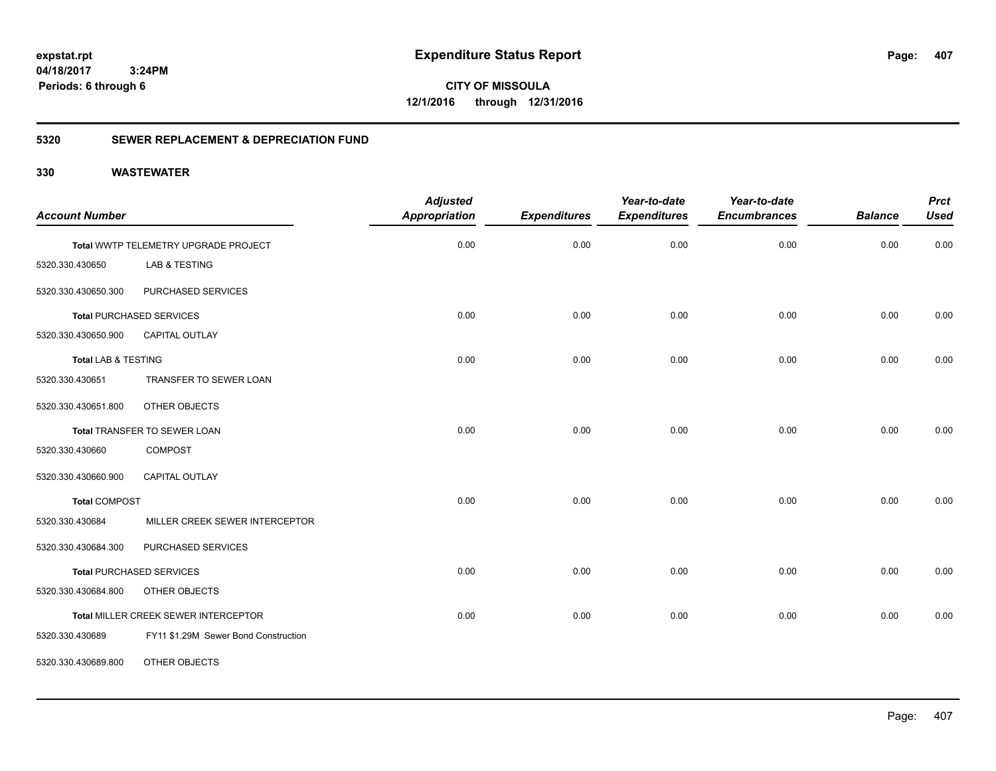**CITY OF MISSOULA 12/1/2016 through 12/31/2016**

# **5320 SEWER REPLACEMENT & DEPRECIATION FUND**

| <b>Account Number</b>          |                                      | <b>Adjusted</b><br><b>Appropriation</b> | <b>Expenditures</b> | Year-to-date<br><b>Expenditures</b> | Year-to-date<br><b>Encumbrances</b> | <b>Balance</b> | <b>Prct</b><br><b>Used</b> |
|--------------------------------|--------------------------------------|-----------------------------------------|---------------------|-------------------------------------|-------------------------------------|----------------|----------------------------|
|                                |                                      |                                         |                     |                                     |                                     |                |                            |
|                                | Total WWTP TELEMETRY UPGRADE PROJECT | 0.00                                    | 0.00                | 0.00                                | 0.00                                | 0.00           | 0.00                       |
| 5320.330.430650                | LAB & TESTING                        |                                         |                     |                                     |                                     |                |                            |
| 5320.330.430650.300            | PURCHASED SERVICES                   |                                         |                     |                                     |                                     |                |                            |
|                                | <b>Total PURCHASED SERVICES</b>      | 0.00                                    | 0.00                | 0.00                                | 0.00                                | 0.00           | 0.00                       |
| 5320.330.430650.900            | CAPITAL OUTLAY                       |                                         |                     |                                     |                                     |                |                            |
| <b>Total LAB &amp; TESTING</b> |                                      | 0.00                                    | 0.00                | 0.00                                | 0.00                                | 0.00           | 0.00                       |
| 5320.330.430651                | TRANSFER TO SEWER LOAN               |                                         |                     |                                     |                                     |                |                            |
| 5320.330.430651.800            | OTHER OBJECTS                        |                                         |                     |                                     |                                     |                |                            |
|                                | Total TRANSFER TO SEWER LOAN         | 0.00                                    | 0.00                | 0.00                                | 0.00                                | 0.00           | 0.00                       |
| 5320.330.430660                | <b>COMPOST</b>                       |                                         |                     |                                     |                                     |                |                            |
| 5320.330.430660.900            | <b>CAPITAL OUTLAY</b>                |                                         |                     |                                     |                                     |                |                            |
| <b>Total COMPOST</b>           |                                      | 0.00                                    | 0.00                | 0.00                                | 0.00                                | 0.00           | 0.00                       |
| 5320.330.430684                | MILLER CREEK SEWER INTERCEPTOR       |                                         |                     |                                     |                                     |                |                            |
| 5320.330.430684.300            | PURCHASED SERVICES                   |                                         |                     |                                     |                                     |                |                            |
|                                | <b>Total PURCHASED SERVICES</b>      | 0.00                                    | 0.00                | 0.00                                | 0.00                                | 0.00           | 0.00                       |
| 5320.330.430684.800            | OTHER OBJECTS                        |                                         |                     |                                     |                                     |                |                            |
|                                | Total MILLER CREEK SEWER INTERCEPTOR | 0.00                                    | 0.00                | 0.00                                | 0.00                                | 0.00           | 0.00                       |
| 5320.330.430689                | FY11 \$1.29M Sewer Bond Construction |                                         |                     |                                     |                                     |                |                            |
| 5320.330.430689.800            | OTHER OBJECTS                        |                                         |                     |                                     |                                     |                |                            |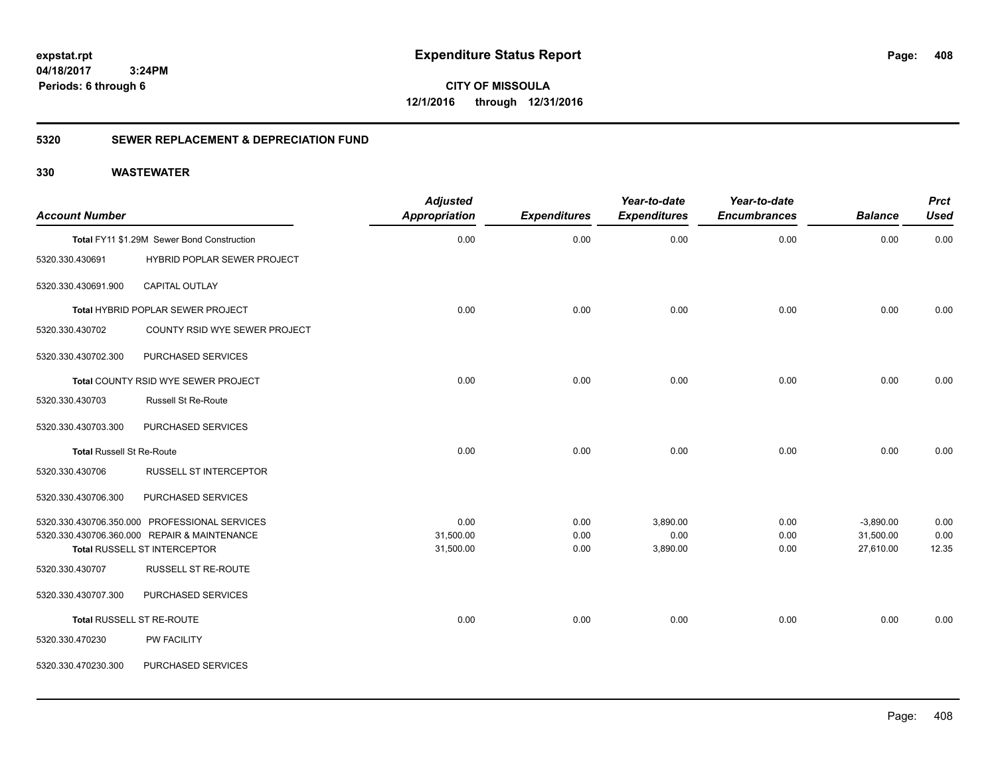**CITY OF MISSOULA 12/1/2016 through 12/31/2016**

# **5320 SEWER REPLACEMENT & DEPRECIATION FUND**

| <b>Account Number</b>            |                                               | <b>Adjusted</b><br><b>Appropriation</b> | <b>Expenditures</b> | Year-to-date<br><b>Expenditures</b> | Year-to-date<br><b>Encumbrances</b> | <b>Balance</b> | <b>Prct</b><br><b>Used</b> |
|----------------------------------|-----------------------------------------------|-----------------------------------------|---------------------|-------------------------------------|-------------------------------------|----------------|----------------------------|
|                                  | Total FY11 \$1.29M Sewer Bond Construction    | 0.00                                    | 0.00                | 0.00                                | 0.00                                | 0.00           | 0.00                       |
| 5320.330.430691                  | HYBRID POPLAR SEWER PROJECT                   |                                         |                     |                                     |                                     |                |                            |
| 5320.330.430691.900              | CAPITAL OUTLAY                                |                                         |                     |                                     |                                     |                |                            |
|                                  | Total HYBRID POPLAR SEWER PROJECT             | 0.00                                    | 0.00                | 0.00                                | 0.00                                | 0.00           | 0.00                       |
| 5320.330.430702                  | COUNTY RSID WYE SEWER PROJECT                 |                                         |                     |                                     |                                     |                |                            |
| 5320.330.430702.300              | PURCHASED SERVICES                            |                                         |                     |                                     |                                     |                |                            |
|                                  | Total COUNTY RSID WYE SEWER PROJECT           | 0.00                                    | 0.00                | 0.00                                | 0.00                                | 0.00           | 0.00                       |
| 5320.330.430703                  | <b>Russell St Re-Route</b>                    |                                         |                     |                                     |                                     |                |                            |
| 5320.330.430703.300              | PURCHASED SERVICES                            |                                         |                     |                                     |                                     |                |                            |
| <b>Total Russell St Re-Route</b> |                                               | 0.00                                    | 0.00                | 0.00                                | 0.00                                | 0.00           | 0.00                       |
| 5320.330.430706                  | <b>RUSSELL ST INTERCEPTOR</b>                 |                                         |                     |                                     |                                     |                |                            |
| 5320.330.430706.300              | PURCHASED SERVICES                            |                                         |                     |                                     |                                     |                |                            |
|                                  | 5320.330.430706.350.000 PROFESSIONAL SERVICES | 0.00                                    | 0.00                | 3,890.00                            | 0.00                                | $-3,890.00$    | 0.00                       |
|                                  | 5320.330.430706.360.000 REPAIR & MAINTENANCE  | 31,500.00                               | 0.00                | 0.00                                | 0.00                                | 31,500.00      | 0.00                       |
|                                  | Total RUSSELL ST INTERCEPTOR                  | 31,500.00                               | 0.00                | 3,890.00                            | 0.00                                | 27,610.00      | 12.35                      |
| 5320.330.430707                  | RUSSELL ST RE-ROUTE                           |                                         |                     |                                     |                                     |                |                            |
| 5320.330.430707.300              | PURCHASED SERVICES                            |                                         |                     |                                     |                                     |                |                            |
|                                  | Total RUSSELL ST RE-ROUTE                     | 0.00                                    | 0.00                | 0.00                                | 0.00                                | 0.00           | 0.00                       |
| 5320.330.470230                  | <b>PW FACILITY</b>                            |                                         |                     |                                     |                                     |                |                            |
| 5320.330.470230.300              | PURCHASED SERVICES                            |                                         |                     |                                     |                                     |                |                            |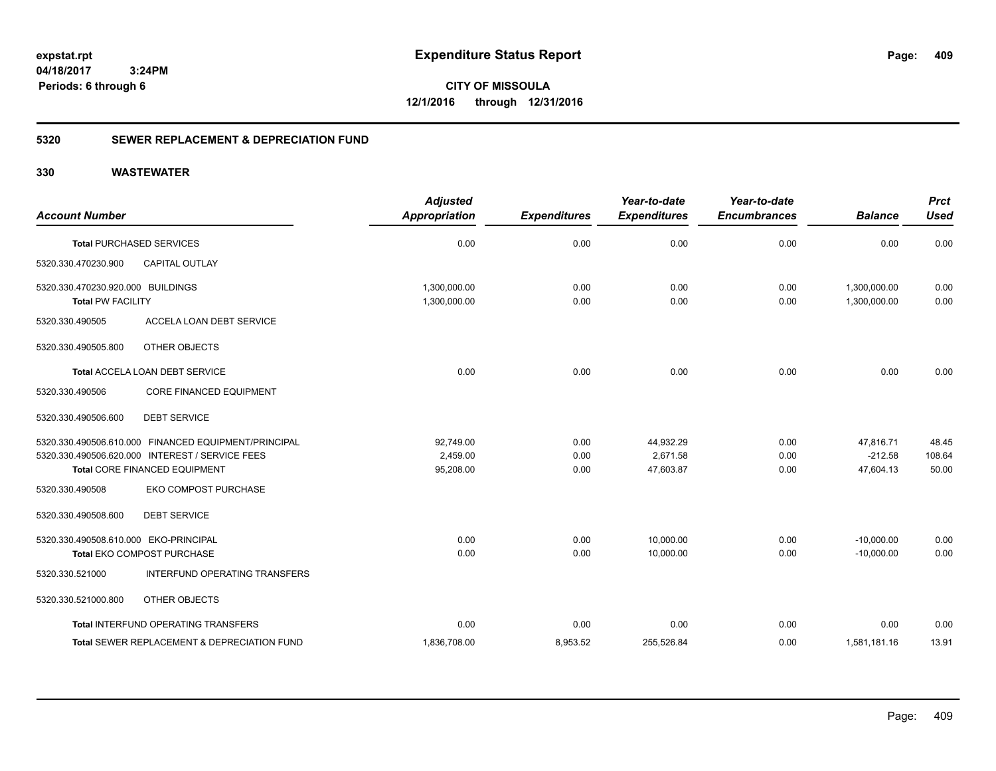**CITY OF MISSOULA 12/1/2016 through 12/31/2016**

# **5320 SEWER REPLACEMENT & DEPRECIATION FUND**

| <b>Account Number</b>                                                                                                                    | <b>Adjusted</b><br><b>Appropriation</b> | <b>Expenditures</b>  | Year-to-date<br><b>Expenditures</b> | Year-to-date<br><b>Encumbrances</b> | <b>Balance</b>                      | <b>Prct</b><br><b>Used</b> |
|------------------------------------------------------------------------------------------------------------------------------------------|-----------------------------------------|----------------------|-------------------------------------|-------------------------------------|-------------------------------------|----------------------------|
| <b>Total PURCHASED SERVICES</b>                                                                                                          | 0.00                                    | 0.00                 | 0.00                                | 0.00                                | 0.00                                | 0.00                       |
| 5320.330.470230.900<br><b>CAPITAL OUTLAY</b>                                                                                             |                                         |                      |                                     |                                     |                                     |                            |
| 5320.330.470230.920.000 BUILDINGS<br><b>Total PW FACILITY</b>                                                                            | 1,300,000.00<br>1,300,000.00            | 0.00<br>0.00         | 0.00<br>0.00                        | 0.00<br>0.00                        | 1,300,000.00<br>1,300,000.00        | 0.00<br>0.00               |
| ACCELA LOAN DEBT SERVICE<br>5320.330.490505                                                                                              |                                         |                      |                                     |                                     |                                     |                            |
| 5320.330.490505.800<br>OTHER OBJECTS                                                                                                     |                                         |                      |                                     |                                     |                                     |                            |
| Total ACCELA LOAN DEBT SERVICE                                                                                                           | 0.00                                    | 0.00                 | 0.00                                | 0.00                                | 0.00                                | 0.00                       |
| CORE FINANCED EQUIPMENT<br>5320.330.490506                                                                                               |                                         |                      |                                     |                                     |                                     |                            |
| 5320.330.490506.600<br><b>DEBT SERVICE</b>                                                                                               |                                         |                      |                                     |                                     |                                     |                            |
| 5320.330.490506.610.000 FINANCED EQUIPMENT/PRINCIPAL<br>5320.330.490506.620.000 INTEREST / SERVICE FEES<br>Total CORE FINANCED EQUIPMENT | 92,749.00<br>2.459.00<br>95,208.00      | 0.00<br>0.00<br>0.00 | 44,932.29<br>2.671.58<br>47,603.87  | 0.00<br>0.00<br>0.00                | 47,816.71<br>$-212.58$<br>47,604.13 | 48.45<br>108.64<br>50.00   |
| EKO COMPOST PURCHASE<br>5320.330.490508                                                                                                  |                                         |                      |                                     |                                     |                                     |                            |
| <b>DEBT SERVICE</b><br>5320.330.490508.600                                                                                               |                                         |                      |                                     |                                     |                                     |                            |
| 5320.330.490508.610.000 EKO-PRINCIPAL<br><b>Total EKO COMPOST PURCHASE</b>                                                               | 0.00<br>0.00                            | 0.00<br>0.00         | 10,000.00<br>10.000.00              | 0.00<br>0.00                        | $-10,000.00$<br>$-10.000.00$        | 0.00<br>0.00               |
| INTERFUND OPERATING TRANSFERS<br>5320.330.521000                                                                                         |                                         |                      |                                     |                                     |                                     |                            |
| 5320.330.521000.800<br>OTHER OBJECTS                                                                                                     |                                         |                      |                                     |                                     |                                     |                            |
| <b>Total INTERFUND OPERATING TRANSFERS</b>                                                                                               | 0.00                                    | 0.00                 | 0.00                                | 0.00                                | 0.00                                | 0.00                       |
| Total SEWER REPLACEMENT & DEPRECIATION FUND                                                                                              | 1,836,708.00                            | 8,953.52             | 255,526.84                          | 0.00                                | 1,581,181.16                        | 13.91                      |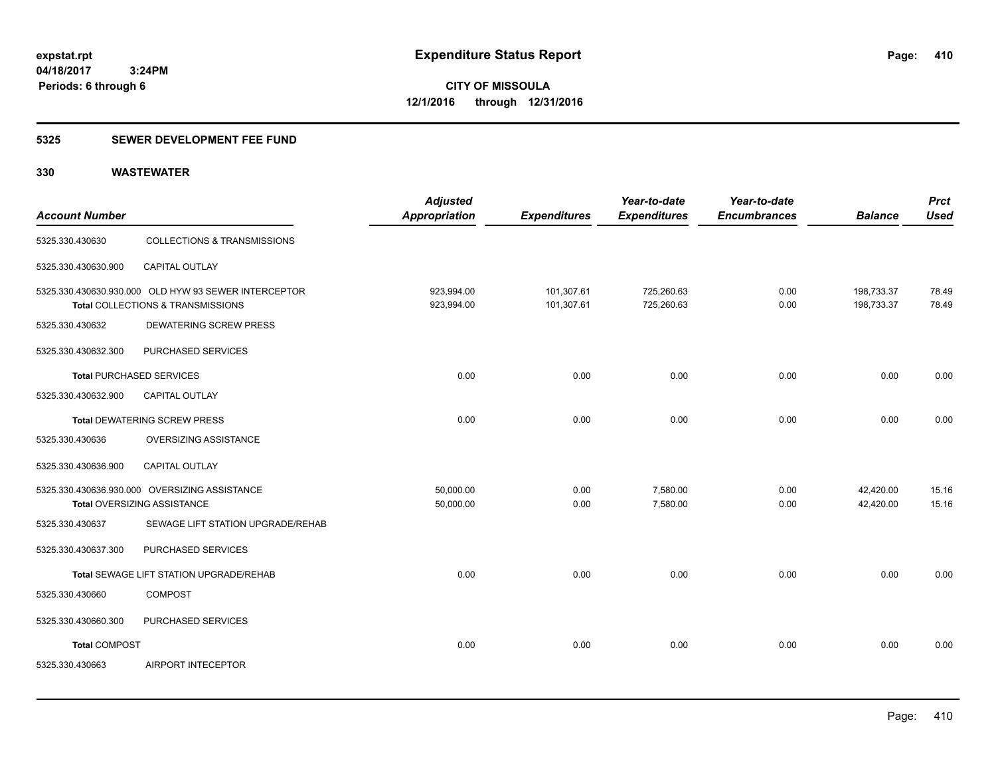# **5325 SEWER DEVELOPMENT FEE FUND**

| <b>Account Number</b>    |                                                                                           | <b>Adjusted</b><br>Appropriation | <b>Expenditures</b>      | Year-to-date<br><b>Expenditures</b> | Year-to-date<br><b>Encumbrances</b> | <b>Balance</b>           | <b>Prct</b><br><b>Used</b> |
|--------------------------|-------------------------------------------------------------------------------------------|----------------------------------|--------------------------|-------------------------------------|-------------------------------------|--------------------------|----------------------------|
| 5325.330.430630          | <b>COLLECTIONS &amp; TRANSMISSIONS</b>                                                    |                                  |                          |                                     |                                     |                          |                            |
| 5325.330.430630.900      | CAPITAL OUTLAY                                                                            |                                  |                          |                                     |                                     |                          |                            |
|                          | 5325.330.430630.930.000 OLD HYW 93 SEWER INTERCEPTOR<br>Total COLLECTIONS & TRANSMISSIONS | 923,994.00<br>923,994.00         | 101,307.61<br>101,307.61 | 725,260.63<br>725,260.63            | 0.00<br>0.00                        | 198,733.37<br>198,733.37 | 78.49<br>78.49             |
| 5325.330.430632          | <b>DEWATERING SCREW PRESS</b>                                                             |                                  |                          |                                     |                                     |                          |                            |
| 5325.330.430632.300      | PURCHASED SERVICES                                                                        |                                  |                          |                                     |                                     |                          |                            |
| Total PURCHASED SERVICES |                                                                                           | 0.00                             | 0.00                     | 0.00                                | 0.00                                | 0.00                     | 0.00                       |
| 5325.330.430632.900      | <b>CAPITAL OUTLAY</b>                                                                     |                                  |                          |                                     |                                     |                          |                            |
|                          | Total DEWATERING SCREW PRESS                                                              | 0.00                             | 0.00                     | 0.00                                | 0.00                                | 0.00                     | 0.00                       |
| 5325.330.430636          | OVERSIZING ASSISTANCE                                                                     |                                  |                          |                                     |                                     |                          |                            |
| 5325.330.430636.900      | <b>CAPITAL OUTLAY</b>                                                                     |                                  |                          |                                     |                                     |                          |                            |
|                          | 5325.330.430636.930.000 OVERSIZING ASSISTANCE<br>Total OVERSIZING ASSISTANCE              | 50,000.00<br>50,000.00           | 0.00<br>0.00             | 7,580.00<br>7,580.00                | 0.00<br>0.00                        | 42,420.00<br>42,420.00   | 15.16<br>15.16             |
| 5325.330.430637          | SEWAGE LIFT STATION UPGRADE/REHAB                                                         |                                  |                          |                                     |                                     |                          |                            |
| 5325.330.430637.300      | PURCHASED SERVICES                                                                        |                                  |                          |                                     |                                     |                          |                            |
|                          | Total SEWAGE LIFT STATION UPGRADE/REHAB                                                   | 0.00                             | 0.00                     | 0.00                                | 0.00                                | 0.00                     | 0.00                       |
| 5325.330.430660          | <b>COMPOST</b>                                                                            |                                  |                          |                                     |                                     |                          |                            |
| 5325.330.430660.300      | PURCHASED SERVICES                                                                        |                                  |                          |                                     |                                     |                          |                            |
| <b>Total COMPOST</b>     |                                                                                           | 0.00                             | 0.00                     | 0.00                                | 0.00                                | 0.00                     | 0.00                       |
| 5325.330.430663          | AIRPORT INTECEPTOR                                                                        |                                  |                          |                                     |                                     |                          |                            |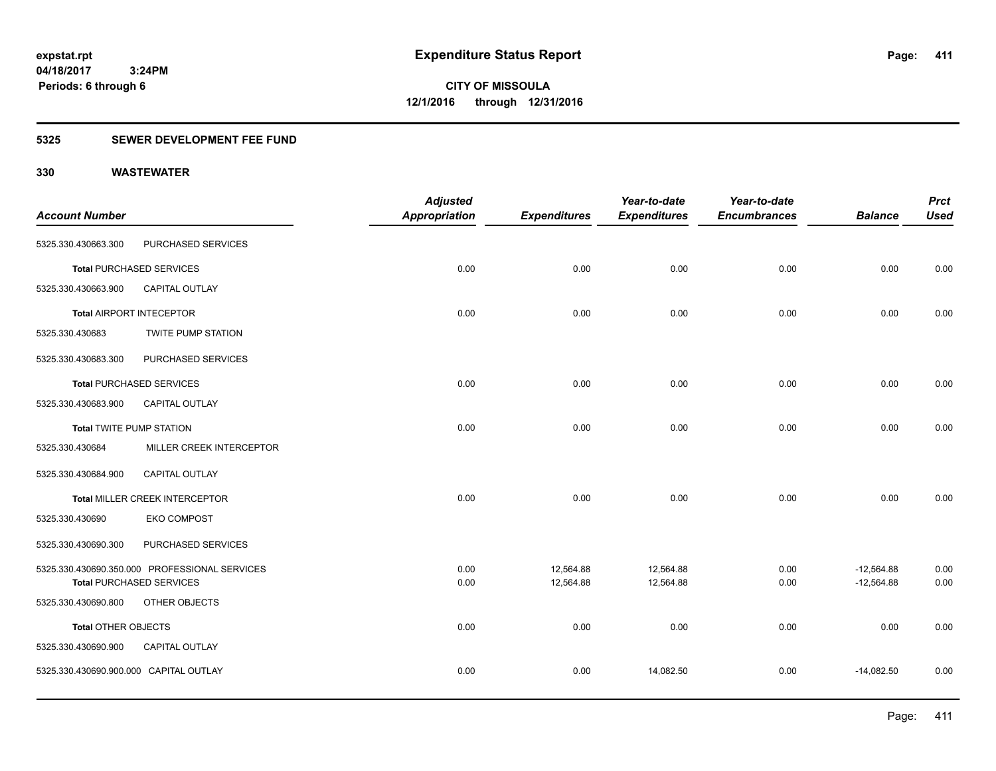**Periods: 6 through 6**

**CITY OF MISSOULA 12/1/2016 through 12/31/2016**

# **5325 SEWER DEVELOPMENT FEE FUND**

|                                        |                                               | <b>Adjusted</b>      |                     | Year-to-date        | Year-to-date        |                | <b>Prct</b> |
|----------------------------------------|-----------------------------------------------|----------------------|---------------------|---------------------|---------------------|----------------|-------------|
| <b>Account Number</b>                  |                                               | <b>Appropriation</b> | <b>Expenditures</b> | <b>Expenditures</b> | <b>Encumbrances</b> | <b>Balance</b> | <b>Used</b> |
| 5325.330.430663.300                    | PURCHASED SERVICES                            |                      |                     |                     |                     |                |             |
|                                        | <b>Total PURCHASED SERVICES</b>               | 0.00                 | 0.00                | 0.00                | 0.00                | 0.00           | 0.00        |
| 5325.330.430663.900                    | CAPITAL OUTLAY                                |                      |                     |                     |                     |                |             |
|                                        | <b>Total AIRPORT INTECEPTOR</b>               | 0.00                 | 0.00                | 0.00                | 0.00                | 0.00           | 0.00        |
| 5325.330.430683                        | <b>TWITE PUMP STATION</b>                     |                      |                     |                     |                     |                |             |
| 5325.330.430683.300                    | PURCHASED SERVICES                            |                      |                     |                     |                     |                |             |
|                                        | <b>Total PURCHASED SERVICES</b>               | 0.00                 | 0.00                | 0.00                | 0.00                | 0.00           | 0.00        |
| 5325.330.430683.900                    | <b>CAPITAL OUTLAY</b>                         |                      |                     |                     |                     |                |             |
| <b>Total TWITE PUMP STATION</b>        |                                               | 0.00                 | 0.00                | 0.00                | 0.00                | 0.00           | 0.00        |
| 5325.330.430684                        | MILLER CREEK INTERCEPTOR                      |                      |                     |                     |                     |                |             |
| 5325.330.430684.900                    | CAPITAL OUTLAY                                |                      |                     |                     |                     |                |             |
|                                        | Total MILLER CREEK INTERCEPTOR                | 0.00                 | 0.00                | 0.00                | 0.00                | 0.00           | 0.00        |
| 5325.330.430690                        | <b>EKO COMPOST</b>                            |                      |                     |                     |                     |                |             |
| 5325.330.430690.300                    | PURCHASED SERVICES                            |                      |                     |                     |                     |                |             |
|                                        | 5325.330.430690.350.000 PROFESSIONAL SERVICES | 0.00                 | 12,564.88           | 12,564.88           | 0.00                | $-12,564.88$   | 0.00        |
|                                        | <b>Total PURCHASED SERVICES</b>               | 0.00                 | 12,564.88           | 12,564.88           | 0.00                | $-12,564.88$   | 0.00        |
| 5325.330.430690.800                    | OTHER OBJECTS                                 |                      |                     |                     |                     |                |             |
| <b>Total OTHER OBJECTS</b>             |                                               | 0.00                 | 0.00                | 0.00                | 0.00                | 0.00           | 0.00        |
| 5325.330.430690.900                    | CAPITAL OUTLAY                                |                      |                     |                     |                     |                |             |
| 5325.330.430690.900.000 CAPITAL OUTLAY |                                               | 0.00                 | 0.00                | 14,082.50           | 0.00                | $-14,082.50$   | 0.00        |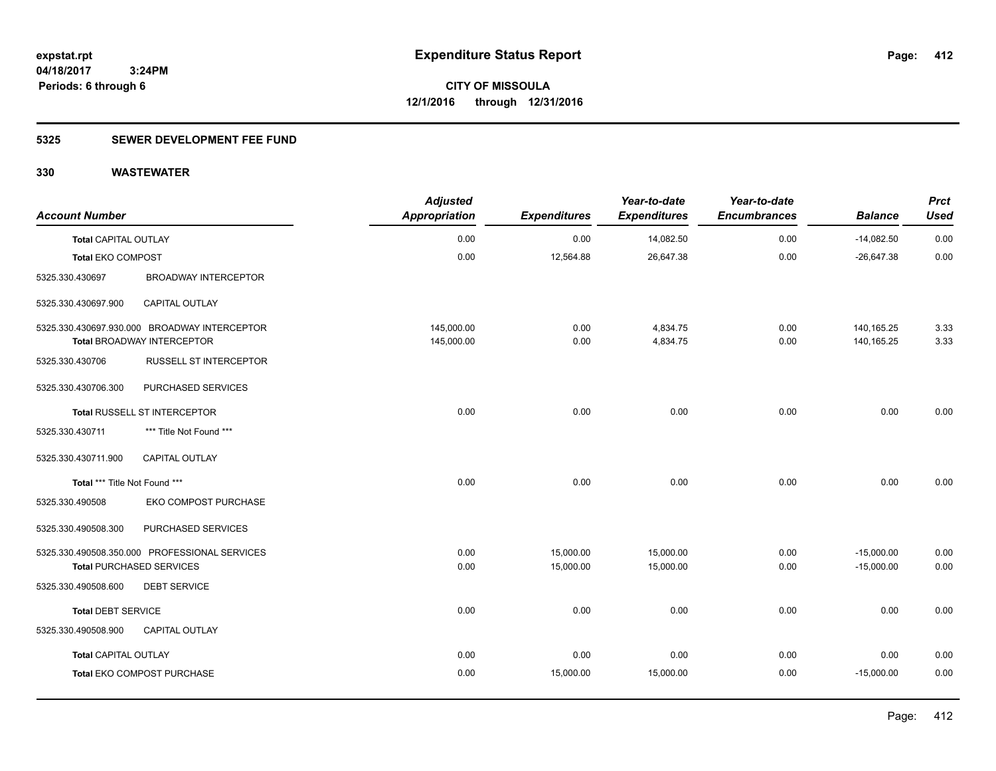# **5325 SEWER DEVELOPMENT FEE FUND**

| <b>Account Number</b>         |                                               | <b>Adjusted</b><br>Appropriation | <b>Expenditures</b> | Year-to-date<br><b>Expenditures</b> | Year-to-date<br><b>Encumbrances</b> | <b>Balance</b> | <b>Prct</b><br><b>Used</b> |
|-------------------------------|-----------------------------------------------|----------------------------------|---------------------|-------------------------------------|-------------------------------------|----------------|----------------------------|
| <b>Total CAPITAL OUTLAY</b>   |                                               | 0.00                             | 0.00                | 14,082.50                           | 0.00                                | $-14,082.50$   | 0.00                       |
| <b>Total EKO COMPOST</b>      |                                               | 0.00                             | 12,564.88           | 26,647.38                           | 0.00                                | $-26,647.38$   | 0.00                       |
| 5325.330.430697               | <b>BROADWAY INTERCEPTOR</b>                   |                                  |                     |                                     |                                     |                |                            |
| 5325.330.430697.900           | CAPITAL OUTLAY                                |                                  |                     |                                     |                                     |                |                            |
|                               | 5325.330.430697.930.000 BROADWAY INTERCEPTOR  | 145,000.00                       | 0.00                | 4,834.75                            | 0.00                                | 140,165.25     | 3.33                       |
|                               | <b>Total BROADWAY INTERCEPTOR</b>             | 145,000.00                       | 0.00                | 4,834.75                            | 0.00                                | 140,165.25     | 3.33                       |
| 5325.330.430706               | <b>RUSSELL ST INTERCEPTOR</b>                 |                                  |                     |                                     |                                     |                |                            |
| 5325.330.430706.300           | PURCHASED SERVICES                            |                                  |                     |                                     |                                     |                |                            |
|                               | Total RUSSELL ST INTERCEPTOR                  | 0.00                             | 0.00                | 0.00                                | 0.00                                | 0.00           | 0.00                       |
| 5325.330.430711               | *** Title Not Found ***                       |                                  |                     |                                     |                                     |                |                            |
| 5325.330.430711.900           | <b>CAPITAL OUTLAY</b>                         |                                  |                     |                                     |                                     |                |                            |
| Total *** Title Not Found *** |                                               | 0.00                             | 0.00                | 0.00                                | 0.00                                | 0.00           | 0.00                       |
| 5325.330.490508               | EKO COMPOST PURCHASE                          |                                  |                     |                                     |                                     |                |                            |
| 5325.330.490508.300           | PURCHASED SERVICES                            |                                  |                     |                                     |                                     |                |                            |
|                               | 5325.330.490508.350.000 PROFESSIONAL SERVICES | 0.00                             | 15,000.00           | 15,000.00                           | 0.00                                | $-15,000.00$   | 0.00                       |
|                               | <b>Total PURCHASED SERVICES</b>               | 0.00                             | 15,000.00           | 15,000.00                           | 0.00                                | $-15,000.00$   | 0.00                       |
| 5325.330.490508.600           | <b>DEBT SERVICE</b>                           |                                  |                     |                                     |                                     |                |                            |
| <b>Total DEBT SERVICE</b>     |                                               | 0.00                             | 0.00                | 0.00                                | 0.00                                | 0.00           | 0.00                       |
| 5325.330.490508.900           | <b>CAPITAL OUTLAY</b>                         |                                  |                     |                                     |                                     |                |                            |
| <b>Total CAPITAL OUTLAY</b>   |                                               | 0.00                             | 0.00                | 0.00                                | 0.00                                | 0.00           | 0.00                       |
|                               | Total EKO COMPOST PURCHASE                    | 0.00                             | 15,000.00           | 15,000.00                           | 0.00                                | $-15,000.00$   | 0.00                       |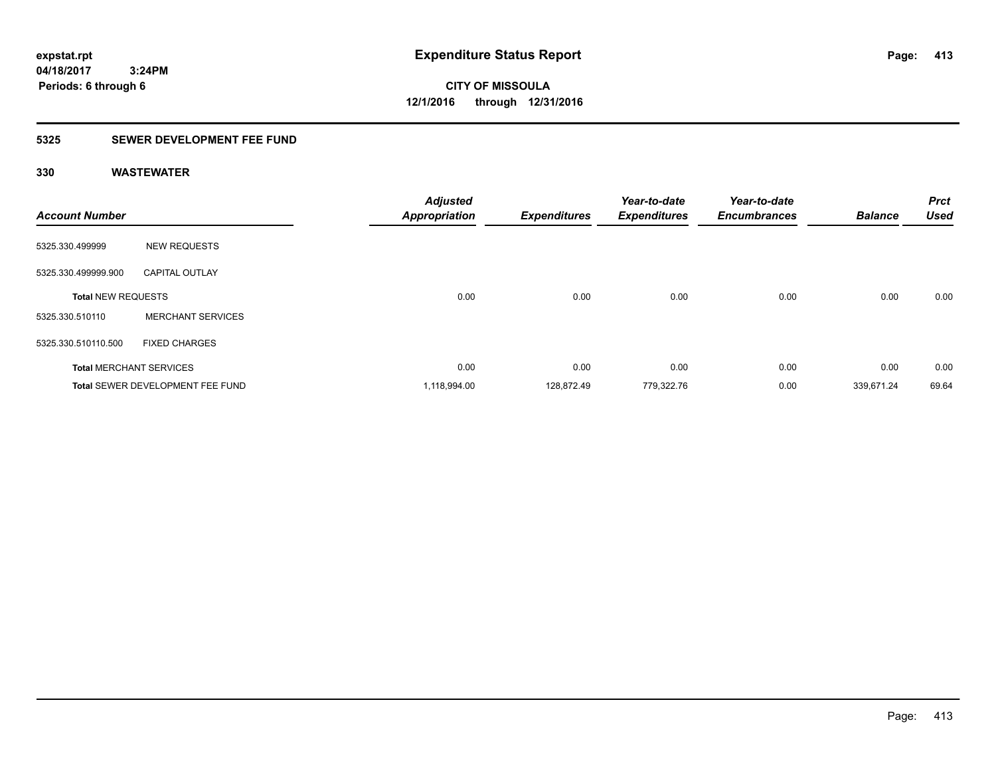**CITY OF MISSOULA 12/1/2016 through 12/31/2016**

# **5325 SEWER DEVELOPMENT FEE FUND**

| <b>Account Number</b>          |                                  | <b>Adjusted</b><br><b>Appropriation</b> | <b>Expenditures</b> | Year-to-date<br><b>Expenditures</b> | Year-to-date<br><b>Encumbrances</b> | <b>Balance</b> | <b>Prct</b><br><b>Used</b> |
|--------------------------------|----------------------------------|-----------------------------------------|---------------------|-------------------------------------|-------------------------------------|----------------|----------------------------|
| 5325.330.499999                | <b>NEW REQUESTS</b>              |                                         |                     |                                     |                                     |                |                            |
| 5325.330.499999.900            | <b>CAPITAL OUTLAY</b>            |                                         |                     |                                     |                                     |                |                            |
| <b>Total NEW REQUESTS</b>      |                                  | 0.00                                    | 0.00                | 0.00                                | 0.00                                | 0.00           | 0.00                       |
| 5325.330.510110                | <b>MERCHANT SERVICES</b>         |                                         |                     |                                     |                                     |                |                            |
| 5325.330.510110.500            | <b>FIXED CHARGES</b>             |                                         |                     |                                     |                                     |                |                            |
| <b>Total MERCHANT SERVICES</b> |                                  | 0.00                                    | 0.00                | 0.00                                | 0.00                                | 0.00           | 0.00                       |
|                                | Total SEWER DEVELOPMENT FEE FUND | 1,118,994.00                            | 128.872.49          | 779,322.76                          | 0.00                                | 339,671.24     | 69.64                      |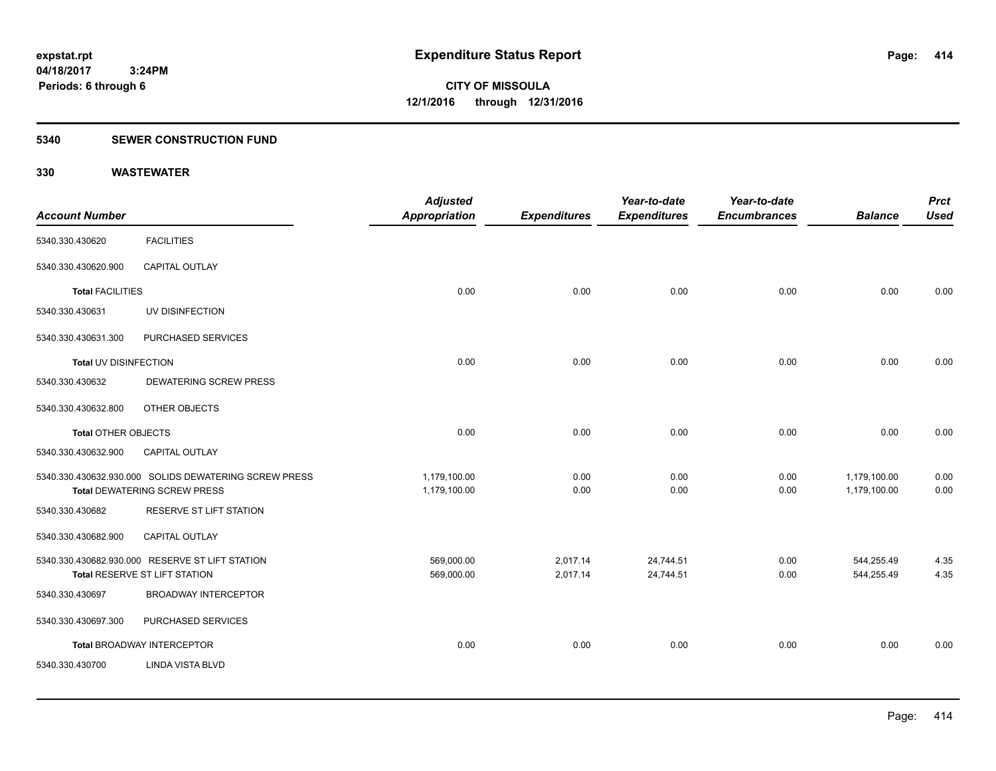# **5340 SEWER CONSTRUCTION FUND**

| <b>Account Number</b>      |                                                                                              | <b>Adjusted</b><br><b>Appropriation</b> | <b>Expenditures</b>  | Year-to-date<br><b>Expenditures</b> | Year-to-date<br><b>Encumbrances</b> | <b>Balance</b>               | <b>Prct</b><br><b>Used</b> |
|----------------------------|----------------------------------------------------------------------------------------------|-----------------------------------------|----------------------|-------------------------------------|-------------------------------------|------------------------------|----------------------------|
| 5340.330.430620            | <b>FACILITIES</b>                                                                            |                                         |                      |                                     |                                     |                              |                            |
| 5340.330.430620.900        | <b>CAPITAL OUTLAY</b>                                                                        |                                         |                      |                                     |                                     |                              |                            |
| <b>Total FACILITIES</b>    |                                                                                              | 0.00                                    | 0.00                 | 0.00                                | 0.00                                | 0.00                         | 0.00                       |
| 5340.330.430631            | UV DISINFECTION                                                                              |                                         |                      |                                     |                                     |                              |                            |
| 5340.330.430631.300        | PURCHASED SERVICES                                                                           |                                         |                      |                                     |                                     |                              |                            |
| Total UV DISINFECTION      |                                                                                              | 0.00                                    | 0.00                 | 0.00                                | 0.00                                | 0.00                         | 0.00                       |
| 5340.330.430632            | <b>DEWATERING SCREW PRESS</b>                                                                |                                         |                      |                                     |                                     |                              |                            |
| 5340.330.430632.800        | <b>OTHER OBJECTS</b>                                                                         |                                         |                      |                                     |                                     |                              |                            |
| <b>Total OTHER OBJECTS</b> |                                                                                              | 0.00                                    | 0.00                 | 0.00                                | 0.00                                | 0.00                         | 0.00                       |
| 5340.330.430632.900        | CAPITAL OUTLAY                                                                               |                                         |                      |                                     |                                     |                              |                            |
|                            | 5340.330.430632.930.000 SOLIDS DEWATERING SCREW PRESS<br><b>Total DEWATERING SCREW PRESS</b> | 1,179,100.00<br>1,179,100.00            | 0.00<br>0.00         | 0.00<br>0.00                        | 0.00<br>0.00                        | 1,179,100.00<br>1,179,100.00 | 0.00<br>0.00               |
| 5340.330.430682            | RESERVE ST LIFT STATION                                                                      |                                         |                      |                                     |                                     |                              |                            |
| 5340.330.430682.900        | <b>CAPITAL OUTLAY</b>                                                                        |                                         |                      |                                     |                                     |                              |                            |
|                            | 5340.330.430682.930.000 RESERVE ST LIFT STATION<br>Total RESERVE ST LIFT STATION             | 569,000.00<br>569,000.00                | 2,017.14<br>2,017.14 | 24,744.51<br>24,744.51              | 0.00<br>0.00                        | 544,255.49<br>544,255.49     | 4.35<br>4.35               |
| 5340.330.430697            | <b>BROADWAY INTERCEPTOR</b>                                                                  |                                         |                      |                                     |                                     |                              |                            |
| 5340.330.430697.300        | PURCHASED SERVICES                                                                           |                                         |                      |                                     |                                     |                              |                            |
|                            | <b>Total BROADWAY INTERCEPTOR</b>                                                            | 0.00                                    | 0.00                 | 0.00                                | 0.00                                | 0.00                         | 0.00                       |
| 5340.330.430700            | <b>LINDA VISTA BLVD</b>                                                                      |                                         |                      |                                     |                                     |                              |                            |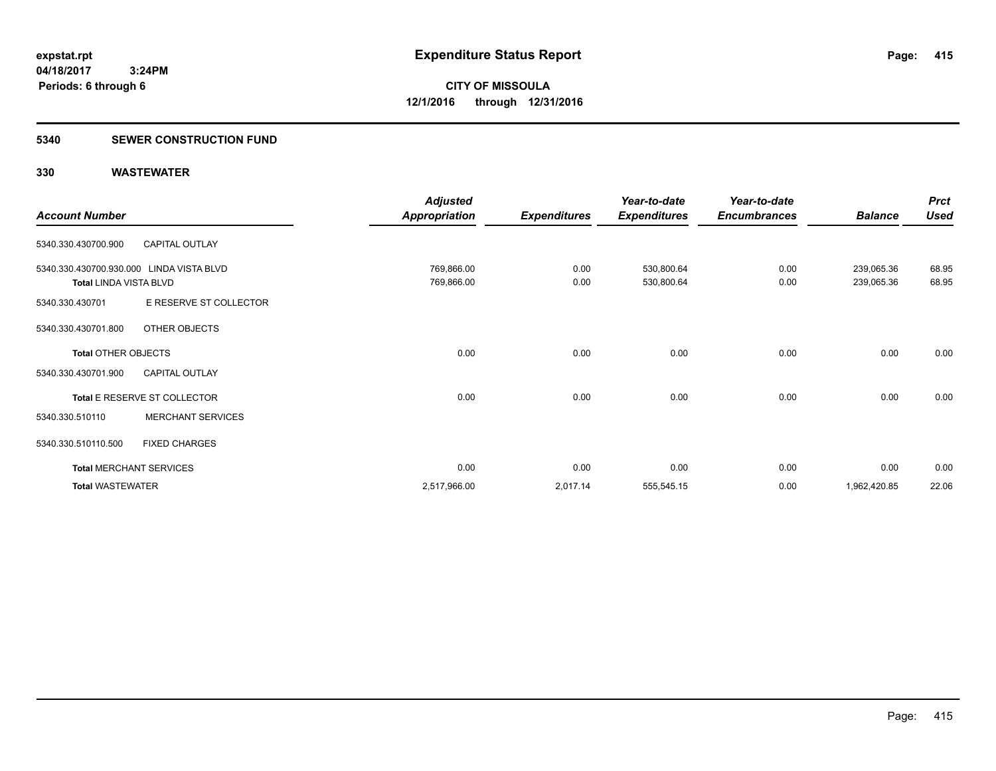# **5340 SEWER CONSTRUCTION FUND**

|                                          |                                | <b>Adjusted</b>      |                     | Year-to-date        | Year-to-date        |                | <b>Prct</b> |
|------------------------------------------|--------------------------------|----------------------|---------------------|---------------------|---------------------|----------------|-------------|
| <b>Account Number</b>                    |                                | <b>Appropriation</b> | <b>Expenditures</b> | <b>Expenditures</b> | <b>Encumbrances</b> | <b>Balance</b> | <b>Used</b> |
| 5340.330.430700.900                      | <b>CAPITAL OUTLAY</b>          |                      |                     |                     |                     |                |             |
| 5340.330.430700.930.000 LINDA VISTA BLVD |                                | 769,866.00           | 0.00                | 530,800.64          | 0.00                | 239,065.36     | 68.95       |
| <b>Total LINDA VISTA BLVD</b>            |                                | 769,866.00           | 0.00                | 530,800.64          | 0.00                | 239,065.36     | 68.95       |
| 5340.330.430701                          | E RESERVE ST COLLECTOR         |                      |                     |                     |                     |                |             |
| 5340.330.430701.800                      | OTHER OBJECTS                  |                      |                     |                     |                     |                |             |
| <b>Total OTHER OBJECTS</b>               |                                | 0.00                 | 0.00                | 0.00                | 0.00                | 0.00           | 0.00        |
| 5340.330.430701.900                      | <b>CAPITAL OUTLAY</b>          |                      |                     |                     |                     |                |             |
|                                          | Total E RESERVE ST COLLECTOR   | 0.00                 | 0.00                | 0.00                | 0.00                | 0.00           | 0.00        |
| 5340.330.510110                          | <b>MERCHANT SERVICES</b>       |                      |                     |                     |                     |                |             |
| 5340.330.510110.500                      | <b>FIXED CHARGES</b>           |                      |                     |                     |                     |                |             |
|                                          | <b>Total MERCHANT SERVICES</b> | 0.00                 | 0.00                | 0.00                | 0.00                | 0.00           | 0.00        |
| <b>Total WASTEWATER</b>                  |                                | 2,517,966.00         | 2,017.14            | 555,545.15          | 0.00                | 1,962,420.85   | 22.06       |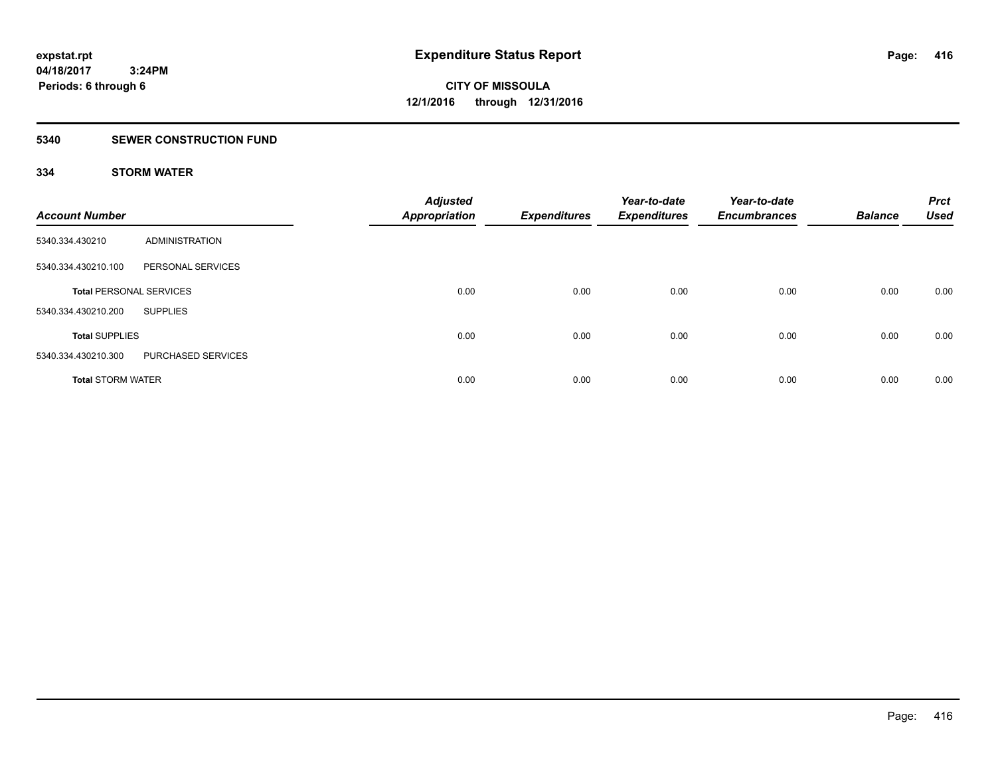# **5340 SEWER CONSTRUCTION FUND**

# **334 STORM WATER**

| <b>Account Number</b>          |                    | <b>Adjusted</b><br><b>Appropriation</b> | <b>Expenditures</b> | Year-to-date<br><b>Expenditures</b> | Year-to-date<br><b>Encumbrances</b> | <b>Balance</b> | <b>Prct</b><br><b>Used</b> |
|--------------------------------|--------------------|-----------------------------------------|---------------------|-------------------------------------|-------------------------------------|----------------|----------------------------|
| 5340.334.430210                | ADMINISTRATION     |                                         |                     |                                     |                                     |                |                            |
| 5340.334.430210.100            | PERSONAL SERVICES  |                                         |                     |                                     |                                     |                |                            |
| <b>Total PERSONAL SERVICES</b> |                    | 0.00                                    | 0.00                | 0.00                                | 0.00                                | 0.00           | 0.00                       |
| 5340.334.430210.200            | <b>SUPPLIES</b>    |                                         |                     |                                     |                                     |                |                            |
| <b>Total SUPPLIES</b>          |                    | 0.00                                    | 0.00                | 0.00                                | 0.00                                | 0.00           | 0.00                       |
| 5340.334.430210.300            | PURCHASED SERVICES |                                         |                     |                                     |                                     |                |                            |
| <b>Total STORM WATER</b>       |                    | 0.00                                    | 0.00                | 0.00                                | 0.00                                | 0.00           | 0.00                       |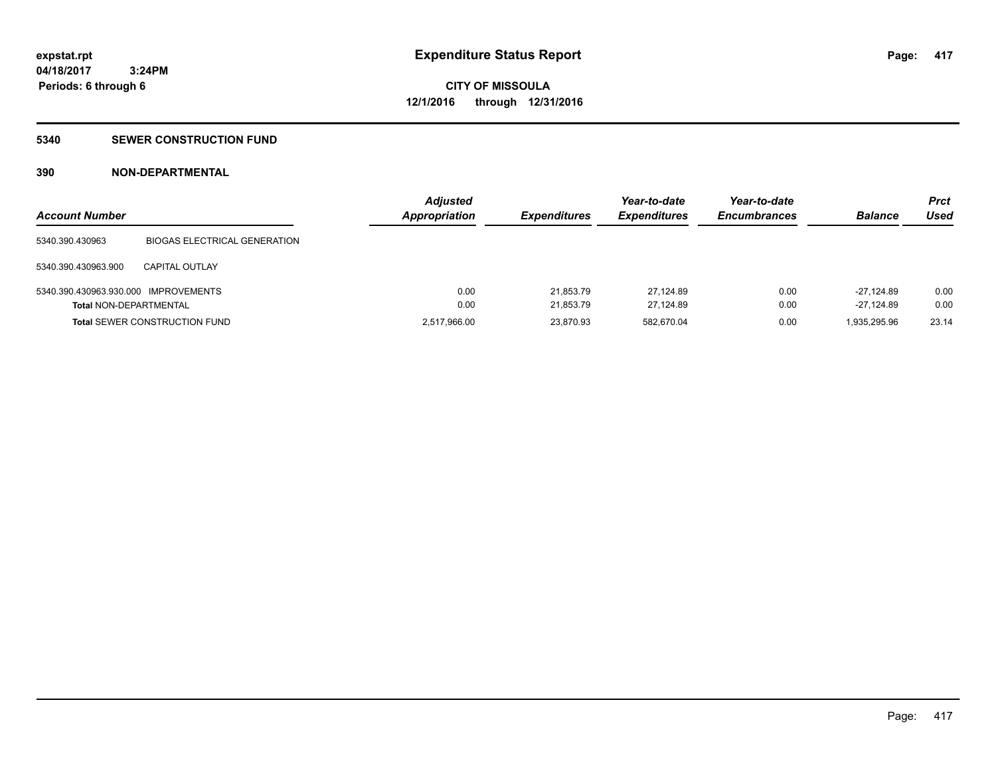# **5340 SEWER CONSTRUCTION FUND**

# **390 NON-DEPARTMENTAL**

| <b>Account Number</b>                |                                      | <b>Adjusted</b><br><b>Appropriation</b> | <b>Expenditures</b> | Year-to-date<br><b>Expenditures</b> | Year-to-date<br><b>Encumbrances</b> | <b>Balance</b> | <b>Prct</b><br>Used |
|--------------------------------------|--------------------------------------|-----------------------------------------|---------------------|-------------------------------------|-------------------------------------|----------------|---------------------|
| 5340.390.430963                      | <b>BIOGAS ELECTRICAL GENERATION</b>  |                                         |                     |                                     |                                     |                |                     |
| 5340.390.430963.900                  | CAPITAL OUTLAY                       |                                         |                     |                                     |                                     |                |                     |
| 5340.390.430963.930.000 IMPROVEMENTS |                                      | 0.00                                    | 21.853.79           | 27.124.89                           | 0.00                                | $-27.124.89$   | 0.00                |
| <b>Total NON-DEPARTMENTAL</b>        |                                      | 0.00                                    | 21.853.79           | 27.124.89                           | 0.00                                | -27.124.89     | 0.00                |
|                                      | <b>Total SEWER CONSTRUCTION FUND</b> | 2,517,966.00                            | 23,870.93           | 582,670.04                          | 0.00                                | 1,935,295.96   | 23.14               |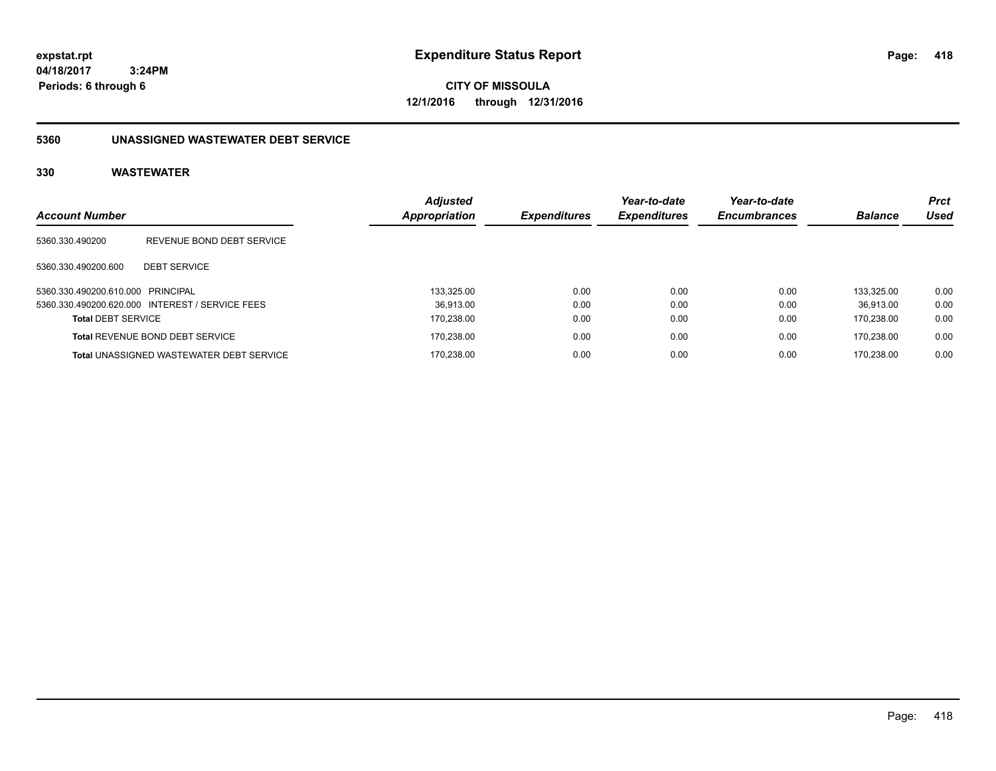**CITY OF MISSOULA 12/1/2016 through 12/31/2016**

# **5360 UNASSIGNED WASTEWATER DEBT SERVICE**

| <b>Account Number</b>             |                                                 | <b>Adjusted</b><br>Appropriation | <b>Expenditures</b> | Year-to-date<br><b>Expenditures</b> | Year-to-date<br><b>Encumbrances</b> | <b>Balance</b> | <b>Prct</b><br>Used |
|-----------------------------------|-------------------------------------------------|----------------------------------|---------------------|-------------------------------------|-------------------------------------|----------------|---------------------|
| 5360.330.490200                   | REVENUE BOND DEBT SERVICE                       |                                  |                     |                                     |                                     |                |                     |
| 5360.330.490200.600               | <b>DEBT SERVICE</b>                             |                                  |                     |                                     |                                     |                |                     |
| 5360.330.490200.610.000 PRINCIPAL |                                                 | 133.325.00                       | 0.00                | 0.00                                | 0.00                                | 133.325.00     | 0.00                |
|                                   | 5360.330.490200.620.000 INTEREST / SERVICE FEES | 36.913.00                        | 0.00                | 0.00                                | 0.00                                | 36.913.00      | 0.00                |
| <b>Total DEBT SERVICE</b>         |                                                 | 170,238.00                       | 0.00                | 0.00                                | 0.00                                | 170.238.00     | 0.00                |
|                                   | <b>Total REVENUE BOND DEBT SERVICE</b>          | 170,238.00                       | 0.00                | 0.00                                | 0.00                                | 170.238.00     | 0.00                |
|                                   | <b>Total UNASSIGNED WASTEWATER DEBT SERVICE</b> | 170.238.00                       | 0.00                | 0.00                                | 0.00                                | 170.238.00     | 0.00                |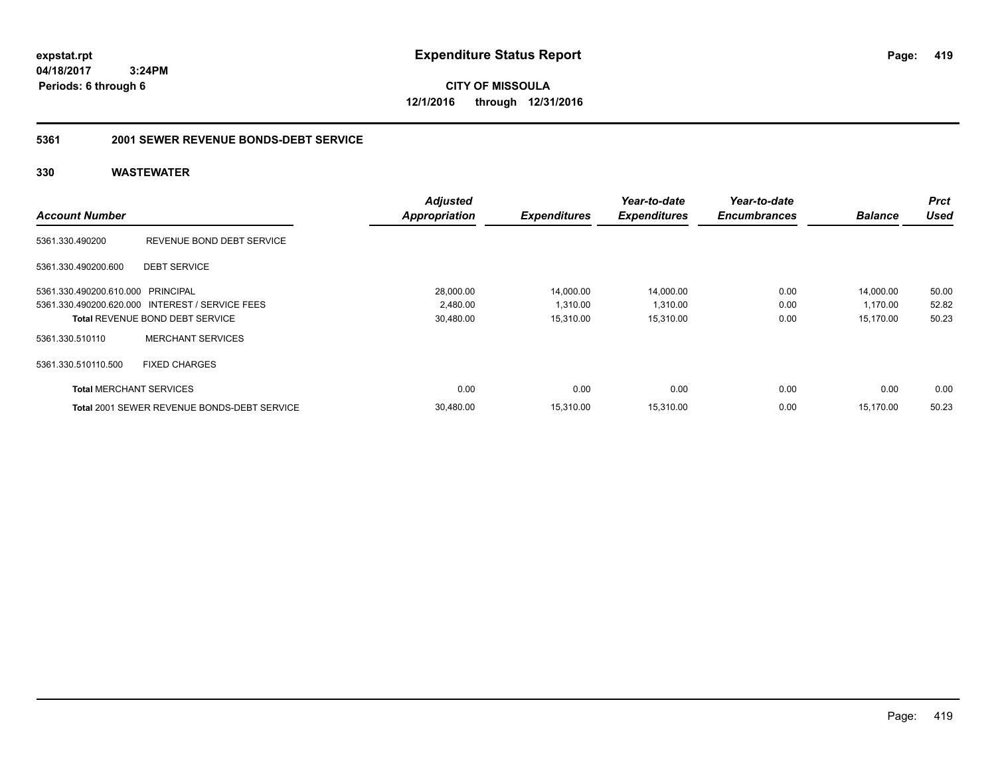**CITY OF MISSOULA 12/1/2016 through 12/31/2016**

# **5361 2001 SEWER REVENUE BONDS-DEBT SERVICE**

|                                   |                                                    | <b>Adjusted</b>      |                     | Year-to-date        | Year-to-date        |                | Prct  |
|-----------------------------------|----------------------------------------------------|----------------------|---------------------|---------------------|---------------------|----------------|-------|
| <b>Account Number</b>             |                                                    | <b>Appropriation</b> | <b>Expenditures</b> | <b>Expenditures</b> | <b>Encumbrances</b> | <b>Balance</b> | Used  |
| 5361.330.490200                   | REVENUE BOND DEBT SERVICE                          |                      |                     |                     |                     |                |       |
| 5361.330.490200.600               | <b>DEBT SERVICE</b>                                |                      |                     |                     |                     |                |       |
| 5361.330.490200.610.000 PRINCIPAL |                                                    | 28,000.00            | 14,000.00           | 14,000.00           | 0.00                | 14,000.00      | 50.00 |
|                                   | 5361.330.490200.620.000 INTEREST / SERVICE FEES    | 2,480.00             | 1,310.00            | 1,310.00            | 0.00                | 1,170.00       | 52.82 |
|                                   | <b>Total REVENUE BOND DEBT SERVICE</b>             | 30,480.00            | 15,310.00           | 15,310.00           | 0.00                | 15,170.00      | 50.23 |
| 5361.330.510110                   | <b>MERCHANT SERVICES</b>                           |                      |                     |                     |                     |                |       |
| 5361.330.510110.500               | <b>FIXED CHARGES</b>                               |                      |                     |                     |                     |                |       |
| <b>Total MERCHANT SERVICES</b>    |                                                    | 0.00                 | 0.00                | 0.00                | 0.00                | 0.00           | 0.00  |
|                                   | <b>Total 2001 SEWER REVENUE BONDS-DEBT SERVICE</b> | 30.480.00            | 15.310.00           | 15,310.00           | 0.00                | 15.170.00      | 50.23 |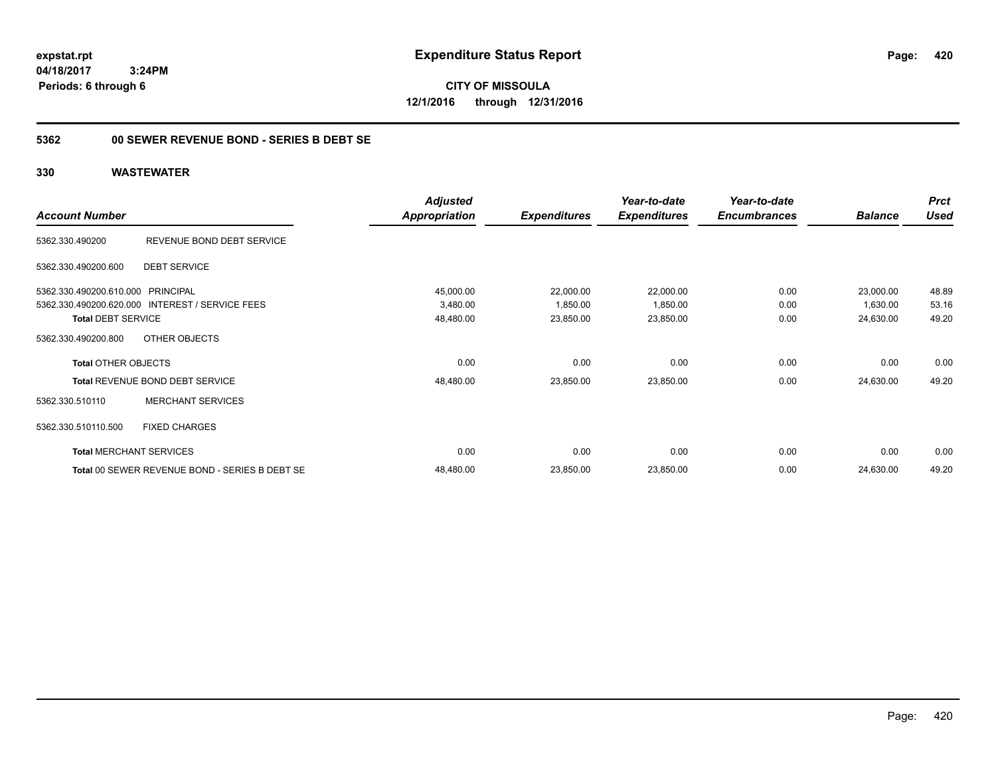**CITY OF MISSOULA 12/1/2016 through 12/31/2016**

# **5362 00 SEWER REVENUE BOND - SERIES B DEBT SE**

|                                                 | <b>Adjusted</b>      |                     | Year-to-date        | Year-to-date        |                | <b>Prct</b> |
|-------------------------------------------------|----------------------|---------------------|---------------------|---------------------|----------------|-------------|
| <b>Account Number</b>                           | <b>Appropriation</b> | <b>Expenditures</b> | <b>Expenditures</b> | <b>Encumbrances</b> | <b>Balance</b> | <b>Used</b> |
| REVENUE BOND DEBT SERVICE<br>5362.330.490200    |                      |                     |                     |                     |                |             |
| <b>DEBT SERVICE</b><br>5362.330.490200.600      |                      |                     |                     |                     |                |             |
| 5362.330.490200.610.000 PRINCIPAL               | 45,000.00            | 22,000.00           | 22,000.00           | 0.00                | 23,000.00      | 48.89       |
| 5362.330.490200.620.000 INTEREST / SERVICE FEES | 3,480.00             | 1,850.00            | 1,850.00            | 0.00                | 1,630.00       | 53.16       |
| <b>Total DEBT SERVICE</b>                       | 48,480.00            | 23,850.00           | 23,850.00           | 0.00                | 24,630.00      | 49.20       |
| OTHER OBJECTS<br>5362.330.490200.800            |                      |                     |                     |                     |                |             |
| <b>Total OTHER OBJECTS</b>                      | 0.00                 | 0.00                | 0.00                | 0.00                | 0.00           | 0.00        |
| Total REVENUE BOND DEBT SERVICE                 | 48,480.00            | 23,850.00           | 23,850.00           | 0.00                | 24,630.00      | 49.20       |
| <b>MERCHANT SERVICES</b><br>5362.330.510110     |                      |                     |                     |                     |                |             |
| 5362.330.510110.500<br><b>FIXED CHARGES</b>     |                      |                     |                     |                     |                |             |
| <b>Total MERCHANT SERVICES</b>                  | 0.00                 | 0.00                | 0.00                | 0.00                | 0.00           | 0.00        |
| Total 00 SEWER REVENUE BOND - SERIES B DEBT SE  | 48,480.00            | 23,850.00           | 23,850.00           | 0.00                | 24,630.00      | 49.20       |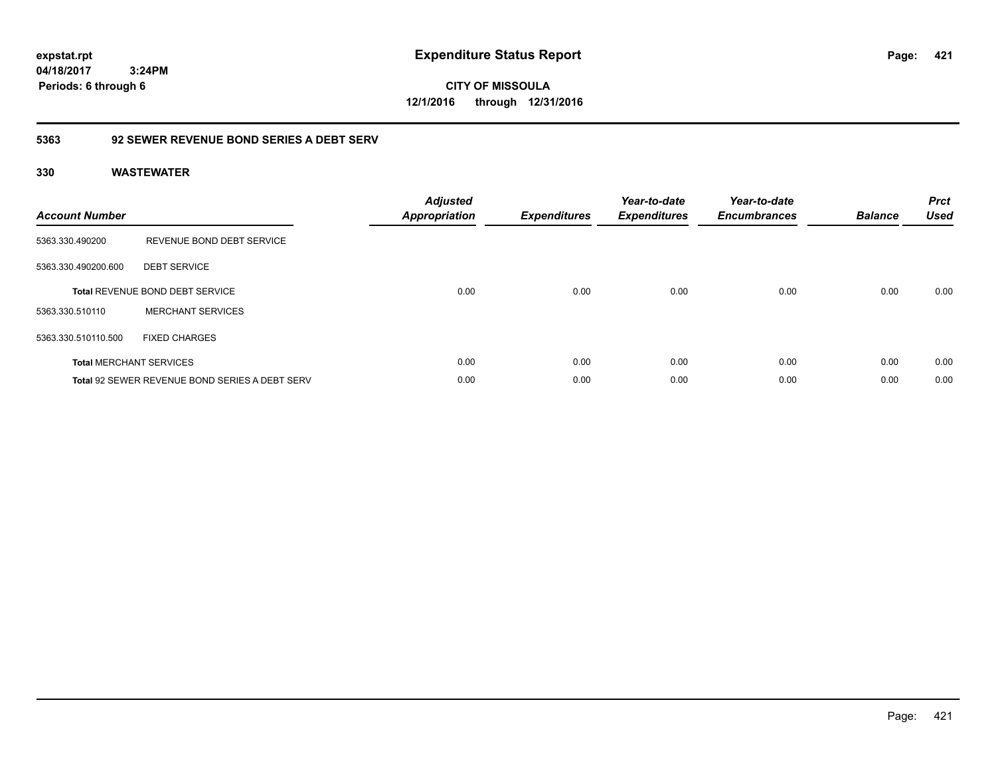**CITY OF MISSOULA 12/1/2016 through 12/31/2016**

# **5363 92 SEWER REVENUE BOND SERIES A DEBT SERV**

| <b>Account Number</b> |                                                       | <b>Adjusted</b><br><b>Appropriation</b> | <b>Expenditures</b> | Year-to-date<br><b>Expenditures</b> | Year-to-date<br><b>Encumbrances</b> | <b>Balance</b> | <b>Prct</b><br><b>Used</b> |
|-----------------------|-------------------------------------------------------|-----------------------------------------|---------------------|-------------------------------------|-------------------------------------|----------------|----------------------------|
| 5363.330.490200       | REVENUE BOND DEBT SERVICE                             |                                         |                     |                                     |                                     |                |                            |
| 5363.330.490200.600   | <b>DEBT SERVICE</b>                                   |                                         |                     |                                     |                                     |                |                            |
|                       | <b>Total REVENUE BOND DEBT SERVICE</b>                | 0.00                                    | 0.00                | 0.00                                | 0.00                                | 0.00           | 0.00                       |
| 5363.330.510110       | <b>MERCHANT SERVICES</b>                              |                                         |                     |                                     |                                     |                |                            |
| 5363.330.510110.500   | <b>FIXED CHARGES</b>                                  |                                         |                     |                                     |                                     |                |                            |
|                       | <b>Total MERCHANT SERVICES</b>                        | 0.00                                    | 0.00                | 0.00                                | 0.00                                | 0.00           | 0.00                       |
|                       | <b>Total 92 SEWER REVENUE BOND SERIES A DEBT SERV</b> | 0.00                                    | 0.00                | 0.00                                | 0.00                                | 0.00           | 0.00                       |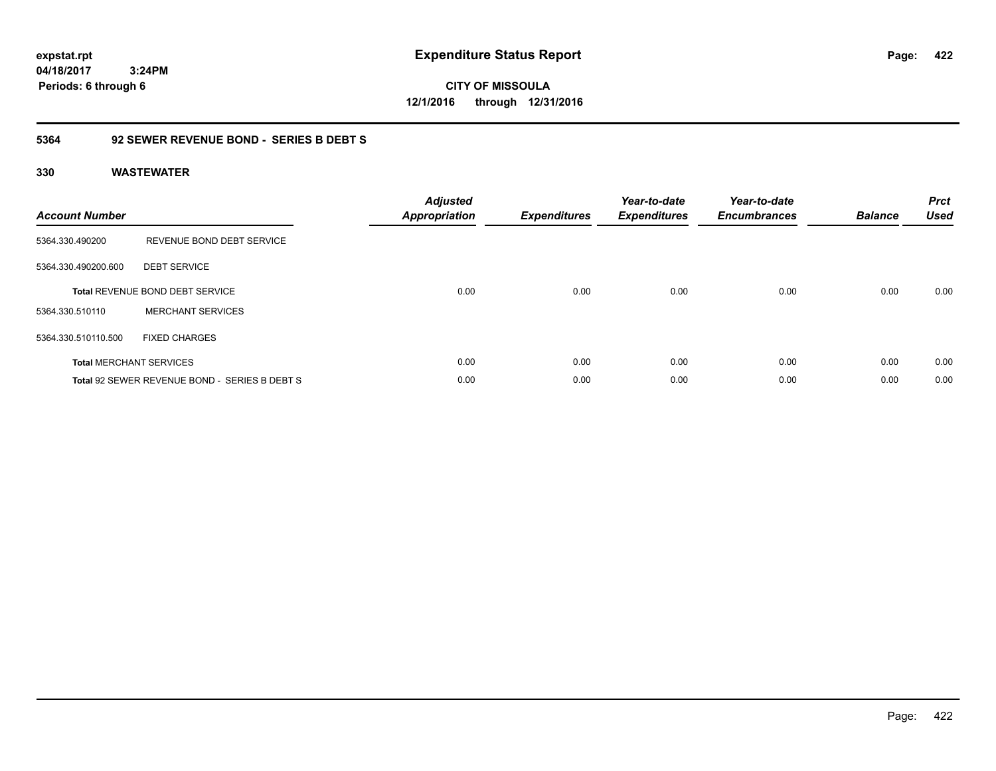**CITY OF MISSOULA 12/1/2016 through 12/31/2016**

# **5364 92 SEWER REVENUE BOND - SERIES B DEBT S**

| <b>Account Number</b> |                                               | <b>Adjusted</b><br>Appropriation | <b>Expenditures</b> | Year-to-date<br><b>Expenditures</b> | Year-to-date<br><b>Encumbrances</b> | <b>Balance</b> | <b>Prct</b><br><b>Used</b> |
|-----------------------|-----------------------------------------------|----------------------------------|---------------------|-------------------------------------|-------------------------------------|----------------|----------------------------|
| 5364.330.490200       | REVENUE BOND DEBT SERVICE                     |                                  |                     |                                     |                                     |                |                            |
| 5364.330.490200.600   | <b>DEBT SERVICE</b>                           |                                  |                     |                                     |                                     |                |                            |
|                       | Total REVENUE BOND DEBT SERVICE               | 0.00                             | 0.00                | 0.00                                | 0.00                                | 0.00           | 0.00                       |
| 5364.330.510110       | <b>MERCHANT SERVICES</b>                      |                                  |                     |                                     |                                     |                |                            |
| 5364.330.510110.500   | <b>FIXED CHARGES</b>                          |                                  |                     |                                     |                                     |                |                            |
|                       | <b>Total MERCHANT SERVICES</b>                | 0.00                             | 0.00                | 0.00                                | 0.00                                | 0.00           | 0.00                       |
|                       | Total 92 SEWER REVENUE BOND - SERIES B DEBT S | 0.00                             | 0.00                | 0.00                                | 0.00                                | 0.00           | 0.00                       |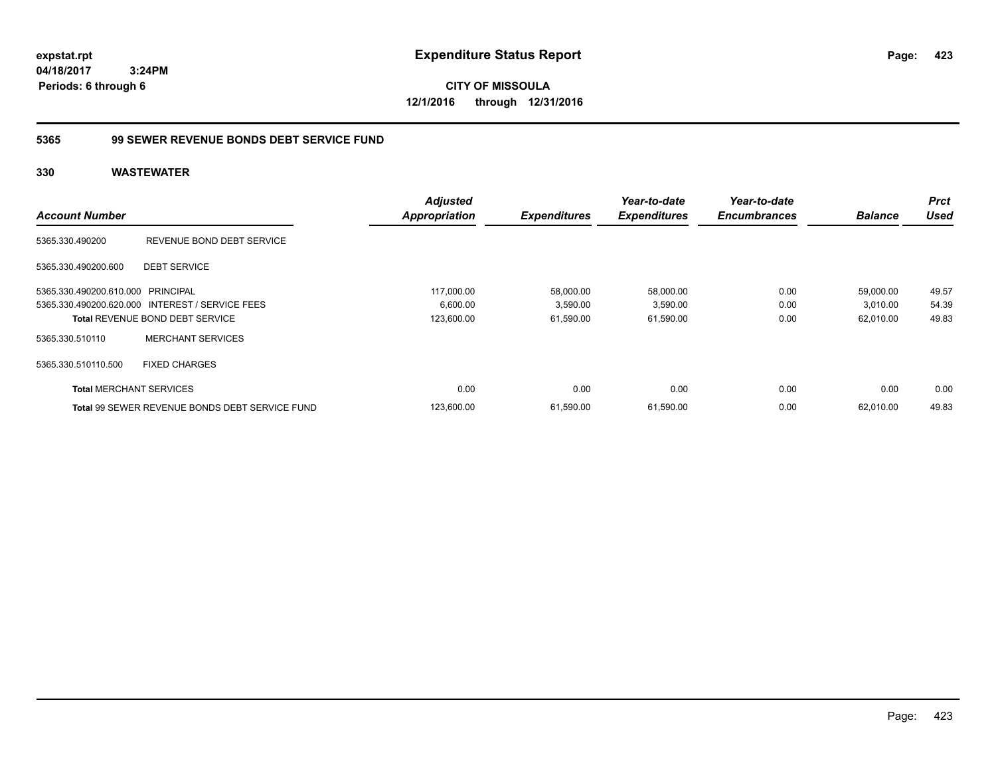**CITY OF MISSOULA 12/1/2016 through 12/31/2016**

# **5365 99 SEWER REVENUE BONDS DEBT SERVICE FUND**

|                                   |                                                       | <b>Adjusted</b>      |                     | Year-to-date        | Year-to-date        |                | <b>Prct</b> |
|-----------------------------------|-------------------------------------------------------|----------------------|---------------------|---------------------|---------------------|----------------|-------------|
| <b>Account Number</b>             |                                                       | <b>Appropriation</b> | <b>Expenditures</b> | <b>Expenditures</b> | <b>Encumbrances</b> | <b>Balance</b> | <b>Used</b> |
| 5365.330.490200                   | REVENUE BOND DEBT SERVICE                             |                      |                     |                     |                     |                |             |
| 5365.330.490200.600               | <b>DEBT SERVICE</b>                                   |                      |                     |                     |                     |                |             |
| 5365.330.490200.610.000 PRINCIPAL |                                                       | 117.000.00           | 58,000.00           | 58,000.00           | 0.00                | 59,000.00      | 49.57       |
|                                   | 5365.330.490200.620.000 INTEREST / SERVICE FEES       | 6,600.00             | 3,590.00            | 3,590.00            | 0.00                | 3,010.00       | 54.39       |
|                                   | <b>Total REVENUE BOND DEBT SERVICE</b>                | 123,600.00           | 61,590.00           | 61,590.00           | 0.00                | 62,010.00      | 49.83       |
| 5365.330.510110                   | <b>MERCHANT SERVICES</b>                              |                      |                     |                     |                     |                |             |
| 5365.330.510110.500               | <b>FIXED CHARGES</b>                                  |                      |                     |                     |                     |                |             |
| <b>Total MERCHANT SERVICES</b>    |                                                       | 0.00                 | 0.00                | 0.00                | 0.00                | 0.00           | 0.00        |
|                                   | <b>Total 99 SEWER REVENUE BONDS DEBT SERVICE FUND</b> | 123,600.00           | 61,590.00           | 61,590.00           | 0.00                | 62.010.00      | 49.83       |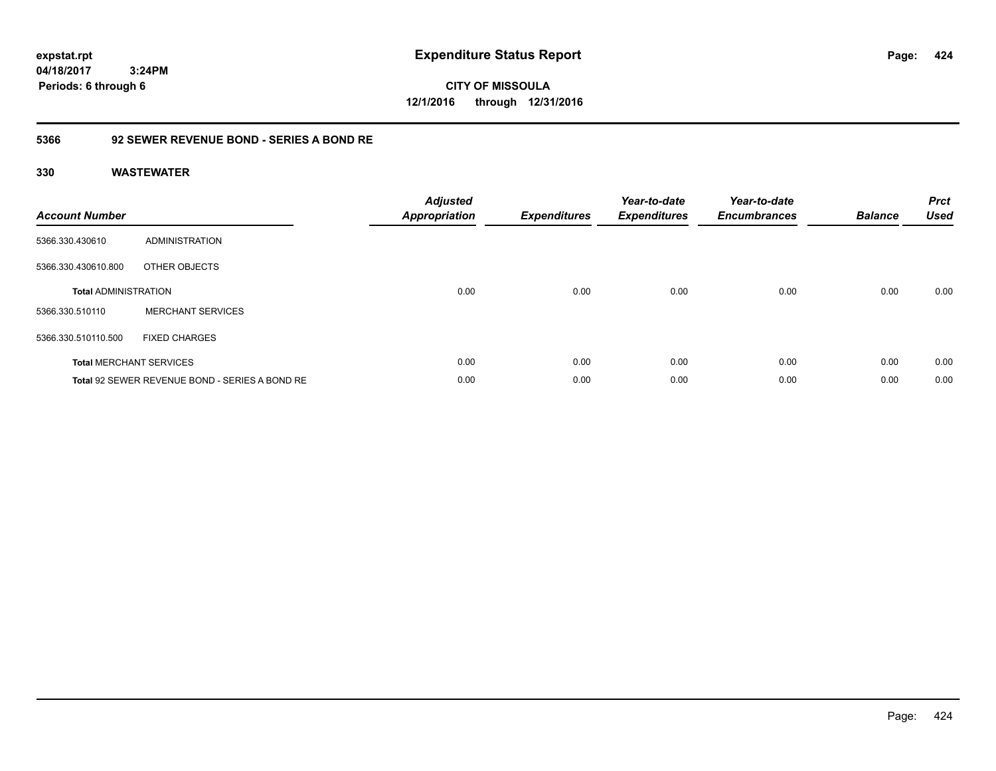**CITY OF MISSOULA 12/1/2016 through 12/31/2016**

# **5366 92 SEWER REVENUE BOND - SERIES A BOND RE**

| <b>Account Number</b>       |                                                | <b>Adjusted</b><br>Appropriation | <b>Expenditures</b> | Year-to-date<br><b>Expenditures</b> | Year-to-date<br><b>Encumbrances</b> | <b>Balance</b> | <b>Prct</b><br><b>Used</b> |
|-----------------------------|------------------------------------------------|----------------------------------|---------------------|-------------------------------------|-------------------------------------|----------------|----------------------------|
| 5366.330.430610             | <b>ADMINISTRATION</b>                          |                                  |                     |                                     |                                     |                |                            |
| 5366.330.430610.800         | OTHER OBJECTS                                  |                                  |                     |                                     |                                     |                |                            |
| <b>Total ADMINISTRATION</b> |                                                | 0.00                             | 0.00                | 0.00                                | 0.00                                | 0.00           | 0.00                       |
| 5366.330.510110             | <b>MERCHANT SERVICES</b>                       |                                  |                     |                                     |                                     |                |                            |
| 5366.330.510110.500         | <b>FIXED CHARGES</b>                           |                                  |                     |                                     |                                     |                |                            |
|                             | <b>Total MERCHANT SERVICES</b>                 | 0.00                             | 0.00                | 0.00                                | 0.00                                | 0.00           | 0.00                       |
|                             | Total 92 SEWER REVENUE BOND - SERIES A BOND RE | 0.00                             | 0.00                | 0.00                                | 0.00                                | 0.00           | 0.00                       |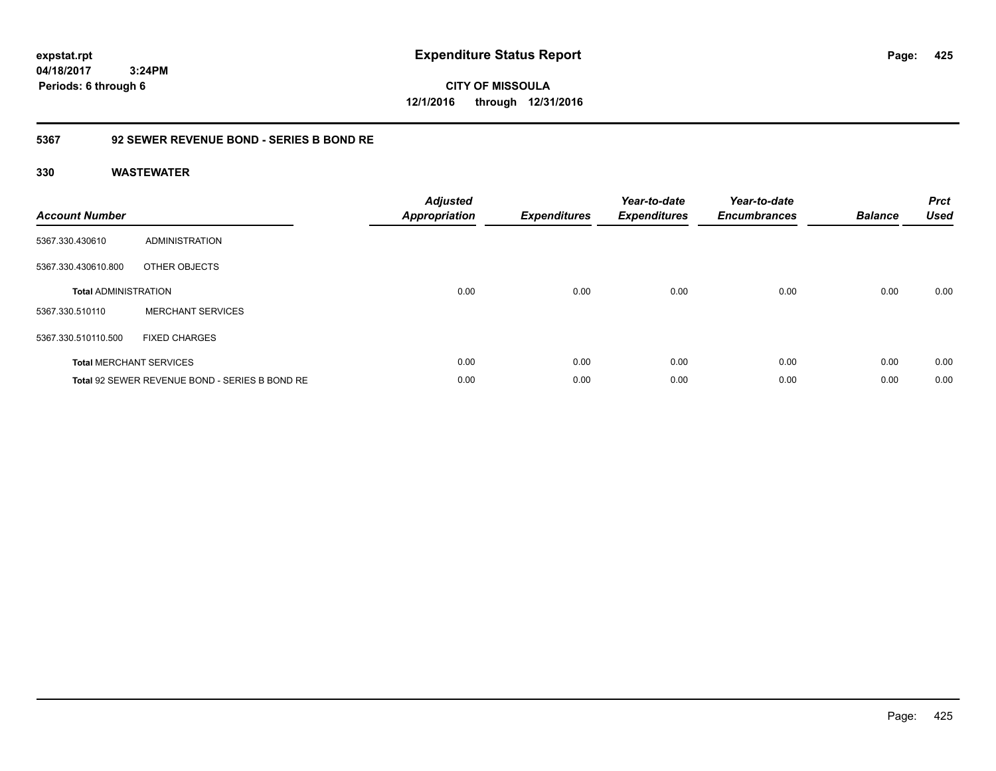**CITY OF MISSOULA 12/1/2016 through 12/31/2016**

# **5367 92 SEWER REVENUE BOND - SERIES B BOND RE**

| <b>Account Number</b>       |                                                | <b>Adjusted</b><br>Appropriation | <b>Expenditures</b> | Year-to-date<br><b>Expenditures</b> | Year-to-date<br><b>Encumbrances</b> | <b>Balance</b> | <b>Prct</b><br><b>Used</b> |
|-----------------------------|------------------------------------------------|----------------------------------|---------------------|-------------------------------------|-------------------------------------|----------------|----------------------------|
| 5367.330.430610             | ADMINISTRATION                                 |                                  |                     |                                     |                                     |                |                            |
| 5367.330.430610.800         | OTHER OBJECTS                                  |                                  |                     |                                     |                                     |                |                            |
| <b>Total ADMINISTRATION</b> |                                                | 0.00                             | 0.00                | 0.00                                | 0.00                                | 0.00           | 0.00                       |
| 5367.330.510110             | <b>MERCHANT SERVICES</b>                       |                                  |                     |                                     |                                     |                |                            |
| 5367.330.510110.500         | <b>FIXED CHARGES</b>                           |                                  |                     |                                     |                                     |                |                            |
|                             | <b>Total MERCHANT SERVICES</b>                 | 0.00                             | 0.00                | 0.00                                | 0.00                                | 0.00           | 0.00                       |
|                             | Total 92 SEWER REVENUE BOND - SERIES B BOND RE | 0.00                             | 0.00                | 0.00                                | 0.00                                | 0.00           | 0.00                       |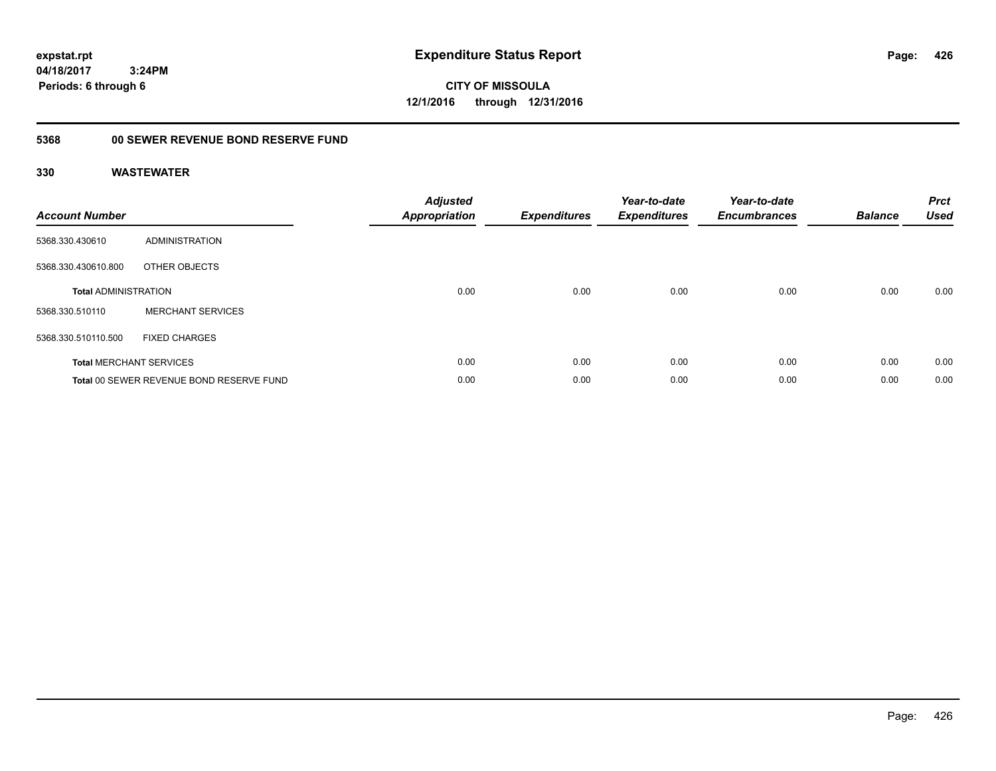**CITY OF MISSOULA 12/1/2016 through 12/31/2016**

# **5368 00 SEWER REVENUE BOND RESERVE FUND**

| <b>Account Number</b>       |                                          | <b>Adjusted</b><br>Appropriation | <b>Expenditures</b> | Year-to-date<br><b>Expenditures</b> | Year-to-date<br><b>Encumbrances</b> | <b>Balance</b> | <b>Prct</b><br><b>Used</b> |
|-----------------------------|------------------------------------------|----------------------------------|---------------------|-------------------------------------|-------------------------------------|----------------|----------------------------|
| 5368.330.430610             | ADMINISTRATION                           |                                  |                     |                                     |                                     |                |                            |
| 5368.330.430610.800         | OTHER OBJECTS                            |                                  |                     |                                     |                                     |                |                            |
| <b>Total ADMINISTRATION</b> |                                          | 0.00                             | 0.00                | 0.00                                | 0.00                                | 0.00           | 0.00                       |
| 5368.330.510110             | <b>MERCHANT SERVICES</b>                 |                                  |                     |                                     |                                     |                |                            |
| 5368.330.510110.500         | <b>FIXED CHARGES</b>                     |                                  |                     |                                     |                                     |                |                            |
|                             | <b>Total MERCHANT SERVICES</b>           | 0.00                             | 0.00                | 0.00                                | 0.00                                | 0.00           | 0.00                       |
|                             | Total 00 SEWER REVENUE BOND RESERVE FUND | 0.00                             | 0.00                | 0.00                                | 0.00                                | 0.00           | 0.00                       |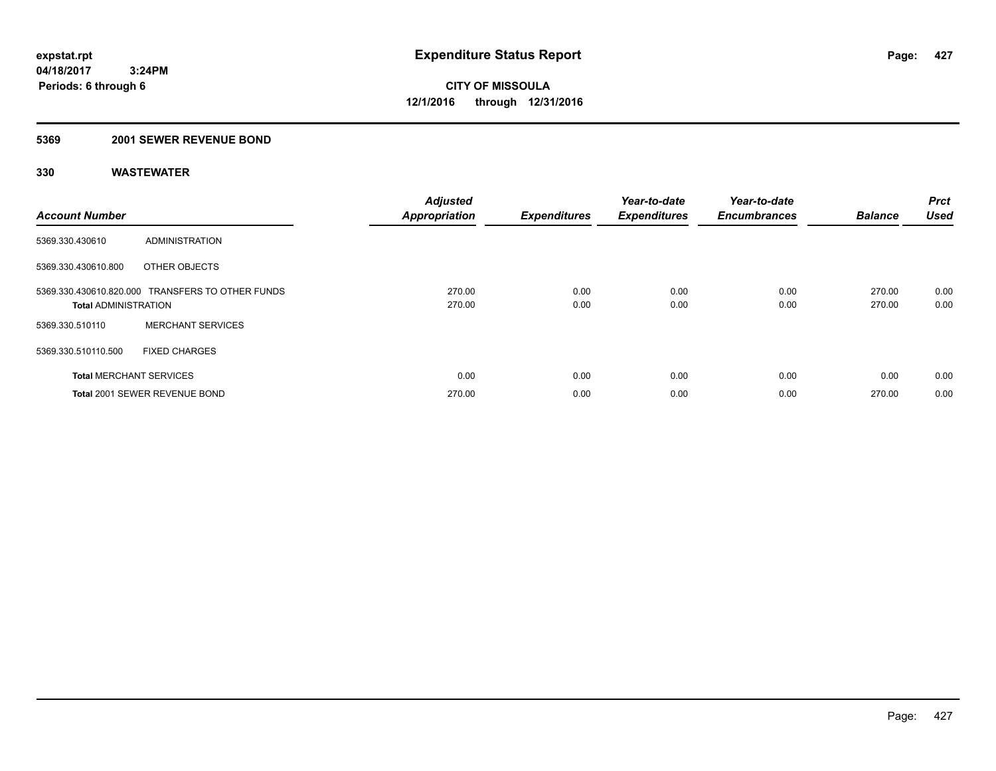# **5369 2001 SEWER REVENUE BOND**

| <b>Account Number</b>          |                                                  | <b>Adjusted</b><br><b>Appropriation</b> | <b>Expenditures</b> | Year-to-date<br><b>Expenditures</b> | Year-to-date<br><b>Encumbrances</b> | <b>Balance</b>   | Prct<br><b>Used</b> |
|--------------------------------|--------------------------------------------------|-----------------------------------------|---------------------|-------------------------------------|-------------------------------------|------------------|---------------------|
| 5369.330.430610                | ADMINISTRATION                                   |                                         |                     |                                     |                                     |                  |                     |
| 5369.330.430610.800            | OTHER OBJECTS                                    |                                         |                     |                                     |                                     |                  |                     |
| <b>Total ADMINISTRATION</b>    | 5369.330.430610.820.000 TRANSFERS TO OTHER FUNDS | 270.00<br>270.00                        | 0.00<br>0.00        | 0.00<br>0.00                        | 0.00<br>0.00                        | 270.00<br>270.00 | 0.00<br>0.00        |
| 5369.330.510110                | <b>MERCHANT SERVICES</b>                         |                                         |                     |                                     |                                     |                  |                     |
| 5369.330.510110.500            | <b>FIXED CHARGES</b>                             |                                         |                     |                                     |                                     |                  |                     |
| <b>Total MERCHANT SERVICES</b> |                                                  | 0.00                                    | 0.00                | 0.00                                | 0.00                                | 0.00             | 0.00                |
|                                | Total 2001 SEWER REVENUE BOND                    | 270.00                                  | 0.00                | 0.00                                | 0.00                                | 270.00           | 0.00                |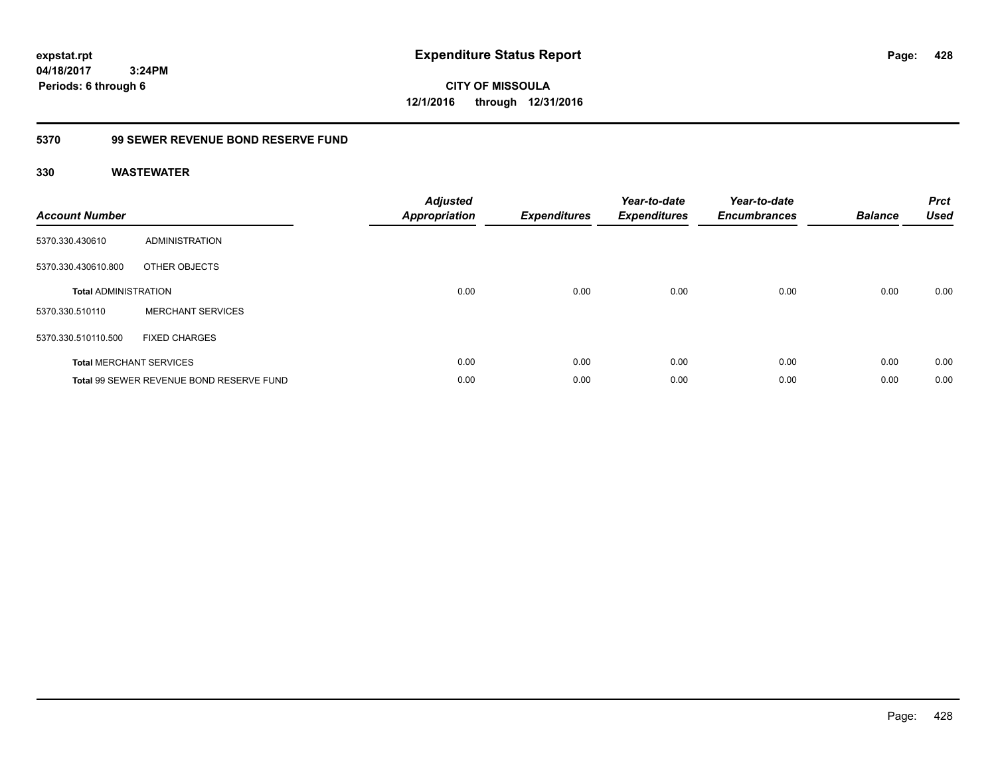**CITY OF MISSOULA 12/1/2016 through 12/31/2016**

# **5370 99 SEWER REVENUE BOND RESERVE FUND**

| <b>Account Number</b>       |                                          | <b>Adjusted</b><br>Appropriation | <b>Expenditures</b> | Year-to-date<br><b>Expenditures</b> | Year-to-date<br><b>Encumbrances</b> | <b>Balance</b> | <b>Prct</b><br><b>Used</b> |
|-----------------------------|------------------------------------------|----------------------------------|---------------------|-------------------------------------|-------------------------------------|----------------|----------------------------|
| 5370.330.430610             | ADMINISTRATION                           |                                  |                     |                                     |                                     |                |                            |
| 5370.330.430610.800         | OTHER OBJECTS                            |                                  |                     |                                     |                                     |                |                            |
| <b>Total ADMINISTRATION</b> |                                          | 0.00                             | 0.00                | 0.00                                | 0.00                                | 0.00           | 0.00                       |
| 5370.330.510110             | <b>MERCHANT SERVICES</b>                 |                                  |                     |                                     |                                     |                |                            |
| 5370.330.510110.500         | <b>FIXED CHARGES</b>                     |                                  |                     |                                     |                                     |                |                            |
|                             | <b>Total MERCHANT SERVICES</b>           | 0.00                             | 0.00                | 0.00                                | 0.00                                | 0.00           | 0.00                       |
|                             | Total 99 SEWER REVENUE BOND RESERVE FUND | 0.00                             | 0.00                | 0.00                                | 0.00                                | 0.00           | 0.00                       |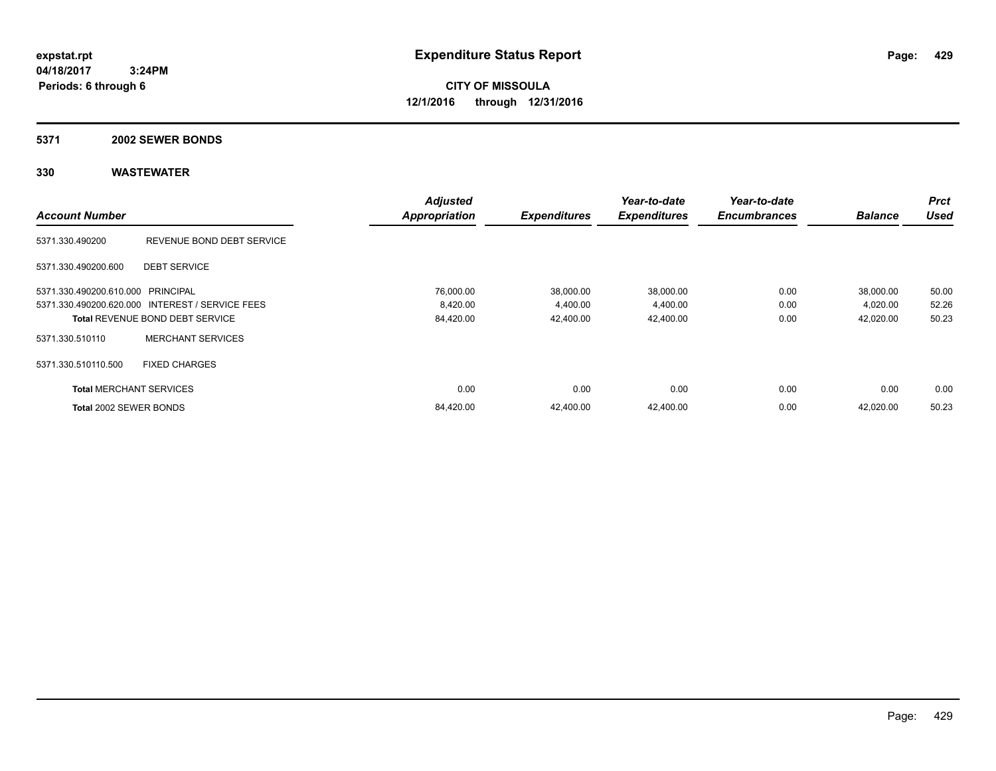**CITY OF MISSOULA 12/1/2016 through 12/31/2016**

### **5371 2002 SEWER BONDS**

|                                   |                                                 | <b>Adjusted</b>      |                     | Year-to-date        | Year-to-date        |                | <b>Prct</b> |
|-----------------------------------|-------------------------------------------------|----------------------|---------------------|---------------------|---------------------|----------------|-------------|
| <b>Account Number</b>             |                                                 | <b>Appropriation</b> | <b>Expenditures</b> | <b>Expenditures</b> | <b>Encumbrances</b> | <b>Balance</b> | <b>Used</b> |
| 5371.330.490200                   | REVENUE BOND DEBT SERVICE                       |                      |                     |                     |                     |                |             |
| 5371.330.490200.600               | <b>DEBT SERVICE</b>                             |                      |                     |                     |                     |                |             |
| 5371.330.490200.610.000 PRINCIPAL |                                                 | 76,000.00            | 38,000.00           | 38,000.00           | 0.00                | 38,000.00      | 50.00       |
|                                   | 5371.330.490200.620.000 INTEREST / SERVICE FEES | 8,420.00             | 4,400.00            | 4,400.00            | 0.00                | 4,020.00       | 52.26       |
|                                   | <b>Total REVENUE BOND DEBT SERVICE</b>          | 84,420.00            | 42.400.00           | 42,400.00           | 0.00                | 42,020.00      | 50.23       |
| 5371.330.510110                   | <b>MERCHANT SERVICES</b>                        |                      |                     |                     |                     |                |             |
| 5371.330.510110.500               | <b>FIXED CHARGES</b>                            |                      |                     |                     |                     |                |             |
| <b>Total MERCHANT SERVICES</b>    |                                                 | 0.00                 | 0.00                | 0.00                | 0.00                | 0.00           | 0.00        |
| Total 2002 SEWER BONDS            |                                                 | 84,420.00            | 42.400.00           | 42,400.00           | 0.00                | 42.020.00      | 50.23       |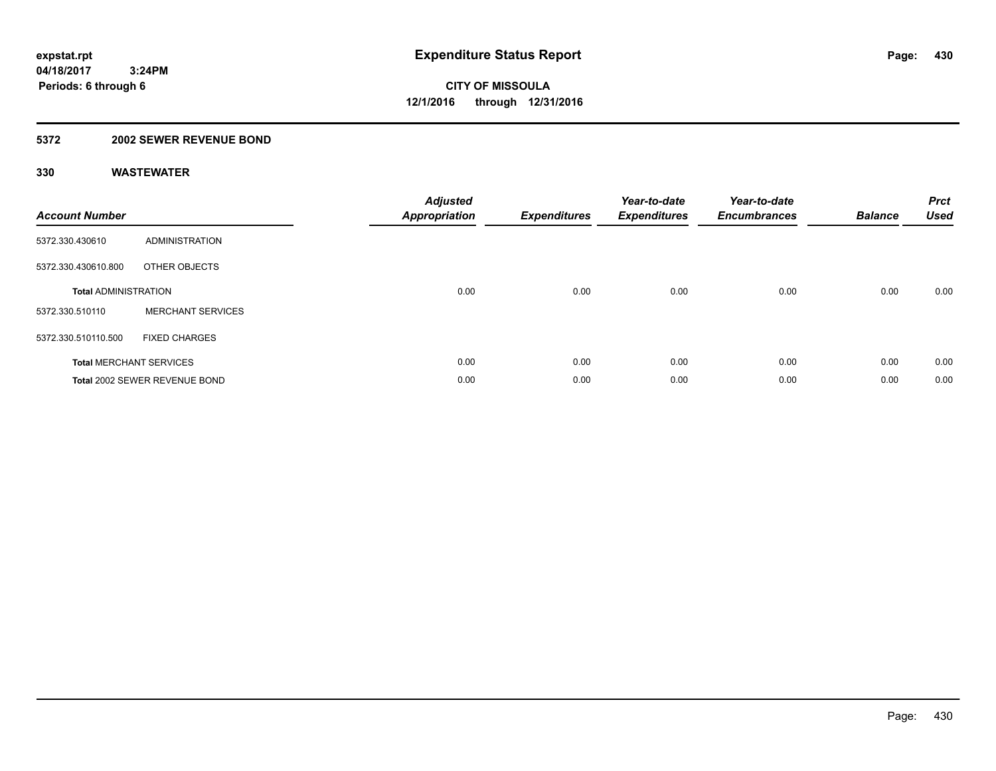# **5372 2002 SEWER REVENUE BOND**

| <b>Account Number</b>       |                                | <b>Adjusted</b><br>Appropriation | <b>Expenditures</b> | Year-to-date<br><b>Expenditures</b> | Year-to-date<br><b>Encumbrances</b> | <b>Balance</b> | <b>Prct</b><br><b>Used</b> |
|-----------------------------|--------------------------------|----------------------------------|---------------------|-------------------------------------|-------------------------------------|----------------|----------------------------|
| 5372.330.430610             | ADMINISTRATION                 |                                  |                     |                                     |                                     |                |                            |
| 5372.330.430610.800         | OTHER OBJECTS                  |                                  |                     |                                     |                                     |                |                            |
| <b>Total ADMINISTRATION</b> |                                | 0.00                             | 0.00                | 0.00                                | 0.00                                | 0.00           | 0.00                       |
| 5372.330.510110             | <b>MERCHANT SERVICES</b>       |                                  |                     |                                     |                                     |                |                            |
| 5372.330.510110.500         | <b>FIXED CHARGES</b>           |                                  |                     |                                     |                                     |                |                            |
|                             | <b>Total MERCHANT SERVICES</b> | 0.00                             | 0.00                | 0.00                                | 0.00                                | 0.00           | 0.00                       |
|                             | Total 2002 SEWER REVENUE BOND  | 0.00                             | 0.00                | 0.00                                | 0.00                                | 0.00           | 0.00                       |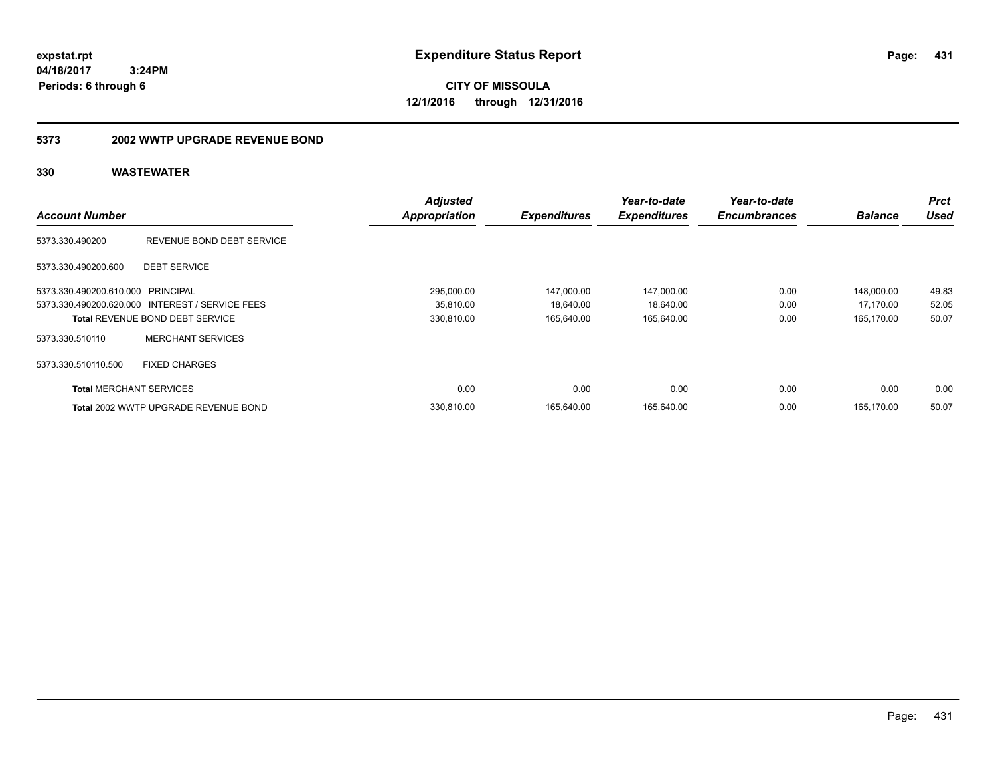**CITY OF MISSOULA 12/1/2016 through 12/31/2016**

# **5373 2002 WWTP UPGRADE REVENUE BOND**

|                                   |                                                 | <b>Adjusted</b>      |                     | Year-to-date        | Year-to-date        |                | Prct        |
|-----------------------------------|-------------------------------------------------|----------------------|---------------------|---------------------|---------------------|----------------|-------------|
| <b>Account Number</b>             |                                                 | <b>Appropriation</b> | <b>Expenditures</b> | <b>Expenditures</b> | <b>Encumbrances</b> | <b>Balance</b> | <b>Used</b> |
| 5373.330.490200                   | REVENUE BOND DEBT SERVICE                       |                      |                     |                     |                     |                |             |
| 5373.330.490200.600               | <b>DEBT SERVICE</b>                             |                      |                     |                     |                     |                |             |
| 5373.330.490200.610.000 PRINCIPAL |                                                 | 295.000.00           | 147.000.00          | 147,000.00          | 0.00                | 148.000.00     | 49.83       |
|                                   | 5373.330.490200.620.000 INTEREST / SERVICE FEES | 35,810.00            | 18,640.00           | 18,640.00           | 0.00                | 17,170.00      | 52.05       |
|                                   | <b>Total REVENUE BOND DEBT SERVICE</b>          | 330,810.00           | 165,640.00          | 165,640.00          | 0.00                | 165,170.00     | 50.07       |
| 5373.330.510110                   | <b>MERCHANT SERVICES</b>                        |                      |                     |                     |                     |                |             |
| 5373.330.510110.500               | <b>FIXED CHARGES</b>                            |                      |                     |                     |                     |                |             |
| <b>Total MERCHANT SERVICES</b>    |                                                 | 0.00                 | 0.00                | 0.00                | 0.00                | 0.00           | 0.00        |
|                                   | Total 2002 WWTP UPGRADE REVENUE BOND            | 330,810.00           | 165.640.00          | 165,640.00          | 0.00                | 165.170.00     | 50.07       |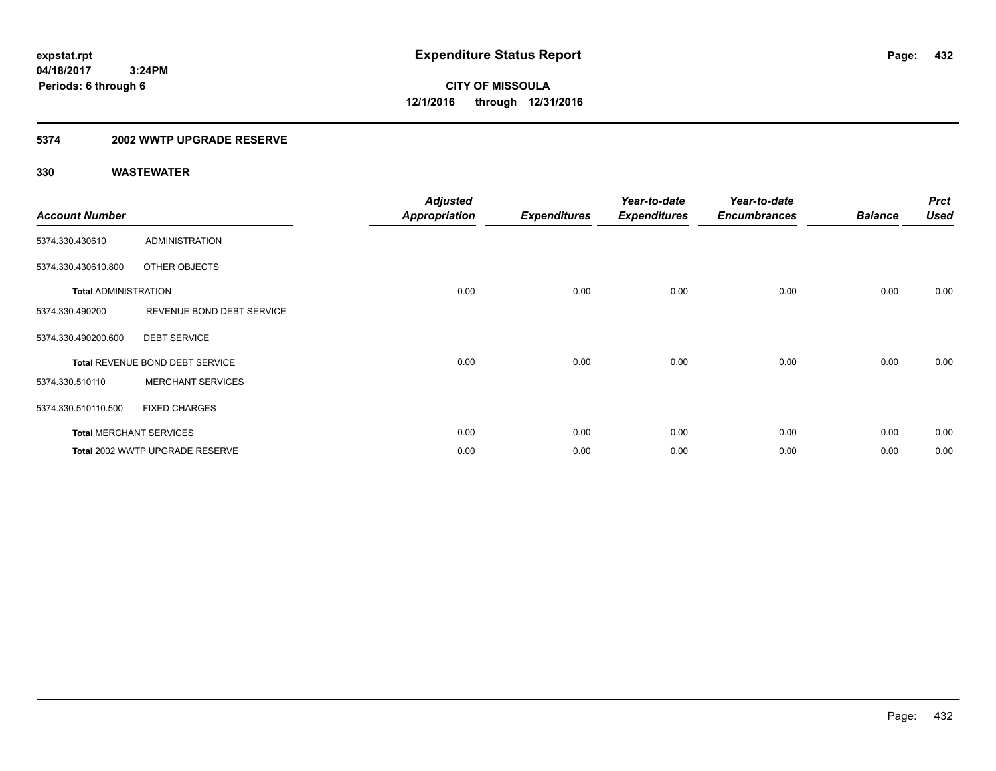# **5374 2002 WWTP UPGRADE RESERVE**

| <b>Account Number</b>       |                                 | <b>Adjusted</b><br><b>Appropriation</b> | <b>Expenditures</b> | Year-to-date<br><b>Expenditures</b> | Year-to-date<br><b>Encumbrances</b> | <b>Balance</b> | <b>Prct</b><br><b>Used</b> |
|-----------------------------|---------------------------------|-----------------------------------------|---------------------|-------------------------------------|-------------------------------------|----------------|----------------------------|
| 5374.330.430610             | <b>ADMINISTRATION</b>           |                                         |                     |                                     |                                     |                |                            |
| 5374.330.430610.800         | OTHER OBJECTS                   |                                         |                     |                                     |                                     |                |                            |
| <b>Total ADMINISTRATION</b> |                                 | 0.00                                    | 0.00                | 0.00                                | 0.00                                | 0.00           | 0.00                       |
| 5374.330.490200             | REVENUE BOND DEBT SERVICE       |                                         |                     |                                     |                                     |                |                            |
| 5374.330.490200.600         | <b>DEBT SERVICE</b>             |                                         |                     |                                     |                                     |                |                            |
|                             | Total REVENUE BOND DEBT SERVICE | 0.00                                    | 0.00                | 0.00                                | 0.00                                | 0.00           | 0.00                       |
| 5374.330.510110             | <b>MERCHANT SERVICES</b>        |                                         |                     |                                     |                                     |                |                            |
| 5374.330.510110.500         | <b>FIXED CHARGES</b>            |                                         |                     |                                     |                                     |                |                            |
|                             | <b>Total MERCHANT SERVICES</b>  | 0.00                                    | 0.00                | 0.00                                | 0.00                                | 0.00           | 0.00                       |
|                             | Total 2002 WWTP UPGRADE RESERVE | 0.00                                    | 0.00                | 0.00                                | 0.00                                | 0.00           | 0.00                       |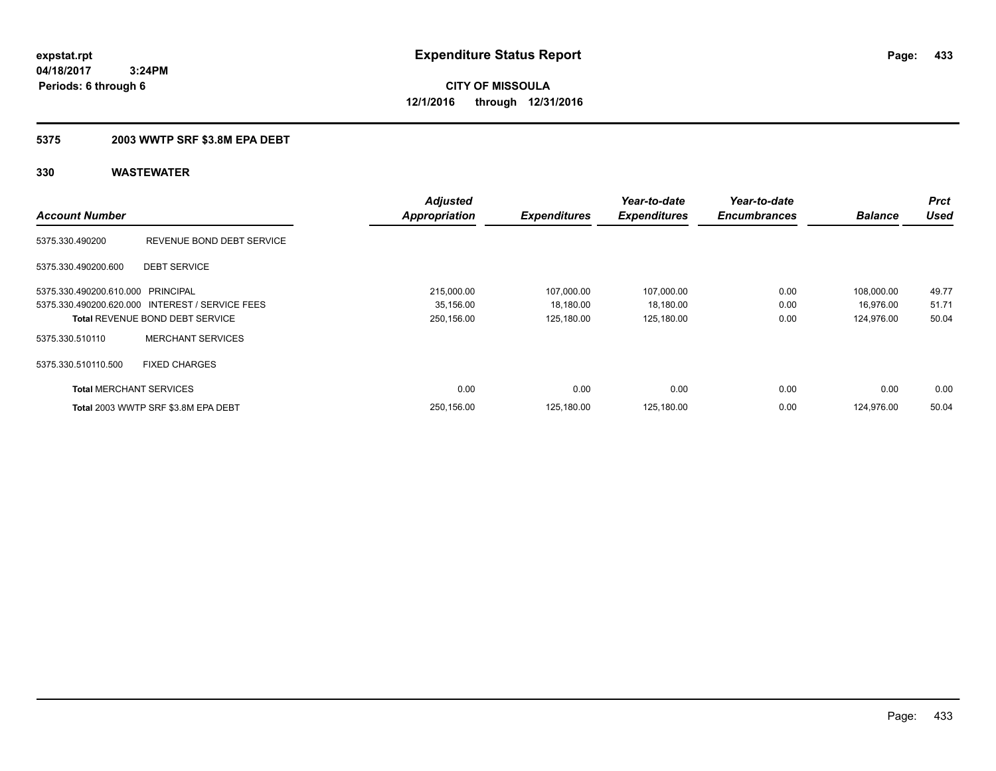**433**

**04/18/2017 3:24PM Periods: 6 through 6**

**CITY OF MISSOULA 12/1/2016 through 12/31/2016**

### **5375 2003 WWTP SRF \$3.8M EPA DEBT**

| <b>Account Number</b>             |                                                 | <b>Adjusted</b><br><b>Appropriation</b> | <b>Expenditures</b> | Year-to-date<br><b>Expenditures</b> | Year-to-date<br><b>Encumbrances</b> | <b>Balance</b> | <b>Prct</b><br><b>Used</b> |
|-----------------------------------|-------------------------------------------------|-----------------------------------------|---------------------|-------------------------------------|-------------------------------------|----------------|----------------------------|
| 5375.330.490200                   | REVENUE BOND DEBT SERVICE                       |                                         |                     |                                     |                                     |                |                            |
| 5375.330.490200.600               | <b>DEBT SERVICE</b>                             |                                         |                     |                                     |                                     |                |                            |
| 5375.330.490200.610.000 PRINCIPAL |                                                 | 215,000.00                              | 107,000.00          | 107,000.00                          | 0.00                                | 108,000.00     | 49.77                      |
|                                   | 5375.330.490200.620.000 INTEREST / SERVICE FEES | 35,156.00                               | 18,180.00           | 18,180.00                           | 0.00                                | 16.976.00      | 51.71                      |
|                                   | <b>Total REVENUE BOND DEBT SERVICE</b>          | 250,156.00                              | 125,180.00          | 125,180.00                          | 0.00                                | 124.976.00     | 50.04                      |
| 5375.330.510110                   | <b>MERCHANT SERVICES</b>                        |                                         |                     |                                     |                                     |                |                            |
| 5375.330.510110.500               | <b>FIXED CHARGES</b>                            |                                         |                     |                                     |                                     |                |                            |
| <b>Total MERCHANT SERVICES</b>    |                                                 | 0.00                                    | 0.00                | 0.00                                | 0.00                                | 0.00           | 0.00                       |
|                                   | Total 2003 WWTP SRF \$3.8M EPA DEBT             | 250.156.00                              | 125.180.00          | 125,180.00                          | 0.00                                | 124.976.00     | 50.04                      |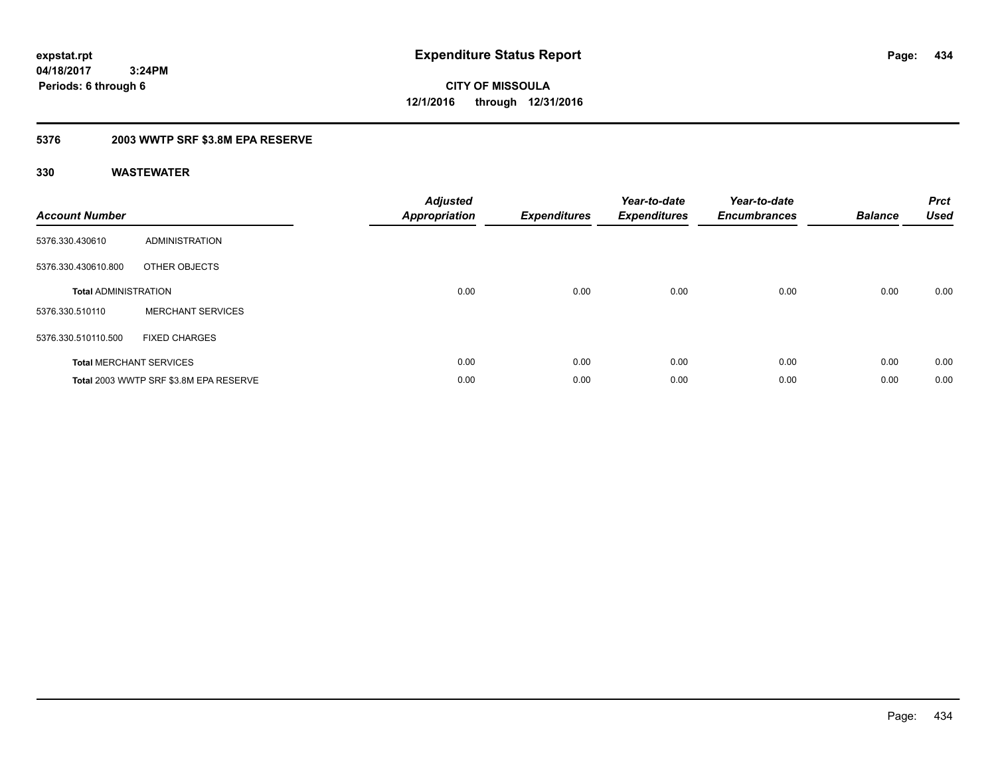**CITY OF MISSOULA 12/1/2016 through 12/31/2016**

### **5376 2003 WWTP SRF \$3.8M EPA RESERVE**

| <b>Account Number</b>       |                                        | Adjusted<br>Appropriation | <b>Expenditures</b> | Year-to-date<br><b>Expenditures</b> | Year-to-date<br><b>Encumbrances</b> | <b>Balance</b> | <b>Prct</b><br><b>Used</b> |
|-----------------------------|----------------------------------------|---------------------------|---------------------|-------------------------------------|-------------------------------------|----------------|----------------------------|
| 5376.330.430610             | <b>ADMINISTRATION</b>                  |                           |                     |                                     |                                     |                |                            |
| 5376.330.430610.800         | OTHER OBJECTS                          |                           |                     |                                     |                                     |                |                            |
| <b>Total ADMINISTRATION</b> |                                        | 0.00                      | 0.00                | 0.00                                | 0.00                                | 0.00           | 0.00                       |
| 5376.330.510110             | <b>MERCHANT SERVICES</b>               |                           |                     |                                     |                                     |                |                            |
| 5376.330.510110.500         | <b>FIXED CHARGES</b>                   |                           |                     |                                     |                                     |                |                            |
|                             | <b>Total MERCHANT SERVICES</b>         | 0.00                      | 0.00                | 0.00                                | 0.00                                | 0.00           | 0.00                       |
|                             | Total 2003 WWTP SRF \$3.8M EPA RESERVE | 0.00                      | 0.00                | 0.00                                | 0.00                                | 0.00           | 0.00                       |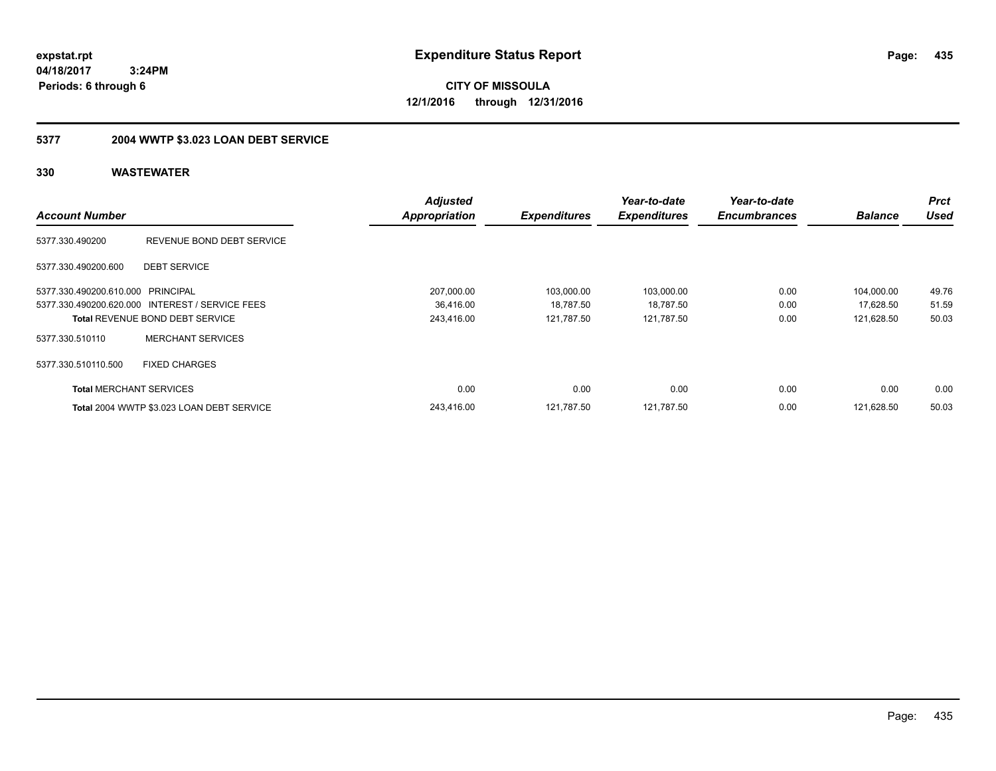**CITY OF MISSOULA 12/1/2016 through 12/31/2016**

# **5377 2004 WWTP \$3.023 LOAN DEBT SERVICE**

|                                   |                                                 | <b>Adjusted</b>      |                     | Year-to-date        | Year-to-date        |                | <b>Prct</b> |
|-----------------------------------|-------------------------------------------------|----------------------|---------------------|---------------------|---------------------|----------------|-------------|
| <b>Account Number</b>             |                                                 | <b>Appropriation</b> | <b>Expenditures</b> | <b>Expenditures</b> | <b>Encumbrances</b> | <b>Balance</b> | Used        |
| 5377.330.490200                   | REVENUE BOND DEBT SERVICE                       |                      |                     |                     |                     |                |             |
| 5377.330.490200.600               | <b>DEBT SERVICE</b>                             |                      |                     |                     |                     |                |             |
| 5377.330.490200.610.000 PRINCIPAL |                                                 | 207,000.00           | 103.000.00          | 103,000.00          | 0.00                | 104,000.00     | 49.76       |
|                                   | 5377.330.490200.620.000 INTEREST / SERVICE FEES | 36,416.00            | 18,787.50           | 18,787.50           | 0.00                | 17,628.50      | 51.59       |
|                                   | <b>Total REVENUE BOND DEBT SERVICE</b>          | 243,416.00           | 121,787.50          | 121,787.50          | 0.00                | 121,628.50     | 50.03       |
| 5377.330.510110                   | <b>MERCHANT SERVICES</b>                        |                      |                     |                     |                     |                |             |
| 5377.330.510110.500               | <b>FIXED CHARGES</b>                            |                      |                     |                     |                     |                |             |
| <b>Total MERCHANT SERVICES</b>    |                                                 | 0.00                 | 0.00                | 0.00                | 0.00                | 0.00           | 0.00        |
|                                   | Total 2004 WWTP \$3.023 LOAN DEBT SERVICE       | 243.416.00           | 121.787.50          | 121.787.50          | 0.00                | 121.628.50     | 50.03       |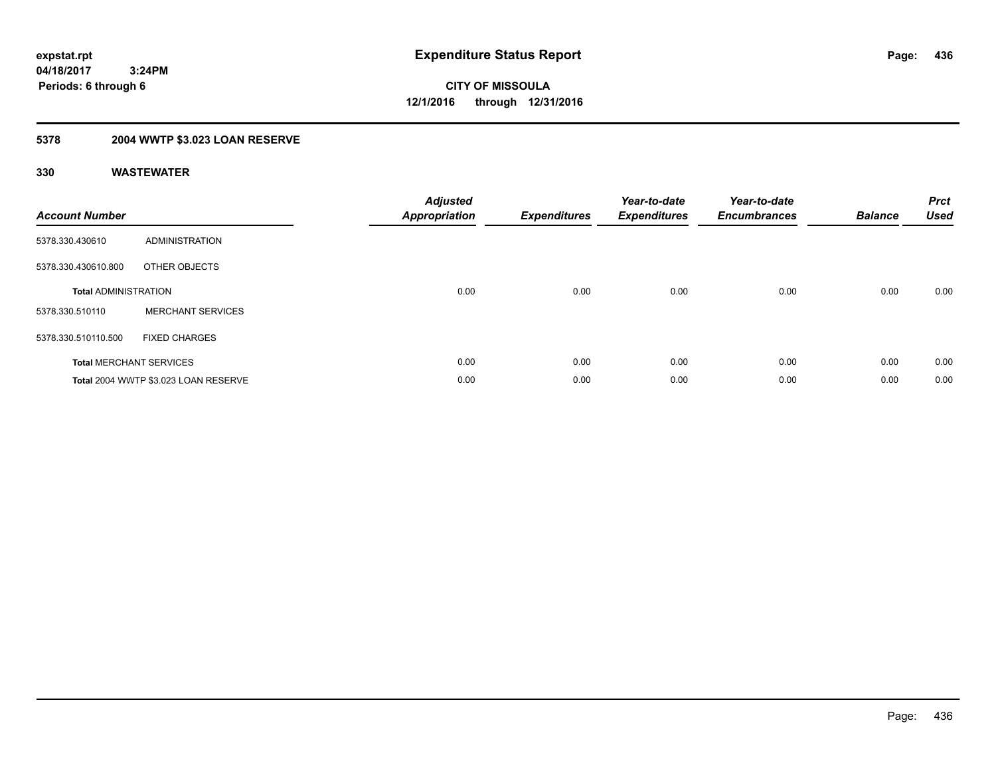# **5378 2004 WWTP \$3.023 LOAN RESERVE**

| <b>Account Number</b>       |                                      | <b>Adjusted</b><br><b>Appropriation</b> | <b>Expenditures</b> | Year-to-date<br><b>Expenditures</b> | Year-to-date<br><b>Encumbrances</b> | <b>Balance</b> | <b>Prct</b><br><b>Used</b> |
|-----------------------------|--------------------------------------|-----------------------------------------|---------------------|-------------------------------------|-------------------------------------|----------------|----------------------------|
| 5378.330.430610             | <b>ADMINISTRATION</b>                |                                         |                     |                                     |                                     |                |                            |
| 5378.330.430610.800         | OTHER OBJECTS                        |                                         |                     |                                     |                                     |                |                            |
| <b>Total ADMINISTRATION</b> |                                      | 0.00                                    | 0.00                | 0.00                                | 0.00                                | 0.00           | 0.00                       |
| 5378.330.510110             | <b>MERCHANT SERVICES</b>             |                                         |                     |                                     |                                     |                |                            |
| 5378.330.510110.500         | <b>FIXED CHARGES</b>                 |                                         |                     |                                     |                                     |                |                            |
|                             | <b>Total MERCHANT SERVICES</b>       | 0.00                                    | 0.00                | 0.00                                | 0.00                                | 0.00           | 0.00                       |
|                             | Total 2004 WWTP \$3.023 LOAN RESERVE | 0.00                                    | 0.00                | 0.00                                | 0.00                                | 0.00           | 0.00                       |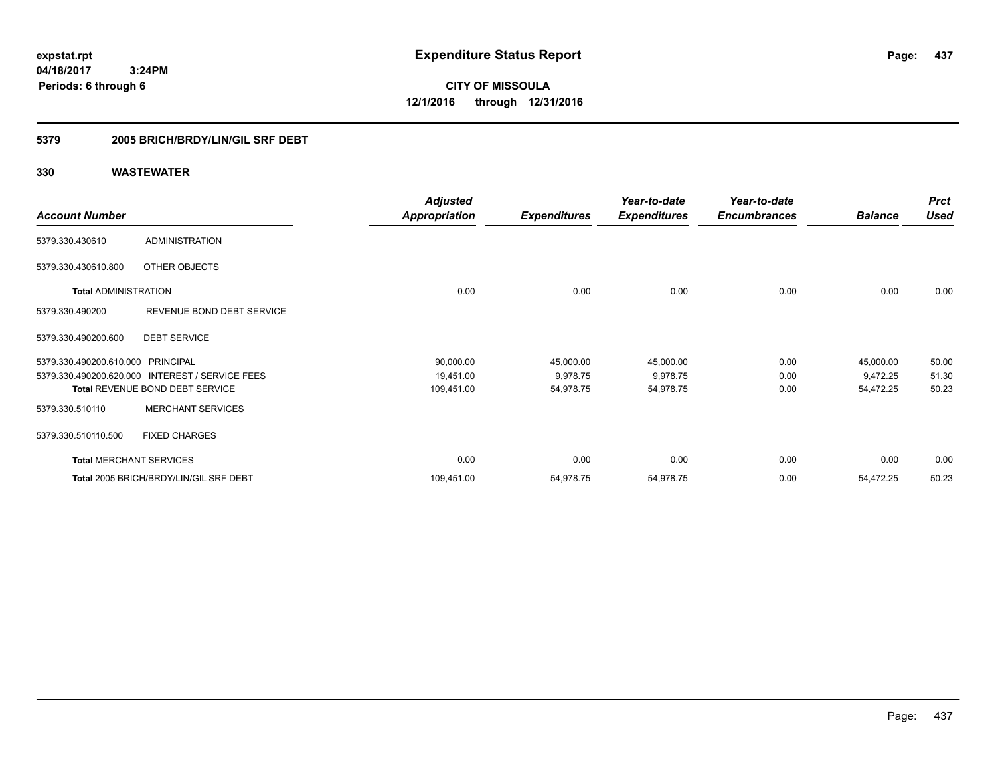**CITY OF MISSOULA 12/1/2016 through 12/31/2016**

### **5379 2005 BRICH/BRDY/LIN/GIL SRF DEBT**

|                                   |                                        | <b>Adjusted</b>      |                     | Year-to-date        | Year-to-date        |                | <b>Prct</b> |
|-----------------------------------|----------------------------------------|----------------------|---------------------|---------------------|---------------------|----------------|-------------|
| <b>Account Number</b>             |                                        | <b>Appropriation</b> | <b>Expenditures</b> | <b>Expenditures</b> | <b>Encumbrances</b> | <b>Balance</b> | <b>Used</b> |
| 5379.330.430610                   | <b>ADMINISTRATION</b>                  |                      |                     |                     |                     |                |             |
| 5379.330.430610.800               | OTHER OBJECTS                          |                      |                     |                     |                     |                |             |
| <b>Total ADMINISTRATION</b>       |                                        | 0.00                 | 0.00                | 0.00                | 0.00                | 0.00           | 0.00        |
| 5379.330.490200                   | REVENUE BOND DEBT SERVICE              |                      |                     |                     |                     |                |             |
| 5379.330.490200.600               | <b>DEBT SERVICE</b>                    |                      |                     |                     |                     |                |             |
| 5379.330.490200.610.000 PRINCIPAL |                                        | 90,000.00            | 45,000.00           | 45,000.00           | 0.00                | 45,000.00      | 50.00       |
| 5379.330.490200.620.000           | <b>INTEREST / SERVICE FEES</b>         | 19,451.00            | 9,978.75            | 9,978.75            | 0.00                | 9,472.25       | 51.30       |
|                                   | Total REVENUE BOND DEBT SERVICE        | 109,451.00           | 54,978.75           | 54,978.75           | 0.00                | 54,472.25      | 50.23       |
| 5379.330.510110                   | <b>MERCHANT SERVICES</b>               |                      |                     |                     |                     |                |             |
| 5379.330.510110.500               | <b>FIXED CHARGES</b>                   |                      |                     |                     |                     |                |             |
| <b>Total MERCHANT SERVICES</b>    |                                        | 0.00                 | 0.00                | 0.00                | 0.00                | 0.00           | 0.00        |
|                                   | Total 2005 BRICH/BRDY/LIN/GIL SRF DEBT | 109,451.00           | 54,978.75           | 54,978.75           | 0.00                | 54,472.25      | 50.23       |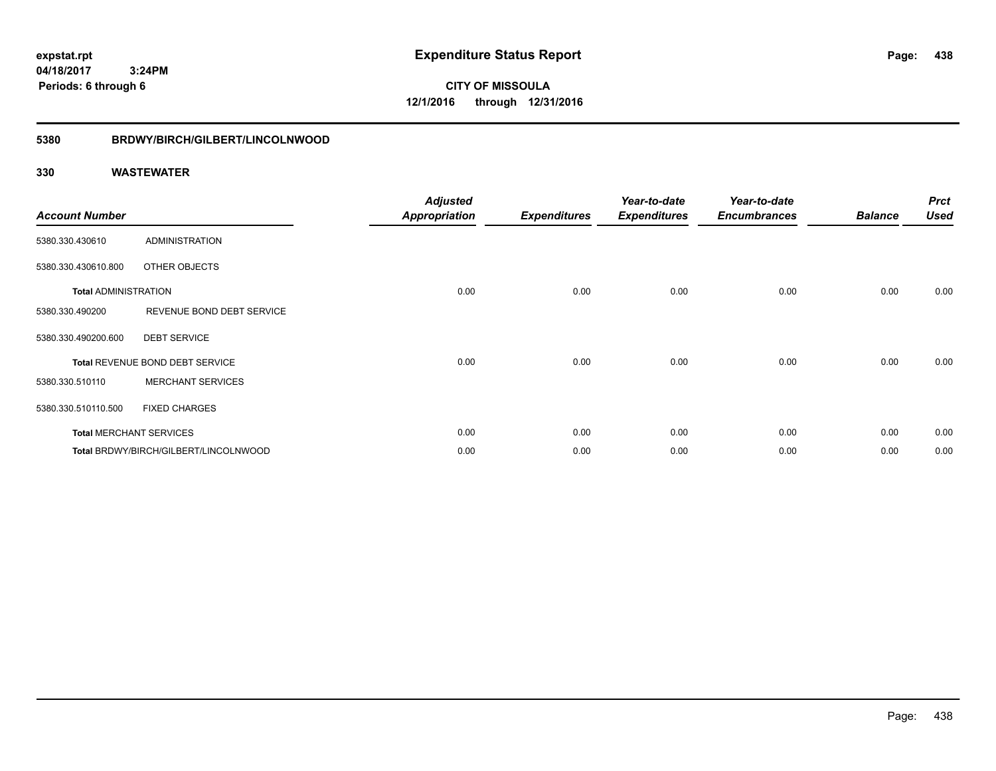**CITY OF MISSOULA 12/1/2016 through 12/31/2016**

#### **5380 BRDWY/BIRCH/GILBERT/LINCOLNWOOD**

| <b>Account Number</b>       |                                       | <b>Adjusted</b><br><b>Appropriation</b> | <b>Expenditures</b> | Year-to-date<br><b>Expenditures</b> | Year-to-date<br><b>Encumbrances</b> | <b>Balance</b> | <b>Prct</b><br><b>Used</b> |
|-----------------------------|---------------------------------------|-----------------------------------------|---------------------|-------------------------------------|-------------------------------------|----------------|----------------------------|
| 5380.330.430610             | <b>ADMINISTRATION</b>                 |                                         |                     |                                     |                                     |                |                            |
| 5380.330.430610.800         | OTHER OBJECTS                         |                                         |                     |                                     |                                     |                |                            |
| <b>Total ADMINISTRATION</b> |                                       | 0.00                                    | 0.00                | 0.00                                | 0.00                                | 0.00           | 0.00                       |
| 5380.330.490200             | REVENUE BOND DEBT SERVICE             |                                         |                     |                                     |                                     |                |                            |
| 5380.330.490200.600         | <b>DEBT SERVICE</b>                   |                                         |                     |                                     |                                     |                |                            |
|                             | Total REVENUE BOND DEBT SERVICE       | 0.00                                    | 0.00                | 0.00                                | 0.00                                | 0.00           | 0.00                       |
| 5380.330.510110             | <b>MERCHANT SERVICES</b>              |                                         |                     |                                     |                                     |                |                            |
| 5380.330.510110.500         | <b>FIXED CHARGES</b>                  |                                         |                     |                                     |                                     |                |                            |
|                             | <b>Total MERCHANT SERVICES</b>        | 0.00                                    | 0.00                | 0.00                                | 0.00                                | 0.00           | 0.00                       |
|                             | Total BRDWY/BIRCH/GILBERT/LINCOLNWOOD | 0.00                                    | 0.00                | 0.00                                | 0.00                                | 0.00           | 0.00                       |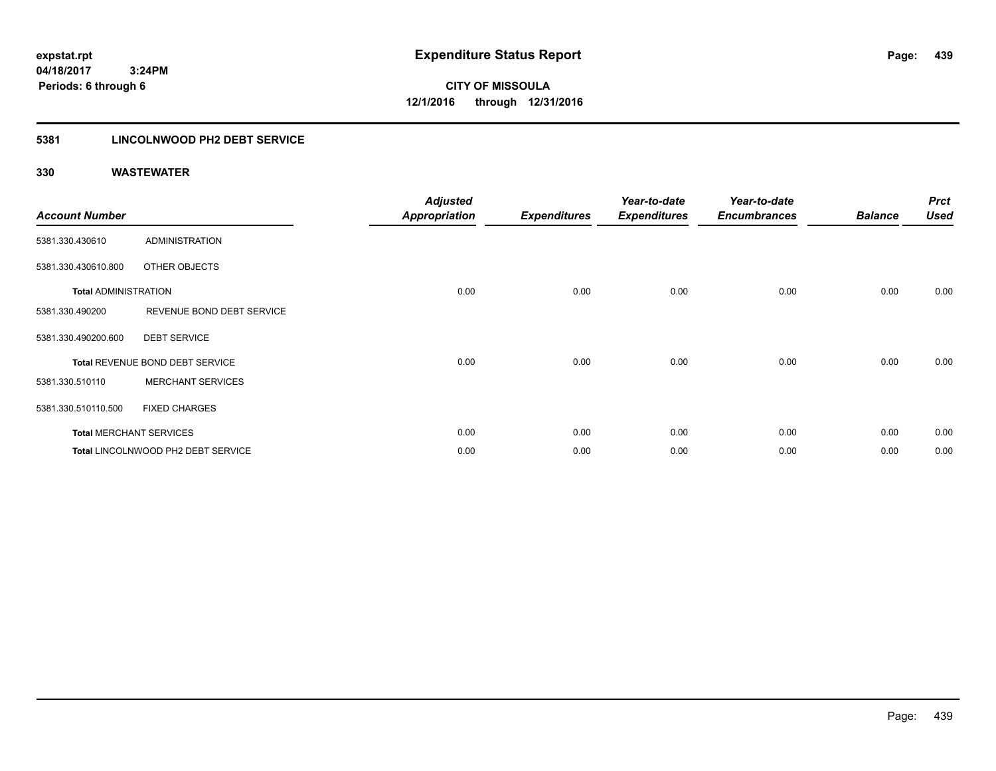### **5381 LINCOLNWOOD PH2 DEBT SERVICE**

|                             |                                    | <b>Adjusted</b>      |                     | Year-to-date        | Year-to-date        |                | <b>Prct</b> |
|-----------------------------|------------------------------------|----------------------|---------------------|---------------------|---------------------|----------------|-------------|
| <b>Account Number</b>       |                                    | <b>Appropriation</b> | <b>Expenditures</b> | <b>Expenditures</b> | <b>Encumbrances</b> | <b>Balance</b> | <b>Used</b> |
| 5381.330.430610             | <b>ADMINISTRATION</b>              |                      |                     |                     |                     |                |             |
| 5381.330.430610.800         | OTHER OBJECTS                      |                      |                     |                     |                     |                |             |
| <b>Total ADMINISTRATION</b> |                                    | 0.00                 | 0.00                | 0.00                | 0.00                | 0.00           | 0.00        |
| 5381.330.490200             | REVENUE BOND DEBT SERVICE          |                      |                     |                     |                     |                |             |
| 5381.330.490200.600         | <b>DEBT SERVICE</b>                |                      |                     |                     |                     |                |             |
|                             | Total REVENUE BOND DEBT SERVICE    | 0.00                 | 0.00                | 0.00                | 0.00                | 0.00           | 0.00        |
| 5381.330.510110             | <b>MERCHANT SERVICES</b>           |                      |                     |                     |                     |                |             |
| 5381.330.510110.500         | <b>FIXED CHARGES</b>               |                      |                     |                     |                     |                |             |
|                             | <b>Total MERCHANT SERVICES</b>     | 0.00                 | 0.00                | 0.00                | 0.00                | 0.00           | 0.00        |
|                             | Total LINCOLNWOOD PH2 DEBT SERVICE | 0.00                 | 0.00                | 0.00                | 0.00                | 0.00           | 0.00        |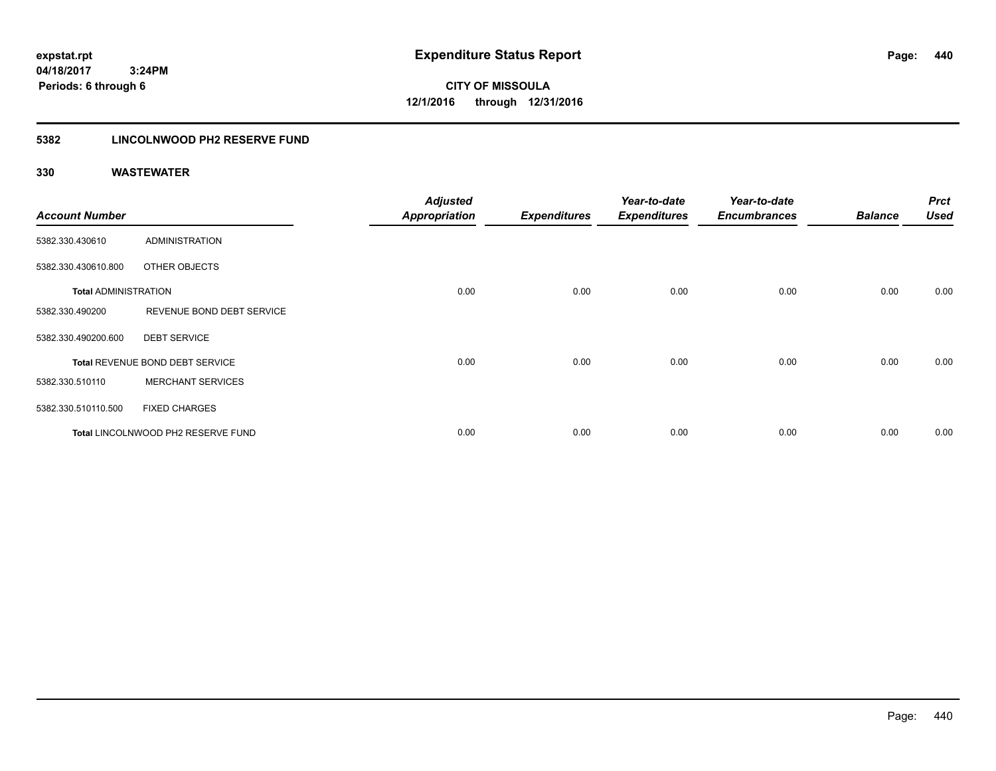**CITY OF MISSOULA 12/1/2016 through 12/31/2016**

### **5382 LINCOLNWOOD PH2 RESERVE FUND**

| <b>Account Number</b>       |                                    | <b>Adjusted</b><br><b>Appropriation</b> | <b>Expenditures</b> | Year-to-date<br><b>Expenditures</b> | Year-to-date<br><b>Encumbrances</b> | <b>Balance</b> | <b>Prct</b><br>Used |
|-----------------------------|------------------------------------|-----------------------------------------|---------------------|-------------------------------------|-------------------------------------|----------------|---------------------|
| 5382.330.430610             | ADMINISTRATION                     |                                         |                     |                                     |                                     |                |                     |
| 5382.330.430610.800         | OTHER OBJECTS                      |                                         |                     |                                     |                                     |                |                     |
| <b>Total ADMINISTRATION</b> |                                    | 0.00                                    | 0.00                | 0.00                                | 0.00                                | 0.00           | 0.00                |
| 5382.330.490200             | REVENUE BOND DEBT SERVICE          |                                         |                     |                                     |                                     |                |                     |
| 5382.330.490200.600         | <b>DEBT SERVICE</b>                |                                         |                     |                                     |                                     |                |                     |
|                             | Total REVENUE BOND DEBT SERVICE    | 0.00                                    | 0.00                | 0.00                                | 0.00                                | 0.00           | 0.00                |
| 5382.330.510110             | <b>MERCHANT SERVICES</b>           |                                         |                     |                                     |                                     |                |                     |
| 5382.330.510110.500         | <b>FIXED CHARGES</b>               |                                         |                     |                                     |                                     |                |                     |
|                             | Total LINCOLNWOOD PH2 RESERVE FUND | 0.00                                    | 0.00                | 0.00                                | 0.00                                | 0.00           | 0.00                |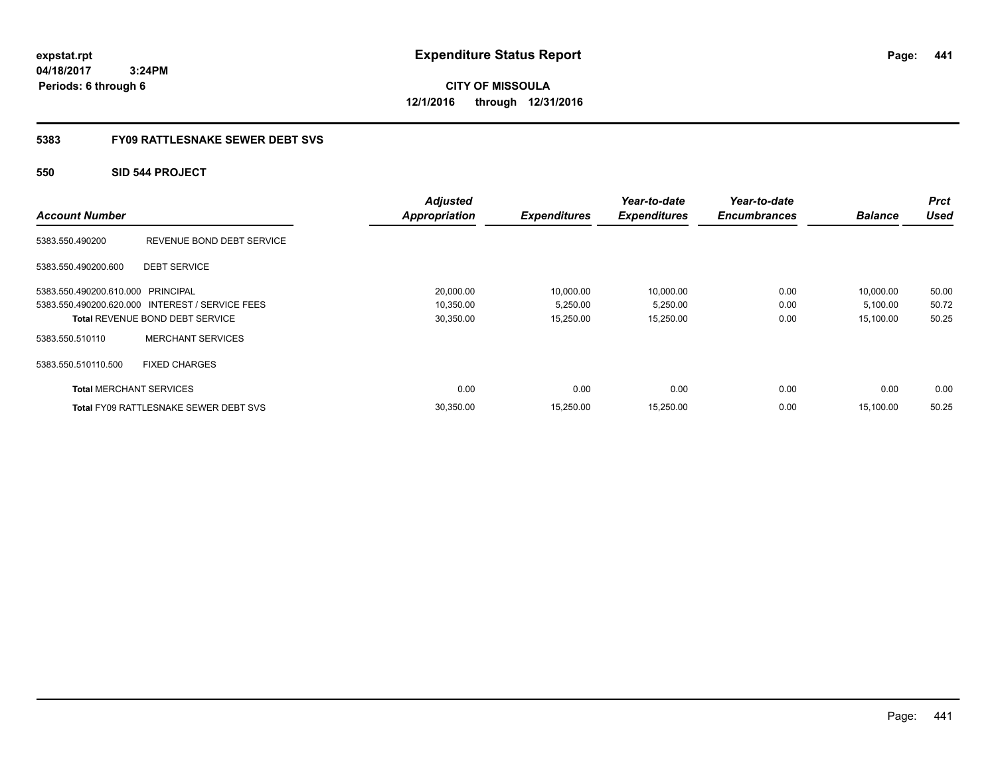**CITY OF MISSOULA 12/1/2016 through 12/31/2016**

### **5383 FY09 RATTLESNAKE SEWER DEBT SVS**

### **550 SID 544 PROJECT**

|                                   |                                                 | <b>Adjusted</b>      |                     | Year-to-date        | Year-to-date        |                | <b>Prct</b><br><b>Used</b> |
|-----------------------------------|-------------------------------------------------|----------------------|---------------------|---------------------|---------------------|----------------|----------------------------|
| <b>Account Number</b>             |                                                 | <b>Appropriation</b> | <b>Expenditures</b> | <b>Expenditures</b> | <b>Encumbrances</b> | <b>Balance</b> |                            |
| 5383.550.490200                   | REVENUE BOND DEBT SERVICE                       |                      |                     |                     |                     |                |                            |
| 5383.550.490200.600               | <b>DEBT SERVICE</b>                             |                      |                     |                     |                     |                |                            |
| 5383.550.490200.610.000 PRINCIPAL |                                                 | 20,000.00            | 10,000.00           | 10,000.00           | 0.00                | 10,000.00      | 50.00                      |
|                                   | 5383.550.490200.620.000 INTEREST / SERVICE FEES | 10,350.00            | 5,250.00            | 5,250.00            | 0.00                | 5,100.00       | 50.72                      |
|                                   | <b>Total REVENUE BOND DEBT SERVICE</b>          | 30,350.00            | 15,250.00           | 15,250.00           | 0.00                | 15,100.00      | 50.25                      |
| 5383.550.510110                   | <b>MERCHANT SERVICES</b>                        |                      |                     |                     |                     |                |                            |
| 5383.550.510110.500               | <b>FIXED CHARGES</b>                            |                      |                     |                     |                     |                |                            |
| <b>Total MERCHANT SERVICES</b>    |                                                 | 0.00                 | 0.00                | 0.00                | 0.00                | 0.00           | 0.00                       |
|                                   | <b>Total FY09 RATTLESNAKE SEWER DEBT SVS</b>    | 30,350.00            | 15.250.00           | 15,250.00           | 0.00                | 15.100.00      | 50.25                      |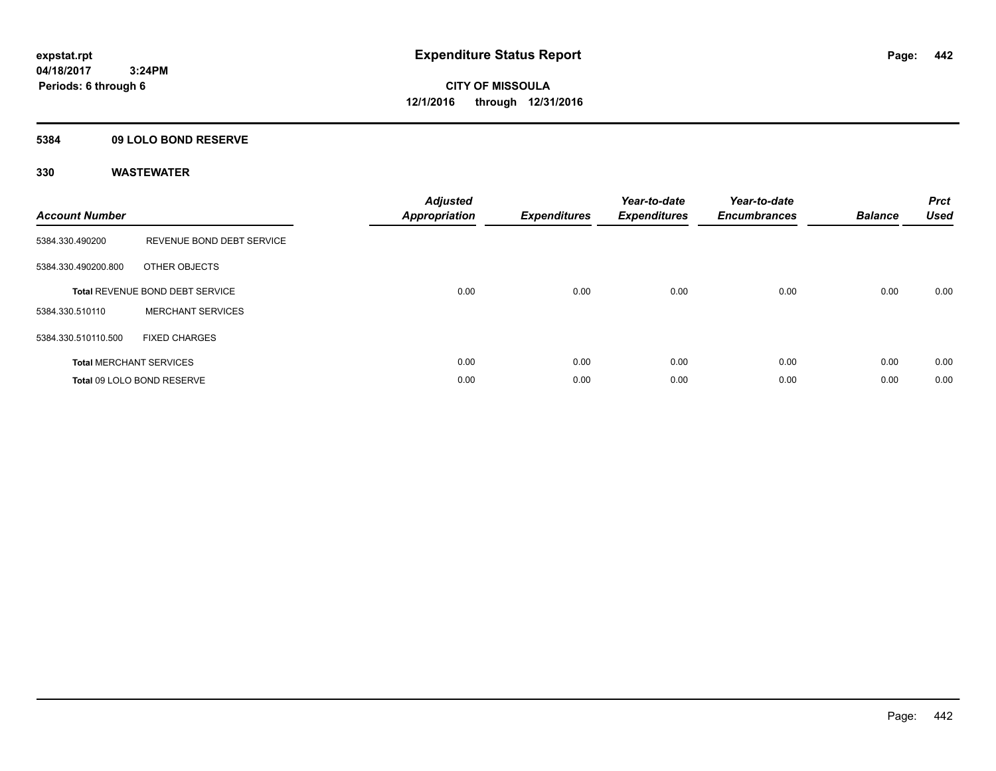### **5384 09 LOLO BOND RESERVE**

| <b>Account Number</b> |                                        | <b>Adjusted</b><br>Appropriation | <b>Expenditures</b> | Year-to-date<br><b>Expenditures</b> | Year-to-date<br><b>Encumbrances</b> | <b>Balance</b> | <b>Prct</b><br><b>Used</b> |
|-----------------------|----------------------------------------|----------------------------------|---------------------|-------------------------------------|-------------------------------------|----------------|----------------------------|
| 5384.330.490200       | REVENUE BOND DEBT SERVICE              |                                  |                     |                                     |                                     |                |                            |
| 5384.330.490200.800   | OTHER OBJECTS                          |                                  |                     |                                     |                                     |                |                            |
|                       | <b>Total REVENUE BOND DEBT SERVICE</b> | 0.00                             | 0.00                | 0.00                                | 0.00                                | 0.00           | 0.00                       |
| 5384.330.510110       | <b>MERCHANT SERVICES</b>               |                                  |                     |                                     |                                     |                |                            |
| 5384.330.510110.500   | <b>FIXED CHARGES</b>                   |                                  |                     |                                     |                                     |                |                            |
|                       | <b>Total MERCHANT SERVICES</b>         | 0.00                             | 0.00                | 0.00                                | 0.00                                | 0.00           | 0.00                       |
|                       | Total 09 LOLO BOND RESERVE             | 0.00                             | 0.00                | 0.00                                | 0.00                                | 0.00           | 0.00                       |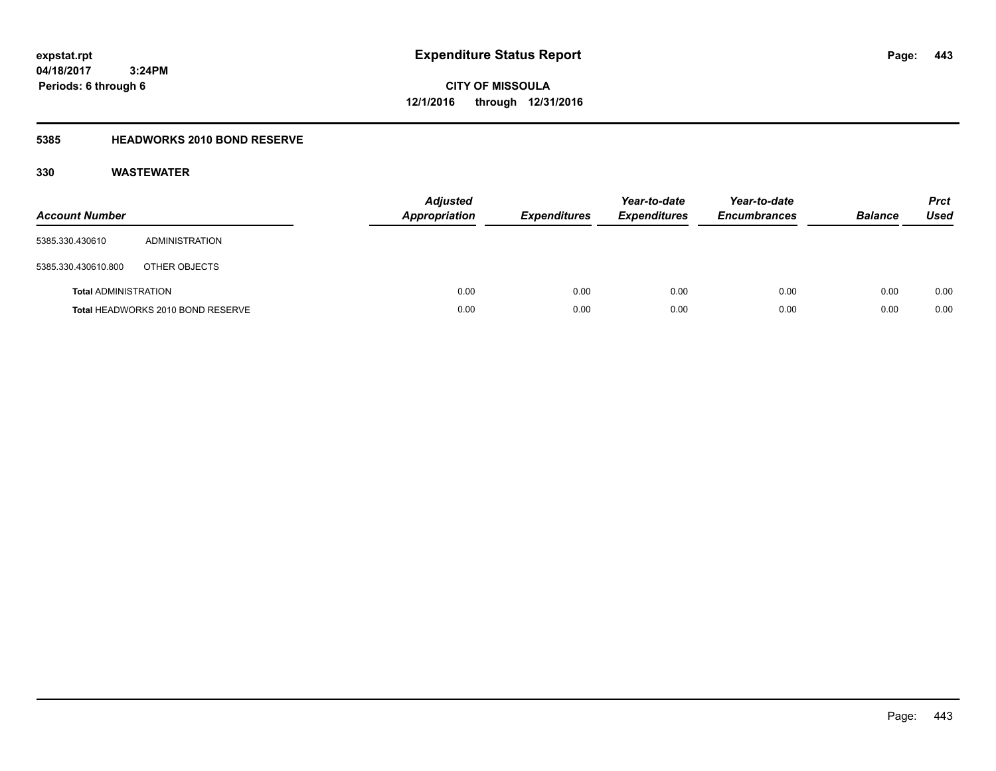**CITY OF MISSOULA 12/1/2016 through 12/31/2016**

### **5385 HEADWORKS 2010 BOND RESERVE**

| <b>Account Number</b>       |                                   | <b>Adjusted</b><br>Appropriation | <b>Expenditures</b> | Year-to-date<br><b>Expenditures</b> | Year-to-date<br><b>Encumbrances</b> | <b>Balance</b> | <b>Prct</b><br><b>Used</b> |
|-----------------------------|-----------------------------------|----------------------------------|---------------------|-------------------------------------|-------------------------------------|----------------|----------------------------|
| 5385.330.430610             | ADMINISTRATION                    |                                  |                     |                                     |                                     |                |                            |
| 5385.330.430610.800         | OTHER OBJECTS                     |                                  |                     |                                     |                                     |                |                            |
| <b>Total ADMINISTRATION</b> |                                   | 0.00                             | 0.00                | 0.00                                | 0.00                                | 0.00           | 0.00                       |
|                             | Total HEADWORKS 2010 BOND RESERVE | 0.00                             | 0.00                | 0.00                                | 0.00                                | 0.00           | 0.00                       |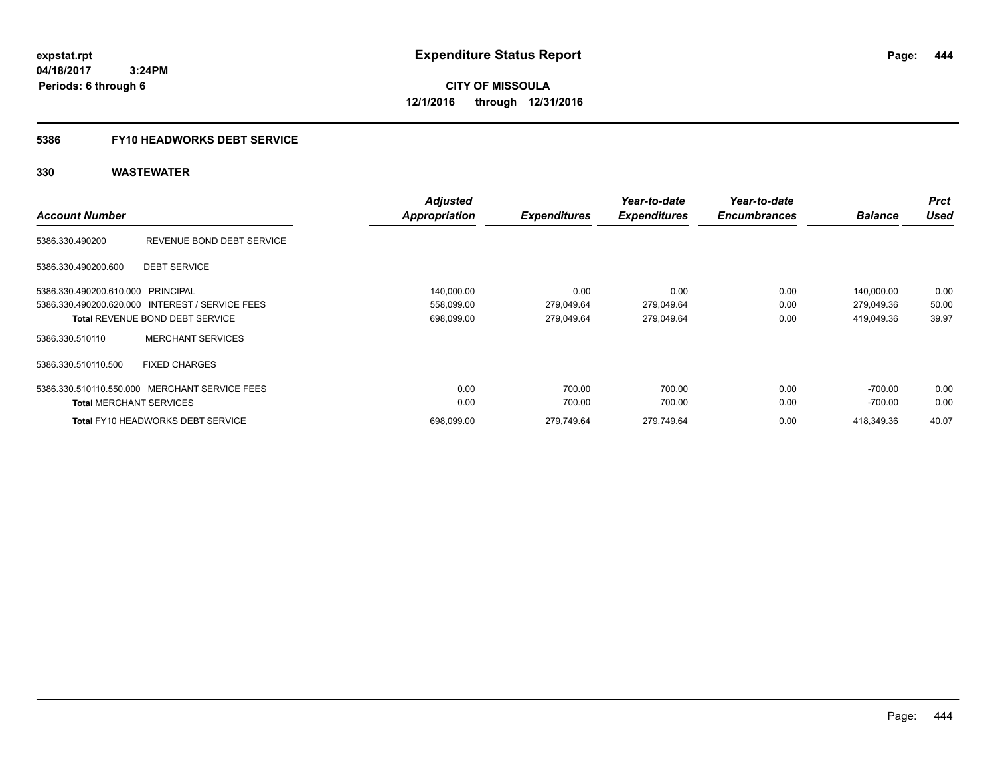**CITY OF MISSOULA 12/1/2016 through 12/31/2016**

### **5386 FY10 HEADWORKS DEBT SERVICE**

| <b>Account Number</b>             |                                                 | <b>Adjusted</b><br><b>Appropriation</b> | <b>Expenditures</b> | Year-to-date<br><b>Expenditures</b> | Year-to-date<br><b>Encumbrances</b> | <b>Balance</b> | <b>Prct</b><br><b>Used</b> |
|-----------------------------------|-------------------------------------------------|-----------------------------------------|---------------------|-------------------------------------|-------------------------------------|----------------|----------------------------|
| 5386.330.490200                   | REVENUE BOND DEBT SERVICE                       |                                         |                     |                                     |                                     |                |                            |
| 5386.330.490200.600               | <b>DEBT SERVICE</b>                             |                                         |                     |                                     |                                     |                |                            |
| 5386.330.490200.610.000 PRINCIPAL |                                                 | 140,000.00                              | 0.00                | 0.00                                | 0.00                                | 140,000.00     | 0.00                       |
|                                   | 5386.330.490200.620.000 INTEREST / SERVICE FEES | 558,099.00                              | 279,049.64          | 279,049.64                          | 0.00                                | 279,049.36     | 50.00                      |
|                                   | <b>Total REVENUE BOND DEBT SERVICE</b>          | 698,099.00                              | 279,049.64          | 279,049.64                          | 0.00                                | 419,049.36     | 39.97                      |
| 5386.330.510110                   | <b>MERCHANT SERVICES</b>                        |                                         |                     |                                     |                                     |                |                            |
| 5386.330.510110.500               | <b>FIXED CHARGES</b>                            |                                         |                     |                                     |                                     |                |                            |
|                                   | 5386.330.510110.550.000 MERCHANT SERVICE FEES   | 0.00                                    | 700.00              | 700.00                              | 0.00                                | -700.00        | 0.00                       |
| <b>Total MERCHANT SERVICES</b>    |                                                 | 0.00                                    | 700.00              | 700.00                              | 0.00                                | $-700.00$      | 0.00                       |
|                                   | <b>Total FY10 HEADWORKS DEBT SERVICE</b>        | 698,099.00                              | 279,749.64          | 279,749.64                          | 0.00                                | 418,349.36     | 40.07                      |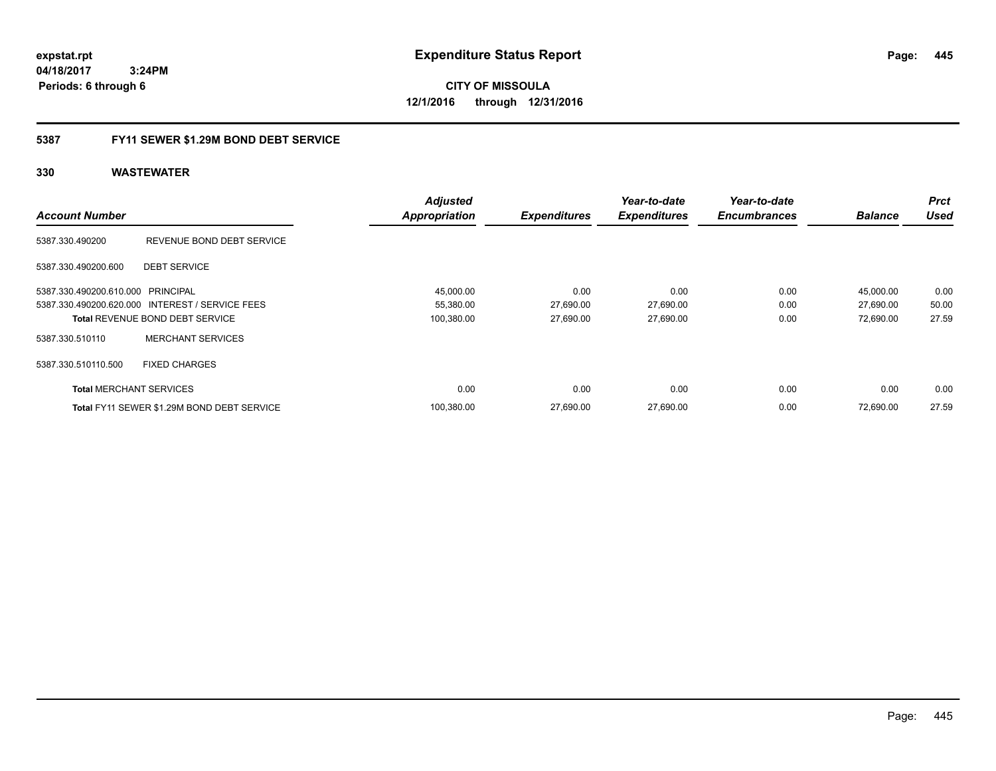**CITY OF MISSOULA 12/1/2016 through 12/31/2016**

### **5387 FY11 SEWER \$1.29M BOND DEBT SERVICE**

|                                   |                                                 | <b>Adjusted</b>      |                     | Year-to-date        | Year-to-date        |                | <b>Prct</b> |
|-----------------------------------|-------------------------------------------------|----------------------|---------------------|---------------------|---------------------|----------------|-------------|
| <b>Account Number</b>             |                                                 | <b>Appropriation</b> | <b>Expenditures</b> | <b>Expenditures</b> | <b>Encumbrances</b> | <b>Balance</b> | <b>Used</b> |
| 5387.330.490200                   | REVENUE BOND DEBT SERVICE                       |                      |                     |                     |                     |                |             |
| 5387.330.490200.600               | <b>DEBT SERVICE</b>                             |                      |                     |                     |                     |                |             |
| 5387.330.490200.610.000 PRINCIPAL |                                                 | 45,000.00            | 0.00                | 0.00                | 0.00                | 45,000.00      | 0.00        |
|                                   | 5387.330.490200.620.000 INTEREST / SERVICE FEES | 55,380.00            | 27,690.00           | 27,690.00           | 0.00                | 27,690.00      | 50.00       |
|                                   | <b>Total REVENUE BOND DEBT SERVICE</b>          | 100,380.00           | 27,690.00           | 27,690.00           | 0.00                | 72,690.00      | 27.59       |
| 5387.330.510110                   | <b>MERCHANT SERVICES</b>                        |                      |                     |                     |                     |                |             |
| 5387.330.510110.500               | <b>FIXED CHARGES</b>                            |                      |                     |                     |                     |                |             |
| <b>Total MERCHANT SERVICES</b>    |                                                 | 0.00                 | 0.00                | 0.00                | 0.00                | 0.00           | 0.00        |
|                                   | Total FY11 SEWER \$1.29M BOND DEBT SERVICE      | 100.380.00           | 27.690.00           | 27,690.00           | 0.00                | 72.690.00      | 27.59       |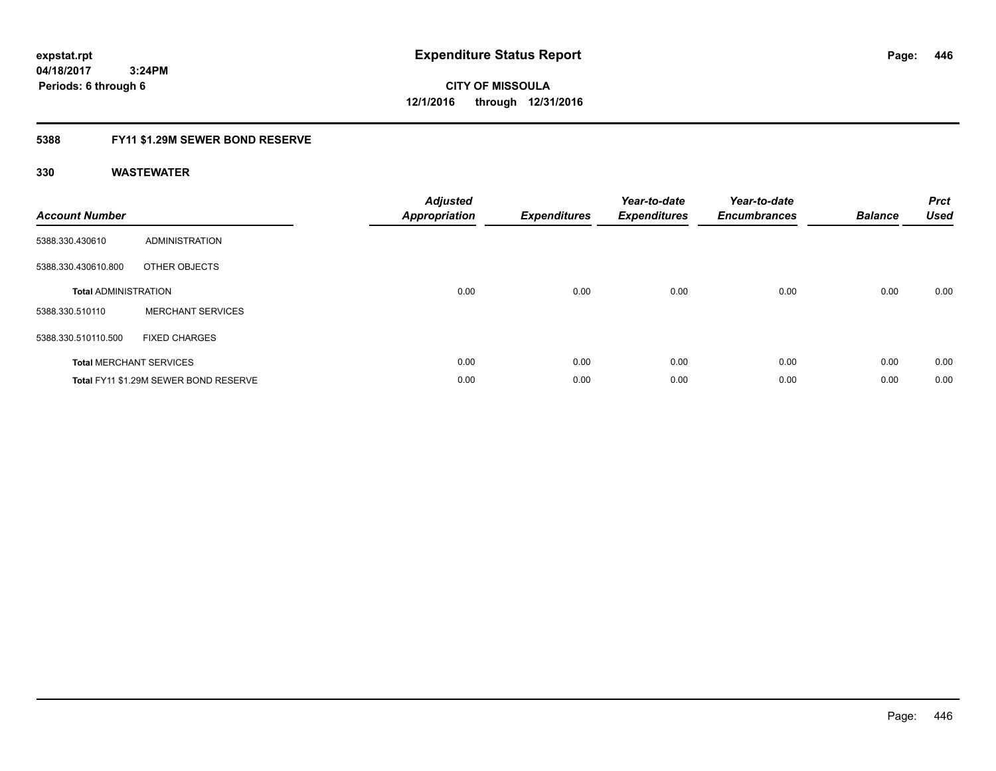# **CITY OF MISSOULA 12/1/2016 through 12/31/2016**

### **5388 FY11 \$1.29M SEWER BOND RESERVE**

| <b>Account Number</b>       |                                       | Adjusted<br>Appropriation | <b>Expenditures</b> | Year-to-date<br><b>Expenditures</b> | Year-to-date<br><b>Encumbrances</b> | <b>Balance</b> | <b>Prct</b><br><b>Used</b> |
|-----------------------------|---------------------------------------|---------------------------|---------------------|-------------------------------------|-------------------------------------|----------------|----------------------------|
| 5388.330.430610             | <b>ADMINISTRATION</b>                 |                           |                     |                                     |                                     |                |                            |
| 5388.330.430610.800         | OTHER OBJECTS                         |                           |                     |                                     |                                     |                |                            |
| <b>Total ADMINISTRATION</b> |                                       | 0.00                      | 0.00                | 0.00                                | 0.00                                | 0.00           | 0.00                       |
| 5388.330.510110             | <b>MERCHANT SERVICES</b>              |                           |                     |                                     |                                     |                |                            |
| 5388.330.510110.500         | <b>FIXED CHARGES</b>                  |                           |                     |                                     |                                     |                |                            |
|                             | <b>Total MERCHANT SERVICES</b>        | 0.00                      | 0.00                | 0.00                                | 0.00                                | 0.00           | 0.00                       |
|                             | Total FY11 \$1.29M SEWER BOND RESERVE | 0.00                      | 0.00                | 0.00                                | 0.00                                | 0.00           | 0.00                       |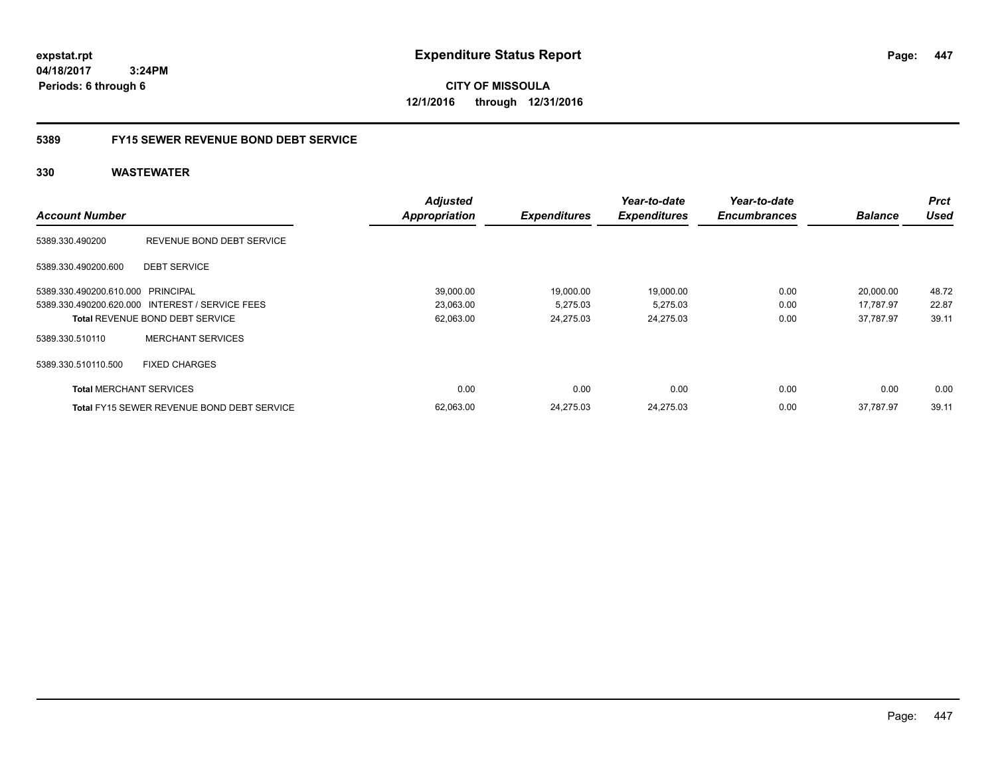**CITY OF MISSOULA 12/1/2016 through 12/31/2016**

### **5389 FY15 SEWER REVENUE BOND DEBT SERVICE**

|                                   |                                                 | <b>Adjusted</b>      |                     | Year-to-date        | Year-to-date        |                | <b>Prct</b> |
|-----------------------------------|-------------------------------------------------|----------------------|---------------------|---------------------|---------------------|----------------|-------------|
| <b>Account Number</b>             |                                                 | <b>Appropriation</b> | <b>Expenditures</b> | <b>Expenditures</b> | <b>Encumbrances</b> | <b>Balance</b> | <b>Used</b> |
| 5389.330.490200                   | REVENUE BOND DEBT SERVICE                       |                      |                     |                     |                     |                |             |
| 5389.330.490200.600               | <b>DEBT SERVICE</b>                             |                      |                     |                     |                     |                |             |
| 5389.330.490200.610.000 PRINCIPAL |                                                 | 39,000.00            | 19,000.00           | 19,000.00           | 0.00                | 20,000.00      | 48.72       |
|                                   | 5389.330.490200.620.000 INTEREST / SERVICE FEES | 23,063.00            | 5,275.03            | 5,275.03            | 0.00                | 17,787.97      | 22.87       |
|                                   | <b>Total REVENUE BOND DEBT SERVICE</b>          | 62,063.00            | 24.275.03           | 24.275.03           | 0.00                | 37.787.97      | 39.11       |
| 5389.330.510110                   | <b>MERCHANT SERVICES</b>                        |                      |                     |                     |                     |                |             |
| 5389.330.510110.500               | <b>FIXED CHARGES</b>                            |                      |                     |                     |                     |                |             |
| <b>Total MERCHANT SERVICES</b>    |                                                 | 0.00                 | 0.00                | 0.00                | 0.00                | 0.00           | 0.00        |
|                                   | Total FY15 SEWER REVENUE BOND DEBT SERVICE      | 62,063.00            | 24.275.03           | 24.275.03           | 0.00                | 37.787.97      | 39.11       |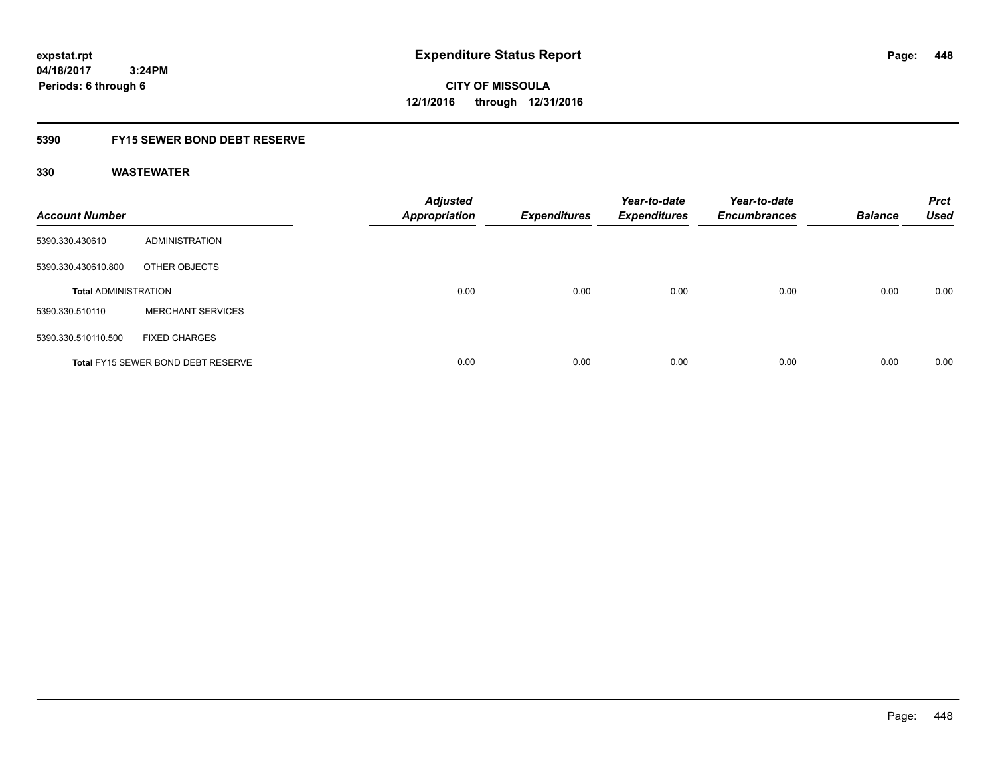# **04/18/2017**

**448**

 **3:24PM Periods: 6 through 6**

**CITY OF MISSOULA 12/1/2016 through 12/31/2016**

### **5390 FY15 SEWER BOND DEBT RESERVE**

| <b>Account Number</b>       |                                           | <b>Adjusted</b><br><b>Appropriation</b> | <b>Expenditures</b> | Year-to-date<br><b>Expenditures</b> | Year-to-date<br><b>Encumbrances</b> | <b>Balance</b> | <b>Prct</b><br><b>Used</b> |
|-----------------------------|-------------------------------------------|-----------------------------------------|---------------------|-------------------------------------|-------------------------------------|----------------|----------------------------|
| 5390.330.430610             | ADMINISTRATION                            |                                         |                     |                                     |                                     |                |                            |
| 5390.330.430610.800         | OTHER OBJECTS                             |                                         |                     |                                     |                                     |                |                            |
| <b>Total ADMINISTRATION</b> |                                           | 0.00                                    | 0.00                | 0.00                                | 0.00                                | 0.00           | 0.00                       |
| 5390.330.510110             | <b>MERCHANT SERVICES</b>                  |                                         |                     |                                     |                                     |                |                            |
| 5390.330.510110.500         | <b>FIXED CHARGES</b>                      |                                         |                     |                                     |                                     |                |                            |
|                             | <b>Total FY15 SEWER BOND DEBT RESERVE</b> | 0.00                                    | 0.00                | 0.00                                | 0.00                                | 0.00           | 0.00                       |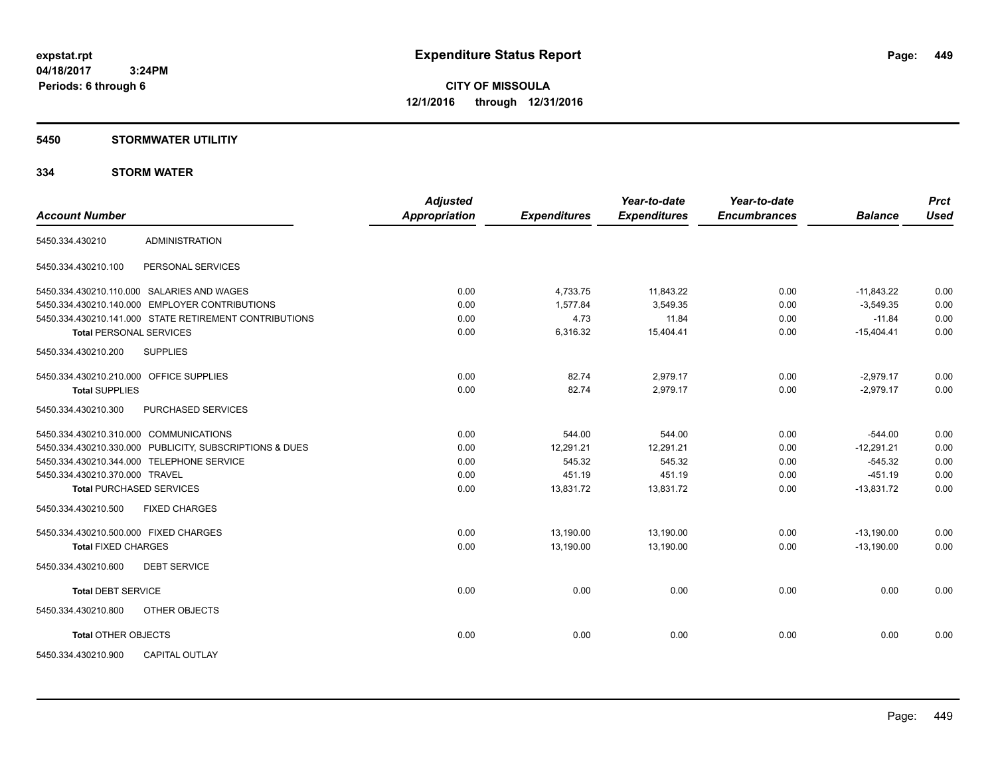### **5450 STORMWATER UTILITIY**

### **334 STORM WATER**

| <b>Account Number</b>                                   | <b>Adjusted</b><br>Appropriation | <b>Expenditures</b> | Year-to-date<br><b>Expenditures</b> | Year-to-date<br><b>Encumbrances</b> | <b>Balance</b> | <b>Prct</b><br><b>Used</b> |
|---------------------------------------------------------|----------------------------------|---------------------|-------------------------------------|-------------------------------------|----------------|----------------------------|
| <b>ADMINISTRATION</b><br>5450.334.430210                |                                  |                     |                                     |                                     |                |                            |
| PERSONAL SERVICES<br>5450.334.430210.100                |                                  |                     |                                     |                                     |                |                            |
| 5450.334.430210.110.000 SALARIES AND WAGES              | 0.00                             | 4,733.75            | 11,843.22                           | 0.00                                | $-11.843.22$   | 0.00                       |
| 5450.334.430210.140.000 EMPLOYER CONTRIBUTIONS          | 0.00                             | 1,577.84            | 3,549.35                            | 0.00                                | $-3,549.35$    | 0.00                       |
| 5450.334.430210.141.000 STATE RETIREMENT CONTRIBUTIONS  | 0.00                             | 4.73                | 11.84                               | 0.00                                | $-11.84$       | 0.00                       |
| <b>Total PERSONAL SERVICES</b>                          | 0.00                             | 6,316.32            | 15,404.41                           | 0.00                                | $-15,404.41$   | 0.00                       |
| 5450.334.430210.200<br><b>SUPPLIES</b>                  |                                  |                     |                                     |                                     |                |                            |
| 5450.334.430210.210.000 OFFICE SUPPLIES                 | 0.00                             | 82.74               | 2,979.17                            | 0.00                                | $-2,979.17$    | 0.00                       |
| <b>Total SUPPLIES</b>                                   | 0.00                             | 82.74               | 2,979.17                            | 0.00                                | $-2,979.17$    | 0.00                       |
| PURCHASED SERVICES<br>5450.334.430210.300               |                                  |                     |                                     |                                     |                |                            |
| 5450.334.430210.310.000 COMMUNICATIONS                  | 0.00                             | 544.00              | 544.00                              | 0.00                                | $-544.00$      | 0.00                       |
| 5450.334.430210.330.000 PUBLICITY, SUBSCRIPTIONS & DUES | 0.00                             | 12,291.21           | 12.291.21                           | 0.00                                | $-12,291.21$   | 0.00                       |
| 5450.334.430210.344.000 TELEPHONE SERVICE               | 0.00                             | 545.32              | 545.32                              | 0.00                                | $-545.32$      | 0.00                       |
| 5450.334.430210.370.000 TRAVEL                          | 0.00                             | 451.19              | 451.19                              | 0.00                                | $-451.19$      | 0.00                       |
| <b>Total PURCHASED SERVICES</b>                         | 0.00                             | 13,831.72           | 13,831.72                           | 0.00                                | $-13,831.72$   | 0.00                       |
| 5450.334.430210.500<br><b>FIXED CHARGES</b>             |                                  |                     |                                     |                                     |                |                            |
| 5450.334.430210.500.000 FIXED CHARGES                   | 0.00                             | 13,190.00           | 13,190.00                           | 0.00                                | $-13,190.00$   | 0.00                       |
| <b>Total FIXED CHARGES</b>                              | 0.00                             | 13,190.00           | 13.190.00                           | 0.00                                | $-13,190.00$   | 0.00                       |
| <b>DEBT SERVICE</b><br>5450.334.430210.600              |                                  |                     |                                     |                                     |                |                            |
| <b>Total DEBT SERVICE</b>                               | 0.00                             | 0.00                | 0.00                                | 0.00                                | 0.00           | 0.00                       |
| OTHER OBJECTS<br>5450.334.430210.800                    |                                  |                     |                                     |                                     |                |                            |
| <b>Total OTHER OBJECTS</b>                              | 0.00                             | 0.00                | 0.00                                | 0.00                                | 0.00           | 0.00                       |
| <b>CAPITAL OUTLAY</b><br>5450.334.430210.900            |                                  |                     |                                     |                                     |                |                            |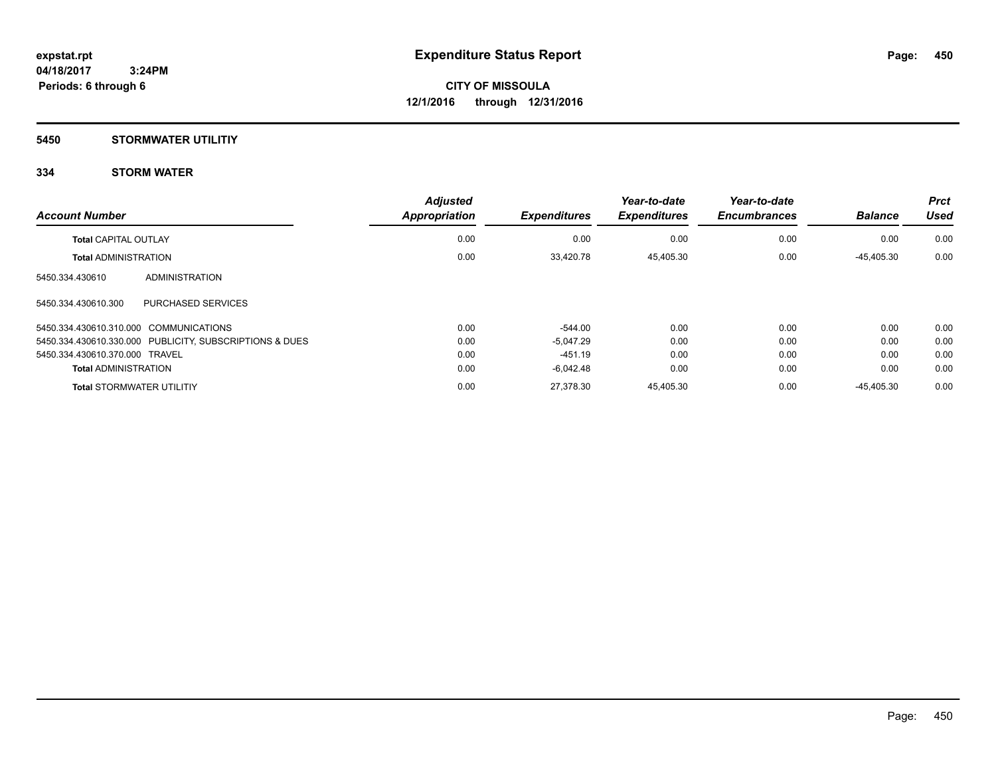### **5450 STORMWATER UTILITIY**

### **334 STORM WATER**

| <b>Account Number</b>                                   | <b>Adjusted</b><br>Appropriation | <b>Expenditures</b> | Year-to-date<br><b>Expenditures</b> | Year-to-date<br><b>Encumbrances</b> | <b>Balance</b> | <b>Prct</b><br><b>Used</b> |
|---------------------------------------------------------|----------------------------------|---------------------|-------------------------------------|-------------------------------------|----------------|----------------------------|
| <b>Total CAPITAL OUTLAY</b>                             | 0.00                             | 0.00                | 0.00                                | 0.00                                | 0.00           | 0.00                       |
| <b>Total ADMINISTRATION</b>                             | 0.00                             | 33.420.78           | 45.405.30                           | 0.00                                | -45.405.30     | 0.00                       |
| ADMINISTRATION<br>5450.334.430610                       |                                  |                     |                                     |                                     |                |                            |
| 5450.334.430610.300<br><b>PURCHASED SERVICES</b>        |                                  |                     |                                     |                                     |                |                            |
| 5450.334.430610.310.000 COMMUNICATIONS                  | 0.00                             | $-544.00$           | 0.00                                | 0.00                                | 0.00           | 0.00                       |
| 5450.334.430610.330.000 PUBLICITY, SUBSCRIPTIONS & DUES | 0.00                             | $-5.047.29$         | 0.00                                | 0.00                                | 0.00           | 0.00                       |
| 5450.334.430610.370.000 TRAVEL                          | 0.00                             | $-451.19$           | 0.00                                | 0.00                                | 0.00           | 0.00                       |
| <b>Total ADMINISTRATION</b>                             | 0.00                             | $-6.042.48$         | 0.00                                | 0.00                                | 0.00           | 0.00                       |
| <b>Total STORMWATER UTILITIY</b>                        | 0.00                             | 27.378.30           | 45.405.30                           | 0.00                                | $-45.405.30$   | 0.00                       |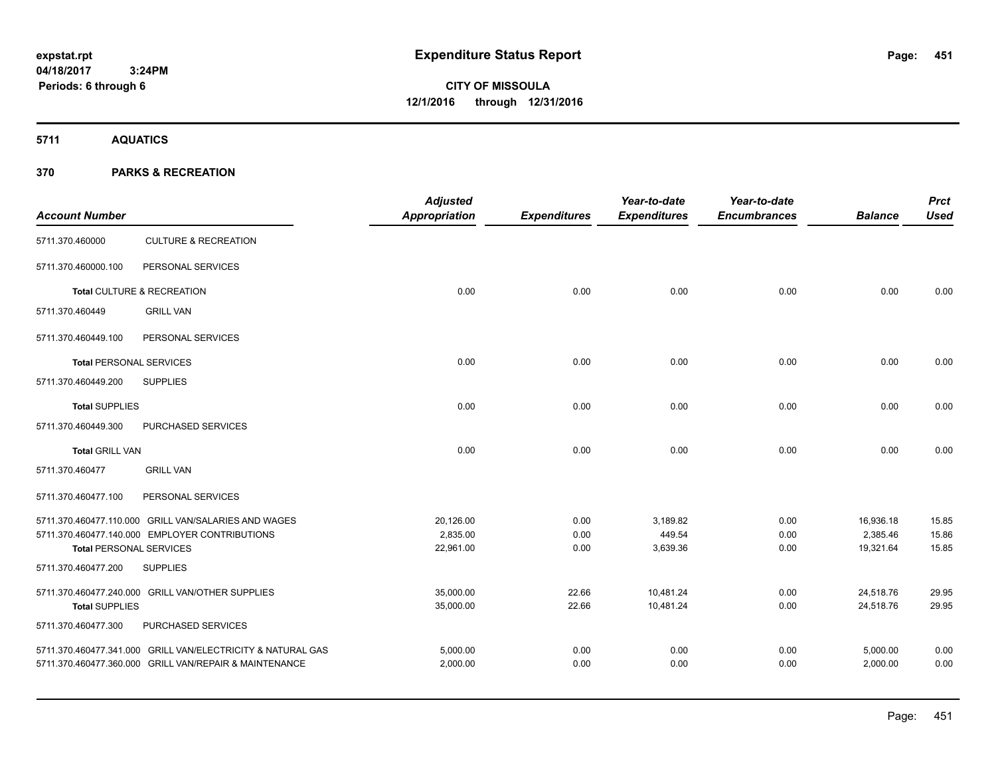**CITY OF MISSOULA 12/1/2016 through 12/31/2016**

**5711 AQUATICS**

| <b>CULTURE &amp; RECREATION</b><br>5711.370.460000<br>PERSONAL SERVICES<br>5711.370.460000.100<br>0.00<br>0.00<br>0.00<br>Total CULTURE & RECREATION<br>0.00<br>0.00 | 0.00<br>0.00 |
|----------------------------------------------------------------------------------------------------------------------------------------------------------------------|--------------|
|                                                                                                                                                                      |              |
|                                                                                                                                                                      |              |
|                                                                                                                                                                      |              |
| <b>GRILL VAN</b><br>5711.370.460449                                                                                                                                  |              |
| PERSONAL SERVICES<br>5711.370.460449.100                                                                                                                             |              |
| <b>Total PERSONAL SERVICES</b><br>0.00<br>0.00<br>0.00<br>0.00<br>0.00                                                                                               |              |
| <b>SUPPLIES</b><br>5711.370.460449.200                                                                                                                               |              |
| <b>Total SUPPLIES</b><br>0.00<br>0.00<br>0.00<br>0.00<br>0.00                                                                                                        | 0.00         |
| PURCHASED SERVICES<br>5711.370.460449.300                                                                                                                            |              |
| 0.00<br>0.00<br>0.00<br><b>Total GRILL VAN</b><br>0.00<br>0.00                                                                                                       | 0.00         |
| 5711.370.460477<br><b>GRILL VAN</b>                                                                                                                                  |              |
| PERSONAL SERVICES<br>5711.370.460477.100                                                                                                                             |              |
| 5711.370.460477.110.000 GRILL VAN/SALARIES AND WAGES<br>20,126.00<br>0.00<br>3,189.82<br>0.00<br>16,936.18                                                           | 15.85        |
| 5711.370.460477.140.000 EMPLOYER CONTRIBUTIONS<br>2,835.00<br>0.00<br>449.54<br>0.00<br>2,385.46                                                                     | 15.86        |
| 22,961.00<br>3,639.36<br>0.00<br>19,321.64<br>0.00<br><b>Total PERSONAL SERVICES</b>                                                                                 | 15.85        |
| 5711.370.460477.200<br><b>SUPPLIES</b>                                                                                                                               |              |
| 35,000.00<br>10,481.24<br>0.00<br>5711.370.460477.240.000 GRILL VAN/OTHER SUPPLIES<br>22.66<br>24,518.76                                                             | 29.95        |
| 10,481.24<br><b>Total SUPPLIES</b><br>35,000.00<br>22.66<br>0.00<br>24,518.76                                                                                        | 29.95        |
| 5711.370.460477.300<br>PURCHASED SERVICES                                                                                                                            |              |
| 5711.370.460477.341.000 GRILL VAN/ELECTRICITY & NATURAL GAS<br>5,000.00<br>0.00<br>0.00<br>0.00<br>5,000.00                                                          | 0.00         |
| 5711.370.460477.360.000 GRILL VAN/REPAIR & MAINTENANCE<br>0.00<br>0.00<br>2,000.00<br>0.00<br>2,000.00                                                               | 0.00         |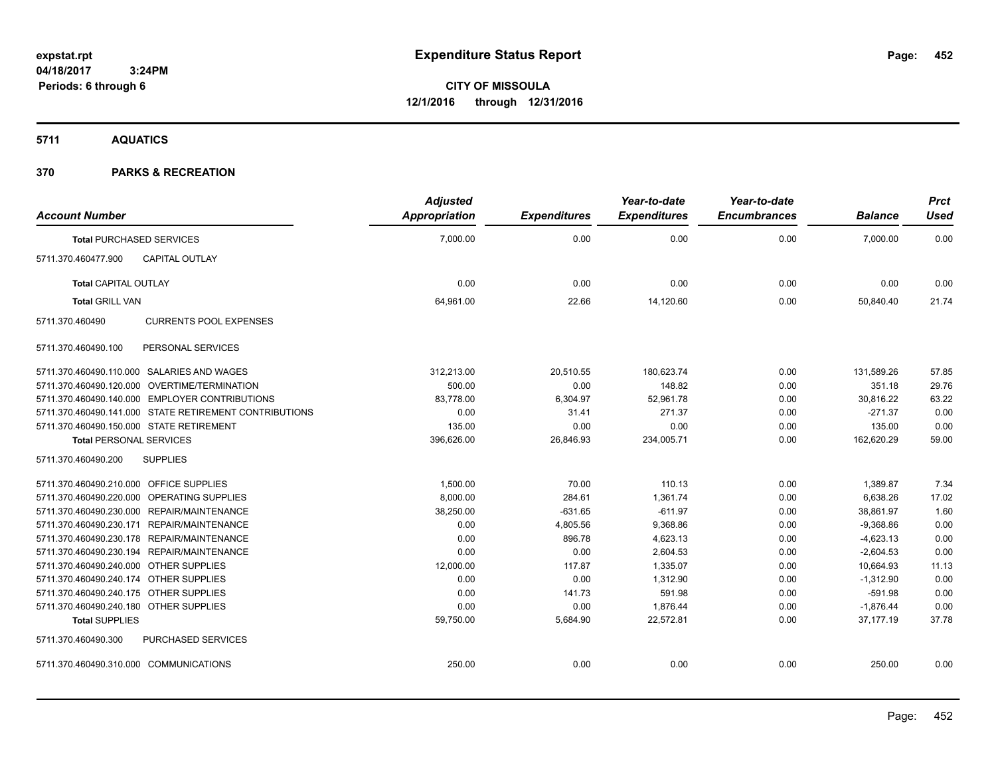**5711 AQUATICS**

| <b>Account Number</b>                   |                                                        | <b>Adjusted</b><br>Appropriation | <b>Expenditures</b> | Year-to-date<br><b>Expenditures</b> | Year-to-date<br><b>Encumbrances</b> | <b>Balance</b> | <b>Prct</b><br><b>Used</b> |
|-----------------------------------------|--------------------------------------------------------|----------------------------------|---------------------|-------------------------------------|-------------------------------------|----------------|----------------------------|
|                                         | <b>Total PURCHASED SERVICES</b>                        | 7,000.00                         | 0.00                | 0.00                                | 0.00                                | 7,000.00       | 0.00                       |
| 5711.370.460477.900                     | <b>CAPITAL OUTLAY</b>                                  |                                  |                     |                                     |                                     |                |                            |
| <b>Total CAPITAL OUTLAY</b>             |                                                        | 0.00                             | 0.00                | 0.00                                | 0.00                                | 0.00           | 0.00                       |
| <b>Total GRILL VAN</b>                  |                                                        | 64,961.00                        | 22.66               | 14,120.60                           | 0.00                                | 50,840.40      | 21.74                      |
| 5711.370.460490                         | <b>CURRENTS POOL EXPENSES</b>                          |                                  |                     |                                     |                                     |                |                            |
| 5711.370.460490.100                     | PERSONAL SERVICES                                      |                                  |                     |                                     |                                     |                |                            |
|                                         | 5711.370.460490.110.000 SALARIES AND WAGES             | 312,213.00                       | 20,510.55           | 180,623.74                          | 0.00                                | 131,589.26     | 57.85                      |
|                                         | 5711.370.460490.120.000 OVERTIME/TERMINATION           | 500.00                           | 0.00                | 148.82                              | 0.00                                | 351.18         | 29.76                      |
|                                         | 5711.370.460490.140.000 EMPLOYER CONTRIBUTIONS         | 83.778.00                        | 6,304.97            | 52.961.78                           | 0.00                                | 30.816.22      | 63.22                      |
|                                         | 5711.370.460490.141.000 STATE RETIREMENT CONTRIBUTIONS | 0.00                             | 31.41               | 271.37                              | 0.00                                | $-271.37$      | 0.00                       |
|                                         | 5711.370.460490.150.000 STATE RETIREMENT               | 135.00                           | 0.00                | 0.00                                | 0.00                                | 135.00         | 0.00                       |
| <b>Total PERSONAL SERVICES</b>          |                                                        | 396,626.00                       | 26,846.93           | 234,005.71                          | 0.00                                | 162,620.29     | 59.00                      |
| 5711.370.460490.200                     | <b>SUPPLIES</b>                                        |                                  |                     |                                     |                                     |                |                            |
| 5711.370.460490.210.000 OFFICE SUPPLIES |                                                        | 1,500.00                         | 70.00               | 110.13                              | 0.00                                | 1,389.87       | 7.34                       |
|                                         | 5711.370.460490.220.000 OPERATING SUPPLIES             | 8,000.00                         | 284.61              | 1.361.74                            | 0.00                                | 6,638.26       | 17.02                      |
|                                         | 5711.370.460490.230.000 REPAIR/MAINTENANCE             | 38,250.00                        | $-631.65$           | $-611.97$                           | 0.00                                | 38,861.97      | 1.60                       |
|                                         | 5711.370.460490.230.171 REPAIR/MAINTENANCE             | 0.00                             | 4,805.56            | 9,368.86                            | 0.00                                | $-9,368.86$    | 0.00                       |
|                                         | 5711.370.460490.230.178 REPAIR/MAINTENANCE             | 0.00                             | 896.78              | 4,623.13                            | 0.00                                | $-4,623.13$    | 0.00                       |
|                                         | 5711.370.460490.230.194 REPAIR/MAINTENANCE             | 0.00                             | 0.00                | 2,604.53                            | 0.00                                | $-2,604.53$    | 0.00                       |
| 5711.370.460490.240.000 OTHER SUPPLIES  |                                                        | 12,000.00                        | 117.87              | 1,335.07                            | 0.00                                | 10,664.93      | 11.13                      |
| 5711.370.460490.240.174 OTHER SUPPLIES  |                                                        | 0.00                             | 0.00                | 1,312.90                            | 0.00                                | $-1,312.90$    | 0.00                       |
| 5711.370.460490.240.175 OTHER SUPPLIES  |                                                        | 0.00                             | 141.73              | 591.98                              | 0.00                                | $-591.98$      | 0.00                       |
| 5711.370.460490.240.180 OTHER SUPPLIES  |                                                        | 0.00                             | 0.00                | 1.876.44                            | 0.00                                | $-1.876.44$    | 0.00                       |
| <b>Total SUPPLIES</b>                   |                                                        | 59,750.00                        | 5,684.90            | 22,572.81                           | 0.00                                | 37,177.19      | 37.78                      |
| 5711.370.460490.300                     | <b>PURCHASED SERVICES</b>                              |                                  |                     |                                     |                                     |                |                            |
| 5711.370.460490.310.000 COMMUNICATIONS  |                                                        | 250.00                           | 0.00                | 0.00                                | 0.00                                | 250.00         | 0.00                       |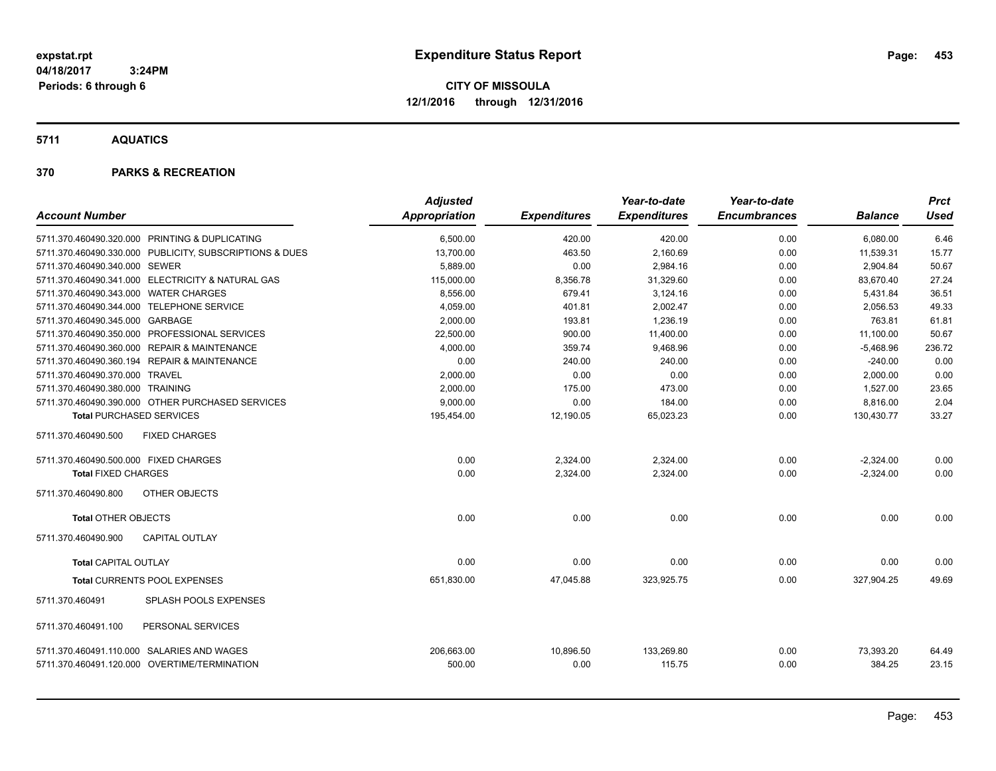**CITY OF MISSOULA 12/1/2016 through 12/31/2016**

**5711 AQUATICS**

| <b>Account Number</b>                      |                                                         | <b>Adjusted</b><br><b>Appropriation</b> | <b>Expenditures</b> | Year-to-date<br><b>Expenditures</b> | Year-to-date<br><b>Encumbrances</b> | <b>Balance</b>      | Prct<br><b>Used</b> |
|--------------------------------------------|---------------------------------------------------------|-----------------------------------------|---------------------|-------------------------------------|-------------------------------------|---------------------|---------------------|
|                                            | 5711.370.460490.320.000 PRINTING & DUPLICATING          | 6,500.00                                | 420.00              | 420.00                              | 0.00                                | 6,080.00            | 6.46                |
|                                            | 5711.370.460490.330.000 PUBLICITY, SUBSCRIPTIONS & DUES | 13,700.00                               | 463.50              | 2,160.69                            | 0.00                                | 11,539.31           | 15.77               |
| 5711.370.460490.340.000 SEWER              |                                                         | 5,889.00                                | 0.00                | 2,984.16                            | 0.00                                | 2,904.84            | 50.67               |
|                                            | 5711.370.460490.341.000 ELECTRICITY & NATURAL GAS       | 115,000.00                              | 8,356.78            | 31,329.60                           | 0.00                                | 83,670.40           | 27.24               |
| 5711.370.460490.343.000 WATER CHARGES      |                                                         | 8.556.00                                | 679.41              | 3.124.16                            | 0.00                                | 5,431.84            | 36.51               |
| 5711.370.460490.344.000 TELEPHONE SERVICE  |                                                         | 4,059.00                                | 401.81              | 2,002.47                            | 0.00                                | 2,056.53            | 49.33               |
| 5711.370.460490.345.000 GARBAGE            |                                                         | 2,000.00                                | 193.81              | 1,236.19                            | 0.00                                | 763.81              | 61.81               |
|                                            | 5711.370.460490.350.000 PROFESSIONAL SERVICES           | 22,500.00                               | 900.00              | 11,400.00                           | 0.00                                | 11,100.00           | 50.67               |
|                                            | 5711.370.460490.360.000 REPAIR & MAINTENANCE            | 4,000.00                                | 359.74              | 9,468.96                            | 0.00                                | $-5,468.96$         | 236.72              |
|                                            | 5711.370.460490.360.194 REPAIR & MAINTENANCE            | 0.00                                    | 240.00              | 240.00                              | 0.00                                | $-240.00$           | 0.00                |
| 5711.370.460490.370.000 TRAVEL             |                                                         | 2,000.00                                | 0.00                | 0.00                                | 0.00                                | 2,000.00            | 0.00                |
| 5711.370.460490.380.000 TRAINING           |                                                         | 2,000.00                                | 175.00              | 473.00                              | 0.00                                | 1,527.00            | 23.65               |
|                                            | 5711.370.460490.390.000 OTHER PURCHASED SERVICES        | 9,000.00                                | 0.00                | 184.00                              | 0.00                                | 8,816.00            | 2.04                |
| <b>Total PURCHASED SERVICES</b>            |                                                         | 195,454.00                              | 12,190.05           | 65,023.23                           | 0.00                                | 130,430.77          | 33.27               |
| 5711.370.460490.500                        | <b>FIXED CHARGES</b>                                    |                                         |                     |                                     |                                     |                     |                     |
| 5711.370.460490.500.000 FIXED CHARGES      |                                                         | 0.00                                    | 2,324.00            | 2,324.00                            | 0.00                                | $-2,324.00$         | 0.00                |
| <b>Total FIXED CHARGES</b>                 |                                                         | 0.00                                    | 2,324.00            | 2,324.00                            | 0.00                                | $-2,324.00$         | 0.00                |
| 5711.370.460490.800                        | OTHER OBJECTS                                           |                                         |                     |                                     |                                     |                     |                     |
| <b>Total OTHER OBJECTS</b>                 |                                                         | 0.00                                    | 0.00                | 0.00                                | 0.00                                | 0.00                | 0.00                |
| 5711.370.460490.900                        | <b>CAPITAL OUTLAY</b>                                   |                                         |                     |                                     |                                     |                     |                     |
| <b>Total CAPITAL OUTLAY</b>                |                                                         | 0.00                                    | 0.00                | 0.00                                | 0.00                                | 0.00                | 0.00                |
|                                            | Total CURRENTS POOL EXPENSES                            | 651,830.00                              | 47,045.88           | 323,925.75                          | 0.00                                | 327,904.25          | 49.69               |
| 5711.370.460491                            | SPLASH POOLS EXPENSES                                   |                                         |                     |                                     |                                     |                     |                     |
| 5711.370.460491.100                        | PERSONAL SERVICES                                       |                                         |                     |                                     |                                     |                     |                     |
| 5711.370.460491.110.000 SALARIES AND WAGES | 5711.370.460491.120.000 OVERTIME/TERMINATION            | 206,663.00<br>500.00                    | 10,896.50<br>0.00   | 133,269.80<br>115.75                | 0.00<br>0.00                        | 73,393.20<br>384.25 | 64.49<br>23.15      |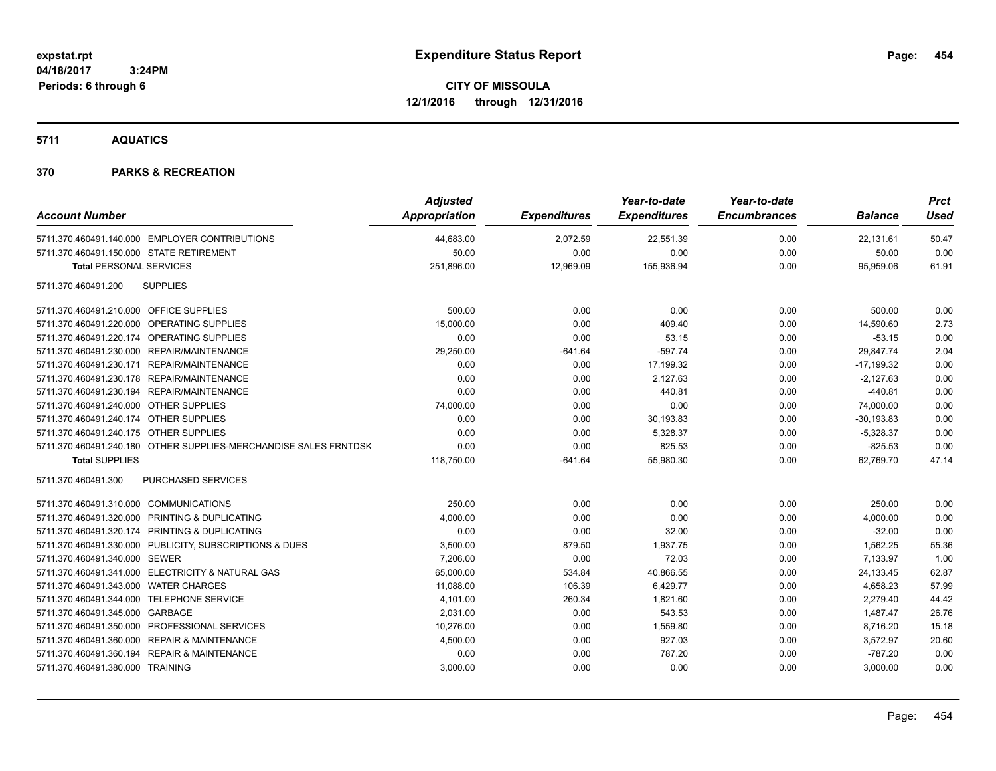### **5711 AQUATICS**

| <b>Account Number</b>                                            | <b>Adjusted</b><br>Appropriation | <b>Expenditures</b> | Year-to-date<br><b>Expenditures</b> | Year-to-date<br><b>Encumbrances</b> | <b>Balance</b> | <b>Prct</b><br><b>Used</b> |
|------------------------------------------------------------------|----------------------------------|---------------------|-------------------------------------|-------------------------------------|----------------|----------------------------|
| 5711.370.460491.140.000 EMPLOYER CONTRIBUTIONS                   | 44,683.00                        | 2,072.59            | 22,551.39                           | 0.00                                | 22,131.61      | 50.47                      |
| 5711.370.460491.150.000 STATE RETIREMENT                         | 50.00                            | 0.00                | 0.00                                | 0.00                                | 50.00          | 0.00                       |
| <b>Total PERSONAL SERVICES</b>                                   | 251,896.00                       | 12,969.09           | 155,936.94                          | 0.00                                | 95,959.06      | 61.91                      |
| <b>SUPPLIES</b><br>5711.370.460491.200                           |                                  |                     |                                     |                                     |                |                            |
| 5711.370.460491.210.000 OFFICE SUPPLIES                          | 500.00                           | 0.00                | 0.00                                | 0.00                                | 500.00         | 0.00                       |
| 5711.370.460491.220.000 OPERATING SUPPLIES                       | 15,000.00                        | 0.00                | 409.40                              | 0.00                                | 14,590.60      | 2.73                       |
| 5711.370.460491.220.174 OPERATING SUPPLIES                       | 0.00                             | 0.00                | 53.15                               | 0.00                                | $-53.15$       | 0.00                       |
| 5711.370.460491.230.000 REPAIR/MAINTENANCE                       | 29,250.00                        | $-641.64$           | $-597.74$                           | 0.00                                | 29,847.74      | 2.04                       |
| 5711.370.460491.230.171 REPAIR/MAINTENANCE                       | 0.00                             | 0.00                | 17,199.32                           | 0.00                                | $-17,199.32$   | 0.00                       |
| 5711.370.460491.230.178 REPAIR/MAINTENANCE                       | 0.00                             | 0.00                | 2,127.63                            | 0.00                                | $-2,127.63$    | 0.00                       |
| 5711.370.460491.230.194 REPAIR/MAINTENANCE                       | 0.00                             | 0.00                | 440.81                              | 0.00                                | $-440.81$      | 0.00                       |
| 5711.370.460491.240.000 OTHER SUPPLIES                           | 74,000.00                        | 0.00                | 0.00                                | 0.00                                | 74,000.00      | 0.00                       |
| 5711.370.460491.240.174 OTHER SUPPLIES                           | 0.00                             | 0.00                | 30,193.83                           | 0.00                                | $-30, 193.83$  | 0.00                       |
| 5711.370.460491.240.175 OTHER SUPPLIES                           | 0.00                             | 0.00                | 5,328.37                            | 0.00                                | $-5,328.37$    | 0.00                       |
| 5711.370.460491.240.180 OTHER SUPPLIES-MERCHANDISE SALES FRNTDSK | 0.00                             | 0.00                | 825.53                              | 0.00                                | $-825.53$      | 0.00                       |
| <b>Total SUPPLIES</b>                                            | 118,750.00                       | $-641.64$           | 55,980.30                           | 0.00                                | 62,769.70      | 47.14                      |
| 5711.370.460491.300<br>PURCHASED SERVICES                        |                                  |                     |                                     |                                     |                |                            |
| 5711.370.460491.310.000 COMMUNICATIONS                           | 250.00                           | 0.00                | 0.00                                | 0.00                                | 250.00         | 0.00                       |
| 5711.370.460491.320.000 PRINTING & DUPLICATING                   | 4,000.00                         | 0.00                | 0.00                                | 0.00                                | 4,000.00       | 0.00                       |
| 5711.370.460491.320.174 PRINTING & DUPLICATING                   | 0.00                             | 0.00                | 32.00                               | 0.00                                | $-32.00$       | 0.00                       |
| 5711.370.460491.330.000 PUBLICITY, SUBSCRIPTIONS & DUES          | 3,500.00                         | 879.50              | 1,937.75                            | 0.00                                | 1,562.25       | 55.36                      |
| 5711.370.460491.340.000 SEWER                                    | 7,206.00                         | 0.00                | 72.03                               | 0.00                                | 7,133.97       | 1.00                       |
| 5711.370.460491.341.000 ELECTRICITY & NATURAL GAS                | 65,000.00                        | 534.84              | 40,866.55                           | 0.00                                | 24,133.45      | 62.87                      |
| 5711.370.460491.343.000 WATER CHARGES                            | 11,088.00                        | 106.39              | 6,429.77                            | 0.00                                | 4,658.23       | 57.99                      |
| 5711.370.460491.344.000 TELEPHONE SERVICE                        | 4,101.00                         | 260.34              | 1,821.60                            | 0.00                                | 2,279.40       | 44.42                      |
| 5711.370.460491.345.000 GARBAGE                                  | 2,031.00                         | 0.00                | 543.53                              | 0.00                                | 1,487.47       | 26.76                      |
| 5711.370.460491.350.000 PROFESSIONAL SERVICES                    | 10,276.00                        | 0.00                | 1,559.80                            | 0.00                                | 8,716.20       | 15.18                      |
| 5711.370.460491.360.000 REPAIR & MAINTENANCE                     | 4,500.00                         | 0.00                | 927.03                              | 0.00                                | 3,572.97       | 20.60                      |
| 5711.370.460491.360.194 REPAIR & MAINTENANCE                     | 0.00                             | 0.00                | 787.20                              | 0.00                                | $-787.20$      | 0.00                       |
| 5711.370.460491.380.000 TRAINING                                 | 3,000.00                         | 0.00                | 0.00                                | 0.00                                | 3,000.00       | 0.00                       |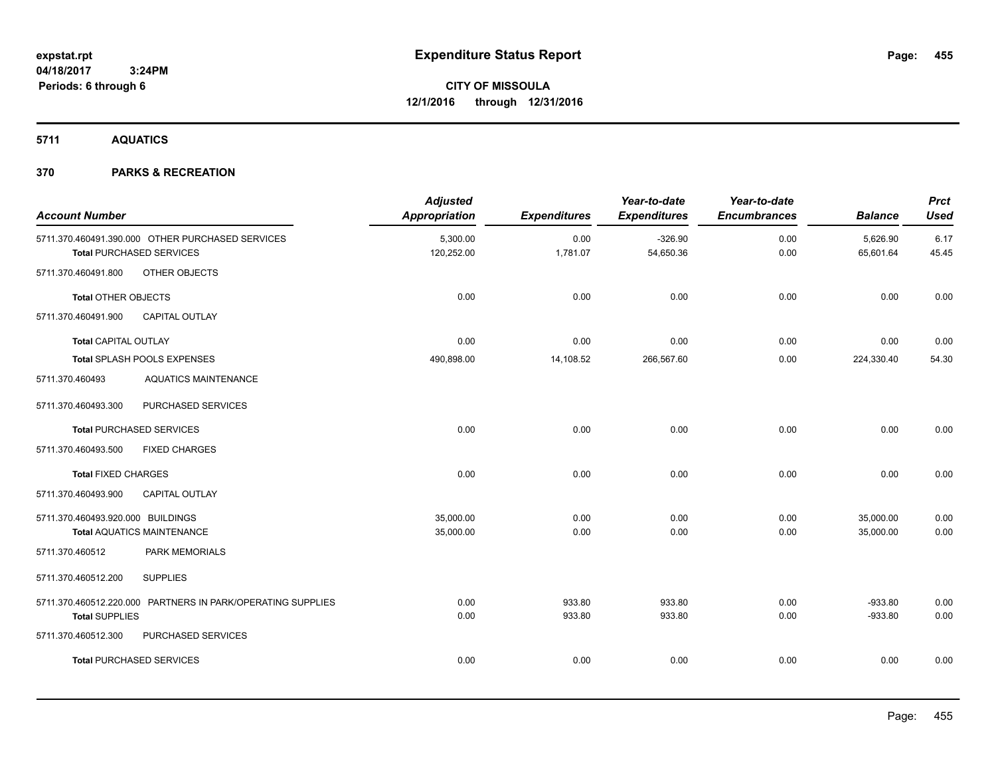**5711 AQUATICS**

| <b>Account Number</b>             |                                                                                     | <b>Adjusted</b><br><b>Appropriation</b> | <b>Expenditures</b> | Year-to-date<br><b>Expenditures</b> | Year-to-date<br><b>Encumbrances</b> | <b>Balance</b>         | <b>Prct</b><br><b>Used</b> |
|-----------------------------------|-------------------------------------------------------------------------------------|-----------------------------------------|---------------------|-------------------------------------|-------------------------------------|------------------------|----------------------------|
|                                   | 5711.370.460491.390.000 OTHER PURCHASED SERVICES<br><b>Total PURCHASED SERVICES</b> | 5,300.00<br>120,252.00                  | 0.00<br>1,781.07    | $-326.90$<br>54,650.36              | 0.00<br>0.00                        | 5,626.90<br>65,601.64  | 6.17<br>45.45              |
| 5711.370.460491.800               | OTHER OBJECTS                                                                       |                                         |                     |                                     |                                     |                        |                            |
| <b>Total OTHER OBJECTS</b>        |                                                                                     | 0.00                                    | 0.00                | 0.00                                | 0.00                                | 0.00                   | 0.00                       |
| 5711.370.460491.900               | <b>CAPITAL OUTLAY</b>                                                               |                                         |                     |                                     |                                     |                        |                            |
| <b>Total CAPITAL OUTLAY</b>       |                                                                                     | 0.00                                    | 0.00                | 0.00                                | 0.00                                | 0.00                   | 0.00                       |
|                                   | Total SPLASH POOLS EXPENSES                                                         | 490,898.00                              | 14,108.52           | 266,567.60                          | 0.00                                | 224,330.40             | 54.30                      |
| 5711.370.460493                   | <b>AQUATICS MAINTENANCE</b>                                                         |                                         |                     |                                     |                                     |                        |                            |
| 5711.370.460493.300               | PURCHASED SERVICES                                                                  |                                         |                     |                                     |                                     |                        |                            |
|                                   | <b>Total PURCHASED SERVICES</b>                                                     | 0.00                                    | 0.00                | 0.00                                | 0.00                                | 0.00                   | 0.00                       |
| 5711.370.460493.500               | <b>FIXED CHARGES</b>                                                                |                                         |                     |                                     |                                     |                        |                            |
| <b>Total FIXED CHARGES</b>        |                                                                                     | 0.00                                    | 0.00                | 0.00                                | 0.00                                | 0.00                   | 0.00                       |
| 5711.370.460493.900               | <b>CAPITAL OUTLAY</b>                                                               |                                         |                     |                                     |                                     |                        |                            |
| 5711.370.460493.920.000 BUILDINGS | <b>Total AQUATICS MAINTENANCE</b>                                                   | 35,000.00<br>35,000.00                  | 0.00<br>0.00        | 0.00<br>0.00                        | 0.00<br>0.00                        | 35,000.00<br>35,000.00 | 0.00<br>0.00               |
| 5711.370.460512                   | PARK MEMORIALS                                                                      |                                         |                     |                                     |                                     |                        |                            |
| 5711.370.460512.200               | <b>SUPPLIES</b>                                                                     |                                         |                     |                                     |                                     |                        |                            |
| <b>Total SUPPLIES</b>             | 5711.370.460512.220.000 PARTNERS IN PARK/OPERATING SUPPLIES                         | 0.00<br>0.00                            | 933.80<br>933.80    | 933.80<br>933.80                    | 0.00<br>0.00                        | $-933.80$<br>$-933.80$ | 0.00<br>0.00               |
| 5711.370.460512.300               | PURCHASED SERVICES                                                                  |                                         |                     |                                     |                                     |                        |                            |
|                                   | <b>Total PURCHASED SERVICES</b>                                                     | 0.00                                    | 0.00                | 0.00                                | 0.00                                | 0.00                   | 0.00                       |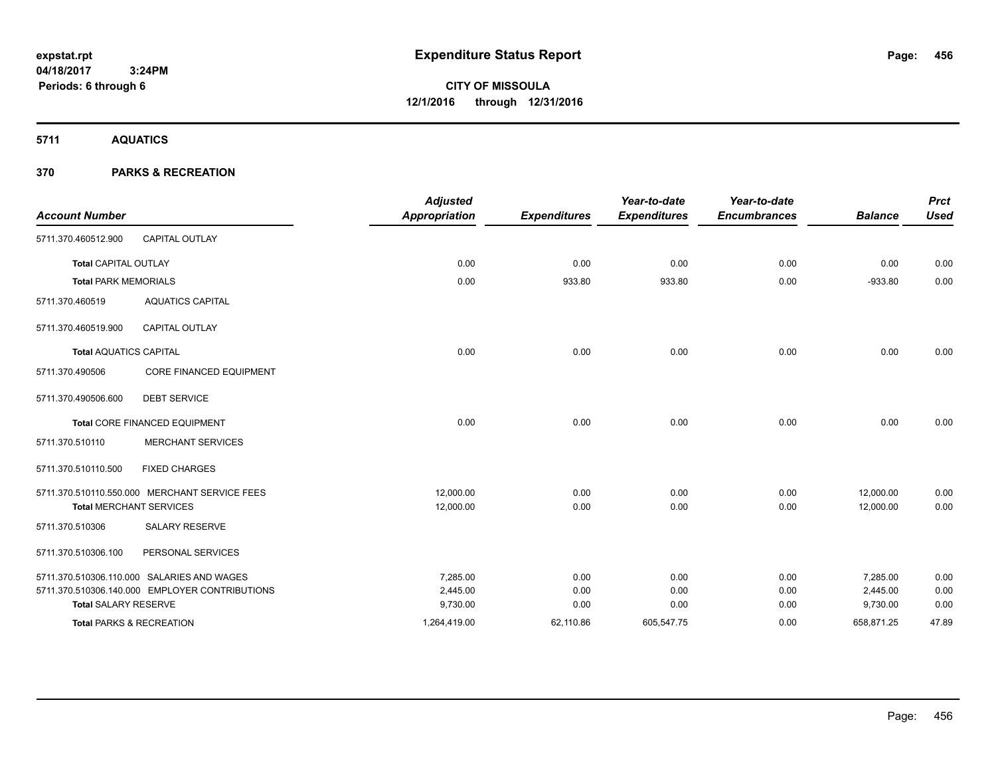**CITY OF MISSOULA 12/1/2016 through 12/31/2016**

**5711 AQUATICS**

|                               |                                                | <b>Adjusted</b>      |                     | Year-to-date        | Year-to-date        |                | <b>Prct</b> |
|-------------------------------|------------------------------------------------|----------------------|---------------------|---------------------|---------------------|----------------|-------------|
| <b>Account Number</b>         |                                                | <b>Appropriation</b> | <b>Expenditures</b> | <b>Expenditures</b> | <b>Encumbrances</b> | <b>Balance</b> | <b>Used</b> |
| 5711.370.460512.900           | <b>CAPITAL OUTLAY</b>                          |                      |                     |                     |                     |                |             |
| <b>Total CAPITAL OUTLAY</b>   |                                                | 0.00                 | 0.00                | 0.00                | 0.00                | 0.00           | 0.00        |
| <b>Total PARK MEMORIALS</b>   |                                                | 0.00                 | 933.80              | 933.80              | 0.00                | $-933.80$      | 0.00        |
| 5711.370.460519               | <b>AQUATICS CAPITAL</b>                        |                      |                     |                     |                     |                |             |
| 5711.370.460519.900           | <b>CAPITAL OUTLAY</b>                          |                      |                     |                     |                     |                |             |
| <b>Total AQUATICS CAPITAL</b> |                                                | 0.00                 | 0.00                | 0.00                | 0.00                | 0.00           | 0.00        |
| 5711.370.490506               | <b>CORE FINANCED EQUIPMENT</b>                 |                      |                     |                     |                     |                |             |
| 5711.370.490506.600           | <b>DEBT SERVICE</b>                            |                      |                     |                     |                     |                |             |
|                               | Total CORE FINANCED EQUIPMENT                  | 0.00                 | 0.00                | 0.00                | 0.00                | 0.00           | 0.00        |
| 5711.370.510110               | <b>MERCHANT SERVICES</b>                       |                      |                     |                     |                     |                |             |
| 5711.370.510110.500           | <b>FIXED CHARGES</b>                           |                      |                     |                     |                     |                |             |
|                               | 5711.370.510110.550.000 MERCHANT SERVICE FEES  | 12,000.00            | 0.00                | 0.00                | 0.00                | 12,000.00      | 0.00        |
|                               | <b>Total MERCHANT SERVICES</b>                 | 12,000.00            | 0.00                | 0.00                | 0.00                | 12.000.00      | 0.00        |
| 5711.370.510306               | <b>SALARY RESERVE</b>                          |                      |                     |                     |                     |                |             |
| 5711.370.510306.100           | PERSONAL SERVICES                              |                      |                     |                     |                     |                |             |
|                               | 5711.370.510306.110.000 SALARIES AND WAGES     | 7.285.00             | 0.00                | 0.00                | 0.00                | 7,285.00       | 0.00        |
|                               | 5711.370.510306.140.000 EMPLOYER CONTRIBUTIONS | 2,445.00             | 0.00                | 0.00                | 0.00                | 2,445.00       | 0.00        |
| <b>Total SALARY RESERVE</b>   |                                                | 9,730.00             | 0.00                | 0.00                | 0.00                | 9,730.00       | 0.00        |
|                               | Total PARKS & RECREATION                       | 1,264,419.00         | 62,110.86           | 605,547.75          | 0.00                | 658,871.25     | 47.89       |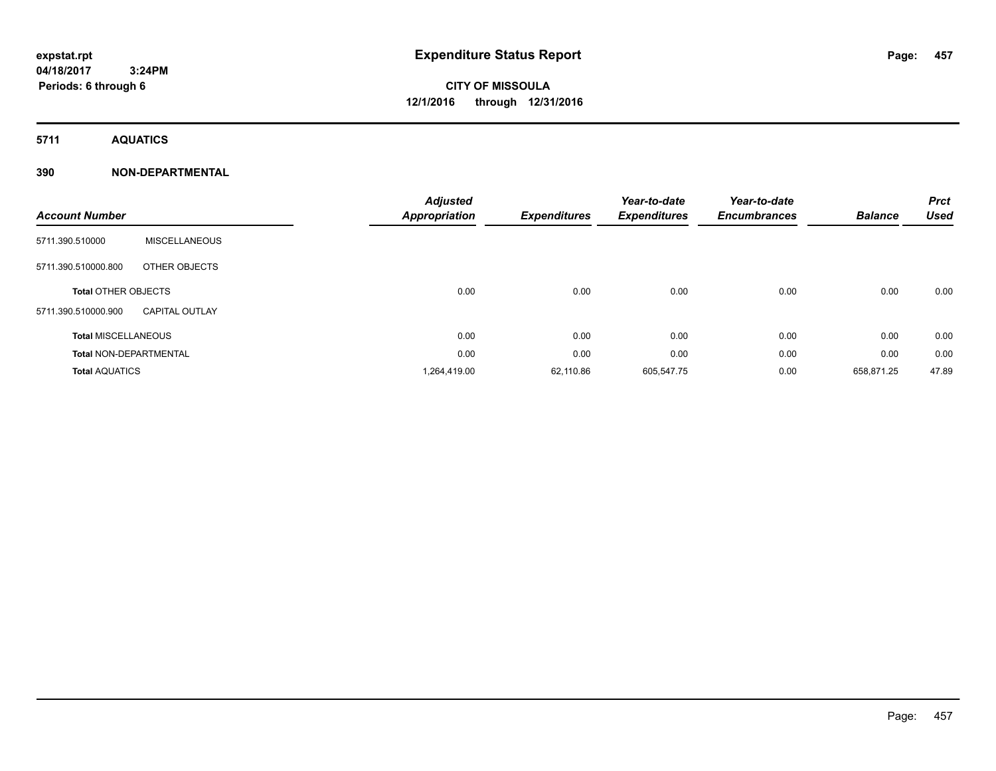# **CITY OF MISSOULA 12/1/2016 through 12/31/2016**

**5711 AQUATICS**

### **390 NON-DEPARTMENTAL**

|                               |                       | <b>Adjusted</b> |                     | Year-to-date        | Year-to-date        |                | <b>Prct</b> |
|-------------------------------|-----------------------|-----------------|---------------------|---------------------|---------------------|----------------|-------------|
| <b>Account Number</b>         |                       | Appropriation   | <b>Expenditures</b> | <b>Expenditures</b> | <b>Encumbrances</b> | <b>Balance</b> | <b>Used</b> |
| 5711.390.510000               | <b>MISCELLANEOUS</b>  |                 |                     |                     |                     |                |             |
| 5711.390.510000.800           | OTHER OBJECTS         |                 |                     |                     |                     |                |             |
| <b>Total OTHER OBJECTS</b>    |                       | 0.00            | 0.00                | 0.00                | 0.00                | 0.00           | 0.00        |
| 5711.390.510000.900           | <b>CAPITAL OUTLAY</b> |                 |                     |                     |                     |                |             |
| <b>Total MISCELLANEOUS</b>    |                       | 0.00            | 0.00                | 0.00                | 0.00                | 0.00           | 0.00        |
| <b>Total NON-DEPARTMENTAL</b> |                       | 0.00            | 0.00                | 0.00                | 0.00                | 0.00           | 0.00        |
| <b>Total AQUATICS</b>         |                       | 1,264,419.00    | 62,110.86           | 605,547.75          | 0.00                | 658,871.25     | 47.89       |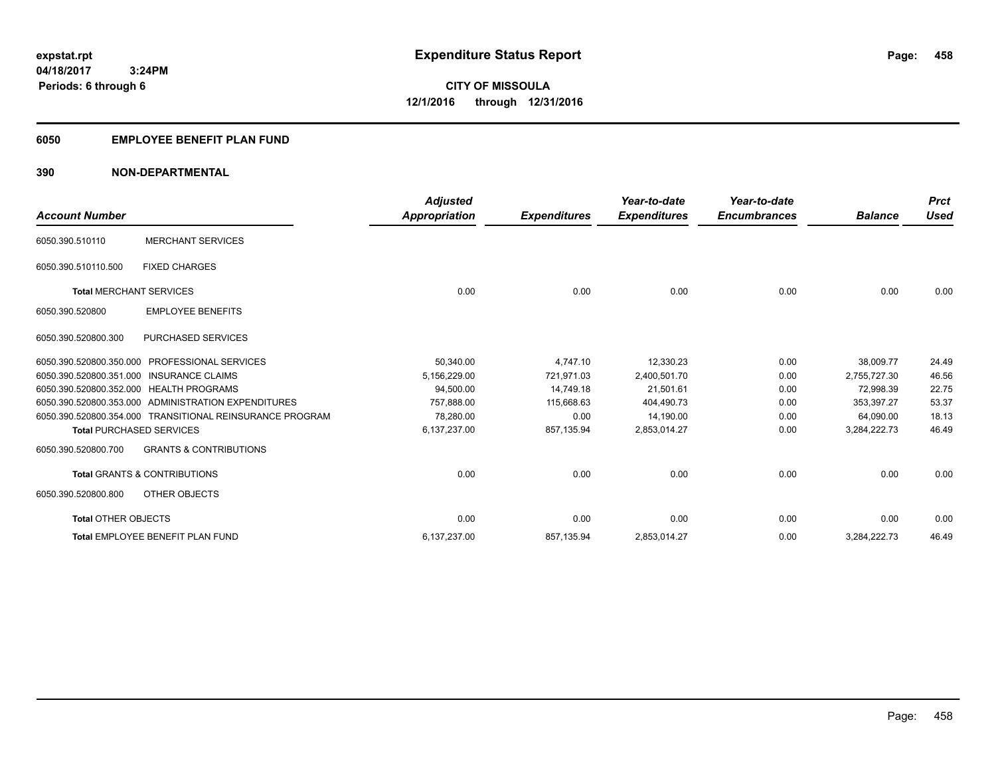### **6050 EMPLOYEE BENEFIT PLAN FUND**

### **390 NON-DEPARTMENTAL**

| <b>Account Number</b>                    |                                                          | <b>Adjusted</b><br>Appropriation | <b>Expenditures</b> | Year-to-date<br><b>Expenditures</b> | Year-to-date<br><b>Encumbrances</b> | <b>Balance</b> | <b>Prct</b><br><b>Used</b> |
|------------------------------------------|----------------------------------------------------------|----------------------------------|---------------------|-------------------------------------|-------------------------------------|----------------|----------------------------|
| 6050.390.510110                          | <b>MERCHANT SERVICES</b>                                 |                                  |                     |                                     |                                     |                |                            |
| 6050.390.510110.500                      | <b>FIXED CHARGES</b>                                     |                                  |                     |                                     |                                     |                |                            |
| <b>Total MERCHANT SERVICES</b>           |                                                          | 0.00                             | 0.00                | 0.00                                | 0.00                                | 0.00           | 0.00                       |
| 6050.390.520800                          | <b>EMPLOYEE BENEFITS</b>                                 |                                  |                     |                                     |                                     |                |                            |
| 6050.390.520800.300                      | <b>PURCHASED SERVICES</b>                                |                                  |                     |                                     |                                     |                |                            |
| 6050.390.520800.350.000                  | <b>PROFESSIONAL SERVICES</b>                             | 50,340.00                        | 4,747.10            | 12,330.23                           | 0.00                                | 38,009.77      | 24.49                      |
| 6050.390.520800.351.000 INSURANCE CLAIMS |                                                          | 5,156,229.00                     | 721,971.03          | 2,400,501.70                        | 0.00                                | 2,755,727.30   | 46.56                      |
| 6050.390.520800.352.000 HEALTH PROGRAMS  |                                                          | 94,500.00                        | 14,749.18           | 21,501.61                           | 0.00                                | 72,998.39      | 22.75                      |
|                                          | 6050.390.520800.353.000 ADMINISTRATION EXPENDITURES      | 757,888.00                       | 115,668.63          | 404,490.73                          | 0.00                                | 353.397.27     | 53.37                      |
|                                          | 6050.390.520800.354.000 TRANSITIONAL REINSURANCE PROGRAM | 78,280.00                        | 0.00                | 14,190.00                           | 0.00                                | 64,090.00      | 18.13                      |
| <b>Total PURCHASED SERVICES</b>          |                                                          | 6,137,237.00                     | 857,135.94          | 2,853,014.27                        | 0.00                                | 3,284,222.73   | 46.49                      |
| 6050.390.520800.700                      | <b>GRANTS &amp; CONTRIBUTIONS</b>                        |                                  |                     |                                     |                                     |                |                            |
|                                          | <b>Total GRANTS &amp; CONTRIBUTIONS</b>                  | 0.00                             | 0.00                | 0.00                                | 0.00                                | 0.00           | 0.00                       |
| 6050.390.520800.800                      | OTHER OBJECTS                                            |                                  |                     |                                     |                                     |                |                            |
| <b>Total OTHER OBJECTS</b>               |                                                          | 0.00                             | 0.00                | 0.00                                | 0.00                                | 0.00           | 0.00                       |
|                                          | <b>Total EMPLOYEE BENEFIT PLAN FUND</b>                  | 6,137,237.00                     | 857,135.94          | 2,853,014.27                        | 0.00                                | 3,284,222.73   | 46.49                      |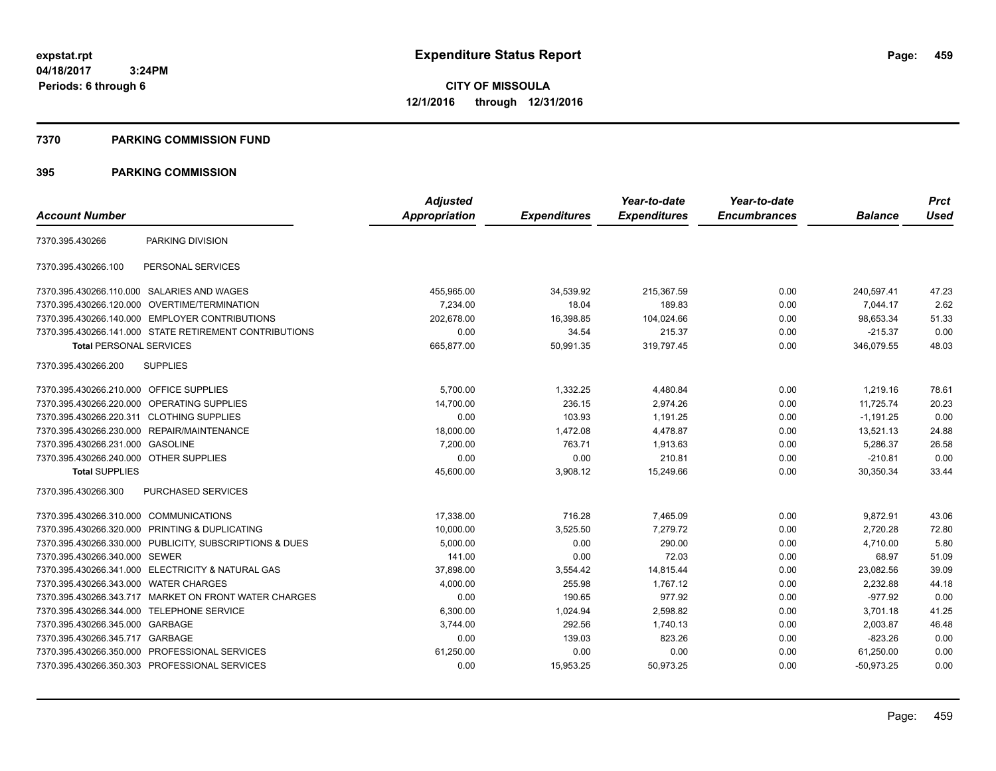**CITY OF MISSOULA 12/1/2016 through 12/31/2016**

#### **7370 PARKING COMMISSION FUND**

|                                           |                                                         | <b>Adjusted</b>      |                     | Year-to-date        | Year-to-date        |                | <b>Prct</b> |
|-------------------------------------------|---------------------------------------------------------|----------------------|---------------------|---------------------|---------------------|----------------|-------------|
| <b>Account Number</b>                     |                                                         | <b>Appropriation</b> | <b>Expenditures</b> | <b>Expenditures</b> | <b>Encumbrances</b> | <b>Balance</b> | <b>Used</b> |
| 7370.395.430266                           | PARKING DIVISION                                        |                      |                     |                     |                     |                |             |
| 7370.395.430266.100                       | PERSONAL SERVICES                                       |                      |                     |                     |                     |                |             |
|                                           | 7370.395.430266.110.000 SALARIES AND WAGES              | 455,965.00           | 34,539.92           | 215,367.59          | 0.00                | 240,597.41     | 47.23       |
|                                           | 7370.395.430266.120.000 OVERTIME/TERMINATION            | 7,234.00             | 18.04               | 189.83              | 0.00                | 7,044.17       | 2.62        |
|                                           | 7370.395.430266.140.000 EMPLOYER CONTRIBUTIONS          | 202.678.00           | 16,398.85           | 104,024.66          | 0.00                | 98.653.34      | 51.33       |
|                                           | 7370.395.430266.141.000 STATE RETIREMENT CONTRIBUTIONS  | 0.00                 | 34.54               | 215.37              | 0.00                | $-215.37$      | 0.00        |
| <b>Total PERSONAL SERVICES</b>            |                                                         | 665,877.00           | 50,991.35           | 319,797.45          | 0.00                | 346,079.55     | 48.03       |
| 7370.395.430266.200                       | <b>SUPPLIES</b>                                         |                      |                     |                     |                     |                |             |
| 7370.395.430266.210.000 OFFICE SUPPLIES   |                                                         | 5,700.00             | 1,332.25            | 4,480.84            | 0.00                | 1,219.16       | 78.61       |
|                                           | 7370.395.430266.220.000 OPERATING SUPPLIES              | 14,700.00            | 236.15              | 2,974.26            | 0.00                | 11,725.74      | 20.23       |
| 7370.395.430266.220.311 CLOTHING SUPPLIES |                                                         | 0.00                 | 103.93              | 1,191.25            | 0.00                | $-1,191.25$    | 0.00        |
|                                           | 7370.395.430266.230.000 REPAIR/MAINTENANCE              | 18,000.00            | 1,472.08            | 4,478.87            | 0.00                | 13,521.13      | 24.88       |
| 7370.395.430266.231.000 GASOLINE          |                                                         | 7,200.00             | 763.71              | 1,913.63            | 0.00                | 5,286.37       | 26.58       |
| 7370.395.430266.240.000 OTHER SUPPLIES    |                                                         | 0.00                 | 0.00                | 210.81              | 0.00                | $-210.81$      | 0.00        |
| <b>Total SUPPLIES</b>                     |                                                         | 45,600.00            | 3,908.12            | 15,249.66           | 0.00                | 30,350.34      | 33.44       |
| 7370.395.430266.300                       | <b>PURCHASED SERVICES</b>                               |                      |                     |                     |                     |                |             |
| 7370.395.430266.310.000 COMMUNICATIONS    |                                                         | 17,338.00            | 716.28              | 7,465.09            | 0.00                | 9,872.91       | 43.06       |
|                                           | 7370.395.430266.320.000 PRINTING & DUPLICATING          | 10,000.00            | 3,525.50            | 7.279.72            | 0.00                | 2.720.28       | 72.80       |
|                                           | 7370.395.430266.330.000 PUBLICITY, SUBSCRIPTIONS & DUES | 5,000.00             | 0.00                | 290.00              | 0.00                | 4.710.00       | 5.80        |
| 7370.395.430266.340.000 SEWER             |                                                         | 141.00               | 0.00                | 72.03               | 0.00                | 68.97          | 51.09       |
|                                           | 7370.395.430266.341.000 ELECTRICITY & NATURAL GAS       | 37,898.00            | 3,554.42            | 14,815.44           | 0.00                | 23,082.56      | 39.09       |
| 7370.395.430266.343.000                   | <b>WATER CHARGES</b>                                    | 4,000.00             | 255.98              | 1,767.12            | 0.00                | 2,232.88       | 44.18       |
|                                           | 7370.395.430266.343.717 MARKET ON FRONT WATER CHARGES   | 0.00                 | 190.65              | 977.92              | 0.00                | $-977.92$      | 0.00        |
| 7370.395.430266.344.000 TELEPHONE SERVICE |                                                         | 6,300.00             | 1,024.94            | 2,598.82            | 0.00                | 3,701.18       | 41.25       |
| 7370.395.430266.345.000                   | GARBAGE                                                 | 3,744.00             | 292.56              | 1,740.13            | 0.00                | 2,003.87       | 46.48       |
| 7370.395.430266.345.717 GARBAGE           |                                                         | 0.00                 | 139.03              | 823.26              | 0.00                | $-823.26$      | 0.00        |
|                                           | 7370.395.430266.350.000 PROFESSIONAL SERVICES           | 61,250.00            | 0.00                | 0.00                | 0.00                | 61,250.00      | 0.00        |
|                                           | 7370.395.430266.350.303 PROFESSIONAL SERVICES           | 0.00                 | 15,953.25           | 50,973.25           | 0.00                | $-50.973.25$   | 0.00        |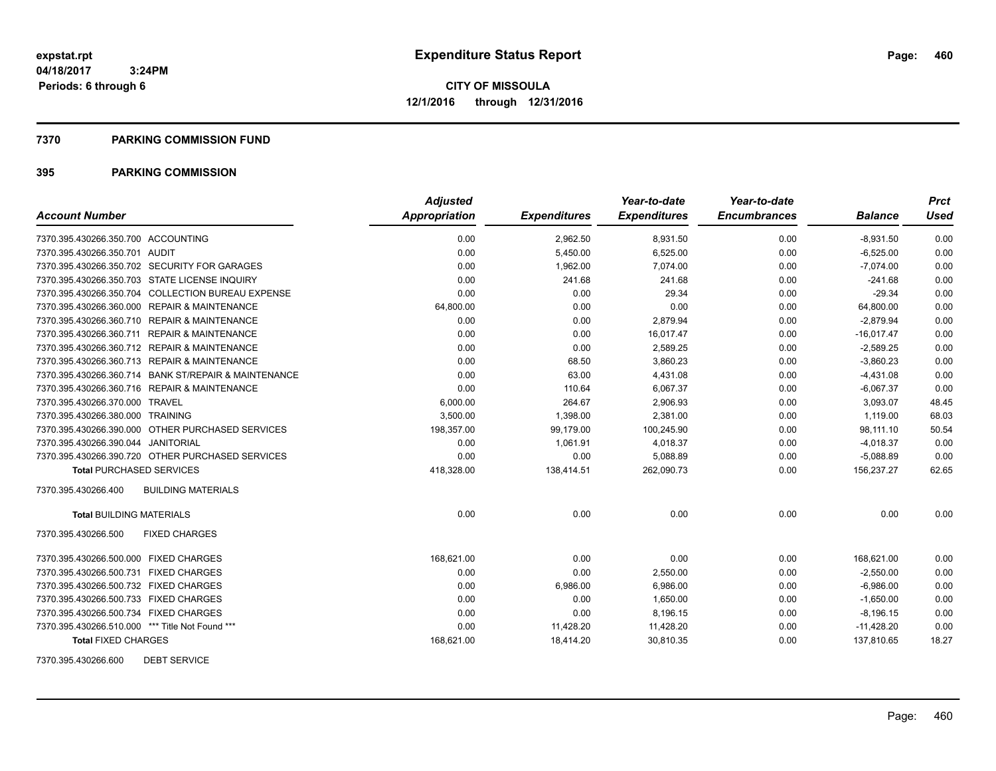#### **7370 PARKING COMMISSION FUND**

### **395 PARKING COMMISSION**

|                                                      | <b>Adjusted</b> |                     | Year-to-date        | Year-to-date        |                | <b>Prct</b> |
|------------------------------------------------------|-----------------|---------------------|---------------------|---------------------|----------------|-------------|
| <b>Account Number</b>                                | Appropriation   | <b>Expenditures</b> | <b>Expenditures</b> | <b>Encumbrances</b> | <b>Balance</b> | <b>Used</b> |
| 7370.395.430266.350.700 ACCOUNTING                   | 0.00            | 2,962.50            | 8,931.50            | 0.00                | $-8,931.50$    | 0.00        |
| 7370.395.430266.350.701 AUDIT                        | 0.00            | 5,450.00            | 6,525.00            | 0.00                | $-6,525.00$    | 0.00        |
| 7370.395.430266.350.702 SECURITY FOR GARAGES         | 0.00            | 1,962.00            | 7.074.00            | 0.00                | $-7.074.00$    | 0.00        |
| 7370.395.430266.350.703 STATE LICENSE INQUIRY        | 0.00            | 241.68              | 241.68              | 0.00                | $-241.68$      | 0.00        |
| 7370.395.430266.350.704 COLLECTION BUREAU EXPENSE    | 0.00            | 0.00                | 29.34               | 0.00                | $-29.34$       | 0.00        |
| 7370.395.430266.360.000 REPAIR & MAINTENANCE         | 64,800.00       | 0.00                | 0.00                | 0.00                | 64,800.00      | 0.00        |
| 7370.395.430266.360.710 REPAIR & MAINTENANCE         | 0.00            | 0.00                | 2,879.94            | 0.00                | $-2,879.94$    | 0.00        |
| 7370.395.430266.360.711 REPAIR & MAINTENANCE         | 0.00            | 0.00                | 16,017.47           | 0.00                | $-16.017.47$   | 0.00        |
| 7370.395.430266.360.712 REPAIR & MAINTENANCE         | 0.00            | 0.00                | 2,589.25            | 0.00                | $-2,589.25$    | 0.00        |
| 7370.395.430266.360.713 REPAIR & MAINTENANCE         | 0.00            | 68.50               | 3,860.23            | 0.00                | $-3,860.23$    | 0.00        |
| 7370.395.430266.360.714 BANK ST/REPAIR & MAINTENANCE | 0.00            | 63.00               | 4,431.08            | 0.00                | $-4,431.08$    | 0.00        |
| 7370.395.430266.360.716 REPAIR & MAINTENANCE         | 0.00            | 110.64              | 6,067.37            | 0.00                | $-6,067.37$    | 0.00        |
| 7370.395.430266.370.000 TRAVEL                       | 6,000.00        | 264.67              | 2,906.93            | 0.00                | 3,093.07       | 48.45       |
| 7370.395.430266.380.000 TRAINING                     | 3,500.00        | 1,398.00            | 2,381.00            | 0.00                | 1,119.00       | 68.03       |
| 7370.395.430266.390.000 OTHER PURCHASED SERVICES     | 198,357.00      | 99,179.00           | 100,245.90          | 0.00                | 98,111.10      | 50.54       |
| 7370.395.430266.390.044 JANITORIAL                   | 0.00            | 1,061.91            | 4,018.37            | 0.00                | $-4,018.37$    | 0.00        |
| 7370.395.430266.390.720 OTHER PURCHASED SERVICES     | 0.00            | 0.00                | 5,088.89            | 0.00                | $-5,088.89$    | 0.00        |
| <b>Total PURCHASED SERVICES</b>                      | 418,328.00      | 138,414.51          | 262,090.73          | 0.00                | 156,237.27     | 62.65       |
| <b>BUILDING MATERIALS</b><br>7370.395.430266.400     |                 |                     |                     |                     |                |             |
| <b>Total BUILDING MATERIALS</b>                      | 0.00            | 0.00                | 0.00                | 0.00                | 0.00           | 0.00        |
| 7370.395.430266.500<br><b>FIXED CHARGES</b>          |                 |                     |                     |                     |                |             |
| 7370.395.430266.500.000 FIXED CHARGES                | 168,621.00      | 0.00                | 0.00                | 0.00                | 168,621.00     | 0.00        |
| 7370.395.430266.500.731 FIXED CHARGES                | 0.00            | 0.00                | 2,550.00            | 0.00                | $-2,550.00$    | 0.00        |
| 7370.395.430266.500.732 FIXED CHARGES                | 0.00            | 6,986.00            | 6,986.00            | 0.00                | $-6,986.00$    | 0.00        |
| 7370.395.430266.500.733 FIXED CHARGES                | 0.00            | 0.00                | 1,650.00            | 0.00                | $-1,650.00$    | 0.00        |
| 7370.395.430266.500.734 FIXED CHARGES                | 0.00            | 0.00                | 8,196.15            | 0.00                | $-8,196.15$    | 0.00        |
| 7370.395.430266.510.000 *** Title Not Found ***      | 0.00            | 11,428.20           | 11,428.20           | 0.00                | $-11,428.20$   | 0.00        |
| <b>Total FIXED CHARGES</b>                           | 168,621.00      | 18,414.20           | 30,810.35           | 0.00                | 137,810.65     | 18.27       |

7370.395.430266.600 DEBT SERVICE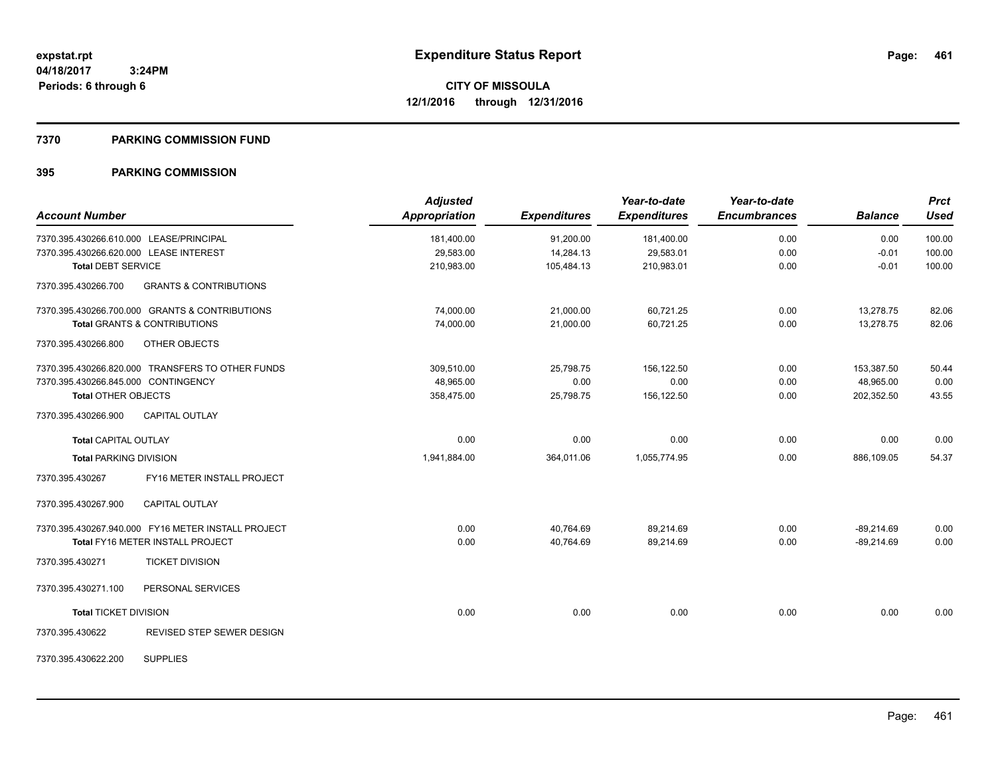#### **7370 PARKING COMMISSION FUND**

| <b>Account Number</b>                                    | <b>Adjusted</b><br><b>Appropriation</b> | <b>Expenditures</b> | Year-to-date<br><b>Expenditures</b> | Year-to-date<br><b>Encumbrances</b> | <b>Balance</b> | <b>Prct</b><br><b>Used</b> |
|----------------------------------------------------------|-----------------------------------------|---------------------|-------------------------------------|-------------------------------------|----------------|----------------------------|
| 7370.395.430266.610.000 LEASE/PRINCIPAL                  | 181,400.00                              | 91,200.00           | 181,400.00                          | 0.00                                | 0.00           | 100.00                     |
| 7370.395.430266.620.000 LEASE INTEREST                   | 29,583.00                               | 14,284.13           | 29,583.01                           | 0.00                                | $-0.01$        | 100.00                     |
| <b>Total DEBT SERVICE</b>                                | 210,983.00                              | 105,484.13          | 210,983.01                          | 0.00                                | $-0.01$        | 100.00                     |
| <b>GRANTS &amp; CONTRIBUTIONS</b><br>7370.395.430266.700 |                                         |                     |                                     |                                     |                |                            |
| 7370.395.430266.700.000 GRANTS & CONTRIBUTIONS           | 74,000.00                               | 21,000.00           | 60,721.25                           | 0.00                                | 13,278.75      | 82.06                      |
| <b>Total GRANTS &amp; CONTRIBUTIONS</b>                  | 74,000.00                               | 21,000.00           | 60,721.25                           | 0.00                                | 13,278.75      | 82.06                      |
| 7370.395.430266.800<br>OTHER OBJECTS                     |                                         |                     |                                     |                                     |                |                            |
| 7370.395.430266.820.000 TRANSFERS TO OTHER FUNDS         | 309.510.00                              | 25,798.75           | 156.122.50                          | 0.00                                | 153,387.50     | 50.44                      |
| 7370.395.430266.845.000 CONTINGENCY                      | 48.965.00                               | 0.00                | 0.00                                | 0.00                                | 48.965.00      | 0.00                       |
| <b>Total OTHER OBJECTS</b>                               | 358,475.00                              | 25,798.75           | 156,122.50                          | 0.00                                | 202,352.50     | 43.55                      |
| 7370.395.430266.900<br><b>CAPITAL OUTLAY</b>             |                                         |                     |                                     |                                     |                |                            |
| <b>Total CAPITAL OUTLAY</b>                              | 0.00                                    | 0.00                | 0.00                                | 0.00                                | 0.00           | 0.00                       |
| <b>Total PARKING DIVISION</b>                            | 1,941,884.00                            | 364,011.06          | 1,055,774.95                        | 0.00                                | 886,109.05     | 54.37                      |
| FY16 METER INSTALL PROJECT<br>7370.395.430267            |                                         |                     |                                     |                                     |                |                            |
| 7370.395.430267.900<br><b>CAPITAL OUTLAY</b>             |                                         |                     |                                     |                                     |                |                            |
| 7370.395.430267.940.000 FY16 METER INSTALL PROJECT       | 0.00                                    | 40,764.69           | 89,214.69                           | 0.00                                | $-89,214.69$   | 0.00                       |
| <b>Total FY16 METER INSTALL PROJECT</b>                  | 0.00                                    | 40,764.69           | 89,214.69                           | 0.00                                | $-89,214.69$   | 0.00                       |
| 7370.395.430271<br><b>TICKET DIVISION</b>                |                                         |                     |                                     |                                     |                |                            |
| 7370.395.430271.100<br>PERSONAL SERVICES                 |                                         |                     |                                     |                                     |                |                            |
| <b>Total TICKET DIVISION</b>                             | 0.00                                    | 0.00                | 0.00                                | 0.00                                | 0.00           | 0.00                       |
| <b>REVISED STEP SEWER DESIGN</b><br>7370.395.430622      |                                         |                     |                                     |                                     |                |                            |
| <b>SUPPLIES</b><br>7370.395.430622.200                   |                                         |                     |                                     |                                     |                |                            |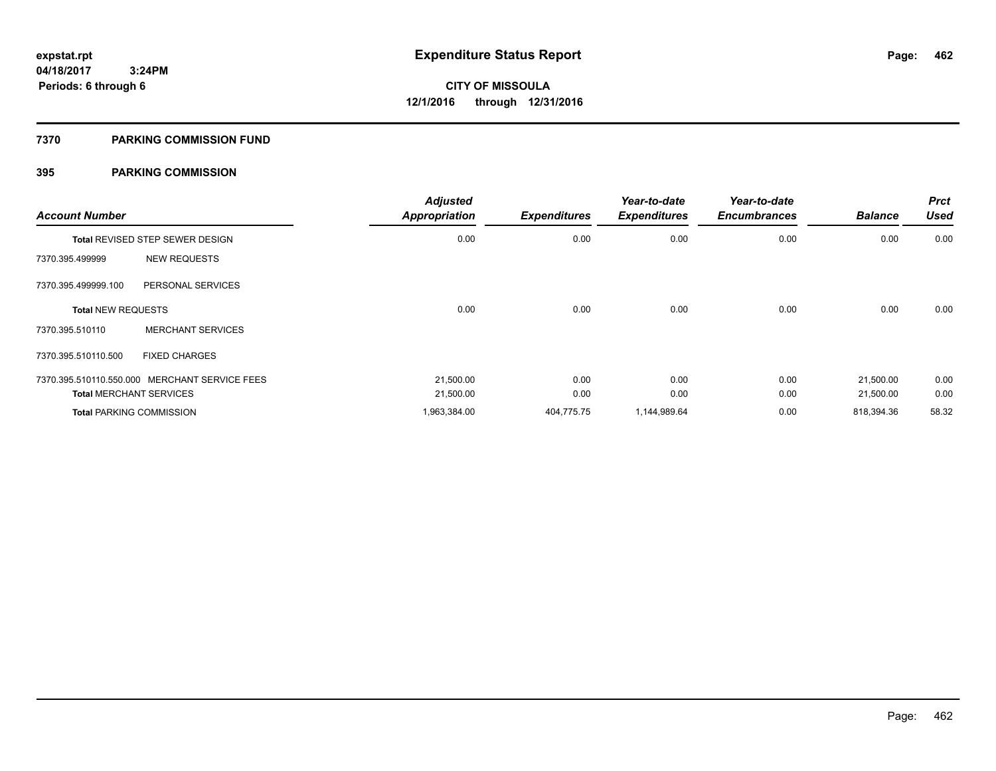#### **7370 PARKING COMMISSION FUND**

| <b>Account Number</b>     |                                               | <b>Adjusted</b><br><b>Appropriation</b> | <b>Expenditures</b> | Year-to-date<br><b>Expenditures</b> | Year-to-date<br><b>Encumbrances</b> | <b>Balance</b> | <b>Prct</b><br><b>Used</b> |
|---------------------------|-----------------------------------------------|-----------------------------------------|---------------------|-------------------------------------|-------------------------------------|----------------|----------------------------|
|                           | Total REVISED STEP SEWER DESIGN               | 0.00                                    | 0.00                | 0.00                                | 0.00                                | 0.00           | 0.00                       |
| 7370.395.499999           | <b>NEW REQUESTS</b>                           |                                         |                     |                                     |                                     |                |                            |
| 7370.395.499999.100       | PERSONAL SERVICES                             |                                         |                     |                                     |                                     |                |                            |
| <b>Total NEW REQUESTS</b> |                                               | 0.00                                    | 0.00                | 0.00                                | 0.00                                | 0.00           | 0.00                       |
| 7370.395.510110           | <b>MERCHANT SERVICES</b>                      |                                         |                     |                                     |                                     |                |                            |
| 7370.395.510110.500       | <b>FIXED CHARGES</b>                          |                                         |                     |                                     |                                     |                |                            |
|                           | 7370.395.510110.550.000 MERCHANT SERVICE FEES | 21.500.00                               | 0.00                | 0.00                                | 0.00                                | 21,500.00      | 0.00                       |
|                           | <b>Total MERCHANT SERVICES</b>                | 21,500.00                               | 0.00                | 0.00                                | 0.00                                | 21,500.00      | 0.00                       |
|                           | <b>Total PARKING COMMISSION</b>               | 1,963,384.00                            | 404,775.75          | 1,144,989.64                        | 0.00                                | 818,394.36     | 58.32                      |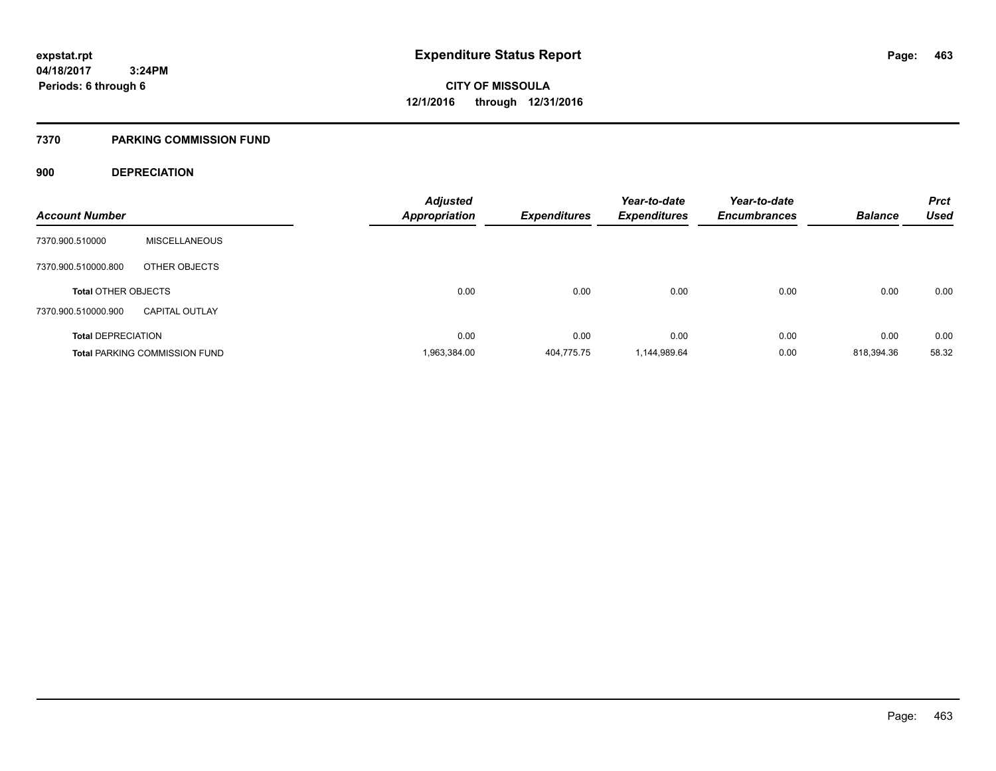#### **7370 PARKING COMMISSION FUND**

### **900 DEPRECIATION**

| <b>Account Number</b>      |                                      | <b>Adjusted</b><br><b>Appropriation</b> | <b>Expenditures</b> | Year-to-date<br><b>Expenditures</b> | Year-to-date<br><b>Encumbrances</b> | <b>Balance</b> | <b>Prct</b><br><b>Used</b> |
|----------------------------|--------------------------------------|-----------------------------------------|---------------------|-------------------------------------|-------------------------------------|----------------|----------------------------|
|                            |                                      |                                         |                     |                                     |                                     |                |                            |
| 7370.900.510000            | <b>MISCELLANEOUS</b>                 |                                         |                     |                                     |                                     |                |                            |
| 7370.900.510000.800        | OTHER OBJECTS                        |                                         |                     |                                     |                                     |                |                            |
| <b>Total OTHER OBJECTS</b> |                                      | 0.00                                    | 0.00                | 0.00                                | 0.00                                | 0.00           | 0.00                       |
| 7370.900.510000.900        | <b>CAPITAL OUTLAY</b>                |                                         |                     |                                     |                                     |                |                            |
| <b>Total DEPRECIATION</b>  |                                      | 0.00                                    | 0.00                | 0.00                                | 0.00                                | 0.00           | 0.00                       |
|                            | <b>Total PARKING COMMISSION FUND</b> | 1,963,384.00                            | 404,775.75          | 1,144,989.64                        | 0.00                                | 818,394.36     | 58.32                      |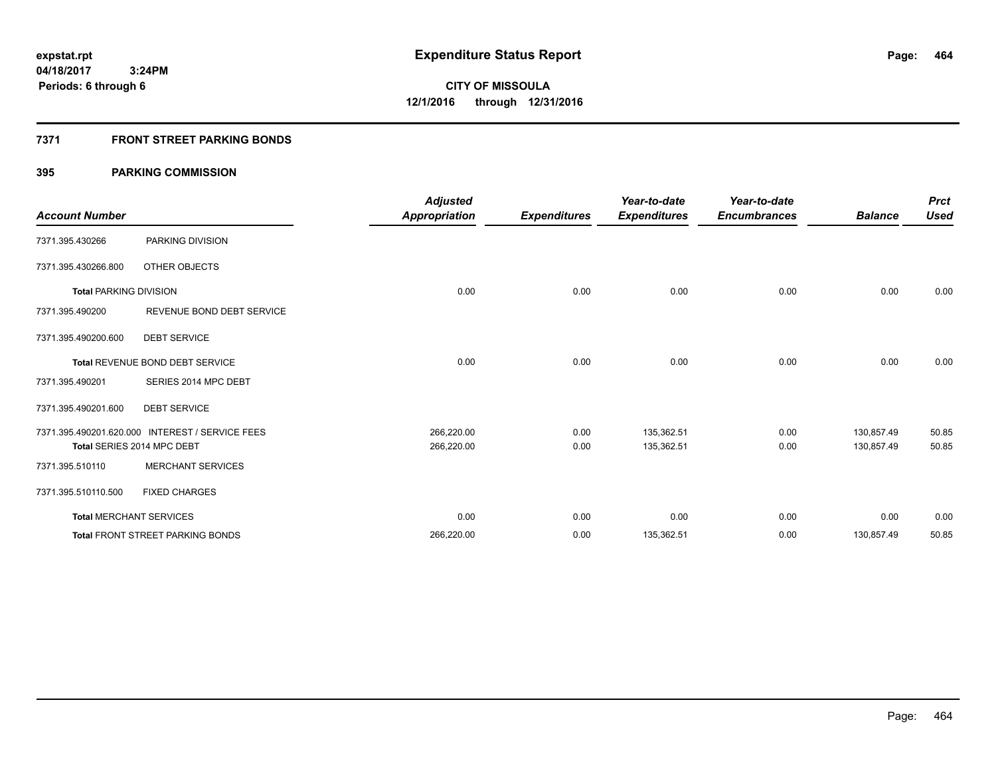### **7371 FRONT STREET PARKING BONDS**

| <b>Account Number</b>         |                                                 | <b>Adjusted</b><br><b>Appropriation</b> | <b>Expenditures</b> | Year-to-date<br><b>Expenditures</b> | Year-to-date<br><b>Encumbrances</b> | <b>Balance</b> | <b>Prct</b><br><b>Used</b> |
|-------------------------------|-------------------------------------------------|-----------------------------------------|---------------------|-------------------------------------|-------------------------------------|----------------|----------------------------|
| 7371.395.430266               | PARKING DIVISION                                |                                         |                     |                                     |                                     |                |                            |
| 7371.395.430266.800           | OTHER OBJECTS                                   |                                         |                     |                                     |                                     |                |                            |
| <b>Total PARKING DIVISION</b> |                                                 | 0.00                                    | 0.00                | 0.00                                | 0.00                                | 0.00           | 0.00                       |
| 7371.395.490200               | REVENUE BOND DEBT SERVICE                       |                                         |                     |                                     |                                     |                |                            |
| 7371.395.490200.600           | <b>DEBT SERVICE</b>                             |                                         |                     |                                     |                                     |                |                            |
|                               | Total REVENUE BOND DEBT SERVICE                 | 0.00                                    | 0.00                | 0.00                                | 0.00                                | 0.00           | 0.00                       |
| 7371.395.490201               | SERIES 2014 MPC DEBT                            |                                         |                     |                                     |                                     |                |                            |
| 7371.395.490201.600           | <b>DEBT SERVICE</b>                             |                                         |                     |                                     |                                     |                |                            |
|                               | 7371.395.490201.620.000 INTEREST / SERVICE FEES | 266,220.00                              | 0.00                | 135,362.51                          | 0.00                                | 130,857.49     | 50.85                      |
|                               | Total SERIES 2014 MPC DEBT                      | 266,220.00                              | 0.00                | 135,362.51                          | 0.00                                | 130,857.49     | 50.85                      |
| 7371.395.510110               | <b>MERCHANT SERVICES</b>                        |                                         |                     |                                     |                                     |                |                            |
| 7371.395.510110.500           | <b>FIXED CHARGES</b>                            |                                         |                     |                                     |                                     |                |                            |
|                               | <b>Total MERCHANT SERVICES</b>                  | 0.00                                    | 0.00                | 0.00                                | 0.00                                | 0.00           | 0.00                       |
|                               | <b>Total FRONT STREET PARKING BONDS</b>         | 266,220.00                              | 0.00                | 135,362.51                          | 0.00                                | 130,857.49     | 50.85                      |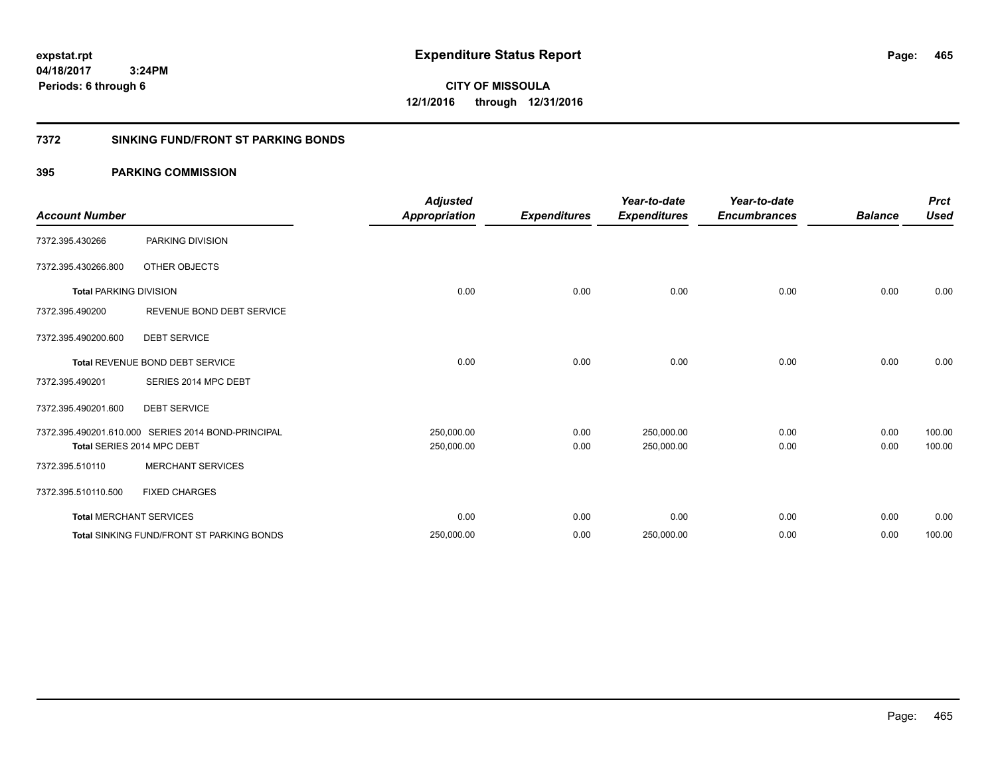**CITY OF MISSOULA 12/1/2016 through 12/31/2016**

### **7372 SINKING FUND/FRONT ST PARKING BONDS**

| <b>Account Number</b>         |                                                    | <b>Adjusted</b><br><b>Appropriation</b> | <b>Expenditures</b> | Year-to-date<br><b>Expenditures</b> | Year-to-date<br><b>Encumbrances</b> | <b>Balance</b> | <b>Prct</b><br><b>Used</b> |
|-------------------------------|----------------------------------------------------|-----------------------------------------|---------------------|-------------------------------------|-------------------------------------|----------------|----------------------------|
| 7372.395.430266               | PARKING DIVISION                                   |                                         |                     |                                     |                                     |                |                            |
| 7372.395.430266.800           | OTHER OBJECTS                                      |                                         |                     |                                     |                                     |                |                            |
| <b>Total PARKING DIVISION</b> |                                                    | 0.00                                    | 0.00                | 0.00                                | 0.00                                | 0.00           | 0.00                       |
| 7372.395.490200               | REVENUE BOND DEBT SERVICE                          |                                         |                     |                                     |                                     |                |                            |
| 7372.395.490200.600           | <b>DEBT SERVICE</b>                                |                                         |                     |                                     |                                     |                |                            |
|                               | <b>Total REVENUE BOND DEBT SERVICE</b>             | 0.00                                    | 0.00                | 0.00                                | 0.00                                | 0.00           | 0.00                       |
| 7372.395.490201               | SERIES 2014 MPC DEBT                               |                                         |                     |                                     |                                     |                |                            |
| 7372.395.490201.600           | <b>DEBT SERVICE</b>                                |                                         |                     |                                     |                                     |                |                            |
|                               | 7372.395.490201.610.000 SERIES 2014 BOND-PRINCIPAL | 250,000.00                              | 0.00                | 250,000.00                          | 0.00                                | 0.00           | 100.00                     |
|                               | Total SERIES 2014 MPC DEBT                         | 250,000.00                              | 0.00                | 250,000.00                          | 0.00                                | 0.00           | 100.00                     |
| 7372.395.510110               | <b>MERCHANT SERVICES</b>                           |                                         |                     |                                     |                                     |                |                            |
| 7372.395.510110.500           | <b>FIXED CHARGES</b>                               |                                         |                     |                                     |                                     |                |                            |
|                               | <b>Total MERCHANT SERVICES</b>                     | 0.00                                    | 0.00                | 0.00                                | 0.00                                | 0.00           | 0.00                       |
|                               | <b>Total SINKING FUND/FRONT ST PARKING BONDS</b>   | 250,000.00                              | 0.00                | 250,000.00                          | 0.00                                | 0.00           | 100.00                     |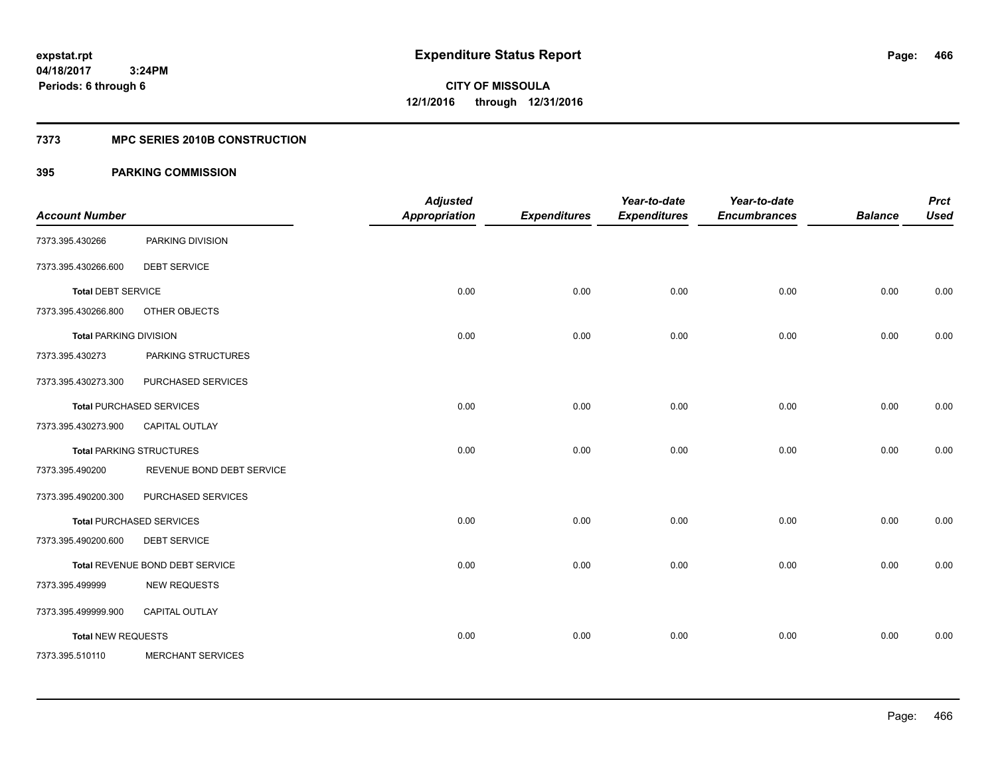### **7373 MPC SERIES 2010B CONSTRUCTION**

| <b>Account Number</b>         |                                 | <b>Adjusted</b><br><b>Appropriation</b> | <b>Expenditures</b> | Year-to-date<br><b>Expenditures</b> | Year-to-date<br><b>Encumbrances</b> | <b>Balance</b> | <b>Prct</b><br><b>Used</b> |
|-------------------------------|---------------------------------|-----------------------------------------|---------------------|-------------------------------------|-------------------------------------|----------------|----------------------------|
|                               |                                 |                                         |                     |                                     |                                     |                |                            |
| 7373.395.430266               | PARKING DIVISION                |                                         |                     |                                     |                                     |                |                            |
| 7373.395.430266.600           | <b>DEBT SERVICE</b>             |                                         |                     |                                     |                                     |                |                            |
| <b>Total DEBT SERVICE</b>     |                                 | 0.00                                    | 0.00                | 0.00                                | 0.00                                | 0.00           | 0.00                       |
| 7373.395.430266.800           | OTHER OBJECTS                   |                                         |                     |                                     |                                     |                |                            |
| <b>Total PARKING DIVISION</b> |                                 | 0.00                                    | 0.00                | 0.00                                | 0.00                                | 0.00           | 0.00                       |
| 7373.395.430273               | PARKING STRUCTURES              |                                         |                     |                                     |                                     |                |                            |
| 7373.395.430273.300           | PURCHASED SERVICES              |                                         |                     |                                     |                                     |                |                            |
|                               | <b>Total PURCHASED SERVICES</b> | 0.00                                    | 0.00                | 0.00                                | 0.00                                | 0.00           | 0.00                       |
| 7373.395.430273.900           | CAPITAL OUTLAY                  |                                         |                     |                                     |                                     |                |                            |
|                               | <b>Total PARKING STRUCTURES</b> | 0.00                                    | 0.00                | 0.00                                | 0.00                                | 0.00           | 0.00                       |
| 7373.395.490200               | REVENUE BOND DEBT SERVICE       |                                         |                     |                                     |                                     |                |                            |
| 7373.395.490200.300           | PURCHASED SERVICES              |                                         |                     |                                     |                                     |                |                            |
|                               | <b>Total PURCHASED SERVICES</b> | 0.00                                    | 0.00                | 0.00                                | 0.00                                | 0.00           | 0.00                       |
| 7373.395.490200.600           | <b>DEBT SERVICE</b>             |                                         |                     |                                     |                                     |                |                            |
|                               | Total REVENUE BOND DEBT SERVICE | 0.00                                    | 0.00                | 0.00                                | 0.00                                | 0.00           | 0.00                       |
| 7373.395.499999               | <b>NEW REQUESTS</b>             |                                         |                     |                                     |                                     |                |                            |
| 7373.395.499999.900           | CAPITAL OUTLAY                  |                                         |                     |                                     |                                     |                |                            |
| <b>Total NEW REQUESTS</b>     |                                 | 0.00                                    | 0.00                | 0.00                                | 0.00                                | 0.00           | 0.00                       |
| 7373.395.510110               | <b>MERCHANT SERVICES</b>        |                                         |                     |                                     |                                     |                |                            |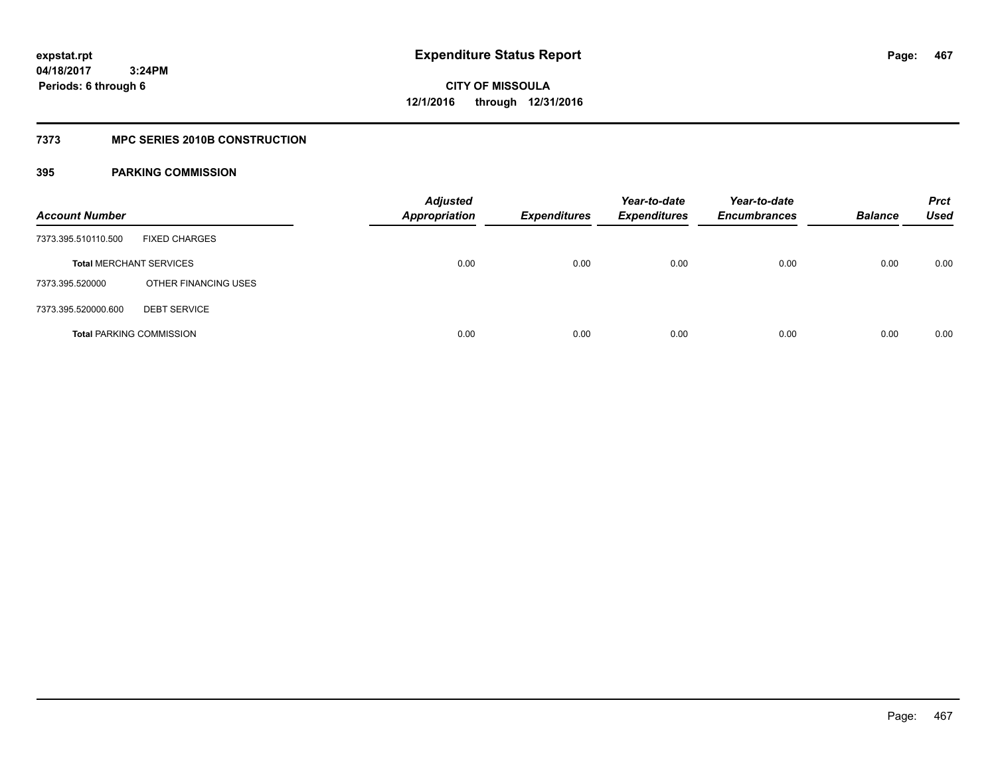### **7373 MPC SERIES 2010B CONSTRUCTION**

| <b>Account Number</b>           |                      | <b>Adjusted</b><br><b>Appropriation</b> | <b>Expenditures</b> | Year-to-date<br><b>Expenditures</b> | Year-to-date<br><b>Encumbrances</b> | <b>Balance</b> | <b>Prct</b><br>Used |
|---------------------------------|----------------------|-----------------------------------------|---------------------|-------------------------------------|-------------------------------------|----------------|---------------------|
| 7373.395.510110.500             | <b>FIXED CHARGES</b> |                                         |                     |                                     |                                     |                |                     |
| <b>Total MERCHANT SERVICES</b>  |                      | 0.00                                    | 0.00                | 0.00                                | 0.00                                | 0.00           | 0.00                |
| 7373.395.520000                 | OTHER FINANCING USES |                                         |                     |                                     |                                     |                |                     |
| 7373.395.520000.600             | <b>DEBT SERVICE</b>  |                                         |                     |                                     |                                     |                |                     |
| <b>Total PARKING COMMISSION</b> |                      | 0.00                                    | 0.00                | 0.00                                | 0.00                                | 0.00           | 0.00                |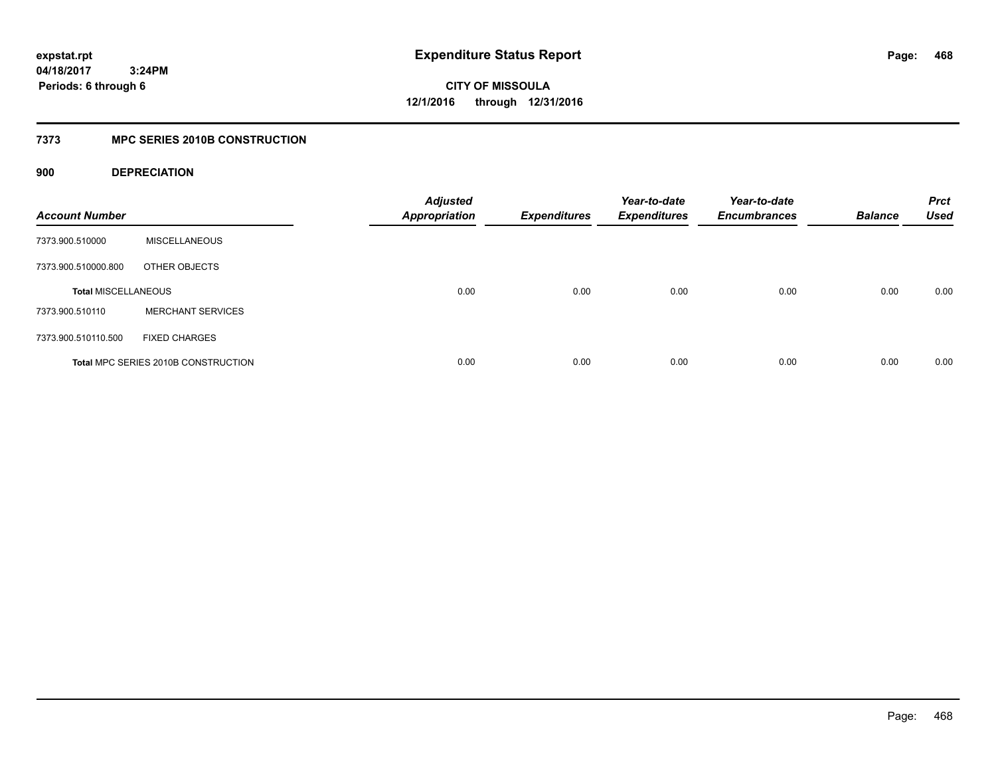**CITY OF MISSOULA 12/1/2016 through 12/31/2016**

### **7373 MPC SERIES 2010B CONSTRUCTION**

### **900 DEPRECIATION**

| <b>Account Number</b>      |                                     | <b>Adjusted</b><br><b>Appropriation</b> | <b>Expenditures</b> | Year-to-date<br><b>Expenditures</b> | Year-to-date<br><b>Encumbrances</b> | <b>Balance</b> | <b>Prct</b><br><b>Used</b> |
|----------------------------|-------------------------------------|-----------------------------------------|---------------------|-------------------------------------|-------------------------------------|----------------|----------------------------|
| 7373.900.510000            | <b>MISCELLANEOUS</b>                |                                         |                     |                                     |                                     |                |                            |
| 7373.900.510000.800        | OTHER OBJECTS                       |                                         |                     |                                     |                                     |                |                            |
| <b>Total MISCELLANEOUS</b> |                                     | 0.00                                    | 0.00                | 0.00                                | 0.00                                | 0.00           | 0.00                       |
| 7373.900.510110            | <b>MERCHANT SERVICES</b>            |                                         |                     |                                     |                                     |                |                            |
| 7373.900.510110.500        | <b>FIXED CHARGES</b>                |                                         |                     |                                     |                                     |                |                            |
|                            | Total MPC SERIES 2010B CONSTRUCTION | 0.00                                    | 0.00                | 0.00                                | 0.00                                | 0.00           | 0.00                       |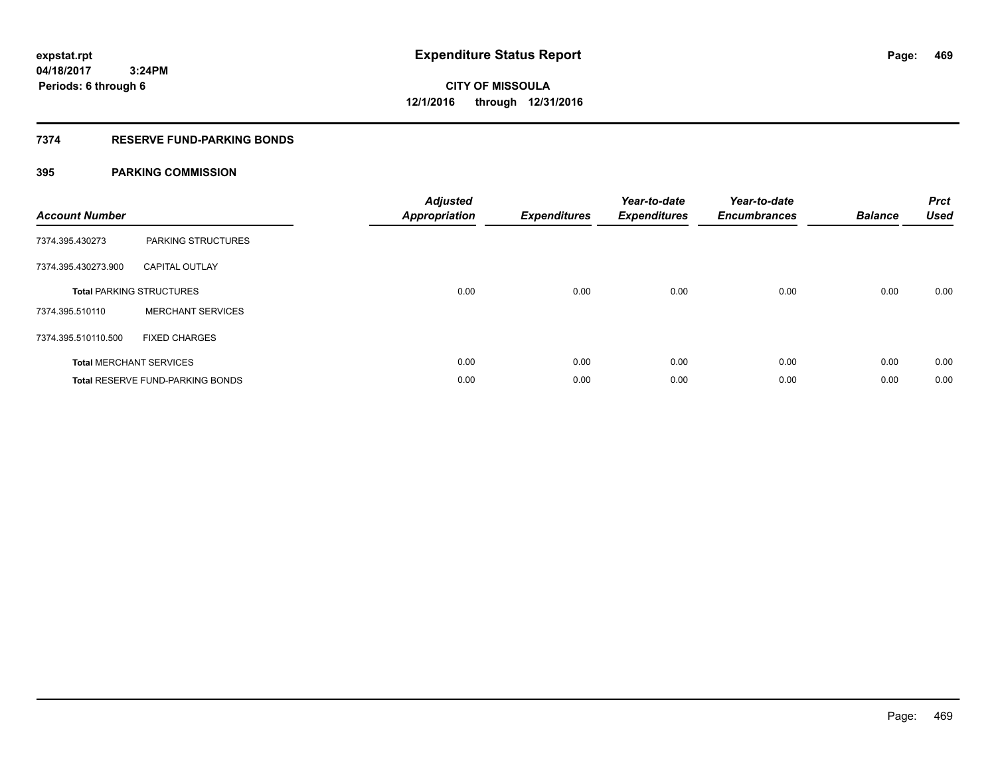### **7374 RESERVE FUND-PARKING BONDS**

| <b>Account Number</b> |                                  | <b>Adjusted</b><br><b>Appropriation</b> | <b>Expenditures</b> | Year-to-date<br><b>Expenditures</b> | Year-to-date<br><b>Encumbrances</b> | <b>Balance</b> | <b>Prct</b><br><b>Used</b> |
|-----------------------|----------------------------------|-----------------------------------------|---------------------|-------------------------------------|-------------------------------------|----------------|----------------------------|
| 7374.395.430273       | <b>PARKING STRUCTURES</b>        |                                         |                     |                                     |                                     |                |                            |
| 7374.395.430273.900   | <b>CAPITAL OUTLAY</b>            |                                         |                     |                                     |                                     |                |                            |
|                       | <b>Total PARKING STRUCTURES</b>  | 0.00                                    | 0.00                | 0.00                                | 0.00                                | 0.00           | 0.00                       |
| 7374.395.510110       | <b>MERCHANT SERVICES</b>         |                                         |                     |                                     |                                     |                |                            |
| 7374.395.510110.500   | <b>FIXED CHARGES</b>             |                                         |                     |                                     |                                     |                |                            |
|                       | <b>Total MERCHANT SERVICES</b>   | 0.00                                    | 0.00                | 0.00                                | 0.00                                | 0.00           | 0.00                       |
|                       | Total RESERVE FUND-PARKING BONDS | 0.00                                    | 0.00                | 0.00                                | 0.00                                | 0.00           | 0.00                       |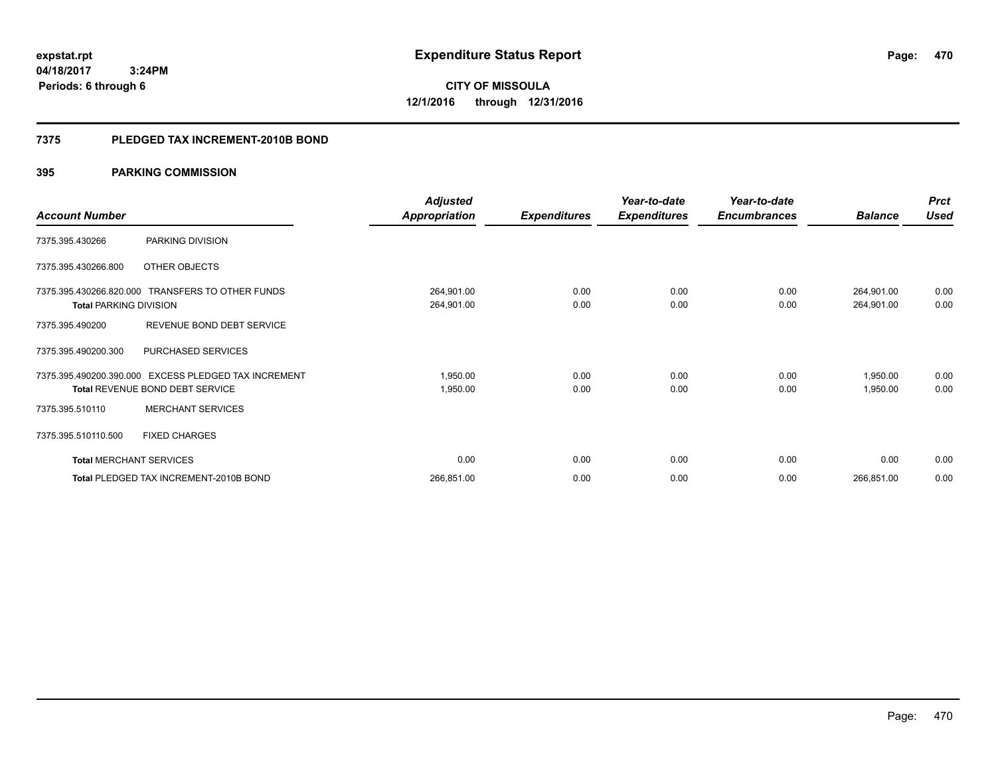# **CITY OF MISSOULA 12/1/2016 through 12/31/2016**

#### **7375 PLEDGED TAX INCREMENT-2010B BOND**

|                                |                                                  | <b>Adjusted</b>      |                     | Year-to-date        | Year-to-date        |                | <b>Prct</b> |
|--------------------------------|--------------------------------------------------|----------------------|---------------------|---------------------|---------------------|----------------|-------------|
| <b>Account Number</b>          |                                                  | <b>Appropriation</b> | <b>Expenditures</b> | <b>Expenditures</b> | <b>Encumbrances</b> | <b>Balance</b> | <b>Used</b> |
| 7375.395.430266                | PARKING DIVISION                                 |                      |                     |                     |                     |                |             |
| 7375.395.430266.800            | OTHER OBJECTS                                    |                      |                     |                     |                     |                |             |
|                                | 7375.395.430266.820.000 TRANSFERS TO OTHER FUNDS | 264,901.00           | 0.00                | 0.00                | 0.00                | 264,901.00     | 0.00        |
| <b>Total PARKING DIVISION</b>  |                                                  | 264,901.00           | 0.00                | 0.00                | 0.00                | 264,901.00     | 0.00        |
| 7375.395.490200                | REVENUE BOND DEBT SERVICE                        |                      |                     |                     |                     |                |             |
| 7375.395.490200.300            | PURCHASED SERVICES                               |                      |                     |                     |                     |                |             |
| 7375.395.490200.390.000        | <b>EXCESS PLEDGED TAX INCREMENT</b>              | 1,950.00             | 0.00                | 0.00                | 0.00                | 1,950.00       | 0.00        |
|                                | <b>Total REVENUE BOND DEBT SERVICE</b>           | 1,950.00             | 0.00                | 0.00                | 0.00                | 1,950.00       | 0.00        |
| 7375.395.510110                | <b>MERCHANT SERVICES</b>                         |                      |                     |                     |                     |                |             |
| 7375.395.510110.500            | <b>FIXED CHARGES</b>                             |                      |                     |                     |                     |                |             |
| <b>Total MERCHANT SERVICES</b> |                                                  | 0.00                 | 0.00                | 0.00                | 0.00                | 0.00           | 0.00        |
|                                | Total PLEDGED TAX INCREMENT-2010B BOND           | 266,851.00           | 0.00                | 0.00                | 0.00                | 266,851.00     | 0.00        |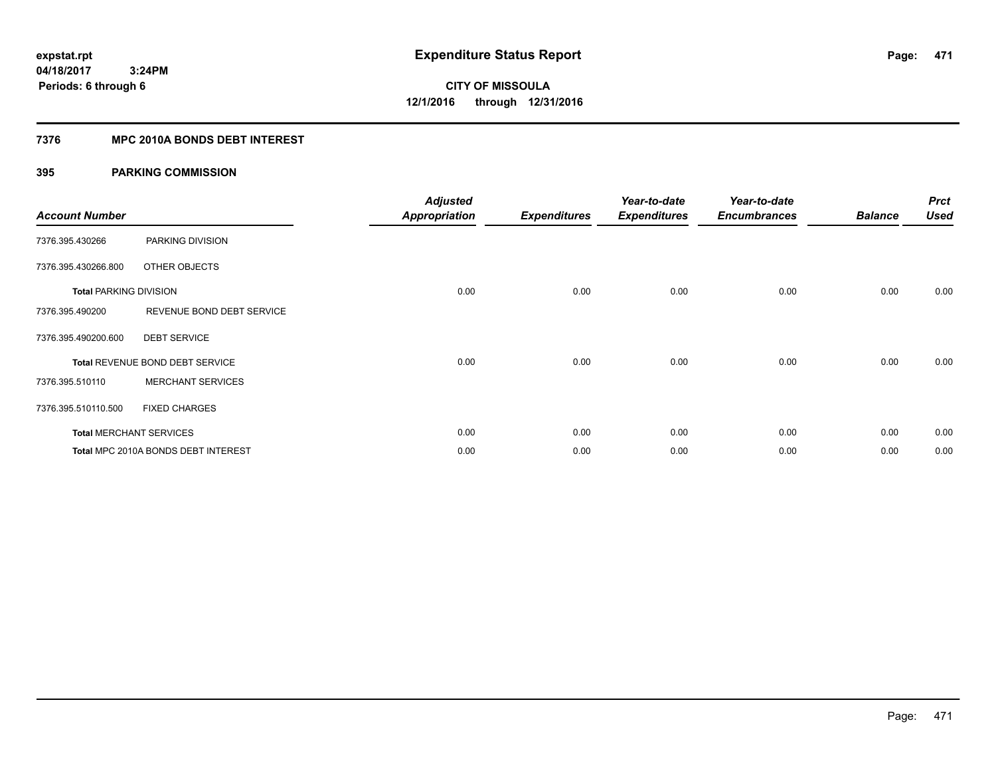### **7376 MPC 2010A BONDS DEBT INTEREST**

| <b>Account Number</b>         |                                     | <b>Adjusted</b><br><b>Appropriation</b> | <b>Expenditures</b> | Year-to-date<br><b>Expenditures</b> | Year-to-date<br><b>Encumbrances</b> | <b>Balance</b> | <b>Prct</b><br><b>Used</b> |
|-------------------------------|-------------------------------------|-----------------------------------------|---------------------|-------------------------------------|-------------------------------------|----------------|----------------------------|
| 7376.395.430266               | PARKING DIVISION                    |                                         |                     |                                     |                                     |                |                            |
| 7376.395.430266.800           | OTHER OBJECTS                       |                                         |                     |                                     |                                     |                |                            |
| <b>Total PARKING DIVISION</b> |                                     | 0.00                                    | 0.00                | 0.00                                | 0.00                                | 0.00           | 0.00                       |
| 7376.395.490200               | REVENUE BOND DEBT SERVICE           |                                         |                     |                                     |                                     |                |                            |
| 7376.395.490200.600           | <b>DEBT SERVICE</b>                 |                                         |                     |                                     |                                     |                |                            |
|                               | Total REVENUE BOND DEBT SERVICE     | 0.00                                    | 0.00                | 0.00                                | 0.00                                | 0.00           | 0.00                       |
| 7376.395.510110               | <b>MERCHANT SERVICES</b>            |                                         |                     |                                     |                                     |                |                            |
| 7376.395.510110.500           | <b>FIXED CHARGES</b>                |                                         |                     |                                     |                                     |                |                            |
|                               | <b>Total MERCHANT SERVICES</b>      | 0.00                                    | 0.00                | 0.00                                | 0.00                                | 0.00           | 0.00                       |
|                               | Total MPC 2010A BONDS DEBT INTEREST | 0.00                                    | 0.00                | 0.00                                | 0.00                                | 0.00           | 0.00                       |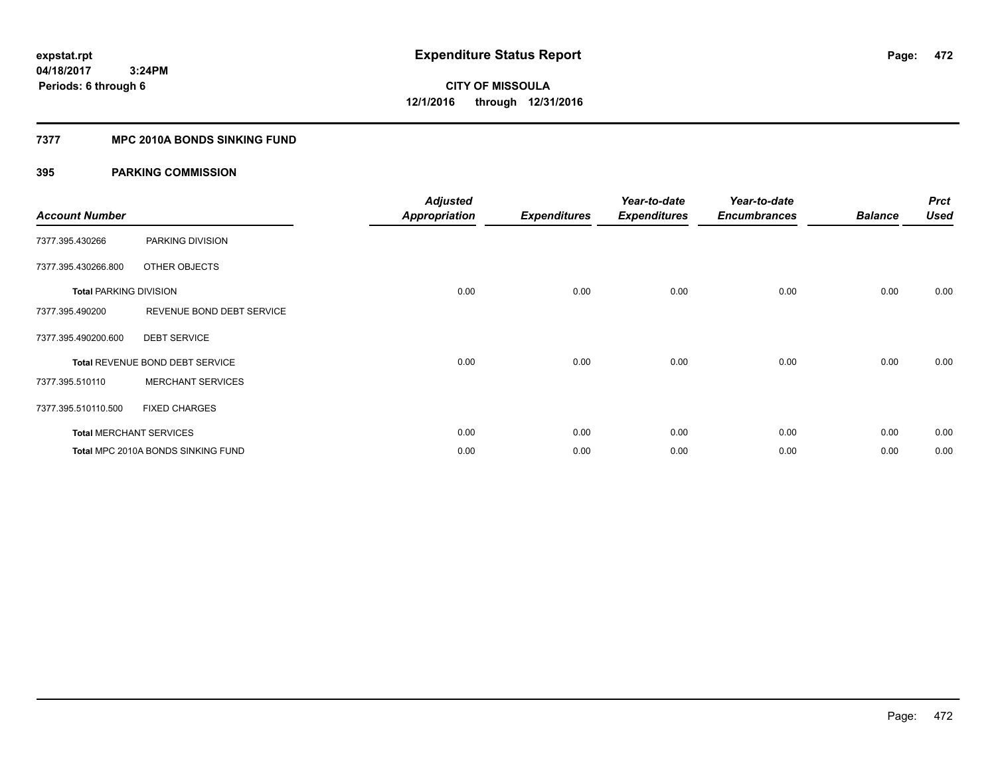### **7377 MPC 2010A BONDS SINKING FUND**

| <b>Account Number</b>         |                                    | <b>Adjusted</b><br><b>Appropriation</b> | <b>Expenditures</b> | Year-to-date<br><b>Expenditures</b> | Year-to-date<br><b>Encumbrances</b> | <b>Balance</b> | <b>Prct</b><br><b>Used</b> |
|-------------------------------|------------------------------------|-----------------------------------------|---------------------|-------------------------------------|-------------------------------------|----------------|----------------------------|
| 7377.395.430266               | PARKING DIVISION                   |                                         |                     |                                     |                                     |                |                            |
| 7377.395.430266.800           | OTHER OBJECTS                      |                                         |                     |                                     |                                     |                |                            |
| <b>Total PARKING DIVISION</b> |                                    | 0.00                                    | 0.00                | 0.00                                | 0.00                                | 0.00           | 0.00                       |
| 7377.395.490200               | REVENUE BOND DEBT SERVICE          |                                         |                     |                                     |                                     |                |                            |
| 7377.395.490200.600           | <b>DEBT SERVICE</b>                |                                         |                     |                                     |                                     |                |                            |
|                               | Total REVENUE BOND DEBT SERVICE    | 0.00                                    | 0.00                | 0.00                                | 0.00                                | 0.00           | 0.00                       |
| 7377.395.510110               | <b>MERCHANT SERVICES</b>           |                                         |                     |                                     |                                     |                |                            |
| 7377.395.510110.500           | <b>FIXED CHARGES</b>               |                                         |                     |                                     |                                     |                |                            |
|                               | <b>Total MERCHANT SERVICES</b>     | 0.00                                    | 0.00                | 0.00                                | 0.00                                | 0.00           | 0.00                       |
|                               | Total MPC 2010A BONDS SINKING FUND | 0.00                                    | 0.00                | 0.00                                | 0.00                                | 0.00           | 0.00                       |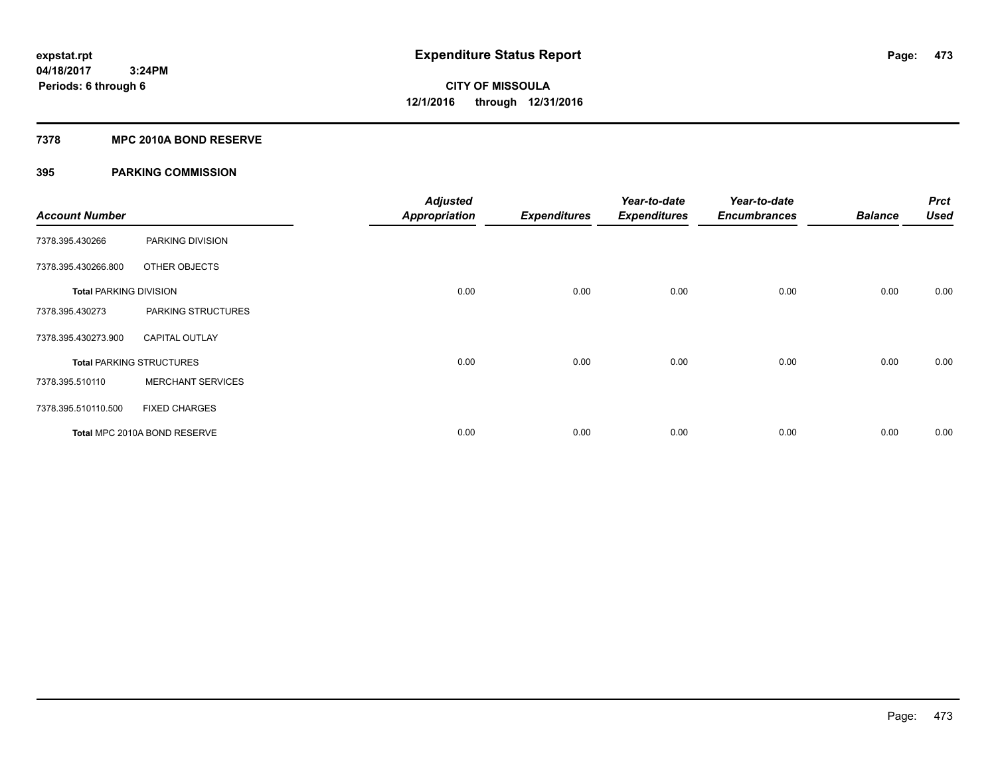### **7378 MPC 2010A BOND RESERVE**

| <b>Account Number</b>         |                                 | <b>Adjusted</b><br><b>Appropriation</b> | <b>Expenditures</b> | Year-to-date<br><b>Expenditures</b> | Year-to-date<br><b>Encumbrances</b> | <b>Balance</b> | <b>Prct</b><br><b>Used</b> |
|-------------------------------|---------------------------------|-----------------------------------------|---------------------|-------------------------------------|-------------------------------------|----------------|----------------------------|
| 7378.395.430266               | PARKING DIVISION                |                                         |                     |                                     |                                     |                |                            |
| 7378.395.430266.800           | OTHER OBJECTS                   |                                         |                     |                                     |                                     |                |                            |
| <b>Total PARKING DIVISION</b> |                                 | 0.00                                    | 0.00                | 0.00                                | 0.00                                | 0.00           | 0.00                       |
| 7378.395.430273               | PARKING STRUCTURES              |                                         |                     |                                     |                                     |                |                            |
| 7378.395.430273.900           | <b>CAPITAL OUTLAY</b>           |                                         |                     |                                     |                                     |                |                            |
|                               | <b>Total PARKING STRUCTURES</b> | 0.00                                    | 0.00                | 0.00                                | 0.00                                | 0.00           | 0.00                       |
| 7378.395.510110               | <b>MERCHANT SERVICES</b>        |                                         |                     |                                     |                                     |                |                            |
| 7378.395.510110.500           | <b>FIXED CHARGES</b>            |                                         |                     |                                     |                                     |                |                            |
|                               | Total MPC 2010A BOND RESERVE    | 0.00                                    | 0.00                | 0.00                                | 0.00                                | 0.00           | 0.00                       |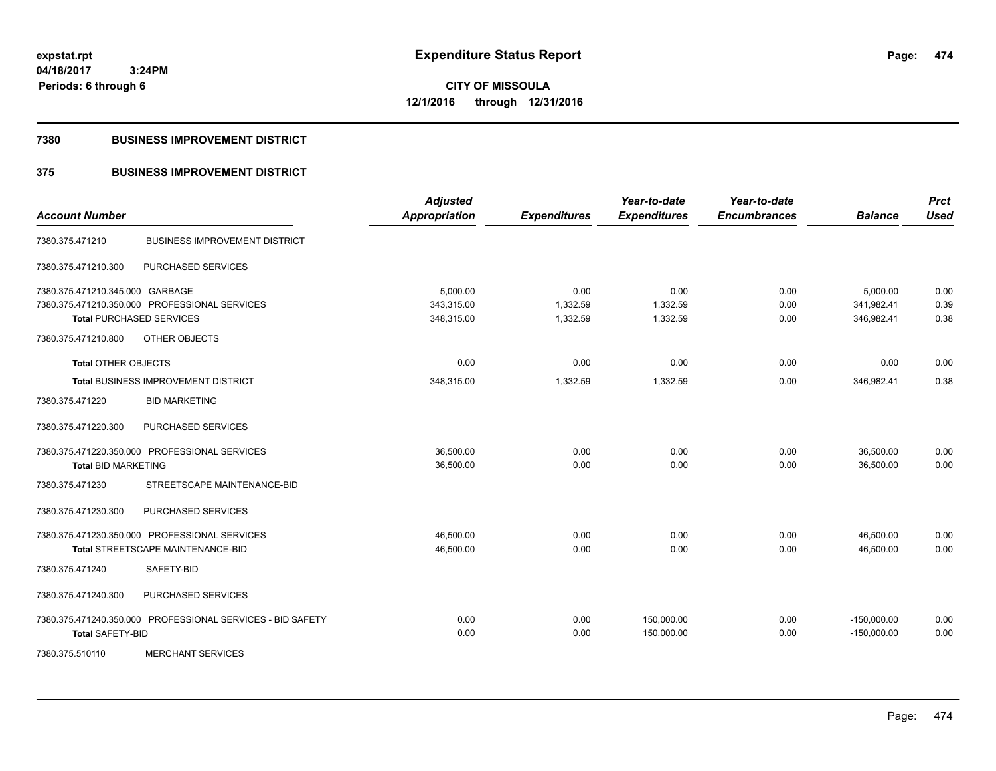**CITY OF MISSOULA 12/1/2016 through 12/31/2016**

#### **7380 BUSINESS IMPROVEMENT DISTRICT**

### **375 BUSINESS IMPROVEMENT DISTRICT**

| <b>Account Number</b>           |                                                            | <b>Adjusted</b><br><b>Appropriation</b> | <b>Expenditures</b> | Year-to-date<br><b>Expenditures</b> | Year-to-date<br><b>Encumbrances</b> | <b>Balance</b> | <b>Prct</b><br><b>Used</b> |
|---------------------------------|------------------------------------------------------------|-----------------------------------------|---------------------|-------------------------------------|-------------------------------------|----------------|----------------------------|
| 7380.375.471210                 | <b>BUSINESS IMPROVEMENT DISTRICT</b>                       |                                         |                     |                                     |                                     |                |                            |
| 7380.375.471210.300             | PURCHASED SERVICES                                         |                                         |                     |                                     |                                     |                |                            |
| 7380.375.471210.345.000 GARBAGE |                                                            | 5,000.00                                | 0.00                | 0.00                                | 0.00                                | 5,000.00       | 0.00                       |
|                                 | 7380.375.471210.350.000 PROFESSIONAL SERVICES              | 343,315.00                              | 1,332.59            | 1,332.59                            | 0.00                                | 341,982.41     | 0.39                       |
|                                 | <b>Total PURCHASED SERVICES</b>                            | 348,315.00                              | 1,332.59            | 1,332.59                            | 0.00                                | 346,982.41     | 0.38                       |
| 7380.375.471210.800             | OTHER OBJECTS                                              |                                         |                     |                                     |                                     |                |                            |
| <b>Total OTHER OBJECTS</b>      |                                                            | 0.00                                    | 0.00                | 0.00                                | 0.00                                | 0.00           | 0.00                       |
|                                 | Total BUSINESS IMPROVEMENT DISTRICT                        | 348,315.00                              | 1,332.59            | 1,332.59                            | 0.00                                | 346,982.41     | 0.38                       |
| 7380.375.471220                 | <b>BID MARKETING</b>                                       |                                         |                     |                                     |                                     |                |                            |
| 7380.375.471220.300             | PURCHASED SERVICES                                         |                                         |                     |                                     |                                     |                |                            |
|                                 | 7380.375.471220.350.000 PROFESSIONAL SERVICES              | 36,500.00                               | 0.00                | 0.00                                | 0.00                                | 36,500.00      | 0.00                       |
| <b>Total BID MARKETING</b>      |                                                            | 36,500.00                               | 0.00                | 0.00                                | 0.00                                | 36,500.00      | 0.00                       |
| 7380.375.471230                 | STREETSCAPE MAINTENANCE-BID                                |                                         |                     |                                     |                                     |                |                            |
| 7380.375.471230.300             | PURCHASED SERVICES                                         |                                         |                     |                                     |                                     |                |                            |
|                                 | 7380.375.471230.350.000 PROFESSIONAL SERVICES              | 46,500.00                               | 0.00                | 0.00                                | 0.00                                | 46,500.00      | 0.00                       |
|                                 | <b>Total STREETSCAPE MAINTENANCE-BID</b>                   | 46,500.00                               | 0.00                | 0.00                                | 0.00                                | 46,500.00      | 0.00                       |
| 7380.375.471240                 | SAFETY-BID                                                 |                                         |                     |                                     |                                     |                |                            |
| 7380.375.471240.300             | PURCHASED SERVICES                                         |                                         |                     |                                     |                                     |                |                            |
|                                 | 7380.375.471240.350.000 PROFESSIONAL SERVICES - BID SAFETY | 0.00                                    | 0.00                | 150,000.00                          | 0.00                                | $-150,000.00$  | 0.00                       |
| <b>Total SAFETY-BID</b>         |                                                            | 0.00                                    | 0.00                | 150,000.00                          | 0.00                                | $-150,000.00$  | 0.00                       |
| 7380.375.510110                 | <b>MERCHANT SERVICES</b>                                   |                                         |                     |                                     |                                     |                |                            |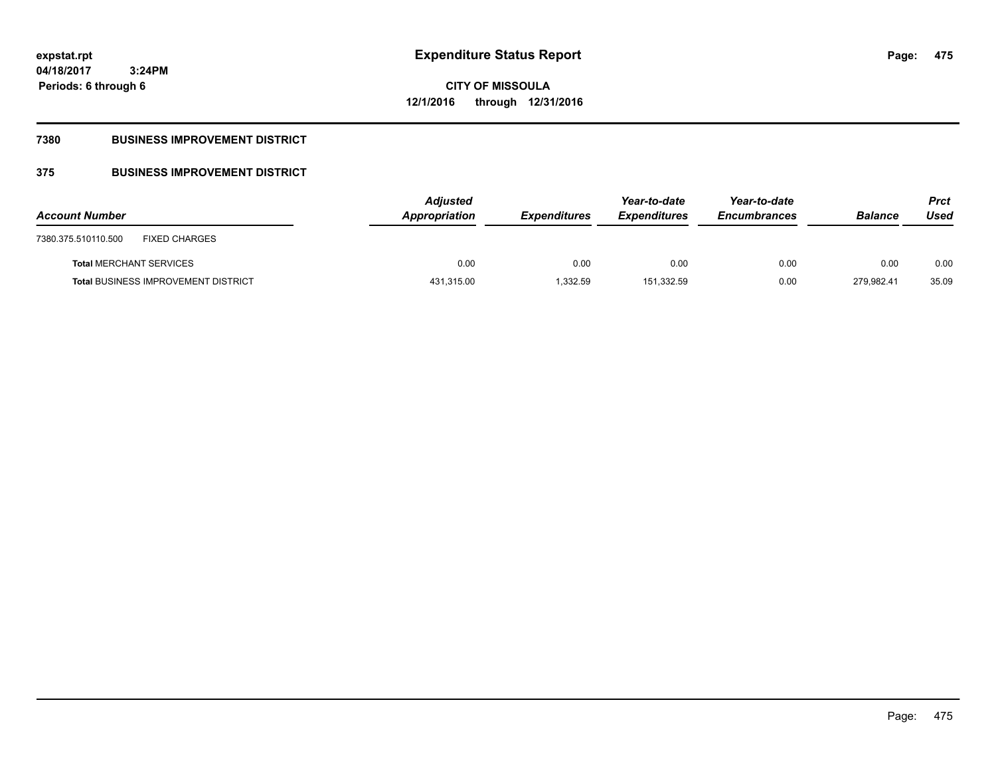**475**

**04/18/2017 3:24PM Periods: 6 through 6**

### **7380 BUSINESS IMPROVEMENT DISTRICT**

## **375 BUSINESS IMPROVEMENT DISTRICT**

| <b>Account Number</b>                       | <b>Adjusted</b><br>Appropriation | <b>Expenditures</b> | Year-to-date<br><b>Expenditures</b> | Year-to-date<br><b>Encumbrances</b> | <b>Balance</b> | <b>Prct</b><br>Used |
|---------------------------------------------|----------------------------------|---------------------|-------------------------------------|-------------------------------------|----------------|---------------------|
| <b>FIXED CHARGES</b><br>7380.375.510110.500 |                                  |                     |                                     |                                     |                |                     |
| <b>Total MERCHANT SERVICES</b>              | 0.00                             | 0.00                | 0.00                                | 0.00                                | 0.00           | 0.00                |
| <b>Total BUSINESS IMPROVEMENT DISTRICT</b>  | 431,315.00                       | 1.332.59            | 151.332.59                          | 0.00                                | 279.982.41     | 35.09               |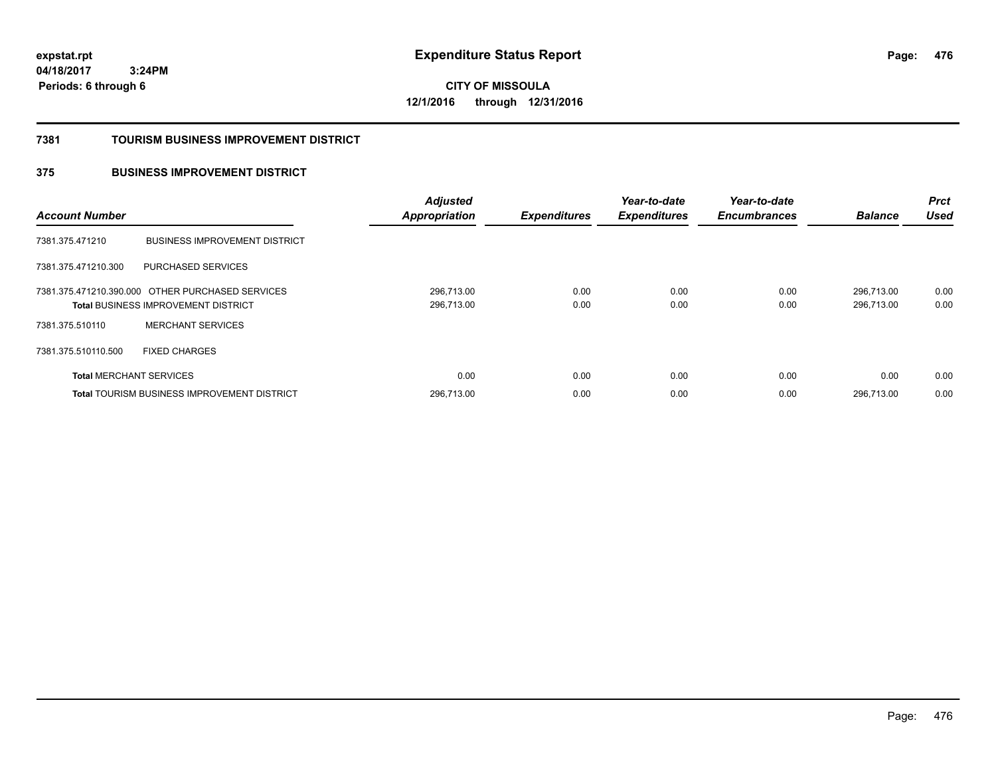**CITY OF MISSOULA 12/1/2016 through 12/31/2016**

#### **7381 TOURISM BUSINESS IMPROVEMENT DISTRICT**

### **375 BUSINESS IMPROVEMENT DISTRICT**

| <b>Account Number</b>          |                                                                                                | <b>Adjusted</b><br><b>Appropriation</b> | <b>Expenditures</b> | Year-to-date<br><b>Expenditures</b> | Year-to-date<br><b>Encumbrances</b> | <b>Balance</b>           | <b>Prct</b><br><b>Used</b> |
|--------------------------------|------------------------------------------------------------------------------------------------|-----------------------------------------|---------------------|-------------------------------------|-------------------------------------|--------------------------|----------------------------|
| 7381.375.471210                | <b>BUSINESS IMPROVEMENT DISTRICT</b>                                                           |                                         |                     |                                     |                                     |                          |                            |
| 7381.375.471210.300            | PURCHASED SERVICES                                                                             |                                         |                     |                                     |                                     |                          |                            |
|                                | 7381.375.471210.390.000 OTHER PURCHASED SERVICES<br><b>Total BUSINESS IMPROVEMENT DISTRICT</b> | 296,713.00<br>296,713.00                | 0.00<br>0.00        | 0.00<br>0.00                        | 0.00<br>0.00                        | 296.713.00<br>296.713.00 | 0.00<br>0.00               |
| 7381.375.510110                | <b>MERCHANT SERVICES</b>                                                                       |                                         |                     |                                     |                                     |                          |                            |
| 7381.375.510110.500            | <b>FIXED CHARGES</b>                                                                           |                                         |                     |                                     |                                     |                          |                            |
| <b>Total MERCHANT SERVICES</b> |                                                                                                | 0.00                                    | 0.00                | 0.00                                | 0.00                                | 0.00                     | 0.00                       |
|                                | <b>Total TOURISM BUSINESS IMPROVEMENT DISTRICT</b>                                             | 296,713.00                              | 0.00                | 0.00                                | 0.00                                | 296.713.00               | 0.00                       |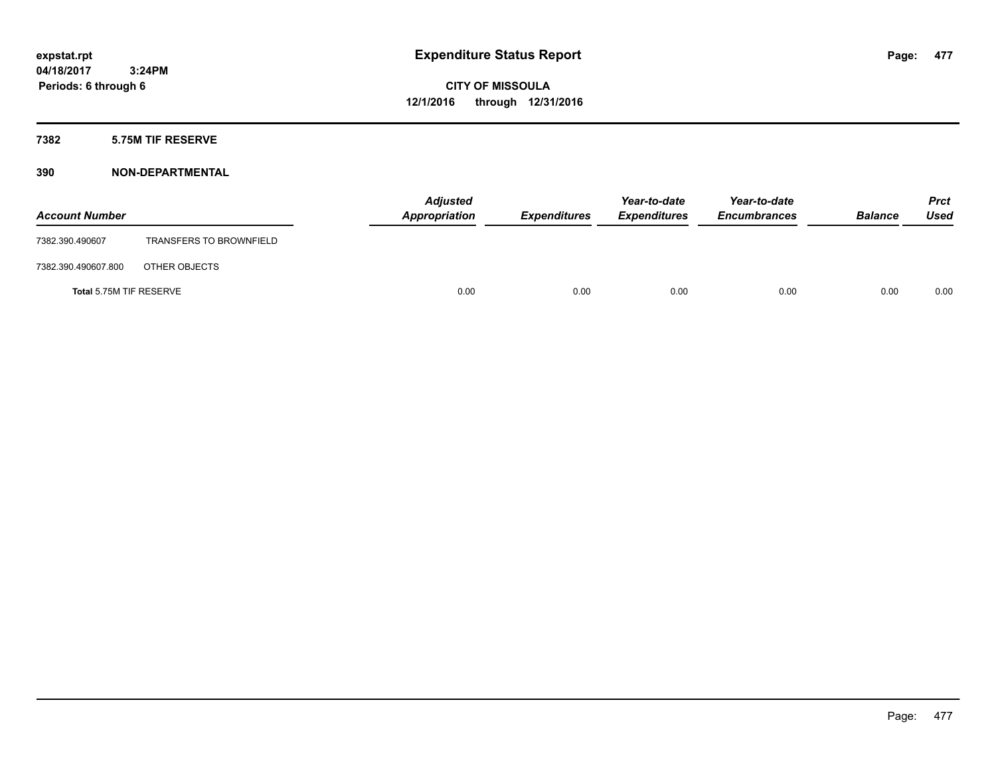#### **7382 5.75M TIF RESERVE**

| <b>Account Number</b>   |                                | <b>Adjusted</b><br>Appropriation | <b>Expenditures</b> | Year-to-date<br><b>Expenditures</b> | Year-to-date<br><b>Encumbrances</b> | <b>Balance</b> | Prct<br><b>Used</b> |
|-------------------------|--------------------------------|----------------------------------|---------------------|-------------------------------------|-------------------------------------|----------------|---------------------|
| 7382.390.490607         | <b>TRANSFERS TO BROWNFIELD</b> |                                  |                     |                                     |                                     |                |                     |
| 7382.390.490607.800     | OTHER OBJECTS                  |                                  |                     |                                     |                                     |                |                     |
| Total 5.75M TIF RESERVE |                                | 0.00                             | 0.00                | 0.00                                | 0.00                                | 0.00           | 0.00                |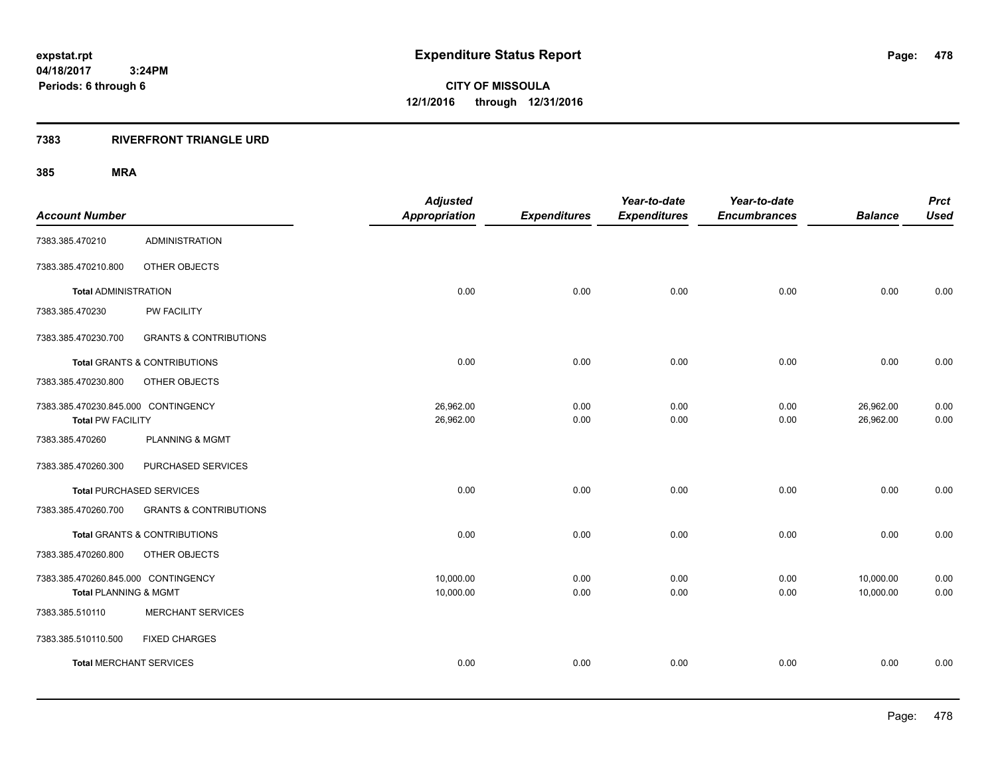**CITY OF MISSOULA 12/1/2016 through 12/31/2016**

#### **7383 RIVERFRONT TRIANGLE URD**

| <b>Account Number</b>                                           |                                         | <b>Adjusted</b><br><b>Appropriation</b> | <b>Expenditures</b> | Year-to-date<br><b>Expenditures</b> | Year-to-date<br><b>Encumbrances</b> | <b>Balance</b>         | <b>Prct</b><br><b>Used</b> |
|-----------------------------------------------------------------|-----------------------------------------|-----------------------------------------|---------------------|-------------------------------------|-------------------------------------|------------------------|----------------------------|
| 7383.385.470210                                                 | <b>ADMINISTRATION</b>                   |                                         |                     |                                     |                                     |                        |                            |
| 7383.385.470210.800                                             | OTHER OBJECTS                           |                                         |                     |                                     |                                     |                        |                            |
| <b>Total ADMINISTRATION</b>                                     |                                         | 0.00                                    | 0.00                | 0.00                                | 0.00                                | 0.00                   | 0.00                       |
| 7383.385.470230                                                 | PW FACILITY                             |                                         |                     |                                     |                                     |                        |                            |
| 7383.385.470230.700                                             | <b>GRANTS &amp; CONTRIBUTIONS</b>       |                                         |                     |                                     |                                     |                        |                            |
|                                                                 | <b>Total GRANTS &amp; CONTRIBUTIONS</b> | 0.00                                    | 0.00                | 0.00                                | 0.00                                | 0.00                   | 0.00                       |
| 7383.385.470230.800                                             | OTHER OBJECTS                           |                                         |                     |                                     |                                     |                        |                            |
| 7383.385.470230.845.000 CONTINGENCY<br><b>Total PW FACILITY</b> |                                         | 26,962.00<br>26,962.00                  | 0.00<br>0.00        | 0.00<br>0.00                        | 0.00<br>0.00                        | 26,962.00<br>26,962.00 | 0.00<br>0.00               |
| 7383.385.470260                                                 | <b>PLANNING &amp; MGMT</b>              |                                         |                     |                                     |                                     |                        |                            |
| 7383.385.470260.300                                             | PURCHASED SERVICES                      |                                         |                     |                                     |                                     |                        |                            |
|                                                                 | <b>Total PURCHASED SERVICES</b>         | 0.00                                    | 0.00                | 0.00                                | 0.00                                | 0.00                   | 0.00                       |
| 7383.385.470260.700                                             | <b>GRANTS &amp; CONTRIBUTIONS</b>       |                                         |                     |                                     |                                     |                        |                            |
|                                                                 | <b>Total GRANTS &amp; CONTRIBUTIONS</b> | 0.00                                    | 0.00                | 0.00                                | 0.00                                | 0.00                   | 0.00                       |
| 7383.385.470260.800                                             | OTHER OBJECTS                           |                                         |                     |                                     |                                     |                        |                            |
| 7383.385.470260.845.000 CONTINGENCY<br>Total PLANNING & MGMT    |                                         | 10,000.00<br>10,000.00                  | 0.00<br>0.00        | 0.00<br>0.00                        | 0.00<br>0.00                        | 10,000.00<br>10,000.00 | 0.00<br>0.00               |
| 7383.385.510110                                                 | <b>MERCHANT SERVICES</b>                |                                         |                     |                                     |                                     |                        |                            |
| 7383.385.510110.500                                             | <b>FIXED CHARGES</b>                    |                                         |                     |                                     |                                     |                        |                            |
| <b>Total MERCHANT SERVICES</b>                                  |                                         | 0.00                                    | 0.00                | 0.00                                | 0.00                                | 0.00                   | 0.00                       |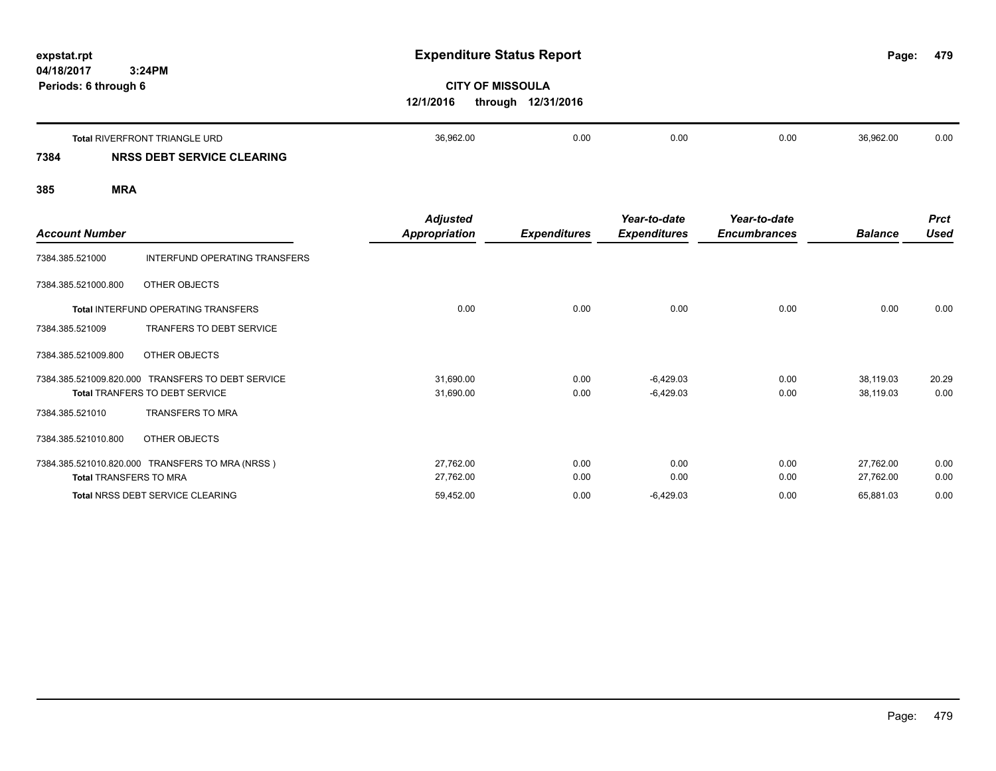**479**

# **CITY OF MISSOULA 12/1/2016 through 12/31/2016**

|      | <b>Total RIVERFRONT TRIANGLE URD</b> | 36.962.00 | 0.00 | 0.00 | 0.00 | 36.962.00 | 0.00 |
|------|--------------------------------------|-----------|------|------|------|-----------|------|
| 7384 | <b>NRSS DEBT SERVICE CLEARING</b>    |           |      |      |      |           |      |

|                               |                                                   | <b>Adjusted</b> |                     | Year-to-date        | Year-to-date        |                | <b>Prct</b> |
|-------------------------------|---------------------------------------------------|-----------------|---------------------|---------------------|---------------------|----------------|-------------|
| <b>Account Number</b>         |                                                   | Appropriation   | <b>Expenditures</b> | <b>Expenditures</b> | <b>Encumbrances</b> | <b>Balance</b> | <b>Used</b> |
| 7384.385.521000               | INTERFUND OPERATING TRANSFERS                     |                 |                     |                     |                     |                |             |
| 7384.385.521000.800           | OTHER OBJECTS                                     |                 |                     |                     |                     |                |             |
|                               | Total INTERFUND OPERATING TRANSFERS               | 0.00            | 0.00                | 0.00                | 0.00                | 0.00           | 0.00        |
| 7384.385.521009               | TRANFERS TO DEBT SERVICE                          |                 |                     |                     |                     |                |             |
| 7384.385.521009.800           | OTHER OBJECTS                                     |                 |                     |                     |                     |                |             |
|                               | 7384.385.521009.820.000 TRANSFERS TO DEBT SERVICE | 31,690.00       | 0.00                | $-6,429.03$         | 0.00                | 38,119.03      | 20.29       |
|                               | <b>Total TRANFERS TO DEBT SERVICE</b>             | 31,690.00       | 0.00                | $-6,429.03$         | 0.00                | 38,119.03      | 0.00        |
| 7384.385.521010               | <b>TRANSFERS TO MRA</b>                           |                 |                     |                     |                     |                |             |
| 7384.385.521010.800           | OTHER OBJECTS                                     |                 |                     |                     |                     |                |             |
|                               | 7384.385.521010.820.000 TRANSFERS TO MRA (NRSS)   | 27,762.00       | 0.00                | 0.00                | 0.00                | 27,762.00      | 0.00        |
| <b>Total TRANSFERS TO MRA</b> |                                                   | 27,762.00       | 0.00                | 0.00                | 0.00                | 27,762.00      | 0.00        |
|                               | <b>Total NRSS DEBT SERVICE CLEARING</b>           | 59,452.00       | 0.00                | $-6,429.03$         | 0.00                | 65,881.03      | 0.00        |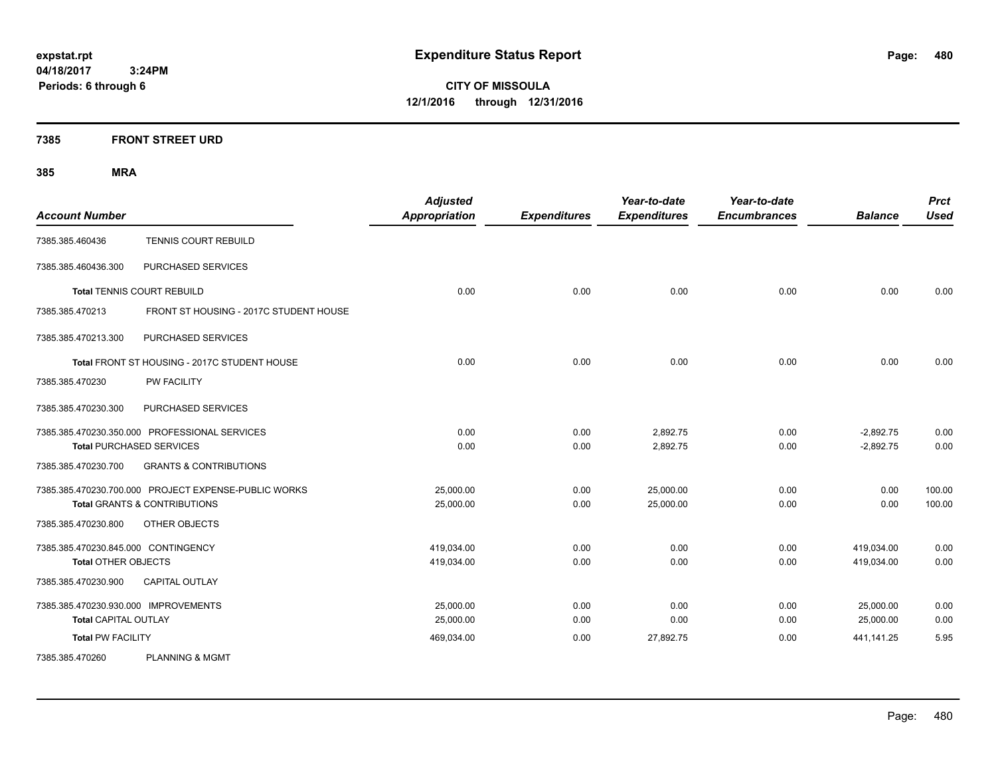**CITY OF MISSOULA 12/1/2016 through 12/31/2016**

### **7385 FRONT STREET URD**

| <b>Account Number</b>                |                                                      | <b>Adjusted</b><br><b>Appropriation</b> | <b>Expenditures</b> | Year-to-date<br><b>Expenditures</b> | Year-to-date<br><b>Encumbrances</b> | <b>Balance</b> | <b>Prct</b><br><b>Used</b> |
|--------------------------------------|------------------------------------------------------|-----------------------------------------|---------------------|-------------------------------------|-------------------------------------|----------------|----------------------------|
| 7385.385.460436                      | TENNIS COURT REBUILD                                 |                                         |                     |                                     |                                     |                |                            |
| 7385.385.460436.300                  | PURCHASED SERVICES                                   |                                         |                     |                                     |                                     |                |                            |
|                                      | <b>Total TENNIS COURT REBUILD</b>                    | 0.00                                    | 0.00                | 0.00                                | 0.00                                | 0.00           | 0.00                       |
| 7385.385.470213                      | FRONT ST HOUSING - 2017C STUDENT HOUSE               |                                         |                     |                                     |                                     |                |                            |
| 7385.385.470213.300                  | PURCHASED SERVICES                                   |                                         |                     |                                     |                                     |                |                            |
|                                      | Total FRONT ST HOUSING - 2017C STUDENT HOUSE         | 0.00                                    | 0.00                | 0.00                                | 0.00                                | 0.00           | 0.00                       |
| 7385.385.470230                      | PW FACILITY                                          |                                         |                     |                                     |                                     |                |                            |
| 7385.385.470230.300                  | PURCHASED SERVICES                                   |                                         |                     |                                     |                                     |                |                            |
|                                      | 7385.385.470230.350.000 PROFESSIONAL SERVICES        | 0.00                                    | 0.00                | 2,892.75                            | 0.00                                | $-2,892.75$    | 0.00                       |
|                                      | <b>Total PURCHASED SERVICES</b>                      | 0.00                                    | 0.00                | 2,892.75                            | 0.00                                | $-2,892.75$    | 0.00                       |
| 7385.385.470230.700                  | <b>GRANTS &amp; CONTRIBUTIONS</b>                    |                                         |                     |                                     |                                     |                |                            |
|                                      | 7385.385.470230.700.000 PROJECT EXPENSE-PUBLIC WORKS | 25,000.00                               | 0.00                | 25,000.00                           | 0.00                                | 0.00           | 100.00                     |
|                                      | Total GRANTS & CONTRIBUTIONS                         | 25,000.00                               | 0.00                | 25,000.00                           | 0.00                                | 0.00           | 100.00                     |
| 7385.385.470230.800                  | OTHER OBJECTS                                        |                                         |                     |                                     |                                     |                |                            |
| 7385.385.470230.845.000 CONTINGENCY  |                                                      | 419.034.00                              | 0.00                | 0.00                                | 0.00                                | 419.034.00     | 0.00                       |
| <b>Total OTHER OBJECTS</b>           |                                                      | 419,034.00                              | 0.00                | 0.00                                | 0.00                                | 419,034.00     | 0.00                       |
| 7385.385.470230.900                  | <b>CAPITAL OUTLAY</b>                                |                                         |                     |                                     |                                     |                |                            |
| 7385.385.470230.930.000 IMPROVEMENTS |                                                      | 25,000.00                               | 0.00                | 0.00                                | 0.00                                | 25,000.00      | 0.00                       |
| <b>Total CAPITAL OUTLAY</b>          |                                                      | 25,000.00                               | 0.00                | 0.00                                | 0.00                                | 25,000.00      | 0.00                       |
| <b>Total PW FACILITY</b>             |                                                      | 469,034.00                              | 0.00                | 27,892.75                           | 0.00                                | 441,141.25     | 5.95                       |
| 7385.385.470260                      | <b>PLANNING &amp; MGMT</b>                           |                                         |                     |                                     |                                     |                |                            |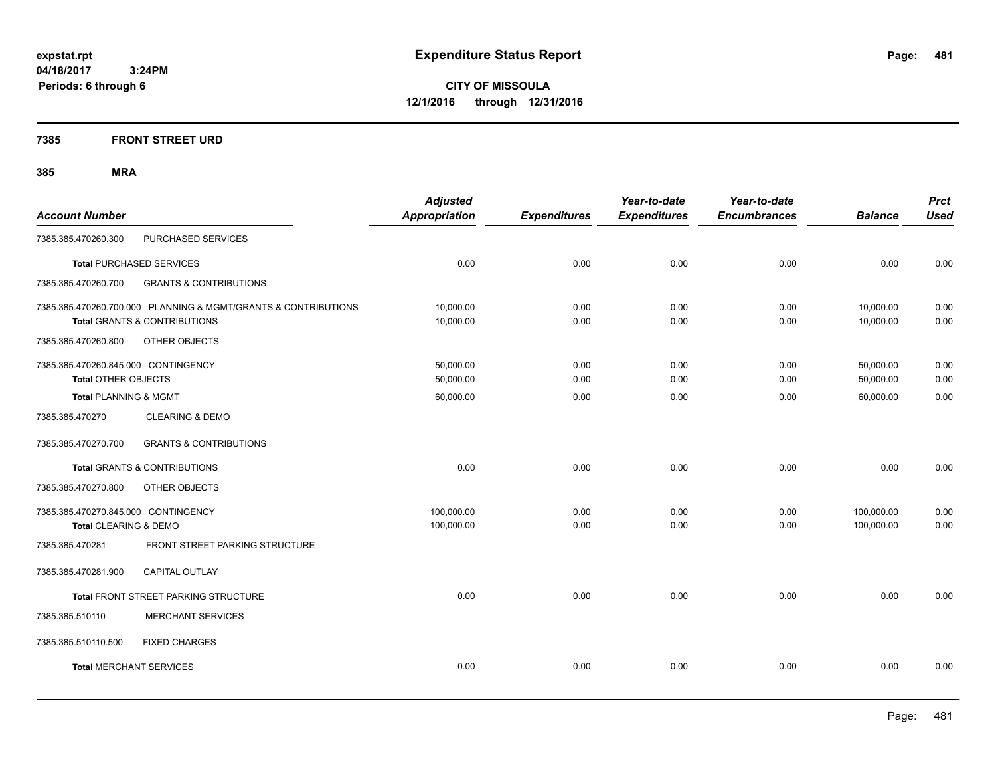**CITY OF MISSOULA 12/1/2016 through 12/31/2016**

### **7385 FRONT STREET URD**

| <b>Account Number</b>                                             |                                                                                                           | <b>Adjusted</b><br><b>Appropriation</b> | <b>Expenditures</b> | Year-to-date<br><b>Expenditures</b> | Year-to-date<br><b>Encumbrances</b> | <b>Balance</b>           | <b>Prct</b><br><b>Used</b> |
|-------------------------------------------------------------------|-----------------------------------------------------------------------------------------------------------|-----------------------------------------|---------------------|-------------------------------------|-------------------------------------|--------------------------|----------------------------|
| 7385.385.470260.300                                               | PURCHASED SERVICES                                                                                        |                                         |                     |                                     |                                     |                          |                            |
|                                                                   | <b>Total PURCHASED SERVICES</b>                                                                           | 0.00                                    | 0.00                | 0.00                                | 0.00                                | 0.00                     | 0.00                       |
| 7385.385.470260.700                                               | <b>GRANTS &amp; CONTRIBUTIONS</b>                                                                         |                                         |                     |                                     |                                     |                          |                            |
|                                                                   | 7385.385.470260.700.000 PLANNING & MGMT/GRANTS & CONTRIBUTIONS<br><b>Total GRANTS &amp; CONTRIBUTIONS</b> | 10,000.00<br>10,000.00                  | 0.00<br>0.00        | 0.00<br>0.00                        | 0.00<br>0.00                        | 10,000.00<br>10,000.00   | 0.00<br>0.00               |
| 7385.385.470260.800                                               | OTHER OBJECTS                                                                                             |                                         |                     |                                     |                                     |                          |                            |
| 7385.385.470260.845.000 CONTINGENCY<br><b>Total OTHER OBJECTS</b> |                                                                                                           | 50,000.00<br>50,000.00                  | 0.00<br>0.00        | 0.00<br>0.00                        | 0.00<br>0.00                        | 50,000.00<br>50,000.00   | 0.00<br>0.00               |
| <b>Total PLANNING &amp; MGMT</b>                                  |                                                                                                           | 60,000.00                               | 0.00                | 0.00                                | 0.00                                | 60,000.00                | 0.00                       |
| 7385.385.470270                                                   | <b>CLEARING &amp; DEMO</b>                                                                                |                                         |                     |                                     |                                     |                          |                            |
| 7385.385.470270.700                                               | <b>GRANTS &amp; CONTRIBUTIONS</b>                                                                         |                                         |                     |                                     |                                     |                          |                            |
|                                                                   | Total GRANTS & CONTRIBUTIONS                                                                              | 0.00                                    | 0.00                | 0.00                                | 0.00                                | 0.00                     | 0.00                       |
| 7385.385.470270.800                                               | OTHER OBJECTS                                                                                             |                                         |                     |                                     |                                     |                          |                            |
| 7385.385.470270.845.000 CONTINGENCY<br>Total CLEARING & DEMO      |                                                                                                           | 100,000.00<br>100,000.00                | 0.00<br>0.00        | 0.00<br>0.00                        | 0.00<br>0.00                        | 100,000.00<br>100,000.00 | 0.00<br>0.00               |
| 7385.385.470281                                                   | <b>FRONT STREET PARKING STRUCTURE</b>                                                                     |                                         |                     |                                     |                                     |                          |                            |
| 7385.385.470281.900                                               | <b>CAPITAL OUTLAY</b>                                                                                     |                                         |                     |                                     |                                     |                          |                            |
|                                                                   | Total FRONT STREET PARKING STRUCTURE                                                                      | 0.00                                    | 0.00                | 0.00                                | 0.00                                | 0.00                     | 0.00                       |
| 7385.385.510110                                                   | <b>MERCHANT SERVICES</b>                                                                                  |                                         |                     |                                     |                                     |                          |                            |
| 7385.385.510110.500                                               | <b>FIXED CHARGES</b>                                                                                      |                                         |                     |                                     |                                     |                          |                            |
| <b>Total MERCHANT SERVICES</b>                                    |                                                                                                           | 0.00                                    | 0.00                | 0.00                                | 0.00                                | 0.00                     | 0.00                       |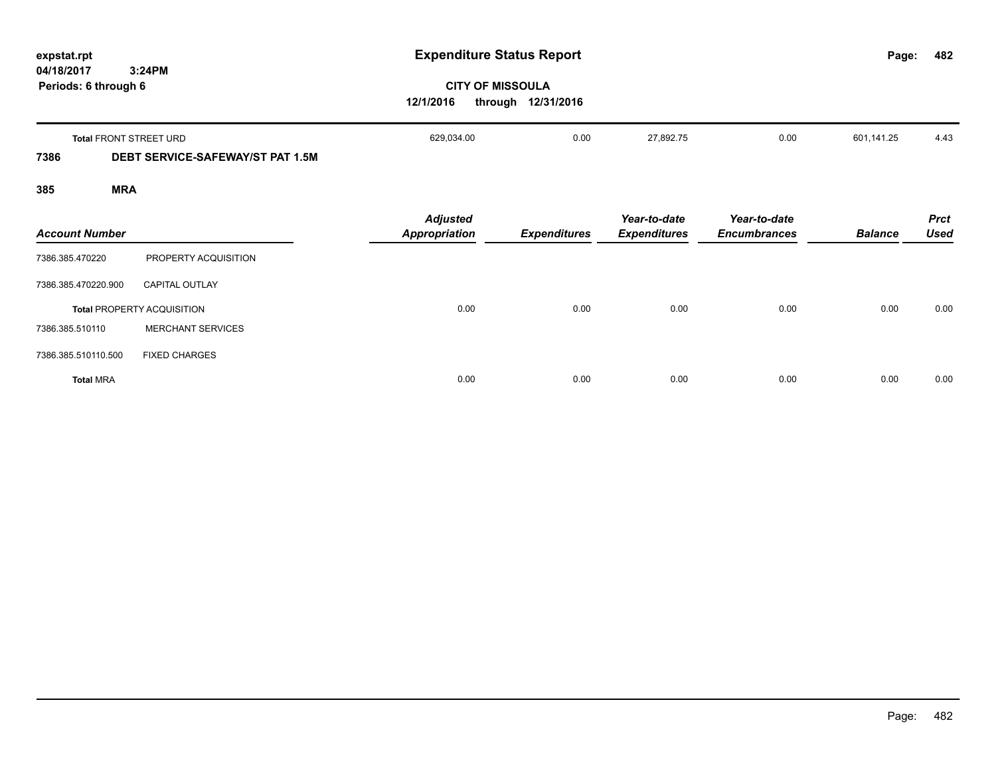| expstat.rpt                                  |                                         | <b>Expenditure Status Report</b>        | Page:                                         | 482                                 |                                     |                |                            |
|----------------------------------------------|-----------------------------------------|-----------------------------------------|-----------------------------------------------|-------------------------------------|-------------------------------------|----------------|----------------------------|
| 3:24PM<br>04/18/2017<br>Periods: 6 through 6 |                                         | 12/1/2016                               | <b>CITY OF MISSOULA</b><br>through 12/31/2016 |                                     |                                     |                |                            |
|                                              | Total FRONT STREET URD                  | 629,034.00                              | 0.00                                          | 27,892.75                           | 0.00                                | 601,141.25     | 4.43                       |
| 7386                                         | <b>DEBT SERVICE-SAFEWAY/ST PAT 1.5M</b> |                                         |                                               |                                     |                                     |                |                            |
| 385                                          | <b>MRA</b>                              |                                         |                                               |                                     |                                     |                |                            |
| <b>Account Number</b>                        |                                         | <b>Adjusted</b><br><b>Appropriation</b> | <b>Expenditures</b>                           | Year-to-date<br><b>Expenditures</b> | Year-to-date<br><b>Encumbrances</b> | <b>Balance</b> | <b>Prct</b><br><b>Used</b> |
| 7386.385.470220                              | PROPERTY ACQUISITION                    |                                         |                                               |                                     |                                     |                |                            |
| 7386.385.470220.900                          | <b>CAPITAL OUTLAY</b>                   |                                         |                                               |                                     |                                     |                |                            |
|                                              | <b>Total PROPERTY ACQUISITION</b>       | 0.00                                    | 0.00                                          | 0.00                                | 0.00                                | 0.00           | 0.00                       |
| 7386.385.510110                              | <b>MERCHANT SERVICES</b>                |                                         |                                               |                                     |                                     |                |                            |
| 7386.385.510110.500                          | <b>FIXED CHARGES</b>                    |                                         |                                               |                                     |                                     |                |                            |
| <b>Total MRA</b>                             |                                         | 0.00                                    | 0.00                                          | 0.00                                | 0.00                                | 0.00           | 0.00                       |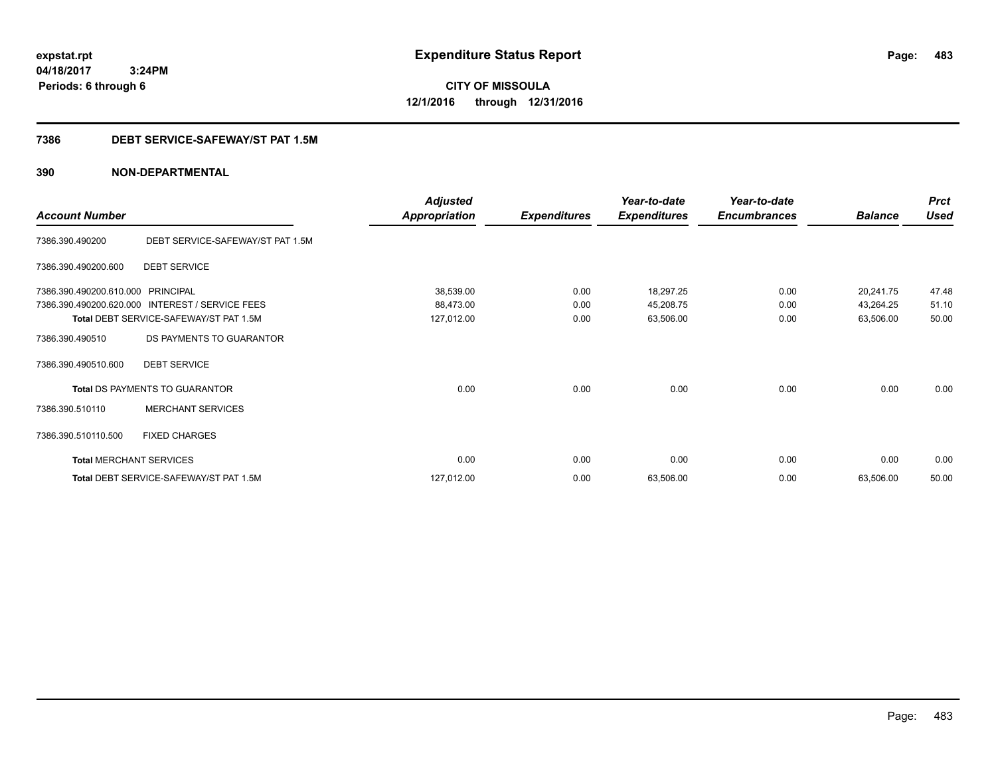**CITY OF MISSOULA 12/1/2016 through 12/31/2016**

### **7386 DEBT SERVICE-SAFEWAY/ST PAT 1.5M**

|                                |                                        | <b>Adjusted</b>      |                     | Year-to-date        | Year-to-date        |                | <b>Prct</b> |
|--------------------------------|----------------------------------------|----------------------|---------------------|---------------------|---------------------|----------------|-------------|
| <b>Account Number</b>          |                                        | <b>Appropriation</b> | <b>Expenditures</b> | <b>Expenditures</b> | <b>Encumbrances</b> | <b>Balance</b> | <b>Used</b> |
| 7386.390.490200                | DEBT SERVICE-SAFEWAY/ST PAT 1.5M       |                      |                     |                     |                     |                |             |
| 7386.390.490200.600            | <b>DEBT SERVICE</b>                    |                      |                     |                     |                     |                |             |
| 7386.390.490200.610.000        | <b>PRINCIPAL</b>                       | 38,539.00            | 0.00                | 18,297.25           | 0.00                | 20,241.75      | 47.48       |
| 7386.390.490200.620.000        | INTEREST / SERVICE FEES                | 88,473.00            | 0.00                | 45,208.75           | 0.00                | 43,264.25      | 51.10       |
|                                | Total DEBT SERVICE-SAFEWAY/ST PAT 1.5M | 127,012.00           | 0.00                | 63,506.00           | 0.00                | 63,506.00      | 50.00       |
| 7386.390.490510                | DS PAYMENTS TO GUARANTOR               |                      |                     |                     |                     |                |             |
| 7386.390.490510.600            | <b>DEBT SERVICE</b>                    |                      |                     |                     |                     |                |             |
|                                | Total DS PAYMENTS TO GUARANTOR         | 0.00                 | 0.00                | 0.00                | 0.00                | 0.00           | 0.00        |
| 7386.390.510110                | <b>MERCHANT SERVICES</b>               |                      |                     |                     |                     |                |             |
| 7386.390.510110.500            | <b>FIXED CHARGES</b>                   |                      |                     |                     |                     |                |             |
| <b>Total MERCHANT SERVICES</b> |                                        | 0.00                 | 0.00                | 0.00                | 0.00                | 0.00           | 0.00        |
|                                | Total DEBT SERVICE-SAFEWAY/ST PAT 1.5M | 127,012.00           | 0.00                | 63,506.00           | 0.00                | 63,506.00      | 50.00       |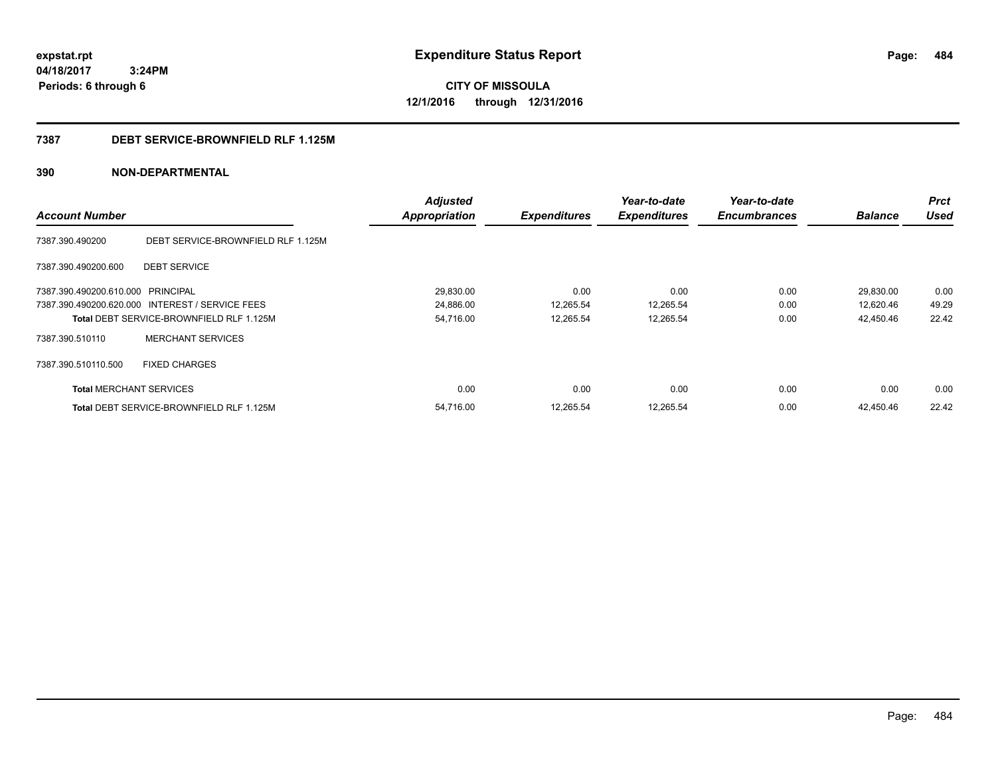**CITY OF MISSOULA 12/1/2016 through 12/31/2016**

#### **7387 DEBT SERVICE-BROWNFIELD RLF 1.125M**

|                                   |                                                 | <b>Adjusted</b>      |                     | Year-to-date        | Year-to-date        |                | <b>Prct</b> |
|-----------------------------------|-------------------------------------------------|----------------------|---------------------|---------------------|---------------------|----------------|-------------|
| <b>Account Number</b>             |                                                 | <b>Appropriation</b> | <b>Expenditures</b> | <b>Expenditures</b> | <b>Encumbrances</b> | <b>Balance</b> | <b>Used</b> |
| 7387.390.490200                   | DEBT SERVICE-BROWNFIELD RLF 1.125M              |                      |                     |                     |                     |                |             |
| 7387.390.490200.600               | <b>DEBT SERVICE</b>                             |                      |                     |                     |                     |                |             |
| 7387.390.490200.610.000 PRINCIPAL |                                                 | 29,830.00            | 0.00                | 0.00                | 0.00                | 29,830.00      | 0.00        |
|                                   | 7387.390.490200.620.000 INTEREST / SERVICE FEES | 24,886.00            | 12,265.54           | 12,265.54           | 0.00                | 12,620.46      | 49.29       |
|                                   | <b>Total DEBT SERVICE-BROWNFIELD RLF 1.125M</b> | 54,716.00            | 12,265.54           | 12,265.54           | 0.00                | 42,450.46      | 22.42       |
| 7387.390.510110                   | <b>MERCHANT SERVICES</b>                        |                      |                     |                     |                     |                |             |
| 7387.390.510110.500               | <b>FIXED CHARGES</b>                            |                      |                     |                     |                     |                |             |
| <b>Total MERCHANT SERVICES</b>    |                                                 | 0.00                 | 0.00                | 0.00                | 0.00                | 0.00           | 0.00        |
|                                   | <b>Total DEBT SERVICE-BROWNFIELD RLF 1.125M</b> | 54,716.00            | 12,265.54           | 12,265.54           | 0.00                | 42,450.46      | 22.42       |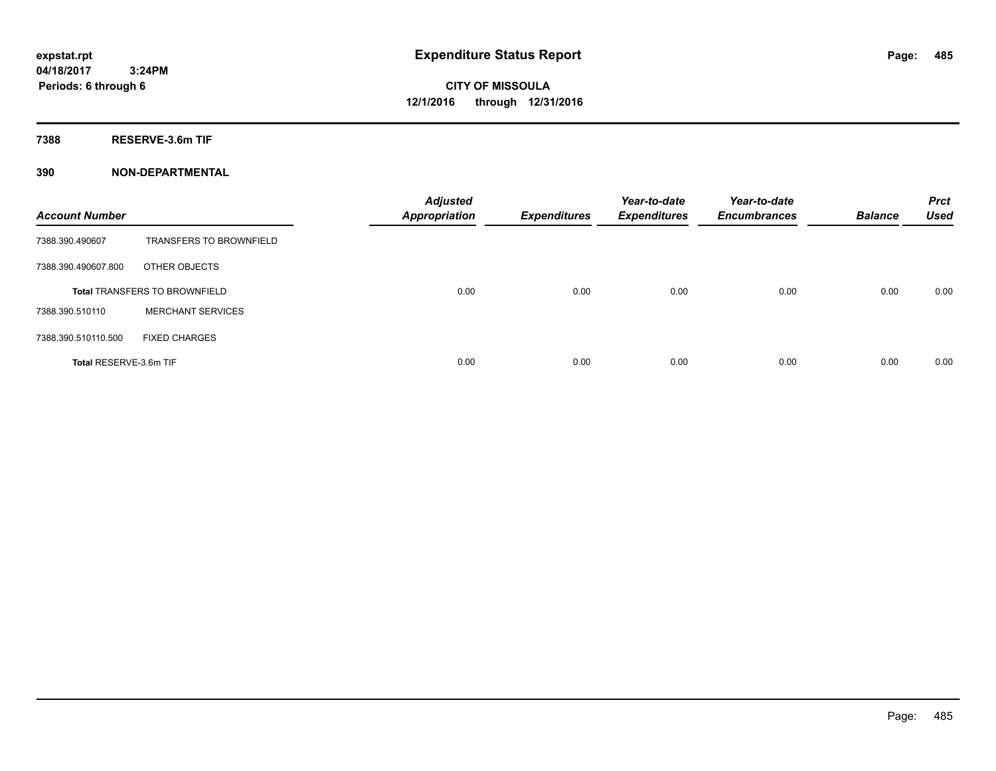**Periods: 6 through 6**

**CITY OF MISSOULA 12/1/2016 through 12/31/2016**

**7388 RESERVE-3.6m TIF**

| <b>Account Number</b>  |                                      | <b>Adjusted</b><br><b>Appropriation</b> | <b>Expenditures</b> | Year-to-date<br><b>Expenditures</b> | Year-to-date<br><b>Encumbrances</b> | <b>Balance</b> | <b>Prct</b><br><b>Used</b> |
|------------------------|--------------------------------------|-----------------------------------------|---------------------|-------------------------------------|-------------------------------------|----------------|----------------------------|
| 7388.390.490607        | <b>TRANSFERS TO BROWNFIELD</b>       |                                         |                     |                                     |                                     |                |                            |
| 7388.390.490607.800    | OTHER OBJECTS                        |                                         |                     |                                     |                                     |                |                            |
|                        | <b>Total TRANSFERS TO BROWNFIELD</b> | 0.00                                    | 0.00                | 0.00                                | 0.00                                | 0.00           | 0.00                       |
| 7388.390.510110        | <b>MERCHANT SERVICES</b>             |                                         |                     |                                     |                                     |                |                            |
| 7388.390.510110.500    | <b>FIXED CHARGES</b>                 |                                         |                     |                                     |                                     |                |                            |
| Total RESERVE-3.6m TIF |                                      | 0.00                                    | 0.00                | 0.00                                | 0.00                                | 0.00           | 0.00                       |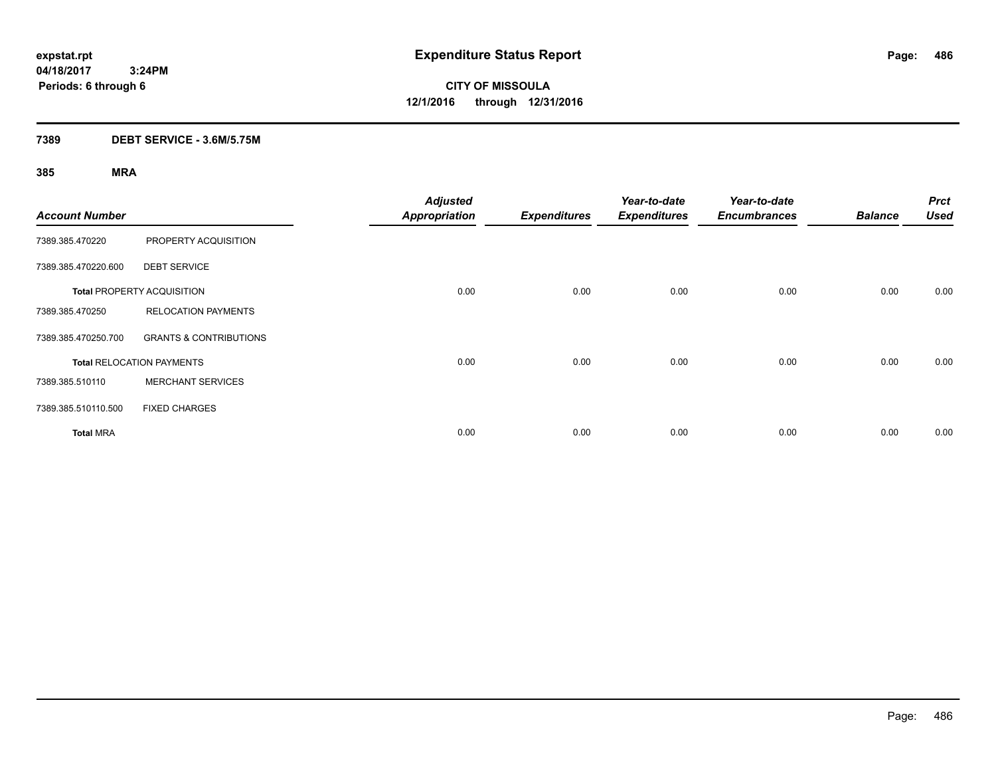**CITY OF MISSOULA 12/1/2016 through 12/31/2016**

### **7389 DEBT SERVICE - 3.6M/5.75M**

| <b>Account Number</b> |                                   | <b>Adjusted</b><br><b>Appropriation</b> | <b>Expenditures</b> | Year-to-date<br><b>Expenditures</b> | Year-to-date<br><b>Encumbrances</b> | <b>Balance</b> | <b>Prct</b><br><b>Used</b> |
|-----------------------|-----------------------------------|-----------------------------------------|---------------------|-------------------------------------|-------------------------------------|----------------|----------------------------|
| 7389.385.470220       | PROPERTY ACQUISITION              |                                         |                     |                                     |                                     |                |                            |
| 7389.385.470220.600   | <b>DEBT SERVICE</b>               |                                         |                     |                                     |                                     |                |                            |
|                       | <b>Total PROPERTY ACQUISITION</b> | 0.00                                    | 0.00                | 0.00                                | 0.00                                | 0.00           | 0.00                       |
| 7389.385.470250       | <b>RELOCATION PAYMENTS</b>        |                                         |                     |                                     |                                     |                |                            |
| 7389.385.470250.700   | <b>GRANTS &amp; CONTRIBUTIONS</b> |                                         |                     |                                     |                                     |                |                            |
|                       | <b>Total RELOCATION PAYMENTS</b>  | 0.00                                    | 0.00                | 0.00                                | 0.00                                | 0.00           | 0.00                       |
| 7389.385.510110       | <b>MERCHANT SERVICES</b>          |                                         |                     |                                     |                                     |                |                            |
| 7389.385.510110.500   | <b>FIXED CHARGES</b>              |                                         |                     |                                     |                                     |                |                            |
| <b>Total MRA</b>      |                                   | 0.00                                    | 0.00                | 0.00                                | 0.00                                | 0.00           | 0.00                       |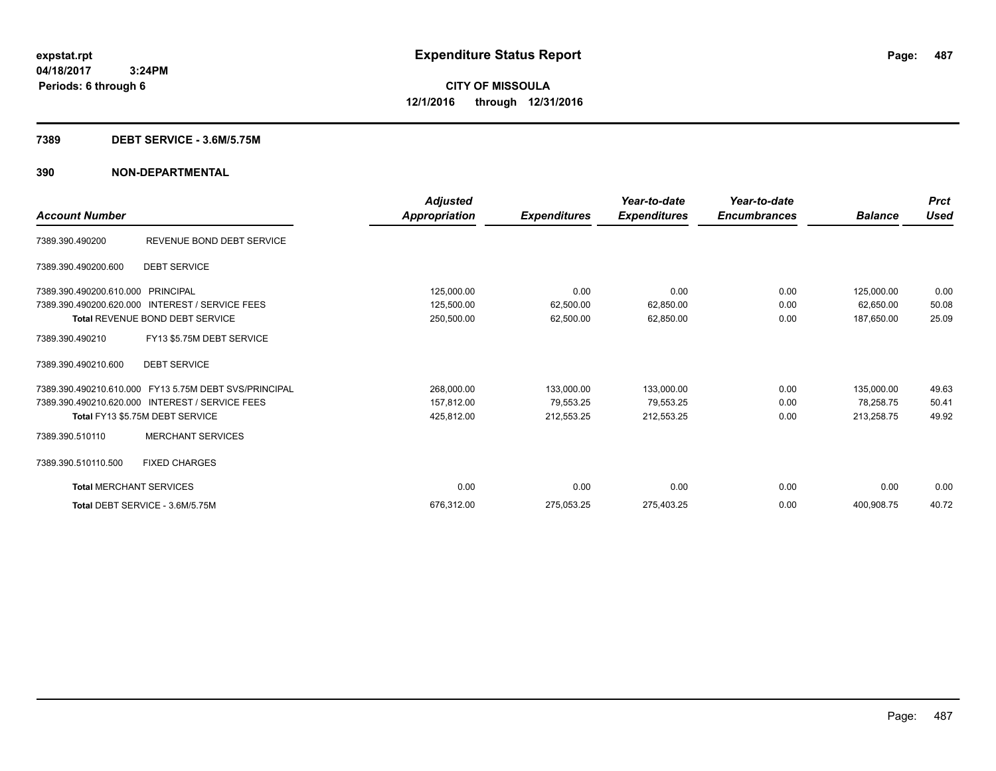#### **7389 DEBT SERVICE - 3.6M/5.75M**

| <b>Account Number</b>          |                                                       | Adjusted<br><b>Appropriation</b> | <b>Expenditures</b> | Year-to-date<br><b>Expenditures</b> | Year-to-date<br><b>Encumbrances</b> | <b>Balance</b> | <b>Prct</b><br><b>Used</b> |
|--------------------------------|-------------------------------------------------------|----------------------------------|---------------------|-------------------------------------|-------------------------------------|----------------|----------------------------|
| 7389.390.490200                | REVENUE BOND DEBT SERVICE                             |                                  |                     |                                     |                                     |                |                            |
| 7389.390.490200.600            | <b>DEBT SERVICE</b>                                   |                                  |                     |                                     |                                     |                |                            |
| 7389.390.490200.610.000        | PRINCIPAL                                             | 125,000.00                       | 0.00                | 0.00                                | 0.00                                | 125,000.00     | 0.00                       |
| 7389.390.490200.620.000        | <b>INTEREST / SERVICE FEES</b>                        | 125,500.00                       | 62,500.00           | 62,850.00                           | 0.00                                | 62,650.00      | 50.08                      |
|                                | Total REVENUE BOND DEBT SERVICE                       | 250,500.00                       | 62,500.00           | 62,850.00                           | 0.00                                | 187,650.00     | 25.09                      |
| 7389.390.490210                | FY13 \$5.75M DEBT SERVICE                             |                                  |                     |                                     |                                     |                |                            |
| 7389.390.490210.600            | <b>DEBT SERVICE</b>                                   |                                  |                     |                                     |                                     |                |                            |
|                                | 7389.390.490210.610.000 FY13 5.75M DEBT SVS/PRINCIPAL | 268,000.00                       | 133,000.00          | 133,000.00                          | 0.00                                | 135,000.00     | 49.63                      |
|                                | 7389.390.490210.620.000 INTEREST / SERVICE FEES       | 157,812.00                       | 79,553.25           | 79,553.25                           | 0.00                                | 78,258.75      | 50.41                      |
|                                | Total FY13 \$5.75M DEBT SERVICE                       | 425,812.00                       | 212,553.25          | 212,553.25                          | 0.00                                | 213,258.75     | 49.92                      |
| 7389.390.510110                | <b>MERCHANT SERVICES</b>                              |                                  |                     |                                     |                                     |                |                            |
| 7389.390.510110.500            | <b>FIXED CHARGES</b>                                  |                                  |                     |                                     |                                     |                |                            |
| <b>Total MERCHANT SERVICES</b> |                                                       | 0.00                             | 0.00                | 0.00                                | 0.00                                | 0.00           | 0.00                       |
|                                | Total DEBT SERVICE - 3.6M/5.75M                       | 676,312.00                       | 275,053.25          | 275,403.25                          | 0.00                                | 400,908.75     | 40.72                      |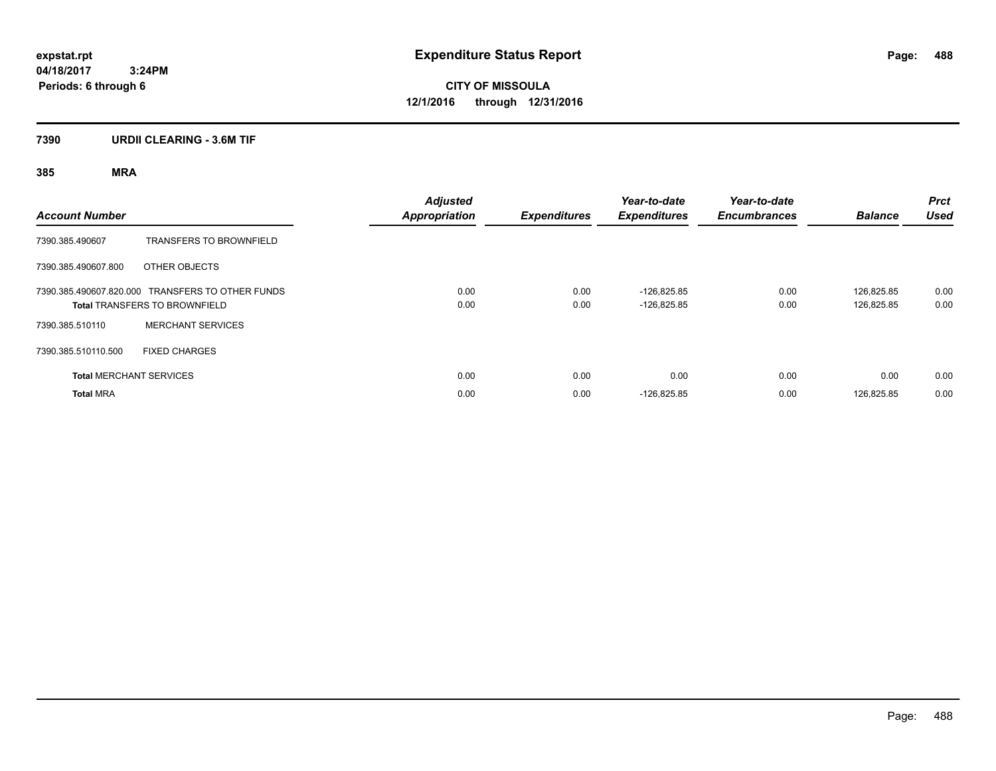**CITY OF MISSOULA 12/1/2016 through 12/31/2016**

### **7390 URDII CLEARING - 3.6M TIF**

| <b>Account Number</b> |                                                                                          | <b>Adjusted</b><br><b>Appropriation</b> | <b>Expenditures</b> | Year-to-date<br><b>Expenditures</b> | Year-to-date<br><b>Encumbrances</b> | <b>Balance</b>           | <b>Prct</b><br><b>Used</b> |
|-----------------------|------------------------------------------------------------------------------------------|-----------------------------------------|---------------------|-------------------------------------|-------------------------------------|--------------------------|----------------------------|
| 7390.385.490607       | <b>TRANSFERS TO BROWNFIELD</b>                                                           |                                         |                     |                                     |                                     |                          |                            |
| 7390.385.490607.800   | OTHER OBJECTS                                                                            |                                         |                     |                                     |                                     |                          |                            |
|                       | 7390.385.490607.820.000 TRANSFERS TO OTHER FUNDS<br><b>Total TRANSFERS TO BROWNFIELD</b> | 0.00<br>0.00                            | 0.00<br>0.00        | $-126.825.85$<br>$-126.825.85$      | 0.00<br>0.00                        | 126.825.85<br>126.825.85 | 0.00<br>0.00               |
| 7390.385.510110       | <b>MERCHANT SERVICES</b>                                                                 |                                         |                     |                                     |                                     |                          |                            |
| 7390.385.510110.500   | <b>FIXED CHARGES</b>                                                                     |                                         |                     |                                     |                                     |                          |                            |
|                       | <b>Total MERCHANT SERVICES</b>                                                           | 0.00                                    | 0.00                | 0.00                                | 0.00                                | 0.00                     | 0.00                       |
| <b>Total MRA</b>      |                                                                                          | 0.00                                    | 0.00                | $-126,825.85$                       | 0.00                                | 126.825.85               | 0.00                       |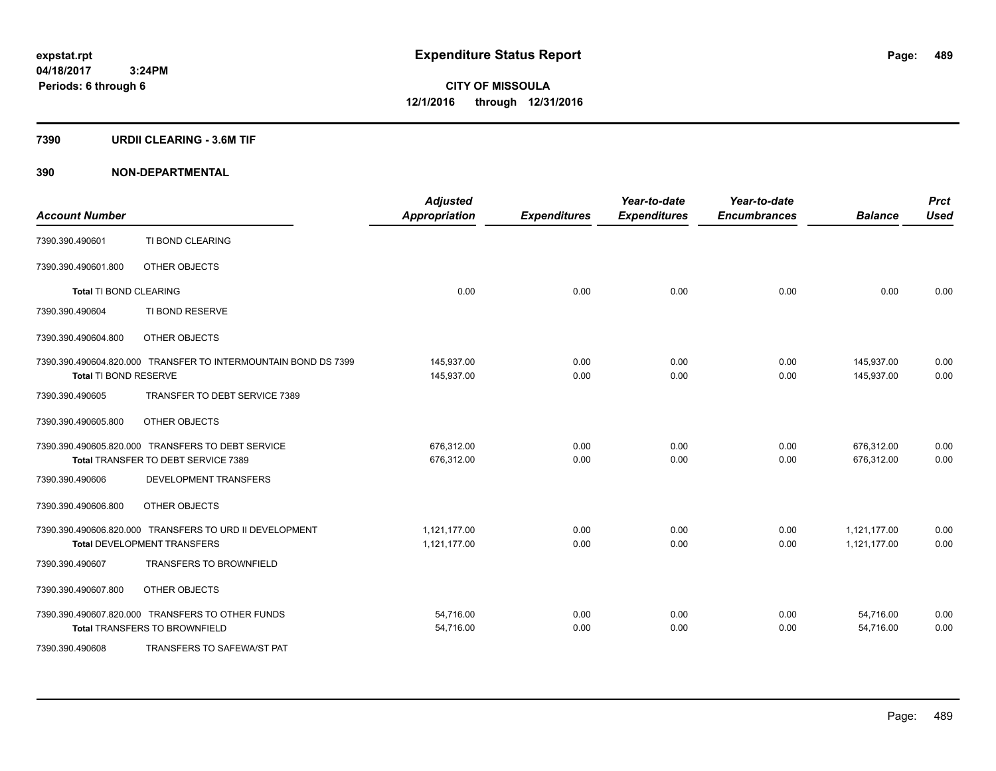#### **7390 URDII CLEARING - 3.6M TIF**

| <b>Account Number</b>         |                                                                | <b>Adjusted</b><br><b>Appropriation</b> | <b>Expenditures</b> | Year-to-date<br><b>Expenditures</b> | Year-to-date<br><b>Encumbrances</b> | <b>Balance</b> | <b>Prct</b><br><b>Used</b> |
|-------------------------------|----------------------------------------------------------------|-----------------------------------------|---------------------|-------------------------------------|-------------------------------------|----------------|----------------------------|
| 7390.390.490601               | TI BOND CLEARING                                               |                                         |                     |                                     |                                     |                |                            |
| 7390.390.490601.800           | OTHER OBJECTS                                                  |                                         |                     |                                     |                                     |                |                            |
| <b>Total TI BOND CLEARING</b> |                                                                | 0.00                                    | 0.00                | 0.00                                | 0.00                                | 0.00           | 0.00                       |
| 7390.390.490604               | TI BOND RESERVE                                                |                                         |                     |                                     |                                     |                |                            |
| 7390.390.490604.800           | OTHER OBJECTS                                                  |                                         |                     |                                     |                                     |                |                            |
|                               | 7390.390.490604.820.000 TRANSFER TO INTERMOUNTAIN BOND DS 7399 | 145,937.00                              | 0.00                | 0.00                                | 0.00                                | 145,937.00     | 0.00                       |
| Total TI BOND RESERVE         |                                                                | 145,937.00                              | 0.00                | 0.00                                | 0.00                                | 145,937.00     | 0.00                       |
| 7390.390.490605               | TRANSFER TO DEBT SERVICE 7389                                  |                                         |                     |                                     |                                     |                |                            |
| 7390.390.490605.800           | OTHER OBJECTS                                                  |                                         |                     |                                     |                                     |                |                            |
|                               | 7390.390.490605.820.000 TRANSFERS TO DEBT SERVICE              | 676,312.00                              | 0.00                | 0.00                                | 0.00                                | 676,312.00     | 0.00                       |
|                               | Total TRANSFER TO DEBT SERVICE 7389                            | 676,312.00                              | 0.00                | 0.00                                | 0.00                                | 676,312.00     | 0.00                       |
| 7390.390.490606               | DEVELOPMENT TRANSFERS                                          |                                         |                     |                                     |                                     |                |                            |
| 7390.390.490606.800           | OTHER OBJECTS                                                  |                                         |                     |                                     |                                     |                |                            |
|                               | 7390.390.490606.820.000 TRANSFERS TO URD II DEVELOPMENT        | 1,121,177.00                            | 0.00                | 0.00                                | 0.00                                | 1,121,177.00   | 0.00                       |
|                               | Total DEVELOPMENT TRANSFERS                                    | 1,121,177.00                            | 0.00                | 0.00                                | 0.00                                | 1,121,177.00   | 0.00                       |
| 7390.390.490607               | <b>TRANSFERS TO BROWNFIELD</b>                                 |                                         |                     |                                     |                                     |                |                            |
| 7390.390.490607.800           | OTHER OBJECTS                                                  |                                         |                     |                                     |                                     |                |                            |
|                               | 7390.390.490607.820.000 TRANSFERS TO OTHER FUNDS               | 54,716.00                               | 0.00                | 0.00                                | 0.00                                | 54,716.00      | 0.00                       |
|                               | <b>Total TRANSFERS TO BROWNFIELD</b>                           | 54,716.00                               | 0.00                | 0.00                                | 0.00                                | 54,716.00      | 0.00                       |
| 7390.390.490608               | TRANSFERS TO SAFEWA/ST PAT                                     |                                         |                     |                                     |                                     |                |                            |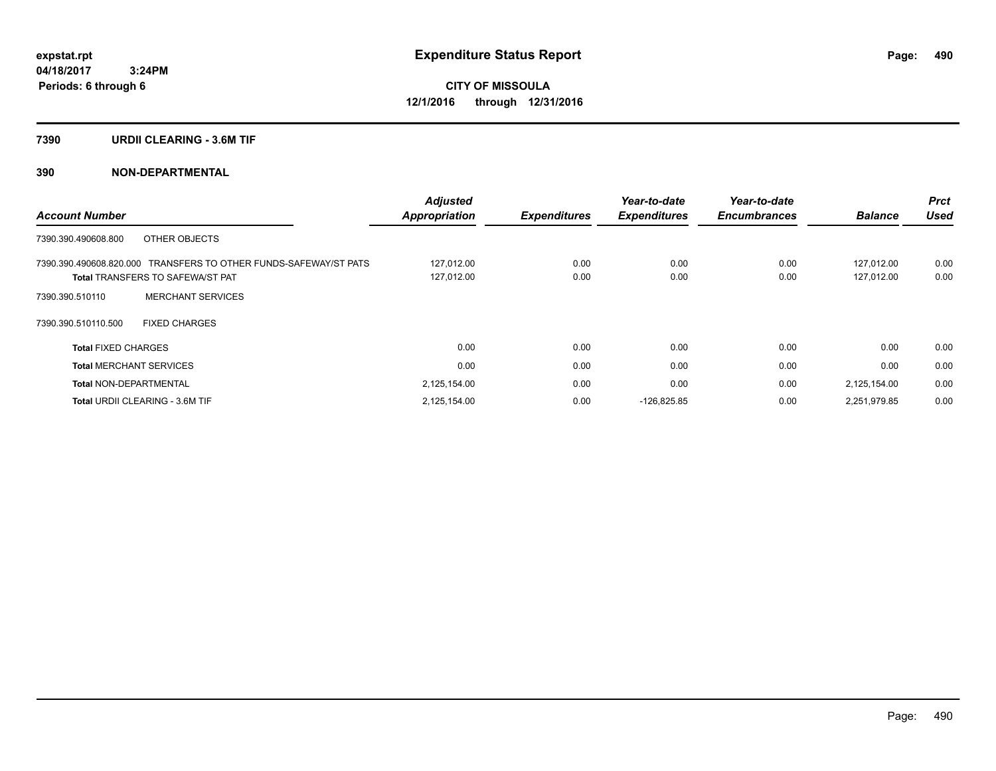#### **7390 URDII CLEARING - 3.6M TIF**

| <b>Account Number</b>                                            | <b>Adjusted</b>      |                     | Year-to-date        | Year-to-date        |                | <b>Prct</b> |
|------------------------------------------------------------------|----------------------|---------------------|---------------------|---------------------|----------------|-------------|
|                                                                  | <b>Appropriation</b> | <b>Expenditures</b> | <b>Expenditures</b> | <b>Encumbrances</b> | <b>Balance</b> | Used        |
| OTHER OBJECTS<br>7390.390.490608.800                             |                      |                     |                     |                     |                |             |
| 7390.390.490608.820.000 TRANSFERS TO OTHER FUNDS-SAFEWAY/ST PATS | 127,012.00           | 0.00                | 0.00                | 0.00                | 127.012.00     | 0.00        |
| <b>Total TRANSFERS TO SAFEWA/ST PAT</b>                          | 127,012.00           | 0.00                | 0.00                | 0.00                | 127.012.00     | 0.00        |
| <b>MERCHANT SERVICES</b><br>7390.390.510110                      |                      |                     |                     |                     |                |             |
| <b>FIXED CHARGES</b><br>7390.390.510110.500                      |                      |                     |                     |                     |                |             |
| <b>Total FIXED CHARGES</b>                                       | 0.00                 | 0.00                | 0.00                | 0.00                | 0.00           | 0.00        |
| <b>Total MERCHANT SERVICES</b>                                   | 0.00                 | 0.00                | 0.00                | 0.00                | 0.00           | 0.00        |
| <b>Total NON-DEPARTMENTAL</b>                                    | 2,125,154.00         | 0.00                | 0.00                | 0.00                | 2,125,154.00   | 0.00        |
| <b>Total URDII CLEARING - 3.6M TIF</b>                           | 2,125,154.00         | 0.00                | $-126.825.85$       | 0.00                | 2,251,979.85   | 0.00        |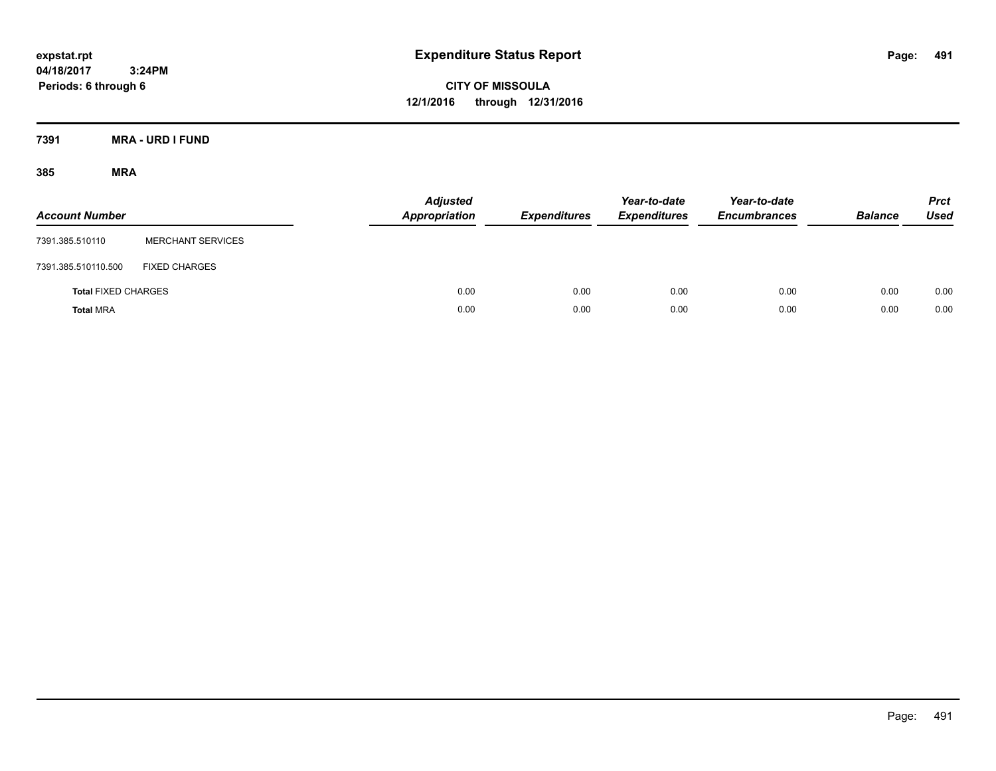**CITY OF MISSOULA 12/1/2016 through 12/31/2016**

**7391 MRA - URD I FUND**

| <b>Account Number</b>      |                          | <b>Adjusted</b><br><b>Appropriation</b> | <b>Expenditures</b> | Year-to-date<br><b>Expenditures</b> | Year-to-date<br><b>Encumbrances</b> | <b>Balance</b> | <b>Prct</b><br>Used |
|----------------------------|--------------------------|-----------------------------------------|---------------------|-------------------------------------|-------------------------------------|----------------|---------------------|
| 7391.385.510110            | <b>MERCHANT SERVICES</b> |                                         |                     |                                     |                                     |                |                     |
| 7391.385.510110.500        | <b>FIXED CHARGES</b>     |                                         |                     |                                     |                                     |                |                     |
| <b>Total FIXED CHARGES</b> |                          | 0.00                                    | 0.00                | 0.00                                | 0.00                                | 0.00           | 0.00                |
| <b>Total MRA</b>           |                          | 0.00                                    | 0.00                | 0.00                                | 0.00                                | 0.00           | 0.00                |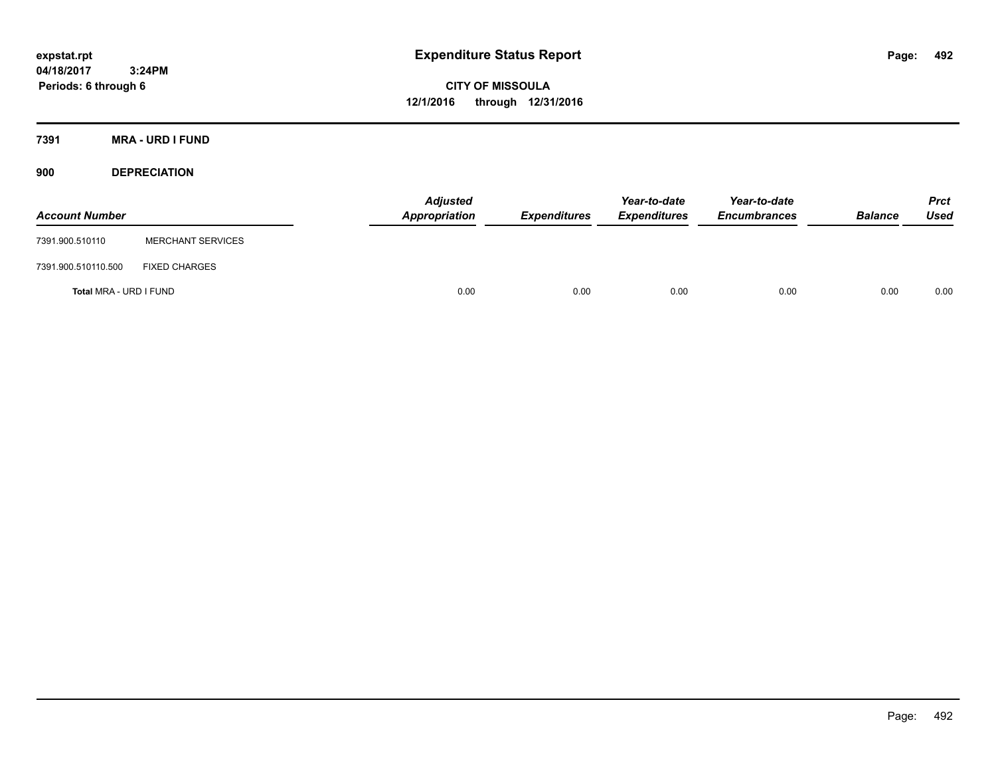**CITY OF MISSOULA 12/1/2016 through 12/31/2016**

**7391 MRA - URD I FUND**

**900 DEPRECIATION**

| <b>Account Number</b>  |                          | <b>Adjusted</b><br>Appropriation | <b>Expenditures</b> | Year-to-date<br><b>Expenditures</b> | Year-to-date<br><b>Encumbrances</b> | <b>Balance</b> | Prct<br><b>Used</b> |
|------------------------|--------------------------|----------------------------------|---------------------|-------------------------------------|-------------------------------------|----------------|---------------------|
| 7391.900.510110        | <b>MERCHANT SERVICES</b> |                                  |                     |                                     |                                     |                |                     |
| 7391.900.510110.500    | <b>FIXED CHARGES</b>     |                                  |                     |                                     |                                     |                |                     |
| Total MRA - URD I FUND |                          | 0.00                             | 0.00                | 0.00                                | 0.00                                | 0.00           | 0.00                |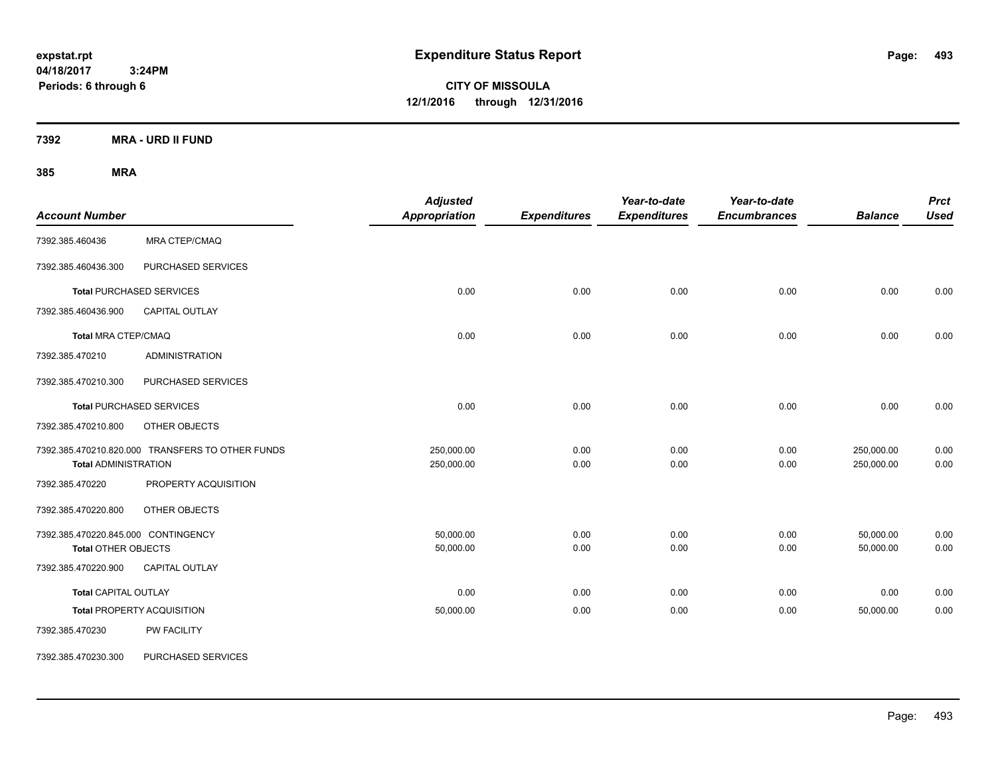**CITY OF MISSOULA 12/1/2016 through 12/31/2016**

**7392 MRA - URD II FUND**

| <b>Account Number</b>                                             |                                                  | <b>Adjusted</b><br>Appropriation | <b>Expenditures</b> | Year-to-date<br><b>Expenditures</b> | Year-to-date<br><b>Encumbrances</b> | <b>Balance</b>           | <b>Prct</b><br><b>Used</b> |
|-------------------------------------------------------------------|--------------------------------------------------|----------------------------------|---------------------|-------------------------------------|-------------------------------------|--------------------------|----------------------------|
| 7392.385.460436                                                   | MRA CTEP/CMAQ                                    |                                  |                     |                                     |                                     |                          |                            |
| 7392.385.460436.300                                               | PURCHASED SERVICES                               |                                  |                     |                                     |                                     |                          |                            |
|                                                                   | <b>Total PURCHASED SERVICES</b>                  | 0.00                             | 0.00                | 0.00                                | 0.00                                | 0.00                     | 0.00                       |
| 7392.385.460436.900                                               | <b>CAPITAL OUTLAY</b>                            |                                  |                     |                                     |                                     |                          |                            |
| <b>Total MRA CTEP/CMAQ</b>                                        |                                                  | 0.00                             | 0.00                | 0.00                                | 0.00                                | 0.00                     | 0.00                       |
| 7392.385.470210                                                   | <b>ADMINISTRATION</b>                            |                                  |                     |                                     |                                     |                          |                            |
| 7392.385.470210.300                                               | PURCHASED SERVICES                               |                                  |                     |                                     |                                     |                          |                            |
|                                                                   | <b>Total PURCHASED SERVICES</b>                  | 0.00                             | 0.00                | 0.00                                | 0.00                                | 0.00                     | 0.00                       |
| 7392.385.470210.800                                               | OTHER OBJECTS                                    |                                  |                     |                                     |                                     |                          |                            |
| <b>Total ADMINISTRATION</b>                                       | 7392.385.470210.820.000 TRANSFERS TO OTHER FUNDS | 250,000.00<br>250,000.00         | 0.00<br>0.00        | 0.00<br>0.00                        | 0.00<br>0.00                        | 250,000.00<br>250,000.00 | 0.00<br>0.00               |
| 7392.385.470220                                                   | PROPERTY ACQUISITION                             |                                  |                     |                                     |                                     |                          |                            |
| 7392.385.470220.800                                               | OTHER OBJECTS                                    |                                  |                     |                                     |                                     |                          |                            |
| 7392.385.470220.845.000 CONTINGENCY<br><b>Total OTHER OBJECTS</b> |                                                  | 50,000.00<br>50,000.00           | 0.00<br>0.00        | 0.00<br>0.00                        | 0.00<br>0.00                        | 50,000.00<br>50,000.00   | 0.00<br>0.00               |
| 7392.385.470220.900                                               | <b>CAPITAL OUTLAY</b>                            |                                  |                     |                                     |                                     |                          |                            |
| <b>Total CAPITAL OUTLAY</b>                                       |                                                  | 0.00                             | 0.00                | 0.00                                | 0.00                                | 0.00                     | 0.00                       |
|                                                                   | <b>Total PROPERTY ACQUISITION</b>                | 50,000.00                        | 0.00                | 0.00                                | 0.00                                | 50,000.00                | 0.00                       |
| 7392.385.470230                                                   | PW FACILITY                                      |                                  |                     |                                     |                                     |                          |                            |
| 7392.385.470230.300                                               | PURCHASED SERVICES                               |                                  |                     |                                     |                                     |                          |                            |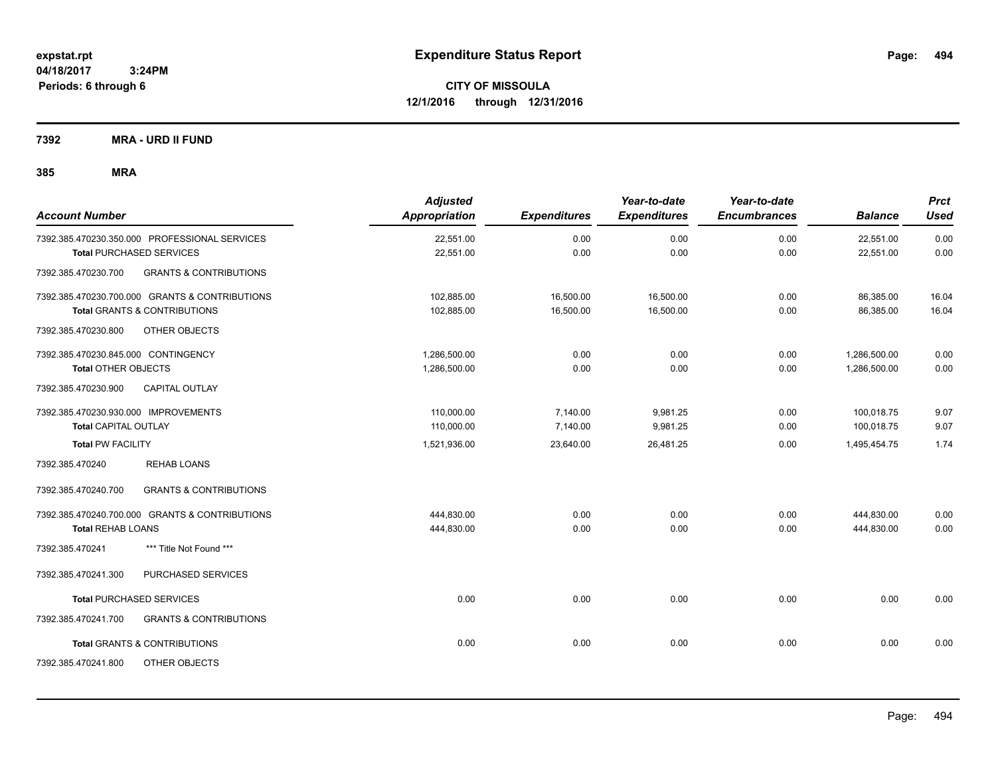**CITY OF MISSOULA 12/1/2016 through 12/31/2016**

**7392 MRA - URD II FUND**

| <b>Account Number</b>                                    | <b>Adjusted</b><br><b>Appropriation</b> | <b>Expenditures</b> | Year-to-date<br><b>Expenditures</b> | Year-to-date<br><b>Encumbrances</b> | <b>Balance</b> | <b>Prct</b><br><b>Used</b> |
|----------------------------------------------------------|-----------------------------------------|---------------------|-------------------------------------|-------------------------------------|----------------|----------------------------|
| 7392.385.470230.350.000 PROFESSIONAL SERVICES            | 22,551.00                               | 0.00                | 0.00                                | 0.00                                | 22,551.00      | 0.00                       |
| <b>Total PURCHASED SERVICES</b>                          | 22,551.00                               | 0.00                | 0.00                                | 0.00                                | 22,551.00      | 0.00                       |
| <b>GRANTS &amp; CONTRIBUTIONS</b><br>7392.385.470230.700 |                                         |                     |                                     |                                     |                |                            |
| 7392.385.470230.700.000 GRANTS & CONTRIBUTIONS           | 102,885.00                              | 16,500.00           | 16,500.00                           | 0.00                                | 86,385.00      | 16.04                      |
| <b>Total GRANTS &amp; CONTRIBUTIONS</b>                  | 102,885.00                              | 16,500.00           | 16,500.00                           | 0.00                                | 86,385.00      | 16.04                      |
| 7392.385.470230.800<br>OTHER OBJECTS                     |                                         |                     |                                     |                                     |                |                            |
| 7392.385.470230.845.000 CONTINGENCY                      | 1,286,500.00                            | 0.00                | 0.00                                | 0.00                                | 1,286,500.00   | 0.00                       |
| <b>Total OTHER OBJECTS</b>                               | 1,286,500.00                            | 0.00                | 0.00                                | 0.00                                | 1,286,500.00   | 0.00                       |
| 7392.385.470230.900<br>CAPITAL OUTLAY                    |                                         |                     |                                     |                                     |                |                            |
| 7392.385.470230.930.000 IMPROVEMENTS                     | 110,000.00                              | 7,140.00            | 9,981.25                            | 0.00                                | 100,018.75     | 9.07                       |
| <b>Total CAPITAL OUTLAY</b>                              | 110,000.00                              | 7,140.00            | 9,981.25                            | 0.00                                | 100,018.75     | 9.07                       |
| <b>Total PW FACILITY</b>                                 | 1,521,936.00                            | 23,640.00           | 26,481.25                           | 0.00                                | 1,495,454.75   | 1.74                       |
| <b>REHAB LOANS</b><br>7392.385.470240                    |                                         |                     |                                     |                                     |                |                            |
| <b>GRANTS &amp; CONTRIBUTIONS</b><br>7392.385.470240.700 |                                         |                     |                                     |                                     |                |                            |
| 7392.385.470240.700.000 GRANTS & CONTRIBUTIONS           | 444.830.00                              | 0.00                | 0.00                                | 0.00                                | 444,830.00     | 0.00                       |
| <b>Total REHAB LOANS</b>                                 | 444,830.00                              | 0.00                | 0.00                                | 0.00                                | 444,830.00     | 0.00                       |
| 7392.385.470241<br>*** Title Not Found ***               |                                         |                     |                                     |                                     |                |                            |
| PURCHASED SERVICES<br>7392.385.470241.300                |                                         |                     |                                     |                                     |                |                            |
| <b>Total PURCHASED SERVICES</b>                          | 0.00                                    | 0.00                | 0.00                                | 0.00                                | 0.00           | 0.00                       |
| 7392.385.470241.700<br><b>GRANTS &amp; CONTRIBUTIONS</b> |                                         |                     |                                     |                                     |                |                            |
| <b>Total GRANTS &amp; CONTRIBUTIONS</b>                  | 0.00                                    | 0.00                | 0.00                                | 0.00                                | 0.00           | 0.00                       |
| 7392.385.470241.800<br>OTHER OBJECTS                     |                                         |                     |                                     |                                     |                |                            |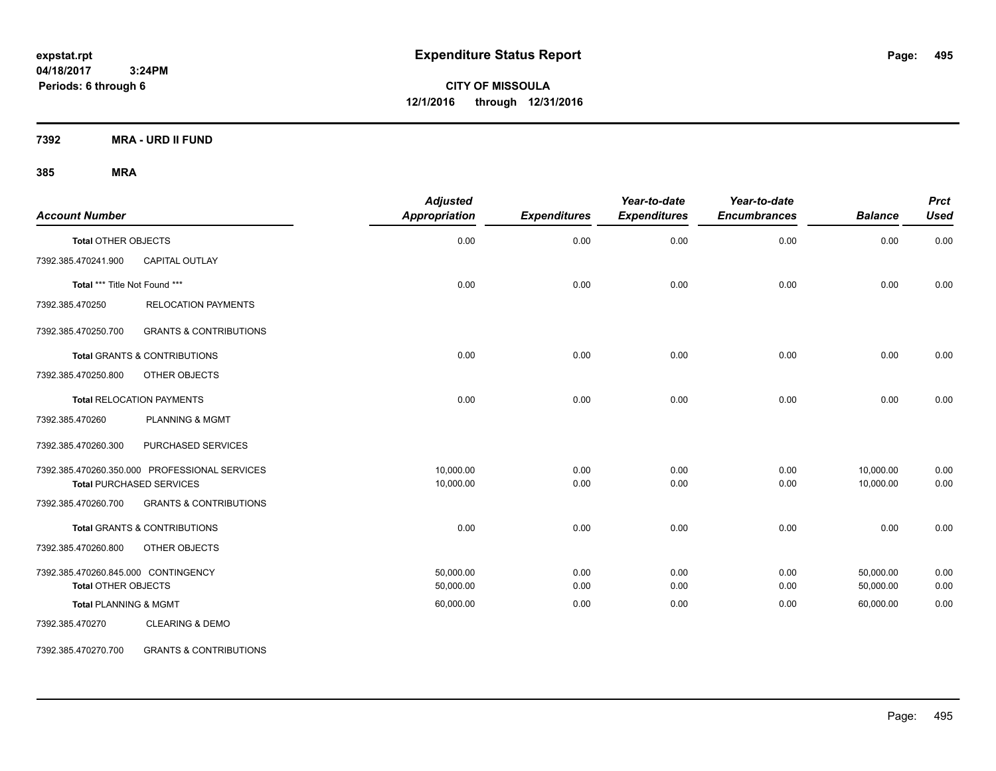**CITY OF MISSOULA 12/1/2016 through 12/31/2016**

**7392 MRA - URD II FUND**

### **385 MRA**

| <b>Account Number</b>               |                                               | <b>Adjusted</b><br>Appropriation | <b>Expenditures</b> | Year-to-date<br><b>Expenditures</b> | Year-to-date<br><b>Encumbrances</b> | <b>Balance</b> | <b>Prct</b><br><b>Used</b> |
|-------------------------------------|-----------------------------------------------|----------------------------------|---------------------|-------------------------------------|-------------------------------------|----------------|----------------------------|
| <b>Total OTHER OBJECTS</b>          |                                               | 0.00                             | 0.00                | 0.00                                | 0.00                                | 0.00           | 0.00                       |
| 7392.385.470241.900                 | CAPITAL OUTLAY                                |                                  |                     |                                     |                                     |                |                            |
| Total *** Title Not Found ***       |                                               | 0.00                             | 0.00                | 0.00                                | 0.00                                | 0.00           | 0.00                       |
| 7392.385.470250                     | <b>RELOCATION PAYMENTS</b>                    |                                  |                     |                                     |                                     |                |                            |
| 7392.385.470250.700                 | <b>GRANTS &amp; CONTRIBUTIONS</b>             |                                  |                     |                                     |                                     |                |                            |
|                                     | Total GRANTS & CONTRIBUTIONS                  | 0.00                             | 0.00                | 0.00                                | 0.00                                | 0.00           | 0.00                       |
| 7392.385.470250.800                 | OTHER OBJECTS                                 |                                  |                     |                                     |                                     |                |                            |
|                                     | <b>Total RELOCATION PAYMENTS</b>              | 0.00                             | 0.00                | 0.00                                | 0.00                                | 0.00           | 0.00                       |
| 7392.385.470260                     | <b>PLANNING &amp; MGMT</b>                    |                                  |                     |                                     |                                     |                |                            |
| 7392.385.470260.300                 | PURCHASED SERVICES                            |                                  |                     |                                     |                                     |                |                            |
|                                     | 7392.385.470260.350.000 PROFESSIONAL SERVICES | 10,000.00                        | 0.00                | 0.00                                | 0.00                                | 10,000.00      | 0.00                       |
|                                     | <b>Total PURCHASED SERVICES</b>               | 10,000.00                        | 0.00                | 0.00                                | 0.00                                | 10,000.00      | 0.00                       |
| 7392.385.470260.700                 | <b>GRANTS &amp; CONTRIBUTIONS</b>             |                                  |                     |                                     |                                     |                |                            |
|                                     | <b>Total GRANTS &amp; CONTRIBUTIONS</b>       | 0.00                             | 0.00                | 0.00                                | 0.00                                | 0.00           | 0.00                       |
| 7392.385.470260.800                 | OTHER OBJECTS                                 |                                  |                     |                                     |                                     |                |                            |
| 7392.385.470260.845.000 CONTINGENCY |                                               | 50,000.00                        | 0.00                | 0.00                                | 0.00                                | 50,000.00      | 0.00                       |
| <b>Total OTHER OBJECTS</b>          |                                               | 50,000.00                        | 0.00                | 0.00                                | 0.00                                | 50,000.00      | 0.00                       |
| <b>Total PLANNING &amp; MGMT</b>    |                                               | 60,000.00                        | 0.00                | 0.00                                | 0.00                                | 60,000.00      | 0.00                       |
| 7392.385.470270                     | <b>CLEARING &amp; DEMO</b>                    |                                  |                     |                                     |                                     |                |                            |

7392.385.470270.700 GRANTS & CONTRIBUTIONS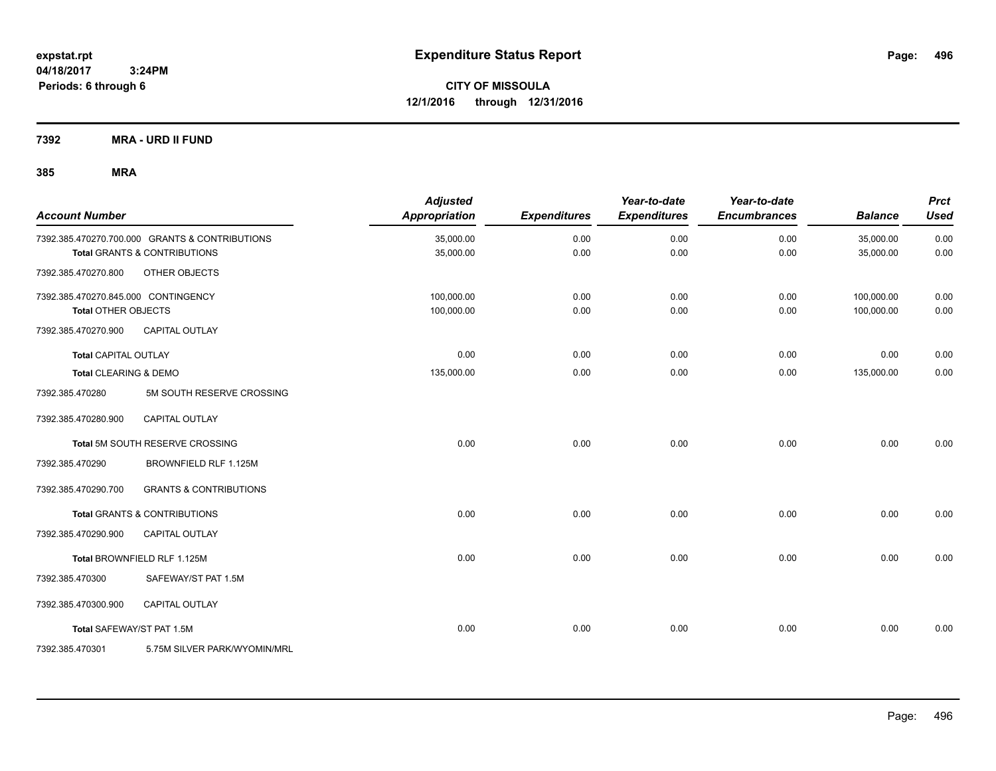**CITY OF MISSOULA 12/1/2016 through 12/31/2016**

**7392 MRA - URD II FUND**

| <b>Account Number</b>               |                                                | <b>Adjusted</b><br>Appropriation | <b>Expenditures</b> | Year-to-date<br><b>Expenditures</b> | Year-to-date<br><b>Encumbrances</b> | <b>Balance</b> | <b>Prct</b><br><b>Used</b> |
|-------------------------------------|------------------------------------------------|----------------------------------|---------------------|-------------------------------------|-------------------------------------|----------------|----------------------------|
|                                     | 7392.385.470270.700.000 GRANTS & CONTRIBUTIONS | 35,000.00                        | 0.00                | 0.00                                | 0.00                                | 35,000.00      | 0.00                       |
|                                     | <b>Total GRANTS &amp; CONTRIBUTIONS</b>        | 35,000.00                        | 0.00                | 0.00                                | 0.00                                | 35,000.00      | 0.00                       |
| 7392.385.470270.800                 | OTHER OBJECTS                                  |                                  |                     |                                     |                                     |                |                            |
| 7392.385.470270.845.000 CONTINGENCY |                                                | 100,000.00                       | 0.00                | 0.00                                | 0.00                                | 100,000.00     | 0.00                       |
| <b>Total OTHER OBJECTS</b>          |                                                | 100,000.00                       | 0.00                | 0.00                                | 0.00                                | 100,000.00     | 0.00                       |
| 7392.385.470270.900                 | CAPITAL OUTLAY                                 |                                  |                     |                                     |                                     |                |                            |
| <b>Total CAPITAL OUTLAY</b>         |                                                | 0.00                             | 0.00                | 0.00                                | 0.00                                | 0.00           | 0.00                       |
| Total CLEARING & DEMO               |                                                | 135,000.00                       | 0.00                | 0.00                                | 0.00                                | 135,000.00     | 0.00                       |
| 7392.385.470280                     | 5M SOUTH RESERVE CROSSING                      |                                  |                     |                                     |                                     |                |                            |
| 7392.385.470280.900                 | CAPITAL OUTLAY                                 |                                  |                     |                                     |                                     |                |                            |
|                                     | Total 5M SOUTH RESERVE CROSSING                | 0.00                             | 0.00                | 0.00                                | 0.00                                | 0.00           | 0.00                       |
| 7392.385.470290                     | BROWNFIELD RLF 1.125M                          |                                  |                     |                                     |                                     |                |                            |
| 7392.385.470290.700                 | <b>GRANTS &amp; CONTRIBUTIONS</b>              |                                  |                     |                                     |                                     |                |                            |
|                                     | Total GRANTS & CONTRIBUTIONS                   | 0.00                             | 0.00                | 0.00                                | 0.00                                | 0.00           | 0.00                       |
| 7392.385.470290.900                 | <b>CAPITAL OUTLAY</b>                          |                                  |                     |                                     |                                     |                |                            |
|                                     | Total BROWNFIELD RLF 1.125M                    | 0.00                             | 0.00                | 0.00                                | 0.00                                | 0.00           | 0.00                       |
| 7392.385.470300                     | SAFEWAY/ST PAT 1.5M                            |                                  |                     |                                     |                                     |                |                            |
| 7392.385.470300.900                 | <b>CAPITAL OUTLAY</b>                          |                                  |                     |                                     |                                     |                |                            |
| Total SAFEWAY/ST PAT 1.5M           |                                                | 0.00                             | 0.00                | 0.00                                | 0.00                                | 0.00           | 0.00                       |
| 7392.385.470301                     | 5.75M SILVER PARK/WYOMIN/MRL                   |                                  |                     |                                     |                                     |                |                            |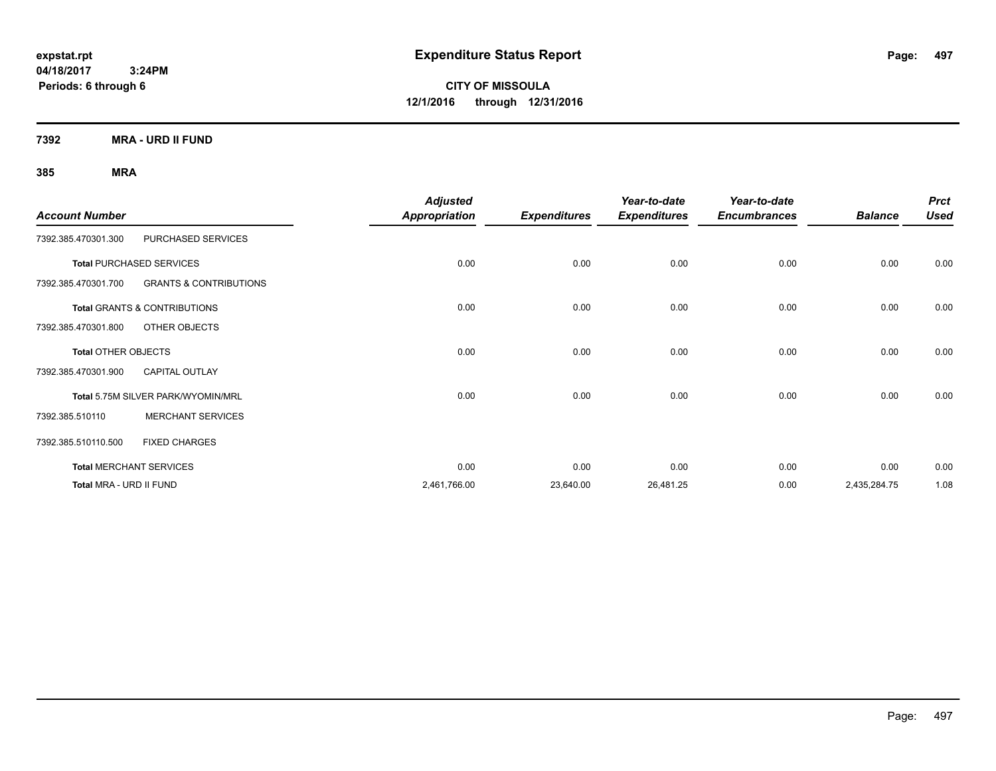**CITY OF MISSOULA 12/1/2016 through 12/31/2016**

**7392 MRA - URD II FUND**

| <b>Account Number</b>           |                                         | <b>Adjusted</b><br><b>Appropriation</b> | <b>Expenditures</b> | Year-to-date<br><b>Expenditures</b> | Year-to-date<br><b>Encumbrances</b> | <b>Balance</b> | <b>Prct</b><br><b>Used</b> |
|---------------------------------|-----------------------------------------|-----------------------------------------|---------------------|-------------------------------------|-------------------------------------|----------------|----------------------------|
| 7392.385.470301.300             | PURCHASED SERVICES                      |                                         |                     |                                     |                                     |                |                            |
| <b>Total PURCHASED SERVICES</b> |                                         | 0.00                                    | 0.00                | 0.00                                | 0.00                                | 0.00           | 0.00                       |
| 7392.385.470301.700             | <b>GRANTS &amp; CONTRIBUTIONS</b>       |                                         |                     |                                     |                                     |                |                            |
|                                 | <b>Total GRANTS &amp; CONTRIBUTIONS</b> | 0.00                                    | 0.00                | 0.00                                | 0.00                                | 0.00           | 0.00                       |
| 7392.385.470301.800             | OTHER OBJECTS                           |                                         |                     |                                     |                                     |                |                            |
| <b>Total OTHER OBJECTS</b>      |                                         | 0.00                                    | 0.00                | 0.00                                | 0.00                                | 0.00           | 0.00                       |
| 7392.385.470301.900             | <b>CAPITAL OUTLAY</b>                   |                                         |                     |                                     |                                     |                |                            |
|                                 | Total 5.75M SILVER PARK/WYOMIN/MRL      | 0.00                                    | 0.00                | 0.00                                | 0.00                                | 0.00           | 0.00                       |
| 7392.385.510110                 | <b>MERCHANT SERVICES</b>                |                                         |                     |                                     |                                     |                |                            |
| 7392.385.510110.500             | <b>FIXED CHARGES</b>                    |                                         |                     |                                     |                                     |                |                            |
| <b>Total MERCHANT SERVICES</b>  |                                         | 0.00                                    | 0.00                | 0.00                                | 0.00                                | 0.00           | 0.00                       |
| Total MRA - URD II FUND         |                                         | 2,461,766.00                            | 23,640.00           | 26,481.25                           | 0.00                                | 2,435,284.75   | 1.08                       |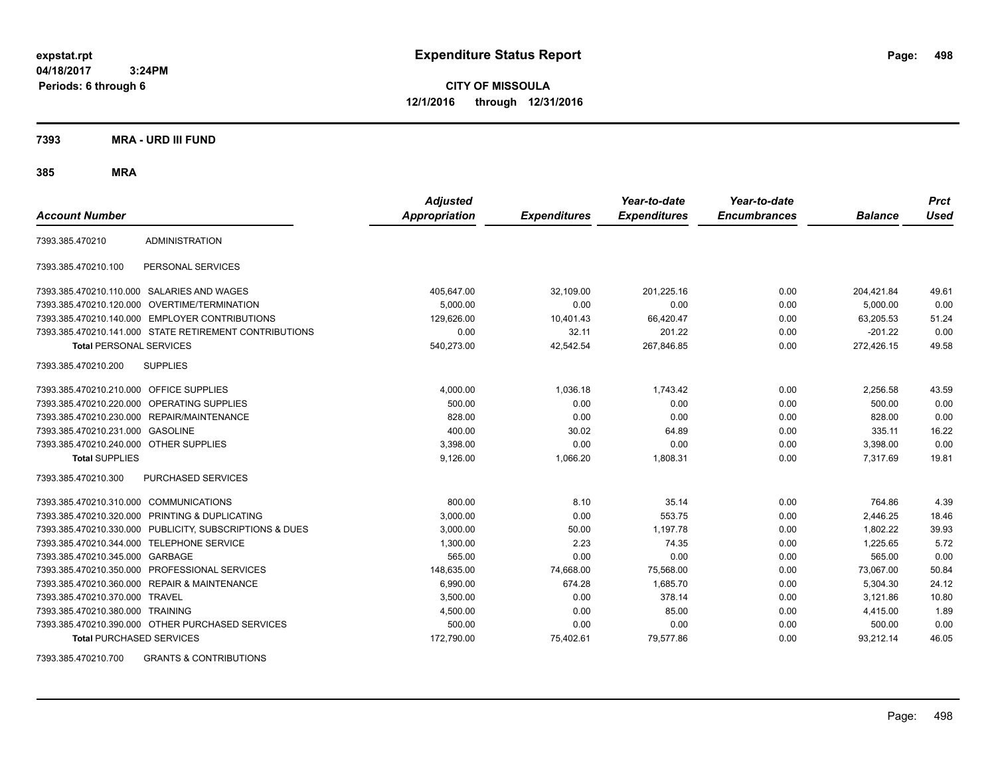**CITY OF MISSOULA 12/1/2016 through 12/31/2016**

**7393 MRA - URD III FUND**

**385 MRA**

| <b>Account Number</b>                     |                                                         | <b>Adjusted</b><br><b>Appropriation</b> | <b>Expenditures</b> | Year-to-date<br><b>Expenditures</b> | Year-to-date<br><b>Encumbrances</b> | <b>Balance</b> | <b>Prct</b><br><b>Used</b> |
|-------------------------------------------|---------------------------------------------------------|-----------------------------------------|---------------------|-------------------------------------|-------------------------------------|----------------|----------------------------|
|                                           |                                                         |                                         |                     |                                     |                                     |                |                            |
| 7393.385.470210                           | <b>ADMINISTRATION</b>                                   |                                         |                     |                                     |                                     |                |                            |
| 7393.385.470210.100                       | PERSONAL SERVICES                                       |                                         |                     |                                     |                                     |                |                            |
|                                           | 7393.385.470210.110.000 SALARIES AND WAGES              | 405,647.00                              | 32,109.00           | 201.225.16                          | 0.00                                | 204.421.84     | 49.61                      |
| 7393.385.470210.120.000                   | OVERTIME/TERMINATION                                    | 5,000.00                                | 0.00                | 0.00                                | 0.00                                | 5,000.00       | 0.00                       |
|                                           | 7393.385.470210.140.000 EMPLOYER CONTRIBUTIONS          | 129,626.00                              | 10,401.43           | 66,420.47                           | 0.00                                | 63,205.53      | 51.24                      |
|                                           | 7393.385.470210.141.000 STATE RETIREMENT CONTRIBUTIONS  | 0.00                                    | 32.11               | 201.22                              | 0.00                                | $-201.22$      | 0.00                       |
| <b>Total PERSONAL SERVICES</b>            |                                                         | 540,273.00                              | 42,542.54           | 267.846.85                          | 0.00                                | 272,426.15     | 49.58                      |
| 7393.385.470210.200                       | <b>SUPPLIES</b>                                         |                                         |                     |                                     |                                     |                |                            |
| 7393.385.470210.210.000 OFFICE SUPPLIES   |                                                         | 4,000.00                                | 1,036.18            | 1,743.42                            | 0.00                                | 2,256.58       | 43.59                      |
|                                           | 7393.385.470210.220.000 OPERATING SUPPLIES              | 500.00                                  | 0.00                | 0.00                                | 0.00                                | 500.00         | 0.00                       |
|                                           | 7393.385.470210.230.000 REPAIR/MAINTENANCE              | 828.00                                  | 0.00                | 0.00                                | 0.00                                | 828.00         | 0.00                       |
| 7393.385.470210.231.000                   | <b>GASOLINE</b>                                         | 400.00                                  | 30.02               | 64.89                               | 0.00                                | 335.11         | 16.22                      |
| 7393.385.470210.240.000 OTHER SUPPLIES    |                                                         | 3,398.00                                | 0.00                | 0.00                                | 0.00                                | 3,398.00       | 0.00                       |
| <b>Total SUPPLIES</b>                     |                                                         | 9,126.00                                | 1,066.20            | 1,808.31                            | 0.00                                | 7,317.69       | 19.81                      |
| 7393.385.470210.300                       | PURCHASED SERVICES                                      |                                         |                     |                                     |                                     |                |                            |
| 7393.385.470210.310.000 COMMUNICATIONS    |                                                         | 800.00                                  | 8.10                | 35.14                               | 0.00                                | 764.86         | 4.39                       |
| 7393.385.470210.320.000                   | PRINTING & DUPLICATING                                  | 3,000.00                                | 0.00                | 553.75                              | 0.00                                | 2,446.25       | 18.46                      |
|                                           | 7393.385.470210.330.000 PUBLICITY, SUBSCRIPTIONS & DUES | 3,000.00                                | 50.00               | 1.197.78                            | 0.00                                | 1.802.22       | 39.93                      |
| 7393.385.470210.344.000 TELEPHONE SERVICE |                                                         | 1,300.00                                | 2.23                | 74.35                               | 0.00                                | 1,225.65       | 5.72                       |
| 7393.385.470210.345.000 GARBAGE           |                                                         | 565.00                                  | 0.00                | 0.00                                | 0.00                                | 565.00         | 0.00                       |
|                                           | 7393.385.470210.350.000 PROFESSIONAL SERVICES           | 148.635.00                              | 74,668.00           | 75,568.00                           | 0.00                                | 73,067.00      | 50.84                      |
| 7393.385.470210.360.000                   | <b>REPAIR &amp; MAINTENANCE</b>                         | 6,990.00                                | 674.28              | 1,685.70                            | 0.00                                | 5,304.30       | 24.12                      |
| 7393.385.470210.370.000                   | <b>TRAVEL</b>                                           | 3,500.00                                | 0.00                | 378.14                              | 0.00                                | 3,121.86       | 10.80                      |
| 7393.385.470210.380.000 TRAINING          |                                                         | 4,500.00                                | 0.00                | 85.00                               | 0.00                                | 4,415.00       | 1.89                       |
|                                           | 7393.385.470210.390.000 OTHER PURCHASED SERVICES        | 500.00                                  | 0.00                | 0.00                                | 0.00                                | 500.00         | 0.00                       |
| <b>Total PURCHASED SERVICES</b>           |                                                         | 172,790.00                              | 75,402.61           | 79,577.86                           | 0.00                                | 93,212.14      | 46.05                      |

7393.385.470210.700 GRANTS & CONTRIBUTIONS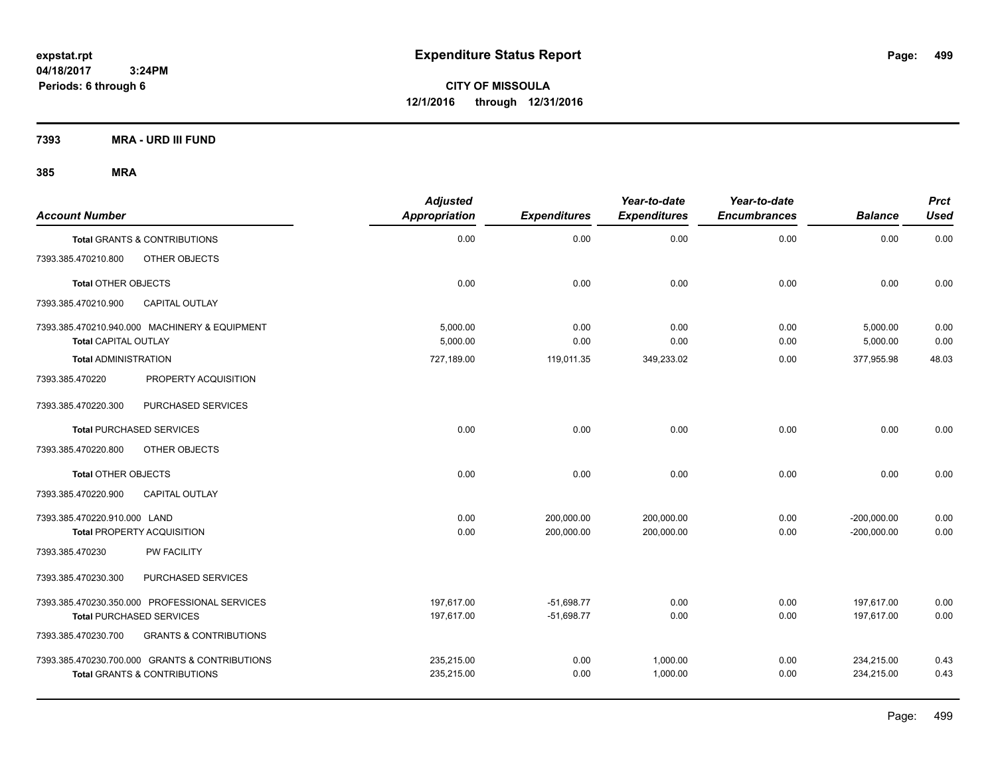**CITY OF MISSOULA 12/1/2016 through 12/31/2016**

**7393 MRA - URD III FUND**

| <b>Account Number</b>        |                                                                                           | <b>Adjusted</b><br>Appropriation | <b>Expenditures</b>          | Year-to-date<br><b>Expenditures</b> | Year-to-date<br><b>Encumbrances</b> | <b>Balance</b>                 | <b>Prct</b><br><b>Used</b> |
|------------------------------|-------------------------------------------------------------------------------------------|----------------------------------|------------------------------|-------------------------------------|-------------------------------------|--------------------------------|----------------------------|
|                              | Total GRANTS & CONTRIBUTIONS                                                              | 0.00                             | 0.00                         | 0.00                                | 0.00                                | 0.00                           | 0.00                       |
| 7393.385.470210.800          | OTHER OBJECTS                                                                             |                                  |                              |                                     |                                     |                                |                            |
| <b>Total OTHER OBJECTS</b>   |                                                                                           | 0.00                             | 0.00                         | 0.00                                | 0.00                                | 0.00                           | 0.00                       |
| 7393.385.470210.900          | <b>CAPITAL OUTLAY</b>                                                                     |                                  |                              |                                     |                                     |                                |                            |
| <b>Total CAPITAL OUTLAY</b>  | 7393.385.470210.940.000 MACHINERY & EQUIPMENT                                             | 5.000.00<br>5,000.00             | 0.00<br>0.00                 | 0.00<br>0.00                        | 0.00<br>0.00                        | 5,000.00<br>5,000.00           | 0.00<br>0.00               |
| <b>Total ADMINISTRATION</b>  |                                                                                           | 727,189.00                       | 119,011.35                   | 349,233.02                          | 0.00                                | 377.955.98                     | 48.03                      |
| 7393.385.470220              | PROPERTY ACQUISITION                                                                      |                                  |                              |                                     |                                     |                                |                            |
| 7393.385.470220.300          | PURCHASED SERVICES                                                                        |                                  |                              |                                     |                                     |                                |                            |
|                              | <b>Total PURCHASED SERVICES</b>                                                           | 0.00                             | 0.00                         | 0.00                                | 0.00                                | 0.00                           | 0.00                       |
| 7393.385.470220.800          | OTHER OBJECTS                                                                             |                                  |                              |                                     |                                     |                                |                            |
| <b>Total OTHER OBJECTS</b>   |                                                                                           | 0.00                             | 0.00                         | 0.00                                | 0.00                                | 0.00                           | 0.00                       |
| 7393.385.470220.900          | <b>CAPITAL OUTLAY</b>                                                                     |                                  |                              |                                     |                                     |                                |                            |
| 7393.385.470220.910.000 LAND | <b>Total PROPERTY ACQUISITION</b>                                                         | 0.00<br>0.00                     | 200,000.00<br>200,000.00     | 200,000.00<br>200,000.00            | 0.00<br>0.00                        | $-200,000.00$<br>$-200,000.00$ | 0.00<br>0.00               |
| 7393.385.470230              | PW FACILITY                                                                               |                                  |                              |                                     |                                     |                                |                            |
| 7393.385.470230.300          | PURCHASED SERVICES                                                                        |                                  |                              |                                     |                                     |                                |                            |
|                              | 7393.385.470230.350.000 PROFESSIONAL SERVICES<br><b>Total PURCHASED SERVICES</b>          | 197,617.00<br>197,617.00         | $-51,698.77$<br>$-51,698.77$ | 0.00<br>0.00                        | 0.00<br>0.00                        | 197,617.00<br>197.617.00       | 0.00<br>0.00               |
| 7393.385.470230.700          | <b>GRANTS &amp; CONTRIBUTIONS</b>                                                         |                                  |                              |                                     |                                     |                                |                            |
|                              | 7393.385.470230.700.000 GRANTS & CONTRIBUTIONS<br><b>Total GRANTS &amp; CONTRIBUTIONS</b> | 235,215.00<br>235,215.00         | 0.00<br>0.00                 | 1,000.00<br>1,000.00                | 0.00<br>0.00                        | 234,215.00<br>234,215.00       | 0.43<br>0.43               |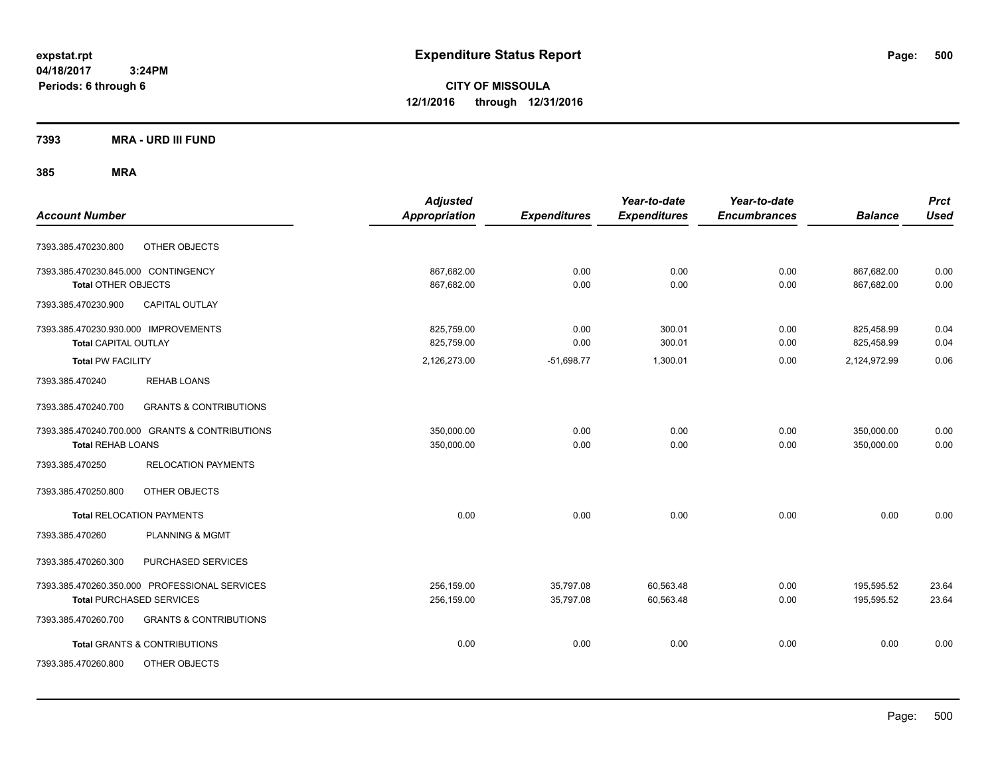**CITY OF MISSOULA 12/1/2016 through 12/31/2016**

**7393 MRA - URD III FUND**

|                                      |                                                | <b>Adjusted</b>      |                     | Year-to-date        | Year-to-date        |                | <b>Prct</b> |
|--------------------------------------|------------------------------------------------|----------------------|---------------------|---------------------|---------------------|----------------|-------------|
| <b>Account Number</b>                |                                                | <b>Appropriation</b> | <b>Expenditures</b> | <b>Expenditures</b> | <b>Encumbrances</b> | <b>Balance</b> | <b>Used</b> |
| 7393.385.470230.800                  | OTHER OBJECTS                                  |                      |                     |                     |                     |                |             |
| 7393.385.470230.845.000 CONTINGENCY  |                                                | 867,682.00           | 0.00                | 0.00                | 0.00                | 867,682.00     | 0.00        |
| <b>Total OTHER OBJECTS</b>           |                                                | 867,682.00           | 0.00                | 0.00                | 0.00                | 867,682.00     | 0.00        |
| 7393.385.470230.900                  | <b>CAPITAL OUTLAY</b>                          |                      |                     |                     |                     |                |             |
| 7393.385.470230.930.000 IMPROVEMENTS |                                                | 825,759.00           | 0.00                | 300.01              | 0.00                | 825,458.99     | 0.04        |
| <b>Total CAPITAL OUTLAY</b>          |                                                | 825,759.00           | 0.00                | 300.01              | 0.00                | 825,458.99     | 0.04        |
| <b>Total PW FACILITY</b>             |                                                | 2,126,273.00         | $-51,698.77$        | 1,300.01            | 0.00                | 2,124,972.99   | 0.06        |
| 7393.385.470240                      | <b>REHAB LOANS</b>                             |                      |                     |                     |                     |                |             |
| 7393.385.470240.700                  | <b>GRANTS &amp; CONTRIBUTIONS</b>              |                      |                     |                     |                     |                |             |
|                                      | 7393.385.470240.700.000 GRANTS & CONTRIBUTIONS | 350,000.00           | 0.00                | 0.00                | 0.00                | 350,000.00     | 0.00        |
| <b>Total REHAB LOANS</b>             |                                                | 350,000.00           | 0.00                | 0.00                | 0.00                | 350,000.00     | 0.00        |
| 7393.385.470250                      | <b>RELOCATION PAYMENTS</b>                     |                      |                     |                     |                     |                |             |
| 7393.385.470250.800                  | OTHER OBJECTS                                  |                      |                     |                     |                     |                |             |
|                                      | <b>Total RELOCATION PAYMENTS</b>               | 0.00                 | 0.00                | 0.00                | 0.00                | 0.00           | 0.00        |
| 7393.385.470260                      | <b>PLANNING &amp; MGMT</b>                     |                      |                     |                     |                     |                |             |
| 7393.385.470260.300                  | PURCHASED SERVICES                             |                      |                     |                     |                     |                |             |
|                                      | 7393.385.470260.350.000 PROFESSIONAL SERVICES  | 256,159.00           | 35,797.08           | 60,563.48           | 0.00                | 195,595.52     | 23.64       |
|                                      | <b>Total PURCHASED SERVICES</b>                | 256,159.00           | 35,797.08           | 60,563.48           | 0.00                | 195,595.52     | 23.64       |
| 7393.385.470260.700                  | <b>GRANTS &amp; CONTRIBUTIONS</b>              |                      |                     |                     |                     |                |             |
|                                      | <b>Total GRANTS &amp; CONTRIBUTIONS</b>        | 0.00                 | 0.00                | 0.00                | 0.00                | 0.00           | 0.00        |
| 7393.385.470260.800                  | OTHER OBJECTS                                  |                      |                     |                     |                     |                |             |
|                                      |                                                |                      |                     |                     |                     |                |             |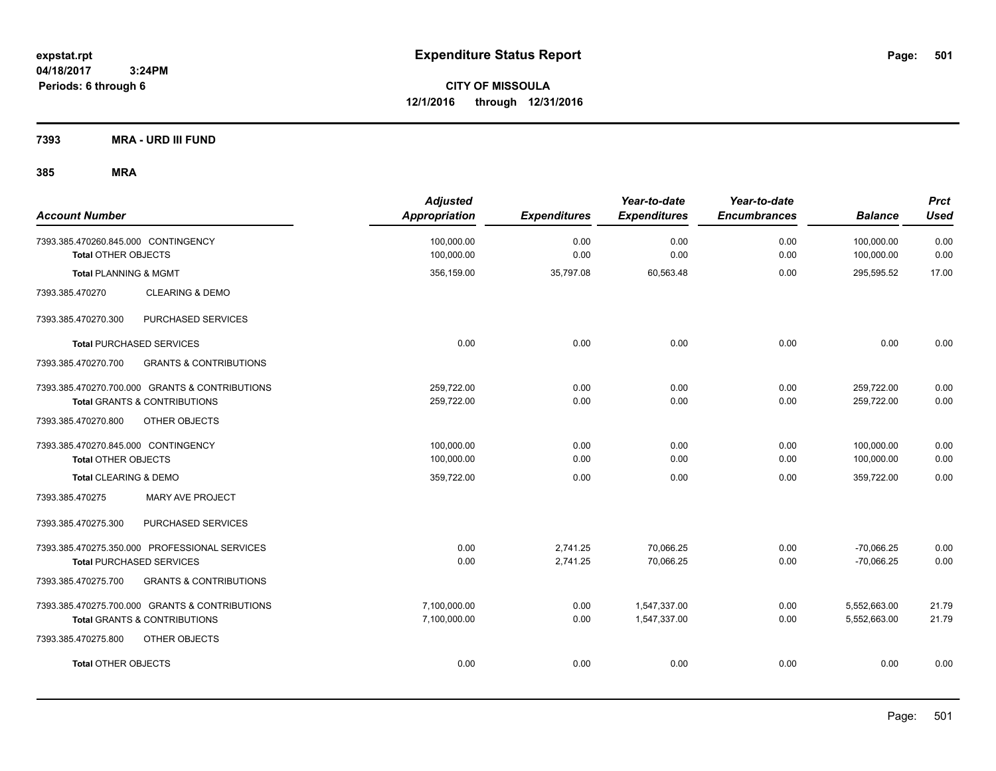**CITY OF MISSOULA 12/1/2016 through 12/31/2016**

**7393 MRA - URD III FUND**

| <b>Account Number</b>                                             | <b>Adjusted</b><br><b>Appropriation</b> | <b>Expenditures</b> | Year-to-date<br><b>Expenditures</b> | Year-to-date<br><b>Encumbrances</b> | <b>Balance</b>           | <b>Prct</b><br><b>Used</b> |
|-------------------------------------------------------------------|-----------------------------------------|---------------------|-------------------------------------|-------------------------------------|--------------------------|----------------------------|
| 7393.385.470260.845.000 CONTINGENCY<br><b>Total OTHER OBJECTS</b> | 100,000.00<br>100,000.00                | 0.00<br>0.00        | 0.00<br>0.00                        | 0.00<br>0.00                        | 100,000.00<br>100,000.00 | 0.00<br>0.00               |
| <b>Total PLANNING &amp; MGMT</b>                                  | 356,159.00                              | 35,797.08           | 60,563.48                           | 0.00                                | 295,595.52               | 17.00                      |
| 7393.385.470270<br><b>CLEARING &amp; DEMO</b>                     |                                         |                     |                                     |                                     |                          |                            |
| PURCHASED SERVICES<br>7393.385.470270.300                         |                                         |                     |                                     |                                     |                          |                            |
| <b>Total PURCHASED SERVICES</b>                                   | 0.00                                    | 0.00                | 0.00                                | 0.00                                | 0.00                     | 0.00                       |
| 7393.385.470270.700<br><b>GRANTS &amp; CONTRIBUTIONS</b>          |                                         |                     |                                     |                                     |                          |                            |
| 7393.385.470270.700.000 GRANTS & CONTRIBUTIONS                    | 259,722.00                              | 0.00                | 0.00                                | 0.00                                | 259,722.00               | 0.00                       |
| <b>Total GRANTS &amp; CONTRIBUTIONS</b>                           | 259,722.00                              | 0.00                | 0.00                                | 0.00                                | 259,722.00               | 0.00                       |
| 7393.385.470270.800<br>OTHER OBJECTS                              |                                         |                     |                                     |                                     |                          |                            |
| 7393.385.470270.845.000 CONTINGENCY                               | 100,000.00                              | 0.00                | 0.00                                | 0.00                                | 100,000.00               | 0.00                       |
| <b>Total OTHER OBJECTS</b>                                        | 100,000.00                              | 0.00                | 0.00                                | 0.00                                | 100,000.00               | 0.00                       |
| Total CLEARING & DEMO                                             | 359,722.00                              | 0.00                | 0.00                                | 0.00                                | 359,722.00               | 0.00                       |
| MARY AVE PROJECT<br>7393.385.470275                               |                                         |                     |                                     |                                     |                          |                            |
| 7393.385.470275.300<br>PURCHASED SERVICES                         |                                         |                     |                                     |                                     |                          |                            |
| 7393.385.470275.350.000 PROFESSIONAL SERVICES                     | 0.00                                    | 2,741.25            | 70,066.25                           | 0.00                                | $-70,066.25$             | 0.00                       |
| <b>Total PURCHASED SERVICES</b>                                   | 0.00                                    | 2,741.25            | 70,066.25                           | 0.00                                | $-70,066.25$             | 0.00                       |
| 7393.385.470275.700<br><b>GRANTS &amp; CONTRIBUTIONS</b>          |                                         |                     |                                     |                                     |                          |                            |
| 7393.385.470275.700.000 GRANTS & CONTRIBUTIONS                    | 7,100,000.00                            | 0.00                | 1,547,337.00                        | 0.00                                | 5,552,663.00             | 21.79                      |
| <b>Total GRANTS &amp; CONTRIBUTIONS</b>                           | 7,100,000.00                            | 0.00                | 1,547,337.00                        | 0.00                                | 5,552,663.00             | 21.79                      |
| 7393.385.470275.800<br>OTHER OBJECTS                              |                                         |                     |                                     |                                     |                          |                            |
| <b>Total OTHER OBJECTS</b>                                        | 0.00                                    | 0.00                | 0.00                                | 0.00                                | 0.00                     | 0.00                       |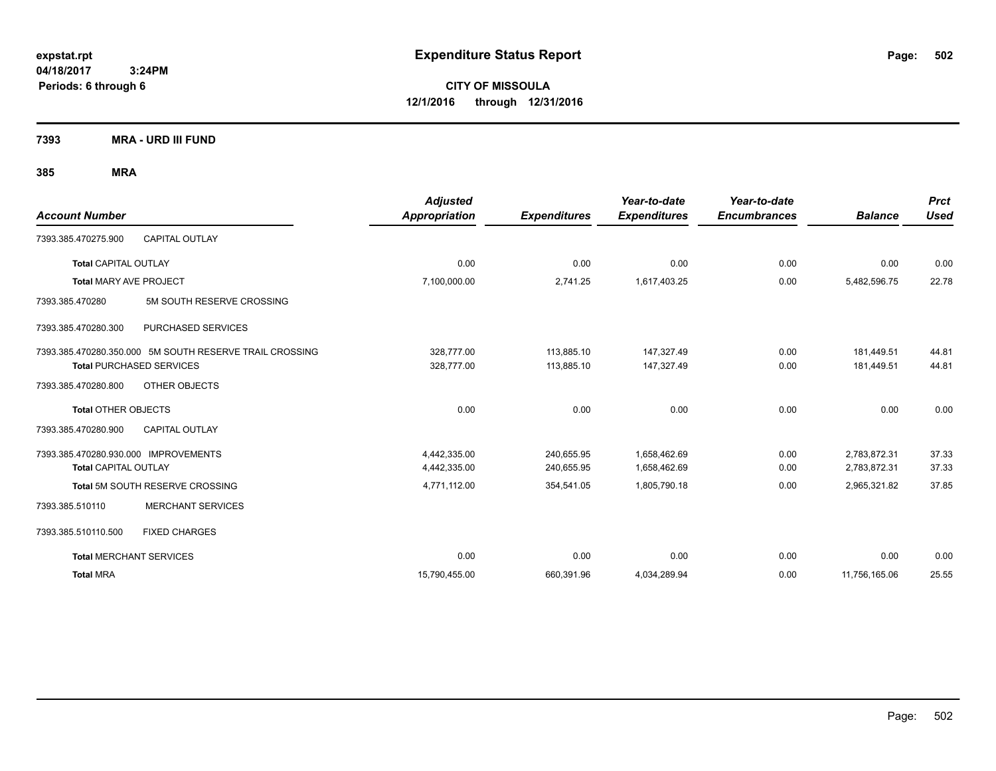**CITY OF MISSOULA 12/1/2016 through 12/31/2016**

**7393 MRA - URD III FUND**

|                                      |                                                         | <b>Adjusted</b>      |                     | Year-to-date        | Year-to-date        |                | <b>Prct</b> |
|--------------------------------------|---------------------------------------------------------|----------------------|---------------------|---------------------|---------------------|----------------|-------------|
| <b>Account Number</b>                |                                                         | <b>Appropriation</b> | <b>Expenditures</b> | <b>Expenditures</b> | <b>Encumbrances</b> | <b>Balance</b> | <b>Used</b> |
| 7393.385.470275.900                  | <b>CAPITAL OUTLAY</b>                                   |                      |                     |                     |                     |                |             |
| <b>Total CAPITAL OUTLAY</b>          |                                                         | 0.00                 | 0.00                | 0.00                | 0.00                | 0.00           | 0.00        |
| Total MARY AVE PROJECT               |                                                         | 7,100,000.00         | 2,741.25            | 1,617,403.25        | 0.00                | 5,482,596.75   | 22.78       |
| 7393.385.470280                      | 5M SOUTH RESERVE CROSSING                               |                      |                     |                     |                     |                |             |
| 7393.385.470280.300                  | PURCHASED SERVICES                                      |                      |                     |                     |                     |                |             |
|                                      | 7393.385.470280.350.000 5M SOUTH RESERVE TRAIL CROSSING | 328,777.00           | 113,885.10          | 147,327.49          | 0.00                | 181,449.51     | 44.81       |
|                                      | <b>Total PURCHASED SERVICES</b>                         | 328,777.00           | 113,885.10          | 147,327.49          | 0.00                | 181,449.51     | 44.81       |
| 7393.385.470280.800                  | OTHER OBJECTS                                           |                      |                     |                     |                     |                |             |
| <b>Total OTHER OBJECTS</b>           |                                                         | 0.00                 | 0.00                | 0.00                | 0.00                | 0.00           | 0.00        |
| 7393.385.470280.900                  | <b>CAPITAL OUTLAY</b>                                   |                      |                     |                     |                     |                |             |
| 7393.385.470280.930.000 IMPROVEMENTS |                                                         | 4,442,335.00         | 240,655.95          | 1,658,462.69        | 0.00                | 2,783,872.31   | 37.33       |
| <b>Total CAPITAL OUTLAY</b>          |                                                         | 4,442,335.00         | 240,655.95          | 1,658,462.69        | 0.00                | 2,783,872.31   | 37.33       |
|                                      | Total 5M SOUTH RESERVE CROSSING                         | 4,771,112.00         | 354,541.05          | 1,805,790.18        | 0.00                | 2,965,321.82   | 37.85       |
| 7393.385.510110                      | <b>MERCHANT SERVICES</b>                                |                      |                     |                     |                     |                |             |
| 7393.385.510110.500                  | <b>FIXED CHARGES</b>                                    |                      |                     |                     |                     |                |             |
| <b>Total MERCHANT SERVICES</b>       |                                                         | 0.00                 | 0.00                | 0.00                | 0.00                | 0.00           | 0.00        |
| <b>Total MRA</b>                     |                                                         | 15,790,455.00        | 660,391.96          | 4,034,289.94        | 0.00                | 11,756,165.06  | 25.55       |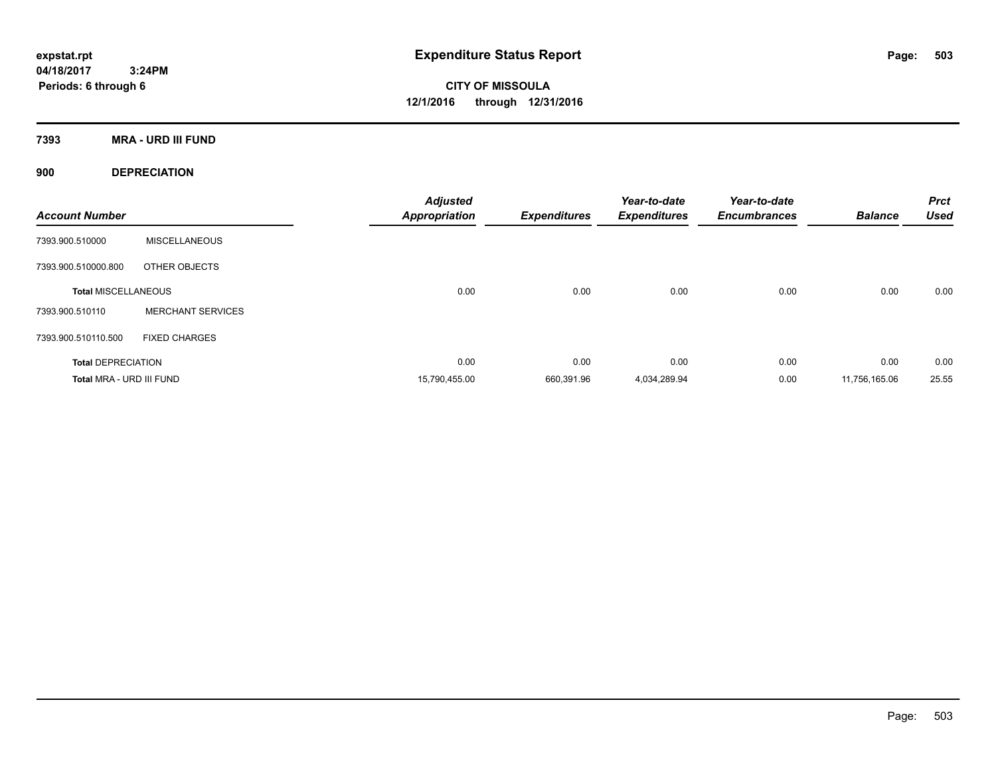**CITY OF MISSOULA 12/1/2016 through 12/31/2016**

**7393 MRA - URD III FUND**

**900 DEPRECIATION**

| <b>Account Number</b>      |                          | <b>Adjusted</b><br><b>Appropriation</b> | <b>Expenditures</b> | Year-to-date<br><b>Expenditures</b> | Year-to-date<br><b>Encumbrances</b> | <b>Balance</b> | <b>Prct</b><br><b>Used</b> |
|----------------------------|--------------------------|-----------------------------------------|---------------------|-------------------------------------|-------------------------------------|----------------|----------------------------|
| 7393.900.510000            | <b>MISCELLANEOUS</b>     |                                         |                     |                                     |                                     |                |                            |
| 7393.900.510000.800        | OTHER OBJECTS            |                                         |                     |                                     |                                     |                |                            |
| <b>Total MISCELLANEOUS</b> |                          | 0.00                                    | 0.00                | 0.00                                | 0.00                                | 0.00           | 0.00                       |
| 7393.900.510110            | <b>MERCHANT SERVICES</b> |                                         |                     |                                     |                                     |                |                            |
| 7393.900.510110.500        | <b>FIXED CHARGES</b>     |                                         |                     |                                     |                                     |                |                            |
| <b>Total DEPRECIATION</b>  |                          | 0.00                                    | 0.00                | 0.00                                | 0.00                                | 0.00           | 0.00                       |
| Total MRA - URD III FUND   |                          | 15,790,455.00                           | 660,391.96          | 4.034.289.94                        | 0.00                                | 11.756.165.06  | 25.55                      |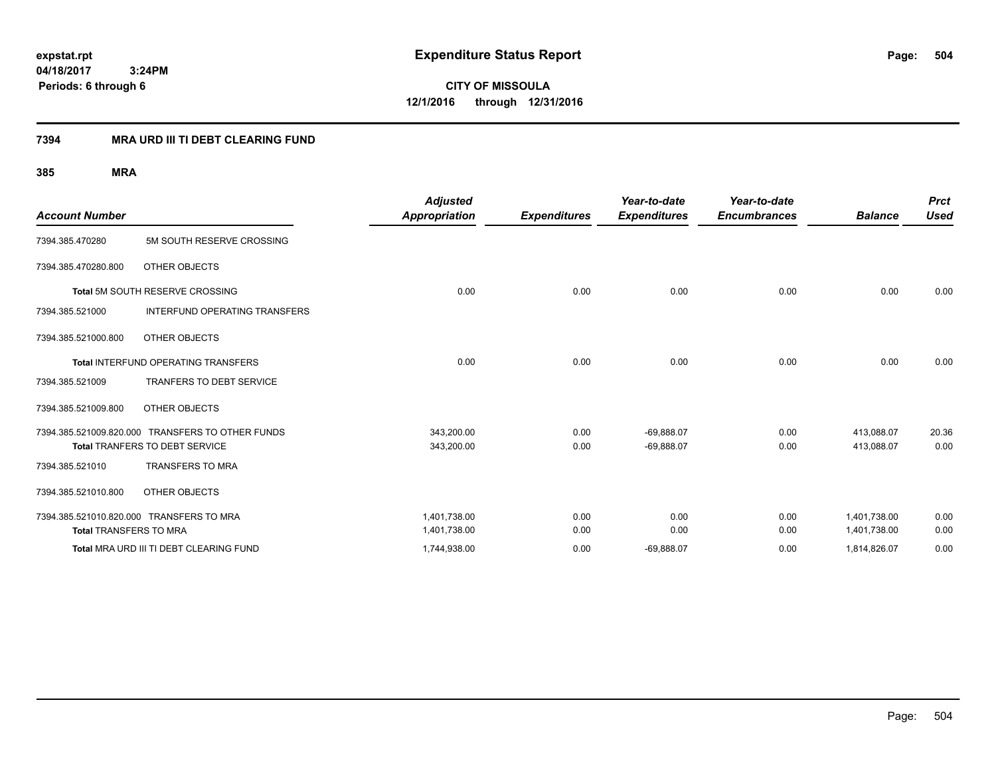**CITY OF MISSOULA 12/1/2016 through 12/31/2016**

### **7394 MRA URD III TI DEBT CLEARING FUND**

|                                            |                                                  | <b>Adjusted</b>      |                     | Year-to-date        | Year-to-date        |                | <b>Prct</b> |
|--------------------------------------------|--------------------------------------------------|----------------------|---------------------|---------------------|---------------------|----------------|-------------|
| <b>Account Number</b>                      |                                                  | <b>Appropriation</b> | <b>Expenditures</b> | <b>Expenditures</b> | <b>Encumbrances</b> | <b>Balance</b> | Used        |
| 7394.385.470280                            | 5M SOUTH RESERVE CROSSING                        |                      |                     |                     |                     |                |             |
| 7394.385.470280.800                        | OTHER OBJECTS                                    |                      |                     |                     |                     |                |             |
| <b>Total 5M SOUTH RESERVE CROSSING</b>     |                                                  | 0.00                 | 0.00                | 0.00                | 0.00                | 0.00           | 0.00        |
| 7394.385.521000                            | INTERFUND OPERATING TRANSFERS                    |                      |                     |                     |                     |                |             |
| 7394.385.521000.800                        | OTHER OBJECTS                                    |                      |                     |                     |                     |                |             |
| <b>Total INTERFUND OPERATING TRANSFERS</b> |                                                  | 0.00                 | 0.00                | 0.00                | 0.00                | 0.00           | 0.00        |
| 7394.385.521009                            | TRANFERS TO DEBT SERVICE                         |                      |                     |                     |                     |                |             |
| 7394.385.521009.800                        | OTHER OBJECTS                                    |                      |                     |                     |                     |                |             |
|                                            | 7394.385.521009.820.000 TRANSFERS TO OTHER FUNDS | 343,200.00           | 0.00                | $-69,888.07$        | 0.00                | 413,088.07     | 20.36       |
|                                            | <b>Total TRANFERS TO DEBT SERVICE</b>            | 343,200.00           | 0.00                | $-69,888.07$        | 0.00                | 413,088.07     | 0.00        |
| 7394.385.521010                            | <b>TRANSFERS TO MRA</b>                          |                      |                     |                     |                     |                |             |
| 7394.385.521010.800                        | OTHER OBJECTS                                    |                      |                     |                     |                     |                |             |
|                                            | 7394.385.521010.820.000 TRANSFERS TO MRA         | 1,401,738.00         | 0.00                | 0.00                | 0.00                | 1,401,738.00   | 0.00        |
| <b>Total TRANSFERS TO MRA</b>              |                                                  | 1,401,738.00         | 0.00                | 0.00                | 0.00                | 1,401,738.00   | 0.00        |
|                                            | Total MRA URD III TI DEBT CLEARING FUND          | 1,744,938.00         | 0.00                | $-69,888.07$        | 0.00                | 1,814,826.07   | 0.00        |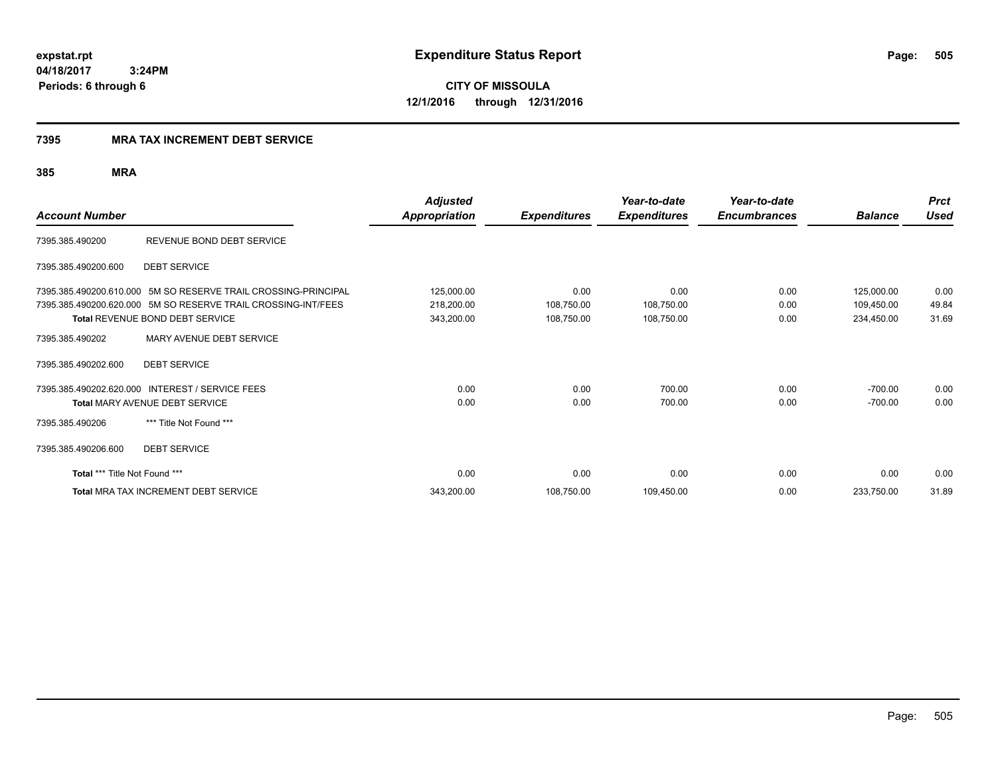**CITY OF MISSOULA 12/1/2016 through 12/31/2016**

#### **7395 MRA TAX INCREMENT DEBT SERVICE**

| <b>Account Number</b>                      |                                                                                                                                                                           | <b>Adjusted</b><br><b>Appropriation</b> | <b>Expenditures</b>              | Year-to-date<br><b>Expenditures</b> | Year-to-date<br><b>Encumbrances</b> | <b>Balance</b>                         | <b>Prct</b><br><b>Used</b> |
|--------------------------------------------|---------------------------------------------------------------------------------------------------------------------------------------------------------------------------|-----------------------------------------|----------------------------------|-------------------------------------|-------------------------------------|----------------------------------------|----------------------------|
| 7395.385.490200                            | REVENUE BOND DEBT SERVICE                                                                                                                                                 |                                         |                                  |                                     |                                     |                                        |                            |
| 7395.385.490200.600                        | <b>DEBT SERVICE</b>                                                                                                                                                       |                                         |                                  |                                     |                                     |                                        |                            |
|                                            | 7395.385.490200.610.000 5M SO RESERVE TRAIL CROSSING-PRINCIPAL<br>7395.385.490200.620.000 5M SO RESERVE TRAIL CROSSING-INT/FEES<br><b>Total REVENUE BOND DEBT SERVICE</b> | 125,000.00<br>218,200.00<br>343,200.00  | 0.00<br>108,750.00<br>108,750.00 | 0.00<br>108,750.00<br>108,750.00    | 0.00<br>0.00<br>0.00                | 125,000.00<br>109,450.00<br>234,450.00 | 0.00<br>49.84<br>31.69     |
| 7395.385.490202                            | MARY AVENUE DEBT SERVICE                                                                                                                                                  |                                         |                                  |                                     |                                     |                                        |                            |
| 7395.385.490202.600                        | <b>DEBT SERVICE</b>                                                                                                                                                       |                                         |                                  |                                     |                                     |                                        |                            |
| 7395.385.490202.620.000<br>7395.385.490206 | <b>INTEREST / SERVICE FEES</b><br>Total MARY AVENUE DEBT SERVICE<br>*** Title Not Found ***                                                                               | 0.00<br>0.00                            | 0.00<br>0.00                     | 700.00<br>700.00                    | 0.00<br>0.00                        | $-700.00$<br>$-700.00$                 | 0.00<br>0.00               |
| 7395.385.490206.600                        | <b>DEBT SERVICE</b>                                                                                                                                                       |                                         |                                  |                                     |                                     |                                        |                            |
| Total *** Title Not Found ***              |                                                                                                                                                                           | 0.00                                    | 0.00                             | 0.00                                | 0.00                                | 0.00                                   | 0.00                       |
|                                            | <b>Total MRA TAX INCREMENT DEBT SERVICE</b>                                                                                                                               | 343,200.00                              | 108,750.00                       | 109,450.00                          | 0.00                                | 233,750.00                             | 31.89                      |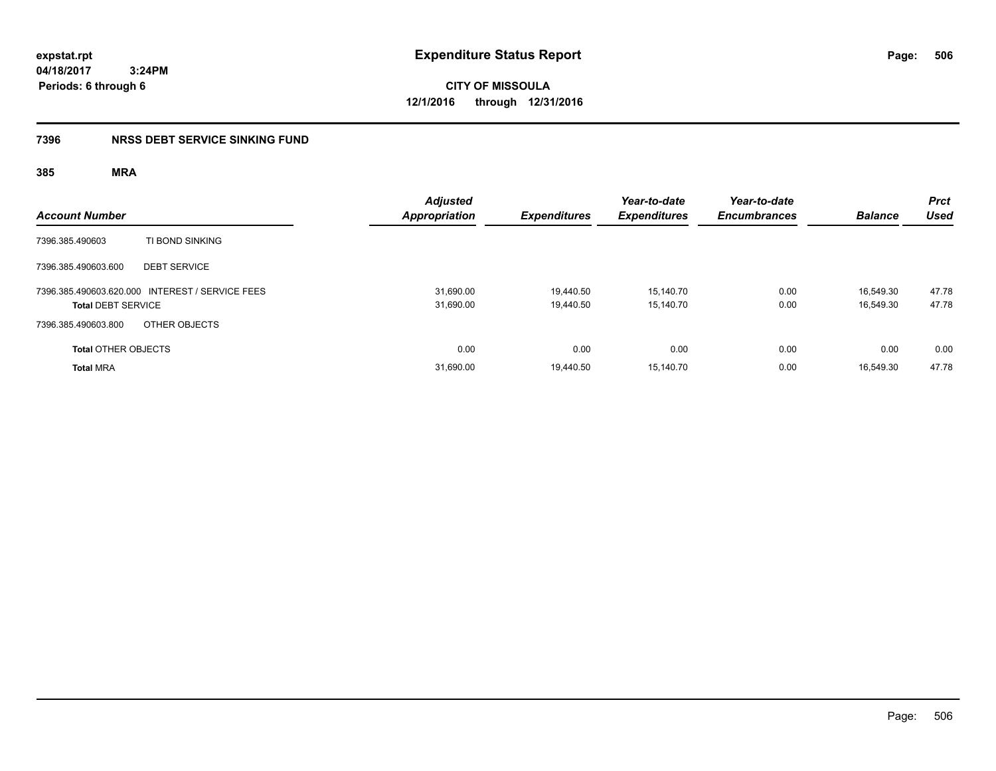**CITY OF MISSOULA 12/1/2016 through 12/31/2016**

### **7396 NRSS DEBT SERVICE SINKING FUND**

| <b>Account Number</b>                                                        | <b>Adjusted</b><br><b>Appropriation</b> | <b>Expenditures</b>    | Year-to-date<br><b>Expenditures</b> | Year-to-date<br><b>Encumbrances</b> | <b>Balance</b>         | <b>Prct</b><br><b>Used</b> |
|------------------------------------------------------------------------------|-----------------------------------------|------------------------|-------------------------------------|-------------------------------------|------------------------|----------------------------|
| TI BOND SINKING<br>7396.385.490603                                           |                                         |                        |                                     |                                     |                        |                            |
| 7396.385.490603.600<br><b>DEBT SERVICE</b>                                   |                                         |                        |                                     |                                     |                        |                            |
| 7396.385.490603.620.000 INTEREST / SERVICE FEES<br><b>Total DEBT SERVICE</b> | 31,690.00<br>31,690.00                  | 19.440.50<br>19,440.50 | 15.140.70<br>15,140.70              | 0.00<br>0.00                        | 16.549.30<br>16,549.30 | 47.78<br>47.78             |
| OTHER OBJECTS<br>7396.385.490603.800                                         |                                         |                        |                                     |                                     |                        |                            |
| <b>Total OTHER OBJECTS</b>                                                   | 0.00                                    | 0.00                   | 0.00                                | 0.00                                | 0.00                   | 0.00                       |
| <b>Total MRA</b>                                                             | 31,690.00                               | 19,440.50              | 15,140.70                           | 0.00                                | 16,549.30              | 47.78                      |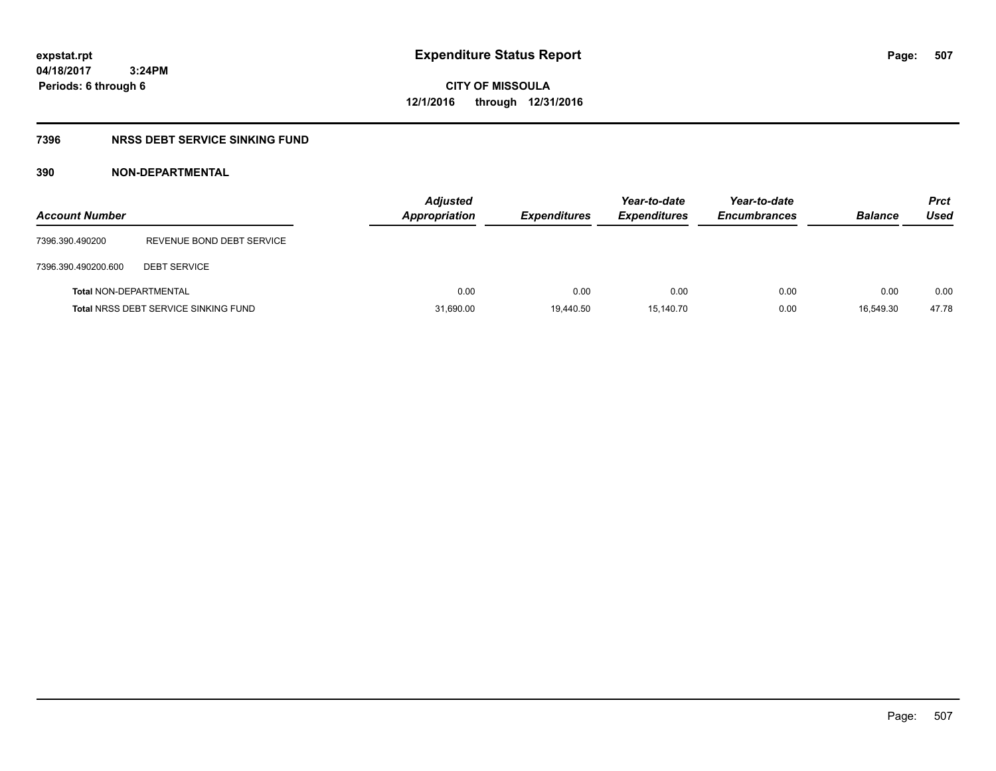**CITY OF MISSOULA 12/1/2016 through 12/31/2016**

### **7396 NRSS DEBT SERVICE SINKING FUND**

#### **390 NON-DEPARTMENTAL**

| <b>Account Number</b>         |                                             | <b>Adjusted</b><br>Appropriation | <b>Expenditures</b> | Year-to-date<br><b>Expenditures</b> | Year-to-date<br><b>Encumbrances</b> | <b>Balance</b> | <b>Prct</b><br>Used |
|-------------------------------|---------------------------------------------|----------------------------------|---------------------|-------------------------------------|-------------------------------------|----------------|---------------------|
| 7396.390.490200               | REVENUE BOND DEBT SERVICE                   |                                  |                     |                                     |                                     |                |                     |
| 7396.390.490200.600           | <b>DEBT SERVICE</b>                         |                                  |                     |                                     |                                     |                |                     |
| <b>Total NON-DEPARTMENTAL</b> |                                             | 0.00                             | 0.00                | 0.00                                | 0.00                                | 0.00           | 0.00                |
|                               | <b>Total NRSS DEBT SERVICE SINKING FUND</b> | 31,690.00                        | 19,440.50           | 15.140.70                           | 0.00                                | 16.549.30      | 47.78               |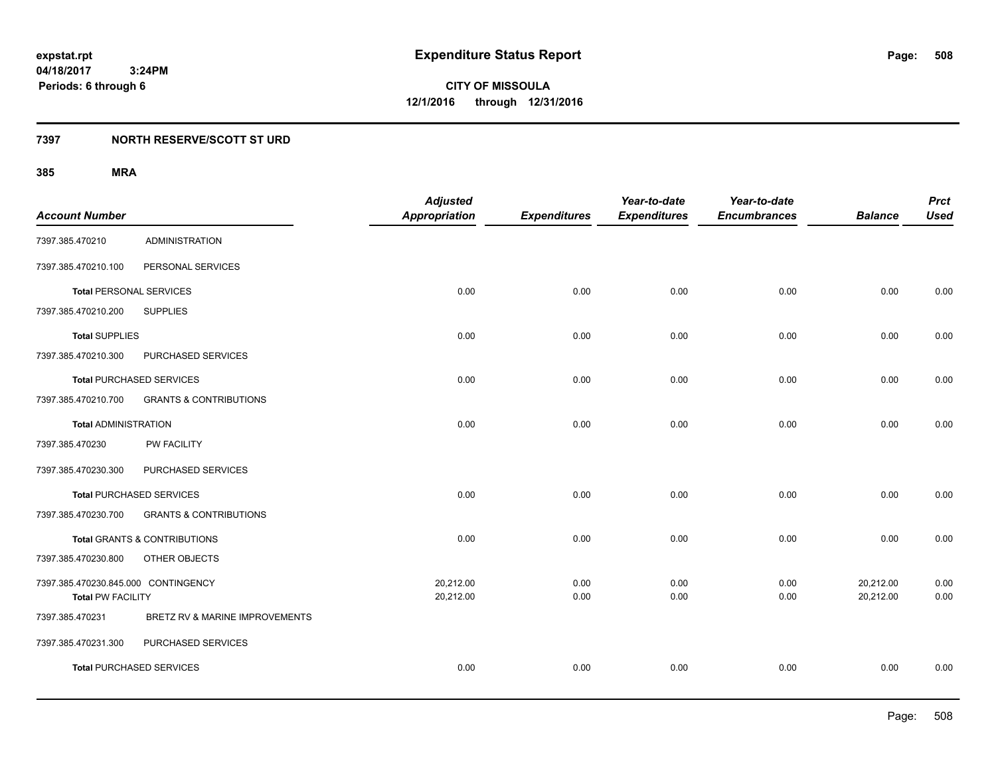### **7397 NORTH RESERVE/SCOTT ST URD**

|                                     |                                         | <b>Adjusted</b>      |                     | Year-to-date        | Year-to-date        |                | <b>Prct</b> |
|-------------------------------------|-----------------------------------------|----------------------|---------------------|---------------------|---------------------|----------------|-------------|
| <b>Account Number</b>               |                                         | <b>Appropriation</b> | <b>Expenditures</b> | <b>Expenditures</b> | <b>Encumbrances</b> | <b>Balance</b> | <b>Used</b> |
| 7397.385.470210                     | <b>ADMINISTRATION</b>                   |                      |                     |                     |                     |                |             |
| 7397.385.470210.100                 | PERSONAL SERVICES                       |                      |                     |                     |                     |                |             |
| <b>Total PERSONAL SERVICES</b>      |                                         | 0.00                 | 0.00                | 0.00                | 0.00                | 0.00           | 0.00        |
| 7397.385.470210.200                 | <b>SUPPLIES</b>                         |                      |                     |                     |                     |                |             |
| <b>Total SUPPLIES</b>               |                                         | 0.00                 | 0.00                | 0.00                | 0.00                | 0.00           | 0.00        |
| 7397.385.470210.300                 | PURCHASED SERVICES                      |                      |                     |                     |                     |                |             |
|                                     | <b>Total PURCHASED SERVICES</b>         | 0.00                 | 0.00                | 0.00                | 0.00                | 0.00           | 0.00        |
| 7397.385.470210.700                 | <b>GRANTS &amp; CONTRIBUTIONS</b>       |                      |                     |                     |                     |                |             |
| <b>Total ADMINISTRATION</b>         |                                         | 0.00                 | 0.00                | 0.00                | 0.00                | 0.00           | 0.00        |
| 7397.385.470230                     | <b>PW FACILITY</b>                      |                      |                     |                     |                     |                |             |
| 7397.385.470230.300                 | PURCHASED SERVICES                      |                      |                     |                     |                     |                |             |
|                                     | <b>Total PURCHASED SERVICES</b>         | 0.00                 | 0.00                | 0.00                | 0.00                | 0.00           | 0.00        |
| 7397.385.470230.700                 | <b>GRANTS &amp; CONTRIBUTIONS</b>       |                      |                     |                     |                     |                |             |
|                                     | <b>Total GRANTS &amp; CONTRIBUTIONS</b> | 0.00                 | 0.00                | 0.00                | 0.00                | 0.00           | 0.00        |
| 7397.385.470230.800                 | OTHER OBJECTS                           |                      |                     |                     |                     |                |             |
| 7397.385.470230.845.000 CONTINGENCY |                                         | 20,212.00            | 0.00                | 0.00                | 0.00                | 20,212.00      | 0.00        |
| <b>Total PW FACILITY</b>            |                                         | 20,212.00            | 0.00                | 0.00                | 0.00                | 20,212.00      | 0.00        |
| 7397.385.470231                     | BRETZ RV & MARINE IMPROVEMENTS          |                      |                     |                     |                     |                |             |
| 7397.385.470231.300                 | PURCHASED SERVICES                      |                      |                     |                     |                     |                |             |
|                                     | <b>Total PURCHASED SERVICES</b>         | 0.00                 | 0.00                | 0.00                | 0.00                | 0.00           | 0.00        |
|                                     |                                         |                      |                     |                     |                     |                |             |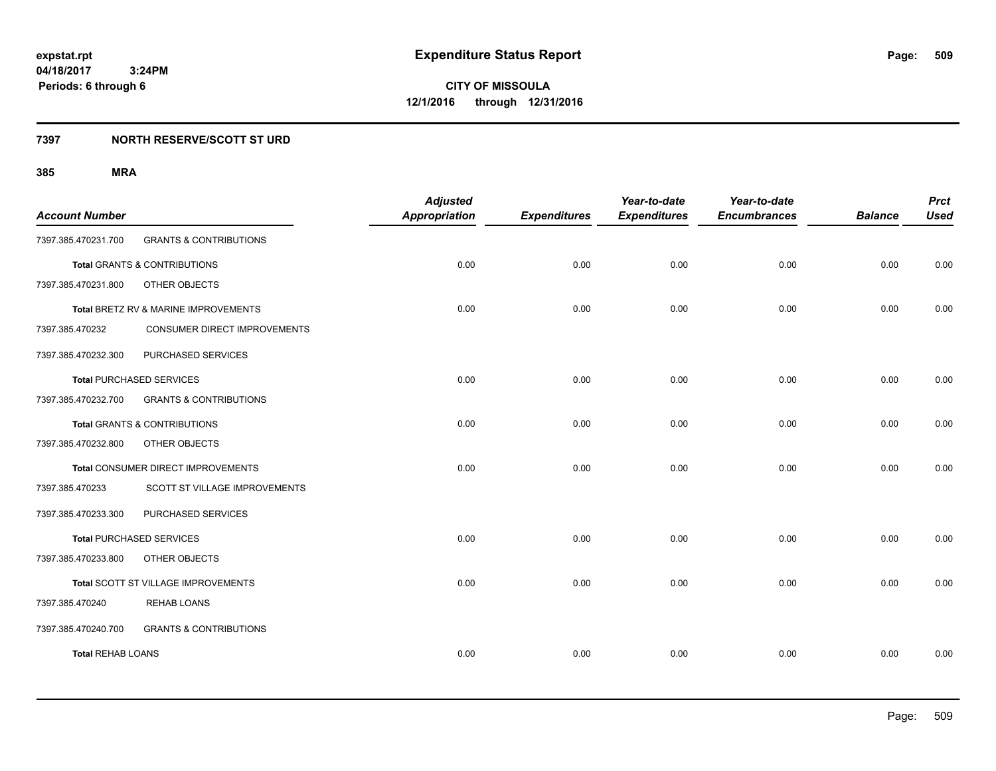### **7397 NORTH RESERVE/SCOTT ST URD**

| <b>Account Number</b>    |                                      | <b>Adjusted</b><br><b>Appropriation</b> | <b>Expenditures</b> | Year-to-date<br><b>Expenditures</b> | Year-to-date<br><b>Encumbrances</b> | <b>Balance</b> | <b>Prct</b><br><b>Used</b> |
|--------------------------|--------------------------------------|-----------------------------------------|---------------------|-------------------------------------|-------------------------------------|----------------|----------------------------|
| 7397.385.470231.700      | <b>GRANTS &amp; CONTRIBUTIONS</b>    |                                         |                     |                                     |                                     |                |                            |
|                          | Total GRANTS & CONTRIBUTIONS         | 0.00                                    | 0.00                | 0.00                                | 0.00                                | 0.00           | 0.00                       |
| 7397.385.470231.800      | OTHER OBJECTS                        |                                         |                     |                                     |                                     |                |                            |
|                          | Total BRETZ RV & MARINE IMPROVEMENTS | 0.00                                    | 0.00                | 0.00                                | 0.00                                | 0.00           | 0.00                       |
| 7397.385.470232          | CONSUMER DIRECT IMPROVEMENTS         |                                         |                     |                                     |                                     |                |                            |
| 7397.385.470232.300      | PURCHASED SERVICES                   |                                         |                     |                                     |                                     |                |                            |
|                          | <b>Total PURCHASED SERVICES</b>      | 0.00                                    | 0.00                | 0.00                                | 0.00                                | 0.00           | 0.00                       |
| 7397.385.470232.700      | <b>GRANTS &amp; CONTRIBUTIONS</b>    |                                         |                     |                                     |                                     |                |                            |
|                          | Total GRANTS & CONTRIBUTIONS         | 0.00                                    | 0.00                | 0.00                                | 0.00                                | 0.00           | 0.00                       |
| 7397.385.470232.800      | OTHER OBJECTS                        |                                         |                     |                                     |                                     |                |                            |
|                          | Total CONSUMER DIRECT IMPROVEMENTS   | 0.00                                    | 0.00                | 0.00                                | 0.00                                | 0.00           | 0.00                       |
| 7397.385.470233          | SCOTT ST VILLAGE IMPROVEMENTS        |                                         |                     |                                     |                                     |                |                            |
| 7397.385.470233.300      | PURCHASED SERVICES                   |                                         |                     |                                     |                                     |                |                            |
|                          | <b>Total PURCHASED SERVICES</b>      | 0.00                                    | 0.00                | 0.00                                | 0.00                                | 0.00           | 0.00                       |
| 7397.385.470233.800      | OTHER OBJECTS                        |                                         |                     |                                     |                                     |                |                            |
|                          | Total SCOTT ST VILLAGE IMPROVEMENTS  | 0.00                                    | 0.00                | 0.00                                | 0.00                                | 0.00           | 0.00                       |
| 7397.385.470240          | <b>REHAB LOANS</b>                   |                                         |                     |                                     |                                     |                |                            |
| 7397.385.470240.700      | <b>GRANTS &amp; CONTRIBUTIONS</b>    |                                         |                     |                                     |                                     |                |                            |
| <b>Total REHAB LOANS</b> |                                      | 0.00                                    | 0.00                | 0.00                                | 0.00                                | 0.00           | 0.00                       |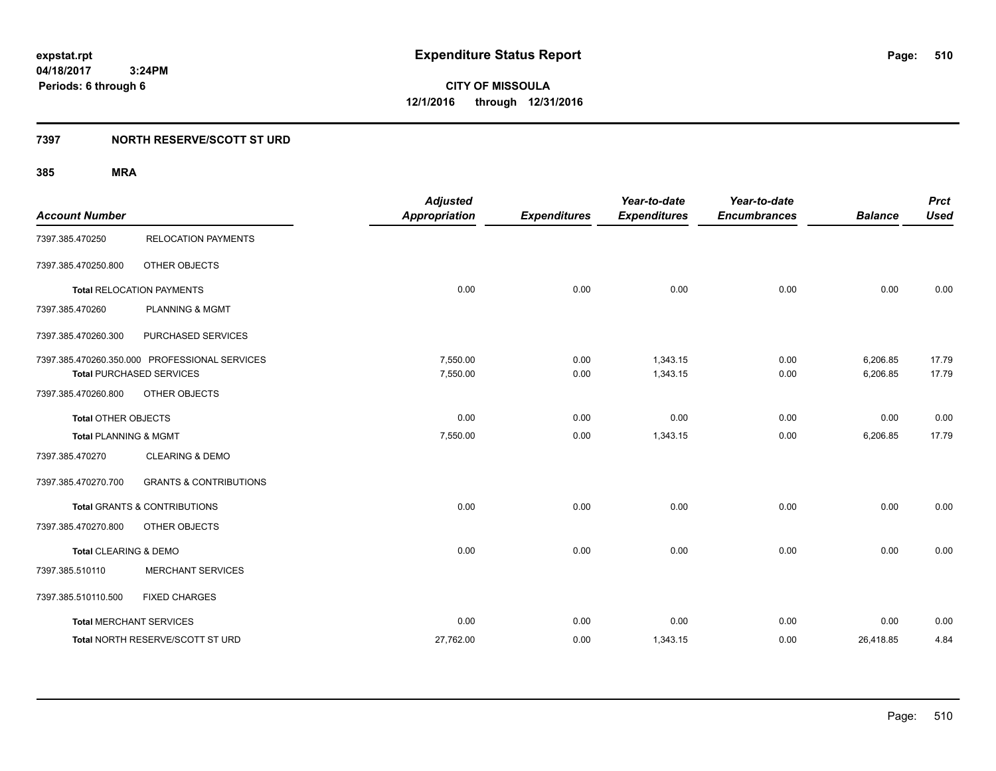### **7397 NORTH RESERVE/SCOTT ST URD**

|                                  |                                               | <b>Adjusted</b>      |                     | Year-to-date        | Year-to-date        |                | <b>Prct</b> |
|----------------------------------|-----------------------------------------------|----------------------|---------------------|---------------------|---------------------|----------------|-------------|
| <b>Account Number</b>            |                                               | <b>Appropriation</b> | <b>Expenditures</b> | <b>Expenditures</b> | <b>Encumbrances</b> | <b>Balance</b> | <b>Used</b> |
| 7397.385.470250                  | <b>RELOCATION PAYMENTS</b>                    |                      |                     |                     |                     |                |             |
| 7397.385.470250.800              | OTHER OBJECTS                                 |                      |                     |                     |                     |                |             |
|                                  | <b>Total RELOCATION PAYMENTS</b>              | 0.00                 | 0.00                | 0.00                | 0.00                | 0.00           | 0.00        |
| 7397.385.470260                  | <b>PLANNING &amp; MGMT</b>                    |                      |                     |                     |                     |                |             |
| 7397.385.470260.300              | PURCHASED SERVICES                            |                      |                     |                     |                     |                |             |
|                                  | 7397.385.470260.350.000 PROFESSIONAL SERVICES | 7,550.00             | 0.00                | 1,343.15            | 0.00                | 6,206.85       | 17.79       |
|                                  | <b>Total PURCHASED SERVICES</b>               | 7,550.00             | 0.00                | 1,343.15            | 0.00                | 6,206.85       | 17.79       |
| 7397.385.470260.800              | OTHER OBJECTS                                 |                      |                     |                     |                     |                |             |
| <b>Total OTHER OBJECTS</b>       |                                               | 0.00                 | 0.00                | 0.00                | 0.00                | 0.00           | 0.00        |
| <b>Total PLANNING &amp; MGMT</b> |                                               | 7,550.00             | 0.00                | 1,343.15            | 0.00                | 6,206.85       | 17.79       |
| 7397.385.470270                  | <b>CLEARING &amp; DEMO</b>                    |                      |                     |                     |                     |                |             |
| 7397.385.470270.700              | <b>GRANTS &amp; CONTRIBUTIONS</b>             |                      |                     |                     |                     |                |             |
|                                  | <b>Total GRANTS &amp; CONTRIBUTIONS</b>       | 0.00                 | 0.00                | 0.00                | 0.00                | 0.00           | 0.00        |
| 7397.385.470270.800              | OTHER OBJECTS                                 |                      |                     |                     |                     |                |             |
| Total CLEARING & DEMO            |                                               | 0.00                 | 0.00                | 0.00                | 0.00                | 0.00           | 0.00        |
| 7397.385.510110                  | <b>MERCHANT SERVICES</b>                      |                      |                     |                     |                     |                |             |
| 7397.385.510110.500              | <b>FIXED CHARGES</b>                          |                      |                     |                     |                     |                |             |
|                                  | <b>Total MERCHANT SERVICES</b>                | 0.00                 | 0.00                | 0.00                | 0.00                | 0.00           | 0.00        |
|                                  | Total NORTH RESERVE/SCOTT ST URD              | 27,762.00            | 0.00                | 1,343.15            | 0.00                | 26,418.85      | 4.84        |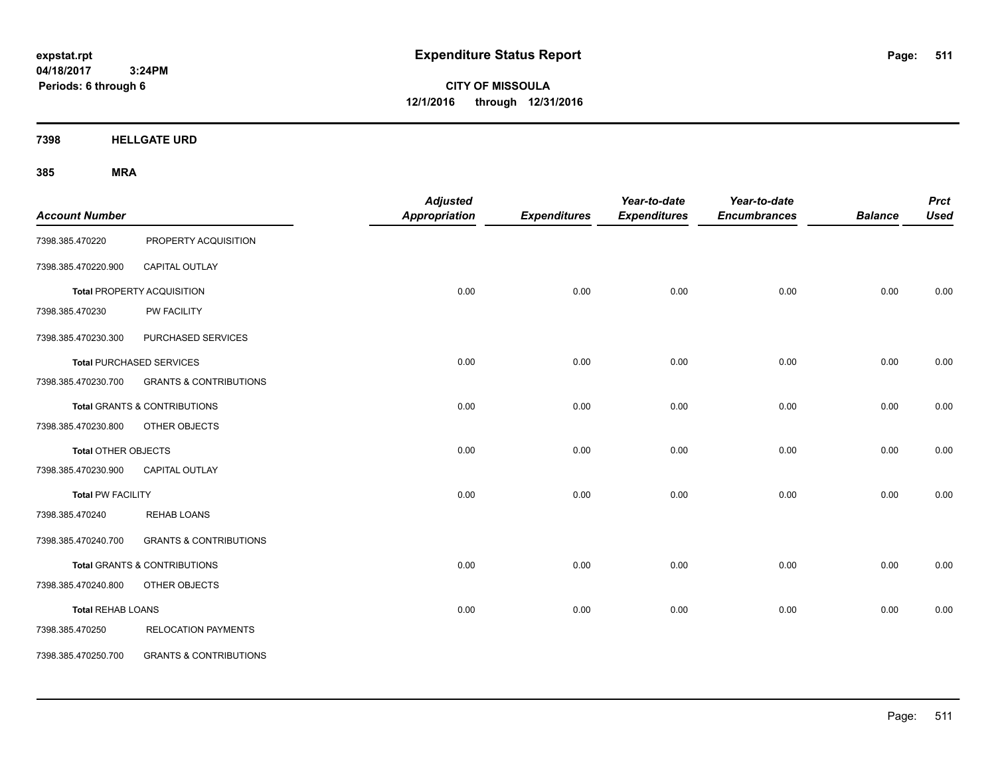**CITY OF MISSOULA 12/1/2016 through 12/31/2016**

**7398 HELLGATE URD**

| <b>Account Number</b>    |                                         | <b>Adjusted</b><br><b>Appropriation</b> | <b>Expenditures</b> | Year-to-date<br><b>Expenditures</b> | Year-to-date<br><b>Encumbrances</b> | <b>Balance</b> | <b>Prct</b><br><b>Used</b> |
|--------------------------|-----------------------------------------|-----------------------------------------|---------------------|-------------------------------------|-------------------------------------|----------------|----------------------------|
| 7398.385.470220          | PROPERTY ACQUISITION                    |                                         |                     |                                     |                                     |                |                            |
| 7398.385.470220.900      | <b>CAPITAL OUTLAY</b>                   |                                         |                     |                                     |                                     |                |                            |
|                          | <b>Total PROPERTY ACQUISITION</b>       | 0.00                                    | 0.00                | 0.00                                | 0.00                                | 0.00           | 0.00                       |
| 7398.385.470230          | PW FACILITY                             |                                         |                     |                                     |                                     |                |                            |
| 7398.385.470230.300      | PURCHASED SERVICES                      |                                         |                     |                                     |                                     |                |                            |
|                          | <b>Total PURCHASED SERVICES</b>         | 0.00                                    | 0.00                | 0.00                                | 0.00                                | 0.00           | 0.00                       |
| 7398.385.470230.700      | <b>GRANTS &amp; CONTRIBUTIONS</b>       |                                         |                     |                                     |                                     |                |                            |
|                          | <b>Total GRANTS &amp; CONTRIBUTIONS</b> | 0.00                                    | 0.00                | 0.00                                | 0.00                                | 0.00           | 0.00                       |
| 7398.385.470230.800      | OTHER OBJECTS                           |                                         |                     |                                     |                                     |                |                            |
| Total OTHER OBJECTS      |                                         | 0.00                                    | 0.00                | 0.00                                | 0.00                                | 0.00           | 0.00                       |
| 7398.385.470230.900      | CAPITAL OUTLAY                          |                                         |                     |                                     |                                     |                |                            |
| <b>Total PW FACILITY</b> |                                         | 0.00                                    | 0.00                | 0.00                                | 0.00                                | 0.00           | 0.00                       |
| 7398.385.470240          | <b>REHAB LOANS</b>                      |                                         |                     |                                     |                                     |                |                            |
| 7398.385.470240.700      | <b>GRANTS &amp; CONTRIBUTIONS</b>       |                                         |                     |                                     |                                     |                |                            |
|                          | Total GRANTS & CONTRIBUTIONS            | 0.00                                    | 0.00                | 0.00                                | 0.00                                | 0.00           | 0.00                       |
| 7398.385.470240.800      | OTHER OBJECTS                           |                                         |                     |                                     |                                     |                |                            |
| <b>Total REHAB LOANS</b> |                                         | 0.00                                    | 0.00                | 0.00                                | 0.00                                | 0.00           | 0.00                       |
| 7398.385.470250          | <b>RELOCATION PAYMENTS</b>              |                                         |                     |                                     |                                     |                |                            |
| 7398.385.470250.700      | <b>GRANTS &amp; CONTRIBUTIONS</b>       |                                         |                     |                                     |                                     |                |                            |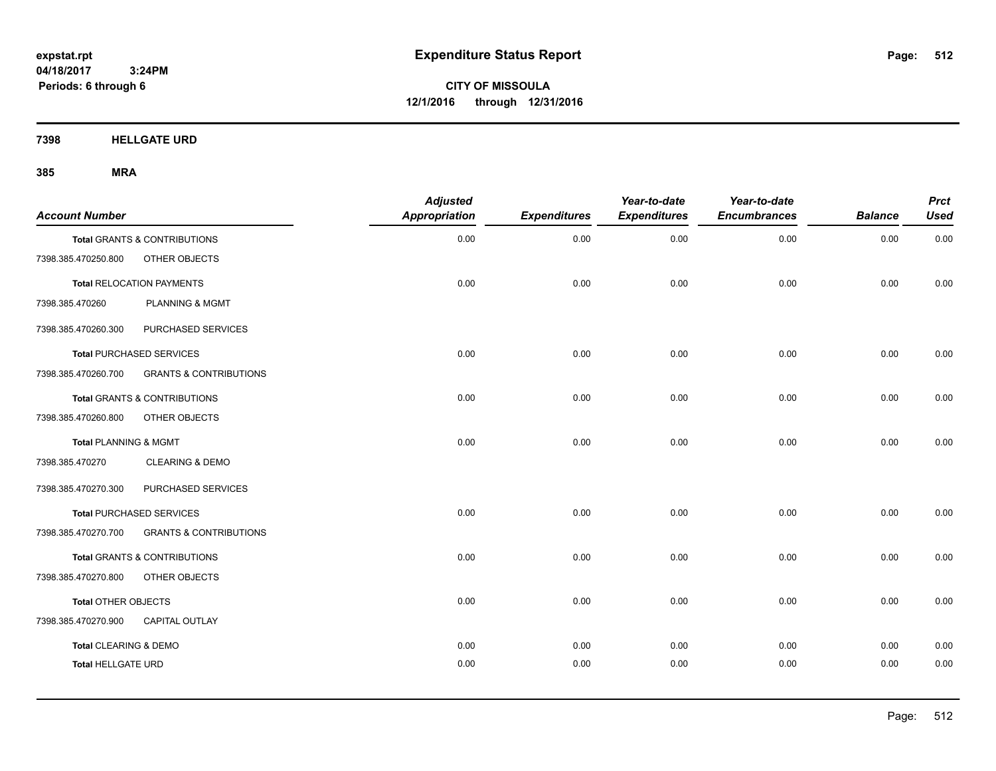**CITY OF MISSOULA 12/1/2016 through 12/31/2016**

**7398 HELLGATE URD**

| <b>Account Number</b>     |                                   | <b>Adjusted</b><br>Appropriation | <b>Expenditures</b> | Year-to-date<br><b>Expenditures</b> | Year-to-date<br><b>Encumbrances</b> | <b>Balance</b> | <b>Prct</b><br><b>Used</b> |
|---------------------------|-----------------------------------|----------------------------------|---------------------|-------------------------------------|-------------------------------------|----------------|----------------------------|
|                           | Total GRANTS & CONTRIBUTIONS      | 0.00                             | 0.00                | 0.00                                | 0.00                                | 0.00           | 0.00                       |
| 7398.385.470250.800       | OTHER OBJECTS                     |                                  |                     |                                     |                                     |                |                            |
|                           | <b>Total RELOCATION PAYMENTS</b>  | 0.00                             | 0.00                | 0.00                                | 0.00                                | 0.00           | 0.00                       |
| 7398.385.470260           | <b>PLANNING &amp; MGMT</b>        |                                  |                     |                                     |                                     |                |                            |
| 7398.385.470260.300       | PURCHASED SERVICES                |                                  |                     |                                     |                                     |                |                            |
|                           | <b>Total PURCHASED SERVICES</b>   | 0.00                             | 0.00                | 0.00                                | 0.00                                | 0.00           | 0.00                       |
| 7398.385.470260.700       | <b>GRANTS &amp; CONTRIBUTIONS</b> |                                  |                     |                                     |                                     |                |                            |
|                           | Total GRANTS & CONTRIBUTIONS      | 0.00                             | 0.00                | 0.00                                | 0.00                                | 0.00           | 0.00                       |
| 7398.385.470260.800       | OTHER OBJECTS                     |                                  |                     |                                     |                                     |                |                            |
| Total PLANNING & MGMT     |                                   | 0.00                             | 0.00                | 0.00                                | 0.00                                | 0.00           | 0.00                       |
| 7398.385.470270           | <b>CLEARING &amp; DEMO</b>        |                                  |                     |                                     |                                     |                |                            |
| 7398.385.470270.300       | PURCHASED SERVICES                |                                  |                     |                                     |                                     |                |                            |
|                           | <b>Total PURCHASED SERVICES</b>   | 0.00                             | 0.00                | 0.00                                | 0.00                                | 0.00           | 0.00                       |
| 7398.385.470270.700       | <b>GRANTS &amp; CONTRIBUTIONS</b> |                                  |                     |                                     |                                     |                |                            |
|                           | Total GRANTS & CONTRIBUTIONS      | 0.00                             | 0.00                | 0.00                                | 0.00                                | 0.00           | 0.00                       |
| 7398.385.470270.800       | OTHER OBJECTS                     |                                  |                     |                                     |                                     |                |                            |
| Total OTHER OBJECTS       |                                   | 0.00                             | 0.00                | 0.00                                | 0.00                                | 0.00           | 0.00                       |
| 7398.385.470270.900       | <b>CAPITAL OUTLAY</b>             |                                  |                     |                                     |                                     |                |                            |
| Total CLEARING & DEMO     |                                   | 0.00                             | 0.00                | 0.00                                | 0.00                                | 0.00           | 0.00                       |
| <b>Total HELLGATE URD</b> |                                   | 0.00                             | 0.00                | 0.00                                | 0.00                                | 0.00           | 0.00                       |
|                           |                                   |                                  |                     |                                     |                                     |                |                            |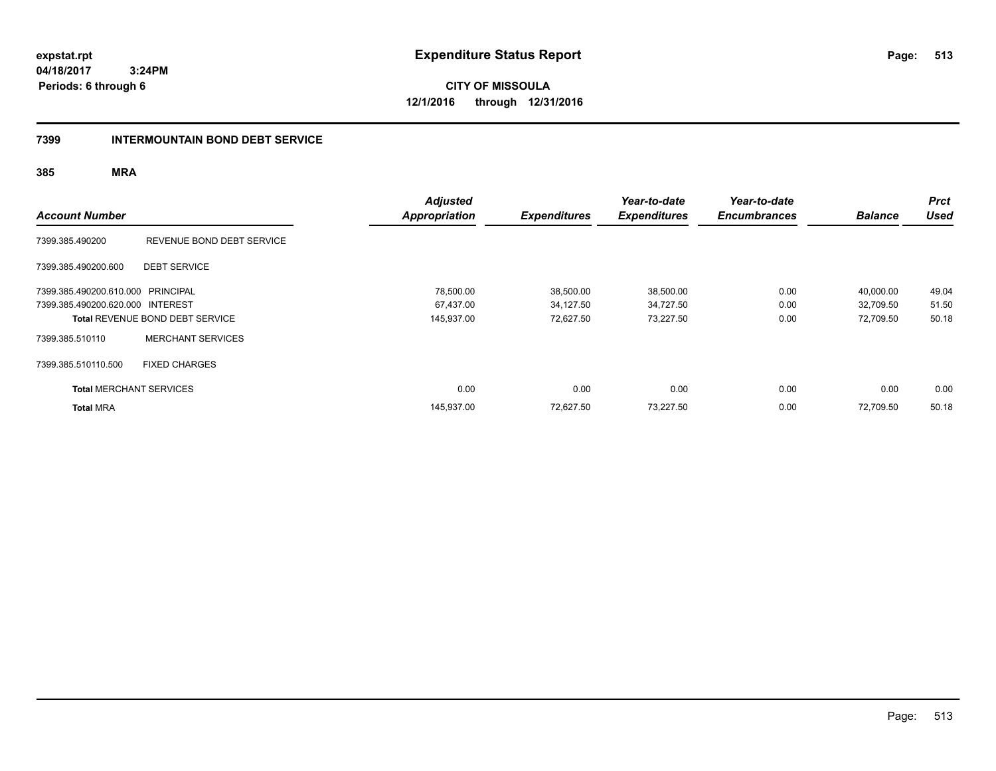**CITY OF MISSOULA 12/1/2016 through 12/31/2016**

#### **7399 INTERMOUNTAIN BOND DEBT SERVICE**

| <b>Account Number</b>             |                                        | <b>Adjusted</b><br><b>Appropriation</b> | <b>Expenditures</b> | Year-to-date<br><b>Expenditures</b> | Year-to-date<br><b>Encumbrances</b> | <b>Balance</b> | <b>Prct</b><br><b>Used</b> |
|-----------------------------------|----------------------------------------|-----------------------------------------|---------------------|-------------------------------------|-------------------------------------|----------------|----------------------------|
| 7399.385.490200                   | REVENUE BOND DEBT SERVICE              |                                         |                     |                                     |                                     |                |                            |
| 7399.385.490200.600               | <b>DEBT SERVICE</b>                    |                                         |                     |                                     |                                     |                |                            |
| 7399.385.490200.610.000 PRINCIPAL |                                        | 78,500.00                               | 38,500.00           | 38,500.00                           | 0.00                                | 40,000.00      | 49.04                      |
| 7399.385.490200.620.000 INTEREST  |                                        | 67,437.00                               | 34,127.50           | 34,727.50                           | 0.00                                | 32.709.50      | 51.50                      |
|                                   | <b>Total REVENUE BOND DEBT SERVICE</b> | 145,937.00                              | 72,627.50           | 73,227.50                           | 0.00                                | 72,709.50      | 50.18                      |
| 7399.385.510110                   | <b>MERCHANT SERVICES</b>               |                                         |                     |                                     |                                     |                |                            |
| 7399.385.510110.500               | <b>FIXED CHARGES</b>                   |                                         |                     |                                     |                                     |                |                            |
| <b>Total MERCHANT SERVICES</b>    |                                        | 0.00                                    | 0.00                | 0.00                                | 0.00                                | 0.00           | 0.00                       |
| <b>Total MRA</b>                  |                                        | 145,937.00                              | 72,627.50           | 73,227.50                           | 0.00                                | 72.709.50      | 50.18                      |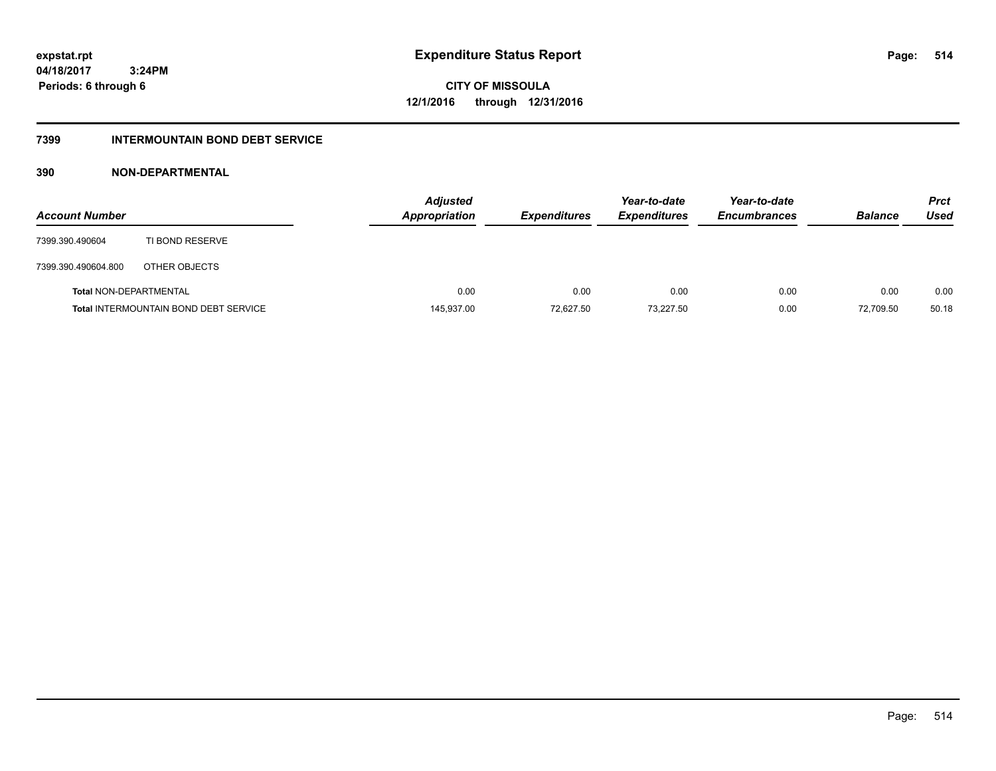**514**

**04/18/2017 3:24PM Periods: 6 through 6**

**CITY OF MISSOULA 12/1/2016 through 12/31/2016**

#### **7399 INTERMOUNTAIN BOND DEBT SERVICE**

### **390 NON-DEPARTMENTAL**

| <b>Account Number</b>         |                                              | <b>Adjusted</b><br><b>Appropriation</b> | <b>Expenditures</b> | Year-to-date<br><b>Expenditures</b> | Year-to-date<br><b>Encumbrances</b> | <b>Balance</b> | <b>Prct</b><br>Used |
|-------------------------------|----------------------------------------------|-----------------------------------------|---------------------|-------------------------------------|-------------------------------------|----------------|---------------------|
| 7399.390.490604               | TI BOND RESERVE                              |                                         |                     |                                     |                                     |                |                     |
| 7399.390.490604.800           | OTHER OBJECTS                                |                                         |                     |                                     |                                     |                |                     |
| <b>Total NON-DEPARTMENTAL</b> |                                              | 0.00                                    | 0.00                | 0.00                                | 0.00                                | 0.00           | 0.00                |
|                               | <b>Total INTERMOUNTAIN BOND DEBT SERVICE</b> | 145,937.00                              | 72,627.50           | 73,227.50                           | 0.00                                | 72,709.50      | 50.18               |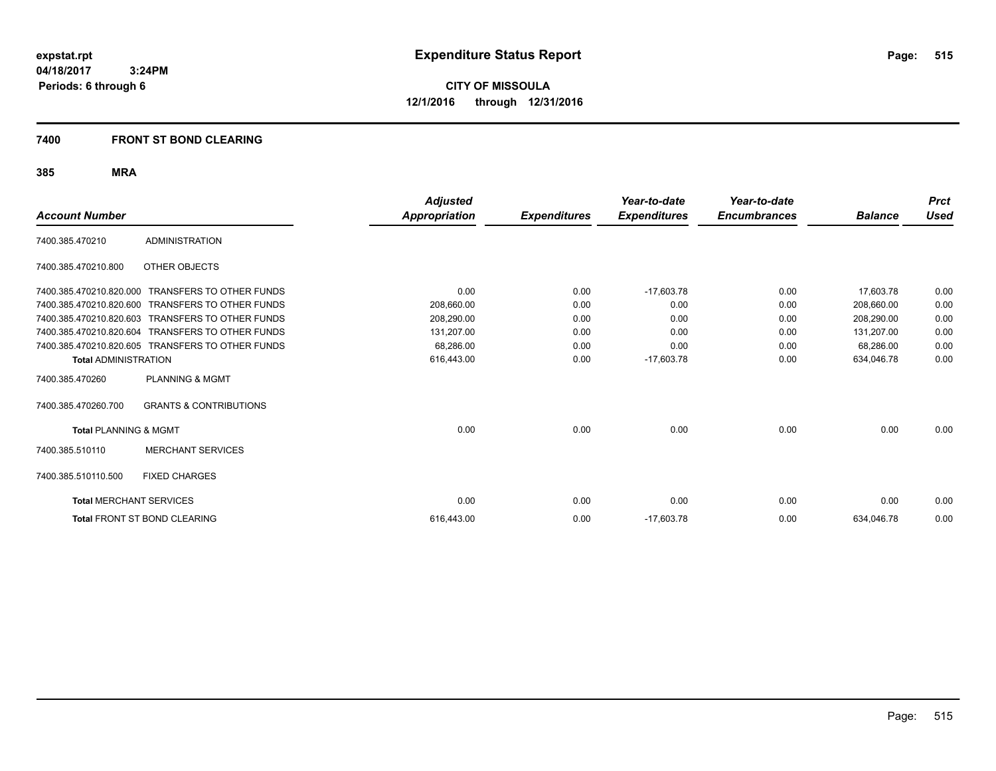**CITY OF MISSOULA 12/1/2016 through 12/31/2016**

#### **7400 FRONT ST BOND CLEARING**

| <b>Account Number</b>            |                                                  | <b>Adjusted</b><br><b>Appropriation</b> | <b>Expenditures</b> | Year-to-date<br><b>Expenditures</b> | Year-to-date<br><b>Encumbrances</b> | <b>Balance</b> | <b>Prct</b><br>Used |
|----------------------------------|--------------------------------------------------|-----------------------------------------|---------------------|-------------------------------------|-------------------------------------|----------------|---------------------|
|                                  |                                                  |                                         |                     |                                     |                                     |                |                     |
| 7400.385.470210                  | <b>ADMINISTRATION</b>                            |                                         |                     |                                     |                                     |                |                     |
| 7400.385.470210.800              | OTHER OBJECTS                                    |                                         |                     |                                     |                                     |                |                     |
| 7400.385.470210.820.000          | <b>TRANSFERS TO OTHER FUNDS</b>                  | 0.00                                    | 0.00                | $-17,603.78$                        | 0.00                                | 17,603.78      | 0.00                |
| 7400.385.470210.820.600          | <b>TRANSFERS TO OTHER FUNDS</b>                  | 208.660.00                              | 0.00                | 0.00                                | 0.00                                | 208.660.00     | 0.00                |
| 7400.385.470210.820.603          | <b>TRANSFERS TO OTHER FUNDS</b>                  | 208,290.00                              | 0.00                | 0.00                                | 0.00                                | 208,290.00     | 0.00                |
| 7400.385.470210.820.604          | <b>TRANSFERS TO OTHER FUNDS</b>                  | 131,207.00                              | 0.00                | 0.00                                | 0.00                                | 131,207.00     | 0.00                |
|                                  | 7400.385.470210.820.605 TRANSFERS TO OTHER FUNDS | 68.286.00                               | 0.00                | 0.00                                | 0.00                                | 68,286.00      | 0.00                |
| <b>Total ADMINISTRATION</b>      |                                                  | 616,443.00                              | 0.00                | $-17,603.78$                        | 0.00                                | 634,046.78     | 0.00                |
| 7400.385.470260                  | <b>PLANNING &amp; MGMT</b>                       |                                         |                     |                                     |                                     |                |                     |
| 7400.385.470260.700              | <b>GRANTS &amp; CONTRIBUTIONS</b>                |                                         |                     |                                     |                                     |                |                     |
| <b>Total PLANNING &amp; MGMT</b> |                                                  | 0.00                                    | 0.00                | 0.00                                | 0.00                                | 0.00           | 0.00                |
| 7400.385.510110                  | <b>MERCHANT SERVICES</b>                         |                                         |                     |                                     |                                     |                |                     |
| 7400.385.510110.500              | <b>FIXED CHARGES</b>                             |                                         |                     |                                     |                                     |                |                     |
| <b>Total MERCHANT SERVICES</b>   |                                                  | 0.00                                    | 0.00                | 0.00                                | 0.00                                | 0.00           | 0.00                |
|                                  | <b>Total FRONT ST BOND CLEARING</b>              | 616.443.00                              | 0.00                | $-17,603.78$                        | 0.00                                | 634,046.78     | 0.00                |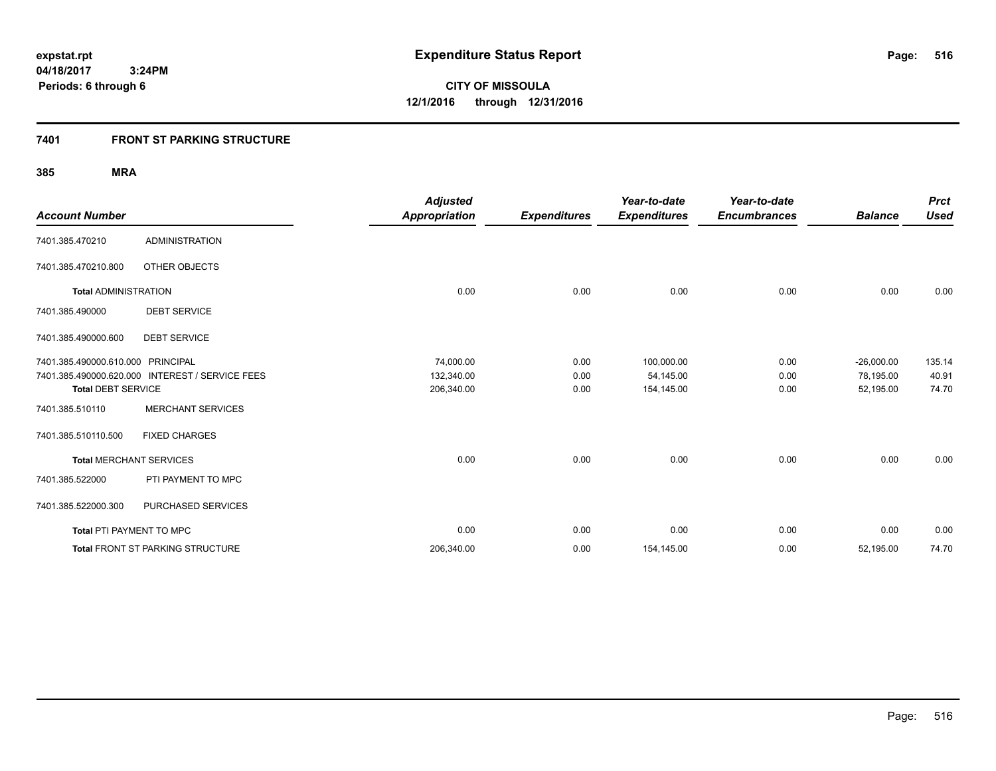### **7401 FRONT ST PARKING STRUCTURE**

| <b>Account Number</b>             |                                                 | <b>Adjusted</b><br><b>Appropriation</b> | <b>Expenditures</b> | Year-to-date<br><b>Expenditures</b> | Year-to-date<br><b>Encumbrances</b> | <b>Balance</b> | <b>Prct</b><br><b>Used</b> |
|-----------------------------------|-------------------------------------------------|-----------------------------------------|---------------------|-------------------------------------|-------------------------------------|----------------|----------------------------|
| 7401.385.470210                   | <b>ADMINISTRATION</b>                           |                                         |                     |                                     |                                     |                |                            |
| 7401.385.470210.800               | OTHER OBJECTS                                   |                                         |                     |                                     |                                     |                |                            |
| <b>Total ADMINISTRATION</b>       |                                                 | 0.00                                    | 0.00                | 0.00                                | 0.00                                | 0.00           | 0.00                       |
| 7401.385.490000                   | <b>DEBT SERVICE</b>                             |                                         |                     |                                     |                                     |                |                            |
| 7401.385.490000.600               | <b>DEBT SERVICE</b>                             |                                         |                     |                                     |                                     |                |                            |
| 7401.385.490000.610.000 PRINCIPAL |                                                 | 74,000.00                               | 0.00                | 100,000.00                          | 0.00                                | $-26,000.00$   | 135.14                     |
|                                   | 7401.385.490000.620.000 INTEREST / SERVICE FEES | 132,340.00                              | 0.00                | 54,145.00                           | 0.00                                | 78,195.00      | 40.91                      |
| <b>Total DEBT SERVICE</b>         |                                                 | 206,340.00                              | 0.00                | 154,145.00                          | 0.00                                | 52,195.00      | 74.70                      |
| 7401.385.510110                   | <b>MERCHANT SERVICES</b>                        |                                         |                     |                                     |                                     |                |                            |
| 7401.385.510110.500               | <b>FIXED CHARGES</b>                            |                                         |                     |                                     |                                     |                |                            |
| <b>Total MERCHANT SERVICES</b>    |                                                 | 0.00                                    | 0.00                | 0.00                                | 0.00                                | 0.00           | 0.00                       |
| 7401.385.522000                   | PTI PAYMENT TO MPC                              |                                         |                     |                                     |                                     |                |                            |
| 7401.385.522000.300               | PURCHASED SERVICES                              |                                         |                     |                                     |                                     |                |                            |
| Total PTI PAYMENT TO MPC          |                                                 | 0.00                                    | 0.00                | 0.00                                | 0.00                                | 0.00           | 0.00                       |
|                                   | Total FRONT ST PARKING STRUCTURE                | 206,340.00                              | 0.00                | 154,145.00                          | 0.00                                | 52,195.00      | 74.70                      |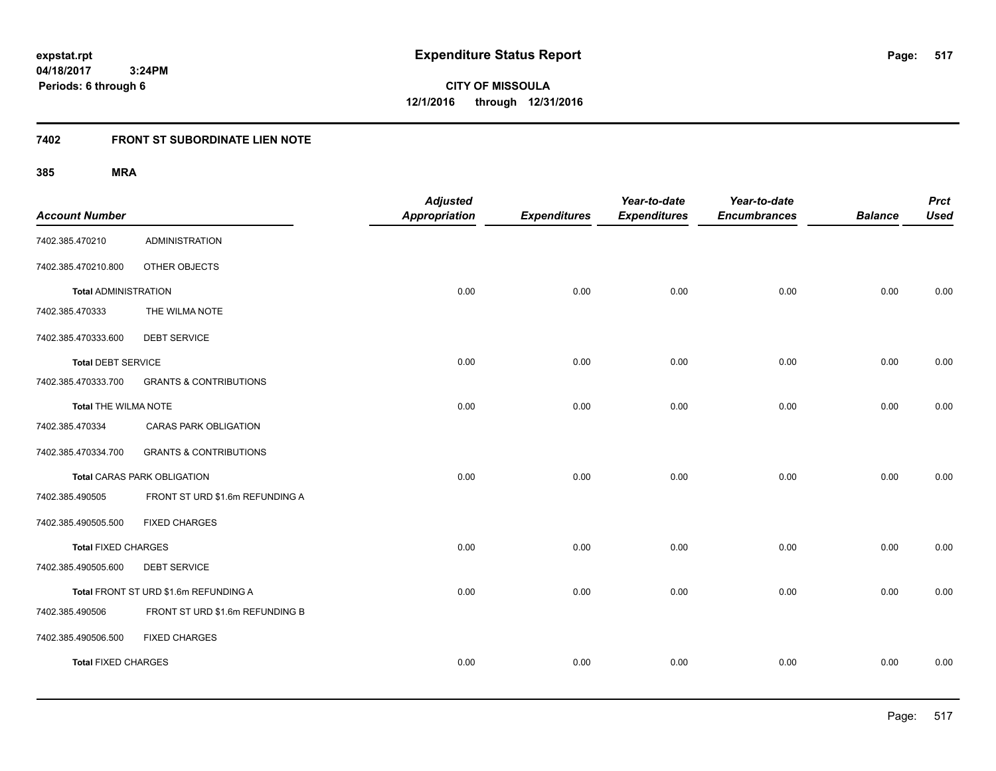**CITY OF MISSOULA 12/1/2016 through 12/31/2016**

# **7402 FRONT ST SUBORDINATE LIEN NOTE**

| <b>Account Number</b>       |                                       | <b>Adjusted</b><br><b>Appropriation</b> | <b>Expenditures</b> | Year-to-date<br><b>Expenditures</b> | Year-to-date<br><b>Encumbrances</b> | <b>Balance</b> | <b>Prct</b><br><b>Used</b> |
|-----------------------------|---------------------------------------|-----------------------------------------|---------------------|-------------------------------------|-------------------------------------|----------------|----------------------------|
| 7402.385.470210             | <b>ADMINISTRATION</b>                 |                                         |                     |                                     |                                     |                |                            |
| 7402.385.470210.800         | OTHER OBJECTS                         |                                         |                     |                                     |                                     |                |                            |
| <b>Total ADMINISTRATION</b> |                                       | 0.00                                    | 0.00                | 0.00                                | 0.00                                | 0.00           | 0.00                       |
| 7402.385.470333             | THE WILMA NOTE                        |                                         |                     |                                     |                                     |                |                            |
| 7402.385.470333.600         | <b>DEBT SERVICE</b>                   |                                         |                     |                                     |                                     |                |                            |
| <b>Total DEBT SERVICE</b>   |                                       | 0.00                                    | 0.00                | 0.00                                | 0.00                                | 0.00           | 0.00                       |
| 7402.385.470333.700         | <b>GRANTS &amp; CONTRIBUTIONS</b>     |                                         |                     |                                     |                                     |                |                            |
| Total THE WILMA NOTE        |                                       | 0.00                                    | 0.00                | 0.00                                | 0.00                                | 0.00           | 0.00                       |
| 7402.385.470334             | CARAS PARK OBLIGATION                 |                                         |                     |                                     |                                     |                |                            |
| 7402.385.470334.700         | <b>GRANTS &amp; CONTRIBUTIONS</b>     |                                         |                     |                                     |                                     |                |                            |
|                             | <b>Total CARAS PARK OBLIGATION</b>    | 0.00                                    | 0.00                | 0.00                                | 0.00                                | 0.00           | 0.00                       |
| 7402.385.490505             | FRONT ST URD \$1.6m REFUNDING A       |                                         |                     |                                     |                                     |                |                            |
| 7402.385.490505.500         | <b>FIXED CHARGES</b>                  |                                         |                     |                                     |                                     |                |                            |
| <b>Total FIXED CHARGES</b>  |                                       | 0.00                                    | 0.00                | 0.00                                | 0.00                                | 0.00           | 0.00                       |
| 7402.385.490505.600         | <b>DEBT SERVICE</b>                   |                                         |                     |                                     |                                     |                |                            |
|                             | Total FRONT ST URD \$1.6m REFUNDING A | 0.00                                    | 0.00                | 0.00                                | 0.00                                | 0.00           | 0.00                       |
| 7402.385.490506             | FRONT ST URD \$1.6m REFUNDING B       |                                         |                     |                                     |                                     |                |                            |
| 7402.385.490506.500         | <b>FIXED CHARGES</b>                  |                                         |                     |                                     |                                     |                |                            |
| <b>Total FIXED CHARGES</b>  |                                       | 0.00                                    | 0.00                | 0.00                                | 0.00                                | 0.00           | 0.00                       |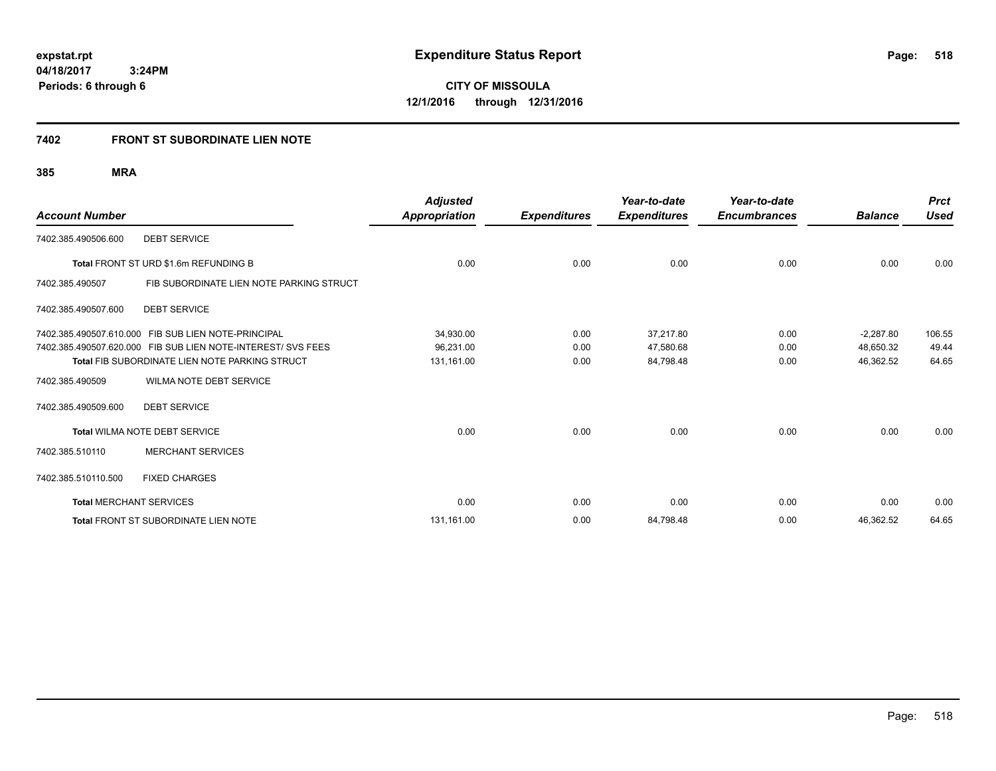**518**

**04/18/2017 3:24PM Periods: 6 through 6**

**CITY OF MISSOULA 12/1/2016 through 12/31/2016**

# **7402 FRONT ST SUBORDINATE LIEN NOTE**

| <b>Account Number</b>          |                                                              | <b>Adjusted</b><br>Appropriation | <b>Expenditures</b> | Year-to-date<br><b>Expenditures</b> | Year-to-date<br><b>Encumbrances</b> | <b>Balance</b> | <b>Prct</b><br><b>Used</b> |
|--------------------------------|--------------------------------------------------------------|----------------------------------|---------------------|-------------------------------------|-------------------------------------|----------------|----------------------------|
| 7402.385.490506.600            | <b>DEBT SERVICE</b>                                          |                                  |                     |                                     |                                     |                |                            |
|                                | Total FRONT ST URD \$1.6m REFUNDING B                        | 0.00                             | 0.00                | 0.00                                | 0.00                                | 0.00           | 0.00                       |
| 7402.385.490507                | FIB SUBORDINATE LIEN NOTE PARKING STRUCT                     |                                  |                     |                                     |                                     |                |                            |
| 7402.385.490507.600            | <b>DEBT SERVICE</b>                                          |                                  |                     |                                     |                                     |                |                            |
|                                | 7402.385.490507.610.000 FIB SUB LIEN NOTE-PRINCIPAL          | 34,930.00                        | 0.00                | 37.217.80                           | 0.00                                | $-2,287.80$    | 106.55                     |
|                                | 7402.385.490507.620.000 FIB SUB LIEN NOTE-INTEREST/ SVS FEES | 96,231.00                        | 0.00                | 47,580.68                           | 0.00                                | 48,650.32      | 49.44                      |
|                                | <b>Total FIB SUBORDINATE LIEN NOTE PARKING STRUCT</b>        | 131,161.00                       | 0.00                | 84,798.48                           | 0.00                                | 46,362.52      | 64.65                      |
| 7402.385.490509                | WILMA NOTE DEBT SERVICE                                      |                                  |                     |                                     |                                     |                |                            |
| 7402.385.490509.600            | <b>DEBT SERVICE</b>                                          |                                  |                     |                                     |                                     |                |                            |
|                                | Total WILMA NOTE DEBT SERVICE                                | 0.00                             | 0.00                | 0.00                                | 0.00                                | 0.00           | 0.00                       |
| 7402.385.510110                | <b>MERCHANT SERVICES</b>                                     |                                  |                     |                                     |                                     |                |                            |
| 7402.385.510110.500            | <b>FIXED CHARGES</b>                                         |                                  |                     |                                     |                                     |                |                            |
| <b>Total MERCHANT SERVICES</b> |                                                              | 0.00                             | 0.00                | 0.00                                | 0.00                                | 0.00           | 0.00                       |
|                                | <b>Total FRONT ST SUBORDINATE LIEN NOTE</b>                  | 131,161.00                       | 0.00                | 84,798.48                           | 0.00                                | 46,362.52      | 64.65                      |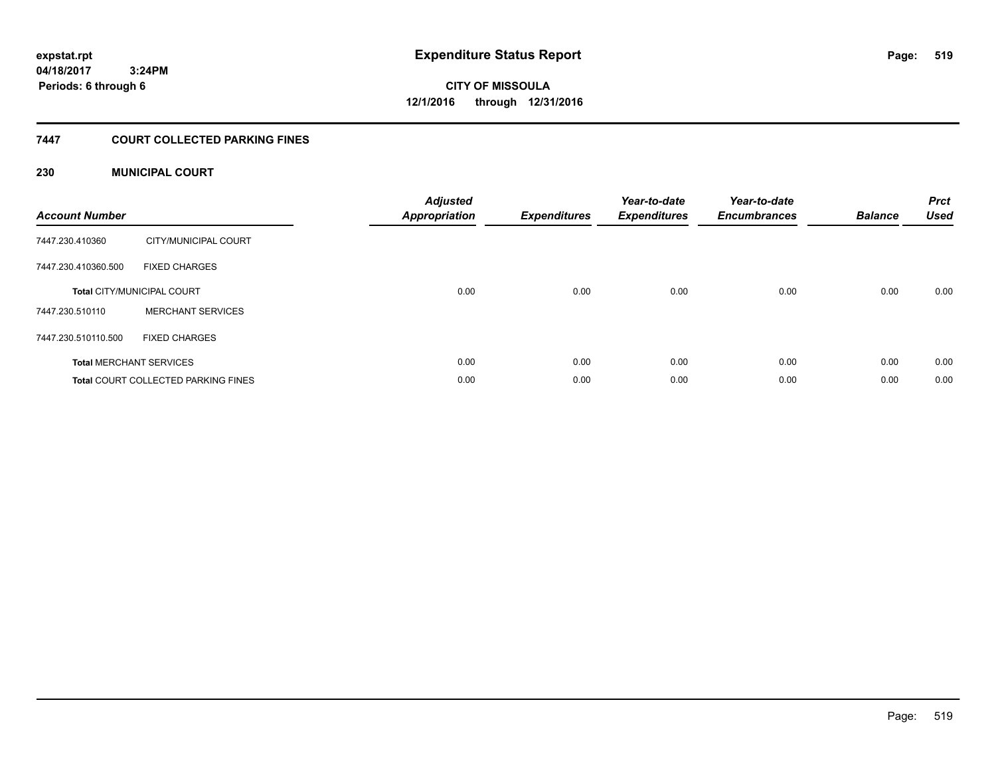# **CITY OF MISSOULA 12/1/2016 through 12/31/2016**

### **7447 COURT COLLECTED PARKING FINES**

### **230 MUNICIPAL COURT**

| <b>Account Number</b> |                                            | <b>Adjusted</b><br>Appropriation | <b>Expenditures</b> | Year-to-date<br><b>Expenditures</b> | Year-to-date<br><b>Encumbrances</b> | <b>Balance</b> | <b>Prct</b><br><b>Used</b> |
|-----------------------|--------------------------------------------|----------------------------------|---------------------|-------------------------------------|-------------------------------------|----------------|----------------------------|
| 7447.230.410360       | CITY/MUNICIPAL COURT                       |                                  |                     |                                     |                                     |                |                            |
| 7447.230.410360.500   | <b>FIXED CHARGES</b>                       |                                  |                     |                                     |                                     |                |                            |
|                       | <b>Total CITY/MUNICIPAL COURT</b>          | 0.00                             | 0.00                | 0.00                                | 0.00                                | 0.00           | 0.00                       |
| 7447.230.510110       | <b>MERCHANT SERVICES</b>                   |                                  |                     |                                     |                                     |                |                            |
| 7447.230.510110.500   | <b>FIXED CHARGES</b>                       |                                  |                     |                                     |                                     |                |                            |
|                       | <b>Total MERCHANT SERVICES</b>             | 0.00                             | 0.00                | 0.00                                | 0.00                                | 0.00           | 0.00                       |
|                       | <b>Total COURT COLLECTED PARKING FINES</b> | 0.00                             | 0.00                | 0.00                                | 0.00                                | 0.00           | 0.00                       |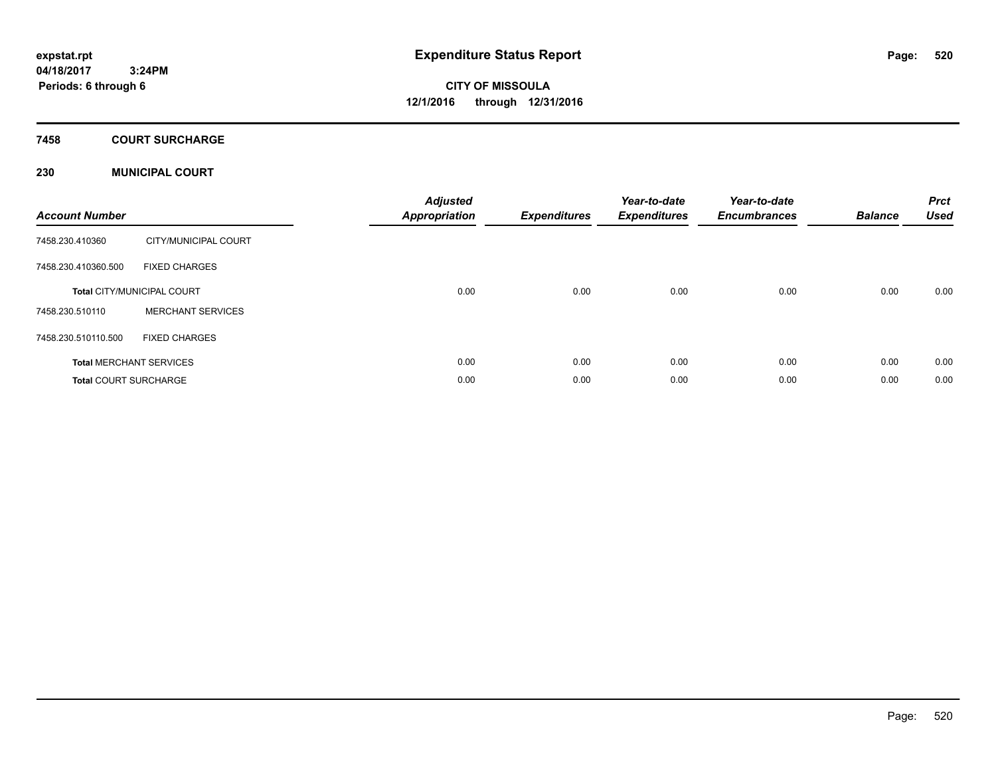# **CITY OF MISSOULA 12/1/2016 through 12/31/2016**

#### **7458 COURT SURCHARGE**

#### **230 MUNICIPAL COURT**

| <b>Account Number</b>        |                                   | <b>Adjusted</b><br>Appropriation | <b>Expenditures</b> | Year-to-date<br><b>Expenditures</b> | Year-to-date<br><b>Encumbrances</b> | <b>Balance</b> | <b>Prct</b><br><b>Used</b> |
|------------------------------|-----------------------------------|----------------------------------|---------------------|-------------------------------------|-------------------------------------|----------------|----------------------------|
| 7458.230.410360              | CITY/MUNICIPAL COURT              |                                  |                     |                                     |                                     |                |                            |
| 7458.230.410360.500          | <b>FIXED CHARGES</b>              |                                  |                     |                                     |                                     |                |                            |
|                              | <b>Total CITY/MUNICIPAL COURT</b> | 0.00                             | 0.00                | 0.00                                | 0.00                                | 0.00           | 0.00                       |
| 7458.230.510110              | <b>MERCHANT SERVICES</b>          |                                  |                     |                                     |                                     |                |                            |
| 7458.230.510110.500          | <b>FIXED CHARGES</b>              |                                  |                     |                                     |                                     |                |                            |
|                              | <b>Total MERCHANT SERVICES</b>    | 0.00                             | 0.00                | 0.00                                | 0.00                                | 0.00           | 0.00                       |
| <b>Total COURT SURCHARGE</b> |                                   | 0.00                             | 0.00                | 0.00                                | 0.00                                | 0.00           | 0.00                       |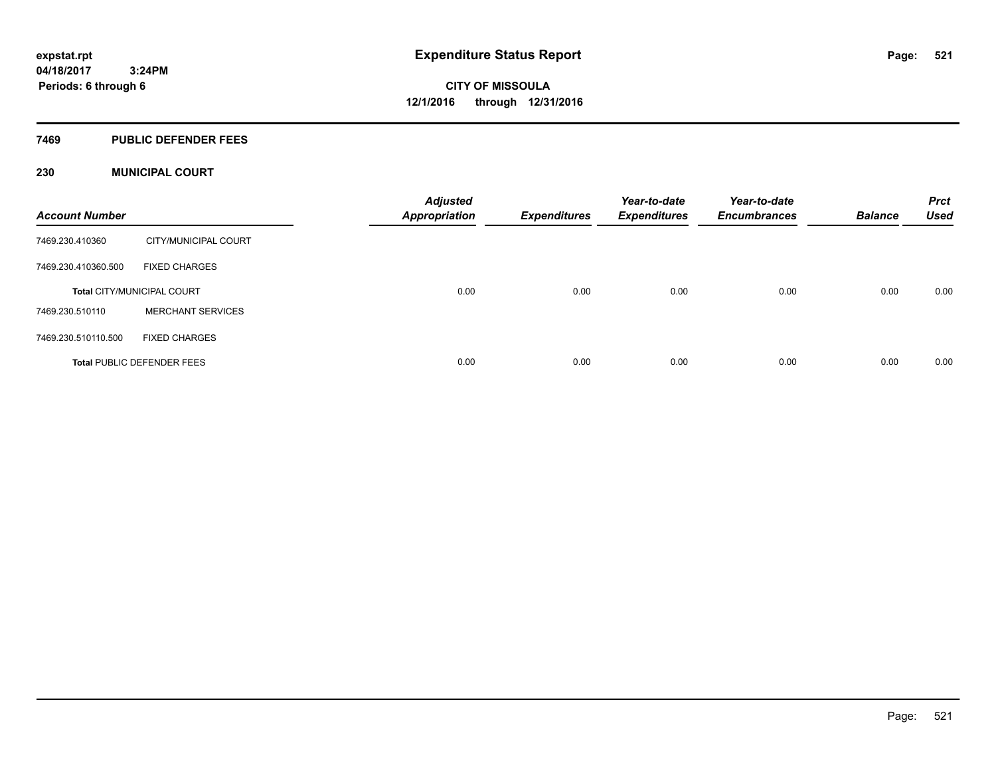#### **7469 PUBLIC DEFENDER FEES**

#### **230 MUNICIPAL COURT**

| <b>Account Number</b> |                                   | <b>Adjusted</b><br><b>Appropriation</b> | <b>Expenditures</b> | Year-to-date<br><b>Expenditures</b> | Year-to-date<br><b>Encumbrances</b> | <b>Balance</b> | <b>Prct</b><br><b>Used</b> |
|-----------------------|-----------------------------------|-----------------------------------------|---------------------|-------------------------------------|-------------------------------------|----------------|----------------------------|
| 7469.230.410360       | CITY/MUNICIPAL COURT              |                                         |                     |                                     |                                     |                |                            |
| 7469.230.410360.500   | <b>FIXED CHARGES</b>              |                                         |                     |                                     |                                     |                |                            |
|                       | <b>Total CITY/MUNICIPAL COURT</b> | 0.00                                    | 0.00                | 0.00                                | 0.00                                | 0.00           | 0.00                       |
| 7469.230.510110       | <b>MERCHANT SERVICES</b>          |                                         |                     |                                     |                                     |                |                            |
| 7469.230.510110.500   | <b>FIXED CHARGES</b>              |                                         |                     |                                     |                                     |                |                            |
|                       | <b>Total PUBLIC DEFENDER FEES</b> | 0.00                                    | 0.00                | 0.00                                | 0.00                                | 0.00           | 0.00                       |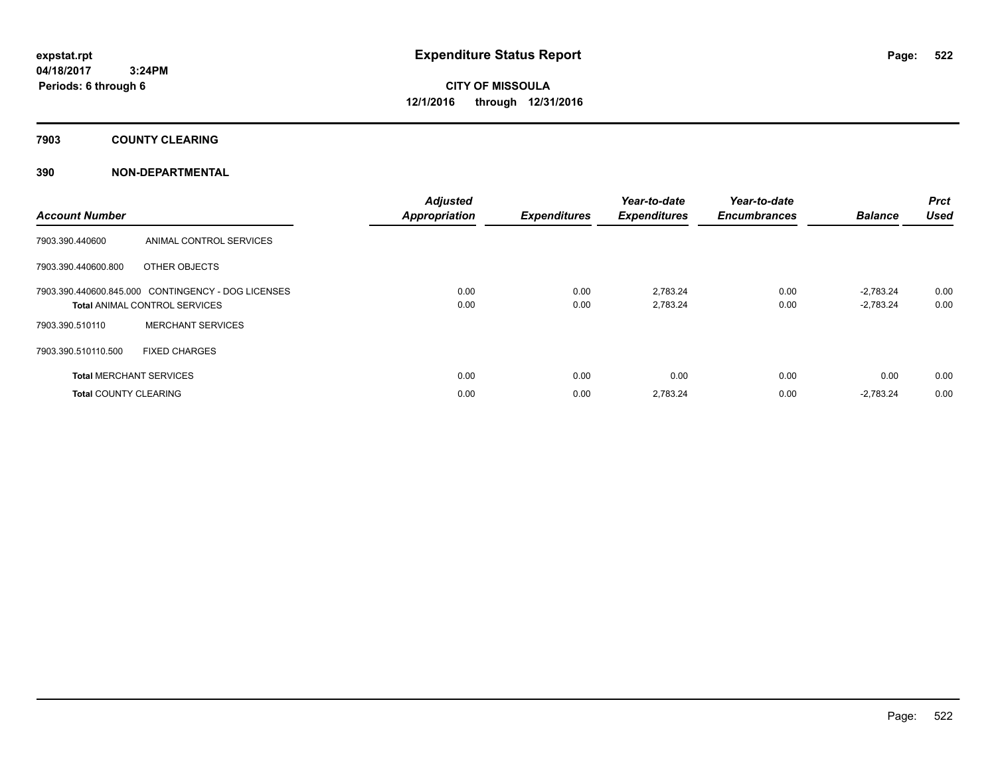**7903 COUNTY CLEARING**

### **390 NON-DEPARTMENTAL**

| <b>Account Number</b>          |                                                    | <b>Adjusted</b><br><b>Appropriation</b> | <b>Expenditures</b> | Year-to-date<br><b>Expenditures</b> | Year-to-date<br><b>Encumbrances</b> | <b>Balance</b> | <b>Prct</b><br><b>Used</b> |
|--------------------------------|----------------------------------------------------|-----------------------------------------|---------------------|-------------------------------------|-------------------------------------|----------------|----------------------------|
| 7903.390.440600                | ANIMAL CONTROL SERVICES                            |                                         |                     |                                     |                                     |                |                            |
| 7903.390.440600.800            | OTHER OBJECTS                                      |                                         |                     |                                     |                                     |                |                            |
|                                | 7903.390.440600.845.000 CONTINGENCY - DOG LICENSES | 0.00                                    | 0.00                | 2,783.24                            | 0.00                                | $-2.783.24$    | 0.00                       |
|                                | <b>Total ANIMAL CONTROL SERVICES</b>               | 0.00                                    | 0.00                | 2,783.24                            | 0.00                                | $-2,783.24$    | 0.00                       |
| 7903.390.510110                | <b>MERCHANT SERVICES</b>                           |                                         |                     |                                     |                                     |                |                            |
| 7903.390.510110.500            | <b>FIXED CHARGES</b>                               |                                         |                     |                                     |                                     |                |                            |
| <b>Total MERCHANT SERVICES</b> |                                                    | 0.00                                    | 0.00                | 0.00                                | 0.00                                | 0.00           | 0.00                       |
| <b>Total COUNTY CLEARING</b>   |                                                    | 0.00                                    | 0.00                | 2.783.24                            | 0.00                                | $-2,783.24$    | 0.00                       |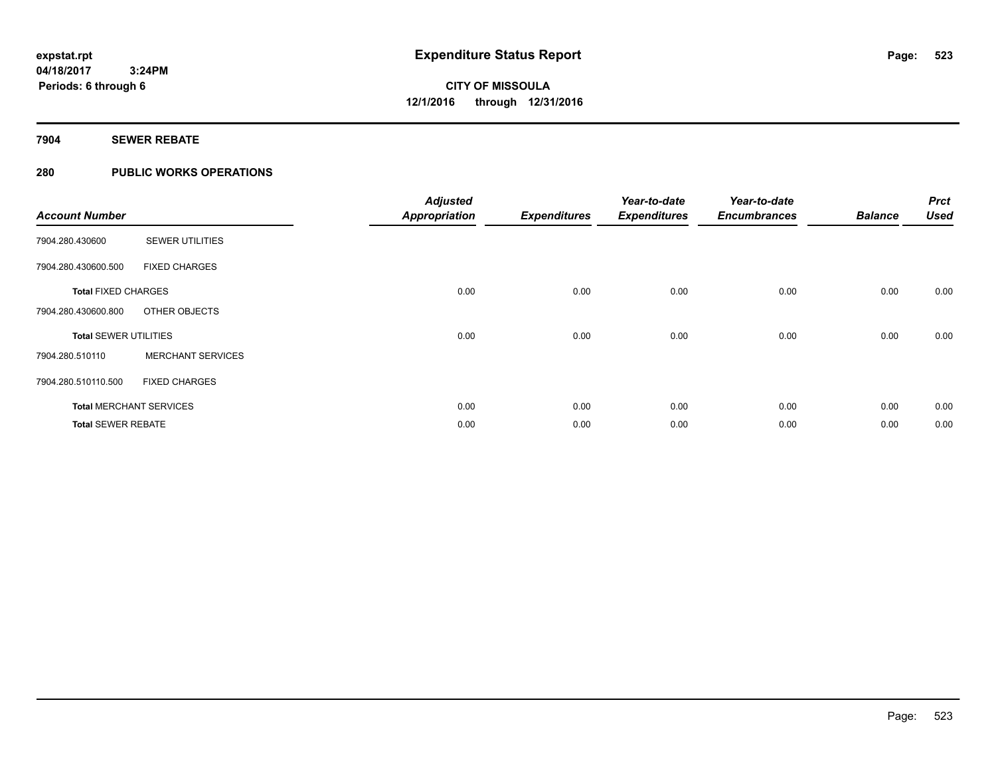#### **7904 SEWER REBATE**

### **280 PUBLIC WORKS OPERATIONS**

| <b>Account Number</b>        |                                | <b>Adjusted</b><br><b>Appropriation</b> | <b>Expenditures</b> | Year-to-date<br><b>Expenditures</b> | Year-to-date<br><b>Encumbrances</b> | <b>Balance</b> | <b>Prct</b><br><b>Used</b> |
|------------------------------|--------------------------------|-----------------------------------------|---------------------|-------------------------------------|-------------------------------------|----------------|----------------------------|
| 7904.280.430600              | <b>SEWER UTILITIES</b>         |                                         |                     |                                     |                                     |                |                            |
| 7904.280.430600.500          | <b>FIXED CHARGES</b>           |                                         |                     |                                     |                                     |                |                            |
| <b>Total FIXED CHARGES</b>   |                                | 0.00                                    | 0.00                | 0.00                                | 0.00                                | 0.00           | 0.00                       |
| 7904.280.430600.800          | OTHER OBJECTS                  |                                         |                     |                                     |                                     |                |                            |
| <b>Total SEWER UTILITIES</b> |                                | 0.00                                    | 0.00                | 0.00                                | 0.00                                | 0.00           | 0.00                       |
| 7904.280.510110              | <b>MERCHANT SERVICES</b>       |                                         |                     |                                     |                                     |                |                            |
| 7904.280.510110.500          | <b>FIXED CHARGES</b>           |                                         |                     |                                     |                                     |                |                            |
|                              | <b>Total MERCHANT SERVICES</b> | 0.00                                    | 0.00                | 0.00                                | 0.00                                | 0.00           | 0.00                       |
| <b>Total SEWER REBATE</b>    |                                | 0.00                                    | 0.00                | 0.00                                | 0.00                                | 0.00           | 0.00                       |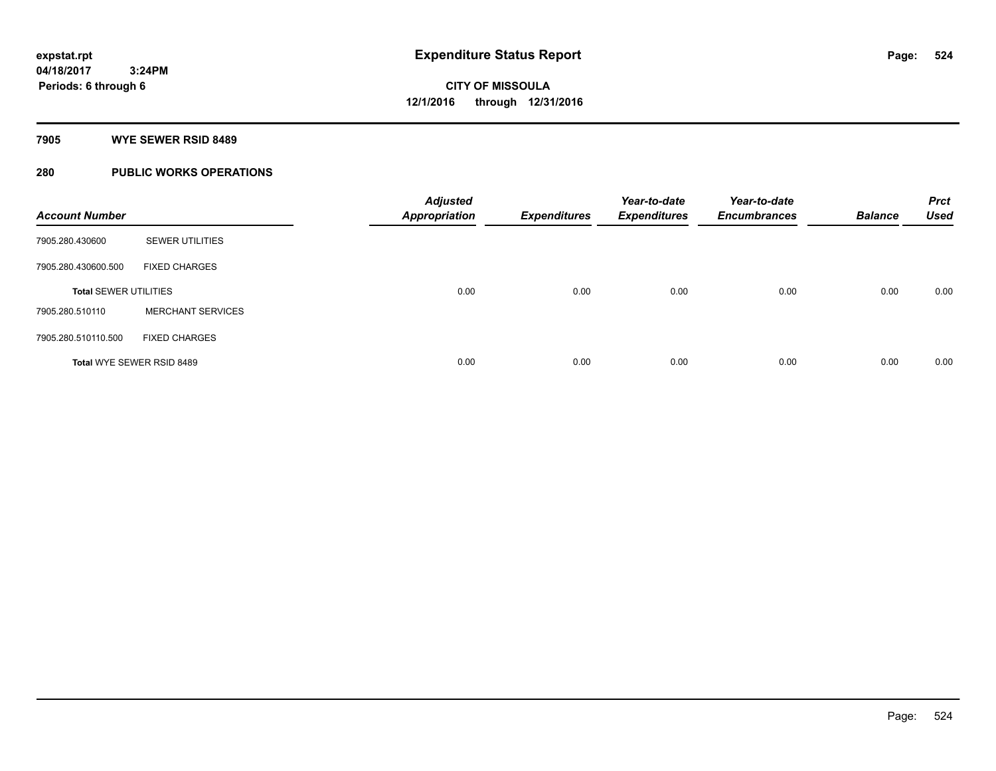#### **7905 WYE SEWER RSID 8489**

### **280 PUBLIC WORKS OPERATIONS**

| <b>Account Number</b>        |                           | <b>Adjusted</b><br><b>Appropriation</b> | <b>Expenditures</b> | Year-to-date<br><b>Expenditures</b> | Year-to-date<br><b>Encumbrances</b> | <b>Balance</b> | <b>Prct</b><br><b>Used</b> |
|------------------------------|---------------------------|-----------------------------------------|---------------------|-------------------------------------|-------------------------------------|----------------|----------------------------|
| 7905.280.430600              | <b>SEWER UTILITIES</b>    |                                         |                     |                                     |                                     |                |                            |
| 7905.280.430600.500          | <b>FIXED CHARGES</b>      |                                         |                     |                                     |                                     |                |                            |
| <b>Total SEWER UTILITIES</b> |                           | 0.00                                    | 0.00                | 0.00                                | 0.00                                | 0.00           | 0.00                       |
| 7905.280.510110              | <b>MERCHANT SERVICES</b>  |                                         |                     |                                     |                                     |                |                            |
| 7905.280.510110.500          | <b>FIXED CHARGES</b>      |                                         |                     |                                     |                                     |                |                            |
|                              | Total WYE SEWER RSID 8489 | 0.00                                    | 0.00                | 0.00                                | 0.00                                | 0.00           | 0.00                       |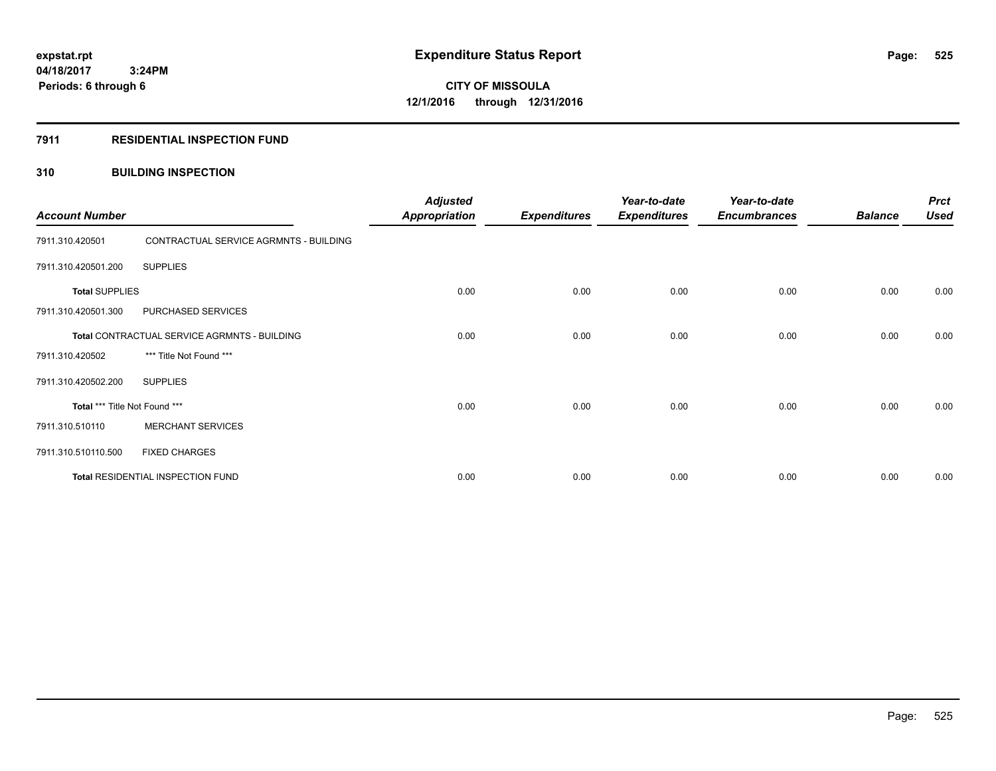#### **7911 RESIDENTIAL INSPECTION FUND**

#### **310 BUILDING INSPECTION**

| <b>Account Number</b>         |                                              | <b>Adjusted</b><br><b>Appropriation</b> | <b>Expenditures</b> | Year-to-date<br><b>Expenditures</b> | Year-to-date<br><b>Encumbrances</b> | <b>Balance</b> | <b>Prct</b><br><b>Used</b> |
|-------------------------------|----------------------------------------------|-----------------------------------------|---------------------|-------------------------------------|-------------------------------------|----------------|----------------------------|
| 7911.310.420501               | CONTRACTUAL SERVICE AGRMNTS - BUILDING       |                                         |                     |                                     |                                     |                |                            |
| 7911.310.420501.200           | <b>SUPPLIES</b>                              |                                         |                     |                                     |                                     |                |                            |
| <b>Total SUPPLIES</b>         |                                              | 0.00                                    | 0.00                | 0.00                                | 0.00                                | 0.00           | 0.00                       |
| 7911.310.420501.300           | PURCHASED SERVICES                           |                                         |                     |                                     |                                     |                |                            |
|                               | Total CONTRACTUAL SERVICE AGRMNTS - BUILDING | 0.00                                    | 0.00                | 0.00                                | 0.00                                | 0.00           | 0.00                       |
| 7911.310.420502               | *** Title Not Found ***                      |                                         |                     |                                     |                                     |                |                            |
| 7911.310.420502.200           | <b>SUPPLIES</b>                              |                                         |                     |                                     |                                     |                |                            |
| Total *** Title Not Found *** |                                              | 0.00                                    | 0.00                | 0.00                                | 0.00                                | 0.00           | 0.00                       |
| 7911.310.510110               | <b>MERCHANT SERVICES</b>                     |                                         |                     |                                     |                                     |                |                            |
| 7911.310.510110.500           | <b>FIXED CHARGES</b>                         |                                         |                     |                                     |                                     |                |                            |
|                               | Total RESIDENTIAL INSPECTION FUND            | 0.00                                    | 0.00                | 0.00                                | 0.00                                | 0.00           | 0.00                       |